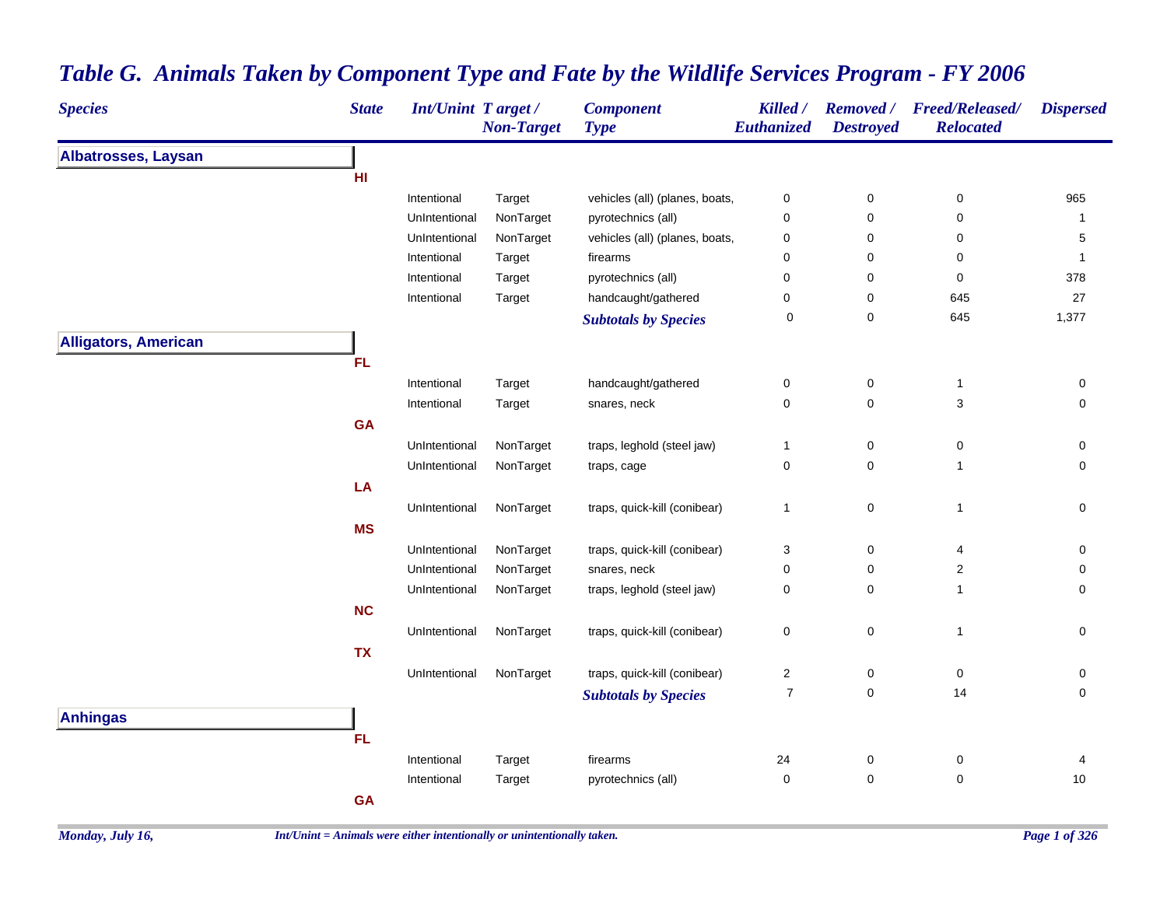| Albatrosses, Laysan<br>HI<br>vehicles (all) (planes, boats,<br>965<br>Intentional<br>Target<br>$\mathbf 0$<br>0<br>0<br>UnIntentional<br>NonTarget<br>pyrotechnics (all)<br>0<br>0<br>0<br>$\mathbf{1}$<br>vehicles (all) (planes, boats,<br>UnIntentional<br>NonTarget<br>$\mathbf 0$<br>0<br>0<br>5<br>Intentional<br>firearms<br>0<br>Target<br>0<br>0<br>$\mathbf{1}$<br>Intentional<br>pyrotechnics (all)<br>$\mathbf 0$<br>0<br>0<br>378<br>Target<br>27<br>handcaught/gathered<br>0<br>Intentional<br>$\pmb{0}$<br>645<br>Target<br>0<br>1,377<br>645<br>0<br><b>Subtotals by Species</b><br><b>Alligators, American</b><br><b>FL</b><br>handcaught/gathered<br>Intentional<br>$\mathbf 0$<br>0<br>0<br>Target<br>$\mathbf{1}$<br>0<br>$\ensuremath{\mathsf{3}}$<br>$\mathbf 0$<br>$\mathbf 0$<br>Intentional<br>snares, neck<br>Target<br><b>GA</b><br>NonTarget<br>UnIntentional<br>traps, leghold (steel jaw)<br>$\mathbf{1}$<br>0<br>0<br>0<br>$\mathbf 0$<br>0<br>$\mathsf{O}\xspace$<br>UnIntentional<br>NonTarget<br>traps, cage<br>$\mathbf{1}$<br><b>LA</b><br>0<br>traps, quick-kill (conibear)<br>UnIntentional<br>NonTarget<br>$\mathbf 0$<br>$\mathbf{1}$<br>$\mathbf{1}$<br><b>MS</b><br>UnIntentional<br>NonTarget<br>traps, quick-kill (conibear)<br>3<br>0<br>0<br>4<br>0<br>$\sqrt{2}$<br>UnIntentional<br>NonTarget<br>snares, neck<br>$\mathbf 0$<br>0<br>traps, leghold (steel jaw)<br>$\pmb{0}$<br>0<br>$\mathbf 0$<br>UnIntentional<br>NonTarget<br>$\mathbf{1}$<br><b>NC</b><br>traps, quick-kill (conibear)<br>$\pmb{0}$<br>0<br>UnIntentional<br>NonTarget<br>$\mathbf 0$<br>$\mathbf{1}$<br><b>TX</b><br>traps, quick-kill (conibear)<br>UnIntentional<br>NonTarget<br>$\overline{2}$<br>0<br>$\mathbf 0$<br>0<br>0<br>$\mathsf{O}\xspace$<br>$\overline{7}$<br>14<br><b>Subtotals by Species</b><br><b>Anhingas</b><br><b>FL</b><br>Intentional<br>24<br>0<br>0<br>Target<br>firearms<br>4<br>0<br>pyrotechnics (all)<br>$\mathbf 0$<br>0<br>$10\,$<br>Intentional<br>Target<br><b>GA</b> | <b>Species</b> | <b>State</b> | <b>Int/Unint Target/</b> | <b>Non-Target</b> | <b>Component</b><br><b>Type</b> | Killed /<br>Euthanized | <b>Destroyed</b> | Removed / Freed/Released/<br><b>Relocated</b> | <b>Dispersed</b> |
|------------------------------------------------------------------------------------------------------------------------------------------------------------------------------------------------------------------------------------------------------------------------------------------------------------------------------------------------------------------------------------------------------------------------------------------------------------------------------------------------------------------------------------------------------------------------------------------------------------------------------------------------------------------------------------------------------------------------------------------------------------------------------------------------------------------------------------------------------------------------------------------------------------------------------------------------------------------------------------------------------------------------------------------------------------------------------------------------------------------------------------------------------------------------------------------------------------------------------------------------------------------------------------------------------------------------------------------------------------------------------------------------------------------------------------------------------------------------------------------------------------------------------------------------------------------------------------------------------------------------------------------------------------------------------------------------------------------------------------------------------------------------------------------------------------------------------------------------------------------------------------------------------------------------------------------------------------------------------------------------------------------------------|----------------|--------------|--------------------------|-------------------|---------------------------------|------------------------|------------------|-----------------------------------------------|------------------|
|                                                                                                                                                                                                                                                                                                                                                                                                                                                                                                                                                                                                                                                                                                                                                                                                                                                                                                                                                                                                                                                                                                                                                                                                                                                                                                                                                                                                                                                                                                                                                                                                                                                                                                                                                                                                                                                                                                                                                                                                                              |                |              |                          |                   |                                 |                        |                  |                                               |                  |
|                                                                                                                                                                                                                                                                                                                                                                                                                                                                                                                                                                                                                                                                                                                                                                                                                                                                                                                                                                                                                                                                                                                                                                                                                                                                                                                                                                                                                                                                                                                                                                                                                                                                                                                                                                                                                                                                                                                                                                                                                              |                |              |                          |                   |                                 |                        |                  |                                               |                  |
|                                                                                                                                                                                                                                                                                                                                                                                                                                                                                                                                                                                                                                                                                                                                                                                                                                                                                                                                                                                                                                                                                                                                                                                                                                                                                                                                                                                                                                                                                                                                                                                                                                                                                                                                                                                                                                                                                                                                                                                                                              |                |              |                          |                   |                                 |                        |                  |                                               |                  |
|                                                                                                                                                                                                                                                                                                                                                                                                                                                                                                                                                                                                                                                                                                                                                                                                                                                                                                                                                                                                                                                                                                                                                                                                                                                                                                                                                                                                                                                                                                                                                                                                                                                                                                                                                                                                                                                                                                                                                                                                                              |                |              |                          |                   |                                 |                        |                  |                                               |                  |
|                                                                                                                                                                                                                                                                                                                                                                                                                                                                                                                                                                                                                                                                                                                                                                                                                                                                                                                                                                                                                                                                                                                                                                                                                                                                                                                                                                                                                                                                                                                                                                                                                                                                                                                                                                                                                                                                                                                                                                                                                              |                |              |                          |                   |                                 |                        |                  |                                               |                  |
|                                                                                                                                                                                                                                                                                                                                                                                                                                                                                                                                                                                                                                                                                                                                                                                                                                                                                                                                                                                                                                                                                                                                                                                                                                                                                                                                                                                                                                                                                                                                                                                                                                                                                                                                                                                                                                                                                                                                                                                                                              |                |              |                          |                   |                                 |                        |                  |                                               |                  |
|                                                                                                                                                                                                                                                                                                                                                                                                                                                                                                                                                                                                                                                                                                                                                                                                                                                                                                                                                                                                                                                                                                                                                                                                                                                                                                                                                                                                                                                                                                                                                                                                                                                                                                                                                                                                                                                                                                                                                                                                                              |                |              |                          |                   |                                 |                        |                  |                                               |                  |
|                                                                                                                                                                                                                                                                                                                                                                                                                                                                                                                                                                                                                                                                                                                                                                                                                                                                                                                                                                                                                                                                                                                                                                                                                                                                                                                                                                                                                                                                                                                                                                                                                                                                                                                                                                                                                                                                                                                                                                                                                              |                |              |                          |                   |                                 |                        |                  |                                               |                  |
|                                                                                                                                                                                                                                                                                                                                                                                                                                                                                                                                                                                                                                                                                                                                                                                                                                                                                                                                                                                                                                                                                                                                                                                                                                                                                                                                                                                                                                                                                                                                                                                                                                                                                                                                                                                                                                                                                                                                                                                                                              |                |              |                          |                   |                                 |                        |                  |                                               |                  |
|                                                                                                                                                                                                                                                                                                                                                                                                                                                                                                                                                                                                                                                                                                                                                                                                                                                                                                                                                                                                                                                                                                                                                                                                                                                                                                                                                                                                                                                                                                                                                                                                                                                                                                                                                                                                                                                                                                                                                                                                                              |                |              |                          |                   |                                 |                        |                  |                                               |                  |
|                                                                                                                                                                                                                                                                                                                                                                                                                                                                                                                                                                                                                                                                                                                                                                                                                                                                                                                                                                                                                                                                                                                                                                                                                                                                                                                                                                                                                                                                                                                                                                                                                                                                                                                                                                                                                                                                                                                                                                                                                              |                |              |                          |                   |                                 |                        |                  |                                               |                  |
|                                                                                                                                                                                                                                                                                                                                                                                                                                                                                                                                                                                                                                                                                                                                                                                                                                                                                                                                                                                                                                                                                                                                                                                                                                                                                                                                                                                                                                                                                                                                                                                                                                                                                                                                                                                                                                                                                                                                                                                                                              |                |              |                          |                   |                                 |                        |                  |                                               |                  |
|                                                                                                                                                                                                                                                                                                                                                                                                                                                                                                                                                                                                                                                                                                                                                                                                                                                                                                                                                                                                                                                                                                                                                                                                                                                                                                                                                                                                                                                                                                                                                                                                                                                                                                                                                                                                                                                                                                                                                                                                                              |                |              |                          |                   |                                 |                        |                  |                                               |                  |
|                                                                                                                                                                                                                                                                                                                                                                                                                                                                                                                                                                                                                                                                                                                                                                                                                                                                                                                                                                                                                                                                                                                                                                                                                                                                                                                                                                                                                                                                                                                                                                                                                                                                                                                                                                                                                                                                                                                                                                                                                              |                |              |                          |                   |                                 |                        |                  |                                               |                  |
|                                                                                                                                                                                                                                                                                                                                                                                                                                                                                                                                                                                                                                                                                                                                                                                                                                                                                                                                                                                                                                                                                                                                                                                                                                                                                                                                                                                                                                                                                                                                                                                                                                                                                                                                                                                                                                                                                                                                                                                                                              |                |              |                          |                   |                                 |                        |                  |                                               |                  |
|                                                                                                                                                                                                                                                                                                                                                                                                                                                                                                                                                                                                                                                                                                                                                                                                                                                                                                                                                                                                                                                                                                                                                                                                                                                                                                                                                                                                                                                                                                                                                                                                                                                                                                                                                                                                                                                                                                                                                                                                                              |                |              |                          |                   |                                 |                        |                  |                                               |                  |
|                                                                                                                                                                                                                                                                                                                                                                                                                                                                                                                                                                                                                                                                                                                                                                                                                                                                                                                                                                                                                                                                                                                                                                                                                                                                                                                                                                                                                                                                                                                                                                                                                                                                                                                                                                                                                                                                                                                                                                                                                              |                |              |                          |                   |                                 |                        |                  |                                               |                  |
|                                                                                                                                                                                                                                                                                                                                                                                                                                                                                                                                                                                                                                                                                                                                                                                                                                                                                                                                                                                                                                                                                                                                                                                                                                                                                                                                                                                                                                                                                                                                                                                                                                                                                                                                                                                                                                                                                                                                                                                                                              |                |              |                          |                   |                                 |                        |                  |                                               |                  |
|                                                                                                                                                                                                                                                                                                                                                                                                                                                                                                                                                                                                                                                                                                                                                                                                                                                                                                                                                                                                                                                                                                                                                                                                                                                                                                                                                                                                                                                                                                                                                                                                                                                                                                                                                                                                                                                                                                                                                                                                                              |                |              |                          |                   |                                 |                        |                  |                                               |                  |
|                                                                                                                                                                                                                                                                                                                                                                                                                                                                                                                                                                                                                                                                                                                                                                                                                                                                                                                                                                                                                                                                                                                                                                                                                                                                                                                                                                                                                                                                                                                                                                                                                                                                                                                                                                                                                                                                                                                                                                                                                              |                |              |                          |                   |                                 |                        |                  |                                               |                  |
|                                                                                                                                                                                                                                                                                                                                                                                                                                                                                                                                                                                                                                                                                                                                                                                                                                                                                                                                                                                                                                                                                                                                                                                                                                                                                                                                                                                                                                                                                                                                                                                                                                                                                                                                                                                                                                                                                                                                                                                                                              |                |              |                          |                   |                                 |                        |                  |                                               |                  |
|                                                                                                                                                                                                                                                                                                                                                                                                                                                                                                                                                                                                                                                                                                                                                                                                                                                                                                                                                                                                                                                                                                                                                                                                                                                                                                                                                                                                                                                                                                                                                                                                                                                                                                                                                                                                                                                                                                                                                                                                                              |                |              |                          |                   |                                 |                        |                  |                                               |                  |
|                                                                                                                                                                                                                                                                                                                                                                                                                                                                                                                                                                                                                                                                                                                                                                                                                                                                                                                                                                                                                                                                                                                                                                                                                                                                                                                                                                                                                                                                                                                                                                                                                                                                                                                                                                                                                                                                                                                                                                                                                              |                |              |                          |                   |                                 |                        |                  |                                               |                  |
|                                                                                                                                                                                                                                                                                                                                                                                                                                                                                                                                                                                                                                                                                                                                                                                                                                                                                                                                                                                                                                                                                                                                                                                                                                                                                                                                                                                                                                                                                                                                                                                                                                                                                                                                                                                                                                                                                                                                                                                                                              |                |              |                          |                   |                                 |                        |                  |                                               |                  |
|                                                                                                                                                                                                                                                                                                                                                                                                                                                                                                                                                                                                                                                                                                                                                                                                                                                                                                                                                                                                                                                                                                                                                                                                                                                                                                                                                                                                                                                                                                                                                                                                                                                                                                                                                                                                                                                                                                                                                                                                                              |                |              |                          |                   |                                 |                        |                  |                                               |                  |
|                                                                                                                                                                                                                                                                                                                                                                                                                                                                                                                                                                                                                                                                                                                                                                                                                                                                                                                                                                                                                                                                                                                                                                                                                                                                                                                                                                                                                                                                                                                                                                                                                                                                                                                                                                                                                                                                                                                                                                                                                              |                |              |                          |                   |                                 |                        |                  |                                               |                  |
|                                                                                                                                                                                                                                                                                                                                                                                                                                                                                                                                                                                                                                                                                                                                                                                                                                                                                                                                                                                                                                                                                                                                                                                                                                                                                                                                                                                                                                                                                                                                                                                                                                                                                                                                                                                                                                                                                                                                                                                                                              |                |              |                          |                   |                                 |                        |                  |                                               |                  |
|                                                                                                                                                                                                                                                                                                                                                                                                                                                                                                                                                                                                                                                                                                                                                                                                                                                                                                                                                                                                                                                                                                                                                                                                                                                                                                                                                                                                                                                                                                                                                                                                                                                                                                                                                                                                                                                                                                                                                                                                                              |                |              |                          |                   |                                 |                        |                  |                                               |                  |
|                                                                                                                                                                                                                                                                                                                                                                                                                                                                                                                                                                                                                                                                                                                                                                                                                                                                                                                                                                                                                                                                                                                                                                                                                                                                                                                                                                                                                                                                                                                                                                                                                                                                                                                                                                                                                                                                                                                                                                                                                              |                |              |                          |                   |                                 |                        |                  |                                               |                  |
|                                                                                                                                                                                                                                                                                                                                                                                                                                                                                                                                                                                                                                                                                                                                                                                                                                                                                                                                                                                                                                                                                                                                                                                                                                                                                                                                                                                                                                                                                                                                                                                                                                                                                                                                                                                                                                                                                                                                                                                                                              |                |              |                          |                   |                                 |                        |                  |                                               |                  |
|                                                                                                                                                                                                                                                                                                                                                                                                                                                                                                                                                                                                                                                                                                                                                                                                                                                                                                                                                                                                                                                                                                                                                                                                                                                                                                                                                                                                                                                                                                                                                                                                                                                                                                                                                                                                                                                                                                                                                                                                                              |                |              |                          |                   |                                 |                        |                  |                                               |                  |
|                                                                                                                                                                                                                                                                                                                                                                                                                                                                                                                                                                                                                                                                                                                                                                                                                                                                                                                                                                                                                                                                                                                                                                                                                                                                                                                                                                                                                                                                                                                                                                                                                                                                                                                                                                                                                                                                                                                                                                                                                              |                |              |                          |                   |                                 |                        |                  |                                               |                  |
|                                                                                                                                                                                                                                                                                                                                                                                                                                                                                                                                                                                                                                                                                                                                                                                                                                                                                                                                                                                                                                                                                                                                                                                                                                                                                                                                                                                                                                                                                                                                                                                                                                                                                                                                                                                                                                                                                                                                                                                                                              |                |              |                          |                   |                                 |                        |                  |                                               |                  |

## *Table G. Animals Taken by Component Type and Fate by the Wildlife Services Program - FY 2006*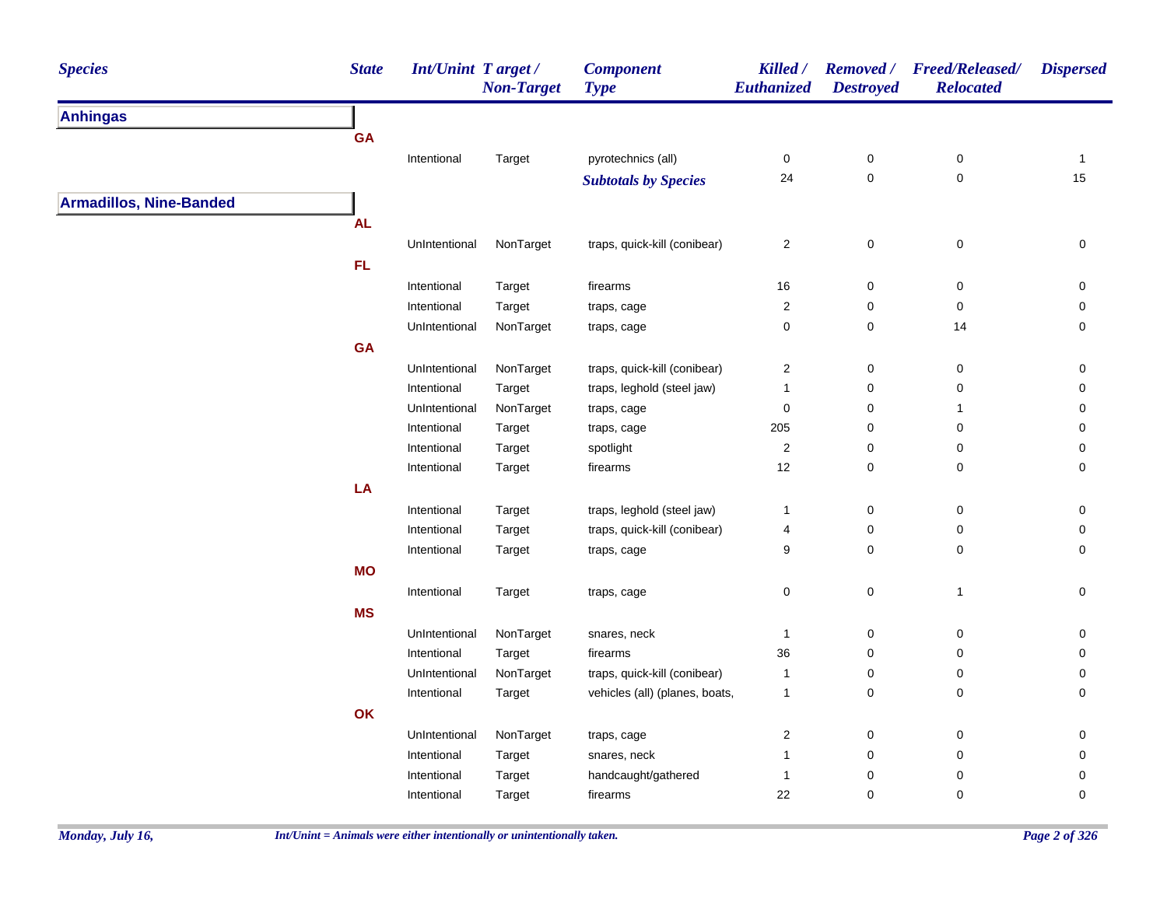| <b>Species</b>                 | <b>State</b> | Int/Unint Target/ | <b>Non-Target</b> | <b>Component</b><br><b>Type</b> | Killed /<br>Euthanized  | <b>Destroyed</b> | Removed / Freed/Released/<br><b>Relocated</b> | <b>Dispersed</b> |
|--------------------------------|--------------|-------------------|-------------------|---------------------------------|-------------------------|------------------|-----------------------------------------------|------------------|
| <b>Anhingas</b>                |              |                   |                   |                                 |                         |                  |                                               |                  |
|                                | GA           |                   |                   |                                 |                         |                  |                                               |                  |
|                                |              | Intentional       | Target            | pyrotechnics (all)              | $\pmb{0}$               | $\pmb{0}$        | $\mathbf 0$                                   | $\mathbf{1}$     |
|                                |              |                   |                   | <b>Subtotals by Species</b>     | 24                      | $\pmb{0}$        | $\pmb{0}$                                     | 15               |
| <b>Armadillos, Nine-Banded</b> |              |                   |                   |                                 |                         |                  |                                               |                  |
|                                | <b>AL</b>    |                   |                   |                                 |                         |                  |                                               |                  |
|                                |              | UnIntentional     | NonTarget         | traps, quick-kill (conibear)    | $\sqrt{2}$              | $\pmb{0}$        | $\pmb{0}$                                     | $\pmb{0}$        |
|                                | FL           |                   |                   |                                 |                         |                  |                                               |                  |
|                                |              | Intentional       | Target            | firearms                        | 16                      | 0                | 0                                             | 0                |
|                                |              | Intentional       | Target            | traps, cage                     | $\overline{\mathbf{c}}$ | $\mathbf 0$      | 0                                             | 0                |
|                                |              | UnIntentional     | NonTarget         | traps, cage                     | $\mathbf 0$             | $\mathbf 0$      | 14                                            | 0                |
|                                | GA           |                   |                   |                                 |                         |                  |                                               |                  |
|                                |              | UnIntentional     | NonTarget         | traps, quick-kill (conibear)    | $\sqrt{2}$              | 0                | $\pmb{0}$                                     | $\mathbf 0$      |
|                                |              | Intentional       | Target            | traps, leghold (steel jaw)      | $\mathbf{1}$            | $\pmb{0}$        | $\pmb{0}$                                     | 0                |
|                                |              | UnIntentional     | NonTarget         | traps, cage                     | $\mathbf 0$             | $\mathbf 0$      | $\mathbf{1}$                                  | 0                |
|                                |              | Intentional       | Target            | traps, cage                     | 205                     | $\pmb{0}$        | $\pmb{0}$                                     | 0                |
|                                |              | Intentional       | Target            | spotlight                       | $\sqrt{2}$              | $\pmb{0}$        | $\pmb{0}$                                     | $\pmb{0}$        |
|                                |              | Intentional       | Target            | firearms                        | 12                      | $\pmb{0}$        | $\pmb{0}$                                     | $\pmb{0}$        |
|                                | LA           |                   |                   |                                 |                         |                  |                                               |                  |
|                                |              | Intentional       | Target            | traps, leghold (steel jaw)      | $\mathbf{1}$            | $\pmb{0}$        | $\pmb{0}$                                     | 0                |
|                                |              | Intentional       | Target            | traps, quick-kill (conibear)    | 4                       | $\pmb{0}$        | 0                                             | 0                |
|                                |              | Intentional       | Target            | traps, cage                     | 9                       | $\mathbf 0$      | 0                                             | 0                |
|                                | <b>MO</b>    |                   |                   |                                 |                         |                  |                                               |                  |
|                                |              | Intentional       | Target            | traps, cage                     | $\mathbf 0$             | $\mathsf 0$      | $\overline{1}$                                | 0                |
|                                | <b>MS</b>    |                   |                   |                                 |                         |                  |                                               |                  |
|                                |              | UnIntentional     | NonTarget         | snares, neck                    | $\mathbf{1}$            | $\pmb{0}$        | $\pmb{0}$                                     | 0                |
|                                |              | Intentional       | Target            | firearms                        | 36                      | $\mathbf 0$      | 0                                             | 0                |
|                                |              | UnIntentional     | NonTarget         | traps, quick-kill (conibear)    | $\mathbf{1}$            | $\pmb{0}$        | 0                                             | 0                |
|                                |              | Intentional       | Target            | vehicles (all) (planes, boats,  | $\mathbf{1}$            | $\mathbf 0$      | 0                                             | 0                |
|                                | OK           |                   |                   |                                 |                         |                  |                                               |                  |
|                                |              | UnIntentional     | NonTarget         | traps, cage                     | $\overline{c}$          | $\mathbf 0$      | 0                                             | 0                |
|                                |              | Intentional       | Target            | snares, neck                    | $\mathbf{1}$            | $\mathbf 0$      | 0                                             | 0                |
|                                |              | Intentional       | Target            | handcaught/gathered             | $\mathbf{1}$            | 0                | 0                                             | 0                |
|                                |              | Intentional       | Target            | firearms                        | 22                      | $\mathbf 0$      | 0                                             | $\mathbf 0$      |
|                                |              |                   |                   |                                 |                         |                  |                                               |                  |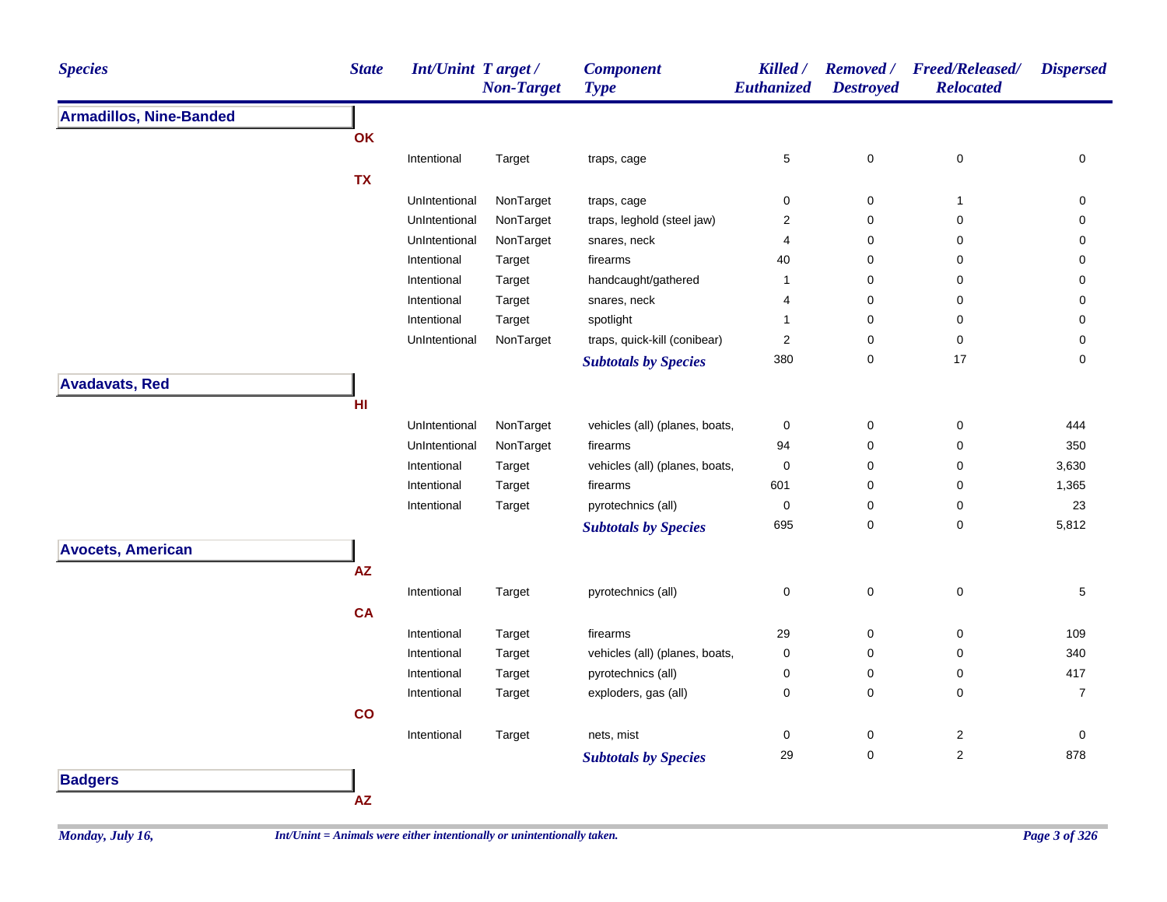| <b>Species</b>                 | <b>State</b> | <b>Int/Unint Target/</b> | <b>Non-Target</b> | <b>Component</b><br><b>Type</b> | Killed /<br>Euthanized | <b>Destroyed</b> | Removed / Freed/Released/<br><b>Relocated</b> | <b>Dispersed</b> |
|--------------------------------|--------------|--------------------------|-------------------|---------------------------------|------------------------|------------------|-----------------------------------------------|------------------|
| <b>Armadillos, Nine-Banded</b> |              |                          |                   |                                 |                        |                  |                                               |                  |
|                                | OK           |                          |                   |                                 |                        |                  |                                               |                  |
|                                |              | Intentional              | Target            | traps, cage                     | $\sqrt{5}$             | 0                | $\pmb{0}$                                     | 0                |
|                                | <b>TX</b>    |                          |                   |                                 |                        |                  |                                               |                  |
|                                |              | UnIntentional            | NonTarget         | traps, cage                     | $\mathbf 0$            | 0                | $\mathbf{1}$                                  | 0                |
|                                |              | UnIntentional            | NonTarget         | traps, leghold (steel jaw)      | $\overline{c}$         | 0                | 0                                             | 0                |
|                                |              | UnIntentional            | NonTarget         | snares, neck                    | 4                      | 0                | $\mathbf 0$                                   | 0                |
|                                |              | Intentional              | Target            | firearms                        | 40                     | 0                | 0                                             | 0                |
|                                |              | Intentional              | Target            | handcaught/gathered             | $\mathbf{1}$           | 0                | 0                                             | 0                |
|                                |              | Intentional              | Target            | snares, neck                    | 4                      | 0                | 0                                             | 0                |
|                                |              | Intentional              | Target            | spotlight                       | $\mathbf{1}$           | 0                | 0                                             | 0                |
|                                |              | UnIntentional            | NonTarget         | traps, quick-kill (conibear)    | $\overline{2}$         | 0                | $\pmb{0}$                                     | 0                |
|                                |              |                          |                   | <b>Subtotals by Species</b>     | 380                    | 0                | 17                                            | 0                |
| <b>Avadavats, Red</b>          |              |                          |                   |                                 |                        |                  |                                               |                  |
|                                | HI           |                          |                   |                                 |                        |                  |                                               |                  |
|                                |              | UnIntentional            | NonTarget         | vehicles (all) (planes, boats,  | $\pmb{0}$              | 0                | $\pmb{0}$                                     | 444              |
|                                |              | UnIntentional            | NonTarget         | firearms                        | 94                     | 0                | $\pmb{0}$                                     | 350              |
|                                |              | Intentional              | Target            | vehicles (all) (planes, boats,  | $\pmb{0}$              | 0                | $\pmb{0}$                                     | 3,630            |
|                                |              | Intentional              | Target            | firearms                        | 601                    | 0                | $\pmb{0}$                                     | 1,365            |
|                                |              | Intentional              | Target            | pyrotechnics (all)              | $\pmb{0}$              | 0                | $\pmb{0}$                                     | 23               |
|                                |              |                          |                   | <b>Subtotals by Species</b>     | 695                    | 0                | $\mathbf 0$                                   | 5,812            |
| <b>Avocets, American</b>       |              |                          |                   |                                 |                        |                  |                                               |                  |
|                                | <b>AZ</b>    |                          |                   |                                 |                        |                  |                                               |                  |
|                                |              | Intentional              | Target            | pyrotechnics (all)              | $\pmb{0}$              | 0                | $\pmb{0}$                                     | 5                |
|                                | <b>CA</b>    |                          |                   |                                 |                        |                  |                                               |                  |
|                                |              |                          |                   |                                 |                        |                  |                                               |                  |
|                                |              | Intentional              | Target            | firearms                        | 29                     | 0                | 0                                             | 109              |
|                                |              | Intentional              | Target            | vehicles (all) (planes, boats,  | $\pmb{0}$              | 0                | 0                                             | 340              |
|                                |              | Intentional              | Target            | pyrotechnics (all)              | $\pmb{0}$              | 0                | $\pmb{0}$                                     | 417              |
|                                |              | Intentional              | Target            | exploders, gas (all)            | $\mathbf 0$            | 0                | $\pmb{0}$                                     | $\overline{7}$   |
|                                | co           |                          |                   |                                 |                        |                  |                                               |                  |
|                                |              | Intentional              | Target            | nets, mist                      | $\pmb{0}$              | 0                | $\overline{\mathbf{c}}$                       | 0                |
|                                |              |                          |                   | <b>Subtotals by Species</b>     | 29                     | 0                | $\overline{2}$                                | 878              |
| <b>Badgers</b>                 |              |                          |                   |                                 |                        |                  |                                               |                  |
|                                | AZ           |                          |                   |                                 |                        |                  |                                               |                  |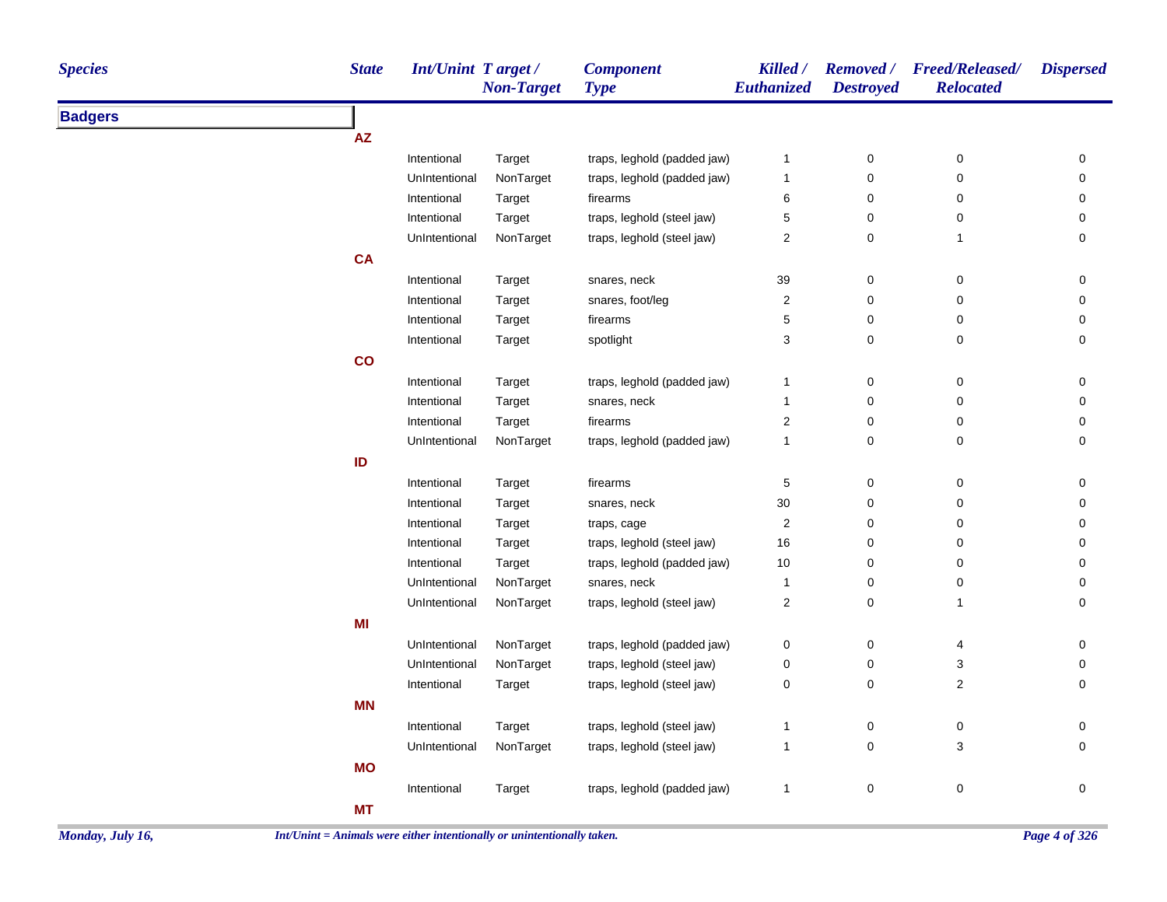| <b>Species</b> | <b>State</b> | Int/Unint Target/ | <b>Non-Target</b> | <b>Component</b><br><b>Type</b> | Killed /<br>Euthanized | <b>Removed</b> /<br><b>Destroyed</b> | <b>Freed/Released/</b><br><b>Relocated</b> | <b>Dispersed</b> |
|----------------|--------------|-------------------|-------------------|---------------------------------|------------------------|--------------------------------------|--------------------------------------------|------------------|
| <b>Badgers</b> |              |                   |                   |                                 |                        |                                      |                                            |                  |
|                | AZ           |                   |                   |                                 |                        |                                      |                                            |                  |
|                |              | Intentional       | Target            | traps, leghold (padded jaw)     | $\overline{1}$         | $\pmb{0}$                            | $\mathbf 0$                                | 0                |
|                |              | UnIntentional     | NonTarget         | traps, leghold (padded jaw)     | $\overline{1}$         | $\mathbf 0$                          | 0                                          | 0                |
|                |              | Intentional       | Target            | firearms                        | 6                      | $\mathbf 0$                          | 0                                          | 0                |
|                |              | Intentional       | Target            | traps, leghold (steel jaw)      | $\sqrt{5}$             | $\mathbf 0$                          | $\pmb{0}$                                  | 0                |
|                |              | UnIntentional     | NonTarget         | traps, leghold (steel jaw)      | $\overline{2}$         | $\mathbf 0$                          | $\mathbf{1}$                               | 0                |
|                | <b>CA</b>    |                   |                   |                                 |                        |                                      |                                            |                  |
|                |              | Intentional       | Target            | snares, neck                    | 39                     | $\pmb{0}$                            | $\mathsf{O}\xspace$                        | 0                |
|                |              | Intentional       | Target            | snares, foot/leg                | $\overline{2}$         | $\mathbf 0$                          | $\pmb{0}$                                  | 0                |
|                |              | Intentional       | Target            | firearms                        | $\mathbf 5$            | $\pmb{0}$                            | 0                                          | 0                |
|                |              | Intentional       | Target            | spotlight                       | 3                      | $\pmb{0}$                            | 0                                          | 0                |
|                | co           |                   |                   |                                 |                        |                                      |                                            |                  |
|                |              | Intentional       | Target            | traps, leghold (padded jaw)     | $\overline{1}$         | $\mathbf 0$                          | 0                                          | 0                |
|                |              | Intentional       | Target            | snares, neck                    | $\overline{1}$         | $\pmb{0}$                            | $\mathbf 0$                                | 0                |
|                |              | Intentional       | Target            | firearms                        | $\overline{2}$         | $\pmb{0}$                            | 0                                          | 0                |
|                |              | UnIntentional     | NonTarget         | traps, leghold (padded jaw)     | $\overline{1}$         | $\mathbf 0$                          | $\mathbf 0$                                | 0                |
|                | ID           |                   |                   |                                 |                        |                                      |                                            |                  |
|                |              | Intentional       | Target            | firearms                        | 5                      | $\mathbf 0$                          | 0                                          | 0                |
|                |              | Intentional       | Target            | snares, neck                    | 30                     | $\mathbf 0$                          | $\mathbf 0$                                | 0                |
|                |              | Intentional       | Target            | traps, cage                     | $\sqrt{2}$             | $\mathbf 0$                          | 0                                          | 0                |
|                |              | Intentional       | Target            | traps, leghold (steel jaw)      | 16                     | $\mathbf 0$                          | $\mathbf 0$                                | 0                |
|                |              | Intentional       | Target            | traps, leghold (padded jaw)     | 10                     | $\mathbf 0$                          | 0                                          | 0                |
|                |              | UnIntentional     | NonTarget         | snares, neck                    | $\overline{1}$         | $\mathbf 0$                          | $\pmb{0}$                                  | 0                |
|                |              | UnIntentional     | NonTarget         | traps, leghold (steel jaw)      | $\sqrt{2}$             | $\pmb{0}$                            | $\mathbf{1}$                               | 0                |
|                | MI           |                   |                   |                                 |                        |                                      |                                            |                  |
|                |              | UnIntentional     | NonTarget         | traps, leghold (padded jaw)     | 0                      | $\boldsymbol{0}$                     | 4                                          | 0                |
|                |              | UnIntentional     | NonTarget         | traps, leghold (steel jaw)      | $\mathbf 0$            | $\boldsymbol{0}$                     | $\sqrt{3}$                                 | 0                |
|                |              | Intentional       | Target            | traps, leghold (steel jaw)      | $\mathbf 0$            | $\pmb{0}$                            | $\overline{c}$                             | 0                |
|                | <b>MN</b>    |                   |                   |                                 |                        |                                      |                                            |                  |
|                |              | Intentional       | Target            | traps, leghold (steel jaw)      | $\overline{1}$         | $\mathbf 0$                          | $\mathbf 0$                                | 0                |
|                |              | UnIntentional     | NonTarget         | traps, leghold (steel jaw)      | $\mathbf{1}$           | $\mathbf 0$                          | 3                                          | 0                |
|                | <b>MO</b>    |                   |                   |                                 |                        |                                      |                                            |                  |
|                |              | Intentional       | Target            | traps, leghold (padded jaw)     | $\overline{1}$         | $\pmb{0}$                            | $\pmb{0}$                                  | 0                |
|                | <b>MT</b>    |                   |                   |                                 |                        |                                      |                                            |                  |
|                |              |                   |                   |                                 |                        |                                      |                                            |                  |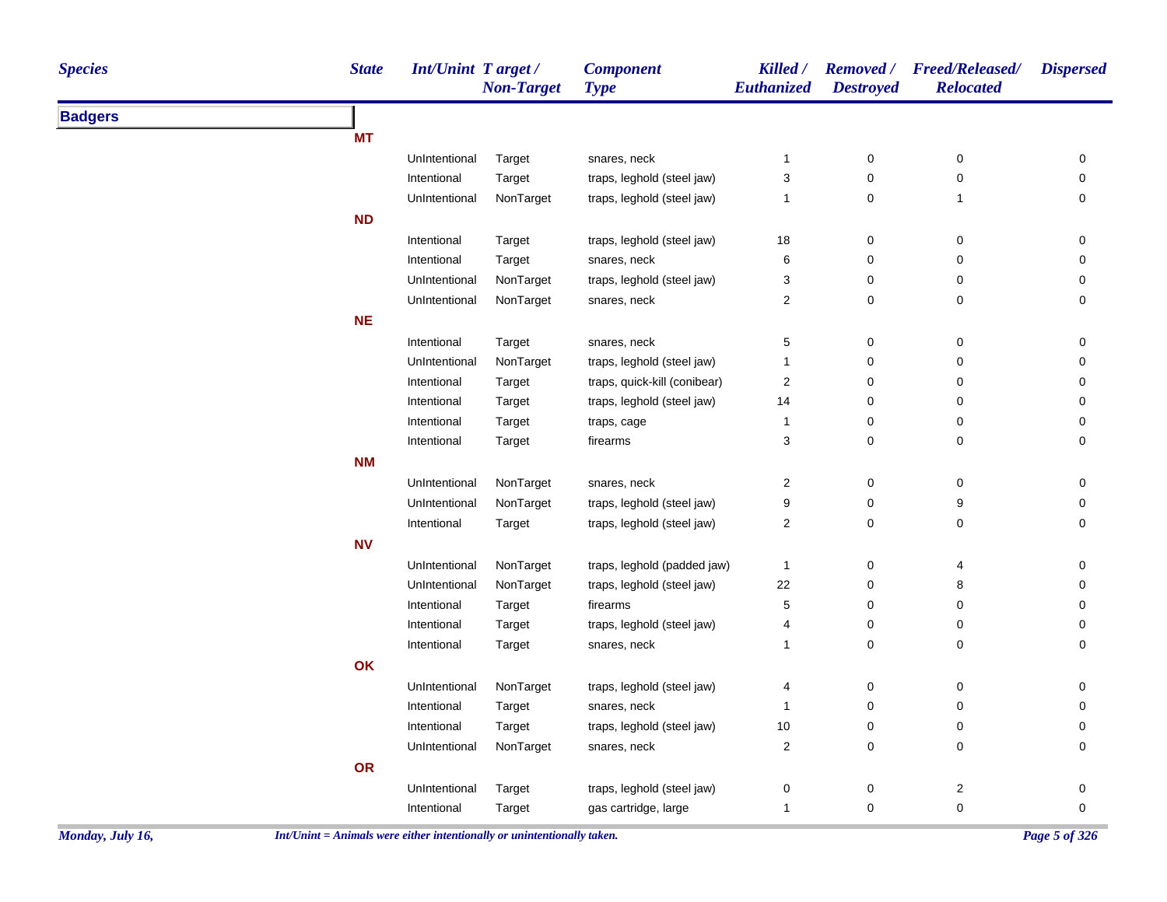| <b>Species</b> | <b>State</b> | <b>Int/Unint Target/</b> | <b>Non-Target</b> | <b>Component</b><br><b>Type</b> | Killed /<br>Euthanized    | <b>Destroyed</b> | Removed / Freed/Released/<br><b>Relocated</b> | <b>Dispersed</b> |
|----------------|--------------|--------------------------|-------------------|---------------------------------|---------------------------|------------------|-----------------------------------------------|------------------|
| <b>Badgers</b> |              |                          |                   |                                 |                           |                  |                                               |                  |
|                | <b>MT</b>    |                          |                   |                                 |                           |                  |                                               |                  |
|                |              | UnIntentional            | Target            | snares, neck                    | $\mathbf{1}$              | $\pmb{0}$        | $\pmb{0}$                                     | 0                |
|                |              | Intentional              | Target            | traps, leghold (steel jaw)      | $\ensuremath{\mathsf{3}}$ | $\pmb{0}$        | $\pmb{0}$                                     | $\pmb{0}$        |
|                |              | UnIntentional            | NonTarget         | traps, leghold (steel jaw)      | $\mathbf{1}$              | 0                | $\mathbf{1}$                                  | 0                |
|                | <b>ND</b>    |                          |                   |                                 |                           |                  |                                               |                  |
|                |              | Intentional              | Target            | traps, leghold (steel jaw)      | $18\,$                    | $\pmb{0}$        | $\boldsymbol{0}$                              | $\pmb{0}$        |
|                |              | Intentional              | Target            | snares, neck                    | 6                         | $\mathbf 0$      | $\pmb{0}$                                     | $\pmb{0}$        |
|                |              | UnIntentional            | NonTarget         | traps, leghold (steel jaw)      | 3                         | 0                | 0                                             | 0                |
|                |              | UnIntentional            | NonTarget         | snares, neck                    | $\overline{c}$            | 0                | $\mathbf 0$                                   | 0                |
|                | <b>NE</b>    |                          |                   |                                 |                           |                  |                                               |                  |
|                |              | Intentional              | Target            | snares, neck                    | $\mathbf 5$               | 0                | $\mathbf 0$                                   | 0                |
|                |              | UnIntentional            | NonTarget         | traps, leghold (steel jaw)      | 1                         | 0                | 0                                             | $\pmb{0}$        |
|                |              | Intentional              | Target            | traps, quick-kill (conibear)    | $\sqrt{2}$                | $\pmb{0}$        | $\pmb{0}$                                     | $\pmb{0}$        |
|                |              | Intentional              | Target            | traps, leghold (steel jaw)      | 14                        | $\pmb{0}$        | 0                                             | $\pmb{0}$        |
|                |              | Intentional              | Target            | traps, cage                     | $\overline{1}$            | 0                | 0                                             | $\pmb{0}$        |
|                |              | Intentional              | Target            | firearms                        | $\ensuremath{\mathsf{3}}$ | $\pmb{0}$        | $\pmb{0}$                                     | 0                |
|                | <b>NM</b>    |                          |                   |                                 |                           |                  |                                               |                  |
|                |              | UnIntentional            | NonTarget         | snares, neck                    | $\overline{\mathbf{c}}$   | $\pmb{0}$        | $\pmb{0}$                                     | $\pmb{0}$        |
|                |              | UnIntentional            | NonTarget         | traps, leghold (steel jaw)      | 9                         | $\pmb{0}$        | 9                                             | 0                |
|                |              | Intentional              | Target            | traps, leghold (steel jaw)      | $\overline{\mathbf{c}}$   | $\pmb{0}$        | $\pmb{0}$                                     | 0                |
|                | <b>NV</b>    |                          |                   |                                 |                           |                  |                                               |                  |
|                |              | UnIntentional            | NonTarget         | traps, leghold (padded jaw)     | $\mathbf{1}$              | $\pmb{0}$        | 4                                             | 0                |
|                |              | UnIntentional            | NonTarget         | traps, leghold (steel jaw)      | 22                        | $\pmb{0}$        | 8                                             | $\pmb{0}$        |
|                |              | Intentional              | Target            | firearms                        | $\,$ 5 $\,$               | 0                | 0                                             | 0                |
|                |              | Intentional              | Target            | traps, leghold (steel jaw)      | 4                         | 0                | $\mathbf 0$                                   | 0                |
|                |              | Intentional              | Target            | snares, neck                    | $\mathbf{1}$              | $\pmb{0}$        | $\pmb{0}$                                     | $\mathbf 0$      |
|                | OK           |                          |                   |                                 |                           |                  |                                               |                  |
|                |              | UnIntentional            | NonTarget         | traps, leghold (steel jaw)      | 4                         | 0                | 0                                             | 0                |
|                |              | Intentional              | Target            | snares, neck                    | $\mathbf{1}$              | $\pmb{0}$        | $\pmb{0}$                                     | 0                |
|                |              | Intentional              | Target            | traps, leghold (steel jaw)      | $10\,$                    | $\pmb{0}$        | $\pmb{0}$                                     | 0                |
|                |              | UnIntentional            | NonTarget         | snares, neck                    | $\sqrt{2}$                | $\pmb{0}$        | $\pmb{0}$                                     | 0                |
|                | OR           |                          |                   |                                 |                           |                  |                                               |                  |
|                |              | UnIntentional            | Target            | traps, leghold (steel jaw)      | $\pmb{0}$                 | $\pmb{0}$        | $\sqrt{2}$                                    | $\pmb{0}$        |
|                |              | Intentional              | Target            | gas cartridge, large            | $\mathbf{1}$              | $\pmb{0}$        | $\pmb{0}$                                     | $\pmb{0}$        |
|                |              |                          |                   |                                 |                           |                  |                                               |                  |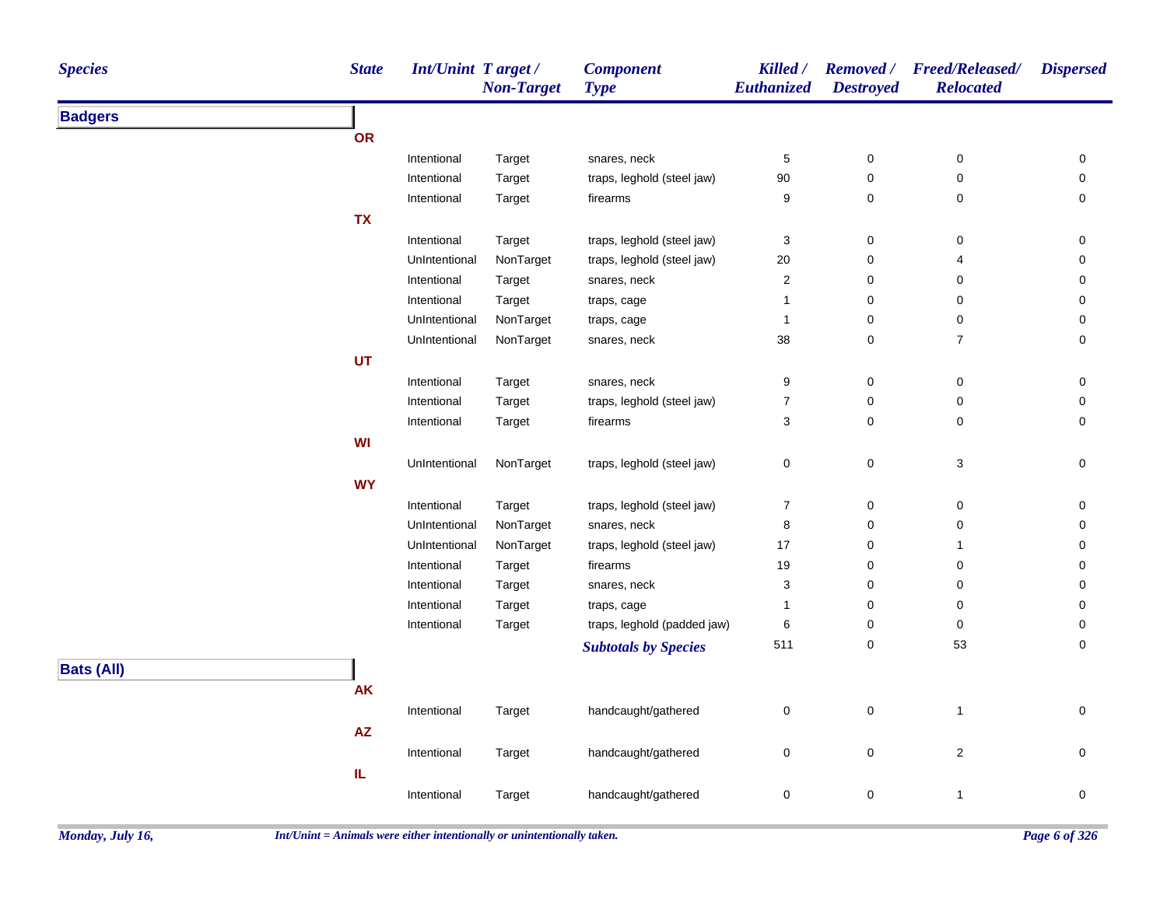| <b>Species</b>    | <b>State</b>           | Int/Unint Target/ | <b>Non-Target</b> | <b>Component</b><br><b>Type</b> | Killed /<br>Euthanized | <b>Destroyed</b> | Removed / Freed/Released/<br><b>Relocated</b> | <b>Dispersed</b>    |
|-------------------|------------------------|-------------------|-------------------|---------------------------------|------------------------|------------------|-----------------------------------------------|---------------------|
| <b>Badgers</b>    |                        |                   |                   |                                 |                        |                  |                                               |                     |
|                   | OR                     |                   |                   |                                 |                        |                  |                                               |                     |
|                   |                        | Intentional       | Target            | snares, neck                    | 5                      | 0                | $\pmb{0}$                                     | 0                   |
|                   |                        | Intentional       | Target            | traps, leghold (steel jaw)      | 90                     | 0                | 0                                             | 0                   |
|                   |                        | Intentional       | Target            | firearms                        | 9                      | 0                | 0                                             | 0                   |
|                   | <b>TX</b>              |                   |                   |                                 |                        |                  |                                               |                     |
|                   |                        | Intentional       | Target            | traps, leghold (steel jaw)      | $\sqrt{3}$             | $\pmb{0}$        | 0                                             | 0                   |
|                   |                        | UnIntentional     | NonTarget         | traps, leghold (steel jaw)      | 20                     | $\mathbf 0$      | 4                                             | 0                   |
|                   |                        | Intentional       | Target            | snares, neck                    | $\boldsymbol{2}$       | $\pmb{0}$        | 0                                             | 0                   |
|                   |                        | Intentional       | Target            | traps, cage                     | $\mathbf{1}$           | $\mathbf 0$      | 0                                             | 0                   |
|                   |                        | UnIntentional     | NonTarget         | traps, cage                     | $\mathbf{1}$           | 0                | 0                                             | 0                   |
|                   |                        | UnIntentional     | NonTarget         | snares, neck                    | 38                     | 0                | $\overline{7}$                                | 0                   |
|                   | UT                     |                   |                   |                                 |                        |                  |                                               |                     |
|                   |                        | Intentional       | Target            | snares, neck                    | 9                      | 0                | 0                                             | 0                   |
|                   |                        | Intentional       | Target            | traps, leghold (steel jaw)      | $\overline{7}$         | 0                | 0                                             | 0                   |
|                   |                        | Intentional       | Target            | firearms                        | 3                      | 0                | 0                                             | 0                   |
|                   | WI                     |                   |                   |                                 |                        |                  |                                               |                     |
|                   |                        | UnIntentional     | NonTarget         | traps, leghold (steel jaw)      | $\pmb{0}$              | $\mathbf 0$      | 3                                             | $\mathsf{O}\xspace$ |
|                   | <b>WY</b>              |                   |                   |                                 |                        |                  |                                               |                     |
|                   |                        | Intentional       | Target            | traps, leghold (steel jaw)      | $\overline{7}$         | 0                | 0                                             | 0                   |
|                   |                        | UnIntentional     | NonTarget         | snares, neck                    | 8                      | 0                | 0                                             | 0                   |
|                   |                        | UnIntentional     | NonTarget         | traps, leghold (steel jaw)      | 17                     | 0                | $\mathbf{1}$                                  | 0                   |
|                   |                        | Intentional       | Target            | firearms                        | 19                     | 0                | 0                                             | $\mathbf 0$         |
|                   |                        | Intentional       | Target            | snares, neck                    | 3                      | 0                | 0                                             | 0                   |
|                   |                        | Intentional       | Target            | traps, cage                     | $\mathbf 1$            | 0                | 0                                             | $\mathbf 0$         |
|                   |                        | Intentional       | Target            | traps, leghold (padded jaw)     | 6                      | 0                | 0                                             | 0                   |
|                   |                        |                   |                   | <b>Subtotals by Species</b>     | 511                    | 0                | 53                                            | 0                   |
| <b>Bats (All)</b> |                        |                   |                   |                                 |                        |                  |                                               |                     |
|                   | <b>AK</b>              |                   |                   |                                 |                        |                  |                                               |                     |
|                   |                        | Intentional       | Target            | handcaught/gathered             | $\pmb{0}$              | $\mathbf 0$      | $\mathbf{1}$                                  | 0                   |
|                   | $\mathsf{A}\mathsf{Z}$ |                   |                   |                                 |                        |                  |                                               |                     |
|                   |                        | Intentional       | Target            | handcaught/gathered             | $\mathbf 0$            | $\pmb{0}$        | $\overline{c}$                                | $\mathbf 0$         |
|                   | IL.                    |                   |                   |                                 |                        |                  |                                               |                     |
|                   |                        | Intentional       | Target            | handcaught/gathered             | $\pmb{0}$              | $\pmb{0}$        | $\mathbf{1}$                                  | 0                   |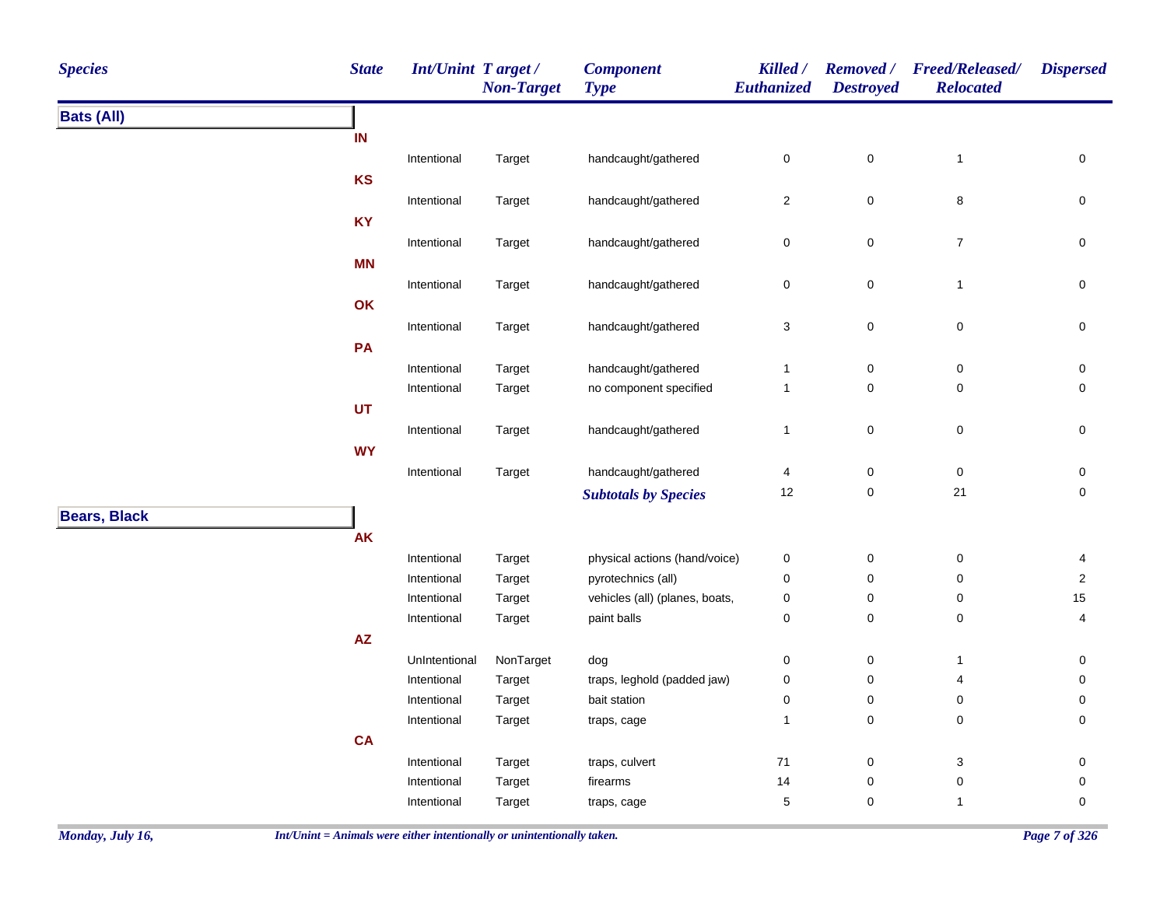| <b>Species</b>      | <b>State</b>           | <b>Int/Unint Target/</b> | <b>Non-Target</b> | <b>Component</b><br><b>Type</b> | Killed /<br>Euthanized  | <b>Destroyed</b> | Removed / Freed/Released/<br><b>Relocated</b> | <b>Dispersed</b>    |
|---------------------|------------------------|--------------------------|-------------------|---------------------------------|-------------------------|------------------|-----------------------------------------------|---------------------|
| <b>Bats (All)</b>   |                        |                          |                   |                                 |                         |                  |                                               |                     |
|                     | IN                     |                          |                   |                                 |                         |                  |                                               |                     |
|                     |                        | Intentional              | Target            | handcaught/gathered             | $\pmb{0}$               | $\pmb{0}$        | $\mathbf{1}$                                  | $\pmb{0}$           |
|                     | <b>KS</b>              |                          |                   |                                 |                         |                  |                                               |                     |
|                     |                        | Intentional              | Target            | handcaught/gathered             | $\sqrt{2}$              | $\pmb{0}$        | 8                                             | $\mathsf{O}\xspace$ |
|                     | <b>KY</b>              |                          |                   |                                 |                         |                  |                                               |                     |
|                     |                        | Intentional              | Target            | handcaught/gathered             | $\pmb{0}$               | $\pmb{0}$        | $\boldsymbol{7}$                              | $\pmb{0}$           |
|                     | <b>MN</b>              |                          |                   |                                 |                         |                  |                                               |                     |
|                     |                        | Intentional              | Target            | handcaught/gathered             | $\pmb{0}$               | $\mathbf 0$      | $\mathbf{1}$                                  | $\mathbf 0$         |
|                     | OK                     |                          |                   |                                 |                         |                  |                                               |                     |
|                     |                        | Intentional              | Target            | handcaught/gathered             | $\sqrt{3}$              | $\pmb{0}$        | $\pmb{0}$                                     | $\mathsf{O}\xspace$ |
|                     | PA                     |                          |                   |                                 |                         |                  |                                               |                     |
|                     |                        | Intentional              | Target            | handcaught/gathered             | $\mathbf{1}$            | $\pmb{0}$        | 0                                             | 0                   |
|                     |                        | Intentional              | Target            | no component specified          | $\mathbf{1}$            | $\pmb{0}$        | 0                                             | 0                   |
|                     | UT                     |                          |                   |                                 |                         |                  |                                               |                     |
|                     |                        | Intentional              | Target            | handcaught/gathered             | $\mathbf{1}$            | $\mathbf 0$      | $\pmb{0}$                                     | $\pmb{0}$           |
|                     | <b>WY</b>              |                          |                   |                                 |                         |                  |                                               |                     |
|                     |                        | Intentional              | Target            | handcaught/gathered             | $\overline{\mathbf{4}}$ | $\pmb{0}$        | $\pmb{0}$                                     | $\pmb{0}$           |
|                     |                        |                          |                   | <b>Subtotals by Species</b>     | 12                      | 0                | 21                                            | $\mathsf 0$         |
| <b>Bears, Black</b> |                        |                          |                   |                                 |                         |                  |                                               |                     |
|                     | AK                     |                          |                   |                                 |                         |                  |                                               |                     |
|                     |                        | Intentional              | Target            | physical actions (hand/voice)   | $\pmb{0}$               | $\pmb{0}$        | $\pmb{0}$                                     | 4                   |
|                     |                        | Intentional              | Target            | pyrotechnics (all)              | 0                       | 0                | 0                                             | $\overline{2}$      |
|                     |                        | Intentional              | Target            | vehicles (all) (planes, boats,  | $\pmb{0}$               | $\pmb{0}$        | 0                                             | 15                  |
|                     |                        | Intentional              | Target            | paint balls                     | $\mathbf 0$             | $\mathbf 0$      | 0                                             | 4                   |
|                     | $\mathsf{A}\mathsf{Z}$ |                          |                   |                                 |                         |                  |                                               |                     |
|                     |                        | UnIntentional            | NonTarget         | dog                             | 0                       | 0                | 1                                             | 0                   |
|                     |                        | Intentional              | Target            | traps, leghold (padded jaw)     | $\pmb{0}$               | 0                | 4                                             | 0                   |
|                     |                        | Intentional              | Target            | bait station                    | $\pmb{0}$               | $\pmb{0}$        | 0                                             | 0                   |
|                     |                        | Intentional              | Target            | traps, cage                     | $\mathbf{1}$            | $\pmb{0}$        | 0                                             | 0                   |
|                     | CA                     |                          |                   |                                 |                         |                  |                                               |                     |
|                     |                        | Intentional              | Target            | traps, culvert                  | 71                      | 0                | 3                                             | 0                   |
|                     |                        | Intentional              | Target            | firearms                        | 14                      | 0                | $\pmb{0}$                                     | 0                   |
|                     |                        | Intentional              | Target            | traps, cage                     | $\mathbf 5$             | 0                | $\mathbf{1}$                                  | $\pmb{0}$           |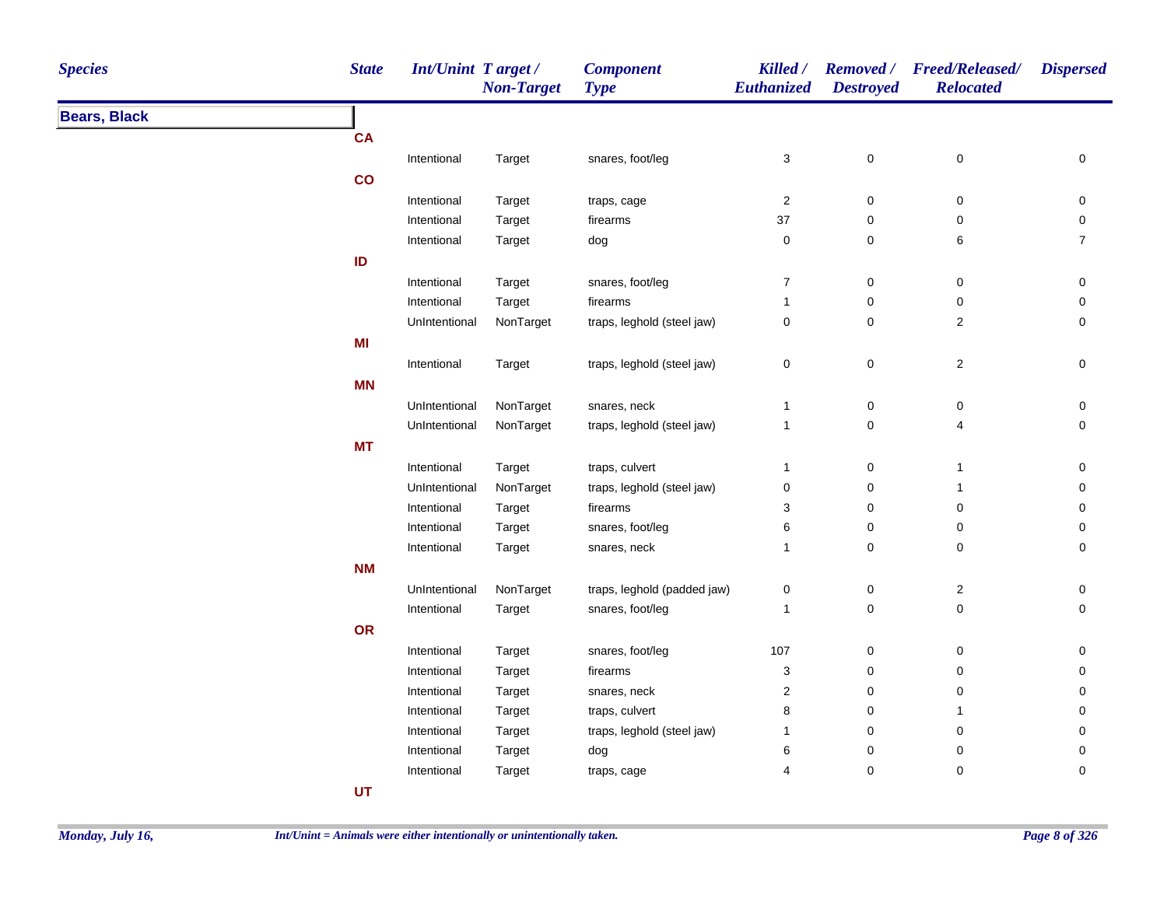| <b>Species</b>      | <b>State</b> |               | <b>Int/Unint Target/</b><br><b>Non-Target</b> | <b>Component</b><br><b>Type</b> | Killed /<br><b>Euthanized</b> | <b>Destroyed</b> | Removed / Freed/Released/<br><b>Relocated</b> | <b>Dispersed</b> |
|---------------------|--------------|---------------|-----------------------------------------------|---------------------------------|-------------------------------|------------------|-----------------------------------------------|------------------|
| <b>Bears, Black</b> |              |               |                                               |                                 |                               |                  |                                               |                  |
|                     | <b>CA</b>    |               |                                               |                                 |                               |                  |                                               |                  |
|                     | Intentional  |               | Target                                        | snares, foot/leg                | 3                             | $\pmb{0}$        | $\pmb{0}$                                     | 0                |
|                     | co           |               |                                               |                                 |                               |                  |                                               |                  |
|                     | Intentional  |               | Target                                        | traps, cage                     | $\sqrt{2}$                    | $\pmb{0}$        | $\boldsymbol{0}$                              | 0                |
|                     |              | Intentional   | Target                                        | firearms                        | 37                            | $\pmb{0}$        | 0                                             | 0                |
|                     |              | Intentional   | Target                                        | dog                             | $\pmb{0}$                     | $\mathsf 0$      | 6                                             | $\overline{7}$   |
|                     | ID           |               |                                               |                                 |                               |                  |                                               |                  |
|                     | Intentional  |               | Target                                        | snares, foot/leg                | $\boldsymbol{7}$              | $\pmb{0}$        | $\pmb{0}$                                     | 0                |
|                     |              | Intentional   | Target                                        | firearms                        | $\mathbf{1}$                  | 0                | $\mathbf 0$                                   | 0                |
|                     |              | UnIntentional | NonTarget                                     | traps, leghold (steel jaw)      | $\pmb{0}$                     | $\mathbf 0$      | $\overline{c}$                                | 0                |
|                     | MI           |               |                                               |                                 |                               |                  |                                               |                  |
|                     |              | Intentional   | Target                                        | traps, leghold (steel jaw)      | $\mathsf 0$                   | $\mathsf 0$      | $\sqrt{2}$                                    | $\pmb{0}$        |
|                     | <b>MN</b>    |               |                                               |                                 |                               |                  |                                               |                  |
|                     |              | UnIntentional | NonTarget                                     | snares, neck                    | $\mathbf{1}$                  | $\pmb{0}$        | $\boldsymbol{0}$                              | 0                |
|                     |              | UnIntentional | NonTarget                                     | traps, leghold (steel jaw)      | $\mathbf{1}$                  | $\pmb{0}$        | $\overline{4}$                                | 0                |
|                     | <b>MT</b>    |               |                                               |                                 |                               |                  |                                               |                  |
|                     | Intentional  |               | Target                                        | traps, culvert                  | $\overline{1}$                | 0                | $\mathbf{1}$                                  | 0                |
|                     |              | UnIntentional | NonTarget                                     | traps, leghold (steel jaw)      | $\pmb{0}$                     | $\mathsf 0$      | $\overline{1}$                                | 0                |
|                     |              | Intentional   | Target                                        | firearms                        | 3                             | $\mathsf 0$      | $\pmb{0}$                                     | 0                |
|                     | Intentional  |               | Target                                        | snares, foot/leg                | 6                             | $\mathsf 0$      | 0                                             | 0                |
|                     | Intentional  |               | Target                                        | snares, neck                    | $\mathbf{1}$                  | $\mathbf 0$      | $\mathbf 0$                                   | 0                |
|                     | <b>NM</b>    |               |                                               |                                 |                               |                  |                                               |                  |
|                     |              | UnIntentional | NonTarget                                     | traps, leghold (padded jaw)     | $\mathbf 0$                   | $\pmb{0}$        | $\sqrt{2}$                                    | $\pmb{0}$        |
|                     |              | Intentional   | Target                                        | snares, foot/leg                | $\mathbf{1}$                  | $\mathbf 0$      | $\mathbf 0$                                   | $\mathbf 0$      |
|                     | OR           |               |                                               |                                 |                               |                  |                                               |                  |
|                     |              | Intentional   | Target                                        | snares, foot/leg                | 107                           | 0                | $\mathbf 0$                                   | 0                |
|                     |              | Intentional   | Target                                        | firearms                        | 3                             | 0                | 0                                             | 0                |
|                     |              | Intentional   | Target                                        | snares, neck                    | $\overline{\mathbf{c}}$       | $\mathbf 0$      | 0                                             | 0                |
|                     |              | Intentional   | Target                                        | traps, culvert                  | 8                             | $\pmb{0}$        | -1                                            | $\Omega$         |
|                     |              |               |                                               |                                 |                               |                  |                                               |                  |
|                     |              | Intentional   | Target                                        | traps, leghold (steel jaw)      | 1                             | $\pmb{0}$        | $\mathbf 0$                                   | 0                |
|                     |              | Intentional   | Target                                        | dog                             | 6                             | $\pmb{0}$        | 0                                             | 0                |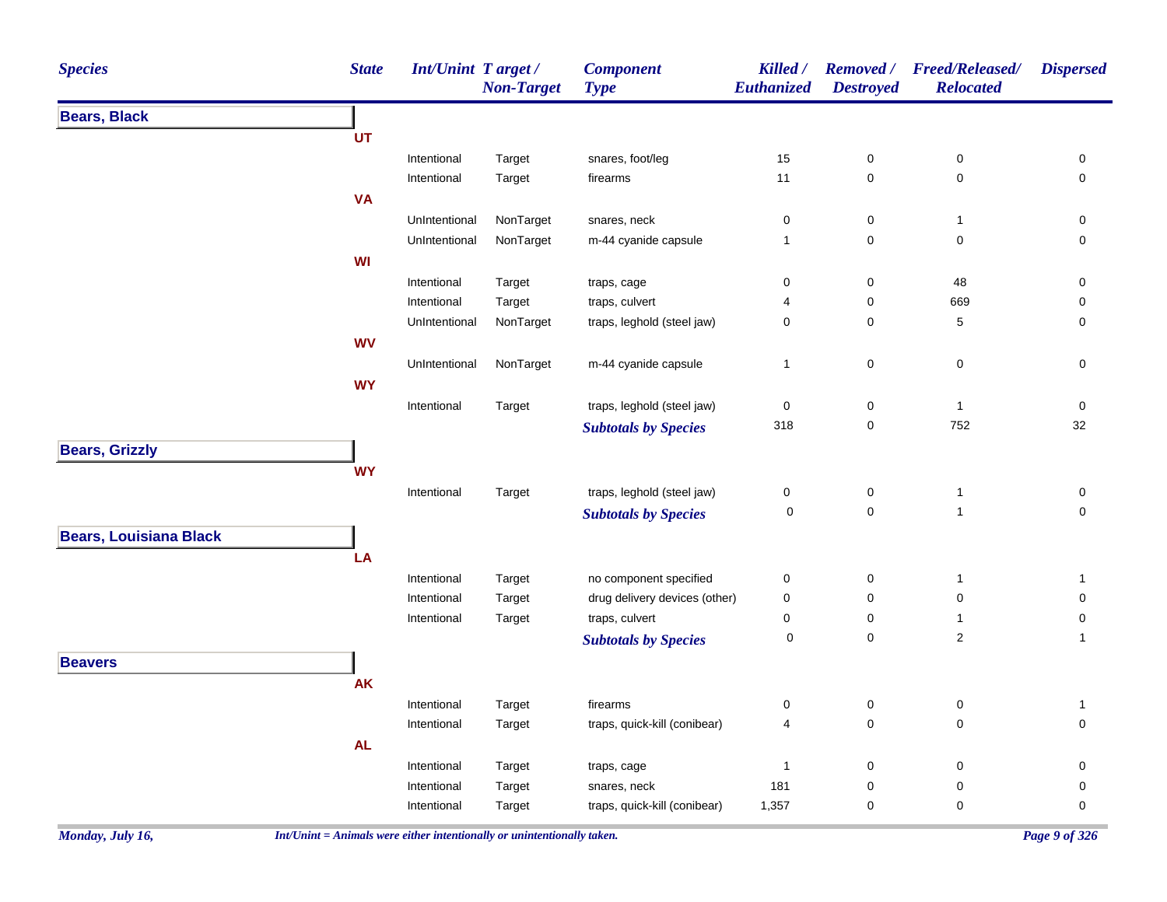| <b>Species</b>                | <b>State</b> | <b>Int/Unint Target/</b>   | <b>Non-Target</b> | <b>Component</b><br><b>Type</b>              | Killed /<br>Euthanized | <b>Removed</b> /<br><b>Destroyed</b> | <b>Freed/Released/</b><br><b>Relocated</b> | <b>Dispersed</b>    |
|-------------------------------|--------------|----------------------------|-------------------|----------------------------------------------|------------------------|--------------------------------------|--------------------------------------------|---------------------|
| <b>Bears, Black</b>           |              |                            |                   |                                              |                        |                                      |                                            |                     |
|                               | UT           |                            |                   |                                              |                        |                                      |                                            |                     |
|                               |              | Intentional                | Target            | snares, foot/leg                             | 15                     | $\pmb{0}$                            | 0                                          | 0                   |
|                               |              | Intentional                | Target            | firearms                                     | 11                     | 0                                    | $\mathsf 0$                                | $\pmb{0}$           |
|                               | <b>VA</b>    |                            |                   |                                              |                        |                                      |                                            |                     |
|                               |              | UnIntentional              | NonTarget         | snares, neck                                 | 0                      | 0                                    | $\mathbf{1}$                               | $\pmb{0}$           |
|                               |              | UnIntentional              | NonTarget         | m-44 cyanide capsule                         | $\mathbf{1}$           | 0                                    | $\pmb{0}$                                  | $\pmb{0}$           |
|                               | WI           |                            |                   |                                              |                        |                                      |                                            |                     |
|                               |              | Intentional                | Target            | traps, cage                                  | 0                      | 0                                    | 48                                         | 0                   |
|                               |              | Intentional                | Target            | traps, culvert                               | 4                      | 0                                    | 669                                        | 0                   |
|                               |              | UnIntentional              | NonTarget         | traps, leghold (steel jaw)                   | 0                      | 0                                    | 5                                          | $\pmb{0}$           |
|                               | <b>WV</b>    |                            |                   |                                              |                        |                                      |                                            |                     |
|                               |              | UnIntentional              | NonTarget         | m-44 cyanide capsule                         | $\mathbf{1}$           | $\mathsf 0$                          | 0                                          | 0                   |
|                               | <b>WY</b>    |                            |                   |                                              |                        |                                      |                                            |                     |
|                               |              | Intentional                | Target            | traps, leghold (steel jaw)                   | 0                      | 0                                    | $\mathbf{1}$                               | 0                   |
|                               |              |                            |                   | <b>Subtotals by Species</b>                  | 318                    | 0                                    | 752                                        | 32                  |
| <b>Bears, Grizzly</b>         |              |                            |                   |                                              |                        |                                      |                                            |                     |
|                               | <b>WY</b>    |                            |                   |                                              |                        |                                      |                                            |                     |
|                               |              | Intentional                | Target            | traps, leghold (steel jaw)                   | 0                      | 0                                    | $\mathbf{1}$                               | 0                   |
|                               |              |                            |                   | <b>Subtotals by Species</b>                  | 0                      | 0                                    | $\mathbf{1}$                               | $\mathsf{O}\xspace$ |
| <b>Bears, Louisiana Black</b> |              |                            |                   |                                              |                        |                                      |                                            |                     |
|                               | LA           |                            |                   |                                              |                        |                                      |                                            |                     |
|                               |              | Intentional                | Target            | no component specified                       | 0                      | $\pmb{0}$                            | $\mathbf{1}$                               | $\mathbf{1}$        |
|                               |              | Intentional                | Target            | drug delivery devices (other)                | 0                      | 0                                    | 0                                          | $\pmb{0}$           |
|                               |              | Intentional                | Target            | traps, culvert                               | 0                      | 0                                    | $\mathbf{1}$                               | $\pmb{0}$           |
|                               |              |                            |                   | <b>Subtotals by Species</b>                  | 0                      | 0                                    | $\overline{2}$                             | $\mathbf{1}$        |
| <b>Beavers</b>                |              |                            |                   |                                              |                        |                                      |                                            |                     |
|                               | <b>AK</b>    |                            |                   |                                              |                        |                                      |                                            |                     |
|                               |              | Intentional                |                   | firearms                                     | 0                      | $\pmb{0}$                            | $\mathsf 0$                                |                     |
|                               |              | Intentional                | Target            | traps, quick-kill (conibear)                 | 4                      | $\mathsf 0$                          | $\pmb{0}$                                  | 1<br>$\pmb{0}$      |
|                               |              |                            | Target            |                                              |                        |                                      |                                            |                     |
|                               | AL           |                            |                   |                                              |                        |                                      |                                            |                     |
|                               |              | Intentional                | Target            | traps, cage                                  | 1<br>181               | 0<br>0                               | 0<br>0                                     | $\mathbf 0$<br>0    |
|                               |              | Intentional<br>Intentional | Target            | snares, neck<br>traps, quick-kill (conibear) | 1,357                  | 0                                    | 0                                          | $\mathsf{O}\xspace$ |
|                               |              |                            | Target            |                                              |                        |                                      |                                            |                     |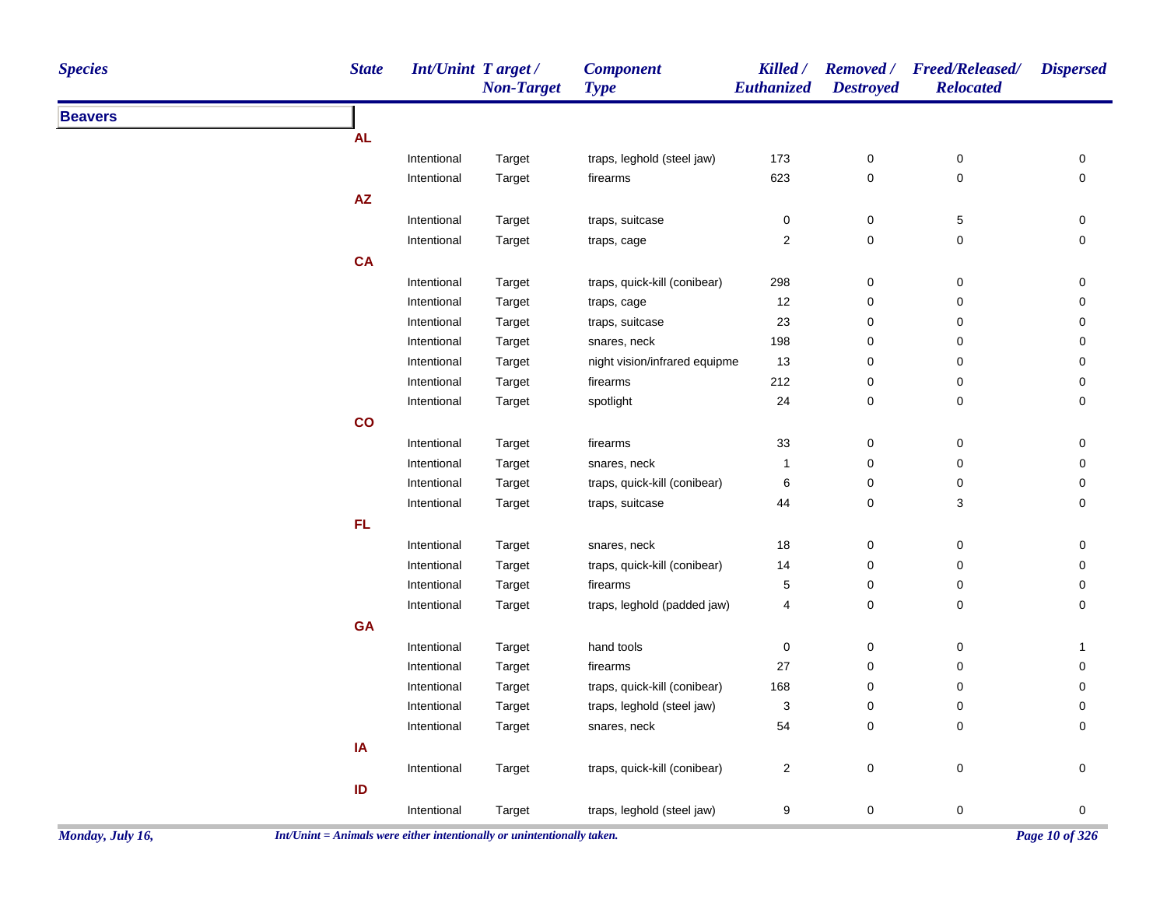| <b>Species</b> | <b>State</b> | <b>Int/Unint Target/</b> | <b>Non-Target</b> | <b>Component</b><br><b>Type</b> | Killed /<br><b>Euthanized</b> | <b>Destroyed</b> | Removed / Freed/Released/<br><b>Relocated</b> | <b>Dispersed</b> |
|----------------|--------------|--------------------------|-------------------|---------------------------------|-------------------------------|------------------|-----------------------------------------------|------------------|
| <b>Beavers</b> |              |                          |                   |                                 |                               |                  |                                               |                  |
|                | <b>AL</b>    |                          |                   |                                 |                               |                  |                                               |                  |
|                |              | Intentional              | Target            | traps, leghold (steel jaw)      | 173                           | $\pmb{0}$        | $\pmb{0}$                                     | 0                |
|                |              | Intentional              | Target            | firearms                        | 623                           | $\pmb{0}$        | $\mathbf 0$                                   | 0                |
|                | AZ           |                          |                   |                                 |                               |                  |                                               |                  |
|                |              | Intentional              | Target            | traps, suitcase                 | $\mathbf 0$                   | $\pmb{0}$        | $\,$ 5 $\,$                                   | 0                |
|                |              | Intentional              | Target            | traps, cage                     | $\overline{\mathbf{c}}$       | $\pmb{0}$        | 0                                             | 0                |
|                | <b>CA</b>    |                          |                   |                                 |                               |                  |                                               |                  |
|                |              | Intentional              | Target            | traps, quick-kill (conibear)    | 298                           | $\pmb{0}$        | 0                                             | 0                |
|                |              | Intentional              | Target            | traps, cage                     | 12                            | $\boldsymbol{0}$ | 0                                             | 0                |
|                |              | Intentional              | Target            | traps, suitcase                 | 23                            | $\boldsymbol{0}$ | $\pmb{0}$                                     | 0                |
|                |              | Intentional              | Target            | snares, neck                    | 198                           | $\mathbf 0$      | $\pmb{0}$                                     | 0                |
|                |              | Intentional              | Target            | night vision/infrared equipme   | 13                            | $\mathbf 0$      | $\pmb{0}$                                     | 0                |
|                |              | Intentional              | Target            | firearms                        | 212                           | $\pmb{0}$        | 0                                             | 0                |
|                |              | Intentional              | Target            | spotlight                       | 24                            | $\pmb{0}$        | $\mathbf 0$                                   | 0                |
|                | co           |                          |                   |                                 |                               |                  |                                               |                  |
|                |              | Intentional              | Target            | firearms                        | 33                            | $\mathbf 0$      | 0                                             | 0                |
|                |              | Intentional              | Target            | snares, neck                    | $\overline{1}$                | $\pmb{0}$        | 0                                             | 0                |
|                |              | Intentional              | Target            | traps, quick-kill (conibear)    | 6                             | $\mathbf 0$      | 0                                             | 0                |
|                |              | Intentional              | Target            | traps, suitcase                 | 44                            | $\mathbf 0$      | $\ensuremath{\mathsf{3}}$                     | 0                |
|                | FL           |                          |                   |                                 |                               |                  |                                               |                  |
|                |              | Intentional              | Target            | snares, neck                    | 18                            | $\pmb{0}$        | $\mathsf{O}\xspace$                           | 0                |
|                |              | Intentional              | Target            | traps, quick-kill (conibear)    | 14                            | $\pmb{0}$        | 0                                             | 0                |
|                |              | Intentional              | Target            | firearms                        | 5                             | $\mathbf 0$      | 0                                             | 0                |
|                |              | Intentional              | Target            | traps, leghold (padded jaw)     | $\overline{4}$                | $\mathbf 0$      | 0                                             | 0                |
|                | <b>GA</b>    |                          |                   |                                 |                               |                  |                                               |                  |
|                |              | Intentional              | Target            | hand tools                      | $\pmb{0}$                     | $\pmb{0}$        | $\pmb{0}$                                     | $\mathbf{1}$     |
|                |              | Intentional              | Target            | firearms                        | 27                            | $\pmb{0}$        | 0                                             | 0                |
|                |              | Intentional              | Target            | traps, quick-kill (conibear)    | 168                           | $\mathbf 0$      | 0                                             | 0                |
|                |              | Intentional              | Target            | traps, leghold (steel jaw)      | $\mathbf{3}$                  | 0                | $\mathbf 0$                                   | 0                |
|                |              | Intentional              | Target            | snares, neck                    | 54                            | $\mathbf 0$      | $\mathbf 0$                                   | 0                |
|                | IA           |                          |                   |                                 |                               |                  |                                               |                  |
|                |              | Intentional              | Target            | traps, quick-kill (conibear)    | $\sqrt{2}$                    | $\pmb{0}$        | $\mathbf 0$                                   | $\pmb{0}$        |
|                | ID           |                          |                   |                                 |                               |                  |                                               |                  |
|                |              | Intentional              | Target            | traps, leghold (steel jaw)      | 9                             | $\pmb{0}$        | $\pmb{0}$                                     | 0                |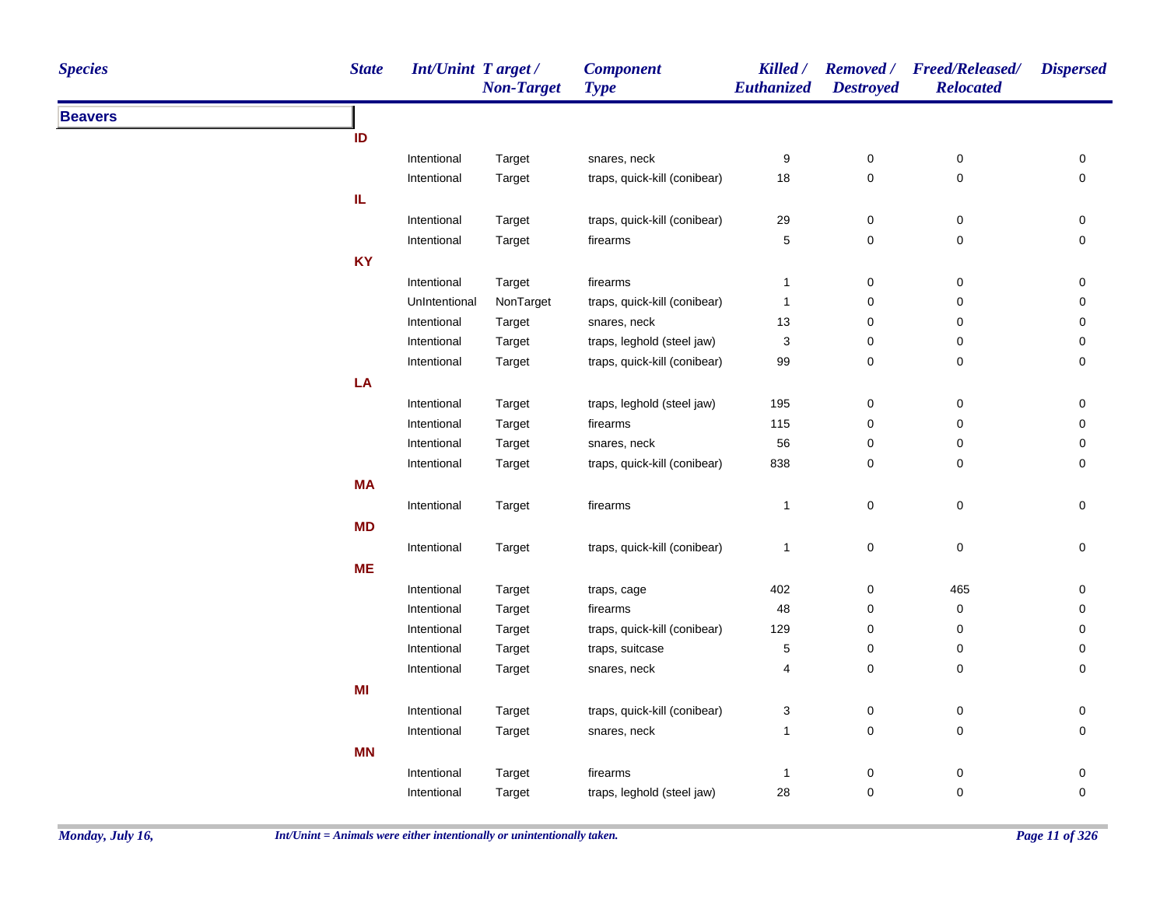| <b>Species</b> | <b>State</b> | <b>Int/Unint Target/</b> | <b>Non-Target</b> | <b>Component</b><br><b>Type</b> | Killed /<br><b>Euthanized</b> | <b>Destroyed</b> | Removed / Freed/Released/<br><b>Relocated</b> | <b>Dispersed</b> |
|----------------|--------------|--------------------------|-------------------|---------------------------------|-------------------------------|------------------|-----------------------------------------------|------------------|
| <b>Beavers</b> |              |                          |                   |                                 |                               |                  |                                               |                  |
|                | ID           |                          |                   |                                 |                               |                  |                                               |                  |
|                |              | Intentional              | Target            | snares, neck                    | 9                             | 0                | $\mathbf 0$                                   | 0                |
|                |              | Intentional              | Target            | traps, quick-kill (conibear)    | 18                            | $\pmb{0}$        | $\mathsf 0$                                   | 0                |
|                | IL           |                          |                   |                                 |                               |                  |                                               |                  |
|                |              | Intentional              | Target            | traps, quick-kill (conibear)    | 29                            | $\pmb{0}$        | 0                                             | 0                |
|                |              | Intentional              | Target            | firearms                        | $\,$ 5 $\,$                   | $\pmb{0}$        | $\mathsf 0$                                   | 0                |
|                | <b>KY</b>    |                          |                   |                                 |                               |                  |                                               |                  |
|                |              | Intentional              | Target            | firearms                        | $\mathbf{1}$                  | $\mathsf 0$      | $\mathbf 0$                                   | 0                |
|                |              | UnIntentional            | NonTarget         | traps, quick-kill (conibear)    | $\overline{1}$                | 0                | $\mathbf 0$                                   | 0                |
|                |              | Intentional              | Target            | snares, neck                    | 13                            | $\mathbf 0$      | $\mathbf 0$                                   | 0                |
|                |              | Intentional              | Target            | traps, leghold (steel jaw)      | 3                             | 0                | 0                                             | 0                |
|                |              | Intentional              | Target            | traps, quick-kill (conibear)    | 99                            | $\mathbf 0$      | $\mathbf 0$                                   | 0                |
|                | LA           |                          |                   |                                 |                               |                  |                                               |                  |
|                |              | Intentional              | Target            | traps, leghold (steel jaw)      | 195                           | $\pmb{0}$        | 0                                             | 0                |
|                |              | Intentional              | Target            | firearms                        | 115                           | 0                | $\mathbf 0$                                   | 0                |
|                |              | Intentional              | Target            | snares, neck                    | 56                            | 0                | 0                                             | 0                |
|                |              | Intentional              | Target            | traps, quick-kill (conibear)    | 838                           | 0                | $\mathbf 0$                                   | 0                |
|                | <b>MA</b>    |                          |                   |                                 |                               |                  |                                               |                  |
|                |              | Intentional              | Target            | firearms                        | $\overline{1}$                | $\mathsf 0$      | $\mathsf 0$                                   | $\mathbf 0$      |
|                | <b>MD</b>    |                          |                   |                                 |                               |                  |                                               |                  |
|                |              | Intentional              | Target            | traps, quick-kill (conibear)    | $\mathbf{1}$                  | $\pmb{0}$        | 0                                             | 0                |
|                | <b>ME</b>    |                          |                   |                                 |                               |                  |                                               |                  |
|                |              | Intentional              | Target            | traps, cage                     | 402                           | $\mathsf 0$      | 465                                           | $\mathbf 0$      |
|                |              | Intentional              | Target            | firearms                        | 48                            | 0                | $\mathsf 0$                                   | 0                |
|                |              | Intentional              | Target            | traps, quick-kill (conibear)    | 129                           | $\mathbf 0$      | $\mathbf 0$                                   | 0                |
|                |              | Intentional              | Target            | traps, suitcase                 | $\,$ 5 $\,$                   | 0                | $\mathbf 0$                                   | 0                |
|                |              | Intentional              | Target            | snares, neck                    | 4                             | $\mathbf 0$      | $\mathbf 0$                                   | 0                |
|                | MI           |                          |                   |                                 |                               |                  |                                               |                  |
|                |              | Intentional              | Target            | traps, quick-kill (conibear)    | 3                             | 0                | 0                                             | $\pmb{0}$        |
|                |              | Intentional              | Target            | snares, neck                    | $\mathbf{1}$                  | $\mathsf 0$      | $\mathbf 0$                                   | 0                |
|                | <b>MN</b>    |                          |                   |                                 |                               |                  |                                               |                  |
|                |              | Intentional              | Target            | firearms                        | $\overline{1}$                | 0                | $\mathbf 0$                                   | $\pmb{0}$        |
|                |              | Intentional              | Target            | traps, leghold (steel jaw)      | 28                            | $\mathbf 0$      | $\mathbf 0$                                   | $\mathbf 0$      |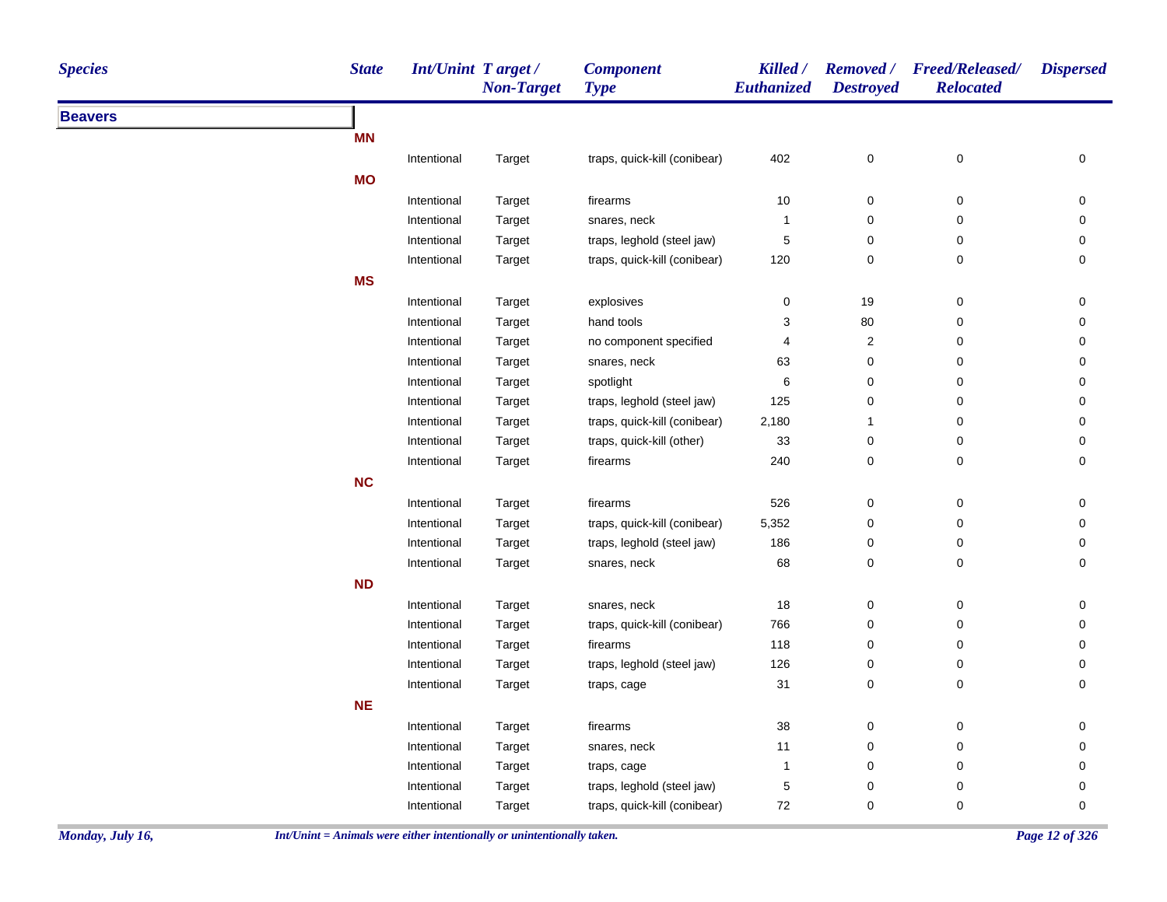| <b>Beavers</b><br><b>MN</b><br>402<br>$\mathsf{O}\xspace$<br>0<br>Intentional<br>traps, quick-kill (conibear)<br>Target<br><b>MO</b><br>$\pmb{0}$<br>firearms<br>10<br>0<br>Intentional<br>Target<br>$\pmb{0}$<br>$\pmb{0}$<br>Intentional<br>Target<br>snares, neck<br>1<br>Intentional<br>Target<br>traps, leghold (steel jaw)<br>5<br>0<br>0<br>0<br>Intentional<br>traps, quick-kill (conibear)<br>120<br>0<br>Target<br><b>MS</b><br>$\mathsf 0$<br>0<br>19<br>Intentional<br>Target<br>explosives<br>hand tools<br>3<br>80<br>0<br>Intentional<br>Target<br>$\overline{c}$<br>0<br>Intentional<br>Target<br>no component specified<br>4<br>0<br>0<br>Intentional<br>Target<br>snares, neck<br>63<br>spotlight<br>6<br>$\mathbf 0$<br>0<br>Intentional<br>Target<br>traps, leghold (steel jaw)<br>125<br>$\pmb{0}$<br>0<br>Intentional<br>Target<br>traps, quick-kill (conibear)<br>2,180<br>0<br>Intentional<br>Target<br>$\mathbf{1}$<br>traps, quick-kill (other)<br>33<br>$\mathsf{O}\xspace$<br>0<br>Intentional<br>Target<br>240<br>0<br>0<br>Intentional<br>Target<br>firearms<br>NC<br>Intentional<br>firearms<br>526<br>0<br>0<br>Target<br>5,352<br>traps, quick-kill (conibear)<br>0<br>0<br>Intentional<br>Target<br>186<br>$\pmb{0}$<br>Target<br>traps, leghold (steel jaw)<br>0<br>Intentional<br>68<br>0<br>0<br>Intentional<br><b>Target</b><br>snares, neck<br><b>ND</b><br>18<br>$\pmb{0}$<br>$\pmb{0}$<br>Intentional<br>Target<br>snares, neck<br>traps, quick-kill (conibear)<br>766<br>$\pmb{0}$<br>0<br>Intentional<br>Target<br>118<br>Intentional<br>Target<br>firearms<br>0<br>0<br>traps, leghold (steel jaw)<br>Intentional<br>Target<br>126<br>0<br>0<br>31<br>$\mathsf{O}\xspace$<br>0<br>Intentional<br>Target<br>traps, cage<br><b>NE</b><br>38<br>$\mathbf 0$<br>0<br>Intentional<br>Target<br>firearms<br>11<br>Intentional<br>Target<br>snares, neck<br>0<br>0<br>$\mathbf 0$<br>0<br>Intentional<br>Target<br>traps, cage<br>1 | <b>Species</b> | <b>State</b> | Int/Unint Target/ | <b>Non-Target</b> | <b>Component</b><br><b>Type</b> | Killed /<br>Euthanized | <b>Destroyed</b> | Removed / Freed/Released/<br><b>Relocated</b> | <b>Dispersed</b>    |
|--------------------------------------------------------------------------------------------------------------------------------------------------------------------------------------------------------------------------------------------------------------------------------------------------------------------------------------------------------------------------------------------------------------------------------------------------------------------------------------------------------------------------------------------------------------------------------------------------------------------------------------------------------------------------------------------------------------------------------------------------------------------------------------------------------------------------------------------------------------------------------------------------------------------------------------------------------------------------------------------------------------------------------------------------------------------------------------------------------------------------------------------------------------------------------------------------------------------------------------------------------------------------------------------------------------------------------------------------------------------------------------------------------------------------------------------------------------------------------------------------------------------------------------------------------------------------------------------------------------------------------------------------------------------------------------------------------------------------------------------------------------------------------------------------------------------------------------------------------------------------------------------------------------------------------------------------------------------------|----------------|--------------|-------------------|-------------------|---------------------------------|------------------------|------------------|-----------------------------------------------|---------------------|
|                                                                                                                                                                                                                                                                                                                                                                                                                                                                                                                                                                                                                                                                                                                                                                                                                                                                                                                                                                                                                                                                                                                                                                                                                                                                                                                                                                                                                                                                                                                                                                                                                                                                                                                                                                                                                                                                                                                                                                          |                |              |                   |                   |                                 |                        |                  |                                               |                     |
|                                                                                                                                                                                                                                                                                                                                                                                                                                                                                                                                                                                                                                                                                                                                                                                                                                                                                                                                                                                                                                                                                                                                                                                                                                                                                                                                                                                                                                                                                                                                                                                                                                                                                                                                                                                                                                                                                                                                                                          |                |              |                   |                   |                                 |                        |                  |                                               |                     |
|                                                                                                                                                                                                                                                                                                                                                                                                                                                                                                                                                                                                                                                                                                                                                                                                                                                                                                                                                                                                                                                                                                                                                                                                                                                                                                                                                                                                                                                                                                                                                                                                                                                                                                                                                                                                                                                                                                                                                                          |                |              |                   |                   |                                 |                        |                  |                                               | 0                   |
|                                                                                                                                                                                                                                                                                                                                                                                                                                                                                                                                                                                                                                                                                                                                                                                                                                                                                                                                                                                                                                                                                                                                                                                                                                                                                                                                                                                                                                                                                                                                                                                                                                                                                                                                                                                                                                                                                                                                                                          |                |              |                   |                   |                                 |                        |                  |                                               |                     |
|                                                                                                                                                                                                                                                                                                                                                                                                                                                                                                                                                                                                                                                                                                                                                                                                                                                                                                                                                                                                                                                                                                                                                                                                                                                                                                                                                                                                                                                                                                                                                                                                                                                                                                                                                                                                                                                                                                                                                                          |                |              |                   |                   |                                 |                        |                  |                                               | 0                   |
|                                                                                                                                                                                                                                                                                                                                                                                                                                                                                                                                                                                                                                                                                                                                                                                                                                                                                                                                                                                                                                                                                                                                                                                                                                                                                                                                                                                                                                                                                                                                                                                                                                                                                                                                                                                                                                                                                                                                                                          |                |              |                   |                   |                                 |                        |                  |                                               | 0                   |
|                                                                                                                                                                                                                                                                                                                                                                                                                                                                                                                                                                                                                                                                                                                                                                                                                                                                                                                                                                                                                                                                                                                                                                                                                                                                                                                                                                                                                                                                                                                                                                                                                                                                                                                                                                                                                                                                                                                                                                          |                |              |                   |                   |                                 |                        |                  |                                               | 0                   |
|                                                                                                                                                                                                                                                                                                                                                                                                                                                                                                                                                                                                                                                                                                                                                                                                                                                                                                                                                                                                                                                                                                                                                                                                                                                                                                                                                                                                                                                                                                                                                                                                                                                                                                                                                                                                                                                                                                                                                                          |                |              |                   |                   |                                 |                        |                  |                                               | 0                   |
|                                                                                                                                                                                                                                                                                                                                                                                                                                                                                                                                                                                                                                                                                                                                                                                                                                                                                                                                                                                                                                                                                                                                                                                                                                                                                                                                                                                                                                                                                                                                                                                                                                                                                                                                                                                                                                                                                                                                                                          |                |              |                   |                   |                                 |                        |                  |                                               |                     |
|                                                                                                                                                                                                                                                                                                                                                                                                                                                                                                                                                                                                                                                                                                                                                                                                                                                                                                                                                                                                                                                                                                                                                                                                                                                                                                                                                                                                                                                                                                                                                                                                                                                                                                                                                                                                                                                                                                                                                                          |                |              |                   |                   |                                 |                        |                  |                                               | 0                   |
|                                                                                                                                                                                                                                                                                                                                                                                                                                                                                                                                                                                                                                                                                                                                                                                                                                                                                                                                                                                                                                                                                                                                                                                                                                                                                                                                                                                                                                                                                                                                                                                                                                                                                                                                                                                                                                                                                                                                                                          |                |              |                   |                   |                                 |                        |                  |                                               | 0                   |
|                                                                                                                                                                                                                                                                                                                                                                                                                                                                                                                                                                                                                                                                                                                                                                                                                                                                                                                                                                                                                                                                                                                                                                                                                                                                                                                                                                                                                                                                                                                                                                                                                                                                                                                                                                                                                                                                                                                                                                          |                |              |                   |                   |                                 |                        |                  |                                               | 0                   |
|                                                                                                                                                                                                                                                                                                                                                                                                                                                                                                                                                                                                                                                                                                                                                                                                                                                                                                                                                                                                                                                                                                                                                                                                                                                                                                                                                                                                                                                                                                                                                                                                                                                                                                                                                                                                                                                                                                                                                                          |                |              |                   |                   |                                 |                        |                  |                                               | 0                   |
|                                                                                                                                                                                                                                                                                                                                                                                                                                                                                                                                                                                                                                                                                                                                                                                                                                                                                                                                                                                                                                                                                                                                                                                                                                                                                                                                                                                                                                                                                                                                                                                                                                                                                                                                                                                                                                                                                                                                                                          |                |              |                   |                   |                                 |                        |                  |                                               | 0                   |
|                                                                                                                                                                                                                                                                                                                                                                                                                                                                                                                                                                                                                                                                                                                                                                                                                                                                                                                                                                                                                                                                                                                                                                                                                                                                                                                                                                                                                                                                                                                                                                                                                                                                                                                                                                                                                                                                                                                                                                          |                |              |                   |                   |                                 |                        |                  |                                               | 0                   |
|                                                                                                                                                                                                                                                                                                                                                                                                                                                                                                                                                                                                                                                                                                                                                                                                                                                                                                                                                                                                                                                                                                                                                                                                                                                                                                                                                                                                                                                                                                                                                                                                                                                                                                                                                                                                                                                                                                                                                                          |                |              |                   |                   |                                 |                        |                  |                                               | $\mathbf 0$         |
|                                                                                                                                                                                                                                                                                                                                                                                                                                                                                                                                                                                                                                                                                                                                                                                                                                                                                                                                                                                                                                                                                                                                                                                                                                                                                                                                                                                                                                                                                                                                                                                                                                                                                                                                                                                                                                                                                                                                                                          |                |              |                   |                   |                                 |                        |                  |                                               | 0                   |
|                                                                                                                                                                                                                                                                                                                                                                                                                                                                                                                                                                                                                                                                                                                                                                                                                                                                                                                                                                                                                                                                                                                                                                                                                                                                                                                                                                                                                                                                                                                                                                                                                                                                                                                                                                                                                                                                                                                                                                          |                |              |                   |                   |                                 |                        |                  |                                               | $\mathbf 0$         |
|                                                                                                                                                                                                                                                                                                                                                                                                                                                                                                                                                                                                                                                                                                                                                                                                                                                                                                                                                                                                                                                                                                                                                                                                                                                                                                                                                                                                                                                                                                                                                                                                                                                                                                                                                                                                                                                                                                                                                                          |                |              |                   |                   |                                 |                        |                  |                                               |                     |
|                                                                                                                                                                                                                                                                                                                                                                                                                                                                                                                                                                                                                                                                                                                                                                                                                                                                                                                                                                                                                                                                                                                                                                                                                                                                                                                                                                                                                                                                                                                                                                                                                                                                                                                                                                                                                                                                                                                                                                          |                |              |                   |                   |                                 |                        |                  |                                               | 0                   |
|                                                                                                                                                                                                                                                                                                                                                                                                                                                                                                                                                                                                                                                                                                                                                                                                                                                                                                                                                                                                                                                                                                                                                                                                                                                                                                                                                                                                                                                                                                                                                                                                                                                                                                                                                                                                                                                                                                                                                                          |                |              |                   |                   |                                 |                        |                  |                                               | 0                   |
|                                                                                                                                                                                                                                                                                                                                                                                                                                                                                                                                                                                                                                                                                                                                                                                                                                                                                                                                                                                                                                                                                                                                                                                                                                                                                                                                                                                                                                                                                                                                                                                                                                                                                                                                                                                                                                                                                                                                                                          |                |              |                   |                   |                                 |                        |                  |                                               | 0                   |
|                                                                                                                                                                                                                                                                                                                                                                                                                                                                                                                                                                                                                                                                                                                                                                                                                                                                                                                                                                                                                                                                                                                                                                                                                                                                                                                                                                                                                                                                                                                                                                                                                                                                                                                                                                                                                                                                                                                                                                          |                |              |                   |                   |                                 |                        |                  |                                               | 0                   |
|                                                                                                                                                                                                                                                                                                                                                                                                                                                                                                                                                                                                                                                                                                                                                                                                                                                                                                                                                                                                                                                                                                                                                                                                                                                                                                                                                                                                                                                                                                                                                                                                                                                                                                                                                                                                                                                                                                                                                                          |                |              |                   |                   |                                 |                        |                  |                                               |                     |
|                                                                                                                                                                                                                                                                                                                                                                                                                                                                                                                                                                                                                                                                                                                                                                                                                                                                                                                                                                                                                                                                                                                                                                                                                                                                                                                                                                                                                                                                                                                                                                                                                                                                                                                                                                                                                                                                                                                                                                          |                |              |                   |                   |                                 |                        |                  |                                               | $\mathsf{O}\xspace$ |
|                                                                                                                                                                                                                                                                                                                                                                                                                                                                                                                                                                                                                                                                                                                                                                                                                                                                                                                                                                                                                                                                                                                                                                                                                                                                                                                                                                                                                                                                                                                                                                                                                                                                                                                                                                                                                                                                                                                                                                          |                |              |                   |                   |                                 |                        |                  |                                               | 0                   |
|                                                                                                                                                                                                                                                                                                                                                                                                                                                                                                                                                                                                                                                                                                                                                                                                                                                                                                                                                                                                                                                                                                                                                                                                                                                                                                                                                                                                                                                                                                                                                                                                                                                                                                                                                                                                                                                                                                                                                                          |                |              |                   |                   |                                 |                        |                  |                                               | 0                   |
|                                                                                                                                                                                                                                                                                                                                                                                                                                                                                                                                                                                                                                                                                                                                                                                                                                                                                                                                                                                                                                                                                                                                                                                                                                                                                                                                                                                                                                                                                                                                                                                                                                                                                                                                                                                                                                                                                                                                                                          |                |              |                   |                   |                                 |                        |                  |                                               | 0                   |
|                                                                                                                                                                                                                                                                                                                                                                                                                                                                                                                                                                                                                                                                                                                                                                                                                                                                                                                                                                                                                                                                                                                                                                                                                                                                                                                                                                                                                                                                                                                                                                                                                                                                                                                                                                                                                                                                                                                                                                          |                |              |                   |                   |                                 |                        |                  |                                               | 0                   |
|                                                                                                                                                                                                                                                                                                                                                                                                                                                                                                                                                                                                                                                                                                                                                                                                                                                                                                                                                                                                                                                                                                                                                                                                                                                                                                                                                                                                                                                                                                                                                                                                                                                                                                                                                                                                                                                                                                                                                                          |                |              |                   |                   |                                 |                        |                  |                                               |                     |
|                                                                                                                                                                                                                                                                                                                                                                                                                                                                                                                                                                                                                                                                                                                                                                                                                                                                                                                                                                                                                                                                                                                                                                                                                                                                                                                                                                                                                                                                                                                                                                                                                                                                                                                                                                                                                                                                                                                                                                          |                |              |                   |                   |                                 |                        |                  |                                               | 0                   |
|                                                                                                                                                                                                                                                                                                                                                                                                                                                                                                                                                                                                                                                                                                                                                                                                                                                                                                                                                                                                                                                                                                                                                                                                                                                                                                                                                                                                                                                                                                                                                                                                                                                                                                                                                                                                                                                                                                                                                                          |                |              |                   |                   |                                 |                        |                  |                                               | $\mathbf 0$         |
|                                                                                                                                                                                                                                                                                                                                                                                                                                                                                                                                                                                                                                                                                                                                                                                                                                                                                                                                                                                                                                                                                                                                                                                                                                                                                                                                                                                                                                                                                                                                                                                                                                                                                                                                                                                                                                                                                                                                                                          |                |              |                   |                   |                                 |                        |                  |                                               | 0                   |
| Target                                                                                                                                                                                                                                                                                                                                                                                                                                                                                                                                                                                                                                                                                                                                                                                                                                                                                                                                                                                                                                                                                                                                                                                                                                                                                                                                                                                                                                                                                                                                                                                                                                                                                                                                                                                                                                                                                                                                                                   |                |              | Intentional       |                   | traps, leghold (steel jaw)      | $\mathbf 5$            | $\pmb{0}$        | 0                                             | $\mathsf{O}\xspace$ |
| traps, quick-kill (conibear)<br>72<br>0<br>0<br>Intentional<br>Target                                                                                                                                                                                                                                                                                                                                                                                                                                                                                                                                                                                                                                                                                                                                                                                                                                                                                                                                                                                                                                                                                                                                                                                                                                                                                                                                                                                                                                                                                                                                                                                                                                                                                                                                                                                                                                                                                                    |                |              |                   |                   |                                 |                        |                  |                                               | 0                   |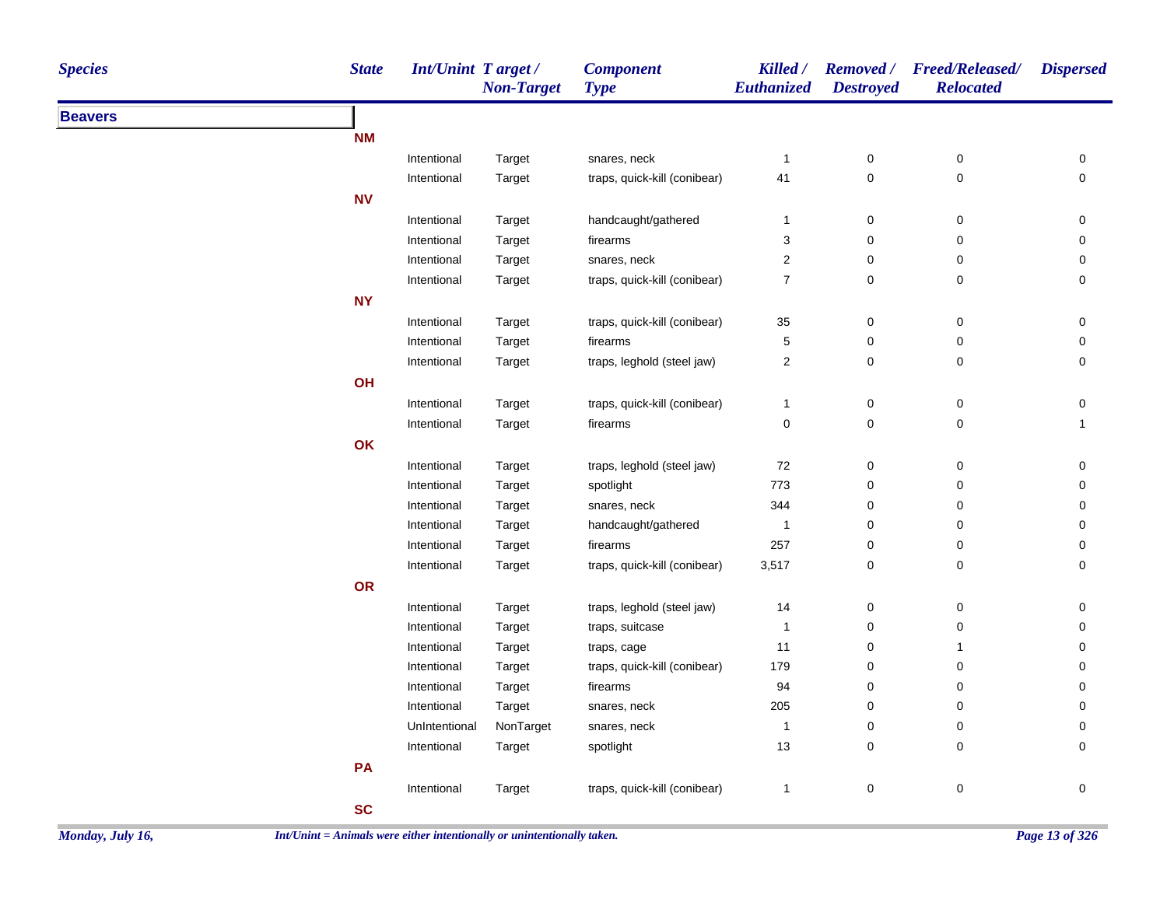| <b>Species</b> | <b>State</b> | Int/Unint Target / | <b>Non-Target</b> | <b>Component</b><br><b>Type</b> | Killed /<br>Euthanized | <b>Removed</b> /<br><b>Destroyed</b> | <b>Freed/Released/</b><br><b>Relocated</b> | <b>Dispersed</b>    |
|----------------|--------------|--------------------|-------------------|---------------------------------|------------------------|--------------------------------------|--------------------------------------------|---------------------|
| <b>Beavers</b> |              |                    |                   |                                 |                        |                                      |                                            |                     |
|                | <b>NM</b>    |                    |                   |                                 |                        |                                      |                                            |                     |
|                |              | Intentional        | Target            | snares, neck                    | $\mathbf{1}$           | $\pmb{0}$                            | $\pmb{0}$                                  | $\pmb{0}$           |
|                |              | Intentional        | Target            | traps, quick-kill (conibear)    | 41                     | $\mathbf 0$                          | 0                                          | $\pmb{0}$           |
|                | <b>NV</b>    |                    |                   |                                 |                        |                                      |                                            |                     |
|                |              | Intentional        | Target            | handcaught/gathered             | $\mathbf{1}$           | $\pmb{0}$                            | $\pmb{0}$                                  | $\pmb{0}$           |
|                |              | Intentional        | Target            | firearms                        | $\sqrt{3}$             | $\pmb{0}$                            | $\mathbf 0$                                | 0                   |
|                |              | Intentional        | Target            | snares, neck                    | $\overline{2}$         | $\pmb{0}$                            | $\mathbf 0$                                | 0                   |
|                |              | Intentional        | Target            | traps, quick-kill (conibear)    | $\boldsymbol{7}$       | $\mathbf 0$                          | $\pmb{0}$                                  | $\mathsf{O}\xspace$ |
|                | <b>NY</b>    |                    |                   |                                 |                        |                                      |                                            |                     |
|                |              | Intentional        | Target            | traps, quick-kill (conibear)    | 35                     | $\pmb{0}$                            | $\mathbf 0$                                | 0                   |
|                |              | Intentional        | Target            | firearms                        | 5                      | $\pmb{0}$                            | $\mathbf 0$                                | 0                   |
|                |              | Intentional        | Target            | traps, leghold (steel jaw)      | $\sqrt{2}$             | $\mathbf 0$                          | $\mathbf 0$                                | 0                   |
|                | OH           |                    |                   |                                 |                        |                                      |                                            |                     |
|                |              | Intentional        | Target            | traps, quick-kill (conibear)    | $\mathbf{1}$           | $\pmb{0}$                            | $\pmb{0}$                                  | $\pmb{0}$           |
|                |              | Intentional        | Target            | firearms                        | $\pmb{0}$              | $\mathbf 0$                          | $\pmb{0}$                                  | $\mathbf{1}$        |
|                | OK           |                    |                   |                                 |                        |                                      |                                            |                     |
|                |              | Intentional        | Target            | traps, leghold (steel jaw)      | 72                     | $\pmb{0}$                            | $\pmb{0}$                                  | $\pmb{0}$           |
|                |              | Intentional        | Target            | spotlight                       | 773                    | $\pmb{0}$                            | $\pmb{0}$                                  | $\mathsf{O}\xspace$ |
|                |              | Intentional        | Target            | snares, neck                    | 344                    | $\pmb{0}$                            | 0                                          | 0                   |
|                |              | Intentional        | Target            | handcaught/gathered             | $\mathbf{1}$           | $\pmb{0}$                            | $\mathbf 0$                                | $\mathsf{O}\xspace$ |
|                |              | Intentional        | Target            | firearms                        | 257                    | $\pmb{0}$                            | $\pmb{0}$                                  | $\mathsf{O}\xspace$ |
|                |              | Intentional        | Target            | traps, quick-kill (conibear)    | 3,517                  | $\pmb{0}$                            | $\pmb{0}$                                  | $\mathsf{O}\xspace$ |
|                | OR           |                    |                   |                                 |                        |                                      |                                            |                     |
|                |              | Intentional        | Target            | traps, leghold (steel jaw)      | 14                     | $\pmb{0}$                            | $\pmb{0}$                                  | $\pmb{0}$           |
|                |              | Intentional        | Target            | traps, suitcase                 | $\overline{1}$         | $\pmb{0}$                            | $\pmb{0}$                                  | 0                   |
|                |              | Intentional        | Target            | traps, cage                     | 11                     | $\pmb{0}$                            | $\mathbf{1}$                               | 0                   |
|                |              | Intentional        | Target            | traps, quick-kill (conibear)    | 179                    | $\mathbf 0$                          | 0                                          | 0                   |
|                |              | Intentional        | Target            | firearms                        | 94                     | $\mathbf 0$                          | 0                                          | 0                   |
|                |              | Intentional        | Target            | snares, neck                    | 205                    | $\mathbf 0$                          | 0                                          | 0                   |
|                |              | UnIntentional      | NonTarget         | snares, neck                    | $\overline{1}$         | $\mathbf 0$                          | 0                                          | 0                   |
|                |              | Intentional        | Target            | spotlight                       | 13                     | $\mathbf 0$                          | 0                                          | 0                   |
|                | PA           |                    |                   |                                 |                        |                                      |                                            |                     |
|                |              | Intentional        | Target            | traps, quick-kill (conibear)    | $\mathbf{1}$           | $\pmb{0}$                            | $\pmb{0}$                                  | $\pmb{0}$           |
|                | <b>SC</b>    |                    |                   |                                 |                        |                                      |                                            |                     |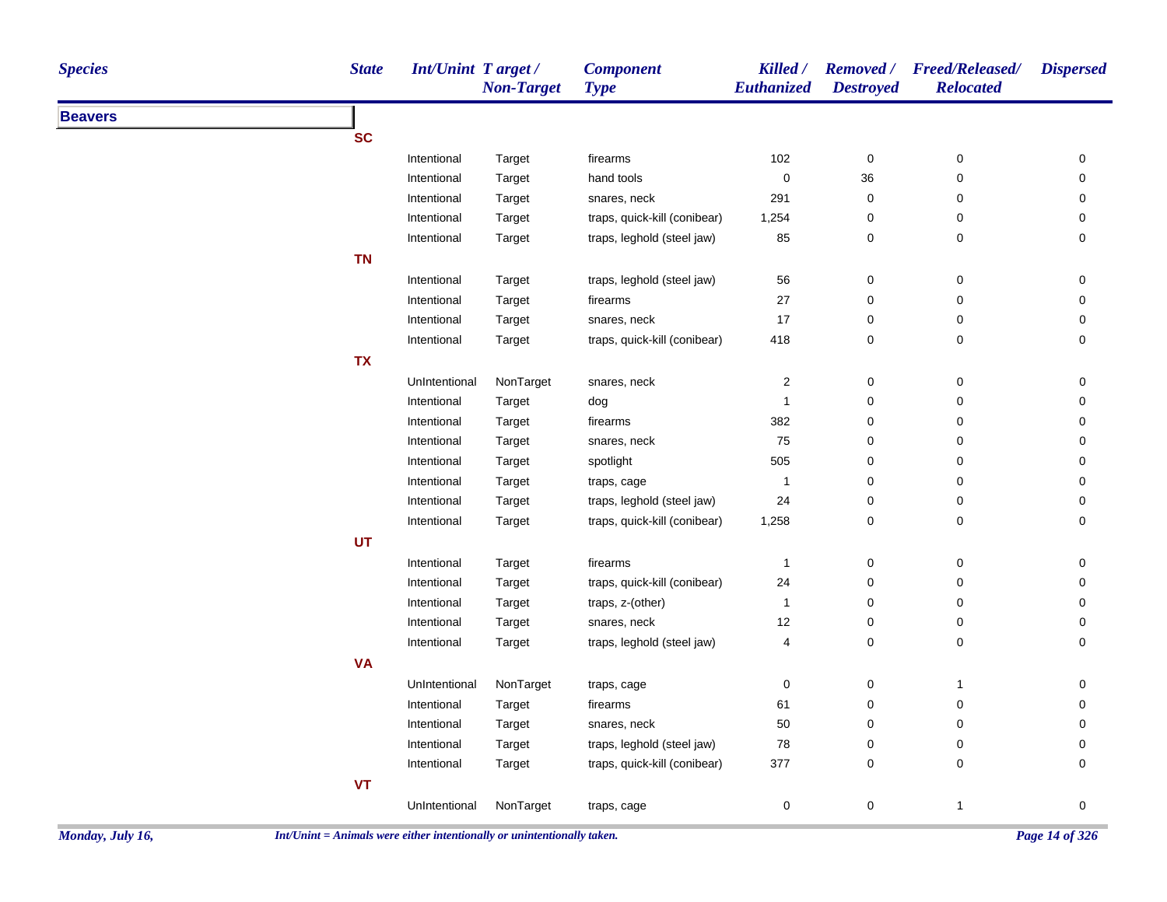| <b>Species</b> | <b>State</b> | Int/Unint Target / | <b>Non-Target</b> | <b>Component</b><br><b>Type</b> | Killed /<br>Euthanized  | <b>Destroyed</b> | Removed / Freed/Released/<br><b>Relocated</b> | <b>Dispersed</b> |
|----------------|--------------|--------------------|-------------------|---------------------------------|-------------------------|------------------|-----------------------------------------------|------------------|
| <b>Beavers</b> |              |                    |                   |                                 |                         |                  |                                               |                  |
|                | <b>SC</b>    |                    |                   |                                 |                         |                  |                                               |                  |
|                |              | Intentional        | Target            | firearms                        | 102                     | $\pmb{0}$        | $\pmb{0}$                                     | 0                |
|                |              | Intentional        | Target            | hand tools                      | $\boldsymbol{0}$        | 36               | $\mathbf 0$                                   | 0                |
|                |              | Intentional        | Target            | snares, neck                    | 291                     | $\pmb{0}$        | $\mathbf 0$                                   | 0                |
|                |              | Intentional        | Target            | traps, quick-kill (conibear)    | 1,254                   | 0                | 0                                             | 0                |
|                |              | Intentional        | Target            | traps, leghold (steel jaw)      | 85                      | 0                | 0                                             | 0                |
|                | <b>TN</b>    |                    |                   |                                 |                         |                  |                                               |                  |
|                |              | Intentional        | Target            | traps, leghold (steel jaw)      | 56                      | 0                | $\pmb{0}$                                     | $\mathbf 0$      |
|                |              | Intentional        | Target            | firearms                        | 27                      | 0                | $\pmb{0}$                                     | $\pmb{0}$        |
|                |              | Intentional        | Target            | snares, neck                    | 17                      | 0                | 0                                             | 0                |
|                |              | Intentional        | Target            | traps, quick-kill (conibear)    | 418                     | 0                | 0                                             | 0                |
|                | <b>TX</b>    |                    |                   |                                 |                         |                  |                                               |                  |
|                |              | UnIntentional      | NonTarget         | snares, neck                    | $\overline{\mathbf{c}}$ | 0                | 0                                             | 0                |
|                |              | Intentional        | Target            | dog                             | 1                       | 0                | 0                                             | 0                |
|                |              | Intentional        | Target            | firearms                        | 382                     | 0                | 0                                             | 0                |
|                |              | Intentional        | Target            | snares, neck                    | 75                      | 0                | $\pmb{0}$                                     | 0                |
|                |              | Intentional        | Target            | spotlight                       | 505                     | 0                | 0                                             | 0                |
|                |              | Intentional        | Target            | traps, cage                     | $\overline{1}$          | 0                | 0                                             | 0                |
|                |              | Intentional        | Target            | traps, leghold (steel jaw)      | 24                      | 0                | 0                                             | 0                |
|                |              | Intentional        | Target            | traps, quick-kill (conibear)    | 1,258                   | 0                | 0                                             | 0                |
|                | <b>UT</b>    |                    |                   |                                 |                         |                  |                                               |                  |
|                |              | Intentional        | Target            | firearms                        | $\mathbf{1}$            | $\mathbf 0$      | $\mathbf 0$                                   | 0                |
|                |              | Intentional        | Target            | traps, quick-kill (conibear)    | 24                      | 0                | 0                                             | 0                |
|                |              | Intentional        | Target            | traps, z-(other)                | $\mathbf{1}$            | 0                | 0                                             | 0                |
|                |              | Intentional        | Target            | snares, neck                    | 12                      | 0                | 0                                             | 0                |
|                |              | Intentional        | Target            | traps, leghold (steel jaw)      | $\overline{4}$          | $\mathbf 0$      | 0                                             | 0                |
|                | <b>VA</b>    |                    |                   |                                 |                         |                  |                                               |                  |
|                |              | UnIntentional      | NonTarget         | traps, cage                     | $\boldsymbol{0}$        | $\pmb{0}$        | $\mathbf{1}$                                  | 0                |
|                |              | Intentional        | Target            | firearms                        | 61                      | 0                | $\mathbf 0$                                   | 0                |
|                |              | Intentional        | Target            | snares, neck                    | 50                      | 0                | 0                                             | 0                |
|                |              | Intentional        | Target            | traps, leghold (steel jaw)      | 78                      | 0                | 0                                             | 0                |
|                |              | Intentional        | Target            | traps, quick-kill (conibear)    | 377                     | 0                | 0                                             | 0                |
|                | <b>VT</b>    |                    |                   |                                 |                         |                  |                                               |                  |
|                |              | UnIntentional      | NonTarget         | traps, cage                     | $\mathbf 0$             | 0                | $\mathbf{1}$                                  | 0                |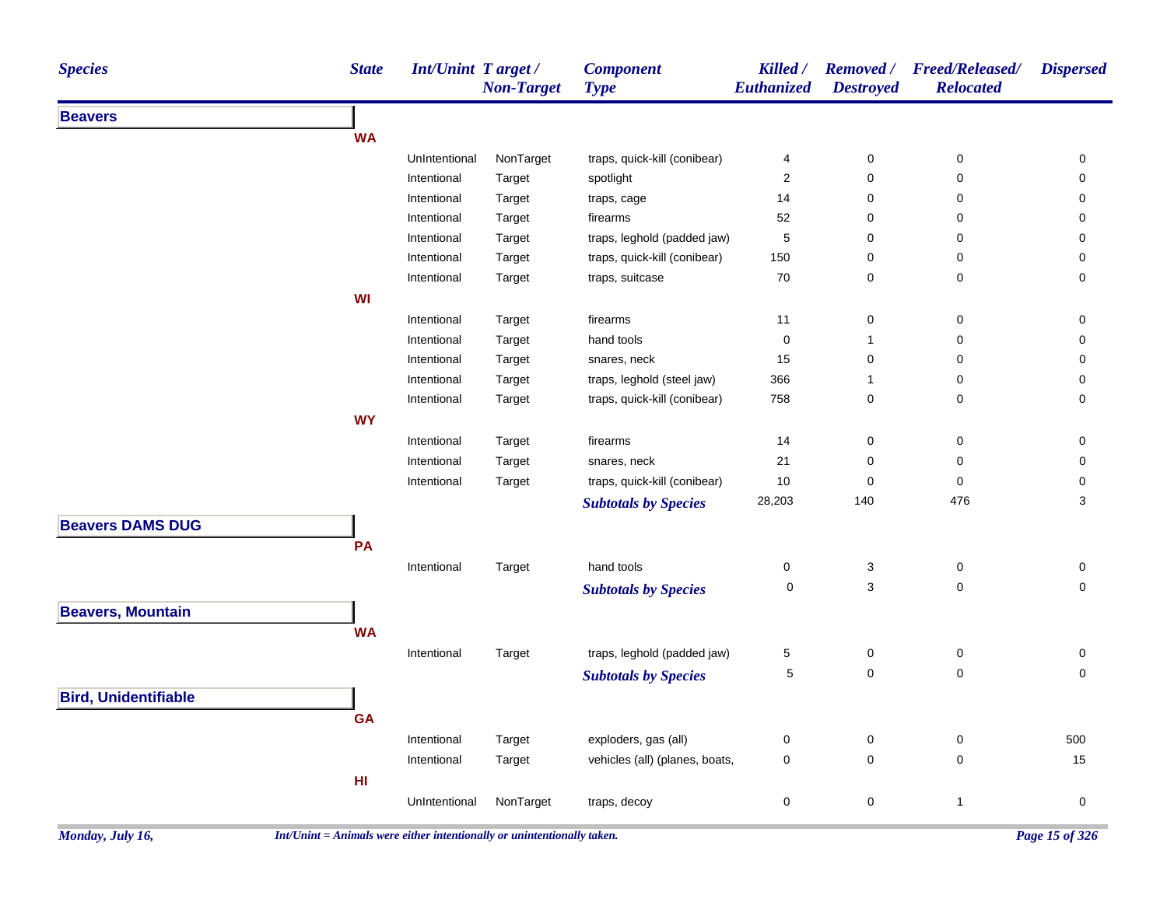| <b>Species</b>              | <b>State</b>    | Int/Unint Target/ | <b>Non-Target</b> | <b>Component</b><br><b>Type</b> | Killed /<br>Euthanized | <b>Destroyed</b> | Removed / Freed/Released/<br><b>Relocated</b> | <b>Dispersed</b> |
|-----------------------------|-----------------|-------------------|-------------------|---------------------------------|------------------------|------------------|-----------------------------------------------|------------------|
| <b>Beavers</b>              |                 |                   |                   |                                 |                        |                  |                                               |                  |
|                             | <b>WA</b>       |                   |                   |                                 |                        |                  |                                               |                  |
|                             |                 | UnIntentional     | NonTarget         | traps, quick-kill (conibear)    | 4                      | 0                | $\pmb{0}$                                     | 0                |
|                             |                 | Intentional       | Target            | spotlight                       | $\boldsymbol{2}$       | 0                | $\mathbf 0$                                   | 0                |
|                             |                 | Intentional       | Target            | traps, cage                     | 14                     | 0                | 0                                             | 0                |
|                             |                 | Intentional       | Target            | firearms                        | 52                     | 0                | 0                                             | 0                |
|                             |                 | Intentional       | Target            | traps, leghold (padded jaw)     | 5                      | 0                | 0                                             | 0                |
|                             |                 | Intentional       | Target            | traps, quick-kill (conibear)    | 150                    | 0                | 0                                             | 0                |
|                             |                 | Intentional       | Target            | traps, suitcase                 | 70                     | 0                | 0                                             | 0                |
|                             | WI              |                   |                   |                                 |                        |                  |                                               |                  |
|                             |                 | Intentional       | Target            | firearms                        | 11                     | 0                | $\pmb{0}$                                     | 0                |
|                             |                 | Intentional       | Target            | hand tools                      | $\pmb{0}$              | $\mathbf{1}$     | $\pmb{0}$                                     | 0                |
|                             |                 | Intentional       | Target            | snares, neck                    | 15                     | 0                | $\pmb{0}$                                     | 0                |
|                             |                 | Intentional       | Target            | traps, leghold (steel jaw)      | 366                    | 1                | 0                                             | 0                |
|                             |                 | Intentional       | Target            | traps, quick-kill (conibear)    | 758                    | 0                | $\pmb{0}$                                     | 0                |
|                             | <b>WY</b>       |                   |                   |                                 |                        |                  |                                               |                  |
|                             |                 | Intentional       | Target            | firearms                        | 14                     | 0                | 0                                             | 0                |
|                             |                 | Intentional       | Target            | snares, neck                    | 21                     | 0                | $\pmb{0}$                                     | 0                |
|                             |                 | Intentional       | Target            | traps, quick-kill (conibear)    | 10                     | 0                | $\pmb{0}$                                     | 0                |
|                             |                 |                   |                   | <b>Subtotals by Species</b>     | 28,203                 | 140              | 476                                           | 3                |
| <b>Beavers DAMS DUG</b>     |                 |                   |                   |                                 |                        |                  |                                               |                  |
|                             | PA              |                   |                   |                                 |                        |                  |                                               |                  |
|                             |                 | Intentional       | Target            | hand tools                      | $\boldsymbol{0}$       | 3                | 0                                             | 0                |
|                             |                 |                   |                   | <b>Subtotals by Species</b>     | $\mathbf 0$            | 3                | $\pmb{0}$                                     | 0                |
| <b>Beavers, Mountain</b>    |                 |                   |                   |                                 |                        |                  |                                               |                  |
|                             | <b>WA</b>       |                   |                   |                                 |                        |                  |                                               |                  |
|                             |                 |                   |                   | traps, leghold (padded jaw)     |                        |                  | 0                                             | 0                |
|                             |                 | Intentional       | Target            |                                 | 5<br>$\,$ 5 $\,$       | 0<br>0           | $\pmb{0}$                                     | $\mathsf 0$      |
|                             |                 |                   |                   | <b>Subtotals by Species</b>     |                        |                  |                                               |                  |
| <b>Bird, Unidentifiable</b> |                 |                   |                   |                                 |                        |                  |                                               |                  |
|                             | <b>GA</b>       |                   |                   |                                 |                        |                  |                                               |                  |
|                             |                 | Intentional       | Target            | exploders, gas (all)            | $\pmb{0}$              | 0                | $\pmb{0}$                                     | 500              |
|                             |                 | Intentional       | Target            | vehicles (all) (planes, boats,  | $\pmb{0}$              | 0                | $\mathbf 0$                                   | 15               |
|                             | H <sub>II</sub> |                   |                   |                                 |                        |                  |                                               |                  |
|                             |                 | UnIntentional     | NonTarget         | traps, decoy                    | $\pmb{0}$              | 0                | $\mathbf{1}$                                  | 0                |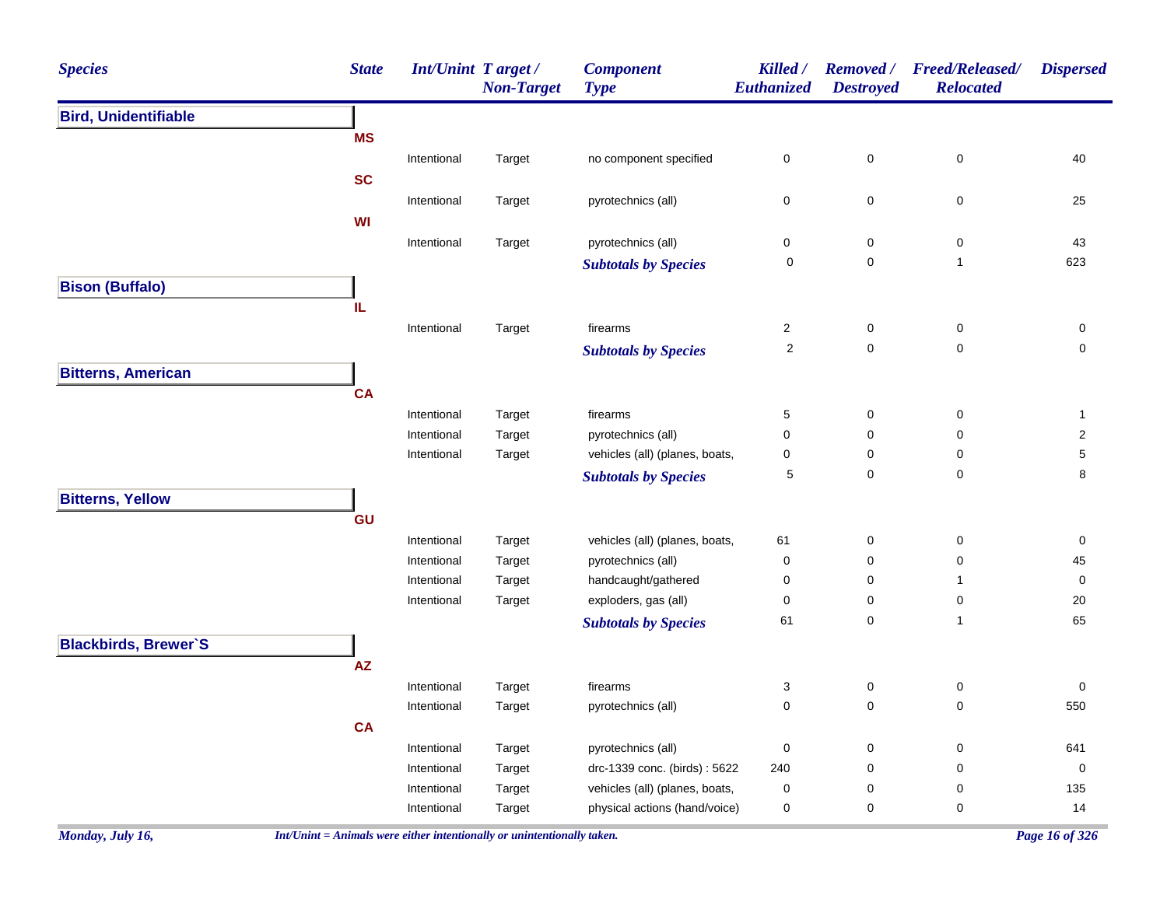| <b>Species</b>              | <b>State</b> |             | <b>Int/Unint Target/</b><br><b>Non-Target</b> | <b>Component</b><br><b>Type</b> | Killed /<br>Euthanized  | <b>Removed</b> /<br><b>Destroyed</b> | <b>Freed/Released/</b><br><b>Relocated</b> | <b>Dispersed</b> |
|-----------------------------|--------------|-------------|-----------------------------------------------|---------------------------------|-------------------------|--------------------------------------|--------------------------------------------|------------------|
| <b>Bird, Unidentifiable</b> |              |             |                                               |                                 |                         |                                      |                                            |                  |
|                             | <b>MS</b>    |             |                                               |                                 |                         |                                      |                                            |                  |
|                             |              | Intentional | Target                                        | no component specified          | 0                       | $\mathbf 0$                          | 0                                          | 40               |
|                             | <b>SC</b>    |             |                                               |                                 |                         |                                      |                                            |                  |
|                             |              | Intentional | Target                                        | pyrotechnics (all)              | 0                       | $\mathbf 0$                          | 0                                          | 25               |
|                             | WI           |             |                                               |                                 |                         |                                      |                                            |                  |
|                             |              | Intentional | Target                                        | pyrotechnics (all)              | 0                       | 0                                    | 0                                          | 43               |
|                             |              |             |                                               | <b>Subtotals by Species</b>     | 0                       | 0                                    | $\mathbf{1}$                               | 623              |
| <b>Bison (Buffalo)</b>      |              |             |                                               |                                 |                         |                                      |                                            |                  |
|                             | IL           |             |                                               |                                 |                         |                                      |                                            |                  |
|                             |              | Intentional | Target                                        | firearms                        | $\overline{\mathbf{c}}$ | $\mathbf 0$                          | 0                                          | 0                |
|                             |              |             |                                               | <b>Subtotals by Species</b>     | 2                       | $\mathbf 0$                          | 0                                          | 0                |
| <b>Bitterns, American</b>   |              |             |                                               |                                 |                         |                                      |                                            |                  |
|                             | <b>CA</b>    |             |                                               |                                 |                         |                                      |                                            |                  |
|                             |              | Intentional | Target                                        | firearms                        | 5                       | 0                                    | 0                                          | $\mathbf{1}$     |
|                             |              | Intentional | Target                                        | pyrotechnics (all)              | 0                       | 0                                    | 0                                          | $\overline{2}$   |
|                             |              | Intentional | Target                                        | vehicles (all) (planes, boats,  | 0                       | 0                                    | 0                                          | 5                |
|                             |              |             |                                               | <b>Subtotals by Species</b>     | 5                       | 0                                    | 0                                          | 8                |
| <b>Bitterns, Yellow</b>     |              |             |                                               |                                 |                         |                                      |                                            |                  |
|                             | GU           |             |                                               |                                 |                         |                                      |                                            |                  |
|                             |              | Intentional | Target                                        | vehicles (all) (planes, boats,  | 61                      | $\mathbf 0$                          | 0                                          | 0                |
|                             |              | Intentional | Target                                        | pyrotechnics (all)              | 0                       | 0                                    | 0                                          | 45               |
|                             |              | Intentional | Target                                        | handcaught/gathered             | 0                       | 0                                    | 1                                          | 0                |
|                             |              | Intentional | Target                                        | exploders, gas (all)            | 0                       | 0                                    | 0                                          | 20               |
|                             |              |             |                                               | <b>Subtotals by Species</b>     | 61                      | 0                                    | $\mathbf{1}$                               | 65               |
| <b>Blackbirds, Brewer'S</b> |              |             |                                               |                                 |                         |                                      |                                            |                  |
|                             | <b>AZ</b>    |             |                                               |                                 |                         |                                      |                                            |                  |
|                             |              | Intentional | Target                                        | firearms                        | 3                       | 0                                    | 0                                          | 0                |
|                             |              | Intentional | Target                                        | pyrotechnics (all)              | 0                       | $\mathbf 0$                          | 0                                          | 550              |
|                             | <b>CA</b>    |             |                                               |                                 |                         |                                      |                                            |                  |
|                             |              | Intentional | Target                                        | pyrotechnics (all)              | 0                       | $\boldsymbol{0}$                     | 0                                          | 641              |
|                             |              | Intentional | Target                                        | drc-1339 conc. (birds): 5622    | 240                     | 0                                    | 0                                          | 0                |
|                             |              | Intentional | Target                                        | vehicles (all) (planes, boats,  | 0                       | 0                                    | 0                                          | 135              |
|                             |              | Intentional | Target                                        | physical actions (hand/voice)   | 0                       | 0                                    | $\pmb{0}$                                  | 14               |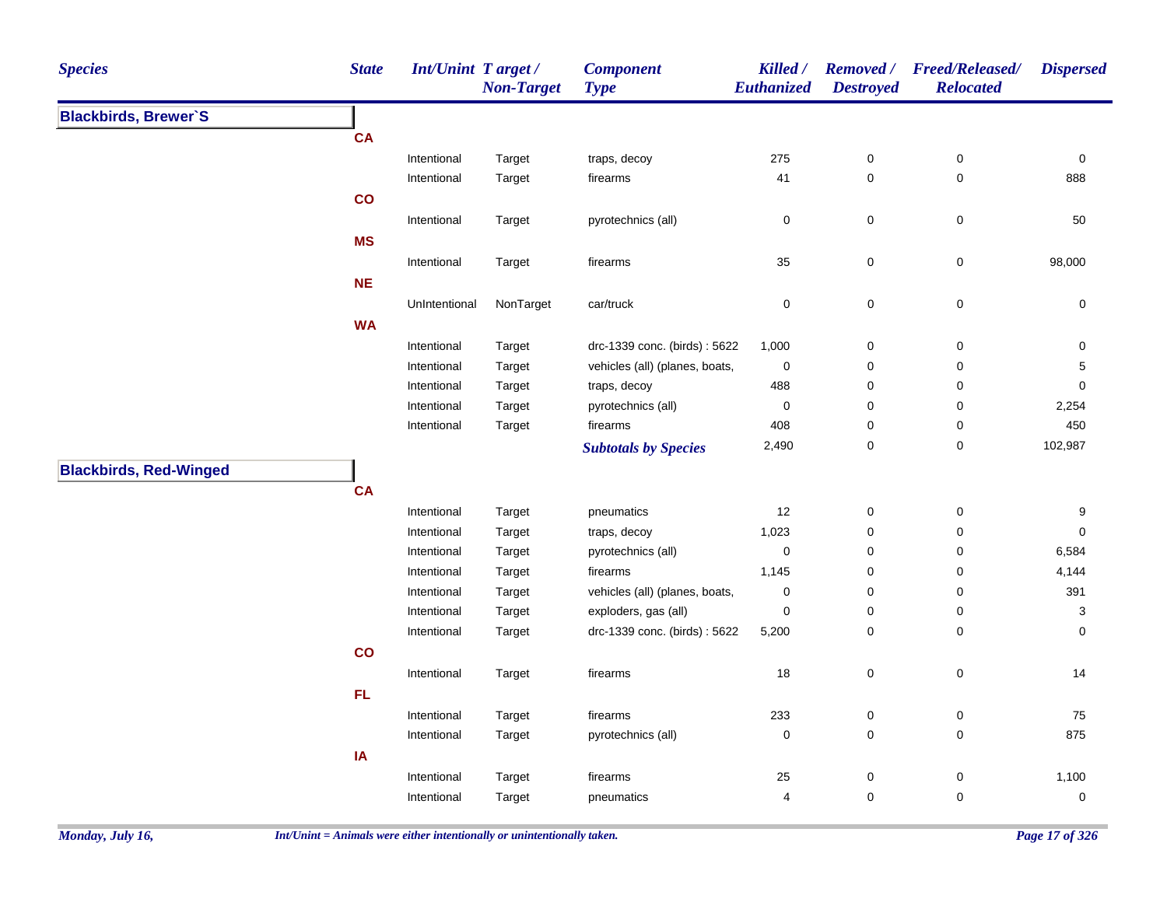| <b>Species</b>                | <b>State</b> | <b>Int/Unint Target/</b> | <b>Non-Target</b> | <b>Component</b><br><b>Type</b> | Killed /<br>Euthanized | <b>Destroyed</b> | Removed / Freed/Released/<br><b>Relocated</b> | <b>Dispersed</b>    |
|-------------------------------|--------------|--------------------------|-------------------|---------------------------------|------------------------|------------------|-----------------------------------------------|---------------------|
| <b>Blackbirds, Brewer'S</b>   |              |                          |                   |                                 |                        |                  |                                               |                     |
|                               | <b>CA</b>    |                          |                   |                                 |                        |                  |                                               |                     |
|                               |              | Intentional              | Target            | traps, decoy                    | 275                    | $\pmb{0}$        | $\pmb{0}$                                     | 0                   |
|                               |              | Intentional              | Target            | firearms                        | 41                     | $\pmb{0}$        | $\pmb{0}$                                     | 888                 |
|                               | co           |                          |                   |                                 |                        |                  |                                               |                     |
|                               |              | Intentional              | Target            | pyrotechnics (all)              | 0                      | $\pmb{0}$        | $\pmb{0}$                                     | 50                  |
|                               | <b>MS</b>    |                          |                   |                                 |                        |                  |                                               |                     |
|                               |              | Intentional              | Target            | firearms                        | 35                     | $\pmb{0}$        | $\mathsf 0$                                   | 98,000              |
|                               | NE           |                          |                   |                                 |                        |                  |                                               |                     |
|                               |              | UnIntentional            | NonTarget         | car/truck                       | 0                      | $\pmb{0}$        | $\pmb{0}$                                     | 0                   |
|                               | <b>WA</b>    |                          |                   |                                 |                        |                  |                                               |                     |
|                               |              | Intentional              |                   | drc-1339 conc. (birds): 5622    | 1,000                  | $\boldsymbol{0}$ | $\mathsf 0$                                   | 0                   |
|                               |              | Intentional              | Target<br>Target  | vehicles (all) (planes, boats,  | $\pmb{0}$              | $\mathbf 0$      | 0                                             | 5                   |
|                               |              | Intentional              | Target            | traps, decoy                    | 488                    | 0                | 0                                             | $\mathbf 0$         |
|                               |              | Intentional              | Target            | pyrotechnics (all)              | 0                      | $\boldsymbol{0}$ | $\pmb{0}$                                     | 2,254               |
|                               |              | Intentional              | Target            | firearms                        | 408                    | 0                | 0                                             | 450                 |
|                               |              |                          |                   |                                 | 2,490                  | $\boldsymbol{0}$ | 0                                             | 102,987             |
|                               |              |                          |                   | <b>Subtotals by Species</b>     |                        |                  |                                               |                     |
| <b>Blackbirds, Red-Winged</b> |              |                          |                   |                                 |                        |                  |                                               |                     |
|                               | <b>CA</b>    |                          |                   |                                 |                        |                  |                                               |                     |
|                               |              | Intentional              | Target            | pneumatics                      | 12                     | $\pmb{0}$        | $\pmb{0}$                                     | 9                   |
|                               |              | Intentional              | Target            | traps, decoy                    | 1,023                  | $\pmb{0}$        | 0                                             | $\mathsf{O}\xspace$ |
|                               |              | Intentional              | Target            | pyrotechnics (all)              | $\mathbf 0$            | $\mathbf 0$      | 0                                             | 6,584               |
|                               |              | Intentional              | Target            | firearms                        | 1,145                  | $\mathbf 0$      | 0                                             | 4,144               |
|                               |              | Intentional              | Target            | vehicles (all) (planes, boats,  | $\mathbf 0$            | $\mathbf 0$      | 0                                             | 391                 |
|                               |              | Intentional              | Target            | exploders, gas (all)            | 0                      | $\boldsymbol{0}$ | $\pmb{0}$                                     | 3                   |
|                               |              | Intentional              | Target            | drc-1339 conc. (birds): 5622    | 5,200                  | $\mathbf 0$      | 0                                             | 0                   |
|                               | co           |                          |                   |                                 |                        |                  |                                               |                     |
|                               |              | Intentional              | Target            | firearms                        | $18\,$                 | $\mathbf 0$      | $\mathsf 0$                                   | 14                  |
|                               | <b>FL</b>    |                          |                   |                                 |                        |                  |                                               |                     |
|                               |              | Intentional              | Target            | firearms                        | 233                    | $\boldsymbol{0}$ | 0                                             | 75                  |
|                               |              | Intentional              | Target            | pyrotechnics (all)              | 0                      | $\mathbf 0$      | $\pmb{0}$                                     | 875                 |
|                               | IA           |                          |                   |                                 |                        |                  |                                               |                     |
|                               |              | Intentional              | Target            | firearms                        | 25                     | $\mathbf 0$      | 0                                             | 1,100               |
|                               |              | Intentional              | Target            | pneumatics                      | 4                      | $\mathbf 0$      | $\mathbf 0$                                   | 0                   |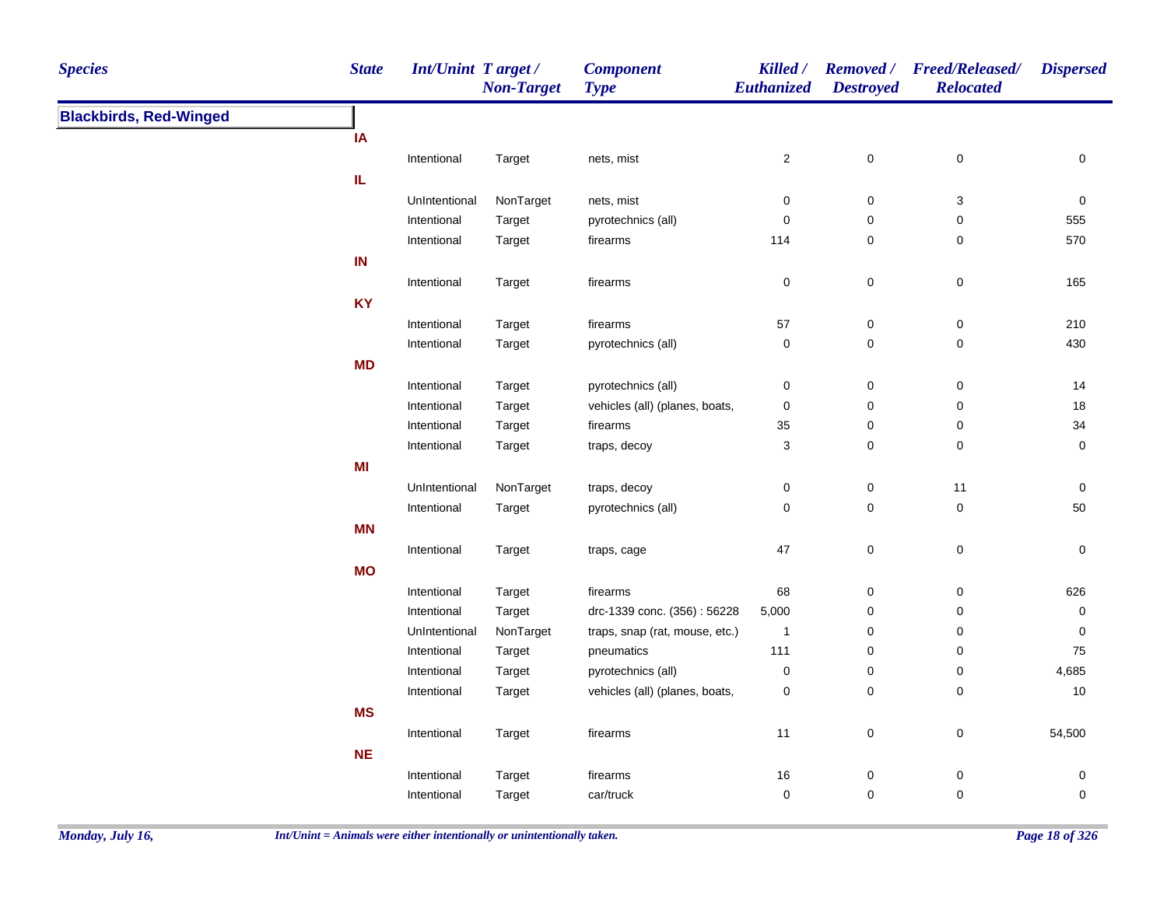| <b>Species</b>                | <b>State</b> | <b>Int/Unint Target/</b> | <b>Non-Target</b> | <b>Component</b><br><b>Type</b> | Killed /<br>Euthanized | <b>Destroyed</b> | Removed / Freed/Released/<br><b>Relocated</b> | <b>Dispersed</b> |
|-------------------------------|--------------|--------------------------|-------------------|---------------------------------|------------------------|------------------|-----------------------------------------------|------------------|
| <b>Blackbirds, Red-Winged</b> |              |                          |                   |                                 |                        |                  |                                               |                  |
|                               | IA           |                          |                   |                                 |                        |                  |                                               |                  |
|                               |              | Intentional              | Target            | nets, mist                      | $\boldsymbol{2}$       | $\pmb{0}$        | $\pmb{0}$                                     | 0                |
|                               | IL.          |                          |                   |                                 |                        |                  |                                               |                  |
|                               |              | UnIntentional            | NonTarget         | nets, mist                      | 0                      | 0                | 3                                             | $\mathbf 0$      |
|                               |              | Intentional              | Target            | pyrotechnics (all)              | $\mathbf 0$            | 0                | $\mathbf 0$                                   | 555              |
|                               |              | Intentional              | Target            | firearms                        | 114                    | $\mathsf 0$      | $\mathbf 0$                                   | 570              |
|                               | IN           |                          |                   |                                 |                        |                  |                                               |                  |
|                               |              | Intentional              | Target            | firearms                        | $\pmb{0}$              | $\pmb{0}$        | $\pmb{0}$                                     | 165              |
|                               | <b>KY</b>    |                          |                   |                                 |                        |                  |                                               |                  |
|                               |              | Intentional              | Target            | firearms                        | 57                     | $\mathsf 0$      | $\pmb{0}$                                     | 210              |
|                               |              | Intentional              | Target            | pyrotechnics (all)              | $\mathbf 0$            | $\mathsf 0$      | $\mathbf 0$                                   | 430              |
|                               | <b>MD</b>    |                          |                   |                                 |                        |                  |                                               |                  |
|                               |              | Intentional              | Target            | pyrotechnics (all)              | $\pmb{0}$              | $\mathsf 0$      | $\pmb{0}$                                     | 14               |
|                               |              | Intentional              | Target            | vehicles (all) (planes, boats,  | $\pmb{0}$              | $\pmb{0}$        | $\pmb{0}$                                     | $18$             |
|                               |              | Intentional              | Target            | firearms                        | 35                     | $\pmb{0}$        | $\pmb{0}$                                     | 34               |
|                               |              | Intentional              | Target            | traps, decoy                    | 3                      | $\mathsf 0$      | $\pmb{0}$                                     | $\pmb{0}$        |
|                               | MI           |                          |                   |                                 |                        |                  |                                               |                  |
|                               |              | UnIntentional            | NonTarget         | traps, decoy                    | 0                      | $\pmb{0}$        | 11                                            | $\pmb{0}$        |
|                               |              | Intentional              | Target            | pyrotechnics (all)              | 0                      | $\mathsf 0$      | $\mathbf 0$                                   | 50               |
|                               | <b>MN</b>    |                          |                   |                                 |                        |                  |                                               |                  |
|                               |              | Intentional              | Target            | traps, cage                     | 47                     | 0                | $\mathbf 0$                                   | 0                |
|                               | <b>MO</b>    |                          |                   |                                 |                        |                  |                                               |                  |
|                               |              | Intentional              | Target            | firearms                        | 68                     | $\pmb{0}$        | 0                                             | 626              |
|                               |              | Intentional              | Target            | drc-1339 conc. (356): 56228     | 5,000                  | 0                | 0                                             | $\mathbf 0$      |
|                               |              | UnIntentional            | NonTarget         | traps, snap (rat, mouse, etc.)  | $\overline{1}$         | $\pmb{0}$        | 0                                             | 0                |
|                               |              | Intentional              | Target            | pneumatics                      | 111                    | $\pmb{0}$        | 0                                             | 75               |
|                               |              | Intentional              | Target            | pyrotechnics (all)              | $\mathbf 0$            | 0                | 0                                             | 4,685            |
|                               |              | Intentional              | Target            | vehicles (all) (planes, boats,  | $\mathbf 0$            | $\mathbf 0$      | $\mathbf 0$                                   | 10               |
|                               | <b>MS</b>    |                          |                   |                                 |                        |                  |                                               |                  |
|                               |              | Intentional              | Target            | firearms                        | 11                     | $\mathsf 0$      | $\boldsymbol{0}$                              | 54,500           |
|                               | <b>NE</b>    |                          |                   |                                 |                        |                  |                                               |                  |
|                               |              | Intentional              |                   | firearms                        | 16                     | $\pmb{0}$        | $\pmb{0}$                                     | $\mathbf 0$      |
|                               |              |                          | Target            |                                 | 0                      | $\mathbf 0$      | $\mathbf 0$                                   | $\mathbf 0$      |
|                               |              | Intentional              | Target            | car/truck                       |                        |                  |                                               |                  |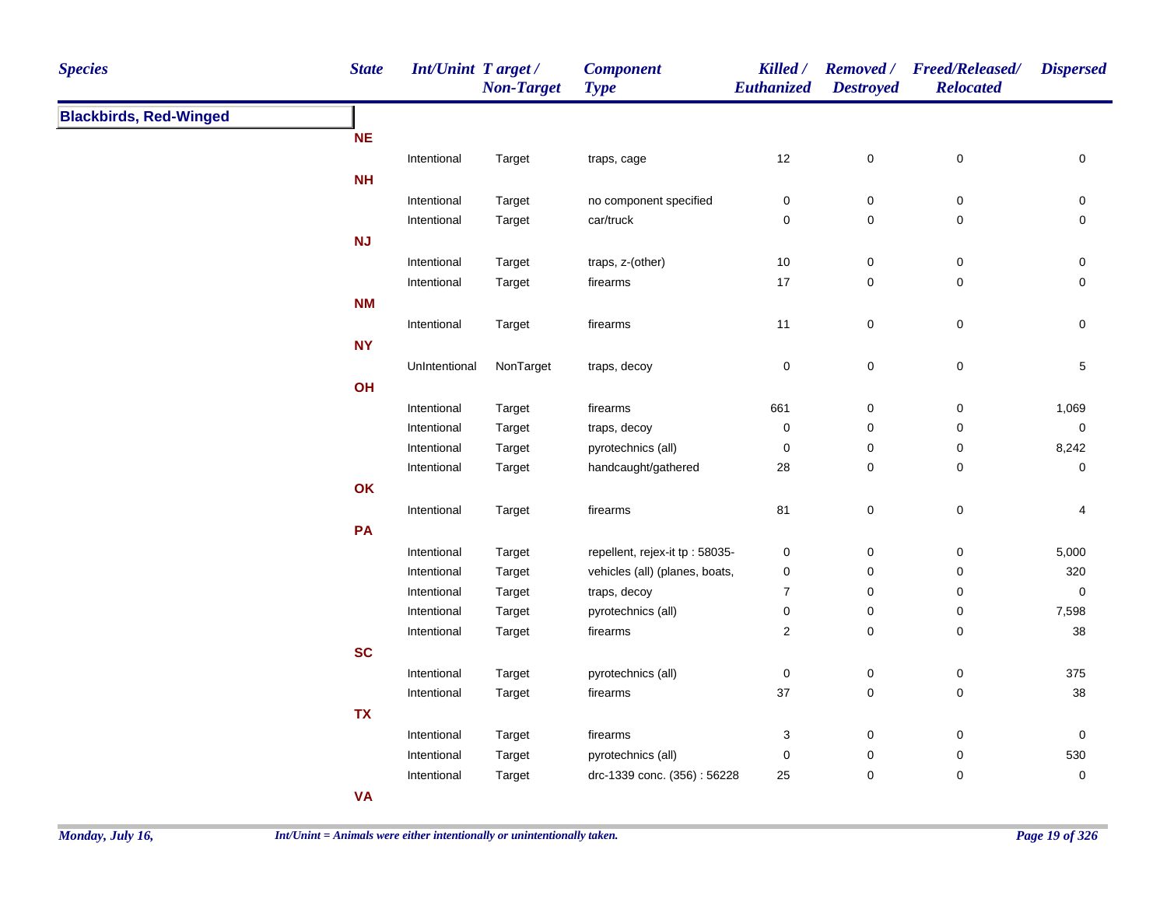| <b>Species</b>                | <b>State</b> | <b>Int/Unint Target/</b> | <b>Non-Target</b> | <b>Component</b><br><b>Type</b> | Killed /<br><b>Euthanized</b> | <b>Destroyed</b> | Removed / Freed/Released/<br><b>Relocated</b> | <b>Dispersed</b> |
|-------------------------------|--------------|--------------------------|-------------------|---------------------------------|-------------------------------|------------------|-----------------------------------------------|------------------|
| <b>Blackbirds, Red-Winged</b> |              |                          |                   |                                 |                               |                  |                                               |                  |
|                               | <b>NE</b>    |                          |                   |                                 |                               |                  |                                               |                  |
|                               |              | Intentional              | Target            | traps, cage                     | 12                            | $\pmb{0}$        | $\pmb{0}$                                     | 0                |
|                               | <b>NH</b>    |                          |                   |                                 |                               |                  |                                               |                  |
|                               |              | Intentional              | Target            | no component specified          | 0                             | 0                | $\pmb{0}$                                     | 0                |
|                               |              | Intentional              | Target            | car/truck                       | 0                             | 0                | $\pmb{0}$                                     | 0                |
|                               | NJ           |                          |                   |                                 |                               |                  |                                               |                  |
|                               |              | Intentional              | Target            | traps, z-(other)                | 10                            | $\pmb{0}$        | $\pmb{0}$                                     | 0                |
|                               |              | Intentional              | Target            | firearms                        | 17                            | 0                | $\mathbf 0$                                   | 0                |
|                               | <b>NM</b>    |                          |                   |                                 |                               |                  |                                               |                  |
|                               |              | Intentional              | Target            | firearms                        | 11                            | 0                | $\pmb{0}$                                     | 0                |
|                               | <b>NY</b>    |                          |                   |                                 |                               |                  |                                               |                  |
|                               |              | UnIntentional            | NonTarget         | traps, decoy                    | 0                             | 0                | $\mathsf 0$                                   | 5                |
|                               | OH           |                          |                   |                                 |                               |                  |                                               |                  |
|                               |              | Intentional              | Target            | firearms                        | 661                           | 0                | 0                                             | 1,069            |
|                               |              | Intentional              | Target            | traps, decoy                    | $\pmb{0}$                     | 0                | 0                                             | $\pmb{0}$        |
|                               |              | Intentional              | Target            | pyrotechnics (all)              | 0                             | 0                | 0                                             | 8,242            |
|                               |              | Intentional              | Target            | handcaught/gathered             | 28                            | 0                | 0                                             | 0                |
|                               | OK           |                          |                   |                                 |                               |                  |                                               |                  |
|                               |              | Intentional              | Target            | firearms                        | 81                            | 0                | $\pmb{0}$                                     | 4                |
|                               | PA           |                          |                   |                                 |                               |                  |                                               |                  |
|                               |              | Intentional              | Target            | repellent, rejex-it tp: 58035-  | 0                             | 0                | $\pmb{0}$                                     | 5,000            |
|                               |              | Intentional              | Target            | vehicles (all) (planes, boats,  | $\pmb{0}$                     | 0                | $\pmb{0}$                                     | 320              |
|                               |              | Intentional              | Target            | traps, decoy                    | $\boldsymbol{7}$              | $\pmb{0}$        | $\pmb{0}$                                     | $\pmb{0}$        |
|                               |              | Intentional              | Target            | pyrotechnics (all)              | $\pmb{0}$                     | 0                | $\pmb{0}$                                     | 7,598            |
|                               |              | Intentional              | Target            | firearms                        | $\boldsymbol{2}$              | $\pmb{0}$        | $\mathbf 0$                                   | $38\,$           |
|                               | <b>SC</b>    |                          |                   |                                 |                               |                  |                                               |                  |
|                               |              | Intentional              | Target            | pyrotechnics (all)              | $\pmb{0}$                     | 0                | $\pmb{0}$                                     | 375              |
|                               |              | Intentional              | Target            | firearms                        | 37                            | 0                | $\pmb{0}$                                     | $38\,$           |
|                               | <b>TX</b>    |                          |                   |                                 |                               |                  |                                               |                  |
|                               |              | Intentional              | Target            | firearms                        | 3                             | 0                | $\pmb{0}$                                     | 0                |
|                               |              | Intentional              | Target            | pyrotechnics (all)              | 0                             | 0                | $\pmb{0}$                                     | 530              |
|                               |              | Intentional              | Target            | drc-1339 conc. (356): 56228     | 25                            | 0                | $\pmb{0}$                                     | 0                |
|                               | <b>VA</b>    |                          |                   |                                 |                               |                  |                                               |                  |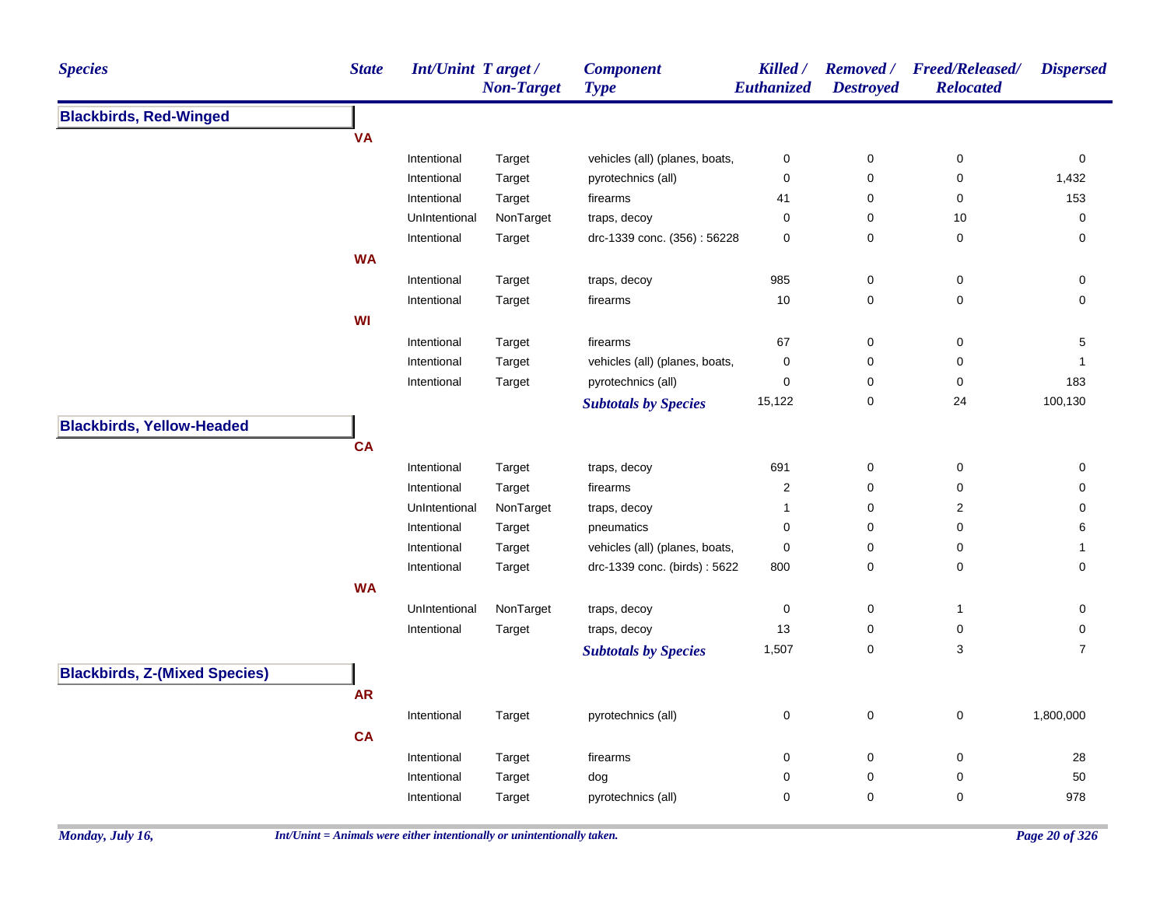| <b>Species</b>                       | <b>State</b> | <b>Int/Unint Target/</b> | <b>Non-Target</b> | <b>Component</b><br><b>Type</b> | Killed /<br>Euthanized  | <b>Removed</b> /<br><b>Destroyed</b> | <b>Freed/Released/</b><br><b>Relocated</b> | <b>Dispersed</b> |
|--------------------------------------|--------------|--------------------------|-------------------|---------------------------------|-------------------------|--------------------------------------|--------------------------------------------|------------------|
| <b>Blackbirds, Red-Winged</b>        |              |                          |                   |                                 |                         |                                      |                                            |                  |
|                                      | <b>VA</b>    |                          |                   |                                 |                         |                                      |                                            |                  |
|                                      |              | Intentional              | Target            | vehicles (all) (planes, boats,  | 0                       | 0                                    | 0                                          | 0                |
|                                      |              | Intentional              | Target            | pyrotechnics (all)              | 0                       | $\mathbf 0$                          | 0                                          | 1,432            |
|                                      |              | Intentional              | Target            | firearms                        | 41                      | $\pmb{0}$                            | 0                                          | 153              |
|                                      |              | UnIntentional            | NonTarget         | traps, decoy                    | 0                       | 0                                    | $10$                                       | 0                |
|                                      |              | Intentional              | Target            | drc-1339 conc. (356): 56228     | 0                       | $\mathbf 0$                          | $\pmb{0}$                                  | $\mathbf 0$      |
|                                      | <b>WA</b>    |                          |                   |                                 |                         |                                      |                                            |                  |
|                                      |              | Intentional              | Target            | traps, decoy                    | 985                     | $\pmb{0}$                            | $\pmb{0}$                                  | 0                |
|                                      |              | Intentional              | Target            | firearms                        | $10$                    | $\mathbf 0$                          | $\pmb{0}$                                  | 0                |
|                                      | <b>WI</b>    |                          |                   |                                 |                         |                                      |                                            |                  |
|                                      |              | Intentional              | Target            | firearms                        | 67                      | $\pmb{0}$                            | 0                                          | 5                |
|                                      |              | Intentional              | Target            | vehicles (all) (planes, boats,  | 0                       | 0                                    | 0                                          | 1                |
|                                      |              | Intentional              | Target            | pyrotechnics (all)              | 0                       | 0                                    | 0                                          | 183              |
|                                      |              |                          |                   | <b>Subtotals by Species</b>     | 15,122                  | $\pmb{0}$                            | 24                                         | 100,130          |
| <b>Blackbirds, Yellow-Headed</b>     |              |                          |                   |                                 |                         |                                      |                                            |                  |
|                                      | <b>CA</b>    |                          |                   |                                 |                         |                                      |                                            |                  |
|                                      |              | Intentional              | Target            | traps, decoy                    | 691                     | 0                                    | 0                                          | 0                |
|                                      |              | Intentional              | Target            | firearms                        | $\overline{\mathbf{c}}$ | 0                                    | 0                                          | 0                |
|                                      |              | UnIntentional            | NonTarget         | traps, decoy                    | 1                       | 0                                    | $\mathbf 2$                                | 0                |
|                                      |              | Intentional              | Target            | pneumatics                      | 0                       | $\mathbf 0$                          | 0                                          | 6                |
|                                      |              | Intentional              | Target            | vehicles (all) (planes, boats,  | 0                       | $\pmb{0}$                            | 0                                          | $\mathbf{1}$     |
|                                      |              | Intentional              | Target            | drc-1339 conc. (birds): 5622    | 800                     | 0                                    | 0                                          | 0                |
|                                      | <b>WA</b>    |                          |                   |                                 |                         |                                      |                                            |                  |
|                                      |              | UnIntentional            | NonTarget         | traps, decoy                    | 0                       | 0                                    | $\mathbf{1}$                               | 0                |
|                                      |              | Intentional              | Target            | traps, decoy                    | 13                      | 0                                    | $\pmb{0}$                                  | 0                |
|                                      |              |                          |                   | <b>Subtotals by Species</b>     | 1,507                   | 0                                    | 3                                          | $\overline{7}$   |
| <b>Blackbirds, Z-(Mixed Species)</b> |              |                          |                   |                                 |                         |                                      |                                            |                  |
|                                      | <b>AR</b>    |                          |                   |                                 |                         |                                      |                                            |                  |
|                                      |              |                          |                   |                                 |                         |                                      |                                            |                  |
|                                      |              | Intentional              | Target            | pyrotechnics (all)              | 0                       | $\pmb{0}$                            | $\pmb{0}$                                  | 1,800,000        |
|                                      | <b>CA</b>    |                          |                   |                                 |                         |                                      |                                            |                  |
|                                      |              | Intentional              | Target            | firearms                        | 0                       | $\pmb{0}$                            | $\pmb{0}$                                  | 28               |
|                                      |              | Intentional              | Target            | dog                             | 0                       | 0                                    | 0                                          | 50               |
|                                      |              | Intentional              | Target            | pyrotechnics (all)              | 0                       | $\mathbf 0$                          | 0                                          | 978              |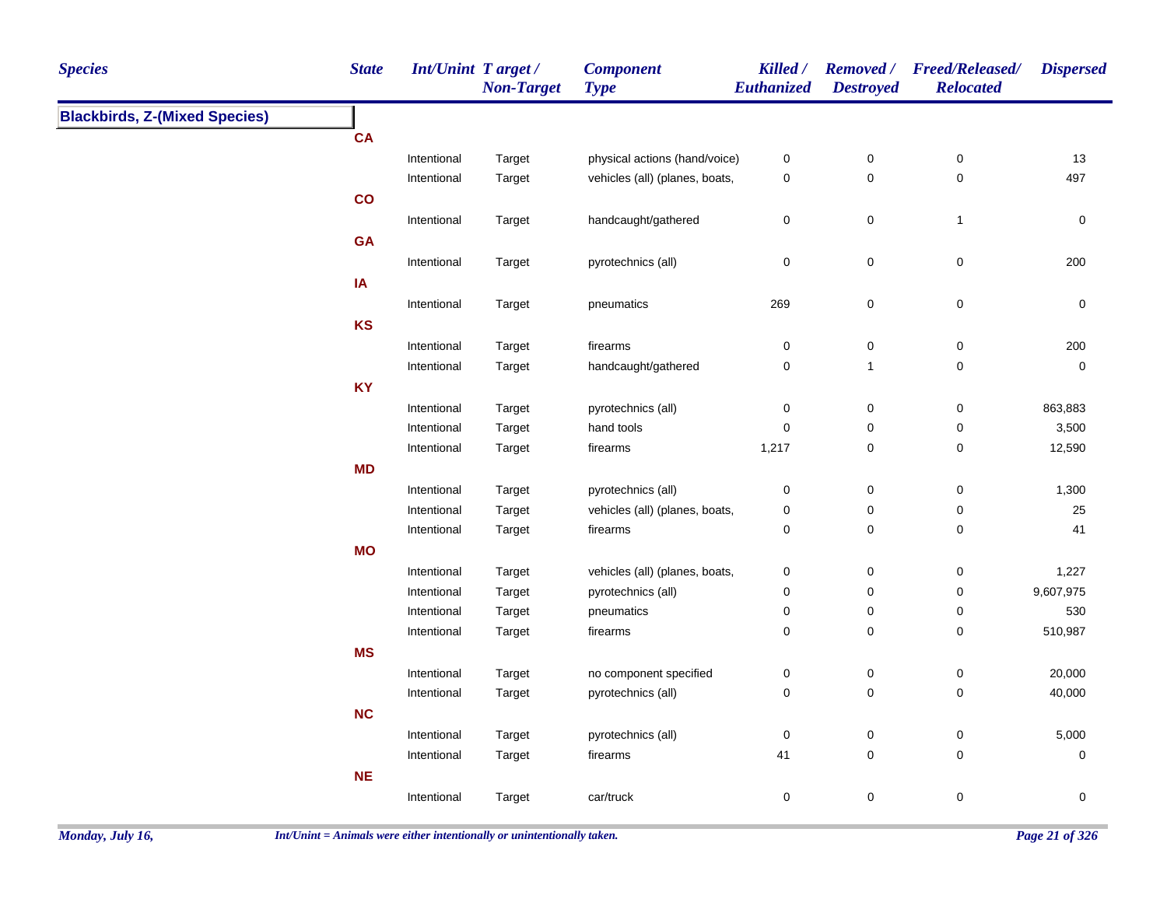| <b>Species</b>                       | <b>State</b> | <b>Int/Unint Target/</b> | <b>Non-Target</b> | <b>Component</b><br><b>Type</b> | Killed /<br>Euthanized | <b>Destroyed</b> | Removed / Freed/Released/<br><b>Relocated</b> | <b>Dispersed</b> |
|--------------------------------------|--------------|--------------------------|-------------------|---------------------------------|------------------------|------------------|-----------------------------------------------|------------------|
| <b>Blackbirds, Z-(Mixed Species)</b> |              |                          |                   |                                 |                        |                  |                                               |                  |
|                                      | <b>CA</b>    |                          |                   |                                 |                        |                  |                                               |                  |
|                                      |              | Intentional              | Target            | physical actions (hand/voice)   | 0                      | $\pmb{0}$        | $\boldsymbol{0}$                              | 13               |
|                                      |              | Intentional              | Target            | vehicles (all) (planes, boats,  | $\pmb{0}$              | $\mathbf 0$      | $\pmb{0}$                                     | 497              |
|                                      | co           |                          |                   |                                 |                        |                  |                                               |                  |
|                                      |              | Intentional              | Target            | handcaught/gathered             | 0                      | $\mathbf 0$      | $\mathbf{1}$                                  | 0                |
|                                      | GA           |                          |                   |                                 |                        |                  |                                               |                  |
|                                      |              | Intentional              | Target            | pyrotechnics (all)              | $\mathsf 0$            | $\mathbf 0$      | $\mathbf 0$                                   | 200              |
|                                      | IA           |                          |                   |                                 |                        |                  |                                               |                  |
|                                      |              | Intentional              | Target            | pneumatics                      | 269                    | $\pmb{0}$        | $\mathsf 0$                                   | 0                |
|                                      | KS           |                          |                   |                                 |                        |                  |                                               |                  |
|                                      |              | Intentional              | Target            | firearms                        | $\mathsf 0$            | $\mathbf 0$      | $\pmb{0}$                                     | 200              |
|                                      |              | Intentional              | Target            | handcaught/gathered             | $\mathsf 0$            | 1                | $\pmb{0}$                                     | $\mathsf 0$      |
|                                      | <b>KY</b>    |                          |                   |                                 |                        |                  |                                               |                  |
|                                      |              | Intentional              | Target            | pyrotechnics (all)              | 0                      | $\boldsymbol{0}$ | $\boldsymbol{0}$                              | 863,883          |
|                                      |              | Intentional              | Target            | hand tools                      | $\mathbf 0$            | $\pmb{0}$        | $\pmb{0}$                                     | 3,500            |
|                                      |              | Intentional              | Target            | firearms                        | 1,217                  | 0                | $\pmb{0}$                                     | 12,590           |
|                                      | <b>MD</b>    |                          |                   |                                 |                        |                  |                                               |                  |
|                                      |              | Intentional              | Target            | pyrotechnics (all)              | $\pmb{0}$              | $\pmb{0}$        | $\boldsymbol{0}$                              | 1,300            |
|                                      |              | Intentional              | Target            | vehicles (all) (planes, boats,  | 0                      | 0                | 0                                             | 25               |
|                                      |              | Intentional              | Target            | firearms                        | 0                      | 0                | $\mathbf 0$                                   | 41               |
|                                      | <b>MO</b>    |                          |                   |                                 |                        |                  |                                               |                  |
|                                      |              | Intentional              | Target            | vehicles (all) (planes, boats,  | $\pmb{0}$              | $\mathbf 0$      | $\boldsymbol{0}$                              | 1,227            |
|                                      |              | Intentional              | Target            | pyrotechnics (all)              | 0                      | $\mathbf 0$      | $\mathbf 0$                                   | 9,607,975        |
|                                      |              | Intentional              | Target            | pneumatics                      | 0                      | $\mathbf 0$      | $\mathbf 0$                                   | 530              |
|                                      |              | Intentional              | Target            | firearms                        | $\mathbf 0$            | $\mathbf 0$      | $\pmb{0}$                                     | 510,987          |
|                                      | <b>MS</b>    |                          |                   |                                 |                        |                  |                                               |                  |
|                                      |              | Intentional              | Target            | no component specified          | 0                      | $\mathbf 0$      | $\pmb{0}$                                     | 20,000           |
|                                      |              | Intentional              | Target            | pyrotechnics (all)              | $\pmb{0}$              | $\pmb{0}$        | $\pmb{0}$                                     | 40,000           |
|                                      | <b>NC</b>    |                          |                   |                                 |                        |                  |                                               |                  |
|                                      |              | Intentional              | Target            | pyrotechnics (all)              | $\pmb{0}$              | $\pmb{0}$        | $\pmb{0}$                                     | 5,000            |
|                                      |              | Intentional              | Target            | firearms                        | 41                     | $\pmb{0}$        | $\pmb{0}$                                     | $\pmb{0}$        |
|                                      | <b>NE</b>    |                          |                   |                                 |                        |                  |                                               |                  |
|                                      |              | Intentional              | Target            | car/truck                       | $\mathsf 0$            | 0                | $\pmb{0}$                                     | $\mathsf 0$      |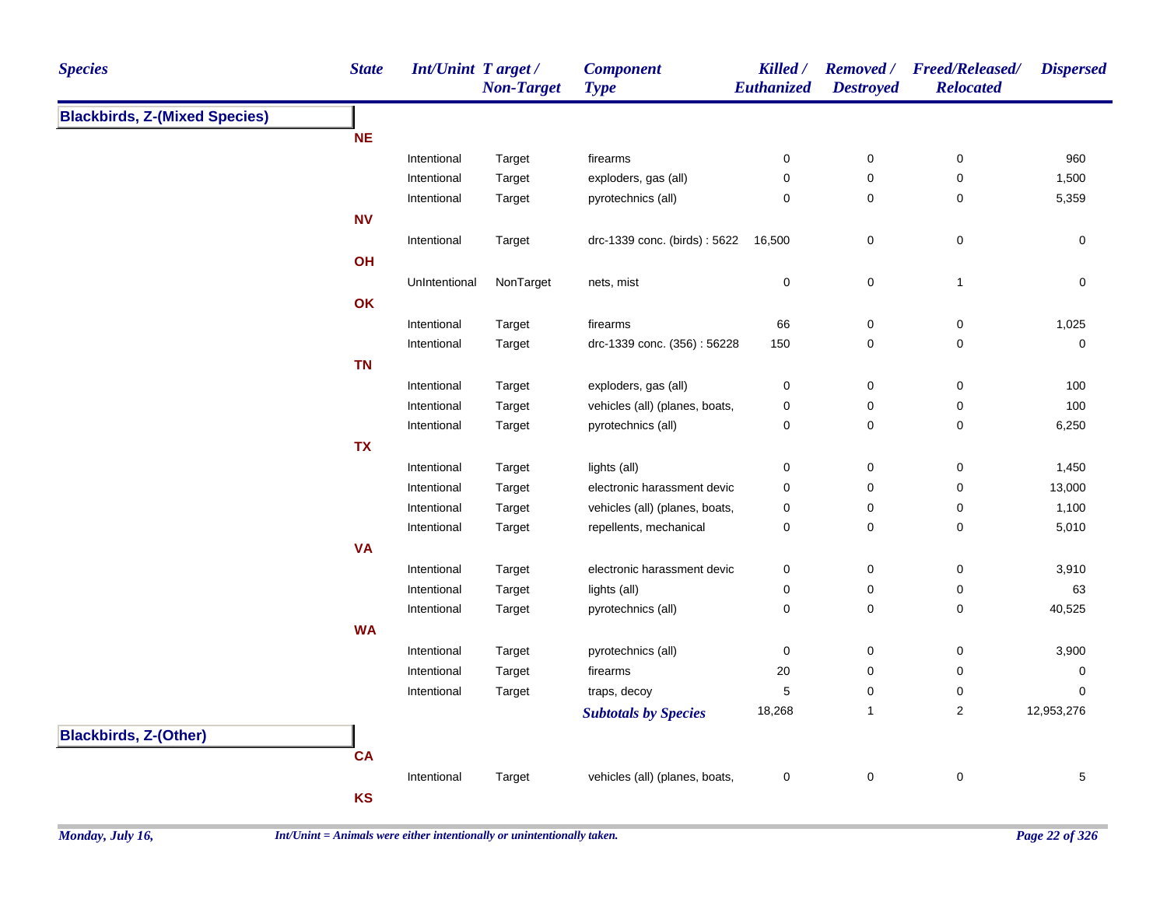| <b>Species</b>                       | <b>State</b> | Int/Unint Target/ | <b>Non-Target</b> | <b>Component</b><br><b>Type</b>     | Killed /<br>Euthanized | <b>Destroyed</b> | Removed / Freed/Released/<br><b>Relocated</b> | <b>Dispersed</b> |
|--------------------------------------|--------------|-------------------|-------------------|-------------------------------------|------------------------|------------------|-----------------------------------------------|------------------|
| <b>Blackbirds, Z-(Mixed Species)</b> |              |                   |                   |                                     |                        |                  |                                               |                  |
|                                      | <b>NE</b>    |                   |                   |                                     |                        |                  |                                               |                  |
|                                      |              | Intentional       | Target            | firearms                            | 0                      | $\pmb{0}$        | 0                                             | 960              |
|                                      |              | Intentional       | Target            | exploders, gas (all)                | $\pmb{0}$              | $\mathbf 0$      | $\pmb{0}$                                     | 1,500            |
|                                      |              | Intentional       | Target            | pyrotechnics (all)                  | $\mathbf 0$            | $\mathbf 0$      | $\pmb{0}$                                     | 5,359            |
|                                      | <b>NV</b>    |                   |                   |                                     |                        |                  |                                               |                  |
|                                      |              | Intentional       | Target            | drc-1339 conc. (birds): 5622 16,500 |                        | 0                | 0                                             | $\mathbf 0$      |
|                                      | OH           |                   |                   |                                     |                        |                  |                                               |                  |
|                                      |              | UnIntentional     | NonTarget         | nets, mist                          | $\mathbf 0$            | $\pmb{0}$        | $\overline{1}$                                | $\mathbf 0$      |
|                                      | OK           |                   |                   |                                     |                        |                  |                                               |                  |
|                                      |              | Intentional       | Target            | firearms                            | 66                     | $\pmb{0}$        | $\pmb{0}$                                     | 1,025            |
|                                      |              | Intentional       | Target            | drc-1339 conc. (356): 56228         | 150                    | 0                | $\mathbf 0$                                   | 0                |
|                                      | <b>TN</b>    |                   |                   |                                     |                        |                  |                                               |                  |
|                                      |              | Intentional       | Target            | exploders, gas (all)                | 0                      | $\mathbf 0$      | 0                                             | 100              |
|                                      |              | Intentional       | Target            | vehicles (all) (planes, boats,      | $\pmb{0}$              | $\pmb{0}$        | 0                                             | 100              |
|                                      |              | Intentional       | Target            | pyrotechnics (all)                  | $\pmb{0}$              | $\pmb{0}$        | $\mathbf 0$                                   | 6,250            |
|                                      | <b>TX</b>    |                   |                   |                                     |                        |                  |                                               |                  |
|                                      |              | Intentional       | Target            | lights (all)                        | 0                      | $\mathbf 0$      | 0                                             | 1,450            |
|                                      |              | Intentional       | Target            | electronic harassment devic         | $\pmb{0}$              | $\pmb{0}$        | 0                                             | 13,000           |
|                                      |              | Intentional       | Target            | vehicles (all) (planes, boats,      | 0                      | 0                | 0                                             | 1,100            |
|                                      |              | Intentional       | Target            | repellents, mechanical              | $\pmb{0}$              | $\pmb{0}$        | 0                                             | 5,010            |
|                                      | <b>VA</b>    |                   |                   |                                     |                        |                  |                                               |                  |
|                                      |              | Intentional       | Target            | electronic harassment devic         | 0                      | $\pmb{0}$        | $\mathbf 0$                                   | 3,910            |
|                                      |              | Intentional       | Target            | lights (all)                        | 0                      | 0                | 0                                             | 63               |
|                                      |              | Intentional       | Target            | pyrotechnics (all)                  | $\pmb{0}$              | $\pmb{0}$        | 0                                             | 40,525           |
|                                      | <b>WA</b>    |                   |                   |                                     |                        |                  |                                               |                  |
|                                      |              | Intentional       | Target            | pyrotechnics (all)                  | $\mathbf 0$            | $\mathbf 0$      | 0                                             | 3,900            |
|                                      |              | Intentional       | Target            | firearms                            | 20                     | 0                | 0                                             | 0                |
|                                      |              | Intentional       | Target            | traps, decoy                        | $\mathbf 5$            | $\pmb{0}$        | 0                                             | $\mathbf 0$      |
|                                      |              |                   |                   | <b>Subtotals by Species</b>         | 18,268                 | $\mathbf{1}$     | $\overline{c}$                                | 12,953,276       |
| <b>Blackbirds, Z-(Other)</b>         |              |                   |                   |                                     |                        |                  |                                               |                  |
|                                      | <b>CA</b>    |                   |                   |                                     |                        |                  |                                               |                  |
|                                      |              | Intentional       | Target            | vehicles (all) (planes, boats,      | $\mathbf 0$            | $\pmb{0}$        | $\pmb{0}$                                     | $\sqrt{5}$       |
|                                      | <b>KS</b>    |                   |                   |                                     |                        |                  |                                               |                  |
|                                      |              |                   |                   |                                     |                        |                  |                                               |                  |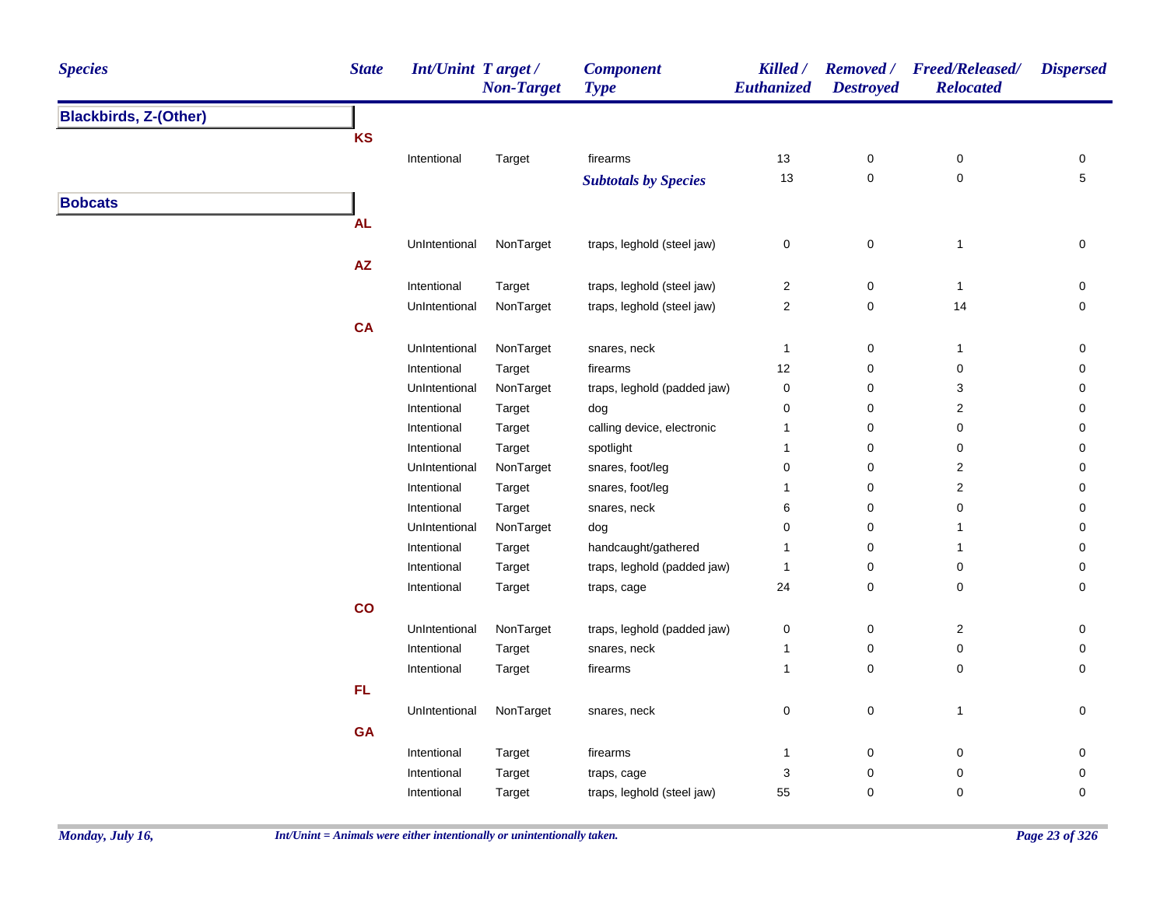| <b>Species</b>               | <b>State</b> | <b>Int/Unint Target/</b> | <b>Non-Target</b> | <b>Component</b><br><b>Type</b> | Killed /<br><b>Euthanized</b> | <b>Destroyed</b> | Removed / Freed/Released/<br><b>Relocated</b> | <b>Dispersed</b> |
|------------------------------|--------------|--------------------------|-------------------|---------------------------------|-------------------------------|------------------|-----------------------------------------------|------------------|
| <b>Blackbirds, Z-(Other)</b> |              |                          |                   |                                 |                               |                  |                                               |                  |
|                              | <b>KS</b>    |                          |                   |                                 |                               |                  |                                               |                  |
|                              |              | Intentional              | Target            | firearms                        | 13                            | $\pmb{0}$        | $\pmb{0}$                                     | 0                |
|                              |              |                          |                   | <b>Subtotals by Species</b>     | 13                            | $\mathsf 0$      | $\pmb{0}$                                     | $\sqrt{5}$       |
| <b>Bobcats</b>               |              |                          |                   |                                 |                               |                  |                                               |                  |
|                              | <b>AL</b>    |                          |                   |                                 |                               |                  |                                               |                  |
|                              |              | UnIntentional            | NonTarget         | traps, leghold (steel jaw)      | 0                             | 0                | $\mathbf{1}$                                  | 0                |
|                              | AZ           |                          |                   |                                 |                               |                  |                                               |                  |
|                              |              | Intentional              | Target            | traps, leghold (steel jaw)      | $\overline{\mathbf{c}}$       | $\pmb{0}$        | $\mathbf{1}$                                  | 0                |
|                              |              | UnIntentional            | NonTarget         | traps, leghold (steel jaw)      | $\overline{c}$                | 0                | 14                                            | 0                |
|                              | <b>CA</b>    |                          |                   |                                 |                               |                  |                                               |                  |
|                              |              | UnIntentional            | NonTarget         | snares, neck                    | $\mathbf{1}$                  | $\pmb{0}$        | $\mathbf{1}$                                  | 0                |
|                              |              | Intentional              | Target            | firearms                        | 12                            | 0                | 0                                             | 0                |
|                              |              | UnIntentional            | NonTarget         | traps, leghold (padded jaw)     | 0                             | 0                | 3                                             | 0                |
|                              |              | Intentional              | Target            | dog                             | 0                             | 0                | $\overline{\mathbf{c}}$                       | 0                |
|                              |              | Intentional              | Target            | calling device, electronic      | 1                             | 0                | 0                                             | 0                |
|                              |              | Intentional              | Target            | spotlight                       | $\mathbf{1}$                  | 0                | 0                                             | 0                |
|                              |              | UnIntentional            | NonTarget         | snares, foot/leg                | 0                             | 0                | $\boldsymbol{2}$                              | 0                |
|                              |              | Intentional              | Target            | snares, foot/leg                | $\mathbf{1}$                  | 0                | $\mathbf 2$                                   | 0                |
|                              |              | Intentional              | Target            | snares, neck                    | 6                             | 0                | $\pmb{0}$                                     | 0                |
|                              |              | UnIntentional            | NonTarget         | dog                             | 0                             | 0                | 1                                             | 0                |
|                              |              | Intentional              | Target            | handcaught/gathered             | 1                             | 0                | 1                                             | 0                |
|                              |              | Intentional              | Target            | traps, leghold (padded jaw)     | $\mathbf{1}$                  | 0                | 0                                             | 0                |
|                              |              | Intentional              | Target            | traps, cage                     | 24                            | 0                | 0                                             | 0                |
|                              | co           |                          |                   |                                 |                               |                  |                                               |                  |
|                              |              | UnIntentional            | NonTarget         | traps, leghold (padded jaw)     | 0                             | 0                | $\overline{\mathbf{c}}$                       | 0                |
|                              |              | Intentional              | Target            | snares, neck                    | $\mathbf{1}$                  | 0                | 0                                             | 0                |
|                              |              | Intentional              | Target            | firearms                        | $\mathbf{1}$                  | 0                | 0                                             | 0                |
|                              | FL           |                          |                   |                                 |                               |                  |                                               |                  |
|                              |              | UnIntentional            | NonTarget         | snares, neck                    | 0                             | 0                | 1                                             | 0                |
|                              | GA           |                          |                   |                                 |                               |                  |                                               |                  |
|                              |              | Intentional              | Target            | firearms                        | $\mathbf{1}$                  | $\pmb{0}$        | 0                                             | 0                |
|                              |              | Intentional              | Target            | traps, cage                     | 3                             | 0                | 0                                             | 0                |
|                              |              | Intentional              | Target            | traps, leghold (steel jaw)      | 55                            | 0                | 0                                             | 0                |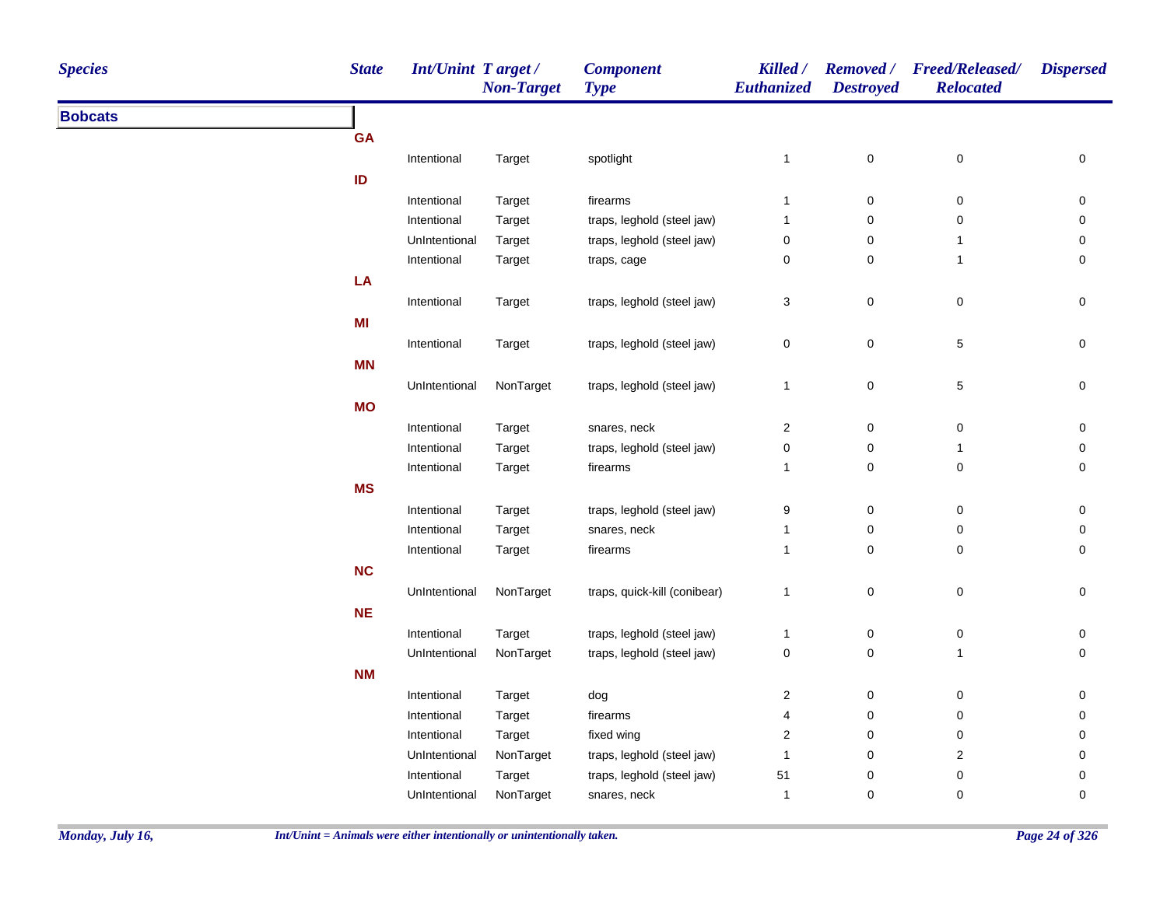| <b>Species</b> | <b>State</b> | <b>Int/Unint Target/</b> | <b>Non-Target</b> | <b>Component</b><br><b>Type</b> | Killed /<br>Euthanized | <b>Destroyed</b> | Removed / Freed/Released/<br><b>Relocated</b> | <b>Dispersed</b> |
|----------------|--------------|--------------------------|-------------------|---------------------------------|------------------------|------------------|-----------------------------------------------|------------------|
| <b>Bobcats</b> |              |                          |                   |                                 |                        |                  |                                               |                  |
|                | <b>GA</b>    |                          |                   |                                 |                        |                  |                                               |                  |
|                |              | Intentional              | Target            | spotlight                       | $\mathbf{1}$           | $\pmb{0}$        | $\boldsymbol{0}$                              | 0                |
|                | ID           |                          |                   |                                 |                        |                  |                                               |                  |
|                |              | Intentional              | Target            | firearms                        | $\overline{1}$         | $\pmb{0}$        | $\mathbf 0$                                   | 0                |
|                |              | Intentional              | Target            | traps, leghold (steel jaw)      | $\mathbf{1}$           | 0                | $\mathbf 0$                                   | 0                |
|                |              | UnIntentional            | Target            | traps, leghold (steel jaw)      | $\pmb{0}$              | 0                | $\overline{1}$                                | 0                |
|                |              | Intentional              | Target            | traps, cage                     | 0                      | 0                | $\overline{1}$                                | 0                |
|                | LA           |                          |                   |                                 |                        |                  |                                               |                  |
|                |              | Intentional              | Target            | traps, leghold (steel jaw)      | 3                      | $\pmb{0}$        | $\boldsymbol{0}$                              | 0                |
|                | MI           |                          |                   |                                 |                        |                  |                                               |                  |
|                |              | Intentional              | Target            | traps, leghold (steel jaw)      | $\mathsf 0$            | $\pmb{0}$        | $\,$ 5 $\,$                                   | 0                |
|                | MN           |                          |                   |                                 |                        |                  |                                               |                  |
|                |              | UnIntentional            | NonTarget         | traps, leghold (steel jaw)      | $\mathbf{1}$           | $\pmb{0}$        | $\sqrt{5}$                                    | 0                |
|                | <b>MO</b>    |                          |                   |                                 |                        |                  |                                               |                  |
|                |              | Intentional              |                   | snares, neck                    | $\overline{2}$         | $\pmb{0}$        | $\mathbf 0$                                   | 0                |
|                |              | Intentional              | Target<br>Target  | traps, leghold (steel jaw)      | 0                      | $\pmb{0}$        | $\overline{1}$                                | 0                |
|                |              | Intentional              | Target            | firearms                        | $\mathbf{1}$           | $\mathsf 0$      | $\mathbf 0$                                   | 0                |
|                | <b>MS</b>    |                          |                   |                                 |                        |                  |                                               |                  |
|                |              |                          |                   |                                 |                        | $\mathsf 0$      |                                               |                  |
|                |              | Intentional              | Target            | traps, leghold (steel jaw)      | 9                      |                  | $\mathbf 0$                                   | 0                |
|                |              | Intentional              | Target            | snares, neck                    | $\mathbf{1}$           | 0<br>$\mathsf 0$ | 0                                             | 0                |
|                |              | Intentional              | Target            | firearms                        | $\mathbf{1}$           |                  | $\mathbf 0$                                   | 0                |
|                | <b>NC</b>    |                          |                   |                                 |                        |                  |                                               |                  |
|                |              | UnIntentional            | NonTarget         | traps, quick-kill (conibear)    | $\mathbf{1}$           | $\pmb{0}$        | $\pmb{0}$                                     | $\pmb{0}$        |
|                | $NE$         |                          |                   |                                 |                        |                  |                                               |                  |
|                |              | Intentional              | Target            | traps, leghold (steel jaw)      | $\mathbf{1}$           | $\pmb{0}$        | $\pmb{0}$                                     | $\pmb{0}$        |
|                |              | UnIntentional            | NonTarget         | traps, leghold (steel jaw)      | $\pmb{0}$              | $\mathsf 0$      | $\mathbf{1}$                                  | $\pmb{0}$        |
|                | <b>NM</b>    |                          |                   |                                 |                        |                  |                                               |                  |
|                |              | Intentional              | Target            | dog                             | $\overline{c}$         | 0                | $\boldsymbol{0}$                              | $\pmb{0}$        |
|                |              | Intentional              | Target            | firearms                        | 4                      | 0                | $\pmb{0}$                                     | 0                |
|                |              | Intentional              | Target            | fixed wing                      | $\overline{c}$         | $\pmb{0}$        | $\boldsymbol{0}$                              | 0                |
|                |              | UnIntentional            | NonTarget         | traps, leghold (steel jaw)      | $\mathbf{1}$           | 0                | $\sqrt{2}$                                    | 0                |
|                |              | Intentional              | Target            | traps, leghold (steel jaw)      | 51                     | $\pmb{0}$        | $\pmb{0}$                                     | 0                |
|                |              | UnIntentional            | NonTarget         | snares, neck                    | $\overline{1}$         | $\mathbf 0$      | $\mathbf 0$                                   | 0                |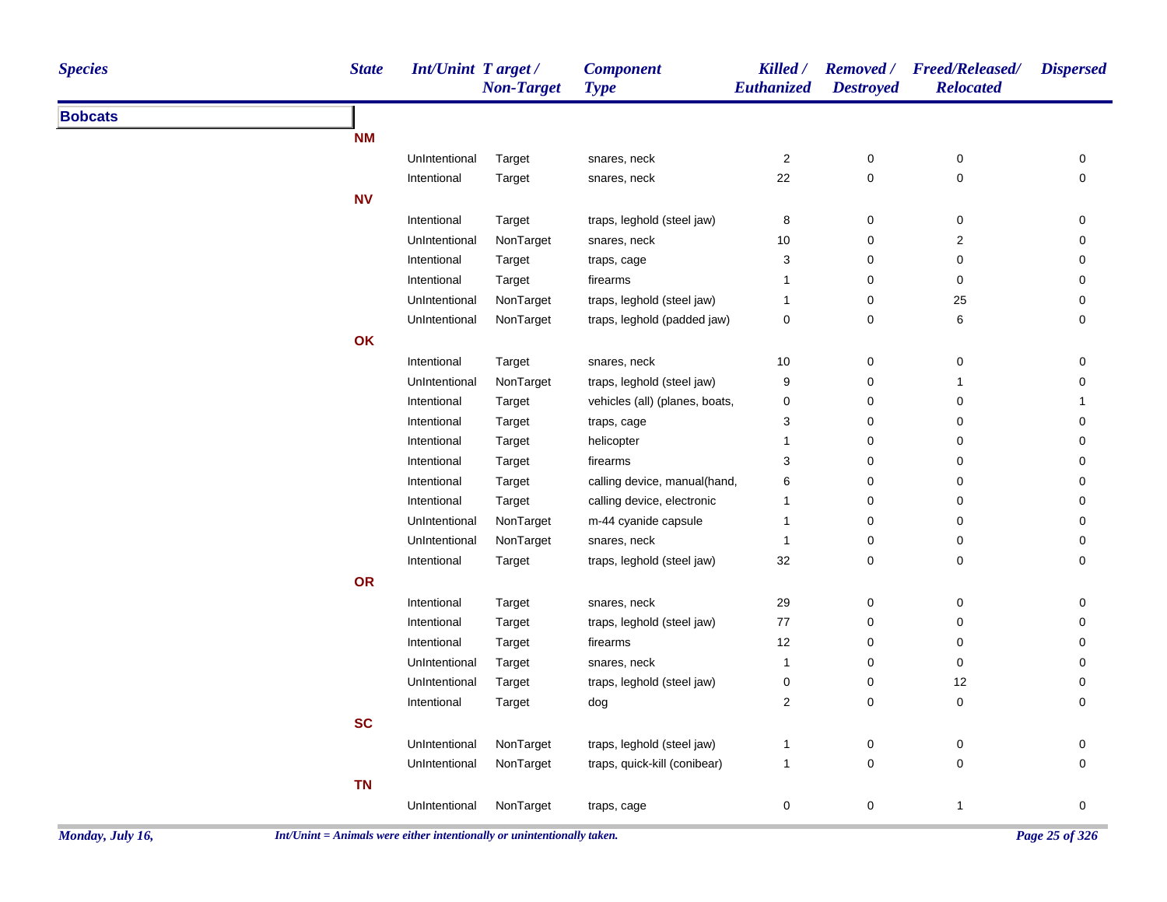| <b>Species</b> | <b>State</b> | <b>Int/Unint Target/</b> | <b>Non-Target</b> | <b>Component</b><br><b>Type</b> | Killed /<br>Euthanized | <b>Removed</b> /<br><b>Destroyed</b> | <b>Freed/Released/</b><br><b>Relocated</b> | <b>Dispersed</b>    |
|----------------|--------------|--------------------------|-------------------|---------------------------------|------------------------|--------------------------------------|--------------------------------------------|---------------------|
| <b>Bobcats</b> |              |                          |                   |                                 |                        |                                      |                                            |                     |
|                | <b>NM</b>    |                          |                   |                                 |                        |                                      |                                            |                     |
|                |              | UnIntentional            | Target            | snares, neck                    | $\sqrt{2}$             | $\pmb{0}$                            | $\pmb{0}$                                  | 0                   |
|                |              | Intentional              | Target            | snares, neck                    | 22                     | $\mathsf 0$                          | $\mathsf 0$                                | $\mathbf 0$         |
|                | ${\sf NV}$   |                          |                   |                                 |                        |                                      |                                            |                     |
|                |              | Intentional              | Target            | traps, leghold (steel jaw)      | 8                      | 0                                    | $\pmb{0}$                                  | $\pmb{0}$           |
|                |              | UnIntentional            | NonTarget         | snares, neck                    | 10                     | $\pmb{0}$                            | $\boldsymbol{2}$                           | $\pmb{0}$           |
|                |              | Intentional              | Target            | traps, cage                     | 3                      | $\pmb{0}$                            | 0                                          | $\pmb{0}$           |
|                |              | Intentional              | Target            | firearms                        | 1                      | $\pmb{0}$                            | 0                                          | 0                   |
|                |              | UnIntentional            | NonTarget         | traps, leghold (steel jaw)      | $\mathbf{1}$           | $\pmb{0}$                            | 25                                         | 0                   |
|                |              | UnIntentional            | NonTarget         | traps, leghold (padded jaw)     | 0                      | 0                                    | $\,6\,$                                    | 0                   |
|                | OK           |                          |                   |                                 |                        |                                      |                                            |                     |
|                |              | Intentional              | Target            | snares, neck                    | 10                     | 0                                    | 0                                          | 0                   |
|                |              | UnIntentional            | NonTarget         | traps, leghold (steel jaw)      | 9                      | $\pmb{0}$                            | $\mathbf{1}$                               | 0                   |
|                |              | Intentional              | Target            | vehicles (all) (planes, boats,  | $\pmb{0}$              | 0                                    | $\pmb{0}$                                  | $\mathbf{1}$        |
|                |              | Intentional              | Target            | traps, cage                     | 3                      | 0                                    | 0                                          | 0                   |
|                |              | Intentional              | Target            | helicopter                      | $\mathbf{1}$           | $\pmb{0}$                            | 0                                          | 0                   |
|                |              | Intentional              | Target            | firearms                        | 3                      | $\pmb{0}$                            | 0                                          | 0                   |
|                |              | Intentional              | Target            | calling device, manual(hand,    | 6                      | $\pmb{0}$                            | 0                                          | 0                   |
|                |              | Intentional              | Target            | calling device, electronic      | 1                      | $\pmb{0}$                            | 0                                          | 0                   |
|                |              | UnIntentional            | NonTarget         | m-44 cyanide capsule            | $\mathbf{1}$           | $\pmb{0}$                            | 0                                          | 0                   |
|                |              | UnIntentional            | NonTarget         | snares, neck                    | $\overline{1}$         | 0                                    | $\mathbf 0$                                | 0                   |
|                |              | Intentional              | Target            | traps, leghold (steel jaw)      | 32                     | $\mathsf 0$                          | $\pmb{0}$                                  | $\mathbf 0$         |
|                | OR           |                          |                   |                                 |                        |                                      |                                            |                     |
|                |              | Intentional              | Target            | snares, neck                    | 29                     | 0                                    | $\boldsymbol{0}$                           | 0                   |
|                |              | Intentional              | Target            | traps, leghold (steel jaw)      | $77\,$                 | $\mathbf 0$                          | $\pmb{0}$                                  | $\mathbf 0$         |
|                |              | Intentional              | Target            | firearms                        | 12                     | 0                                    | $\pmb{0}$                                  | $\mathbf 0$         |
|                |              | UnIntentional            | Target            | snares, neck                    | $\overline{1}$         | 0                                    | 0                                          | 0                   |
|                |              | UnIntentional            | Target            | traps, leghold (steel jaw)      | $\pmb{0}$              | $\pmb{0}$                            | 12                                         | $\pmb{0}$           |
|                |              | Intentional              | Target            | dog                             | 2                      | $\mathsf 0$                          | $\pmb{0}$                                  | $\mathbf 0$         |
|                | <b>SC</b>    |                          |                   |                                 |                        |                                      |                                            |                     |
|                |              | UnIntentional            | NonTarget         | traps, leghold (steel jaw)      | 1                      | 0                                    | 0                                          | 0                   |
|                |              | UnIntentional            | NonTarget         | traps, quick-kill (conibear)    | $\mathbf{1}$           | $\mathsf{O}\xspace$                  | $\pmb{0}$                                  | $\mathsf{O}\xspace$ |
|                | <b>TN</b>    |                          |                   |                                 |                        |                                      |                                            |                     |
|                |              | UnIntentional            | NonTarget         | traps, cage                     | 0                      | $\pmb{0}$                            | $\overline{1}$                             | $\mathbf 0$         |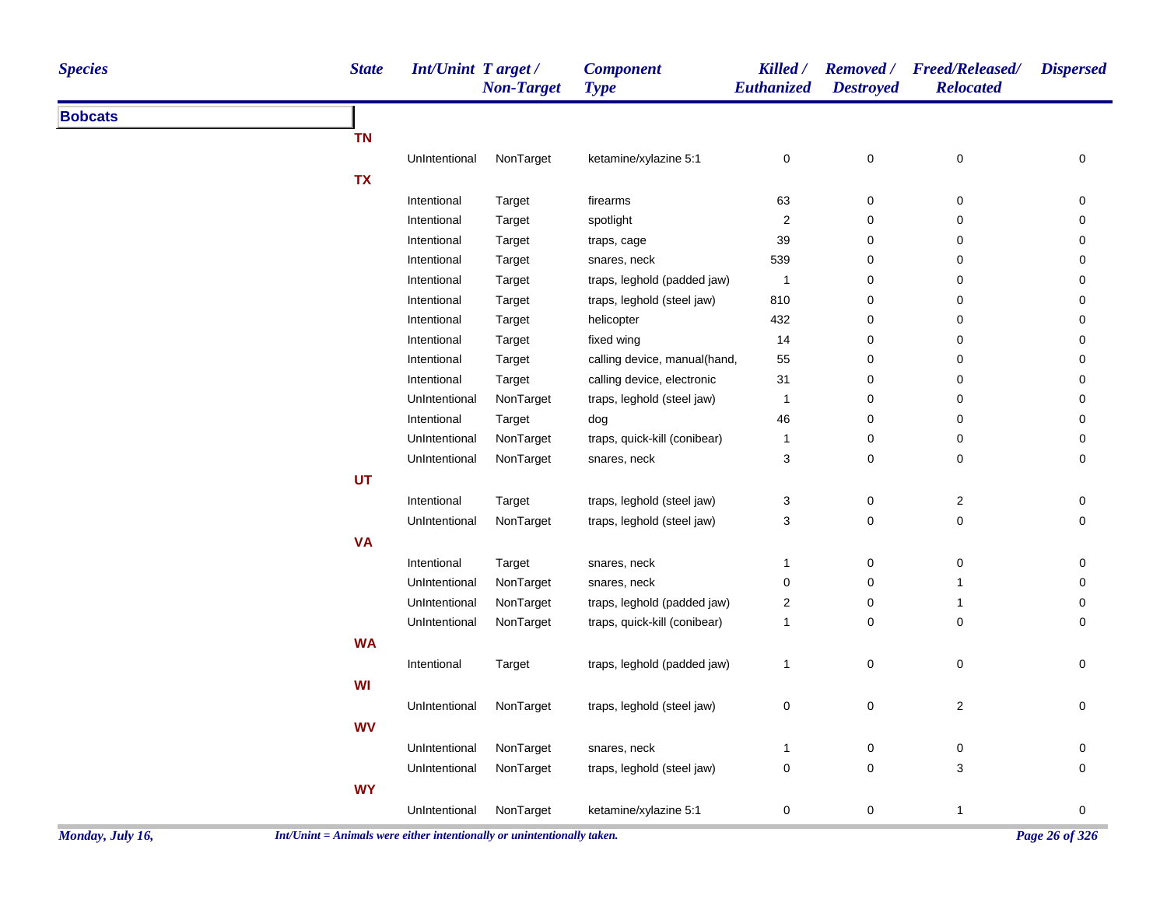| <b>Species</b> | <b>State</b> | Int/Unint Target/ | <b>Non-Target</b> | <b>Component</b><br><b>Type</b> | Killed /<br>Euthanized | <b>Removed</b> /<br><b>Destroyed</b> | <b>Freed/Released/</b><br><b>Relocated</b> | <b>Dispersed</b> |
|----------------|--------------|-------------------|-------------------|---------------------------------|------------------------|--------------------------------------|--------------------------------------------|------------------|
| <b>Bobcats</b> |              |                   |                   |                                 |                        |                                      |                                            |                  |
|                | <b>TN</b>    |                   |                   |                                 |                        |                                      |                                            |                  |
|                |              | UnIntentional     | NonTarget         | ketamine/xylazine 5:1           | 0                      | 0                                    | $\mathbf 0$                                | 0                |
|                | <b>TX</b>    |                   |                   |                                 |                        |                                      |                                            |                  |
|                |              | Intentional       | Target            | firearms                        | 63                     | 0                                    | 0                                          | 0                |
|                |              | Intentional       | Target            | spotlight                       | 2                      | 0                                    | 0                                          | 0                |
|                |              | Intentional       | Target            | traps, cage                     | 39                     | 0                                    | $\pmb{0}$                                  | 0                |
|                |              | Intentional       | Target            | snares, neck                    | 539                    | 0                                    | 0                                          | 0                |
|                |              | Intentional       | Target            | traps, leghold (padded jaw)     | $\overline{1}$         | 0                                    | 0                                          | 0                |
|                |              | Intentional       | Target            | traps, leghold (steel jaw)      | 810                    | 0                                    | 0                                          | 0                |
|                |              | Intentional       | Target            | helicopter                      | 432                    | $\mathbf 0$                          | $\pmb{0}$                                  | 0                |
|                |              | Intentional       | Target            | fixed wing                      | 14                     | 0                                    | 0                                          | 0                |
|                |              | Intentional       | Target            | calling device, manual(hand,    | 55                     | $\mathbf 0$                          | 0                                          | 0                |
|                |              | Intentional       | Target            | calling device, electronic      | 31                     | $\mathbf 0$                          | 0                                          | 0                |
|                |              | UnIntentional     | NonTarget         | traps, leghold (steel jaw)      | 1                      | 0                                    | $\pmb{0}$                                  | 0                |
|                |              | Intentional       | Target            | dog                             | 46                     | 0                                    | 0                                          | 0                |
|                |              | UnIntentional     | NonTarget         | traps, quick-kill (conibear)    | -1                     | 0                                    | 0                                          | 0                |
|                |              | UnIntentional     | NonTarget         | snares, neck                    | 3                      | $\mathbf 0$                          | 0                                          | 0                |
|                | UT           |                   |                   |                                 |                        |                                      |                                            |                  |
|                |              | Intentional       | Target            | traps, leghold (steel jaw)      | 3                      | 0                                    | 2                                          | 0                |
|                |              | UnIntentional     | NonTarget         | traps, leghold (steel jaw)      | 3                      | $\mathbf 0$                          | 0                                          | 0                |
|                | <b>VA</b>    |                   |                   |                                 |                        |                                      |                                            |                  |
|                |              | Intentional       | Target            | snares, neck                    | -1                     | $\mathbf 0$                          | 0                                          | 0                |
|                |              | UnIntentional     | NonTarget         | snares, neck                    | 0                      | $\mathbf 0$                          | $\mathbf{1}$                               | 0                |
|                |              | UnIntentional     | NonTarget         | traps, leghold (padded jaw)     | 2                      | $\mathbf 0$                          | $\mathbf{1}$                               | 0                |
|                |              | UnIntentional     | NonTarget         | traps, quick-kill (conibear)    | $\mathbf{1}$           | 0                                    | 0                                          | 0                |
|                | <b>WA</b>    |                   |                   |                                 |                        |                                      |                                            |                  |
|                |              | Intentional       | Target            | traps, leghold (padded jaw)     | 1                      | 0                                    | $\pmb{0}$                                  | 0                |
|                |              |                   |                   |                                 |                        |                                      |                                            |                  |
|                | WI           |                   |                   |                                 |                        |                                      |                                            |                  |
|                |              | UnIntentional     | NonTarget         | traps, leghold (steel jaw)      | 0                      | $\mathbf 0$                          | 2                                          | 0                |
|                | <b>WV</b>    |                   |                   |                                 |                        |                                      |                                            |                  |
|                |              | UnIntentional     | NonTarget         | snares, neck                    | 1                      | $\pmb{0}$                            | 0                                          | 0                |
|                |              | UnIntentional     | NonTarget         | traps, leghold (steel jaw)      | 0                      | 0                                    | 3                                          | 0                |
|                | <b>WY</b>    |                   |                   |                                 |                        |                                      |                                            |                  |
|                |              | UnIntentional     | NonTarget         | ketamine/xylazine 5:1           | 0                      | $\pmb{0}$                            | $\mathbf{1}$                               | 0                |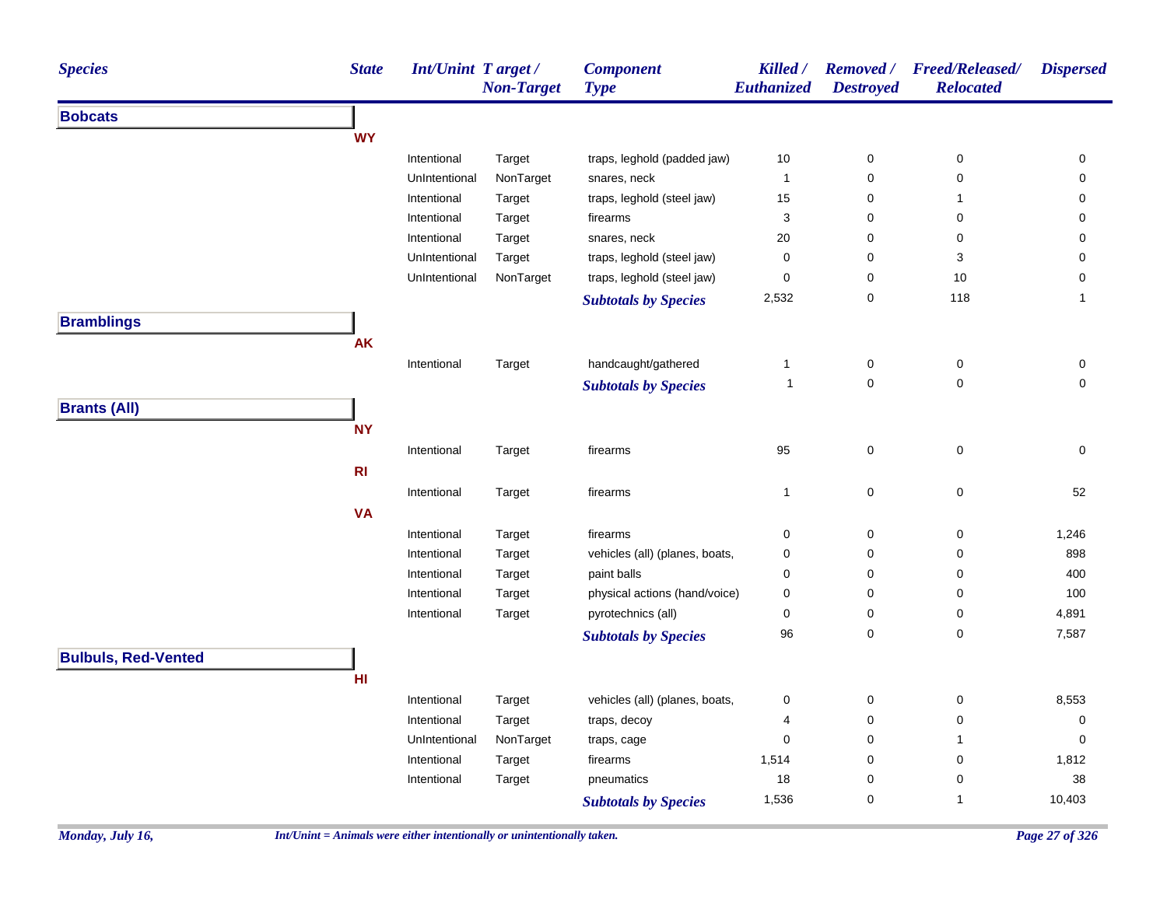| <b>Species</b>             | <b>State</b> | Int/Unint Target/ | <b>Non-Target</b> | <b>Component</b><br><b>Type</b> | Killed /<br>Euthanized    | <b>Removed</b> /<br><b>Destroyed</b> | <b>Freed/Released/</b><br><b>Relocated</b> | <b>Dispersed</b>    |
|----------------------------|--------------|-------------------|-------------------|---------------------------------|---------------------------|--------------------------------------|--------------------------------------------|---------------------|
| <b>Bobcats</b>             |              |                   |                   |                                 |                           |                                      |                                            |                     |
|                            | <b>WY</b>    |                   |                   |                                 |                           |                                      |                                            |                     |
|                            |              | Intentional       | Target            | traps, leghold (padded jaw)     | $10$                      | $\mathbf 0$                          | 0                                          | 0                   |
|                            |              | UnIntentional     | NonTarget         | snares, neck                    | 1                         | $\pmb{0}$                            | $\pmb{0}$                                  | 0                   |
|                            |              | Intentional       | Target            | traps, leghold (steel jaw)      | 15                        | 0                                    | 1                                          | 0                   |
|                            |              | Intentional       | Target            | firearms                        | $\ensuremath{\mathsf{3}}$ | $\pmb{0}$                            | 0                                          | 0                   |
|                            |              | Intentional       | Target            | snares, neck                    | 20                        | 0                                    | 0                                          | 0                   |
|                            |              | UnIntentional     | Target            | traps, leghold (steel jaw)      | $\pmb{0}$                 | $\pmb{0}$                            | 3                                          | 0                   |
|                            |              | UnIntentional     | NonTarget         | traps, leghold (steel jaw)      | 0                         | 0                                    | 10                                         | 0                   |
|                            |              |                   |                   | <b>Subtotals by Species</b>     | 2,532                     | 0                                    | 118                                        | $\mathbf{1}$        |
| <b>Bramblings</b>          |              |                   |                   |                                 |                           |                                      |                                            |                     |
|                            | <b>AK</b>    |                   |                   |                                 |                           |                                      |                                            |                     |
|                            |              | Intentional       | Target            | handcaught/gathered             | 1                         | $\mathbf 0$                          | $\pmb{0}$                                  | 0                   |
|                            |              |                   |                   | <b>Subtotals by Species</b>     | $\mathbf 1$               | $\mathsf{O}\xspace$                  | $\pmb{0}$                                  | 0                   |
| <b>Brants (All)</b>        |              |                   |                   |                                 |                           |                                      |                                            |                     |
|                            | <b>NY</b>    |                   |                   |                                 |                           |                                      |                                            |                     |
|                            |              | Intentional       | Target            | firearms                        | 95                        | $\mathsf{O}\xspace$                  | $\pmb{0}$                                  | 0                   |
|                            | R1           |                   |                   |                                 |                           |                                      |                                            |                     |
|                            |              | Intentional       | Target            | firearms                        | $\mathbf{1}$              | 0                                    | $\pmb{0}$                                  | 52                  |
|                            | <b>VA</b>    |                   |                   |                                 |                           |                                      |                                            |                     |
|                            |              |                   |                   |                                 |                           |                                      |                                            |                     |
|                            |              | Intentional       | Target            | firearms                        | 0                         | $\mathbf 0$                          | 0                                          | 1,246               |
|                            |              | Intentional       | Target            | vehicles (all) (planes, boats,  | $\pmb{0}$                 | $\pmb{0}$                            | 0                                          | 898                 |
|                            |              | Intentional       | Target            | paint balls                     | 0                         | 0                                    | 0                                          | 400                 |
|                            |              | Intentional       | Target            | physical actions (hand/voice)   | 0                         | 0                                    | 0                                          | 100                 |
|                            |              | Intentional       | Target            | pyrotechnics (all)              | 0                         | 0                                    | 0                                          | 4,891               |
|                            |              |                   |                   | <b>Subtotals by Species</b>     | 96                        | 0                                    | $\pmb{0}$                                  | 7,587               |
| <b>Bulbuls, Red-Vented</b> |              |                   |                   |                                 |                           |                                      |                                            |                     |
|                            | HI           |                   |                   |                                 |                           |                                      |                                            |                     |
|                            |              | Intentional       | Target            | vehicles (all) (planes, boats,  | 0                         | $\mathbf 0$                          | 0                                          | 8,553               |
|                            |              | Intentional       | Target            | traps, decoy                    | 4                         | $\mathsf{O}\xspace$                  | 0                                          | $\mathsf{O}\xspace$ |
|                            |              | UnIntentional     | NonTarget         | traps, cage                     | 0                         | $\mathbf 0$                          | 1                                          | $\mathbf 0$         |
|                            |              | Intentional       | Target            | firearms                        | 1,514                     | 0                                    | 0                                          | 1,812               |
|                            |              | Intentional       | Target            | pneumatics                      | 18                        | $\pmb{0}$                            | 0                                          | $38\,$              |
|                            |              |                   |                   | <b>Subtotals by Species</b>     | 1,536                     | 0                                    | 1                                          | 10,403              |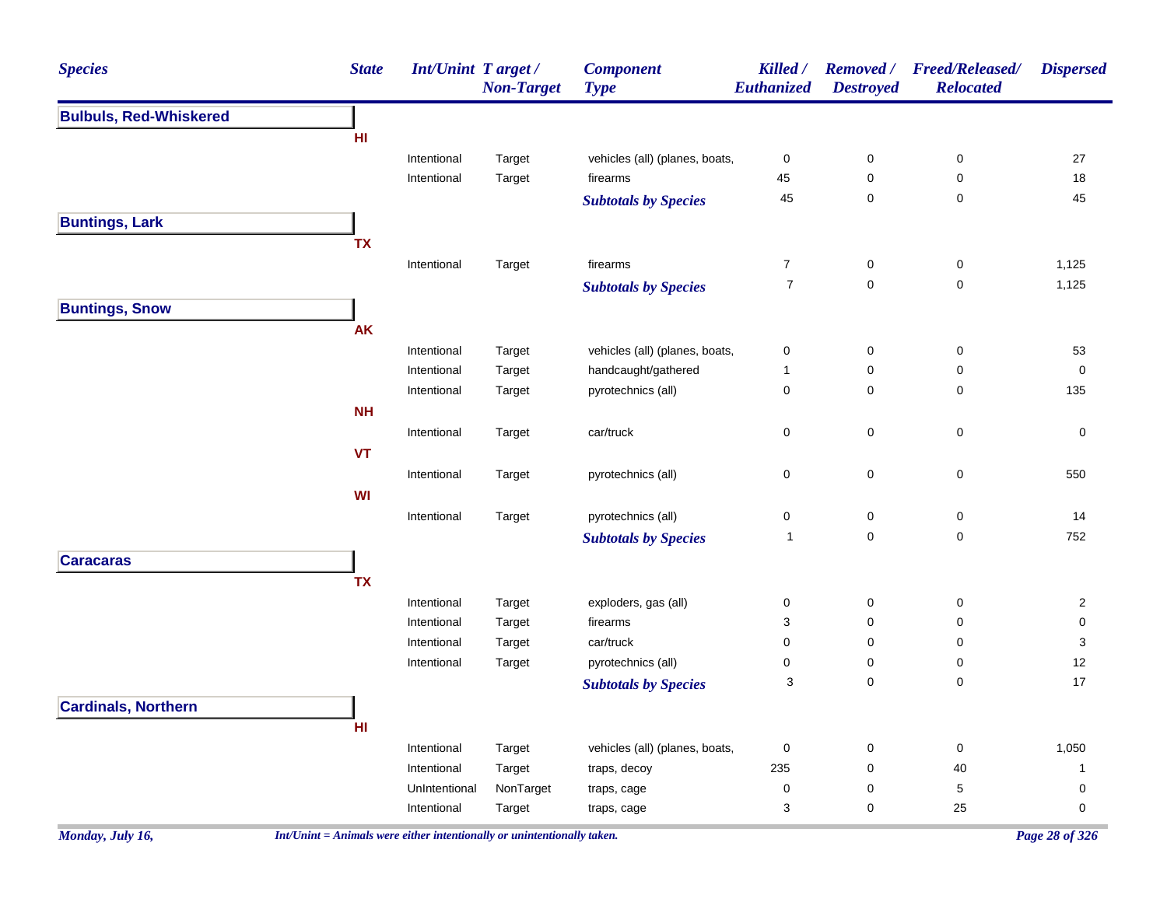| <b>Species</b>                | <b>State</b> | <b>Int/Unint Target/</b>   | <b>Non-Target</b> | <b>Component</b><br><b>Type</b> | Killed /<br>Euthanized | <b>Removed</b> /<br><b>Destroyed</b> | <b>Freed/Released/</b><br><b>Relocated</b> | <b>Dispersed</b>                      |
|-------------------------------|--------------|----------------------------|-------------------|---------------------------------|------------------------|--------------------------------------|--------------------------------------------|---------------------------------------|
| <b>Bulbuls, Red-Whiskered</b> |              |                            |                   |                                 |                        |                                      |                                            |                                       |
|                               | HI           |                            |                   |                                 |                        |                                      |                                            |                                       |
|                               |              | Intentional                | Target            | vehicles (all) (planes, boats,  | 0                      | $\pmb{0}$                            | $\pmb{0}$                                  | 27                                    |
|                               |              | Intentional                | Target            | firearms                        | 45                     | $\mathbf 0$                          | $\pmb{0}$                                  | $18$                                  |
|                               |              |                            |                   | <b>Subtotals by Species</b>     | 45                     | $\mathbf 0$                          | 0                                          | 45                                    |
| <b>Buntings, Lark</b>         |              |                            |                   |                                 |                        |                                      |                                            |                                       |
|                               | <b>TX</b>    |                            |                   |                                 |                        |                                      |                                            |                                       |
|                               |              | Intentional                | Target            | firearms                        | $\boldsymbol{7}$       | $\pmb{0}$                            | 0                                          | 1,125                                 |
|                               |              |                            |                   | <b>Subtotals by Species</b>     | $\boldsymbol{7}$       | $\mathsf{O}\xspace$                  | $\mathsf 0$                                | 1,125                                 |
| <b>Buntings, Snow</b>         |              |                            |                   |                                 |                        |                                      |                                            |                                       |
|                               | <b>AK</b>    |                            |                   |                                 |                        |                                      |                                            |                                       |
|                               |              | Intentional                | Target            | vehicles (all) (planes, boats,  | 0                      | $\boldsymbol{0}$                     | 0                                          | 53                                    |
|                               |              | Intentional                | Target            | handcaught/gathered             | 1                      | $\mathbf 0$                          | 0                                          | 0                                     |
|                               |              | Intentional                | Target            | pyrotechnics (all)              | 0                      | $\mathbf 0$                          | 0                                          | 135                                   |
|                               | <b>NH</b>    |                            |                   |                                 |                        |                                      |                                            |                                       |
|                               |              | Intentional                | Target            | car/truck                       | 0                      | $\mathbf 0$                          | $\pmb{0}$                                  | 0                                     |
|                               | <b>VT</b>    |                            |                   |                                 |                        |                                      |                                            |                                       |
|                               |              | Intentional                | Target            | pyrotechnics (all)              | 0                      | $\mathbf 0$                          | $\pmb{0}$                                  | 550                                   |
|                               | WI           |                            |                   |                                 |                        |                                      |                                            |                                       |
|                               |              | Intentional                | Target            | pyrotechnics (all)              | 0                      | $\mathbf 0$                          | $\pmb{0}$                                  | 14                                    |
|                               |              |                            |                   | <b>Subtotals by Species</b>     | $\overline{1}$         | $\mathbf 0$                          | $\mathbf 0$                                | 752                                   |
| <b>Caracaras</b>              |              |                            |                   |                                 |                        |                                      |                                            |                                       |
|                               | <b>TX</b>    |                            |                   |                                 |                        |                                      |                                            |                                       |
|                               |              |                            |                   |                                 |                        |                                      |                                            |                                       |
|                               |              | Intentional                | Target<br>Target  | exploders, gas (all)            | 0<br>3                 | $\boldsymbol{0}$<br>$\pmb{0}$        | 0<br>0                                     | $\overline{2}$<br>$\mathsf{O}\xspace$ |
|                               |              | Intentional<br>Intentional | Target            | firearms<br>car/truck           | 0                      | 0                                    | 0                                          | $\sqrt{3}$                            |
|                               |              | Intentional                | Target            | pyrotechnics (all)              | 0                      | 0                                    | $\pmb{0}$                                  | 12                                    |
|                               |              |                            |                   |                                 | 3                      | 0                                    | 0                                          | 17                                    |
|                               |              |                            |                   | <b>Subtotals by Species</b>     |                        |                                      |                                            |                                       |
| <b>Cardinals, Northern</b>    |              |                            |                   |                                 |                        |                                      |                                            |                                       |
|                               | HI           |                            |                   |                                 |                        |                                      |                                            |                                       |
|                               |              | Intentional                | Target            | vehicles (all) (planes, boats,  | 0                      | 0                                    | $\mathbf 0$                                | 1,050                                 |
|                               |              | Intentional                | Target            | traps, decoy                    | 235                    | $\mathbf 0$                          | 40                                         | $\mathbf{1}$                          |
|                               |              | UnIntentional              | NonTarget         | traps, cage                     | 0                      | 0                                    | 5                                          | $\pmb{0}$                             |
|                               |              | Intentional                | Target            | traps, cage                     | 3                      | 0                                    | 25                                         | 0                                     |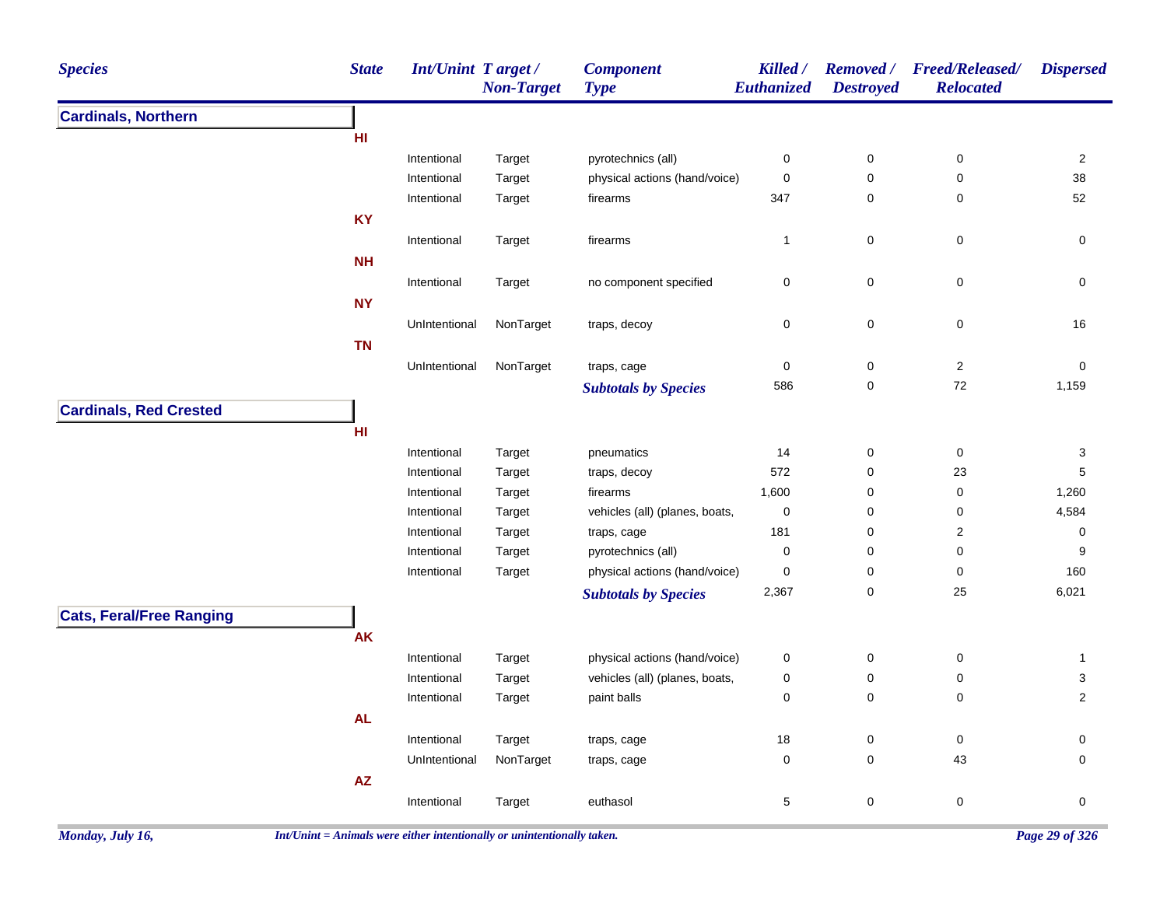| <b>Species</b>                  | <b>State</b>  | <b>Int/Unint Target/</b> | <b>Non-Target</b> | <b>Component</b><br><b>Type</b> | Killed /<br>Euthanized | <b>Destroyed</b> | Removed / Freed/Released/<br><b>Relocated</b> | <b>Dispersed</b> |
|---------------------------------|---------------|--------------------------|-------------------|---------------------------------|------------------------|------------------|-----------------------------------------------|------------------|
| <b>Cardinals, Northern</b>      |               |                          |                   |                                 |                        |                  |                                               |                  |
|                                 | HI            |                          |                   |                                 |                        |                  |                                               |                  |
|                                 |               | Intentional              | Target            | pyrotechnics (all)              | $\pmb{0}$              | 0                | 0                                             | $\overline{2}$   |
|                                 |               | Intentional              | Target            | physical actions (hand/voice)   | $\pmb{0}$              | $\mathbf 0$      | $\mathsf 0$                                   | 38               |
|                                 |               | Intentional              | Target            | firearms                        | 347                    | $\pmb{0}$        | $\pmb{0}$                                     | 52               |
|                                 | <b>KY</b>     |                          |                   |                                 |                        |                  |                                               |                  |
|                                 |               | Intentional              | Target            | firearms                        | $\mathbf{1}$           | 0                | 0                                             | 0                |
|                                 | <b>NH</b>     |                          |                   |                                 |                        |                  |                                               |                  |
|                                 |               | Intentional              | Target            | no component specified          | $\pmb{0}$              | $\pmb{0}$        | $\pmb{0}$                                     | 0                |
|                                 | <b>NY</b>     |                          |                   |                                 |                        |                  |                                               |                  |
|                                 |               | UnIntentional            | NonTarget         | traps, decoy                    | $\mathbf 0$            | $\mathbf 0$      | 0                                             | 16               |
|                                 | <b>TN</b>     |                          |                   |                                 |                        |                  |                                               |                  |
|                                 |               | UnIntentional            | NonTarget         | traps, cage                     | $\boldsymbol{0}$       | $\pmb{0}$        | $\sqrt{2}$                                    | $\boldsymbol{0}$ |
|                                 |               |                          |                   | <b>Subtotals by Species</b>     | 586                    | $\pmb{0}$        | $72\,$                                        | 1,159            |
| <b>Cardinals, Red Crested</b>   |               |                          |                   |                                 |                        |                  |                                               |                  |
|                                 | H1            |                          |                   |                                 |                        |                  |                                               |                  |
|                                 |               | Intentional              | Target            |                                 |                        |                  | $\pmb{0}$                                     |                  |
|                                 |               | Intentional              | Target            | pneumatics<br>traps, decoy      | 14<br>572              | 0<br>0           | 23                                            | 3<br>$\mathbf 5$ |
|                                 |               | Intentional              | Target            | firearms                        | 1,600                  | $\pmb{0}$        | $\mathbf 0$                                   | 1,260            |
|                                 |               | Intentional              | Target            | vehicles (all) (planes, boats,  | $\pmb{0}$              | 0                | 0                                             | 4,584            |
|                                 |               | Intentional              | Target            | traps, cage                     | 181                    | 0                | $\overline{c}$                                | $\pmb{0}$        |
|                                 |               | Intentional              | Target            | pyrotechnics (all)              | $\pmb{0}$              | 0                | 0                                             | 9                |
|                                 |               | Intentional              | Target            | physical actions (hand/voice)   | $\mathbf 0$            | 0                | 0                                             | 160              |
|                                 |               |                          |                   | <b>Subtotals by Species</b>     | 2,367                  | $\mathbf 0$      | 25                                            | 6,021            |
|                                 |               |                          |                   |                                 |                        |                  |                                               |                  |
| <b>Cats, Feral/Free Ranging</b> | <b>AK</b>     |                          |                   |                                 |                        |                  |                                               |                  |
|                                 |               |                          |                   |                                 |                        |                  |                                               |                  |
|                                 |               | Intentional              | Target            | physical actions (hand/voice)   | $\mathbf 0$            | $\pmb{0}$        | 0                                             | $\mathbf{1}$     |
|                                 |               | Intentional              | Target            | vehicles (all) (planes, boats,  | 0                      | 0                | 0                                             | 3                |
|                                 |               | Intentional              | Target            | paint balls                     | 0                      | 0                | 0                                             | $\overline{c}$   |
|                                 | <b>AL</b>     |                          |                   |                                 |                        |                  |                                               |                  |
|                                 |               | Intentional              | Target            | traps, cage                     | 18                     | $\pmb{0}$        | 0                                             | 0                |
|                                 |               | UnIntentional            | NonTarget         | traps, cage                     | $\mathbf 0$            | 0                | 43                                            | 0                |
|                                 | $\mathsf{AZ}$ |                          |                   |                                 |                        |                  |                                               |                  |
|                                 |               | Intentional              | Target            | euthasol                        | $\,$ 5 $\,$            | $\mathbf 0$      | $\pmb{0}$                                     | 0                |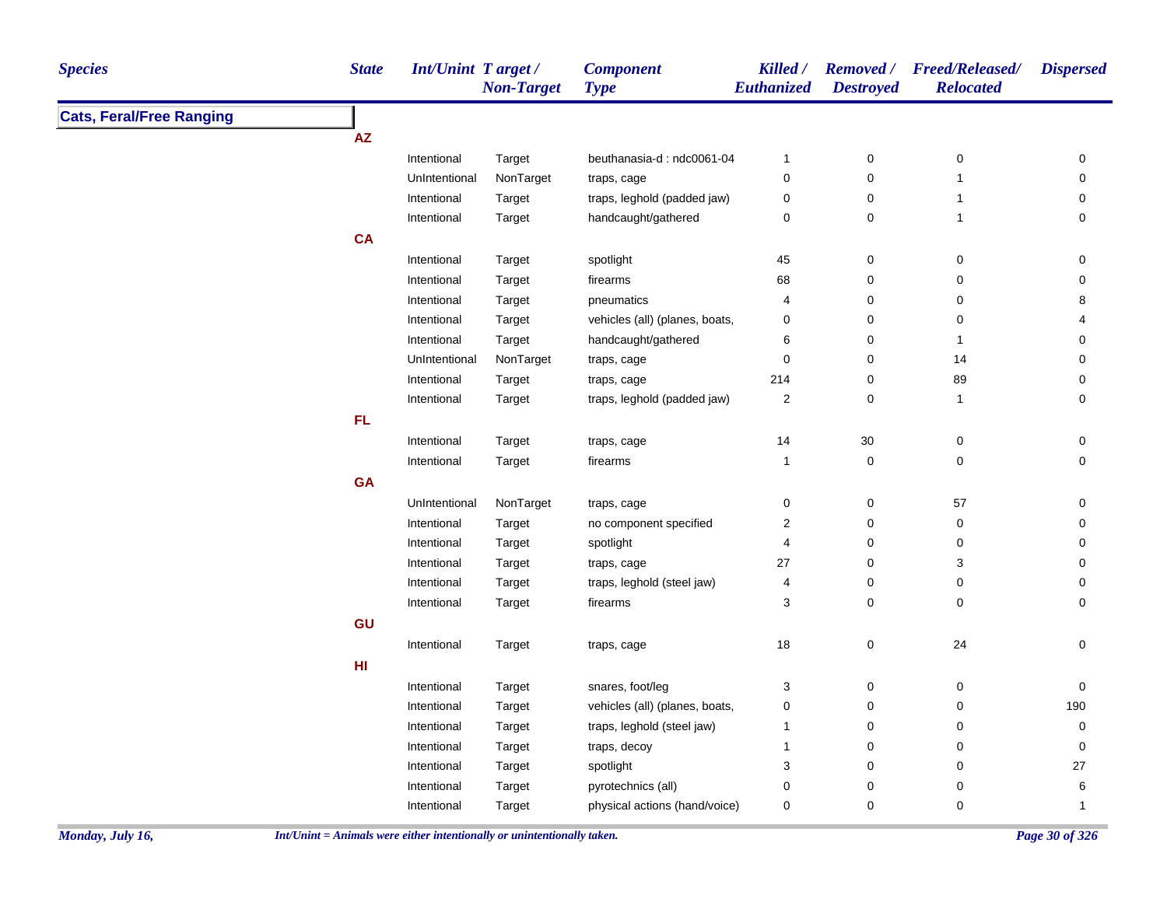| <b>Species</b>                  | <b>State</b> | Int/Unint Target/ | <b>Non-Target</b> | <b>Component</b><br><b>Type</b> | Killed /<br>Euthanized  | <b>Destroyed</b> | Removed / Freed/Released/<br><b>Relocated</b> | <b>Dispersed</b> |
|---------------------------------|--------------|-------------------|-------------------|---------------------------------|-------------------------|------------------|-----------------------------------------------|------------------|
| <b>Cats, Feral/Free Ranging</b> |              |                   |                   |                                 |                         |                  |                                               |                  |
|                                 | ${\sf AZ}$   |                   |                   |                                 |                         |                  |                                               |                  |
|                                 |              | Intentional       | Target            | beuthanasia-d: ndc0061-04       | $\mathbf{1}$            | $\pmb{0}$        | $\pmb{0}$                                     | 0                |
|                                 |              | UnIntentional     | NonTarget         | traps, cage                     | 0                       | $\mathbf 0$      | $\mathbf{1}$                                  | $\mathsf 0$      |
|                                 |              | Intentional       | Target            | traps, leghold (padded jaw)     | $\pmb{0}$               | $\pmb{0}$        | $\mathbf{1}$                                  | 0                |
|                                 |              | Intentional       | Target            | handcaught/gathered             | 0                       | 0                | $\mathbf{1}$                                  | 0                |
|                                 | CA           |                   |                   |                                 |                         |                  |                                               |                  |
|                                 |              | Intentional       | Target            | spotlight                       | 45                      | 0                | 0                                             | 0                |
|                                 |              | Intentional       | Target            | firearms                        | 68                      | $\pmb{0}$        | $\pmb{0}$                                     | $\mathsf 0$      |
|                                 |              | Intentional       | Target            | pneumatics                      | 4                       | $\mathbf 0$      | $\mathbf 0$                                   | 8                |
|                                 |              | Intentional       | Target            | vehicles (all) (planes, boats,  | $\pmb{0}$               | 0                | 0                                             | 4                |
|                                 |              | Intentional       | Target            | handcaught/gathered             | 6                       | $\pmb{0}$        | $\mathbf{1}$                                  | $\pmb{0}$        |
|                                 |              | UnIntentional     | NonTarget         | traps, cage                     | 0                       | 0                | 14                                            | 0                |
|                                 |              | Intentional       | Target            | traps, cage                     | 214                     | 0                | 89                                            | 0                |
|                                 |              | Intentional       | Target            | traps, leghold (padded jaw)     | $\overline{\mathbf{c}}$ | 0                | $\mathbf{1}$                                  | 0                |
|                                 | FL.          |                   |                   |                                 |                         |                  |                                               |                  |
|                                 |              | Intentional       | Target            | traps, cage                     | 14                      | 30               | $\pmb{0}$                                     | 0                |
|                                 |              | Intentional       | Target            | firearms                        | $\mathbf{1}$            | 0                | $\pmb{0}$                                     | 0                |
|                                 | <b>GA</b>    |                   |                   |                                 |                         |                  |                                               |                  |
|                                 |              | UnIntentional     | NonTarget         | traps, cage                     | $\pmb{0}$               | $\pmb{0}$        | 57                                            | 0                |
|                                 |              | Intentional       | Target            | no component specified          | $\sqrt{2}$              | $\pmb{0}$        | $\pmb{0}$                                     | $\pmb{0}$        |
|                                 |              | Intentional       | Target            | spotlight                       | 4                       | 0                | 0                                             | 0                |
|                                 |              | Intentional       | Target            | traps, cage                     | 27                      | $\pmb{0}$        | 3                                             | 0                |
|                                 |              | Intentional       | Target            | traps, leghold (steel jaw)      | 4                       | 0                | 0                                             | 0                |
|                                 |              | Intentional       | Target            | firearms                        | 3                       | $\pmb{0}$        | $\pmb{0}$                                     | 0                |
|                                 | GU           |                   |                   |                                 |                         |                  |                                               |                  |
|                                 |              | Intentional       | Target            | traps, cage                     | $18$                    | $\pmb{0}$        | 24                                            | $\pmb{0}$        |
|                                 | HI           |                   |                   |                                 |                         |                  |                                               |                  |
|                                 |              | Intentional       | Target            | snares, foot/leg                | 3                       | 0                | $\pmb{0}$                                     | 0                |
|                                 |              | Intentional       | Target            | vehicles (all) (planes, boats,  | 0                       | 0                | 0                                             | 190              |
|                                 |              | Intentional       | Target            | traps, leghold (steel jaw)      | $\mathbf{1}$            | $\pmb{0}$        | 0                                             | 0                |
|                                 |              | Intentional       | Target            | traps, decoy                    | $\mathbf{1}$            | 0                | 0                                             | 0                |
|                                 |              | Intentional       | Target            | spotlight                       | 3                       | 0                | 0                                             | 27               |
|                                 |              | Intentional       | Target            | pyrotechnics (all)              | 0                       | $\pmb{0}$        | 0                                             | 6                |
|                                 |              | Intentional       | Target            | physical actions (hand/voice)   | 0                       | $\mathbf 0$      | 0                                             | $\mathbf{1}$     |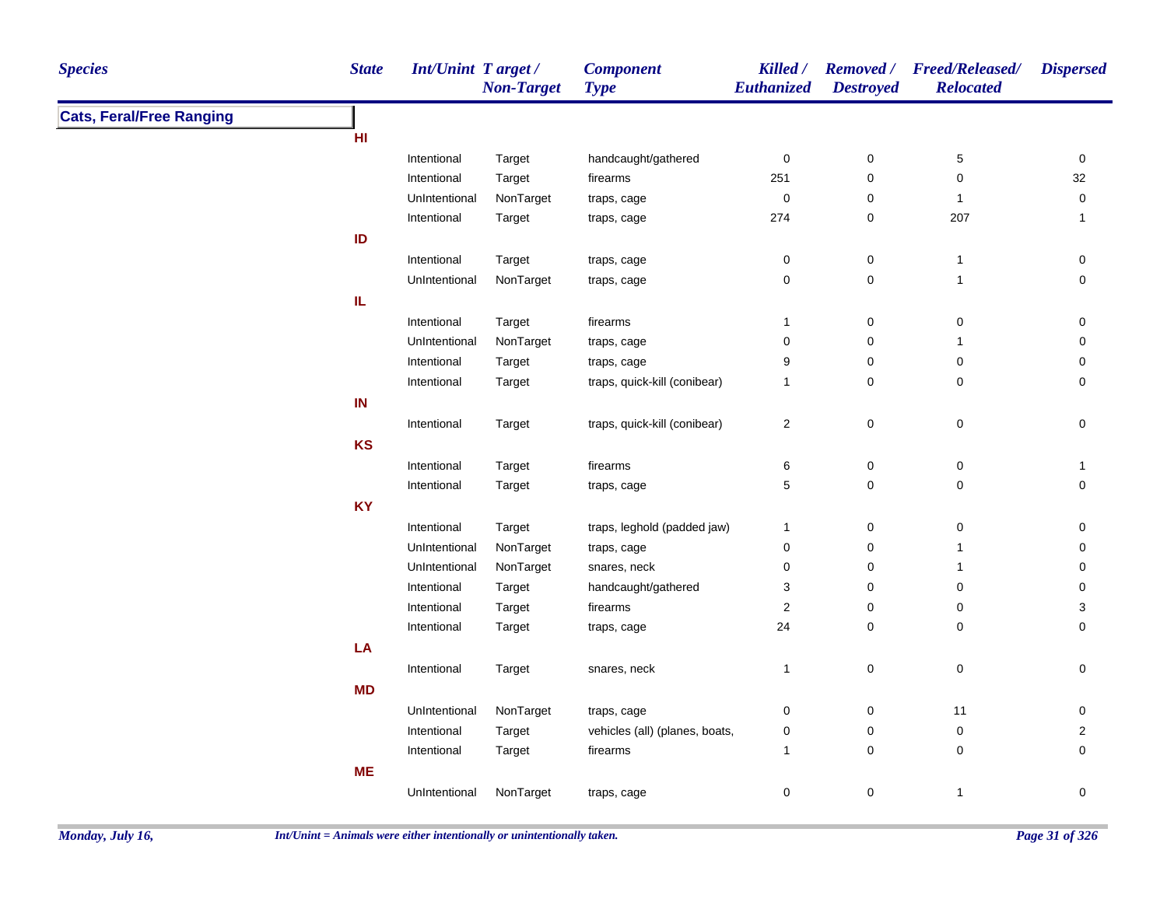| <b>Species</b>                  | <b>State</b> | <b>Int/Unint Target/</b> | <b>Non-Target</b> | <b>Component</b><br><b>Type</b> | <b>Killed</b> /<br>Euthanized | <b>Destroyed</b>    | Removed / Freed/Released/<br><b>Relocated</b> | <b>Dispersed</b>    |
|---------------------------------|--------------|--------------------------|-------------------|---------------------------------|-------------------------------|---------------------|-----------------------------------------------|---------------------|
| <b>Cats, Feral/Free Ranging</b> |              |                          |                   |                                 |                               |                     |                                               |                     |
|                                 | HI           |                          |                   |                                 |                               |                     |                                               |                     |
|                                 |              | Intentional              | Target            | handcaught/gathered             | $\pmb{0}$                     | 0                   | 5                                             | 0                   |
|                                 |              | Intentional              | Target            | firearms                        | 251                           | $\mathbf 0$         | 0                                             | 32                  |
|                                 |              | UnIntentional            | NonTarget         | traps, cage                     | $\pmb{0}$                     | 0                   | $\mathbf{1}$                                  | 0                   |
|                                 |              | Intentional              | Target            | traps, cage                     | 274                           | $\mathbf 0$         | 207                                           | $\mathbf{1}$        |
|                                 | ID           |                          |                   |                                 |                               |                     |                                               |                     |
|                                 |              | Intentional              | Target            | traps, cage                     | 0                             | 0                   | $\overline{1}$                                | 0                   |
|                                 |              | UnIntentional            | NonTarget         | traps, cage                     | $\mathbf 0$                   | $\mathbf 0$         | $\mathbf{1}$                                  | 0                   |
|                                 | IL.          |                          |                   |                                 |                               |                     |                                               |                     |
|                                 |              | Intentional              | Target            | firearms                        | $\mathbf{1}$                  | $\mathbf 0$         | $\mathbf 0$                                   | 0                   |
|                                 |              | UnIntentional            | NonTarget         | traps, cage                     | $\mathbf 0$                   | $\mathbf 0$         | $\mathbf{1}$                                  | 0                   |
|                                 |              | Intentional              | Target            | traps, cage                     | 9                             | $\mathbf 0$         | 0                                             | 0                   |
|                                 |              | Intentional              | Target            | traps, quick-kill (conibear)    | $\mathbf{1}$                  | $\mathbf 0$         | 0                                             | 0                   |
|                                 | IN           |                          |                   |                                 |                               |                     |                                               |                     |
|                                 |              | Intentional              | Target            | traps, quick-kill (conibear)    | $\sqrt{2}$                    | $\pmb{0}$           | $\mathsf 0$                                   | $\mathsf{O}\xspace$ |
|                                 | <b>KS</b>    |                          |                   |                                 |                               |                     |                                               |                     |
|                                 |              | Intentional              | Target            | firearms                        | $\,6$                         | $\mathsf{O}\xspace$ | $\pmb{0}$                                     | $\mathbf{1}$        |
|                                 |              | Intentional              | Target            | traps, cage                     | 5                             | $\mathsf{O}\xspace$ | $\pmb{0}$                                     | $\mathsf{O}\xspace$ |
|                                 | <b>KY</b>    |                          |                   |                                 |                               |                     |                                               |                     |
|                                 |              | Intentional              | Target            | traps, leghold (padded jaw)     | $\mathbf{1}$                  | 0                   | 0                                             | 0                   |
|                                 |              | UnIntentional            | NonTarget         | traps, cage                     | $\mathbf 0$                   | $\mathbf 0$         | $\mathbf{1}$                                  | 0                   |
|                                 |              | UnIntentional            | NonTarget         | snares, neck                    | $\mathbf 0$                   | $\mathbf 0$         | $\mathbf{1}$                                  | 0                   |
|                                 |              | Intentional              | Target            | handcaught/gathered             | 3                             | $\mathbf 0$         | 0                                             | 0                   |
|                                 |              | Intentional              | Target            | firearms                        | $\boldsymbol{2}$              | 0                   | 0                                             | 3                   |
|                                 |              | Intentional              | Target            | traps, cage                     | 24                            | $\mathbf 0$         | 0                                             | 0                   |
|                                 | LA           |                          |                   |                                 |                               |                     |                                               |                     |
|                                 |              | Intentional              | Target            | snares, neck                    | $\mathbf{1}$                  | $\mathbf 0$         | 0                                             | 0                   |
|                                 | <b>MD</b>    |                          |                   |                                 |                               |                     |                                               |                     |
|                                 |              | UnIntentional            | NonTarget         | traps, cage                     | $\boldsymbol{0}$              | $\mathbf 0$         | 11                                            | 0                   |
|                                 |              | Intentional              | Target            | vehicles (all) (planes, boats,  | $\pmb{0}$                     | $\mathbf 0$         | $\mathbf 0$                                   | $\overline{2}$      |
|                                 |              | Intentional              | Target            | firearms                        | $\mathbf{1}$                  | $\mathsf{O}\xspace$ | 0                                             | $\mathbf 0$         |
|                                 | <b>ME</b>    |                          |                   |                                 |                               |                     |                                               |                     |
|                                 |              | UnIntentional            | NonTarget         | traps, cage                     | $\mathbf 0$                   | $\mathsf{O}\xspace$ | $\mathbf{1}$                                  | 0                   |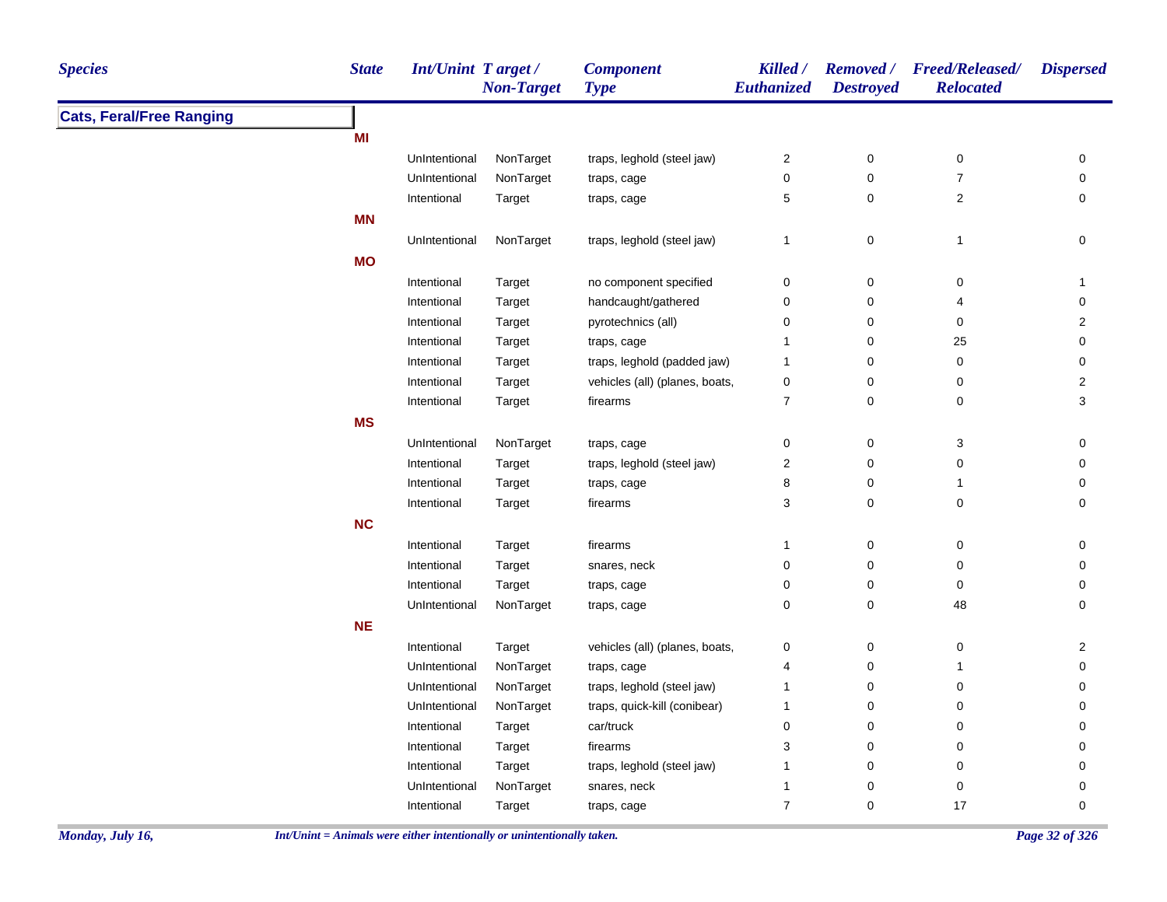| <b>Species</b>                  | <b>State</b> | Int/Unint Target/ | <b>Non-Target</b> | <b>Component</b><br><b>Type</b> | Killed /<br>Euthanized    | <b>Destroyed</b> | Removed / Freed/Released/<br><b>Relocated</b> | <b>Dispersed</b> |
|---------------------------------|--------------|-------------------|-------------------|---------------------------------|---------------------------|------------------|-----------------------------------------------|------------------|
| <b>Cats, Feral/Free Ranging</b> |              |                   |                   |                                 |                           |                  |                                               |                  |
|                                 | MI           |                   |                   |                                 |                           |                  |                                               |                  |
|                                 |              | UnIntentional     | NonTarget         | traps, leghold (steel jaw)      | $\boldsymbol{2}$          | $\pmb{0}$        | $\pmb{0}$                                     | 0                |
|                                 |              | UnIntentional     | NonTarget         | traps, cage                     | $\pmb{0}$                 | $\pmb{0}$        | $\boldsymbol{7}$                              | 0                |
|                                 |              | Intentional       | Target            | traps, cage                     | $\mathbf 5$               | $\pmb{0}$        | $\mathbf 2$                                   | 0                |
|                                 | <b>MN</b>    |                   |                   |                                 |                           |                  |                                               |                  |
|                                 |              | UnIntentional     | NonTarget         | traps, leghold (steel jaw)      | 1                         | $\pmb{0}$        | $\mathbf{1}$                                  | $\pmb{0}$        |
|                                 | <b>MO</b>    |                   |                   |                                 |                           |                  |                                               |                  |
|                                 |              | Intentional       | Target            | no component specified          | 0                         | $\pmb{0}$        | 0                                             | $\mathbf{1}$     |
|                                 |              | Intentional       | Target            | handcaught/gathered             | 0                         | $\pmb{0}$        | 4                                             | 0                |
|                                 |              | Intentional       | Target            | pyrotechnics (all)              | 0                         | 0                | 0                                             | $\overline{2}$   |
|                                 |              | Intentional       | Target            | traps, cage                     | 1                         | 0                | 25                                            | 0                |
|                                 |              | Intentional       | Target            | traps, leghold (padded jaw)     | $\mathbf{1}$              | 0                | $\pmb{0}$                                     | $\mathbf 0$      |
|                                 |              | Intentional       | Target            | vehicles (all) (planes, boats,  | $\pmb{0}$                 | 0                | 0                                             | $\overline{2}$   |
|                                 |              | Intentional       | Target            | firearms                        | $\boldsymbol{7}$          | $\pmb{0}$        | 0                                             | 3                |
|                                 | <b>MS</b>    |                   |                   |                                 |                           |                  |                                               |                  |
|                                 |              | UnIntentional     | NonTarget         | traps, cage                     | 0                         | 0                | 3                                             | 0                |
|                                 |              | Intentional       | Target            | traps, leghold (steel jaw)      | $\boldsymbol{2}$          | 0                | 0                                             | 0                |
|                                 |              | Intentional       | Target            | traps, cage                     | 8                         | 0                | $\mathbf{1}$                                  | 0                |
|                                 |              | Intentional       | Target            | firearms                        | $\ensuremath{\mathsf{3}}$ | $\pmb{0}$        | $\pmb{0}$                                     | 0                |
|                                 | <b>NC</b>    |                   |                   |                                 |                           |                  |                                               |                  |
|                                 |              | Intentional       | Target            | firearms                        | 1                         | 0                | 0                                             | 0                |
|                                 |              | Intentional       | Target            | snares, neck                    | 0                         | 0                | 0                                             | 0                |
|                                 |              | Intentional       | Target            | traps, cage                     | $\pmb{0}$                 | $\pmb{0}$        | $\pmb{0}$                                     | 0                |
|                                 |              | UnIntentional     | NonTarget         | traps, cage                     | $\pmb{0}$                 | $\pmb{0}$        | 48                                            | $\pmb{0}$        |
|                                 | NE           |                   |                   |                                 |                           |                  |                                               |                  |
|                                 |              | Intentional       | Target            | vehicles (all) (planes, boats,  | 0                         | 0                | 0                                             | $\overline{a}$   |
|                                 |              | UnIntentional     | NonTarget         | traps, cage                     | 4                         | 0                | $\mathbf{1}$                                  | 0                |
|                                 |              | UnIntentional     | NonTarget         | traps, leghold (steel jaw)      | 1                         | $\pmb{0}$        | 0                                             | 0                |
|                                 |              | UnIntentional     | NonTarget         | traps, quick-kill (conibear)    | $\mathbf{1}$              | $\mathbf 0$      | 0                                             | 0                |
|                                 |              | Intentional       | Target            | car/truck                       | 0                         | 0                | 0                                             | 0                |
|                                 |              | Intentional       | Target            | firearms                        | $\ensuremath{\mathsf{3}}$ | 0                | 0                                             | 0                |
|                                 |              | Intentional       | Target            | traps, leghold (steel jaw)      | $\mathbf{1}$              | 0                | 0                                             | 0                |
|                                 |              | UnIntentional     | NonTarget         | snares, neck                    | $\mathbf{1}$              | 0                | 0                                             | 0                |
|                                 |              | Intentional       | Target            | traps, cage                     | $\boldsymbol{7}$          | $\pmb{0}$        | 17                                            | 0                |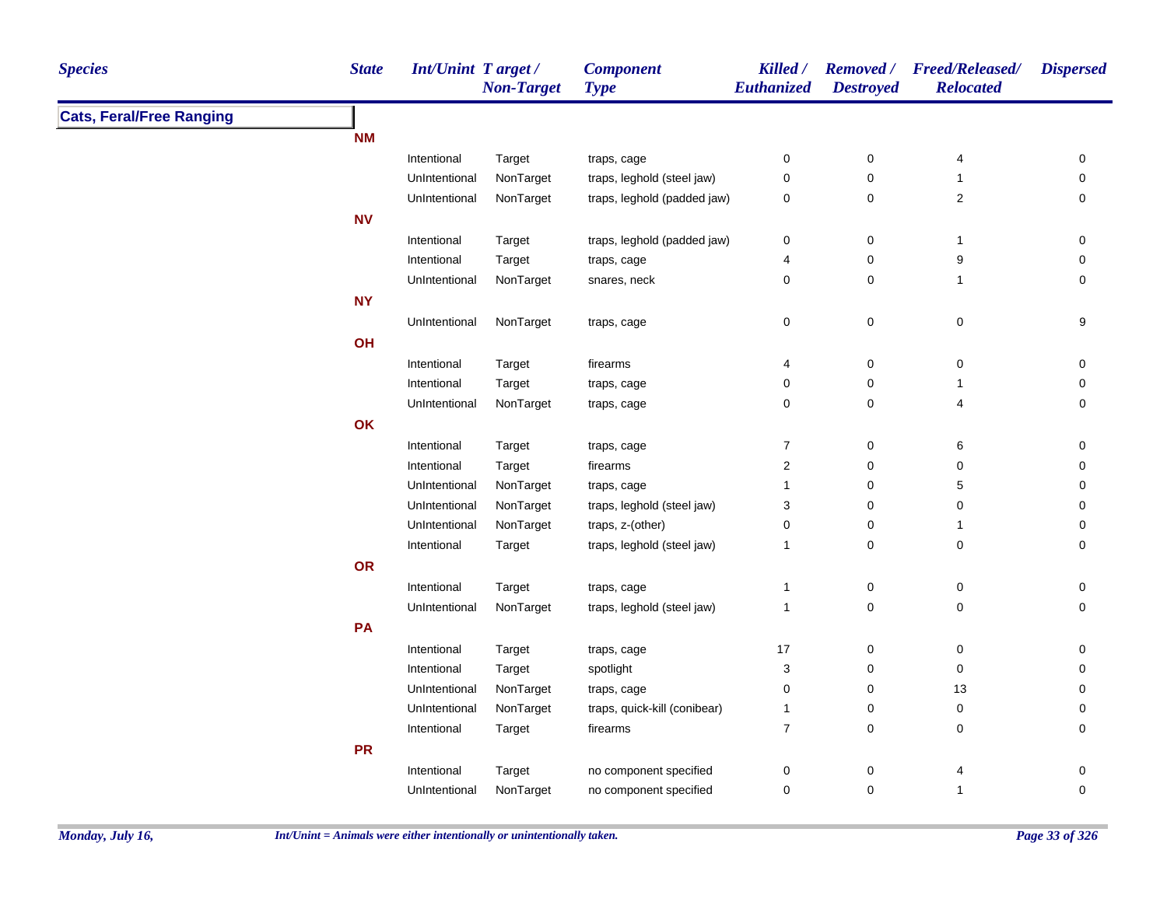| <b>Cats, Feral/Free Ranging</b><br><b>NM</b><br>Intentional<br>$\pmb{0}$<br>$\pmb{0}$<br>Target<br>traps, cage<br>4<br>0<br>NonTarget<br>traps, leghold (steel jaw)<br>$\pmb{0}$<br>$\pmb{0}$<br>$\mathbf{1}$<br>UnIntentional<br>0<br>$\sqrt{2}$<br>NonTarget<br>traps, leghold (padded jaw)<br>$\pmb{0}$<br>$\pmb{0}$<br>UnIntentional<br>0<br><b>NV</b><br>Intentional<br>traps, leghold (padded jaw)<br>0<br>0<br>$\overline{1}$<br>0<br>Target<br>$\boldsymbol{9}$<br>Intentional<br>$\mathbf 0$<br>Target<br>traps, cage<br>4<br>0<br>NonTarget<br>0<br>$\mathsf{O}\xspace$<br>UnIntentional<br>snares, neck<br>$\overline{1}$<br>0<br><b>NY</b><br>$\pmb{0}$<br>$\pmb{0}$<br>$\pmb{0}$<br>9<br>UnIntentional<br>NonTarget<br>traps, cage<br>OH<br>$\mathsf{O}\xspace$<br>$\pmb{0}$<br>$\mathbf 0$<br>Intentional<br>4<br>Target<br>firearms<br>0<br>$\mathsf{O}\xspace$<br>$\mathbf{1}$<br>Intentional<br>0<br>Target<br>traps, cage<br>NonTarget<br>0<br>$\mathsf{O}\xspace$<br>$\mathbf 0$<br>4<br>UnIntentional<br>traps, cage<br>OK<br>Intentional<br>$\boldsymbol{7}$<br>$\pmb{0}$<br>$\,6$<br>Target<br>0<br>traps, cage<br>$\overline{\mathbf{c}}$<br>$\mathsf{O}\xspace$<br>$\mathbf 0$<br>Intentional<br>Target<br>firearms<br>0<br>NonTarget<br>$\mathsf{O}\xspace$<br>$\,$ 5 $\,$<br>UnIntentional<br>$\mathbf{1}$<br>traps, cage<br>0<br>3<br>$\mathsf{O}\xspace$<br>UnIntentional<br>NonTarget<br>traps, leghold (steel jaw)<br>$\mathbf 0$<br>0<br>NonTarget<br>0<br>$\mathsf{O}\xspace$<br>UnIntentional<br>traps, z-(other)<br>$\overline{1}$<br>0<br>$\mathsf{O}\xspace$<br>$\pmb{0}$<br>Intentional<br>traps, leghold (steel jaw)<br>$\mathbf{1}$<br>0<br>Target<br>OR<br>$\mathsf{O}\xspace$<br>$\pmb{0}$<br>Intentional<br>Target<br>$\mathbf{1}$<br>0<br>traps, cage<br>NonTarget<br>traps, leghold (steel jaw)<br>$\mathbf 0$<br>$\mathbf 0$<br>UnIntentional<br>$\mathbf{1}$<br>0<br>PA<br>Intentional<br>$17$<br>0<br>$\boldsymbol{0}$<br>0<br>traps, cage<br>Target<br>Intentional<br>spotlight<br>3<br>$\mathsf{O}\xspace$<br>$\pmb{0}$<br>Target<br>0<br>NonTarget<br>0<br>$\mathbf 0$<br>13<br>UnIntentional<br>traps, cage<br>0<br>UnIntentional<br>NonTarget<br>$\mathsf{O}\xspace$<br>$\pmb{0}$<br>traps, quick-kill (conibear)<br>$\mathbf{1}$<br>0<br>$\overline{7}$<br>$\mathsf{O}\xspace$<br>$\pmb{0}$<br>$\mathbf 0$<br>Intentional<br>Target<br>firearms<br><b>PR</b><br>no component specified<br>0<br>$\pmb{0}$<br>$\pmb{0}$<br>Intentional<br>Target<br>4 | <b>Species</b> | <b>State</b> | <b>Int/Unint Target/</b> | <b>Non-Target</b> | <b>Component</b><br><b>Type</b> | Killed /<br>Euthanized | <b>Destroyed</b> | Removed / Freed/Released/<br><b>Relocated</b> | <b>Dispersed</b> |
|----------------------------------------------------------------------------------------------------------------------------------------------------------------------------------------------------------------------------------------------------------------------------------------------------------------------------------------------------------------------------------------------------------------------------------------------------------------------------------------------------------------------------------------------------------------------------------------------------------------------------------------------------------------------------------------------------------------------------------------------------------------------------------------------------------------------------------------------------------------------------------------------------------------------------------------------------------------------------------------------------------------------------------------------------------------------------------------------------------------------------------------------------------------------------------------------------------------------------------------------------------------------------------------------------------------------------------------------------------------------------------------------------------------------------------------------------------------------------------------------------------------------------------------------------------------------------------------------------------------------------------------------------------------------------------------------------------------------------------------------------------------------------------------------------------------------------------------------------------------------------------------------------------------------------------------------------------------------------------------------------------------------------------------------------------------------------------------------------------------------------------------------------------------------------------------------------------------------------------------------------------------------------------------------------------------------------------------------------------------------------------------------------------------------------------------------------------------------------------------------------------|----------------|--------------|--------------------------|-------------------|---------------------------------|------------------------|------------------|-----------------------------------------------|------------------|
|                                                                                                                                                                                                                                                                                                                                                                                                                                                                                                                                                                                                                                                                                                                                                                                                                                                                                                                                                                                                                                                                                                                                                                                                                                                                                                                                                                                                                                                                                                                                                                                                                                                                                                                                                                                                                                                                                                                                                                                                                                                                                                                                                                                                                                                                                                                                                                                                                                                                                                          |                |              |                          |                   |                                 |                        |                  |                                               |                  |
|                                                                                                                                                                                                                                                                                                                                                                                                                                                                                                                                                                                                                                                                                                                                                                                                                                                                                                                                                                                                                                                                                                                                                                                                                                                                                                                                                                                                                                                                                                                                                                                                                                                                                                                                                                                                                                                                                                                                                                                                                                                                                                                                                                                                                                                                                                                                                                                                                                                                                                          |                |              |                          |                   |                                 |                        |                  |                                               |                  |
|                                                                                                                                                                                                                                                                                                                                                                                                                                                                                                                                                                                                                                                                                                                                                                                                                                                                                                                                                                                                                                                                                                                                                                                                                                                                                                                                                                                                                                                                                                                                                                                                                                                                                                                                                                                                                                                                                                                                                                                                                                                                                                                                                                                                                                                                                                                                                                                                                                                                                                          |                |              |                          |                   |                                 |                        |                  |                                               |                  |
|                                                                                                                                                                                                                                                                                                                                                                                                                                                                                                                                                                                                                                                                                                                                                                                                                                                                                                                                                                                                                                                                                                                                                                                                                                                                                                                                                                                                                                                                                                                                                                                                                                                                                                                                                                                                                                                                                                                                                                                                                                                                                                                                                                                                                                                                                                                                                                                                                                                                                                          |                |              |                          |                   |                                 |                        |                  |                                               |                  |
|                                                                                                                                                                                                                                                                                                                                                                                                                                                                                                                                                                                                                                                                                                                                                                                                                                                                                                                                                                                                                                                                                                                                                                                                                                                                                                                                                                                                                                                                                                                                                                                                                                                                                                                                                                                                                                                                                                                                                                                                                                                                                                                                                                                                                                                                                                                                                                                                                                                                                                          |                |              |                          |                   |                                 |                        |                  |                                               |                  |
|                                                                                                                                                                                                                                                                                                                                                                                                                                                                                                                                                                                                                                                                                                                                                                                                                                                                                                                                                                                                                                                                                                                                                                                                                                                                                                                                                                                                                                                                                                                                                                                                                                                                                                                                                                                                                                                                                                                                                                                                                                                                                                                                                                                                                                                                                                                                                                                                                                                                                                          |                |              |                          |                   |                                 |                        |                  |                                               |                  |
|                                                                                                                                                                                                                                                                                                                                                                                                                                                                                                                                                                                                                                                                                                                                                                                                                                                                                                                                                                                                                                                                                                                                                                                                                                                                                                                                                                                                                                                                                                                                                                                                                                                                                                                                                                                                                                                                                                                                                                                                                                                                                                                                                                                                                                                                                                                                                                                                                                                                                                          |                |              |                          |                   |                                 |                        |                  |                                               |                  |
|                                                                                                                                                                                                                                                                                                                                                                                                                                                                                                                                                                                                                                                                                                                                                                                                                                                                                                                                                                                                                                                                                                                                                                                                                                                                                                                                                                                                                                                                                                                                                                                                                                                                                                                                                                                                                                                                                                                                                                                                                                                                                                                                                                                                                                                                                                                                                                                                                                                                                                          |                |              |                          |                   |                                 |                        |                  |                                               |                  |
|                                                                                                                                                                                                                                                                                                                                                                                                                                                                                                                                                                                                                                                                                                                                                                                                                                                                                                                                                                                                                                                                                                                                                                                                                                                                                                                                                                                                                                                                                                                                                                                                                                                                                                                                                                                                                                                                                                                                                                                                                                                                                                                                                                                                                                                                                                                                                                                                                                                                                                          |                |              |                          |                   |                                 |                        |                  |                                               |                  |
|                                                                                                                                                                                                                                                                                                                                                                                                                                                                                                                                                                                                                                                                                                                                                                                                                                                                                                                                                                                                                                                                                                                                                                                                                                                                                                                                                                                                                                                                                                                                                                                                                                                                                                                                                                                                                                                                                                                                                                                                                                                                                                                                                                                                                                                                                                                                                                                                                                                                                                          |                |              |                          |                   |                                 |                        |                  |                                               |                  |
|                                                                                                                                                                                                                                                                                                                                                                                                                                                                                                                                                                                                                                                                                                                                                                                                                                                                                                                                                                                                                                                                                                                                                                                                                                                                                                                                                                                                                                                                                                                                                                                                                                                                                                                                                                                                                                                                                                                                                                                                                                                                                                                                                                                                                                                                                                                                                                                                                                                                                                          |                |              |                          |                   |                                 |                        |                  |                                               |                  |
|                                                                                                                                                                                                                                                                                                                                                                                                                                                                                                                                                                                                                                                                                                                                                                                                                                                                                                                                                                                                                                                                                                                                                                                                                                                                                                                                                                                                                                                                                                                                                                                                                                                                                                                                                                                                                                                                                                                                                                                                                                                                                                                                                                                                                                                                                                                                                                                                                                                                                                          |                |              |                          |                   |                                 |                        |                  |                                               |                  |
|                                                                                                                                                                                                                                                                                                                                                                                                                                                                                                                                                                                                                                                                                                                                                                                                                                                                                                                                                                                                                                                                                                                                                                                                                                                                                                                                                                                                                                                                                                                                                                                                                                                                                                                                                                                                                                                                                                                                                                                                                                                                                                                                                                                                                                                                                                                                                                                                                                                                                                          |                |              |                          |                   |                                 |                        |                  |                                               |                  |
|                                                                                                                                                                                                                                                                                                                                                                                                                                                                                                                                                                                                                                                                                                                                                                                                                                                                                                                                                                                                                                                                                                                                                                                                                                                                                                                                                                                                                                                                                                                                                                                                                                                                                                                                                                                                                                                                                                                                                                                                                                                                                                                                                                                                                                                                                                                                                                                                                                                                                                          |                |              |                          |                   |                                 |                        |                  |                                               |                  |
|                                                                                                                                                                                                                                                                                                                                                                                                                                                                                                                                                                                                                                                                                                                                                                                                                                                                                                                                                                                                                                                                                                                                                                                                                                                                                                                                                                                                                                                                                                                                                                                                                                                                                                                                                                                                                                                                                                                                                                                                                                                                                                                                                                                                                                                                                                                                                                                                                                                                                                          |                |              |                          |                   |                                 |                        |                  |                                               |                  |
|                                                                                                                                                                                                                                                                                                                                                                                                                                                                                                                                                                                                                                                                                                                                                                                                                                                                                                                                                                                                                                                                                                                                                                                                                                                                                                                                                                                                                                                                                                                                                                                                                                                                                                                                                                                                                                                                                                                                                                                                                                                                                                                                                                                                                                                                                                                                                                                                                                                                                                          |                |              |                          |                   |                                 |                        |                  |                                               |                  |
|                                                                                                                                                                                                                                                                                                                                                                                                                                                                                                                                                                                                                                                                                                                                                                                                                                                                                                                                                                                                                                                                                                                                                                                                                                                                                                                                                                                                                                                                                                                                                                                                                                                                                                                                                                                                                                                                                                                                                                                                                                                                                                                                                                                                                                                                                                                                                                                                                                                                                                          |                |              |                          |                   |                                 |                        |                  |                                               |                  |
|                                                                                                                                                                                                                                                                                                                                                                                                                                                                                                                                                                                                                                                                                                                                                                                                                                                                                                                                                                                                                                                                                                                                                                                                                                                                                                                                                                                                                                                                                                                                                                                                                                                                                                                                                                                                                                                                                                                                                                                                                                                                                                                                                                                                                                                                                                                                                                                                                                                                                                          |                |              |                          |                   |                                 |                        |                  |                                               |                  |
|                                                                                                                                                                                                                                                                                                                                                                                                                                                                                                                                                                                                                                                                                                                                                                                                                                                                                                                                                                                                                                                                                                                                                                                                                                                                                                                                                                                                                                                                                                                                                                                                                                                                                                                                                                                                                                                                                                                                                                                                                                                                                                                                                                                                                                                                                                                                                                                                                                                                                                          |                |              |                          |                   |                                 |                        |                  |                                               |                  |
|                                                                                                                                                                                                                                                                                                                                                                                                                                                                                                                                                                                                                                                                                                                                                                                                                                                                                                                                                                                                                                                                                                                                                                                                                                                                                                                                                                                                                                                                                                                                                                                                                                                                                                                                                                                                                                                                                                                                                                                                                                                                                                                                                                                                                                                                                                                                                                                                                                                                                                          |                |              |                          |                   |                                 |                        |                  |                                               |                  |
|                                                                                                                                                                                                                                                                                                                                                                                                                                                                                                                                                                                                                                                                                                                                                                                                                                                                                                                                                                                                                                                                                                                                                                                                                                                                                                                                                                                                                                                                                                                                                                                                                                                                                                                                                                                                                                                                                                                                                                                                                                                                                                                                                                                                                                                                                                                                                                                                                                                                                                          |                |              |                          |                   |                                 |                        |                  |                                               |                  |
|                                                                                                                                                                                                                                                                                                                                                                                                                                                                                                                                                                                                                                                                                                                                                                                                                                                                                                                                                                                                                                                                                                                                                                                                                                                                                                                                                                                                                                                                                                                                                                                                                                                                                                                                                                                                                                                                                                                                                                                                                                                                                                                                                                                                                                                                                                                                                                                                                                                                                                          |                |              |                          |                   |                                 |                        |                  |                                               |                  |
|                                                                                                                                                                                                                                                                                                                                                                                                                                                                                                                                                                                                                                                                                                                                                                                                                                                                                                                                                                                                                                                                                                                                                                                                                                                                                                                                                                                                                                                                                                                                                                                                                                                                                                                                                                                                                                                                                                                                                                                                                                                                                                                                                                                                                                                                                                                                                                                                                                                                                                          |                |              |                          |                   |                                 |                        |                  |                                               |                  |
|                                                                                                                                                                                                                                                                                                                                                                                                                                                                                                                                                                                                                                                                                                                                                                                                                                                                                                                                                                                                                                                                                                                                                                                                                                                                                                                                                                                                                                                                                                                                                                                                                                                                                                                                                                                                                                                                                                                                                                                                                                                                                                                                                                                                                                                                                                                                                                                                                                                                                                          |                |              |                          |                   |                                 |                        |                  |                                               |                  |
|                                                                                                                                                                                                                                                                                                                                                                                                                                                                                                                                                                                                                                                                                                                                                                                                                                                                                                                                                                                                                                                                                                                                                                                                                                                                                                                                                                                                                                                                                                                                                                                                                                                                                                                                                                                                                                                                                                                                                                                                                                                                                                                                                                                                                                                                                                                                                                                                                                                                                                          |                |              |                          |                   |                                 |                        |                  |                                               |                  |
|                                                                                                                                                                                                                                                                                                                                                                                                                                                                                                                                                                                                                                                                                                                                                                                                                                                                                                                                                                                                                                                                                                                                                                                                                                                                                                                                                                                                                                                                                                                                                                                                                                                                                                                                                                                                                                                                                                                                                                                                                                                                                                                                                                                                                                                                                                                                                                                                                                                                                                          |                |              |                          |                   |                                 |                        |                  |                                               |                  |
|                                                                                                                                                                                                                                                                                                                                                                                                                                                                                                                                                                                                                                                                                                                                                                                                                                                                                                                                                                                                                                                                                                                                                                                                                                                                                                                                                                                                                                                                                                                                                                                                                                                                                                                                                                                                                                                                                                                                                                                                                                                                                                                                                                                                                                                                                                                                                                                                                                                                                                          |                |              |                          |                   |                                 |                        |                  |                                               |                  |
|                                                                                                                                                                                                                                                                                                                                                                                                                                                                                                                                                                                                                                                                                                                                                                                                                                                                                                                                                                                                                                                                                                                                                                                                                                                                                                                                                                                                                                                                                                                                                                                                                                                                                                                                                                                                                                                                                                                                                                                                                                                                                                                                                                                                                                                                                                                                                                                                                                                                                                          |                |              |                          |                   |                                 |                        |                  |                                               |                  |
|                                                                                                                                                                                                                                                                                                                                                                                                                                                                                                                                                                                                                                                                                                                                                                                                                                                                                                                                                                                                                                                                                                                                                                                                                                                                                                                                                                                                                                                                                                                                                                                                                                                                                                                                                                                                                                                                                                                                                                                                                                                                                                                                                                                                                                                                                                                                                                                                                                                                                                          |                |              |                          |                   |                                 |                        |                  |                                               |                  |
|                                                                                                                                                                                                                                                                                                                                                                                                                                                                                                                                                                                                                                                                                                                                                                                                                                                                                                                                                                                                                                                                                                                                                                                                                                                                                                                                                                                                                                                                                                                                                                                                                                                                                                                                                                                                                                                                                                                                                                                                                                                                                                                                                                                                                                                                                                                                                                                                                                                                                                          |                |              |                          |                   |                                 |                        |                  |                                               |                  |
|                                                                                                                                                                                                                                                                                                                                                                                                                                                                                                                                                                                                                                                                                                                                                                                                                                                                                                                                                                                                                                                                                                                                                                                                                                                                                                                                                                                                                                                                                                                                                                                                                                                                                                                                                                                                                                                                                                                                                                                                                                                                                                                                                                                                                                                                                                                                                                                                                                                                                                          |                |              |                          |                   |                                 |                        |                  |                                               |                  |
|                                                                                                                                                                                                                                                                                                                                                                                                                                                                                                                                                                                                                                                                                                                                                                                                                                                                                                                                                                                                                                                                                                                                                                                                                                                                                                                                                                                                                                                                                                                                                                                                                                                                                                                                                                                                                                                                                                                                                                                                                                                                                                                                                                                                                                                                                                                                                                                                                                                                                                          |                |              |                          |                   |                                 |                        |                  |                                               |                  |
|                                                                                                                                                                                                                                                                                                                                                                                                                                                                                                                                                                                                                                                                                                                                                                                                                                                                                                                                                                                                                                                                                                                                                                                                                                                                                                                                                                                                                                                                                                                                                                                                                                                                                                                                                                                                                                                                                                                                                                                                                                                                                                                                                                                                                                                                                                                                                                                                                                                                                                          |                |              |                          |                   |                                 |                        |                  |                                               |                  |
| NonTarget<br>0<br>$\mathbf 0$<br>$\mathbf{1}$<br>$\pmb{0}$<br>UnIntentional<br>no component specified                                                                                                                                                                                                                                                                                                                                                                                                                                                                                                                                                                                                                                                                                                                                                                                                                                                                                                                                                                                                                                                                                                                                                                                                                                                                                                                                                                                                                                                                                                                                                                                                                                                                                                                                                                                                                                                                                                                                                                                                                                                                                                                                                                                                                                                                                                                                                                                                    |                |              |                          |                   |                                 |                        |                  |                                               |                  |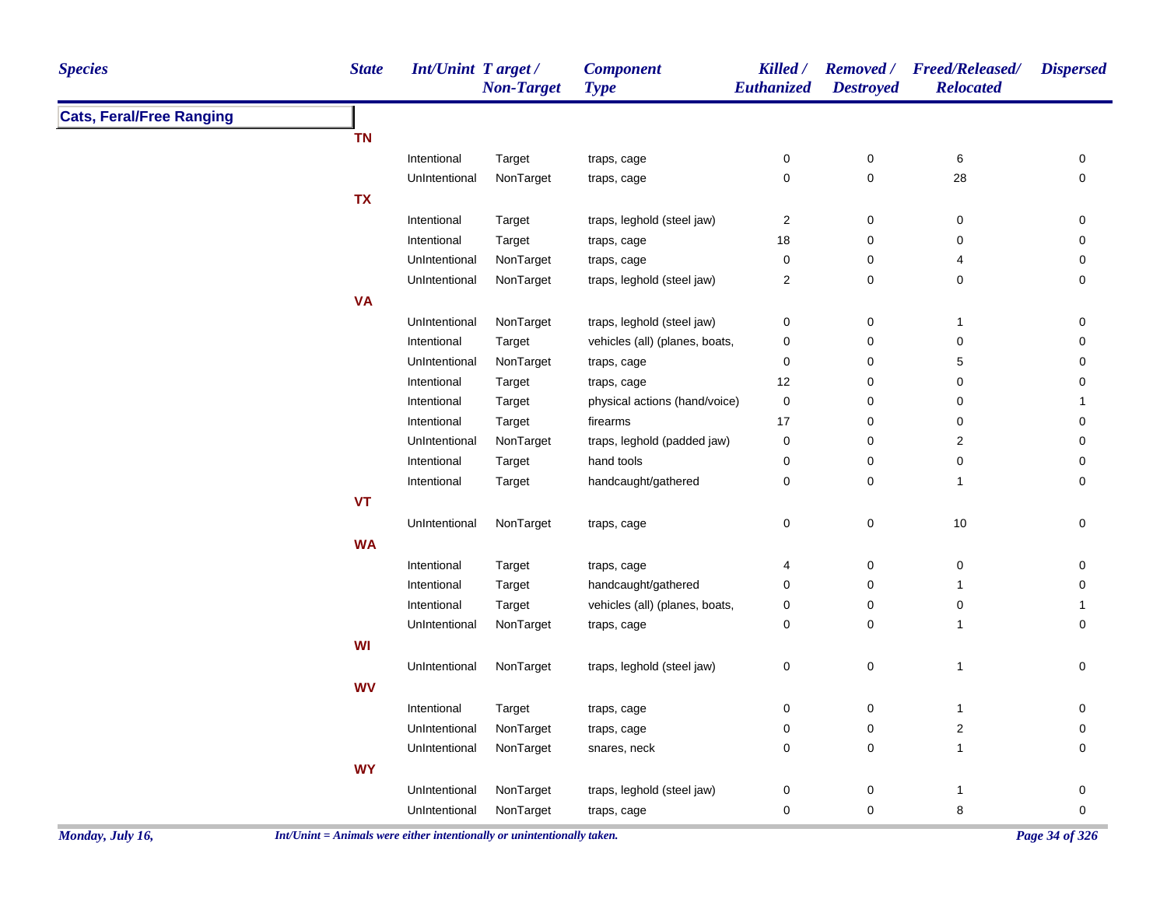| <b>Species</b>                  | <b>State</b> | Int/Unint Target/ | <b>Non-Target</b> | <b>Component</b><br><b>Type</b> | Killed /<br>Euthanized  | <b>Destroyed</b> | Removed / Freed/Released/<br><b>Relocated</b> | <b>Dispersed</b>    |
|---------------------------------|--------------|-------------------|-------------------|---------------------------------|-------------------------|------------------|-----------------------------------------------|---------------------|
| <b>Cats, Feral/Free Ranging</b> |              |                   |                   |                                 |                         |                  |                                               |                     |
|                                 | <b>TN</b>    |                   |                   |                                 |                         |                  |                                               |                     |
|                                 |              | Intentional       | Target            | traps, cage                     | 0                       | $\pmb{0}$        | 6                                             | 0                   |
|                                 |              | UnIntentional     | NonTarget         | traps, cage                     | 0                       | 0                | 28                                            | 0                   |
|                                 | <b>TX</b>    |                   |                   |                                 |                         |                  |                                               |                     |
|                                 |              | Intentional       | Target            | traps, leghold (steel jaw)      | $\overline{\mathbf{c}}$ | 0                | $\pmb{0}$                                     | 0                   |
|                                 |              | Intentional       | Target            | traps, cage                     | 18                      | 0                | 0                                             | 0                   |
|                                 |              | UnIntentional     | NonTarget         | traps, cage                     | 0                       | 0                | 4                                             | 0                   |
|                                 |              | UnIntentional     | NonTarget         | traps, leghold (steel jaw)      | 2                       | 0                | 0                                             | 0                   |
|                                 | <b>VA</b>    |                   |                   |                                 |                         |                  |                                               |                     |
|                                 |              | UnIntentional     | NonTarget         | traps, leghold (steel jaw)      | 0                       | 0                | $\mathbf{1}$                                  | 0                   |
|                                 |              | Intentional       | Target            | vehicles (all) (planes, boats,  | 0                       | 0                | 0                                             | 0                   |
|                                 |              | UnIntentional     | NonTarget         | traps, cage                     | 0                       | 0                | 5                                             | 0                   |
|                                 |              | Intentional       | Target            | traps, cage                     | 12                      | 0                | 0                                             | 0                   |
|                                 |              | Intentional       | Target            | physical actions (hand/voice)   | 0                       | 0                | $\pmb{0}$                                     | $\mathbf{1}$        |
|                                 |              | Intentional       | Target            | firearms                        | 17                      | 0                | $\pmb{0}$                                     | 0                   |
|                                 |              | UnIntentional     | NonTarget         | traps, leghold (padded jaw)     | 0                       | 0                | $\overline{2}$                                | 0                   |
|                                 |              | Intentional       | Target            | hand tools                      | 0                       | 0                | 0                                             | 0                   |
|                                 |              | Intentional       | Target            | handcaught/gathered             | 0                       | 0                | $\mathbf{1}$                                  | $\mathbf 0$         |
|                                 | <b>VT</b>    |                   |                   |                                 |                         |                  |                                               |                     |
|                                 |              | UnIntentional     | NonTarget         | traps, cage                     | 0                       | 0                | $10$                                          | 0                   |
|                                 | <b>WA</b>    |                   |                   |                                 |                         |                  |                                               |                     |
|                                 |              | Intentional       | Target            | traps, cage                     | 4                       | 0                | 0                                             | 0                   |
|                                 |              | Intentional       | Target            | handcaught/gathered             | 0                       | 0                | $\mathbf{1}$                                  | 0                   |
|                                 |              | Intentional       | Target            | vehicles (all) (planes, boats,  | 0                       | $\pmb{0}$        | 0                                             | $\mathbf{1}$        |
|                                 |              | UnIntentional     | NonTarget         | traps, cage                     | 0                       | 0                | $\mathbf{1}$                                  | 0                   |
|                                 | <b>WI</b>    |                   |                   |                                 |                         |                  |                                               |                     |
|                                 |              | UnIntentional     | NonTarget         | traps, leghold (steel jaw)      | 0                       | $\mathsf 0$      | $\mathbf{1}$                                  | 0                   |
|                                 | <b>WV</b>    |                   |                   |                                 |                         |                  |                                               |                     |
|                                 |              | Intentional       | Target            | traps, cage                     | 0                       | 0                | $\mathbf{1}$                                  | 0                   |
|                                 |              | UnIntentional     | NonTarget         | traps, cage                     | 0                       | 0                | $\boldsymbol{2}$                              | 0                   |
|                                 |              | UnIntentional     | NonTarget         | snares, neck                    | 0                       | 0                | $\mathbf{1}$                                  | 0                   |
|                                 | <b>WY</b>    |                   |                   |                                 |                         |                  |                                               |                     |
|                                 |              | UnIntentional     | NonTarget         | traps, leghold (steel jaw)      | 0                       | 0                | $\mathbf{1}$                                  | 0                   |
|                                 |              | UnIntentional     | NonTarget         | traps, cage                     | 0                       | 0                | 8                                             | $\mathsf{O}\xspace$ |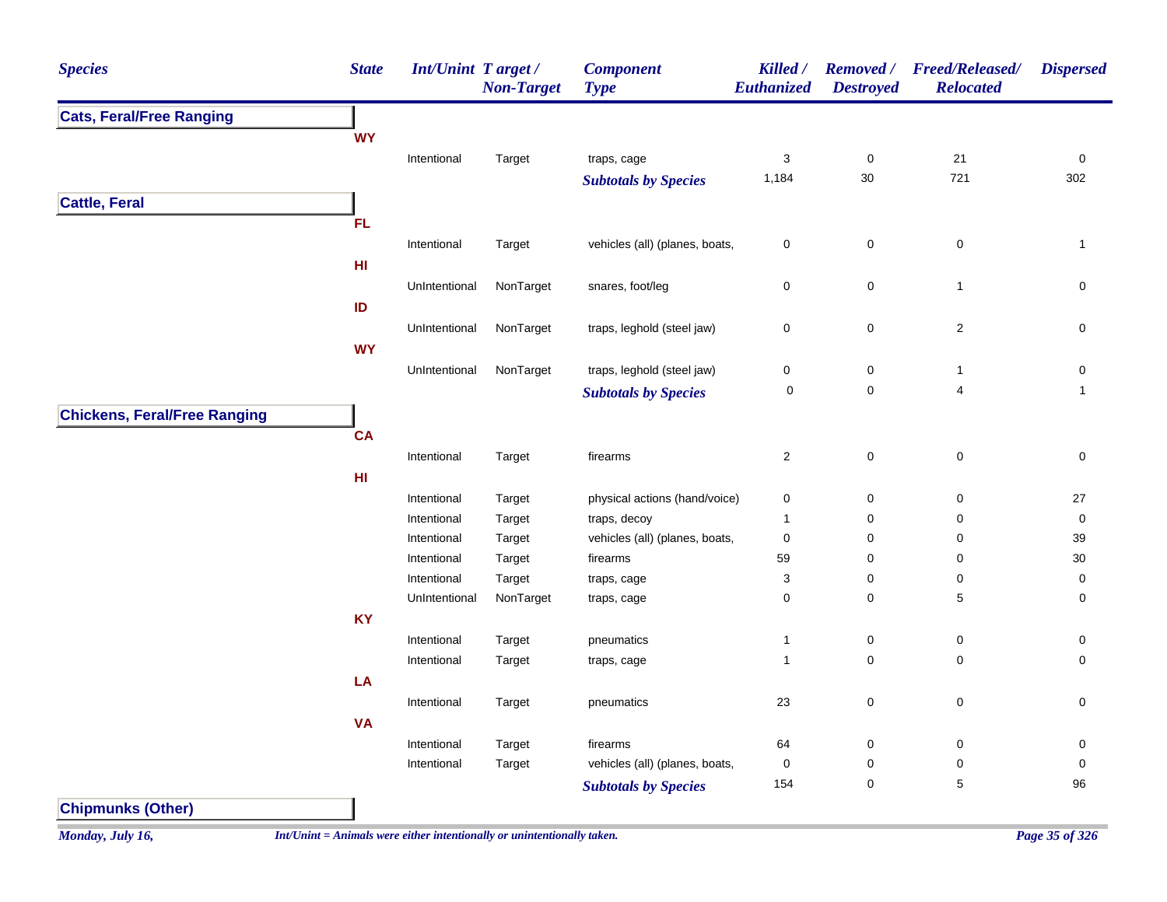| <b>Species</b>                      | <b>State</b> | Int/Unint Target/ | <b>Non-Target</b> | <b>Component</b><br><b>Type</b> | Killed /<br>Euthanized | <b>Removed</b> /<br><b>Destroyed</b> | <b>Freed/Released/</b><br><b>Relocated</b> | <b>Dispersed</b> |
|-------------------------------------|--------------|-------------------|-------------------|---------------------------------|------------------------|--------------------------------------|--------------------------------------------|------------------|
| <b>Cats, Feral/Free Ranging</b>     |              |                   |                   |                                 |                        |                                      |                                            |                  |
|                                     | <b>WY</b>    |                   |                   |                                 |                        |                                      |                                            |                  |
|                                     |              | Intentional       | Target            | traps, cage                     | $\mathbf{3}$           | $\pmb{0}$                            | 21                                         | $\pmb{0}$        |
|                                     |              |                   |                   | <b>Subtotals by Species</b>     | 1,184                  | 30                                   | 721                                        | 302              |
| <b>Cattle, Feral</b>                |              |                   |                   |                                 |                        |                                      |                                            |                  |
|                                     | <b>FL</b>    |                   |                   |                                 |                        |                                      |                                            |                  |
|                                     |              | Intentional       | Target            | vehicles (all) (planes, boats,  | $\mathbf 0$            | $\mathbf 0$                          | $\mathbf 0$                                | $\mathbf{1}$     |
|                                     | HI           |                   |                   |                                 |                        |                                      |                                            |                  |
|                                     |              | UnIntentional     | NonTarget         | snares, foot/leg                | $\mathbf 0$            | $\pmb{0}$                            | $\mathbf{1}$                               | 0                |
|                                     | ID           |                   |                   |                                 |                        |                                      |                                            |                  |
|                                     |              | UnIntentional     | NonTarget         | traps, leghold (steel jaw)      | $\mathsf 0$            | $\pmb{0}$                            | $\overline{c}$                             | $\pmb{0}$        |
|                                     | <b>WY</b>    |                   |                   |                                 |                        |                                      |                                            |                  |
|                                     |              | UnIntentional     | NonTarget         | traps, leghold (steel jaw)      | $\pmb{0}$              | $\pmb{0}$                            | $\mathbf{1}$                               | $\pmb{0}$        |
|                                     |              |                   |                   | <b>Subtotals by Species</b>     | 0                      | $\pmb{0}$                            | $\overline{\mathbf{4}}$                    | $\mathbf{1}$     |
|                                     |              |                   |                   |                                 |                        |                                      |                                            |                  |
| <b>Chickens, Feral/Free Ranging</b> |              |                   |                   |                                 |                        |                                      |                                            |                  |
|                                     | CA           |                   |                   |                                 |                        |                                      |                                            |                  |
|                                     |              | Intentional       | Target            | firearms                        | $\sqrt{2}$             | $\mathbf 0$                          | $\pmb{0}$                                  | $\pmb{0}$        |
|                                     | HI           |                   |                   |                                 |                        |                                      |                                            |                  |
|                                     |              | Intentional       | Target            | physical actions (hand/voice)   | $\mathbf 0$            | $\mathbf 0$                          | $\mathbf 0$                                | 27               |
|                                     |              | Intentional       | Target            | traps, decoy                    | $\overline{1}$         | $\pmb{0}$                            | $\pmb{0}$                                  | $\pmb{0}$        |
|                                     |              | Intentional       | Target            | vehicles (all) (planes, boats,  | $\mathbf 0$            | 0                                    | $\mathbf 0$                                | 39               |
|                                     |              | Intentional       | Target            | firearms                        | 59                     | 0                                    | 0                                          | $30\,$           |
|                                     |              | Intentional       | Target            | traps, cage                     | 3                      | $\pmb{0}$                            | $\pmb{0}$                                  | $\pmb{0}$        |
|                                     |              | UnIntentional     | NonTarget         | traps, cage                     | $\mathbf 0$            | $\mathbf 0$                          | $\sqrt{5}$                                 | 0                |
|                                     | KY           |                   |                   |                                 |                        |                                      |                                            |                  |
|                                     |              | Intentional       | Target            | pneumatics                      | $\overline{1}$         | $\pmb{0}$                            | 0                                          | 0                |
|                                     |              | Intentional       | Target            | traps, cage                     | $\overline{1}$         | $\pmb{0}$                            | $\mathbf 0$                                | 0                |
|                                     | LA           |                   |                   |                                 |                        |                                      |                                            |                  |
|                                     |              | Intentional       | Target            | pneumatics                      | 23                     | $\pmb{0}$                            | $\mathbf 0$                                | $\pmb{0}$        |
|                                     | <b>VA</b>    |                   |                   |                                 |                        |                                      |                                            |                  |
|                                     |              | Intentional       | Target            | firearms                        | 64                     | $\mathbf 0$                          | 0                                          | 0                |
|                                     |              | Intentional       | Target            | vehicles (all) (planes, boats,  | $\mathsf 0$            | $\mathbf 0$                          | 0                                          | 0                |
|                                     |              |                   |                   | <b>Subtotals by Species</b>     | 154                    | $\mathbf 0$                          | $\sqrt{5}$                                 | 96               |
| <b>Chipmunks (Other)</b>            |              |                   |                   |                                 |                        |                                      |                                            |                  |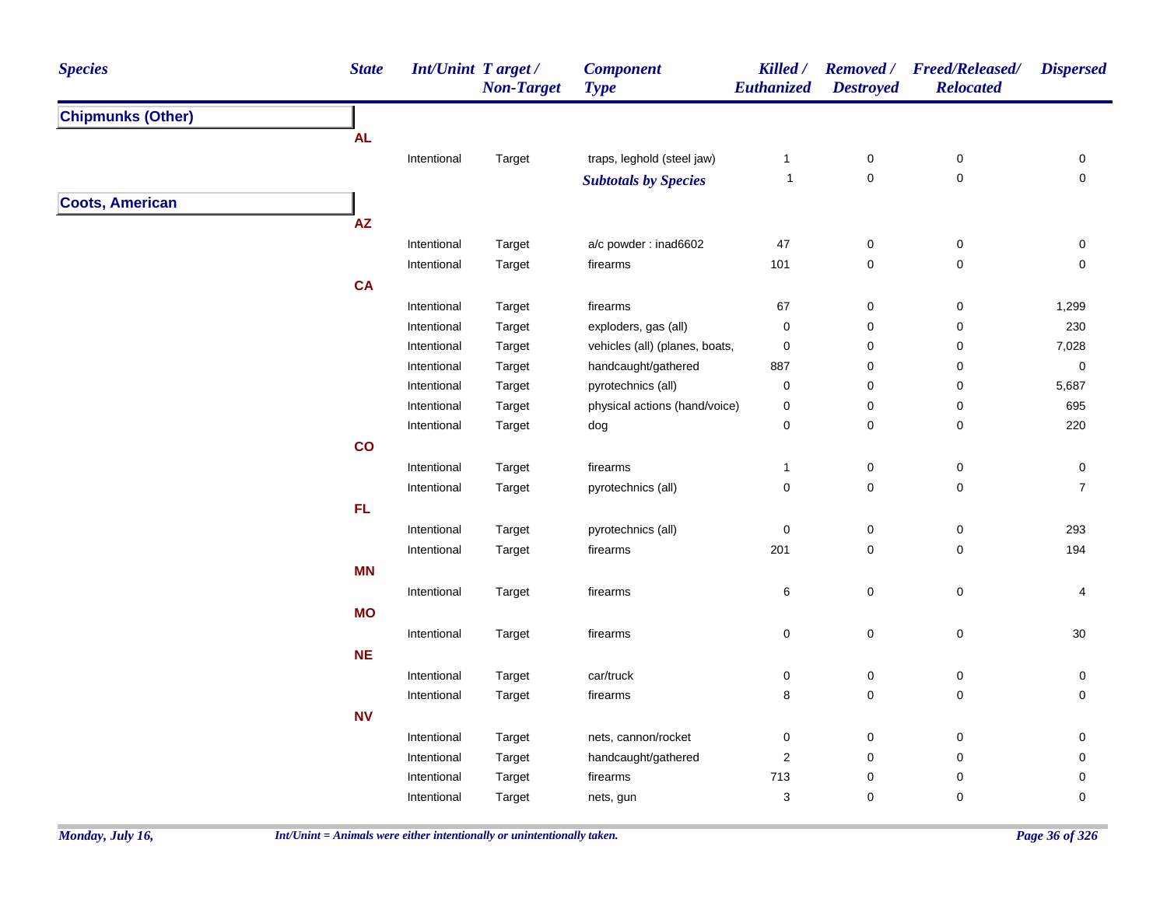| <b>Chipmunks (Other)</b><br><b>AL</b><br>traps, leghold (steel jaw)<br>Intentional<br>$\boldsymbol{0}$<br>0<br>0<br>Target<br>$\mathbf{1}$<br>$\pmb{0}$<br>$\mathsf{O}\xspace$<br>$\pmb{0}$<br>$\overline{1}$<br><b>Subtotals by Species</b><br><b>Coots, American</b><br>$\mathsf{A}\mathsf{Z}$<br>a/c powder: inad6602<br>$47\,$<br>$\pmb{0}$<br>$\pmb{0}$<br>Intentional<br>0<br>Target<br>101<br>$\pmb{0}$<br>$\pmb{0}$<br>Intentional<br>Target<br>firearms<br>$\mathbf 0$<br>CA<br>$\pmb{0}$<br>$\pmb{0}$<br>1,299<br>Intentional<br>firearms<br>67<br>Target<br>0<br>$\pmb{0}$<br>230<br>Intentional<br>Target<br>exploders, gas (all)<br>0<br>vehicles (all) (planes, boats,<br>$\pmb{0}$<br>$\pmb{0}$<br>7,028<br>Intentional<br>Target<br>0<br>handcaught/gathered<br>887<br>0<br>$\pmb{0}$<br>$\pmb{0}$<br>Intentional<br>Target<br>pyrotechnics (all)<br>0<br>0<br>0<br>5,687<br>Intentional<br>Target<br>695<br>Intentional<br>physical actions (hand/voice)<br>0<br>0<br>0<br>Target<br>0<br>220<br>Intentional<br>0<br>$\mathbf 0$<br>Target<br>dog<br>co<br>$\pmb{0}$<br>$\pmb{0}$<br>Intentional<br>firearms<br>0<br>Target<br>$\mathbf{1}$<br>$\overline{7}$<br>0<br>$\mathbf 0$<br>$\pmb{0}$<br>pyrotechnics (all)<br>Intentional<br>Target<br>FL<br>$\pmb{0}$<br>$\pmb{0}$<br>293<br>Intentional<br>Target<br>pyrotechnics (all)<br>$\pmb{0}$<br>201<br>194<br>$\pmb{0}$<br>$\pmb{0}$<br>Intentional<br>Target<br>firearms<br><b>MN</b><br>$\pmb{0}$<br>$\pmb{0}$<br>Intentional<br>Target<br>firearms<br>6<br>4<br><b>MO</b><br>$\pmb{0}$<br>$\pmb{0}$<br>$30\,$<br>0<br>Intentional<br>Target<br>firearms<br>NE<br>car/truck<br>0<br>$\boldsymbol{0}$<br>0<br>0<br>Intentional<br>Target<br>8<br>$\pmb{0}$<br>$\pmb{0}$<br>firearms<br>0<br>Intentional<br>Target<br><b>NV</b><br>$\pmb{0}$<br>nets, cannon/rocket<br>0<br>$\boldsymbol{0}$<br>0<br>Intentional<br>Target<br>$\overline{c}$<br>$\pmb{0}$<br>0<br>$\mathsf{O}\xspace$<br>handcaught/gathered<br>Intentional<br>Target<br>713<br>$\pmb{0}$<br>0<br>0<br>firearms<br>Intentional<br>Target | <b>Species</b> | <b>State</b> | <b>Int/Unint Target/</b> | <b>Non-Target</b> | <b>Component</b><br><b>Type</b> | Killed /<br>Euthanized | <b>Destroyed</b> | Removed / Freed/Released/<br><b>Relocated</b> | <b>Dispersed</b> |
|-------------------------------------------------------------------------------------------------------------------------------------------------------------------------------------------------------------------------------------------------------------------------------------------------------------------------------------------------------------------------------------------------------------------------------------------------------------------------------------------------------------------------------------------------------------------------------------------------------------------------------------------------------------------------------------------------------------------------------------------------------------------------------------------------------------------------------------------------------------------------------------------------------------------------------------------------------------------------------------------------------------------------------------------------------------------------------------------------------------------------------------------------------------------------------------------------------------------------------------------------------------------------------------------------------------------------------------------------------------------------------------------------------------------------------------------------------------------------------------------------------------------------------------------------------------------------------------------------------------------------------------------------------------------------------------------------------------------------------------------------------------------------------------------------------------------------------------------------------------------------------------------------------------------------------------------------------------------------------------------------------------------------------------------------------------------------------|----------------|--------------|--------------------------|-------------------|---------------------------------|------------------------|------------------|-----------------------------------------------|------------------|
|                                                                                                                                                                                                                                                                                                                                                                                                                                                                                                                                                                                                                                                                                                                                                                                                                                                                                                                                                                                                                                                                                                                                                                                                                                                                                                                                                                                                                                                                                                                                                                                                                                                                                                                                                                                                                                                                                                                                                                                                                                                                               |                |              |                          |                   |                                 |                        |                  |                                               |                  |
|                                                                                                                                                                                                                                                                                                                                                                                                                                                                                                                                                                                                                                                                                                                                                                                                                                                                                                                                                                                                                                                                                                                                                                                                                                                                                                                                                                                                                                                                                                                                                                                                                                                                                                                                                                                                                                                                                                                                                                                                                                                                               |                |              |                          |                   |                                 |                        |                  |                                               |                  |
|                                                                                                                                                                                                                                                                                                                                                                                                                                                                                                                                                                                                                                                                                                                                                                                                                                                                                                                                                                                                                                                                                                                                                                                                                                                                                                                                                                                                                                                                                                                                                                                                                                                                                                                                                                                                                                                                                                                                                                                                                                                                               |                |              |                          |                   |                                 |                        |                  |                                               |                  |
|                                                                                                                                                                                                                                                                                                                                                                                                                                                                                                                                                                                                                                                                                                                                                                                                                                                                                                                                                                                                                                                                                                                                                                                                                                                                                                                                                                                                                                                                                                                                                                                                                                                                                                                                                                                                                                                                                                                                                                                                                                                                               |                |              |                          |                   |                                 |                        |                  |                                               |                  |
|                                                                                                                                                                                                                                                                                                                                                                                                                                                                                                                                                                                                                                                                                                                                                                                                                                                                                                                                                                                                                                                                                                                                                                                                                                                                                                                                                                                                                                                                                                                                                                                                                                                                                                                                                                                                                                                                                                                                                                                                                                                                               |                |              |                          |                   |                                 |                        |                  |                                               |                  |
|                                                                                                                                                                                                                                                                                                                                                                                                                                                                                                                                                                                                                                                                                                                                                                                                                                                                                                                                                                                                                                                                                                                                                                                                                                                                                                                                                                                                                                                                                                                                                                                                                                                                                                                                                                                                                                                                                                                                                                                                                                                                               |                |              |                          |                   |                                 |                        |                  |                                               |                  |
|                                                                                                                                                                                                                                                                                                                                                                                                                                                                                                                                                                                                                                                                                                                                                                                                                                                                                                                                                                                                                                                                                                                                                                                                                                                                                                                                                                                                                                                                                                                                                                                                                                                                                                                                                                                                                                                                                                                                                                                                                                                                               |                |              |                          |                   |                                 |                        |                  |                                               |                  |
|                                                                                                                                                                                                                                                                                                                                                                                                                                                                                                                                                                                                                                                                                                                                                                                                                                                                                                                                                                                                                                                                                                                                                                                                                                                                                                                                                                                                                                                                                                                                                                                                                                                                                                                                                                                                                                                                                                                                                                                                                                                                               |                |              |                          |                   |                                 |                        |                  |                                               |                  |
|                                                                                                                                                                                                                                                                                                                                                                                                                                                                                                                                                                                                                                                                                                                                                                                                                                                                                                                                                                                                                                                                                                                                                                                                                                                                                                                                                                                                                                                                                                                                                                                                                                                                                                                                                                                                                                                                                                                                                                                                                                                                               |                |              |                          |                   |                                 |                        |                  |                                               |                  |
|                                                                                                                                                                                                                                                                                                                                                                                                                                                                                                                                                                                                                                                                                                                                                                                                                                                                                                                                                                                                                                                                                                                                                                                                                                                                                                                                                                                                                                                                                                                                                                                                                                                                                                                                                                                                                                                                                                                                                                                                                                                                               |                |              |                          |                   |                                 |                        |                  |                                               |                  |
|                                                                                                                                                                                                                                                                                                                                                                                                                                                                                                                                                                                                                                                                                                                                                                                                                                                                                                                                                                                                                                                                                                                                                                                                                                                                                                                                                                                                                                                                                                                                                                                                                                                                                                                                                                                                                                                                                                                                                                                                                                                                               |                |              |                          |                   |                                 |                        |                  |                                               |                  |
|                                                                                                                                                                                                                                                                                                                                                                                                                                                                                                                                                                                                                                                                                                                                                                                                                                                                                                                                                                                                                                                                                                                                                                                                                                                                                                                                                                                                                                                                                                                                                                                                                                                                                                                                                                                                                                                                                                                                                                                                                                                                               |                |              |                          |                   |                                 |                        |                  |                                               |                  |
|                                                                                                                                                                                                                                                                                                                                                                                                                                                                                                                                                                                                                                                                                                                                                                                                                                                                                                                                                                                                                                                                                                                                                                                                                                                                                                                                                                                                                                                                                                                                                                                                                                                                                                                                                                                                                                                                                                                                                                                                                                                                               |                |              |                          |                   |                                 |                        |                  |                                               |                  |
|                                                                                                                                                                                                                                                                                                                                                                                                                                                                                                                                                                                                                                                                                                                                                                                                                                                                                                                                                                                                                                                                                                                                                                                                                                                                                                                                                                                                                                                                                                                                                                                                                                                                                                                                                                                                                                                                                                                                                                                                                                                                               |                |              |                          |                   |                                 |                        |                  |                                               |                  |
|                                                                                                                                                                                                                                                                                                                                                                                                                                                                                                                                                                                                                                                                                                                                                                                                                                                                                                                                                                                                                                                                                                                                                                                                                                                                                                                                                                                                                                                                                                                                                                                                                                                                                                                                                                                                                                                                                                                                                                                                                                                                               |                |              |                          |                   |                                 |                        |                  |                                               |                  |
|                                                                                                                                                                                                                                                                                                                                                                                                                                                                                                                                                                                                                                                                                                                                                                                                                                                                                                                                                                                                                                                                                                                                                                                                                                                                                                                                                                                                                                                                                                                                                                                                                                                                                                                                                                                                                                                                                                                                                                                                                                                                               |                |              |                          |                   |                                 |                        |                  |                                               |                  |
|                                                                                                                                                                                                                                                                                                                                                                                                                                                                                                                                                                                                                                                                                                                                                                                                                                                                                                                                                                                                                                                                                                                                                                                                                                                                                                                                                                                                                                                                                                                                                                                                                                                                                                                                                                                                                                                                                                                                                                                                                                                                               |                |              |                          |                   |                                 |                        |                  |                                               |                  |
|                                                                                                                                                                                                                                                                                                                                                                                                                                                                                                                                                                                                                                                                                                                                                                                                                                                                                                                                                                                                                                                                                                                                                                                                                                                                                                                                                                                                                                                                                                                                                                                                                                                                                                                                                                                                                                                                                                                                                                                                                                                                               |                |              |                          |                   |                                 |                        |                  |                                               |                  |
|                                                                                                                                                                                                                                                                                                                                                                                                                                                                                                                                                                                                                                                                                                                                                                                                                                                                                                                                                                                                                                                                                                                                                                                                                                                                                                                                                                                                                                                                                                                                                                                                                                                                                                                                                                                                                                                                                                                                                                                                                                                                               |                |              |                          |                   |                                 |                        |                  |                                               |                  |
|                                                                                                                                                                                                                                                                                                                                                                                                                                                                                                                                                                                                                                                                                                                                                                                                                                                                                                                                                                                                                                                                                                                                                                                                                                                                                                                                                                                                                                                                                                                                                                                                                                                                                                                                                                                                                                                                                                                                                                                                                                                                               |                |              |                          |                   |                                 |                        |                  |                                               |                  |
|                                                                                                                                                                                                                                                                                                                                                                                                                                                                                                                                                                                                                                                                                                                                                                                                                                                                                                                                                                                                                                                                                                                                                                                                                                                                                                                                                                                                                                                                                                                                                                                                                                                                                                                                                                                                                                                                                                                                                                                                                                                                               |                |              |                          |                   |                                 |                        |                  |                                               |                  |
|                                                                                                                                                                                                                                                                                                                                                                                                                                                                                                                                                                                                                                                                                                                                                                                                                                                                                                                                                                                                                                                                                                                                                                                                                                                                                                                                                                                                                                                                                                                                                                                                                                                                                                                                                                                                                                                                                                                                                                                                                                                                               |                |              |                          |                   |                                 |                        |                  |                                               |                  |
|                                                                                                                                                                                                                                                                                                                                                                                                                                                                                                                                                                                                                                                                                                                                                                                                                                                                                                                                                                                                                                                                                                                                                                                                                                                                                                                                                                                                                                                                                                                                                                                                                                                                                                                                                                                                                                                                                                                                                                                                                                                                               |                |              |                          |                   |                                 |                        |                  |                                               |                  |
|                                                                                                                                                                                                                                                                                                                                                                                                                                                                                                                                                                                                                                                                                                                                                                                                                                                                                                                                                                                                                                                                                                                                                                                                                                                                                                                                                                                                                                                                                                                                                                                                                                                                                                                                                                                                                                                                                                                                                                                                                                                                               |                |              |                          |                   |                                 |                        |                  |                                               |                  |
|                                                                                                                                                                                                                                                                                                                                                                                                                                                                                                                                                                                                                                                                                                                                                                                                                                                                                                                                                                                                                                                                                                                                                                                                                                                                                                                                                                                                                                                                                                                                                                                                                                                                                                                                                                                                                                                                                                                                                                                                                                                                               |                |              |                          |                   |                                 |                        |                  |                                               |                  |
|                                                                                                                                                                                                                                                                                                                                                                                                                                                                                                                                                                                                                                                                                                                                                                                                                                                                                                                                                                                                                                                                                                                                                                                                                                                                                                                                                                                                                                                                                                                                                                                                                                                                                                                                                                                                                                                                                                                                                                                                                                                                               |                |              |                          |                   |                                 |                        |                  |                                               |                  |
|                                                                                                                                                                                                                                                                                                                                                                                                                                                                                                                                                                                                                                                                                                                                                                                                                                                                                                                                                                                                                                                                                                                                                                                                                                                                                                                                                                                                                                                                                                                                                                                                                                                                                                                                                                                                                                                                                                                                                                                                                                                                               |                |              |                          |                   |                                 |                        |                  |                                               |                  |
|                                                                                                                                                                                                                                                                                                                                                                                                                                                                                                                                                                                                                                                                                                                                                                                                                                                                                                                                                                                                                                                                                                                                                                                                                                                                                                                                                                                                                                                                                                                                                                                                                                                                                                                                                                                                                                                                                                                                                                                                                                                                               |                |              |                          |                   |                                 |                        |                  |                                               |                  |
|                                                                                                                                                                                                                                                                                                                                                                                                                                                                                                                                                                                                                                                                                                                                                                                                                                                                                                                                                                                                                                                                                                                                                                                                                                                                                                                                                                                                                                                                                                                                                                                                                                                                                                                                                                                                                                                                                                                                                                                                                                                                               |                |              |                          |                   |                                 |                        |                  |                                               |                  |
|                                                                                                                                                                                                                                                                                                                                                                                                                                                                                                                                                                                                                                                                                                                                                                                                                                                                                                                                                                                                                                                                                                                                                                                                                                                                                                                                                                                                                                                                                                                                                                                                                                                                                                                                                                                                                                                                                                                                                                                                                                                                               |                |              |                          |                   |                                 |                        |                  |                                               |                  |
|                                                                                                                                                                                                                                                                                                                                                                                                                                                                                                                                                                                                                                                                                                                                                                                                                                                                                                                                                                                                                                                                                                                                                                                                                                                                                                                                                                                                                                                                                                                                                                                                                                                                                                                                                                                                                                                                                                                                                                                                                                                                               |                |              |                          |                   |                                 |                        |                  |                                               |                  |
|                                                                                                                                                                                                                                                                                                                                                                                                                                                                                                                                                                                                                                                                                                                                                                                                                                                                                                                                                                                                                                                                                                                                                                                                                                                                                                                                                                                                                                                                                                                                                                                                                                                                                                                                                                                                                                                                                                                                                                                                                                                                               |                |              |                          |                   |                                 |                        |                  |                                               |                  |
|                                                                                                                                                                                                                                                                                                                                                                                                                                                                                                                                                                                                                                                                                                                                                                                                                                                                                                                                                                                                                                                                                                                                                                                                                                                                                                                                                                                                                                                                                                                                                                                                                                                                                                                                                                                                                                                                                                                                                                                                                                                                               |                |              |                          |                   |                                 |                        |                  |                                               |                  |
|                                                                                                                                                                                                                                                                                                                                                                                                                                                                                                                                                                                                                                                                                                                                                                                                                                                                                                                                                                                                                                                                                                                                                                                                                                                                                                                                                                                                                                                                                                                                                                                                                                                                                                                                                                                                                                                                                                                                                                                                                                                                               |                |              | Intentional              | Target            | nets, gun                       | 3                      | $\mathbf 0$      | 0                                             | $\mathbf 0$      |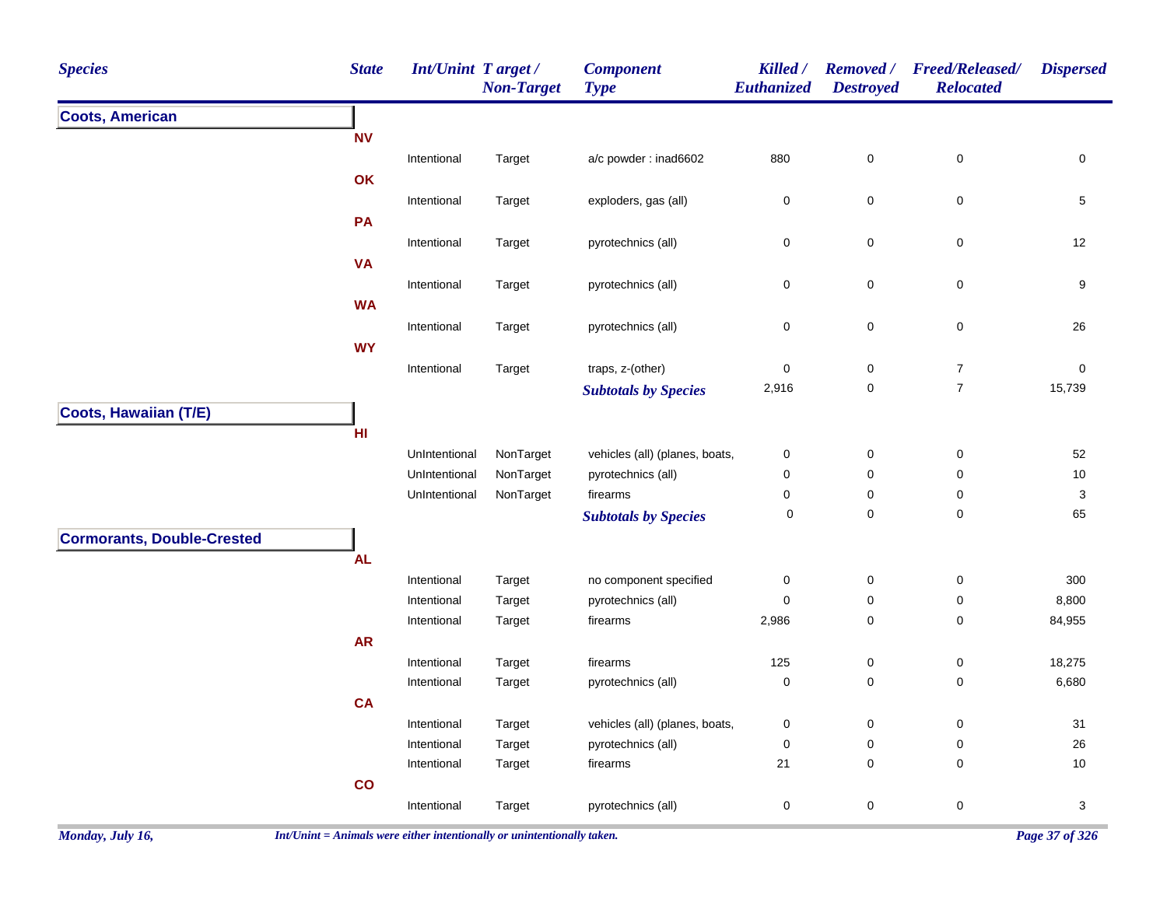| <b>Species</b>                    | <b>State</b>    | Int/Unint Target / | <b>Non-Target</b> | <b>Component</b><br><b>Type</b> | Killed /<br>Euthanized | <b>Destroyed</b>    | Removed / Freed/Released/<br><b>Relocated</b> | <b>Dispersed</b> |
|-----------------------------------|-----------------|--------------------|-------------------|---------------------------------|------------------------|---------------------|-----------------------------------------------|------------------|
| <b>Coots, American</b>            |                 |                    |                   |                                 |                        |                     |                                               |                  |
|                                   | <b>NV</b>       |                    |                   |                                 |                        |                     |                                               |                  |
|                                   |                 | Intentional        | Target            | a/c powder: inad6602            | 880                    | $\mathsf{O}\xspace$ | $\mathsf 0$                                   | $\mathsf 0$      |
|                                   | OK              |                    |                   |                                 |                        |                     |                                               |                  |
|                                   |                 | Intentional        | Target            | exploders, gas (all)            | 0                      | 0                   | $\pmb{0}$                                     | $\,$ 5 $\,$      |
|                                   | PA              |                    |                   |                                 |                        |                     |                                               |                  |
|                                   |                 | Intentional        | Target            | pyrotechnics (all)              | 0                      | $\pmb{0}$           | $\pmb{0}$                                     | 12               |
|                                   | <b>VA</b>       |                    |                   |                                 |                        |                     |                                               |                  |
|                                   |                 | Intentional        | Target            | pyrotechnics (all)              | 0                      | 0                   | $\mathsf 0$                                   | 9                |
|                                   | <b>WA</b>       |                    |                   |                                 |                        |                     |                                               |                  |
|                                   |                 | Intentional        | Target            | pyrotechnics (all)              | 0                      | $\pmb{0}$           | $\pmb{0}$                                     | 26               |
|                                   | <b>WY</b>       |                    |                   |                                 |                        |                     |                                               |                  |
|                                   |                 | Intentional        | Target            | traps, z-(other)                | 0                      | 0                   | $\boldsymbol{7}$                              | 0                |
|                                   |                 |                    |                   | <b>Subtotals by Species</b>     | 2,916                  | $\pmb{0}$           | $\overline{7}$                                | 15,739           |
| Coots, Hawaiian (T/E)             |                 |                    |                   |                                 |                        |                     |                                               |                  |
|                                   | H <sub>II</sub> |                    |                   |                                 |                        |                     |                                               |                  |
|                                   |                 | UnIntentional      | NonTarget         | vehicles (all) (planes, boats,  | 0                      | $\pmb{0}$           | $\pmb{0}$                                     | 52               |
|                                   |                 | UnIntentional      | NonTarget         | pyrotechnics (all)              | 0                      | 0                   | 0                                             | $10\,$           |
|                                   |                 | UnIntentional      | NonTarget         | firearms                        | 0                      | 0                   | 0                                             | 3                |
|                                   |                 |                    |                   | <b>Subtotals by Species</b>     | 0                      | 0                   | $\mathbf 0$                                   | 65               |
| <b>Cormorants, Double-Crested</b> |                 |                    |                   |                                 |                        |                     |                                               |                  |
|                                   | <b>AL</b>       |                    |                   |                                 |                        |                     |                                               |                  |
|                                   |                 | Intentional        | Target            | no component specified          | 0                      | $\pmb{0}$           | $\pmb{0}$                                     | 300              |
|                                   |                 | Intentional        | Target            | pyrotechnics (all)              | 0                      | $\pmb{0}$           | $\pmb{0}$                                     | 8,800            |
|                                   |                 | Intentional        | Target            | firearms                        | 2,986                  | 0                   | 0                                             | 84,955           |
|                                   | <b>AR</b>       |                    |                   |                                 |                        |                     |                                               |                  |
|                                   |                 | Intentional        | Target            | firearms                        | 125                    | $\pmb{0}$           | $\pmb{0}$                                     | 18,275           |
|                                   |                 | Intentional        | Target            | pyrotechnics (all)              | $\pmb{0}$              | $\pmb{0}$           | $\pmb{0}$                                     | 6,680            |
|                                   | <b>CA</b>       |                    |                   |                                 |                        |                     |                                               |                  |
|                                   |                 | Intentional        | Target            | vehicles (all) (planes, boats,  | 0                      | 0                   | $\mathbf 0$                                   | 31               |
|                                   |                 | Intentional        | Target            | pyrotechnics (all)              | 0                      | $\pmb{0}$           | $\pmb{0}$                                     | 26               |
|                                   |                 | Intentional        | Target            | firearms                        | 21                     | $\mathbf 0$         | $\pmb{0}$                                     | 10               |
|                                   | $\mathbf{co}$   |                    |                   |                                 |                        |                     |                                               |                  |
|                                   |                 | Intentional        | Target            | pyrotechnics (all)              | 0                      | $\mathbf 0$         | $\pmb{0}$                                     | 3                |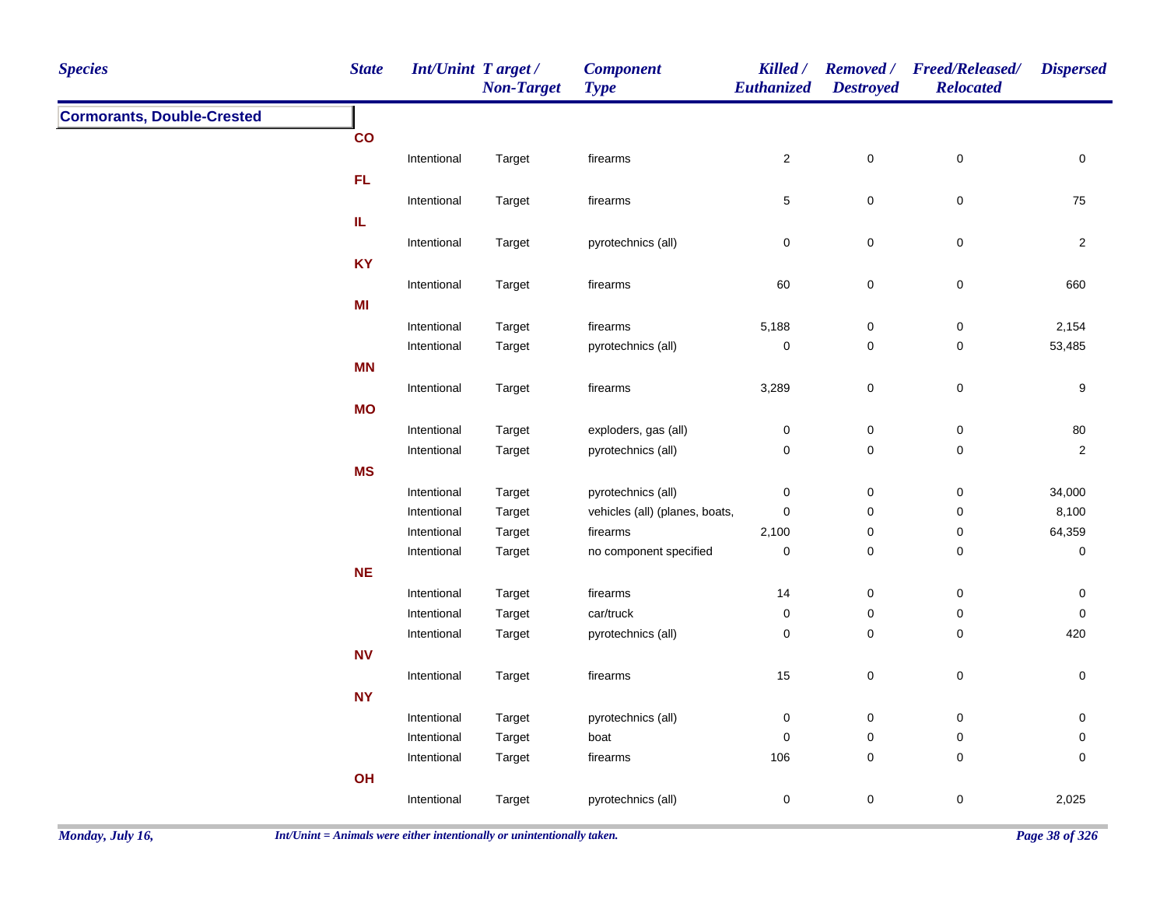| <b>Species</b>                    | <b>State</b>  | Int/Unint Target/ | <b>Non-Target</b> | <b>Component</b><br><b>Type</b> | Killed /<br><b>Euthanized</b> | <b>Destroyed</b>    | Removed / Freed/Released/<br><b>Relocated</b> | <b>Dispersed</b> |
|-----------------------------------|---------------|-------------------|-------------------|---------------------------------|-------------------------------|---------------------|-----------------------------------------------|------------------|
| <b>Cormorants, Double-Crested</b> |               |                   |                   |                                 |                               |                     |                                               |                  |
|                                   | $\mathbf{co}$ |                   |                   |                                 |                               |                     |                                               |                  |
|                                   |               | Intentional       | Target            | firearms                        | $\overline{2}$                | $\mathsf{O}\xspace$ | $\mathsf 0$                                   | $\mathsf 0$      |
|                                   | FL            |                   |                   |                                 |                               |                     |                                               |                  |
|                                   |               | Intentional       | Target            | firearms                        | $\sqrt{5}$                    | $\mathbf 0$         | $\mathsf 0$                                   | 75               |
|                                   | IL            |                   |                   |                                 |                               |                     |                                               |                  |
|                                   |               | Intentional       | Target            | pyrotechnics (all)              | $\mathbf 0$                   | 0                   | $\mathbf 0$                                   | $\overline{c}$   |
|                                   | <b>KY</b>     |                   |                   |                                 |                               |                     |                                               |                  |
|                                   |               | Intentional       | Target            | firearms                        | 60                            | $\mathbf 0$         | $\mathbf 0$                                   | 660              |
|                                   | MI            |                   |                   |                                 |                               |                     |                                               |                  |
|                                   |               | Intentional       | Target            | firearms                        | 5,188                         | $\mathbf 0$         | $\mathsf 0$                                   | 2,154            |
|                                   |               | Intentional       | Target            | pyrotechnics (all)              | $\mathbf 0$                   | 0                   | $\pmb{0}$                                     | 53,485           |
|                                   | <b>MN</b>     |                   |                   |                                 |                               |                     |                                               |                  |
|                                   |               | Intentional       | Target            | firearms                        | 3,289                         | $\mathbf 0$         | $\mathsf 0$                                   | 9                |
|                                   | <b>MO</b>     |                   |                   |                                 |                               |                     |                                               |                  |
|                                   |               | Intentional       | Target            | exploders, gas (all)            | $\pmb{0}$                     | $\pmb{0}$           | $\mathsf 0$                                   | $80\,$           |
|                                   |               | Intentional       | Target            | pyrotechnics (all)              | $\mathsf{O}\xspace$           | $\pmb{0}$           | $\mathbf 0$                                   | $\overline{2}$   |
|                                   | <b>MS</b>     |                   |                   |                                 |                               |                     |                                               |                  |
|                                   |               | Intentional       | Target            | pyrotechnics (all)              | $\pmb{0}$                     | $\pmb{0}$           | $\pmb{0}$                                     | 34,000           |
|                                   |               | Intentional       | Target            | vehicles (all) (planes, boats,  | $\mathbf 0$                   | 0                   | $\boldsymbol{0}$                              | 8,100            |
|                                   |               | Intentional       | Target            | firearms                        | 2,100                         | 0                   | $\pmb{0}$                                     | 64,359           |
|                                   |               | Intentional       | Target            | no component specified          | $\pmb{0}$                     | $\mathbf 0$         | $\pmb{0}$                                     | $\mathsf 0$      |
|                                   | <b>NE</b>     |                   |                   |                                 |                               |                     |                                               |                  |
|                                   |               | Intentional       | Target            | firearms                        | 14                            | $\boldsymbol{0}$    | $\mathbf 0$                                   | 0                |
|                                   |               | Intentional       | Target            | car/truck                       | $\pmb{0}$                     | $\pmb{0}$           | $\mathbf 0$                                   | $\pmb{0}$        |
|                                   |               | Intentional       | Target            | pyrotechnics (all)              | $\mathbf 0$                   | $\mathbf 0$         | $\mathbf 0$                                   | 420              |
|                                   | <b>NV</b>     |                   |                   |                                 |                               |                     |                                               |                  |
|                                   |               | Intentional       | Target            | firearms                        | $15\,$                        | $\pmb{0}$           | $\pmb{0}$                                     | 0                |
|                                   | <b>NY</b>     |                   |                   |                                 |                               |                     |                                               |                  |
|                                   |               | Intentional       | Target            | pyrotechnics (all)              | $\pmb{0}$                     | $\mathbf 0$         | $\mathsf 0$                                   | 0                |
|                                   |               | Intentional       | Target            | boat                            | 0                             | $\mathbf 0$         | $\mathbf 0$                                   | 0                |
|                                   |               | Intentional       | Target            | firearms                        | 106                           | $\mathbf 0$         | $\mathbf 0$                                   | $\mathbf 0$      |
|                                   | OH            |                   |                   |                                 |                               |                     |                                               |                  |
|                                   |               | Intentional       | Target            | pyrotechnics (all)              | $\mathsf{O}\xspace$           | $\mathbf 0$         | $\pmb{0}$                                     | 2,025            |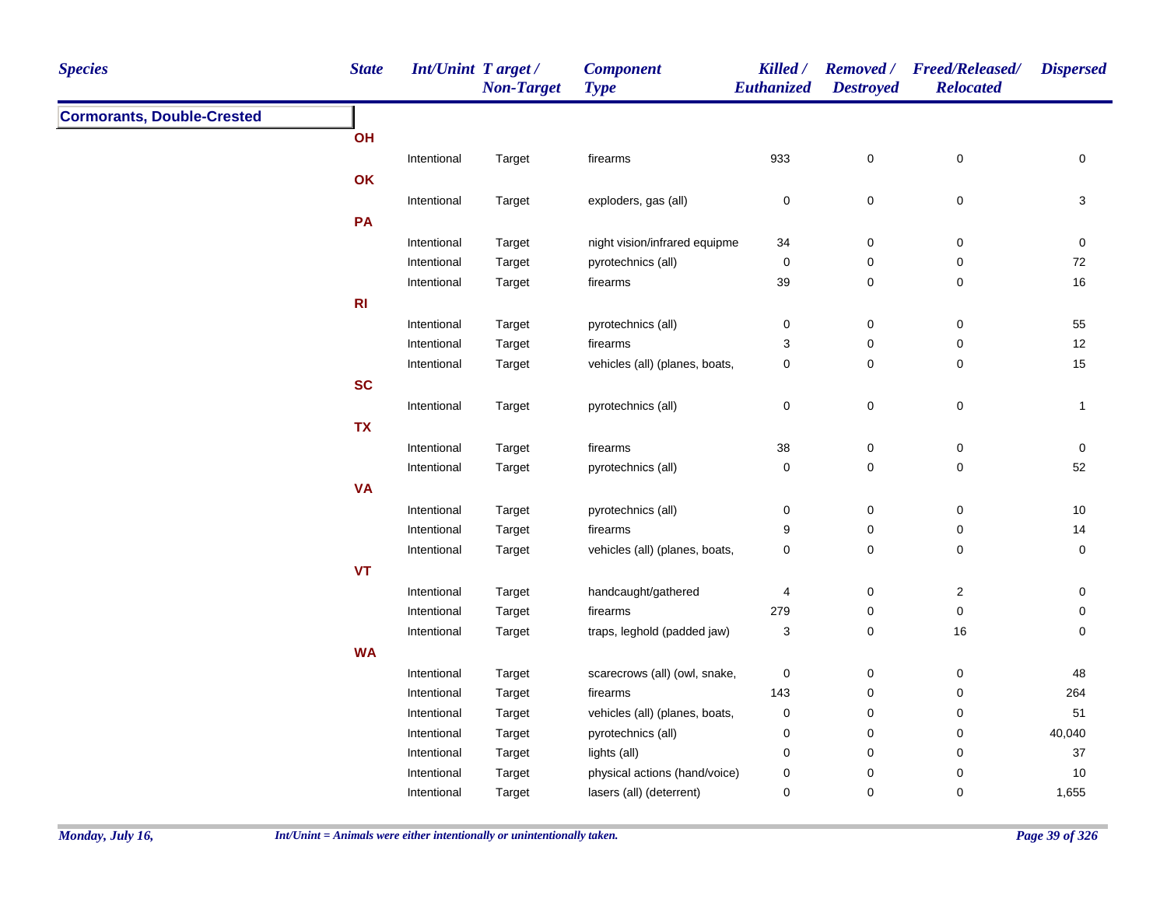| <b>Cormorants, Double-Crested</b><br>OH<br>Intentional<br>933<br>0<br>$\pmb{0}$<br>Target<br>firearms<br>0<br>OK<br>$\pmb{0}$<br>Intentional<br>exploders, gas (all)<br>$\boldsymbol{0}$<br>0<br>3<br>Target<br>PA<br>0<br>$\pmb{0}$<br>Intentional<br>night vision/infrared equipme<br>34<br>0<br>Target<br>pyrotechnics (all)<br>0<br>$\pmb{0}$<br>72<br>Intentional<br>Target<br>$\pmb{0}$<br>39<br>0<br>$\pmb{0}$<br>$16\,$<br>Intentional<br>Target<br>firearms<br>R1<br>0<br>$\pmb{0}$<br>Intentional<br>pyrotechnics (all)<br>$\pmb{0}$<br>55<br>Target<br>3<br>0<br>$\pmb{0}$<br>12<br>Intentional<br>firearms<br>Target<br>$\pmb{0}$<br>15<br>Intentional<br>vehicles (all) (planes, boats,<br>$\pmb{0}$<br>0<br>Target<br><b>SC</b><br>$\pmb{0}$<br>Intentional<br>pyrotechnics (all)<br>$\pmb{0}$<br>0<br>Target<br>$\mathbf{1}$<br><b>TX</b><br>38<br>0<br>Intentional<br>Target<br>firearms<br>$\pmb{0}$<br>0<br>$\pmb{0}$<br>0<br>52<br>Intentional<br>Target<br>pyrotechnics (all)<br>0<br><b>VA</b><br>$\pmb{0}$<br>Intentional<br>pyrotechnics (all)<br>$\pmb{0}$<br>0<br>10<br>Target<br>Intentional<br>firearms<br>9<br>0<br>0<br>14<br>Target<br>0<br>$\pmb{0}$<br>0<br>Intentional<br>vehicles (all) (planes, boats,<br>$\pmb{0}$<br>Target<br>VT<br>handcaught/gathered<br>0<br>$\overline{2}$<br>Intentional<br>4<br>0<br>Target<br>$\pmb{0}$<br>279<br>0<br>Intentional<br>Target<br>firearms<br>0<br>traps, leghold (padded jaw)<br>3<br>0<br>16<br>0<br>Intentional<br>Target<br><b>WA</b><br>0<br>$\pmb{0}$<br>Intentional<br>scarecrows (all) (owl, snake,<br>$\mathbf 0$<br>48<br>Target<br>0<br>$\pmb{0}$<br>264<br>Intentional<br>143<br>Target<br>firearms<br>0<br>$\pmb{0}$<br>Intentional<br>vehicles (all) (planes, boats,<br>$\pmb{0}$<br>51<br>Target<br>0<br>$\pmb{0}$<br>40,040<br>Intentional<br>pyrotechnics (all)<br>$\pmb{0}$<br>Target<br>$\pmb{0}$<br>0<br>$\mathbf 0$<br>Intentional<br>lights (all)<br>37<br>Target | <b>Species</b> | <b>State</b> | Int/Unint Target/ | <b>Non-Target</b> | <b>Component</b><br><b>Type</b> | Killed /<br><b>Euthanized</b> | <b>Destroyed</b> | Removed / Freed/Released/<br><b>Relocated</b> | <b>Dispersed</b> |
|--------------------------------------------------------------------------------------------------------------------------------------------------------------------------------------------------------------------------------------------------------------------------------------------------------------------------------------------------------------------------------------------------------------------------------------------------------------------------------------------------------------------------------------------------------------------------------------------------------------------------------------------------------------------------------------------------------------------------------------------------------------------------------------------------------------------------------------------------------------------------------------------------------------------------------------------------------------------------------------------------------------------------------------------------------------------------------------------------------------------------------------------------------------------------------------------------------------------------------------------------------------------------------------------------------------------------------------------------------------------------------------------------------------------------------------------------------------------------------------------------------------------------------------------------------------------------------------------------------------------------------------------------------------------------------------------------------------------------------------------------------------------------------------------------------------------------------------------------------------------------------------------------------------------------------------------------------------------|----------------|--------------|-------------------|-------------------|---------------------------------|-------------------------------|------------------|-----------------------------------------------|------------------|
|                                                                                                                                                                                                                                                                                                                                                                                                                                                                                                                                                                                                                                                                                                                                                                                                                                                                                                                                                                                                                                                                                                                                                                                                                                                                                                                                                                                                                                                                                                                                                                                                                                                                                                                                                                                                                                                                                                                                                                    |                |              |                   |                   |                                 |                               |                  |                                               |                  |
|                                                                                                                                                                                                                                                                                                                                                                                                                                                                                                                                                                                                                                                                                                                                                                                                                                                                                                                                                                                                                                                                                                                                                                                                                                                                                                                                                                                                                                                                                                                                                                                                                                                                                                                                                                                                                                                                                                                                                                    |                |              |                   |                   |                                 |                               |                  |                                               |                  |
|                                                                                                                                                                                                                                                                                                                                                                                                                                                                                                                                                                                                                                                                                                                                                                                                                                                                                                                                                                                                                                                                                                                                                                                                                                                                                                                                                                                                                                                                                                                                                                                                                                                                                                                                                                                                                                                                                                                                                                    |                |              |                   |                   |                                 |                               |                  |                                               |                  |
|                                                                                                                                                                                                                                                                                                                                                                                                                                                                                                                                                                                                                                                                                                                                                                                                                                                                                                                                                                                                                                                                                                                                                                                                                                                                                                                                                                                                                                                                                                                                                                                                                                                                                                                                                                                                                                                                                                                                                                    |                |              |                   |                   |                                 |                               |                  |                                               |                  |
|                                                                                                                                                                                                                                                                                                                                                                                                                                                                                                                                                                                                                                                                                                                                                                                                                                                                                                                                                                                                                                                                                                                                                                                                                                                                                                                                                                                                                                                                                                                                                                                                                                                                                                                                                                                                                                                                                                                                                                    |                |              |                   |                   |                                 |                               |                  |                                               |                  |
|                                                                                                                                                                                                                                                                                                                                                                                                                                                                                                                                                                                                                                                                                                                                                                                                                                                                                                                                                                                                                                                                                                                                                                                                                                                                                                                                                                                                                                                                                                                                                                                                                                                                                                                                                                                                                                                                                                                                                                    |                |              |                   |                   |                                 |                               |                  |                                               |                  |
|                                                                                                                                                                                                                                                                                                                                                                                                                                                                                                                                                                                                                                                                                                                                                                                                                                                                                                                                                                                                                                                                                                                                                                                                                                                                                                                                                                                                                                                                                                                                                                                                                                                                                                                                                                                                                                                                                                                                                                    |                |              |                   |                   |                                 |                               |                  |                                               |                  |
|                                                                                                                                                                                                                                                                                                                                                                                                                                                                                                                                                                                                                                                                                                                                                                                                                                                                                                                                                                                                                                                                                                                                                                                                                                                                                                                                                                                                                                                                                                                                                                                                                                                                                                                                                                                                                                                                                                                                                                    |                |              |                   |                   |                                 |                               |                  |                                               |                  |
|                                                                                                                                                                                                                                                                                                                                                                                                                                                                                                                                                                                                                                                                                                                                                                                                                                                                                                                                                                                                                                                                                                                                                                                                                                                                                                                                                                                                                                                                                                                                                                                                                                                                                                                                                                                                                                                                                                                                                                    |                |              |                   |                   |                                 |                               |                  |                                               |                  |
|                                                                                                                                                                                                                                                                                                                                                                                                                                                                                                                                                                                                                                                                                                                                                                                                                                                                                                                                                                                                                                                                                                                                                                                                                                                                                                                                                                                                                                                                                                                                                                                                                                                                                                                                                                                                                                                                                                                                                                    |                |              |                   |                   |                                 |                               |                  |                                               |                  |
|                                                                                                                                                                                                                                                                                                                                                                                                                                                                                                                                                                                                                                                                                                                                                                                                                                                                                                                                                                                                                                                                                                                                                                                                                                                                                                                                                                                                                                                                                                                                                                                                                                                                                                                                                                                                                                                                                                                                                                    |                |              |                   |                   |                                 |                               |                  |                                               |                  |
|                                                                                                                                                                                                                                                                                                                                                                                                                                                                                                                                                                                                                                                                                                                                                                                                                                                                                                                                                                                                                                                                                                                                                                                                                                                                                                                                                                                                                                                                                                                                                                                                                                                                                                                                                                                                                                                                                                                                                                    |                |              |                   |                   |                                 |                               |                  |                                               |                  |
|                                                                                                                                                                                                                                                                                                                                                                                                                                                                                                                                                                                                                                                                                                                                                                                                                                                                                                                                                                                                                                                                                                                                                                                                                                                                                                                                                                                                                                                                                                                                                                                                                                                                                                                                                                                                                                                                                                                                                                    |                |              |                   |                   |                                 |                               |                  |                                               |                  |
|                                                                                                                                                                                                                                                                                                                                                                                                                                                                                                                                                                                                                                                                                                                                                                                                                                                                                                                                                                                                                                                                                                                                                                                                                                                                                                                                                                                                                                                                                                                                                                                                                                                                                                                                                                                                                                                                                                                                                                    |                |              |                   |                   |                                 |                               |                  |                                               |                  |
|                                                                                                                                                                                                                                                                                                                                                                                                                                                                                                                                                                                                                                                                                                                                                                                                                                                                                                                                                                                                                                                                                                                                                                                                                                                                                                                                                                                                                                                                                                                                                                                                                                                                                                                                                                                                                                                                                                                                                                    |                |              |                   |                   |                                 |                               |                  |                                               |                  |
|                                                                                                                                                                                                                                                                                                                                                                                                                                                                                                                                                                                                                                                                                                                                                                                                                                                                                                                                                                                                                                                                                                                                                                                                                                                                                                                                                                                                                                                                                                                                                                                                                                                                                                                                                                                                                                                                                                                                                                    |                |              |                   |                   |                                 |                               |                  |                                               |                  |
|                                                                                                                                                                                                                                                                                                                                                                                                                                                                                                                                                                                                                                                                                                                                                                                                                                                                                                                                                                                                                                                                                                                                                                                                                                                                                                                                                                                                                                                                                                                                                                                                                                                                                                                                                                                                                                                                                                                                                                    |                |              |                   |                   |                                 |                               |                  |                                               |                  |
|                                                                                                                                                                                                                                                                                                                                                                                                                                                                                                                                                                                                                                                                                                                                                                                                                                                                                                                                                                                                                                                                                                                                                                                                                                                                                                                                                                                                                                                                                                                                                                                                                                                                                                                                                                                                                                                                                                                                                                    |                |              |                   |                   |                                 |                               |                  |                                               |                  |
|                                                                                                                                                                                                                                                                                                                                                                                                                                                                                                                                                                                                                                                                                                                                                                                                                                                                                                                                                                                                                                                                                                                                                                                                                                                                                                                                                                                                                                                                                                                                                                                                                                                                                                                                                                                                                                                                                                                                                                    |                |              |                   |                   |                                 |                               |                  |                                               |                  |
|                                                                                                                                                                                                                                                                                                                                                                                                                                                                                                                                                                                                                                                                                                                                                                                                                                                                                                                                                                                                                                                                                                                                                                                                                                                                                                                                                                                                                                                                                                                                                                                                                                                                                                                                                                                                                                                                                                                                                                    |                |              |                   |                   |                                 |                               |                  |                                               |                  |
|                                                                                                                                                                                                                                                                                                                                                                                                                                                                                                                                                                                                                                                                                                                                                                                                                                                                                                                                                                                                                                                                                                                                                                                                                                                                                                                                                                                                                                                                                                                                                                                                                                                                                                                                                                                                                                                                                                                                                                    |                |              |                   |                   |                                 |                               |                  |                                               |                  |
|                                                                                                                                                                                                                                                                                                                                                                                                                                                                                                                                                                                                                                                                                                                                                                                                                                                                                                                                                                                                                                                                                                                                                                                                                                                                                                                                                                                                                                                                                                                                                                                                                                                                                                                                                                                                                                                                                                                                                                    |                |              |                   |                   |                                 |                               |                  |                                               |                  |
|                                                                                                                                                                                                                                                                                                                                                                                                                                                                                                                                                                                                                                                                                                                                                                                                                                                                                                                                                                                                                                                                                                                                                                                                                                                                                                                                                                                                                                                                                                                                                                                                                                                                                                                                                                                                                                                                                                                                                                    |                |              |                   |                   |                                 |                               |                  |                                               |                  |
|                                                                                                                                                                                                                                                                                                                                                                                                                                                                                                                                                                                                                                                                                                                                                                                                                                                                                                                                                                                                                                                                                                                                                                                                                                                                                                                                                                                                                                                                                                                                                                                                                                                                                                                                                                                                                                                                                                                                                                    |                |              |                   |                   |                                 |                               |                  |                                               |                  |
|                                                                                                                                                                                                                                                                                                                                                                                                                                                                                                                                                                                                                                                                                                                                                                                                                                                                                                                                                                                                                                                                                                                                                                                                                                                                                                                                                                                                                                                                                                                                                                                                                                                                                                                                                                                                                                                                                                                                                                    |                |              |                   |                   |                                 |                               |                  |                                               |                  |
|                                                                                                                                                                                                                                                                                                                                                                                                                                                                                                                                                                                                                                                                                                                                                                                                                                                                                                                                                                                                                                                                                                                                                                                                                                                                                                                                                                                                                                                                                                                                                                                                                                                                                                                                                                                                                                                                                                                                                                    |                |              |                   |                   |                                 |                               |                  |                                               |                  |
|                                                                                                                                                                                                                                                                                                                                                                                                                                                                                                                                                                                                                                                                                                                                                                                                                                                                                                                                                                                                                                                                                                                                                                                                                                                                                                                                                                                                                                                                                                                                                                                                                                                                                                                                                                                                                                                                                                                                                                    |                |              |                   |                   |                                 |                               |                  |                                               |                  |
|                                                                                                                                                                                                                                                                                                                                                                                                                                                                                                                                                                                                                                                                                                                                                                                                                                                                                                                                                                                                                                                                                                                                                                                                                                                                                                                                                                                                                                                                                                                                                                                                                                                                                                                                                                                                                                                                                                                                                                    |                |              |                   |                   |                                 |                               |                  |                                               |                  |
|                                                                                                                                                                                                                                                                                                                                                                                                                                                                                                                                                                                                                                                                                                                                                                                                                                                                                                                                                                                                                                                                                                                                                                                                                                                                                                                                                                                                                                                                                                                                                                                                                                                                                                                                                                                                                                                                                                                                                                    |                |              |                   |                   |                                 |                               |                  |                                               |                  |
|                                                                                                                                                                                                                                                                                                                                                                                                                                                                                                                                                                                                                                                                                                                                                                                                                                                                                                                                                                                                                                                                                                                                                                                                                                                                                                                                                                                                                                                                                                                                                                                                                                                                                                                                                                                                                                                                                                                                                                    |                |              |                   |                   |                                 |                               |                  |                                               |                  |
|                                                                                                                                                                                                                                                                                                                                                                                                                                                                                                                                                                                                                                                                                                                                                                                                                                                                                                                                                                                                                                                                                                                                                                                                                                                                                                                                                                                                                                                                                                                                                                                                                                                                                                                                                                                                                                                                                                                                                                    |                |              |                   |                   |                                 |                               |                  |                                               |                  |
|                                                                                                                                                                                                                                                                                                                                                                                                                                                                                                                                                                                                                                                                                                                                                                                                                                                                                                                                                                                                                                                                                                                                                                                                                                                                                                                                                                                                                                                                                                                                                                                                                                                                                                                                                                                                                                                                                                                                                                    |                |              |                   |                   |                                 |                               |                  |                                               |                  |
| physical actions (hand/voice)<br>$\pmb{0}$<br>$\pmb{0}$<br>$\mathbf 0$<br>$10$<br>Intentional<br>Target                                                                                                                                                                                                                                                                                                                                                                                                                                                                                                                                                                                                                                                                                                                                                                                                                                                                                                                                                                                                                                                                                                                                                                                                                                                                                                                                                                                                                                                                                                                                                                                                                                                                                                                                                                                                                                                            |                |              |                   |                   |                                 |                               |                  |                                               |                  |
| lasers (all) (deterrent)<br>$\mathbf 0$<br>0<br>$\mathbf 0$<br>1,655<br>Intentional<br>Target                                                                                                                                                                                                                                                                                                                                                                                                                                                                                                                                                                                                                                                                                                                                                                                                                                                                                                                                                                                                                                                                                                                                                                                                                                                                                                                                                                                                                                                                                                                                                                                                                                                                                                                                                                                                                                                                      |                |              |                   |                   |                                 |                               |                  |                                               |                  |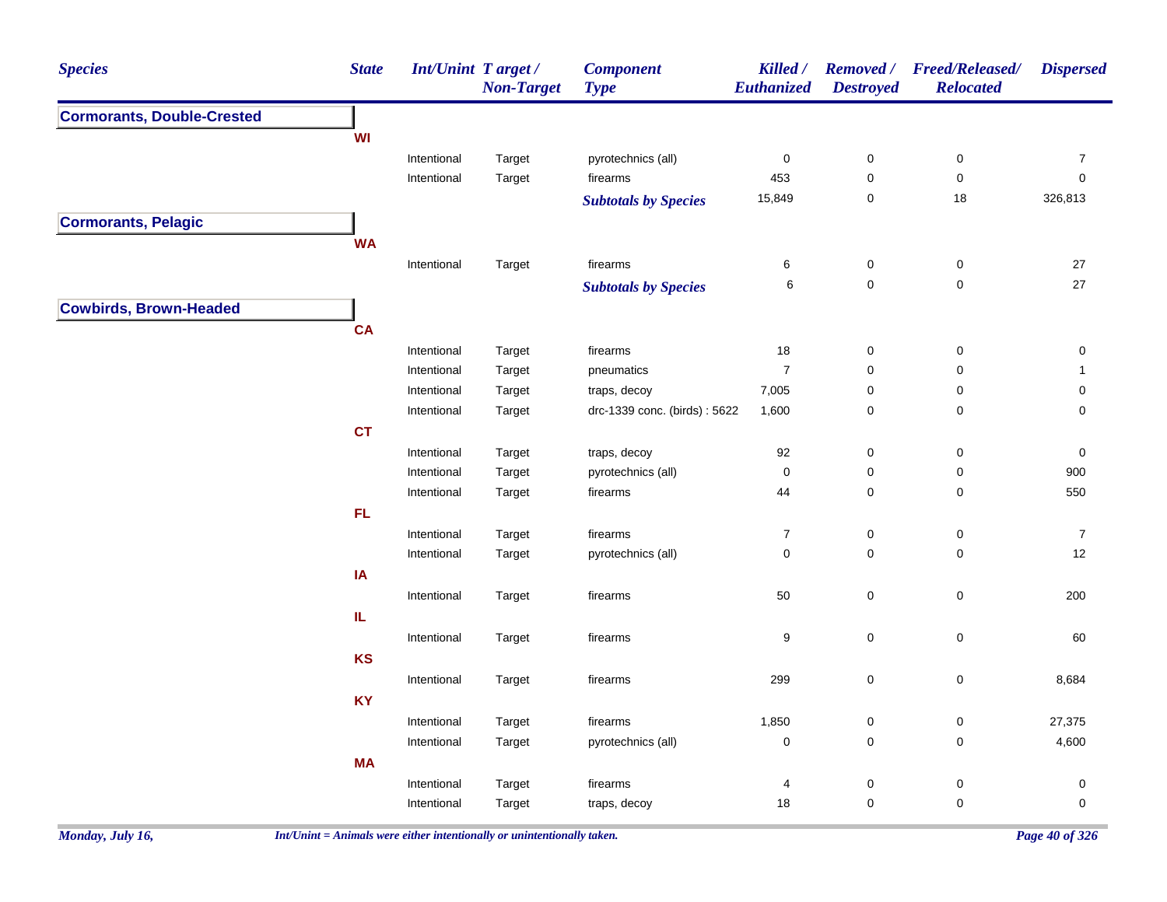| <b>Cormorants, Double-Crested</b><br><b>WI</b><br>Intentional<br>pyrotechnics (all)<br>$\pmb{0}$<br>$\pmb{0}$<br>$\pmb{0}$<br>$\boldsymbol{7}$<br>Target<br>Intentional<br>453<br>$\pmb{0}$<br>$\mathsf 0$<br>$\pmb{0}$<br>Target<br>firearms<br>15,849<br>$\mathbf 0$<br>$18$<br>326,813<br><b>Subtotals by Species</b><br><b>Cormorants, Pelagic</b><br><b>WA</b><br>Intentional<br>Target<br>firearms<br>6<br>$\mathbf 0$<br>$\mathbf 0$<br>27<br>27<br>$\mathsf 0$<br>$\mathbf 0$<br>6<br><b>Subtotals by Species</b><br><b>Cowbirds, Brown-Headed</b><br><b>CA</b><br>Intentional<br>firearms<br>18<br>$\pmb{0}$<br>$\pmb{0}$<br>Target<br>0<br>$\boldsymbol{7}$<br>$\mathsf{O}\xspace$<br>Intentional<br>Target<br>pneumatics<br>0<br>$\mathbf{1}$<br>Intentional<br>traps, decoy<br>7,005<br>$\mathbf 0$<br>0<br>Target<br>0<br>$\pmb{0}$<br>drc-1339 conc. (birds): 5622<br>1,600<br>0<br>$\mathbf 0$<br>Intentional<br>Target<br><b>CT</b><br>Intentional<br>traps, decoy<br>92<br>$\mathbf 0$<br>0<br>0<br>Target<br>pyrotechnics (all)<br>$\pmb{0}$<br>$\mathsf{O}\xspace$<br>900<br>Intentional<br>Target<br>0<br>44<br>$\mathsf{O}\xspace$<br>550<br>Intentional<br>firearms<br>0<br>Target<br>FL<br>$\boldsymbol{7}$<br>$\pmb{0}$<br>$\pmb{0}$<br>$\boldsymbol{7}$<br>Intentional<br>Target<br>firearms<br>$\mathbf 0$<br>$\mathbf 0$<br>12<br>Intentional<br>pyrotechnics (all)<br>0<br>Target<br>IA<br>$\mathbf 0$<br>50<br>$\mathsf 0$<br>200<br>Intentional<br>Target<br>firearms<br>IL.<br>$\mathsf{O}\xspace$<br>$\mathbf 0$<br>Intentional<br>Target<br>firearms<br>9<br>60<br><b>KS</b><br>299<br>$\mathsf 0$<br>$\mathsf 0$<br>8,684<br>Intentional<br>Target<br>firearms<br><b>KY</b><br>27,375<br>Intentional<br>Target<br>firearms<br>1,850<br>0<br>0<br>$\pmb{0}$<br>4,600<br>pyrotechnics (all)<br>$\mathbf 0$<br>0<br>Intentional<br>Target<br><b>MA</b><br>Intentional<br>Target<br>0<br>$\mathbf 0$<br>0<br>firearms<br>4<br>$\mathbf 0$<br>$\mathbf 0$<br>Intentional | <b>Species</b> | <b>State</b> | <b>Int/Unint Target/</b> | <b>Non-Target</b> | <b>Component</b><br><b>Type</b> | Killed /<br>Euthanized | <b>Destroyed</b> | Removed / Freed/Released/<br><b>Relocated</b> | <b>Dispersed</b> |
|-------------------------------------------------------------------------------------------------------------------------------------------------------------------------------------------------------------------------------------------------------------------------------------------------------------------------------------------------------------------------------------------------------------------------------------------------------------------------------------------------------------------------------------------------------------------------------------------------------------------------------------------------------------------------------------------------------------------------------------------------------------------------------------------------------------------------------------------------------------------------------------------------------------------------------------------------------------------------------------------------------------------------------------------------------------------------------------------------------------------------------------------------------------------------------------------------------------------------------------------------------------------------------------------------------------------------------------------------------------------------------------------------------------------------------------------------------------------------------------------------------------------------------------------------------------------------------------------------------------------------------------------------------------------------------------------------------------------------------------------------------------------------------------------------------------------------------------------------------------------------------------------------------------------------------------------------------------------------------------------------------|----------------|--------------|--------------------------|-------------------|---------------------------------|------------------------|------------------|-----------------------------------------------|------------------|
|                                                                                                                                                                                                                                                                                                                                                                                                                                                                                                                                                                                                                                                                                                                                                                                                                                                                                                                                                                                                                                                                                                                                                                                                                                                                                                                                                                                                                                                                                                                                                                                                                                                                                                                                                                                                                                                                                                                                                                                                       |                |              |                          |                   |                                 |                        |                  |                                               |                  |
|                                                                                                                                                                                                                                                                                                                                                                                                                                                                                                                                                                                                                                                                                                                                                                                                                                                                                                                                                                                                                                                                                                                                                                                                                                                                                                                                                                                                                                                                                                                                                                                                                                                                                                                                                                                                                                                                                                                                                                                                       |                |              |                          |                   |                                 |                        |                  |                                               |                  |
|                                                                                                                                                                                                                                                                                                                                                                                                                                                                                                                                                                                                                                                                                                                                                                                                                                                                                                                                                                                                                                                                                                                                                                                                                                                                                                                                                                                                                                                                                                                                                                                                                                                                                                                                                                                                                                                                                                                                                                                                       |                |              |                          |                   |                                 |                        |                  |                                               |                  |
|                                                                                                                                                                                                                                                                                                                                                                                                                                                                                                                                                                                                                                                                                                                                                                                                                                                                                                                                                                                                                                                                                                                                                                                                                                                                                                                                                                                                                                                                                                                                                                                                                                                                                                                                                                                                                                                                                                                                                                                                       |                |              |                          |                   |                                 |                        |                  |                                               |                  |
|                                                                                                                                                                                                                                                                                                                                                                                                                                                                                                                                                                                                                                                                                                                                                                                                                                                                                                                                                                                                                                                                                                                                                                                                                                                                                                                                                                                                                                                                                                                                                                                                                                                                                                                                                                                                                                                                                                                                                                                                       |                |              |                          |                   |                                 |                        |                  |                                               |                  |
|                                                                                                                                                                                                                                                                                                                                                                                                                                                                                                                                                                                                                                                                                                                                                                                                                                                                                                                                                                                                                                                                                                                                                                                                                                                                                                                                                                                                                                                                                                                                                                                                                                                                                                                                                                                                                                                                                                                                                                                                       |                |              |                          |                   |                                 |                        |                  |                                               |                  |
|                                                                                                                                                                                                                                                                                                                                                                                                                                                                                                                                                                                                                                                                                                                                                                                                                                                                                                                                                                                                                                                                                                                                                                                                                                                                                                                                                                                                                                                                                                                                                                                                                                                                                                                                                                                                                                                                                                                                                                                                       |                |              |                          |                   |                                 |                        |                  |                                               |                  |
|                                                                                                                                                                                                                                                                                                                                                                                                                                                                                                                                                                                                                                                                                                                                                                                                                                                                                                                                                                                                                                                                                                                                                                                                                                                                                                                                                                                                                                                                                                                                                                                                                                                                                                                                                                                                                                                                                                                                                                                                       |                |              |                          |                   |                                 |                        |                  |                                               |                  |
|                                                                                                                                                                                                                                                                                                                                                                                                                                                                                                                                                                                                                                                                                                                                                                                                                                                                                                                                                                                                                                                                                                                                                                                                                                                                                                                                                                                                                                                                                                                                                                                                                                                                                                                                                                                                                                                                                                                                                                                                       |                |              |                          |                   |                                 |                        |                  |                                               |                  |
|                                                                                                                                                                                                                                                                                                                                                                                                                                                                                                                                                                                                                                                                                                                                                                                                                                                                                                                                                                                                                                                                                                                                                                                                                                                                                                                                                                                                                                                                                                                                                                                                                                                                                                                                                                                                                                                                                                                                                                                                       |                |              |                          |                   |                                 |                        |                  |                                               |                  |
|                                                                                                                                                                                                                                                                                                                                                                                                                                                                                                                                                                                                                                                                                                                                                                                                                                                                                                                                                                                                                                                                                                                                                                                                                                                                                                                                                                                                                                                                                                                                                                                                                                                                                                                                                                                                                                                                                                                                                                                                       |                |              |                          |                   |                                 |                        |                  |                                               |                  |
|                                                                                                                                                                                                                                                                                                                                                                                                                                                                                                                                                                                                                                                                                                                                                                                                                                                                                                                                                                                                                                                                                                                                                                                                                                                                                                                                                                                                                                                                                                                                                                                                                                                                                                                                                                                                                                                                                                                                                                                                       |                |              |                          |                   |                                 |                        |                  |                                               |                  |
|                                                                                                                                                                                                                                                                                                                                                                                                                                                                                                                                                                                                                                                                                                                                                                                                                                                                                                                                                                                                                                                                                                                                                                                                                                                                                                                                                                                                                                                                                                                                                                                                                                                                                                                                                                                                                                                                                                                                                                                                       |                |              |                          |                   |                                 |                        |                  |                                               |                  |
|                                                                                                                                                                                                                                                                                                                                                                                                                                                                                                                                                                                                                                                                                                                                                                                                                                                                                                                                                                                                                                                                                                                                                                                                                                                                                                                                                                                                                                                                                                                                                                                                                                                                                                                                                                                                                                                                                                                                                                                                       |                |              |                          |                   |                                 |                        |                  |                                               |                  |
|                                                                                                                                                                                                                                                                                                                                                                                                                                                                                                                                                                                                                                                                                                                                                                                                                                                                                                                                                                                                                                                                                                                                                                                                                                                                                                                                                                                                                                                                                                                                                                                                                                                                                                                                                                                                                                                                                                                                                                                                       |                |              |                          |                   |                                 |                        |                  |                                               |                  |
|                                                                                                                                                                                                                                                                                                                                                                                                                                                                                                                                                                                                                                                                                                                                                                                                                                                                                                                                                                                                                                                                                                                                                                                                                                                                                                                                                                                                                                                                                                                                                                                                                                                                                                                                                                                                                                                                                                                                                                                                       |                |              |                          |                   |                                 |                        |                  |                                               |                  |
|                                                                                                                                                                                                                                                                                                                                                                                                                                                                                                                                                                                                                                                                                                                                                                                                                                                                                                                                                                                                                                                                                                                                                                                                                                                                                                                                                                                                                                                                                                                                                                                                                                                                                                                                                                                                                                                                                                                                                                                                       |                |              |                          |                   |                                 |                        |                  |                                               |                  |
|                                                                                                                                                                                                                                                                                                                                                                                                                                                                                                                                                                                                                                                                                                                                                                                                                                                                                                                                                                                                                                                                                                                                                                                                                                                                                                                                                                                                                                                                                                                                                                                                                                                                                                                                                                                                                                                                                                                                                                                                       |                |              |                          |                   |                                 |                        |                  |                                               |                  |
|                                                                                                                                                                                                                                                                                                                                                                                                                                                                                                                                                                                                                                                                                                                                                                                                                                                                                                                                                                                                                                                                                                                                                                                                                                                                                                                                                                                                                                                                                                                                                                                                                                                                                                                                                                                                                                                                                                                                                                                                       |                |              |                          |                   |                                 |                        |                  |                                               |                  |
|                                                                                                                                                                                                                                                                                                                                                                                                                                                                                                                                                                                                                                                                                                                                                                                                                                                                                                                                                                                                                                                                                                                                                                                                                                                                                                                                                                                                                                                                                                                                                                                                                                                                                                                                                                                                                                                                                                                                                                                                       |                |              |                          |                   |                                 |                        |                  |                                               |                  |
|                                                                                                                                                                                                                                                                                                                                                                                                                                                                                                                                                                                                                                                                                                                                                                                                                                                                                                                                                                                                                                                                                                                                                                                                                                                                                                                                                                                                                                                                                                                                                                                                                                                                                                                                                                                                                                                                                                                                                                                                       |                |              |                          |                   |                                 |                        |                  |                                               |                  |
|                                                                                                                                                                                                                                                                                                                                                                                                                                                                                                                                                                                                                                                                                                                                                                                                                                                                                                                                                                                                                                                                                                                                                                                                                                                                                                                                                                                                                                                                                                                                                                                                                                                                                                                                                                                                                                                                                                                                                                                                       |                |              |                          |                   |                                 |                        |                  |                                               |                  |
|                                                                                                                                                                                                                                                                                                                                                                                                                                                                                                                                                                                                                                                                                                                                                                                                                                                                                                                                                                                                                                                                                                                                                                                                                                                                                                                                                                                                                                                                                                                                                                                                                                                                                                                                                                                                                                                                                                                                                                                                       |                |              |                          |                   |                                 |                        |                  |                                               |                  |
|                                                                                                                                                                                                                                                                                                                                                                                                                                                                                                                                                                                                                                                                                                                                                                                                                                                                                                                                                                                                                                                                                                                                                                                                                                                                                                                                                                                                                                                                                                                                                                                                                                                                                                                                                                                                                                                                                                                                                                                                       |                |              |                          |                   |                                 |                        |                  |                                               |                  |
|                                                                                                                                                                                                                                                                                                                                                                                                                                                                                                                                                                                                                                                                                                                                                                                                                                                                                                                                                                                                                                                                                                                                                                                                                                                                                                                                                                                                                                                                                                                                                                                                                                                                                                                                                                                                                                                                                                                                                                                                       |                |              |                          |                   |                                 |                        |                  |                                               |                  |
|                                                                                                                                                                                                                                                                                                                                                                                                                                                                                                                                                                                                                                                                                                                                                                                                                                                                                                                                                                                                                                                                                                                                                                                                                                                                                                                                                                                                                                                                                                                                                                                                                                                                                                                                                                                                                                                                                                                                                                                                       |                |              |                          |                   |                                 |                        |                  |                                               |                  |
|                                                                                                                                                                                                                                                                                                                                                                                                                                                                                                                                                                                                                                                                                                                                                                                                                                                                                                                                                                                                                                                                                                                                                                                                                                                                                                                                                                                                                                                                                                                                                                                                                                                                                                                                                                                                                                                                                                                                                                                                       |                |              |                          |                   |                                 |                        |                  |                                               |                  |
|                                                                                                                                                                                                                                                                                                                                                                                                                                                                                                                                                                                                                                                                                                                                                                                                                                                                                                                                                                                                                                                                                                                                                                                                                                                                                                                                                                                                                                                                                                                                                                                                                                                                                                                                                                                                                                                                                                                                                                                                       |                |              |                          |                   |                                 |                        |                  |                                               |                  |
|                                                                                                                                                                                                                                                                                                                                                                                                                                                                                                                                                                                                                                                                                                                                                                                                                                                                                                                                                                                                                                                                                                                                                                                                                                                                                                                                                                                                                                                                                                                                                                                                                                                                                                                                                                                                                                                                                                                                                                                                       |                |              |                          |                   |                                 |                        |                  |                                               |                  |
|                                                                                                                                                                                                                                                                                                                                                                                                                                                                                                                                                                                                                                                                                                                                                                                                                                                                                                                                                                                                                                                                                                                                                                                                                                                                                                                                                                                                                                                                                                                                                                                                                                                                                                                                                                                                                                                                                                                                                                                                       |                |              |                          |                   |                                 |                        |                  |                                               |                  |
|                                                                                                                                                                                                                                                                                                                                                                                                                                                                                                                                                                                                                                                                                                                                                                                                                                                                                                                                                                                                                                                                                                                                                                                                                                                                                                                                                                                                                                                                                                                                                                                                                                                                                                                                                                                                                                                                                                                                                                                                       |                |              |                          |                   |                                 |                        |                  |                                               |                  |
|                                                                                                                                                                                                                                                                                                                                                                                                                                                                                                                                                                                                                                                                                                                                                                                                                                                                                                                                                                                                                                                                                                                                                                                                                                                                                                                                                                                                                                                                                                                                                                                                                                                                                                                                                                                                                                                                                                                                                                                                       |                |              |                          |                   |                                 |                        |                  |                                               |                  |
|                                                                                                                                                                                                                                                                                                                                                                                                                                                                                                                                                                                                                                                                                                                                                                                                                                                                                                                                                                                                                                                                                                                                                                                                                                                                                                                                                                                                                                                                                                                                                                                                                                                                                                                                                                                                                                                                                                                                                                                                       |                |              |                          |                   |                                 |                        |                  |                                               |                  |
|                                                                                                                                                                                                                                                                                                                                                                                                                                                                                                                                                                                                                                                                                                                                                                                                                                                                                                                                                                                                                                                                                                                                                                                                                                                                                                                                                                                                                                                                                                                                                                                                                                                                                                                                                                                                                                                                                                                                                                                                       |                |              |                          | Target            | traps, decoy                    | 18                     |                  |                                               | $\pmb{0}$        |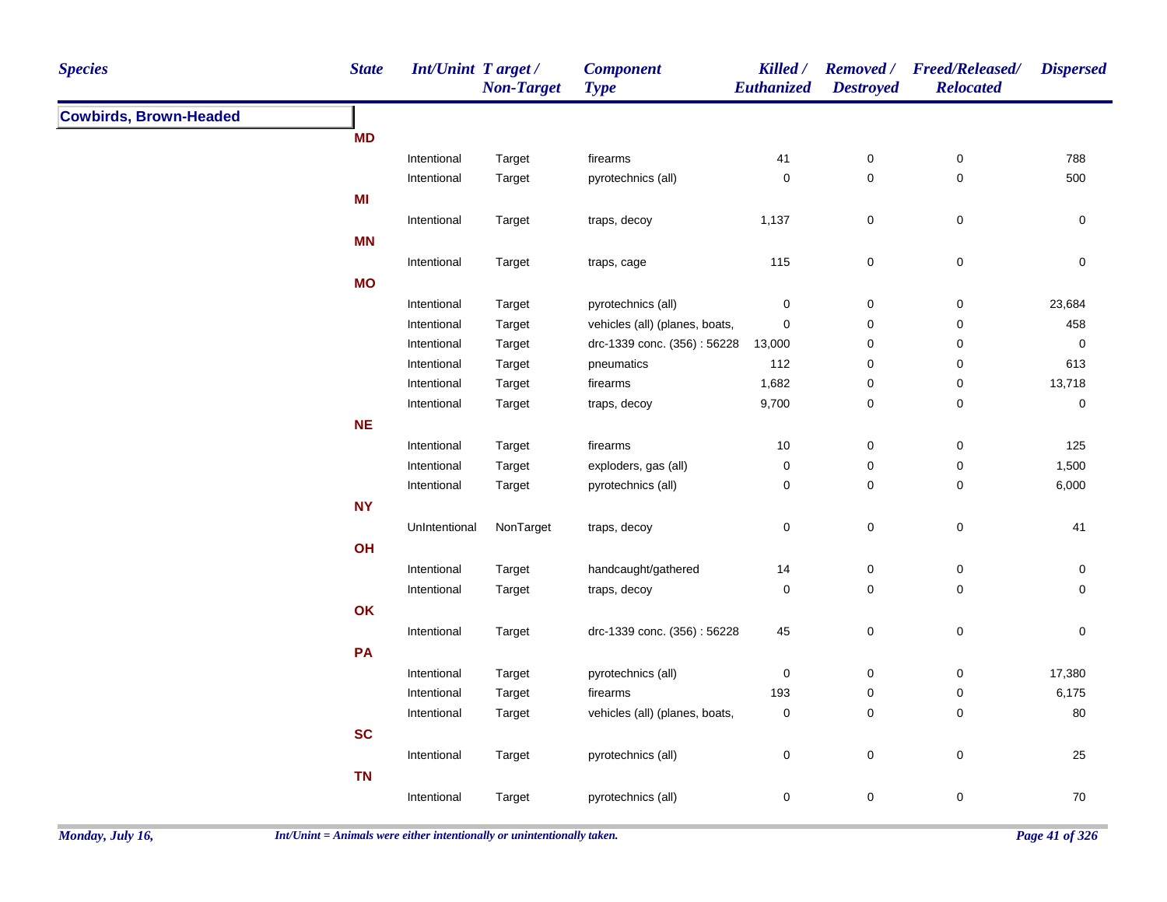| <b>Species</b>                | <b>State</b> | <b>Int/Unint Target/</b> | <b>Non-Target</b> | <b>Component</b><br><b>Type</b> | Killed /<br>Euthanized | <b>Destroyed</b> | Removed / Freed/Released/<br><b>Relocated</b> | <b>Dispersed</b> |
|-------------------------------|--------------|--------------------------|-------------------|---------------------------------|------------------------|------------------|-----------------------------------------------|------------------|
| <b>Cowbirds, Brown-Headed</b> |              |                          |                   |                                 |                        |                  |                                               |                  |
|                               | <b>MD</b>    |                          |                   |                                 |                        |                  |                                               |                  |
|                               |              | Intentional              | Target            | firearms                        | 41                     | $\pmb{0}$        | $\boldsymbol{0}$                              | 788              |
|                               |              | Intentional              | Target            | pyrotechnics (all)              | $\pmb{0}$              | $\pmb{0}$        | $\mathbf 0$                                   | 500              |
|                               | MI           |                          |                   |                                 |                        |                  |                                               |                  |
|                               |              | Intentional              | Target            | traps, decoy                    | 1,137                  | $\pmb{0}$        | $\pmb{0}$                                     | $\pmb{0}$        |
|                               | <b>MN</b>    |                          |                   |                                 |                        |                  |                                               |                  |
|                               |              | Intentional              | Target            | traps, cage                     | 115                    | $\mathsf 0$      | $\pmb{0}$                                     | $\mathbf 0$      |
|                               | <b>MO</b>    |                          |                   |                                 |                        |                  |                                               |                  |
|                               |              | Intentional              | Target            | pyrotechnics (all)              | $\pmb{0}$              | $\pmb{0}$        | $\pmb{0}$                                     | 23,684           |
|                               |              | Intentional              | Target            | vehicles (all) (planes, boats,  | $\pmb{0}$              | $\pmb{0}$        | $\pmb{0}$                                     | 458              |
|                               |              | Intentional              | Target            | drc-1339 conc. (356): 56228     | 13,000                 | 0                | $\boldsymbol{0}$                              | 0                |
|                               |              | Intentional              | Target            | pneumatics                      | 112                    | 0                | $\pmb{0}$                                     | 613              |
|                               |              | Intentional              | Target            | firearms                        | 1,682                  | 0                | $\pmb{0}$                                     | 13,718           |
|                               |              | Intentional              | Target            | traps, decoy                    | 9,700                  | $\pmb{0}$        | $\pmb{0}$                                     | $\pmb{0}$        |
|                               | <b>NE</b>    |                          |                   |                                 |                        |                  |                                               |                  |
|                               |              | Intentional              | Target            | firearms                        | $10\,$                 | $\pmb{0}$        | $\pmb{0}$                                     | 125              |
|                               |              | Intentional              | Target            | exploders, gas (all)            | 0                      | 0                | $\mathbf 0$                                   | 1,500            |
|                               |              | Intentional              | Target            | pyrotechnics (all)              | 0                      | 0                | $\mathbf 0$                                   | 6,000            |
|                               | <b>NY</b>    |                          |                   |                                 |                        |                  |                                               |                  |
|                               |              | UnIntentional            | NonTarget         | traps, decoy                    | $\pmb{0}$              | $\pmb{0}$        | $\mathbf 0$                                   | 41               |
|                               | OH           |                          |                   |                                 |                        |                  |                                               |                  |
|                               |              | Intentional              | Target            | handcaught/gathered             | 14                     | 0                | $\boldsymbol{0}$                              | 0                |
|                               |              | Intentional              | Target            | traps, decoy                    | 0                      | $\mathsf 0$      | $\pmb{0}$                                     | $\mathbf 0$      |
|                               | OK           |                          |                   |                                 |                        |                  |                                               |                  |
|                               |              | Intentional              | Target            | drc-1339 conc. (356): 56228     | 45                     | 0                | $\mathbf 0$                                   | 0                |
|                               | PA           |                          |                   |                                 |                        |                  |                                               |                  |
|                               |              | Intentional              | Target            | pyrotechnics (all)              | 0                      | 0                | $\mathbf 0$                                   | 17,380           |
|                               |              | Intentional              | Target            | firearms                        | 193                    | 0                | $\mathbf 0$                                   | 6,175            |
|                               |              | Intentional              | Target            | vehicles (all) (planes, boats,  | $\pmb{0}$              | $\mathbf 0$      | $\mathbf 0$                                   | 80               |
|                               | <b>SC</b>    |                          |                   |                                 |                        |                  |                                               |                  |
|                               |              | Intentional              | Target            | pyrotechnics (all)              | $\pmb{0}$              | $\pmb{0}$        | $\pmb{0}$                                     | 25               |
|                               | <b>TN</b>    |                          |                   |                                 |                        |                  |                                               |                  |
|                               |              |                          |                   |                                 |                        |                  |                                               | 70               |
|                               |              | Intentional              | Target            | pyrotechnics (all)              | 0                      | $\mathsf 0$      | $\pmb{0}$                                     |                  |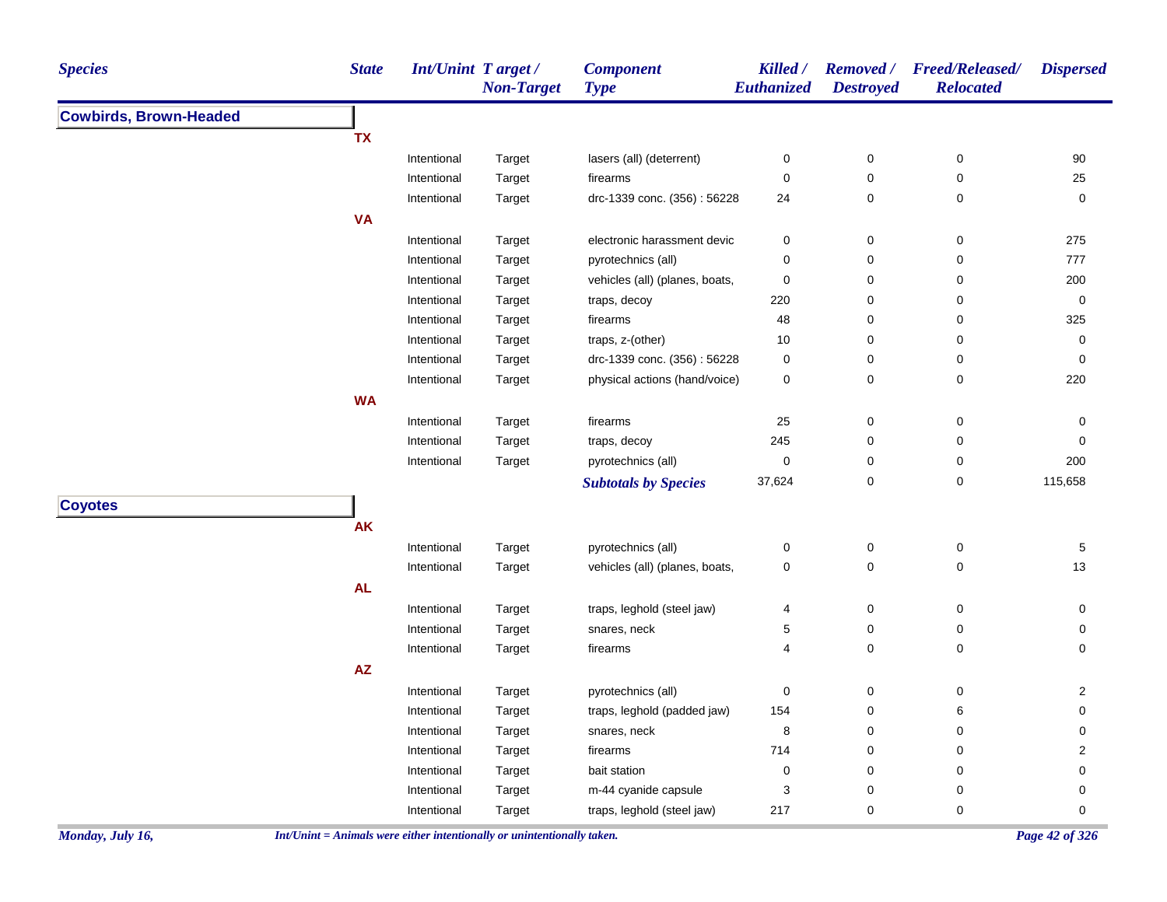|                               | Int/Unint Target/<br><b>Non-Target</b> | <b>Component</b><br><b>Type</b> | Killed /<br>Euthanized | <b>Destroyed</b> | Removed / Freed/Released/<br><b>Relocated</b> | <b>Dispersed</b> |
|-------------------------------|----------------------------------------|---------------------------------|------------------------|------------------|-----------------------------------------------|------------------|
| <b>Cowbirds, Brown-Headed</b> |                                        |                                 |                        |                  |                                               |                  |
| <b>TX</b>                     |                                        |                                 |                        |                  |                                               |                  |
| Intentional                   | Target                                 | lasers (all) (deterrent)        | $\pmb{0}$              | $\pmb{0}$        | $\pmb{0}$                                     | 90               |
| Intentional                   | Target                                 | firearms                        | $\mathbf 0$            | 0                | $\pmb{0}$                                     | 25               |
| Intentional                   | Target                                 | drc-1339 conc. (356): 56228     | 24                     | $\pmb{0}$        | 0                                             | $\pmb{0}$        |
| <b>VA</b>                     |                                        |                                 |                        |                  |                                               |                  |
| Intentional                   | Target                                 | electronic harassment devic     | $\boldsymbol{0}$       | 0                | 0                                             | 275              |
| Intentional                   | Target                                 | pyrotechnics (all)              | $\pmb{0}$              | 0                | $\pmb{0}$                                     | 777              |
| Intentional                   | Target                                 | vehicles (all) (planes, boats,  | $\pmb{0}$              | 0                | 0                                             | 200              |
| Intentional                   | Target                                 | traps, decoy                    | 220                    | 0                | 0                                             | $\pmb{0}$        |
| Intentional                   | Target                                 | firearms                        | 48                     | 0                | 0                                             | 325              |
| Intentional                   | Target                                 | traps, z-(other)                | 10                     | 0                | 0                                             | $\pmb{0}$        |
| Intentional                   | Target                                 | drc-1339 conc. (356): 56228     | 0                      | 0                | 0                                             | 0                |
| Intentional                   | Target                                 | physical actions (hand/voice)   | 0                      | $\pmb{0}$        | 0                                             | 220              |
| <b>WA</b>                     |                                        |                                 |                        |                  |                                               |                  |
| Intentional                   | Target                                 | firearms                        | 25                     | 0                | 0                                             | 0                |
| Intentional                   | Target                                 | traps, decoy                    | 245                    | $\mathbf 0$      | 0                                             | 0                |
| Intentional                   | Target                                 | pyrotechnics (all)              | $\pmb{0}$              | 0                | 0                                             | 200              |
|                               |                                        | <b>Subtotals by Species</b>     | 37,624                 | 0                | 0                                             | 115,658          |
| <b>Coyotes</b>                |                                        |                                 |                        |                  |                                               |                  |
| <b>AK</b>                     |                                        |                                 |                        |                  |                                               |                  |
| Intentional                   | Target                                 | pyrotechnics (all)              | $\pmb{0}$              | $\pmb{0}$        | $\pmb{0}$                                     | $\,$ 5 $\,$      |
| Intentional                   | Target                                 | vehicles (all) (planes, boats,  | $\pmb{0}$              | $\pmb{0}$        | $\pmb{0}$                                     | 13               |
| <b>AL</b>                     |                                        |                                 |                        |                  |                                               |                  |
| Intentional                   | Target                                 | traps, leghold (steel jaw)      | 4                      | $\pmb{0}$        | 0                                             | 0                |
| Intentional                   | Target                                 | snares, neck                    | $\mathbf 5$            | 0                | 0                                             | 0                |
| Intentional                   | Target                                 | firearms                        | $\overline{4}$         | $\pmb{0}$        | 0                                             | 0                |
| AZ                            |                                        |                                 |                        |                  |                                               |                  |
| Intentional                   | Target                                 | pyrotechnics (all)              | 0                      | $\pmb{0}$        | 0                                             | 2                |
| Intentional                   |                                        | traps, leghold (padded jaw)     | 154                    | 0                | 6                                             | 0                |
| Intentional                   | Target<br>Target                       | snares, neck                    | 8                      | 0                | 0                                             | 0                |
| Intentional                   | Target                                 | firearms                        | 714                    | 0                | 0                                             | $\overline{2}$   |
| Intentional                   | Target                                 | bait station                    | $\mathbf 0$            | 0                | 0                                             | $\pmb{0}$        |
| Intentional                   | Target                                 | m-44 cyanide capsule            | 3                      | 0                | 0                                             | $\mathbf 0$      |
| Intentional                   | Target                                 | traps, leghold (steel jaw)      | 217                    | 0                | 0                                             | 0                |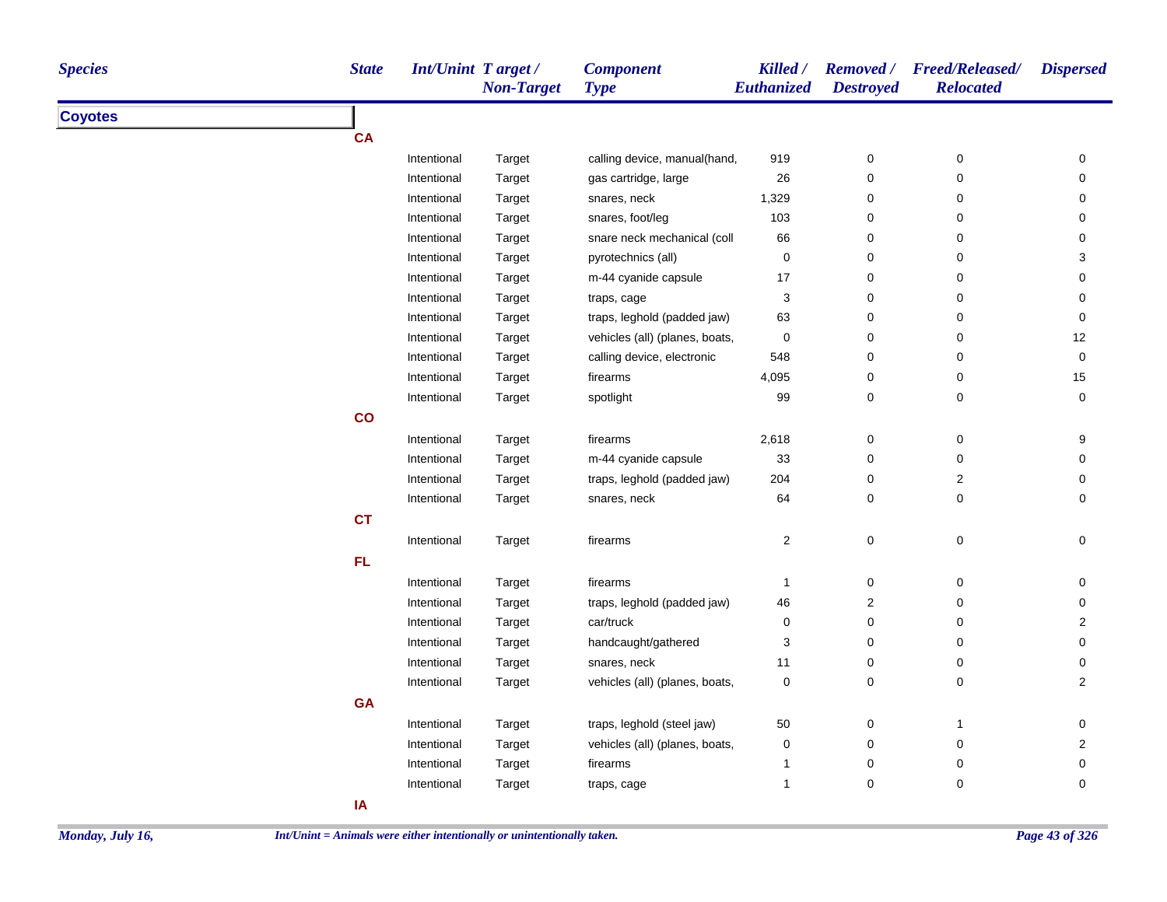| <b>Species</b> | <b>State</b> | <b>Int/Unint Target/</b> | <b>Non-Target</b> | <b>Component</b><br><b>Type</b> | Killed /<br><b>Euthanized</b> | <b>Destroyed</b> | Removed / Freed/Released/<br><b>Relocated</b> | <b>Dispersed</b>        |
|----------------|--------------|--------------------------|-------------------|---------------------------------|-------------------------------|------------------|-----------------------------------------------|-------------------------|
| <b>Coyotes</b> |              |                          |                   |                                 |                               |                  |                                               |                         |
|                | <b>CA</b>    |                          |                   |                                 |                               |                  |                                               |                         |
|                |              | Intentional              | Target            | calling device, manual(hand,    | 919                           | $\pmb{0}$        | $\pmb{0}$                                     | $\mathsf{O}\xspace$     |
|                |              | Intentional              | Target            | gas cartridge, large            | 26                            | 0                | 0                                             | 0                       |
|                |              | Intentional              | Target            | snares, neck                    | 1,329                         | 0                | 0                                             | 0                       |
|                |              | Intentional              | Target            | snares, foot/leg                | 103                           | 0                | 0                                             | 0                       |
|                |              | Intentional              | Target            | snare neck mechanical (coll     | 66                            | 0                | 0                                             | $\mathbf 0$             |
|                |              | Intentional              | Target            | pyrotechnics (all)              | 0                             | 0                | 0                                             | 3                       |
|                |              | Intentional              | Target            | m-44 cyanide capsule            | 17                            | 0                | 0                                             | 0                       |
|                |              | Intentional              | Target            | traps, cage                     | 3                             | 0                | 0                                             | 0                       |
|                |              | Intentional              | Target            | traps, leghold (padded jaw)     | 63                            | 0                | 0                                             | 0                       |
|                |              | Intentional              | Target            | vehicles (all) (planes, boats,  | 0                             | 0                | 0                                             | 12                      |
|                |              | Intentional              | Target            | calling device, electronic      | 548                           | 0                | 0                                             | 0                       |
|                |              | Intentional              | Target            | firearms                        | 4,095                         | 0                | 0                                             | 15                      |
|                |              | Intentional              | Target            | spotlight                       | 99                            | 0                | 0                                             | $\mathbf 0$             |
|                | co           |                          |                   |                                 |                               |                  |                                               |                         |
|                |              | Intentional              | Target            | firearms                        | 2,618                         | 0                | 0                                             | 9                       |
|                |              | Intentional              | Target            | m-44 cyanide capsule            | $33\,$                        | 0                | 0                                             | 0                       |
|                |              | Intentional              | Target            | traps, leghold (padded jaw)     | 204                           | 0                | $\overline{\mathbf{c}}$                       | 0                       |
|                |              | Intentional              | Target            | snares, neck                    | 64                            | 0                | $\pmb{0}$                                     | 0                       |
|                | <b>CT</b>    |                          |                   |                                 |                               |                  |                                               |                         |
|                |              | Intentional              | Target            | firearms                        | $\overline{\mathbf{c}}$       | 0                | $\mathsf 0$                                   | $\pmb{0}$               |
|                | FL.          |                          |                   |                                 |                               |                  |                                               |                         |
|                |              | Intentional              | Target            | firearms                        | 1                             | 0                | 0                                             | $\pmb{0}$               |
|                |              | Intentional              | Target            | traps, leghold (padded jaw)     | 46                            | 2                | 0                                             | 0                       |
|                |              | Intentional              | Target            | car/truck                       | 0                             | 0                | $\pmb{0}$                                     | $\mathbf 2$             |
|                |              | Intentional              | Target            | handcaught/gathered             | 3                             | 0                | $\pmb{0}$                                     | 0                       |
|                |              | Intentional              | Target            | snares, neck                    | 11                            | 0                | 0                                             | 0                       |
|                |              | Intentional              | Target            | vehicles (all) (planes, boats,  | 0                             | 0                | 0                                             | $\overline{\mathbf{c}}$ |
|                | <b>GA</b>    |                          |                   |                                 |                               |                  |                                               |                         |
|                |              | Intentional              |                   | traps, leghold (steel jaw)      | 50                            | 0                | $\mathbf{1}$                                  | $\pmb{0}$               |
|                |              | Intentional              | Target            | vehicles (all) (planes, boats,  | 0                             | 0                | 0                                             | $\overline{\mathbf{c}}$ |
|                |              |                          | Target            |                                 | 1                             |                  |                                               |                         |
|                |              | Intentional              | Target            | firearms                        |                               | 0                | $\pmb{0}$                                     | 0                       |
|                |              | Intentional              | Target            | traps, cage                     | 1                             | 0                | $\pmb{0}$                                     | 0                       |
|                | IA           |                          |                   |                                 |                               |                  |                                               |                         |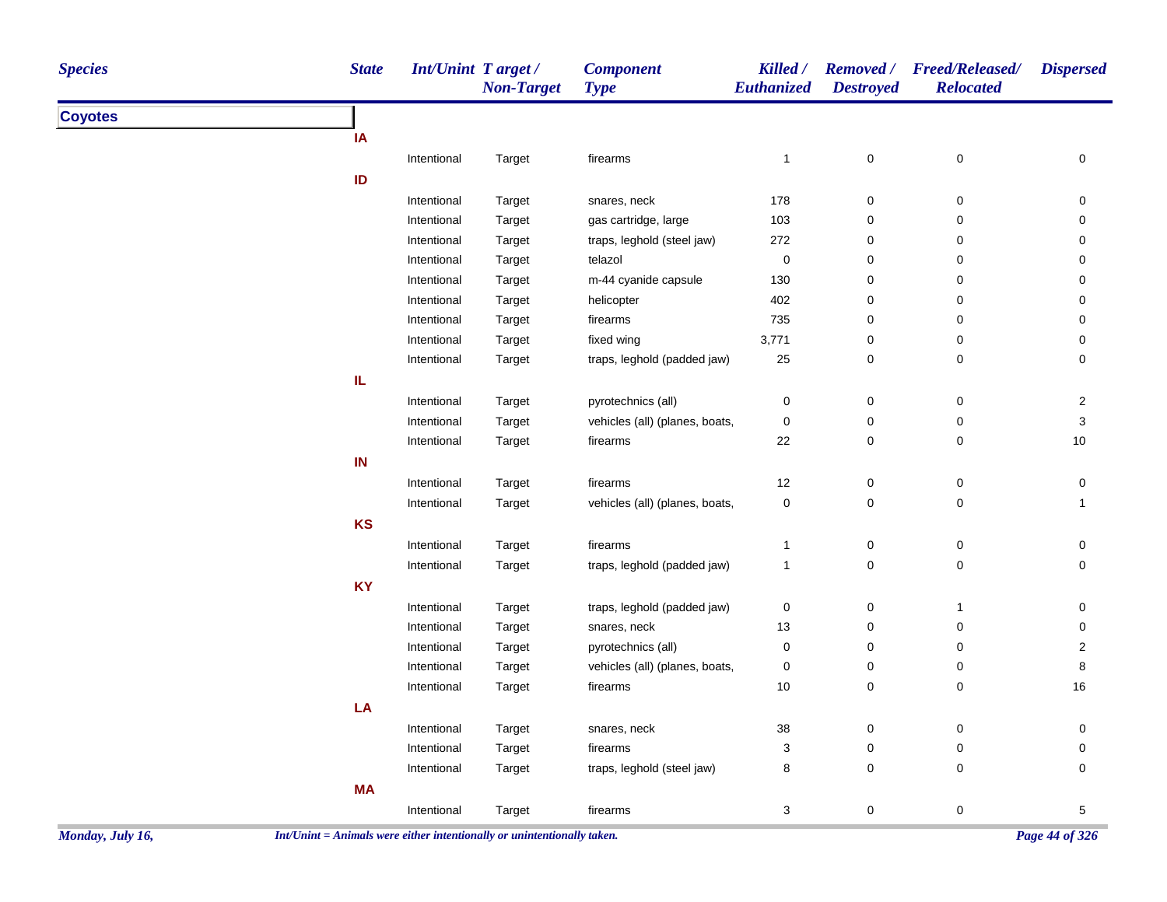| <b>Species</b> | <b>State</b> | Int/Unint Target/ | <b>Non-Target</b> | <b>Component</b><br><b>Type</b> | Killed /<br>Euthanized | <b>Removed</b> /<br><b>Destroyed</b> | <b>Freed/Released/</b><br><b>Relocated</b> | <b>Dispersed</b> |
|----------------|--------------|-------------------|-------------------|---------------------------------|------------------------|--------------------------------------|--------------------------------------------|------------------|
| <b>Coyotes</b> |              |                   |                   |                                 |                        |                                      |                                            |                  |
|                | IA           |                   |                   |                                 |                        |                                      |                                            |                  |
|                |              | Intentional       | Target            | firearms                        | $\mathbf{1}$           | 0                                    | 0                                          | 0                |
|                | ID           |                   |                   |                                 |                        |                                      |                                            |                  |
|                |              | Intentional       | Target            | snares, neck                    | 178                    | 0                                    | 0                                          | 0                |
|                |              | Intentional       | Target            | gas cartridge, large            | 103                    | 0                                    | 0                                          | 0                |
|                |              | Intentional       | Target            | traps, leghold (steel jaw)      | 272                    | 0                                    | 0                                          | 0                |
|                |              | Intentional       | Target            | telazol                         | $\pmb{0}$              | 0                                    | 0                                          | 0                |
|                |              | Intentional       | Target            | m-44 cyanide capsule            | 130                    | 0                                    | 0                                          | 0                |
|                |              | Intentional       | Target            | helicopter                      | 402                    | 0                                    | 0                                          | 0                |
|                |              | Intentional       | Target            | firearms                        | 735                    | 0                                    | 0                                          | 0                |
|                |              | Intentional       | Target            | fixed wing                      | 3,771                  | 0                                    | 0                                          | 0                |
|                |              | Intentional       | Target            | traps, leghold (padded jaw)     | 25                     | 0                                    | 0                                          | 0                |
|                | IL.          |                   |                   |                                 |                        |                                      |                                            |                  |
|                |              | Intentional       | Target            | pyrotechnics (all)              | 0                      | 0                                    | 0                                          | $\overline{2}$   |
|                |              | Intentional       | Target            | vehicles (all) (planes, boats,  | 0                      | 0                                    | 0                                          | 3                |
|                |              | Intentional       | Target            | firearms                        | 22                     | 0                                    | 0                                          | $10$             |
|                | IN           |                   |                   |                                 |                        |                                      |                                            |                  |
|                |              | Intentional       | Target            | firearms                        | 12                     | 0                                    | 0                                          | 0                |
|                |              | Intentional       | Target            | vehicles (all) (planes, boats,  | 0                      | 0                                    | 0                                          | $\mathbf{1}$     |
|                | KS           |                   |                   |                                 |                        |                                      |                                            |                  |
|                |              | Intentional       | Target            | firearms                        | 1                      | 0                                    | 0                                          | 0                |
|                |              | Intentional       | Target            | traps, leghold (padded jaw)     | 1                      | 0                                    | 0                                          | 0                |
|                | <b>KY</b>    |                   |                   |                                 |                        |                                      |                                            |                  |
|                |              | Intentional       | Target            | traps, leghold (padded jaw)     | 0                      | 0                                    | $\mathbf{1}$                               | 0                |
|                |              | Intentional       | Target            | snares, neck                    | 13                     | 0                                    | 0                                          | 0                |
|                |              | Intentional       | Target            | pyrotechnics (all)              | 0                      | 0                                    | 0                                          | 2                |
|                |              | Intentional       | Target            | vehicles (all) (planes, boats,  | 0                      | 0                                    | 0                                          | 8                |
|                |              | Intentional       | Target            | firearms                        | 10                     | 0                                    | 0                                          | 16               |
|                | LA           |                   |                   |                                 |                        |                                      |                                            |                  |
|                |              | Intentional       | Target            | snares, neck                    | $38\,$                 | $\pmb{0}$                            | 0                                          | 0                |
|                |              | Intentional       | Target            | firearms                        | 3                      | 0                                    | 0                                          | 0                |
|                |              | Intentional       | Target            | traps, leghold (steel jaw)      | 8                      | $\pmb{0}$                            | 0                                          | 0                |
|                | <b>MA</b>    |                   |                   |                                 |                        |                                      |                                            |                  |
|                |              | Intentional       | Target            | firearms                        | 3                      | $\pmb{0}$                            | $\pmb{0}$                                  | 5                |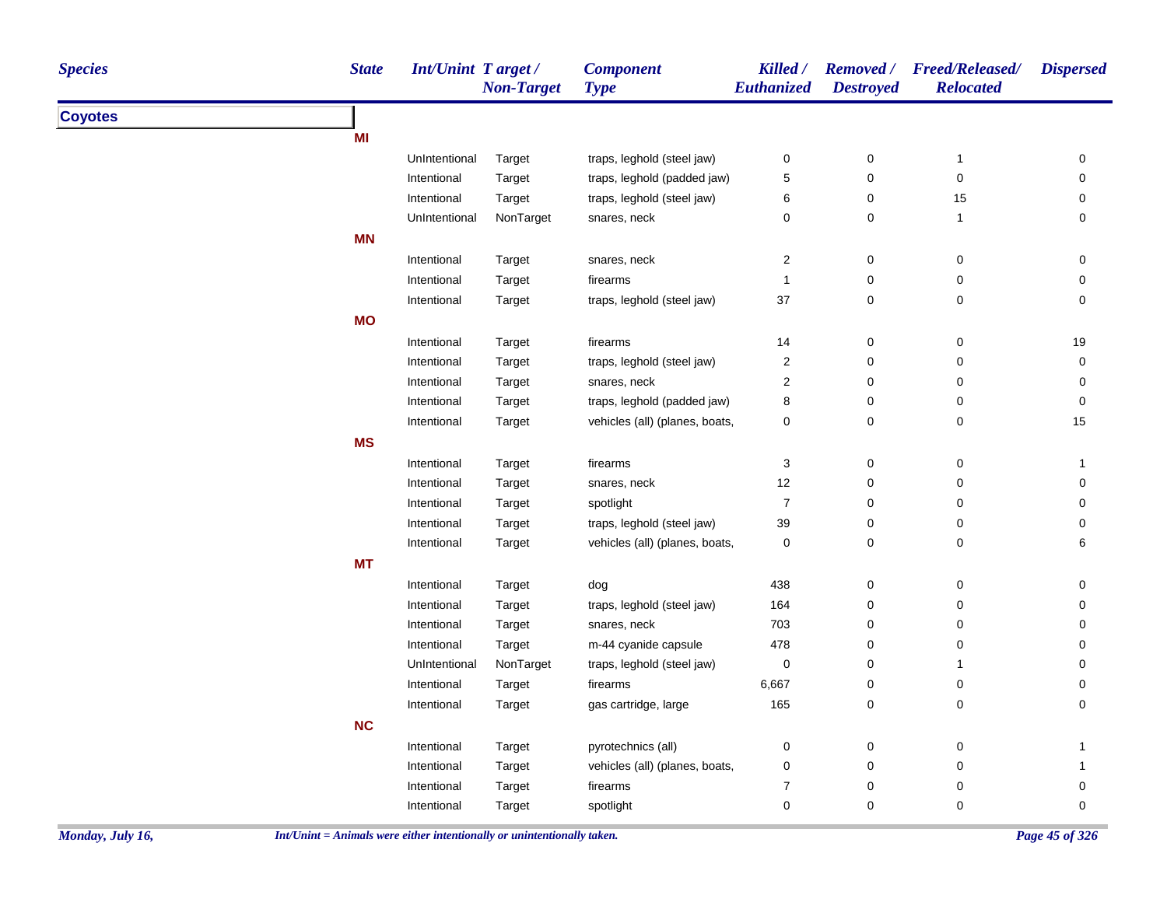| <b>Species</b> | <b>State</b> | <b>Int/Unint Target/</b> | <b>Non-Target</b> | <b>Component</b><br><b>Type</b> | Killed /<br>Euthanized    | <b>Removed</b> /<br><b>Destroyed</b> | <b>Freed/Released/</b><br><b>Relocated</b> | <b>Dispersed</b>    |
|----------------|--------------|--------------------------|-------------------|---------------------------------|---------------------------|--------------------------------------|--------------------------------------------|---------------------|
| <b>Coyotes</b> |              |                          |                   |                                 |                           |                                      |                                            |                     |
|                | ΜI           |                          |                   |                                 |                           |                                      |                                            |                     |
|                |              | UnIntentional            | Target            | traps, leghold (steel jaw)      | $\pmb{0}$                 | $\pmb{0}$                            | $\mathbf{1}$                               | 0                   |
|                |              | Intentional              | Target            | traps, leghold (padded jaw)     | 5                         | $\pmb{0}$                            | $\mathbf 0$                                | 0                   |
|                |              | Intentional              | Target            | traps, leghold (steel jaw)      | 6                         | $\pmb{0}$                            | 15                                         | 0                   |
|                |              | UnIntentional            | NonTarget         | snares, neck                    | $\mathbf 0$               | $\mathbf 0$                          | $\mathbf{1}$                               | $\mathbf 0$         |
|                | <b>MN</b>    |                          |                   |                                 |                           |                                      |                                            |                     |
|                |              | Intentional              | Target            | snares, neck                    | $\overline{c}$            | $\pmb{0}$                            | $\mathbf 0$                                | 0                   |
|                |              | Intentional              | Target            | firearms                        | $\mathbf{1}$              | $\pmb{0}$                            | $\mathbf 0$                                | 0                   |
|                |              | Intentional              | Target            | traps, leghold (steel jaw)      | 37                        | $\pmb{0}$                            | $\mathbf 0$                                | $\mathsf{O}\xspace$ |
|                | <b>MO</b>    |                          |                   |                                 |                           |                                      |                                            |                     |
|                |              | Intentional              | Target            | firearms                        | 14                        | $\pmb{0}$                            | 0                                          | $19$                |
|                |              | Intentional              | Target            | traps, leghold (steel jaw)      | $\overline{\mathbf{c}}$   | $\pmb{0}$                            | $\mathbf 0$                                | 0                   |
|                |              | Intentional              | Target            | snares, neck                    | $\sqrt{2}$                | $\pmb{0}$                            | 0                                          | 0                   |
|                |              | Intentional              | Target            | traps, leghold (padded jaw)     | 8                         | $\pmb{0}$                            | $\pmb{0}$                                  | $\mathsf{O}\xspace$ |
|                |              | Intentional              | Target            | vehicles (all) (planes, boats,  | $\pmb{0}$                 | $\pmb{0}$                            | $\mathbf 0$                                | 15                  |
|                | <b>MS</b>    |                          |                   |                                 |                           |                                      |                                            |                     |
|                |              | Intentional              | Target            | firearms                        | $\ensuremath{\mathsf{3}}$ | $\pmb{0}$                            | $\pmb{0}$                                  | $\mathbf{1}$        |
|                |              | Intentional              | Target            | snares, neck                    | 12                        | $\pmb{0}$                            | $\pmb{0}$                                  | 0                   |
|                |              | Intentional              | Target            | spotlight                       | $\overline{7}$            | $\mathbf 0$                          | $\mathbf 0$                                | 0                   |
|                |              | Intentional              | Target            | traps, leghold (steel jaw)      | 39                        | $\mathbf 0$                          | 0                                          | 0                   |
|                |              | Intentional              | Target            | vehicles (all) (planes, boats,  | $\mathbf 0$               | $\mathbf 0$                          | 0                                          | 6                   |
|                | <b>MT</b>    |                          |                   |                                 |                           |                                      |                                            |                     |
|                |              | Intentional              | Target            | dog                             | 438                       | $\pmb{0}$                            | $\mathbf 0$                                | 0                   |
|                |              | Intentional              | Target            | traps, leghold (steel jaw)      | 164                       | $\pmb{0}$                            | $\mathbf 0$                                | 0                   |
|                |              | Intentional              | Target            | snares, neck                    | 703                       | $\pmb{0}$                            | 0                                          | 0                   |
|                |              | Intentional              | Target            | m-44 cyanide capsule            | 478                       | $\pmb{0}$                            | 0                                          | 0                   |
|                |              | UnIntentional            | NonTarget         | traps, leghold (steel jaw)      | $\mathbf 0$               | $\pmb{0}$                            | $\mathbf{1}$                               | 0                   |
|                |              | Intentional              | Target            | firearms                        | 6,667                     | $\pmb{0}$                            | $\mathbf 0$                                | 0                   |
|                |              | Intentional              | Target            | gas cartridge, large            | 165                       | $\pmb{0}$                            | $\pmb{0}$                                  | 0                   |
|                | NC           |                          |                   |                                 |                           |                                      |                                            |                     |
|                |              | Intentional              | Target            | pyrotechnics (all)              | $\pmb{0}$                 | 0                                    | 0                                          | $\mathbf{1}$        |
|                |              | Intentional              | Target            | vehicles (all) (planes, boats,  | $\pmb{0}$                 | $\pmb{0}$                            | $\mathbf 0$                                | 1                   |
|                |              | Intentional              | Target            | firearms                        | $\boldsymbol{7}$          | $\pmb{0}$                            | $\pmb{0}$                                  | $\mathsf{O}\xspace$ |
|                |              | Intentional              | Target            | spotlight                       | $\mathbf 0$               | $\mathbf 0$                          | 0                                          | 0                   |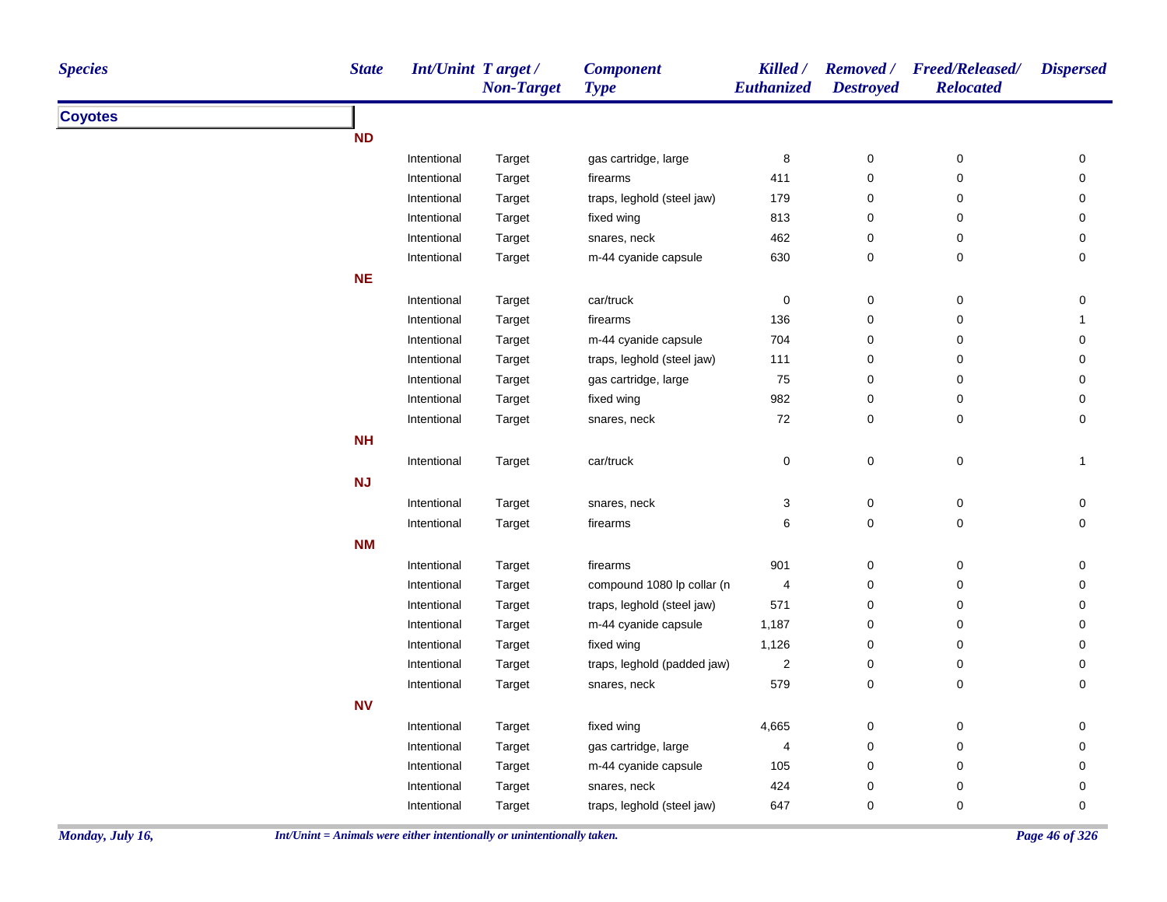| <b>Species</b>   | <b>State</b>                                                             | <b>Int/Unint Target/</b> | <b>Non-Target</b> | <b>Component</b><br><b>Type</b> | Killed /<br>Euthanized  | <b>Destroyed</b> | Removed / Freed/Released/<br><b>Relocated</b> | <b>Dispersed</b> |
|------------------|--------------------------------------------------------------------------|--------------------------|-------------------|---------------------------------|-------------------------|------------------|-----------------------------------------------|------------------|
| <b>Coyotes</b>   |                                                                          |                          |                   |                                 |                         |                  |                                               |                  |
|                  | <b>ND</b>                                                                |                          |                   |                                 |                         |                  |                                               |                  |
|                  |                                                                          | Intentional              | Target            | gas cartridge, large            | 8                       | 0                | 0                                             | 0                |
|                  |                                                                          | Intentional              | Target            | firearms                        | 411                     | 0                | 0                                             | 0                |
|                  |                                                                          | Intentional              | Target            | traps, leghold (steel jaw)      | 179                     | 0                | 0                                             | 0                |
|                  |                                                                          | Intentional              | Target            | fixed wing                      | 813                     | 0                | 0                                             | 0                |
|                  |                                                                          | Intentional              | Target            | snares, neck                    | 462                     | 0                | 0                                             | 0                |
|                  |                                                                          | Intentional              | Target            | m-44 cyanide capsule            | 630                     | 0                | 0                                             | 0                |
|                  | <b>NE</b>                                                                |                          |                   |                                 |                         |                  |                                               |                  |
|                  |                                                                          | Intentional              | Target            | car/truck                       | 0                       | 0                | 0                                             | 0                |
|                  |                                                                          | Intentional              | Target            | firearms                        | 136                     | 0                | 0                                             |                  |
|                  |                                                                          | Intentional              | Target            | m-44 cyanide capsule            | 704                     | 0                | 0                                             | 0                |
|                  |                                                                          | Intentional              | Target            | traps, leghold (steel jaw)      | 111                     | 0                | 0                                             | 0                |
|                  |                                                                          | Intentional              | Target            | gas cartridge, large            | 75                      | 0                | 0                                             | 0                |
|                  |                                                                          | Intentional              | Target            | fixed wing                      | 982                     | 0                | 0                                             | 0                |
|                  |                                                                          | Intentional              | Target            | snares, neck                    | 72                      | 0                | 0                                             | 0                |
|                  | <b>NH</b>                                                                |                          |                   |                                 |                         |                  |                                               |                  |
|                  |                                                                          | Intentional              | Target            | car/truck                       | 0                       | 0                | $\pmb{0}$                                     | $\mathbf{1}$     |
|                  | NJ                                                                       |                          |                   |                                 |                         |                  |                                               |                  |
|                  |                                                                          | Intentional              | Target            | snares, neck                    | 3                       | 0                | 0                                             | 0                |
|                  |                                                                          | Intentional              | Target            | firearms                        | 6                       | 0                | 0                                             | 0                |
|                  | <b>NM</b>                                                                |                          |                   |                                 |                         |                  |                                               |                  |
|                  |                                                                          | Intentional              | Target            | firearms                        | 901                     | 0                | 0                                             | 0                |
|                  |                                                                          | Intentional              | Target            | compound 1080 lp collar (n      | 4                       | 0                | 0                                             | 0                |
|                  |                                                                          | Intentional              | Target            | traps, leghold (steel jaw)      | 571                     | 0                | 0                                             | 0                |
|                  |                                                                          | Intentional              | Target            | m-44 cyanide capsule            | 1,187                   | 0                | 0                                             | 0                |
|                  |                                                                          | Intentional              | Target            | fixed wing                      | 1,126                   | 0                | 0                                             | 0                |
|                  |                                                                          | Intentional              | Target            | traps, leghold (padded jaw)     | $\overline{\mathbf{c}}$ | 0                | 0                                             | 0                |
|                  |                                                                          | Intentional              | Target            | snares, neck                    | 579                     | 0                | 0                                             | 0                |
|                  | <b>NV</b>                                                                |                          |                   |                                 |                         |                  |                                               |                  |
|                  |                                                                          | Intentional              | Target            | fixed wing                      | 4,665                   | 0                | 0                                             | 0                |
|                  |                                                                          | Intentional              | Target            | gas cartridge, large            | 4                       | 0                | 0                                             | 0                |
|                  |                                                                          | Intentional              | Target            | m-44 cyanide capsule            | 105                     | 0                | 0                                             | 0                |
|                  |                                                                          | Intentional              | Target            | snares, neck                    | 424                     | 0                | 0                                             | 0                |
|                  |                                                                          | Intentional              | Target            | traps, leghold (steel jaw)      | 647                     | 0                | 0                                             | 0                |
| Monday, July 16, | $Int/Unit = Animals$ were either intentionally or unintentionally taken. |                          |                   |                                 |                         |                  |                                               | Page 46 of 326   |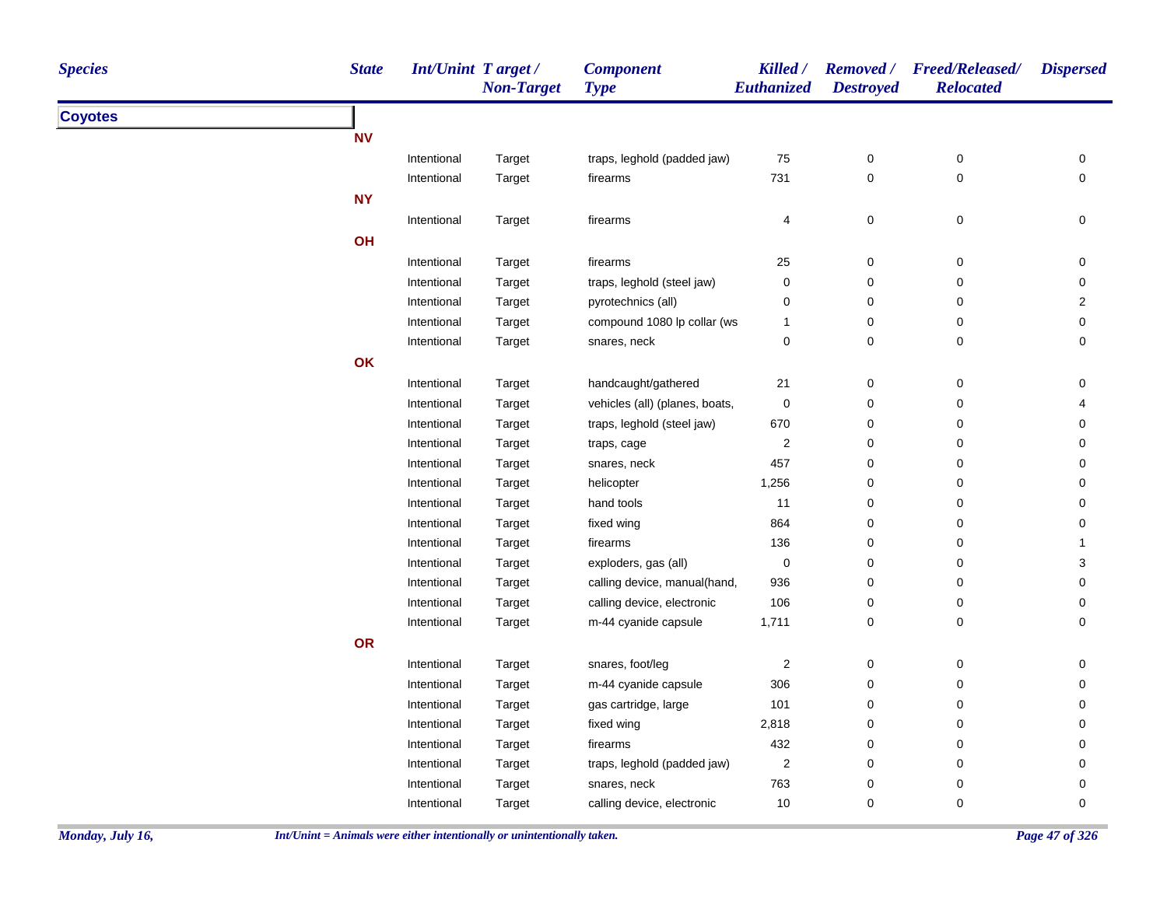| <b>Species</b> | <b>State</b>   | <b>Int/Unint Target/</b> | <b>Non-Target</b> | <b>Component</b><br><b>Type</b> | Killed /<br><b>Euthanized</b> | <b>Removed</b> /<br><b>Destroyed</b> | <b>Freed/Released/</b><br><b>Relocated</b> | <b>Dispersed</b>    |
|----------------|----------------|--------------------------|-------------------|---------------------------------|-------------------------------|--------------------------------------|--------------------------------------------|---------------------|
| <b>Coyotes</b> |                |                          |                   |                                 |                               |                                      |                                            |                     |
|                | N <sub>V</sub> |                          |                   |                                 |                               |                                      |                                            |                     |
|                |                | Intentional              | Target            | traps, leghold (padded jaw)     | 75                            | 0                                    | 0                                          | 0                   |
|                |                | Intentional              | Target            | firearms                        | 731                           | 0                                    | 0                                          | $\mathsf 0$         |
|                | <b>NY</b>      |                          |                   |                                 |                               |                                      |                                            |                     |
|                |                | Intentional              | Target            | firearms                        | 4                             | $\pmb{0}$                            | $\pmb{0}$                                  | $\mathsf{O}\xspace$ |
|                | OH             |                          |                   |                                 |                               |                                      |                                            |                     |
|                |                | Intentional              | Target            | firearms                        | 25                            | 0                                    | 0                                          | 0                   |
|                |                | Intentional              | Target            | traps, leghold (steel jaw)      | 0                             | 0                                    | 0                                          | 0                   |
|                |                | Intentional              | Target            | pyrotechnics (all)              | 0                             | 0                                    | 0                                          | $\overline{2}$      |
|                |                | Intentional              | Target            | compound 1080 lp collar (ws     | 1                             | 0                                    | 0                                          | $\mathsf{O}\xspace$ |
|                |                | Intentional              | Target            | snares, neck                    | 0                             | 0                                    | $\pmb{0}$                                  | $\pmb{0}$           |
|                | OK             |                          |                   |                                 |                               |                                      |                                            |                     |
|                |                | Intentional              | Target            | handcaught/gathered             | 21                            | 0                                    | 0                                          | 0                   |
|                |                | Intentional              | Target            | vehicles (all) (planes, boats,  | 0                             | 0                                    | 0                                          | 4                   |
|                |                | Intentional              | Target            | traps, leghold (steel jaw)      | 670                           | 0                                    | 0                                          | 0                   |
|                |                | Intentional              | Target            | traps, cage                     | $\overline{\mathbf{c}}$       | 0                                    | 0                                          | 0                   |
|                |                | Intentional              | Target            | snares, neck                    | 457                           | 0                                    | 0                                          | 0                   |
|                |                | Intentional              | Target            | helicopter                      | 1,256                         | 0                                    | 0                                          | 0                   |
|                |                | Intentional              | Target            | hand tools                      | 11                            | 0                                    | 0                                          | 0                   |
|                |                | Intentional              | Target            | fixed wing                      | 864                           | 0                                    | 0                                          | $\mathbf 0$         |
|                |                | Intentional              | Target            | firearms                        | 136                           | 0                                    | 0                                          | $\mathbf{1}$        |
|                |                | Intentional              | Target            | exploders, gas (all)            | $\pmb{0}$                     | 0                                    | 0                                          | 3                   |
|                |                | Intentional              | Target            | calling device, manual(hand,    | 936                           | 0                                    | 0                                          | 0                   |
|                |                | Intentional              | Target            | calling device, electronic      | 106                           | 0                                    | 0                                          | 0                   |
|                |                | Intentional              | Target            | m-44 cyanide capsule            | 1,711                         | 0                                    | 0                                          | 0                   |
|                | OR             |                          |                   |                                 |                               |                                      |                                            |                     |
|                |                | Intentional              | Target            | snares, foot/leg                | $\overline{\mathbf{c}}$       | 0                                    | $\pmb{0}$                                  | $\pmb{0}$           |
|                |                | Intentional              | Target            | m-44 cyanide capsule            | 306                           | 0                                    | 0                                          | 0                   |
|                |                | Intentional              | Target            | gas cartridge, large            | 101                           | 0                                    | 0                                          | 0                   |
|                |                | Intentional              | Target            | fixed wing                      | 2,818                         | 0                                    | 0                                          | 0                   |
|                |                | Intentional              | Target            | firearms                        | 432                           | 0                                    | 0                                          | 0                   |
|                |                | Intentional              | Target            | traps, leghold (padded jaw)     | 2                             | 0                                    | 0                                          | 0                   |
|                |                | Intentional              | Target            | snares, neck                    | 763                           | 0                                    | 0                                          | 0                   |
|                |                | Intentional              | Target            | calling device, electronic      | $10$                          | 0                                    | 0                                          | 0                   |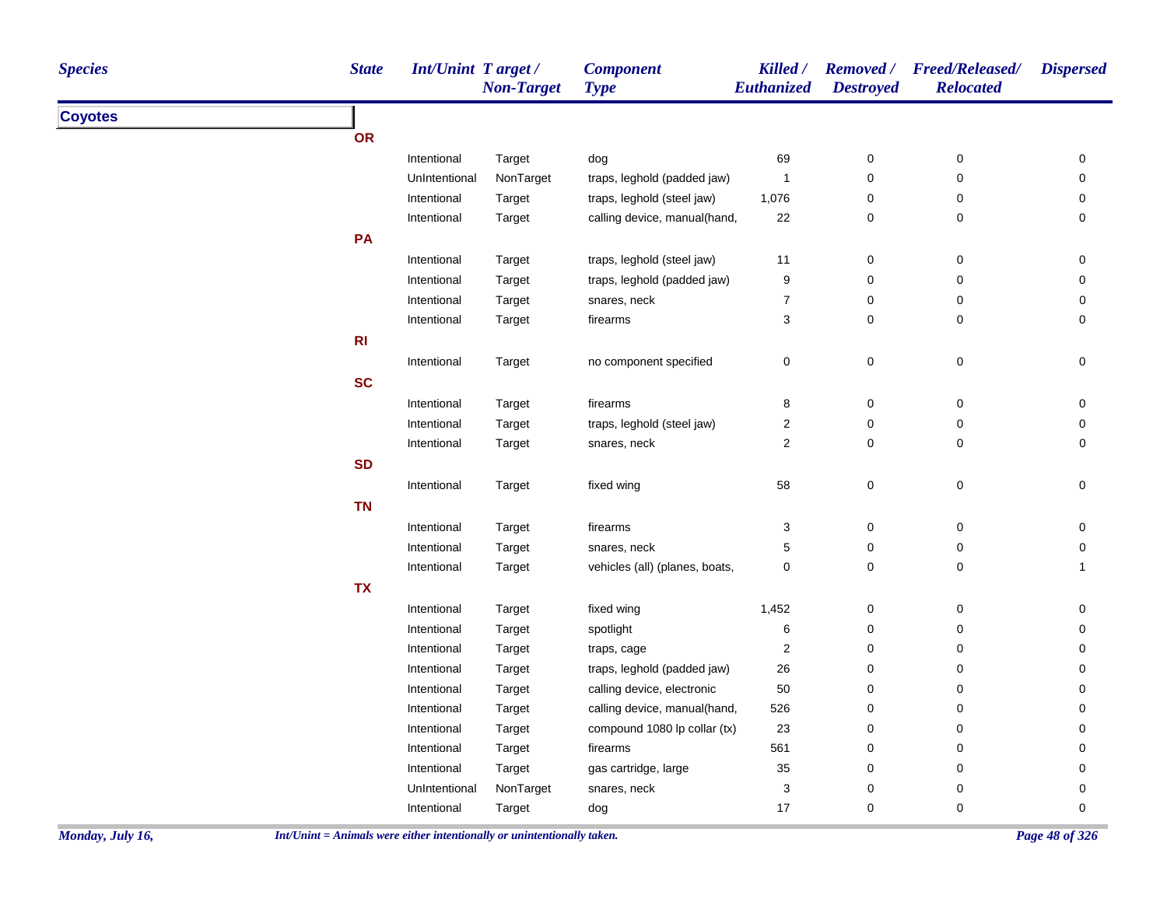| <b>Non-Target</b><br>Euthanized<br><b>Destroyed</b><br><b>Type</b>                     |                             |
|----------------------------------------------------------------------------------------|-----------------------------|
| <b>Coyotes</b>                                                                         |                             |
| OR                                                                                     |                             |
| Intentional<br>69<br>$\pmb{0}$<br>Target<br>dog                                        | $\pmb{0}$<br>0              |
| NonTarget<br>UnIntentional<br>traps, leghold (padded jaw)<br>$\mathbf{1}$<br>$\pmb{0}$ | $\pmb{0}$<br>$\pmb{0}$      |
| Target<br>traps, leghold (steel jaw)<br>1,076<br>0<br>Intentional                      | 0<br>0                      |
| calling device, manual(hand,<br>22<br>$\pmb{0}$<br>Intentional<br>Target               | $\mathbf 0$<br>0            |
| PA                                                                                     |                             |
| traps, leghold (steel jaw)<br>$\pmb{0}$<br>Intentional<br>11<br>Target                 | $\pmb{0}$<br>0              |
| 9<br>Intentional<br>traps, leghold (padded jaw)<br>0<br>Target                         | 0<br>0                      |
| $\boldsymbol{7}$<br>Intentional<br>snares, neck<br>0<br>Target                         | 0<br>0                      |
| 3<br>$\mathbf 0$<br>Intentional<br><b>Target</b><br>firearms                           | $\mathbf 0$<br>$\mathbf 0$  |
| R1                                                                                     |                             |
| 0<br>$\pmb{0}$<br>Intentional<br>no component specified<br>Target                      | $\pmb{0}$<br>$\pmb{0}$      |
| <b>SC</b>                                                                              |                             |
| 8<br>$\pmb{0}$<br>Intentional<br>firearms<br>Target                                    | $\pmb{0}$<br>$\pmb{0}$      |
| $\mathbf{2}$<br>traps, leghold (steel jaw)<br>$\pmb{0}$<br>Intentional<br>Target       | $\pmb{0}$<br>$\mathbf 0$    |
| $\overline{\mathbf{c}}$<br>Intentional<br>snares, neck<br>0<br>Target                  | 0<br>$\pmb{0}$              |
| <b>SD</b>                                                                              |                             |
| $\mathsf 0$<br>58<br>Intentional<br>fixed wing<br>Target                               | $\mathsf 0$<br>$\mathsf 0$  |
| <b>TN</b>                                                                              |                             |
| Intentional<br>firearms<br>3<br>$\pmb{0}$<br>Target                                    | 0<br>$\pmb{0}$              |
| 5<br>0<br>Intentional<br>Target<br>snares, neck                                        | $\mathbf 0$<br>0            |
| 0<br>vehicles (all) (planes, boats,<br>0<br>Intentional<br>Target                      | $\mathsf 0$<br>$\mathbf{1}$ |
| <b>TX</b>                                                                              |                             |
| Intentional<br>fixed wing<br>1,452<br>$\pmb{0}$<br>Target                              | 0<br>$\pmb{0}$              |
| 6<br>spotlight<br>0<br>Intentional<br>Target                                           | $\mathbf 0$<br>0            |
| $\overline{\mathbf{c}}$<br>0<br>Intentional<br>Target<br>traps, cage                   | 0<br>0                      |
| traps, leghold (padded jaw)<br>26<br>$\pmb{0}$<br>Intentional<br>Target                | 0<br>$\pmb{0}$              |
| calling device, electronic<br>50<br>Intentional<br>Target<br>0                         | $\pmb{0}$<br>0              |
| Intentional<br>Target<br>calling device, manual(hand,<br>526<br>0                      | $\pmb{0}$<br>0              |
| Intentional<br>compound 1080 lp collar (tx)<br>23<br>$\pmb{0}$<br>Target               | 0<br>0                      |
| 561<br>$\pmb{0}$<br>Intentional<br>firearms<br>Target                                  | $\pmb{0}$<br>0              |
| Intentional<br>gas cartridge, large<br>$35\,$<br>$\pmb{0}$<br>Target                   | 0<br>$\mathbf 0$            |
| 3<br>UnIntentional<br>NonTarget<br>snares, neck<br>0                                   | 0<br>0                      |
| 17<br>0<br>Intentional<br>Target<br>dog                                                | 0<br>0                      |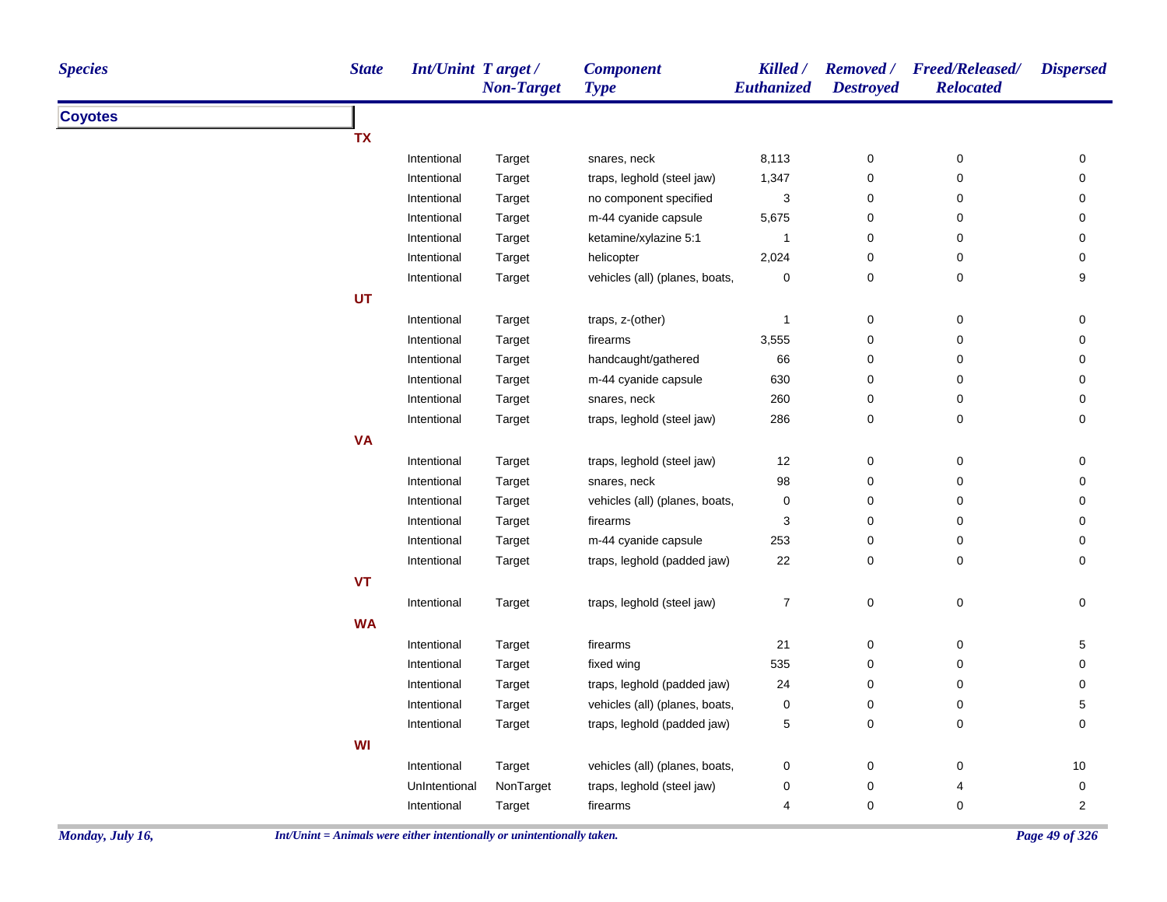| <b>Species</b> | <b>State</b> | Int/Unint Target/ | <b>Non-Target</b> | <b>Component</b><br><b>Type</b> | Killed /<br>Euthanized    | <b>Destroyed</b>    | Removed / Freed/Released/<br><b>Relocated</b> | <b>Dispersed</b> |
|----------------|--------------|-------------------|-------------------|---------------------------------|---------------------------|---------------------|-----------------------------------------------|------------------|
| <b>Coyotes</b> |              |                   |                   |                                 |                           |                     |                                               |                  |
|                | TX           |                   |                   |                                 |                           |                     |                                               |                  |
|                |              | Intentional       | Target            | snares, neck                    | 8,113                     | $\pmb{0}$           | $\pmb{0}$                                     | 0                |
|                |              | Intentional       | Target            | traps, leghold (steel jaw)      | 1,347                     | 0                   | $\mathbf 0$                                   | 0                |
|                |              | Intentional       | Target            | no component specified          | $\ensuremath{\mathsf{3}}$ | 0                   | $\pmb{0}$                                     | 0                |
|                |              | Intentional       | Target            | m-44 cyanide capsule            | 5,675                     | 0                   | 0                                             | 0                |
|                |              | Intentional       | Target            | ketamine/xylazine 5:1           | $\mathbf{1}$              | $\mathbf 0$         | $\mathsf 0$                                   | 0                |
|                |              | Intentional       | Target            | helicopter                      | 2,024                     | 0                   | $\pmb{0}$                                     | $\mathbf 0$      |
|                |              | Intentional       | Target            | vehicles (all) (planes, boats,  | 0                         | 0                   | $\mathsf 0$                                   | 9                |
|                | UT           |                   |                   |                                 |                           |                     |                                               |                  |
|                |              | Intentional       | Target            | traps, z-(other)                | $\mathbf{1}$              | 0                   | 0                                             | 0                |
|                |              | Intentional       | Target            | firearms                        | 3,555                     | $\mathbf 0$         | $\mathbf 0$                                   | 0                |
|                |              | Intentional       | Target            | handcaught/gathered             | 66                        | $\mathbf 0$         | $\mathbf 0$                                   | $\mathbf 0$      |
|                |              | Intentional       | Target            | m-44 cyanide capsule            | 630                       | 0                   | $\mathsf 0$                                   | 0                |
|                |              | Intentional       | Target            | snares, neck                    | 260                       | 0                   | $\mathsf 0$                                   | 0                |
|                |              | Intentional       | Target            | traps, leghold (steel jaw)      | 286                       | 0                   | $\pmb{0}$                                     | $\mathbf 0$      |
|                | <b>VA</b>    |                   |                   |                                 |                           |                     |                                               |                  |
|                |              | Intentional       | Target            | traps, leghold (steel jaw)      | 12                        | $\pmb{0}$           | $\pmb{0}$                                     | 0                |
|                |              | Intentional       | Target            | snares, neck                    | 98                        | 0                   | $\mathsf 0$                                   | 0                |
|                |              | Intentional       | Target            | vehicles (all) (planes, boats,  | $\pmb{0}$                 | 0                   | 0                                             | 0                |
|                |              | Intentional       | Target            | firearms                        | 3                         | 0                   | 0                                             | 0                |
|                |              | Intentional       | Target            | m-44 cyanide capsule            | 253                       | $\pmb{0}$           | $\pmb{0}$                                     | $\mathbf 0$      |
|                |              | Intentional       | Target            | traps, leghold (padded jaw)     | 22                        | 0                   | $\mathsf 0$                                   | $\mathbf 0$      |
|                | <b>VT</b>    |                   |                   |                                 |                           |                     |                                               |                  |
|                |              | Intentional       | Target            | traps, leghold (steel jaw)      | $\boldsymbol{7}$          | $\mathsf{O}\xspace$ | $\pmb{0}$                                     | $\mathbf 0$      |
|                | <b>WA</b>    |                   |                   |                                 |                           |                     |                                               |                  |
|                |              | Intentional       | Target            | firearms                        | 21                        | 0                   | 0                                             | 5                |
|                |              | Intentional       | Target            | fixed wing                      | 535                       | 0                   | $\mathsf 0$                                   | 0                |
|                |              | Intentional       | Target            | traps, leghold (padded jaw)     | 24                        | 0                   | 0                                             | 0                |
|                |              | Intentional       | Target            | vehicles (all) (planes, boats,  | $\pmb{0}$                 | 0                   | 0                                             | $\sqrt{5}$       |
|                |              | Intentional       | Target            | traps, leghold (padded jaw)     | 5                         | $\mathbf 0$         | $\pmb{0}$                                     | $\mathbf 0$      |
|                | WI           |                   |                   |                                 |                           |                     |                                               |                  |
|                |              | Intentional       | Target            | vehicles (all) (planes, boats,  | 0                         | 0                   | 0                                             | 10               |
|                |              | UnIntentional     | NonTarget         | traps, leghold (steel jaw)      | $\mathbf 0$               | 0                   | 4                                             | $\mathbf 0$      |
|                |              | Intentional       | Target            | firearms                        | 4                         | 0                   | 0                                             | $\overline{2}$   |
|                |              |                   |                   |                                 |                           |                     |                                               |                  |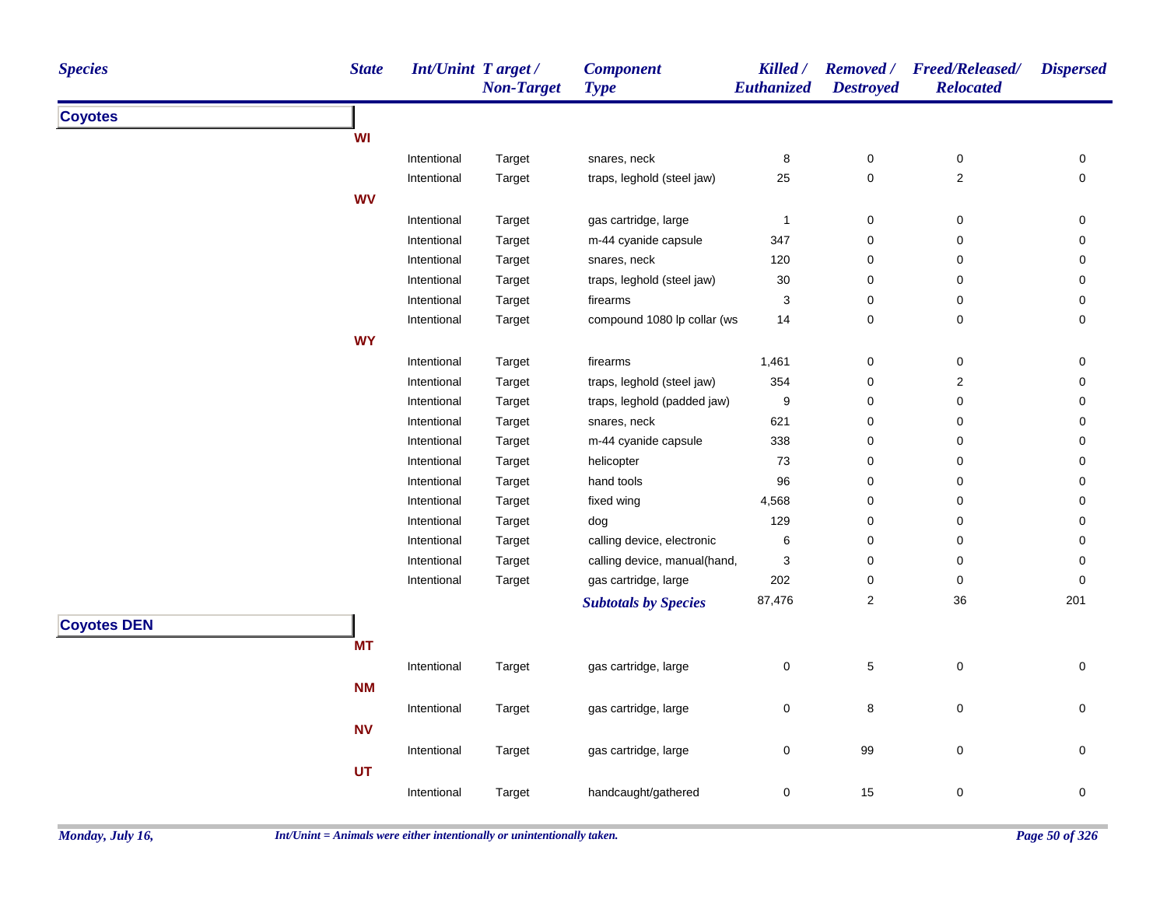| WI<br>$\pmb{0}$<br>Intentional<br>8<br>0<br>Target<br>snares, neck<br>0<br>25<br>0<br>$\mathbf 2$<br>traps, leghold (steel jaw)<br>0<br>Intentional<br>Target<br><b>WV</b><br>gas cartridge, large<br>$\mathbf{1}$<br>$\pmb{0}$<br>0<br>Intentional<br>Target<br>0<br>Intentional<br>Target<br>m-44 cyanide capsule<br>347<br>0<br>0<br>0<br>120<br>Intentional<br>Target<br>snares, neck<br>0<br>0<br>0<br>traps, leghold (steel jaw)<br>30<br>0<br>Intentional<br>Target<br>0<br>0<br>3<br>Intentional<br>Target<br>firearms<br>0<br>0<br>0<br>compound 1080 lp collar (ws<br>14<br>0<br>0<br>Intentional<br>Target<br>0<br><b>WY</b><br>0<br>$\pmb{0}$<br>Intentional<br>1,461<br>0<br>Target<br>firearms<br>traps, leghold (steel jaw)<br>354<br>0<br>$\mathbf 2$<br>Intentional<br>Target<br>0<br>traps, leghold (padded jaw)<br>9<br>0<br>0<br>Intentional<br>Target<br>0<br>621<br>Intentional<br>Target<br>snares, neck<br>0<br>$\mathbf 0$<br>0<br>m-44 cyanide capsule<br>338<br>0<br>Intentional<br>Target<br>0<br>0<br>helicopter<br>73<br>0<br>0<br>Intentional<br>Target<br>0<br>Target<br>hand tools<br>96<br>0<br>0<br>Intentional<br>0<br>4,568<br>Intentional<br>Target<br>fixed wing<br>0<br>0<br>0<br>129<br>0<br>0<br>Intentional<br>Target<br>dog<br>0<br>$\,6$<br>0<br>calling device, electronic<br>0<br>Intentional<br>Target<br>0<br>calling device, manual(hand,<br>3<br>0<br>0<br>Intentional<br>Target<br>0<br>202<br>0<br>Intentional<br>gas cartridge, large<br>0<br>$\pmb{0}$<br>Target<br>$\overline{c}$<br>87,476<br>$36\,$<br>201<br><b>Subtotals by Species</b><br><b>Coyotes DEN</b><br><b>MT</b><br>5<br>$\pmb{0}$<br>gas cartridge, large<br>$\mathbf 0$<br>$\mathbf 0$<br>Intentional<br>Target<br><b>NM</b><br>8<br>$\pmb{0}$<br>$\pmb{0}$<br>$\mathbf 0$<br>Intentional<br>gas cartridge, large<br>Target<br><b>NV</b><br>99<br>$\pmb{0}$<br>0<br>Intentional<br>gas cartridge, large<br>0<br>Target<br>UT<br>15<br>handcaught/gathered<br>$\mathbf 0$<br>0<br>0<br>Intentional | <b>Species</b> | <b>State</b> | <b>Int/Unint Target/</b> | <b>Non-Target</b> | <b>Component</b><br><b>Type</b> | Killed /<br>Euthanized | <b>Removed</b> /<br><b>Destroyed</b> | <b>Freed/Released/</b><br><b>Relocated</b> | <b>Dispersed</b> |
|---------------------------------------------------------------------------------------------------------------------------------------------------------------------------------------------------------------------------------------------------------------------------------------------------------------------------------------------------------------------------------------------------------------------------------------------------------------------------------------------------------------------------------------------------------------------------------------------------------------------------------------------------------------------------------------------------------------------------------------------------------------------------------------------------------------------------------------------------------------------------------------------------------------------------------------------------------------------------------------------------------------------------------------------------------------------------------------------------------------------------------------------------------------------------------------------------------------------------------------------------------------------------------------------------------------------------------------------------------------------------------------------------------------------------------------------------------------------------------------------------------------------------------------------------------------------------------------------------------------------------------------------------------------------------------------------------------------------------------------------------------------------------------------------------------------------------------------------------------------------------------------------------------------------------------------------------------------------------------------------------------------------------|----------------|--------------|--------------------------|-------------------|---------------------------------|------------------------|--------------------------------------|--------------------------------------------|------------------|
|                                                                                                                                                                                                                                                                                                                                                                                                                                                                                                                                                                                                                                                                                                                                                                                                                                                                                                                                                                                                                                                                                                                                                                                                                                                                                                                                                                                                                                                                                                                                                                                                                                                                                                                                                                                                                                                                                                                                                                                                                           | <b>Coyotes</b> |              |                          |                   |                                 |                        |                                      |                                            |                  |
|                                                                                                                                                                                                                                                                                                                                                                                                                                                                                                                                                                                                                                                                                                                                                                                                                                                                                                                                                                                                                                                                                                                                                                                                                                                                                                                                                                                                                                                                                                                                                                                                                                                                                                                                                                                                                                                                                                                                                                                                                           |                |              |                          |                   |                                 |                        |                                      |                                            |                  |
|                                                                                                                                                                                                                                                                                                                                                                                                                                                                                                                                                                                                                                                                                                                                                                                                                                                                                                                                                                                                                                                                                                                                                                                                                                                                                                                                                                                                                                                                                                                                                                                                                                                                                                                                                                                                                                                                                                                                                                                                                           |                |              |                          |                   |                                 |                        |                                      |                                            |                  |
|                                                                                                                                                                                                                                                                                                                                                                                                                                                                                                                                                                                                                                                                                                                                                                                                                                                                                                                                                                                                                                                                                                                                                                                                                                                                                                                                                                                                                                                                                                                                                                                                                                                                                                                                                                                                                                                                                                                                                                                                                           |                |              |                          |                   |                                 |                        |                                      |                                            |                  |
|                                                                                                                                                                                                                                                                                                                                                                                                                                                                                                                                                                                                                                                                                                                                                                                                                                                                                                                                                                                                                                                                                                                                                                                                                                                                                                                                                                                                                                                                                                                                                                                                                                                                                                                                                                                                                                                                                                                                                                                                                           |                |              |                          |                   |                                 |                        |                                      |                                            |                  |
|                                                                                                                                                                                                                                                                                                                                                                                                                                                                                                                                                                                                                                                                                                                                                                                                                                                                                                                                                                                                                                                                                                                                                                                                                                                                                                                                                                                                                                                                                                                                                                                                                                                                                                                                                                                                                                                                                                                                                                                                                           |                |              |                          |                   |                                 |                        |                                      |                                            |                  |
|                                                                                                                                                                                                                                                                                                                                                                                                                                                                                                                                                                                                                                                                                                                                                                                                                                                                                                                                                                                                                                                                                                                                                                                                                                                                                                                                                                                                                                                                                                                                                                                                                                                                                                                                                                                                                                                                                                                                                                                                                           |                |              |                          |                   |                                 |                        |                                      |                                            |                  |
|                                                                                                                                                                                                                                                                                                                                                                                                                                                                                                                                                                                                                                                                                                                                                                                                                                                                                                                                                                                                                                                                                                                                                                                                                                                                                                                                                                                                                                                                                                                                                                                                                                                                                                                                                                                                                                                                                                                                                                                                                           |                |              |                          |                   |                                 |                        |                                      |                                            |                  |
|                                                                                                                                                                                                                                                                                                                                                                                                                                                                                                                                                                                                                                                                                                                                                                                                                                                                                                                                                                                                                                                                                                                                                                                                                                                                                                                                                                                                                                                                                                                                                                                                                                                                                                                                                                                                                                                                                                                                                                                                                           |                |              |                          |                   |                                 |                        |                                      |                                            |                  |
|                                                                                                                                                                                                                                                                                                                                                                                                                                                                                                                                                                                                                                                                                                                                                                                                                                                                                                                                                                                                                                                                                                                                                                                                                                                                                                                                                                                                                                                                                                                                                                                                                                                                                                                                                                                                                                                                                                                                                                                                                           |                |              |                          |                   |                                 |                        |                                      |                                            |                  |
|                                                                                                                                                                                                                                                                                                                                                                                                                                                                                                                                                                                                                                                                                                                                                                                                                                                                                                                                                                                                                                                                                                                                                                                                                                                                                                                                                                                                                                                                                                                                                                                                                                                                                                                                                                                                                                                                                                                                                                                                                           |                |              |                          |                   |                                 |                        |                                      |                                            |                  |
|                                                                                                                                                                                                                                                                                                                                                                                                                                                                                                                                                                                                                                                                                                                                                                                                                                                                                                                                                                                                                                                                                                                                                                                                                                                                                                                                                                                                                                                                                                                                                                                                                                                                                                                                                                                                                                                                                                                                                                                                                           |                |              |                          |                   |                                 |                        |                                      |                                            |                  |
|                                                                                                                                                                                                                                                                                                                                                                                                                                                                                                                                                                                                                                                                                                                                                                                                                                                                                                                                                                                                                                                                                                                                                                                                                                                                                                                                                                                                                                                                                                                                                                                                                                                                                                                                                                                                                                                                                                                                                                                                                           |                |              |                          |                   |                                 |                        |                                      |                                            |                  |
|                                                                                                                                                                                                                                                                                                                                                                                                                                                                                                                                                                                                                                                                                                                                                                                                                                                                                                                                                                                                                                                                                                                                                                                                                                                                                                                                                                                                                                                                                                                                                                                                                                                                                                                                                                                                                                                                                                                                                                                                                           |                |              |                          |                   |                                 |                        |                                      |                                            |                  |
|                                                                                                                                                                                                                                                                                                                                                                                                                                                                                                                                                                                                                                                                                                                                                                                                                                                                                                                                                                                                                                                                                                                                                                                                                                                                                                                                                                                                                                                                                                                                                                                                                                                                                                                                                                                                                                                                                                                                                                                                                           |                |              |                          |                   |                                 |                        |                                      |                                            |                  |
|                                                                                                                                                                                                                                                                                                                                                                                                                                                                                                                                                                                                                                                                                                                                                                                                                                                                                                                                                                                                                                                                                                                                                                                                                                                                                                                                                                                                                                                                                                                                                                                                                                                                                                                                                                                                                                                                                                                                                                                                                           |                |              |                          |                   |                                 |                        |                                      |                                            |                  |
|                                                                                                                                                                                                                                                                                                                                                                                                                                                                                                                                                                                                                                                                                                                                                                                                                                                                                                                                                                                                                                                                                                                                                                                                                                                                                                                                                                                                                                                                                                                                                                                                                                                                                                                                                                                                                                                                                                                                                                                                                           |                |              |                          |                   |                                 |                        |                                      |                                            |                  |
|                                                                                                                                                                                                                                                                                                                                                                                                                                                                                                                                                                                                                                                                                                                                                                                                                                                                                                                                                                                                                                                                                                                                                                                                                                                                                                                                                                                                                                                                                                                                                                                                                                                                                                                                                                                                                                                                                                                                                                                                                           |                |              |                          |                   |                                 |                        |                                      |                                            |                  |
|                                                                                                                                                                                                                                                                                                                                                                                                                                                                                                                                                                                                                                                                                                                                                                                                                                                                                                                                                                                                                                                                                                                                                                                                                                                                                                                                                                                                                                                                                                                                                                                                                                                                                                                                                                                                                                                                                                                                                                                                                           |                |              |                          |                   |                                 |                        |                                      |                                            |                  |
|                                                                                                                                                                                                                                                                                                                                                                                                                                                                                                                                                                                                                                                                                                                                                                                                                                                                                                                                                                                                                                                                                                                                                                                                                                                                                                                                                                                                                                                                                                                                                                                                                                                                                                                                                                                                                                                                                                                                                                                                                           |                |              |                          |                   |                                 |                        |                                      |                                            |                  |
|                                                                                                                                                                                                                                                                                                                                                                                                                                                                                                                                                                                                                                                                                                                                                                                                                                                                                                                                                                                                                                                                                                                                                                                                                                                                                                                                                                                                                                                                                                                                                                                                                                                                                                                                                                                                                                                                                                                                                                                                                           |                |              |                          |                   |                                 |                        |                                      |                                            |                  |
|                                                                                                                                                                                                                                                                                                                                                                                                                                                                                                                                                                                                                                                                                                                                                                                                                                                                                                                                                                                                                                                                                                                                                                                                                                                                                                                                                                                                                                                                                                                                                                                                                                                                                                                                                                                                                                                                                                                                                                                                                           |                |              |                          |                   |                                 |                        |                                      |                                            |                  |
|                                                                                                                                                                                                                                                                                                                                                                                                                                                                                                                                                                                                                                                                                                                                                                                                                                                                                                                                                                                                                                                                                                                                                                                                                                                                                                                                                                                                                                                                                                                                                                                                                                                                                                                                                                                                                                                                                                                                                                                                                           |                |              |                          |                   |                                 |                        |                                      |                                            |                  |
|                                                                                                                                                                                                                                                                                                                                                                                                                                                                                                                                                                                                                                                                                                                                                                                                                                                                                                                                                                                                                                                                                                                                                                                                                                                                                                                                                                                                                                                                                                                                                                                                                                                                                                                                                                                                                                                                                                                                                                                                                           |                |              |                          |                   |                                 |                        |                                      |                                            |                  |
|                                                                                                                                                                                                                                                                                                                                                                                                                                                                                                                                                                                                                                                                                                                                                                                                                                                                                                                                                                                                                                                                                                                                                                                                                                                                                                                                                                                                                                                                                                                                                                                                                                                                                                                                                                                                                                                                                                                                                                                                                           |                |              |                          |                   |                                 |                        |                                      |                                            |                  |
|                                                                                                                                                                                                                                                                                                                                                                                                                                                                                                                                                                                                                                                                                                                                                                                                                                                                                                                                                                                                                                                                                                                                                                                                                                                                                                                                                                                                                                                                                                                                                                                                                                                                                                                                                                                                                                                                                                                                                                                                                           |                |              |                          |                   |                                 |                        |                                      |                                            |                  |
|                                                                                                                                                                                                                                                                                                                                                                                                                                                                                                                                                                                                                                                                                                                                                                                                                                                                                                                                                                                                                                                                                                                                                                                                                                                                                                                                                                                                                                                                                                                                                                                                                                                                                                                                                                                                                                                                                                                                                                                                                           |                |              |                          |                   |                                 |                        |                                      |                                            |                  |
|                                                                                                                                                                                                                                                                                                                                                                                                                                                                                                                                                                                                                                                                                                                                                                                                                                                                                                                                                                                                                                                                                                                                                                                                                                                                                                                                                                                                                                                                                                                                                                                                                                                                                                                                                                                                                                                                                                                                                                                                                           |                |              |                          |                   |                                 |                        |                                      |                                            |                  |
|                                                                                                                                                                                                                                                                                                                                                                                                                                                                                                                                                                                                                                                                                                                                                                                                                                                                                                                                                                                                                                                                                                                                                                                                                                                                                                                                                                                                                                                                                                                                                                                                                                                                                                                                                                                                                                                                                                                                                                                                                           |                |              |                          |                   |                                 |                        |                                      |                                            |                  |
|                                                                                                                                                                                                                                                                                                                                                                                                                                                                                                                                                                                                                                                                                                                                                                                                                                                                                                                                                                                                                                                                                                                                                                                                                                                                                                                                                                                                                                                                                                                                                                                                                                                                                                                                                                                                                                                                                                                                                                                                                           |                |              |                          |                   |                                 |                        |                                      |                                            |                  |
|                                                                                                                                                                                                                                                                                                                                                                                                                                                                                                                                                                                                                                                                                                                                                                                                                                                                                                                                                                                                                                                                                                                                                                                                                                                                                                                                                                                                                                                                                                                                                                                                                                                                                                                                                                                                                                                                                                                                                                                                                           |                |              |                          |                   |                                 |                        |                                      |                                            |                  |
|                                                                                                                                                                                                                                                                                                                                                                                                                                                                                                                                                                                                                                                                                                                                                                                                                                                                                                                                                                                                                                                                                                                                                                                                                                                                                                                                                                                                                                                                                                                                                                                                                                                                                                                                                                                                                                                                                                                                                                                                                           |                |              |                          |                   |                                 |                        |                                      |                                            |                  |
|                                                                                                                                                                                                                                                                                                                                                                                                                                                                                                                                                                                                                                                                                                                                                                                                                                                                                                                                                                                                                                                                                                                                                                                                                                                                                                                                                                                                                                                                                                                                                                                                                                                                                                                                                                                                                                                                                                                                                                                                                           |                |              |                          |                   |                                 |                        |                                      |                                            |                  |
|                                                                                                                                                                                                                                                                                                                                                                                                                                                                                                                                                                                                                                                                                                                                                                                                                                                                                                                                                                                                                                                                                                                                                                                                                                                                                                                                                                                                                                                                                                                                                                                                                                                                                                                                                                                                                                                                                                                                                                                                                           |                |              |                          | Target            |                                 |                        |                                      |                                            |                  |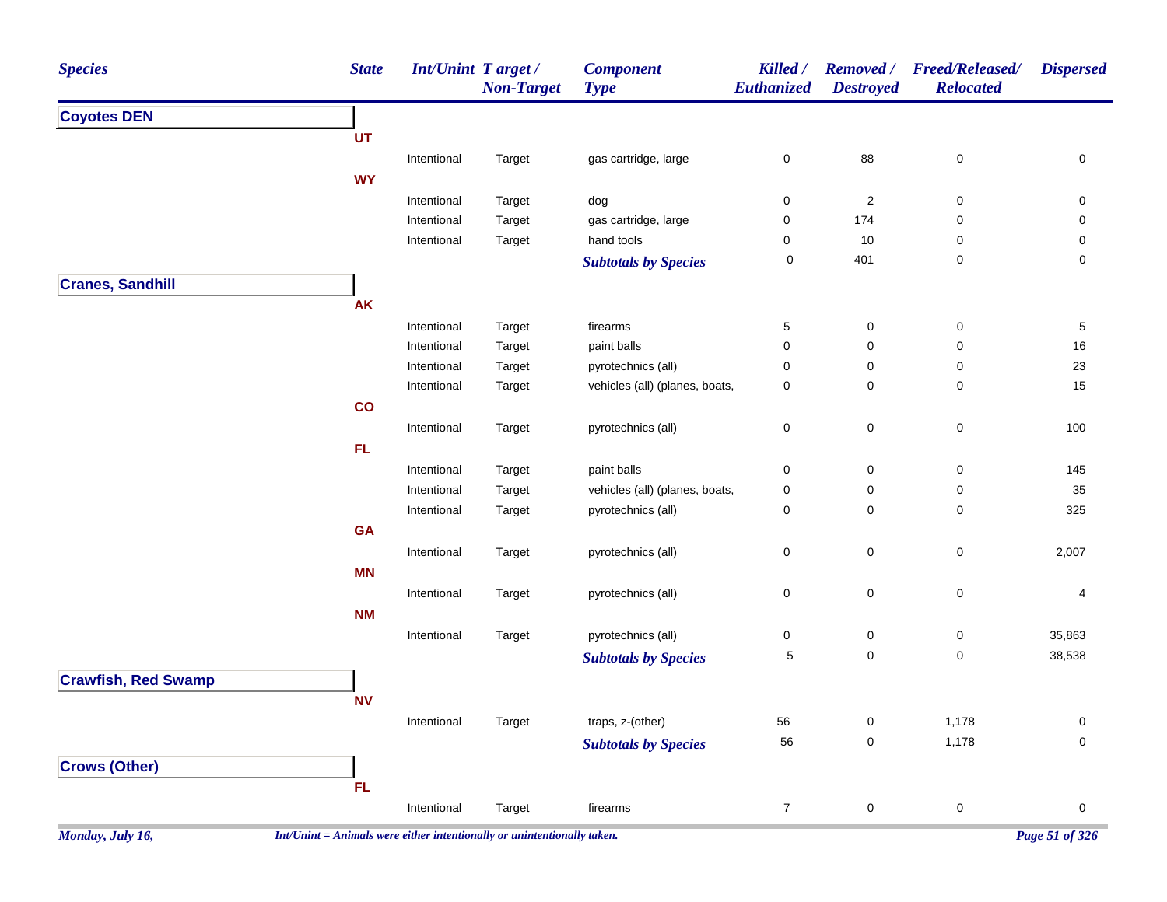| <b>Species</b>             | <b>State</b> | <b>Int/Unint Target/</b> | <b>Non-Target</b> | <b>Component</b><br><b>Type</b> | Killed /<br><b>Euthanized</b> | Removed /<br><b>Destroyed</b> | <b>Freed/Released/</b><br><b>Relocated</b> | <b>Dispersed</b> |
|----------------------------|--------------|--------------------------|-------------------|---------------------------------|-------------------------------|-------------------------------|--------------------------------------------|------------------|
| <b>Coyotes DEN</b>         |              |                          |                   |                                 |                               |                               |                                            |                  |
|                            | UT           |                          |                   |                                 |                               |                               |                                            |                  |
|                            |              | Intentional              | Target            | gas cartridge, large            | 0                             | 88                            | $\mathbf 0$                                | 0                |
|                            | <b>WY</b>    |                          |                   |                                 |                               |                               |                                            |                  |
|                            |              | Intentional              | Target            | dog                             | 0                             | $\overline{c}$                | 0                                          | 0                |
|                            |              | Intentional              | Target            | gas cartridge, large            | 0                             | 174                           | 0                                          | 0                |
|                            |              | Intentional              | Target            | hand tools                      | 0                             | 10                            | 0                                          | 0                |
|                            |              |                          |                   | <b>Subtotals by Species</b>     | $\pmb{0}$                     | 401                           | 0                                          | 0                |
| <b>Cranes, Sandhill</b>    |              |                          |                   |                                 |                               |                               |                                            |                  |
|                            | <b>AK</b>    |                          |                   |                                 |                               |                               |                                            |                  |
|                            |              | Intentional              | Target            | firearms                        | 5                             | $\mathbf 0$                   | 0                                          | 5                |
|                            |              | Intentional              | Target            | paint balls                     | 0                             | 0                             | 0                                          | 16               |
|                            |              | Intentional              | Target            | pyrotechnics (all)              | 0                             | $\mathbf 0$                   | 0                                          | 23               |
|                            |              | Intentional              | Target            | vehicles (all) (planes, boats,  | 0                             | 0                             | 0                                          | 15               |
|                            | co           |                          |                   |                                 |                               |                               |                                            |                  |
|                            |              | Intentional              | Target            | pyrotechnics (all)              | 0                             | $\pmb{0}$                     | $\mathbf 0$                                | 100              |
|                            | <b>FL</b>    |                          |                   |                                 |                               |                               |                                            |                  |
|                            |              | Intentional              | Target            | paint balls                     | 0                             | 0                             | $\mathbf 0$                                | 145              |
|                            |              | Intentional              | Target            | vehicles (all) (planes, boats,  | 0                             | $\mathbf 0$                   | 0                                          | 35               |
|                            |              | Intentional              | Target            | pyrotechnics (all)              | 0                             | 0                             | 0                                          | 325              |
|                            | <b>GA</b>    |                          |                   |                                 |                               |                               |                                            |                  |
|                            |              | Intentional              | Target            | pyrotechnics (all)              | 0                             | $\pmb{0}$                     | $\pmb{0}$                                  | 2,007            |
|                            | <b>MN</b>    |                          |                   |                                 |                               |                               |                                            |                  |
|                            |              | Intentional              | Target            | pyrotechnics (all)              | 0                             | 0                             | $\,0\,$                                    | 4                |
|                            | <b>NM</b>    |                          |                   |                                 |                               |                               |                                            |                  |
|                            |              | Intentional              | Target            | pyrotechnics (all)              | 0                             | 0                             | $\mathbf 0$                                | 35,863           |
|                            |              |                          |                   | <b>Subtotals by Species</b>     | 5                             | 0                             | $\pmb{0}$                                  | 38,538           |
| <b>Crawfish, Red Swamp</b> |              |                          |                   |                                 |                               |                               |                                            |                  |
|                            | <b>NV</b>    |                          |                   |                                 |                               |                               |                                            |                  |
|                            |              | Intentional              | Target            | traps, z-(other)                | 56                            | 0                             | 1,178                                      | 0                |
|                            |              |                          |                   | <b>Subtotals by Species</b>     | 56                            | $\mathsf{O}\xspace$           | 1,178                                      | $\mathbf 0$      |
| <b>Crows (Other)</b>       |              |                          |                   |                                 |                               |                               |                                            |                  |
|                            |              |                          |                   |                                 |                               |                               |                                            |                  |
|                            | FL           |                          |                   |                                 |                               |                               |                                            |                  |
|                            |              | Intentional              | Target            | firearms                        | $\overline{7}$                | $\pmb{0}$                     | $\pmb{0}$                                  | $\boldsymbol{0}$ |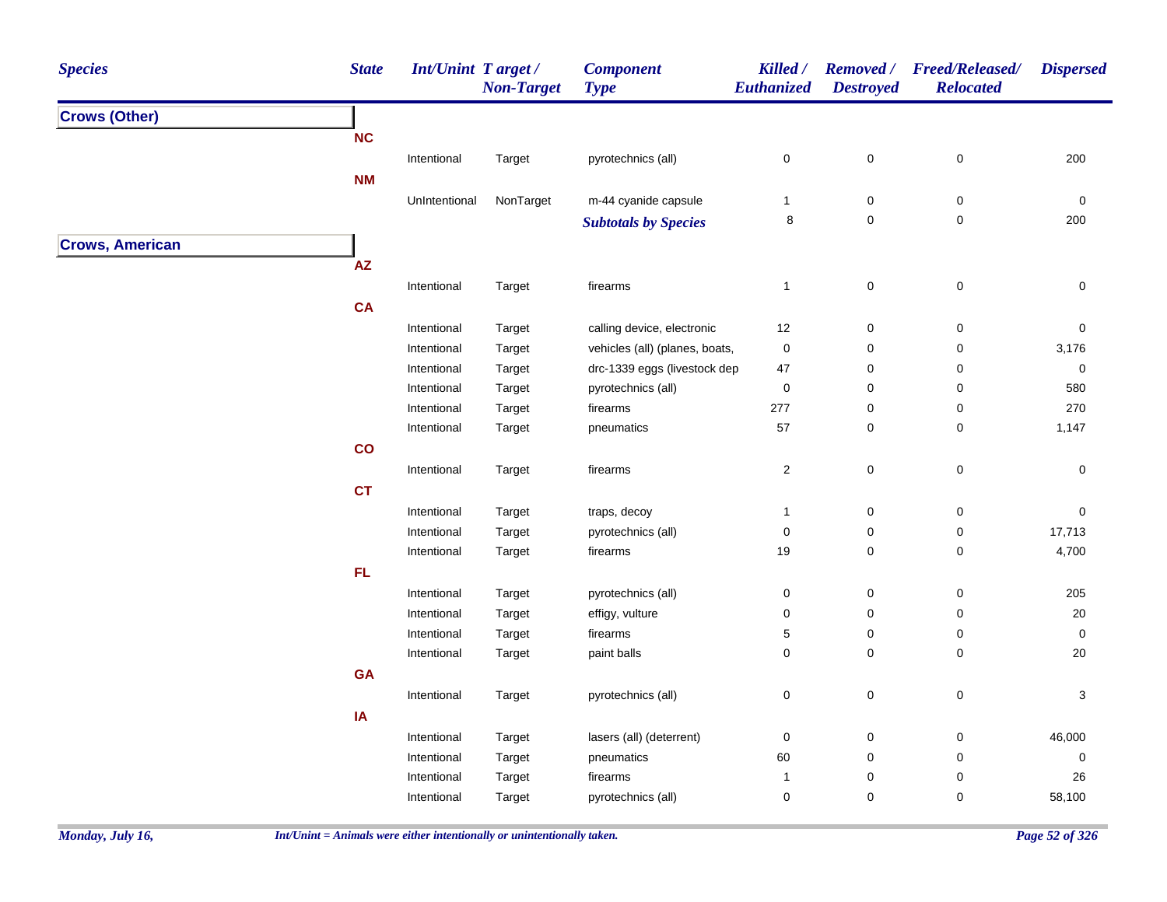| <b>Species</b>                                 | <b>State</b> | <b>Int/Unint Target/</b> | <b>Non-Target</b> | <b>Component</b><br><b>Type</b> | Killed /<br>Euthanized | <b>Destroyed</b>    | Removed / Freed/Released/<br><b>Relocated</b> | <b>Dispersed</b> |
|------------------------------------------------|--------------|--------------------------|-------------------|---------------------------------|------------------------|---------------------|-----------------------------------------------|------------------|
| <b>Crows (Other)</b><br><b>Crows, American</b> |              |                          |                   |                                 |                        |                     |                                               |                  |
|                                                | NC           |                          |                   |                                 |                        |                     |                                               |                  |
|                                                |              | Intentional              | Target            | pyrotechnics (all)              | $\pmb{0}$              | $\pmb{0}$           | $\pmb{0}$                                     | 200              |
|                                                | <b>NM</b>    |                          |                   |                                 |                        |                     |                                               |                  |
|                                                |              | UnIntentional            | NonTarget         | m-44 cyanide capsule            | $\mathbf{1}$           | 0                   | 0                                             | $\pmb{0}$        |
|                                                |              |                          |                   | <b>Subtotals by Species</b>     | 8                      | $\mathsf{O}\xspace$ | $\mathbf 0$                                   | 200              |
|                                                |              |                          |                   |                                 |                        |                     |                                               |                  |
|                                                | AZ           |                          |                   |                                 |                        |                     |                                               |                  |
|                                                |              | Intentional              | Target            | firearms                        | $\mathbf{1}$           | $\pmb{0}$           | $\pmb{0}$                                     | $\pmb{0}$        |
|                                                | CA           |                          |                   |                                 |                        |                     |                                               |                  |
|                                                |              | Intentional              | Target            | calling device, electronic      | 12                     | $\pmb{0}$           | $\pmb{0}$                                     | $\pmb{0}$        |
|                                                |              | Intentional              | Target            | vehicles (all) (planes, boats,  | $\pmb{0}$              | 0                   | 0                                             | 3,176            |
|                                                |              | Intentional              | Target            | drc-1339 eggs (livestock dep    | 47                     | 0                   | 0                                             | $\pmb{0}$        |
|                                                |              | Intentional              | Target            | pyrotechnics (all)              | $\pmb{0}$              | 0                   | 0                                             | 580              |
|                                                |              | Intentional              | Target            | firearms                        | 277                    | 0                   | 0                                             | 270              |
|                                                |              | Intentional              | Target            | pneumatics                      | 57                     | $\mathbf 0$         | 0                                             | 1,147            |
|                                                | co           |                          |                   |                                 |                        |                     |                                               |                  |
|                                                |              | Intentional              | Target            | firearms                        | $\sqrt{2}$             | $\mathbf 0$         | $\pmb{0}$                                     | $\pmb{0}$        |
|                                                | <b>CT</b>    |                          |                   |                                 |                        |                     |                                               |                  |
|                                                |              |                          |                   |                                 |                        |                     |                                               |                  |
|                                                |              | Intentional              | Target            | traps, decoy                    | $\mathbf{1}$           | $\mathsf{O}\xspace$ | $\mathsf 0$                                   | $\pmb{0}$        |
|                                                |              | Intentional              | Target            | pyrotechnics (all)              | $\pmb{0}$              | $\pmb{0}$           | 0                                             | 17,713           |
|                                                |              | Intentional              | Target            | firearms                        | 19                     | 0                   | 0                                             | 4,700            |
|                                                | FL           |                          |                   |                                 |                        |                     |                                               |                  |
|                                                |              | Intentional              | Target            | pyrotechnics (all)              | $\pmb{0}$              | $\mathbf 0$         | 0                                             | 205              |
|                                                |              | Intentional              | Target            | effigy, vulture                 | $\mathbf 0$            | $\mathbf 0$         | 0                                             | 20               |
|                                                |              | Intentional              | Target            | firearms                        | $\,$ 5 $\,$            | 0                   | $\pmb{0}$                                     | $\pmb{0}$        |
|                                                |              | Intentional              | Target            | paint balls                     | $\mathbf 0$            | $\mathbf 0$         | 0                                             | 20               |
|                                                | GA           |                          |                   |                                 |                        |                     |                                               |                  |
|                                                |              | Intentional              | Target            | pyrotechnics (all)              | $\pmb{0}$              | $\pmb{0}$           | $\pmb{0}$                                     | $\mathbf{3}$     |
|                                                | IA           |                          |                   |                                 |                        |                     |                                               |                  |
|                                                |              | Intentional              | Target            | lasers (all) (deterrent)        | $\pmb{0}$              | 0                   | 0                                             | 46,000           |
|                                                |              | Intentional              | Target            | pneumatics                      | 60                     | $\mathbf 0$         | 0                                             | $\pmb{0}$        |
|                                                |              | Intentional              | Target            | firearms                        | $\mathbf{1}$           | 0                   | 0                                             | 26               |
|                                                |              | Intentional              | Target            | pyrotechnics (all)              | $\mathbf 0$            | $\mathbf 0$         | 0                                             | 58,100           |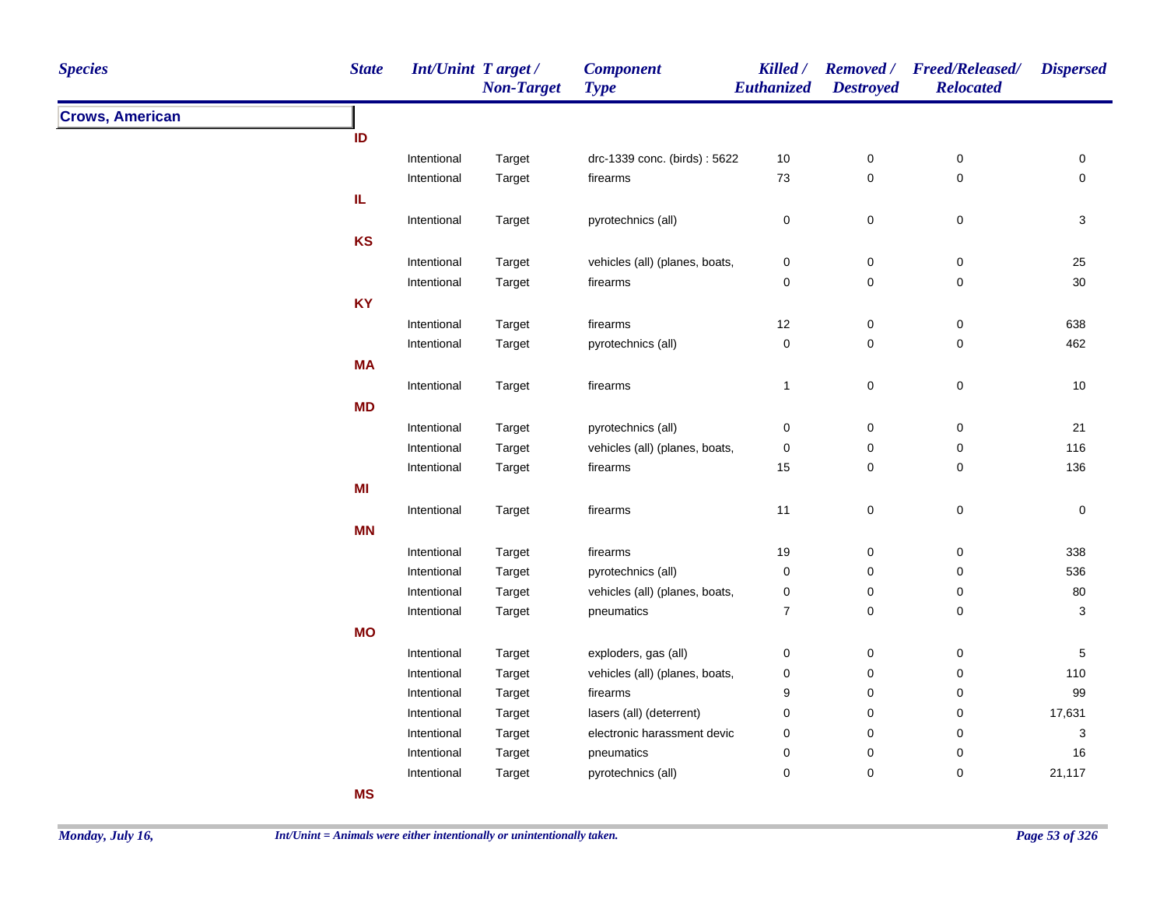| <b>Species</b>         | <b>State</b> | <b>Int/Unint Target/</b> | <b>Non-Target</b> | <b>Component</b><br><b>Type</b> | Killed /<br><b>Euthanized</b> | <b>Destroyed</b> | Removed / Freed/Released/<br><b>Relocated</b> | <b>Dispersed</b>    |
|------------------------|--------------|--------------------------|-------------------|---------------------------------|-------------------------------|------------------|-----------------------------------------------|---------------------|
| <b>Crows, American</b> |              |                          |                   |                                 |                               |                  |                                               |                     |
|                        | ID           |                          |                   |                                 |                               |                  |                                               |                     |
|                        |              | Intentional              | Target            | drc-1339 conc. (birds): 5622    | $10$                          | $\pmb{0}$        | $\pmb{0}$                                     | 0                   |
|                        |              | Intentional              | Target            | firearms                        | 73                            | $\mathsf 0$      | $\pmb{0}$                                     | $\mathbf 0$         |
|                        | IL.          |                          |                   |                                 |                               |                  |                                               |                     |
|                        |              | Intentional              | Target            | pyrotechnics (all)              | $\pmb{0}$                     | $\mathsf 0$      | $\pmb{0}$                                     | 3                   |
|                        | <b>KS</b>    |                          |                   |                                 |                               |                  |                                               |                     |
|                        |              | Intentional              | Target            | vehicles (all) (planes, boats,  | 0                             | $\mathbf 0$      | $\pmb{0}$                                     | 25                  |
|                        |              | Intentional              | Target            | firearms                        | 0                             | $\pmb{0}$        | $\pmb{0}$                                     | $30\,$              |
|                        | <b>KY</b>    |                          |                   |                                 |                               |                  |                                               |                     |
|                        |              | Intentional              | Target            | firearms                        | 12                            | $\mathsf 0$      | $\pmb{0}$                                     | 638                 |
|                        |              | Intentional              | Target            | pyrotechnics (all)              | $\pmb{0}$                     | $\pmb{0}$        | 0                                             | 462                 |
|                        | <b>MA</b>    |                          |                   |                                 |                               |                  |                                               |                     |
|                        |              | Intentional              | Target            | firearms                        | $\mathbf{1}$                  | $\mathbf 0$      | $\pmb{0}$                                     | 10                  |
|                        | <b>MD</b>    |                          |                   |                                 |                               |                  |                                               |                     |
|                        |              | Intentional              | Target            | pyrotechnics (all)              | 0                             | $\pmb{0}$        | $\pmb{0}$                                     | 21                  |
|                        |              | Intentional              | Target            | vehicles (all) (planes, boats,  | 0                             | $\pmb{0}$        | 0                                             | 116                 |
|                        |              | Intentional              | Target            | firearms                        | 15                            | $\pmb{0}$        | 0                                             | 136                 |
|                        | MI           |                          |                   |                                 |                               |                  |                                               |                     |
|                        |              | Intentional              | Target            | firearms                        | 11                            | $\mathsf 0$      | $\pmb{0}$                                     | $\mathsf{O}\xspace$ |
|                        | <b>MN</b>    |                          |                   |                                 |                               |                  |                                               |                     |
|                        |              | Intentional              | Target            | firearms                        | 19                            | $\pmb{0}$        | 0                                             | 338                 |
|                        |              | Intentional              | Target            | pyrotechnics (all)              | 0                             | $\pmb{0}$        | 0                                             | 536                 |
|                        |              | Intentional              | Target            | vehicles (all) (planes, boats,  | 0                             | 0                | 0                                             | 80                  |
|                        |              | Intentional              | Target            | pneumatics                      | $\overline{7}$                | 0                | 0                                             | 3                   |
|                        | <b>MO</b>    |                          |                   |                                 |                               |                  |                                               |                     |
|                        |              | Intentional              | Target            | exploders, gas (all)            | 0                             | 0                | 0                                             | 5                   |
|                        |              | Intentional              | Target            | vehicles (all) (planes, boats,  | 0                             | 0                | 0                                             | 110                 |
|                        |              | Intentional              | Target            | firearms                        | 9                             | 0                | 0                                             | 99                  |
|                        |              | Intentional              | Target            | lasers (all) (deterrent)        | 0                             | 0                | 0                                             | 17,631              |
|                        |              | Intentional              | Target            | electronic harassment devic     | 0                             | 0                | 0                                             | 3                   |
|                        |              | Intentional              | Target            | pneumatics                      | 0                             | 0                | 0                                             | 16                  |
|                        |              | Intentional              | Target            | pyrotechnics (all)              | 0                             | 0                | 0                                             | 21,117              |
|                        | <b>MS</b>    |                          |                   |                                 |                               |                  |                                               |                     |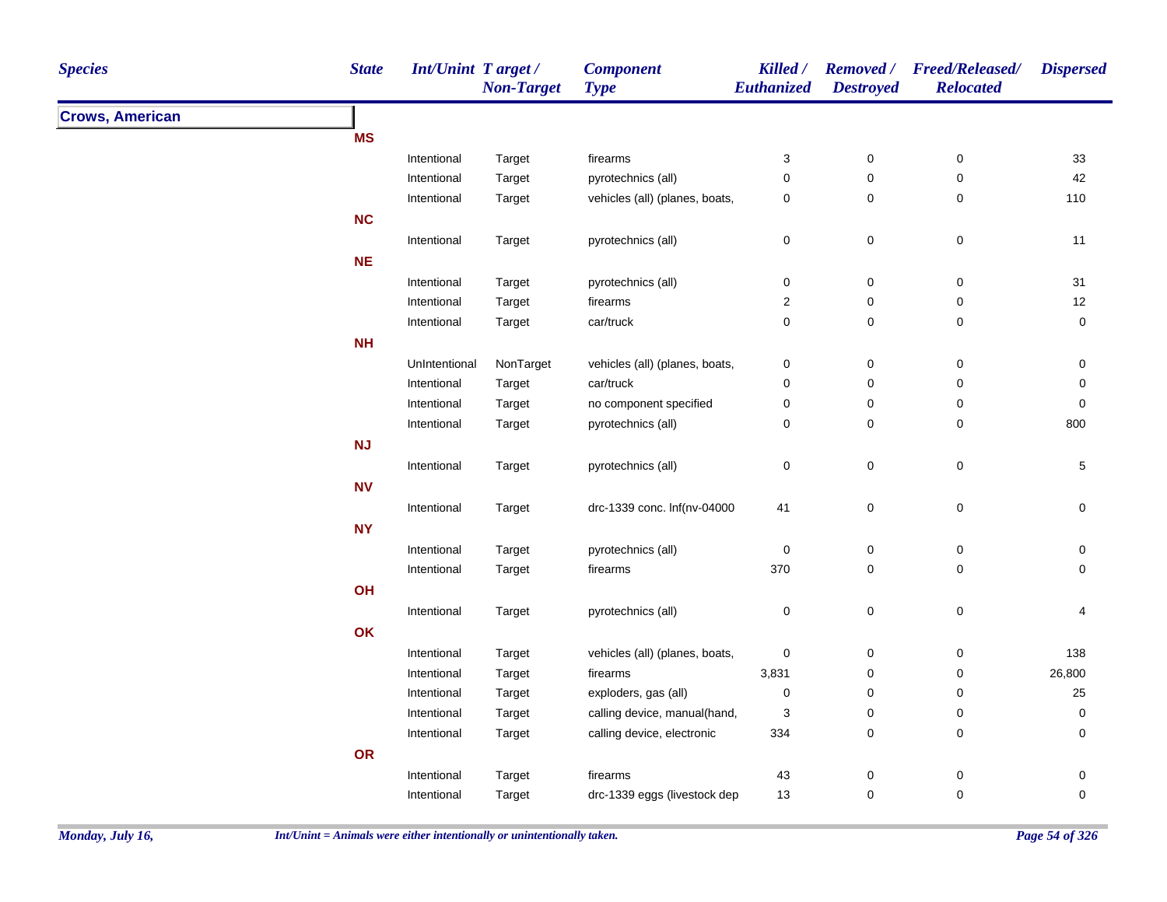| <b>State</b><br><b>Species</b> | Int/Unint Target/ | <b>Non-Target</b> | <b>Component</b><br><b>Type</b> | <b>Killed</b> /<br>Euthanized | <b>Destroyed</b> | Removed / Freed/Released/<br><b>Relocated</b> | <b>Dispersed</b> |
|--------------------------------|-------------------|-------------------|---------------------------------|-------------------------------|------------------|-----------------------------------------------|------------------|
| <b>Crows, American</b>         |                   |                   |                                 |                               |                  |                                               |                  |
| <b>MS</b>                      |                   |                   |                                 |                               |                  |                                               |                  |
|                                | Intentional       | Target            | firearms                        | $\ensuremath{\mathsf{3}}$     | $\pmb{0}$        | $\pmb{0}$                                     | 33               |
|                                | Intentional       | Target            | pyrotechnics (all)              | $\mathsf 0$                   | $\pmb{0}$        | $\mathbf 0$                                   | 42               |
|                                | Intentional       | Target            | vehicles (all) (planes, boats,  | 0                             | $\pmb{0}$        | $\mathbf 0$                                   | 110              |
| NC                             |                   |                   |                                 |                               |                  |                                               |                  |
|                                | Intentional       | Target            | pyrotechnics (all)              | $\pmb{0}$                     | $\pmb{0}$        | $\,0\,$                                       | 11               |
| <b>NE</b>                      |                   |                   |                                 |                               |                  |                                               |                  |
|                                | Intentional       | Target            | pyrotechnics (all)              | $\pmb{0}$                     | $\pmb{0}$        | $\mathsf 0$                                   | 31               |
|                                | Intentional       | Target            | firearms                        | $\boldsymbol{2}$              | $\pmb{0}$        | $\pmb{0}$                                     | 12               |
|                                | Intentional       | Target            | car/truck                       | $\mathsf 0$                   | $\mathsf 0$      | $\mathbf 0$                                   | $\mathbf 0$      |
| <b>NH</b>                      |                   |                   |                                 |                               |                  |                                               |                  |
|                                | UnIntentional     | NonTarget         | vehicles (all) (planes, boats,  | $\mathbf 0$                   | $\pmb{0}$        | $\,0\,$                                       | $\pmb{0}$        |
|                                | Intentional       | Target            | car/truck                       | $\pmb{0}$                     | $\pmb{0}$        | $\pmb{0}$                                     | $\pmb{0}$        |
|                                | Intentional       | Target            | no component specified          | 0                             | $\mathbf 0$      | $\mathbf 0$                                   | $\mathbf 0$      |
|                                | Intentional       | Target            | pyrotechnics (all)              | 0                             | $\pmb{0}$        | $\mathbf 0$                                   | 800              |
| NJ                             |                   |                   |                                 |                               |                  |                                               |                  |
|                                | Intentional       | Target            | pyrotechnics (all)              | $\mathbf 0$                   | $\pmb{0}$        | $\pmb{0}$                                     | $\,$ 5 $\,$      |
| <b>NV</b>                      |                   |                   |                                 |                               |                  |                                               |                  |
|                                | Intentional       | Target            | drc-1339 conc. Inf(nv-04000     | 41                            | $\pmb{0}$        | $\pmb{0}$                                     | 0                |
| <b>NY</b>                      |                   |                   |                                 |                               |                  |                                               |                  |
|                                | Intentional       | Target            | pyrotechnics (all)              | $\pmb{0}$                     | $\pmb{0}$        | $\mathbf 0$                                   | 0                |
|                                | Intentional       | Target            | firearms                        | 370                           | $\mathbf 0$      | $\mathbf 0$                                   | 0                |
| OH                             |                   |                   |                                 |                               |                  |                                               |                  |
|                                | Intentional       | Target            | pyrotechnics (all)              | $\pmb{0}$                     | $\pmb{0}$        | $\mathbf 0$                                   | 4                |
| OK                             |                   |                   |                                 |                               |                  |                                               |                  |
|                                | Intentional       | Target            | vehicles (all) (planes, boats,  | $\mathbf 0$                   | $\boldsymbol{0}$ | $\mathbf 0$                                   | 138              |
|                                | Intentional       | Target            | firearms                        | 3,831                         | $\pmb{0}$        | $\mathbf 0$                                   | 26,800           |
|                                | Intentional       | Target            | exploders, gas (all)            | 0                             | $\mathbf 0$      | $\mathbf 0$                                   | 25               |
|                                | Intentional       | Target            | calling device, manual(hand,    | 3                             | $\pmb{0}$        | 0                                             | $\mathbf 0$      |
|                                | Intentional       | Target            | calling device, electronic      | 334                           | $\pmb{0}$        | 0                                             | 0                |
| OR                             |                   |                   |                                 |                               |                  |                                               |                  |
|                                | Intentional       | Target            | firearms                        | 43                            | $\pmb{0}$        | 0                                             | 0                |
|                                | Intentional       | Target            | drc-1339 eggs (livestock dep    | 13                            | $\mathbf 0$      | $\mathbf 0$                                   | $\pmb{0}$        |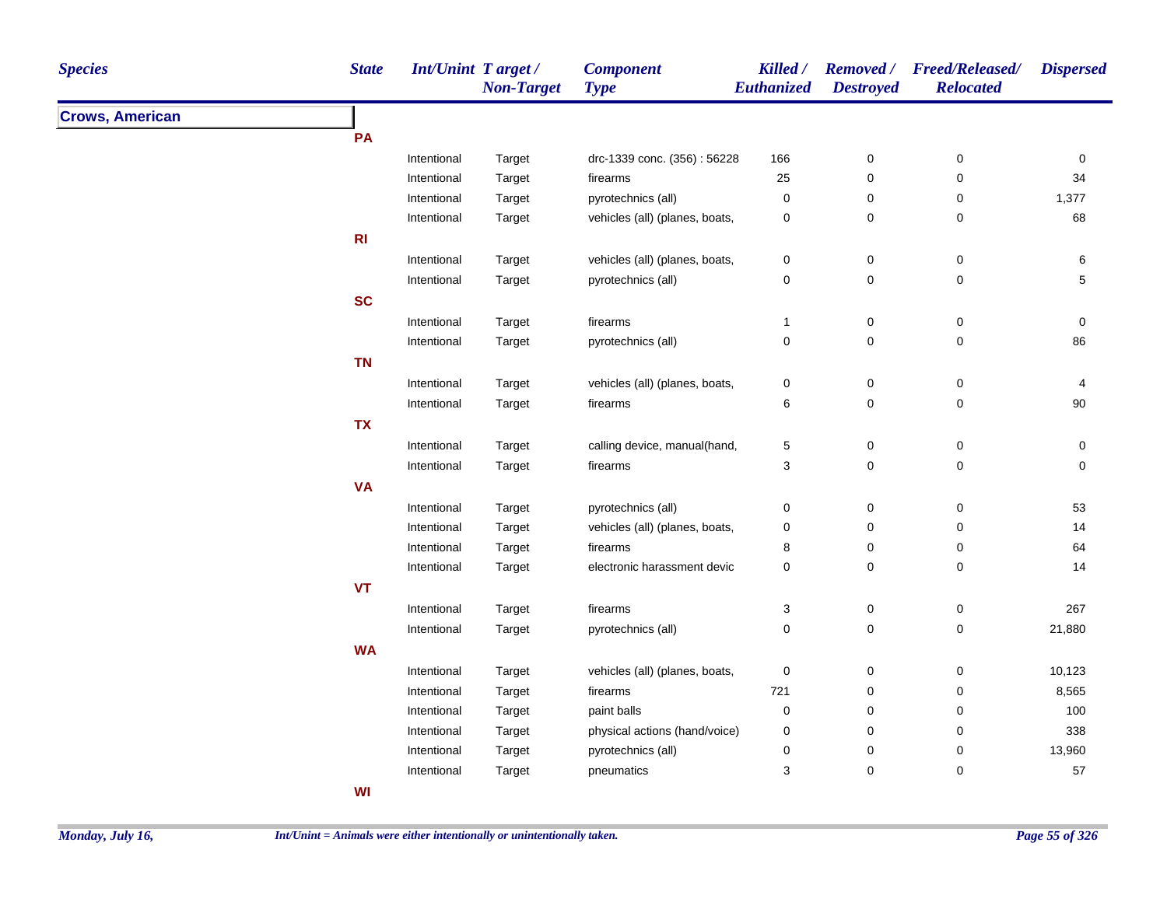| <b>Species</b>         | <b>State</b>   | <b>Int/Unint Target/</b> | <b>Non-Target</b> | <b>Component</b><br><b>Type</b> | <b>Killed</b> /<br>Euthanized | <b>Destroyed</b>    | Removed / Freed/Released/<br><b>Relocated</b> | <b>Dispersed</b> |
|------------------------|----------------|--------------------------|-------------------|---------------------------------|-------------------------------|---------------------|-----------------------------------------------|------------------|
| <b>Crows, American</b> |                |                          |                   |                                 |                               |                     |                                               |                  |
|                        | PA             |                          |                   |                                 |                               |                     |                                               |                  |
|                        |                | Intentional              | Target            | drc-1339 conc. (356): 56228     | 166                           | $\pmb{0}$           | 0                                             | $\pmb{0}$        |
|                        |                | Intentional              | Target            | firearms                        | 25                            | $\pmb{0}$           | $\pmb{0}$                                     | 34               |
|                        |                | Intentional              | Target            | pyrotechnics (all)              | $\pmb{0}$                     | $\pmb{0}$           | 0                                             | 1,377            |
|                        |                | Intentional              | Target            | vehicles (all) (planes, boats,  | $\pmb{0}$                     | $\pmb{0}$           | 0                                             | 68               |
|                        | R <sub>l</sub> |                          |                   |                                 |                               |                     |                                               |                  |
|                        |                | Intentional              | Target            | vehicles (all) (planes, boats,  | $\pmb{0}$                     | $\pmb{0}$           | $\mathsf 0$                                   | 6                |
|                        |                | Intentional              | Target            | pyrotechnics (all)              | $\mathbf 0$                   | $\mathbf 0$         | $\mathbf 0$                                   | 5                |
|                        | <b>SC</b>      |                          |                   |                                 |                               |                     |                                               |                  |
|                        |                | Intentional              | Target            | firearms                        | $\mathbf{1}$                  | $\mathsf{O}\xspace$ | $\pmb{0}$                                     | $\pmb{0}$        |
|                        |                | Intentional              | Target            | pyrotechnics (all)              | $\pmb{0}$                     | $\mathbf 0$         | 0                                             | 86               |
|                        | <b>TN</b>      |                          |                   |                                 |                               |                     |                                               |                  |
|                        |                | Intentional              | Target            | vehicles (all) (planes, boats,  | $\pmb{0}$                     | $\pmb{0}$           | 0                                             | $\overline{4}$   |
|                        |                | Intentional              | Target            | firearms                        | 6                             | $\mathsf{O}\xspace$ | 0                                             | 90               |
|                        | <b>TX</b>      |                          |                   |                                 |                               |                     |                                               |                  |
|                        |                | Intentional              | Target            | calling device, manual(hand,    | 5                             | $\mathbf 0$         | 0                                             | 0                |
|                        |                | Intentional              | Target            | firearms                        | 3                             | $\mathbf 0$         | 0                                             | 0                |
|                        | <b>VA</b>      |                          |                   |                                 |                               |                     |                                               |                  |
|                        |                | Intentional              | Target            | pyrotechnics (all)              | $\pmb{0}$                     | $\mathbf 0$         | 0                                             | 53               |
|                        |                | Intentional              | Target            | vehicles (all) (planes, boats,  | 0                             | 0                   | 0                                             | 14               |
|                        |                | Intentional              | Target            | firearms                        | 8                             | 0                   | 0                                             | 64               |
|                        |                | Intentional              | Target            | electronic harassment devic     | 0                             | 0                   | 0                                             | 14               |
|                        | <b>VT</b>      |                          |                   |                                 |                               |                     |                                               |                  |
|                        |                | Intentional              | Target            | firearms                        | 3                             | $\mathbf 0$         | 0                                             | 267              |
|                        |                | Intentional              | Target            | pyrotechnics (all)              | $\pmb{0}$                     | $\mathsf{O}\xspace$ | 0                                             | 21,880           |
|                        | <b>WA</b>      |                          |                   |                                 |                               |                     |                                               |                  |
|                        |                | Intentional              | Target            | vehicles (all) (planes, boats,  | $\pmb{0}$                     | 0                   | 0                                             | 10,123           |
|                        |                | Intentional              | Target            | firearms                        | 721                           | 0                   | 0                                             | 8,565            |
|                        |                | Intentional              | Target            | paint balls                     | $\boldsymbol{0}$              | 0                   | 0                                             | 100              |
|                        |                | Intentional              | Target            | physical actions (hand/voice)   | 0                             | 0                   | 0                                             | 338              |
|                        |                | Intentional              | Target            | pyrotechnics (all)              | $\pmb{0}$                     | 0                   | $\pmb{0}$                                     | 13,960           |
|                        |                | Intentional              | Target            | pneumatics                      | 3                             | $\pmb{0}$           | $\pmb{0}$                                     | 57               |
|                        | <b>WI</b>      |                          |                   |                                 |                               |                     |                                               |                  |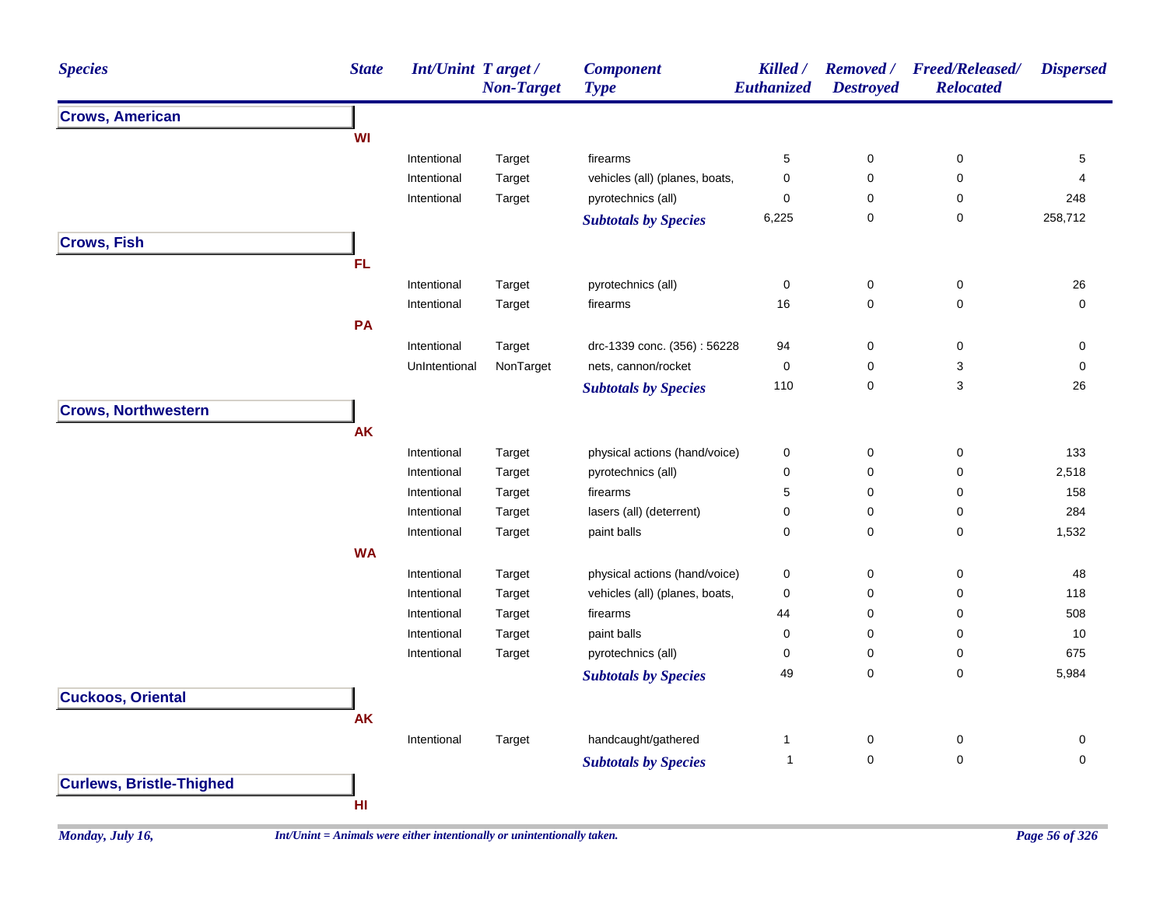| <b>Species</b>                  | <b>State</b> | <b>Int/Unint Target/</b> | <b>Non-Target</b> | <b>Component</b><br><b>Type</b> | Killed /<br>Euthanized | <b>Removed</b> /<br><b>Destroyed</b> | <b>Freed/Released/</b><br><b>Relocated</b> | <b>Dispersed</b> |
|---------------------------------|--------------|--------------------------|-------------------|---------------------------------|------------------------|--------------------------------------|--------------------------------------------|------------------|
| <b>Crows, American</b>          |              |                          |                   |                                 |                        |                                      |                                            |                  |
|                                 | WI           |                          |                   |                                 |                        |                                      |                                            |                  |
|                                 |              | Intentional              | Target            | firearms                        | $\,$ 5 $\,$            | 0                                    | 0                                          | 5                |
|                                 |              | Intentional              | Target            | vehicles (all) (planes, boats,  | $\pmb{0}$              | 0                                    | 0                                          | $\overline{4}$   |
|                                 |              | Intentional              | Target            | pyrotechnics (all)              | $\mathbf 0$            | 0                                    | 0                                          | 248              |
|                                 |              |                          |                   | <b>Subtotals by Species</b>     | 6,225                  | $\pmb{0}$                            | 0                                          | 258,712          |
| <b>Crows, Fish</b>              |              |                          |                   |                                 |                        |                                      |                                            |                  |
|                                 | <b>FL</b>    |                          |                   |                                 |                        |                                      |                                            |                  |
|                                 |              | Intentional              | Target            | pyrotechnics (all)              | $\pmb{0}$              | 0                                    | 0                                          | 26               |
|                                 |              | Intentional              | Target            | firearms                        | 16                     | 0                                    | 0                                          | 0                |
|                                 | PA           |                          |                   |                                 |                        |                                      |                                            |                  |
|                                 |              | Intentional              | Target            | drc-1339 conc. (356): 56228     | 94                     | $\mathbf 0$                          | $\pmb{0}$                                  | 0                |
|                                 |              | UnIntentional            | NonTarget         | nets, cannon/rocket             | 0                      | 0                                    | 3                                          | 0                |
|                                 |              |                          |                   | <b>Subtotals by Species</b>     | 110                    | 0                                    | 3                                          | 26               |
| <b>Crows, Northwestern</b>      |              |                          |                   |                                 |                        |                                      |                                            |                  |
|                                 | <b>AK</b>    |                          |                   |                                 |                        |                                      |                                            |                  |
|                                 |              | Intentional              | Target            | physical actions (hand/voice)   | 0                      | $\mathbf 0$                          | 0                                          | 133              |
|                                 |              | Intentional              | Target            | pyrotechnics (all)              | $\pmb{0}$              | 0                                    | 0                                          | 2,518            |
|                                 |              | Intentional              | Target            | firearms                        | 5                      | 0                                    | 0                                          | 158              |
|                                 |              | Intentional              | Target            | lasers (all) (deterrent)        | $\pmb{0}$              | $\pmb{0}$                            | 0                                          | 284              |
|                                 |              | Intentional              | Target            | paint balls                     | $\mathbf 0$            | 0                                    | 0                                          | 1,532            |
|                                 | <b>WA</b>    |                          |                   |                                 |                        |                                      |                                            |                  |
|                                 |              | Intentional              | Target            | physical actions (hand/voice)   | 0                      | 0                                    | 0                                          | 48               |
|                                 |              | Intentional              | Target            | vehicles (all) (planes, boats,  | 0                      | 0                                    | 0                                          | 118              |
|                                 |              | Intentional              | Target            | firearms                        | 44                     | 0                                    | 0                                          | 508              |
|                                 |              | Intentional              | Target            | paint balls                     | 0                      | 0                                    | 0                                          | 10               |
|                                 |              | Intentional              | Target            | pyrotechnics (all)              | $\mathbf 0$            | 0                                    | 0                                          | 675              |
|                                 |              |                          |                   | <b>Subtotals by Species</b>     | 49                     | $\pmb{0}$                            | 0                                          | 5,984            |
| <b>Cuckoos, Oriental</b>        |              |                          |                   |                                 |                        |                                      |                                            |                  |
|                                 | <b>AK</b>    |                          |                   |                                 |                        |                                      |                                            |                  |
|                                 |              | Intentional              | Target            | handcaught/gathered             | $\mathbf{1}$           | 0                                    | 0                                          | 0                |
|                                 |              |                          |                   | <b>Subtotals by Species</b>     | $\mathbf{1}$           | $\mathbf 0$                          | $\mathsf 0$                                | $\mathbf 0$      |
| <b>Curlews, Bristle-Thighed</b> |              |                          |                   |                                 |                        |                                      |                                            |                  |
|                                 | HI           |                          |                   |                                 |                        |                                      |                                            |                  |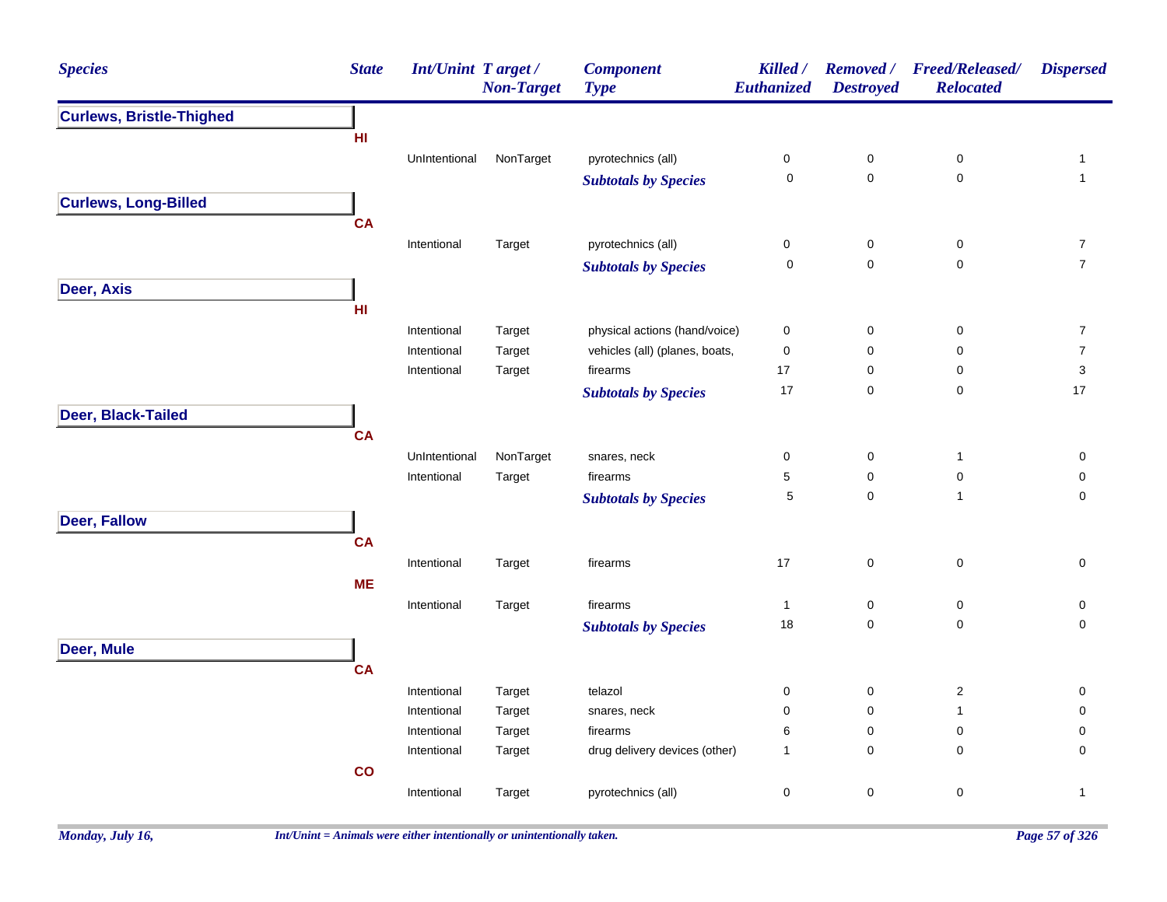| <b>Species</b>                  | <b>State</b> | <b>Int/Unint Target/</b> | <b>Non-Target</b> | <b>Component</b><br><b>Type</b> | Killed /<br><b>Euthanized</b> | <b>Removed</b> /<br><b>Destroyed</b> | <b>Freed/Released/</b><br><b>Relocated</b> | <b>Dispersed</b> |
|---------------------------------|--------------|--------------------------|-------------------|---------------------------------|-------------------------------|--------------------------------------|--------------------------------------------|------------------|
| <b>Curlews, Bristle-Thighed</b> |              |                          |                   |                                 |                               |                                      |                                            |                  |
|                                 | HI.          |                          |                   |                                 |                               |                                      |                                            |                  |
|                                 |              | UnIntentional            | NonTarget         | pyrotechnics (all)              | $\pmb{0}$                     | $\pmb{0}$                            | $\pmb{0}$                                  | $\mathbf{1}$     |
|                                 |              |                          |                   | <b>Subtotals by Species</b>     | $\mathsf 0$                   | $\mathsf 0$                          | $\pmb{0}$                                  | $\mathbf{1}$     |
| <b>Curlews, Long-Billed</b>     |              |                          |                   |                                 |                               |                                      |                                            |                  |
|                                 | <b>CA</b>    |                          |                   |                                 |                               |                                      |                                            |                  |
|                                 |              | Intentional              | Target            | pyrotechnics (all)              | 0                             | 0                                    | 0                                          | $\overline{7}$   |
|                                 |              |                          |                   | <b>Subtotals by Species</b>     | 0                             | 0                                    | $\pmb{0}$                                  | $\overline{7}$   |
| Deer, Axis                      |              |                          |                   |                                 |                               |                                      |                                            |                  |
|                                 | HI           |                          |                   |                                 |                               |                                      |                                            |                  |
|                                 |              | Intentional              | Target            | physical actions (hand/voice)   | 0                             | 0                                    | 0                                          | $\overline{7}$   |
|                                 |              | Intentional              | Target            | vehicles (all) (planes, boats,  | $\pmb{0}$                     | $\pmb{0}$                            | $\mathbf 0$                                | $\overline{7}$   |
|                                 |              | Intentional              | Target            | firearms                        | 17                            | 0                                    | 0                                          | 3                |
|                                 |              |                          |                   | <b>Subtotals by Species</b>     | 17                            | 0                                    | $\mathbf 0$                                | $17$             |
| Deer, Black-Tailed              |              |                          |                   |                                 |                               |                                      |                                            |                  |
|                                 | <b>CA</b>    |                          |                   |                                 |                               |                                      |                                            |                  |
|                                 |              | UnIntentional            | NonTarget         | snares, neck                    | 0                             | 0                                    | $\mathbf{1}$                               | 0                |
|                                 |              | Intentional              | Target            | firearms                        | 5                             | $\pmb{0}$                            | $\mathbf 0$                                | $\pmb{0}$        |
|                                 |              |                          |                   | <b>Subtotals by Species</b>     | $\mathbf 5$                   | $\mathsf 0$                          | $\mathbf{1}$                               | $\mathsf 0$      |
| <b>Deer, Fallow</b>             |              |                          |                   |                                 |                               |                                      |                                            |                  |
|                                 | <b>CA</b>    |                          |                   |                                 |                               |                                      |                                            |                  |
|                                 |              | Intentional              | Target            | firearms                        | 17                            | $\mathsf 0$                          | $\mathbf 0$                                | $\mathbf 0$      |
|                                 | <b>ME</b>    |                          |                   |                                 |                               |                                      |                                            |                  |
|                                 |              | Intentional              | Target            | firearms                        | $\mathbf{1}$                  | 0                                    | 0                                          | 0                |
|                                 |              |                          |                   | <b>Subtotals by Species</b>     | 18                            | 0                                    | $\mathbf 0$                                | 0                |
| Deer, Mule                      |              |                          |                   |                                 |                               |                                      |                                            |                  |
|                                 | <b>CA</b>    |                          |                   |                                 |                               |                                      |                                            |                  |
|                                 |              | Intentional              | Target            | telazol                         | 0                             | 0                                    | $\overline{c}$                             | 0                |
|                                 |              | Intentional              | Target            | snares, neck                    | 0                             | $\mathbf 0$                          | $\mathbf{1}$                               | 0                |
|                                 |              | Intentional              | Target            | firearms                        | 6                             | $\mathbf 0$                          | $\mathbf 0$                                | 0                |
|                                 |              | Intentional              | Target            | drug delivery devices (other)   | $\mathbf{1}$                  | $\mathsf 0$                          | 0                                          | 0                |
|                                 | co           |                          |                   |                                 |                               |                                      |                                            |                  |
|                                 |              | Intentional              | Target            | pyrotechnics (all)              | 0                             | $\mathsf 0$                          | $\pmb{0}$                                  | $\mathbf{1}$     |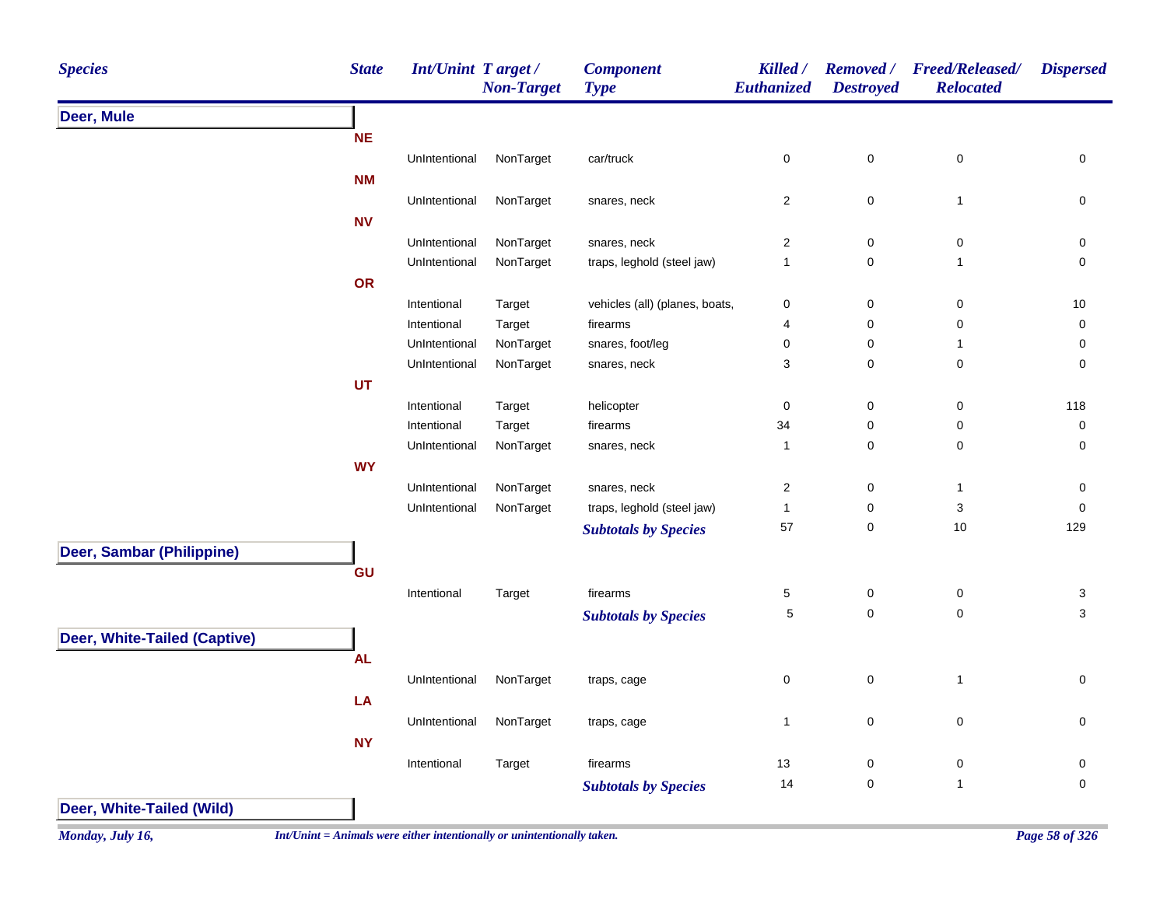| <b>Species</b>               | <b>State</b> | Int/Unint Target/ | <b>Non-Target</b> | <b>Component</b><br><b>Type</b> | Killed /<br>Euthanized  | <b>Removed</b> /<br><b>Destroyed</b> | <b>Freed/Released/</b><br><b>Relocated</b> | <b>Dispersed</b>          |
|------------------------------|--------------|-------------------|-------------------|---------------------------------|-------------------------|--------------------------------------|--------------------------------------------|---------------------------|
| Deer, Mule                   |              |                   |                   |                                 |                         |                                      |                                            |                           |
|                              | <b>NE</b>    |                   |                   |                                 |                         |                                      |                                            |                           |
|                              |              | UnIntentional     | NonTarget         | car/truck                       | $\pmb{0}$               | $\pmb{0}$                            | $\pmb{0}$                                  | $\pmb{0}$                 |
|                              | <b>NM</b>    |                   |                   |                                 |                         |                                      |                                            |                           |
|                              |              | UnIntentional     | NonTarget         | snares, neck                    | $\overline{c}$          | $\pmb{0}$                            | $\mathbf{1}$                               | 0                         |
|                              | <b>NV</b>    |                   |                   |                                 |                         |                                      |                                            |                           |
|                              |              | UnIntentional     | NonTarget         | snares, neck                    | $\overline{\mathbf{c}}$ | $\pmb{0}$                            | $\pmb{0}$                                  | 0                         |
|                              |              | UnIntentional     | NonTarget         | traps, leghold (steel jaw)      | $\mathbf{1}$            | $\pmb{0}$                            | $\mathbf{1}$                               | $\pmb{0}$                 |
|                              | OR           |                   |                   |                                 |                         |                                      |                                            |                           |
|                              |              | Intentional       | Target            | vehicles (all) (planes, boats,  | 0                       | $\pmb{0}$                            | $\pmb{0}$                                  | $10\,$                    |
|                              |              | Intentional       | Target            | firearms                        | 4                       | $\pmb{0}$                            | $\pmb{0}$                                  | 0                         |
|                              |              | UnIntentional     | NonTarget         | snares, foot/leg                | 0                       | $\pmb{0}$                            | 1                                          | 0                         |
|                              |              | UnIntentional     | NonTarget         | snares, neck                    | 3                       | $\pmb{0}$                            | $\mathbf 0$                                | 0                         |
|                              | <b>UT</b>    |                   |                   |                                 |                         |                                      |                                            |                           |
|                              |              | Intentional       | Target            | helicopter                      | $\pmb{0}$               | $\mathbf 0$                          | $\pmb{0}$                                  | 118                       |
|                              |              | Intentional       | Target            | firearms                        | 34                      | $\pmb{0}$                            | 0                                          | $\pmb{0}$                 |
|                              |              | UnIntentional     | NonTarget         | snares, neck                    | $\mathbf{1}$            | $\pmb{0}$                            | $\mathbf 0$                                | 0                         |
|                              | <b>WY</b>    |                   |                   |                                 |                         |                                      |                                            |                           |
|                              |              | UnIntentional     | NonTarget         | snares, neck                    | $\overline{\mathbf{c}}$ | $\pmb{0}$                            | $\mathbf{1}$                               | 0                         |
|                              |              | UnIntentional     | NonTarget         | traps, leghold (steel jaw)      | $\mathbf{1}$            | $\pmb{0}$                            | $\ensuremath{\mathsf{3}}$                  | $\pmb{0}$                 |
|                              |              |                   |                   | <b>Subtotals by Species</b>     | 57                      | $\pmb{0}$                            | 10                                         | 129                       |
| Deer, Sambar (Philippine)    |              |                   |                   |                                 |                         |                                      |                                            |                           |
|                              | GU           |                   |                   |                                 |                         |                                      |                                            |                           |
|                              |              | Intentional       | Target            | firearms                        | 5                       | $\pmb{0}$                            | $\pmb{0}$                                  | $\ensuremath{\mathsf{3}}$ |
|                              |              |                   |                   | <b>Subtotals by Species</b>     | 5                       | $\pmb{0}$                            | $\mathsf{O}\xspace$                        | $\mathsf 3$               |
| Deer, White-Tailed (Captive) |              |                   |                   |                                 |                         |                                      |                                            |                           |
|                              | <b>AL</b>    |                   |                   |                                 |                         |                                      |                                            |                           |
|                              |              | UnIntentional     | NonTarget         | traps, cage                     | $\pmb{0}$               | $\pmb{0}$                            | $\mathbf{1}$                               | $\pmb{0}$                 |
|                              | LA           |                   |                   |                                 |                         |                                      |                                            |                           |
|                              |              | UnIntentional     | NonTarget         | traps, cage                     | $\mathbf{1}$            | $\pmb{0}$                            | $\mathbf 0$                                | $\pmb{0}$                 |
|                              | <b>NY</b>    |                   |                   |                                 |                         |                                      |                                            |                           |
|                              |              | Intentional       | Target            | firearms                        | 13                      | $\pmb{0}$                            | $\pmb{0}$                                  | $\pmb{0}$                 |
|                              |              |                   |                   | <b>Subtotals by Species</b>     | 14                      | $\pmb{0}$                            | $\mathbf{1}$                               | $\pmb{0}$                 |
| Deer, White-Tailed (Wild)    |              |                   |                   |                                 |                         |                                      |                                            |                           |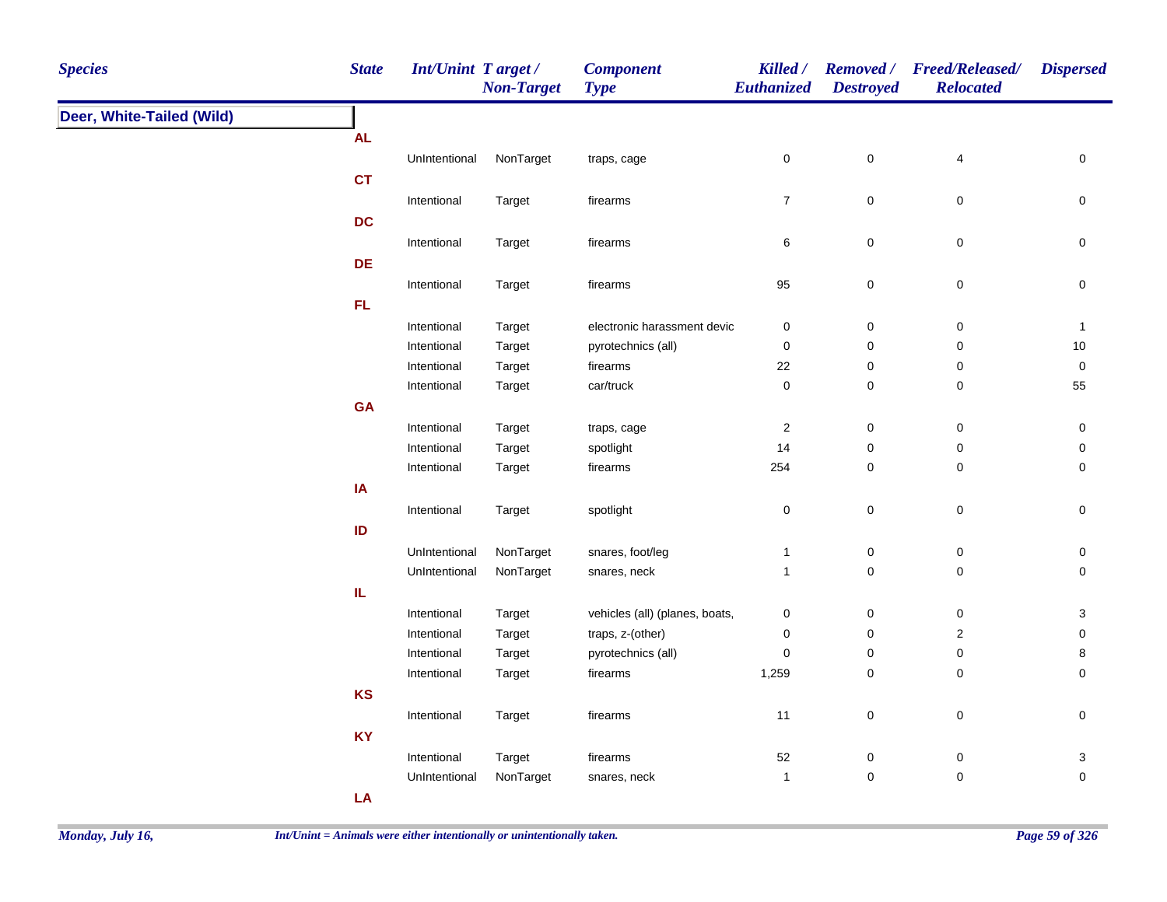| <b>Species</b>            | <b>State</b> | Int/Unint Target/ | <b>Non-Target</b> | <b>Component</b><br><b>Type</b> | Killed /<br>Euthanized  | <b>Destroyed</b> | Removed / Freed/Released/<br><b>Relocated</b> | <b>Dispersed</b> |
|---------------------------|--------------|-------------------|-------------------|---------------------------------|-------------------------|------------------|-----------------------------------------------|------------------|
| Deer, White-Tailed (Wild) |              |                   |                   |                                 |                         |                  |                                               |                  |
|                           | <b>AL</b>    |                   |                   |                                 |                         |                  |                                               |                  |
|                           |              | UnIntentional     | NonTarget         | traps, cage                     | 0                       | 0                | $\overline{\mathbf{4}}$                       | 0                |
|                           | <b>CT</b>    |                   |                   |                                 |                         |                  |                                               |                  |
|                           |              | Intentional       | Target            | firearms                        | $\overline{7}$          | $\pmb{0}$        | $\pmb{0}$                                     | 0                |
|                           | <b>DC</b>    |                   |                   |                                 |                         |                  |                                               |                  |
|                           |              | Intentional       | Target            | firearms                        | 6                       | $\mathsf 0$      | $\pmb{0}$                                     | 0                |
|                           | <b>DE</b>    |                   |                   |                                 |                         |                  |                                               |                  |
|                           |              | Intentional       | Target            | firearms                        | 95                      | $\pmb{0}$        | $\pmb{0}$                                     | 0                |
|                           | FL.          |                   |                   |                                 |                         |                  |                                               |                  |
|                           |              | Intentional       | Target            | electronic harassment devic     | $\boldsymbol{0}$        | 0                | $\mathbf 0$                                   | $\mathbf{1}$     |
|                           |              | Intentional       | Target            | pyrotechnics (all)              | $\pmb{0}$               | $\mathsf 0$      | $\pmb{0}$                                     | $10$             |
|                           |              | Intentional       | Target            | firearms                        | 22                      | 0                | $\pmb{0}$                                     | 0                |
|                           |              | Intentional       | Target            | car/truck                       | $\pmb{0}$               | 0                | $\pmb{0}$                                     | 55               |
|                           | GA           |                   |                   |                                 |                         |                  |                                               |                  |
|                           |              | Intentional       | Target            | traps, cage                     | $\overline{\mathbf{c}}$ | 0                | $\pmb{0}$                                     | 0                |
|                           |              | Intentional       | Target            | spotlight                       | 14                      | 0                | $\pmb{0}$                                     | 0                |
|                           |              | Intentional       | Target            | firearms                        | 254                     | 0                | $\mathbf 0$                                   | 0                |
|                           | IA           |                   |                   |                                 |                         |                  |                                               |                  |
|                           |              | Intentional       | Target            | spotlight                       | $\pmb{0}$               | $\mathsf 0$      | $\pmb{0}$                                     | 0                |
|                           | ID           |                   |                   |                                 |                         |                  |                                               |                  |
|                           |              | UnIntentional     | NonTarget         | snares, foot/leg                | $\mathbf{1}$            | 0                | $\pmb{0}$                                     | 0                |
|                           |              | UnIntentional     | NonTarget         | snares, neck                    | $\mathbf{1}$            | $\mathsf 0$      | $\mathsf 0$                                   | 0                |
|                           | IL.          |                   |                   |                                 |                         |                  |                                               |                  |
|                           |              | Intentional       | Target            | vehicles (all) (planes, boats,  | $\pmb{0}$               | 0                | $\pmb{0}$                                     | 3                |
|                           |              | Intentional       | Target            | traps, z-(other)                | $\boldsymbol{0}$        | 0                | $\overline{2}$                                | 0                |
|                           |              | Intentional       | Target            | pyrotechnics (all)              | $\pmb{0}$               | $\pmb{0}$        | $\pmb{0}$                                     | 8                |
|                           |              | Intentional       | Target            | firearms                        | 1,259                   | 0                | 0                                             | 0                |
|                           | KS           |                   |                   |                                 |                         |                  |                                               |                  |
|                           |              | Intentional       | Target            | firearms                        | 11                      | $\pmb{0}$        | $\pmb{0}$                                     | 0                |
|                           | <b>KY</b>    |                   |                   |                                 |                         |                  |                                               |                  |
|                           |              | Intentional       | Target            | firearms                        | 52                      | 0                | $\pmb{0}$                                     | 3                |
|                           |              | UnIntentional     | NonTarget         | snares, neck                    | $\mathbf{1}$            | $\pmb{0}$        | $\pmb{0}$                                     | 0                |
|                           | LA           |                   |                   |                                 |                         |                  |                                               |                  |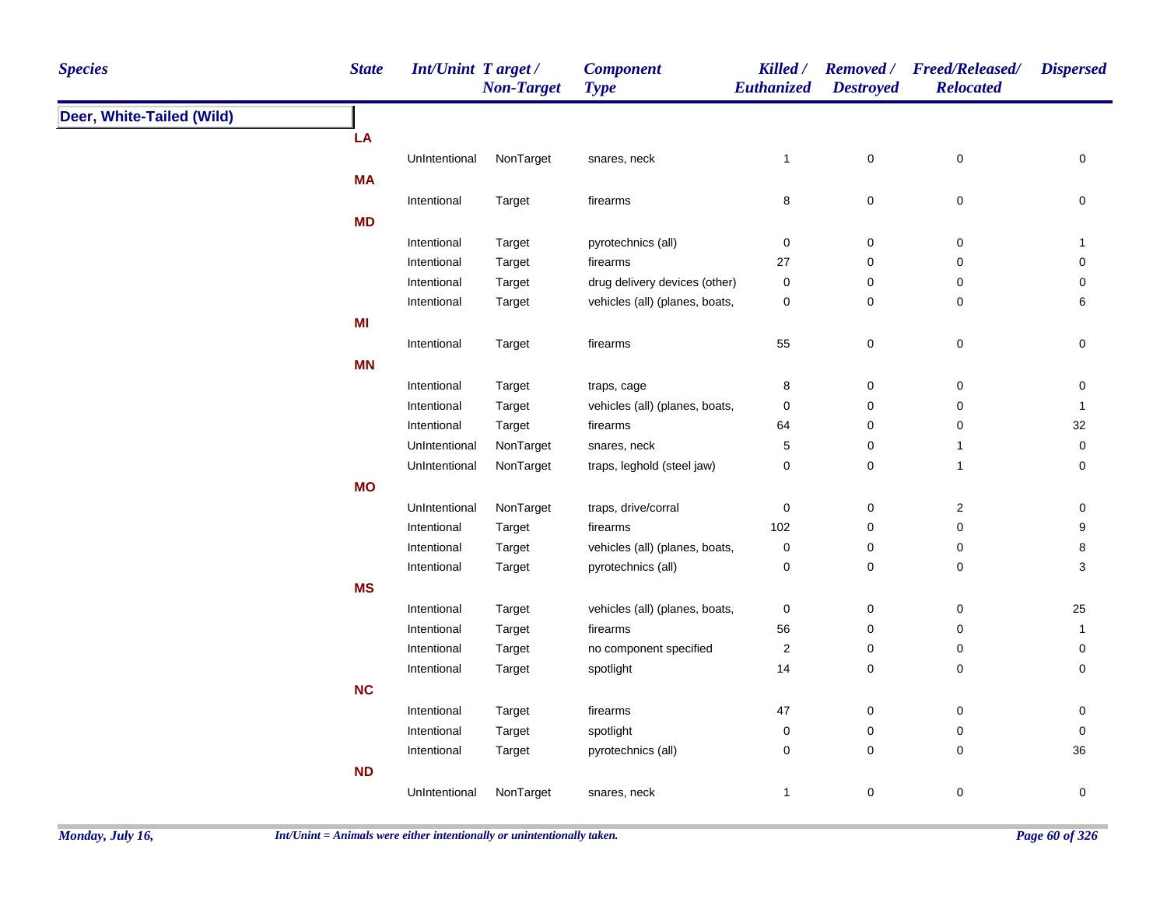| <b>Species</b>            | <b>State</b> | <b>Int/Unint Target/</b> | <b>Non-Target</b> | <b>Component</b><br><b>Type</b> | Killed /<br><b>Euthanized</b> | <b>Destroyed</b> | Removed / Freed/Released/<br><b>Relocated</b> | <b>Dispersed</b>    |
|---------------------------|--------------|--------------------------|-------------------|---------------------------------|-------------------------------|------------------|-----------------------------------------------|---------------------|
| Deer, White-Tailed (Wild) |              |                          |                   |                                 |                               |                  |                                               |                     |
|                           | LA           |                          |                   |                                 |                               |                  |                                               |                     |
|                           |              | UnIntentional            | NonTarget         | snares, neck                    | 1                             | $\mathsf 0$      | $\pmb{0}$                                     | $\mathbf 0$         |
|                           | MA           |                          |                   |                                 |                               |                  |                                               |                     |
|                           |              | Intentional              | Target            | firearms                        | 8                             | $\pmb{0}$        | $\pmb{0}$                                     | 0                   |
|                           | <b>MD</b>    |                          |                   |                                 |                               |                  |                                               |                     |
|                           |              | Intentional              | Target            | pyrotechnics (all)              | 0                             | $\pmb{0}$        | 0                                             | 1                   |
|                           |              | Intentional              | Target            | firearms                        | 27                            | 0                | 0                                             | $\mathbf 0$         |
|                           |              | Intentional              | Target            | drug delivery devices (other)   | 0                             | $\pmb{0}$        | 0                                             | 0                   |
|                           |              | Intentional              | Target            | vehicles (all) (planes, boats,  | 0                             | 0                | 0                                             | 6                   |
|                           | MI           |                          |                   |                                 |                               |                  |                                               |                     |
|                           |              | Intentional              | Target            | firearms                        | 55                            | $\mathsf 0$      | $\pmb{0}$                                     | $\mathsf{O}\xspace$ |
|                           | <b>MN</b>    |                          |                   |                                 |                               |                  |                                               |                     |
|                           |              | Intentional              | Target            | traps, cage                     | 8                             | $\pmb{0}$        | $\pmb{0}$                                     | 0                   |
|                           |              | Intentional              | Target            | vehicles (all) (planes, boats,  | 0                             | 0                | 0                                             | $\mathbf{1}$        |
|                           |              | Intentional              | Target            | firearms                        | 64                            | 0                | 0                                             | 32                  |
|                           |              | UnIntentional            | NonTarget         | snares, neck                    | 5                             | 0                | $\mathbf{1}$                                  | $\pmb{0}$           |
|                           |              | UnIntentional            | NonTarget         | traps, leghold (steel jaw)      | 0                             | 0                | $\mathbf{1}$                                  | 0                   |
|                           | <b>MO</b>    |                          |                   |                                 |                               |                  |                                               |                     |
|                           |              | UnIntentional            | NonTarget         | traps, drive/corral             | 0                             | $\pmb{0}$        | $\boldsymbol{2}$                              | 0                   |
|                           |              | Intentional              | Target            | firearms                        | 102                           | 0                | $\pmb{0}$                                     | 9                   |
|                           |              | Intentional              | Target            | vehicles (all) (planes, boats,  | 0                             | 0                | 0                                             | 8                   |
|                           |              | Intentional              | Target            | pyrotechnics (all)              | 0                             | 0                | 0                                             | 3                   |
|                           | <b>MS</b>    |                          |                   |                                 |                               |                  |                                               |                     |
|                           |              | Intentional              | Target            | vehicles (all) (planes, boats,  | 0                             | 0                | 0                                             | 25                  |
|                           |              | Intentional              | Target            | firearms                        | 56                            | 0                | 0                                             | $\mathbf{1}$        |
|                           |              | Intentional              | Target            | no component specified          | 2                             | 0                | 0                                             | $\mathsf{O}\xspace$ |
|                           |              | Intentional              | Target            | spotlight                       | 14                            | 0                | $\mathsf 0$                                   | 0                   |
|                           | <b>NC</b>    |                          |                   |                                 |                               |                  |                                               |                     |
|                           |              | Intentional              | Target            | firearms                        | 47                            | 0                | 0                                             | 0                   |
|                           |              | Intentional              | Target            | spotlight                       | 0                             | $\pmb{0}$        | 0                                             | 0                   |
|                           |              | Intentional              | Target            | pyrotechnics (all)              | 0                             | 0                | 0                                             | 36                  |
|                           | <b>ND</b>    |                          |                   |                                 |                               |                  |                                               |                     |
|                           |              | UnIntentional            | NonTarget         | snares, neck                    | 1                             | 0                | 0                                             | 0                   |
|                           |              |                          |                   |                                 |                               |                  |                                               |                     |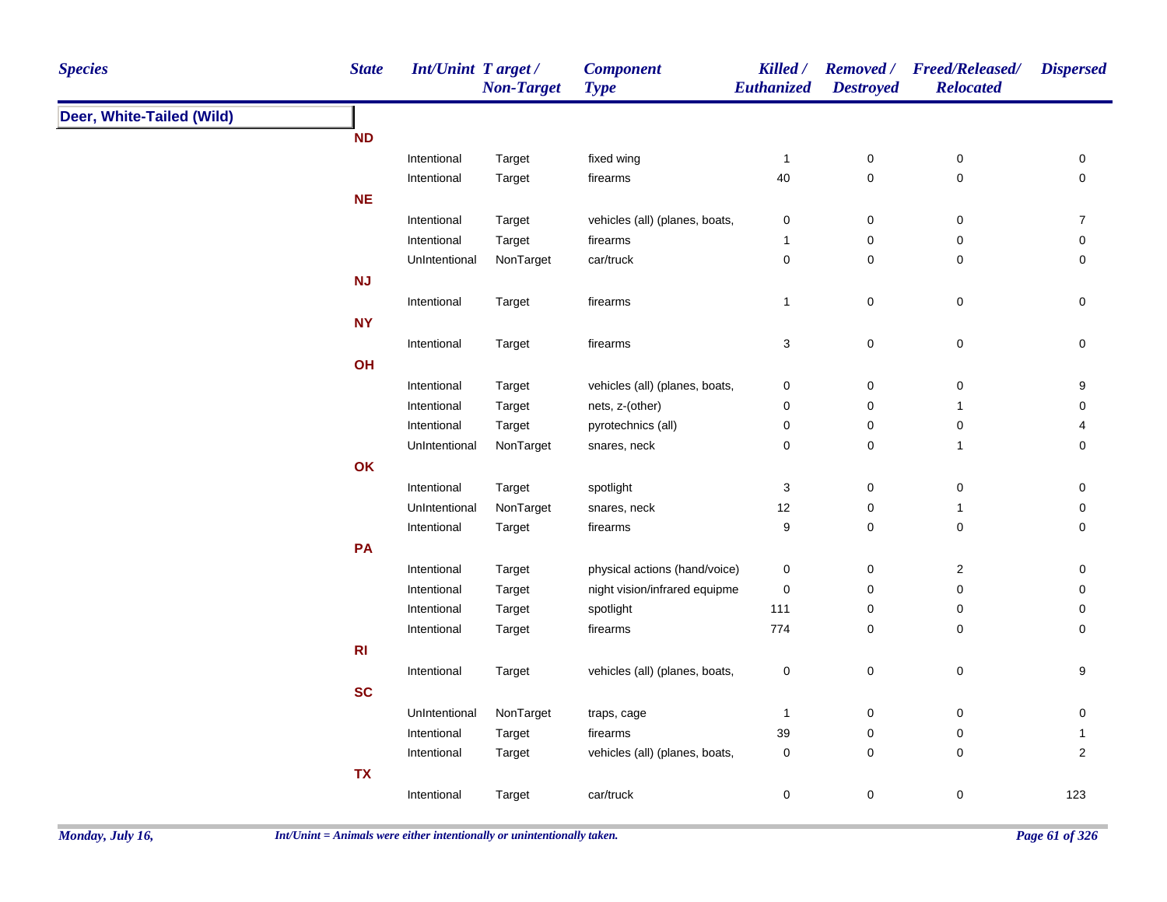| <b>Species</b>            | <b>State</b>   | <b>Int/Unint Target/</b> | <b>Non-Target</b> | <b>Component</b><br><b>Type</b> | Killed /<br>Euthanized | <b>Destroyed</b> | Removed / Freed/Released/<br><b>Relocated</b> | <b>Dispersed</b> |
|---------------------------|----------------|--------------------------|-------------------|---------------------------------|------------------------|------------------|-----------------------------------------------|------------------|
| Deer, White-Tailed (Wild) |                |                          |                   |                                 |                        |                  |                                               |                  |
|                           | <b>ND</b>      |                          |                   |                                 |                        |                  |                                               |                  |
|                           |                | Intentional              | Target            | fixed wing                      | $\mathbf{1}$           | $\pmb{0}$        | $\boldsymbol{0}$                              | 0                |
|                           |                | Intentional              | Target            | firearms                        | $40\,$                 | $\mathsf 0$      | $\pmb{0}$                                     | $\mathbf 0$      |
|                           | <b>NE</b>      |                          |                   |                                 |                        |                  |                                               |                  |
|                           |                | Intentional              | Target            | vehicles (all) (planes, boats,  | 0                      | $\pmb{0}$        | 0                                             | $\overline{7}$   |
|                           |                | Intentional              | Target            | firearms                        | $\mathbf{1}$           | 0                | $\mathbf 0$                                   | 0                |
|                           |                | UnIntentional            | NonTarget         | car/truck                       | 0                      | 0                | 0                                             | 0                |
|                           | <b>NJ</b>      |                          |                   |                                 |                        |                  |                                               |                  |
|                           |                | Intentional              | Target            | firearms                        | $\overline{1}$         | $\mathsf 0$      | $\pmb{0}$                                     | 0                |
|                           | <b>NY</b>      |                          |                   |                                 |                        |                  |                                               |                  |
|                           |                | Intentional              | Target            | firearms                        | 3                      | $\mathsf 0$      | $\pmb{0}$                                     | 0                |
|                           | OH             |                          |                   |                                 |                        |                  |                                               |                  |
|                           |                | Intentional              | Target            | vehicles (all) (planes, boats,  | $\pmb{0}$              | $\pmb{0}$        | $\pmb{0}$                                     | $\boldsymbol{9}$ |
|                           |                | Intentional              | Target            | nets, z-(other)                 | 0                      | $\pmb{0}$        | $\overline{1}$                                | $\pmb{0}$        |
|                           |                | Intentional              | Target            | pyrotechnics (all)              | $\pmb{0}$              | $\mathsf 0$      | $\pmb{0}$                                     | 4                |
|                           |                | UnIntentional            | NonTarget         | snares, neck                    | 0                      | $\mathsf 0$      | $\overline{1}$                                | 0                |
|                           | OK             |                          |                   |                                 |                        |                  |                                               |                  |
|                           |                | Intentional              | Target            | spotlight                       | 3                      | $\mathsf 0$      | $\pmb{0}$                                     | 0                |
|                           |                | UnIntentional            | NonTarget         | snares, neck                    | 12                     | $\pmb{0}$        | $\overline{1}$                                | 0                |
|                           |                | Intentional              | Target            | firearms                        | 9                      | $\mathsf 0$      | $\pmb{0}$                                     | 0                |
|                           | PA             |                          |                   |                                 |                        |                  |                                               |                  |
|                           |                | Intentional              | Target            | physical actions (hand/voice)   | $\mathbf 0$            | 0                | $\overline{2}$                                | 0                |
|                           |                | Intentional              | Target            | night vision/infrared equipme   | $\mathbf 0$            | 0                | $\mathbf 0$                                   | 0                |
|                           |                | Intentional              | Target            | spotlight                       | 111                    | 0                | $\mathbf 0$                                   | 0                |
|                           |                | Intentional              | Target            | firearms                        | 774                    | 0                | $\mathbf 0$                                   | 0                |
|                           | R <sub>l</sub> |                          |                   |                                 |                        |                  |                                               |                  |
|                           |                | Intentional              | Target            | vehicles (all) (planes, boats,  | $\pmb{0}$              | $\mathsf 0$      | $\pmb{0}$                                     | $\boldsymbol{9}$ |
|                           | <b>SC</b>      |                          |                   |                                 |                        |                  |                                               |                  |
|                           |                | UnIntentional            | NonTarget         | traps, cage                     | $\overline{1}$         | 0                | $\mathbf 0$                                   | 0                |
|                           |                | Intentional              | Target            | firearms                        | 39                     | 0                | $\mathbf 0$                                   | $\mathbf{1}$     |
|                           |                | Intentional              | Target            | vehicles (all) (planes, boats,  | $\mathbf 0$            | $\mathsf 0$      | $\mathbf 0$                                   | $\overline{2}$   |
|                           | <b>TX</b>      |                          |                   |                                 |                        |                  |                                               |                  |
|                           |                |                          |                   |                                 |                        | $\mathbf 0$      |                                               |                  |
|                           |                | Intentional              | Target            | car/truck                       | 0                      |                  | 0                                             | 123              |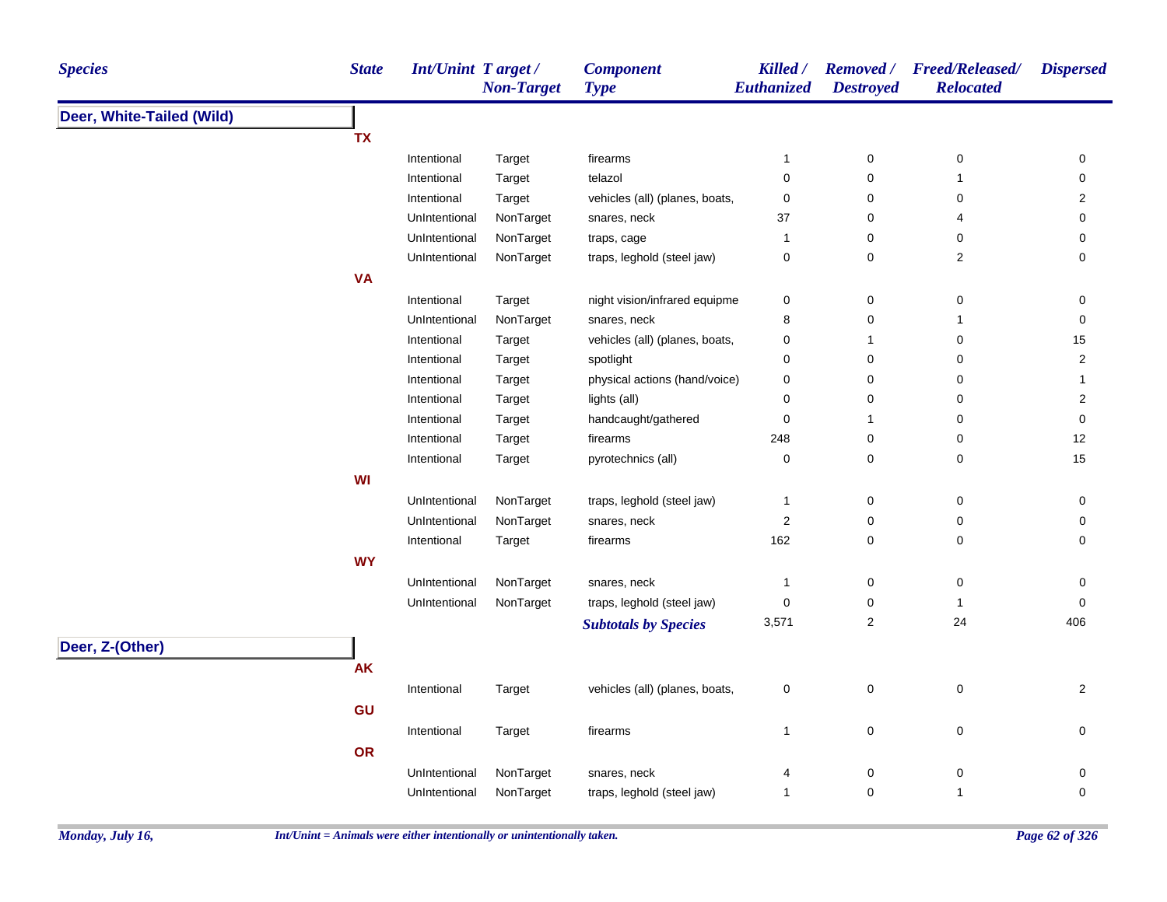| <b>Species</b>            | <b>State</b> | Int/Unint Target/ | <b>Non-Target</b> | <b>Component</b><br><b>Type</b> | Killed /<br><b>Euthanized</b> | <b>Destroyed</b>        | Removed / Freed/Released/<br><b>Relocated</b> | <b>Dispersed</b> |
|---------------------------|--------------|-------------------|-------------------|---------------------------------|-------------------------------|-------------------------|-----------------------------------------------|------------------|
| Deer, White-Tailed (Wild) |              |                   |                   |                                 |                               |                         |                                               |                  |
|                           | <b>TX</b>    |                   |                   |                                 |                               |                         |                                               |                  |
|                           |              | Intentional       | Target            | firearms                        | 1                             | $\pmb{0}$               | 0                                             | 0                |
|                           |              | Intentional       | Target            | telazol                         | 0                             | 0                       | $\mathbf{1}$                                  | 0                |
|                           |              | Intentional       | Target            | vehicles (all) (planes, boats,  | $\pmb{0}$                     | 0                       | 0                                             | $\overline{2}$   |
|                           |              | UnIntentional     | NonTarget         | snares, neck                    | 37                            | 0                       | 4                                             | $\pmb{0}$        |
|                           |              | UnIntentional     | NonTarget         | traps, cage                     | 1                             | 0                       | 0                                             | 0                |
|                           |              | UnIntentional     | NonTarget         | traps, leghold (steel jaw)      | 0                             | $\pmb{0}$               | $\overline{\mathbf{c}}$                       | $\mathbf 0$      |
|                           | <b>VA</b>    |                   |                   |                                 |                               |                         |                                               |                  |
|                           |              | Intentional       | Target            | night vision/infrared equipme   | 0                             | $\pmb{0}$               | 0                                             | 0                |
|                           |              | UnIntentional     | NonTarget         | snares, neck                    | 8                             | $\pmb{0}$               | 1                                             | 0                |
|                           |              | Intentional       | Target            | vehicles (all) (planes, boats,  | 0                             | $\mathbf{1}$            | 0                                             | 15               |
|                           |              | Intentional       | Target            | spotlight                       | 0                             | $\mathbf 0$             | 0                                             | $\overline{2}$   |
|                           |              | Intentional       | Target            | physical actions (hand/voice)   | $\pmb{0}$                     | $\pmb{0}$               | $\pmb{0}$                                     | $\mathbf 1$      |
|                           |              | Intentional       | Target            | lights (all)                    | 0                             | $\pmb{0}$               | 0                                             | $\overline{2}$   |
|                           |              | Intentional       | Target            | handcaught/gathered             | 0                             | $\mathbf{1}$            | 0                                             | 0                |
|                           |              | Intentional       | Target            | firearms                        | 248                           | $\pmb{0}$               | 0                                             | 12               |
|                           |              | Intentional       | Target            | pyrotechnics (all)              | 0                             | 0                       | 0                                             | 15               |
|                           | WI           |                   |                   |                                 |                               |                         |                                               |                  |
|                           |              | UnIntentional     | NonTarget         | traps, leghold (steel jaw)      | $\mathbf{1}$                  | 0                       | 0                                             | 0                |
|                           |              | UnIntentional     | NonTarget         | snares, neck                    | $\boldsymbol{2}$              | 0                       | 0                                             | 0                |
|                           |              | Intentional       | Target            | firearms                        | 162                           | 0                       | 0                                             | 0                |
|                           | <b>WY</b>    |                   |                   |                                 |                               |                         |                                               |                  |
|                           |              | UnIntentional     | NonTarget         | snares, neck                    | $\mathbf{1}$                  | 0                       | $\pmb{0}$                                     | 0                |
|                           |              | UnIntentional     | NonTarget         | traps, leghold (steel jaw)      | $\pmb{0}$                     | 0                       | $\mathbf{1}$                                  | 0                |
|                           |              |                   |                   | <b>Subtotals by Species</b>     | 3,571                         | $\overline{\mathbf{c}}$ | 24                                            | 406              |
| Deer, Z-(Other)           |              |                   |                   |                                 |                               |                         |                                               |                  |
|                           | <b>AK</b>    |                   |                   |                                 |                               |                         |                                               |                  |
|                           |              | Intentional       | Target            | vehicles (all) (planes, boats,  | 0                             | $\pmb{0}$               | 0                                             | $\overline{2}$   |
|                           |              |                   |                   |                                 |                               |                         |                                               |                  |
|                           | GU           |                   |                   |                                 |                               |                         |                                               |                  |
|                           |              | Intentional       | Target            | firearms                        | $\mathbf{1}$                  | 0                       | 0                                             | 0                |
|                           | OR           |                   |                   |                                 |                               |                         |                                               |                  |
|                           |              | UnIntentional     | NonTarget         | snares, neck                    | 4                             | 0                       | 0                                             | 0                |
|                           |              | UnIntentional     | NonTarget         | traps, leghold (steel jaw)      | $\mathbf{1}$                  | $\pmb{0}$               | $\mathbf{1}$                                  | $\mathbf 0$      |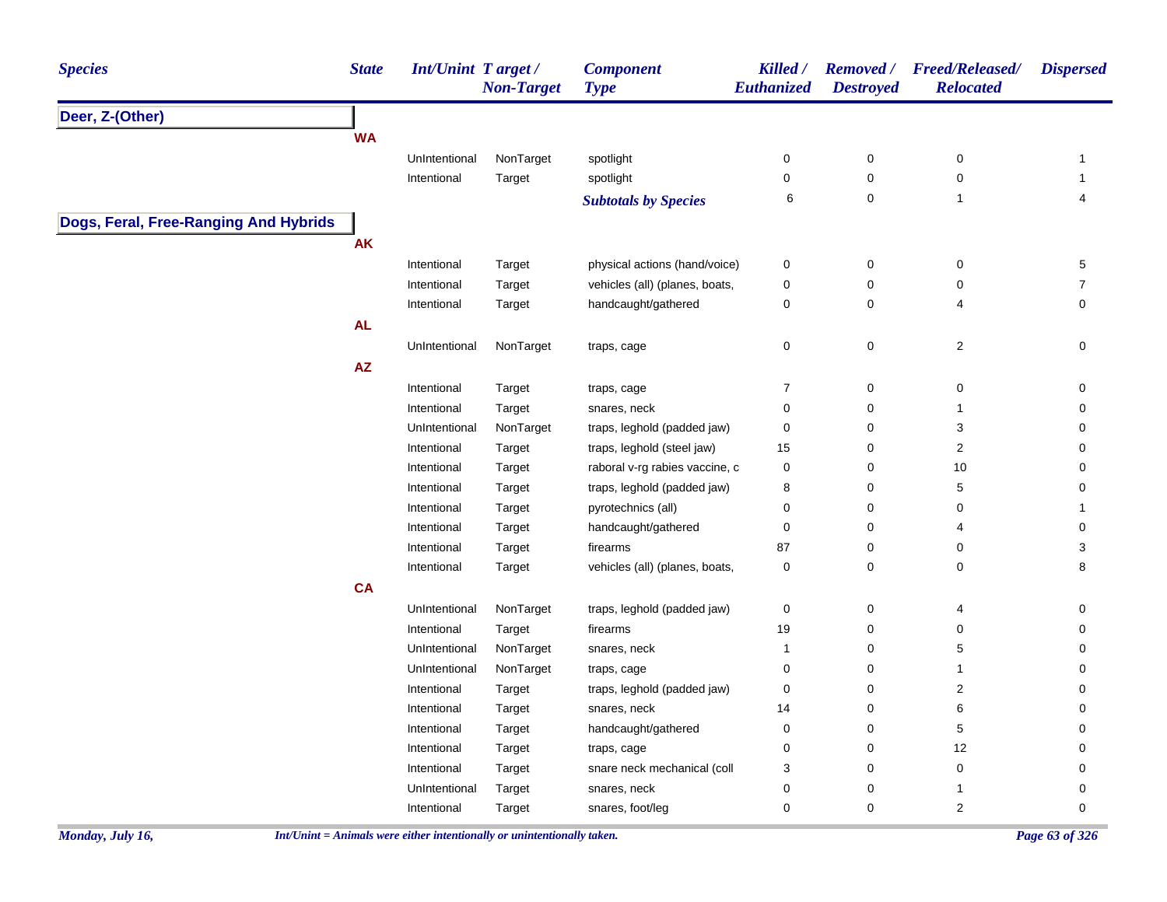| <b>Species</b>                        | <b>State</b>           | <b>Int/Unint Target/</b> | <b>Non-Target</b> | <b>Component</b><br><b>Type</b> | Killed /<br>Euthanized | <b>Removed</b> /<br><b>Destroyed</b> | <b>Freed/Released/</b><br><b>Relocated</b> | <b>Dispersed</b> |
|---------------------------------------|------------------------|--------------------------|-------------------|---------------------------------|------------------------|--------------------------------------|--------------------------------------------|------------------|
| Deer, Z-(Other)                       |                        |                          |                   |                                 |                        |                                      |                                            |                  |
|                                       | <b>WA</b>              |                          |                   |                                 |                        |                                      |                                            |                  |
|                                       |                        | UnIntentional            | NonTarget         | spotlight                       | 0                      | $\mathsf 0$                          | $\pmb{0}$                                  | $\mathbf{1}$     |
|                                       |                        | Intentional              | Target            | spotlight                       | 0                      | $\pmb{0}$                            | $\pmb{0}$                                  | $\mathbf{1}$     |
|                                       |                        |                          |                   | <b>Subtotals by Species</b>     | 6                      | 0                                    | $\mathbf{1}$                               | 4                |
| Dogs, Feral, Free-Ranging And Hybrids |                        |                          |                   |                                 |                        |                                      |                                            |                  |
|                                       | <b>AK</b>              |                          |                   |                                 |                        |                                      |                                            |                  |
|                                       |                        | Intentional              | Target            | physical actions (hand/voice)   | 0                      | $\pmb{0}$                            | 0                                          | 5                |
|                                       |                        | Intentional              | Target            | vehicles (all) (planes, boats,  | 0                      | $\pmb{0}$                            | $\mathbf 0$                                | $\overline{7}$   |
|                                       |                        | Intentional              | Target            | handcaught/gathered             | 0                      | 0                                    | 4                                          | 0                |
|                                       | <b>AL</b>              |                          |                   |                                 |                        |                                      |                                            |                  |
|                                       |                        | UnIntentional            | NonTarget         | traps, cage                     | 0                      | 0                                    | $\sqrt{2}$                                 | 0                |
|                                       | $\mathsf{A}\mathsf{Z}$ |                          |                   |                                 |                        |                                      |                                            |                  |
|                                       |                        | Intentional              | Target            | traps, cage                     | $\overline{7}$         | 0                                    | $\mathbf 0$                                | 0                |
|                                       |                        | Intentional              | Target            | snares, neck                    | 0                      | $\mathbf 0$                          | $\mathbf{1}$                               | 0                |
|                                       |                        | UnIntentional            | NonTarget         | traps, leghold (padded jaw)     | 0                      | $\pmb{0}$                            | 3                                          | 0                |
|                                       |                        | Intentional              | Target            | traps, leghold (steel jaw)      | 15                     | 0                                    | $\sqrt{2}$                                 | 0                |
|                                       |                        | Intentional              | Target            | raboral v-rg rabies vaccine, c  | 0                      | $\pmb{0}$                            | $10$                                       | 0                |
|                                       |                        | Intentional              | Target            | traps, leghold (padded jaw)     | 8                      | $\pmb{0}$                            | $\,$ 5 $\,$                                | 0                |
|                                       |                        | Intentional              | Target            | pyrotechnics (all)              | 0                      | $\mathsf 0$                          | $\pmb{0}$                                  | $\mathbf{1}$     |
|                                       |                        | Intentional              | Target            | handcaught/gathered             | $\pmb{0}$              | $\pmb{0}$                            | 4                                          | $\pmb{0}$        |
|                                       |                        | Intentional              | Target            | firearms                        | 87                     | $\pmb{0}$                            | $\mathbf 0$                                | 3                |
|                                       |                        | Intentional              | Target            | vehicles (all) (planes, boats,  | $\pmb{0}$              | $\mathbf 0$                          | $\mathbf 0$                                | 8                |
|                                       | <b>CA</b>              |                          |                   |                                 |                        |                                      |                                            |                  |
|                                       |                        | UnIntentional            | NonTarget         | traps, leghold (padded jaw)     | 0                      | 0                                    | 4                                          | 0                |
|                                       |                        | Intentional              | Target            | firearms                        | 19                     | 0                                    | $\mathbf 0$                                | 0                |
|                                       |                        | UnIntentional            | NonTarget         | snares, neck                    | $\overline{1}$         | $\mathbf 0$                          | 5                                          | 0                |
|                                       |                        | UnIntentional            | NonTarget         | traps, cage                     | 0                      | $\mathbf 0$                          | $\mathbf{1}$                               | 0                |
|                                       |                        | Intentional              | Target            | traps, leghold (padded jaw)     | $\pmb{0}$              | $\pmb{0}$                            | 2                                          | 0                |
|                                       |                        | Intentional              | Target            | snares, neck                    | 14                     | 0                                    | 6                                          | 0                |
|                                       |                        | Intentional              | Target            | handcaught/gathered             | 0                      | $\pmb{0}$                            | 5                                          | 0                |
|                                       |                        | Intentional              | Target            | traps, cage                     | 0                      | $\pmb{0}$                            | 12                                         | 0                |
|                                       |                        | Intentional              | Target            | snare neck mechanical (coll     | 3                      | $\pmb{0}$                            | $\pmb{0}$                                  | 0                |
|                                       |                        | UnIntentional            | Target            | snares, neck                    | 0                      | $\pmb{0}$                            | $\mathbf{1}$                               | 0                |
|                                       |                        | Intentional              | Target            | snares, foot/leg                | 0                      | $\mathbf 0$                          | $\overline{2}$                             | 0                |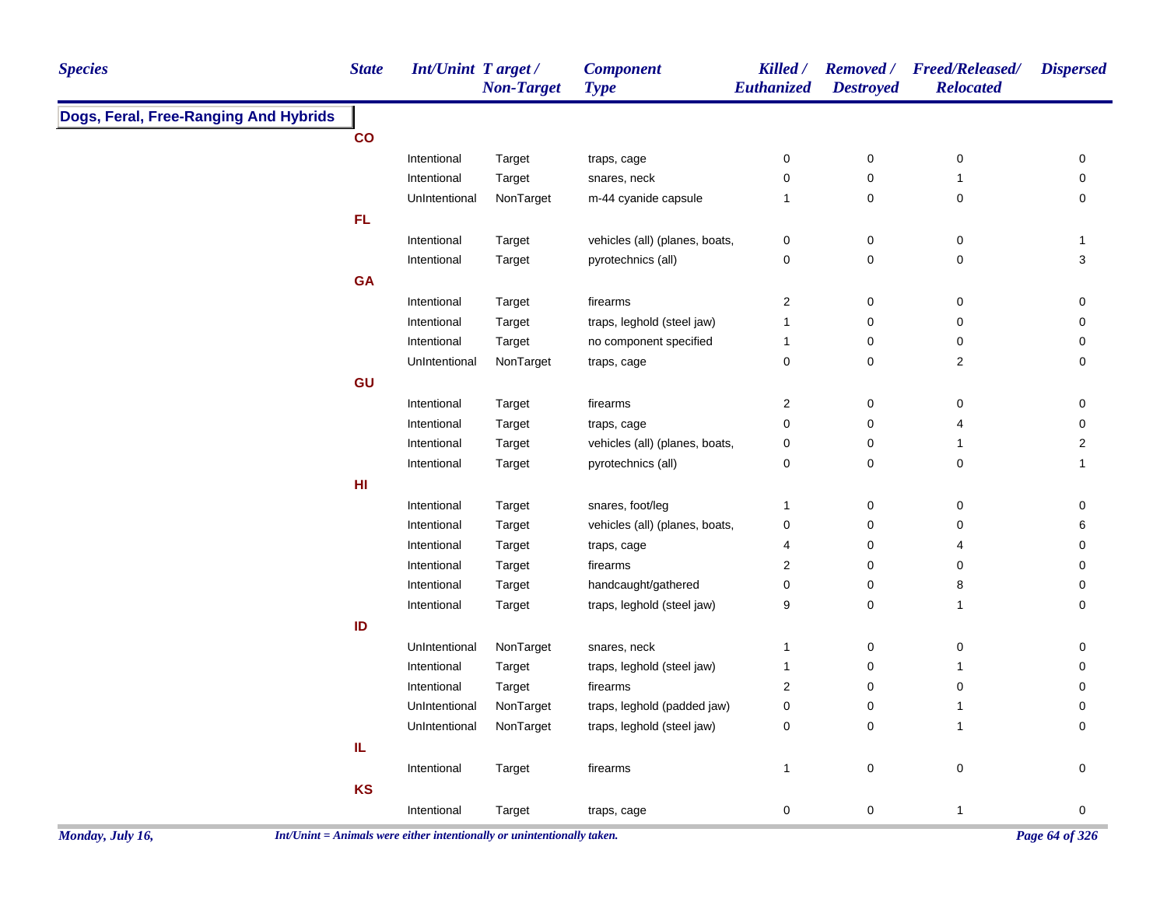| <b>Species</b>                        | <b>State</b>    | <b>Int/Unint Target/</b> | <b>Non-Target</b> | <b>Component</b><br><b>Type</b> | Killed /<br>Euthanized  | <b>Destroyed</b> | Removed / Freed/Released/<br><b>Relocated</b> | <b>Dispersed</b> |
|---------------------------------------|-----------------|--------------------------|-------------------|---------------------------------|-------------------------|------------------|-----------------------------------------------|------------------|
| Dogs, Feral, Free-Ranging And Hybrids |                 |                          |                   |                                 |                         |                  |                                               |                  |
|                                       | co              |                          |                   |                                 |                         |                  |                                               |                  |
|                                       |                 | Intentional              | Target            | traps, cage                     | $\pmb{0}$               | $\pmb{0}$        | $\pmb{0}$                                     | 0                |
|                                       |                 | Intentional              | Target            | snares, neck                    | 0                       | $\pmb{0}$        | $\mathbf{1}$                                  | 0                |
|                                       |                 | UnIntentional            | NonTarget         | m-44 cyanide capsule            | $\mathbf{1}$            | $\pmb{0}$        | $\pmb{0}$                                     | 0                |
|                                       | FL              |                          |                   |                                 |                         |                  |                                               |                  |
|                                       |                 | Intentional              | Target            | vehicles (all) (planes, boats,  | 0                       | $\pmb{0}$        | $\mathbf 0$                                   | $\mathbf{1}$     |
|                                       |                 | Intentional              | Target            | pyrotechnics (all)              | 0                       | $\pmb{0}$        | $\pmb{0}$                                     | 3                |
|                                       | GA              |                          |                   |                                 |                         |                  |                                               |                  |
|                                       |                 | Intentional              | Target            | firearms                        | $\overline{2}$          | $\pmb{0}$        | $\pmb{0}$                                     | 0                |
|                                       |                 | Intentional              | Target            | traps, leghold (steel jaw)      | $\overline{1}$          | $\mathbf 0$      | $\pmb{0}$                                     | 0                |
|                                       |                 | Intentional              | Target            | no component specified          | 1                       | 0                | $\mathbf 0$                                   | 0                |
|                                       |                 | UnIntentional            | NonTarget         | traps, cage                     | 0                       | $\mathbf 0$      | $\overline{2}$                                | 0                |
|                                       | GU              |                          |                   |                                 |                         |                  |                                               |                  |
|                                       |                 | Intentional              | Target            | firearms                        | $\overline{\mathbf{c}}$ | $\pmb{0}$        | $\mathbf 0$                                   | 0                |
|                                       |                 | Intentional              | Target            | traps, cage                     | $\mathbf 0$             | $\pmb{0}$        | 4                                             | 0                |
|                                       |                 | Intentional              | Target            | vehicles (all) (planes, boats,  | 0                       | $\pmb{0}$        | $\mathbf{1}$                                  | $\overline{a}$   |
|                                       |                 | Intentional              | Target            | pyrotechnics (all)              | $\mathbf 0$             | $\mathbf 0$      | $\pmb{0}$                                     | $\mathbf{1}$     |
|                                       | H <sub>II</sub> |                          |                   |                                 |                         |                  |                                               |                  |
|                                       |                 | Intentional              | Target            | snares, foot/leg                | $\mathbf{1}$            | $\pmb{0}$        | $\pmb{0}$                                     | 0                |
|                                       |                 | Intentional              | Target            | vehicles (all) (planes, boats,  | $\pmb{0}$               | $\pmb{0}$        | $\pmb{0}$                                     | 6                |
|                                       |                 | Intentional              | Target            | traps, cage                     | 4                       | $\pmb{0}$        | $\overline{4}$                                | 0                |
|                                       |                 | Intentional              | Target            | firearms                        | $\overline{2}$          | $\pmb{0}$        | 0                                             | 0                |
|                                       |                 | Intentional              | Target            | handcaught/gathered             | $\pmb{0}$               | $\pmb{0}$        | 8                                             | 0                |
|                                       |                 | Intentional              | Target            | traps, leghold (steel jaw)      | 9                       | $\mathbf 0$      | $\mathbf{1}$                                  | $\mathbf 0$      |
|                                       | ID              |                          |                   |                                 |                         |                  |                                               |                  |
|                                       |                 | UnIntentional            | NonTarget         | snares, neck                    | $\mathbf{1}$            | $\pmb{0}$        | $\pmb{0}$                                     | 0                |
|                                       |                 | Intentional              | Target            | traps, leghold (steel jaw)      | 1                       | $\pmb{0}$        | $\mathbf{1}$                                  | 0                |
|                                       |                 | Intentional              | Target            | firearms                        | $\sqrt{2}$              | $\mathbf 0$      | $\pmb{0}$                                     | 0                |
|                                       |                 | UnIntentional            | NonTarget         | traps, leghold (padded jaw)     | 0                       | $\pmb{0}$        | $\mathbf{1}$                                  | 0                |
|                                       |                 | UnIntentional            | NonTarget         | traps, leghold (steel jaw)      | 0                       | $\pmb{0}$        | $\mathbf{1}$                                  | $\mathbf 0$      |
|                                       | IL              |                          |                   |                                 |                         |                  |                                               |                  |
|                                       |                 | Intentional              | Target            | firearms                        | $\mathbf{1}$            | $\pmb{0}$        | $\pmb{0}$                                     | 0                |
|                                       | KS              |                          |                   |                                 |                         |                  |                                               |                  |
|                                       |                 | Intentional              | Target            | traps, cage                     | 0                       | $\pmb{0}$        | $\mathbf{1}$                                  | 0                |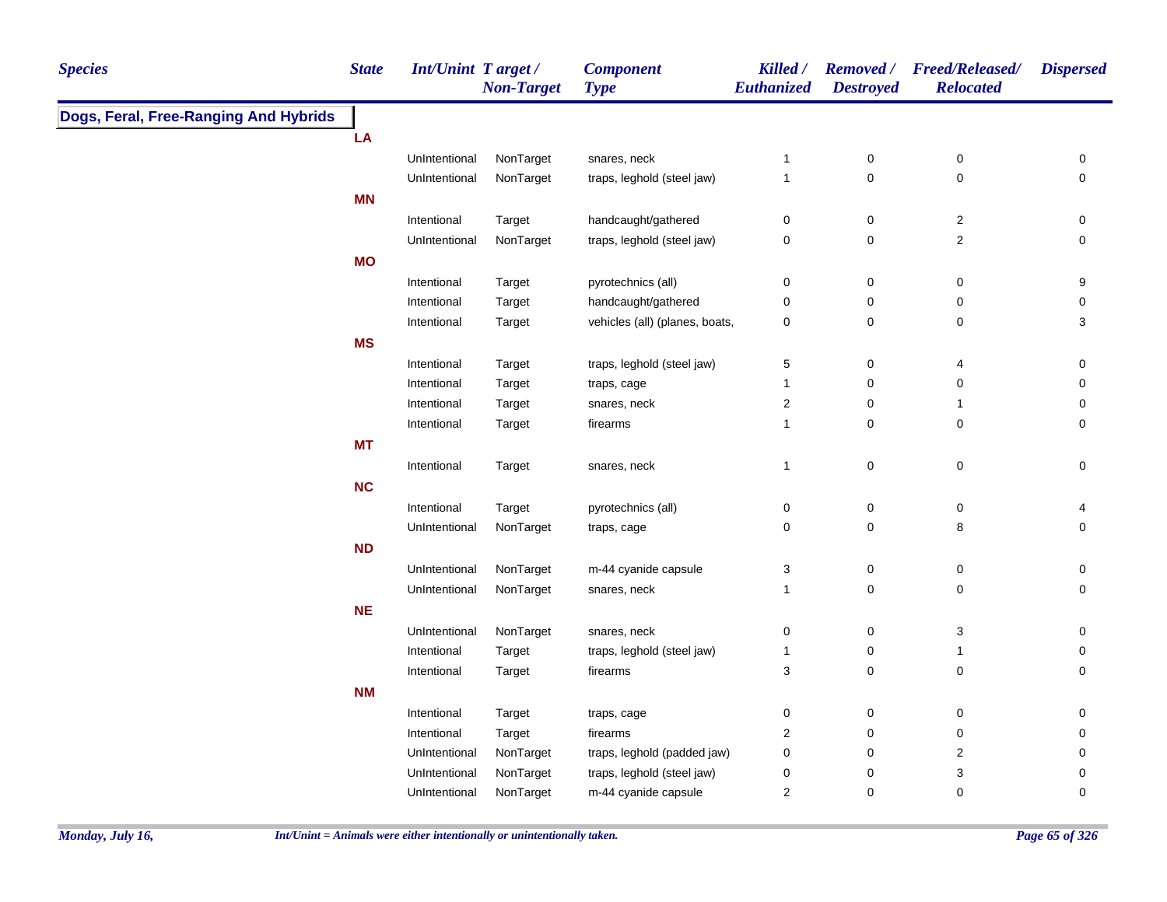| Dogs, Feral, Free-Ranging And Hybrids<br>LA<br>$\pmb{0}$<br>UnIntentional<br>NonTarget<br>snares, neck<br>$\pmb{0}$<br>0<br>$\mathbf 1$<br>$\mathbf 0$<br>$\mathsf{O}\xspace$<br>$\pmb{0}$<br>UnIntentional<br>NonTarget<br>traps, leghold (steel jaw)<br>$\mathbf{1}$<br><b>MN</b><br>$\mathsf 0$<br>$\boldsymbol{2}$<br>Intentional<br>handcaught/gathered<br>0<br>0<br>Target<br>$\mathbf 2$<br>NonTarget<br>traps, leghold (steel jaw)<br>0<br>$\mathsf 0$<br>$\mathsf{O}\xspace$<br>UnIntentional<br><b>MO</b><br>pyrotechnics (all)<br>$\pmb{0}$<br>$\mathbf 0$<br>0<br>9<br>Intentional<br>Target<br>handcaught/gathered<br>$\mathsf 0$<br>$\pmb{0}$<br>Intentional<br>Target<br>0<br>0<br>vehicles (all) (planes, boats,<br>$\mathbf 0$<br>$\pmb{0}$<br>3<br>Target<br>0<br>Intentional<br><b>MS</b><br>Intentional<br>traps, leghold (steel jaw)<br>5<br>0<br>$\overline{\mathbf{4}}$<br>0<br>Target<br>Intentional<br>traps, cage<br>$\mathbf 0$<br>0<br>0<br>Target<br>$\mathbf{1}$<br>$\overline{c}$<br>Intentional<br>Target<br>snares, neck<br>$\mathbf 0$<br>$\mathbf{1}$<br>0<br>$\mathbf 0$<br>Intentional<br>Target<br>firearms<br>$\mathbf 0$<br>0<br>$\mathbf{1}$<br><b>MT</b><br>$\pmb{0}$<br>0<br>$\mathbf 0$<br>Intentional<br>Target<br>1<br>snares, neck<br>NC<br>0<br>0<br>0<br>Intentional<br>Target<br>pyrotechnics (all)<br>4<br>$\mathsf{O}\xspace$<br>0<br>NonTarget<br>0<br>8<br>UnIntentional<br>traps, cage<br><b>ND</b><br>NonTarget<br>m-44 cyanide capsule<br>$\ensuremath{\mathsf{3}}$<br>$\pmb{0}$<br>$\pmb{0}$<br>UnIntentional<br>0<br>$\mathbf 0$<br>0<br>0<br>UnIntentional<br>NonTarget<br>snares, neck<br>$\mathbf{1}$<br><b>NE</b><br>$\pmb{0}$<br>$\mathsf{O}\xspace$<br>3<br>UnIntentional<br>NonTarget<br>snares, neck<br>$\mathbf 0$<br>traps, leghold (steel jaw)<br>$\pmb{0}$<br>Intentional<br>Target<br>1<br>$\mathbf{1}$<br>0<br>3<br>$\mathsf{O}\xspace$<br>$\pmb{0}$<br>Intentional<br>Target<br>firearms<br>0<br><b>NM</b><br>Intentional<br>Target<br>0<br>$\mathbf 0$<br>0<br>0<br>traps, cage<br>firearms<br>$\overline{\mathbf{c}}$<br>$\pmb{0}$<br>$\pmb{0}$<br>Intentional<br>Target<br>$\mathbf 0$<br>NonTarget<br>traps, leghold (padded jaw)<br>$\pmb{0}$<br>$\boldsymbol{2}$<br>UnIntentional<br>$\pmb{0}$<br>0<br>NonTarget<br>traps, leghold (steel jaw)<br>$\pmb{0}$<br>3<br>UnIntentional<br>0<br>0 | <b>Species</b> | <b>State</b> | <b>Int/Unint Target/</b> | <b>Non-Target</b> | <b>Component</b><br><b>Type</b> | Killed /<br><b>Euthanized</b> | <b>Destroyed</b> | Removed / Freed/Released/<br><b>Relocated</b> | <b>Dispersed</b> |
|-----------------------------------------------------------------------------------------------------------------------------------------------------------------------------------------------------------------------------------------------------------------------------------------------------------------------------------------------------------------------------------------------------------------------------------------------------------------------------------------------------------------------------------------------------------------------------------------------------------------------------------------------------------------------------------------------------------------------------------------------------------------------------------------------------------------------------------------------------------------------------------------------------------------------------------------------------------------------------------------------------------------------------------------------------------------------------------------------------------------------------------------------------------------------------------------------------------------------------------------------------------------------------------------------------------------------------------------------------------------------------------------------------------------------------------------------------------------------------------------------------------------------------------------------------------------------------------------------------------------------------------------------------------------------------------------------------------------------------------------------------------------------------------------------------------------------------------------------------------------------------------------------------------------------------------------------------------------------------------------------------------------------------------------------------------------------------------------------------------------------------------------------------------------------------------------------------------------------------------------------------------------------------------------------------------------------------------------------------------------------------|----------------|--------------|--------------------------|-------------------|---------------------------------|-------------------------------|------------------|-----------------------------------------------|------------------|
|                                                                                                                                                                                                                                                                                                                                                                                                                                                                                                                                                                                                                                                                                                                                                                                                                                                                                                                                                                                                                                                                                                                                                                                                                                                                                                                                                                                                                                                                                                                                                                                                                                                                                                                                                                                                                                                                                                                                                                                                                                                                                                                                                                                                                                                                                                                                                                             |                |              |                          |                   |                                 |                               |                  |                                               |                  |
|                                                                                                                                                                                                                                                                                                                                                                                                                                                                                                                                                                                                                                                                                                                                                                                                                                                                                                                                                                                                                                                                                                                                                                                                                                                                                                                                                                                                                                                                                                                                                                                                                                                                                                                                                                                                                                                                                                                                                                                                                                                                                                                                                                                                                                                                                                                                                                             |                |              |                          |                   |                                 |                               |                  |                                               |                  |
|                                                                                                                                                                                                                                                                                                                                                                                                                                                                                                                                                                                                                                                                                                                                                                                                                                                                                                                                                                                                                                                                                                                                                                                                                                                                                                                                                                                                                                                                                                                                                                                                                                                                                                                                                                                                                                                                                                                                                                                                                                                                                                                                                                                                                                                                                                                                                                             |                |              |                          |                   |                                 |                               |                  |                                               |                  |
|                                                                                                                                                                                                                                                                                                                                                                                                                                                                                                                                                                                                                                                                                                                                                                                                                                                                                                                                                                                                                                                                                                                                                                                                                                                                                                                                                                                                                                                                                                                                                                                                                                                                                                                                                                                                                                                                                                                                                                                                                                                                                                                                                                                                                                                                                                                                                                             |                |              |                          |                   |                                 |                               |                  |                                               |                  |
|                                                                                                                                                                                                                                                                                                                                                                                                                                                                                                                                                                                                                                                                                                                                                                                                                                                                                                                                                                                                                                                                                                                                                                                                                                                                                                                                                                                                                                                                                                                                                                                                                                                                                                                                                                                                                                                                                                                                                                                                                                                                                                                                                                                                                                                                                                                                                                             |                |              |                          |                   |                                 |                               |                  |                                               |                  |
|                                                                                                                                                                                                                                                                                                                                                                                                                                                                                                                                                                                                                                                                                                                                                                                                                                                                                                                                                                                                                                                                                                                                                                                                                                                                                                                                                                                                                                                                                                                                                                                                                                                                                                                                                                                                                                                                                                                                                                                                                                                                                                                                                                                                                                                                                                                                                                             |                |              |                          |                   |                                 |                               |                  |                                               |                  |
|                                                                                                                                                                                                                                                                                                                                                                                                                                                                                                                                                                                                                                                                                                                                                                                                                                                                                                                                                                                                                                                                                                                                                                                                                                                                                                                                                                                                                                                                                                                                                                                                                                                                                                                                                                                                                                                                                                                                                                                                                                                                                                                                                                                                                                                                                                                                                                             |                |              |                          |                   |                                 |                               |                  |                                               |                  |
|                                                                                                                                                                                                                                                                                                                                                                                                                                                                                                                                                                                                                                                                                                                                                                                                                                                                                                                                                                                                                                                                                                                                                                                                                                                                                                                                                                                                                                                                                                                                                                                                                                                                                                                                                                                                                                                                                                                                                                                                                                                                                                                                                                                                                                                                                                                                                                             |                |              |                          |                   |                                 |                               |                  |                                               |                  |
|                                                                                                                                                                                                                                                                                                                                                                                                                                                                                                                                                                                                                                                                                                                                                                                                                                                                                                                                                                                                                                                                                                                                                                                                                                                                                                                                                                                                                                                                                                                                                                                                                                                                                                                                                                                                                                                                                                                                                                                                                                                                                                                                                                                                                                                                                                                                                                             |                |              |                          |                   |                                 |                               |                  |                                               |                  |
|                                                                                                                                                                                                                                                                                                                                                                                                                                                                                                                                                                                                                                                                                                                                                                                                                                                                                                                                                                                                                                                                                                                                                                                                                                                                                                                                                                                                                                                                                                                                                                                                                                                                                                                                                                                                                                                                                                                                                                                                                                                                                                                                                                                                                                                                                                                                                                             |                |              |                          |                   |                                 |                               |                  |                                               |                  |
|                                                                                                                                                                                                                                                                                                                                                                                                                                                                                                                                                                                                                                                                                                                                                                                                                                                                                                                                                                                                                                                                                                                                                                                                                                                                                                                                                                                                                                                                                                                                                                                                                                                                                                                                                                                                                                                                                                                                                                                                                                                                                                                                                                                                                                                                                                                                                                             |                |              |                          |                   |                                 |                               |                  |                                               |                  |
|                                                                                                                                                                                                                                                                                                                                                                                                                                                                                                                                                                                                                                                                                                                                                                                                                                                                                                                                                                                                                                                                                                                                                                                                                                                                                                                                                                                                                                                                                                                                                                                                                                                                                                                                                                                                                                                                                                                                                                                                                                                                                                                                                                                                                                                                                                                                                                             |                |              |                          |                   |                                 |                               |                  |                                               |                  |
|                                                                                                                                                                                                                                                                                                                                                                                                                                                                                                                                                                                                                                                                                                                                                                                                                                                                                                                                                                                                                                                                                                                                                                                                                                                                                                                                                                                                                                                                                                                                                                                                                                                                                                                                                                                                                                                                                                                                                                                                                                                                                                                                                                                                                                                                                                                                                                             |                |              |                          |                   |                                 |                               |                  |                                               |                  |
|                                                                                                                                                                                                                                                                                                                                                                                                                                                                                                                                                                                                                                                                                                                                                                                                                                                                                                                                                                                                                                                                                                                                                                                                                                                                                                                                                                                                                                                                                                                                                                                                                                                                                                                                                                                                                                                                                                                                                                                                                                                                                                                                                                                                                                                                                                                                                                             |                |              |                          |                   |                                 |                               |                  |                                               |                  |
|                                                                                                                                                                                                                                                                                                                                                                                                                                                                                                                                                                                                                                                                                                                                                                                                                                                                                                                                                                                                                                                                                                                                                                                                                                                                                                                                                                                                                                                                                                                                                                                                                                                                                                                                                                                                                                                                                                                                                                                                                                                                                                                                                                                                                                                                                                                                                                             |                |              |                          |                   |                                 |                               |                  |                                               |                  |
|                                                                                                                                                                                                                                                                                                                                                                                                                                                                                                                                                                                                                                                                                                                                                                                                                                                                                                                                                                                                                                                                                                                                                                                                                                                                                                                                                                                                                                                                                                                                                                                                                                                                                                                                                                                                                                                                                                                                                                                                                                                                                                                                                                                                                                                                                                                                                                             |                |              |                          |                   |                                 |                               |                  |                                               |                  |
|                                                                                                                                                                                                                                                                                                                                                                                                                                                                                                                                                                                                                                                                                                                                                                                                                                                                                                                                                                                                                                                                                                                                                                                                                                                                                                                                                                                                                                                                                                                                                                                                                                                                                                                                                                                                                                                                                                                                                                                                                                                                                                                                                                                                                                                                                                                                                                             |                |              |                          |                   |                                 |                               |                  |                                               |                  |
|                                                                                                                                                                                                                                                                                                                                                                                                                                                                                                                                                                                                                                                                                                                                                                                                                                                                                                                                                                                                                                                                                                                                                                                                                                                                                                                                                                                                                                                                                                                                                                                                                                                                                                                                                                                                                                                                                                                                                                                                                                                                                                                                                                                                                                                                                                                                                                             |                |              |                          |                   |                                 |                               |                  |                                               |                  |
|                                                                                                                                                                                                                                                                                                                                                                                                                                                                                                                                                                                                                                                                                                                                                                                                                                                                                                                                                                                                                                                                                                                                                                                                                                                                                                                                                                                                                                                                                                                                                                                                                                                                                                                                                                                                                                                                                                                                                                                                                                                                                                                                                                                                                                                                                                                                                                             |                |              |                          |                   |                                 |                               |                  |                                               |                  |
|                                                                                                                                                                                                                                                                                                                                                                                                                                                                                                                                                                                                                                                                                                                                                                                                                                                                                                                                                                                                                                                                                                                                                                                                                                                                                                                                                                                                                                                                                                                                                                                                                                                                                                                                                                                                                                                                                                                                                                                                                                                                                                                                                                                                                                                                                                                                                                             |                |              |                          |                   |                                 |                               |                  |                                               |                  |
|                                                                                                                                                                                                                                                                                                                                                                                                                                                                                                                                                                                                                                                                                                                                                                                                                                                                                                                                                                                                                                                                                                                                                                                                                                                                                                                                                                                                                                                                                                                                                                                                                                                                                                                                                                                                                                                                                                                                                                                                                                                                                                                                                                                                                                                                                                                                                                             |                |              |                          |                   |                                 |                               |                  |                                               |                  |
|                                                                                                                                                                                                                                                                                                                                                                                                                                                                                                                                                                                                                                                                                                                                                                                                                                                                                                                                                                                                                                                                                                                                                                                                                                                                                                                                                                                                                                                                                                                                                                                                                                                                                                                                                                                                                                                                                                                                                                                                                                                                                                                                                                                                                                                                                                                                                                             |                |              |                          |                   |                                 |                               |                  |                                               |                  |
|                                                                                                                                                                                                                                                                                                                                                                                                                                                                                                                                                                                                                                                                                                                                                                                                                                                                                                                                                                                                                                                                                                                                                                                                                                                                                                                                                                                                                                                                                                                                                                                                                                                                                                                                                                                                                                                                                                                                                                                                                                                                                                                                                                                                                                                                                                                                                                             |                |              |                          |                   |                                 |                               |                  |                                               |                  |
|                                                                                                                                                                                                                                                                                                                                                                                                                                                                                                                                                                                                                                                                                                                                                                                                                                                                                                                                                                                                                                                                                                                                                                                                                                                                                                                                                                                                                                                                                                                                                                                                                                                                                                                                                                                                                                                                                                                                                                                                                                                                                                                                                                                                                                                                                                                                                                             |                |              |                          |                   |                                 |                               |                  |                                               |                  |
|                                                                                                                                                                                                                                                                                                                                                                                                                                                                                                                                                                                                                                                                                                                                                                                                                                                                                                                                                                                                                                                                                                                                                                                                                                                                                                                                                                                                                                                                                                                                                                                                                                                                                                                                                                                                                                                                                                                                                                                                                                                                                                                                                                                                                                                                                                                                                                             |                |              |                          |                   |                                 |                               |                  |                                               |                  |
|                                                                                                                                                                                                                                                                                                                                                                                                                                                                                                                                                                                                                                                                                                                                                                                                                                                                                                                                                                                                                                                                                                                                                                                                                                                                                                                                                                                                                                                                                                                                                                                                                                                                                                                                                                                                                                                                                                                                                                                                                                                                                                                                                                                                                                                                                                                                                                             |                |              |                          |                   |                                 |                               |                  |                                               |                  |
|                                                                                                                                                                                                                                                                                                                                                                                                                                                                                                                                                                                                                                                                                                                                                                                                                                                                                                                                                                                                                                                                                                                                                                                                                                                                                                                                                                                                                                                                                                                                                                                                                                                                                                                                                                                                                                                                                                                                                                                                                                                                                                                                                                                                                                                                                                                                                                             |                |              |                          |                   |                                 |                               |                  |                                               |                  |
|                                                                                                                                                                                                                                                                                                                                                                                                                                                                                                                                                                                                                                                                                                                                                                                                                                                                                                                                                                                                                                                                                                                                                                                                                                                                                                                                                                                                                                                                                                                                                                                                                                                                                                                                                                                                                                                                                                                                                                                                                                                                                                                                                                                                                                                                                                                                                                             |                |              |                          |                   |                                 |                               |                  |                                               |                  |
|                                                                                                                                                                                                                                                                                                                                                                                                                                                                                                                                                                                                                                                                                                                                                                                                                                                                                                                                                                                                                                                                                                                                                                                                                                                                                                                                                                                                                                                                                                                                                                                                                                                                                                                                                                                                                                                                                                                                                                                                                                                                                                                                                                                                                                                                                                                                                                             |                |              |                          |                   |                                 |                               |                  |                                               |                  |
|                                                                                                                                                                                                                                                                                                                                                                                                                                                                                                                                                                                                                                                                                                                                                                                                                                                                                                                                                                                                                                                                                                                                                                                                                                                                                                                                                                                                                                                                                                                                                                                                                                                                                                                                                                                                                                                                                                                                                                                                                                                                                                                                                                                                                                                                                                                                                                             |                |              |                          |                   |                                 |                               |                  |                                               |                  |
|                                                                                                                                                                                                                                                                                                                                                                                                                                                                                                                                                                                                                                                                                                                                                                                                                                                                                                                                                                                                                                                                                                                                                                                                                                                                                                                                                                                                                                                                                                                                                                                                                                                                                                                                                                                                                                                                                                                                                                                                                                                                                                                                                                                                                                                                                                                                                                             |                |              |                          |                   |                                 |                               |                  |                                               |                  |
|                                                                                                                                                                                                                                                                                                                                                                                                                                                                                                                                                                                                                                                                                                                                                                                                                                                                                                                                                                                                                                                                                                                                                                                                                                                                                                                                                                                                                                                                                                                                                                                                                                                                                                                                                                                                                                                                                                                                                                                                                                                                                                                                                                                                                                                                                                                                                                             |                |              |                          |                   |                                 |                               |                  |                                               |                  |
|                                                                                                                                                                                                                                                                                                                                                                                                                                                                                                                                                                                                                                                                                                                                                                                                                                                                                                                                                                                                                                                                                                                                                                                                                                                                                                                                                                                                                                                                                                                                                                                                                                                                                                                                                                                                                                                                                                                                                                                                                                                                                                                                                                                                                                                                                                                                                                             |                |              |                          |                   |                                 |                               |                  |                                               |                  |
|                                                                                                                                                                                                                                                                                                                                                                                                                                                                                                                                                                                                                                                                                                                                                                                                                                                                                                                                                                                                                                                                                                                                                                                                                                                                                                                                                                                                                                                                                                                                                                                                                                                                                                                                                                                                                                                                                                                                                                                                                                                                                                                                                                                                                                                                                                                                                                             |                |              | UnIntentional            | NonTarget         | m-44 cyanide capsule            | 2                             | $\mathbf 0$      | 0                                             | 0                |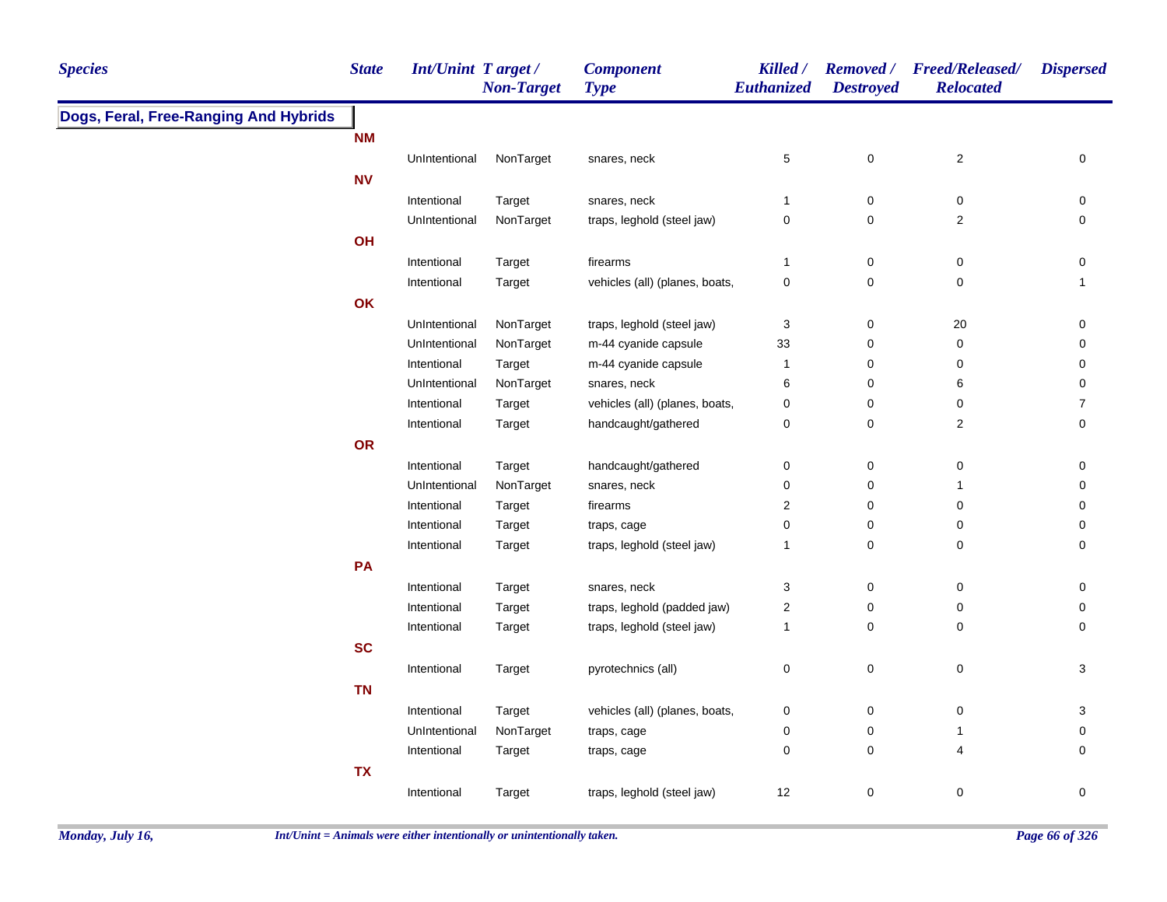| <b>Species</b>                        | <b>State</b> | <b>Int/Unint Target/</b> | <b>Non-Target</b> | <b>Component</b><br><b>Type</b> | Killed /<br><b>Euthanized</b> | <b>Destroyed</b> | Removed / Freed/Released/<br><b>Relocated</b> | <b>Dispersed</b> |
|---------------------------------------|--------------|--------------------------|-------------------|---------------------------------|-------------------------------|------------------|-----------------------------------------------|------------------|
| Dogs, Feral, Free-Ranging And Hybrids |              |                          |                   |                                 |                               |                  |                                               |                  |
|                                       | <b>NM</b>    |                          |                   |                                 |                               |                  |                                               |                  |
|                                       |              | UnIntentional            | NonTarget         | snares, neck                    | 5                             | 0                | $\overline{c}$                                | 0                |
|                                       | <b>NV</b>    |                          |                   |                                 |                               |                  |                                               |                  |
|                                       |              | Intentional              | Target            | snares, neck                    | $\mathbf{1}$                  | 0                | 0                                             | 0                |
|                                       |              | UnIntentional            | NonTarget         | traps, leghold (steel jaw)      | $\mathbf 0$                   | 0                | $\overline{2}$                                | 0                |
|                                       | OH           |                          |                   |                                 |                               |                  |                                               |                  |
|                                       |              | Intentional              | Target            | firearms                        | $\mathbf{1}$                  | $\pmb{0}$        | $\mathbf 0$                                   | 0                |
|                                       |              | Intentional              | Target            | vehicles (all) (planes, boats,  | $\mathbf 0$                   | $\mathbf 0$      | $\mathbf 0$                                   | $\mathbf{1}$     |
|                                       | OK           |                          |                   |                                 |                               |                  |                                               |                  |
|                                       |              | UnIntentional            | NonTarget         | traps, leghold (steel jaw)      | 3                             | $\pmb{0}$        | 20                                            | 0                |
|                                       |              | UnIntentional            | NonTarget         | m-44 cyanide capsule            | 33                            | $\mathbf 0$      | $\pmb{0}$                                     | 0                |
|                                       |              | Intentional              | Target            | m-44 cyanide capsule            | $\mathbf{1}$                  | $\pmb{0}$        | 0                                             | 0                |
|                                       |              | UnIntentional            | NonTarget         | snares, neck                    | 6                             | $\mathbf 0$      | 6                                             | 0                |
|                                       |              | Intentional              | Target            | vehicles (all) (planes, boats,  | $\mathbf 0$                   | $\mathbf 0$      | 0                                             | $\overline{7}$   |
|                                       |              | Intentional              | Target            | handcaught/gathered             | $\mathbf 0$                   | $\mathbf 0$      | $\overline{2}$                                | 0                |
|                                       | OR           |                          |                   |                                 |                               |                  |                                               |                  |
|                                       |              | Intentional              | Target            | handcaught/gathered             | 0                             | $\mathbf 0$      | $\pmb{0}$                                     | 0                |
|                                       |              | UnIntentional            | NonTarget         | snares, neck                    | 0                             | $\pmb{0}$        | $\mathbf{1}$                                  | 0                |
|                                       |              | Intentional              | Target            | firearms                        | $\overline{\mathbf{c}}$       | $\pmb{0}$        | 0                                             | 0                |
|                                       |              | Intentional              | Target            | traps, cage                     | $\pmb{0}$                     | $\pmb{0}$        | 0                                             | 0                |
|                                       |              | Intentional              | Target            | traps, leghold (steel jaw)      | $\mathbf{1}$                  | 0                | $\pmb{0}$                                     | 0                |
|                                       | PA           |                          |                   |                                 |                               |                  |                                               |                  |
|                                       |              | Intentional              | Target            | snares, neck                    | $\sqrt{3}$                    | $\pmb{0}$        | $\pmb{0}$                                     | 0                |
|                                       |              | Intentional              | Target            | traps, leghold (padded jaw)     | $\sqrt{2}$                    | $\mathbf 0$      | $\pmb{0}$                                     | $\mathbf 0$      |
|                                       |              | Intentional              | Target            | traps, leghold (steel jaw)      | 1                             | $\mathbf 0$      | $\pmb{0}$                                     | $\mathbf 0$      |
|                                       | <b>SC</b>    |                          |                   |                                 |                               |                  |                                               |                  |
|                                       |              | Intentional              | Target            | pyrotechnics (all)              | $\mathbf 0$                   | $\mathbf 0$      | $\boldsymbol{0}$                              | 3                |
|                                       | <b>TN</b>    |                          |                   |                                 |                               |                  |                                               |                  |
|                                       |              | Intentional              | Target            | vehicles (all) (planes, boats,  | 0                             | $\pmb{0}$        | 0                                             | 3                |
|                                       |              | UnIntentional            | NonTarget         | traps, cage                     | 0                             | 0                | $\mathbf{1}$                                  | 0                |
|                                       |              | Intentional              | Target            | traps, cage                     | 0                             | 0                | 4                                             | 0                |
|                                       | <b>TX</b>    |                          |                   |                                 |                               |                  |                                               |                  |
|                                       |              | Intentional              | Target            | traps, leghold (steel jaw)      | 12                            | 0                | 0                                             | 0                |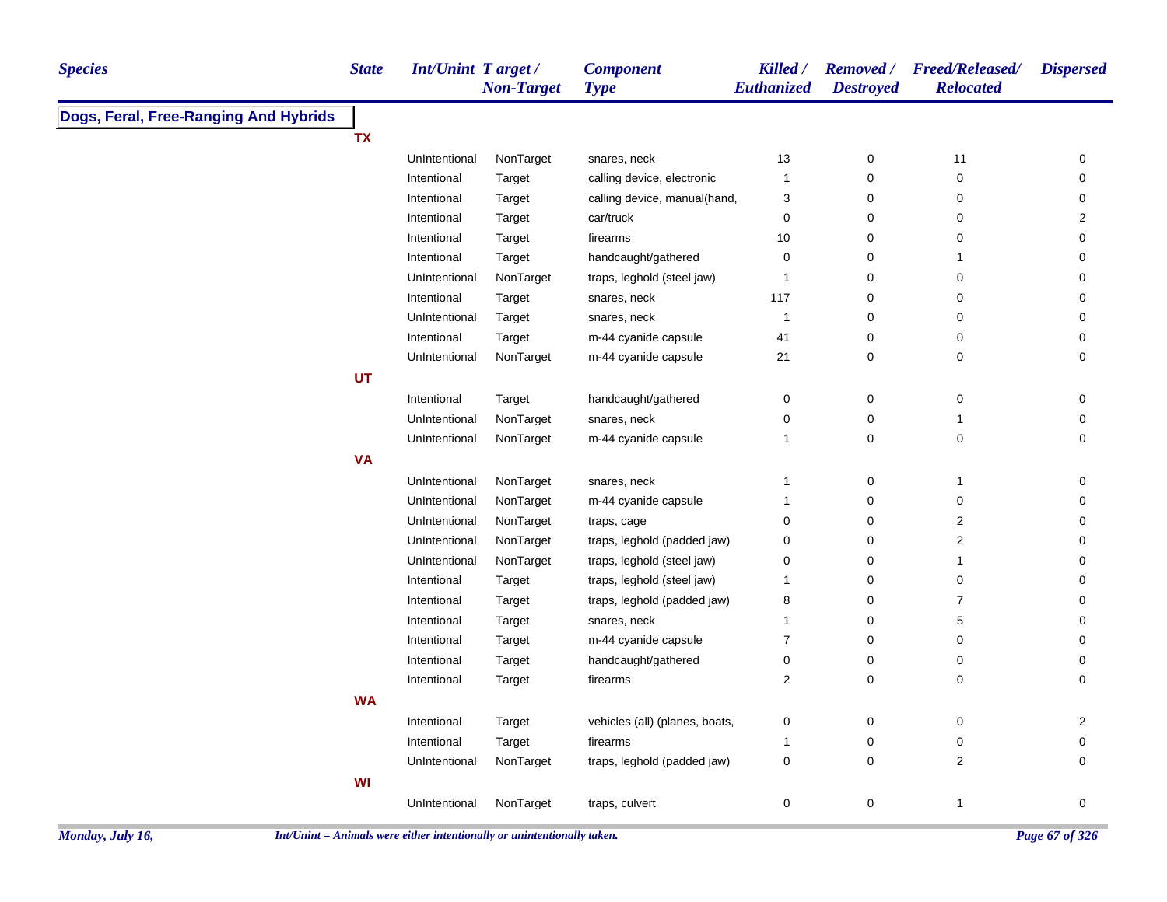| <b>Species</b>                        | <b>State</b> | Int/Unint Target/ | <b>Non-Target</b>                                                        | <b>Component</b><br><b>Type</b> | Killed /<br>Euthanized | <b>Removed</b> /<br><b>Destroyed</b> | <b>Freed/Released/</b><br><b>Relocated</b> | <b>Dispersed</b> |
|---------------------------------------|--------------|-------------------|--------------------------------------------------------------------------|---------------------------------|------------------------|--------------------------------------|--------------------------------------------|------------------|
| Dogs, Feral, Free-Ranging And Hybrids |              |                   |                                                                          |                                 |                        |                                      |                                            |                  |
|                                       | <b>TX</b>    |                   |                                                                          |                                 |                        |                                      |                                            |                  |
|                                       |              | UnIntentional     | NonTarget                                                                | snares, neck                    | 13                     | 0                                    | 11                                         | 0                |
|                                       |              | Intentional       | <b>Target</b>                                                            | calling device, electronic      | 1                      | 0                                    | 0                                          | 0                |
|                                       |              | Intentional       | <b>Target</b>                                                            | calling device, manual(hand,    | 3                      | 0                                    | 0                                          | 0                |
|                                       |              | Intentional       | Target                                                                   | car/truck                       | $\pmb{0}$              | 0                                    | 0                                          | 2                |
|                                       |              | Intentional       | <b>Target</b>                                                            | firearms                        | 10                     | 0                                    | 0                                          | 0                |
|                                       |              | Intentional       | Target                                                                   | handcaught/gathered             | 0                      | 0                                    |                                            | 0                |
|                                       |              | UnIntentional     | NonTarget                                                                | traps, leghold (steel jaw)      | 1                      | 0                                    | 0                                          | 0                |
|                                       |              | Intentional       | Target                                                                   | snares, neck                    | 117                    | 0                                    | 0                                          | 0                |
|                                       |              | UnIntentional     | Target                                                                   | snares, neck                    | 1                      | 0                                    | 0                                          | 0                |
|                                       |              | Intentional       | <b>Target</b>                                                            | m-44 cyanide capsule            | 41                     | 0                                    | 0                                          | 0                |
|                                       |              | UnIntentional     | NonTarget                                                                | m-44 cyanide capsule            | 21                     | 0                                    | 0                                          | 0                |
|                                       | UT           |                   |                                                                          |                                 |                        |                                      |                                            |                  |
|                                       |              | Intentional       | Target                                                                   | handcaught/gathered             | 0                      | 0                                    | $\pmb{0}$                                  | 0                |
|                                       |              | UnIntentional     | NonTarget                                                                | snares, neck                    | 0                      | 0                                    | 1                                          | 0                |
|                                       |              | UnIntentional     | NonTarget                                                                | m-44 cyanide capsule            | 1                      | 0                                    | $\pmb{0}$                                  | 0                |
|                                       | <b>VA</b>    |                   |                                                                          |                                 |                        |                                      |                                            |                  |
|                                       |              | UnIntentional     | NonTarget                                                                | snares, neck                    | 1                      | 0                                    | $\mathbf{1}$                               | 0                |
|                                       |              | UnIntentional     | NonTarget                                                                | m-44 cyanide capsule            | 1                      | 0                                    | 0                                          | 0                |
|                                       |              | UnIntentional     | NonTarget                                                                | traps, cage                     | 0                      | 0                                    | $\overline{2}$                             | 0                |
|                                       |              | UnIntentional     | NonTarget                                                                | traps, leghold (padded jaw)     | 0                      | 0                                    | 2                                          | 0                |
|                                       |              | UnIntentional     | NonTarget                                                                | traps, leghold (steel jaw)      | 0                      | 0                                    |                                            | 0                |
|                                       |              | Intentional       | Target                                                                   | traps, leghold (steel jaw)      | 1                      | 0                                    | 0                                          | 0                |
|                                       |              | Intentional       | <b>Target</b>                                                            | traps, leghold (padded jaw)     | 8                      | 0                                    | 7                                          | 0                |
|                                       |              | Intentional       | Target                                                                   | snares, neck                    | 1                      | 0                                    | 5                                          | 0                |
|                                       |              | Intentional       | <b>Target</b>                                                            | m-44 cyanide capsule            | 7                      | 0                                    | 0                                          | 0                |
|                                       |              | Intentional       | Target                                                                   | handcaught/gathered             | 0                      | 0                                    | 0                                          | 0                |
|                                       |              | Intentional       | Target                                                                   | firearms                        | $\overline{c}$         | 0                                    | $\pmb{0}$                                  | 0                |
|                                       | <b>WA</b>    |                   |                                                                          |                                 |                        |                                      |                                            |                  |
|                                       |              | Intentional       | Target                                                                   | vehicles (all) (planes, boats,  | 0                      | 0                                    | 0                                          | 2                |
|                                       |              | Intentional       | Target                                                                   | firearms                        | 1                      | 0                                    | 0                                          | 0                |
|                                       |              | UnIntentional     | NonTarget                                                                | traps, leghold (padded jaw)     | 0                      | 0                                    | $\boldsymbol{2}$                           | 0                |
|                                       | WI           |                   |                                                                          |                                 |                        |                                      |                                            |                  |
|                                       |              | UnIntentional     | NonTarget                                                                | traps, culvert                  | 0                      | 0                                    | 1                                          | 0                |
| Monday, July 16,                      |              |                   | $Int/Unit = Animals$ were either intentionally or unintentionally taken. |                                 |                        |                                      |                                            | Page 67 of 326   |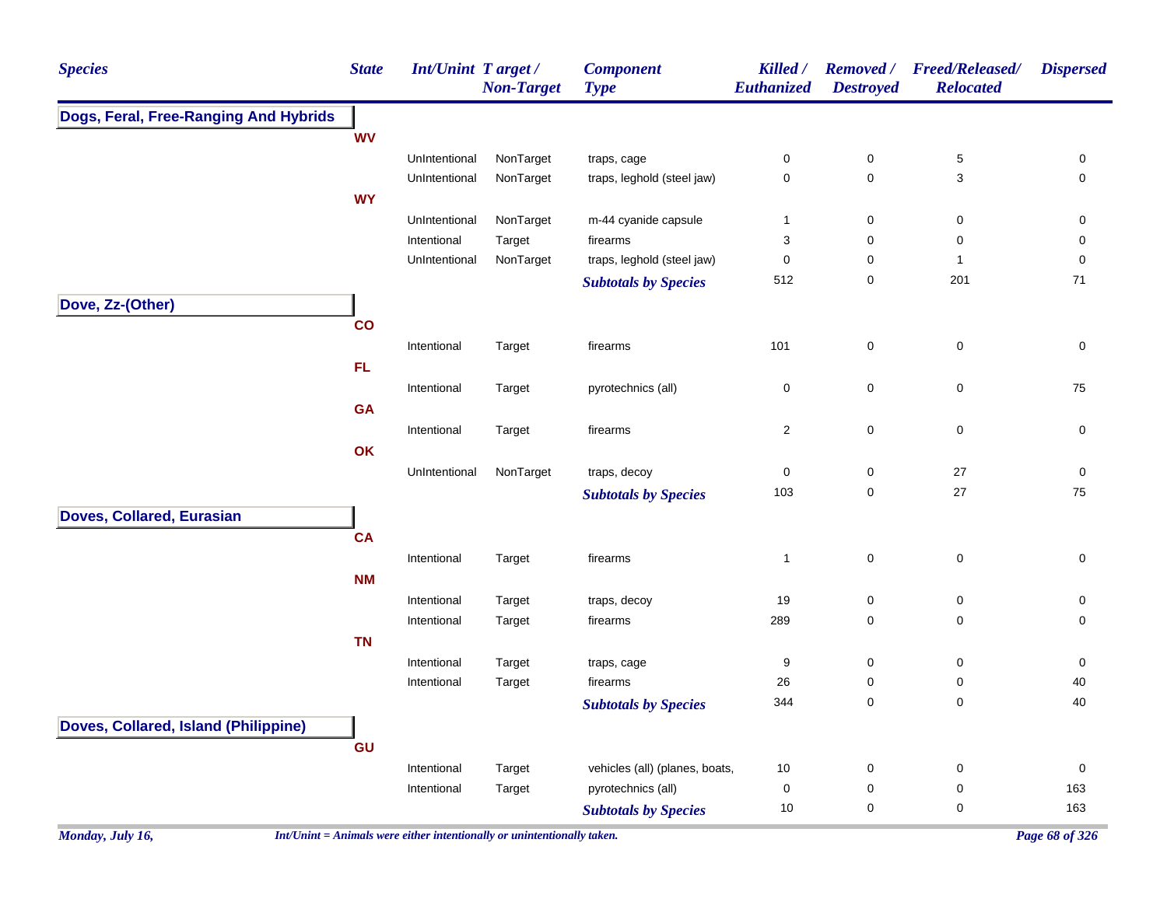| <b>Species</b>                        | <b>State</b> | <b>Int/Unint Target/</b> | <b>Non-Target</b> | <b>Component</b><br><b>Type</b> | Killed /<br>Euthanized  | <b>Removed</b> /<br><b>Destroyed</b> | <b>Freed/Released/</b><br><b>Relocated</b> | <b>Dispersed</b>    |
|---------------------------------------|--------------|--------------------------|-------------------|---------------------------------|-------------------------|--------------------------------------|--------------------------------------------|---------------------|
| Dogs, Feral, Free-Ranging And Hybrids |              |                          |                   |                                 |                         |                                      |                                            |                     |
|                                       | <b>WV</b>    |                          |                   |                                 |                         |                                      |                                            |                     |
|                                       |              | UnIntentional            | NonTarget         | traps, cage                     | 0                       | $\pmb{0}$                            | $\,$ 5 $\,$                                | 0                   |
|                                       |              | UnIntentional            | NonTarget         | traps, leghold (steel jaw)      | $\mathsf 0$             | $\mathbf 0$                          | 3                                          | 0                   |
|                                       | <b>WY</b>    |                          |                   |                                 |                         |                                      |                                            |                     |
|                                       |              | UnIntentional            | NonTarget         | m-44 cyanide capsule            | $\mathbf{1}$            | 0                                    | 0                                          | 0                   |
|                                       |              | Intentional              | Target            | firearms                        | 3                       | $\mathbf 0$                          | $\mathsf 0$                                | 0                   |
|                                       |              | UnIntentional            | NonTarget         | traps, leghold (steel jaw)      | 0                       | $\mathbf 0$                          | $\mathbf{1}$                               | $\mathbf 0$         |
|                                       |              |                          |                   | <b>Subtotals by Species</b>     | 512                     | 0                                    | 201                                        | 71                  |
| Dove, Zz-(Other)                      |              |                          |                   |                                 |                         |                                      |                                            |                     |
|                                       | co           |                          |                   |                                 |                         |                                      |                                            |                     |
|                                       |              | Intentional              | Target            | firearms                        | 101                     | $\mathbf 0$                          | $\pmb{0}$                                  | $\mathsf{O}\xspace$ |
|                                       | FL.          |                          |                   |                                 |                         |                                      |                                            |                     |
|                                       |              | Intentional              | Target            | pyrotechnics (all)              | 0                       | 0                                    | $\pmb{0}$                                  | 75                  |
|                                       | <b>GA</b>    |                          |                   |                                 |                         |                                      |                                            |                     |
|                                       |              | Intentional              | Target            | firearms                        | $\overline{\mathbf{c}}$ | $\mathbf 0$                          | $\pmb{0}$                                  | 0                   |
|                                       | OK           |                          |                   |                                 |                         |                                      |                                            |                     |
|                                       |              | UnIntentional            | NonTarget         | traps, decoy                    | 0                       | $\pmb{0}$                            | 27                                         | 0                   |
|                                       |              |                          |                   | <b>Subtotals by Species</b>     | 103                     | $\mathbf 0$                          | 27                                         | ${\bf 75}$          |
|                                       |              |                          |                   |                                 |                         |                                      |                                            |                     |
| Doves, Collared, Eurasian             |              |                          |                   |                                 |                         |                                      |                                            |                     |
|                                       | <b>CA</b>    |                          |                   |                                 |                         |                                      |                                            |                     |
|                                       |              | Intentional              | Target            | firearms                        | $\mathbf{1}$            | $\mathbf 0$                          | $\pmb{0}$                                  | $\mathsf{O}\xspace$ |
|                                       | <b>NM</b>    |                          |                   |                                 |                         |                                      |                                            |                     |
|                                       |              | Intentional              | Target            | traps, decoy                    | 19                      | $\pmb{0}$                            | $\pmb{0}$                                  | 0                   |
|                                       |              | Intentional              | Target            | firearms                        | 289                     | 0                                    | $\pmb{0}$                                  | 0                   |
|                                       | <b>TN</b>    |                          |                   |                                 |                         |                                      |                                            |                     |
|                                       |              | Intentional              | Target            | traps, cage                     | 9                       | $\pmb{0}$                            | $\pmb{0}$                                  | 0                   |
|                                       |              | Intentional              | Target            | firearms                        | $26\,$                  | 0                                    | $\pmb{0}$                                  | 40                  |
|                                       |              |                          |                   | <b>Subtotals by Species</b>     | 344                     | $\pmb{0}$                            | 0                                          | 40                  |
| Doves, Collared, Island (Philippine)  |              |                          |                   |                                 |                         |                                      |                                            |                     |
|                                       | GU           |                          |                   |                                 |                         |                                      |                                            |                     |
|                                       |              | Intentional              | Target            | vehicles (all) (planes, boats,  | 10                      | $\pmb{0}$                            | $\pmb{0}$                                  | $\mathsf{O}\xspace$ |
|                                       |              | Intentional              | Target            | pyrotechnics (all)              | 0                       | $\pmb{0}$                            | $\pmb{0}$                                  | 163                 |
|                                       |              |                          |                   | <b>Subtotals by Species</b>     | 10                      | $\mathbf 0$                          | 0                                          | 163                 |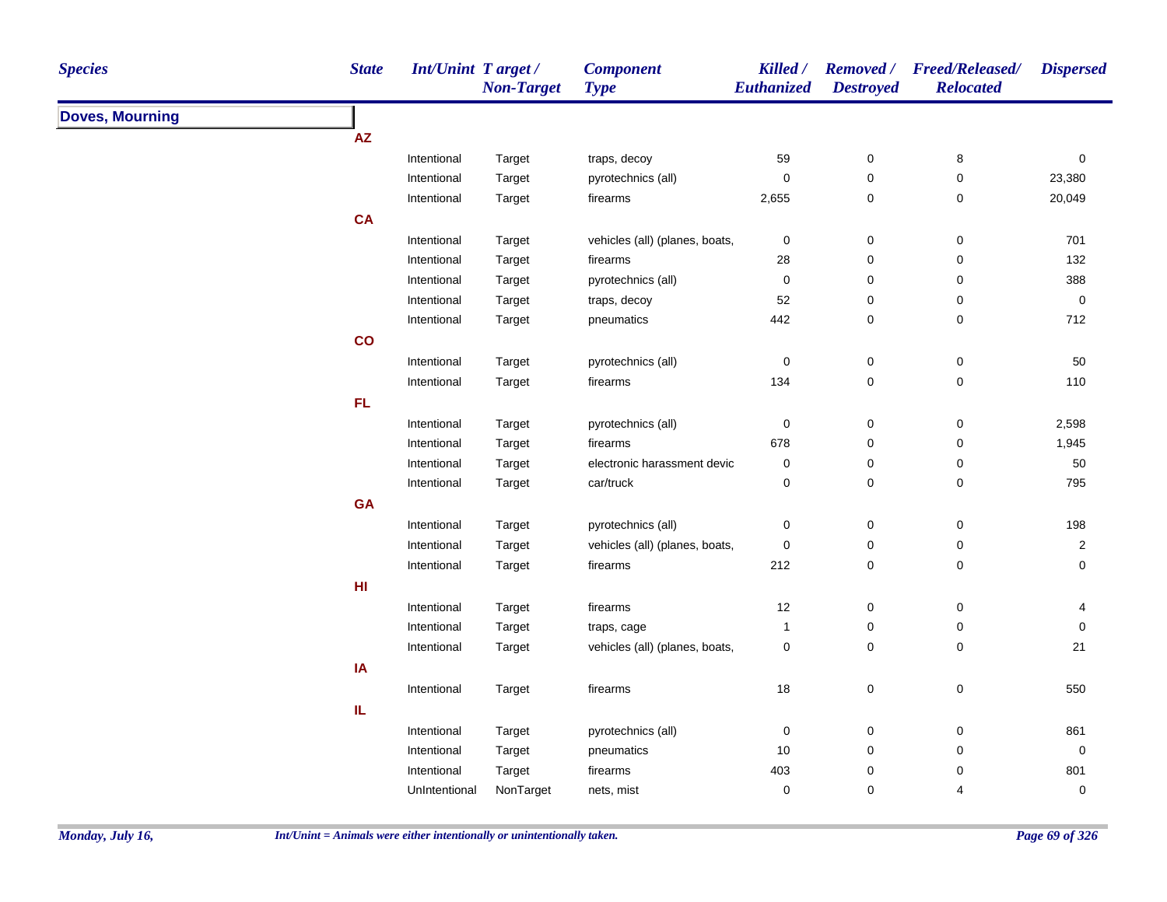| <b>Species</b>         | <b>State</b> | <b>Int/Unint Target/</b>   | <b>Non-Target</b> | <b>Component</b><br><b>Type</b> | Killed /<br>Euthanized | <b>Destroyed</b>              | Removed / Freed/Released/<br><b>Relocated</b> | <b>Dispersed</b>    |
|------------------------|--------------|----------------------------|-------------------|---------------------------------|------------------------|-------------------------------|-----------------------------------------------|---------------------|
| <b>Doves, Mourning</b> |              |                            |                   |                                 |                        |                               |                                               |                     |
|                        | <b>AZ</b>    |                            |                   |                                 |                        |                               |                                               |                     |
|                        |              | Intentional                | Target            | traps, decoy                    | 59                     | $\boldsymbol{0}$              | 8                                             | 0                   |
|                        |              | Intentional                | Target            | pyrotechnics (all)              | $\pmb{0}$              | $\pmb{0}$                     | $\pmb{0}$                                     | 23,380              |
|                        |              | Intentional                | Target            | firearms                        | 2,655                  | $\boldsymbol{0}$              | 0                                             | 20,049              |
|                        | <b>CA</b>    |                            |                   |                                 |                        |                               |                                               |                     |
|                        |              | Intentional                | Target            | vehicles (all) (planes, boats,  | $\pmb{0}$              | $\pmb{0}$                     | $\pmb{0}$                                     | 701                 |
|                        |              | Intentional                | Target            | firearms                        | 28                     | $\mathbf 0$                   | $\pmb{0}$                                     | 132                 |
|                        |              | Intentional                | Target            | pyrotechnics (all)              | $\mathbf 0$            | $\mathbf 0$                   | $\pmb{0}$                                     | 388                 |
|                        |              | Intentional                | Target            | traps, decoy                    | 52                     | $\mathbf 0$                   | 0                                             | 0                   |
|                        |              | Intentional                | Target            | pneumatics                      | 442                    | $\mathbf 0$                   | 0                                             | 712                 |
|                        | co           |                            |                   |                                 |                        |                               |                                               |                     |
|                        |              | Intentional                | Target            | pyrotechnics (all)              | $\mathbf 0$            | $\pmb{0}$                     | $\mathsf 0$                                   | 50                  |
|                        |              | Intentional                | Target            | firearms                        | 134                    | $\mathbf 0$                   | $\pmb{0}$                                     | 110                 |
|                        | <b>FL</b>    |                            |                   |                                 |                        |                               |                                               |                     |
|                        |              | Intentional                | Target            | pyrotechnics (all)              | 0                      | $\boldsymbol{0}$              | $\mathsf 0$                                   | 2,598               |
|                        |              | Intentional                | Target            | firearms                        | 678                    | 0                             | $\pmb{0}$                                     | 1,945               |
|                        |              | Intentional                | Target            | electronic harassment devic     | 0                      | 0                             | $\pmb{0}$                                     | $50\,$              |
|                        |              | Intentional                | Target            | car/truck                       | 0                      | $\mathbf 0$                   | $\mathbf 0$                                   | 795                 |
|                        | GA           |                            |                   |                                 |                        |                               |                                               |                     |
|                        |              | Intentional                | Target            | pyrotechnics (all)              | 0                      | $\boldsymbol{0}$              | 0                                             | 198                 |
|                        |              | Intentional                | Target            | vehicles (all) (planes, boats,  | $\pmb{0}$              | $\boldsymbol{0}$              | 0                                             | $\overline{2}$      |
|                        |              | Intentional                | Target            | firearms                        | 212                    | $\mathbf 0$                   | 0                                             | $\mathsf{O}\xspace$ |
|                        | HI           |                            |                   |                                 |                        |                               |                                               |                     |
|                        |              | Intentional                | Target            | firearms                        | 12                     | $\mathbf 0$                   | $\pmb{0}$                                     | 4                   |
|                        |              | Intentional                | Target            | traps, cage                     | $\mathbf{1}$           | $\mathbf 0$                   | $\pmb{0}$                                     | $\mathbf 0$         |
|                        |              | Intentional                | Target            | vehicles (all) (planes, boats,  | 0                      | $\mathbf 0$                   | $\pmb{0}$                                     | 21                  |
|                        | IA           |                            |                   |                                 |                        |                               |                                               |                     |
|                        |              | Intentional                | Target            | firearms                        | $18\,$                 | $\pmb{0}$                     | $\pmb{0}$                                     | 550                 |
|                        | IL.          |                            |                   |                                 |                        |                               |                                               |                     |
|                        |              |                            |                   |                                 |                        |                               |                                               | 861                 |
|                        |              | Intentional                | Target            | pyrotechnics (all)              | 0<br>10                | $\boldsymbol{0}$              | 0                                             |                     |
|                        |              | Intentional<br>Intentional | Target<br>Target  | pneumatics<br>firearms          | 403                    | $\boldsymbol{0}$<br>$\pmb{0}$ | 0<br>0                                        | $\pmb{0}$<br>801    |
|                        |              |                            | NonTarget         |                                 |                        | $\mathbf 0$                   | 4                                             |                     |
|                        |              | UnIntentional              |                   | nets, mist                      | 0                      |                               |                                               | $\mathsf{O}\xspace$ |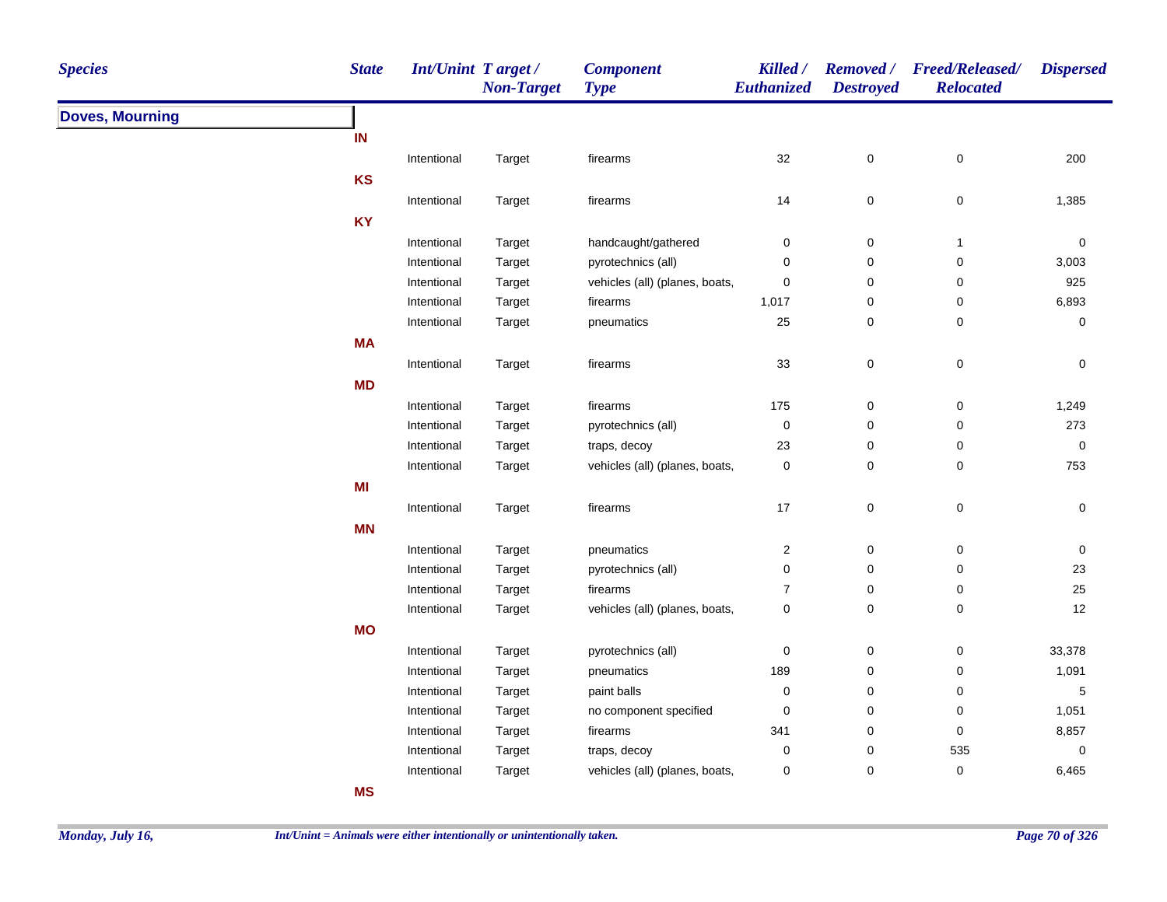| <b>Species</b>         | <b>State</b> | <b>Int/Unint Target/</b>   | <b>Non-Target</b> | <b>Component</b><br><b>Type</b> | Killed /<br><b>Euthanized</b> | <b>Destroyed</b>       | Removed / Freed/Released/<br><b>Relocated</b> | <b>Dispersed</b> |
|------------------------|--------------|----------------------------|-------------------|---------------------------------|-------------------------------|------------------------|-----------------------------------------------|------------------|
| <b>Doves, Mourning</b> |              |                            |                   |                                 |                               |                        |                                               |                  |
|                        | IN           |                            |                   |                                 |                               |                        |                                               |                  |
|                        |              | Intentional                | Target            | firearms                        | 32                            | $\mathsf 0$            | $\mathsf 0$                                   | 200              |
|                        | <b>KS</b>    |                            |                   |                                 |                               |                        |                                               |                  |
|                        |              | Intentional                | Target            | firearms                        | 14                            | $\pmb{0}$              | $\mathsf 0$                                   | 1,385            |
|                        | <b>KY</b>    |                            |                   |                                 |                               |                        |                                               |                  |
|                        |              | Intentional                | Target            | handcaught/gathered             | $\pmb{0}$                     | $\pmb{0}$              | $\mathbf{1}$                                  | $\mathbf 0$      |
|                        |              | Intentional                | Target            | pyrotechnics (all)              | 0                             | 0                      | 0                                             | 3,003            |
|                        |              | Intentional                | Target            | vehicles (all) (planes, boats,  | 0                             | $\pmb{0}$              | 0                                             | 925              |
|                        |              | Intentional                | Target            | firearms                        | 1,017                         | 0                      | 0                                             | 6,893            |
|                        |              | Intentional                | Target            | pneumatics                      | 25                            | 0                      | 0                                             | $\mathbf 0$      |
|                        | <b>MA</b>    |                            |                   |                                 |                               |                        |                                               |                  |
|                        |              | Intentional                | Target            | firearms                        | 33                            | $\pmb{0}$              | $\pmb{0}$                                     | $\pmb{0}$        |
|                        | <b>MD</b>    |                            |                   |                                 |                               |                        |                                               |                  |
|                        |              | Intentional                | Target            | firearms                        | 175                           | $\pmb{0}$              | 0                                             | 1,249            |
|                        |              | Intentional                | Target            | pyrotechnics (all)              | $\mathbf 0$                   | 0                      | $\mathbf 0$                                   | 273              |
|                        |              | Intentional                | Target            | traps, decoy                    | 23                            | $\pmb{0}$              | 0                                             | $\boldsymbol{0}$ |
|                        |              | Intentional                | Target            | vehicles (all) (planes, boats,  | $\mathbf 0$                   | $\pmb{0}$              | $\mathbf 0$                                   | 753              |
|                        | MI           |                            |                   |                                 |                               |                        |                                               |                  |
|                        |              | Intentional                | Target            | firearms                        | 17                            | $\pmb{0}$              | $\pmb{0}$                                     | $\boldsymbol{0}$ |
|                        | <b>MN</b>    |                            |                   |                                 |                               |                        |                                               |                  |
|                        |              |                            |                   |                                 |                               |                        |                                               |                  |
|                        |              | Intentional<br>Intentional | Target            | pneumatics                      | $\sqrt{2}$<br>0               | $\pmb{0}$<br>$\pmb{0}$ | 0<br>$\mathbf 0$                              | $\pmb{0}$<br>23  |
|                        |              | Intentional                | Target<br>Target  | pyrotechnics (all)<br>firearms  | $\boldsymbol{7}$              | $\pmb{0}$              | 0                                             | 25               |
|                        |              | Intentional                | Target            | vehicles (all) (planes, boats,  | $\mathbf 0$                   | $\mathbf 0$            | $\mathbf 0$                                   | 12               |
|                        | <b>MO</b>    |                            |                   |                                 |                               |                        |                                               |                  |
|                        |              |                            |                   |                                 |                               |                        |                                               |                  |
|                        |              | Intentional                | Target            | pyrotechnics (all)              | $\mathbf 0$                   | $\pmb{0}$              | $\mathbf 0$                                   | 33,378           |
|                        |              | Intentional                | Target            | pneumatics                      | 189                           | $\pmb{0}$              | $\pmb{0}$                                     | 1,091            |
|                        |              | Intentional                | Target            | paint balls                     | $\mathbf 0$                   | 0                      | 0                                             | 5                |
|                        |              | Intentional                | Target            | no component specified          | 0                             | 0                      | 0                                             | 1,051            |
|                        |              | Intentional                | Target            | firearms                        | 341                           | 0                      | 0                                             | 8,857            |
|                        |              | Intentional                | Target            | traps, decoy                    | $\mathbf 0$                   | 0                      | 535                                           | $\mathbf 0$      |
|                        |              | Intentional                | Target            | vehicles (all) (planes, boats,  | 0                             | $\mathbf 0$            | $\mathbf 0$                                   | 6,465            |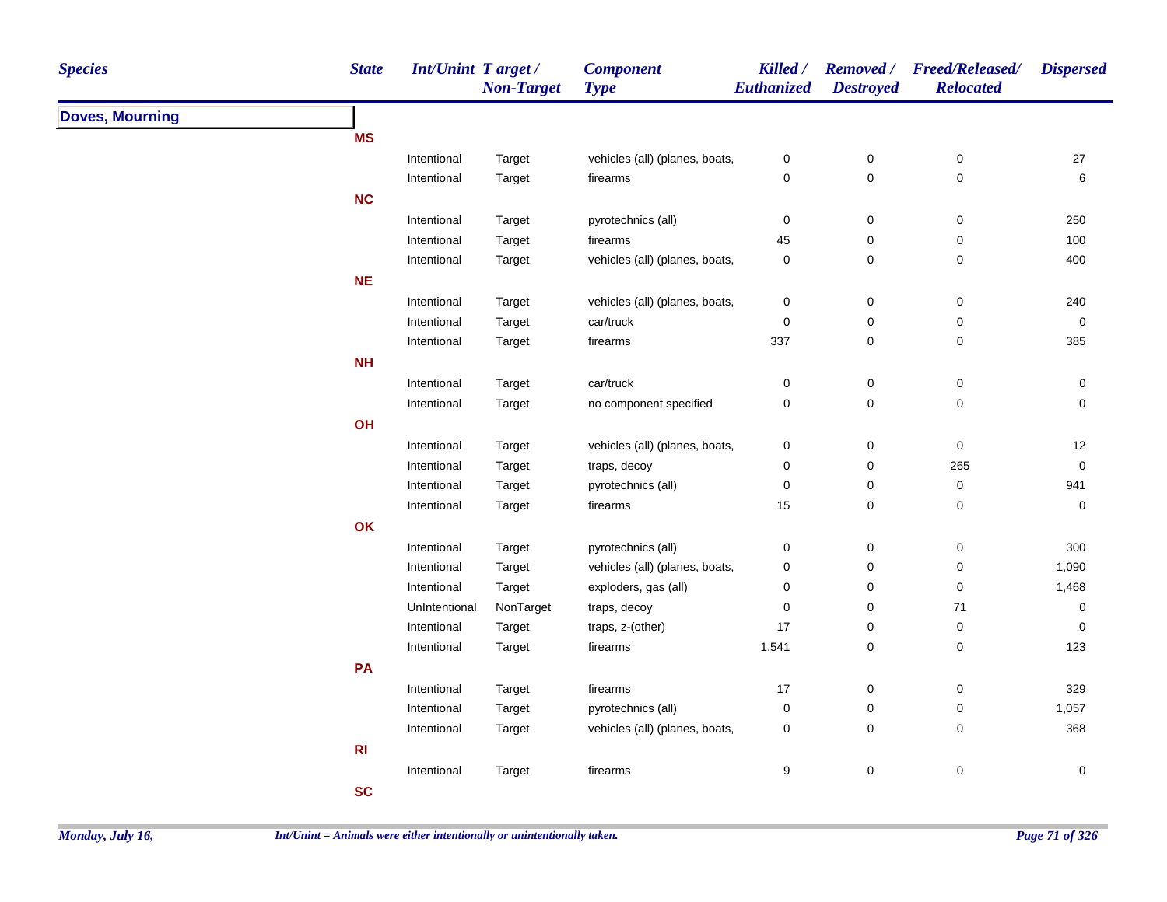| <b>Species</b>         | <b>State</b><br><b>Int/Unint Target/</b> | <b>Non-Target</b> | <b>Component</b><br><b>Type</b> | Killed /<br><b>Euthanized</b> | <b>Destroyed</b>    | Removed / Freed/Released/<br><b>Relocated</b> | <b>Dispersed</b>    |
|------------------------|------------------------------------------|-------------------|---------------------------------|-------------------------------|---------------------|-----------------------------------------------|---------------------|
| <b>Doves, Mourning</b> |                                          |                   |                                 |                               |                     |                                               |                     |
|                        | <b>MS</b>                                |                   |                                 |                               |                     |                                               |                     |
|                        | Intentional                              | Target            | vehicles (all) (planes, boats,  | 0                             | $\pmb{0}$           | $\pmb{0}$                                     | 27                  |
|                        | Intentional                              | Target            | firearms                        | $\pmb{0}$                     | $\mathsf{O}\xspace$ | $\pmb{0}$                                     | 6                   |
|                        | <b>NC</b>                                |                   |                                 |                               |                     |                                               |                     |
|                        | Intentional                              | Target            | pyrotechnics (all)              | $\pmb{0}$                     | $\pmb{0}$           | $\pmb{0}$                                     | 250                 |
|                        | Intentional                              | Target            | firearms                        | 45                            | $\pmb{0}$           | $\pmb{0}$                                     | 100                 |
|                        | Intentional                              | Target            | vehicles (all) (planes, boats,  | $\pmb{0}$                     | $\pmb{0}$           | 0                                             | 400                 |
|                        | <b>NE</b>                                |                   |                                 |                               |                     |                                               |                     |
|                        | Intentional                              | Target            | vehicles (all) (planes, boats,  | 0                             | $\mathsf{O}\xspace$ | $\pmb{0}$                                     | 240                 |
|                        | Intentional                              | Target            | car/truck                       | 0                             | $\pmb{0}$           | $\pmb{0}$                                     | 0                   |
|                        | Intentional                              | Target            | firearms                        | 337                           | $\pmb{0}$           | 0                                             | 385                 |
|                        | <b>NH</b>                                |                   |                                 |                               |                     |                                               |                     |
|                        | Intentional                              | Target            | car/truck                       | $\mathbf 0$                   | $\pmb{0}$           | $\pmb{0}$                                     | $\pmb{0}$           |
|                        | Intentional                              | Target            | no component specified          | $\pmb{0}$                     | 0                   | 0                                             | 0                   |
|                        | OH                                       |                   |                                 |                               |                     |                                               |                     |
|                        | Intentional                              | Target            | vehicles (all) (planes, boats,  | 0                             | 0                   | $\pmb{0}$                                     | 12                  |
|                        | Intentional                              | Target            | traps, decoy                    | 0                             | $\mathbf 0$         | 265                                           | $\mathsf{O}\xspace$ |
|                        | Intentional                              | Target            | pyrotechnics (all)              | 0                             | 0                   | $\pmb{0}$                                     | 941                 |
|                        | Intentional                              | Target            | firearms                        | 15                            | $\mathsf{O}\xspace$ | 0                                             | 0                   |
|                        | OK                                       |                   |                                 |                               |                     |                                               |                     |
|                        | Intentional                              | Target            | pyrotechnics (all)              | 0                             | $\pmb{0}$           | $\pmb{0}$                                     | 300                 |
|                        | Intentional                              | Target            | vehicles (all) (planes, boats,  | 0                             | $\pmb{0}$           | $\pmb{0}$                                     | 1,090               |
|                        | Intentional                              | Target            | exploders, gas (all)            | 0                             | $\pmb{0}$           | $\pmb{0}$                                     | 1,468               |
|                        | UnIntentional                            | NonTarget         | traps, decoy                    | 0                             | $\pmb{0}$           | $\bf 71$                                      | 0                   |
|                        | Intentional                              | Target            | traps, z-(other)                | 17                            | $\pmb{0}$           | $\pmb{0}$                                     | 0                   |
|                        | Intentional                              | Target            | firearms                        | 1,541                         | $\pmb{0}$           | $\pmb{0}$                                     | 123                 |
|                        | PA                                       |                   |                                 |                               |                     |                                               |                     |
|                        | Intentional                              | Target            | firearms                        | 17                            | $\mathbf 0$         | $\pmb{0}$                                     | 329                 |
|                        | Intentional                              | Target            | pyrotechnics (all)              | 0                             | $\mathbf 0$         | $\pmb{0}$                                     | 1,057               |
|                        | Intentional                              | Target            | vehicles (all) (planes, boats,  | 0                             | 0                   | 0                                             | 368                 |
|                        | R <sub>l</sub>                           |                   |                                 |                               |                     |                                               |                     |
|                        | Intentional                              | Target            | firearms                        | 9                             | 0                   | $\pmb{0}$                                     | $\pmb{0}$           |
|                        | <b>SC</b>                                |                   |                                 |                               |                     |                                               |                     |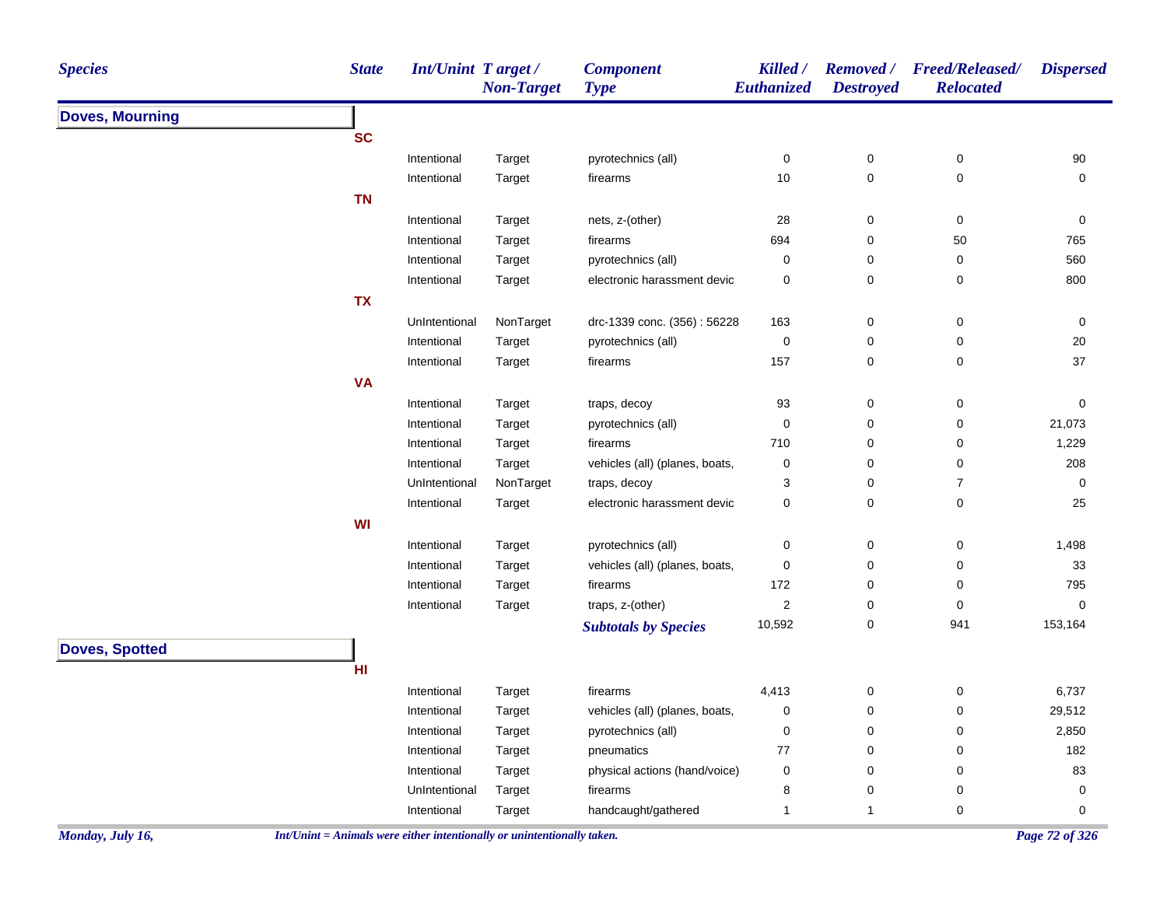| <b>Species</b>         | <b>State</b> | Int/Unint Target/ | <b>Non-Target</b> | <b>Component</b><br><b>Type</b> | Killed /<br>Euthanized | <b>Destroyed</b> | Removed / Freed/Released/<br><b>Relocated</b> | <b>Dispersed</b> |
|------------------------|--------------|-------------------|-------------------|---------------------------------|------------------------|------------------|-----------------------------------------------|------------------|
| <b>Doves, Mourning</b> |              |                   |                   |                                 |                        |                  |                                               |                  |
|                        | <b>SC</b>    |                   |                   |                                 |                        |                  |                                               |                  |
|                        |              | Intentional       | Target            | pyrotechnics (all)              | $\pmb{0}$              | $\pmb{0}$        | $\pmb{0}$                                     | $90\,$           |
|                        |              | Intentional       | Target            | firearms                        | 10                     | 0                | $\pmb{0}$                                     | 0                |
|                        | <b>TN</b>    |                   |                   |                                 |                        |                  |                                               |                  |
|                        |              | Intentional       | Target            | nets, z-(other)                 | 28                     | 0                | $\mathbf 0$                                   | 0                |
|                        |              | Intentional       | Target            | firearms                        | 694                    | 0                | 50                                            | 765              |
|                        |              | Intentional       | Target            | pyrotechnics (all)              | 0                      | 0                | $\mathbf 0$                                   | 560              |
|                        |              | Intentional       | Target            | electronic harassment devic     | 0                      | 0                | 0                                             | 800              |
|                        | <b>TX</b>    |                   |                   |                                 |                        |                  |                                               |                  |
|                        |              | UnIntentional     | NonTarget         | drc-1339 conc. (356): 56228     | 163                    | 0                | $\pmb{0}$                                     | 0                |
|                        |              | Intentional       | Target            | pyrotechnics (all)              | $\pmb{0}$              | 0                | $\pmb{0}$                                     | 20               |
|                        |              | Intentional       | Target            | firearms                        | 157                    | 0                | $\pmb{0}$                                     | 37               |
|                        | <b>VA</b>    |                   |                   |                                 |                        |                  |                                               |                  |
|                        |              | Intentional       | Target            | traps, decoy                    | 93                     | 0                | $\boldsymbol{0}$                              | 0                |
|                        |              | Intentional       | Target            | pyrotechnics (all)              | $\pmb{0}$              | 0                | $\mathbf 0$                                   | 21,073           |
|                        |              | Intentional       | Target            | firearms                        | 710                    | 0                | $\mathbf 0$                                   | 1,229            |
|                        |              | Intentional       | Target            | vehicles (all) (planes, boats,  | $\pmb{0}$              | 0                | $\pmb{0}$                                     | 208              |
|                        |              | UnIntentional     | NonTarget         | traps, decoy                    | 3                      | 0                | $\overline{7}$                                | 0                |
|                        |              | Intentional       | Target            | electronic harassment devic     | 0                      | 0                | $\pmb{0}$                                     | 25               |
|                        | WI           |                   |                   |                                 |                        |                  |                                               |                  |
|                        |              | Intentional       | Target            | pyrotechnics (all)              | $\pmb{0}$              | 0                | $\mathbf 0$                                   | 1,498            |
|                        |              | Intentional       | Target            | vehicles (all) (planes, boats,  | $\pmb{0}$              | 0                | $\mathbf 0$                                   | 33               |
|                        |              | Intentional       | Target            | firearms                        | 172                    | 0                | 0                                             | 795              |
|                        |              | Intentional       | Target            | traps, z-(other)                | $\sqrt{2}$             | $\mathsf 0$      | $\mathbf 0$                                   | 0                |
|                        |              |                   |                   | <b>Subtotals by Species</b>     | 10,592                 | 0                | 941                                           | 153,164          |
| <b>Doves, Spotted</b>  |              |                   |                   |                                 |                        |                  |                                               |                  |
|                        | HI           |                   |                   |                                 |                        |                  |                                               |                  |
|                        |              | Intentional       | Target            | firearms                        | 4,413                  | 0                | $\boldsymbol{0}$                              | 6,737            |
|                        |              | Intentional       | Target            | vehicles (all) (planes, boats,  | $\pmb{0}$              | 0                | $\pmb{0}$                                     | 29,512           |
|                        |              | Intentional       | Target            | pyrotechnics (all)              | $\pmb{0}$              | 0                | $\pmb{0}$                                     | 2,850            |
|                        |              | Intentional       | Target            | pneumatics                      | 77                     | 0                | $\pmb{0}$                                     | 182              |
|                        |              | Intentional       | Target            | physical actions (hand/voice)   | $\mathbf 0$            | 0                | 0                                             | 83               |
|                        |              | UnIntentional     | Target            | firearms                        | 8                      | 0                | $\mathbf 0$                                   | 0                |
|                        |              | Intentional       | Target            | handcaught/gathered             | $\mathbf{1}$           | $\mathbf{1}$     | $\mathbf 0$                                   | 0                |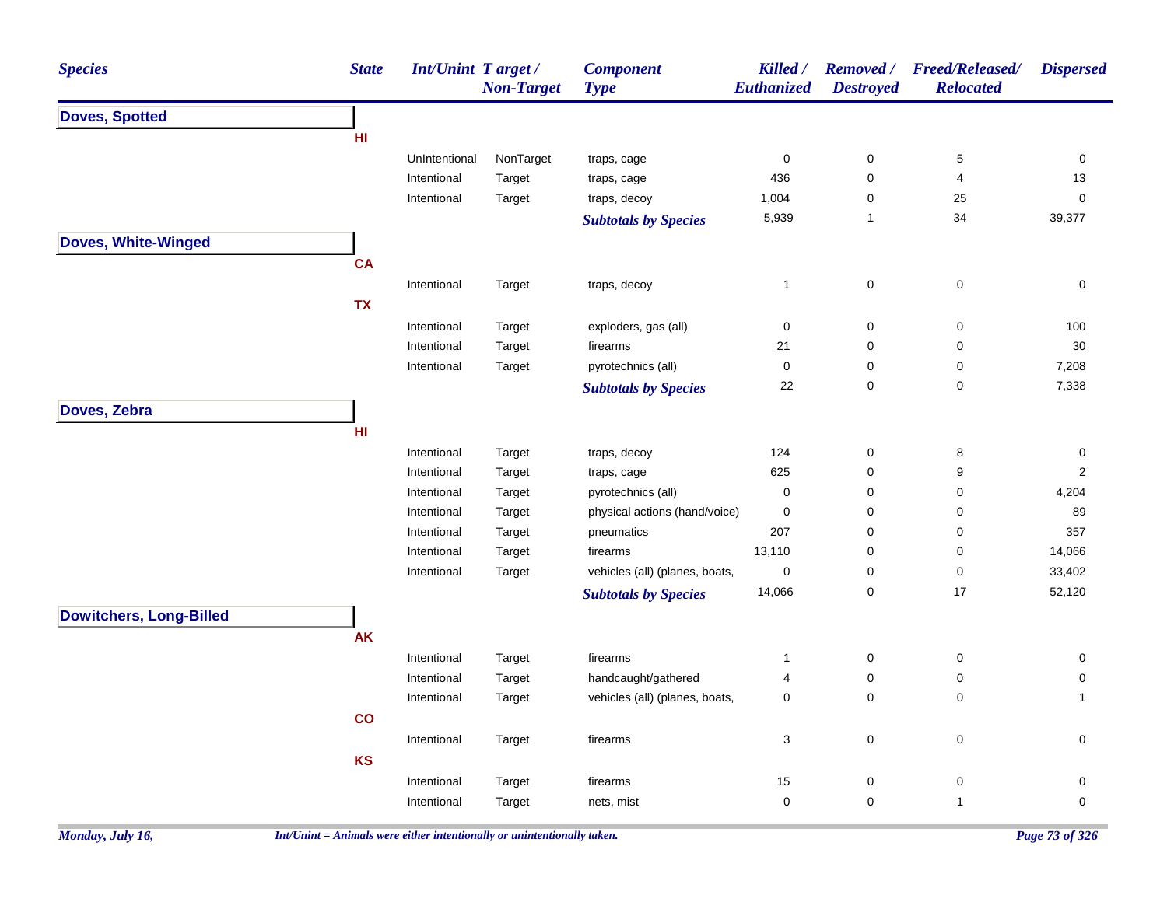| <b>Species</b>                 | <b>State</b>  | Int/Unint Target/          | <b>Non-Target</b> | <b>Component</b><br><b>Type</b> | Killed /<br>Euthanized | <b>Removed</b> /<br><b>Destroyed</b> | <b>Freed/Released/</b><br><b>Relocated</b> | <b>Dispersed</b> |
|--------------------------------|---------------|----------------------------|-------------------|---------------------------------|------------------------|--------------------------------------|--------------------------------------------|------------------|
| <b>Doves, Spotted</b>          |               |                            |                   |                                 |                        |                                      |                                            |                  |
|                                | HI            |                            |                   |                                 |                        |                                      |                                            |                  |
|                                |               | UnIntentional              | NonTarget         | traps, cage                     | $\mathbf 0$            | 0                                    | $\,$ 5 $\,$                                | 0                |
|                                |               | Intentional                | Target            | traps, cage                     | 436                    | 0                                    | 4                                          | 13               |
|                                |               | Intentional                | Target            | traps, decoy                    | 1,004                  | 0                                    | 25                                         | $\mathbf 0$      |
|                                |               |                            |                   | <b>Subtotals by Species</b>     | 5,939                  | $\mathbf{1}$                         | 34                                         | 39,377           |
| Doves, White-Winged            |               |                            |                   |                                 |                        |                                      |                                            |                  |
|                                | <b>CA</b>     |                            |                   |                                 |                        |                                      |                                            |                  |
|                                |               | Intentional                | Target            | traps, decoy                    | $\mathbf{1}$           | $\pmb{0}$                            | $\pmb{0}$                                  | $\pmb{0}$        |
|                                | <b>TX</b>     |                            |                   |                                 |                        |                                      |                                            |                  |
|                                |               | Intentional                | Target            | exploders, gas (all)            | $\mathbf 0$            | 0                                    | 0                                          | 100              |
|                                |               | Intentional                | Target            | firearms                        | 21                     | 0                                    | 0                                          | 30               |
|                                |               | Intentional                | Target            | pyrotechnics (all)              | $\mathbf 0$            | 0                                    | 0                                          | 7,208            |
|                                |               |                            |                   | <b>Subtotals by Species</b>     | 22                     | 0                                    | 0                                          | 7,338            |
| Doves, Zebra                   |               |                            |                   |                                 |                        |                                      |                                            |                  |
|                                | HI            |                            |                   |                                 |                        |                                      |                                            |                  |
|                                |               |                            |                   |                                 |                        |                                      |                                            |                  |
|                                |               | Intentional                | Target            | traps, decoy                    | 124                    | $\pmb{0}$                            | 8                                          | $\pmb{0}$        |
|                                |               | Intentional                | Target            | traps, cage                     | 625                    | 0                                    | 9                                          | $\overline{2}$   |
|                                |               | Intentional                | Target            | pyrotechnics (all)              | $\mathbf 0$            | 0                                    | 0                                          | 4,204            |
|                                |               | Intentional                | Target            | physical actions (hand/voice)   | $\pmb{0}$<br>207       | 0                                    | $\pmb{0}$                                  | 89<br>357        |
|                                |               | Intentional                | Target            | pneumatics                      | 13,110                 | 0                                    | 0                                          | 14,066           |
|                                |               | Intentional<br>Intentional | Target            | firearms                        | $\pmb{0}$              | 0<br>0                               | 0<br>0                                     | 33,402           |
|                                |               |                            | Target            | vehicles (all) (planes, boats,  | 14,066                 | 0                                    | 17                                         | 52,120           |
|                                |               |                            |                   | <b>Subtotals by Species</b>     |                        |                                      |                                            |                  |
| <b>Dowitchers, Long-Billed</b> |               |                            |                   |                                 |                        |                                      |                                            |                  |
|                                | <b>AK</b>     |                            |                   |                                 |                        |                                      |                                            |                  |
|                                |               | Intentional                | Target            | firearms                        | $\mathbf{1}$           | $\pmb{0}$                            | 0                                          | 0                |
|                                |               | Intentional                | Target            | handcaught/gathered             | 4                      | 0                                    | 0                                          | 0                |
|                                |               | Intentional                | Target            | vehicles (all) (planes, boats,  | $\mathbf 0$            | 0                                    | 0                                          | -1               |
|                                | $\mathsf{co}$ |                            |                   |                                 |                        |                                      |                                            |                  |
|                                |               | Intentional                | Target            | firearms                        | $\sqrt{3}$             | $\pmb{0}$                            | $\pmb{0}$                                  | 0                |
|                                | <b>KS</b>     |                            |                   |                                 |                        |                                      |                                            |                  |
|                                |               | Intentional                | Target            | firearms                        | 15                     | 0                                    | $\pmb{0}$                                  | 0                |
|                                |               | Intentional                | Target            | nets, mist                      | $\mathbf 0$            | 0                                    | 1                                          | 0                |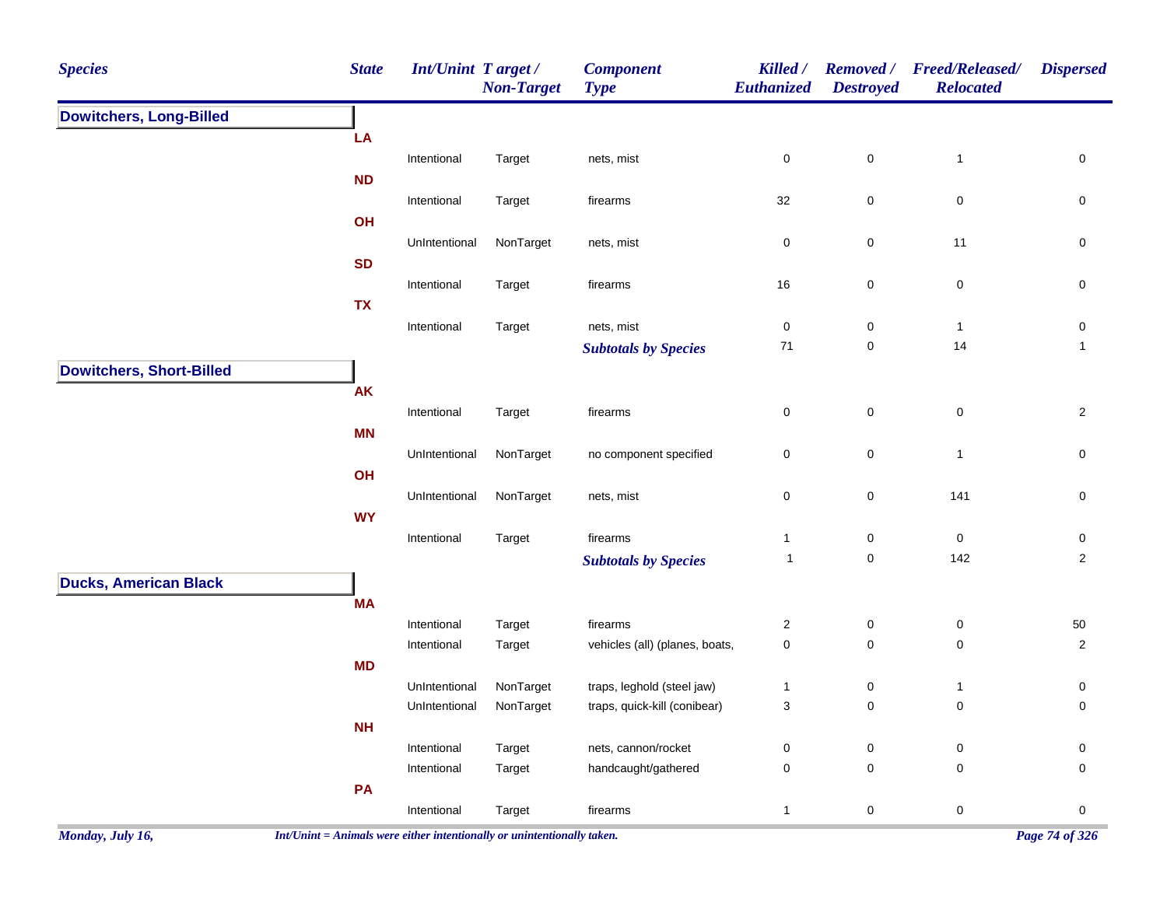| <b>Species</b>                  | <b>State</b> | Int/Unint Target /         | <b>Non-Target</b> | <b>Component</b><br><b>Type</b>            | Killed /<br>Euthanized    | <b>Destroyed</b>       | Removed / Freed/Released/<br><b>Relocated</b> | <b>Dispersed</b>    |
|---------------------------------|--------------|----------------------------|-------------------|--------------------------------------------|---------------------------|------------------------|-----------------------------------------------|---------------------|
| <b>Dowitchers, Long-Billed</b>  |              |                            |                   |                                            |                           |                        |                                               |                     |
|                                 | LA           |                            |                   |                                            |                           |                        |                                               |                     |
|                                 |              | Intentional                | Target            | nets, mist                                 | $\pmb{0}$                 | $\mathbf 0$            | $\mathbf{1}$                                  | $\mathsf{O}\xspace$ |
|                                 | <b>ND</b>    |                            | Target            |                                            | 32                        | $\mathbf 0$            | $\pmb{0}$                                     | $\pmb{0}$           |
|                                 | OH           | Intentional                |                   | firearms                                   |                           |                        |                                               |                     |
|                                 |              | UnIntentional              | NonTarget         | nets, mist                                 | $\pmb{0}$                 | $\mathbf 0$            | 11                                            | $\mathsf{O}\xspace$ |
|                                 | <b>SD</b>    |                            |                   |                                            |                           |                        |                                               |                     |
|                                 |              | Intentional                | Target            | firearms                                   | $16$                      | $\pmb{0}$              | $\pmb{0}$                                     | 0                   |
|                                 | <b>TX</b>    |                            |                   |                                            |                           |                        |                                               |                     |
|                                 |              | Intentional                | Target            | nets, mist                                 | $\pmb{0}$                 | $\pmb{0}$              | $\mathbf{1}$                                  | $\pmb{0}$           |
|                                 |              |                            |                   | <b>Subtotals by Species</b>                | 71                        | $\pmb{0}$              | 14                                            | $\mathbf{1}$        |
| <b>Dowitchers, Short-Billed</b> | AK           |                            |                   |                                            |                           |                        |                                               |                     |
|                                 |              | Intentional                | Target            | firearms                                   | 0                         | $\mathsf{O}\xspace$    | $\pmb{0}$                                     | $\overline{2}$      |
|                                 | <b>MN</b>    |                            |                   |                                            |                           |                        |                                               |                     |
|                                 |              | UnIntentional              | NonTarget         | no component specified                     | $\pmb{0}$                 | $\pmb{0}$              | $\overline{1}$                                | 0                   |
|                                 | OH           |                            |                   |                                            |                           |                        |                                               |                     |
|                                 |              | UnIntentional              | NonTarget         | nets, mist                                 | $\pmb{0}$                 | $\mathbf 0$            | 141                                           | $\pmb{0}$           |
|                                 | <b>WY</b>    |                            |                   |                                            |                           |                        |                                               |                     |
|                                 |              | Intentional                | Target            | firearms                                   | $\mathbf{1}$              | $\pmb{0}$              | $\mathsf 0$<br>142                            | $\mathsf{O}\xspace$ |
|                                 |              |                            |                   | <b>Subtotals by Species</b>                | $\mathbf{1}$              | $\mathsf 0$            |                                               | $\overline{2}$      |
| <b>Ducks, American Black</b>    | <b>MA</b>    |                            |                   |                                            |                           |                        |                                               |                     |
|                                 |              | Intentional                | Target            | firearms                                   | $\overline{c}$            | $\pmb{0}$              | $\pmb{0}$                                     | 50                  |
|                                 |              | Intentional                | Target            | vehicles (all) (planes, boats,             | $\pmb{0}$                 | 0                      | $\mathbf 0$                                   | $\overline{2}$      |
|                                 | <b>MD</b>    |                            |                   |                                            |                           |                        |                                               |                     |
|                                 |              | UnIntentional              | NonTarget         | traps, leghold (steel jaw)                 | $\mathbf{1}$              | $\pmb{0}$              | $\overline{1}$                                | $\pmb{0}$           |
|                                 |              | UnIntentional              | NonTarget         | traps, quick-kill (conibear)               | $\ensuremath{\mathsf{3}}$ | $\mathsf 0$            | $\pmb{0}$                                     | 0                   |
|                                 | NH           |                            |                   |                                            |                           |                        |                                               |                     |
|                                 |              | Intentional<br>Intentional | Target<br>Target  | nets, cannon/rocket<br>handcaught/gathered | $\pmb{0}$<br>$\pmb{0}$    | $\pmb{0}$<br>$\pmb{0}$ | $\pmb{0}$<br>$\pmb{0}$                        | $\pmb{0}$<br>0      |
|                                 | PA           |                            |                   |                                            |                           |                        |                                               |                     |
|                                 |              | Intentional                | Target            | firearms                                   | $\mathbf{1}$              | $\mathsf 0$            | $\mathsf 0$                                   | $\pmb{0}$           |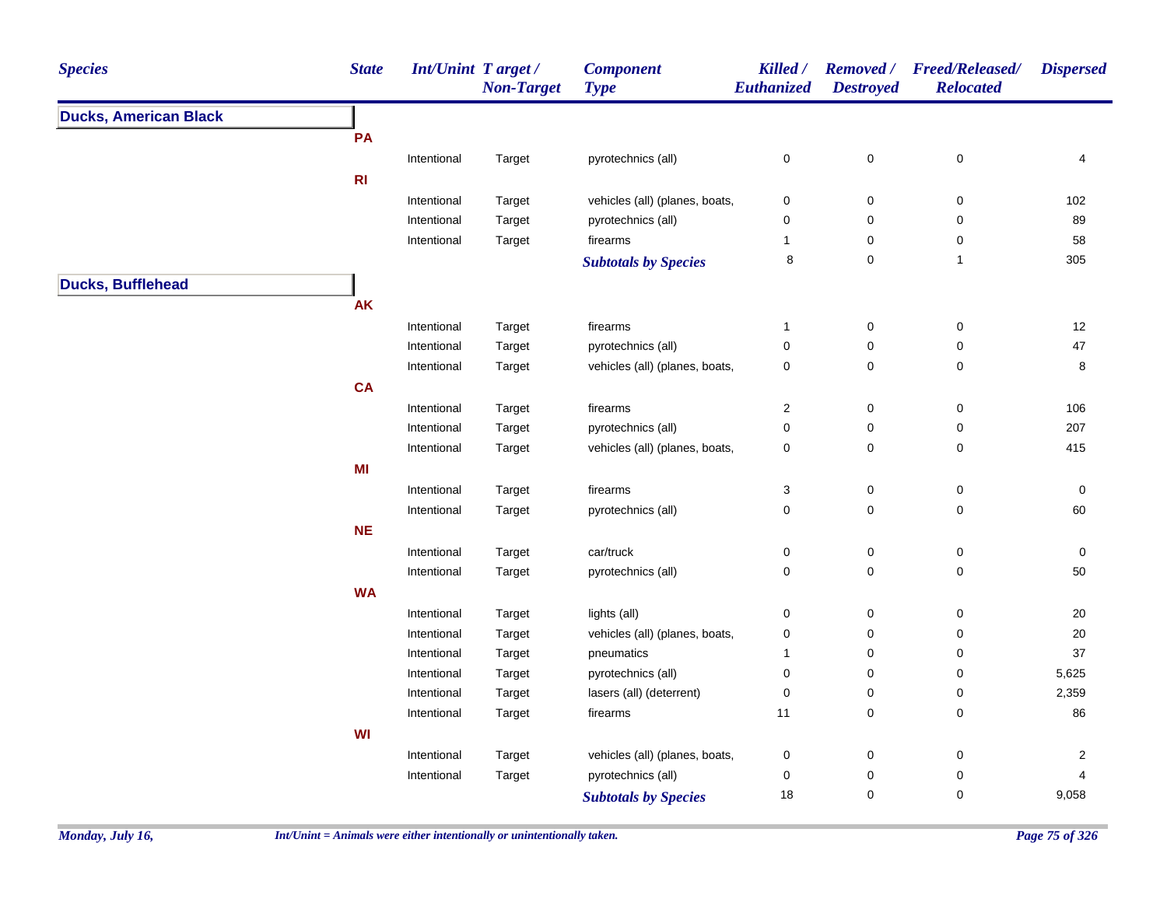| <b>Ducks, American Black</b><br>PA<br>$\pmb{0}$<br>Intentional<br>pyrotechnics (all)<br>0<br>Target | $\mathbf 0$<br>0<br>$\pmb{0}$ | 4<br>102       |
|-----------------------------------------------------------------------------------------------------|-------------------------------|----------------|
|                                                                                                     |                               |                |
|                                                                                                     |                               |                |
|                                                                                                     |                               |                |
| R1                                                                                                  |                               |                |
| Intentional<br>vehicles (all) (planes, boats,<br>$\mathbf 0$<br>Target<br>0                         |                               |                |
| Intentional<br>pyrotechnics (all)<br>0<br>$\mathsf 0$<br>Target                                     |                               | 89             |
| Intentional<br>firearms<br>$\mathbf 0$<br>Target<br>1                                               | 0                             | 58             |
| 8<br>$\mathbf 0$<br><b>Subtotals by Species</b>                                                     | $\overline{1}$                | 305            |
| <b>Ducks, Bufflehead</b>                                                                            |                               |                |
| AK                                                                                                  |                               |                |
| Intentional<br>firearms<br>0<br>Target<br>1                                                         | 0                             | 12             |
| Intentional<br>pyrotechnics (all)<br>0<br>$\mathbf 0$<br>Target                                     | $\mathbf 0$                   | $47\,$         |
| vehicles (all) (planes, boats,<br>$\mathsf{O}\xspace$<br>Intentional<br>Target<br>0                 | $\pmb{0}$                     | 8              |
| <b>CA</b>                                                                                           |                               |                |
| Intentional<br>firearms<br>2<br>0<br>Target                                                         | $\pmb{0}$                     | 106            |
| $\pmb{0}$<br>Intentional<br>Target<br>pyrotechnics (all)<br>0                                       | $\pmb{0}$                     | 207            |
| vehicles (all) (planes, boats,<br>Intentional<br>Target<br>0<br>0                                   | $\mathbf 0$                   | 415            |
| MI                                                                                                  |                               |                |
| $\mathsf{O}\xspace$<br>Intentional<br>firearms<br>3<br>Target                                       | 0                             | 0              |
| 0<br>$\mathbf 0$<br>Intentional<br>pyrotechnics (all)<br>Target                                     | $\mathbf 0$                   | 60             |
| <b>NE</b>                                                                                           |                               |                |
| Intentional<br>car/truck<br>$\pmb{0}$<br>Target<br>0                                                | $\pmb{0}$                     | 0              |
| $\mathsf{O}\xspace$<br>Intentional<br>pyrotechnics (all)<br>0<br>Target                             | 0                             | 50             |
| <b>WA</b>                                                                                           |                               |                |
| Intentional<br>Target<br>lights (all)<br>0<br>$\mathbf 0$                                           | 0                             | 20             |
| vehicles (all) (planes, boats,<br>Intentional<br>Target<br>0<br>$\mathbf 0$                         | 0                             | $20\,$         |
| Intentional<br>Target<br>pneumatics<br>0<br>1                                                       | 0                             | 37             |
| pyrotechnics (all)<br>$\mathbf 0$<br>Intentional<br>Target<br>0                                     | 0                             | 5,625          |
| lasers (all) (deterrent)<br>Intentional<br>Target<br>0<br>0                                         | 0                             | 2,359          |
| $\mathsf{O}\xspace$<br>Intentional<br>11<br>Target<br>firearms                                      | 0                             | 86             |
| WI                                                                                                  |                               |                |
| Intentional<br>Target<br>vehicles (all) (planes, boats,<br>0<br>$\mathbf 0$                         | 0                             | $\overline{c}$ |
| pyrotechnics (all)<br>Intentional<br>Target<br>0<br>0                                               | 0                             | 4              |
| 18<br>$\mathbf 0$<br><b>Subtotals by Species</b>                                                    | 0                             | 9,058          |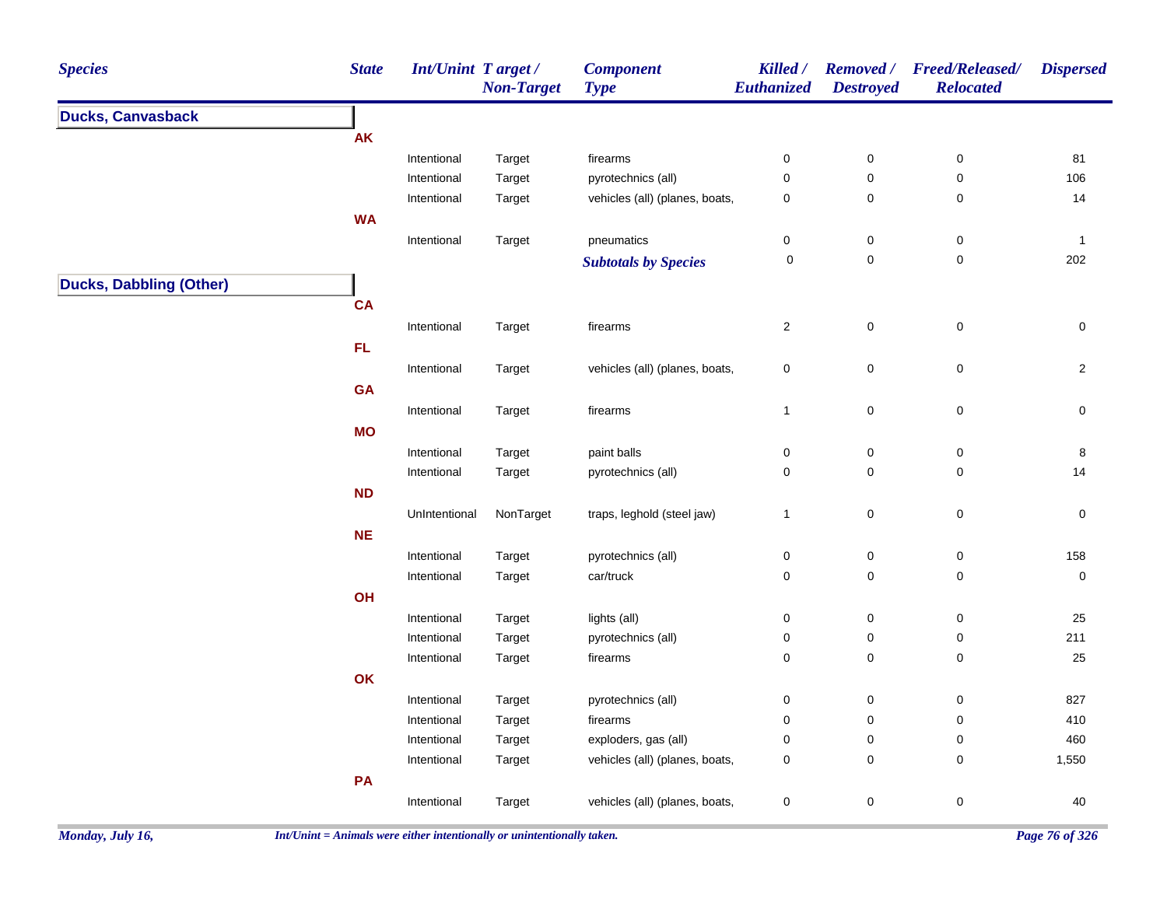| <b>Species</b>                 | <b>State</b> | <b>Int/Unint Target/</b> | <b>Non-Target</b> | <b>Component</b><br><b>Type</b> | Killed /<br>Euthanized | <b>Destroyed</b>    | Removed / Freed/Released/<br><b>Relocated</b> | <b>Dispersed</b>    |
|--------------------------------|--------------|--------------------------|-------------------|---------------------------------|------------------------|---------------------|-----------------------------------------------|---------------------|
| <b>Ducks, Canvasback</b>       |              |                          |                   |                                 |                        |                     |                                               |                     |
|                                | <b>AK</b>    |                          |                   |                                 |                        |                     |                                               |                     |
|                                |              | Intentional              | Target            | firearms                        | $\boldsymbol{0}$       | $\pmb{0}$           | $\pmb{0}$                                     | 81                  |
|                                |              | Intentional              | Target            | pyrotechnics (all)              | $\pmb{0}$              | 0                   | 0                                             | 106                 |
|                                |              | Intentional              | Target            | vehicles (all) (planes, boats,  | $\pmb{0}$              | 0                   | 0                                             | 14                  |
|                                | <b>WA</b>    |                          |                   |                                 |                        |                     |                                               |                     |
|                                |              | Intentional              | Target            | pneumatics                      | $\pmb{0}$              | $\pmb{0}$           | $\pmb{0}$                                     | $\mathbf{1}$        |
|                                |              |                          |                   | <b>Subtotals by Species</b>     | $\mathbf 0$            | 0                   | $\pmb{0}$                                     | 202                 |
| <b>Ducks, Dabbling (Other)</b> |              |                          |                   |                                 |                        |                     |                                               |                     |
|                                | <b>CA</b>    |                          |                   |                                 |                        |                     |                                               |                     |
|                                |              | Intentional              | Target            | firearms                        | $\sqrt{2}$             | $\mathbf 0$         | $\mathsf 0$                                   | $\mathbf 0$         |
|                                | FL           |                          |                   |                                 |                        |                     |                                               |                     |
|                                |              | Intentional              | Target            | vehicles (all) (planes, boats,  | $\pmb{0}$              | $\mathsf{O}\xspace$ | $\pmb{0}$                                     | $\overline{2}$      |
|                                | GA           |                          |                   |                                 |                        |                     |                                               |                     |
|                                |              | Intentional              | Target            | firearms                        | $\mathbf{1}$           | $\mathbf 0$         | $\mathsf 0$                                   | $\mathsf{O}\xspace$ |
|                                | <b>MO</b>    |                          |                   |                                 |                        |                     |                                               |                     |
|                                |              | Intentional              | Target            | paint balls                     | $\pmb{0}$              | $\pmb{0}$           | $\pmb{0}$                                     | $\bf 8$             |
|                                |              | Intentional              | Target            | pyrotechnics (all)              | $\pmb{0}$              | $\mathbf 0$         | 0                                             | 14                  |
|                                | <b>ND</b>    |                          |                   |                                 |                        |                     |                                               |                     |
|                                |              | UnIntentional            | NonTarget         | traps, leghold (steel jaw)      | $\mathbf{1}$           | $\pmb{0}$           | $\pmb{0}$                                     | $\pmb{0}$           |
|                                | NE           |                          |                   |                                 |                        |                     |                                               |                     |
|                                |              |                          |                   |                                 |                        |                     |                                               | 158                 |
|                                |              | Intentional              | Target<br>Target  | pyrotechnics (all)              | $\pmb{0}$<br>$\pmb{0}$ | 0<br>$\mathbf 0$    | 0<br>$\pmb{0}$                                | $\pmb{0}$           |
|                                | OH           | Intentional              |                   | car/truck                       |                        |                     |                                               |                     |
|                                |              |                          |                   |                                 |                        |                     |                                               |                     |
|                                |              | Intentional              | Target            | lights (all)                    | $\pmb{0}$              | $\pmb{0}$           | $\pmb{0}$                                     | 25<br>211           |
|                                |              | Intentional              | Target            | pyrotechnics (all)              | $\pmb{0}$<br>$\pmb{0}$ | 0<br>0              | 0<br>$\pmb{0}$                                | 25                  |
|                                |              | Intentional              | Target            | firearms                        |                        |                     |                                               |                     |
|                                | OK           |                          |                   |                                 |                        |                     |                                               |                     |
|                                |              | Intentional              | Target            | pyrotechnics (all)              | $\pmb{0}$              | $\pmb{0}$           | $\pmb{0}$                                     | 827                 |
|                                |              | Intentional              | Target            | firearms                        | $\boldsymbol{0}$       | 0                   | 0                                             | 410                 |
|                                |              | Intentional              | Target            | exploders, gas (all)            | $\mathbf 0$            | 0                   | 0                                             | 460                 |
|                                |              | Intentional              | Target            | vehicles (all) (planes, boats,  | $\pmb{0}$              | 0                   | $\pmb{0}$                                     | 1,550               |
|                                | PA           |                          |                   |                                 |                        |                     |                                               |                     |
|                                |              | Intentional              | Target            | vehicles (all) (planes, boats,  | $\pmb{0}$              | $\pmb{0}$           | $\pmb{0}$                                     | 40                  |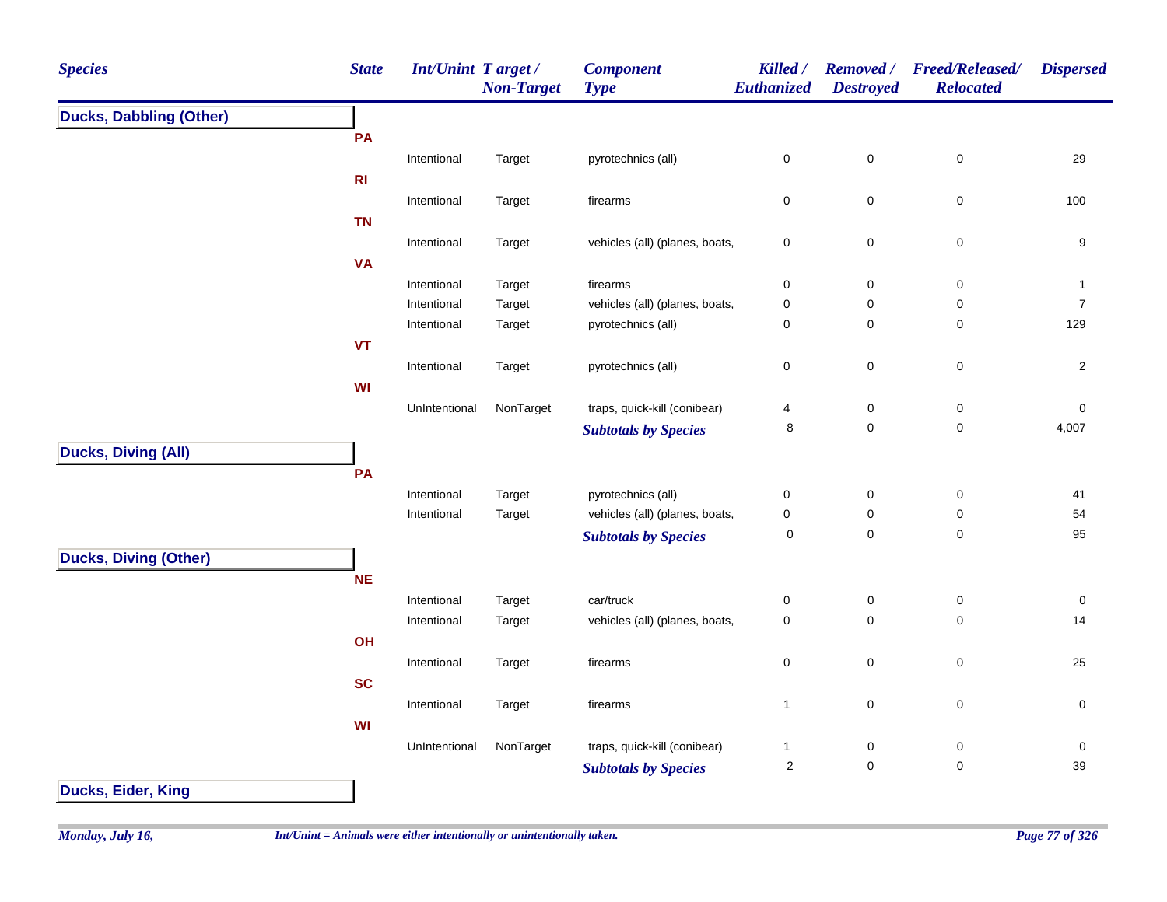| <b>Species</b>                 | <b>State</b> | Int/Unint Target / | <b>Non-Target</b> | <b>Component</b><br><b>Type</b> | Killed /<br>Euthanized         | <b>Removed</b> /<br><b>Destroyed</b> | Freed/Released/<br><b>Relocated</b> | <b>Dispersed</b>  |
|--------------------------------|--------------|--------------------|-------------------|---------------------------------|--------------------------------|--------------------------------------|-------------------------------------|-------------------|
| <b>Ducks, Dabbling (Other)</b> |              |                    |                   |                                 |                                |                                      |                                     |                   |
|                                | PA           |                    |                   |                                 |                                |                                      |                                     |                   |
|                                |              | Intentional        | Target            | pyrotechnics (all)              | $\pmb{0}$                      | $\pmb{0}$                            | $\pmb{0}$                           | 29                |
|                                | R1           |                    |                   |                                 |                                |                                      |                                     |                   |
|                                |              | Intentional        | Target            | firearms                        | $\pmb{0}$                      | $\mathbf 0$                          | $\pmb{0}$                           | 100               |
|                                | <b>TN</b>    |                    |                   |                                 |                                |                                      |                                     |                   |
|                                |              | Intentional        | Target            | vehicles (all) (planes, boats,  | $\pmb{0}$                      | $\mathbf 0$                          | $\pmb{0}$                           | $\boldsymbol{9}$  |
|                                | <b>VA</b>    |                    |                   |                                 |                                |                                      |                                     |                   |
|                                |              | Intentional        | Target            | firearms                        | $\pmb{0}$                      | $\mathbf 0$                          | $\pmb{0}$                           | $\mathbf{1}$      |
|                                |              | Intentional        | Target            | vehicles (all) (planes, boats,  | $\mathbf 0$                    | 0                                    | $\mathsf 0$                         | $\boldsymbol{7}$  |
|                                |              | Intentional        | Target            | pyrotechnics (all)              | $\mathbf 0$                    | 0                                    | 0                                   | 129               |
|                                | VT           |                    |                   |                                 |                                |                                      |                                     |                   |
|                                |              | Intentional        | Target            | pyrotechnics (all)              | $\mathbf 0$                    | $\mathbf 0$                          | $\pmb{0}$                           | $\overline{2}$    |
|                                | WI           |                    |                   |                                 |                                |                                      |                                     |                   |
|                                |              | UnIntentional      | NonTarget         | traps, quick-kill (conibear)    | 4                              | $\pmb{0}$                            | $\mathbf 0$                         | $\pmb{0}$         |
|                                |              |                    |                   | <b>Subtotals by Species</b>     | 8                              | $\mathbf 0$                          | $\pmb{0}$                           | 4,007             |
| <b>Ducks, Diving (All)</b>     |              |                    |                   |                                 |                                |                                      |                                     |                   |
|                                | PA           |                    |                   |                                 |                                |                                      |                                     |                   |
|                                |              | Intentional        | Target            | pyrotechnics (all)              | $\pmb{0}$                      | $\pmb{0}$                            | $\pmb{0}$                           | 41                |
|                                |              | Intentional        | Target            | vehicles (all) (planes, boats,  | $\pmb{0}$                      | 0                                    | $\pmb{0}$                           | 54                |
|                                |              |                    |                   | <b>Subtotals by Species</b>     | $\mathbf 0$                    | $\pmb{0}$                            | $\mathbf 0$                         | 95                |
| <b>Ducks, Diving (Other)</b>   |              |                    |                   |                                 |                                |                                      |                                     |                   |
|                                | <b>NE</b>    |                    |                   |                                 |                                |                                      |                                     |                   |
|                                |              | Intentional        | Target            | car/truck                       | $\pmb{0}$                      | 0                                    | $\pmb{0}$                           | $\pmb{0}$         |
|                                |              | Intentional        | Target            | vehicles (all) (planes, boats,  | $\pmb{0}$                      | 0                                    | 0                                   | 14                |
|                                | OH           |                    |                   |                                 |                                |                                      |                                     |                   |
|                                |              | Intentional        | Target            | firearms                        | $\mathsf{O}\xspace$            | $\pmb{0}$                            | $\mathbf 0$                         | 25                |
|                                | <b>SC</b>    |                    |                   |                                 |                                |                                      |                                     |                   |
|                                |              | Intentional        | Target            | firearms                        | $\mathbf{1}$                   | $\pmb{0}$                            | $\pmb{0}$                           | 0                 |
|                                | WI           |                    |                   |                                 |                                |                                      |                                     |                   |
|                                |              |                    |                   |                                 |                                |                                      |                                     |                   |
|                                |              | UnIntentional      | NonTarget         | traps, quick-kill (conibear)    | $\mathbf{1}$<br>$\overline{2}$ | $\pmb{0}$<br>0                       | $\pmb{0}$<br>$\pmb{0}$              | $\mathbf 0$<br>39 |
|                                |              |                    |                   | <b>Subtotals by Species</b>     |                                |                                      |                                     |                   |
| Ducks, Eider, King             |              |                    |                   |                                 |                                |                                      |                                     |                   |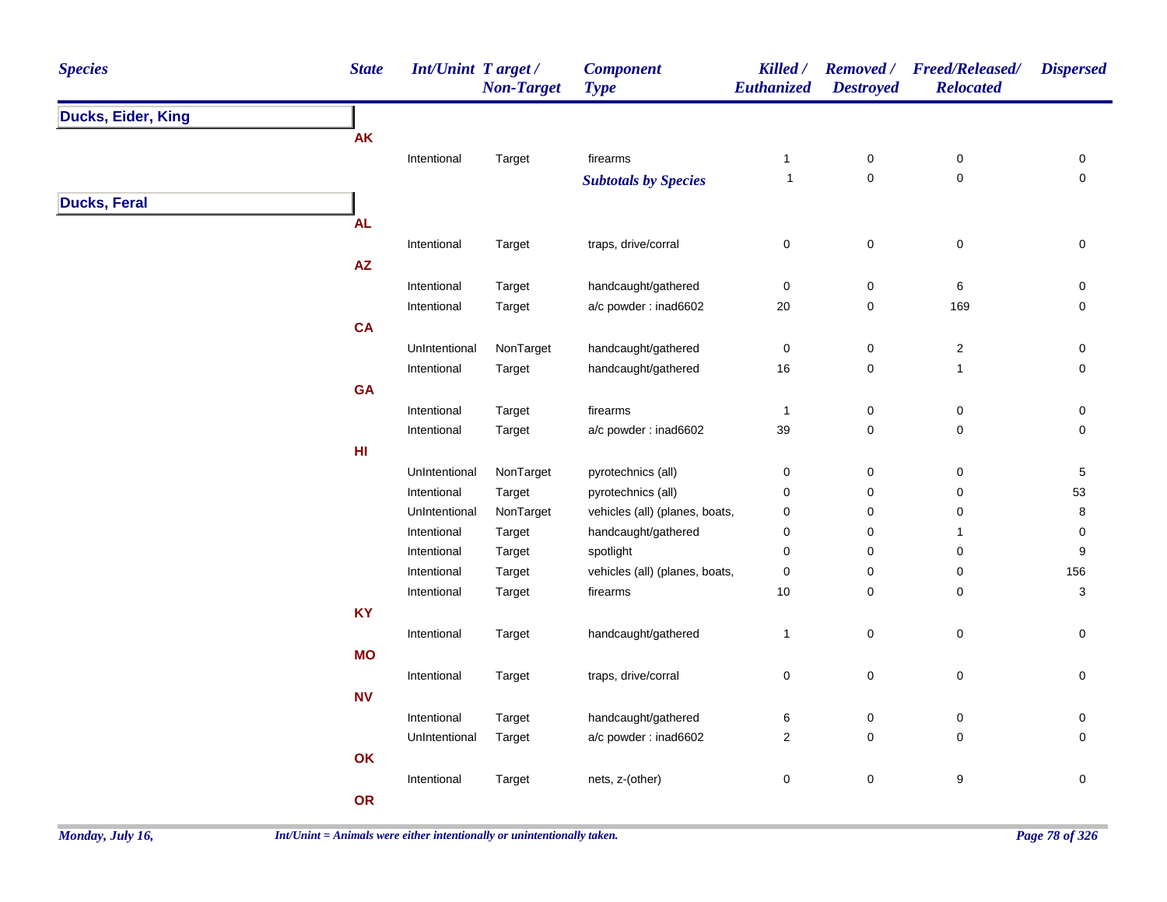| <b>Species</b>      | <b>State</b> | Int/Unint Target/            | <b>Non-Target</b>   | <b>Component</b><br><b>Type</b>                      | Killed /<br>Euthanized  | <b>Removed</b> /<br><b>Destroyed</b> | <b>Freed/Released/</b><br><b>Relocated</b> | <b>Dispersed</b>    |
|---------------------|--------------|------------------------------|---------------------|------------------------------------------------------|-------------------------|--------------------------------------|--------------------------------------------|---------------------|
| Ducks, Eider, King  |              |                              |                     |                                                      |                         |                                      |                                            |                     |
|                     | <b>AK</b>    |                              |                     |                                                      |                         |                                      |                                            |                     |
|                     |              | Intentional                  | Target              | firearms                                             | $\mathbf{1}$            | $\pmb{0}$                            | $\pmb{0}$                                  | 0                   |
|                     |              |                              |                     | <b>Subtotals by Species</b>                          | $\mathbf{1}$            | $\pmb{0}$                            | $\mathbf 0$                                | $\mathsf 0$         |
| <b>Ducks, Feral</b> |              |                              |                     |                                                      |                         |                                      |                                            |                     |
|                     | <b>AL</b>    |                              |                     |                                                      |                         |                                      |                                            |                     |
|                     |              | Intentional                  | Target              | traps, drive/corral                                  | 0                       | $\pmb{0}$                            | $\mathsf 0$                                | $\pmb{0}$           |
|                     | ${\sf AZ}$   |                              |                     |                                                      |                         |                                      |                                            |                     |
|                     |              | Intentional                  | Target              | handcaught/gathered                                  | $\pmb{0}$               | $\pmb{0}$                            | 6                                          | 0                   |
|                     |              | Intentional                  | Target              | a/c powder: inad6602                                 | 20                      | 0                                    | 169                                        | 0                   |
|                     | <b>CA</b>    |                              |                     |                                                      |                         |                                      |                                            |                     |
|                     |              | UnIntentional                | NonTarget           | handcaught/gathered                                  | 0                       | 0                                    | $\boldsymbol{2}$                           | 0                   |
|                     |              | Intentional                  | Target              | handcaught/gathered                                  | $16\,$                  | 0                                    | $\mathbf{1}$                               | $\mathbf 0$         |
|                     | <b>GA</b>    |                              |                     |                                                      |                         |                                      |                                            |                     |
|                     |              | Intentional                  | Target              | firearms                                             | $\mathbf{1}$            | $\pmb{0}$                            | $\pmb{0}$                                  | 0                   |
|                     |              | Intentional                  | Target              | a/c powder: inad6602                                 | 39                      | $\mathbf 0$                          | $\mathbf 0$                                | $\mathsf{O}\xspace$ |
|                     | HI           |                              |                     |                                                      |                         |                                      |                                            |                     |
|                     |              | UnIntentional                |                     |                                                      |                         |                                      |                                            |                     |
|                     |              |                              | NonTarget           | pyrotechnics (all)                                   | 0                       | $\pmb{0}$                            | $\pmb{0}$                                  | $\,$ 5 $\,$<br>53   |
|                     |              | Intentional<br>UnIntentional | Target<br>NonTarget | pyrotechnics (all)<br>vehicles (all) (planes, boats, | 0<br>0                  | 0<br>0                               | 0<br>0                                     |                     |
|                     |              |                              |                     |                                                      | 0                       | $\mathbf 0$                          | $\mathbf{1}$                               | 8<br>$\mathbf 0$    |
|                     |              | Intentional                  | Target              | handcaught/gathered                                  |                         |                                      |                                            |                     |
|                     |              | Intentional                  | Target              | spotlight                                            | 0                       | 0                                    | 0                                          | $\boldsymbol{9}$    |
|                     |              | Intentional                  | Target              | vehicles (all) (planes, boats,                       | 0                       | 0                                    | 0                                          | 156                 |
|                     |              | Intentional                  | Target              | firearms                                             | $10$                    | 0                                    | 0                                          | 3                   |
|                     | <b>KY</b>    |                              |                     |                                                      |                         |                                      |                                            |                     |
|                     |              | Intentional                  | Target              | handcaught/gathered                                  | 1                       | $\mathbf 0$                          | $\mathsf 0$                                | 0                   |
|                     | <b>MO</b>    |                              |                     |                                                      |                         |                                      |                                            |                     |
|                     |              | Intentional                  | Target              | traps, drive/corral                                  | 0                       | $\pmb{0}$                            | $\pmb{0}$                                  | $\pmb{0}$           |
|                     | <b>NV</b>    |                              |                     |                                                      |                         |                                      |                                            |                     |
|                     |              | Intentional                  | Target              | handcaught/gathered                                  | 6                       | 0                                    | $\pmb{0}$                                  | 0                   |
|                     |              | UnIntentional                | Target              | a/c powder: inad6602                                 | $\overline{\mathbf{c}}$ | $\pmb{0}$                            | $\pmb{0}$                                  | 0                   |
|                     | OK           |                              |                     |                                                      |                         |                                      |                                            |                     |
|                     |              | Intentional                  | Target              | nets, z-(other)                                      | 0                       | $\pmb{0}$                            | 9                                          | $\mathsf{O}\xspace$ |
|                     | OR           |                              |                     |                                                      |                         |                                      |                                            |                     |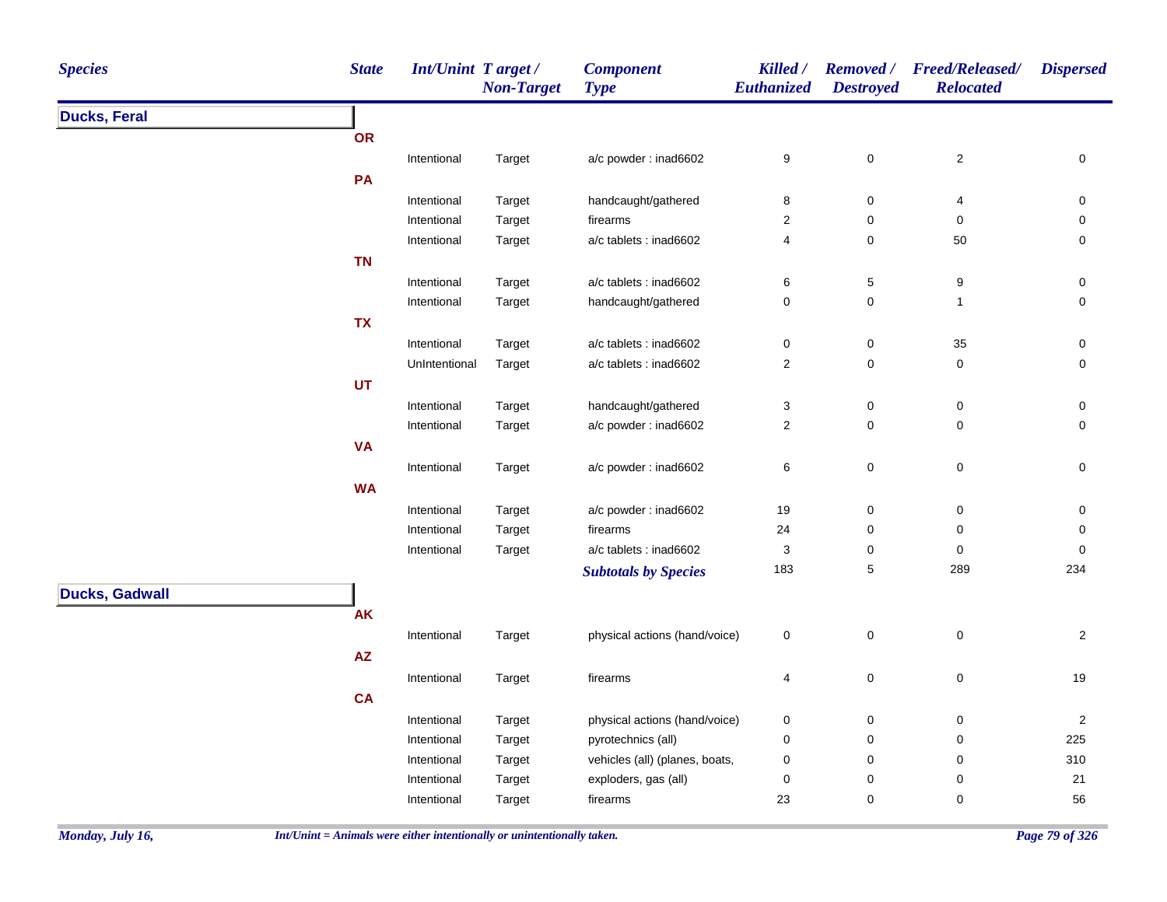| <b>Species</b>        | <b>State</b> | Int/Unint Target/ | <b>Non-Target</b> | <b>Component</b><br><b>Type</b> | Killed /<br><b>Euthanized</b> | <b>Destroyed</b>    | Removed / Freed/Released/<br><b>Relocated</b> | <b>Dispersed</b> |
|-----------------------|--------------|-------------------|-------------------|---------------------------------|-------------------------------|---------------------|-----------------------------------------------|------------------|
| <b>Ducks, Feral</b>   |              |                   |                   |                                 |                               |                     |                                               |                  |
|                       | <b>OR</b>    |                   |                   |                                 |                               |                     |                                               |                  |
|                       |              | Intentional       | Target            | a/c powder : inad6602           | 9                             | $\mathsf{O}\xspace$ | $\sqrt{2}$                                    | 0                |
|                       | PA           |                   |                   |                                 |                               |                     |                                               |                  |
|                       |              | Intentional       | Target            | handcaught/gathered             | 8                             | $\pmb{0}$           | 4                                             | $\pmb{0}$        |
|                       |              | Intentional       | Target            | firearms                        | $\overline{c}$                | 0                   | 0                                             | 0                |
|                       |              | Intentional       | Target            | a/c tablets : inad6602          | 4                             | $\mathbf 0$         | 50                                            | $\mathbf 0$      |
|                       | <b>TN</b>    |                   |                   |                                 |                               |                     |                                               |                  |
|                       |              | Intentional       | Target            | a/c tablets : inad6602          | 6                             | $\sqrt{5}$          | 9                                             | 0                |
|                       |              | Intentional       | Target            | handcaught/gathered             | 0                             | $\pmb{0}$           | $\mathbf{1}$                                  | $\mathbf 0$      |
|                       | <b>TX</b>    |                   |                   |                                 |                               |                     |                                               |                  |
|                       |              | Intentional       | Target            | a/c tablets : inad6602          | 0                             | 0                   | 35                                            | 0                |
|                       |              | UnIntentional     | Target            | a/c tablets : inad6602          | $\overline{2}$                | 0                   | 0                                             | $\mathbf 0$      |
|                       | UT           |                   |                   |                                 |                               |                     |                                               |                  |
|                       |              | Intentional       | Target            | handcaught/gathered             | 3                             | $\mathbf 0$         | $\pmb{0}$                                     | 0                |
|                       |              | Intentional       | Target            | a/c powder: inad6602            | $\overline{2}$                | $\mathbf 0$         | $\mathbf 0$                                   | $\mathbf 0$      |
|                       | <b>VA</b>    |                   |                   |                                 |                               |                     |                                               |                  |
|                       |              | Intentional       | Target            | a/c powder : inad6602           | 6                             | 0                   | $\pmb{0}$                                     | 0                |
|                       | <b>WA</b>    |                   |                   |                                 |                               |                     |                                               |                  |
|                       |              | Intentional       | Target            | a/c powder: inad6602            | 19                            | $\pmb{0}$           | $\pmb{0}$                                     | $\mathbf 0$      |
|                       |              | Intentional       | Target            | firearms                        | 24                            | 0                   | 0                                             | 0                |
|                       |              | Intentional       | Target            | a/c tablets : inad6602          | 3                             | 0                   | $\mathbf 0$                                   | $\mathbf 0$      |
|                       |              |                   |                   | <b>Subtotals by Species</b>     | 183                           | $\,$ 5 $\,$         | 289                                           | 234              |
| <b>Ducks, Gadwall</b> |              |                   |                   |                                 |                               |                     |                                               |                  |
|                       | <b>AK</b>    |                   |                   |                                 |                               |                     |                                               |                  |
|                       |              | Intentional       | Target            | physical actions (hand/voice)   | 0                             | $\pmb{0}$           | $\mathbf 0$                                   | $\overline{2}$   |
|                       | ${\sf AZ}$   |                   |                   |                                 |                               |                     |                                               |                  |
|                       |              |                   |                   |                                 |                               |                     |                                               | 19               |
|                       |              | Intentional       | Target            | firearms                        | 4                             | $\mathbf 0$         | $\pmb{0}$                                     |                  |
|                       | <b>CA</b>    |                   |                   |                                 |                               |                     |                                               |                  |
|                       |              | Intentional       | Target            | physical actions (hand/voice)   | 0                             | 0                   | 0                                             | $\overline{2}$   |
|                       |              | Intentional       | Target            | pyrotechnics (all)              | 0                             | 0                   | 0                                             | 225              |
|                       |              | Intentional       | Target            | vehicles (all) (planes, boats,  | 0                             | 0                   | $\pmb{0}$<br>0                                | 310              |
|                       |              | Intentional       | Target            | exploders, gas (all)            | 0                             | 0                   |                                               | 21               |
|                       |              | Intentional       | Target            | firearms                        | 23                            | 0                   | $\pmb{0}$                                     | 56               |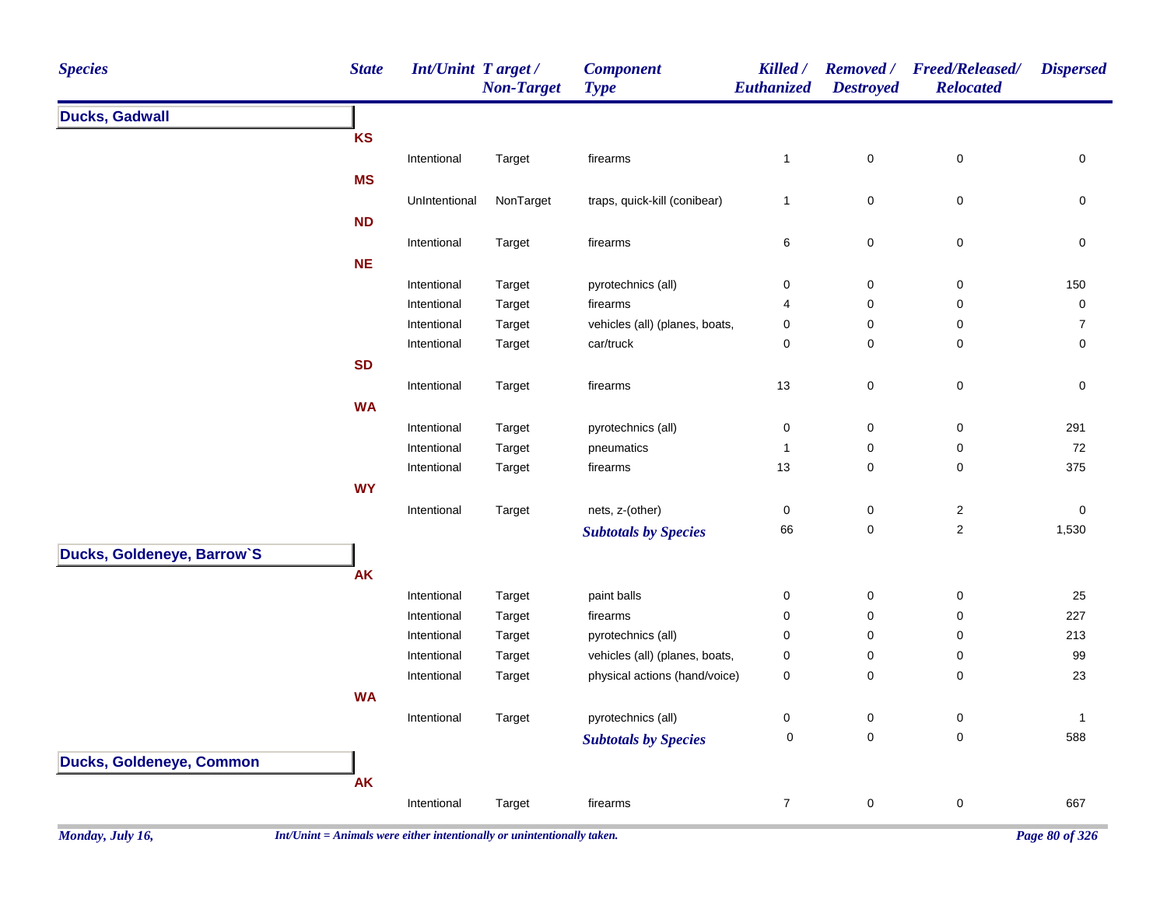| <b>Species</b>             | <b>State</b> | Int/Unint Target/ | <b>Non-Target</b> | <b>Component</b><br><b>Type</b> | Killed /<br>Euthanized | <b>Removed</b> /<br><b>Destroyed</b> | <b>Freed/Released/</b><br><b>Relocated</b> | <b>Dispersed</b> |
|----------------------------|--------------|-------------------|-------------------|---------------------------------|------------------------|--------------------------------------|--------------------------------------------|------------------|
| <b>Ducks, Gadwall</b>      |              |                   |                   |                                 |                        |                                      |                                            |                  |
|                            | <b>KS</b>    |                   |                   |                                 |                        |                                      |                                            |                  |
|                            |              | Intentional       | Target            | firearms                        | $\mathbf{1}$           | $\pmb{0}$                            | $\pmb{0}$                                  | $\pmb{0}$        |
|                            | <b>MS</b>    |                   |                   |                                 |                        |                                      |                                            |                  |
|                            |              | UnIntentional     | NonTarget         | traps, quick-kill (conibear)    | $\mathbf{1}$           | 0                                    | $\pmb{0}$                                  | $\pmb{0}$        |
|                            | <b>ND</b>    |                   |                   |                                 |                        |                                      |                                            |                  |
|                            |              | Intentional       | Target            | firearms                        | 6                      | $\pmb{0}$                            | $\pmb{0}$                                  | $\pmb{0}$        |
|                            | <b>NE</b>    |                   |                   |                                 |                        |                                      |                                            |                  |
|                            |              | Intentional       | Target            | pyrotechnics (all)              | 0                      | $\boldsymbol{0}$                     | $\pmb{0}$                                  | 150              |
|                            |              | Intentional       | Target            | firearms                        | 4                      | $\mathbf 0$                          | 0                                          | $\pmb{0}$        |
|                            |              | Intentional       | Target            | vehicles (all) (planes, boats,  | 0                      | $\mathbf 0$                          | 0                                          | $\boldsymbol{7}$ |
|                            |              | Intentional       | Target            | car/truck                       | 0                      | $\pmb{0}$                            | $\pmb{0}$                                  | $\pmb{0}$        |
|                            | <b>SD</b>    |                   |                   |                                 |                        |                                      |                                            |                  |
|                            |              | Intentional       | Target            | firearms                        | 13                     | $\pmb{0}$                            | $\pmb{0}$                                  | $\pmb{0}$        |
|                            | <b>WA</b>    |                   |                   |                                 |                        |                                      |                                            |                  |
|                            |              | Intentional       | Target            | pyrotechnics (all)              | 0                      | $\pmb{0}$                            | $\pmb{0}$                                  | 291              |
|                            |              | Intentional       | Target            | pneumatics                      | $\mathbf{1}$           | $\mathbf 0$                          | $\mathbf 0$                                | $72\,$           |
|                            |              | Intentional       | Target            | firearms                        | 13                     | $\pmb{0}$                            | $\pmb{0}$                                  | 375              |
|                            | <b>WY</b>    |                   |                   |                                 |                        |                                      |                                            |                  |
|                            |              | Intentional       | Target            | nets, z-(other)                 | 0                      | $\boldsymbol{0}$                     | $\sqrt{2}$                                 | $\pmb{0}$        |
|                            |              |                   |                   | <b>Subtotals by Species</b>     | 66                     | $\pmb{0}$                            | $\sqrt{2}$                                 | 1,530            |
| Ducks, Goldeneye, Barrow'S |              |                   |                   |                                 |                        |                                      |                                            |                  |
|                            | <b>AK</b>    |                   |                   |                                 |                        |                                      |                                            |                  |
|                            |              | Intentional       | Target            | paint balls                     | 0                      | $\boldsymbol{0}$                     | $\pmb{0}$                                  | 25               |
|                            |              | Intentional       | Target            | firearms                        | 0                      | $\pmb{0}$                            | 0                                          | 227              |
|                            |              | Intentional       | Target            | pyrotechnics (all)              | 0                      | $\mathbf 0$                          | 0                                          | 213              |
|                            |              | Intentional       | Target            | vehicles (all) (planes, boats,  | 0                      | $\pmb{0}$                            | $\pmb{0}$                                  | 99               |
|                            |              | Intentional       | Target            | physical actions (hand/voice)   | 0                      | $\mathbf 0$                          | 0                                          | 23               |
|                            | <b>WA</b>    |                   |                   |                                 |                        |                                      |                                            |                  |
|                            |              | Intentional       | Target            | pyrotechnics (all)              | 0                      | $\pmb{0}$                            | $\pmb{0}$                                  | $\mathbf{1}$     |
|                            |              |                   |                   | <b>Subtotals by Species</b>     | $\pmb{0}$              | $\pmb{0}$                            | 0                                          | 588              |
| Ducks, Goldeneye, Common   |              |                   |                   |                                 |                        |                                      |                                            |                  |
|                            | <b>AK</b>    |                   |                   |                                 |                        |                                      |                                            |                  |
|                            |              | Intentional       | Target            | firearms                        | $\overline{7}$         | $\pmb{0}$                            | $\mathbf 0$                                | 667              |
|                            |              |                   |                   |                                 |                        |                                      |                                            |                  |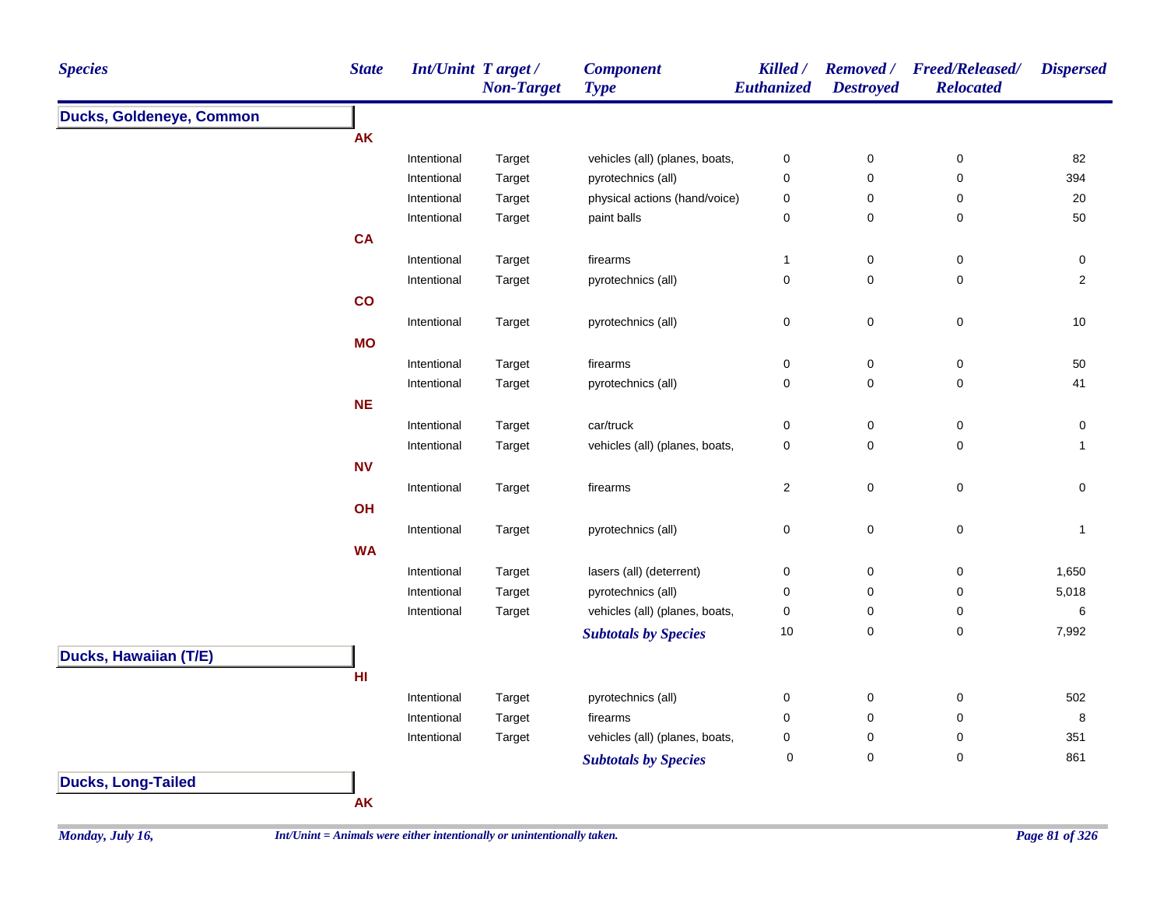| <b>Species</b>            | <b>State</b> | <b>Int/Unint Target/</b> | <b>Non-Target</b> | <b>Component</b><br><b>Type</b> | Killed /<br>Euthanized | <b>Destroyed</b> | Removed / Freed/Released/<br><b>Relocated</b> | <b>Dispersed</b> |
|---------------------------|--------------|--------------------------|-------------------|---------------------------------|------------------------|------------------|-----------------------------------------------|------------------|
| Ducks, Goldeneye, Common  |              |                          |                   |                                 |                        |                  |                                               |                  |
|                           | <b>AK</b>    |                          |                   |                                 |                        |                  |                                               |                  |
|                           |              | Intentional              | Target            | vehicles (all) (planes, boats,  | $\pmb{0}$              | $\pmb{0}$        | $\pmb{0}$                                     | 82               |
|                           |              | Intentional              | Target            | pyrotechnics (all)              | $\pmb{0}$              | $\pmb{0}$        | $\pmb{0}$                                     | 394              |
|                           |              | Intentional              | Target            | physical actions (hand/voice)   | $\boldsymbol{0}$       | 0                | 0                                             | 20               |
|                           |              | Intentional              | Target            | paint balls                     | $\pmb{0}$              | $\pmb{0}$        | 0                                             | 50               |
|                           | <b>CA</b>    |                          |                   |                                 |                        |                  |                                               |                  |
|                           |              | Intentional              | Target            | firearms                        | $\mathbf{1}$           | 0                | 0                                             | $\pmb{0}$        |
|                           |              | Intentional              | Target            | pyrotechnics (all)              | $\pmb{0}$              | 0                | 0                                             | $\overline{2}$   |
|                           | co           |                          |                   |                                 |                        |                  |                                               |                  |
|                           |              | Intentional              | Target            | pyrotechnics (all)              | $\mathbf 0$            | $\mathbf 0$      | $\mathbf 0$                                   | $10$             |
|                           | <b>MO</b>    |                          |                   |                                 |                        |                  |                                               |                  |
|                           |              | Intentional              | Target            | firearms                        | $\pmb{0}$              | $\pmb{0}$        | $\pmb{0}$                                     | 50               |
|                           |              | Intentional              | Target            | pyrotechnics (all)              | $\pmb{0}$              | 0                | 0                                             | 41               |
|                           | <b>NE</b>    |                          |                   |                                 |                        |                  |                                               |                  |
|                           |              | Intentional              | Target            | car/truck                       | $\mathbf 0$            | 0                | 0                                             | 0                |
|                           |              | Intentional              | Target            | vehicles (all) (planes, boats,  | $\pmb{0}$              | 0                | 0                                             | 1                |
|                           | <b>NV</b>    |                          |                   |                                 |                        |                  |                                               |                  |
|                           |              | Intentional              | Target            | firearms                        | $\sqrt{2}$             | $\mathbf 0$      | $\mathsf 0$                                   | $\mathbf 0$      |
|                           | OH           |                          |                   |                                 |                        |                  |                                               |                  |
|                           |              | Intentional              | Target            | pyrotechnics (all)              | $\pmb{0}$              | $\pmb{0}$        | $\pmb{0}$                                     | $\mathbf{1}$     |
|                           | <b>WA</b>    |                          |                   |                                 |                        |                  |                                               |                  |
|                           |              | Intentional              | Target            | lasers (all) (deterrent)        | $\pmb{0}$              | 0                | 0                                             | 1,650            |
|                           |              | Intentional              | Target            | pyrotechnics (all)              | 0                      | 0                | 0                                             | 5,018            |
|                           |              | Intentional              | Target            | vehicles (all) (planes, boats,  | $\pmb{0}$              | 0                | 0                                             | 6                |
|                           |              |                          |                   | <b>Subtotals by Species</b>     | 10                     | 0                | $\mathbf 0$                                   | 7,992            |
| Ducks, Hawaiian (T/E)     |              |                          |                   |                                 |                        |                  |                                               |                  |
|                           | H1           |                          |                   |                                 |                        |                  |                                               |                  |
|                           |              | Intentional              | Target            | pyrotechnics (all)              | 0                      | 0                | 0                                             | 502              |
|                           |              | Intentional              | Target            | firearms                        | $\mathbf 0$            | 0                | 0                                             | 8                |
|                           |              | Intentional              | Target            | vehicles (all) (planes, boats,  | 0                      | 0                | 0                                             | 351              |
|                           |              |                          |                   | <b>Subtotals by Species</b>     | 0                      | $\mathsf 0$      | 0                                             | 861              |
|                           |              |                          |                   |                                 |                        |                  |                                               |                  |
| <b>Ducks, Long-Tailed</b> |              |                          |                   |                                 |                        |                  |                                               |                  |
|                           | AK           |                          |                   |                                 |                        |                  |                                               |                  |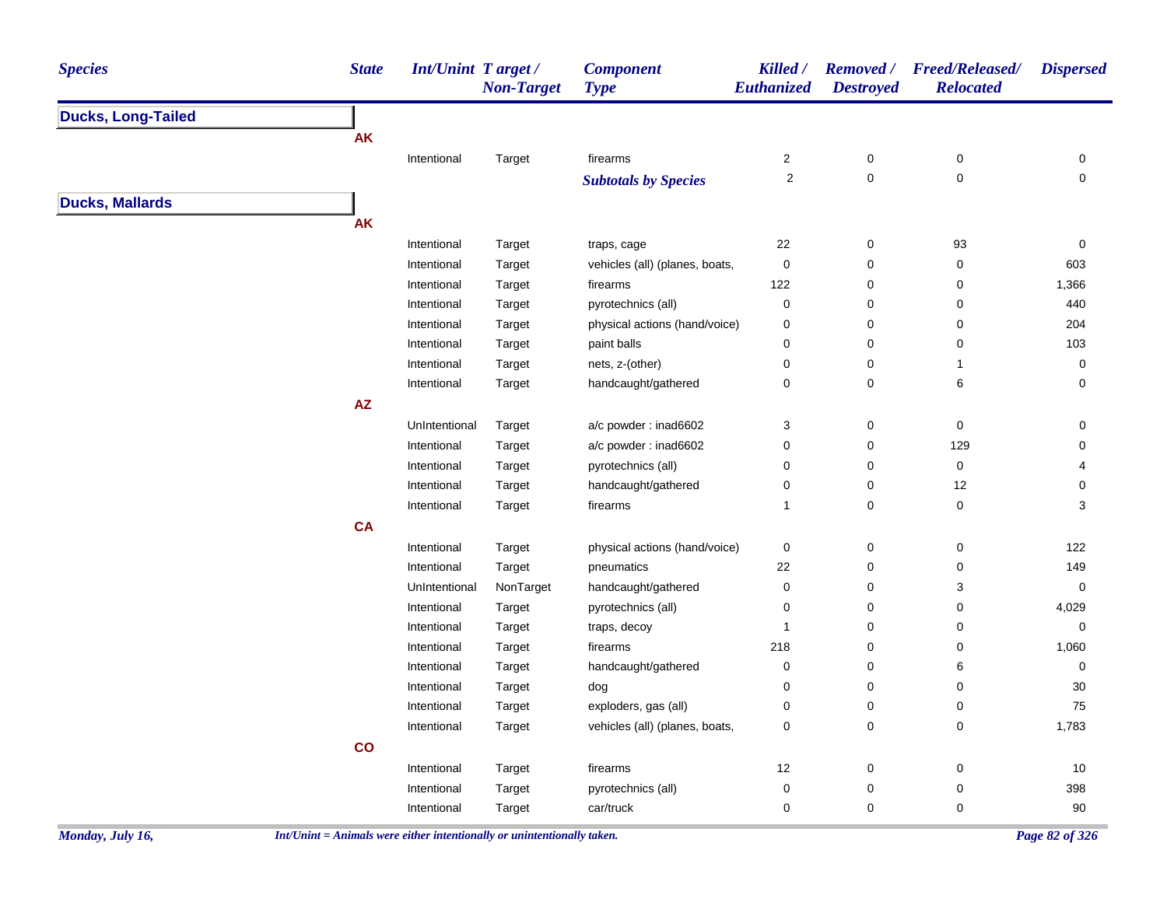| <b>Species</b>            | <b>State</b>  | <b>Int/Unint Target/</b> | <b>Non-Target</b> | <b>Component</b><br><b>Type</b> | Killed /<br>Euthanized  | <b>Destroyed</b> | Removed / Freed/Released/<br><b>Relocated</b> | <b>Dispersed</b> |
|---------------------------|---------------|--------------------------|-------------------|---------------------------------|-------------------------|------------------|-----------------------------------------------|------------------|
| <b>Ducks, Long-Tailed</b> |               |                          |                   |                                 |                         |                  |                                               |                  |
|                           | <b>AK</b>     |                          |                   |                                 |                         |                  |                                               |                  |
|                           |               | Intentional              | Target            | firearms                        | $\boldsymbol{2}$        | $\pmb{0}$        | 0                                             | $\pmb{0}$        |
|                           |               |                          |                   | <b>Subtotals by Species</b>     | $\overline{\mathbf{c}}$ | $\pmb{0}$        | $\pmb{0}$                                     | $\mathsf 0$      |
| <b>Ducks, Mallards</b>    |               |                          |                   |                                 |                         |                  |                                               |                  |
|                           | <b>AK</b>     |                          |                   |                                 |                         |                  |                                               |                  |
|                           |               | Intentional              | Target            | traps, cage                     | 22                      | 0                | 93                                            | 0                |
|                           |               | Intentional              | Target            | vehicles (all) (planes, boats,  | 0                       | 0                | 0                                             | 603              |
|                           |               | Intentional              | Target            | firearms                        | 122                     | 0                | 0                                             | 1,366            |
|                           |               | Intentional              | Target            | pyrotechnics (all)              | 0                       | 0                | 0                                             | 440              |
|                           |               | Intentional              | Target            | physical actions (hand/voice)   | 0                       | 0                | 0                                             | 204              |
|                           |               | Intentional              | Target            | paint balls                     | 0                       | 0                | 0                                             | 103              |
|                           |               | Intentional              | Target            | nets, z-(other)                 | 0                       | 0                | $\mathbf{1}$                                  | 0                |
|                           |               | Intentional              | Target            | handcaught/gathered             | $\pmb{0}$               | 0                | 6                                             | 0                |
|                           | <b>AZ</b>     |                          |                   |                                 |                         |                  |                                               |                  |
|                           |               | UnIntentional            | Target            | a/c powder: inad6602            | 3                       | 0                | $\pmb{0}$                                     | 0                |
|                           |               | Intentional              | Target            | a/c powder: inad6602            | $\pmb{0}$               | 0                | 129                                           | 0                |
|                           |               | Intentional              | Target            | pyrotechnics (all)              | $\pmb{0}$               | 0                | $\pmb{0}$                                     | 4                |
|                           |               | Intentional              | Target            | handcaught/gathered             | $\pmb{0}$               | $\pmb{0}$        | 12                                            | 0                |
|                           |               | Intentional              | Target            | firearms                        | $\mathbf{1}$            | 0                | $\pmb{0}$                                     | 3                |
|                           | <b>CA</b>     |                          |                   |                                 |                         |                  |                                               |                  |
|                           |               | Intentional              | Target            | physical actions (hand/voice)   | 0                       | 0                | 0                                             | 122              |
|                           |               | Intentional              | Target            | pneumatics                      | 22                      | 0                | 0                                             | 149              |
|                           |               | UnIntentional            | NonTarget         | handcaught/gathered             | 0                       | 0                | 3                                             | 0                |
|                           |               | Intentional              | Target            | pyrotechnics (all)              | 0                       | 0                | 0                                             | 4,029            |
|                           |               | Intentional              | Target            | traps, decoy                    | $\mathbf{1}$            | 0                | 0                                             | 0                |
|                           |               | Intentional              | Target            | firearms                        | 218                     | 0                | 0                                             | 1,060            |
|                           |               | Intentional              | Target            | handcaught/gathered             | 0                       | 0                | 6                                             | 0                |
|                           |               | Intentional              | Target            | dog                             | 0                       | 0                | 0                                             | 30               |
|                           |               | Intentional              | Target            | exploders, gas (all)            | 0                       | 0                | 0                                             | 75               |
|                           |               | Intentional              | Target            | vehicles (all) (planes, boats,  | 0                       | 0                | 0                                             | 1,783            |
|                           | $\mathbf{co}$ |                          |                   |                                 |                         |                  |                                               |                  |
|                           |               | Intentional              | Target            | firearms                        | 12                      | $\mathbf 0$      | $\pmb{0}$                                     | 10               |
|                           |               | Intentional              | Target            | pyrotechnics (all)              | $\pmb{0}$               | $\pmb{0}$        | $\pmb{0}$                                     | 398              |
|                           |               | Intentional              | Target            | car/truck                       | 0                       | $\pmb{0}$        | 0                                             | 90               |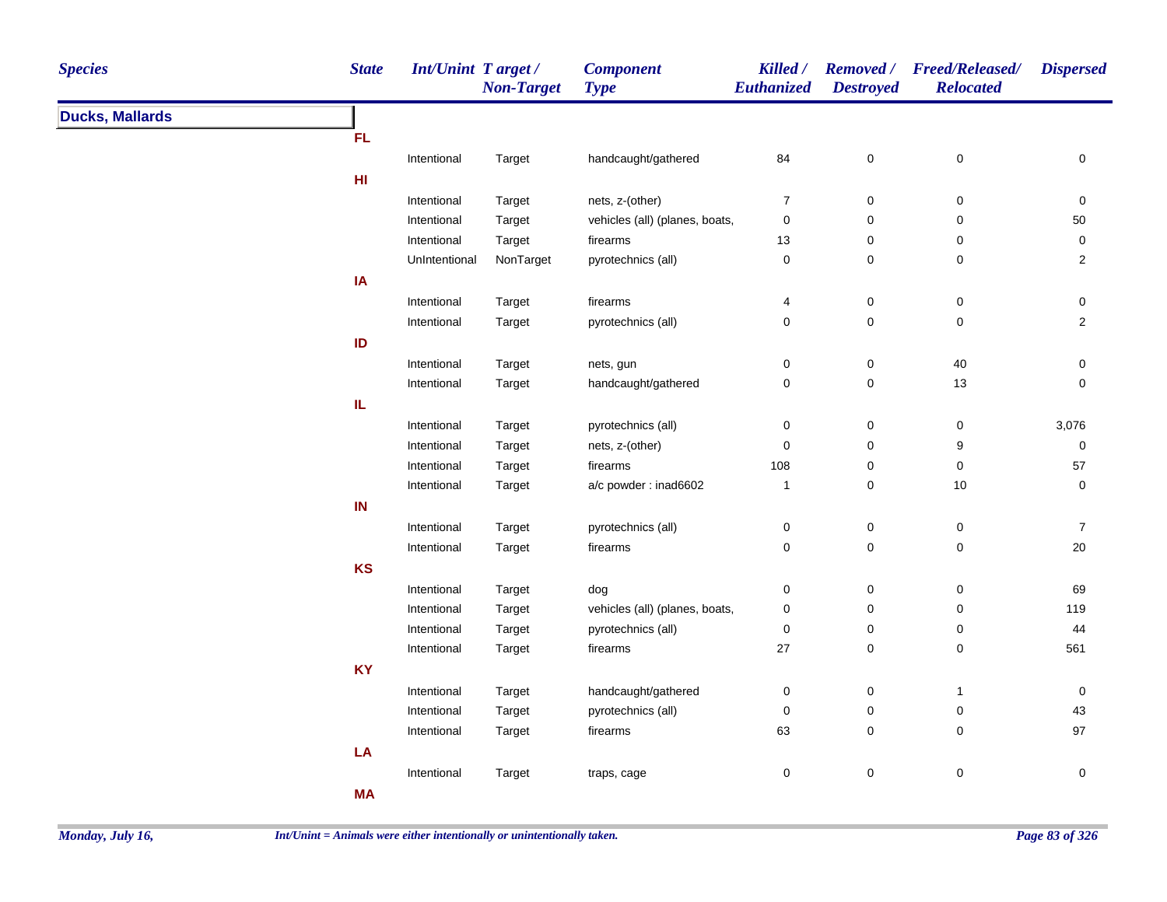| <b>Species</b>         | <b>State</b> | Int/Unint Target/ | <b>Non-Target</b> | <b>Component</b><br><b>Type</b> | Killed /<br><b>Euthanized</b> | <b>Destroyed</b> | Removed / Freed/Released/<br><b>Relocated</b> | <b>Dispersed</b> |
|------------------------|--------------|-------------------|-------------------|---------------------------------|-------------------------------|------------------|-----------------------------------------------|------------------|
| <b>Ducks, Mallards</b> |              |                   |                   |                                 |                               |                  |                                               |                  |
|                        | FL           |                   |                   |                                 |                               |                  |                                               |                  |
|                        |              | Intentional       | Target            | handcaught/gathered             | 84                            | 0                | 0                                             | 0                |
|                        | H1           |                   |                   |                                 |                               |                  |                                               |                  |
|                        |              | Intentional       | Target            | nets, z-(other)                 | 7                             | 0                | 0                                             | 0                |
|                        |              | Intentional       | Target            | vehicles (all) (planes, boats,  | 0                             | 0                | 0                                             | 50               |
|                        |              | Intentional       | Target            | firearms                        | 13                            | 0                | 0                                             | 0                |
|                        |              | UnIntentional     | NonTarget         | pyrotechnics (all)              | $\pmb{0}$                     | $\mathsf 0$      | $\pmb{0}$                                     | $\overline{2}$   |
|                        | IA           |                   |                   |                                 |                               |                  |                                               |                  |
|                        |              | Intentional       | Target            | firearms                        | 4                             | $\mathsf 0$      | $\mathsf 0$                                   | $\mathbf 0$      |
|                        |              | Intentional       | Target            | pyrotechnics (all)              | 0                             | $\pmb{0}$        | $\pmb{0}$                                     | $\overline{2}$   |
|                        | ID           |                   |                   |                                 |                               |                  |                                               |                  |
|                        |              | Intentional       | Target            | nets, gun                       | $\pmb{0}$                     | $\mathsf 0$      | $40\,$                                        | $\mathbf 0$      |
|                        |              | Intentional       | Target            | handcaught/gathered             | $\pmb{0}$                     | $\pmb{0}$        | 13                                            | $\mathbf 0$      |
|                        | IL           |                   |                   |                                 |                               |                  |                                               |                  |
|                        |              | Intentional       | Target            | pyrotechnics (all)              | $\pmb{0}$                     | $\pmb{0}$        | $\pmb{0}$                                     | 3,076            |
|                        |              | Intentional       | Target            | nets, z-(other)                 | $\pmb{0}$                     | 0                | 9                                             | $\pmb{0}$        |
|                        |              | Intentional       | Target            | firearms                        | 108                           | 0                | 0                                             | 57               |
|                        |              | Intentional       | Target            | a/c powder: inad6602            | $\mathbf{1}$                  | 0                | $10$                                          | 0                |
|                        | $\sf IN$     |                   |                   |                                 |                               |                  |                                               |                  |
|                        |              | Intentional       | Target            | pyrotechnics (all)              | 0                             | 0                | 0                                             | $\boldsymbol{7}$ |
|                        |              | Intentional       | Target            | firearms                        | $\pmb{0}$                     | $\mathsf 0$      | $\pmb{0}$                                     | 20               |
|                        | KS           |                   |                   |                                 |                               |                  |                                               |                  |
|                        |              | Intentional       | Target            | dog                             | 0                             | 0                | 0                                             | 69               |
|                        |              | Intentional       | Target            | vehicles (all) (planes, boats,  | 0                             | 0                | 0                                             | 119              |
|                        |              | Intentional       | Target            | pyrotechnics (all)              | 0                             | 0                | $\pmb{0}$                                     | 44               |
|                        |              | Intentional       | Target            | firearms                        | $27\,$                        | $\pmb{0}$        | $\pmb{0}$                                     | 561              |
|                        | <b>KY</b>    |                   |                   |                                 |                               |                  |                                               |                  |
|                        |              | Intentional       | Target            | handcaught/gathered             | 0                             | 0                | $\mathbf{1}$                                  | 0                |
|                        |              | Intentional       | Target            | pyrotechnics (all)              | $\pmb{0}$                     | $\pmb{0}$        | $\pmb{0}$                                     | 43               |
|                        |              | Intentional       | Target            | firearms                        | 63                            | 0                | $\pmb{0}$                                     | 97               |
|                        | LA           |                   |                   |                                 |                               |                  |                                               |                  |
|                        |              | Intentional       | Target            | traps, cage                     | $\pmb{0}$                     | $\pmb{0}$        | $\pmb{0}$                                     | $\pmb{0}$        |
|                        | <b>MA</b>    |                   |                   |                                 |                               |                  |                                               |                  |
|                        |              |                   |                   |                                 |                               |                  |                                               |                  |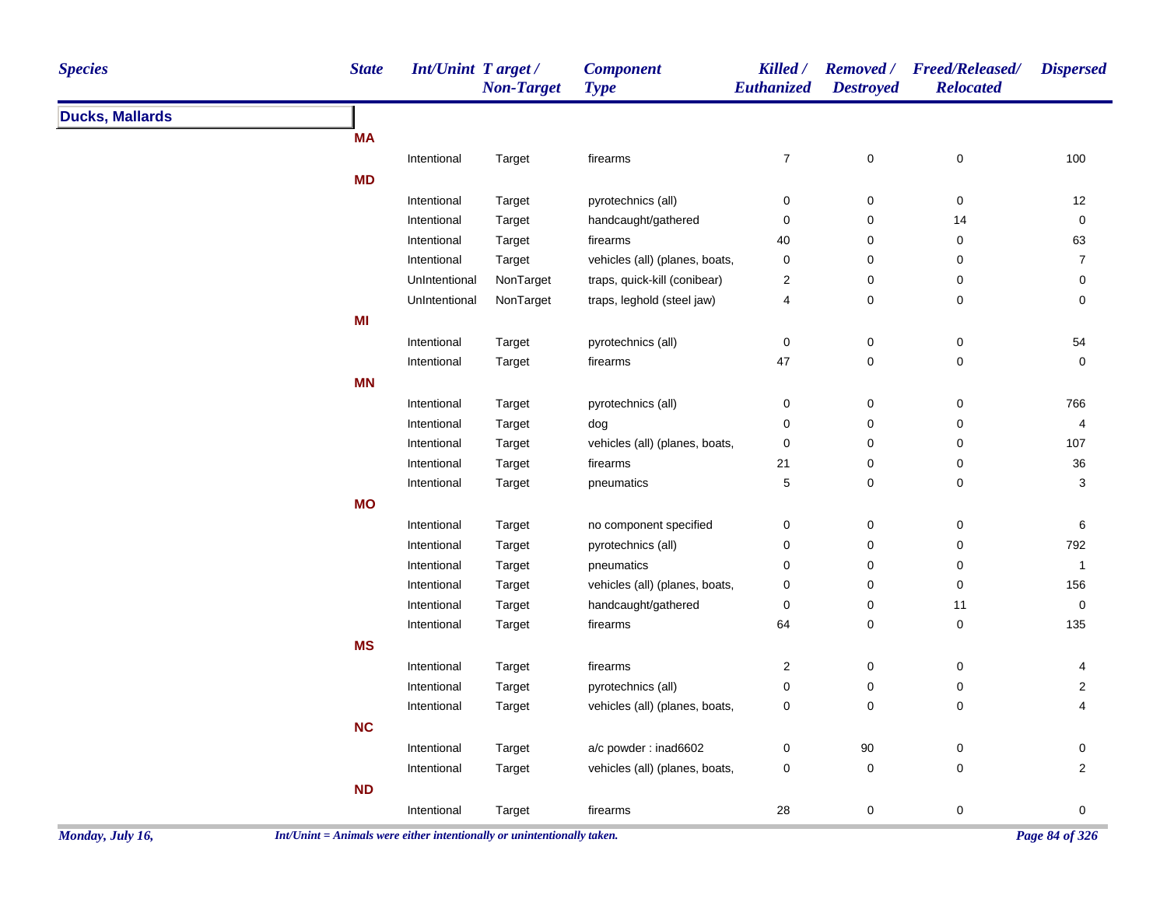| <b>Species</b>         | <b>State</b> | Int/Unint Target/ | <b>Non-Target</b> | <b>Component</b><br><b>Type</b> | Killed /<br>Euthanized | <b>Destroyed</b>    | Removed / Freed/Released/<br><b>Relocated</b> | <b>Dispersed</b>                 |
|------------------------|--------------|-------------------|-------------------|---------------------------------|------------------------|---------------------|-----------------------------------------------|----------------------------------|
| <b>Ducks, Mallards</b> |              |                   |                   |                                 |                        |                     |                                               |                                  |
|                        | <b>MA</b>    |                   |                   |                                 |                        |                     |                                               |                                  |
|                        |              | Intentional       | Target            | firearms                        | $\boldsymbol{7}$       | $\pmb{0}$           | $\pmb{0}$                                     | 100                              |
|                        | <b>MD</b>    |                   |                   |                                 |                        |                     |                                               |                                  |
|                        |              | Intentional       | Target            | pyrotechnics (all)              | 0                      | 0                   | 0                                             | $12$                             |
|                        |              | Intentional       | Target            | handcaught/gathered             | $\pmb{0}$              | $\pmb{0}$           | 14                                            | $\pmb{0}$                        |
|                        |              | Intentional       | Target            | firearms                        | 40                     | 0                   | 0                                             | 63                               |
|                        |              | Intentional       | Target            | vehicles (all) (planes, boats,  | 0                      | 0                   | 0                                             | $\overline{7}$                   |
|                        |              | UnIntentional     | NonTarget         | traps, quick-kill (conibear)    | $\boldsymbol{2}$       | 0                   | $\pmb{0}$                                     | 0                                |
|                        |              | UnIntentional     | NonTarget         | traps, leghold (steel jaw)      | 4                      | $\mathbf 0$         | $\mathsf 0$                                   | 0                                |
|                        | MI           |                   |                   |                                 |                        |                     |                                               |                                  |
|                        |              | Intentional       | Target            | pyrotechnics (all)              | $\pmb{0}$              | $\mathsf{O}\xspace$ | 0                                             | 54                               |
|                        |              | Intentional       | Target            | firearms                        | 47                     | $\mathbf 0$         | $\mathsf 0$                                   | $\mathbf 0$                      |
|                        | <b>MN</b>    |                   |                   |                                 |                        |                     |                                               |                                  |
|                        |              | Intentional       | Target            | pyrotechnics (all)              | 0                      | $\mathsf{O}\xspace$ | 0                                             | 766                              |
|                        |              | Intentional       | Target            | dog                             | 0                      | $\mathbf 0$         | $\mathsf 0$                                   | 4                                |
|                        |              | Intentional       | Target            | vehicles (all) (planes, boats,  | 0                      | $\pmb{0}$           | 0                                             | 107                              |
|                        |              | Intentional       | Target            | firearms                        | 21                     | 0                   | 0                                             | $36\,$                           |
|                        |              | Intentional       | Target            | pneumatics                      | $\mathbf 5$            | $\mathsf{O}\xspace$ | 0                                             | 3                                |
|                        | <b>MO</b>    |                   |                   |                                 |                        |                     |                                               |                                  |
|                        |              | Intentional       | Target            | no component specified          | 0                      | 0                   | 0                                             | 6                                |
|                        |              | Intentional       | Target            | pyrotechnics (all)              | 0                      | $\mathbf 0$         | 0                                             | 792                              |
|                        |              | Intentional       | Target            | pneumatics                      | 0                      | $\pmb{0}$           | 0                                             | $\mathbf{1}$                     |
|                        |              | Intentional       | Target            | vehicles (all) (planes, boats,  | 0                      | $\pmb{0}$           | $\pmb{0}$                                     | 156                              |
|                        |              | Intentional       | Target            | handcaught/gathered             | 0                      | 0                   | 11                                            | $\mathsf{O}\xspace$              |
|                        |              | Intentional       | Target            | firearms                        | 64                     | $\mathbf 0$         | $\pmb{0}$                                     | 135                              |
|                        | <b>MS</b>    |                   |                   |                                 |                        |                     |                                               |                                  |
|                        |              | Intentional       |                   | firearms                        | $\boldsymbol{2}$       | $\mathsf 0$         | 0                                             |                                  |
|                        |              |                   | Target            |                                 | $\mathbf 0$            | $\mathbf 0$         | 0                                             | 4                                |
|                        |              | Intentional       | Target            | pyrotechnics (all)              |                        | $\mathbf 0$         | $\mathbf 0$                                   | $\overline{c}$<br>$\overline{4}$ |
|                        |              | Intentional       | <b>Target</b>     | vehicles (all) (planes, boats,  | 0                      |                     |                                               |                                  |
|                        | NC           |                   |                   |                                 |                        |                     |                                               |                                  |
|                        |              | Intentional       | Target            | a/c powder: inad6602            | $\pmb{0}$              | $90\,$              | $\pmb{0}$                                     | 0                                |
|                        |              | Intentional       | Target            | vehicles (all) (planes, boats,  | 0                      | $\mathbf 0$         | $\mathbf 0$                                   | $\overline{2}$                   |
|                        | <b>ND</b>    |                   |                   |                                 |                        |                     |                                               |                                  |
|                        |              | Intentional       | Target            | firearms                        | 28                     | $\mathbf 0$         | $\pmb{0}$                                     | $\mathbf 0$                      |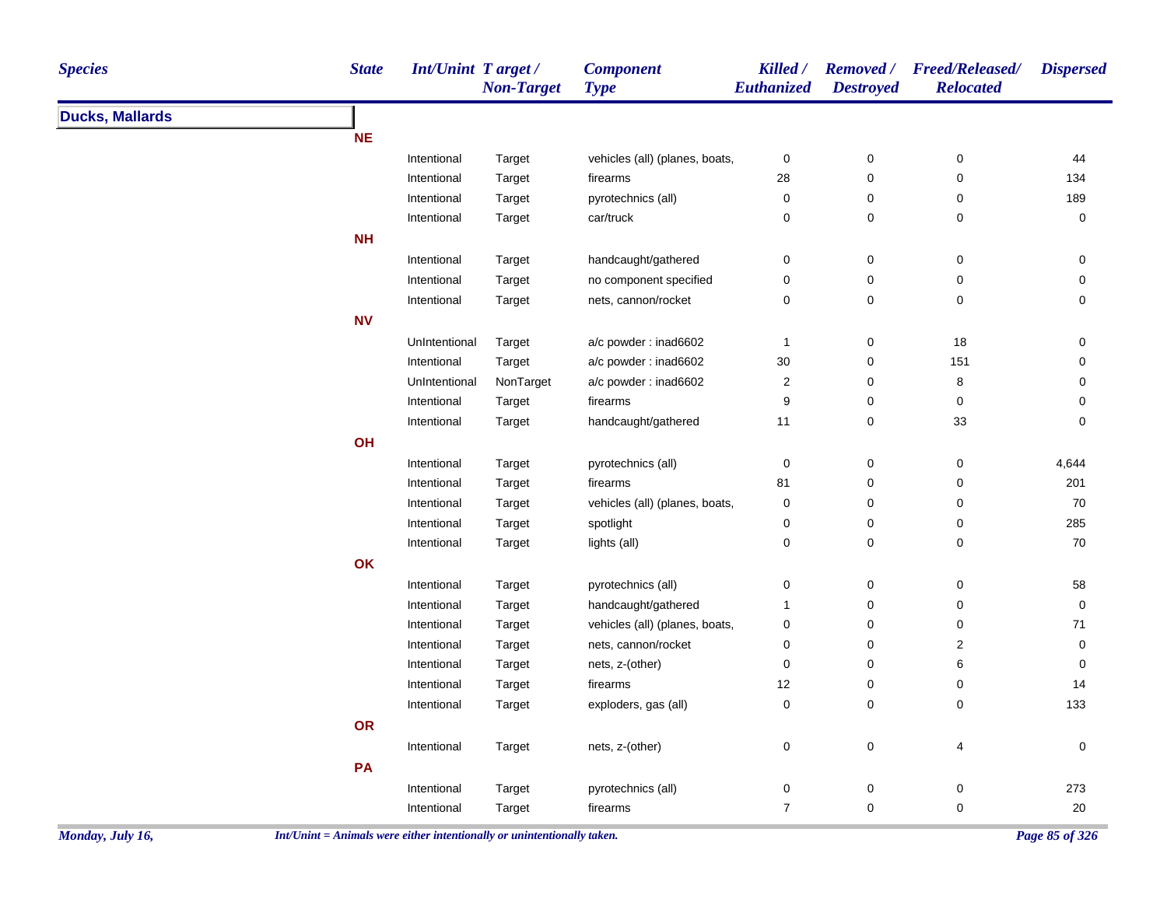| <b>Species</b>         | <b>State</b> | Int/Unint Target/ | <b>Non-Target</b> | <b>Component</b><br><b>Type</b> | Killed /<br>Euthanized | <b>Removed</b> /<br><b>Destroyed</b> | <b>Freed/Released/</b><br><b>Relocated</b> | <b>Dispersed</b>    |
|------------------------|--------------|-------------------|-------------------|---------------------------------|------------------------|--------------------------------------|--------------------------------------------|---------------------|
| <b>Ducks, Mallards</b> |              |                   |                   |                                 |                        |                                      |                                            |                     |
|                        | <b>NE</b>    |                   |                   |                                 |                        |                                      |                                            |                     |
|                        |              | Intentional       | Target            | vehicles (all) (planes, boats,  | $\pmb{0}$              | $\pmb{0}$                            | $\mathbf 0$                                | 44                  |
|                        |              | Intentional       | Target            | firearms                        | 28                     | $\pmb{0}$                            | $\mathbf 0$                                | 134                 |
|                        |              | Intentional       | Target            | pyrotechnics (all)              | $\mathbf 0$            | $\pmb{0}$                            | 0                                          | 189                 |
|                        |              | Intentional       | Target            | car/truck                       | $\mathbf 0$            | $\mathbf 0$                          | $\mathbf 0$                                | 0                   |
|                        | <b>NH</b>    |                   |                   |                                 |                        |                                      |                                            |                     |
|                        |              | Intentional       | Target            | handcaught/gathered             | $\pmb{0}$              | $\pmb{0}$                            | $\pmb{0}$                                  | 0                   |
|                        |              | Intentional       | Target            | no component specified          | $\pmb{0}$              | $\pmb{0}$                            | $\pmb{0}$                                  | 0                   |
|                        |              | Intentional       | Target            | nets, cannon/rocket             | $\pmb{0}$              | $\mathbf 0$                          | $\pmb{0}$                                  | $\mathsf{O}\xspace$ |
|                        | <b>NV</b>    |                   |                   |                                 |                        |                                      |                                            |                     |
|                        |              | UnIntentional     | Target            | a/c powder: inad6602            | $\mathbf{1}$           | $\pmb{0}$                            | 18                                         | 0                   |
|                        |              | Intentional       | Target            | a/c powder: inad6602            | $30\,$                 | $\pmb{0}$                            | 151                                        | 0                   |
|                        |              | UnIntentional     | NonTarget         | a/c powder: inad6602            | $\sqrt{2}$             | $\pmb{0}$                            | $\bf 8$                                    | 0                   |
|                        |              | Intentional       | Target            | firearms                        | $\boldsymbol{9}$       | $\pmb{0}$                            | $\pmb{0}$                                  | $\mathsf{O}\xspace$ |
|                        |              | Intentional       | Target            | handcaught/gathered             | 11                     | $\pmb{0}$                            | 33                                         | $\mathbf 0$         |
|                        | OH           |                   |                   |                                 |                        |                                      |                                            |                     |
|                        |              | Intentional       | Target            | pyrotechnics (all)              | $\pmb{0}$              | $\pmb{0}$                            | $\pmb{0}$                                  | 4,644               |
|                        |              | Intentional       | Target            | firearms                        | 81                     | $\pmb{0}$                            | $\mathbf 0$                                | 201                 |
|                        |              | Intentional       | Target            | vehicles (all) (planes, boats,  | $\pmb{0}$              | $\mathbf 0$                          | $\mathbf 0$                                | 70                  |
|                        |              | Intentional       | Target            | spotlight                       | $\mathbf 0$            | $\pmb{0}$                            | $\mathbf 0$                                | 285                 |
|                        |              | Intentional       | Target            | lights (all)                    | $\mathbf 0$            | $\mathbf 0$                          | $\mathbf 0$                                | $70\,$              |
|                        | OK           |                   |                   |                                 |                        |                                      |                                            |                     |
|                        |              | Intentional       | Target            | pyrotechnics (all)              | $\pmb{0}$              | $\pmb{0}$                            | 0                                          | 58                  |
|                        |              | Intentional       | Target            | handcaught/gathered             | $\mathbf{1}$           | $\pmb{0}$                            | $\pmb{0}$                                  | $\mathsf{O}\xspace$ |
|                        |              | Intentional       | Target            | vehicles (all) (planes, boats,  | $\pmb{0}$              | $\pmb{0}$                            | $\pmb{0}$                                  | $\bf 71$            |
|                        |              | Intentional       | Target            | nets, cannon/rocket             | 0                      | $\pmb{0}$                            | $\overline{\mathbf{c}}$                    | 0                   |
|                        |              | Intentional       | Target            | nets, z-(other)                 | 0                      | $\pmb{0}$                            | 6                                          | 0                   |
|                        |              | Intentional       | Target            | firearms                        | 12                     | $\pmb{0}$                            | $\mathbf 0$                                | 14                  |
|                        |              | Intentional       | Target            | exploders, gas (all)            | $\mathsf{O}\xspace$    | $\pmb{0}$                            | $\pmb{0}$                                  | 133                 |
|                        | OR           |                   |                   |                                 |                        |                                      |                                            |                     |
|                        |              | Intentional       | Target            | nets, z-(other)                 | 0                      | $\mathbf 0$                          | 4                                          | 0                   |
|                        | PA           |                   |                   |                                 |                        |                                      |                                            |                     |
|                        |              | Intentional       | Target            | pyrotechnics (all)              | $\pmb{0}$              | $\pmb{0}$                            | $\pmb{0}$                                  | 273                 |
|                        |              | Intentional       | Target            | firearms                        | $\overline{7}$         | $\pmb{0}$                            | $\mathbf 0$                                | 20                  |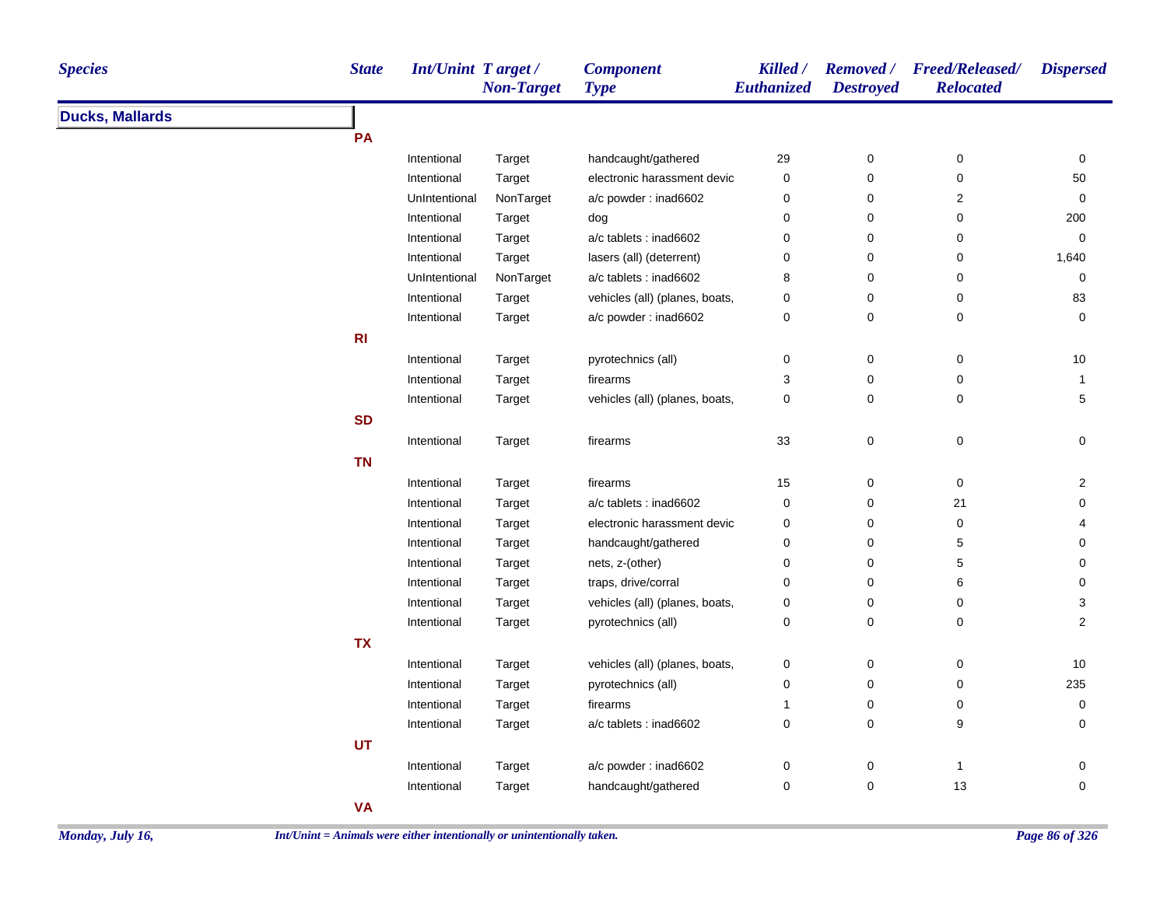| <b>Species</b>         | <b>State</b> | <b>Int/Unint Target/</b> | <b>Non-Target</b> | <b>Component</b><br><b>Type</b> | Killed /<br><b>Euthanized</b> | <b>Destroyed</b> | Removed / Freed/Released/<br><b>Relocated</b> | <b>Dispersed</b>    |
|------------------------|--------------|--------------------------|-------------------|---------------------------------|-------------------------------|------------------|-----------------------------------------------|---------------------|
| <b>Ducks, Mallards</b> |              |                          |                   |                                 |                               |                  |                                               |                     |
|                        | PA           |                          |                   |                                 |                               |                  |                                               |                     |
|                        |              | Intentional              | Target            | handcaught/gathered             | 29                            | 0                | 0                                             | 0                   |
|                        |              | Intentional              | Target            | electronic harassment devic     | 0                             | 0                | $\pmb{0}$                                     | 50                  |
|                        |              | UnIntentional            | NonTarget         | a/c powder: inad6602            | 0                             | 0                | $\mathbf 2$                                   | $\mathbf 0$         |
|                        |              | Intentional              | Target            | dog                             | 0                             | 0                | 0                                             | 200                 |
|                        |              | Intentional              | Target            | a/c tablets : inad6602          | 0                             | 0                | 0                                             | 0                   |
|                        |              | Intentional              | Target            | lasers (all) (deterrent)        | 0                             | 0                | 0                                             | 1,640               |
|                        |              | UnIntentional            | NonTarget         | a/c tablets : inad6602          | 8                             | 0                | 0                                             | 0                   |
|                        |              | Intentional              | Target            | vehicles (all) (planes, boats,  | 0                             | $\pmb{0}$        | 0                                             | 83                  |
|                        |              | Intentional              | Target            | a/c powder: inad6602            | 0                             | 0                | 0                                             | $\mathbf 0$         |
|                        | R1           |                          |                   |                                 |                               |                  |                                               |                     |
|                        |              | Intentional              | Target            | pyrotechnics (all)              | 0                             | $\pmb{0}$        | 0                                             | 10                  |
|                        |              | Intentional              | Target            | firearms                        | 3                             | 0                | 0                                             | $\mathbf{1}$        |
|                        |              | Intentional              | Target            | vehicles (all) (planes, boats,  | 0                             | 0                | 0                                             | 5                   |
|                        | <b>SD</b>    |                          |                   |                                 |                               |                  |                                               |                     |
|                        |              | Intentional              | Target            | firearms                        | 33                            | 0                | 0                                             | 0                   |
|                        | <b>TN</b>    |                          |                   |                                 |                               |                  |                                               |                     |
|                        |              | Intentional              | Target            | firearms                        | 15                            | $\pmb{0}$        | $\pmb{0}$                                     | $\mathbf{2}$        |
|                        |              | Intentional              | Target            | a/c tablets : inad6602          | 0                             | 0                | 21                                            | 0                   |
|                        |              | Intentional              | Target            | electronic harassment devic     | 0                             | 0                | $\pmb{0}$                                     | 4                   |
|                        |              | Intentional              | Target            | handcaught/gathered             | 0                             | 0                | 5                                             | 0                   |
|                        |              | Intentional              | Target            | nets, z-(other)                 | 0                             | $\pmb{0}$        | 5                                             | 0                   |
|                        |              | Intentional              | Target            | traps, drive/corral             | 0                             | $\mathbf 0$      | 6                                             | 0                   |
|                        |              | Intentional              | Target            | vehicles (all) (planes, boats,  | 0                             | 0                | 0                                             | 3                   |
|                        |              | Intentional              | Target            | pyrotechnics (all)              | 0                             | 0                | 0                                             | $\overline{2}$      |
|                        | <b>TX</b>    |                          |                   |                                 |                               |                  |                                               |                     |
|                        |              | Intentional              | Target            | vehicles (all) (planes, boats,  | 0                             | $\pmb{0}$        | 0                                             | 10                  |
|                        |              | Intentional              | Target            | pyrotechnics (all)              | 0                             | 0                | 0                                             | 235                 |
|                        |              | Intentional              | Target            | firearms                        | 1                             | 0                | 0                                             | 0                   |
|                        |              | Intentional              | Target            | a/c tablets : inad6602          | 0                             | 0                | 9                                             | $\mathbf 0$         |
|                        | <b>UT</b>    |                          |                   |                                 |                               |                  |                                               |                     |
|                        |              | Intentional              | Target            | a/c powder: inad6602            | 0                             | 0                | $\mathbf{1}$                                  | 0                   |
|                        |              | Intentional              | Target            | handcaught/gathered             | 0                             | 0                | 13                                            | $\mathsf{O}\xspace$ |
|                        | <b>VA</b>    |                          |                   |                                 |                               |                  |                                               |                     |
|                        |              |                          |                   |                                 |                               |                  |                                               |                     |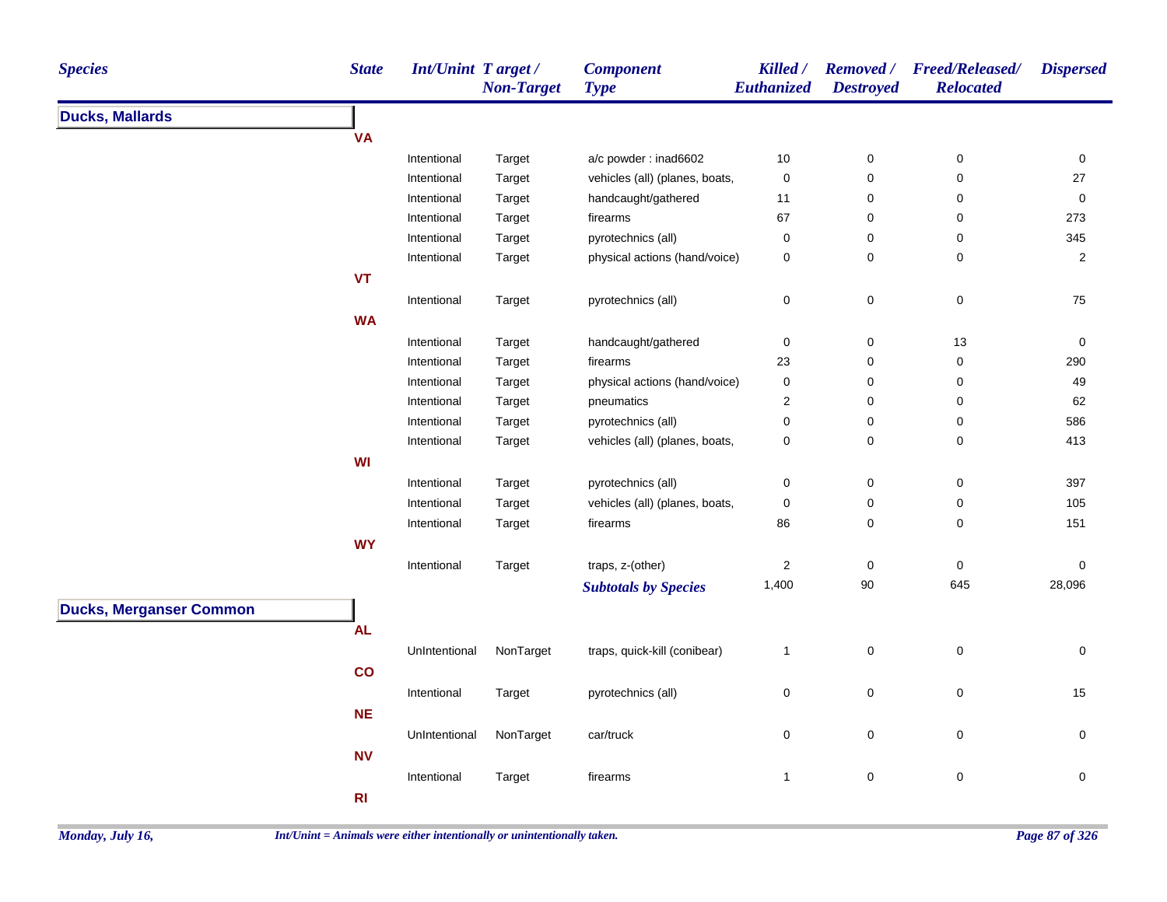| <b>Species</b>                 | <b>State</b> | <b>Int/Unint Target/</b> | <b>Non-Target</b> | <b>Component</b><br><b>Type</b> | Killed /<br>Euthanized | <b>Destroyed</b> | Removed / Freed/Released/<br><b>Relocated</b> | <b>Dispersed</b>    |
|--------------------------------|--------------|--------------------------|-------------------|---------------------------------|------------------------|------------------|-----------------------------------------------|---------------------|
| <b>Ducks, Mallards</b>         |              |                          |                   |                                 |                        |                  |                                               |                     |
|                                | <b>VA</b>    |                          |                   |                                 |                        |                  |                                               |                     |
|                                |              | Intentional              | Target            | a/c powder : inad6602           | $10$                   | $\pmb{0}$        | $\pmb{0}$                                     | 0                   |
|                                |              | Intentional              | Target            | vehicles (all) (planes, boats,  | $\mathbf 0$            | 0                | 0                                             | 27                  |
|                                |              | Intentional              | Target            | handcaught/gathered             | 11                     | 0                | 0                                             | 0                   |
|                                |              | Intentional              | Target            | firearms                        | 67                     | 0                | 0                                             | 273                 |
|                                |              | Intentional              | Target            | pyrotechnics (all)              | $\pmb{0}$              | 0                | 0                                             | 345                 |
|                                |              | Intentional              | Target            | physical actions (hand/voice)   | $\pmb{0}$              | 0                | $\pmb{0}$                                     | $\overline{c}$      |
|                                | <b>VT</b>    |                          |                   |                                 |                        |                  |                                               |                     |
|                                |              | Intentional              | Target            | pyrotechnics (all)              | $\pmb{0}$              | 0                | $\pmb{0}$                                     | 75                  |
|                                | <b>WA</b>    |                          |                   |                                 |                        |                  |                                               |                     |
|                                |              | Intentional              | Target            | handcaught/gathered             | $\pmb{0}$              | $\pmb{0}$        | $13$                                          | $\pmb{0}$           |
|                                |              | Intentional              | Target            | firearms                        | 23                     | 0                | $\pmb{0}$                                     | 290                 |
|                                |              | Intentional              | Target            | physical actions (hand/voice)   | $\pmb{0}$              | 0                | $\pmb{0}$                                     | 49                  |
|                                |              | Intentional              | Target            | pneumatics                      | $\sqrt{2}$             | 0                | 0                                             | 62                  |
|                                |              | Intentional              | Target            | pyrotechnics (all)              | $\boldsymbol{0}$       | 0                | 0                                             | 586                 |
|                                |              | Intentional              | Target            | vehicles (all) (planes, boats,  | $\pmb{0}$              | 0                | 0                                             | 413                 |
|                                | WI           |                          |                   |                                 |                        |                  |                                               |                     |
|                                |              | Intentional              | Target            | pyrotechnics (all)              | $\pmb{0}$              | 0                | $\pmb{0}$                                     | 397                 |
|                                |              | Intentional              | Target            | vehicles (all) (planes, boats,  | $\mathbf 0$            | 0                | 0                                             | 105                 |
|                                |              | Intentional              | Target            | firearms                        | 86                     | 0                | 0                                             | 151                 |
|                                | <b>WY</b>    |                          |                   |                                 |                        |                  |                                               |                     |
|                                |              | Intentional              | Target            | traps, z-(other)                | $\overline{c}$         | $\pmb{0}$        | $\pmb{0}$                                     | $\pmb{0}$           |
|                                |              |                          |                   | <b>Subtotals by Species</b>     | 1,400                  | $90\,$           | 645                                           | 28,096              |
| <b>Ducks, Merganser Common</b> |              |                          |                   |                                 |                        |                  |                                               |                     |
|                                | <b>AL</b>    |                          |                   |                                 |                        |                  |                                               |                     |
|                                |              | UnIntentional            | NonTarget         | traps, quick-kill (conibear)    | $\mathbf{1}$           | 0                | $\mathbf 0$                                   | $\mathbf 0$         |
|                                | co           |                          |                   |                                 |                        |                  |                                               |                     |
|                                |              | Intentional              | Target            | pyrotechnics (all)              | $\mathbf 0$            | 0                | 0                                             | 15                  |
|                                | <b>NE</b>    |                          |                   |                                 |                        |                  |                                               |                     |
|                                |              |                          |                   |                                 | 0                      | 0                | 0                                             | $\mathbf 0$         |
|                                | <b>NV</b>    | UnIntentional            | NonTarget         | car/truck                       |                        |                  |                                               |                     |
|                                |              |                          |                   |                                 |                        |                  |                                               |                     |
|                                |              | Intentional              | Target            | firearms                        | $\mathbf{1}$           | 0                | $\pmb{0}$                                     | $\mathsf{O}\xspace$ |
|                                | R1           |                          |                   |                                 |                        |                  |                                               |                     |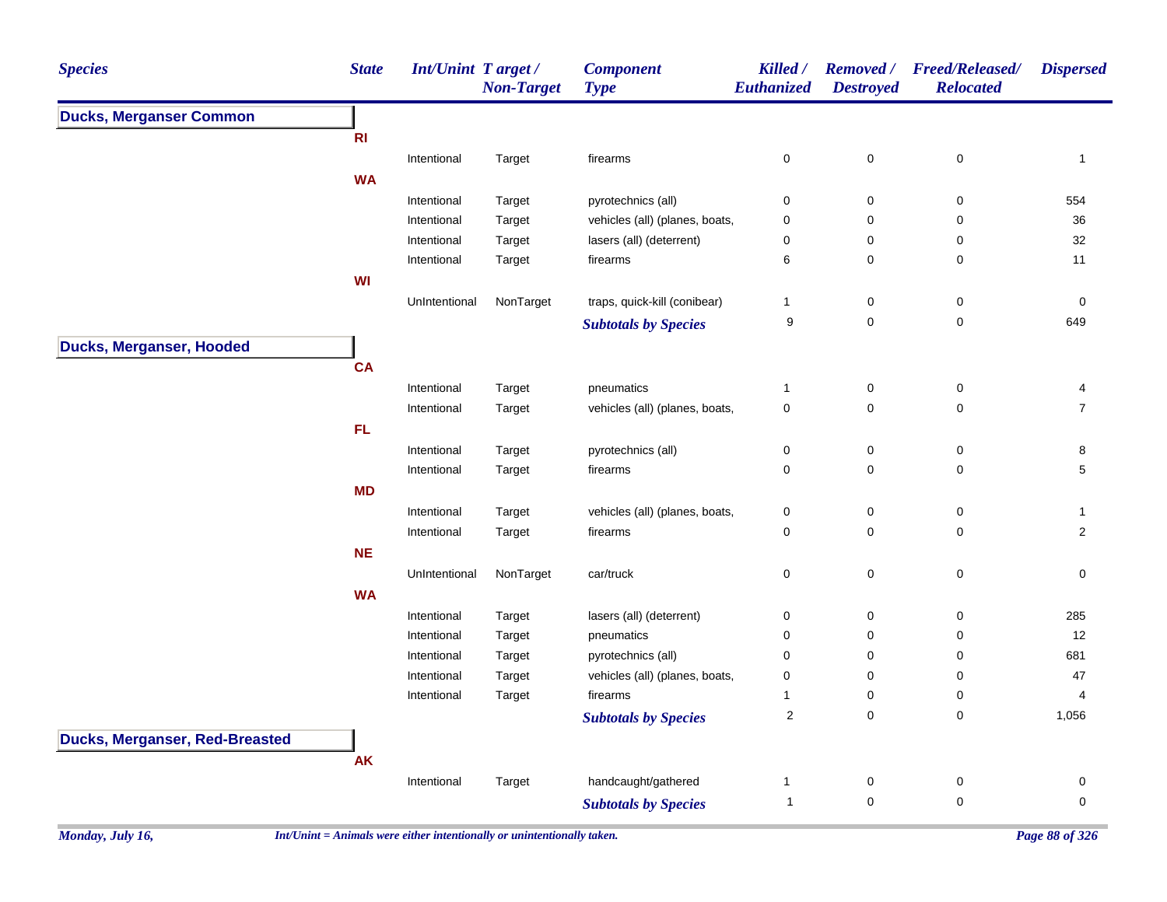| <b>Species</b>                  | <b>State</b>   | Int/Unint Target / | <b>Non-Target</b> | <b>Component</b><br><b>Type</b>        | Killed /<br><b>Euthanized</b> | <b>Removed</b> /<br><b>Destroyed</b> | <b>Freed/Released/</b><br><b>Relocated</b> | <b>Dispersed</b> |
|---------------------------------|----------------|--------------------|-------------------|----------------------------------------|-------------------------------|--------------------------------------|--------------------------------------------|------------------|
| <b>Ducks, Merganser Common</b>  |                |                    |                   |                                        |                               |                                      |                                            |                  |
|                                 | R <sub>l</sub> |                    |                   |                                        |                               |                                      |                                            |                  |
|                                 |                | Intentional        | Target            | firearms                               | 0                             | $\mathbf 0$                          | $\pmb{0}$                                  | $\mathbf{1}$     |
|                                 | <b>WA</b>      |                    |                   |                                        |                               |                                      |                                            |                  |
|                                 |                | Intentional        | Target            | pyrotechnics (all)                     | 0                             | 0                                    | $\pmb{0}$                                  | 554              |
|                                 |                | Intentional        | Target            | vehicles (all) (planes, boats,         | $\pmb{0}$                     | 0                                    | $\pmb{0}$                                  | 36               |
|                                 |                | Intentional        | Target            | lasers (all) (deterrent)               | 0                             | $\mathbf 0$                          | 0                                          | $32\,$           |
|                                 |                | Intentional        | Target            | firearms                               | 6                             | $\mathbf 0$                          | $\mathbf 0$                                | 11               |
|                                 | WI             |                    |                   |                                        |                               |                                      |                                            |                  |
|                                 |                | UnIntentional      | NonTarget         | traps, quick-kill (conibear)           | $\mathbf{1}$                  | 0                                    | 0                                          | 0                |
|                                 |                |                    |                   | <b>Subtotals by Species</b>            | $\boldsymbol{9}$              | $\mathsf{O}\xspace$                  | $\mathsf 0$                                | 649              |
| <b>Ducks, Merganser, Hooded</b> |                |                    |                   |                                        |                               |                                      |                                            |                  |
|                                 | <b>CA</b>      |                    |                   |                                        |                               |                                      |                                            |                  |
|                                 |                | Intentional        | Target            | pneumatics                             | 1                             | $\mathsf{O}\xspace$                  | $\pmb{0}$                                  | 4                |
|                                 |                | Intentional        | Target            | vehicles (all) (planes, boats,         | $\mathsf 0$                   | $\mathsf 0$                          | $\mathbf 0$                                | $\overline{7}$   |
|                                 | FL.            |                    |                   |                                        |                               |                                      |                                            |                  |
|                                 |                | Intentional        | Target            | pyrotechnics (all)                     | 0                             | $\mathsf 0$                          | $\pmb{0}$                                  | 8                |
|                                 |                | Intentional        | Target            | firearms                               | 0                             | $\mathbf 0$                          | $\mathbf 0$                                | 5                |
|                                 | <b>MD</b>      |                    |                   |                                        |                               |                                      |                                            |                  |
|                                 |                | Intentional        | Target            | vehicles (all) (planes, boats,         | 0                             | $\mathsf 0$                          | $\pmb{0}$                                  | $\mathbf{1}$     |
|                                 |                | Intentional        | Target            | firearms                               | 0                             | $\mathbf 0$                          | $\pmb{0}$                                  | $\overline{2}$   |
|                                 | <b>NE</b>      |                    |                   |                                        |                               |                                      |                                            |                  |
|                                 |                | UnIntentional      | NonTarget         | car/truck                              | 0                             | $\mathsf 0$                          | $\mathsf 0$                                | $\mathbf 0$      |
|                                 | <b>WA</b>      |                    |                   |                                        |                               |                                      |                                            |                  |
|                                 |                | Intentional        |                   |                                        | 0                             | $\mathbf 0$                          | 0                                          | 285              |
|                                 |                | Intentional        | Target<br>Target  | lasers (all) (deterrent)<br>pneumatics | 0                             | $\mathbf 0$                          | $\mathbf 0$                                | 12               |
|                                 |                | Intentional        | Target            | pyrotechnics (all)                     | 0                             | $\mathbf 0$                          | 0                                          | 681              |
|                                 |                | Intentional        | Target            | vehicles (all) (planes, boats,         | 0                             | $\mathbf 0$                          | 0                                          | 47               |
|                                 |                | Intentional        | Target            | firearms                               | $\mathbf{1}$                  | $\mathsf 0$                          | 0                                          | $\overline{4}$   |
|                                 |                |                    |                   | <b>Subtotals by Species</b>            | $\boldsymbol{2}$              | $\mathbf 0$                          | $\mathbf 0$                                | 1,056            |
|                                 |                |                    |                   |                                        |                               |                                      |                                            |                  |
| Ducks, Merganser, Red-Breasted  |                |                    |                   |                                        |                               |                                      |                                            |                  |
|                                 | <b>AK</b>      |                    |                   |                                        |                               |                                      |                                            |                  |
|                                 |                | Intentional        | Target            | handcaught/gathered                    | 1                             | $\pmb{0}$                            | 0                                          | $\pmb{0}$        |
|                                 |                |                    |                   | <b>Subtotals by Species</b>            | $\overline{1}$                | $\mathbf 0$                          | $\mathbf 0$                                | $\mathbf 0$      |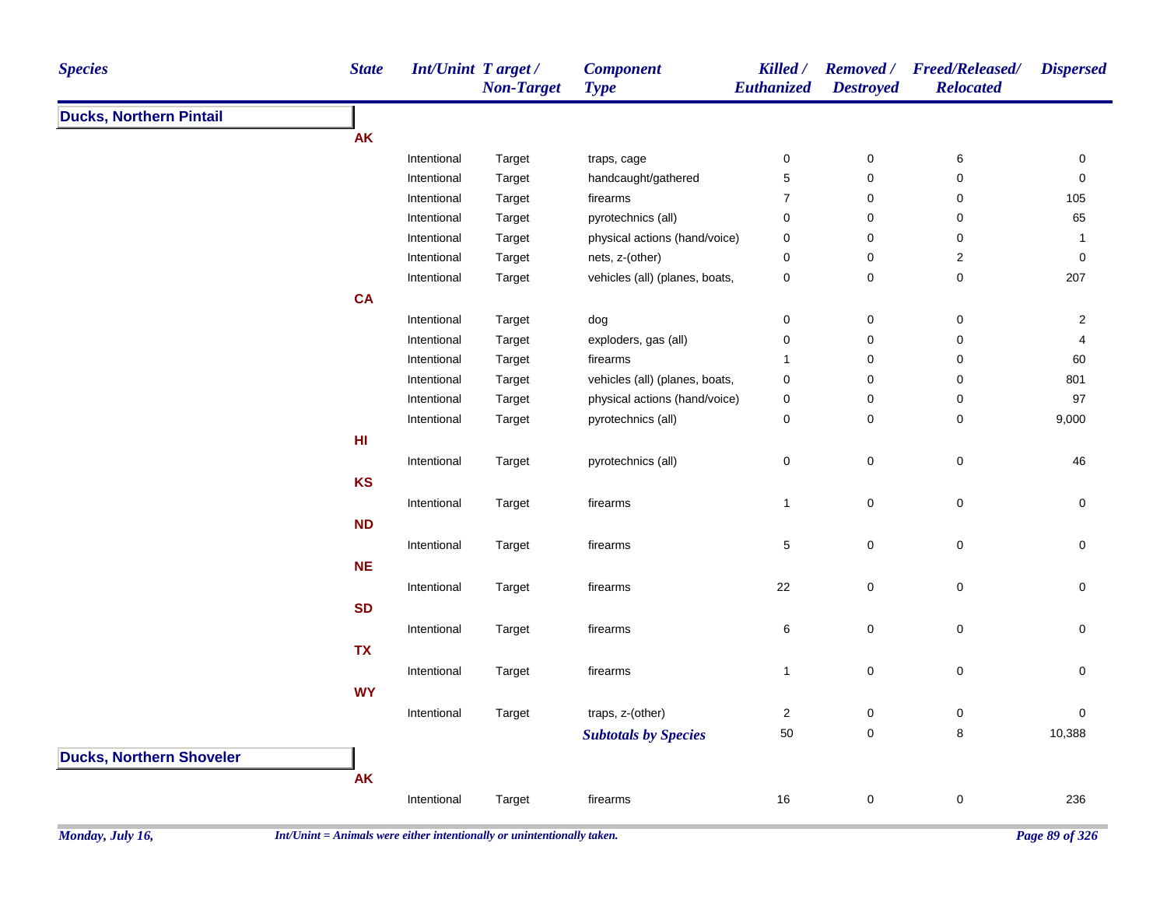| <b>Species</b>                  | <b>State</b> | Int/Unint Target/ | <b>Non-Target</b> | <b>Component</b><br><b>Type</b> | Killed /<br>Euthanized | <b>Removed</b> /<br><b>Destroyed</b> | <b>Freed/Released/</b><br><b>Relocated</b> | <b>Dispersed</b> |
|---------------------------------|--------------|-------------------|-------------------|---------------------------------|------------------------|--------------------------------------|--------------------------------------------|------------------|
| <b>Ducks, Northern Pintail</b>  |              |                   |                   |                                 |                        |                                      |                                            |                  |
|                                 | <b>AK</b>    |                   |                   |                                 |                        |                                      |                                            |                  |
|                                 |              | Intentional       | Target            | traps, cage                     | $\pmb{0}$              | $\pmb{0}$                            | $\,6$                                      | 0                |
|                                 |              | Intentional       | Target            | handcaught/gathered             | $\sqrt{5}$             | 0                                    | $\pmb{0}$                                  | $\mathbf 0$      |
|                                 |              | Intentional       | Target            | firearms                        | $\overline{7}$         | $\pmb{0}$                            | $\pmb{0}$                                  | 105              |
|                                 |              | Intentional       | Target            | pyrotechnics (all)              | 0                      | $\mathbf 0$                          | 0                                          | 65               |
|                                 |              | Intentional       | Target            | physical actions (hand/voice)   | 0                      | $\mathbf 0$                          | $\pmb{0}$                                  | $\overline{1}$   |
|                                 |              | Intentional       | Target            | nets, z-(other)                 | 0                      | $\mathbf 0$                          | $\overline{c}$                             | $\mathbf 0$      |
|                                 |              | Intentional       | Target            | vehicles (all) (planes, boats,  | 0                      | $\pmb{0}$                            | $\mathbf 0$                                | 207              |
|                                 | CA           |                   |                   |                                 |                        |                                      |                                            |                  |
|                                 |              | Intentional       | Target            | dog                             | 0                      | $\mathbf 0$                          | 0                                          | $\overline{c}$   |
|                                 |              | Intentional       | Target            | exploders, gas (all)            | 0                      | $\pmb{0}$                            | $\pmb{0}$                                  | 4                |
|                                 |              | Intentional       | Target            | firearms                        | $\mathbf 1$            | $\pmb{0}$                            | $\pmb{0}$                                  | 60               |
|                                 |              | Intentional       | Target            | vehicles (all) (planes, boats,  | 0                      | $\mathbf 0$                          | $\mathsf 0$                                | 801              |
|                                 |              | Intentional       | Target            | physical actions (hand/voice)   | 0                      | $\pmb{0}$                            | 0                                          | 97               |
|                                 |              | Intentional       | Target            | pyrotechnics (all)              | $\mathsf 0$            | $\mathbf 0$                          | $\mathsf 0$                                | 9,000            |
|                                 | HI.          |                   |                   |                                 |                        |                                      |                                            |                  |
|                                 |              | Intentional       | Target            | pyrotechnics (all)              | 0                      | $\pmb{0}$                            | $\mathsf 0$                                | 46               |
|                                 | <b>KS</b>    |                   |                   |                                 |                        |                                      |                                            |                  |
|                                 |              | Intentional       | Target            | firearms                        | $\mathbf{1}$           | $\mathbf 0$                          | $\mathsf 0$                                | 0                |
|                                 | <b>ND</b>    |                   |                   |                                 |                        |                                      |                                            |                  |
|                                 |              | Intentional       | Target            | firearms                        | $\sqrt{5}$             | $\mathbf 0$                          | $\mathsf 0$                                | $\pmb{0}$        |
|                                 | <b>NE</b>    |                   |                   |                                 |                        |                                      |                                            |                  |
|                                 |              | Intentional       | Target            | firearms                        | 22                     | $\pmb{0}$                            | $\mathsf 0$                                | 0                |
|                                 | <b>SD</b>    |                   |                   |                                 |                        |                                      |                                            |                  |
|                                 |              |                   |                   |                                 |                        |                                      |                                            |                  |
|                                 |              | Intentional       | Target            | firearms                        | 6                      | $\mathsf 0$                          | $\mathsf 0$                                | 0                |
|                                 | <b>TX</b>    |                   |                   |                                 |                        |                                      |                                            |                  |
|                                 |              | Intentional       | Target            | firearms                        | $\mathbf{1}$           | $\pmb{0}$                            | $\mathsf 0$                                | 0                |
|                                 | <b>WY</b>    |                   |                   |                                 |                        |                                      |                                            |                  |
|                                 |              | Intentional       | Target            | traps, z-(other)                | $\overline{a}$         | 0                                    | $\mathbf 0$                                | 0                |
|                                 |              |                   |                   | <b>Subtotals by Species</b>     | 50                     | $\pmb{0}$                            | 8                                          | 10,388           |
| <b>Ducks, Northern Shoveler</b> |              |                   |                   |                                 |                        |                                      |                                            |                  |
|                                 | <b>AK</b>    |                   |                   |                                 |                        |                                      |                                            |                  |
|                                 |              | Intentional       | Target            | firearms                        | 16                     | $\pmb{0}$                            | $\pmb{0}$                                  | 236              |
|                                 |              |                   |                   |                                 |                        |                                      |                                            |                  |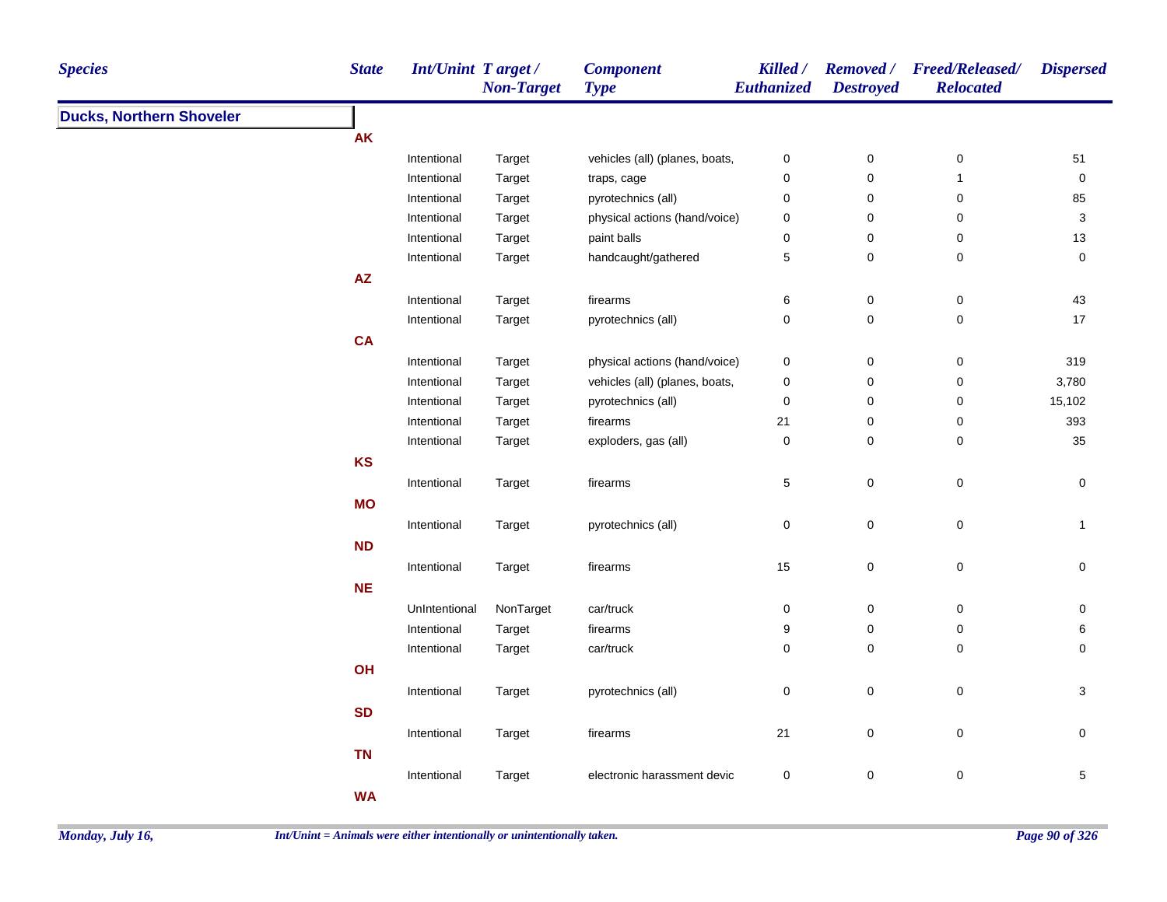| <b>Species</b>                  | <b>State</b>           | Int/Unint Target/ | <b>Non-Target</b> | <b>Component</b><br><b>Type</b> | Killed /<br>Euthanized | <b>Destroyed</b> | Removed / Freed/Released/<br><b>Relocated</b> | <b>Dispersed</b>    |
|---------------------------------|------------------------|-------------------|-------------------|---------------------------------|------------------------|------------------|-----------------------------------------------|---------------------|
| <b>Ducks, Northern Shoveler</b> |                        |                   |                   |                                 |                        |                  |                                               |                     |
|                                 | <b>AK</b>              |                   |                   |                                 |                        |                  |                                               |                     |
|                                 |                        | Intentional       | Target            | vehicles (all) (planes, boats,  | $\pmb{0}$              | $\pmb{0}$        | $\pmb{0}$                                     | $51$                |
|                                 |                        | Intentional       | Target            | traps, cage                     | 0                      | $\pmb{0}$        | $\mathbf{1}$                                  | $\mathsf{O}\xspace$ |
|                                 |                        | Intentional       | Target            | pyrotechnics (all)              | 0                      | $\pmb{0}$        | $\pmb{0}$                                     | 85                  |
|                                 |                        | Intentional       | Target            | physical actions (hand/voice)   | 0                      | $\pmb{0}$        | $\pmb{0}$                                     | 3                   |
|                                 |                        | Intentional       | Target            | paint balls                     | 0                      | $\pmb{0}$        | 0                                             | 13                  |
|                                 |                        | Intentional       | Target            | handcaught/gathered             | 5                      | 0                | $\pmb{0}$                                     | $\pmb{0}$           |
|                                 | $\mathsf{A}\mathsf{Z}$ |                   |                   |                                 |                        |                  |                                               |                     |
|                                 |                        | Intentional       | Target            | firearms                        | 6                      | $\pmb{0}$        | $\boldsymbol{0}$                              | 43                  |
|                                 |                        | Intentional       | Target            | pyrotechnics (all)              | 0                      | 0                | $\mathbf 0$                                   | 17                  |
|                                 | <b>CA</b>              |                   |                   |                                 |                        |                  |                                               |                     |
|                                 |                        | Intentional       | Target            | physical actions (hand/voice)   | 0                      | $\pmb{0}$        | $\pmb{0}$                                     | 319                 |
|                                 |                        | Intentional       | Target            | vehicles (all) (planes, boats,  | $\pmb{0}$              | $\pmb{0}$        | $\boldsymbol{0}$                              | 3,780               |
|                                 |                        | Intentional       | Target            | pyrotechnics (all)              | 0                      | $\pmb{0}$        | $\pmb{0}$                                     | 15,102              |
|                                 |                        | Intentional       | Target            | firearms                        | 21                     | $\pmb{0}$        | $\mathbf 0$                                   | 393                 |
|                                 |                        | Intentional       | Target            | exploders, gas (all)            | 0                      | 0                | $\mathbf 0$                                   | 35                  |
|                                 | <b>KS</b>              |                   |                   |                                 |                        |                  |                                               |                     |
|                                 |                        | Intentional       | Target            | firearms                        | $\,$ 5 $\,$            | $\mathsf 0$      | $\pmb{0}$                                     | $\pmb{0}$           |
|                                 | <b>MO</b>              |                   |                   |                                 |                        |                  |                                               |                     |
|                                 |                        | Intentional       | Target            | pyrotechnics (all)              | $\pmb{0}$              | $\pmb{0}$        | $\mathsf 0$                                   | $\mathbf{1}$        |
|                                 | ND                     |                   |                   |                                 |                        |                  |                                               |                     |
|                                 |                        | Intentional       | Target            | firearms                        | 15                     | 0                | $\pmb{0}$                                     | 0                   |
|                                 | <b>NE</b>              |                   |                   |                                 |                        |                  |                                               |                     |
|                                 |                        | UnIntentional     | NonTarget         | car/truck                       | 0                      | 0                | $\mathbf 0$                                   | 0                   |
|                                 |                        | Intentional       | Target            | firearms                        | 9                      | $\pmb{0}$        | $\boldsymbol{0}$                              | 6                   |
|                                 |                        | Intentional       | Target            | car/truck                       | 0                      | $\mathsf 0$      | $\pmb{0}$                                     | $\mathbf 0$         |
|                                 | OH                     |                   |                   |                                 |                        |                  |                                               |                     |
|                                 |                        |                   |                   |                                 |                        |                  |                                               |                     |
|                                 |                        | Intentional       | Target            | pyrotechnics (all)              | 0                      | $\mathsf 0$      | $\mathbf 0$                                   | $\sqrt{3}$          |
|                                 | <b>SD</b>              |                   |                   |                                 |                        |                  |                                               |                     |
|                                 |                        | Intentional       | Target            | firearms                        | 21                     | 0                | $\mathbf 0$                                   | 0                   |
|                                 | <b>TN</b>              |                   |                   |                                 |                        |                  |                                               |                     |
|                                 |                        | Intentional       | Target            | electronic harassment devic     | $\pmb{0}$              | $\pmb{0}$        | $\pmb{0}$                                     | $\overline{5}$      |
|                                 | <b>WA</b>              |                   |                   |                                 |                        |                  |                                               |                     |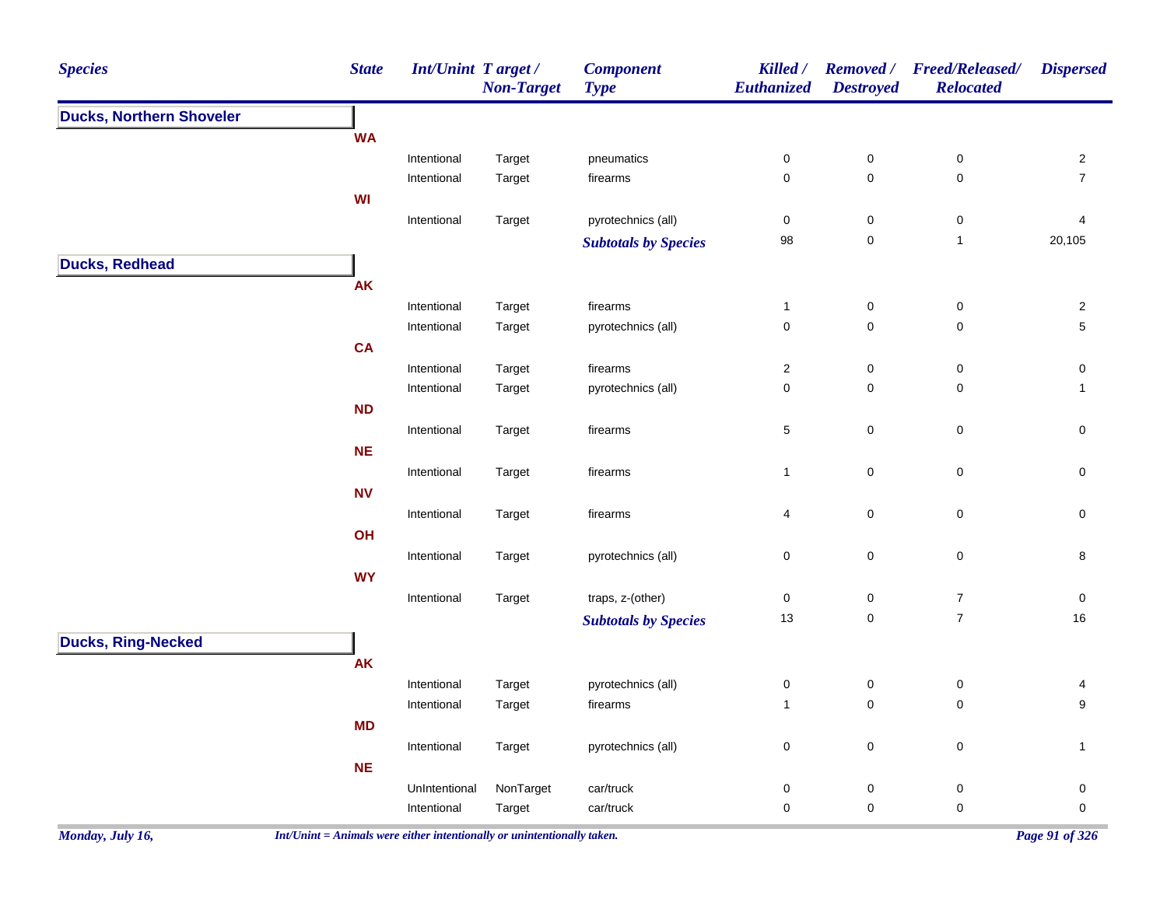| <b>Species</b>                                               | <b>State</b> | Int/Unint Target / | <b>Non-Target</b> | <b>Component</b><br><b>Type</b> | Killed /<br>Euthanized | <b>Removed</b> /<br><b>Destroyed</b> | <b>Freed/Released/</b><br><b>Relocated</b> | <b>Dispersed</b>        |
|--------------------------------------------------------------|--------------|--------------------|-------------------|---------------------------------|------------------------|--------------------------------------|--------------------------------------------|-------------------------|
| <b>Ducks, Northern Shoveler</b><br><b>Ducks, Ring-Necked</b> |              |                    |                   |                                 |                        |                                      |                                            |                         |
|                                                              | <b>WA</b>    |                    |                   |                                 |                        |                                      |                                            |                         |
|                                                              |              | Intentional        | Target            | pneumatics                      | $\pmb{0}$              | $\pmb{0}$                            | $\pmb{0}$                                  | $\overline{2}$          |
|                                                              |              | Intentional        | Target            | firearms                        | $\pmb{0}$              | $\pmb{0}$                            | $\mathbf 0$                                | $\overline{7}$          |
|                                                              | <b>WI</b>    |                    |                   |                                 |                        |                                      |                                            |                         |
|                                                              |              | Intentional        | Target            | pyrotechnics (all)              | $\pmb{0}$              | $\pmb{0}$                            | $\pmb{0}$                                  | $\overline{\mathbf{4}}$ |
|                                                              |              |                    |                   | <b>Subtotals by Species</b>     | 98                     | $\pmb{0}$                            | $\mathbf{1}$                               | 20,105                  |
| <b>Ducks, Redhead</b>                                        |              |                    |                   |                                 |                        |                                      |                                            |                         |
|                                                              | AK           |                    |                   |                                 |                        |                                      |                                            |                         |
|                                                              |              | Intentional        | Target            | firearms                        | $\mathbf{1}$           | $\pmb{0}$                            | $\pmb{0}$                                  | $\sqrt{2}$              |
|                                                              |              | Intentional        | Target            | pyrotechnics (all)              | $\pmb{0}$              | $\pmb{0}$                            | $\pmb{0}$                                  | $5\phantom{.0}$         |
|                                                              | <b>CA</b>    |                    |                   |                                 |                        |                                      |                                            |                         |
|                                                              |              | Intentional        | Target            | firearms                        | $\sqrt{2}$             | $\pmb{0}$                            | $\pmb{0}$                                  | 0                       |
|                                                              |              | Intentional        | Target            | pyrotechnics (all)              | $\pmb{0}$              | 0                                    | 0                                          | $\mathbf{1}$            |
|                                                              | <b>ND</b>    |                    |                   |                                 |                        |                                      |                                            |                         |
|                                                              |              | Intentional        | Target            | firearms                        | $\,$ 5 $\,$            | $\pmb{0}$                            | $\pmb{0}$                                  | $\mathsf{O}\xspace$     |
|                                                              | <b>NE</b>    |                    |                   |                                 |                        |                                      |                                            |                         |
|                                                              |              | Intentional        | Target            | firearms                        | $\mathbf{1}$           | $\mathsf 0$                          | 0                                          | 0                       |
|                                                              | <b>NV</b>    |                    |                   |                                 |                        |                                      |                                            |                         |
|                                                              |              | Intentional        | Target            | firearms                        | $\overline{4}$         | $\pmb{0}$                            | $\pmb{0}$                                  | $\mathsf 0$             |
|                                                              | OH           |                    |                   |                                 |                        |                                      |                                            |                         |
|                                                              |              | Intentional        | Target            | pyrotechnics (all)              | $\pmb{0}$              | $\pmb{0}$                            | $\pmb{0}$                                  | 8                       |
|                                                              | <b>WY</b>    |                    |                   |                                 |                        |                                      |                                            |                         |
|                                                              |              | Intentional        | Target            | traps, z-(other)                | $\pmb{0}$<br>13        | $\pmb{0}$<br>$\pmb{0}$               | $\boldsymbol{7}$<br>$\boldsymbol{7}$       | $\pmb{0}$<br>$16\,$     |
|                                                              |              |                    |                   | <b>Subtotals by Species</b>     |                        |                                      |                                            |                         |
|                                                              |              |                    |                   |                                 |                        |                                      |                                            |                         |
|                                                              | <b>AK</b>    |                    |                   |                                 |                        |                                      |                                            |                         |
|                                                              |              | Intentional        | Target            | pyrotechnics (all)              | $\pmb{0}$              | $\pmb{0}$                            | $\pmb{0}$                                  | 4                       |
|                                                              |              | Intentional        | Target            | firearms                        | $\overline{1}$         | $\pmb{0}$                            | $\mathbf 0$                                | $\boldsymbol{9}$        |
|                                                              | <b>MD</b>    |                    |                   |                                 |                        |                                      |                                            |                         |
|                                                              | <b>NE</b>    | Intentional        | Target            | pyrotechnics (all)              | $\pmb{0}$              | $\mathbf 0$                          | $\pmb{0}$                                  | $\mathbf{1}$            |
|                                                              |              | UnIntentional      | NonTarget         | car/truck                       | $\pmb{0}$              | $\pmb{0}$                            | $\pmb{0}$                                  | 0                       |
|                                                              |              | Intentional        | Target            | car/truck                       | $\mathbf 0$            | $\pmb{0}$                            | $\mathbf 0$                                | $\mathbf 0$             |
|                                                              |              |                    |                   |                                 |                        |                                      |                                            |                         |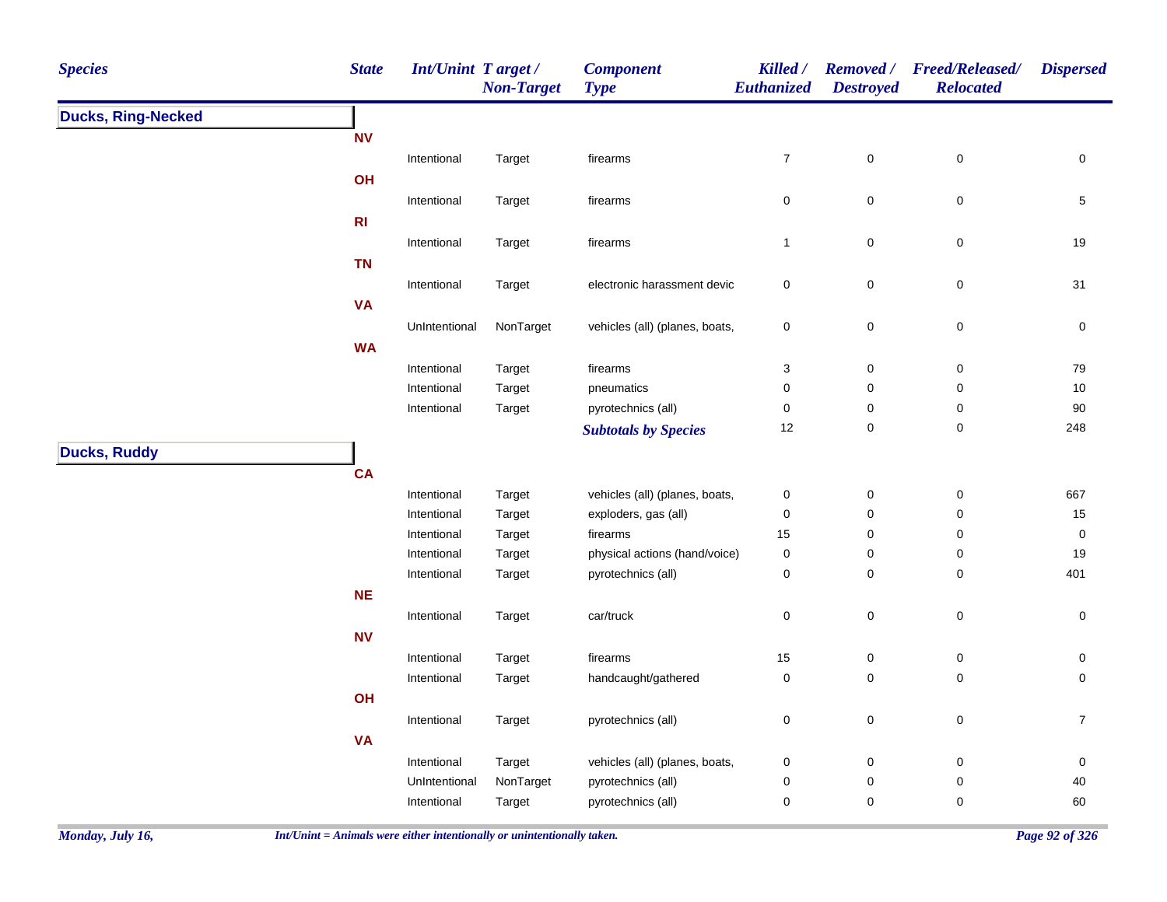| <b>Species</b>            | <b>State</b>     | <b>Int/Unint Target/</b> | <b>Non-Target</b> | <b>Component</b><br><b>Type</b> | Killed /<br>Euthanized    | <b>Destroyed</b> | Removed / Freed/Released/<br><b>Relocated</b> | <b>Dispersed</b> |
|---------------------------|------------------|--------------------------|-------------------|---------------------------------|---------------------------|------------------|-----------------------------------------------|------------------|
| <b>Ducks, Ring-Necked</b> |                  |                          |                   |                                 |                           |                  |                                               |                  |
|                           | <b>NV</b>        |                          |                   |                                 |                           |                  |                                               |                  |
|                           |                  | Intentional              | Target            | firearms                        | $\boldsymbol{7}$          | 0                | $\mathsf 0$                                   | 0                |
|                           | OH               |                          |                   |                                 |                           |                  |                                               |                  |
|                           |                  | Intentional              | Target            | firearms                        | $\pmb{0}$                 | 0                | $\pmb{0}$                                     | 5                |
|                           | R <sub>l</sub>   |                          |                   |                                 |                           |                  |                                               |                  |
|                           |                  | Intentional              | Target            | firearms                        | $\mathbf{1}$              | 0                | $\pmb{0}$                                     | 19               |
|                           | <b>TN</b>        |                          |                   |                                 |                           |                  |                                               |                  |
|                           |                  | Intentional              | Target            | electronic harassment devic     | $\mathbf 0$               | 0                | $\pmb{0}$                                     | 31               |
|                           | <b>VA</b>        |                          |                   |                                 |                           |                  |                                               |                  |
|                           |                  | UnIntentional            | NonTarget         | vehicles (all) (planes, boats,  | $\pmb{0}$                 | 0                | $\pmb{0}$                                     | 0                |
|                           | <b>WA</b>        |                          |                   |                                 |                           |                  |                                               |                  |
|                           |                  | Intentional              | Target            | firearms                        | $\ensuremath{\mathsf{3}}$ | 0                | $\pmb{0}$                                     | 79               |
|                           |                  | Intentional              | Target            | pneumatics                      | $\pmb{0}$                 | 0                | $\pmb{0}$                                     | 10               |
|                           |                  | Intentional              | Target            | pyrotechnics (all)              | $\pmb{0}$                 | 0                | $\pmb{0}$                                     | $90\,$           |
|                           |                  |                          |                   | <b>Subtotals by Species</b>     | 12                        | 0                | $\pmb{0}$                                     | 248              |
| <b>Ducks, Ruddy</b>       |                  |                          |                   |                                 |                           |                  |                                               |                  |
|                           | <b>CA</b>        |                          |                   |                                 |                           |                  |                                               |                  |
|                           |                  | Intentional              | Target            | vehicles (all) (planes, boats,  | $\pmb{0}$                 | 0                | $\pmb{0}$                                     | 667              |
|                           |                  | Intentional              | Target            | exploders, gas (all)            | $\pmb{0}$                 | 0                | $\pmb{0}$                                     | 15               |
|                           |                  | Intentional              | Target            | firearms                        | 15                        | 0                | $\pmb{0}$                                     | 0                |
|                           |                  | Intentional              | Target            | physical actions (hand/voice)   | $\pmb{0}$                 | 0                | $\pmb{0}$                                     | 19               |
|                           |                  | Intentional              | Target            | pyrotechnics (all)              | $\pmb{0}$                 | 0                | $\pmb{0}$                                     | 401              |
|                           | $NE$             |                          |                   |                                 |                           |                  |                                               |                  |
|                           |                  | Intentional              | Target            | car/truck                       | $\pmb{0}$                 | 0                | $\pmb{0}$                                     | 0                |
|                           | ${\bf N}{\bf V}$ |                          |                   |                                 |                           |                  |                                               |                  |
|                           |                  | Intentional              | Target            | firearms                        | 15                        | 0                | $\pmb{0}$                                     | 0                |
|                           |                  | Intentional              | Target            | handcaught/gathered             | $\pmb{0}$                 | 0                | $\pmb{0}$                                     | 0                |
|                           | OH               |                          |                   |                                 |                           |                  |                                               |                  |
|                           |                  | Intentional              | Target            | pyrotechnics (all)              | $\pmb{0}$                 | 0                | $\pmb{0}$                                     | $\overline{7}$   |
|                           | <b>VA</b>        |                          |                   |                                 |                           |                  |                                               |                  |
|                           |                  | Intentional              | Target            | vehicles (all) (planes, boats,  | $\pmb{0}$                 | 0                | $\pmb{0}$                                     | 0                |
|                           |                  | UnIntentional            | NonTarget         | pyrotechnics (all)              | $\mathbf 0$               | 0                | $\pmb{0}$                                     | 40               |
|                           |                  | Intentional              | Target            | pyrotechnics (all)              | $\pmb{0}$                 | 0                | 0                                             | 60               |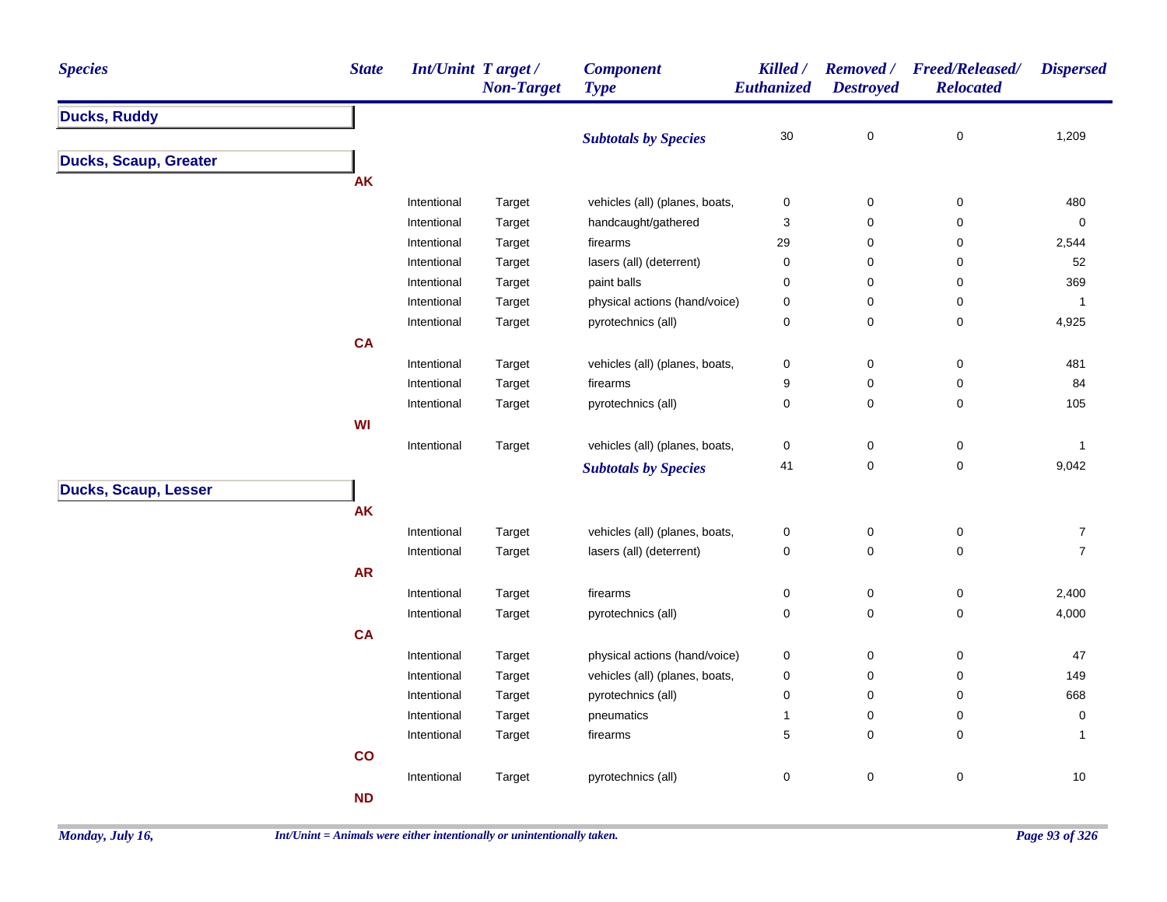| <b>Species</b>               | <b>State</b> | <b>Int/Unint Target/</b> | <b>Non-Target</b> | <b>Component</b><br><b>Type</b> | Killed /<br><b>Euthanized</b> | <b>Destroyed</b> | Removed / Freed/Released/<br><b>Relocated</b> | <b>Dispersed</b>                 |
|------------------------------|--------------|--------------------------|-------------------|---------------------------------|-------------------------------|------------------|-----------------------------------------------|----------------------------------|
| <b>Ducks, Ruddy</b>          |              |                          |                   |                                 |                               |                  |                                               |                                  |
|                              |              |                          |                   | <b>Subtotals by Species</b>     | $30\,$                        | $\mathbf 0$      | $\pmb{0}$                                     | 1,209                            |
| <b>Ducks, Scaup, Greater</b> |              |                          |                   |                                 |                               |                  |                                               |                                  |
|                              | <b>AK</b>    |                          |                   |                                 |                               |                  |                                               |                                  |
|                              |              | Intentional              | Target            | vehicles (all) (planes, boats,  | $\pmb{0}$                     | $\mathbf 0$      | $\mathbf 0$                                   | 480                              |
|                              |              | Intentional              | Target            | handcaught/gathered             | 3                             | 0                | 0                                             | $\mathbf 0$                      |
|                              |              | Intentional              | Target            | firearms                        | 29                            | $\pmb{0}$        | 0                                             | 2,544                            |
|                              |              | Intentional              | Target            | lasers (all) (deterrent)        | $\pmb{0}$                     | 0                | 0                                             | 52                               |
|                              |              | Intentional              | Target            | paint balls                     | $\pmb{0}$                     | $\pmb{0}$        | 0                                             | 369                              |
|                              |              | Intentional              | Target            | physical actions (hand/voice)   | $\mathbf 0$                   | 0                | 0                                             | $\mathbf{1}$                     |
|                              |              | Intentional              | Target            | pyrotechnics (all)              | $\mathbf 0$                   | $\pmb{0}$        | 0                                             | 4,925                            |
|                              | <b>CA</b>    |                          |                   |                                 |                               |                  |                                               |                                  |
|                              |              | Intentional              | Target            | vehicles (all) (planes, boats,  | $\pmb{0}$                     | $\pmb{0}$        | $\pmb{0}$                                     | 481                              |
|                              |              | Intentional              | Target            | firearms                        | 9                             | 0                | 0                                             | 84                               |
|                              |              | Intentional              | Target            | pyrotechnics (all)              | $\mathbf 0$                   | $\mathbf 0$      | 0                                             | 105                              |
|                              | <b>WI</b>    |                          |                   |                                 |                               |                  |                                               |                                  |
|                              |              | Intentional              | Target            | vehicles (all) (planes, boats,  | $\pmb{0}$                     | $\pmb{0}$        | 0                                             | $\mathbf{1}$                     |
|                              |              |                          |                   | <b>Subtotals by Species</b>     | 41                            | $\pmb{0}$        | 0                                             | 9,042                            |
| <b>Ducks, Scaup, Lesser</b>  |              |                          |                   |                                 |                               |                  |                                               |                                  |
|                              | <b>AK</b>    |                          |                   |                                 |                               |                  |                                               |                                  |
|                              |              |                          |                   |                                 |                               |                  |                                               |                                  |
|                              |              | Intentional              | Target            | vehicles (all) (planes, boats,  | $\pmb{0}$                     | $\pmb{0}$        | $\pmb{0}$                                     | $\overline{7}$<br>$\overline{7}$ |
|                              |              | Intentional              | Target            | lasers (all) (deterrent)        | $\pmb{0}$                     | $\mathbf 0$      | 0                                             |                                  |
|                              | AR           |                          |                   |                                 |                               |                  |                                               |                                  |
|                              |              | Intentional              | Target            | firearms                        | $\mathbf 0$                   | $\mathbf 0$      | 0                                             | 2,400                            |
|                              |              | Intentional              | Target            | pyrotechnics (all)              | $\pmb{0}$                     | $\mathbf 0$      | $\pmb{0}$                                     | 4,000                            |
|                              | <b>CA</b>    |                          |                   |                                 |                               |                  |                                               |                                  |
|                              |              | Intentional              | Target            | physical actions (hand/voice)   | $\boldsymbol{0}$              | $\mathbf 0$      | 0                                             | 47                               |
|                              |              | Intentional              | Target            | vehicles (all) (planes, boats,  | $\pmb{0}$                     | $\mathbf 0$      | 0                                             | 149                              |
|                              |              | Intentional              | Target            | pyrotechnics (all)              | $\pmb{0}$                     | $\pmb{0}$        | 0                                             | 668                              |
|                              |              | Intentional              | Target            | pneumatics                      | 1                             | 0                | 0                                             | 0                                |
|                              |              | Intentional              | Target            | firearms                        | 5                             | 0                | 0                                             | $\mathbf{1}$                     |
|                              | co           |                          |                   |                                 |                               |                  |                                               |                                  |
|                              |              | Intentional              | Target            | pyrotechnics (all)              | $\pmb{0}$                     | $\pmb{0}$        | $\pmb{0}$                                     | $10$                             |
|                              | <b>ND</b>    |                          |                   |                                 |                               |                  |                                               |                                  |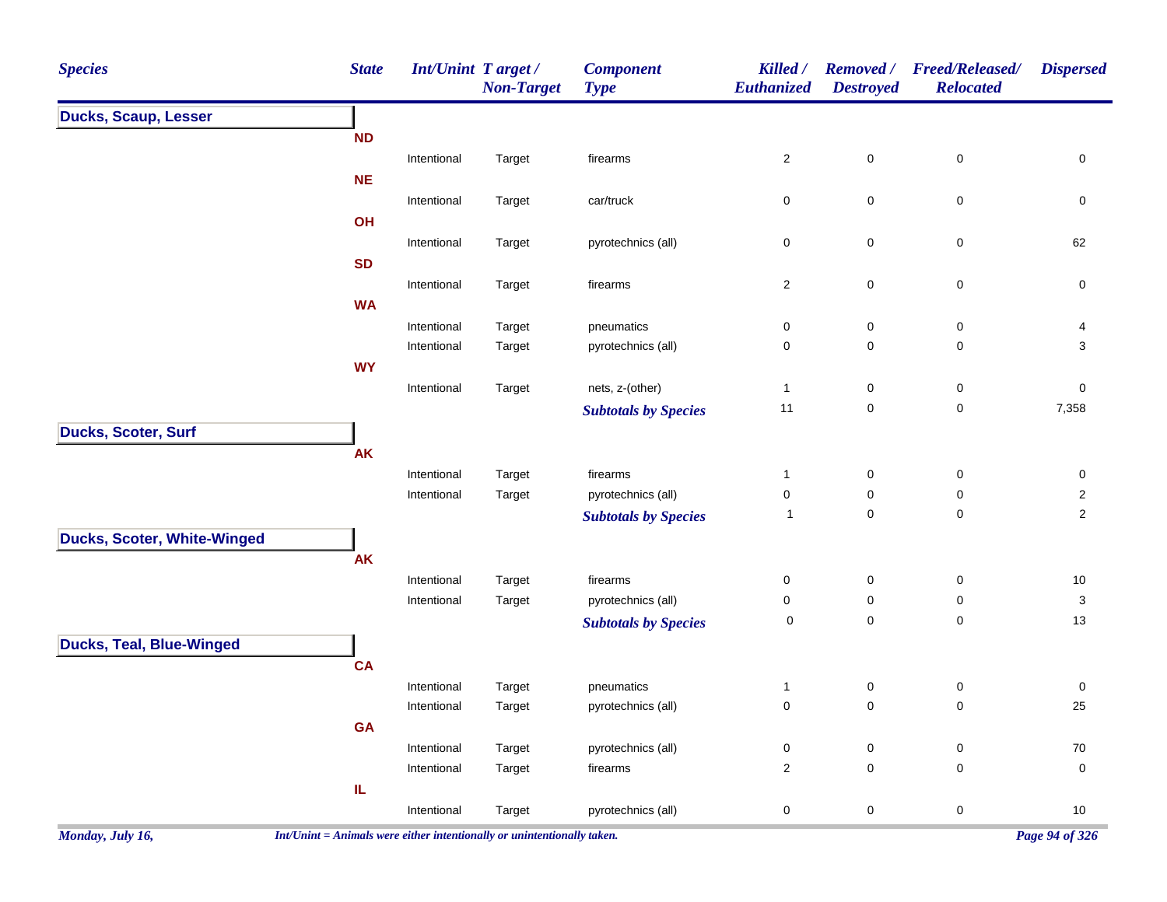| <b>Species</b>                     | <b>State</b>                                                             | <b>Int/Unint Target/</b> | <b>Non-Target</b> | <b>Component</b><br><b>Type</b> | Killed /<br>Euthanized  | <b>Removed</b> /<br><b>Destroyed</b> | <b>Freed/Released/</b><br><b>Relocated</b> | <b>Dispersed</b> |
|------------------------------------|--------------------------------------------------------------------------|--------------------------|-------------------|---------------------------------|-------------------------|--------------------------------------|--------------------------------------------|------------------|
| <b>Ducks, Scaup, Lesser</b>        |                                                                          |                          |                   |                                 |                         |                                      |                                            |                  |
|                                    | <b>ND</b>                                                                |                          |                   |                                 |                         |                                      |                                            |                  |
|                                    |                                                                          | Intentional              | Target            | firearms                        | $\overline{\mathbf{c}}$ | $\mathbf 0$                          | $\pmb{0}$                                  | 0                |
|                                    | <b>NE</b>                                                                |                          |                   |                                 |                         |                                      |                                            |                  |
|                                    |                                                                          | Intentional              | Target            | car/truck                       | 0                       | $\mathbf 0$                          | $\pmb{0}$                                  | 0                |
|                                    | OH                                                                       |                          |                   |                                 |                         |                                      |                                            |                  |
|                                    |                                                                          | Intentional              | Target            | pyrotechnics (all)              | 0                       | 0                                    | $\pmb{0}$                                  | 62               |
|                                    | <b>SD</b>                                                                |                          |                   |                                 |                         |                                      |                                            |                  |
|                                    |                                                                          | Intentional              | Target            | firearms                        | $\overline{\mathbf{c}}$ | $\mathbf 0$                          | $\pmb{0}$                                  | 0                |
|                                    | <b>WA</b>                                                                |                          |                   |                                 |                         |                                      |                                            |                  |
|                                    |                                                                          | Intentional              | Target            | pneumatics                      | 0                       | $\mathbf 0$                          | 0                                          | 4                |
|                                    |                                                                          | Intentional              | Target            | pyrotechnics (all)              | 0                       | 0                                    | $\pmb{0}$                                  | 3                |
|                                    | <b>WY</b>                                                                |                          |                   |                                 |                         |                                      |                                            |                  |
|                                    |                                                                          | Intentional              | Target            | nets, z-(other)                 | $\mathbf{1}$            | 0                                    | 0                                          | 0                |
|                                    |                                                                          |                          |                   | <b>Subtotals by Species</b>     | 11                      | $\boldsymbol{0}$                     | $\pmb{0}$                                  | 7,358            |
| Ducks, Scoter, Surf                |                                                                          |                          |                   |                                 |                         |                                      |                                            |                  |
|                                    | <b>AK</b>                                                                |                          |                   |                                 |                         |                                      |                                            |                  |
|                                    |                                                                          | Intentional              | Target            | firearms                        | $\mathbf{1}$            | $\boldsymbol{0}$                     | 0                                          | 0                |
|                                    |                                                                          | Intentional              | Target            | pyrotechnics (all)              | 0                       | 0                                    | 0                                          | 2                |
|                                    |                                                                          |                          |                   | <b>Subtotals by Species</b>     | $\overline{1}$          | $\mathbf 0$                          | 0                                          | $\overline{2}$   |
| <b>Ducks, Scoter, White-Winged</b> |                                                                          |                          |                   |                                 |                         |                                      |                                            |                  |
|                                    | <b>AK</b>                                                                |                          |                   |                                 |                         |                                      |                                            |                  |
|                                    |                                                                          | Intentional              | Target            | firearms                        | 0                       | $\mathbf 0$                          | 0                                          | 10               |
|                                    |                                                                          | Intentional              | Target            | pyrotechnics (all)              | 0                       | 0                                    | 0                                          | 3                |
|                                    |                                                                          |                          |                   | <b>Subtotals by Species</b>     | 0                       | $\mathbf 0$                          | $\pmb{0}$                                  | 13               |
| <b>Ducks, Teal, Blue-Winged</b>    |                                                                          |                          |                   |                                 |                         |                                      |                                            |                  |
|                                    | <b>CA</b>                                                                |                          |                   |                                 |                         |                                      |                                            |                  |
|                                    |                                                                          | Intentional              | Target            | pneumatics                      | $\mathbf{1}$            | 0                                    | 0                                          | 0                |
|                                    |                                                                          | Intentional              | Target            | pyrotechnics (all)              | 0                       | 0                                    | 0                                          | 25               |
|                                    | <b>GA</b>                                                                |                          |                   |                                 |                         |                                      |                                            |                  |
|                                    |                                                                          | Intentional              | Target            | pyrotechnics (all)              | 0                       | 0                                    | 0                                          | 70               |
|                                    |                                                                          | Intentional              | Target            | firearms                        | 2                       | $\mathbf 0$                          | 0                                          | $\mathbf 0$      |
|                                    | IL                                                                       |                          |                   |                                 |                         |                                      |                                            |                  |
|                                    |                                                                          | Intentional              | Target            | pyrotechnics (all)              | 0                       | 0                                    | $\pmb{0}$                                  | 10               |
| Monday, July 16,                   | $Int/Unit = Animals$ were either intentionally or unintentionally taken. |                          |                   |                                 |                         |                                      |                                            | Page 94 of 326   |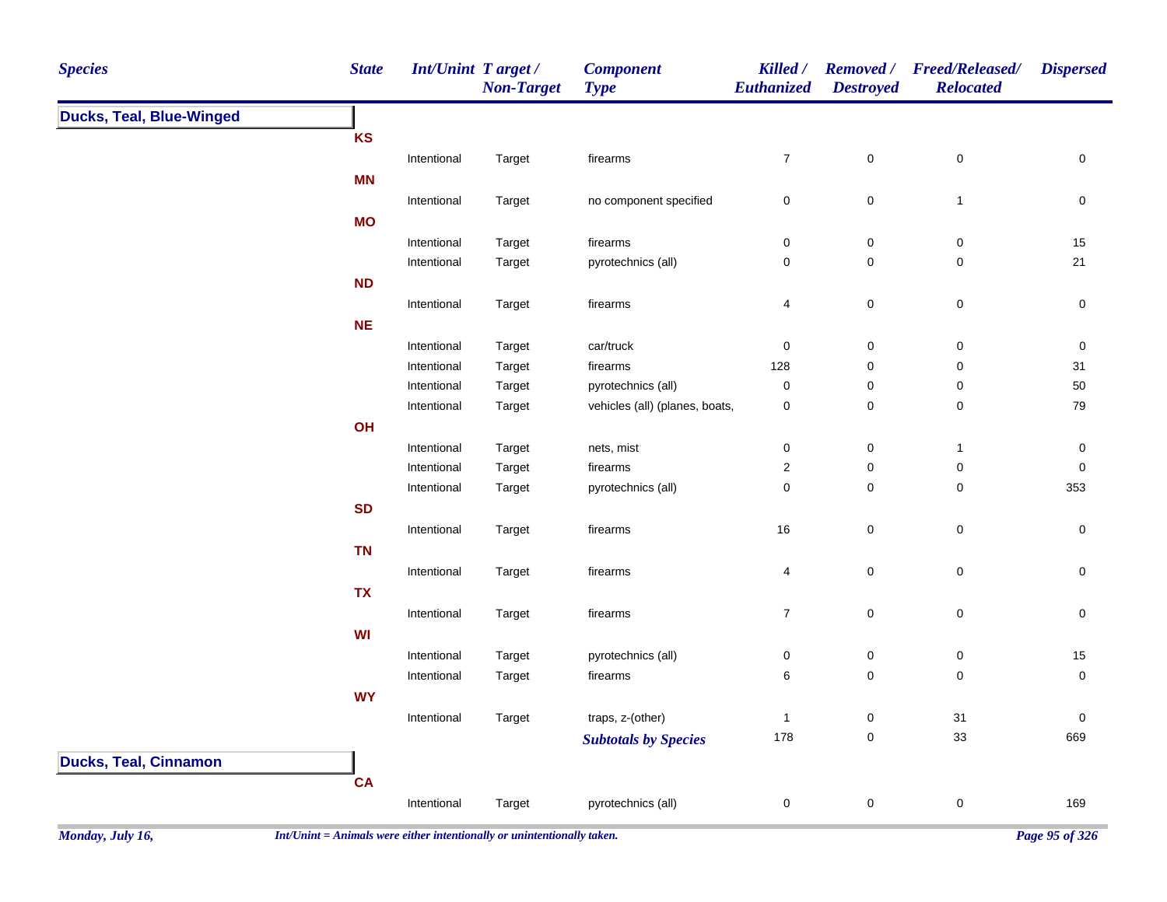| <b>Species</b>                  | <b>State</b> | Int/Unint Target/ | <b>Non-Target</b> | <b>Component</b><br><b>Type</b> | Killed /<br><b>Euthanized</b> | <b>Removed</b> /<br><b>Destroyed</b> | <b>Freed/Released/</b><br><b>Relocated</b> | <b>Dispersed</b>    |
|---------------------------------|--------------|-------------------|-------------------|---------------------------------|-------------------------------|--------------------------------------|--------------------------------------------|---------------------|
| <b>Ducks, Teal, Blue-Winged</b> |              |                   |                   |                                 |                               |                                      |                                            |                     |
|                                 | <b>KS</b>    |                   |                   |                                 |                               |                                      |                                            |                     |
|                                 |              | Intentional       | Target            | firearms                        | $\overline{7}$                | $\mathbf 0$                          | $\pmb{0}$                                  | $\mathsf 0$         |
|                                 | <b>MN</b>    |                   |                   |                                 |                               |                                      |                                            |                     |
|                                 |              | Intentional       | Target            | no component specified          | $\pmb{0}$                     | $\pmb{0}$                            | $\mathbf{1}$                               | $\mathsf{O}\xspace$ |
|                                 | <b>MO</b>    |                   |                   |                                 |                               |                                      |                                            |                     |
|                                 |              | Intentional       | Target            | firearms                        | $\pmb{0}$                     | $\pmb{0}$                            | $\pmb{0}$                                  | 15                  |
|                                 |              | Intentional       | Target            | pyrotechnics (all)              | $\pmb{0}$                     | $\pmb{0}$                            | $\mathsf 0$                                | 21                  |
|                                 | ND           |                   |                   |                                 |                               |                                      |                                            |                     |
|                                 |              | Intentional       | Target            | firearms                        | $\overline{4}$                | $\pmb{0}$                            | $\pmb{0}$                                  | $\pmb{0}$           |
|                                 | $NE$         |                   |                   |                                 |                               |                                      |                                            |                     |
|                                 |              | Intentional       | Target            | car/truck                       | $\pmb{0}$                     | $\pmb{0}$                            | $\pmb{0}$                                  | $\pmb{0}$           |
|                                 |              | Intentional       | Target            | firearms                        | 128                           | $\pmb{0}$                            | $\pmb{0}$                                  | 31                  |
|                                 |              | Intentional       | Target            | pyrotechnics (all)              | $\pmb{0}$                     | $\pmb{0}$                            | $\pmb{0}$                                  | $50\,$              |
|                                 |              | Intentional       | Target            | vehicles (all) (planes, boats,  | $\mathbf 0$                   | $\pmb{0}$                            | $\mathsf 0$                                | 79                  |
|                                 | OH           |                   |                   |                                 |                               |                                      |                                            |                     |
|                                 |              | Intentional       | Target            | nets, mist                      | $\pmb{0}$                     | $\pmb{0}$                            | $\mathbf{1}$                               | $\pmb{0}$           |
|                                 |              | Intentional       | Target            | firearms                        | $\overline{2}$                | $\pmb{0}$                            | $\pmb{0}$                                  | $\mathsf 0$         |
|                                 |              | Intentional       | Target            | pyrotechnics (all)              | $\pmb{0}$                     | $\pmb{0}$                            | $\pmb{0}$                                  | 353                 |
|                                 | <b>SD</b>    |                   |                   |                                 |                               |                                      |                                            |                     |
|                                 |              | Intentional       | Target            | firearms                        | 16                            | $\pmb{0}$                            | $\pmb{0}$                                  | $\pmb{0}$           |
|                                 | <b>TN</b>    |                   |                   |                                 |                               |                                      |                                            |                     |
|                                 |              | Intentional       | Target            | firearms                        | 4                             | $\pmb{0}$                            | $\pmb{0}$                                  | $\pmb{0}$           |
|                                 | <b>TX</b>    |                   |                   |                                 |                               |                                      |                                            |                     |
|                                 |              | Intentional       | Target            | firearms                        | $\overline{7}$                | $\pmb{0}$                            | $\pmb{0}$                                  | $\pmb{0}$           |
|                                 | WI           |                   |                   |                                 |                               |                                      |                                            |                     |
|                                 |              | Intentional       | Target            | pyrotechnics (all)              | $\pmb{0}$                     | $\pmb{0}$                            | $\pmb{0}$                                  | 15                  |
|                                 |              | Intentional       | Target            | firearms                        | 6                             | $\pmb{0}$                            | $\pmb{0}$                                  | $\pmb{0}$           |
|                                 | <b>WY</b>    |                   |                   |                                 |                               |                                      |                                            |                     |
|                                 |              | Intentional       | Target            | traps, z-(other)                | $\mathbf{1}$                  | $\pmb{0}$                            | 31                                         | $\pmb{0}$           |
|                                 |              |                   |                   | <b>Subtotals by Species</b>     | 178                           | $\pmb{0}$                            | 33                                         | 669                 |
| <b>Ducks, Teal, Cinnamon</b>    |              |                   |                   |                                 |                               |                                      |                                            |                     |
|                                 | CA           |                   |                   |                                 |                               |                                      |                                            |                     |
|                                 |              | Intentional       | Target            | pyrotechnics (all)              | 0                             | $\pmb{0}$                            | $\pmb{0}$                                  | 169                 |
|                                 |              |                   |                   |                                 |                               |                                      |                                            |                     |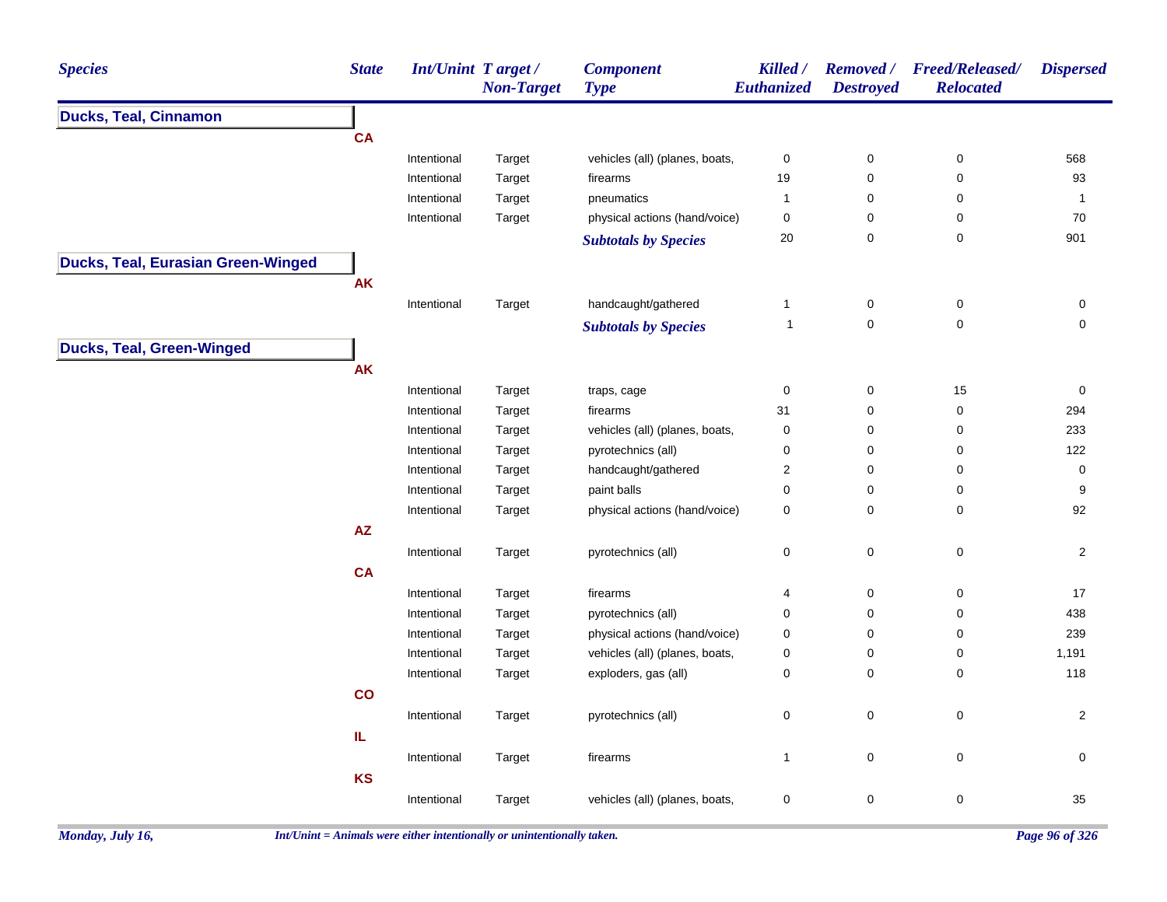| <b>Species</b>                     | <b>State</b> | Int/Unint Target/ | <b>Non-Target</b> | <b>Component</b><br><b>Type</b> | Killed /<br>Euthanized  | <b>Removed</b> /<br><b>Destroyed</b> | <b>Freed/Released/</b><br><b>Relocated</b> | <b>Dispersed</b> |
|------------------------------------|--------------|-------------------|-------------------|---------------------------------|-------------------------|--------------------------------------|--------------------------------------------|------------------|
| <b>Ducks, Teal, Cinnamon</b>       |              |                   |                   |                                 |                         |                                      |                                            |                  |
|                                    | <b>CA</b>    |                   |                   |                                 |                         |                                      |                                            |                  |
|                                    |              | Intentional       | Target            | vehicles (all) (planes, boats,  | 0                       | $\pmb{0}$                            | 0                                          | 568              |
|                                    |              | Intentional       | Target            | firearms                        | $19$                    | $\pmb{0}$                            | $\pmb{0}$                                  | 93               |
|                                    |              | Intentional       | Target            | pneumatics                      | 1                       | 0                                    | 0                                          | $\mathbf{1}$     |
|                                    |              | Intentional       | Target            | physical actions (hand/voice)   | 0                       | 0                                    | $\pmb{0}$                                  | 70               |
|                                    |              |                   |                   | <b>Subtotals by Species</b>     | $20\,$                  | 0                                    | 0                                          | 901              |
| Ducks, Teal, Eurasian Green-Winged |              |                   |                   |                                 |                         |                                      |                                            |                  |
|                                    | <b>AK</b>    |                   |                   |                                 |                         |                                      |                                            |                  |
|                                    |              | Intentional       | Target            | handcaught/gathered             | 1                       | $\pmb{0}$                            | $\pmb{0}$                                  | 0                |
|                                    |              |                   |                   | <b>Subtotals by Species</b>     | $\overline{1}$          | $\mathbf 0$                          | $\pmb{0}$                                  | $\mathbf 0$      |
| <b>Ducks, Teal, Green-Winged</b>   |              |                   |                   |                                 |                         |                                      |                                            |                  |
|                                    | <b>AK</b>    |                   |                   |                                 |                         |                                      |                                            |                  |
|                                    |              | Intentional       | Target            | traps, cage                     | 0                       | $\pmb{0}$                            | 15                                         | 0                |
|                                    |              | Intentional       | Target            | firearms                        | 31                      | $\pmb{0}$                            | $\pmb{0}$                                  | 294              |
|                                    |              | Intentional       | Target            | vehicles (all) (planes, boats,  | 0                       | $\mathbf 0$                          | 0                                          | 233              |
|                                    |              | Intentional       | Target            | pyrotechnics (all)              | 0                       | 0                                    | 0                                          | 122              |
|                                    |              | Intentional       | Target            | handcaught/gathered             | $\overline{\mathbf{c}}$ | $\mathbf 0$                          | 0                                          | 0                |
|                                    |              | Intentional       | Target            | paint balls                     | 0                       | 0                                    | 0                                          | 9                |
|                                    |              | Intentional       | Target            | physical actions (hand/voice)   | 0                       | 0                                    | 0                                          | 92               |
|                                    | AZ           |                   |                   |                                 |                         |                                      |                                            |                  |
|                                    |              | Intentional       | Target            | pyrotechnics (all)              | 0                       | $\mathbf 0$                          | $\pmb{0}$                                  | $\overline{2}$   |
|                                    | <b>CA</b>    |                   |                   |                                 |                         |                                      |                                            |                  |
|                                    |              | Intentional       | Target            | firearms                        | 4                       | $\pmb{0}$                            | 0                                          | 17               |
|                                    |              | Intentional       | Target            | pyrotechnics (all)              | 0                       | $\mathbf 0$                          | $\pmb{0}$                                  | 438              |
|                                    |              | Intentional       | Target            | physical actions (hand/voice)   | 0                       | 0                                    | 0                                          | 239              |
|                                    |              | Intentional       | Target            | vehicles (all) (planes, boats,  | 0                       | $\pmb{0}$                            | $\pmb{0}$                                  | 1,191            |
|                                    |              | Intentional       | Target            | exploders, gas (all)            | 0                       | 0                                    | 0                                          | 118              |
|                                    | co           |                   |                   |                                 |                         |                                      |                                            |                  |
|                                    |              | Intentional       | Target            | pyrotechnics (all)              | 0                       | $\mathbf 0$                          | $\mathsf 0$                                | $\overline{2}$   |
|                                    | IL           |                   |                   |                                 |                         |                                      |                                            |                  |
|                                    |              | Intentional       | Target            | firearms                        | $\mathbf{1}$            | $\mathbf 0$                          | $\pmb{0}$                                  | $\mathbf 0$      |
|                                    | <b>KS</b>    |                   |                   |                                 |                         |                                      |                                            |                  |
|                                    |              |                   |                   | vehicles (all) (planes, boats,  | 0                       | 0                                    | 0                                          | 35               |
|                                    |              | Intentional       | Target            |                                 |                         |                                      |                                            |                  |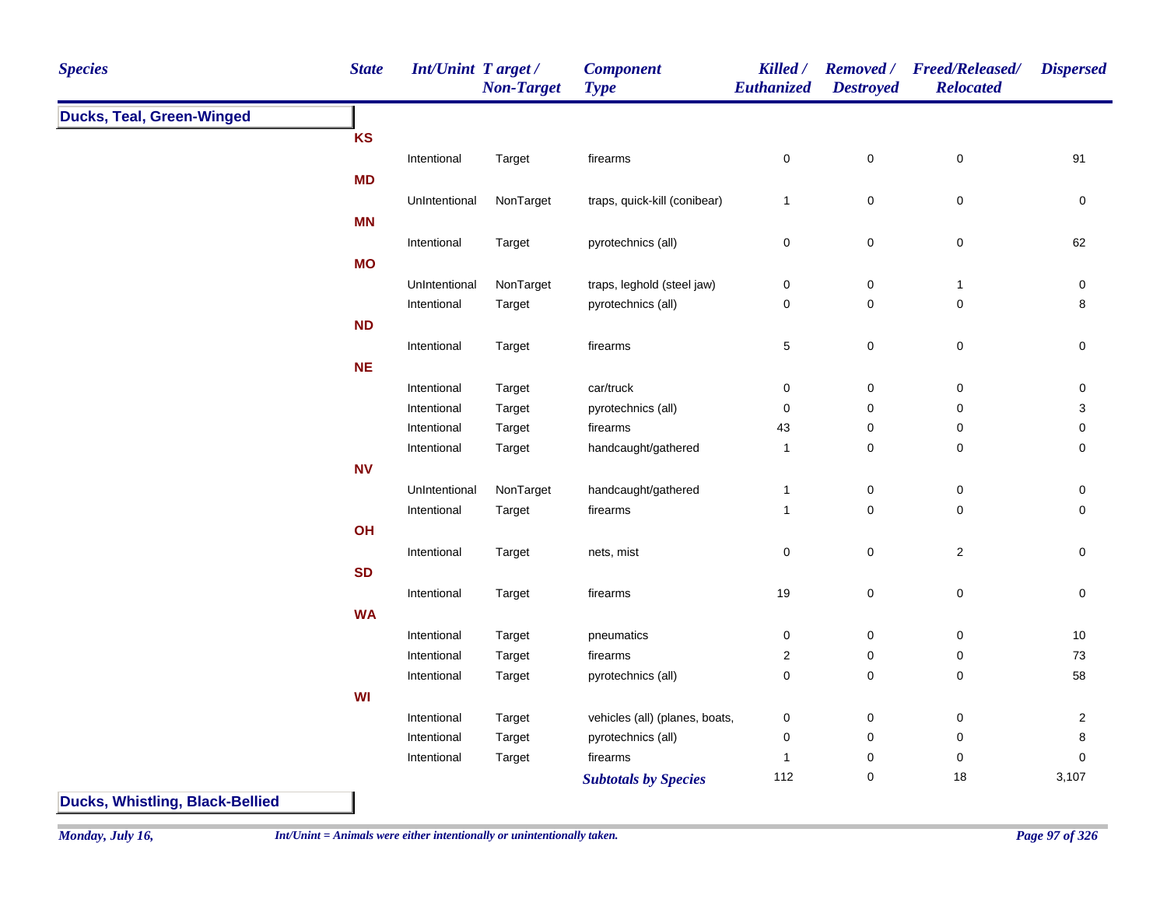| <b>Species</b>                   | <b>State</b> | Int/Unint Target/ | <b>Non-Target</b> | <b>Component</b><br><b>Type</b> | Killed /<br><b>Euthanized</b> | <b>Destroyed</b> | Removed / Freed/Released/<br><b>Relocated</b> | <b>Dispersed</b>          |
|----------------------------------|--------------|-------------------|-------------------|---------------------------------|-------------------------------|------------------|-----------------------------------------------|---------------------------|
| <b>Ducks, Teal, Green-Winged</b> |              |                   |                   |                                 |                               |                  |                                               |                           |
|                                  | KS           |                   |                   |                                 |                               |                  |                                               |                           |
|                                  |              | Intentional       | Target            | firearms                        | $\pmb{0}$                     | $\mathsf 0$      | $\pmb{0}$                                     | 91                        |
|                                  | <b>MD</b>    |                   |                   |                                 |                               |                  |                                               |                           |
|                                  |              | UnIntentional     | NonTarget         | traps, quick-kill (conibear)    | $\mathbf{1}$                  | $\mathsf 0$      | $\pmb{0}$                                     | $\mathbf 0$               |
|                                  | <b>MN</b>    |                   |                   |                                 |                               |                  |                                               |                           |
|                                  |              | Intentional       | Target            | pyrotechnics (all)              | $\pmb{0}$                     | $\pmb{0}$        | $\pmb{0}$                                     | 62                        |
|                                  | <b>MO</b>    |                   |                   |                                 |                               |                  |                                               |                           |
|                                  |              | UnIntentional     | NonTarget         | traps, leghold (steel jaw)      | $\pmb{0}$                     | $\pmb{0}$        | $\mathbf{1}$                                  | $\pmb{0}$                 |
|                                  |              | Intentional       | Target            | pyrotechnics (all)              | 0                             | $\mathbf 0$      | 0                                             | 8                         |
|                                  | ND           |                   |                   |                                 |                               |                  |                                               |                           |
|                                  |              | Intentional       | Target            | firearms                        | $\,$ 5 $\,$                   | $\pmb{0}$        | $\pmb{0}$                                     | $\pmb{0}$                 |
|                                  | <b>NE</b>    |                   |                   |                                 |                               |                  |                                               |                           |
|                                  |              | Intentional       | Target            | car/truck                       | $\pmb{0}$                     | $\mathsf 0$      | $\pmb{0}$                                     | $\pmb{0}$                 |
|                                  |              | Intentional       | Target            | pyrotechnics (all)              | $\pmb{0}$                     | $\mathbf 0$      | $\pmb{0}$                                     | $\ensuremath{\mathsf{3}}$ |
|                                  |              | Intentional       | Target            | firearms                        | 43                            | $\mathbf 0$      | 0                                             | $\pmb{0}$                 |
|                                  |              | Intentional       | Target            | handcaught/gathered             | $\overline{1}$                | $\mathbf 0$      | $\pmb{0}$                                     | $\pmb{0}$                 |
|                                  | <b>NV</b>    |                   |                   |                                 |                               |                  |                                               |                           |
|                                  |              | UnIntentional     | NonTarget         | handcaught/gathered             | $\mathbf{1}$                  | $\pmb{0}$        | $\pmb{0}$                                     | $\pmb{0}$                 |
|                                  |              | Intentional       | Target            | firearms                        | $\mathbf 1$                   | $\mathbf 0$      | 0                                             | $\mathbf 0$               |
|                                  | OH           |                   |                   |                                 |                               |                  |                                               |                           |
|                                  |              | Intentional       | Target            | nets, mist                      | $\pmb{0}$                     | $\pmb{0}$        | $\overline{c}$                                | $\mathbf 0$               |
|                                  | <b>SD</b>    |                   |                   |                                 |                               |                  |                                               |                           |
|                                  |              | Intentional       | Target            | firearms                        | 19                            | $\pmb{0}$        | $\mathsf 0$                                   | 0                         |
|                                  | <b>WA</b>    |                   |                   |                                 |                               |                  |                                               |                           |
|                                  |              | Intentional       | Target            | pneumatics                      | $\pmb{0}$                     | $\mathsf 0$      | $\pmb{0}$                                     | $10$                      |
|                                  |              | Intentional       | Target            | firearms                        | 2                             | $\mathbf 0$      | 0                                             | 73                        |
|                                  |              | Intentional       | Target            | pyrotechnics (all)              | $\pmb{0}$                     | $\mathsf 0$      | 0                                             | 58                        |
|                                  | WI           |                   |                   |                                 |                               |                  |                                               |                           |
|                                  |              | Intentional       | Target            | vehicles (all) (planes, boats,  | 0                             | $\mathbf 0$      | $\pmb{0}$                                     | $\overline{c}$            |
|                                  |              | Intentional       | Target            | pyrotechnics (all)              | 0                             | $\mathbf 0$      | 0                                             | 8                         |
|                                  |              | Intentional       | Target            | firearms                        | $\overline{\mathbf{1}}$       | $\mathbf 0$      | 0                                             | $\mathbf 0$               |
|                                  |              |                   |                   | <b>Subtotals by Species</b>     | 112                           | $\pmb{0}$        | 18                                            | 3,107                     |

**Ducks, Whistling, Black-Bellied**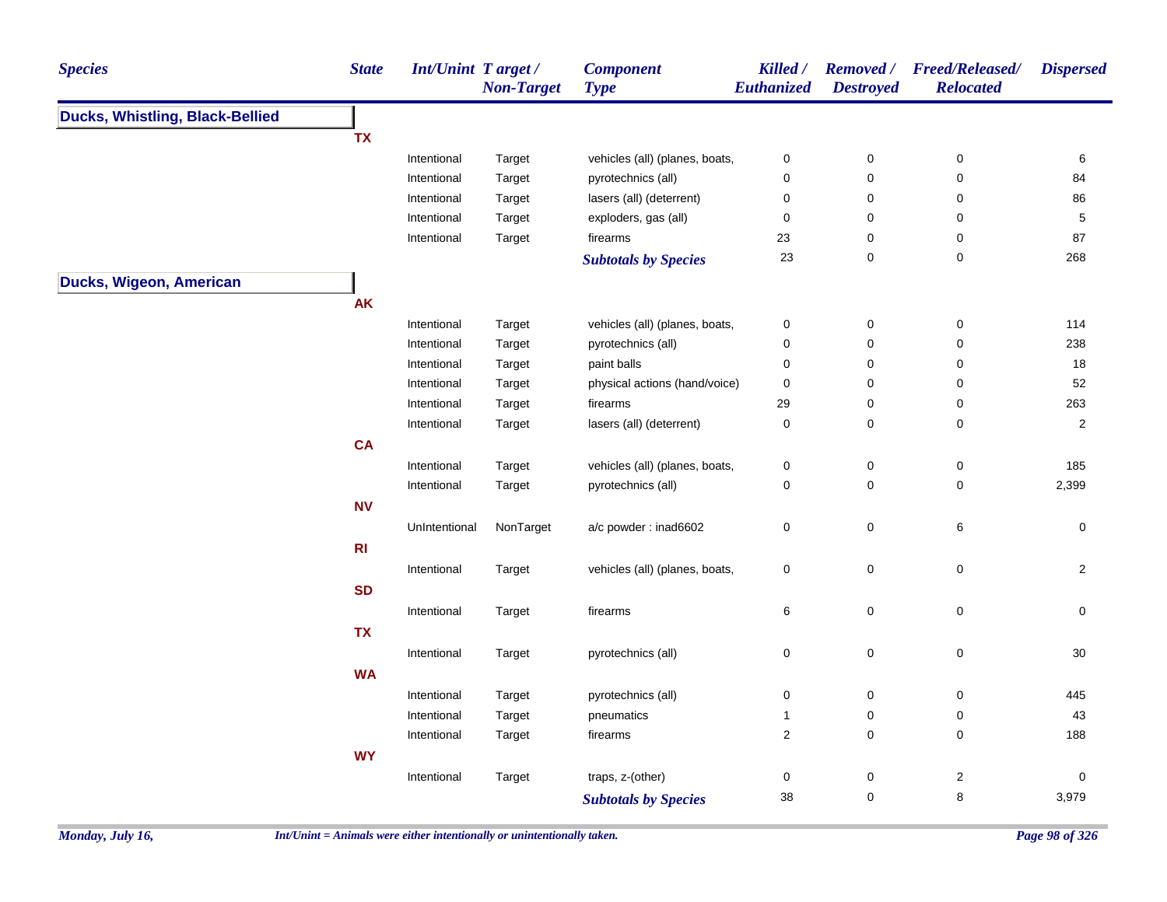| <b>Species</b>                  | <b>State</b>   | Int/Unint Target/ | <b>Non-Target</b> | <b>Component</b><br><b>Type</b> | Killed /<br>Euthanized | <b>Destroyed</b> | Removed / Freed/Released/<br><b>Relocated</b> | <b>Dispersed</b>        |
|---------------------------------|----------------|-------------------|-------------------|---------------------------------|------------------------|------------------|-----------------------------------------------|-------------------------|
| Ducks, Whistling, Black-Bellied |                |                   |                   |                                 |                        |                  |                                               |                         |
|                                 | <b>TX</b>      |                   |                   |                                 |                        |                  |                                               |                         |
|                                 |                | Intentional       | Target            | vehicles (all) (planes, boats,  | $\pmb{0}$              | 0                | $\pmb{0}$                                     | 6                       |
|                                 |                | Intentional       | Target            | pyrotechnics (all)              | $\pmb{0}$              | 0                | $\pmb{0}$                                     | 84                      |
|                                 |                | Intentional       | Target            | lasers (all) (deterrent)        | $\pmb{0}$              | 0                | $\pmb{0}$                                     | 86                      |
|                                 |                | Intentional       | Target            | exploders, gas (all)            | $\pmb{0}$              | 0                | $\mathbf 0$                                   | $\,$ 5 $\,$             |
|                                 |                | Intentional       | Target            | firearms                        | 23                     | 0                | 0                                             | 87                      |
|                                 |                |                   |                   | <b>Subtotals by Species</b>     | 23                     | 0                | $\pmb{0}$                                     | 268                     |
| Ducks, Wigeon, American         |                |                   |                   |                                 |                        |                  |                                               |                         |
|                                 | <b>AK</b>      |                   |                   |                                 |                        |                  |                                               |                         |
|                                 |                | Intentional       | Target            | vehicles (all) (planes, boats,  | $\pmb{0}$              | 0                | $\pmb{0}$                                     | 114                     |
|                                 |                | Intentional       | Target            | pyrotechnics (all)              | $\pmb{0}$              | 0                | 0                                             | 238                     |
|                                 |                | Intentional       | Target            | paint balls                     | $\mathbf 0$            | 0                | $\pmb{0}$                                     | 18                      |
|                                 |                | Intentional       | Target            | physical actions (hand/voice)   | $\pmb{0}$              | 0                | $\mathbf 0$                                   | 52                      |
|                                 |                | Intentional       | Target            | firearms                        | 29                     | 0                | $\pmb{0}$                                     | 263                     |
|                                 |                | Intentional       | Target            | lasers (all) (deterrent)        | $\pmb{0}$              | 0                | $\pmb{0}$                                     | $\overline{\mathbf{c}}$ |
|                                 | <b>CA</b>      |                   |                   |                                 |                        |                  |                                               |                         |
|                                 |                | Intentional       | Target            | vehicles (all) (planes, boats,  | $\pmb{0}$              | 0                | $\pmb{0}$                                     | 185                     |
|                                 |                | Intentional       | Target            | pyrotechnics (all)              | $\mathbf 0$            | 0                | $\pmb{0}$                                     | 2,399                   |
|                                 | <b>NV</b>      |                   |                   |                                 |                        |                  |                                               |                         |
|                                 |                | UnIntentional     | NonTarget         | a/c powder: inad6602            | $\pmb{0}$              | 0                | 6                                             | 0                       |
|                                 | R <sub>l</sub> |                   |                   |                                 |                        |                  |                                               |                         |
|                                 |                | Intentional       | Target            | vehicles (all) (planes, boats,  | $\pmb{0}$              | 0                | $\mathsf 0$                                   | $\overline{2}$          |
|                                 | <b>SD</b>      |                   |                   |                                 |                        |                  |                                               |                         |
|                                 |                |                   |                   |                                 |                        |                  |                                               |                         |
|                                 |                | Intentional       | Target            | firearms                        | $\,6$                  | 0                | $\mathsf 0$                                   | 0                       |
|                                 | <b>TX</b>      |                   |                   |                                 |                        |                  |                                               |                         |
|                                 |                | Intentional       | Target            | pyrotechnics (all)              | $\pmb{0}$              | 0                | $\mathsf 0$                                   | 30                      |
|                                 | <b>WA</b>      |                   |                   |                                 |                        |                  |                                               |                         |
|                                 |                | Intentional       | Target            | pyrotechnics (all)              | $\pmb{0}$              | 0                | 0                                             | 445                     |
|                                 |                | Intentional       | Target            | pneumatics                      | $\mathbf{1}$           | 0                | 0                                             | 43                      |
|                                 |                | Intentional       | Target            | firearms                        | $\sqrt{2}$             | 0                | $\pmb{0}$                                     | 188                     |
|                                 | <b>WY</b>      |                   |                   |                                 |                        |                  |                                               |                         |
|                                 |                | Intentional       | Target            | traps, z-(other)                | $\pmb{0}$              | 0                | $\overline{c}$                                | 0                       |
|                                 |                |                   |                   | <b>Subtotals by Species</b>     | 38                     | 0                | 8                                             | 3,979                   |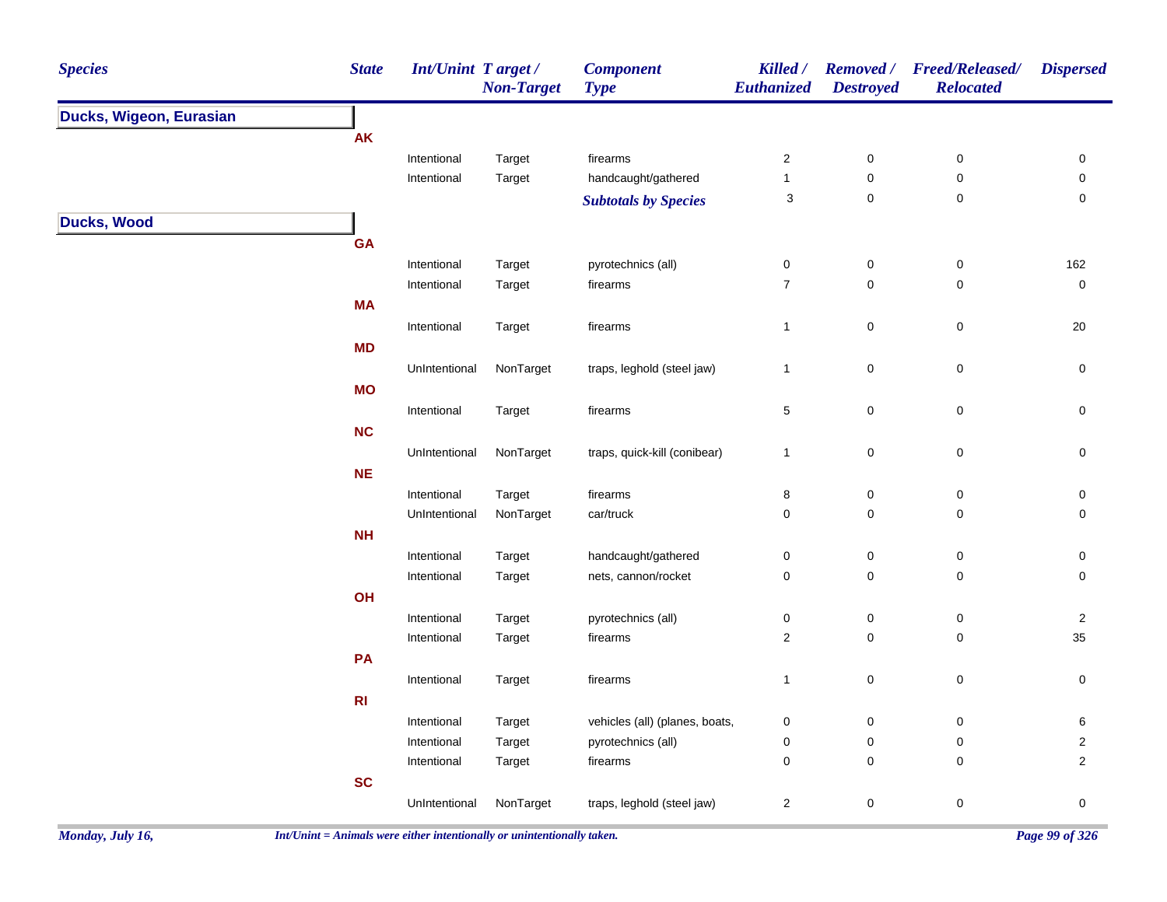| <b>State</b><br><b>Species</b> | Int/Unint Target / | <b>Non-Target</b> | <b>Component</b><br><b>Type</b> | Killed /<br>Euthanized    | <b>Removed</b> /<br><b>Destroyed</b> | <b>Freed/Released/</b><br><b>Relocated</b> | <b>Dispersed</b>    |
|--------------------------------|--------------------|-------------------|---------------------------------|---------------------------|--------------------------------------|--------------------------------------------|---------------------|
| Ducks, Wigeon, Eurasian        |                    |                   |                                 |                           |                                      |                                            |                     |
| AK                             |                    |                   |                                 |                           |                                      |                                            |                     |
|                                | Intentional        | Target            | firearms                        | $\sqrt{2}$                | $\pmb{0}$                            | $\pmb{0}$                                  | 0                   |
|                                | Intentional        | Target            | handcaught/gathered             | $\mathbf{1}$              | $\pmb{0}$                            | $\pmb{0}$                                  | 0                   |
|                                |                    |                   | <b>Subtotals by Species</b>     | $\ensuremath{\mathsf{3}}$ | $\mathbf 0$                          | $\pmb{0}$                                  | 0                   |
| <b>Ducks, Wood</b>             |                    |                   |                                 |                           |                                      |                                            |                     |
| <b>GA</b>                      |                    |                   |                                 |                           |                                      |                                            |                     |
|                                | Intentional        | Target            | pyrotechnics (all)              | $\pmb{0}$                 | $\pmb{0}$                            | $\pmb{0}$                                  | 162                 |
|                                | Intentional        | Target            | firearms                        | $\overline{7}$            | $\mathbf 0$                          | $\mathbf 0$                                | $\pmb{0}$           |
| <b>MA</b>                      |                    |                   |                                 |                           |                                      |                                            |                     |
|                                | Intentional        | Target            | firearms                        | $\mathbf{1}$              | $\pmb{0}$                            | 0                                          | 20                  |
| <b>MD</b>                      |                    |                   |                                 |                           |                                      |                                            |                     |
|                                | UnIntentional      | NonTarget         | traps, leghold (steel jaw)      | $\mathbf{1}$              | $\mathbf 0$                          | $\pmb{0}$                                  | 0                   |
| <b>MO</b>                      |                    |                   |                                 |                           |                                      |                                            |                     |
|                                | Intentional        | Target            | firearms                        | $\mathbf 5$               | $\mathbf 0$                          | $\pmb{0}$                                  | $\mathsf{O}\xspace$ |
| NC                             |                    |                   |                                 |                           |                                      |                                            |                     |
|                                | UnIntentional      | NonTarget         | traps, quick-kill (conibear)    | $\mathbf{1}$              | $\mathsf 0$                          | $\pmb{0}$                                  | $\mathbf 0$         |
| NE                             |                    |                   |                                 |                           |                                      |                                            |                     |
|                                | Intentional        | Target            | firearms                        | $\bf 8$                   | 0                                    | $\pmb{0}$                                  | 0                   |
|                                | UnIntentional      | NonTarget         | car/truck                       | $\pmb{0}$                 | 0                                    | $\pmb{0}$                                  | $\mathbf 0$         |
| NH                             |                    |                   |                                 |                           |                                      |                                            |                     |
|                                | Intentional        | Target            | handcaught/gathered             | $\boldsymbol{0}$          | 0                                    | $\pmb{0}$                                  | 0                   |
|                                | Intentional        | Target            | nets, cannon/rocket             | $\pmb{0}$                 | $\pmb{0}$                            | $\pmb{0}$                                  | $\mathsf{O}\xspace$ |
| OH                             |                    |                   |                                 |                           |                                      |                                            |                     |
|                                | Intentional        | Target            | pyrotechnics (all)              | $\pmb{0}$                 | $\pmb{0}$                            | $\pmb{0}$                                  | $\overline{2}$      |
|                                | Intentional        | Target            | firearms                        | $\overline{2}$            | $\pmb{0}$                            | $\pmb{0}$                                  | 35                  |
| PA                             |                    |                   |                                 |                           |                                      |                                            |                     |
|                                | Intentional        | Target            | firearms                        | $\mathbf{1}$              | $\pmb{0}$                            | 0                                          | 0                   |
| RI                             |                    |                   |                                 |                           |                                      |                                            |                     |
|                                | Intentional        | Target            | vehicles (all) (planes, boats,  | $\mathbf 0$               | 0                                    | 0                                          | 6                   |
|                                | Intentional        | Target            | pyrotechnics (all)              | $\pmb{0}$                 | $\pmb{0}$                            | $\pmb{0}$                                  | $\overline{2}$      |
|                                | Intentional        | Target            | firearms                        | $\mathbf 0$               | $\mathbf 0$                          | $\mathbf 0$                                | $\overline{2}$      |
| SC                             |                    |                   |                                 |                           |                                      |                                            |                     |
|                                | UnIntentional      | NonTarget         | traps, leghold (steel jaw)      | $\overline{2}$            | 0                                    | 0                                          | $\mathsf{O}\xspace$ |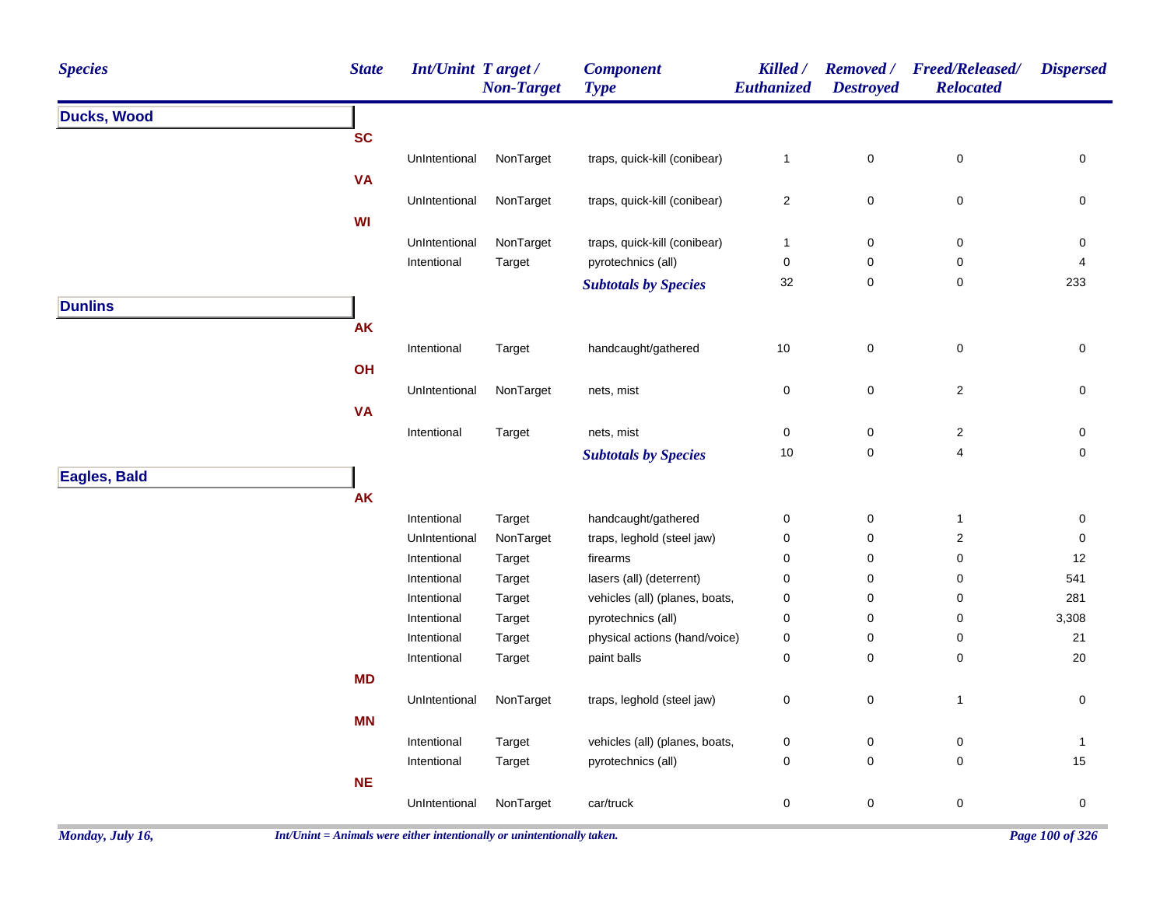| <b>Species</b>     | <b>State</b> | <b>Int/Unint Target/</b> | <b>Non-Target</b> | <b>Component</b><br><b>Type</b> | Killed /<br>Euthanized  | <b>Removed</b> /<br><b>Destroyed</b> | <b>Freed/Released/</b><br><b>Relocated</b> | <b>Dispersed</b>    |
|--------------------|--------------|--------------------------|-------------------|---------------------------------|-------------------------|--------------------------------------|--------------------------------------------|---------------------|
| <b>Ducks, Wood</b> |              |                          |                   |                                 |                         |                                      |                                            |                     |
|                    | <b>SC</b>    |                          |                   |                                 |                         |                                      |                                            |                     |
|                    |              | UnIntentional            | NonTarget         | traps, quick-kill (conibear)    | $\mathbf{1}$            | $\mathbf 0$                          | $\pmb{0}$                                  | 0                   |
|                    | <b>VA</b>    |                          |                   |                                 |                         |                                      |                                            |                     |
|                    |              | UnIntentional            | NonTarget         | traps, quick-kill (conibear)    | $\overline{\mathbf{c}}$ | 0                                    | 0                                          | 0                   |
|                    | WI           |                          |                   |                                 |                         |                                      |                                            |                     |
|                    |              | UnIntentional            | NonTarget         | traps, quick-kill (conibear)    | $\mathbf{1}$            | 0                                    | 0                                          | 0                   |
|                    |              | Intentional              | Target            | pyrotechnics (all)              | 0                       | 0                                    | 0                                          | 4                   |
|                    |              |                          |                   | <b>Subtotals by Species</b>     | 32                      | $\pmb{0}$                            | $\pmb{0}$                                  | 233                 |
| <b>Dunlins</b>     |              |                          |                   |                                 |                         |                                      |                                            |                     |
|                    | <b>AK</b>    |                          |                   |                                 |                         |                                      |                                            |                     |
|                    |              | Intentional              | Target            | handcaught/gathered             | 10                      | $\mathbf 0$                          | $\mathsf 0$                                | $\mathsf{O}\xspace$ |
|                    | OH           |                          |                   |                                 |                         |                                      |                                            |                     |
|                    |              | UnIntentional            | NonTarget         | nets, mist                      | 0                       | $\mathbf 0$                          | $\overline{c}$                             | $\mathbf 0$         |
|                    | <b>VA</b>    |                          |                   |                                 |                         |                                      |                                            |                     |
|                    |              | Intentional              | Target            | nets, mist                      | 0                       | $\pmb{0}$                            | $\sqrt{2}$                                 | $\pmb{0}$           |
|                    |              |                          |                   | <b>Subtotals by Species</b>     | 10                      | $\pmb{0}$                            | $\overline{\mathbf{4}}$                    | $\mathsf{O}\xspace$ |
| Eagles, Bald       |              |                          |                   |                                 |                         |                                      |                                            |                     |
|                    | <b>AK</b>    |                          |                   |                                 |                         |                                      |                                            |                     |
|                    |              | Intentional              | Target            | handcaught/gathered             | 0                       | $\pmb{0}$                            | $\mathbf{1}$                               | 0                   |
|                    |              | UnIntentional            | NonTarget         | traps, leghold (steel jaw)      | 0                       | 0                                    | $\overline{\mathbf{c}}$                    | $\mathbf 0$         |
|                    |              | Intentional              | Target            | firearms                        | 0                       | 0                                    | 0                                          | 12                  |
|                    |              | Intentional              | Target            | lasers (all) (deterrent)        | 0                       | 0                                    | 0                                          | 541                 |
|                    |              | Intentional              | Target            | vehicles (all) (planes, boats,  | 0                       | 0                                    | 0                                          | 281                 |
|                    |              | Intentional              | Target            | pyrotechnics (all)              | 0                       | $\mathbf 0$                          | 0                                          | 3,308               |
|                    |              | Intentional              | Target            | physical actions (hand/voice)   | 0                       | 0                                    | 0                                          | 21                  |
|                    |              | Intentional              | Target            | paint balls                     | 0                       | 0                                    | 0                                          | 20                  |
|                    | <b>MD</b>    |                          |                   |                                 |                         |                                      |                                            |                     |
|                    |              | UnIntentional            | NonTarget         | traps, leghold (steel jaw)      | 0                       | $\pmb{0}$                            | $\mathbf{1}$                               | $\mathbf 0$         |
|                    | <b>MN</b>    |                          |                   |                                 |                         |                                      |                                            |                     |
|                    |              | Intentional              | Target            | vehicles (all) (planes, boats,  | 0                       | 0                                    | 0                                          | $\mathbf{1}$        |
|                    |              | Intentional              | Target            | pyrotechnics (all)              | 0                       | 0                                    | 0                                          | 15                  |
|                    | <b>NE</b>    |                          |                   |                                 |                         |                                      |                                            |                     |
|                    |              | UnIntentional            | NonTarget         | car/truck                       | 0                       | $\mathbf 0$                          | $\pmb{0}$                                  | $\pmb{0}$           |
|                    |              |                          |                   |                                 |                         |                                      |                                            |                     |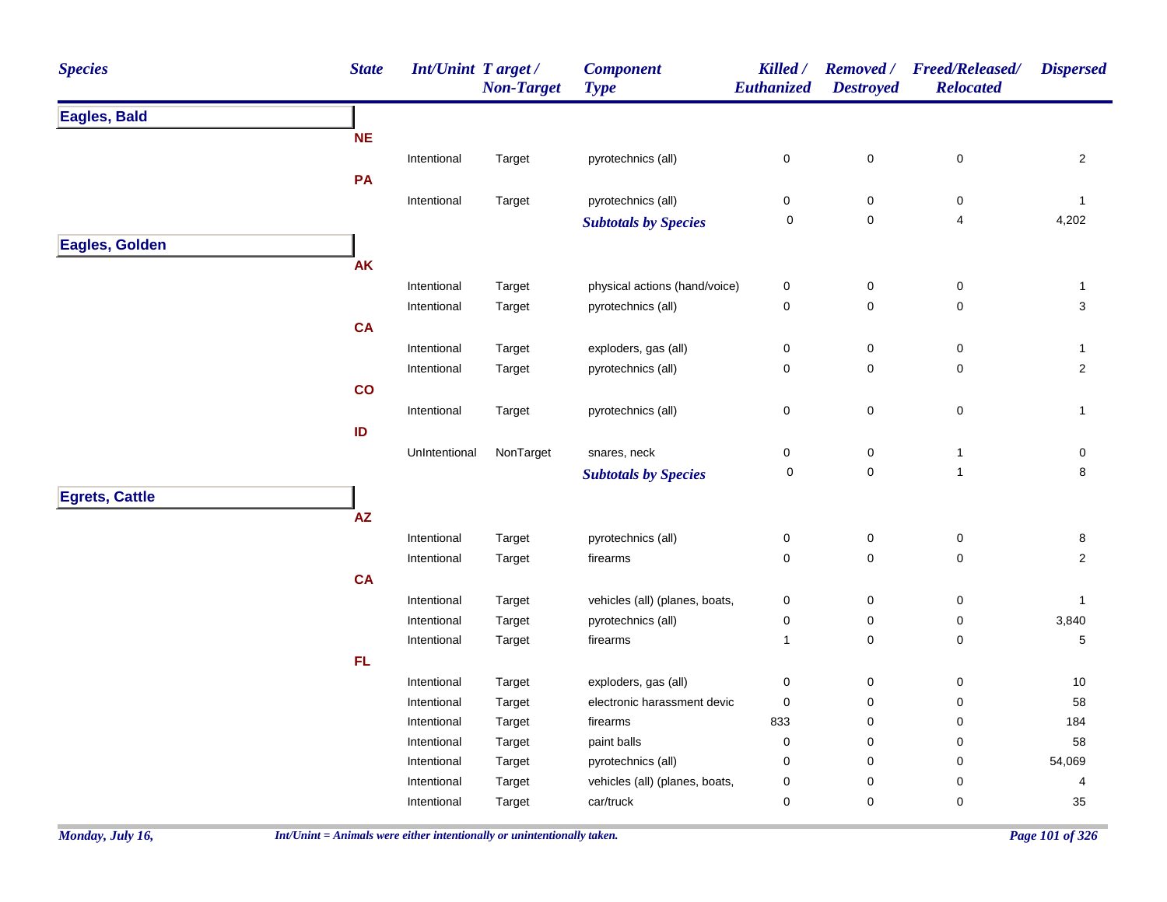| <b>Species</b>        | <b>State</b> | <b>Int/Unint Target/</b> | <b>Non-Target</b> | <b>Component</b><br><b>Type</b> | Killed /<br><b>Euthanized</b> | <b>Removed</b> /<br><b>Destroyed</b> | <b>Freed/Released/</b><br><b>Relocated</b> | <b>Dispersed</b> |
|-----------------------|--------------|--------------------------|-------------------|---------------------------------|-------------------------------|--------------------------------------|--------------------------------------------|------------------|
| Eagles, Bald          |              |                          |                   |                                 |                               |                                      |                                            |                  |
|                       | NE           |                          |                   |                                 |                               |                                      |                                            |                  |
|                       |              | Intentional              | Target            | pyrotechnics (all)              | 0                             | $\pmb{0}$                            | $\boldsymbol{0}$                           | $\overline{2}$   |
|                       | PA           |                          |                   |                                 |                               |                                      |                                            |                  |
|                       |              | Intentional              | Target            | pyrotechnics (all)              | 0                             | 0                                    | $\mathbf 0$                                | $\mathbf{1}$     |
|                       |              |                          |                   | <b>Subtotals by Species</b>     | $\pmb{0}$                     | $\mathsf 0$                          | 4                                          | 4,202            |
| Eagles, Golden        |              |                          |                   |                                 |                               |                                      |                                            |                  |
|                       | <b>AK</b>    |                          |                   |                                 |                               |                                      |                                            |                  |
|                       |              | Intentional              | Target            | physical actions (hand/voice)   | $\pmb{0}$                     | $\pmb{0}$                            | $\pmb{0}$                                  | $\mathbf{1}$     |
|                       |              | Intentional              | Target            | pyrotechnics (all)              | 0                             | $\mathsf 0$                          | $\pmb{0}$                                  | $\sqrt{3}$       |
|                       | CA           |                          |                   |                                 |                               |                                      |                                            |                  |
|                       |              | Intentional              | Target            | exploders, gas (all)            | 0                             | $\pmb{0}$                            | $\boldsymbol{0}$                           | $\mathbf{1}$     |
|                       |              | Intentional              | Target            | pyrotechnics (all)              | 0                             | $\mathbf 0$                          | $\pmb{0}$                                  | $\overline{2}$   |
|                       | co           |                          |                   |                                 |                               |                                      |                                            |                  |
|                       |              | Intentional              | Target            | pyrotechnics (all)              | $\pmb{0}$                     | $\pmb{0}$                            | $\pmb{0}$                                  | $\mathbf{1}$     |
|                       | ID           |                          |                   |                                 |                               |                                      |                                            |                  |
|                       |              | UnIntentional            | NonTarget         | snares, neck                    | 0                             | 0                                    | $\mathbf{1}$                               | $\pmb{0}$        |
|                       |              |                          |                   | <b>Subtotals by Species</b>     | 0                             | 0                                    | $\mathbf{1}$                               | 8                |
| <b>Egrets, Cattle</b> |              |                          |                   |                                 |                               |                                      |                                            |                  |
|                       | AZ           |                          |                   |                                 |                               |                                      |                                            |                  |
|                       |              | Intentional              | Target            | pyrotechnics (all)              | $\pmb{0}$                     | $\pmb{0}$                            | $\pmb{0}$                                  | 8                |
|                       |              | Intentional              | Target            | firearms                        | 0                             | $\mathsf 0$                          | $\pmb{0}$                                  | $\overline{2}$   |
|                       | CA           |                          |                   |                                 |                               |                                      |                                            |                  |
|                       |              | Intentional              | Target            | vehicles (all) (planes, boats,  | 0                             | $\pmb{0}$                            | $\pmb{0}$                                  | $\mathbf{1}$     |
|                       |              | Intentional              | Target            | pyrotechnics (all)              | 0                             | $\pmb{0}$                            | $\pmb{0}$                                  | 3,840            |
|                       |              | Intentional              | Target            | firearms                        | 1                             | $\mathsf 0$                          | $\pmb{0}$                                  | $\,$ 5 $\,$      |
|                       | <b>FL</b>    |                          |                   |                                 |                               |                                      |                                            |                  |
|                       |              | Intentional              | Target            | exploders, gas (all)            | $\pmb{0}$                     | 0                                    | $\pmb{0}$                                  | $10$             |
|                       |              | Intentional              | Target            | electronic harassment devic     | $\pmb{0}$                     | $\mathsf 0$                          | $\pmb{0}$                                  | 58               |
|                       |              | Intentional              | Target            | firearms                        | 833                           | 0                                    | $\mathbf 0$                                | 184              |
|                       |              | Intentional              | Target            | paint balls                     | $\pmb{0}$                     | $\pmb{0}$                            | $\pmb{0}$                                  | 58               |
|                       |              | Intentional              | Target            | pyrotechnics (all)              | 0                             | $\pmb{0}$                            | $\pmb{0}$                                  | 54,069           |
|                       |              | Intentional              | Target            | vehicles (all) (planes, boats,  | 0                             | 0                                    | 0                                          | 4                |
|                       |              | Intentional              | Target            | car/truck                       | 0                             | $\mathbf 0$                          | $\mathbf 0$                                | 35               |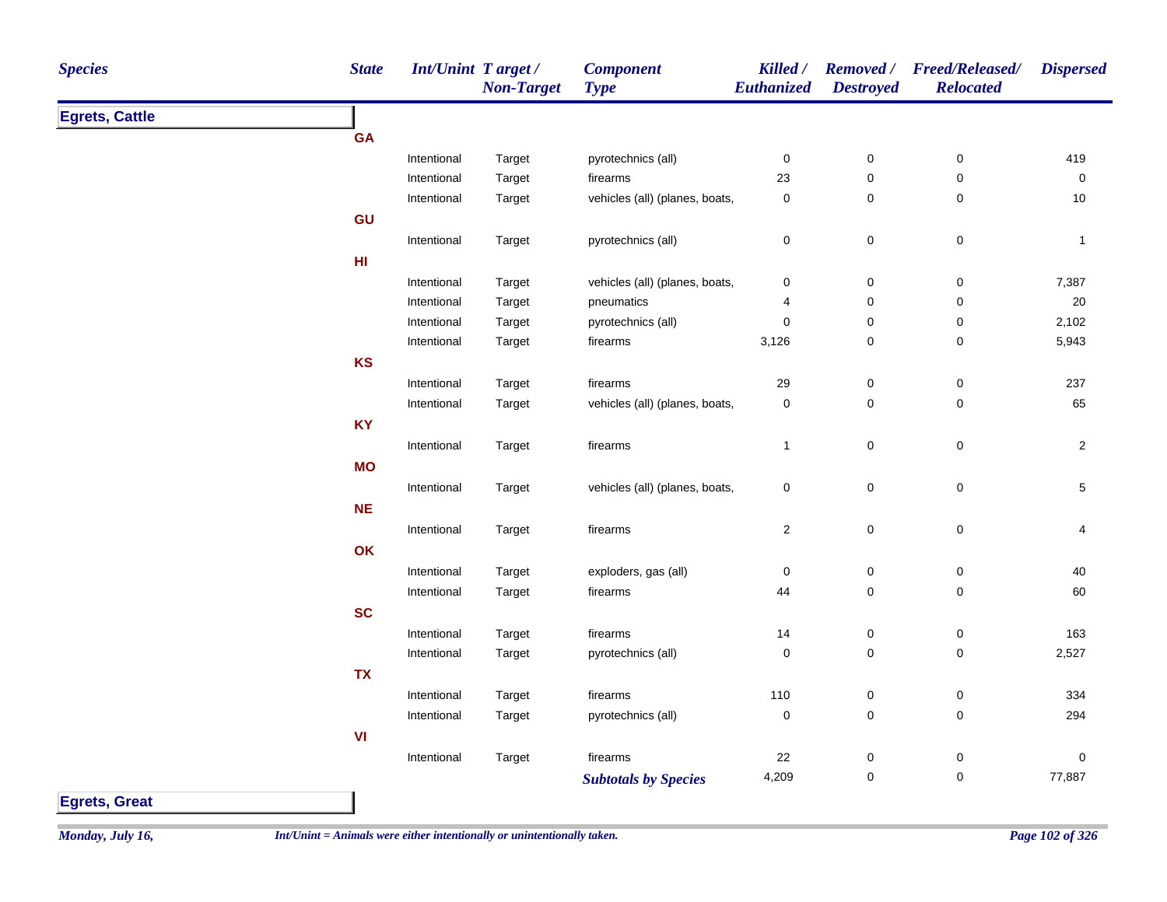| <b>Egrets, Cattle</b><br><b>GA</b><br>Intentional<br>Target<br>pyrotechnics (all)<br>$\pmb{0}$<br>$\pmb{0}$<br>$\pmb{0}$<br>419<br>23<br>$\mathbf 0$<br>$\mathsf 0$<br>$\pmb{0}$<br>Intentional<br>Target<br>firearms<br>vehicles (all) (planes, boats,<br>0<br>$\mathbf 0$<br>$\mathbf 0$<br>10<br>Intentional<br>Target<br>GU<br>$\pmb{0}$<br>$\pmb{0}$<br>pyrotechnics (all)<br>0<br>Intentional<br>Target<br>$\mathbf{1}$<br>H1<br>$\pmb{0}$<br>7,387<br>Intentional<br>vehicles (all) (planes, boats,<br>0<br>$\boldsymbol{0}$<br>Target<br>$\pmb{0}$<br>20<br>Intentional<br>pneumatics<br>0<br>Target<br>4<br>2,102<br>pyrotechnics (all)<br>$\pmb{0}$<br>$\pmb{0}$<br>$\mathsf 0$<br>Intentional<br>Target<br>$\pmb{0}$<br>$\mathsf 0$<br>5,943<br>Intentional<br>3,126<br>Target<br>firearms<br>KS<br>237<br>firearms<br>29<br>$\boldsymbol{0}$<br>0<br>Intentional<br>Target<br>vehicles (all) (planes, boats,<br>$\mathsf 0$<br>65<br>Intentional<br>Target<br>$\mathbf 0$<br>$\mathbf 0$<br>KY<br>$\mathbf 0$<br>$\mathsf 0$<br>$\overline{2}$<br>firearms<br>Intentional<br>Target<br>$\mathbf{1}$<br><b>MO</b><br>$\mathbf 0$<br>$\pmb{0}$<br>$\overline{5}$<br>Intentional<br>vehicles (all) (planes, boats,<br>0<br>Target<br><b>NE</b><br>Intentional<br>$\overline{2}$<br>0<br>$\pmb{0}$<br>4<br>Target<br>firearms<br>OK<br>exploders, gas (all)<br>$\mathsf 0$<br>$\pmb{0}$<br>$\pmb{0}$<br>40<br>Intentional<br>Target<br>$\mathsf 0$<br>Intentional<br>Target<br>firearms<br>44<br>$\mathbf 0$<br>60<br><b>SC</b><br>163<br>Intentional<br>firearms<br>14<br>$\boldsymbol{0}$<br>0<br>Target<br>$\pmb{0}$<br>2,527<br>pyrotechnics (all)<br>$\pmb{0}$<br>$\pmb{0}$<br>Intentional<br>Target<br><b>TX</b><br>110<br>$\pmb{0}$<br>$\pmb{0}$<br>334<br>Intentional<br>Target<br>firearms<br>$\mathsf 0$<br>$\pmb{0}$<br>$\pmb{0}$<br>294<br>Intentional<br>Target<br>pyrotechnics (all)<br>VI<br>Intentional<br>Target<br>firearms<br>22<br>$\pmb{0}$<br>0<br>$\pmb{0}$<br>4,209<br>0<br>0<br>77,887<br><b>Subtotals by Species</b> | <b>Species</b> | <b>State</b> | Int/Unint Target/ | <b>Non-Target</b> | <b>Component</b><br><b>Type</b> | Killed /<br>Euthanized | <b>Destroyed</b> | Removed / Freed/Released/<br><b>Relocated</b> | <b>Dispersed</b> |
|--------------------------------------------------------------------------------------------------------------------------------------------------------------------------------------------------------------------------------------------------------------------------------------------------------------------------------------------------------------------------------------------------------------------------------------------------------------------------------------------------------------------------------------------------------------------------------------------------------------------------------------------------------------------------------------------------------------------------------------------------------------------------------------------------------------------------------------------------------------------------------------------------------------------------------------------------------------------------------------------------------------------------------------------------------------------------------------------------------------------------------------------------------------------------------------------------------------------------------------------------------------------------------------------------------------------------------------------------------------------------------------------------------------------------------------------------------------------------------------------------------------------------------------------------------------------------------------------------------------------------------------------------------------------------------------------------------------------------------------------------------------------------------------------------------------------------------------------------------------------------------------------------------------------------------------------------------------------------------------------------------------------------------------------------------|----------------|--------------|-------------------|-------------------|---------------------------------|------------------------|------------------|-----------------------------------------------|------------------|
|                                                                                                                                                                                                                                                                                                                                                                                                                                                                                                                                                                                                                                                                                                                                                                                                                                                                                                                                                                                                                                                                                                                                                                                                                                                                                                                                                                                                                                                                                                                                                                                                                                                                                                                                                                                                                                                                                                                                                                                                                                                        |                |              |                   |                   |                                 |                        |                  |                                               |                  |
|                                                                                                                                                                                                                                                                                                                                                                                                                                                                                                                                                                                                                                                                                                                                                                                                                                                                                                                                                                                                                                                                                                                                                                                                                                                                                                                                                                                                                                                                                                                                                                                                                                                                                                                                                                                                                                                                                                                                                                                                                                                        |                |              |                   |                   |                                 |                        |                  |                                               |                  |
|                                                                                                                                                                                                                                                                                                                                                                                                                                                                                                                                                                                                                                                                                                                                                                                                                                                                                                                                                                                                                                                                                                                                                                                                                                                                                                                                                                                                                                                                                                                                                                                                                                                                                                                                                                                                                                                                                                                                                                                                                                                        |                |              |                   |                   |                                 |                        |                  |                                               |                  |
|                                                                                                                                                                                                                                                                                                                                                                                                                                                                                                                                                                                                                                                                                                                                                                                                                                                                                                                                                                                                                                                                                                                                                                                                                                                                                                                                                                                                                                                                                                                                                                                                                                                                                                                                                                                                                                                                                                                                                                                                                                                        |                |              |                   |                   |                                 |                        |                  |                                               |                  |
|                                                                                                                                                                                                                                                                                                                                                                                                                                                                                                                                                                                                                                                                                                                                                                                                                                                                                                                                                                                                                                                                                                                                                                                                                                                                                                                                                                                                                                                                                                                                                                                                                                                                                                                                                                                                                                                                                                                                                                                                                                                        |                |              |                   |                   |                                 |                        |                  |                                               |                  |
|                                                                                                                                                                                                                                                                                                                                                                                                                                                                                                                                                                                                                                                                                                                                                                                                                                                                                                                                                                                                                                                                                                                                                                                                                                                                                                                                                                                                                                                                                                                                                                                                                                                                                                                                                                                                                                                                                                                                                                                                                                                        |                |              |                   |                   |                                 |                        |                  |                                               |                  |
|                                                                                                                                                                                                                                                                                                                                                                                                                                                                                                                                                                                                                                                                                                                                                                                                                                                                                                                                                                                                                                                                                                                                                                                                                                                                                                                                                                                                                                                                                                                                                                                                                                                                                                                                                                                                                                                                                                                                                                                                                                                        |                |              |                   |                   |                                 |                        |                  |                                               |                  |
|                                                                                                                                                                                                                                                                                                                                                                                                                                                                                                                                                                                                                                                                                                                                                                                                                                                                                                                                                                                                                                                                                                                                                                                                                                                                                                                                                                                                                                                                                                                                                                                                                                                                                                                                                                                                                                                                                                                                                                                                                                                        |                |              |                   |                   |                                 |                        |                  |                                               |                  |
|                                                                                                                                                                                                                                                                                                                                                                                                                                                                                                                                                                                                                                                                                                                                                                                                                                                                                                                                                                                                                                                                                                                                                                                                                                                                                                                                                                                                                                                                                                                                                                                                                                                                                                                                                                                                                                                                                                                                                                                                                                                        |                |              |                   |                   |                                 |                        |                  |                                               |                  |
|                                                                                                                                                                                                                                                                                                                                                                                                                                                                                                                                                                                                                                                                                                                                                                                                                                                                                                                                                                                                                                                                                                                                                                                                                                                                                                                                                                                                                                                                                                                                                                                                                                                                                                                                                                                                                                                                                                                                                                                                                                                        |                |              |                   |                   |                                 |                        |                  |                                               |                  |
|                                                                                                                                                                                                                                                                                                                                                                                                                                                                                                                                                                                                                                                                                                                                                                                                                                                                                                                                                                                                                                                                                                                                                                                                                                                                                                                                                                                                                                                                                                                                                                                                                                                                                                                                                                                                                                                                                                                                                                                                                                                        |                |              |                   |                   |                                 |                        |                  |                                               |                  |
|                                                                                                                                                                                                                                                                                                                                                                                                                                                                                                                                                                                                                                                                                                                                                                                                                                                                                                                                                                                                                                                                                                                                                                                                                                                                                                                                                                                                                                                                                                                                                                                                                                                                                                                                                                                                                                                                                                                                                                                                                                                        |                |              |                   |                   |                                 |                        |                  |                                               |                  |
|                                                                                                                                                                                                                                                                                                                                                                                                                                                                                                                                                                                                                                                                                                                                                                                                                                                                                                                                                                                                                                                                                                                                                                                                                                                                                                                                                                                                                                                                                                                                                                                                                                                                                                                                                                                                                                                                                                                                                                                                                                                        |                |              |                   |                   |                                 |                        |                  |                                               |                  |
|                                                                                                                                                                                                                                                                                                                                                                                                                                                                                                                                                                                                                                                                                                                                                                                                                                                                                                                                                                                                                                                                                                                                                                                                                                                                                                                                                                                                                                                                                                                                                                                                                                                                                                                                                                                                                                                                                                                                                                                                                                                        |                |              |                   |                   |                                 |                        |                  |                                               |                  |
|                                                                                                                                                                                                                                                                                                                                                                                                                                                                                                                                                                                                                                                                                                                                                                                                                                                                                                                                                                                                                                                                                                                                                                                                                                                                                                                                                                                                                                                                                                                                                                                                                                                                                                                                                                                                                                                                                                                                                                                                                                                        |                |              |                   |                   |                                 |                        |                  |                                               |                  |
|                                                                                                                                                                                                                                                                                                                                                                                                                                                                                                                                                                                                                                                                                                                                                                                                                                                                                                                                                                                                                                                                                                                                                                                                                                                                                                                                                                                                                                                                                                                                                                                                                                                                                                                                                                                                                                                                                                                                                                                                                                                        |                |              |                   |                   |                                 |                        |                  |                                               |                  |
|                                                                                                                                                                                                                                                                                                                                                                                                                                                                                                                                                                                                                                                                                                                                                                                                                                                                                                                                                                                                                                                                                                                                                                                                                                                                                                                                                                                                                                                                                                                                                                                                                                                                                                                                                                                                                                                                                                                                                                                                                                                        |                |              |                   |                   |                                 |                        |                  |                                               |                  |
|                                                                                                                                                                                                                                                                                                                                                                                                                                                                                                                                                                                                                                                                                                                                                                                                                                                                                                                                                                                                                                                                                                                                                                                                                                                                                                                                                                                                                                                                                                                                                                                                                                                                                                                                                                                                                                                                                                                                                                                                                                                        |                |              |                   |                   |                                 |                        |                  |                                               |                  |
|                                                                                                                                                                                                                                                                                                                                                                                                                                                                                                                                                                                                                                                                                                                                                                                                                                                                                                                                                                                                                                                                                                                                                                                                                                                                                                                                                                                                                                                                                                                                                                                                                                                                                                                                                                                                                                                                                                                                                                                                                                                        |                |              |                   |                   |                                 |                        |                  |                                               |                  |
|                                                                                                                                                                                                                                                                                                                                                                                                                                                                                                                                                                                                                                                                                                                                                                                                                                                                                                                                                                                                                                                                                                                                                                                                                                                                                                                                                                                                                                                                                                                                                                                                                                                                                                                                                                                                                                                                                                                                                                                                                                                        |                |              |                   |                   |                                 |                        |                  |                                               |                  |
|                                                                                                                                                                                                                                                                                                                                                                                                                                                                                                                                                                                                                                                                                                                                                                                                                                                                                                                                                                                                                                                                                                                                                                                                                                                                                                                                                                                                                                                                                                                                                                                                                                                                                                                                                                                                                                                                                                                                                                                                                                                        |                |              |                   |                   |                                 |                        |                  |                                               |                  |
|                                                                                                                                                                                                                                                                                                                                                                                                                                                                                                                                                                                                                                                                                                                                                                                                                                                                                                                                                                                                                                                                                                                                                                                                                                                                                                                                                                                                                                                                                                                                                                                                                                                                                                                                                                                                                                                                                                                                                                                                                                                        |                |              |                   |                   |                                 |                        |                  |                                               |                  |
|                                                                                                                                                                                                                                                                                                                                                                                                                                                                                                                                                                                                                                                                                                                                                                                                                                                                                                                                                                                                                                                                                                                                                                                                                                                                                                                                                                                                                                                                                                                                                                                                                                                                                                                                                                                                                                                                                                                                                                                                                                                        |                |              |                   |                   |                                 |                        |                  |                                               |                  |
|                                                                                                                                                                                                                                                                                                                                                                                                                                                                                                                                                                                                                                                                                                                                                                                                                                                                                                                                                                                                                                                                                                                                                                                                                                                                                                                                                                                                                                                                                                                                                                                                                                                                                                                                                                                                                                                                                                                                                                                                                                                        |                |              |                   |                   |                                 |                        |                  |                                               |                  |
|                                                                                                                                                                                                                                                                                                                                                                                                                                                                                                                                                                                                                                                                                                                                                                                                                                                                                                                                                                                                                                                                                                                                                                                                                                                                                                                                                                                                                                                                                                                                                                                                                                                                                                                                                                                                                                                                                                                                                                                                                                                        |                |              |                   |                   |                                 |                        |                  |                                               |                  |
|                                                                                                                                                                                                                                                                                                                                                                                                                                                                                                                                                                                                                                                                                                                                                                                                                                                                                                                                                                                                                                                                                                                                                                                                                                                                                                                                                                                                                                                                                                                                                                                                                                                                                                                                                                                                                                                                                                                                                                                                                                                        |                |              |                   |                   |                                 |                        |                  |                                               |                  |
|                                                                                                                                                                                                                                                                                                                                                                                                                                                                                                                                                                                                                                                                                                                                                                                                                                                                                                                                                                                                                                                                                                                                                                                                                                                                                                                                                                                                                                                                                                                                                                                                                                                                                                                                                                                                                                                                                                                                                                                                                                                        |                |              |                   |                   |                                 |                        |                  |                                               |                  |
|                                                                                                                                                                                                                                                                                                                                                                                                                                                                                                                                                                                                                                                                                                                                                                                                                                                                                                                                                                                                                                                                                                                                                                                                                                                                                                                                                                                                                                                                                                                                                                                                                                                                                                                                                                                                                                                                                                                                                                                                                                                        |                |              |                   |                   |                                 |                        |                  |                                               |                  |
|                                                                                                                                                                                                                                                                                                                                                                                                                                                                                                                                                                                                                                                                                                                                                                                                                                                                                                                                                                                                                                                                                                                                                                                                                                                                                                                                                                                                                                                                                                                                                                                                                                                                                                                                                                                                                                                                                                                                                                                                                                                        |                |              |                   |                   |                                 |                        |                  |                                               |                  |
|                                                                                                                                                                                                                                                                                                                                                                                                                                                                                                                                                                                                                                                                                                                                                                                                                                                                                                                                                                                                                                                                                                                                                                                                                                                                                                                                                                                                                                                                                                                                                                                                                                                                                                                                                                                                                                                                                                                                                                                                                                                        |                |              |                   |                   |                                 |                        |                  |                                               |                  |
|                                                                                                                                                                                                                                                                                                                                                                                                                                                                                                                                                                                                                                                                                                                                                                                                                                                                                                                                                                                                                                                                                                                                                                                                                                                                                                                                                                                                                                                                                                                                                                                                                                                                                                                                                                                                                                                                                                                                                                                                                                                        |                |              |                   |                   |                                 |                        |                  |                                               |                  |
|                                                                                                                                                                                                                                                                                                                                                                                                                                                                                                                                                                                                                                                                                                                                                                                                                                                                                                                                                                                                                                                                                                                                                                                                                                                                                                                                                                                                                                                                                                                                                                                                                                                                                                                                                                                                                                                                                                                                                                                                                                                        |                |              |                   |                   |                                 |                        |                  |                                               |                  |
|                                                                                                                                                                                                                                                                                                                                                                                                                                                                                                                                                                                                                                                                                                                                                                                                                                                                                                                                                                                                                                                                                                                                                                                                                                                                                                                                                                                                                                                                                                                                                                                                                                                                                                                                                                                                                                                                                                                                                                                                                                                        |                |              |                   |                   |                                 |                        |                  |                                               |                  |

**Egrets, Great**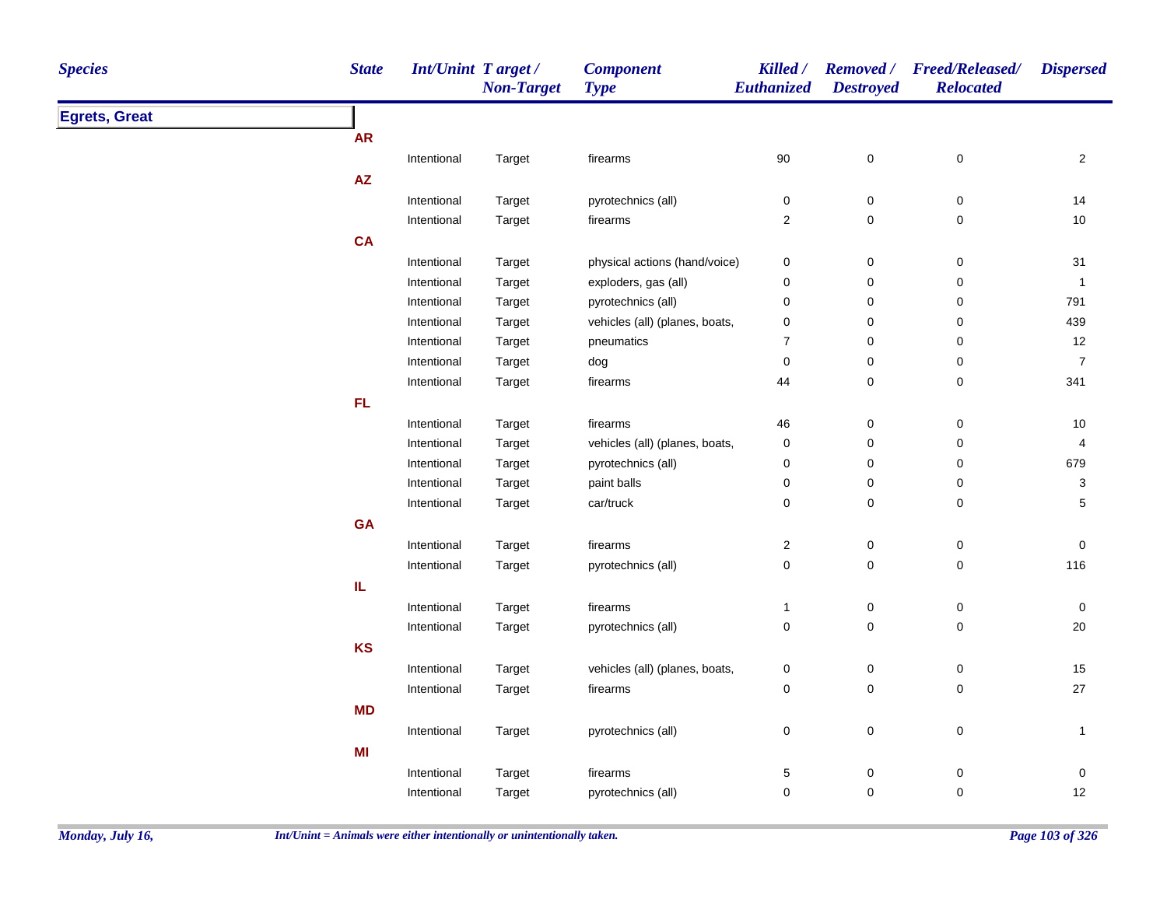| <b>Species</b>       | <b>State</b> | <b>Int/Unint Target/</b> | <b>Non-Target</b> | <b>Component</b><br><b>Type</b> | Killed /<br>Euthanized | <b>Destroyed</b> | Removed / Freed/Released/<br><b>Relocated</b> | <b>Dispersed</b>        |
|----------------------|--------------|--------------------------|-------------------|---------------------------------|------------------------|------------------|-----------------------------------------------|-------------------------|
| <b>Egrets, Great</b> |              |                          |                   |                                 |                        |                  |                                               |                         |
|                      | <b>AR</b>    |                          |                   |                                 |                        |                  |                                               |                         |
|                      |              | Intentional              | Target            | firearms                        | 90                     | $\pmb{0}$        | $\pmb{0}$                                     | $\overline{2}$          |
|                      | AZ           |                          |                   |                                 |                        |                  |                                               |                         |
|                      |              | Intentional              | Target            | pyrotechnics (all)              | $\pmb{0}$              | $\pmb{0}$        | 0                                             | 14                      |
|                      |              | Intentional              | Target            | firearms                        | $\overline{2}$         | $\pmb{0}$        | 0                                             | $10$                    |
|                      | <b>CA</b>    |                          |                   |                                 |                        |                  |                                               |                         |
|                      |              | Intentional              | Target            | physical actions (hand/voice)   | $\pmb{0}$              | $\pmb{0}$        | $\pmb{0}$                                     | 31                      |
|                      |              | Intentional              | Target            | exploders, gas (all)            | $\pmb{0}$              | 0                | 0                                             | $\mathbf{1}$            |
|                      |              | Intentional              | Target            | pyrotechnics (all)              | $\mathbf 0$            | 0                | 0                                             | 791                     |
|                      |              | Intentional              | Target            | vehicles (all) (planes, boats,  | $\mathbf 0$            | 0                | 0                                             | 439                     |
|                      |              | Intentional              | Target            | pneumatics                      | $\overline{7}$         | $\pmb{0}$        | 0                                             | 12                      |
|                      |              | Intentional              | Target            | dog                             | 0                      | $\pmb{0}$        | 0                                             | $\boldsymbol{7}$        |
|                      |              | Intentional              | Target            | firearms                        | 44                     | $\pmb{0}$        | 0                                             | 341                     |
|                      | FL.          |                          |                   |                                 |                        |                  |                                               |                         |
|                      |              | Intentional              | Target            | firearms                        | 46                     | $\pmb{0}$        | 0                                             | 10                      |
|                      |              | Intentional              | Target            | vehicles (all) (planes, boats,  | $\pmb{0}$              | 0                | 0                                             | $\overline{\mathbf{4}}$ |
|                      |              | Intentional              | Target            | pyrotechnics (all)              | $\mathbf 0$            | 0                | 0                                             | 679                     |
|                      |              | Intentional              | Target            | paint balls                     | $\pmb{0}$              | 0                | 0                                             | 3                       |
|                      |              | Intentional              | Target            | car/truck                       | 0                      | $\pmb{0}$        | 0                                             | 5                       |
|                      | GA           |                          |                   |                                 |                        |                  |                                               |                         |
|                      |              | Intentional              | Target            | firearms                        | $\overline{c}$         | 0                | 0                                             | $\mathbf 0$             |
|                      |              | Intentional              | Target            | pyrotechnics (all)              | $\pmb{0}$              | $\pmb{0}$        | 0                                             | 116                     |
|                      | IL           |                          |                   |                                 |                        |                  |                                               |                         |
|                      |              | Intentional              | Target            | firearms                        | $\mathbf{1}$           | $\pmb{0}$        | $\pmb{0}$                                     | 0                       |
|                      |              | Intentional              | Target            | pyrotechnics (all)              | $\pmb{0}$              | $\mathbf 0$      | $\mathbf 0$                                   | 20                      |
|                      | <b>KS</b>    |                          |                   |                                 |                        |                  |                                               |                         |
|                      |              | Intentional              | Target            | vehicles (all) (planes, boats,  | $\mathbf 0$            | $\pmb{0}$        | $\pmb{0}$                                     | $15$                    |
|                      |              | Intentional              | Target            | firearms                        | $\pmb{0}$              | $\mathbf 0$      | $\pmb{0}$                                     | 27                      |
|                      | <b>MD</b>    |                          |                   |                                 |                        |                  |                                               |                         |
|                      |              | Intentional              | Target            | pyrotechnics (all)              | $\pmb{0}$              | $\mathbf 0$      | 0                                             | $\mathbf{1}$            |
|                      | MI           |                          |                   |                                 |                        |                  |                                               |                         |
|                      |              | Intentional              | Target            | firearms                        | 5                      | $\pmb{0}$        | $\pmb{0}$                                     | 0                       |
|                      |              | Intentional              | Target            | pyrotechnics (all)              | $\mathbf 0$            | 0                | 0                                             | 12                      |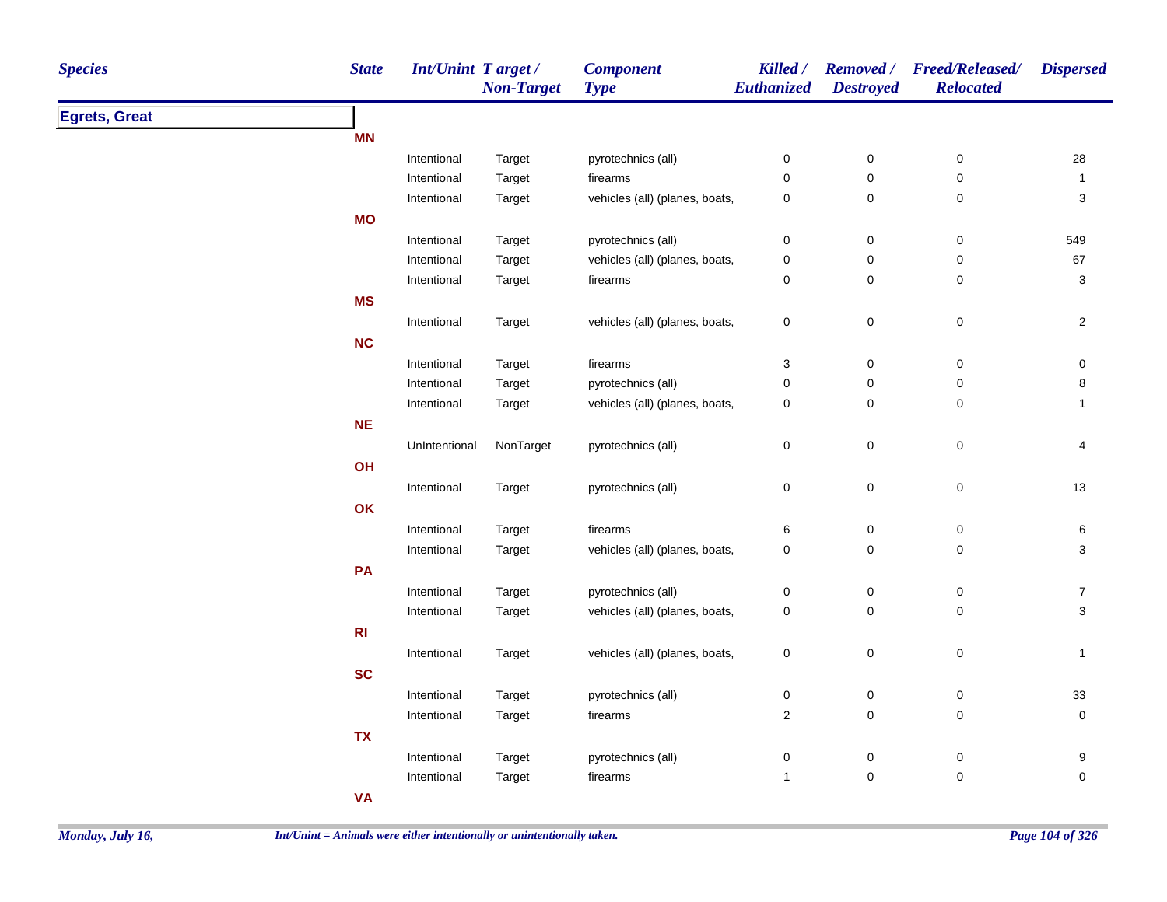| <b>Species</b>       | <b>State</b> | <b>Int/Unint Target/</b> | <b>Non-Target</b> | <b>Component</b><br><b>Type</b> | Killed /<br>Euthanized  | <b>Destroyed</b>    | Removed / Freed/Released/<br><b>Relocated</b> | <b>Dispersed</b>          |
|----------------------|--------------|--------------------------|-------------------|---------------------------------|-------------------------|---------------------|-----------------------------------------------|---------------------------|
| <b>Egrets, Great</b> |              |                          |                   |                                 |                         |                     |                                               |                           |
|                      | <b>MN</b>    |                          |                   |                                 |                         |                     |                                               |                           |
|                      |              | Intentional              | Target            | pyrotechnics (all)              | 0                       | $\pmb{0}$           | $\pmb{0}$                                     | 28                        |
|                      |              | Intentional              | Target            | firearms                        | 0                       | $\pmb{0}$           | $\pmb{0}$                                     | $\mathbf{1}$              |
|                      |              | Intentional              | Target            | vehicles (all) (planes, boats,  | $\pmb{0}$               | $\pmb{0}$           | $\mathbf 0$                                   | $\ensuremath{\mathsf{3}}$ |
|                      | <b>MO</b>    |                          |                   |                                 |                         |                     |                                               |                           |
|                      |              | Intentional              | Target            | pyrotechnics (all)              | $\mathbf 0$             | $\mathsf 0$         | $\mathbf 0$                                   | 549                       |
|                      |              | Intentional              | Target            | vehicles (all) (planes, boats,  | 0                       | $\mathbf 0$         | $\mathbf 0$                                   | 67                        |
|                      |              | Intentional              | Target            | firearms                        | 0                       | $\mathsf 0$         | $\mathbf 0$                                   | $\mathbf{3}$              |
|                      | <b>MS</b>    |                          |                   |                                 |                         |                     |                                               |                           |
|                      |              | Intentional              | Target            | vehicles (all) (planes, boats,  | 0                       | $\mathsf 0$         | $\mathbf 0$                                   | $\overline{2}$            |
|                      | <b>NC</b>    |                          |                   |                                 |                         |                     |                                               |                           |
|                      |              | Intentional              | Target            | firearms                        | 3                       | $\mathsf 0$         | $\mathbf 0$                                   | 0                         |
|                      |              | Intentional              | Target            | pyrotechnics (all)              | 0                       | $\mathsf 0$         | 0                                             | 8                         |
|                      |              | Intentional              | Target            | vehicles (all) (planes, boats,  | 0                       | $\mathsf 0$         | $\mathbf 0$                                   | 1                         |
|                      | NE           |                          |                   |                                 |                         |                     |                                               |                           |
|                      |              | UnIntentional            | NonTarget         | pyrotechnics (all)              | $\mathsf 0$             | $\mathsf 0$         | $\pmb{0}$                                     | 4                         |
|                      | OH           |                          |                   |                                 |                         |                     |                                               |                           |
|                      |              | Intentional              | Target            | pyrotechnics (all)              | $\pmb{0}$               | $\pmb{0}$           | $\pmb{0}$                                     | 13                        |
|                      | OK           |                          |                   |                                 |                         |                     |                                               |                           |
|                      |              | Intentional              | Target            | firearms                        | 6                       | 0                   | $\mathbf 0$                                   | 6                         |
|                      |              | Intentional              | Target            | vehicles (all) (planes, boats,  | 0                       | $\mathbf 0$         | $\mathbf 0$                                   | 3                         |
|                      | PA           |                          |                   |                                 |                         |                     |                                               |                           |
|                      |              | Intentional              | Target            | pyrotechnics (all)              | 0                       | $\pmb{0}$           | 0                                             | $\boldsymbol{7}$          |
|                      |              | Intentional              | Target            | vehicles (all) (planes, boats,  | 0                       | $\mathsf 0$         | $\mathbf 0$                                   | $\mathbf{3}$              |
|                      | R1           |                          |                   |                                 |                         |                     |                                               |                           |
|                      |              | Intentional              | Target            | vehicles (all) (planes, boats,  | $\pmb{0}$               | $\mathsf 0$         | $\pmb{0}$                                     | $\mathbf{1}$              |
|                      | <b>SC</b>    |                          |                   |                                 |                         |                     |                                               |                           |
|                      |              |                          |                   |                                 |                         |                     |                                               | 33                        |
|                      |              | Intentional              | Target            | pyrotechnics (all)              | $\pmb{0}$               | $\pmb{0}$           | $\boldsymbol{0}$                              |                           |
|                      |              | Intentional              | Target            | firearms                        | $\overline{\mathbf{c}}$ | $\mathsf{O}\xspace$ | $\pmb{0}$                                     | $\pmb{0}$                 |
|                      | <b>TX</b>    |                          |                   |                                 |                         |                     |                                               |                           |
|                      |              | Intentional              | Target            | pyrotechnics (all)              | 0                       | 0                   | $\boldsymbol{0}$                              | 9                         |
|                      |              | Intentional              | Target            | firearms                        | $\mathbf{1}$            | $\mathsf{O}\xspace$ | $\mathbf 0$                                   | 0                         |
|                      | <b>VA</b>    |                          |                   |                                 |                         |                     |                                               |                           |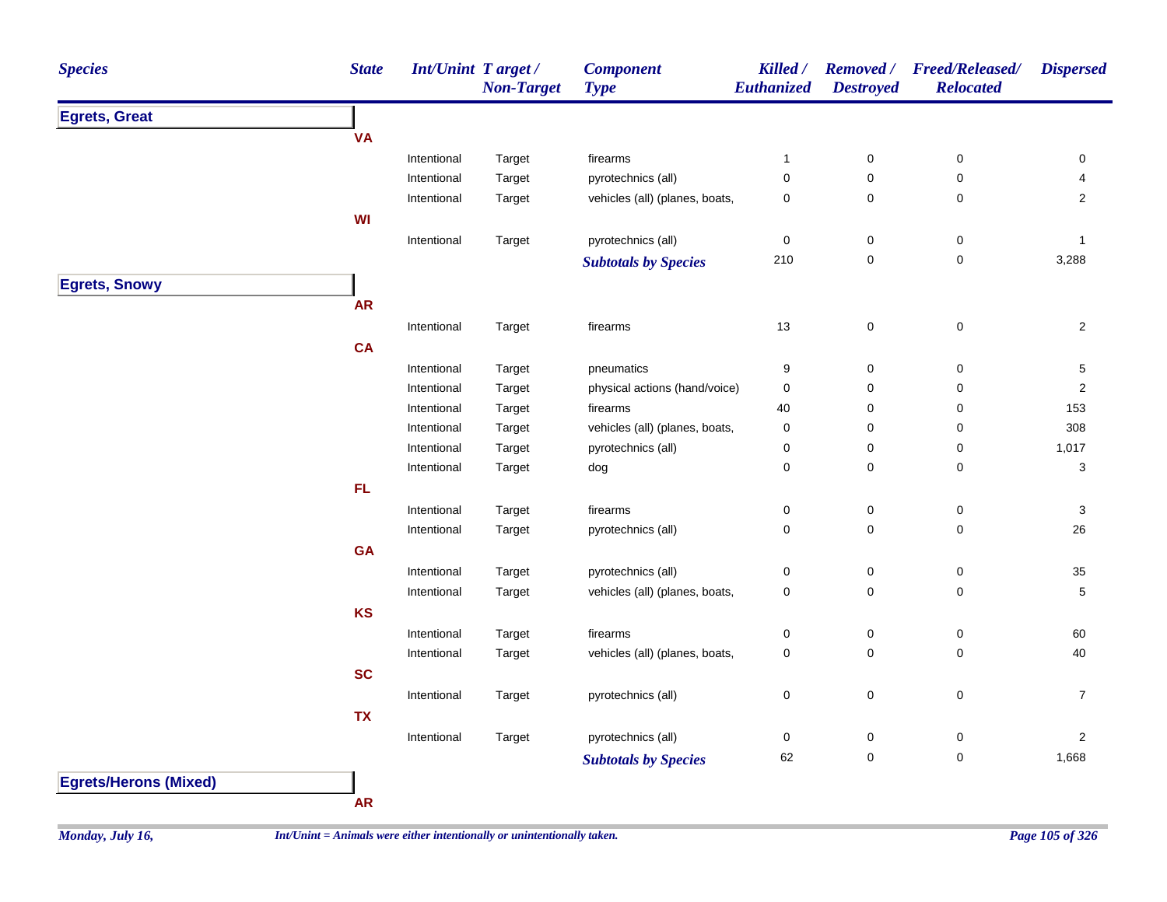| <b>Species</b>               | <b>State</b> | Int/Unint Target/ | <b>Non-Target</b> | <b>Component</b><br><b>Type</b> | Killed /<br>Euthanized | <b>Removed</b> /<br><b>Destroyed</b> | Freed/Released/<br><b>Relocated</b> | <b>Dispersed</b>          |
|------------------------------|--------------|-------------------|-------------------|---------------------------------|------------------------|--------------------------------------|-------------------------------------|---------------------------|
| <b>Egrets, Great</b>         |              |                   |                   |                                 |                        |                                      |                                     |                           |
|                              | <b>VA</b>    |                   |                   |                                 |                        |                                      |                                     |                           |
|                              |              | Intentional       | Target            | firearms                        | $\mathbf{1}$           | $\pmb{0}$                            | 0                                   | 0                         |
|                              |              | Intentional       | Target            | pyrotechnics (all)              | 0                      | 0                                    | 0                                   | 4                         |
|                              |              | Intentional       | Target            | vehicles (all) (planes, boats,  | 0                      | 0                                    | 0                                   | $\overline{2}$            |
|                              | WI           |                   |                   |                                 |                        |                                      |                                     |                           |
|                              |              | Intentional       | Target            | pyrotechnics (all)              | 0                      | $\mathbf 0$                          | $\pmb{0}$                           | -1                        |
|                              |              |                   |                   | <b>Subtotals by Species</b>     | 210                    | $\mathbf 0$                          | $\mathsf 0$                         | 3,288                     |
| <b>Egrets, Snowy</b>         |              |                   |                   |                                 |                        |                                      |                                     |                           |
|                              | <b>AR</b>    |                   |                   |                                 |                        |                                      |                                     |                           |
|                              |              | Intentional       | Target            | firearms                        | $13$                   | $\mathbf 0$                          | $\pmb{0}$                           | $\overline{2}$            |
|                              | <b>CA</b>    |                   |                   |                                 |                        |                                      |                                     |                           |
|                              |              | Intentional       | Target            | pneumatics                      | 9                      | $\pmb{0}$                            | 0                                   | 5                         |
|                              |              | Intentional       | Target            | physical actions (hand/voice)   | 0                      | 0                                    | 0                                   | 2                         |
|                              |              | Intentional       | Target            | firearms                        | 40                     | 0                                    | 0                                   | 153                       |
|                              |              | Intentional       | Target            | vehicles (all) (planes, boats,  | 0                      | 0                                    | 0                                   | 308                       |
|                              |              | Intentional       | Target            | pyrotechnics (all)              | 0                      | 0                                    | 0                                   | 1,017                     |
|                              |              | Intentional       | Target            | dog                             | 0                      | $\pmb{0}$                            | $\pmb{0}$                           | 3                         |
|                              | FL           |                   |                   |                                 |                        |                                      |                                     |                           |
|                              |              | Intentional       | Target            | firearms                        | 0                      | $\pmb{0}$                            | $\pmb{0}$                           | $\ensuremath{\mathsf{3}}$ |
|                              |              | Intentional       | Target            | pyrotechnics (all)              | 0                      | $\pmb{0}$                            | $\pmb{0}$                           | 26                        |
|                              | <b>GA</b>    |                   |                   |                                 |                        |                                      |                                     |                           |
|                              |              | Intentional       | Target            | pyrotechnics (all)              | 0                      | $\pmb{0}$                            | $\pmb{0}$                           | 35                        |
|                              |              | Intentional       | Target            | vehicles (all) (planes, boats,  | 0                      | $\mathbf 0$                          | $\pmb{0}$                           | 5                         |
|                              | <b>KS</b>    |                   |                   |                                 |                        |                                      |                                     |                           |
|                              |              | Intentional       | Target            | firearms                        | 0                      | $\mathbf 0$                          | $\pmb{0}$                           | 60                        |
|                              |              | Intentional       | Target            | vehicles (all) (planes, boats,  | 0                      | 0                                    | 0                                   | 40                        |
|                              | <b>SC</b>    |                   |                   |                                 |                        |                                      |                                     |                           |
|                              |              | Intentional       | Target            | pyrotechnics (all)              | 0                      | $\mathbf 0$                          | $\pmb{0}$                           | $\overline{7}$            |
|                              | <b>TX</b>    |                   |                   |                                 |                        |                                      |                                     |                           |
|                              |              | Intentional       | Target            | pyrotechnics (all)              | 0                      | $\boldsymbol{0}$                     | $\pmb{0}$                           | $\mathbf{2}$              |
|                              |              |                   |                   | <b>Subtotals by Species</b>     | 62                     | $\mathbf 0$                          | $\pmb{0}$                           | 1,668                     |
| <b>Egrets/Herons (Mixed)</b> |              |                   |                   |                                 |                        |                                      |                                     |                           |
|                              |              |                   |                   |                                 |                        |                                      |                                     |                           |

**AR**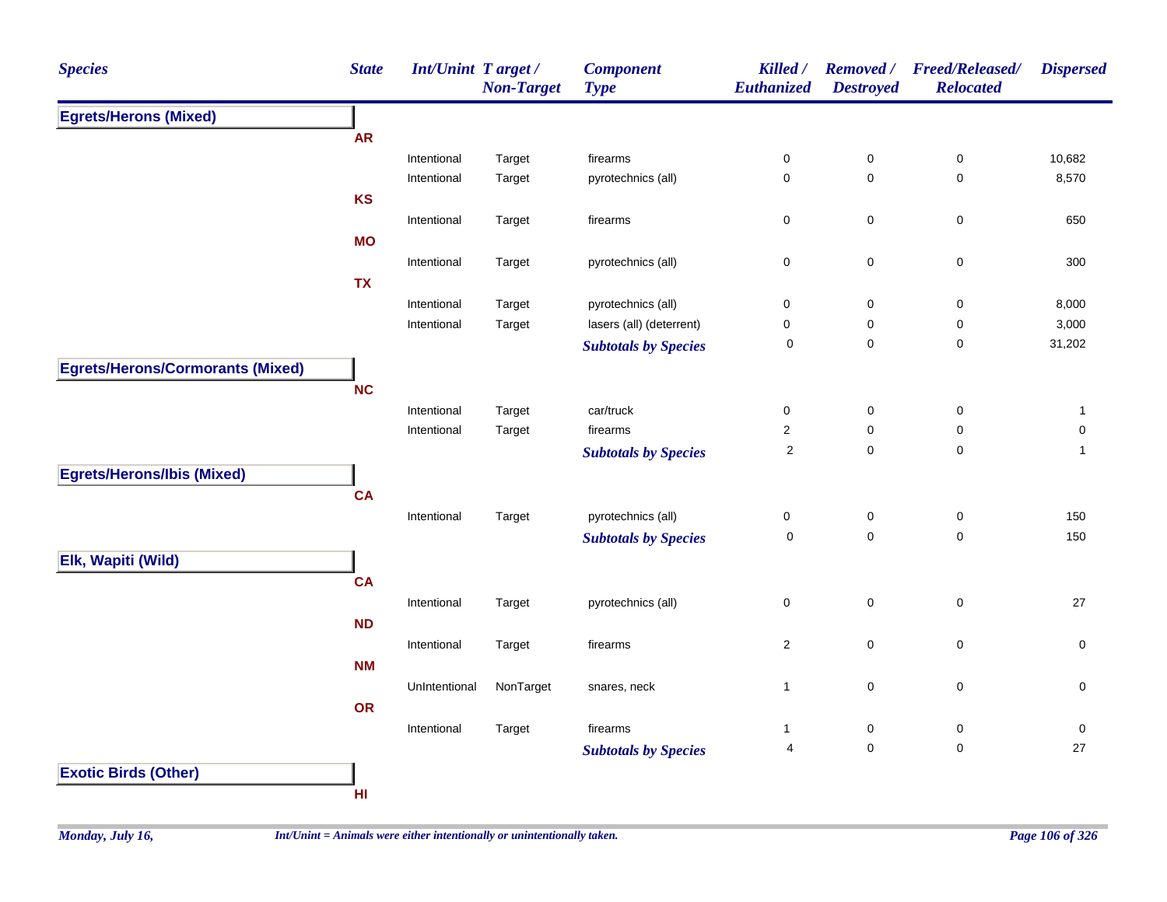| <b>Species</b>                          | <b>State</b> | <b>Int/Unint Target/</b> | <b>Non-Target</b> | <b>Component</b><br><b>Type</b> | Killed /<br><b>Euthanized</b> | <b>Removed</b> /<br><b>Destroyed</b> | <b>Freed/Released/</b><br><b>Relocated</b> | <b>Dispersed</b> |
|-----------------------------------------|--------------|--------------------------|-------------------|---------------------------------|-------------------------------|--------------------------------------|--------------------------------------------|------------------|
| <b>Egrets/Herons (Mixed)</b>            |              |                          |                   |                                 |                               |                                      |                                            |                  |
|                                         | <b>AR</b>    |                          |                   |                                 |                               |                                      |                                            |                  |
|                                         |              | Intentional              | Target            | firearms                        | 0                             | $\pmb{0}$                            | 0                                          | 10,682           |
|                                         |              | Intentional              | Target            | pyrotechnics (all)              | 0                             | $\pmb{0}$                            | $\pmb{0}$                                  | 8,570            |
|                                         | <b>KS</b>    |                          |                   |                                 |                               |                                      |                                            |                  |
|                                         |              | Intentional              | Target            | firearms                        | 0                             | $\mathbf 0$                          | $\pmb{0}$                                  | 650              |
|                                         | <b>MO</b>    |                          |                   |                                 |                               |                                      |                                            |                  |
|                                         |              | Intentional              | Target            | pyrotechnics (all)              | $\pmb{0}$                     | $\pmb{0}$                            | $\pmb{0}$                                  | 300              |
|                                         | <b>TX</b>    |                          |                   |                                 |                               |                                      |                                            |                  |
|                                         |              | Intentional              | Target            | pyrotechnics (all)              | 0                             | $\pmb{0}$                            | $\pmb{0}$                                  | 8,000            |
|                                         |              | Intentional              | Target            | lasers (all) (deterrent)        | 0                             | 0                                    | $\pmb{0}$                                  | 3,000            |
|                                         |              |                          |                   | <b>Subtotals by Species</b>     | $\pmb{0}$                     | $\pmb{0}$                            | 0                                          | 31,202           |
| <b>Egrets/Herons/Cormorants (Mixed)</b> |              |                          |                   |                                 |                               |                                      |                                            |                  |
|                                         | <b>NC</b>    |                          |                   |                                 |                               |                                      |                                            |                  |
|                                         |              | Intentional              | Target            | car/truck                       | 0                             | $\mathbf 0$                          | $\pmb{0}$                                  | $\mathbf{1}$     |
|                                         |              | Intentional              | Target            | firearms                        | $\overline{\mathbf{c}}$       | $\mathbf 0$                          | $\pmb{0}$                                  | 0                |
|                                         |              |                          |                   | <b>Subtotals by Species</b>     | $\sqrt{2}$                    | $\pmb{0}$                            | $\pmb{0}$                                  | $\mathbf{1}$     |
| <b>Egrets/Herons/Ibis (Mixed)</b>       |              |                          |                   |                                 |                               |                                      |                                            |                  |
|                                         | <b>CA</b>    |                          |                   |                                 |                               |                                      |                                            |                  |
|                                         |              | Intentional              | Target            | pyrotechnics (all)              | 0                             | $\pmb{0}$                            | 0                                          | 150              |
|                                         |              |                          |                   | <b>Subtotals by Species</b>     | 0                             | $\mathbf 0$                          | 0                                          | 150              |
| Elk, Wapiti (Wild)                      |              |                          |                   |                                 |                               |                                      |                                            |                  |
|                                         | <b>CA</b>    |                          |                   |                                 |                               |                                      |                                            |                  |
|                                         |              | Intentional              | Target            | pyrotechnics (all)              | 0                             | $\mathsf 0$                          | $\mathsf 0$                                | 27               |
|                                         | ND           |                          |                   |                                 |                               |                                      |                                            |                  |
|                                         |              | Intentional              | Target            | firearms                        | $\overline{\mathbf{c}}$       | $\pmb{0}$                            | $\mathsf 0$                                | $\pmb{0}$        |
|                                         | <b>NM</b>    |                          |                   |                                 |                               |                                      |                                            |                  |
|                                         |              | UnIntentional            | NonTarget         | snares, neck                    | $\mathbf{1}$                  | $\pmb{0}$                            | $\pmb{0}$                                  | 0                |
|                                         | <b>OR</b>    |                          |                   |                                 |                               |                                      |                                            |                  |
|                                         |              | Intentional              | Target            | firearms                        | $\mathbf{1}$                  | $\pmb{0}$                            | $\pmb{0}$                                  | 0                |
|                                         |              |                          |                   | <b>Subtotals by Species</b>     | $\overline{\mathbf{4}}$       | $\pmb{0}$                            | $\mathbf 0$                                | 27               |
|                                         |              |                          |                   |                                 |                               |                                      |                                            |                  |
| <b>Exotic Birds (Other)</b>             |              |                          |                   |                                 |                               |                                      |                                            |                  |
|                                         | HI           |                          |                   |                                 |                               |                                      |                                            |                  |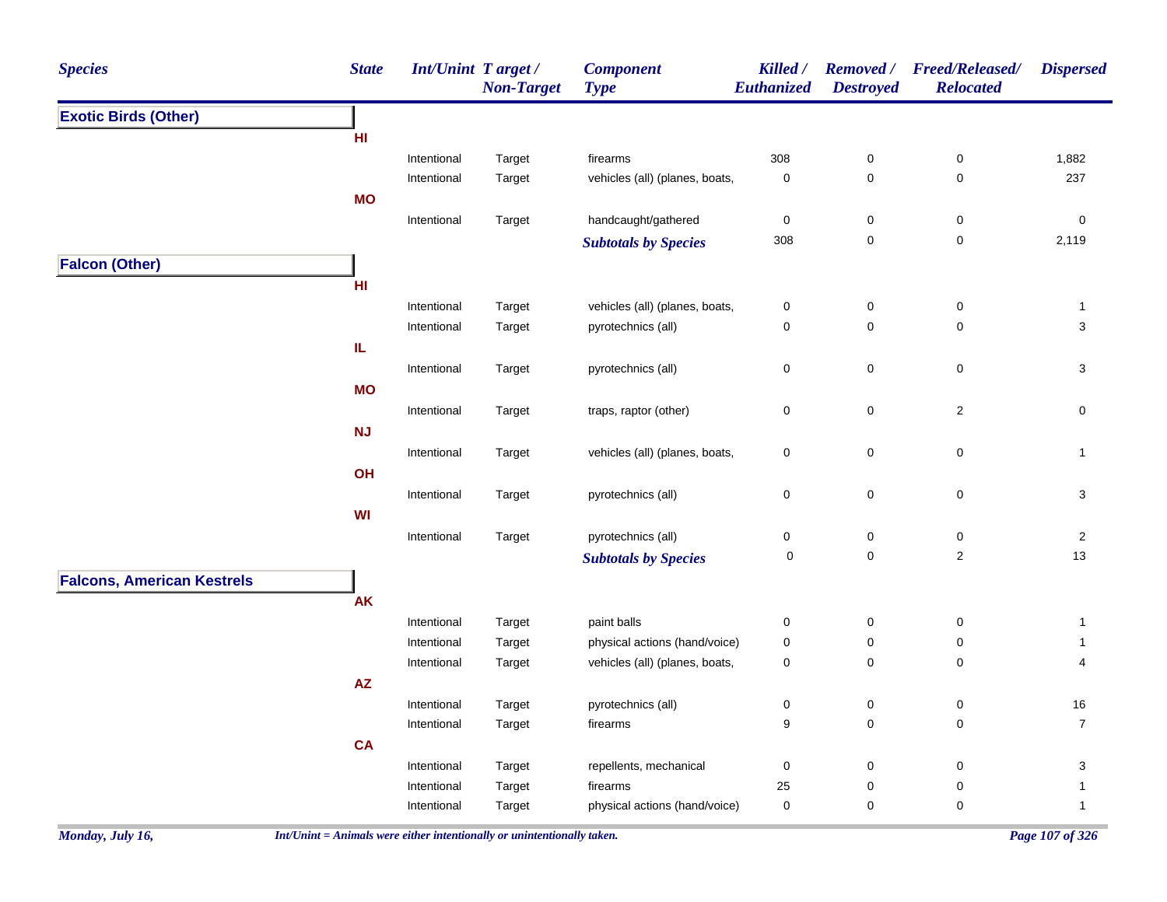| <b>Species</b>                    | <b>State</b> | Int/Unint Target /         | <b>Non-Target</b> | <b>Component</b><br><b>Type</b> | Killed /<br>Euthanized | <b>Destroyed</b>    | Removed / Freed/Released/<br><b>Relocated</b> | <b>Dispersed</b> |
|-----------------------------------|--------------|----------------------------|-------------------|---------------------------------|------------------------|---------------------|-----------------------------------------------|------------------|
| <b>Exotic Birds (Other)</b>       |              |                            |                   |                                 |                        |                     |                                               |                  |
|                                   | HI           |                            |                   |                                 |                        |                     |                                               |                  |
|                                   |              | Intentional                | Target            | firearms                        | 308                    | $\pmb{0}$           | $\pmb{0}$                                     | 1,882            |
|                                   |              | Intentional                | Target            | vehicles (all) (planes, boats,  | $\pmb{0}$              | $\mathbf 0$         | $\pmb{0}$                                     | 237              |
|                                   | <b>MO</b>    |                            |                   |                                 |                        |                     |                                               |                  |
|                                   |              | Intentional                | Target            | handcaught/gathered             | $\pmb{0}$              | $\pmb{0}$           | $\pmb{0}$                                     | $\pmb{0}$        |
|                                   |              |                            |                   | <b>Subtotals by Species</b>     | 308                    | $\mathsf{O}\xspace$ | $\pmb{0}$                                     | 2,119            |
| <b>Falcon (Other)</b>             |              |                            |                   |                                 |                        |                     |                                               |                  |
|                                   | HI           |                            |                   |                                 |                        |                     |                                               |                  |
|                                   |              | Intentional                | Target            | vehicles (all) (planes, boats,  | $\pmb{0}$              | $\pmb{0}$           | $\pmb{0}$                                     | $\mathbf{1}$     |
|                                   |              | Intentional                | Target            | pyrotechnics (all)              | $\mathbf 0$            | $\mathbf 0$         | 0                                             | 3                |
|                                   | IL.          |                            |                   |                                 |                        |                     |                                               |                  |
|                                   |              | Intentional                | Target            | pyrotechnics (all)              | $\pmb{0}$              | $\mathbf 0$         | $\mathsf 0$                                   | 3                |
|                                   | <b>MO</b>    |                            |                   |                                 |                        |                     |                                               |                  |
|                                   |              | Intentional                | Target            | traps, raptor (other)           | $\pmb{0}$              | $\pmb{0}$           | $\overline{2}$                                | $\mathbf 0$      |
|                                   | <b>NJ</b>    |                            |                   |                                 |                        |                     |                                               |                  |
|                                   |              | Intentional                | Target            | vehicles (all) (planes, boats,  | $\pmb{0}$              | $\mathbf 0$         | $\pmb{0}$                                     | $\mathbf{1}$     |
|                                   | OH           |                            |                   |                                 |                        |                     |                                               |                  |
|                                   |              | Intentional                | Target            | pyrotechnics (all)              | $\pmb{0}$              | $\mathsf{O}\xspace$ | 0                                             | 3                |
|                                   | WI           |                            |                   |                                 |                        |                     |                                               |                  |
|                                   |              | Intentional                | Target            | pyrotechnics (all)              | $\pmb{0}$              | $\pmb{0}$           | $\pmb{0}$                                     | $\overline{2}$   |
|                                   |              |                            |                   | <b>Subtotals by Species</b>     | $\mathbf 0$            | $\mathsf{O}\xspace$ | $\overline{c}$                                | 13               |
| <b>Falcons, American Kestrels</b> |              |                            |                   |                                 |                        |                     |                                               |                  |
|                                   | <b>AK</b>    |                            |                   |                                 |                        |                     |                                               |                  |
|                                   |              |                            |                   | paint balls                     |                        |                     |                                               |                  |
|                                   |              | Intentional<br>Intentional | Target<br>Target  | physical actions (hand/voice)   | 0<br>$\pmb{0}$         | 0<br>$\pmb{0}$      | 0<br>$\pmb{0}$                                | 1<br>1           |
|                                   |              | Intentional                | Target            | vehicles (all) (planes, boats,  | $\pmb{0}$              | $\mathsf{O}\xspace$ | $\pmb{0}$                                     | 4                |
|                                   | AZ           |                            |                   |                                 |                        |                     |                                               |                  |
|                                   |              | Intentional                | Target            | pyrotechnics (all)              | 0                      | 0                   | $\mathbf 0$                                   | 16               |
|                                   |              | Intentional                | Target            | firearms                        | 9                      | $\mathbf 0$         | 0                                             | $\overline{7}$   |
|                                   | <b>CA</b>    |                            |                   |                                 |                        |                     |                                               |                  |
|                                   |              |                            |                   | repellents, mechanical          |                        | $\mathbf 0$         | 0                                             | 3                |
|                                   |              | Intentional<br>Intentional | Target<br>Target  | firearms                        | $\boldsymbol{0}$<br>25 | $\pmb{0}$           | 0                                             | 1                |
|                                   |              | Intentional                |                   | physical actions (hand/voice)   | $\mathbf 0$            | $\pmb{0}$           | 0                                             | $\mathbf{1}$     |
|                                   |              |                            | Target            |                                 |                        |                     |                                               |                  |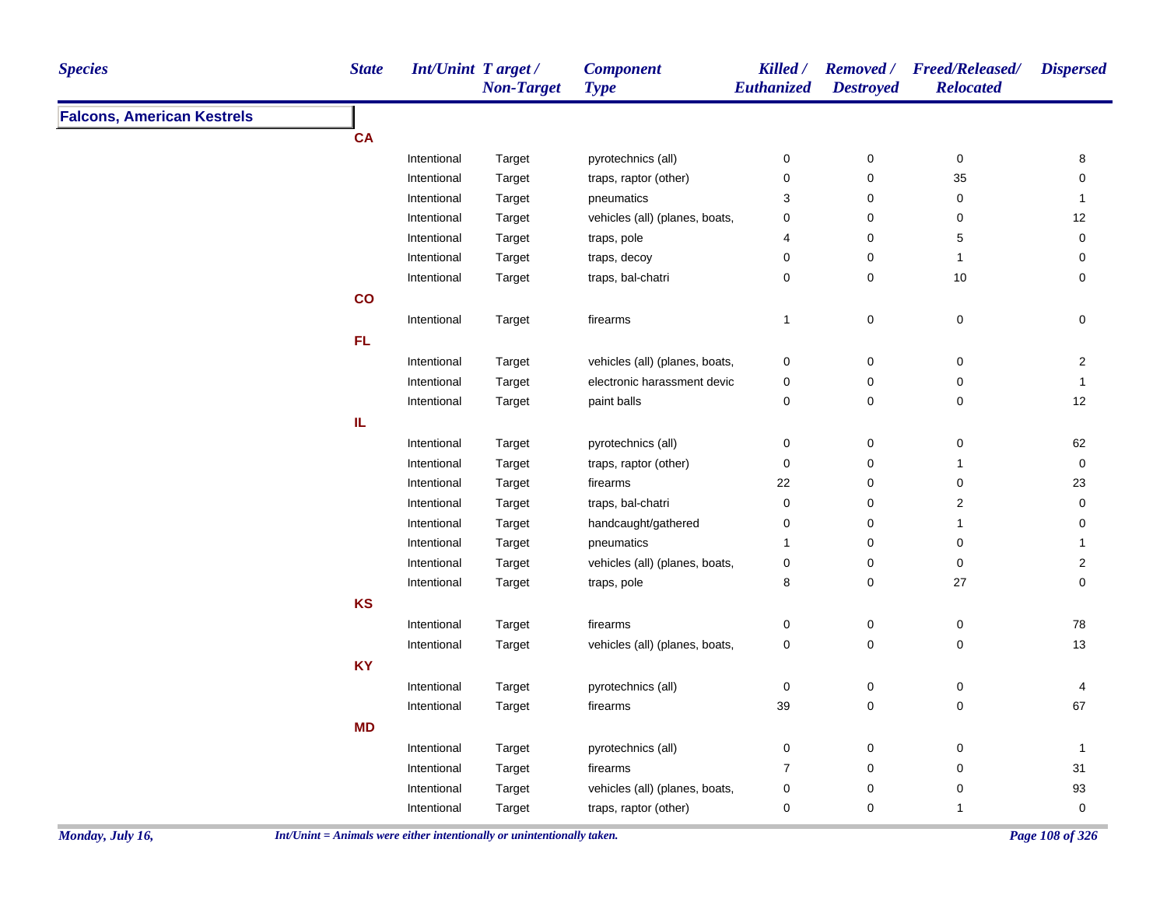| <b>Species</b>                    | <b>State</b> | Int/Unint Target/ | <b>Non-Target</b> | <b>Component</b><br><b>Type</b> | Killed /<br>Euthanized | <b>Destroyed</b>    | Removed / Freed/Released/<br><b>Relocated</b> | <b>Dispersed</b>        |
|-----------------------------------|--------------|-------------------|-------------------|---------------------------------|------------------------|---------------------|-----------------------------------------------|-------------------------|
| <b>Falcons, American Kestrels</b> |              |                   |                   |                                 |                        |                     |                                               |                         |
|                                   | <b>CA</b>    |                   |                   |                                 |                        |                     |                                               |                         |
|                                   |              | Intentional       | Target            | pyrotechnics (all)              | $\pmb{0}$              | $\pmb{0}$           | $\pmb{0}$                                     | 8                       |
|                                   |              | Intentional       | Target            | traps, raptor (other)           | 0                      | $\pmb{0}$           | 35                                            | 0                       |
|                                   |              | Intentional       | Target            | pneumatics                      | 3                      | $\pmb{0}$           | $\mathbf 0$                                   | $\mathbf{1}$            |
|                                   |              | Intentional       | Target            | vehicles (all) (planes, boats,  | 0                      | $\mathbf 0$         | 0                                             | 12                      |
|                                   |              | Intentional       | Target            | traps, pole                     | 4                      | $\mathsf{O}\xspace$ | $\mathbf 5$                                   | $\mathsf{O}\xspace$     |
|                                   |              | Intentional       | Target            | traps, decoy                    | 0                      | $\mathbf 0$         | $\overline{1}$                                | 0                       |
|                                   |              | Intentional       | Target            | traps, bal-chatri               | 0                      | $\mathbf 0$         | 10                                            | 0                       |
|                                   | co           |                   |                   |                                 |                        |                     |                                               |                         |
|                                   |              | Intentional       | Target            | firearms                        | 1                      | $\mathsf 0$         | $\pmb{0}$                                     | $\pmb{0}$               |
|                                   | FL.          |                   |                   |                                 |                        |                     |                                               |                         |
|                                   |              | Intentional       | Target            | vehicles (all) (planes, boats,  | $\pmb{0}$              | 0                   | $\pmb{0}$                                     | $\sqrt{2}$              |
|                                   |              | Intentional       | Target            | electronic harassment devic     | $\pmb{0}$              | $\mathbf 0$         | $\mathbf 0$                                   | $\mathbf{1}$            |
|                                   |              | Intentional       | Target            | paint balls                     | 0                      | $\mathbf 0$         | 0                                             | 12                      |
|                                   | IL.          |                   |                   |                                 |                        |                     |                                               |                         |
|                                   |              | Intentional       | Target            | pyrotechnics (all)              | $\pmb{0}$              | $\pmb{0}$           | $\pmb{0}$                                     | 62                      |
|                                   |              | Intentional       | Target            | traps, raptor (other)           | 0                      | $\mathbf 0$         | $\mathbf{1}$                                  | 0                       |
|                                   |              | Intentional       | Target            | firearms                        | 22                     | $\mathbf 0$         | 0                                             | 23                      |
|                                   |              | Intentional       | Target            | traps, bal-chatri               | $\pmb{0}$              | $\mathbf 0$         | $\boldsymbol{2}$                              | 0                       |
|                                   |              | Intentional       | Target            | handcaught/gathered             | $\pmb{0}$              | 0                   | $\mathbf{1}$                                  | $\mathbf 0$             |
|                                   |              | Intentional       | Target            | pneumatics                      | $\mathbf 1$            | $\mathbf 0$         | 0                                             | $\mathbf{1}$            |
|                                   |              | Intentional       | Target            | vehicles (all) (planes, boats,  | 0                      | $\mathsf{O}\xspace$ | $\pmb{0}$                                     | $\overline{\mathbf{c}}$ |
|                                   |              | Intentional       | Target            | traps, pole                     | 8                      | $\mathbf 0$         | 27                                            | $\mathbf 0$             |
|                                   | KS           |                   |                   |                                 |                        |                     |                                               |                         |
|                                   |              | Intentional       | Target            | firearms                        | $\pmb{0}$              | $\pmb{0}$           | $\pmb{0}$                                     | 78                      |
|                                   |              | Intentional       | Target            | vehicles (all) (planes, boats,  | $\pmb{0}$              | 0                   | $\pmb{0}$                                     | 13                      |
|                                   | <b>KY</b>    |                   |                   |                                 |                        |                     |                                               |                         |
|                                   |              | Intentional       | Target            | pyrotechnics (all)              | $\pmb{0}$              | $\pmb{0}$           | $\mathbf 0$                                   | 4                       |
|                                   |              | Intentional       | Target            | firearms                        | 39                     | $\mathsf{O}\xspace$ | $\pmb{0}$                                     | 67                      |
|                                   | <b>MD</b>    |                   |                   |                                 |                        |                     |                                               |                         |
|                                   |              | Intentional       | Target            | pyrotechnics (all)              | 0                      | $\pmb{0}$           | 0                                             | $\mathbf{1}$            |
|                                   |              | Intentional       | Target            | firearms                        | $\overline{7}$         | $\mathbf 0$         | 0                                             | 31                      |
|                                   |              | Intentional       | Target            | vehicles (all) (planes, boats,  | 0                      | 0                   | $\pmb{0}$                                     | 93                      |
|                                   |              | Intentional       | Target            | traps, raptor (other)           | 0                      | $\pmb{0}$           | $\mathbf{1}$                                  | $\mathsf{O}\xspace$     |
|                                   |              |                   |                   |                                 |                        |                     |                                               |                         |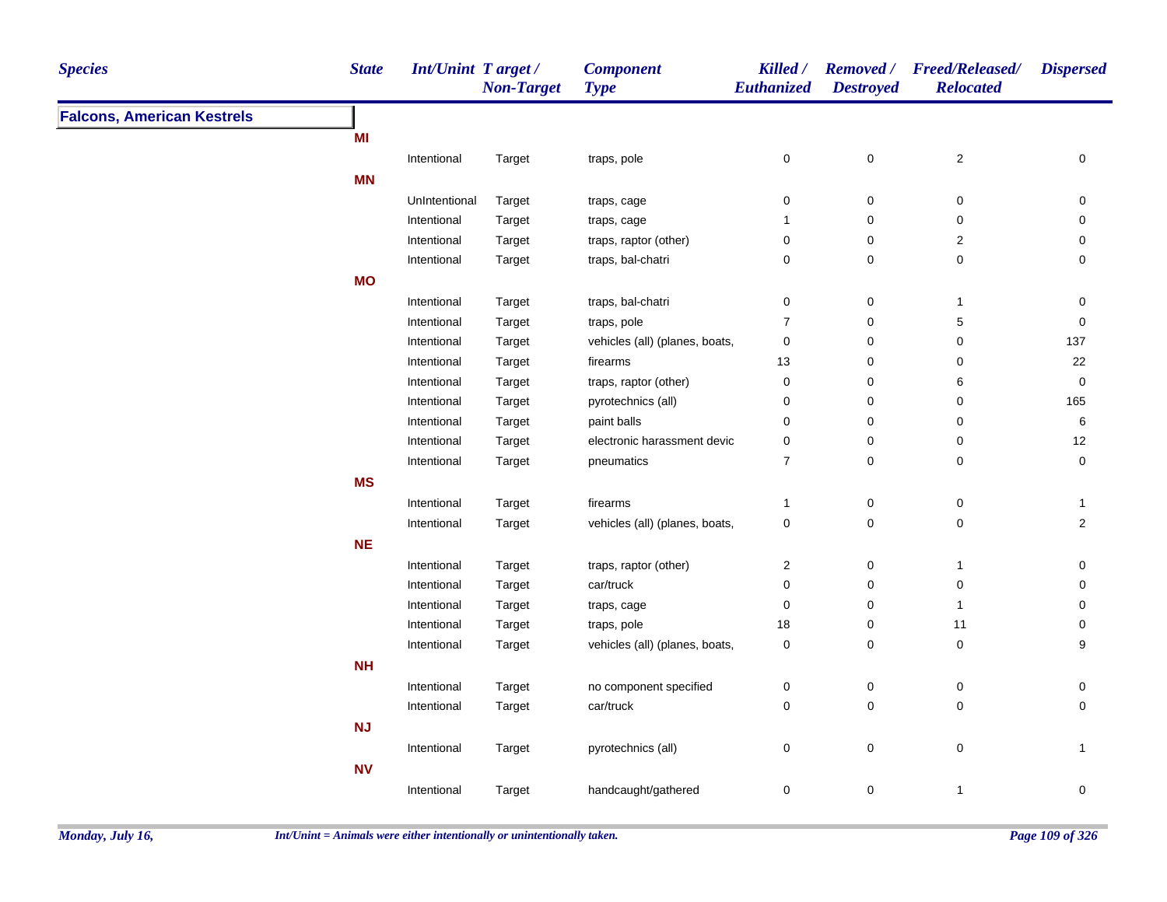| <b>State</b><br><b>Species</b>    | <b>Int/Unint Target/</b> | <b>Non-Target</b> | <b>Component</b><br><b>Type</b> | Killed /<br>Euthanized | <b>Destroyed</b> | Removed / Freed/Released/<br><b>Relocated</b> | <b>Dispersed</b>    |
|-----------------------------------|--------------------------|-------------------|---------------------------------|------------------------|------------------|-----------------------------------------------|---------------------|
| <b>Falcons, American Kestrels</b> |                          |                   |                                 |                        |                  |                                               |                     |
| MI                                |                          |                   |                                 |                        |                  |                                               |                     |
|                                   | Intentional              | Target            | traps, pole                     | 0                      | $\mathbf 0$      | $\boldsymbol{2}$                              | 0                   |
| <b>MN</b>                         |                          |                   |                                 |                        |                  |                                               |                     |
|                                   | UnIntentional            | Target            | traps, cage                     | 0                      | 0                | 0                                             | 0                   |
|                                   | Intentional              | Target            | traps, cage                     | 1                      | 0                | $\pmb{0}$                                     | 0                   |
|                                   | Intentional              | Target            | traps, raptor (other)           | 0                      | 0                | $\overline{\mathbf{c}}$                       | 0                   |
|                                   | Intentional              | Target            | traps, bal-chatri               | 0                      | $\mathbf 0$      | 0                                             | 0                   |
| <b>MO</b>                         |                          |                   |                                 |                        |                  |                                               |                     |
|                                   | Intentional              | Target            | traps, bal-chatri               | 0                      | $\pmb{0}$        | $\mathbf{1}$                                  | 0                   |
|                                   | Intentional              | Target            | traps, pole                     | $\overline{7}$         | $\pmb{0}$        | 5                                             | $\mathbf 0$         |
|                                   | Intentional              | Target            | vehicles (all) (planes, boats,  | 0                      | $\mathbf 0$      | 0                                             | 137                 |
|                                   | Intentional              | Target            | firearms                        | $13$                   | $\pmb{0}$        | 0                                             | 22                  |
|                                   | Intentional              | Target            | traps, raptor (other)           | $\mathsf 0$            | $\mathbf 0$      | 6                                             | $\mathbf 0$         |
|                                   | Intentional              | Target            | pyrotechnics (all)              | 0                      | $\pmb{0}$        | $\mathbf 0$                                   | 165                 |
|                                   | Intentional              | Target            | paint balls                     | 0                      | $\mathbf 0$      | $\pmb{0}$                                     | 6                   |
|                                   | Intentional              | Target            | electronic harassment devic     | 0                      | $\pmb{0}$        | $\pmb{0}$                                     | $12$                |
|                                   | Intentional              | Target            | pneumatics                      | $\overline{7}$         | $\mathbf 0$      | $\mathbf 0$                                   | $\mathbf 0$         |
| <b>MS</b>                         |                          |                   |                                 |                        |                  |                                               |                     |
|                                   | Intentional              | Target            | firearms                        | 1                      | $\boldsymbol{0}$ | 0                                             | $\mathbf{1}$        |
|                                   | Intentional              | Target            | vehicles (all) (planes, boats,  | 0                      | $\mathbf 0$      | 0                                             | $\overline{a}$      |
| <b>NE</b>                         |                          |                   |                                 |                        |                  |                                               |                     |
|                                   | Intentional              | Target            | traps, raptor (other)           | 2                      | $\boldsymbol{0}$ | $\mathbf{1}$                                  | 0                   |
|                                   | Intentional              | Target            | car/truck                       | 0                      | $\mathbf 0$      | 0                                             | $\mathbf 0$         |
|                                   | Intentional              | Target            | traps, cage                     | 0                      | 0                | $\mathbf{1}$                                  | 0                   |
|                                   | Intentional              | Target            | traps, pole                     | 18                     | 0                | 11                                            | $\pmb{0}$           |
|                                   | Intentional              | Target            | vehicles (all) (planes, boats,  | 0                      | 0                | $\pmb{0}$                                     | 9                   |
| <b>NH</b>                         |                          |                   |                                 |                        |                  |                                               |                     |
|                                   | Intentional              | Target            | no component specified          | 0                      | $\mathbf 0$      | 0                                             | 0                   |
|                                   | Intentional              | Target            | car/truck                       | 0                      | $\mathbf 0$      | 0                                             | $\mathbf 0$         |
| NJ                                |                          |                   |                                 |                        |                  |                                               |                     |
|                                   | Intentional              | Target            | pyrotechnics (all)              | 0                      | $\pmb{0}$        | $\mathsf 0$                                   | $\mathbf{1}$        |
| N <sub>V</sub>                    |                          |                   |                                 |                        |                  |                                               |                     |
|                                   | Intentional              | Target            | handcaught/gathered             | 0                      | $\pmb{0}$        | $\mathbf{1}$                                  | $\mathsf{O}\xspace$ |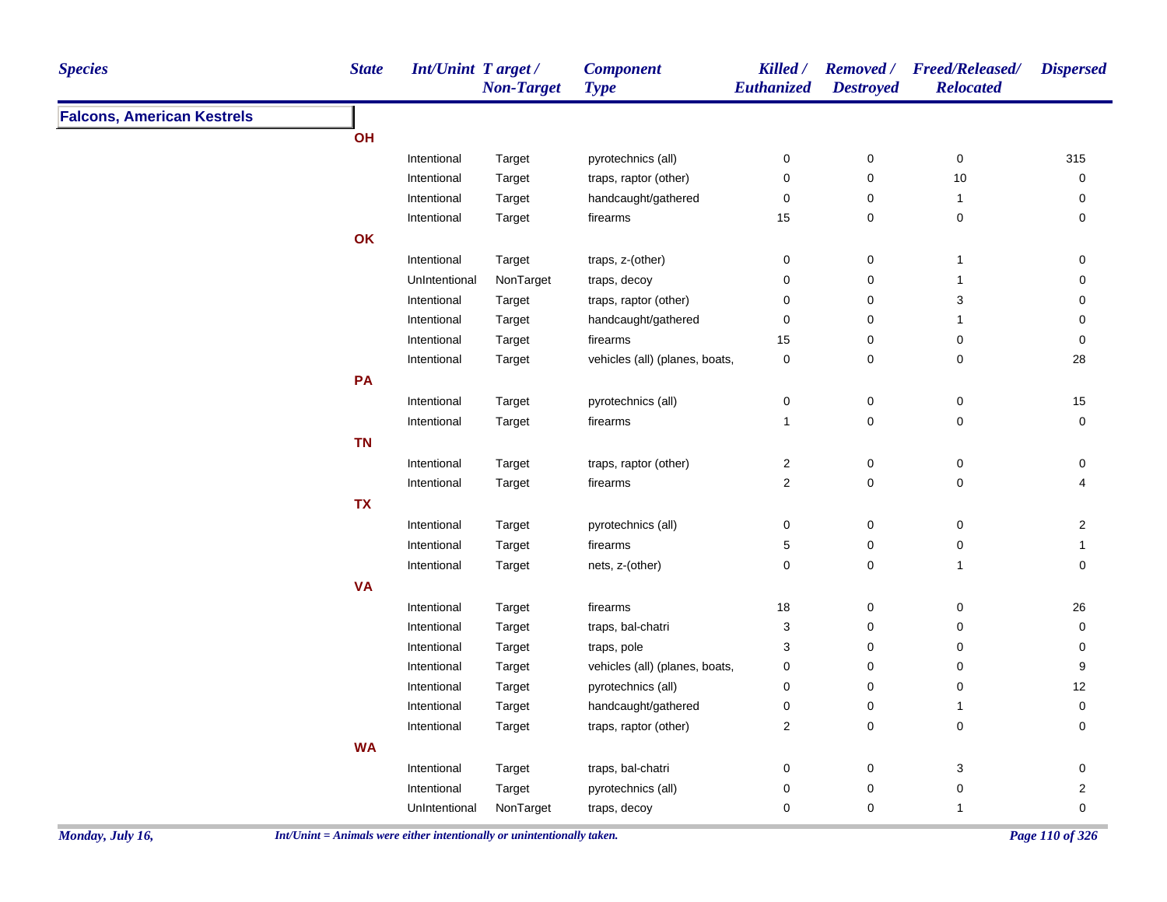| <b>Species</b>                    | <b>State</b> | Int/Unint Target/ | <b>Non-Target</b> | <b>Component</b><br><b>Type</b> | Killed /<br>Euthanized    | <b>Destroyed</b> | Removed / Freed/Released/<br><b>Relocated</b> | <b>Dispersed</b>        |
|-----------------------------------|--------------|-------------------|-------------------|---------------------------------|---------------------------|------------------|-----------------------------------------------|-------------------------|
| <b>Falcons, American Kestrels</b> |              |                   |                   |                                 |                           |                  |                                               |                         |
|                                   | OH           |                   |                   |                                 |                           |                  |                                               |                         |
|                                   |              | Intentional       | Target            | pyrotechnics (all)              | $\pmb{0}$                 | $\pmb{0}$        | $\pmb{0}$                                     | 315                     |
|                                   |              | Intentional       | Target            | traps, raptor (other)           | $\pmb{0}$                 | $\pmb{0}$        | $10$                                          | 0                       |
|                                   |              | Intentional       | Target            | handcaught/gathered             | $\pmb{0}$                 | $\pmb{0}$        | $\mathbf{1}$                                  | 0                       |
|                                   |              | Intentional       | Target            | firearms                        | 15                        | 0                | 0                                             | 0                       |
|                                   | OK           |                   |                   |                                 |                           |                  |                                               |                         |
|                                   |              | Intentional       | Target            | traps, z-(other)                | 0                         | 0                | $\mathbf{1}$                                  | 0                       |
|                                   |              | UnIntentional     | NonTarget         | traps, decoy                    | $\pmb{0}$                 | $\pmb{0}$        | $\mathbf{1}$                                  | $\mathbf 0$             |
|                                   |              | Intentional       | Target            | traps, raptor (other)           | 0                         | $\pmb{0}$        | 3                                             | $\mathbf 0$             |
|                                   |              | Intentional       | Target            | handcaught/gathered             | $\pmb{0}$                 | $\pmb{0}$        | $\mathbf{1}$                                  | $\mathbf 0$             |
|                                   |              | Intentional       | Target            | firearms                        | 15                        | $\pmb{0}$        | 0                                             | $\mathbf 0$             |
|                                   |              | Intentional       | Target            | vehicles (all) (planes, boats,  | $\pmb{0}$                 | $\pmb{0}$        | 0                                             | 28                      |
|                                   | PA           |                   |                   |                                 |                           |                  |                                               |                         |
|                                   |              | Intentional       | Target            | pyrotechnics (all)              | 0                         | 0                | $\pmb{0}$                                     | $15\,$                  |
|                                   |              | Intentional       | Target            | firearms                        | $\mathbf{1}$              | $\mathbf 0$      | 0                                             | $\mathbf 0$             |
|                                   | <b>TN</b>    |                   |                   |                                 |                           |                  |                                               |                         |
|                                   |              | Intentional       | Target            | traps, raptor (other)           | $\boldsymbol{2}$          | $\mathbf 0$      | $\pmb{0}$                                     | 0                       |
|                                   |              | Intentional       | Target            | firearms                        | $\mathbf 2$               | $\mathsf 0$      | 0                                             | 4                       |
|                                   | <b>TX</b>    |                   |                   |                                 |                           |                  |                                               |                         |
|                                   |              | Intentional       | Target            | pyrotechnics (all)              | 0                         | $\mathbf 0$      | 0                                             | $\overline{2}$          |
|                                   |              | Intentional       | Target            | firearms                        | 5                         | 0                | 0                                             | 1                       |
|                                   |              | Intentional       | Target            | nets, z-(other)                 | $\pmb{0}$                 | $\mathsf 0$      | $\mathbf{1}$                                  | $\mathbf 0$             |
|                                   | <b>VA</b>    |                   |                   |                                 |                           |                  |                                               |                         |
|                                   |              | Intentional       | Target            | firearms                        | 18                        | $\mathbf 0$      | $\pmb{0}$                                     | 26                      |
|                                   |              | Intentional       | Target            | traps, bal-chatri               | $\ensuremath{\mathsf{3}}$ | $\mathbf 0$      | 0                                             | $\mathbf 0$             |
|                                   |              | Intentional       | Target            | traps, pole                     | 3                         | $\mathbf 0$      | 0                                             | $\mathbf 0$             |
|                                   |              | Intentional       | Target            | vehicles (all) (planes, boats,  | 0                         | $\pmb{0}$        | 0                                             | 9                       |
|                                   |              | Intentional       | Target            | pyrotechnics (all)              | 0                         | $\mathbf 0$      | 0                                             | 12                      |
|                                   |              | Intentional       | Target            | handcaught/gathered             | 0                         | $\pmb{0}$        | $\mathbf{1}$                                  | 0                       |
|                                   |              | Intentional       | Target            | traps, raptor (other)           | $\overline{c}$            | 0                | 0                                             | 0                       |
|                                   | <b>WA</b>    |                   |                   |                                 |                           |                  |                                               |                         |
|                                   |              | Intentional       | Target            | traps, bal-chatri               | 0                         | $\pmb{0}$        | 3                                             | 0                       |
|                                   |              | Intentional       | Target            | pyrotechnics (all)              | 0                         | $\pmb{0}$        | 0                                             | $\overline{\mathbf{c}}$ |
|                                   |              | UnIntentional     | NonTarget         | traps, decoy                    | 0                         | $\mathbf 0$      | $\mathbf{1}$                                  | $\mathbf 0$             |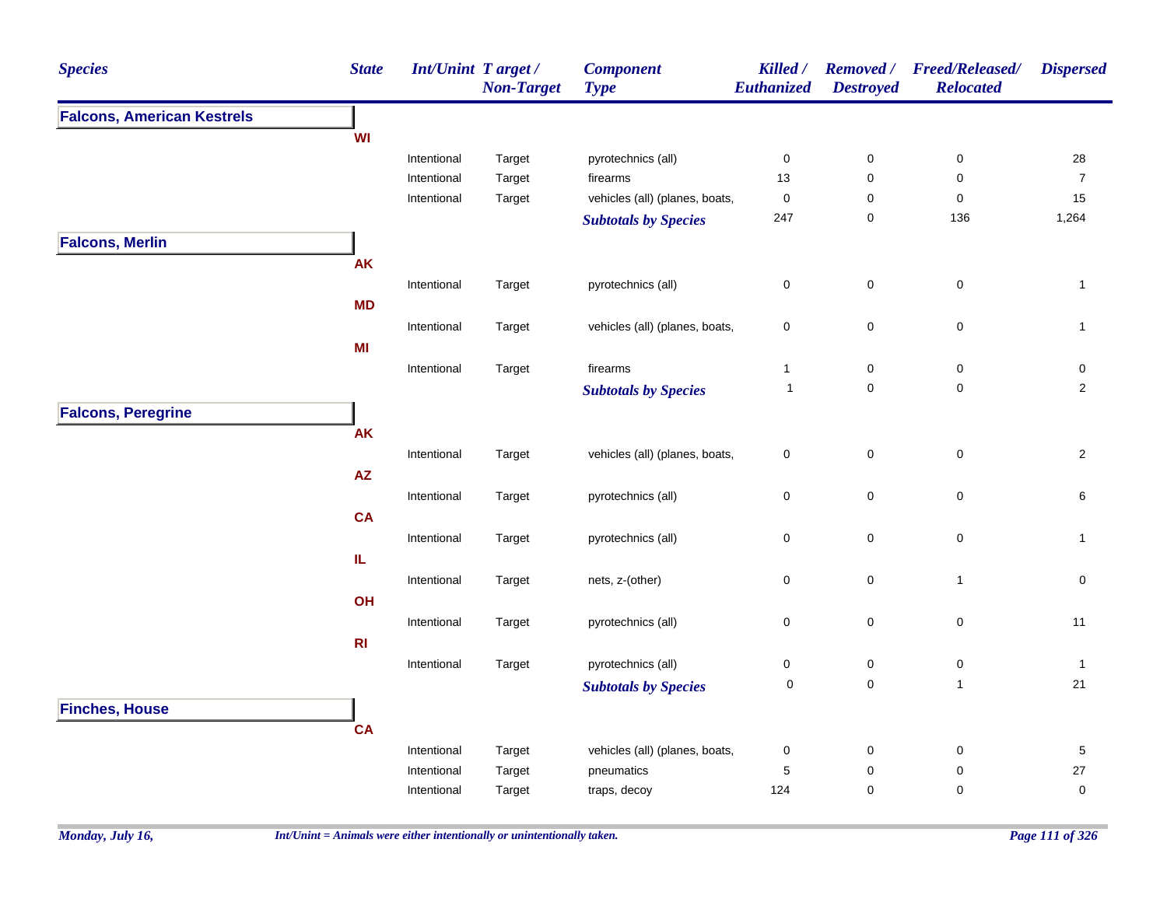| <b>Species</b>                    | <b>State</b> | Int/Unint Target / | <b>Non-Target</b> | <b>Component</b><br><b>Type</b> | Killed /<br>Euthanized | <b>Removed</b> /<br><b>Destroyed</b> | <b>Freed/Released/</b><br><b>Relocated</b> | <b>Dispersed</b> |
|-----------------------------------|--------------|--------------------|-------------------|---------------------------------|------------------------|--------------------------------------|--------------------------------------------|------------------|
| <b>Falcons, American Kestrels</b> |              |                    |                   |                                 |                        |                                      |                                            |                  |
|                                   | WI           |                    |                   |                                 |                        |                                      |                                            |                  |
|                                   |              | Intentional        | Target            | pyrotechnics (all)              | $\pmb{0}$              | $\pmb{0}$                            | $\pmb{0}$                                  | 28               |
|                                   |              | Intentional        | Target            | firearms                        | 13                     | $\pmb{0}$                            | $\pmb{0}$                                  | $\boldsymbol{7}$ |
|                                   |              | Intentional        | Target            | vehicles (all) (planes, boats,  | $\pmb{0}$              | $\pmb{0}$                            | $\pmb{0}$                                  | 15               |
|                                   |              |                    |                   | <b>Subtotals by Species</b>     | 247                    | $\mathbf 0$                          | 136                                        | 1,264            |
| <b>Falcons, Merlin</b>            |              |                    |                   |                                 |                        |                                      |                                            |                  |
|                                   | <b>AK</b>    |                    |                   |                                 |                        |                                      |                                            |                  |
|                                   |              | Intentional        | Target            | pyrotechnics (all)              | $\pmb{0}$              | $\pmb{0}$                            | $\mathsf 0$                                | $\mathbf{1}$     |
|                                   | <b>MD</b>    |                    |                   |                                 |                        |                                      |                                            |                  |
|                                   |              | Intentional        | Target            | vehicles (all) (planes, boats,  | $\pmb{0}$              | $\mathbf 0$                          | $\pmb{0}$                                  | $\mathbf{1}$     |
|                                   | MI           |                    |                   |                                 |                        |                                      |                                            |                  |
|                                   |              | Intentional        | Target            | firearms                        | $\mathbf{1}$           | $\mathbf 0$                          | 0                                          | 0                |
|                                   |              |                    |                   | <b>Subtotals by Species</b>     | $\mathbf{1}$           | $\mathsf{O}\xspace$                  | $\pmb{0}$                                  | $\overline{2}$   |
| <b>Falcons, Peregrine</b>         |              |                    |                   |                                 |                        |                                      |                                            |                  |
|                                   | <b>AK</b>    |                    |                   |                                 |                        |                                      |                                            |                  |
|                                   |              | Intentional        | Target            | vehicles (all) (planes, boats,  | $\pmb{0}$              | $\pmb{0}$                            | $\pmb{0}$                                  | $\overline{2}$   |
|                                   | AZ           |                    |                   |                                 |                        |                                      |                                            |                  |
|                                   |              | Intentional        | Target            | pyrotechnics (all)              | $\pmb{0}$              | $\mathsf{O}\xspace$                  | 0                                          | 6                |
|                                   | <b>CA</b>    |                    |                   |                                 |                        |                                      |                                            |                  |
|                                   |              | Intentional        | Target            | pyrotechnics (all)              | $\pmb{0}$              | $\mathsf{O}\xspace$                  | 0                                          | $\mathbf{1}$     |
|                                   | IL.          |                    |                   |                                 |                        |                                      |                                            |                  |
|                                   |              | Intentional        | Target            | nets, z-(other)                 | $\mathbf 0$            | $\pmb{0}$                            | $\overline{1}$                             | $\mathbf 0$      |
|                                   | OH           |                    |                   |                                 |                        |                                      |                                            |                  |
|                                   |              | Intentional        | Target            | pyrotechnics (all)              | $\pmb{0}$              | $\mathsf 0$                          | $\mathsf 0$                                | 11               |
|                                   | R1           |                    |                   |                                 |                        |                                      |                                            |                  |
|                                   |              | Intentional        | Target            | pyrotechnics (all)              | $\pmb{0}$              | 0                                    | 0                                          | $\mathbf{1}$     |
|                                   |              |                    |                   | <b>Subtotals by Species</b>     | $\pmb{0}$              | $\mathsf{O}\xspace$                  | $\mathbf{1}$                               | 21               |
| <b>Finches, House</b>             |              |                    |                   |                                 |                        |                                      |                                            |                  |
|                                   | <b>CA</b>    |                    |                   |                                 |                        |                                      |                                            |                  |
|                                   |              | Intentional        | Target            | vehicles (all) (planes, boats,  | $\pmb{0}$              | $\mathbf 0$                          | 0                                          | $\,$ 5 $\,$      |
|                                   |              | Intentional        | Target            | pneumatics                      | $\mathbf 5$            | 0                                    | 0                                          | 27               |
|                                   |              | Intentional        | Target            | traps, decoy                    | 124                    | $\mathsf 0$                          | 0                                          | 0                |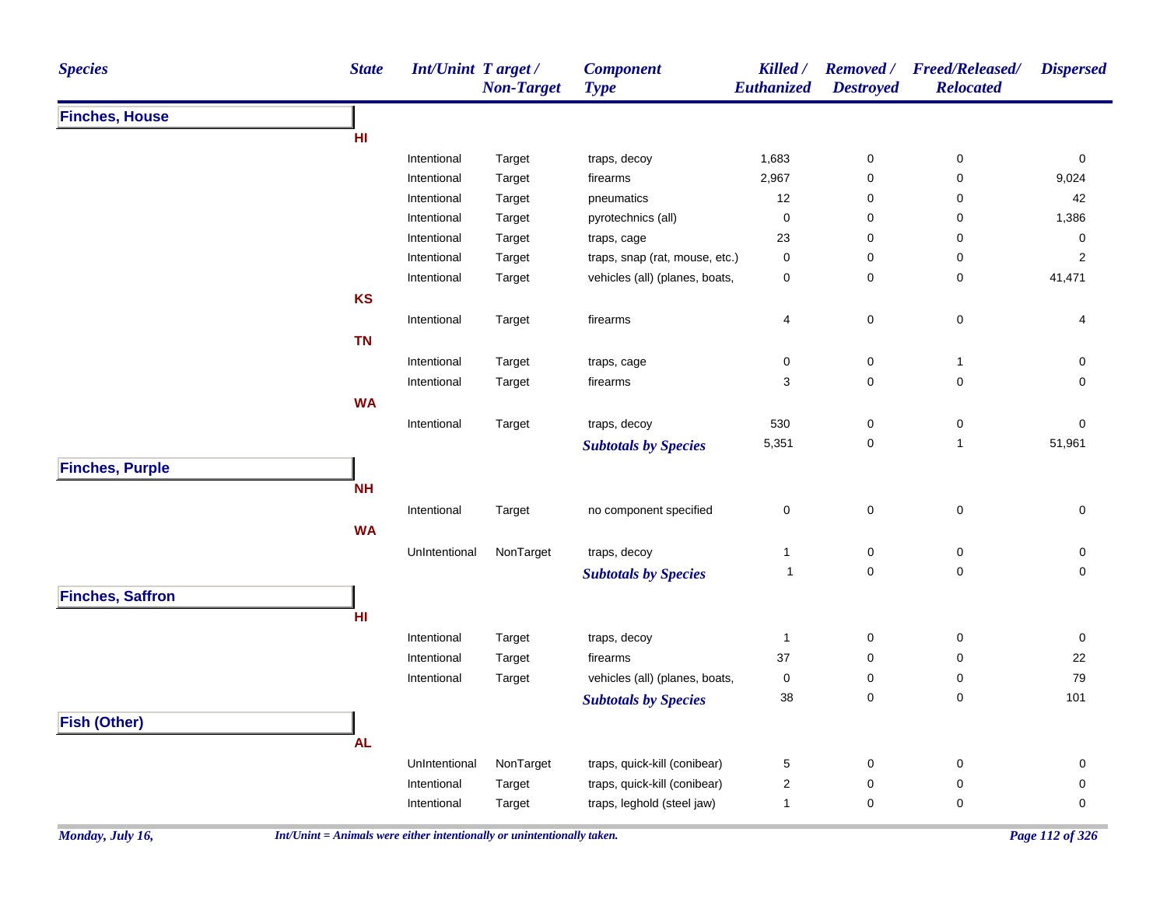| <b>Species</b>          | <b>State</b> | Int/Unint Target / | <b>Non-Target</b> | <b>Component</b><br><b>Type</b> | Killed /<br>Euthanized | <b>Removed</b> /<br><b>Destroyed</b> | <b>Freed/Released/</b><br><b>Relocated</b> | <b>Dispersed</b> |
|-------------------------|--------------|--------------------|-------------------|---------------------------------|------------------------|--------------------------------------|--------------------------------------------|------------------|
| <b>Finches, House</b>   |              |                    |                   |                                 |                        |                                      |                                            |                  |
|                         | HI           |                    |                   |                                 |                        |                                      |                                            |                  |
|                         |              | Intentional        | Target            | traps, decoy                    | 1,683                  | $\pmb{0}$                            | $\pmb{0}$                                  | $\pmb{0}$        |
|                         |              | Intentional        | Target            | firearms                        | 2,967                  | $\mathsf 0$                          | 0                                          | 9,024            |
|                         |              | Intentional        | Target            | pneumatics                      | 12                     | 0                                    | 0                                          | 42               |
|                         |              | Intentional        | Target            | pyrotechnics (all)              | $\pmb{0}$              | $\mathbf 0$                          | 0                                          | 1,386            |
|                         |              | Intentional        | Target            | traps, cage                     | 23                     | 0                                    | 0                                          | $\pmb{0}$        |
|                         |              | Intentional        | Target            | traps, snap (rat, mouse, etc.)  | $\pmb{0}$              | 0                                    | 0                                          | $\boldsymbol{2}$ |
|                         |              | Intentional        | Target            | vehicles (all) (planes, boats,  | $\pmb{0}$              | $\pmb{0}$                            | 0                                          | 41,471           |
|                         | KS           |                    |                   |                                 |                        |                                      |                                            |                  |
|                         |              | Intentional        | Target            | firearms                        | 4                      | $\pmb{0}$                            | $\pmb{0}$                                  | 4                |
|                         | <b>TN</b>    |                    |                   |                                 |                        |                                      |                                            |                  |
|                         |              | Intentional        | Target            | traps, cage                     | $\pmb{0}$              | $\pmb{0}$                            | $\mathbf{1}$                               | 0                |
|                         |              | Intentional        | Target            | firearms                        | 3                      | $\pmb{0}$                            | $\pmb{0}$                                  | 0                |
|                         | <b>WA</b>    |                    |                   |                                 |                        |                                      |                                            |                  |
|                         |              | Intentional        | Target            | traps, decoy                    | 530                    | $\pmb{0}$                            | 0                                          | 0                |
|                         |              |                    |                   | <b>Subtotals by Species</b>     | 5,351                  | $\pmb{0}$                            | $\mathbf{1}$                               | 51,961           |
| <b>Finches, Purple</b>  |              |                    |                   |                                 |                        |                                      |                                            |                  |
|                         | <b>NH</b>    |                    |                   |                                 |                        |                                      |                                            |                  |
|                         |              | Intentional        | Target            | no component specified          | $\pmb{0}$              | $\pmb{0}$                            | $\pmb{0}$                                  | $\pmb{0}$        |
|                         | <b>WA</b>    |                    |                   |                                 |                        |                                      |                                            |                  |
|                         |              |                    |                   |                                 | $\mathbf{1}$           |                                      |                                            |                  |
|                         |              | UnIntentional      | NonTarget         | traps, decoy                    | $\mathbf{1}$           | $\pmb{0}$<br>$\mathbf 0$             | $\pmb{0}$<br>$\pmb{0}$                     | 0<br>$\pmb{0}$   |
|                         |              |                    |                   | <b>Subtotals by Species</b>     |                        |                                      |                                            |                  |
| <b>Finches, Saffron</b> |              |                    |                   |                                 |                        |                                      |                                            |                  |
|                         | HI.          |                    |                   |                                 |                        |                                      |                                            |                  |
|                         |              | Intentional        | Target            | traps, decoy                    | $\mathbf{1}$           | $\pmb{0}$                            | $\pmb{0}$                                  | $\pmb{0}$        |
|                         |              | Intentional        | Target            | firearms                        | 37                     | $\pmb{0}$                            | 0                                          | 22               |
|                         |              | Intentional        | Target            | vehicles (all) (planes, boats,  | $\pmb{0}$              | 0                                    | 0                                          | 79               |
|                         |              |                    |                   | <b>Subtotals by Species</b>     | 38                     | $\pmb{0}$                            | $\mathbf 0$                                | 101              |
| <b>Fish (Other)</b>     |              |                    |                   |                                 |                        |                                      |                                            |                  |
|                         | <b>AL</b>    |                    |                   |                                 |                        |                                      |                                            |                  |
|                         |              | UnIntentional      | NonTarget         | traps, quick-kill (conibear)    | $\,$ 5 $\,$            | $\pmb{0}$                            | $\pmb{0}$                                  | $\pmb{0}$        |
|                         |              | Intentional        | Target            | traps, quick-kill (conibear)    | $\overline{2}$         | 0                                    | 0                                          | 0                |
|                         |              | Intentional        | Target            | traps, leghold (steel jaw)      | $\mathbf{1}$           | $\mathbf 0$                          | 0                                          | 0                |
|                         |              |                    |                   |                                 |                        |                                      |                                            |                  |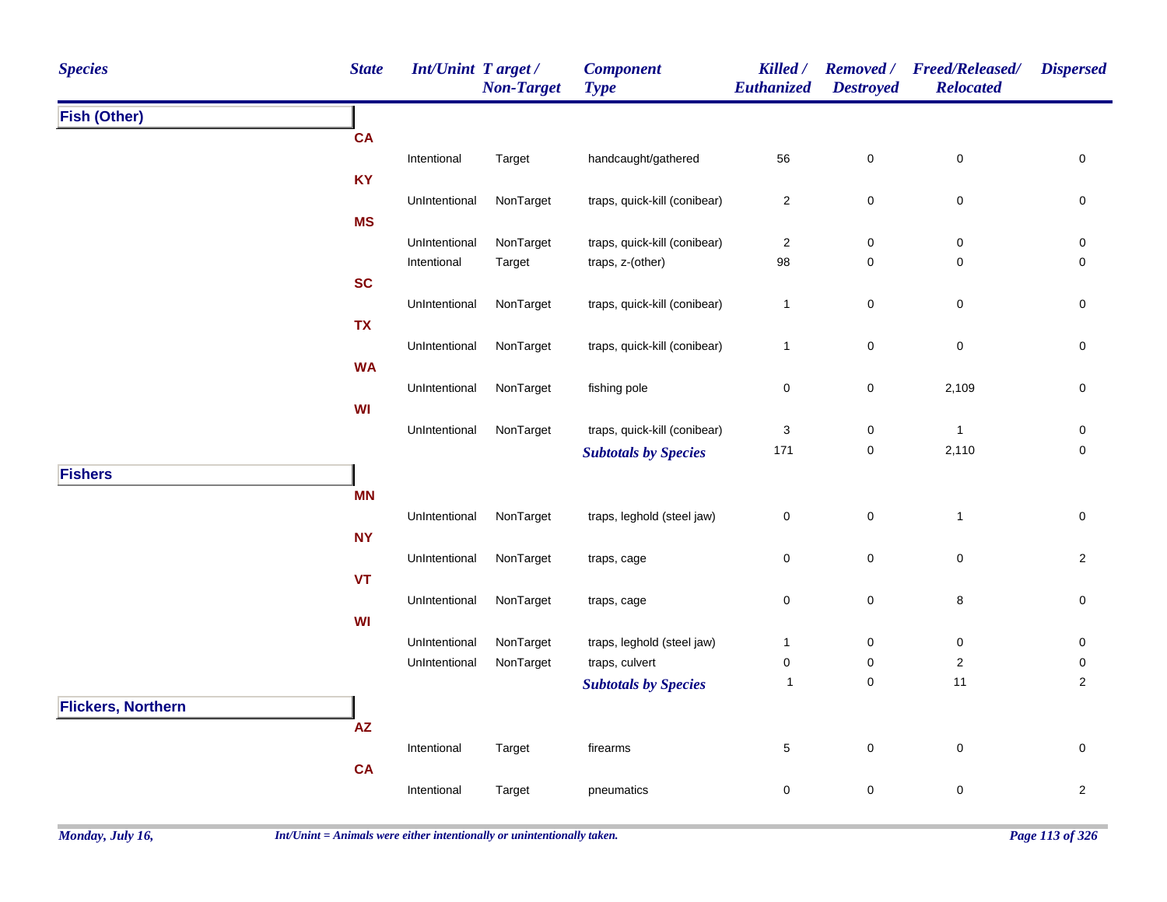| <b>Species</b>            | <b>State</b>  | Int/Unint Target /<br><b>Non-Target</b> | <b>Component</b><br><b>Type</b> | Killed /<br>Euthanized  | <b>Removed</b> /<br><b>Destroyed</b> | <b>Freed/Released/</b><br><b>Relocated</b> | <b>Dispersed</b>         |
|---------------------------|---------------|-----------------------------------------|---------------------------------|-------------------------|--------------------------------------|--------------------------------------------|--------------------------|
| <b>Fish (Other)</b>       |               |                                         |                                 |                         |                                      |                                            |                          |
| <b>CA</b>                 |               |                                         |                                 |                         |                                      |                                            |                          |
|                           | Intentional   | Target                                  | handcaught/gathered             | 56                      | $\mathbf 0$                          | $\pmb{0}$                                  | $\mathbf 0$              |
| <b>KY</b>                 |               |                                         |                                 |                         |                                      |                                            |                          |
|                           | UnIntentional | NonTarget                               | traps, quick-kill (conibear)    | $\overline{\mathbf{c}}$ | $\mathsf 0$                          | $\pmb{0}$                                  | $\pmb{0}$                |
| <b>MS</b>                 |               |                                         |                                 |                         |                                      |                                            |                          |
|                           | UnIntentional | NonTarget                               | traps, quick-kill (conibear)    | 2                       | 0                                    | $\pmb{0}$                                  | 0                        |
|                           | Intentional   | Target                                  | traps, z-(other)                | 98                      | 0                                    | $\mathbf 0$                                | $\mathbf 0$              |
| <b>SC</b>                 |               |                                         |                                 |                         |                                      |                                            |                          |
|                           | UnIntentional | NonTarget                               | traps, quick-kill (conibear)    | $\mathbf{1}$            | 0                                    | $\pmb{0}$                                  | 0                        |
| <b>TX</b>                 |               |                                         |                                 |                         |                                      |                                            |                          |
|                           | UnIntentional | NonTarget                               | traps, quick-kill (conibear)    | $\mathbf{1}$            | $\pmb{0}$                            | $\pmb{0}$                                  | $\mathbf 0$              |
| <b>WA</b>                 |               |                                         |                                 |                         |                                      |                                            |                          |
|                           | UnIntentional | NonTarget                               | fishing pole                    | 0                       | 0                                    | 2,109                                      | 0                        |
| WI                        |               |                                         |                                 |                         |                                      |                                            |                          |
|                           | UnIntentional | NonTarget                               | traps, quick-kill (conibear)    | 3<br>171                | 0<br>$\pmb{0}$                       | $\mathbf{1}$<br>2,110                      | 0<br>$\mathsf{O}\xspace$ |
|                           |               |                                         | <b>Subtotals by Species</b>     |                         |                                      |                                            |                          |
| <b>Fishers</b>            |               |                                         |                                 |                         |                                      |                                            |                          |
| <b>MN</b>                 |               |                                         |                                 |                         |                                      |                                            |                          |
|                           | UnIntentional | NonTarget                               | traps, leghold (steel jaw)      | $\pmb{0}$               | $\pmb{0}$                            | $\overline{1}$                             | $\pmb{0}$                |
| <b>NY</b>                 |               |                                         |                                 |                         |                                      |                                            |                          |
|                           | UnIntentional | NonTarget                               | traps, cage                     | 0                       | $\pmb{0}$                            | $\pmb{0}$                                  | $\overline{a}$           |
| <b>VT</b>                 | UnIntentional | NonTarget                               |                                 | 0                       | $\mathbf 0$                          | $\bf 8$                                    | $\mathbf 0$              |
| WI                        |               |                                         | traps, cage                     |                         |                                      |                                            |                          |
|                           | UnIntentional | NonTarget                               | traps, leghold (steel jaw)      | $\mathbf{1}$            | $\boldsymbol{0}$                     | $\mathbf 0$                                | 0                        |
|                           | UnIntentional | NonTarget                               | traps, culvert                  | 0                       | $\mathbf 0$                          | $\mathbf 2$                                | 0                        |
|                           |               |                                         | <b>Subtotals by Species</b>     | $\mathbf{1}$            | $\mathbf 0$                          | 11                                         | $\overline{2}$           |
| <b>Flickers, Northern</b> |               |                                         |                                 |                         |                                      |                                            |                          |
| $\mathsf{A}\mathsf{Z}$    |               |                                         |                                 |                         |                                      |                                            |                          |
|                           | Intentional   | Target                                  | firearms                        | 5                       | $\pmb{0}$                            | $\pmb{0}$                                  | $\mathsf{O}\xspace$      |
| <b>CA</b>                 |               |                                         |                                 |                         |                                      |                                            |                          |
|                           | Intentional   | Target                                  | pneumatics                      | 0                       | $\pmb{0}$                            | $\pmb{0}$                                  | $\overline{a}$           |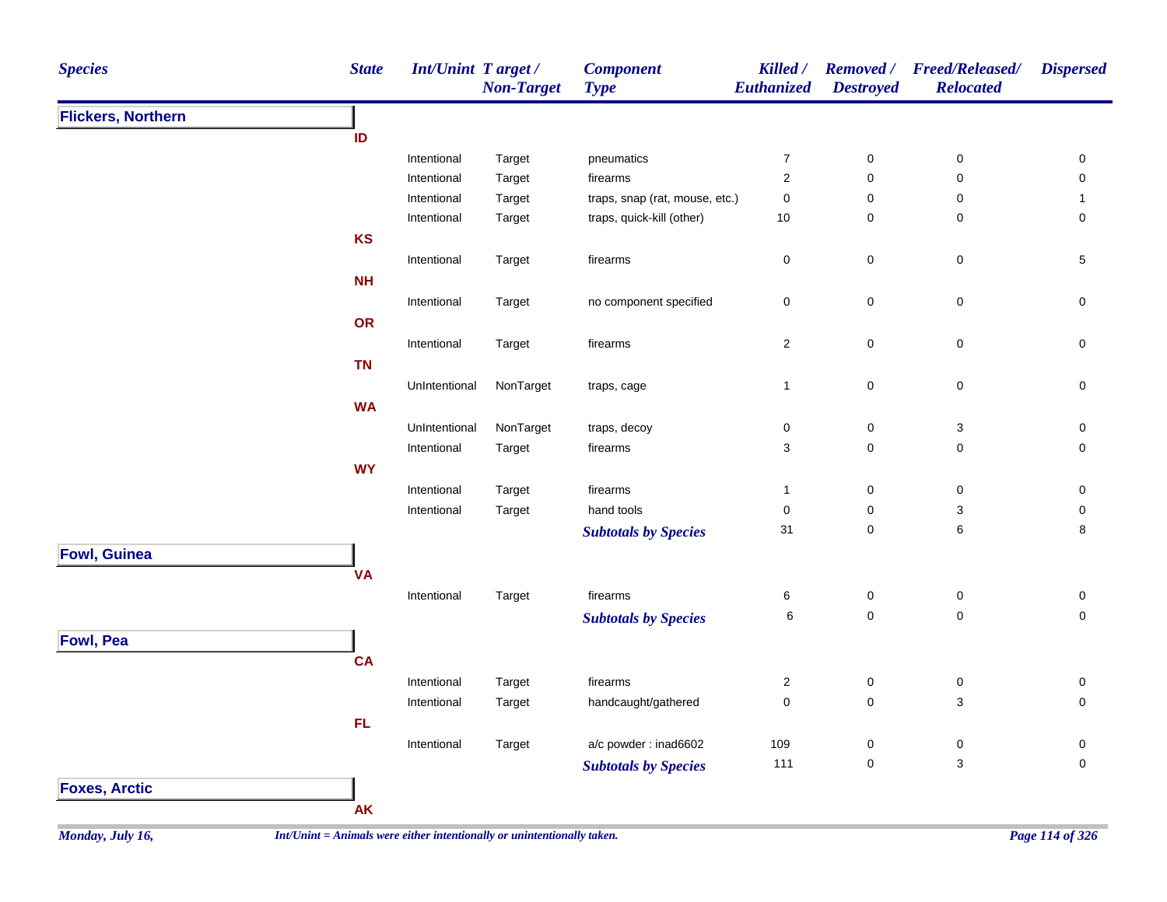| <b>Species</b>            | <b>State</b>                                                             | <b>Int/Unint Target/</b> | <b>Non-Target</b> | <b>Component</b><br><b>Type</b> | Killed /<br>Euthanized  | <b>Destroyed</b> | Removed / Freed/Released/<br><b>Relocated</b> | <b>Dispersed</b> |
|---------------------------|--------------------------------------------------------------------------|--------------------------|-------------------|---------------------------------|-------------------------|------------------|-----------------------------------------------|------------------|
| <b>Flickers, Northern</b> |                                                                          |                          |                   |                                 |                         |                  |                                               |                  |
|                           | ID                                                                       |                          |                   |                                 |                         |                  |                                               |                  |
|                           |                                                                          | Intentional              | Target            | pneumatics                      | $\overline{7}$          | $\mathbf 0$      | 0                                             | 0                |
|                           |                                                                          | Intentional              | Target            | firearms                        | $\overline{\mathbf{c}}$ | 0                | 0                                             | 0                |
|                           |                                                                          | Intentional              | Target            | traps, snap (rat, mouse, etc.)  | 0                       | 0                | 0                                             |                  |
|                           |                                                                          | Intentional              | Target            | traps, quick-kill (other)       | $10$                    | 0                | 0                                             | 0                |
|                           | <b>KS</b>                                                                |                          |                   |                                 |                         |                  |                                               |                  |
|                           |                                                                          | Intentional              | Target            | firearms                        | 0                       | 0                | $\pmb{0}$                                     | 5                |
|                           | <b>NH</b>                                                                |                          |                   |                                 |                         |                  |                                               |                  |
|                           |                                                                          | Intentional              | Target            | no component specified          | 0                       | 0                | $\pmb{0}$                                     | 0                |
|                           | OR                                                                       |                          |                   |                                 |                         |                  |                                               |                  |
|                           |                                                                          | Intentional              | Target            | firearms                        | $\overline{\mathbf{c}}$ | 0                | $\pmb{0}$                                     | 0                |
|                           | <b>TN</b>                                                                |                          |                   |                                 |                         |                  |                                               |                  |
|                           |                                                                          | UnIntentional            | NonTarget         | traps, cage                     | $\mathbf{1}$            | 0                | $\pmb{0}$                                     | 0                |
|                           | <b>WA</b>                                                                |                          |                   |                                 |                         |                  |                                               |                  |
|                           |                                                                          | UnIntentional            | NonTarget         | traps, decoy                    | 0                       | 0                | 3                                             | 0                |
|                           |                                                                          | Intentional              | Target            | firearms                        | 3                       | 0                | 0                                             | 0                |
|                           | <b>WY</b>                                                                |                          |                   |                                 |                         |                  |                                               |                  |
|                           |                                                                          | Intentional              | Target            | firearms                        | $\mathbf{1}$            | 0                | 0                                             | 0                |
|                           |                                                                          | Intentional              | Target            | hand tools                      | 0                       | 0                | 3                                             | 0                |
|                           |                                                                          |                          |                   | <b>Subtotals by Species</b>     | 31                      | 0                | 6                                             | 8                |
| <b>Fowl, Guinea</b>       |                                                                          |                          |                   |                                 |                         |                  |                                               |                  |
|                           | <b>VA</b>                                                                |                          |                   |                                 |                         |                  |                                               |                  |
|                           |                                                                          | Intentional              | Target            | firearms                        | 6                       | 0                | $\pmb{0}$                                     | 0                |
|                           |                                                                          |                          |                   | <b>Subtotals by Species</b>     | 6                       | 0                | $\pmb{0}$                                     | $\mathbf 0$      |
|                           |                                                                          |                          |                   |                                 |                         |                  |                                               |                  |
| <b>Fowl, Pea</b>          |                                                                          |                          |                   |                                 |                         |                  |                                               |                  |
|                           | <b>CA</b>                                                                |                          |                   |                                 |                         |                  |                                               |                  |
|                           |                                                                          | Intentional              | Target            | firearms                        | 2                       | 0                | 0                                             | 0                |
|                           |                                                                          | Intentional              | Target            | handcaught/gathered             | 0                       | 0                | 3                                             | $\mathbf 0$      |
|                           | FL                                                                       |                          |                   |                                 |                         |                  |                                               |                  |
|                           |                                                                          | Intentional              | Target            | a/c powder: inad6602            | 109                     | 0                | 0                                             | 0                |
|                           |                                                                          |                          |                   | <b>Subtotals by Species</b>     | 111                     | $\mathbf 0$      | 3                                             | $\mathbf 0$      |
| <b>Foxes, Arctic</b>      |                                                                          |                          |                   |                                 |                         |                  |                                               |                  |
|                           | <b>AK</b>                                                                |                          |                   |                                 |                         |                  |                                               |                  |
| Monday, July 16,          | $Int/Unit = Animals$ were either intentionally or unintentionally taken. |                          |                   |                                 |                         |                  |                                               | Page 114 of 326  |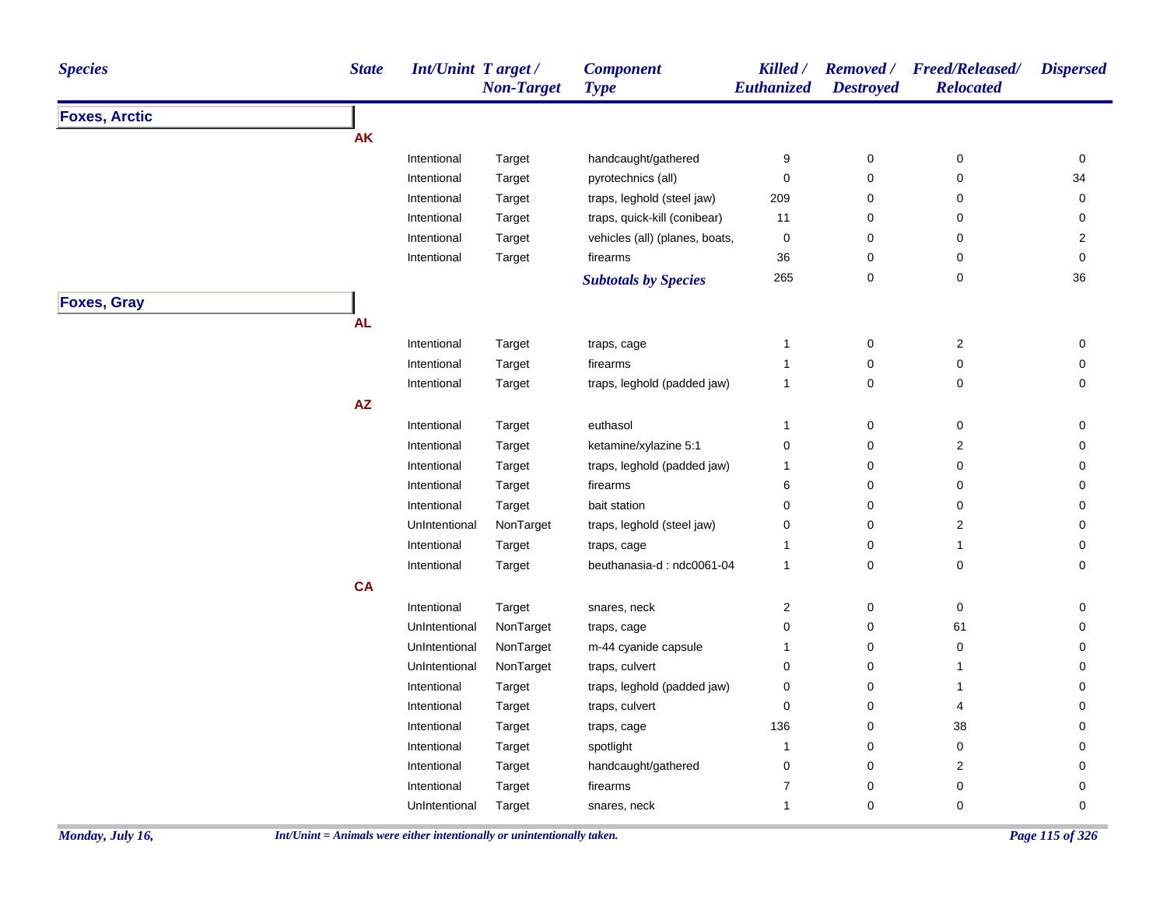| <b>Species</b>       | <b>State</b> | <b>Int/Unint Target/</b> | <b>Non-Target</b> | <b>Component</b><br><b>Type</b> | Killed /<br>Euthanized | <b>Destroyed</b> | Removed / Freed/Released/<br><b>Relocated</b> | <b>Dispersed</b>    |
|----------------------|--------------|--------------------------|-------------------|---------------------------------|------------------------|------------------|-----------------------------------------------|---------------------|
| <b>Foxes, Arctic</b> |              |                          |                   |                                 |                        |                  |                                               |                     |
|                      | <b>AK</b>    |                          |                   |                                 |                        |                  |                                               |                     |
|                      |              | Intentional              | Target            | handcaught/gathered             | 9                      | 0                | 0                                             | 0                   |
|                      |              | Intentional              | Target            | pyrotechnics (all)              | 0                      | 0                | 0                                             | 34                  |
|                      |              | Intentional              | Target            | traps, leghold (steel jaw)      | 209                    | 0                | 0                                             | $\mathsf{O}\xspace$ |
|                      |              | Intentional              | Target            | traps, quick-kill (conibear)    | 11                     | 0                | 0                                             | 0                   |
|                      |              | Intentional              | Target            | vehicles (all) (planes, boats,  | 0                      | 0                | 0                                             | 2                   |
|                      |              | Intentional              | Target            | firearms                        | 36                     | 0                | 0                                             | 0                   |
|                      |              |                          |                   | <b>Subtotals by Species</b>     | 265                    | 0                | $\pmb{0}$                                     | 36                  |
| <b>Foxes, Gray</b>   |              |                          |                   |                                 |                        |                  |                                               |                     |
|                      | <b>AL</b>    |                          |                   |                                 |                        |                  |                                               |                     |
|                      |              | Intentional              | Target            | traps, cage                     | $\mathbf{1}$           | $\pmb{0}$        | 2                                             | 0                   |
|                      |              | Intentional              | Target            | firearms                        | 1                      | 0                | 0                                             | $\mathbf 0$         |
|                      |              | Intentional              | Target            | traps, leghold (padded jaw)     | 1                      | 0                | 0                                             | 0                   |
|                      | AZ           |                          |                   |                                 |                        |                  |                                               |                     |
|                      |              | Intentional              | Target            | euthasol                        | 1                      | 0                | 0                                             | 0                   |
|                      |              | Intentional              | Target            | ketamine/xylazine 5:1           | 0                      | 0                | $\overline{\mathbf{c}}$                       | 0                   |
|                      |              | Intentional              | Target            | traps, leghold (padded jaw)     | $\mathbf{1}$           | 0                | 0                                             | 0                   |
|                      |              | Intentional              | Target            | firearms                        | 6                      | 0                | 0                                             | 0                   |
|                      |              | Intentional              | Target            | bait station                    | 0                      | 0                | 0                                             | 0                   |
|                      |              | UnIntentional            | NonTarget         | traps, leghold (steel jaw)      | 0                      | 0                | $\overline{\mathbf{c}}$                       | 0                   |
|                      |              | Intentional              | Target            | traps, cage                     | $\mathbf{1}$           | 0                | $\mathbf{1}$                                  | 0                   |
|                      |              | Intentional              | Target            | beuthanasia-d: ndc0061-04       | $\mathbf{1}$           | 0                | 0                                             | 0                   |
|                      | <b>CA</b>    |                          |                   |                                 |                        |                  |                                               |                     |
|                      |              | Intentional              | Target            | snares, neck                    | 2                      | 0                | 0                                             | 0                   |
|                      |              | UnIntentional            | NonTarget         | traps, cage                     | 0                      | 0                | 61                                            | 0                   |
|                      |              | UnIntentional            | NonTarget         | m-44 cyanide capsule            | 1                      | 0                | 0                                             | 0                   |
|                      |              | UnIntentional            | NonTarget         | traps, culvert                  | 0                      | 0                | $\mathbf{1}$                                  | 0                   |
|                      |              | Intentional              | Target            | traps, leghold (padded jaw)     | 0                      | 0                | $\mathbf{1}$                                  | 0                   |
|                      |              | Intentional              | Target            | traps, culvert                  | 0                      | 0                | 4                                             | 0                   |
|                      |              | Intentional              | Target            | traps, cage                     | 136                    | 0                | 38                                            | 0                   |
|                      |              | Intentional              | Target            | spotlight                       | 1                      | 0                | 0                                             | 0                   |
|                      |              | Intentional              | Target            | handcaught/gathered             | 0                      | 0                | $\overline{2}$                                | 0                   |
|                      |              | Intentional              | Target            | firearms                        | 7                      | 0                | 0                                             | 0                   |
|                      |              | UnIntentional            | Target            | snares, neck                    | $\mathbf{1}$           | 0                | $\pmb{0}$                                     | 0                   |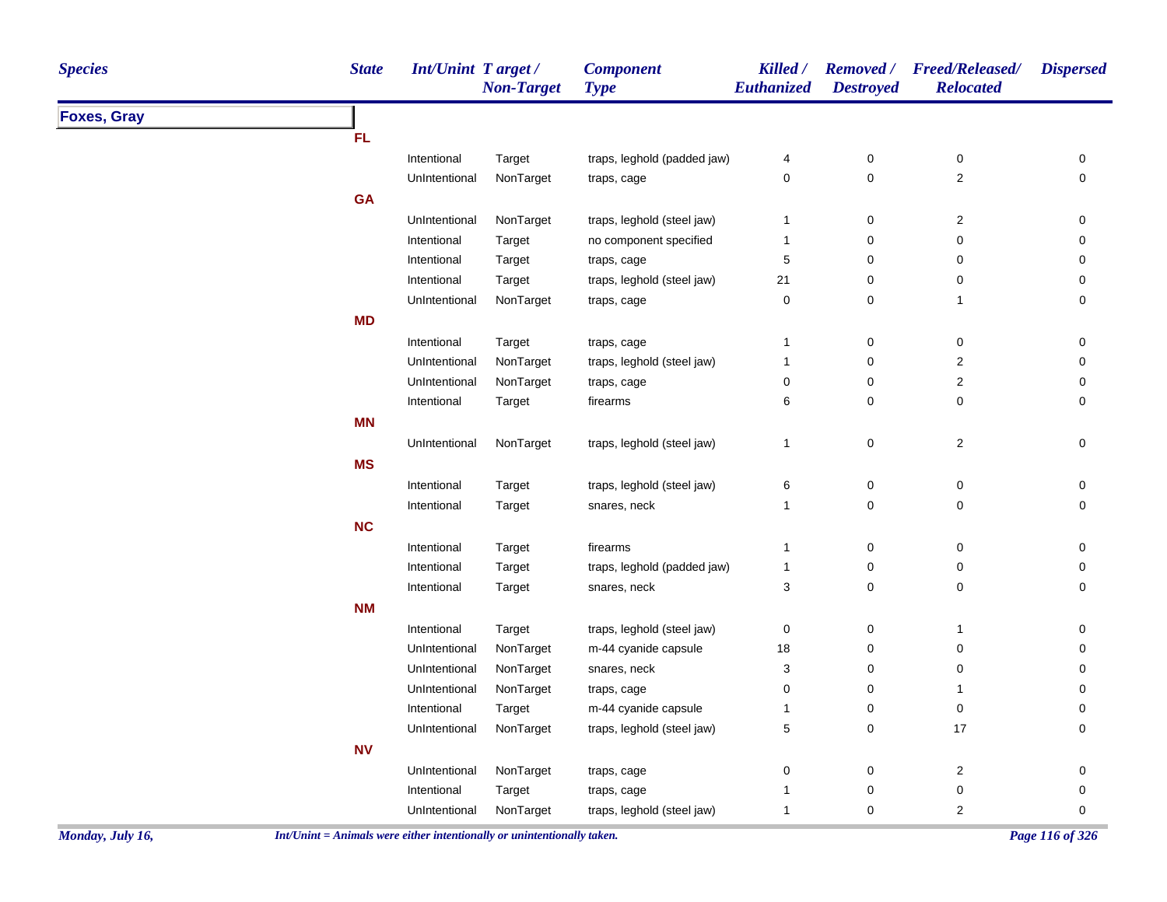| <b>Species</b>     | <b>State</b> | Int/Unint Target/ | <b>Non-Target</b> | <b>Component</b><br><b>Type</b> | Killed /<br><b>Euthanized</b> | <b>Destroyed</b> | Removed / Freed/Released/<br><b>Relocated</b> | <b>Dispersed</b> |
|--------------------|--------------|-------------------|-------------------|---------------------------------|-------------------------------|------------------|-----------------------------------------------|------------------|
| <b>Foxes, Gray</b> |              |                   |                   |                                 |                               |                  |                                               |                  |
|                    | <b>FL</b>    |                   |                   |                                 |                               |                  |                                               |                  |
|                    |              | Intentional       | Target            | traps, leghold (padded jaw)     | 4                             | $\pmb{0}$        | $\pmb{0}$                                     | 0                |
|                    |              | UnIntentional     | NonTarget         | traps, cage                     | 0                             | $\pmb{0}$        | $\sqrt{2}$                                    | 0                |
|                    | <b>GA</b>    |                   |                   |                                 |                               |                  |                                               |                  |
|                    |              | UnIntentional     | NonTarget         | traps, leghold (steel jaw)      | $\mathbf{1}$                  | $\pmb{0}$        | $\overline{2}$                                | 0                |
|                    |              | Intentional       | Target            | no component specified          | $\mathbf{1}$                  | 0                | $\mathbf 0$                                   | 0                |
|                    |              | Intentional       | Target            | traps, cage                     | 5                             | 0                | $\mathbf 0$                                   | $\mathbf 0$      |
|                    |              | Intentional       | Target            | traps, leghold (steel jaw)      | 21                            | 0                | $\mathbf 0$                                   | 0                |
|                    |              | UnIntentional     | NonTarget         | traps, cage                     | 0                             | $\pmb{0}$        | $\mathbf{1}$                                  | $\mathbf 0$      |
|                    | <b>MD</b>    |                   |                   |                                 |                               |                  |                                               |                  |
|                    |              | Intentional       | Target            | traps, cage                     | $\mathbf{1}$                  | $\mathsf 0$      | $\pmb{0}$                                     | $\mathbf 0$      |
|                    |              | UnIntentional     | NonTarget         | traps, leghold (steel jaw)      | $\mathbf{1}$                  | $\pmb{0}$        | $\mathbf 2$                                   | $\mathbf 0$      |
|                    |              | UnIntentional     | NonTarget         | traps, cage                     | 0                             | $\pmb{0}$        | $\overline{2}$                                | 0                |
|                    |              | Intentional       | Target            | firearms                        | 6                             | $\mathbf 0$      | $\pmb{0}$                                     | $\mathbf 0$      |
|                    | <b>MN</b>    |                   |                   |                                 |                               |                  |                                               |                  |
|                    |              | UnIntentional     | NonTarget         | traps, leghold (steel jaw)      | $\mathbf{1}$                  | $\pmb{0}$        | $\mathbf{2}$                                  | 0                |
|                    | <b>MS</b>    |                   |                   |                                 |                               |                  |                                               |                  |
|                    |              | Intentional       | Target            | traps, leghold (steel jaw)      | $\,6$                         | $\pmb{0}$        | $\pmb{0}$                                     | 0                |
|                    |              | Intentional       | Target            | snares, neck                    | $\mathbf{1}$                  | 0                | $\mathbf 0$                                   | $\mathbf 0$      |
|                    | <b>NC</b>    |                   |                   |                                 |                               |                  |                                               |                  |
|                    |              | Intentional       | Target            | firearms                        | $\mathbf{1}$                  | $\mathsf 0$      | $\pmb{0}$                                     | $\mathbf 0$      |
|                    |              | Intentional       | Target            | traps, leghold (padded jaw)     | $\mathbf{1}$                  | $\pmb{0}$        | $\pmb{0}$                                     | 0                |
|                    |              | Intentional       | Target            | snares, neck                    | 3                             | $\mathsf 0$      | $\mathbf 0$                                   | $\mathbf 0$      |
|                    | <b>NM</b>    |                   |                   |                                 |                               |                  |                                               |                  |
|                    |              | Intentional       | Target            | traps, leghold (steel jaw)      | $\pmb{0}$                     | $\pmb{0}$        | $\mathbf{1}$                                  | 0                |
|                    |              | UnIntentional     | NonTarget         | m-44 cyanide capsule            | 18                            | $\pmb{0}$        | $\pmb{0}$                                     | 0                |
|                    |              | UnIntentional     | NonTarget         | snares, neck                    | 3                             | 0                | $\mathbf 0$                                   | $\mathbf 0$      |
|                    |              | UnIntentional     | NonTarget         | traps, cage                     | 0                             | $\pmb{0}$        | $\mathbf{1}$                                  | $\mathbf 0$      |
|                    |              | Intentional       | Target            | m-44 cyanide capsule            | 1                             | $\pmb{0}$        | $\pmb{0}$                                     | 0                |
|                    |              | UnIntentional     | NonTarget         | traps, leghold (steel jaw)      | 5                             | $\pmb{0}$        | 17                                            | $\mathbf 0$      |
|                    | <b>NV</b>    |                   |                   |                                 |                               |                  |                                               |                  |
|                    |              | UnIntentional     | NonTarget         | traps, cage                     | $\pmb{0}$                     | 0                | $\sqrt{2}$                                    | 0                |
|                    |              | Intentional       | Target            | traps, cage                     | 1                             | $\pmb{0}$        | $\boldsymbol{0}$                              | $\pmb{0}$        |
|                    |              | UnIntentional     | NonTarget         | traps, leghold (steel jaw)      | $\mathbf{1}$                  | 0                | $\overline{2}$                                | 0                |
|                    |              |                   |                   |                                 |                               |                  |                                               |                  |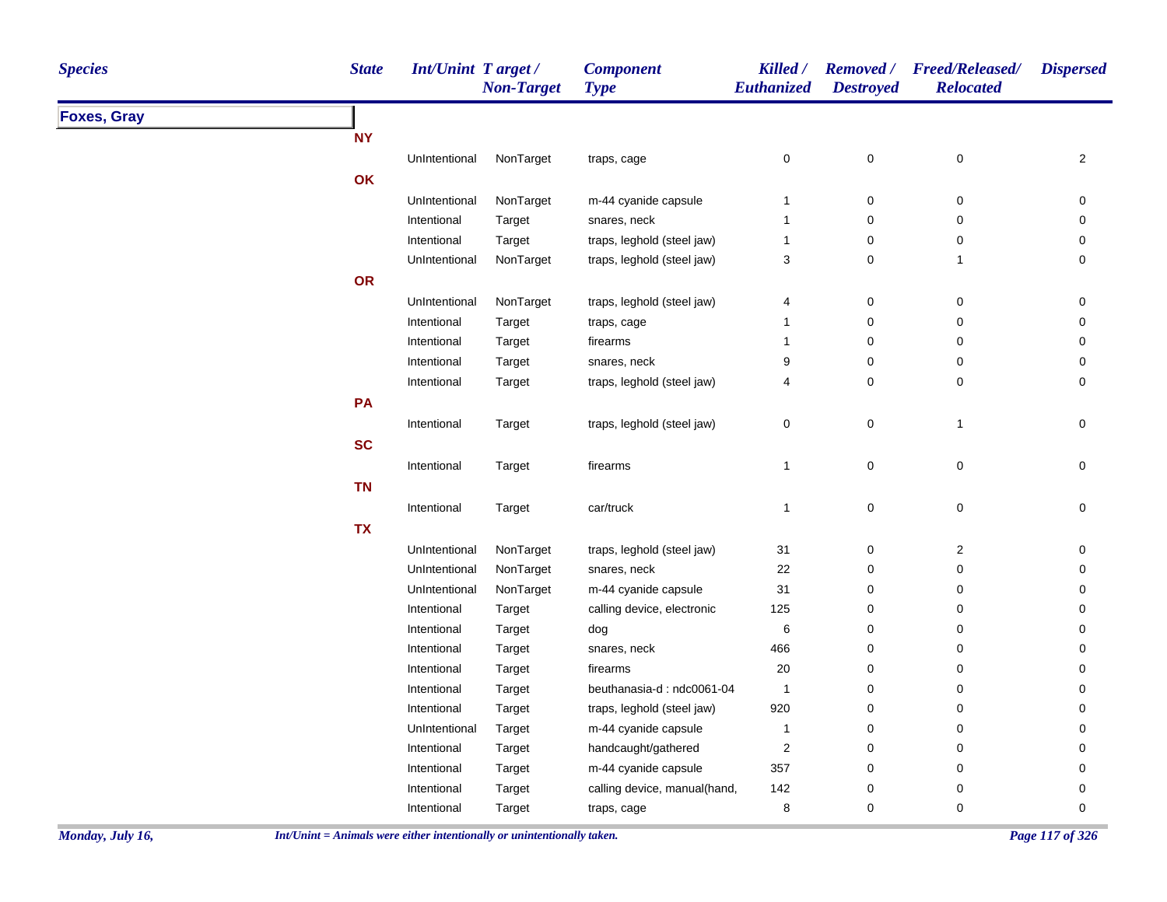| <b>Species</b>     | <b>State</b> | <b>Int/Unint Target/</b> | <b>Non-Target</b> | <b>Component</b><br><b>Type</b> | Killed /<br>Euthanized | <b>Removed</b> /<br><b>Destroyed</b> | <b>Freed/Released/</b><br><b>Relocated</b> | <b>Dispersed</b> |
|--------------------|--------------|--------------------------|-------------------|---------------------------------|------------------------|--------------------------------------|--------------------------------------------|------------------|
| <b>Foxes, Gray</b> |              |                          |                   |                                 |                        |                                      |                                            |                  |
|                    | <b>NY</b>    |                          |                   |                                 |                        |                                      |                                            |                  |
|                    |              | UnIntentional            | NonTarget         | traps, cage                     | $\pmb{0}$              | $\pmb{0}$                            | $\pmb{0}$                                  | $\overline{c}$   |
|                    | OK           |                          |                   |                                 |                        |                                      |                                            |                  |
|                    |              | UnIntentional            | NonTarget         | m-44 cyanide capsule            | $\mathbf{1}$           | $\pmb{0}$                            | $\pmb{0}$                                  | 0                |
|                    |              | Intentional              | Target            | snares, neck                    | $\mathbf{1}$           | $\pmb{0}$                            | $\pmb{0}$                                  | $\pmb{0}$        |
|                    |              | Intentional              | Target            | traps, leghold (steel jaw)      | $\mathbf{1}$           | 0                                    | 0                                          | 0                |
|                    |              | UnIntentional            | NonTarget         | traps, leghold (steel jaw)      | 3                      | 0                                    | $\mathbf{1}$                               | 0                |
|                    | OR           |                          |                   |                                 |                        |                                      |                                            |                  |
|                    |              | UnIntentional            | NonTarget         | traps, leghold (steel jaw)      | 4                      | 0                                    | 0                                          | 0                |
|                    |              | Intentional              | Target            | traps, cage                     | $\overline{1}$         | $\pmb{0}$                            | $\pmb{0}$                                  | $\pmb{0}$        |
|                    |              | Intentional              | Target            | firearms                        | $\mathbf{1}$           | $\pmb{0}$                            | $\pmb{0}$                                  | 0                |
|                    |              | Intentional              | Target            | snares, neck                    | 9                      | $\pmb{0}$                            | $\mathbf 0$                                | 0                |
|                    |              | Intentional              | Target            | traps, leghold (steel jaw)      | $\overline{4}$         | 0                                    | 0                                          | 0                |
|                    | PA           |                          |                   |                                 |                        |                                      |                                            |                  |
|                    |              | Intentional              | Target            | traps, leghold (steel jaw)      | $\mathbf 0$            | $\mathbf 0$                          | $\mathbf{1}$                               | 0                |
|                    | <b>SC</b>    |                          |                   |                                 |                        |                                      |                                            |                  |
|                    |              | Intentional              | Target            | firearms                        | $\mathbf{1}$           | 0                                    | 0                                          | 0                |
|                    | <b>TN</b>    |                          |                   |                                 |                        |                                      |                                            |                  |
|                    |              | Intentional              | Target            | car/truck                       | $\mathbf{1}$           | $\pmb{0}$                            | $\pmb{0}$                                  | 0                |
|                    | <b>TX</b>    |                          |                   |                                 |                        |                                      |                                            |                  |
|                    |              | UnIntentional            | NonTarget         | traps, leghold (steel jaw)      | 31                     | 0                                    | $\overline{\mathbf{c}}$                    | 0                |
|                    |              | UnIntentional            | NonTarget         | snares, neck                    | 22                     | $\pmb{0}$                            | $\pmb{0}$                                  | 0                |
|                    |              | UnIntentional            | NonTarget         | m-44 cyanide capsule            | 31                     | $\pmb{0}$                            | 0                                          | 0                |
|                    |              | Intentional              | Target            | calling device, electronic      | 125                    | 0                                    | 0                                          | 0                |
|                    |              | Intentional              | Target            | dog                             | $\,6\,$                | 0                                    | 0                                          | 0                |
|                    |              | Intentional              | Target            | snares, neck                    | 466                    | $\pmb{0}$                            | 0                                          | 0                |
|                    |              | Intentional              | Target            | firearms                        | $20\,$                 | $\pmb{0}$                            | 0                                          | 0                |
|                    |              | Intentional              | Target            | beuthanasia-d: ndc0061-04       | $\overline{1}$         | $\pmb{0}$                            | 0                                          | 0                |
|                    |              | Intentional              | Target            | traps, leghold (steel jaw)      | 920                    | $\mathbf 0$                          | 0                                          | 0                |
|                    |              | UnIntentional            | Target            | m-44 cyanide capsule            | $\mathbf{1}$           | $\pmb{0}$                            | $\pmb{0}$                                  | $\pmb{0}$        |
|                    |              | Intentional              | Target            | handcaught/gathered             | $\sqrt{2}$             | $\pmb{0}$                            | 0                                          | 0                |
|                    |              | Intentional              | Target            | m-44 cyanide capsule            | 357                    | 0                                    | 0                                          | 0                |
|                    |              | Intentional              | Target            | calling device, manual(hand,    | 142                    | 0                                    | 0                                          | 0                |
|                    |              | Intentional              | Target            | traps, cage                     | $\bf 8$                | $\pmb{0}$                            | $\mathbf 0$                                | $\pmb{0}$        |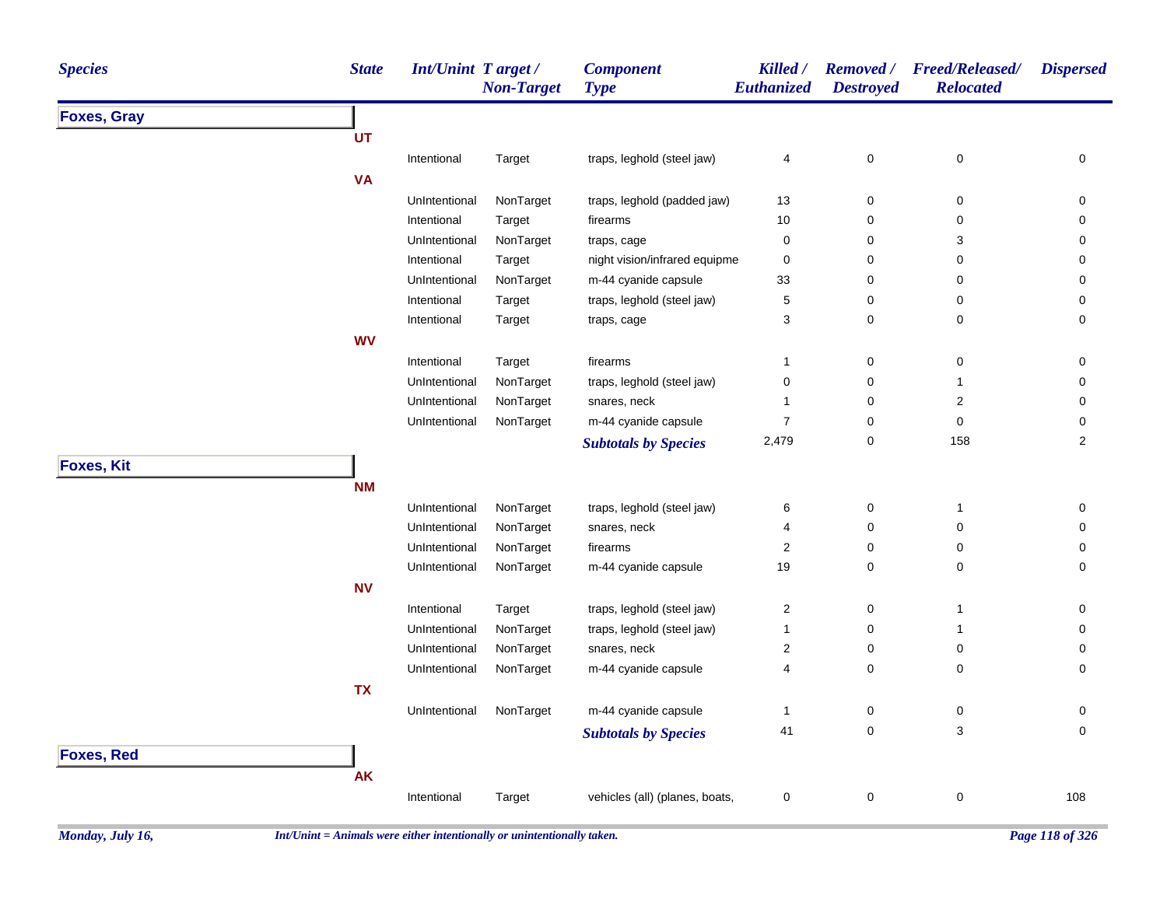| <b>Species</b>     | <b>State</b> | <b>Int/Unint Target/</b> | <b>Non-Target</b> | <b>Component</b><br><b>Type</b> | Killed /<br>Euthanized | <b>Removed</b> /<br><b>Destroyed</b> | <b>Freed/Released/</b><br><b>Relocated</b> | <b>Dispersed</b> |
|--------------------|--------------|--------------------------|-------------------|---------------------------------|------------------------|--------------------------------------|--------------------------------------------|------------------|
| <b>Foxes, Gray</b> |              |                          |                   |                                 |                        |                                      |                                            |                  |
|                    | <b>UT</b>    |                          |                   |                                 |                        |                                      |                                            |                  |
|                    |              | Intentional              | Target            | traps, leghold (steel jaw)      | 4                      | $\pmb{0}$                            | $\pmb{0}$                                  | $\pmb{0}$        |
|                    | <b>VA</b>    |                          |                   |                                 |                        |                                      |                                            |                  |
|                    |              | UnIntentional            | NonTarget         | traps, leghold (padded jaw)     | 13                     | $\mathbf 0$                          | 0                                          | 0                |
|                    |              | Intentional              | Target            | firearms                        | 10                     | $\mathbf 0$                          | $\pmb{0}$                                  | 0                |
|                    |              | UnIntentional            | NonTarget         | traps, cage                     | $\mathbf 0$            | $\pmb{0}$                            | 3                                          | 0                |
|                    |              | Intentional              | Target            | night vision/infrared equipme   | $\mathbf 0$            | $\mathbf 0$                          | $\mathbf 0$                                | 0                |
|                    |              | UnIntentional            | NonTarget         | m-44 cyanide capsule            | 33                     | $\mathbf 0$                          | 0                                          | 0                |
|                    |              | Intentional              | Target            | traps, leghold (steel jaw)      | $\,$ 5 $\,$            | $\mathbf 0$                          | 0                                          | 0                |
|                    |              | Intentional              | Target            | traps, cage                     | $\mathsf 3$            | $\pmb{0}$                            | 0                                          | 0                |
|                    | <b>WV</b>    |                          |                   |                                 |                        |                                      |                                            |                  |
|                    |              | Intentional              | Target            | firearms                        | $\overline{1}$         | $\pmb{0}$                            | $\pmb{0}$                                  | 0                |
|                    |              | UnIntentional            | NonTarget         | traps, leghold (steel jaw)      | $\mathbf 0$            | $\mathbf 0$                          | $\mathbf{1}$                               | 0                |
|                    |              | UnIntentional            | NonTarget         | snares, neck                    | $\overline{1}$         | $\pmb{0}$                            | $\sqrt{2}$                                 | 0                |
|                    |              | UnIntentional            | NonTarget         | m-44 cyanide capsule            | $\overline{7}$         | $\pmb{0}$                            | $\pmb{0}$                                  | $\pmb{0}$        |
|                    |              |                          |                   | <b>Subtotals by Species</b>     | 2,479                  | $\pmb{0}$                            | 158                                        | $\boldsymbol{2}$ |
| <b>Foxes, Kit</b>  |              |                          |                   |                                 |                        |                                      |                                            |                  |
|                    | <b>NM</b>    |                          |                   |                                 |                        |                                      |                                            |                  |
|                    |              | UnIntentional            | NonTarget         | traps, leghold (steel jaw)      | 6                      | $\pmb{0}$                            | $\mathbf{1}$                               | $\pmb{0}$        |
|                    |              | UnIntentional            | NonTarget         | snares, neck                    | $\overline{4}$         | $\mathbf 0$                          | $\mathbf 0$                                | 0                |
|                    |              | UnIntentional            | NonTarget         | firearms                        | $\boldsymbol{2}$       | $\pmb{0}$                            | $\mathbf 0$                                | 0                |
|                    |              | UnIntentional            | NonTarget         | m-44 cyanide capsule            | 19                     | $\mathbf 0$                          | 0                                          | 0                |
|                    | <b>NV</b>    |                          |                   |                                 |                        |                                      |                                            |                  |
|                    |              | Intentional              | Target            | traps, leghold (steel jaw)      | $\sqrt{2}$             | $\pmb{0}$                            | $\overline{1}$                             | $\pmb{0}$        |
|                    |              | UnIntentional            | NonTarget         | traps, leghold (steel jaw)      | $\overline{1}$         | $\pmb{0}$                            | $\mathbf{1}$                               | $\pmb{0}$        |
|                    |              | UnIntentional            | NonTarget         | snares, neck                    | $\boldsymbol{2}$       | $\pmb{0}$                            | $\pmb{0}$                                  | 0                |
|                    |              | UnIntentional            | NonTarget         | m-44 cyanide capsule            | 4                      | $\pmb{0}$                            | 0                                          | 0                |
|                    | <b>TX</b>    |                          |                   |                                 |                        |                                      |                                            |                  |
|                    |              | UnIntentional            | NonTarget         | m-44 cyanide capsule            | $\overline{1}$         | $\mathbf 0$                          | 0                                          | 0                |
|                    |              |                          |                   | <b>Subtotals by Species</b>     | 41                     | $\mathbf 0$                          | 3                                          | $\mathbf 0$      |
| <b>Foxes, Red</b>  |              |                          |                   |                                 |                        |                                      |                                            |                  |
|                    | <b>AK</b>    |                          |                   |                                 |                        |                                      |                                            |                  |
|                    |              |                          |                   |                                 |                        |                                      |                                            |                  |
|                    |              | Intentional              | Target            | vehicles (all) (planes, boats,  | $\mathbf 0$            | $\pmb{0}$                            | 0                                          | 108              |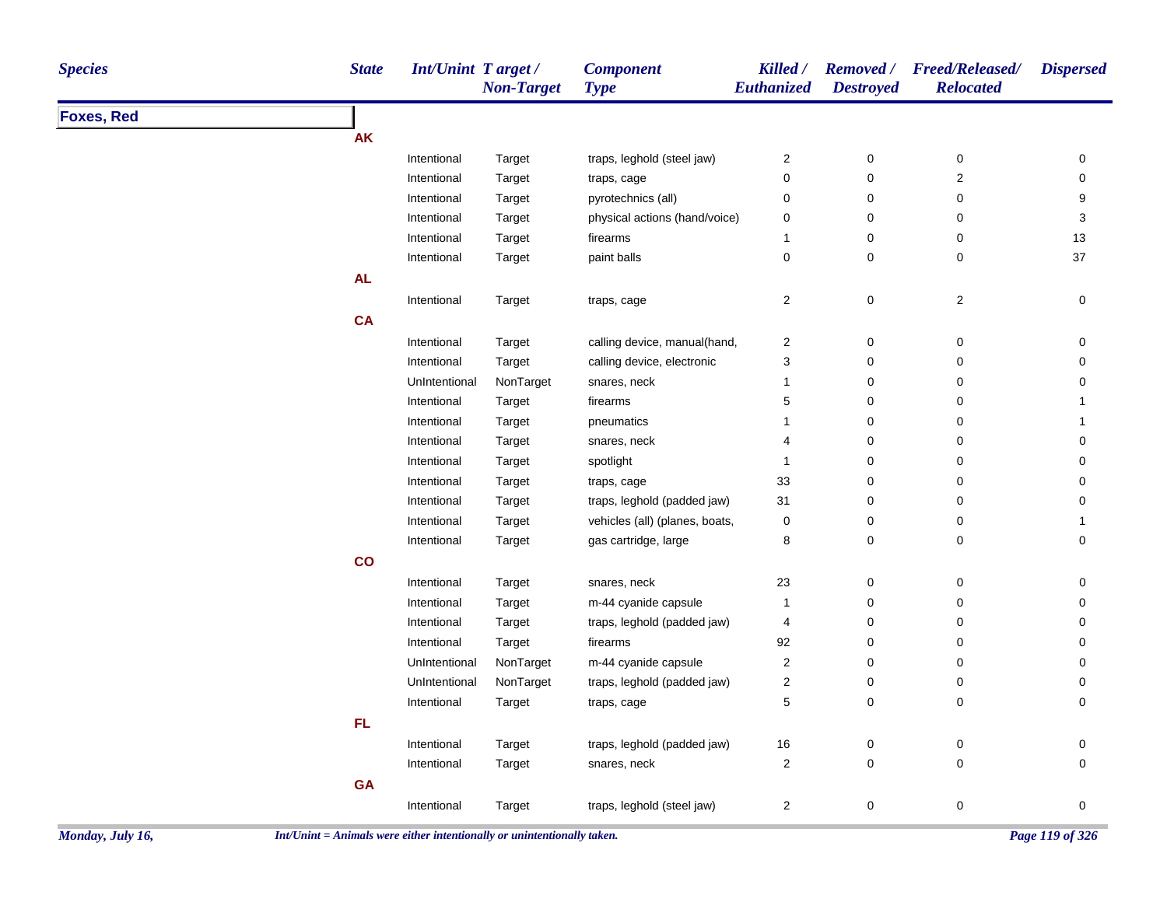| <b>Species</b>    | <b>State</b> | Int/Unint Target/ | <b>Non-Target</b> | <b>Component</b><br><b>Type</b> | Killed /<br><b>Euthanized</b> | <b>Removed</b> /<br><b>Destroyed</b> | <b>Freed/Released/</b><br><b>Relocated</b> | <b>Dispersed</b> |
|-------------------|--------------|-------------------|-------------------|---------------------------------|-------------------------------|--------------------------------------|--------------------------------------------|------------------|
| <b>Foxes, Red</b> |              |                   |                   |                                 |                               |                                      |                                            |                  |
|                   | <b>AK</b>    |                   |                   |                                 |                               |                                      |                                            |                  |
|                   |              | Intentional       | Target            | traps, leghold (steel jaw)      | $\overline{2}$                | $\pmb{0}$                            | $\pmb{0}$                                  | 0                |
|                   |              | Intentional       | Target            | traps, cage                     | $\mathsf 0$                   | $\pmb{0}$                            | $\sqrt{2}$                                 | $\pmb{0}$        |
|                   |              | Intentional       | Target            | pyrotechnics (all)              | $\pmb{0}$                     | $\pmb{0}$                            | $\pmb{0}$                                  | 9                |
|                   |              | Intentional       | Target            | physical actions (hand/voice)   | $\mathbf 0$                   | $\mathbf 0$                          | $\pmb{0}$                                  | 3                |
|                   |              | Intentional       | Target            | firearms                        | -1                            | $\pmb{0}$                            | $\mathbf 0$                                | 13               |
|                   |              | Intentional       | Target            | paint balls                     | $\mathsf 0$                   | $\pmb{0}$                            | $\pmb{0}$                                  | 37               |
|                   | AL           |                   |                   |                                 |                               |                                      |                                            |                  |
|                   |              | Intentional       | Target            | traps, cage                     | $\sqrt{2}$                    | $\pmb{0}$                            | $\overline{c}$                             | $\pmb{0}$        |
|                   | <b>CA</b>    |                   |                   |                                 |                               |                                      |                                            |                  |
|                   |              | Intentional       | Target            | calling device, manual(hand,    | $\overline{c}$                | $\pmb{0}$                            | 0                                          | 0                |
|                   |              | Intentional       | Target            | calling device, electronic      | 3                             | $\pmb{0}$                            | $\mathbf 0$                                | 0                |
|                   |              | UnIntentional     | NonTarget         | snares, neck                    | $\overline{1}$                | $\mathbf 0$                          | $\mathbf 0$                                | 0                |
|                   |              | Intentional       | Target            | firearms                        | 5                             | $\mathbf 0$                          | 0                                          | $\mathbf{1}$     |
|                   |              | Intentional       | Target            | pneumatics                      | 1                             | $\pmb{0}$                            | 0                                          | 1                |
|                   |              | Intentional       | Target            | snares, neck                    | 4                             | $\pmb{0}$                            | $\pmb{0}$                                  | 0                |
|                   |              | Intentional       | Target            | spotlight                       | $\overline{1}$                | $\mathbf 0$                          | 0                                          | 0                |
|                   |              | Intentional       | Target            | traps, cage                     | 33                            | $\mathbf 0$                          | 0                                          | 0                |
|                   |              | Intentional       | Target            | traps, leghold (padded jaw)     | 31                            | $\mathbf 0$                          | 0                                          | $\mathbf 0$      |
|                   |              | Intentional       | Target            | vehicles (all) (planes, boats,  | $\mathbf 0$                   | $\mathbf 0$                          | 0                                          | $\mathbf{1}$     |
|                   |              | Intentional       | Target            | gas cartridge, large            | 8                             | $\mathbf 0$                          | 0                                          | 0                |
|                   | co           |                   |                   |                                 |                               |                                      |                                            |                  |
|                   |              | Intentional       | Target            | snares, neck                    | 23                            | $\pmb{0}$                            | $\pmb{0}$                                  | $\pmb{0}$        |
|                   |              | Intentional       | Target            | m-44 cyanide capsule            | $\overline{1}$                | $\pmb{0}$                            | 0                                          | 0                |
|                   |              | Intentional       | Target            | traps, leghold (padded jaw)     | $\overline{4}$                | $\pmb{0}$                            | 0                                          | 0                |
|                   |              | Intentional       | Target            | firearms                        | 92                            | $\pmb{0}$                            | 0                                          | 0                |
|                   |              | UnIntentional     | NonTarget         | m-44 cyanide capsule            | $\sqrt{2}$                    | $\pmb{0}$                            | $\pmb{0}$                                  | $\pmb{0}$        |
|                   |              | UnIntentional     | NonTarget         | traps, leghold (padded jaw)     | $\boldsymbol{2}$              | $\pmb{0}$                            | $\pmb{0}$                                  | 0                |
|                   |              | Intentional       | Target            | traps, cage                     | $\,$ 5 $\,$                   | $\mathbf 0$                          | $\mathbf 0$                                | $\pmb{0}$        |
|                   | FL           |                   |                   |                                 |                               |                                      |                                            |                  |
|                   |              | Intentional       | Target            | traps, leghold (padded jaw)     | $16\,$                        | $\pmb{0}$                            | $\mathbf 0$                                | 0                |
|                   |              | Intentional       | Target            | snares, neck                    | $\boldsymbol{2}$              | $\pmb{0}$                            | $\pmb{0}$                                  | $\mathbf 0$      |
|                   | <b>GA</b>    |                   |                   |                                 |                               |                                      |                                            |                  |
|                   |              | Intentional       | Target            | traps, leghold (steel jaw)      | $\overline{2}$                | $\pmb{0}$                            | 0                                          | 0                |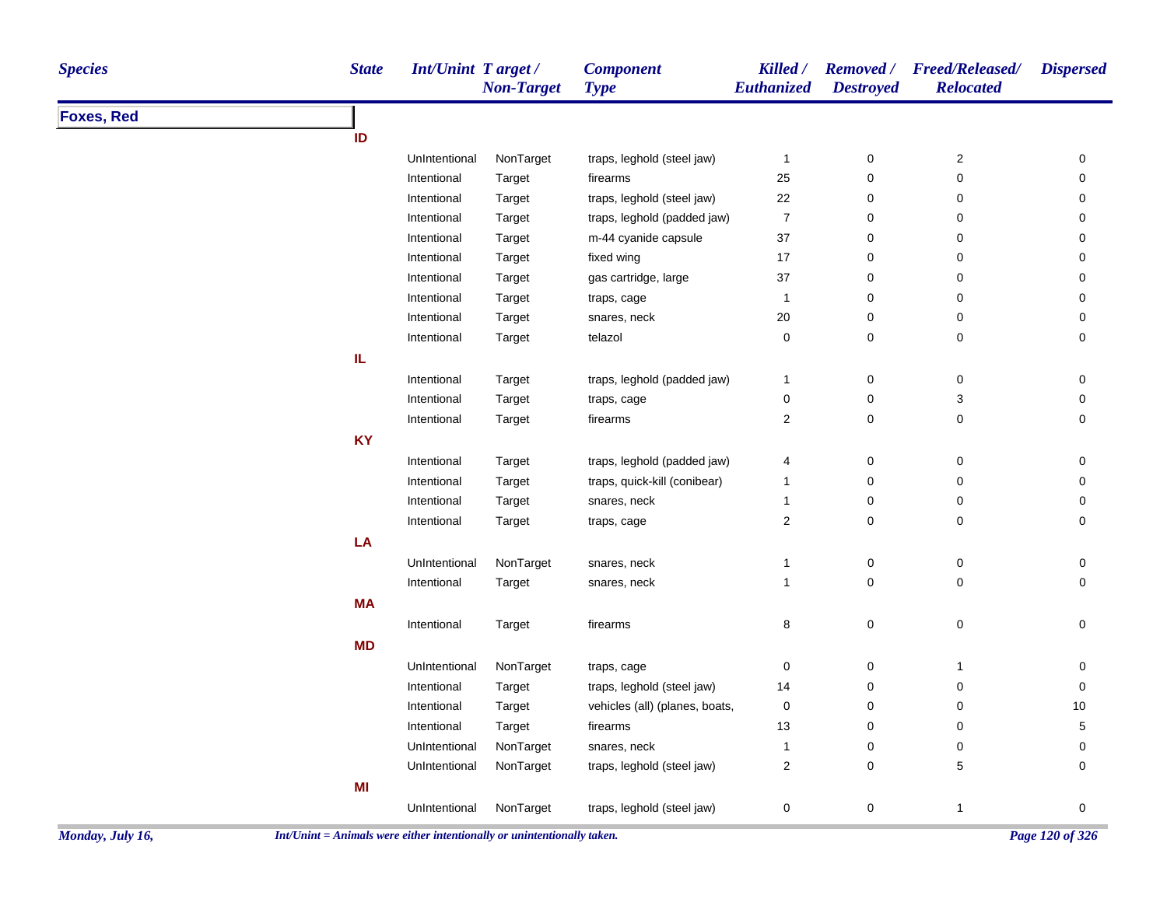| <b>Species</b>    | <b>State</b> | <b>Int/Unint Target/</b> | <b>Non-Target</b> | <b>Component</b><br><b>Type</b> | Killed /<br>Euthanized | <b>Destroyed</b> | Removed / Freed/Released/<br><b>Relocated</b> | <b>Dispersed</b> |
|-------------------|--------------|--------------------------|-------------------|---------------------------------|------------------------|------------------|-----------------------------------------------|------------------|
| <b>Foxes, Red</b> |              |                          |                   |                                 |                        |                  |                                               |                  |
|                   | ID           |                          |                   |                                 |                        |                  |                                               |                  |
|                   |              | UnIntentional            | NonTarget         | traps, leghold (steel jaw)      | 1                      | $\pmb{0}$        | $\mathbf 2$                                   | 0                |
|                   |              | Intentional              | Target            | firearms                        | 25                     | 0                | 0                                             | $\pmb{0}$        |
|                   |              | Intentional              | Target            | traps, leghold (steel jaw)      | 22                     | 0                | 0                                             | 0                |
|                   |              | Intentional              | Target            | traps, leghold (padded jaw)     | $\boldsymbol{7}$       | 0                | $\pmb{0}$                                     | 0                |
|                   |              | Intentional              | Target            | m-44 cyanide capsule            | 37                     | 0                | 0                                             | 0                |
|                   |              | Intentional              | Target            | fixed wing                      | 17                     | 0                | 0                                             | 0                |
|                   |              | Intentional              | Target            | gas cartridge, large            | 37                     | 0                | 0                                             | 0                |
|                   |              | Intentional              | Target            | traps, cage                     | 1                      | 0                | 0                                             | 0                |
|                   |              | Intentional              | Target            | snares, neck                    | $20\,$                 | 0                | 0                                             | $\pmb{0}$        |
|                   |              | Intentional              | Target            | telazol                         | $\pmb{0}$              | 0                | 0                                             | $\mathbf 0$      |
|                   | IL.          |                          |                   |                                 |                        |                  |                                               |                  |
|                   |              | Intentional              | Target            | traps, leghold (padded jaw)     | $\mathbf{1}$           | 0                | 0                                             | 0                |
|                   |              | Intentional              | Target            | traps, cage                     | 0                      | 0                | 3                                             | 0                |
|                   |              | Intentional              | Target            | firearms                        | $\overline{2}$         | $\mathbf 0$      | 0                                             | $\mathbf 0$      |
|                   | <b>KY</b>    |                          |                   |                                 |                        |                  |                                               |                  |
|                   |              | Intentional              | Target            | traps, leghold (padded jaw)     | 4                      | $\pmb{0}$        | $\pmb{0}$                                     | $\pmb{0}$        |
|                   |              | Intentional              | Target            | traps, quick-kill (conibear)    | $\mathbf{1}$           | 0                | 0                                             | 0                |
|                   |              | Intentional              | Target            | snares, neck                    | $\mathbf{1}$           | $\pmb{0}$        | 0                                             | $\pmb{0}$        |
|                   |              | Intentional              | Target            | traps, cage                     | $\overline{2}$         | 0                | 0                                             | 0                |
|                   | LA           |                          |                   |                                 |                        |                  |                                               |                  |
|                   |              | UnIntentional            | NonTarget         | snares, neck                    | $\mathbf{1}$           | $\pmb{0}$        | 0                                             | 0                |
|                   |              | Intentional              | Target            | snares, neck                    | $\mathbf{1}$           | 0                | 0                                             | $\mathbf 0$      |
|                   | <b>MA</b>    |                          |                   |                                 |                        |                  |                                               |                  |
|                   |              | Intentional              | Target            | firearms                        | 8                      | $\mathsf 0$      | $\mathsf 0$                                   | 0                |
|                   | <b>MD</b>    |                          |                   |                                 |                        |                  |                                               |                  |
|                   |              | UnIntentional            | NonTarget         | traps, cage                     | 0                      | $\pmb{0}$        | $\mathbf{1}$                                  | 0                |
|                   |              | Intentional              | Target            | traps, leghold (steel jaw)      | 14                     | 0                | 0                                             | $\pmb{0}$        |
|                   |              | Intentional              | Target            | vehicles (all) (planes, boats,  | $\mathbf 0$            | 0                | 0                                             | 10               |
|                   |              | Intentional              | Target            | firearms                        | 13                     | 0                | 0                                             | 5                |
|                   |              | UnIntentional            | NonTarget         | snares, neck                    | $\mathbf{1}$           | 0                | 0                                             | $\pmb{0}$        |
|                   |              | UnIntentional            | NonTarget         | traps, leghold (steel jaw)      | $\overline{c}$         | 0                | 5                                             | 0                |
|                   | MI           |                          |                   |                                 |                        |                  |                                               |                  |
|                   |              | UnIntentional            | NonTarget         | traps, leghold (steel jaw)      | $\pmb{0}$              | $\pmb{0}$        | $\mathbf{1}$                                  | 0                |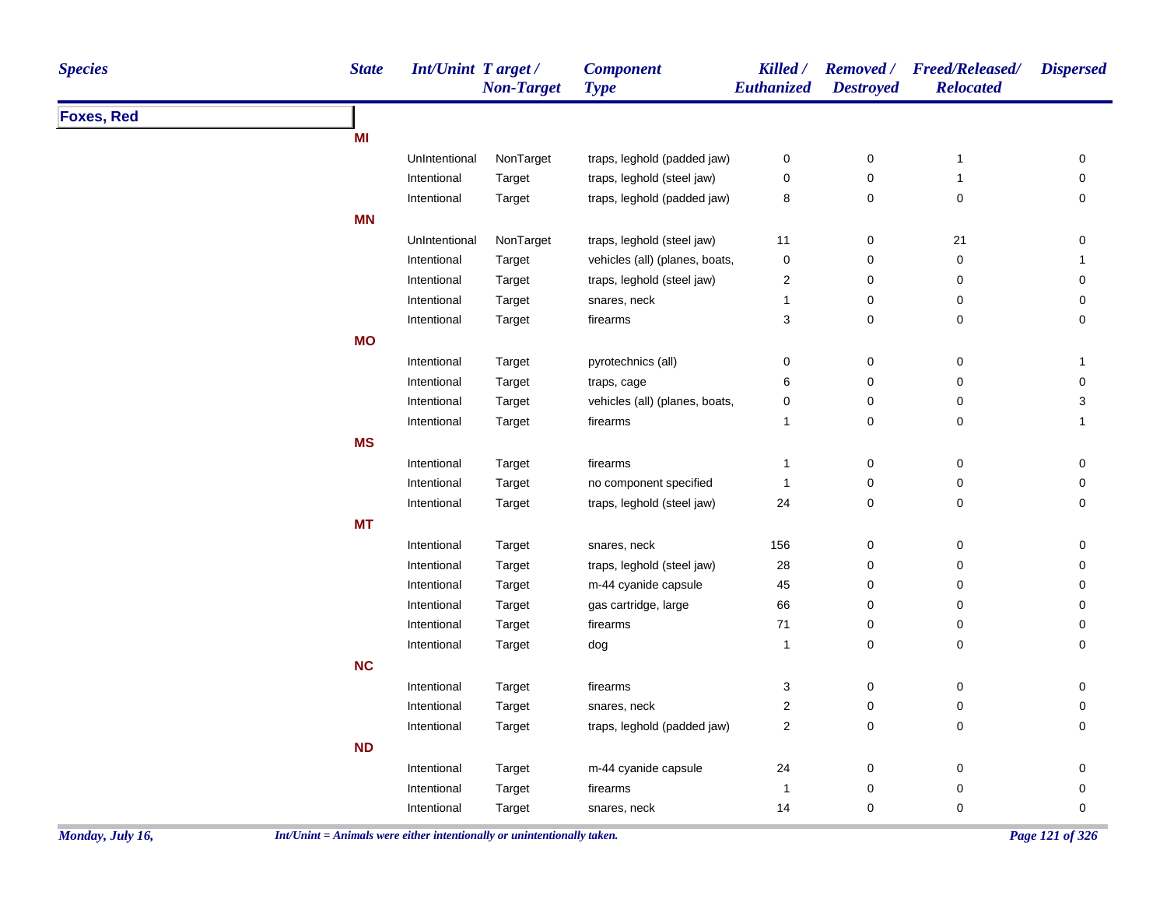| <b>Species</b>    | <b>State</b> | Int/Unint Target / | <b>Non-Target</b> | <b>Component</b><br><b>Type</b> | Killed /<br><b>Euthanized</b> | <b>Destroyed</b> | Removed / Freed/Released/<br><b>Relocated</b> | <b>Dispersed</b>          |
|-------------------|--------------|--------------------|-------------------|---------------------------------|-------------------------------|------------------|-----------------------------------------------|---------------------------|
| <b>Foxes, Red</b> |              |                    |                   |                                 |                               |                  |                                               |                           |
|                   | MI           |                    |                   |                                 |                               |                  |                                               |                           |
|                   |              | UnIntentional      | NonTarget         | traps, leghold (padded jaw)     | $\pmb{0}$                     | $\pmb{0}$        | $\overline{1}$                                | 0                         |
|                   |              | Intentional        | Target            | traps, leghold (steel jaw)      | 0                             | 0                | $\overline{1}$                                | 0                         |
|                   |              | Intentional        | Target            | traps, leghold (padded jaw)     | 8                             | $\mathbf 0$      | $\pmb{0}$                                     | $\mathbf 0$               |
|                   | <b>MN</b>    |                    |                   |                                 |                               |                  |                                               |                           |
|                   |              | UnIntentional      | NonTarget         | traps, leghold (steel jaw)      | 11                            | $\pmb{0}$        | 21                                            | 0                         |
|                   |              | Intentional        | Target            | vehicles (all) (planes, boats,  | $\pmb{0}$                     | $\mathbf 0$      | $\pmb{0}$                                     | $\mathbf{1}$              |
|                   |              | Intentional        | Target            | traps, leghold (steel jaw)      | 2                             | $\mathbf 0$      | 0                                             | $\pmb{0}$                 |
|                   |              | Intentional        | Target            | snares, neck                    | $\mathbf{1}$                  | 0                | $\pmb{0}$                                     | 0                         |
|                   |              | Intentional        | Target            | firearms                        | 3                             | 0                | $\mathbf 0$                                   | 0                         |
|                   | <b>MO</b>    |                    |                   |                                 |                               |                  |                                               |                           |
|                   |              | Intentional        | Target            | pyrotechnics (all)              | 0                             | $\mathsf 0$      | $\pmb{0}$                                     | $\mathbf{1}$              |
|                   |              | Intentional        | Target            | traps, cage                     | 6                             | $\mathbf 0$      | 0                                             | 0                         |
|                   |              | Intentional        | Target            | vehicles (all) (planes, boats,  | 0                             | 0                | $\pmb{0}$                                     | $\ensuremath{\mathsf{3}}$ |
|                   |              | Intentional        | Target            | firearms                        | $\mathbf{1}$                  | $\mathbf 0$      | $\mathbf 0$                                   | $\mathbf{1}$              |
|                   | <b>MS</b>    |                    |                   |                                 |                               |                  |                                               |                           |
|                   |              | Intentional        | Target            | firearms                        | $\mathbf{1}$                  | 0                | $\pmb{0}$                                     | 0                         |
|                   |              | Intentional        | Target            | no component specified          | $\mathbf{1}$                  | $\mathsf 0$      | $\pmb{0}$                                     | $\mathbf 0$               |
|                   |              | Intentional        | Target            | traps, leghold (steel jaw)      | 24                            | 0                | $\pmb{0}$                                     | $\pmb{0}$                 |
|                   | <b>MT</b>    |                    |                   |                                 |                               |                  |                                               |                           |
|                   |              | Intentional        | Target            | snares, neck                    | 156                           | $\pmb{0}$        | $\pmb{0}$                                     | $\pmb{0}$                 |
|                   |              | Intentional        | Target            | traps, leghold (steel jaw)      | $28\,$                        | $\mathbf 0$      | 0                                             | $\mathsf 0$               |
|                   |              | Intentional        | Target            | m-44 cyanide capsule            | 45                            | $\pmb{0}$        | $\pmb{0}$                                     | $\pmb{0}$                 |
|                   |              | Intentional        | Target            | gas cartridge, large            | 66                            | $\pmb{0}$        | $\pmb{0}$                                     | $\pmb{0}$                 |
|                   |              | Intentional        | Target            | firearms                        | $71$                          | $\mathbf 0$      | 0                                             | 0                         |
|                   |              | Intentional        | Target            | dog                             | $\mathbf{1}$                  | $\mathsf 0$      | $\pmb{0}$                                     | $\mathbf 0$               |
|                   | <b>NC</b>    |                    |                   |                                 |                               |                  |                                               |                           |
|                   |              | Intentional        | Target            | firearms                        | 3                             | $\pmb{0}$        | $\pmb{0}$                                     | $\pmb{0}$                 |
|                   |              | Intentional        | Target            | snares, neck                    | $\overline{\mathbf{c}}$       | $\mathbf 0$      | $\pmb{0}$                                     | 0                         |
|                   |              | Intentional        | Target            | traps, leghold (padded jaw)     | $\overline{2}$                | $\mathbf 0$      | 0                                             | 0                         |
|                   | <b>ND</b>    |                    |                   |                                 |                               |                  |                                               |                           |
|                   |              | Intentional        | Target            | m-44 cyanide capsule            | 24                            | $\pmb{0}$        | $\pmb{0}$                                     | $\pmb{0}$                 |
|                   |              | Intentional        | Target            | firearms                        | $\overline{1}$                | $\pmb{0}$        | $\pmb{0}$                                     | $\pmb{0}$                 |
|                   |              | Intentional        | Target            | snares, neck                    | 14                            | $\mathbf 0$      | $\pmb{0}$                                     | 0                         |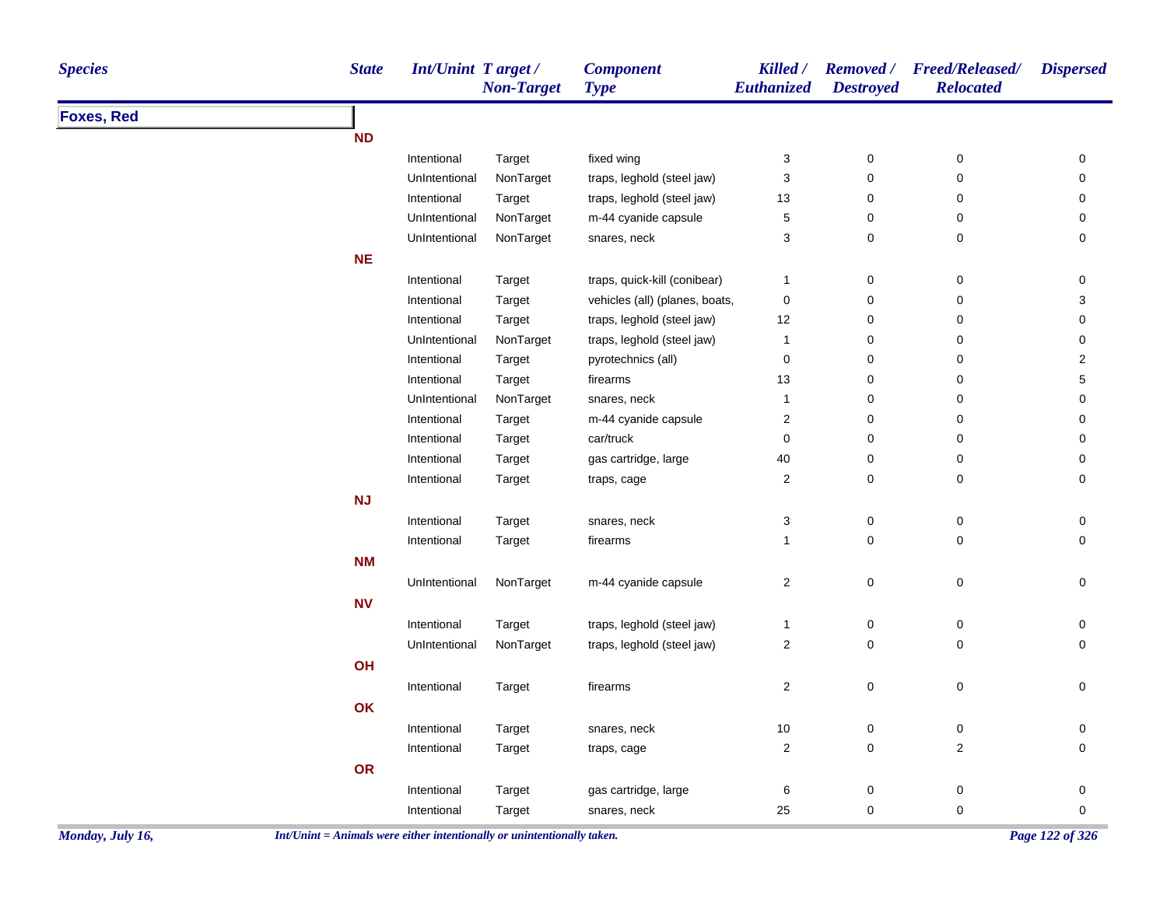| <b>Species</b>    | <b>State</b> | Int/Unint Target / | <b>Non-Target</b> | <b>Component</b><br><b>Type</b> | Killed /<br>Euthanized    | <b>Destroyed</b> | Removed / Freed/Released/<br><b>Relocated</b> | <b>Dispersed</b>    |
|-------------------|--------------|--------------------|-------------------|---------------------------------|---------------------------|------------------|-----------------------------------------------|---------------------|
| <b>Foxes, Red</b> |              |                    |                   |                                 |                           |                  |                                               |                     |
|                   | <b>ND</b>    |                    |                   |                                 |                           |                  |                                               |                     |
|                   |              | Intentional        | Target            | fixed wing                      | $\ensuremath{\mathsf{3}}$ | $\pmb{0}$        | $\pmb{0}$                                     | 0                   |
|                   |              | UnIntentional      | NonTarget         | traps, leghold (steel jaw)      | 3                         | $\pmb{0}$        | 0                                             | 0                   |
|                   |              | Intentional        | Target            | traps, leghold (steel jaw)      | 13                        | 0                | 0                                             | 0                   |
|                   |              | UnIntentional      | NonTarget         | m-44 cyanide capsule            | $\mathbf 5$               | $\mathbf 0$      | 0                                             | 0                   |
|                   |              | UnIntentional      | NonTarget         | snares, neck                    | 3                         | $\pmb{0}$        | 0                                             | 0                   |
|                   | <b>NE</b>    |                    |                   |                                 |                           |                  |                                               |                     |
|                   |              | Intentional        | Target            | traps, quick-kill (conibear)    | $\mathbf{1}$              | 0                | 0                                             | 0                   |
|                   |              | Intentional        | Target            | vehicles (all) (planes, boats,  | $\pmb{0}$                 | 0                | 0                                             | 3                   |
|                   |              | Intentional        | Target            | traps, leghold (steel jaw)      | 12                        | $\mathbf 0$      | 0                                             | 0                   |
|                   |              | UnIntentional      | NonTarget         | traps, leghold (steel jaw)      | $\mathbf{1}$              | $\pmb{0}$        | 0                                             | 0                   |
|                   |              | Intentional        | Target            | pyrotechnics (all)              | $\mathbf 0$               | 0                | 0                                             | $\overline{2}$      |
|                   |              | Intentional        | Target            | firearms                        | 13                        | 0                | 0                                             | 5                   |
|                   |              | UnIntentional      | NonTarget         | snares, neck                    | $\mathbf{1}$              | 0                | 0                                             | 0                   |
|                   |              | Intentional        | Target            | m-44 cyanide capsule            | $\sqrt{2}$                | 0                | 0                                             | 0                   |
|                   |              | Intentional        | Target            | car/truck                       | $\mathbf 0$               | 0                | 0                                             | 0                   |
|                   |              | Intentional        | Target            | gas cartridge, large            | 40                        | 0                | 0                                             | 0                   |
|                   |              | Intentional        | Target            | traps, cage                     | $\overline{2}$            | 0                | 0                                             | 0                   |
|                   | NJ           |                    |                   |                                 |                           |                  |                                               |                     |
|                   |              | Intentional        | Target            | snares, neck                    | $\ensuremath{\mathsf{3}}$ | $\pmb{0}$        | $\pmb{0}$                                     | 0                   |
|                   |              | Intentional        | Target            | firearms                        | $\mathbf{1}$              | $\pmb{0}$        | 0                                             | 0                   |
|                   | <b>NM</b>    |                    |                   |                                 |                           |                  |                                               |                     |
|                   |              | UnIntentional      | NonTarget         | m-44 cyanide capsule            | $\boldsymbol{2}$          | $\mathbf 0$      | $\mathsf 0$                                   | $\mathsf{O}\xspace$ |
|                   | <b>NV</b>    |                    |                   |                                 |                           |                  |                                               |                     |
|                   |              | Intentional        | Target            | traps, leghold (steel jaw)      | $\mathbf{1}$              | 0                | 0                                             | 0                   |
|                   |              | UnIntentional      | NonTarget         | traps, leghold (steel jaw)      | $\sqrt{2}$                | $\pmb{0}$        | 0                                             | 0                   |
|                   | OH           |                    |                   |                                 |                           |                  |                                               |                     |
|                   |              | Intentional        | Target            | firearms                        | $\sqrt{2}$                | $\pmb{0}$        | $\pmb{0}$                                     | 0                   |
|                   | OK           |                    |                   |                                 |                           |                  |                                               |                     |
|                   |              | Intentional        | Target            | snares, neck                    | 10                        | $\pmb{0}$        | $\pmb{0}$                                     | 0                   |
|                   |              | Intentional        | Target            | traps, cage                     | $\sqrt{2}$                | $\pmb{0}$        | $\boldsymbol{2}$                              | 0                   |
|                   | <b>OR</b>    |                    |                   |                                 |                           |                  |                                               |                     |
|                   |              | Intentional        | Target            | gas cartridge, large            | 6                         | 0                | 0                                             | 0                   |
|                   |              | Intentional        | Target            | snares, neck                    | 25                        | 0                | 0                                             | $\pmb{0}$           |
|                   |              |                    |                   |                                 |                           |                  |                                               |                     |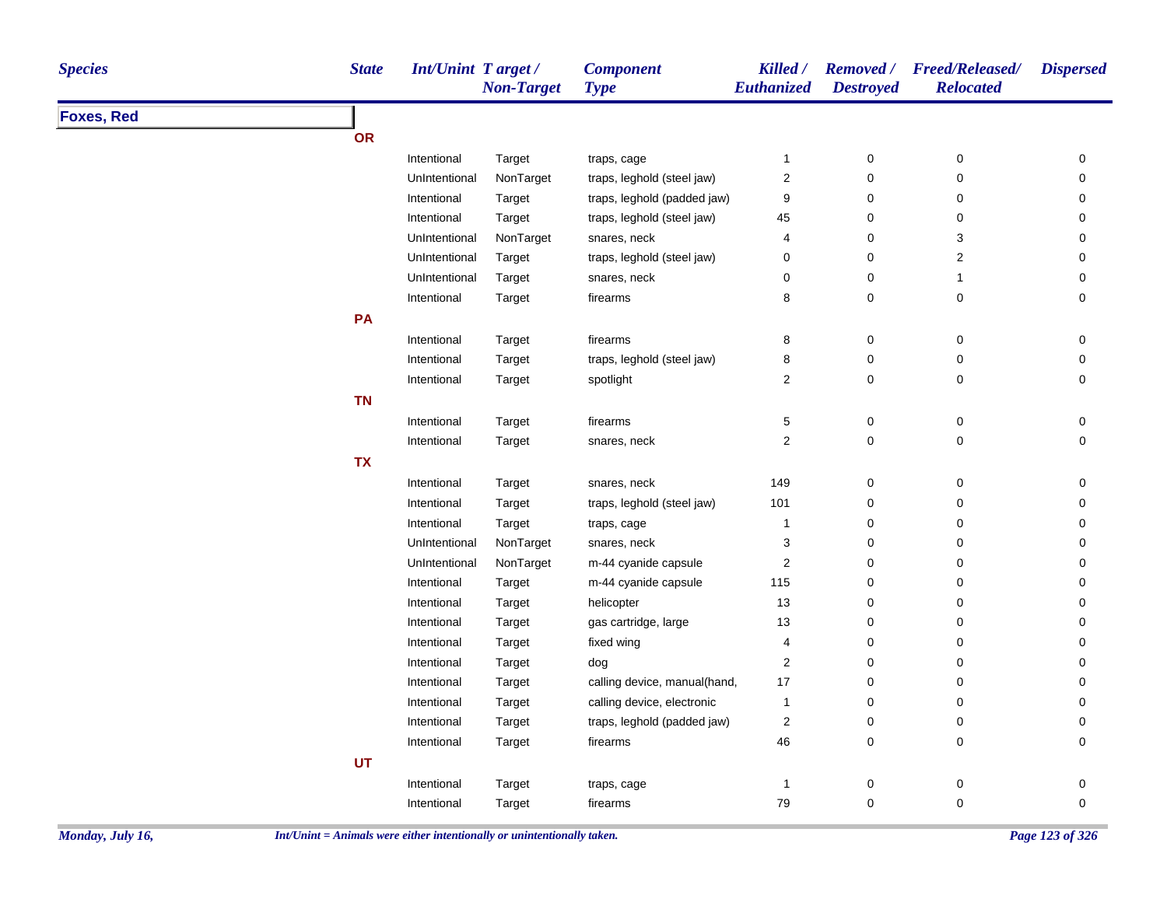| <b>Species</b>    | <b>State</b> | <b>Int/Unint Target/</b> | <b>Non-Target</b> | <b>Component</b><br><b>Type</b> | Killed /<br><b>Euthanized</b> | <b>Destroyed</b> | Removed / Freed/Released/<br><b>Relocated</b> | <b>Dispersed</b>    |
|-------------------|--------------|--------------------------|-------------------|---------------------------------|-------------------------------|------------------|-----------------------------------------------|---------------------|
| <b>Foxes, Red</b> |              |                          |                   |                                 |                               |                  |                                               |                     |
|                   | <b>OR</b>    |                          |                   |                                 |                               |                  |                                               |                     |
|                   |              | Intentional              | Target            | traps, cage                     | $\mathbf{1}$                  | $\boldsymbol{0}$ | 0                                             | 0                   |
|                   |              | UnIntentional            | NonTarget         | traps, leghold (steel jaw)      | 2                             | $\mathbf 0$      | 0                                             | $\mathbf 0$         |
|                   |              | Intentional              | Target            | traps, leghold (padded jaw)     | 9                             | 0                | 0                                             | 0                   |
|                   |              | Intentional              | Target            | traps, leghold (steel jaw)      | 45                            | 0                | 0                                             | 0                   |
|                   |              | UnIntentional            | NonTarget         | snares, neck                    | 4                             | 0                | 3                                             | 0                   |
|                   |              | UnIntentional            | Target            | traps, leghold (steel jaw)      | 0                             | $\pmb{0}$        | $\overline{\mathbf{c}}$                       | 0                   |
|                   |              | UnIntentional            | Target            | snares, neck                    | 0                             | $\mathbf 0$      | $\mathbf{1}$                                  | 0                   |
|                   |              | Intentional              | Target            | firearms                        | 8                             | $\mathbf 0$      | 0                                             | 0                   |
|                   | PA           |                          |                   |                                 |                               |                  |                                               |                     |
|                   |              | Intentional              | Target            | firearms                        | 8                             | 0                | 0                                             | 0                   |
|                   |              | Intentional              | Target            | traps, leghold (steel jaw)      | 8                             | $\pmb{0}$        | 0                                             | $\mathsf{O}\xspace$ |
|                   |              | Intentional              | Target            | spotlight                       | $\overline{\mathbf{c}}$       | 0                | 0                                             | 0                   |
|                   | <b>TN</b>    |                          |                   |                                 |                               |                  |                                               |                     |
|                   |              | Intentional              | Target            | firearms                        | 5                             | $\pmb{0}$        | 0                                             | 0                   |
|                   |              | Intentional              | Target            | snares, neck                    | $\overline{\mathbf{c}}$       | $\pmb{0}$        | 0                                             | $\mathsf{O}\xspace$ |
|                   | <b>TX</b>    |                          |                   |                                 |                               |                  |                                               |                     |
|                   |              | Intentional              | Target            | snares, neck                    | 149                           | $\pmb{0}$        | 0                                             | 0                   |
|                   |              | Intentional              | Target            | traps, leghold (steel jaw)      | 101                           | 0                | 0                                             | 0                   |
|                   |              | Intentional              | Target            | traps, cage                     | $\mathbf{1}$                  | $\pmb{0}$        | 0                                             | 0                   |
|                   |              | UnIntentional            | NonTarget         | snares, neck                    | 3                             | $\mathbf 0$      | 0                                             | 0                   |
|                   |              | UnIntentional            | NonTarget         | m-44 cyanide capsule            | $\overline{c}$                | $\pmb{0}$        | 0                                             | 0                   |
|                   |              | Intentional              | Target            | m-44 cyanide capsule            | 115                           | 0                | 0                                             | 0                   |
|                   |              | Intentional              | Target            | helicopter                      | 13                            | 0                | 0                                             | 0                   |
|                   |              | Intentional              | Target            | gas cartridge, large            | 13                            | $\pmb{0}$        | 0                                             | 0                   |
|                   |              | Intentional              | Target            | fixed wing                      | 4                             | $\pmb{0}$        | 0                                             | 0                   |
|                   |              | Intentional              | Target            | dog                             | 2                             | $\mathbf 0$      | 0                                             | 0                   |
|                   |              | Intentional              | Target            | calling device, manual(hand,    | 17                            | 0                | 0                                             | 0                   |
|                   |              | Intentional              | Target            | calling device, electronic      | $\mathbf{1}$                  | $\mathbf 0$      | 0                                             | $\mathbf 0$         |
|                   |              | Intentional              | Target            | traps, leghold (padded jaw)     | $\overline{\mathbf{c}}$       | $\pmb{0}$        | 0                                             | 0                   |
|                   |              | Intentional              | Target            | firearms                        | 46                            | $\pmb{0}$        | 0                                             | 0                   |
|                   | <b>UT</b>    |                          |                   |                                 |                               |                  |                                               |                     |
|                   |              | Intentional              | Target            | traps, cage                     | 1                             | 0                | 0                                             | 0                   |
|                   |              | Intentional              | Target            | firearms                        | 79                            | $\mathbf 0$      | 0                                             | $\mathbf 0$         |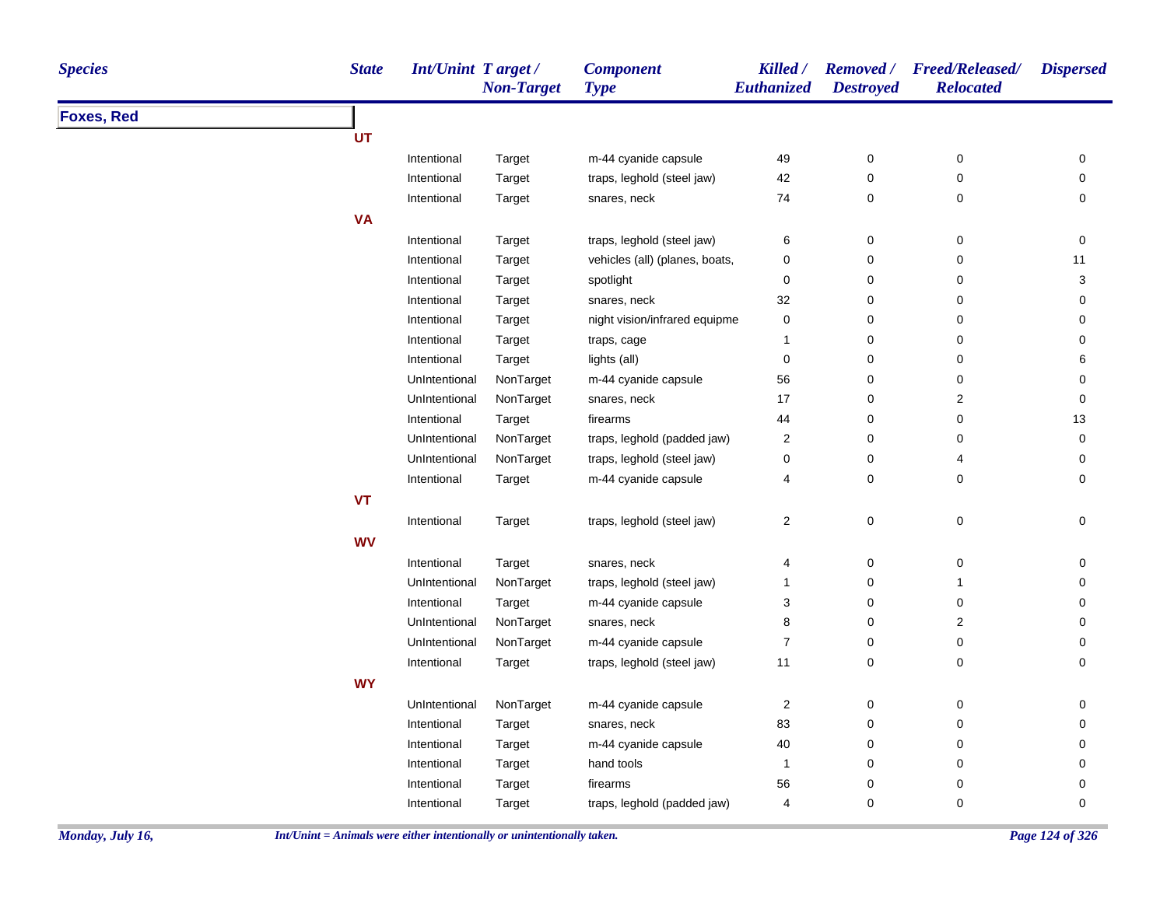| <b>Species</b>    | <b>State</b> | <b>Int/Unint Target/</b> | <b>Non-Target</b> | <b>Component</b><br><b>Type</b> | Killed /<br>Euthanized  | <b>Destroyed</b> | Removed / Freed/Released/<br><b>Relocated</b> | <b>Dispersed</b> |
|-------------------|--------------|--------------------------|-------------------|---------------------------------|-------------------------|------------------|-----------------------------------------------|------------------|
| <b>Foxes, Red</b> |              |                          |                   |                                 |                         |                  |                                               |                  |
|                   | UT           |                          |                   |                                 |                         |                  |                                               |                  |
|                   |              | Intentional              | Target            | m-44 cyanide capsule            | 49                      | $\pmb{0}$        | $\pmb{0}$                                     | 0                |
|                   |              | Intentional              | Target            | traps, leghold (steel jaw)      | 42                      | 0                | 0                                             | 0                |
|                   |              | Intentional              | Target            | snares, neck                    | 74                      | $\pmb{0}$        | 0                                             | 0                |
|                   | <b>VA</b>    |                          |                   |                                 |                         |                  |                                               |                  |
|                   |              | Intentional              | Target            | traps, leghold (steel jaw)      | 6                       | $\pmb{0}$        | $\pmb{0}$                                     | $\pmb{0}$        |
|                   |              | Intentional              | Target            | vehicles (all) (planes, boats,  | 0                       | 0                | $\mathbf 0$                                   | 11               |
|                   |              | Intentional              | Target            | spotlight                       | $\pmb{0}$               | $\pmb{0}$        | 0                                             | 3                |
|                   |              | Intentional              | Target            | snares, neck                    | 32                      | $\pmb{0}$        | $\mathbf 0$                                   | 0                |
|                   |              | Intentional              | Target            | night vision/infrared equipme   | 0                       | 0                | 0                                             | 0                |
|                   |              | Intentional              | Target            | traps, cage                     | 1                       | 0                | 0                                             | 0                |
|                   |              | Intentional              | Target            | lights (all)                    | $\pmb{0}$               | 0                | 0                                             | 6                |
|                   |              | UnIntentional            | NonTarget         | m-44 cyanide capsule            | 56                      | 0                | $\pmb{0}$                                     | $\pmb{0}$        |
|                   |              | UnIntentional            | NonTarget         | snares, neck                    | 17                      | 0                | $\overline{\mathbf{c}}$                       | $\pmb{0}$        |
|                   |              | Intentional              | Target            | firearms                        | 44                      | 0                | 0                                             | 13               |
|                   |              | UnIntentional            | NonTarget         | traps, leghold (padded jaw)     | $\overline{\mathbf{c}}$ | 0                | 0                                             | 0                |
|                   |              | UnIntentional            | NonTarget         | traps, leghold (steel jaw)      | 0                       | 0                | 4                                             | 0                |
|                   |              | Intentional              | Target            | m-44 cyanide capsule            | 4                       | $\pmb{0}$        | 0                                             | $\pmb{0}$        |
|                   | <b>VT</b>    |                          |                   |                                 |                         |                  |                                               |                  |
|                   |              | Intentional              | Target            | traps, leghold (steel jaw)      | $\boldsymbol{2}$        | $\pmb{0}$        | $\pmb{0}$                                     | $\mathbf 0$      |
|                   | <b>WV</b>    |                          |                   |                                 |                         |                  |                                               |                  |
|                   |              | Intentional              | Target            | snares, neck                    | 4                       | 0                | 0                                             | 0                |
|                   |              | UnIntentional            | NonTarget         | traps, leghold (steel jaw)      | 1                       | 0                | $\overline{1}$                                | 0                |
|                   |              | Intentional              | Target            | m-44 cyanide capsule            | 3                       | 0                | $\mathbf 0$                                   | 0                |
|                   |              | UnIntentional            | NonTarget         | snares, neck                    | 8                       | $\pmb{0}$        | $\sqrt{2}$                                    | 0                |
|                   |              | UnIntentional            | NonTarget         | m-44 cyanide capsule            | $\boldsymbol{7}$        | $\pmb{0}$        | $\pmb{0}$                                     | $\pmb{0}$        |
|                   |              | Intentional              | Target            | traps, leghold (steel jaw)      | 11                      | $\mathbf 0$      | 0                                             | 0                |
|                   | <b>WY</b>    |                          |                   |                                 |                         |                  |                                               |                  |
|                   |              | UnIntentional            | NonTarget         | m-44 cyanide capsule            | $\overline{c}$          | 0                | 0                                             | 0                |
|                   |              | Intentional              | Target            | snares, neck                    | 83                      | $\pmb{0}$        | $\pmb{0}$                                     | 0                |
|                   |              | Intentional              | Target            | m-44 cyanide capsule            | 40                      | $\pmb{0}$        | 0                                             | 0                |
|                   |              | Intentional              | Target            | hand tools                      | 1                       | $\pmb{0}$        | $\pmb{0}$                                     | $\pmb{0}$        |
|                   |              | Intentional              | Target            | firearms                        | 56                      | 0                | 0                                             | $\mathbf 0$      |
|                   |              | Intentional              | Target            | traps, leghold (padded jaw)     | $\overline{\mathbf{4}}$ | 0                | 0                                             | 0                |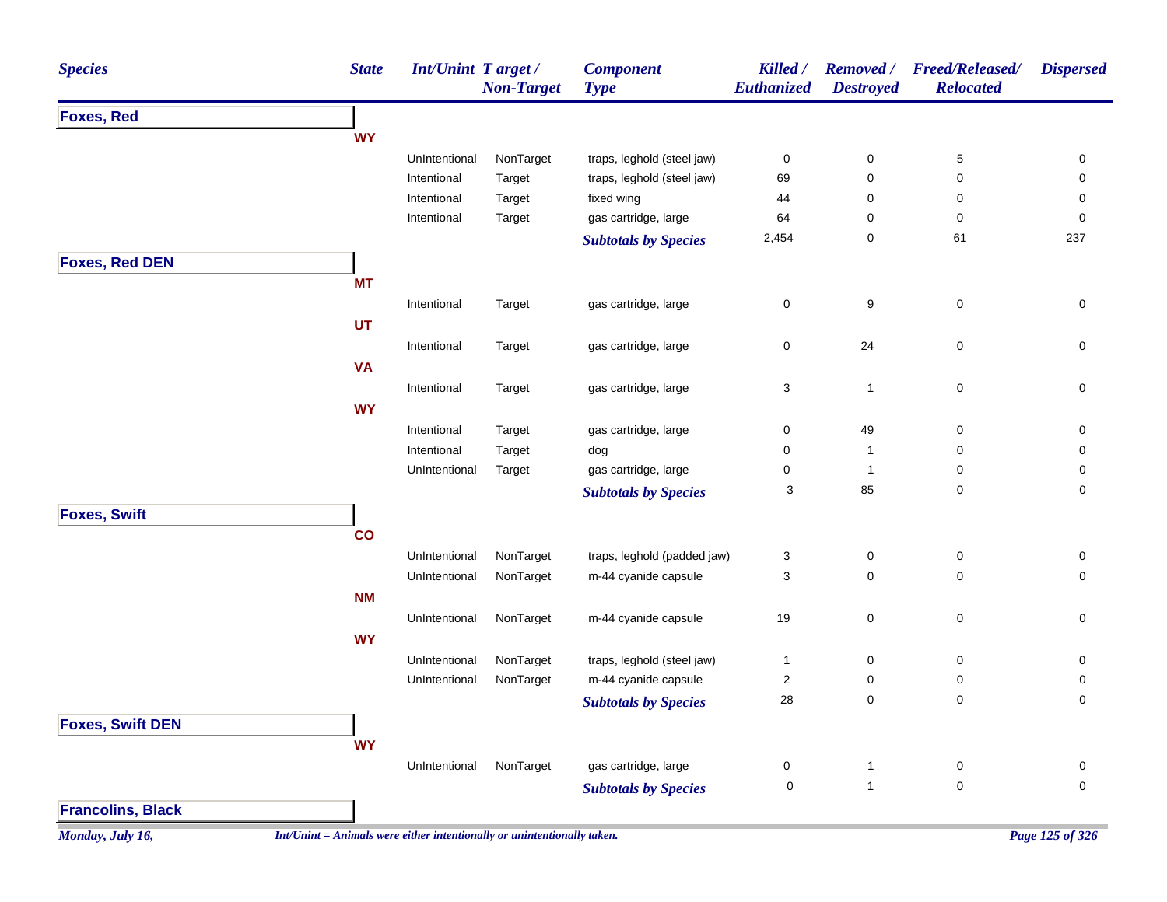| <b>Species</b>           | <b>State</b> | Int/Unint Target/ | <b>Non-Target</b>                                                        | <b>Component</b><br><b>Type</b> | Killed /<br>Euthanized    | <b>Destroyed</b> | Removed / Freed/Released/<br><b>Relocated</b> | <b>Dispersed</b> |
|--------------------------|--------------|-------------------|--------------------------------------------------------------------------|---------------------------------|---------------------------|------------------|-----------------------------------------------|------------------|
| <b>Foxes, Red</b>        |              |                   |                                                                          |                                 |                           |                  |                                               |                  |
|                          | <b>WY</b>    |                   |                                                                          |                                 |                           |                  |                                               |                  |
|                          |              | UnIntentional     | NonTarget                                                                | traps, leghold (steel jaw)      | 0                         | 0                | $\,$ 5 $\,$                                   | 0                |
|                          |              | Intentional       | Target                                                                   | traps, leghold (steel jaw)      | 69                        | 0                | 0                                             | 0                |
|                          |              | Intentional       | Target                                                                   | fixed wing                      | 44                        | 0                | 0                                             | 0                |
|                          |              | Intentional       | Target                                                                   | gas cartridge, large            | 64                        | 0                | 0                                             | 0                |
|                          |              |                   |                                                                          | <b>Subtotals by Species</b>     | 2,454                     | 0                | 61                                            | 237              |
| <b>Foxes, Red DEN</b>    |              |                   |                                                                          |                                 |                           |                  |                                               |                  |
|                          | <b>MT</b>    |                   |                                                                          |                                 |                           |                  |                                               |                  |
|                          |              | Intentional       | Target                                                                   | gas cartridge, large            | 0                         | 9                | $\pmb{0}$                                     | $\pmb{0}$        |
|                          | UT           |                   |                                                                          |                                 |                           |                  |                                               |                  |
|                          |              | Intentional       | Target                                                                   | gas cartridge, large            | $\pmb{0}$                 | 24               | $\pmb{0}$                                     | 0                |
|                          | <b>VA</b>    |                   |                                                                          |                                 |                           |                  |                                               |                  |
|                          |              | Intentional       | Target                                                                   | gas cartridge, large            | $\ensuremath{\mathsf{3}}$ | $\mathbf{1}$     | $\pmb{0}$                                     | 0                |
|                          | <b>WY</b>    |                   |                                                                          |                                 |                           |                  |                                               |                  |
|                          |              | Intentional       | Target                                                                   | gas cartridge, large            | 0                         | 49               | 0                                             | 0                |
|                          |              | Intentional       | Target                                                                   | dog                             | 0                         | $\mathbf{1}$     | 0                                             | 0                |
|                          |              | UnIntentional     | Target                                                                   | gas cartridge, large            | 0                         | $\mathbf{1}$     | 0                                             | 0                |
|                          |              |                   |                                                                          | <b>Subtotals by Species</b>     | 3                         | 85               | 0                                             | 0                |
|                          |              |                   |                                                                          |                                 |                           |                  |                                               |                  |
| <b>Foxes, Swift</b>      |              |                   |                                                                          |                                 |                           |                  |                                               |                  |
|                          | co           |                   |                                                                          |                                 |                           |                  |                                               |                  |
|                          |              | UnIntentional     | NonTarget                                                                | traps, leghold (padded jaw)     | 3                         | 0                | $\pmb{0}$                                     | 0                |
|                          |              | UnIntentional     | NonTarget                                                                | m-44 cyanide capsule            | 3                         | 0                | 0                                             | 0                |
|                          | <b>NM</b>    |                   |                                                                          |                                 |                           |                  |                                               |                  |
|                          |              | UnIntentional     | NonTarget                                                                | m-44 cyanide capsule            | 19                        | 0                | $\pmb{0}$                                     | 0                |
|                          | <b>WY</b>    |                   |                                                                          |                                 |                           |                  |                                               |                  |
|                          |              | UnIntentional     | NonTarget                                                                | traps, leghold (steel jaw)      | $\mathbf{1}$              | 0                | 0                                             | 0                |
|                          |              | UnIntentional     | NonTarget                                                                | m-44 cyanide capsule            | $\overline{\mathbf{c}}$   | 0                | 0                                             | 0                |
|                          |              |                   |                                                                          | <b>Subtotals by Species</b>     | 28                        | 0                | 0                                             | 0                |
| <b>Foxes, Swift DEN</b>  |              |                   |                                                                          |                                 |                           |                  |                                               |                  |
|                          | <b>WY</b>    |                   |                                                                          |                                 |                           |                  |                                               |                  |
|                          |              | UnIntentional     | NonTarget                                                                | gas cartridge, large            | $\mathbf 0$               | 1                | 0                                             | 0                |
|                          |              |                   |                                                                          | <b>Subtotals by Species</b>     | $\mathbf 0$               | $\mathbf{1}$     | $\mathbf 0$                                   | 0                |
| <b>Francolins, Black</b> |              |                   |                                                                          |                                 |                           |                  |                                               |                  |
|                          |              |                   | $Int/Unit = Animals$ were either intentionally or unintentionally taken. |                                 |                           |                  |                                               | Page 125 of 326  |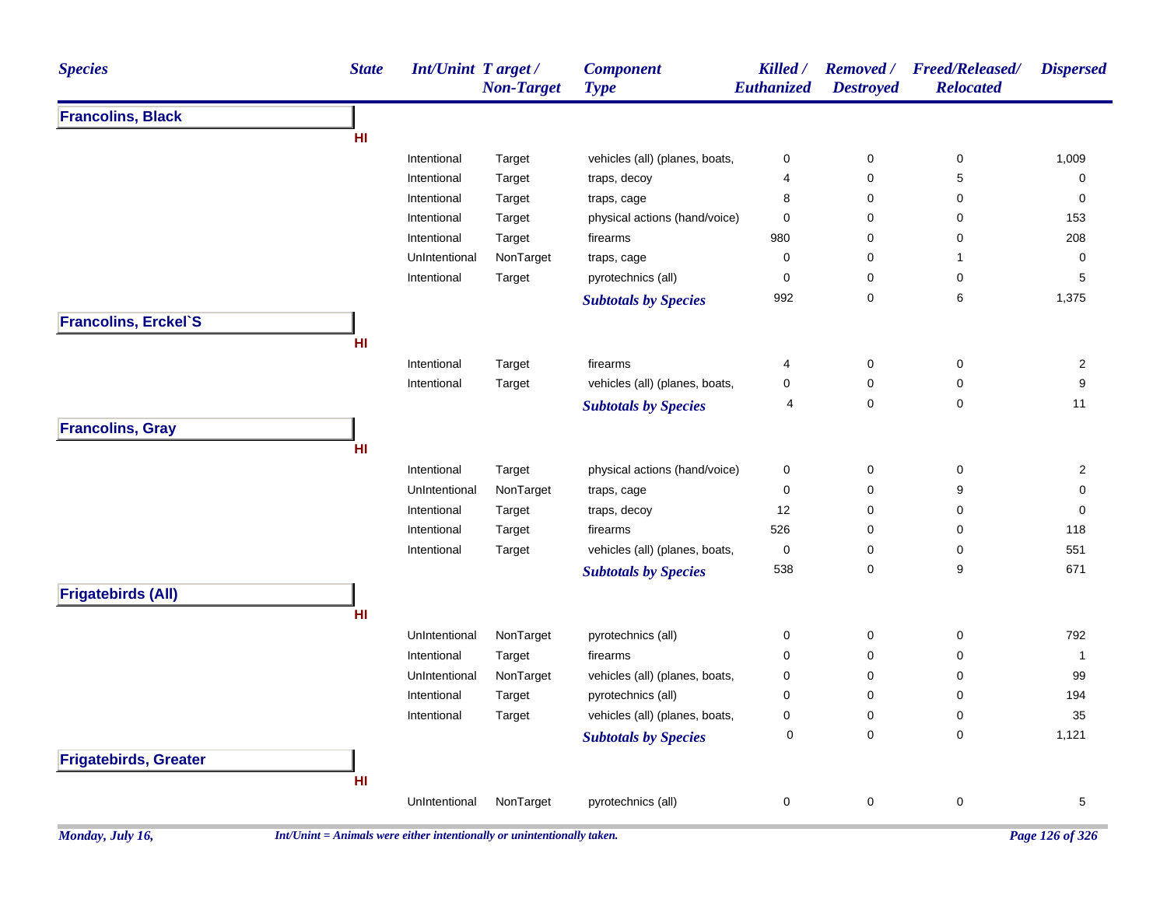| <b>Species</b>               | <b>State</b> | Int/Unint Target/ | <b>Non-Target</b> | <b>Component</b><br><b>Type</b> | Killed /<br>Euthanized | <b>Removed</b> /<br><b>Destroyed</b> | <b>Freed/Released/</b><br><b>Relocated</b> | <b>Dispersed</b> |
|------------------------------|--------------|-------------------|-------------------|---------------------------------|------------------------|--------------------------------------|--------------------------------------------|------------------|
| <b>Francolins, Black</b>     |              |                   |                   |                                 |                        |                                      |                                            |                  |
|                              | HI           |                   |                   |                                 |                        |                                      |                                            |                  |
|                              |              | Intentional       | Target            | vehicles (all) (planes, boats,  | 0                      | 0                                    | 0                                          | 1,009            |
|                              |              | Intentional       | Target            | traps, decoy                    | 4                      | 0                                    | 5                                          | 0                |
|                              |              | Intentional       | Target            | traps, cage                     | 8                      | 0                                    | 0                                          | 0                |
|                              |              | Intentional       | Target            | physical actions (hand/voice)   | 0                      | 0                                    | 0                                          | 153              |
|                              |              | Intentional       | Target            | firearms                        | 980                    | 0                                    | 0                                          | 208              |
|                              |              | UnIntentional     | NonTarget         | traps, cage                     | 0                      | 0                                    | 1                                          | 0                |
|                              |              | Intentional       | Target            | pyrotechnics (all)              | 0                      | 0                                    | 0                                          | 5                |
|                              |              |                   |                   | <b>Subtotals by Species</b>     | 992                    | 0                                    | 6                                          | 1,375            |
| <b>Francolins, Erckel'S</b>  |              |                   |                   |                                 |                        |                                      |                                            |                  |
|                              | HI           |                   |                   |                                 |                        |                                      |                                            |                  |
|                              |              | Intentional       | Target            | firearms                        | 4                      | 0                                    | 0                                          | 2                |
|                              |              | Intentional       | Target            | vehicles (all) (planes, boats,  | 0                      | 0                                    | 0                                          | 9                |
|                              |              |                   |                   | <b>Subtotals by Species</b>     | 4                      | 0                                    | 0                                          | 11               |
| <b>Francolins, Gray</b>      |              |                   |                   |                                 |                        |                                      |                                            |                  |
|                              | HI           |                   |                   |                                 |                        |                                      |                                            |                  |
|                              |              | Intentional       | Target            | physical actions (hand/voice)   | 0                      | 0                                    | 0                                          | 2                |
|                              |              | UnIntentional     | NonTarget         | traps, cage                     | 0                      | 0                                    | 9                                          | 0                |
|                              |              | Intentional       | Target            | traps, decoy                    | 12                     | 0                                    | 0                                          | 0                |
|                              |              | Intentional       | Target            | firearms                        | 526                    | 0                                    | 0                                          | 118              |
|                              |              | Intentional       | Target            | vehicles (all) (planes, boats,  | 0                      | 0                                    | 0                                          | 551              |
|                              |              |                   |                   | <b>Subtotals by Species</b>     | 538                    | 0                                    | 9                                          | 671              |
| <b>Frigatebirds (All)</b>    |              |                   |                   |                                 |                        |                                      |                                            |                  |
|                              | HI           |                   |                   |                                 |                        |                                      |                                            |                  |
|                              |              | UnIntentional     | NonTarget         | pyrotechnics (all)              | 0                      | 0                                    | 0                                          | 792              |
|                              |              | Intentional       | Target            | firearms                        | 0                      | 0                                    | 0                                          | 1                |
|                              |              | UnIntentional     | NonTarget         | vehicles (all) (planes, boats,  | 0                      | 0                                    | 0                                          | 99               |
|                              |              | Intentional       | Target            | pyrotechnics (all)              | $\mathbf 0$            | $\mathbf 0$                          | 0                                          | 194              |
|                              |              | Intentional       | Target            | vehicles (all) (planes, boats,  | 0                      | 0                                    | 0                                          | 35               |
|                              |              |                   |                   | <b>Subtotals by Species</b>     | $\pmb{0}$              | $\pmb{0}$                            | $\mathbf 0$                                | 1,121            |
| <b>Frigatebirds, Greater</b> |              |                   |                   |                                 |                        |                                      |                                            |                  |
|                              | HI           |                   |                   |                                 |                        |                                      |                                            |                  |
|                              |              | UnIntentional     | NonTarget         | pyrotechnics (all)              | 0                      | $\pmb{0}$                            | 0                                          | $\overline{5}$   |
|                              |              |                   |                   |                                 |                        |                                      |                                            |                  |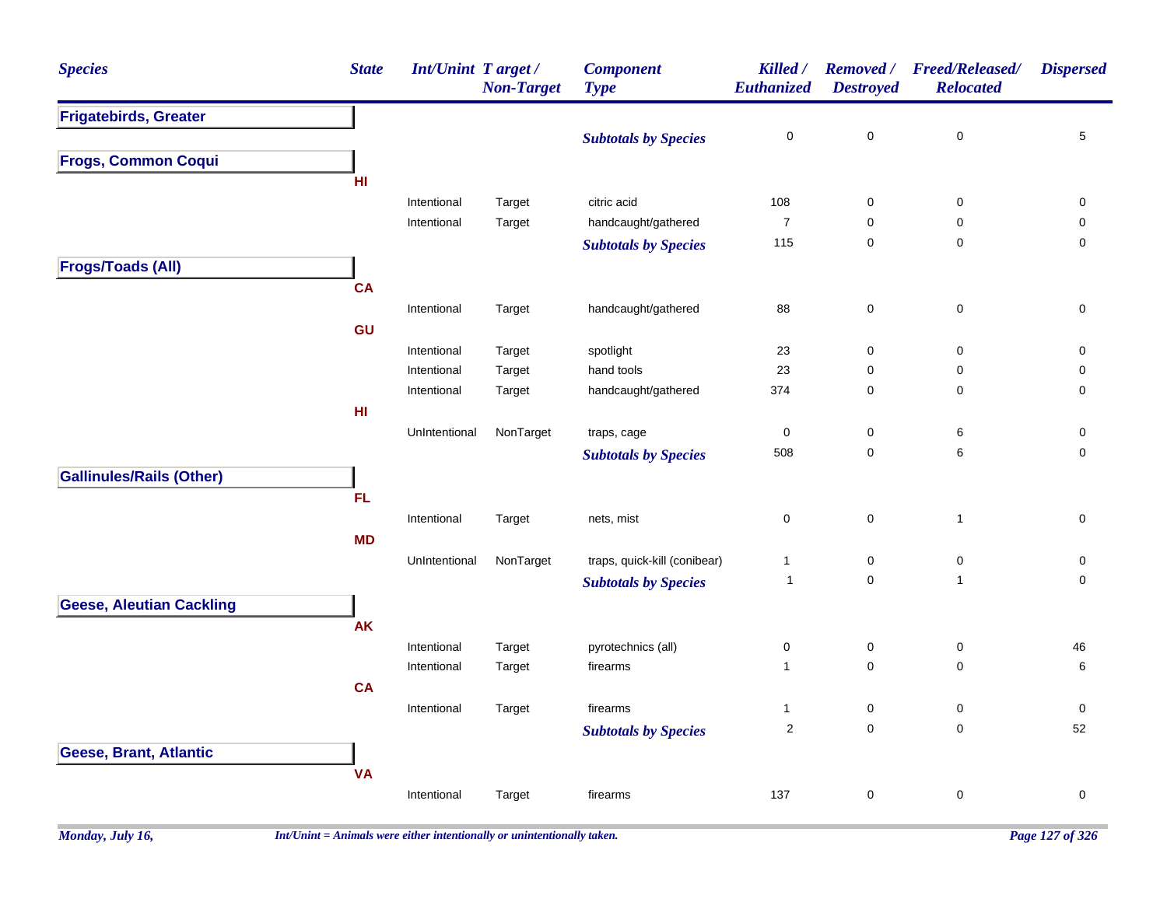| <b>Species</b>                  | <b>State</b>    | Int/Unint Target / | <b>Non-Target</b> | <b>Component</b><br><b>Type</b> | Killed /<br>Euthanized | <b>Removed</b> /<br><b>Destroyed</b> | Freed/Released/<br><b>Relocated</b> | <b>Dispersed</b> |
|---------------------------------|-----------------|--------------------|-------------------|---------------------------------|------------------------|--------------------------------------|-------------------------------------|------------------|
| <b>Frigatebirds, Greater</b>    |                 |                    |                   |                                 |                        |                                      |                                     |                  |
|                                 |                 |                    |                   | <b>Subtotals by Species</b>     | 0                      | 0                                    | $\mathbf 0$                         | 5                |
| <b>Frogs, Common Coqui</b>      |                 |                    |                   |                                 |                        |                                      |                                     |                  |
|                                 | HI              |                    |                   |                                 |                        |                                      |                                     |                  |
|                                 |                 | Intentional        | Target            | citric acid                     | 108                    | 0                                    | $\pmb{0}$                           | 0                |
|                                 |                 | Intentional        | Target            | handcaught/gathered             | $\overline{7}$         | 0                                    | 0                                   | 0                |
|                                 |                 |                    |                   | <b>Subtotals by Species</b>     | 115                    | $\mathbf 0$                          | 0                                   | 0                |
| <b>Frogs/Toads (All)</b>        |                 |                    |                   |                                 |                        |                                      |                                     |                  |
|                                 | <b>CA</b>       |                    |                   |                                 |                        |                                      |                                     |                  |
|                                 |                 | Intentional        | Target            | handcaught/gathered             | 88                     | $\mathsf 0$                          | $\pmb{0}$                           | 0                |
|                                 | GU              |                    |                   |                                 |                        |                                      |                                     |                  |
|                                 |                 | Intentional        | Target            | spotlight                       | 23                     | $\pmb{0}$                            | 0                                   | 0                |
|                                 |                 | Intentional        | Target            | hand tools                      | 23                     | 0                                    | 0                                   | 0                |
|                                 |                 | Intentional        | Target            | handcaught/gathered             | 374                    | 0                                    | 0                                   | 0                |
|                                 | H <sub>II</sub> |                    |                   |                                 |                        |                                      |                                     |                  |
|                                 |                 | UnIntentional      | NonTarget         | traps, cage                     | $\mathbf 0$            | $\pmb{0}$                            | 6                                   | 0                |
|                                 |                 |                    |                   | <b>Subtotals by Species</b>     | 508                    | $\mathbf 0$                          | 6                                   | 0                |
| <b>Gallinules/Rails (Other)</b> |                 |                    |                   |                                 |                        |                                      |                                     |                  |
|                                 | <b>FL</b>       |                    |                   |                                 |                        |                                      |                                     |                  |
|                                 |                 | Intentional        | Target            | nets, mist                      | 0                      | 0                                    | $\mathbf{1}$                        | $\mathbf 0$      |
|                                 | <b>MD</b>       |                    |                   |                                 |                        |                                      |                                     |                  |
|                                 |                 | UnIntentional      | NonTarget         | traps, quick-kill (conibear)    | $\mathbf{1}$           | $\pmb{0}$                            | $\pmb{0}$                           | 0                |
|                                 |                 |                    |                   | <b>Subtotals by Species</b>     | $\mathbf{1}$           | $\mathbf 0$                          | $\mathbf{1}$                        | $\mathbf 0$      |
| <b>Geese, Aleutian Cackling</b> |                 |                    |                   |                                 |                        |                                      |                                     |                  |
|                                 | <b>AK</b>       |                    |                   |                                 |                        |                                      |                                     |                  |
|                                 |                 | Intentional        | Target            | pyrotechnics (all)              | $\pmb{0}$              | $\pmb{0}$                            | 0                                   | 46               |
|                                 |                 | Intentional        | Target            | firearms                        | $\mathbf{1}$           | $\mathbf 0$                          | 0                                   | 6                |
|                                 | <b>CA</b>       |                    |                   |                                 |                        |                                      |                                     |                  |
|                                 |                 | Intentional        | Target            | firearms                        | $\mathbf{1}$           | $\pmb{0}$                            | $\pmb{0}$                           | $\pmb{0}$        |
|                                 |                 |                    |                   | <b>Subtotals by Species</b>     | $\boldsymbol{2}$       | 0                                    | $\mathbf 0$                         | 52               |
| <b>Geese, Brant, Atlantic</b>   |                 |                    |                   |                                 |                        |                                      |                                     |                  |
|                                 | <b>VA</b>       |                    |                   |                                 |                        |                                      |                                     |                  |
|                                 |                 | Intentional        | Target            | firearms                        | 137                    | $\pmb{0}$                            | $\mathbf 0$                         | $\pmb{0}$        |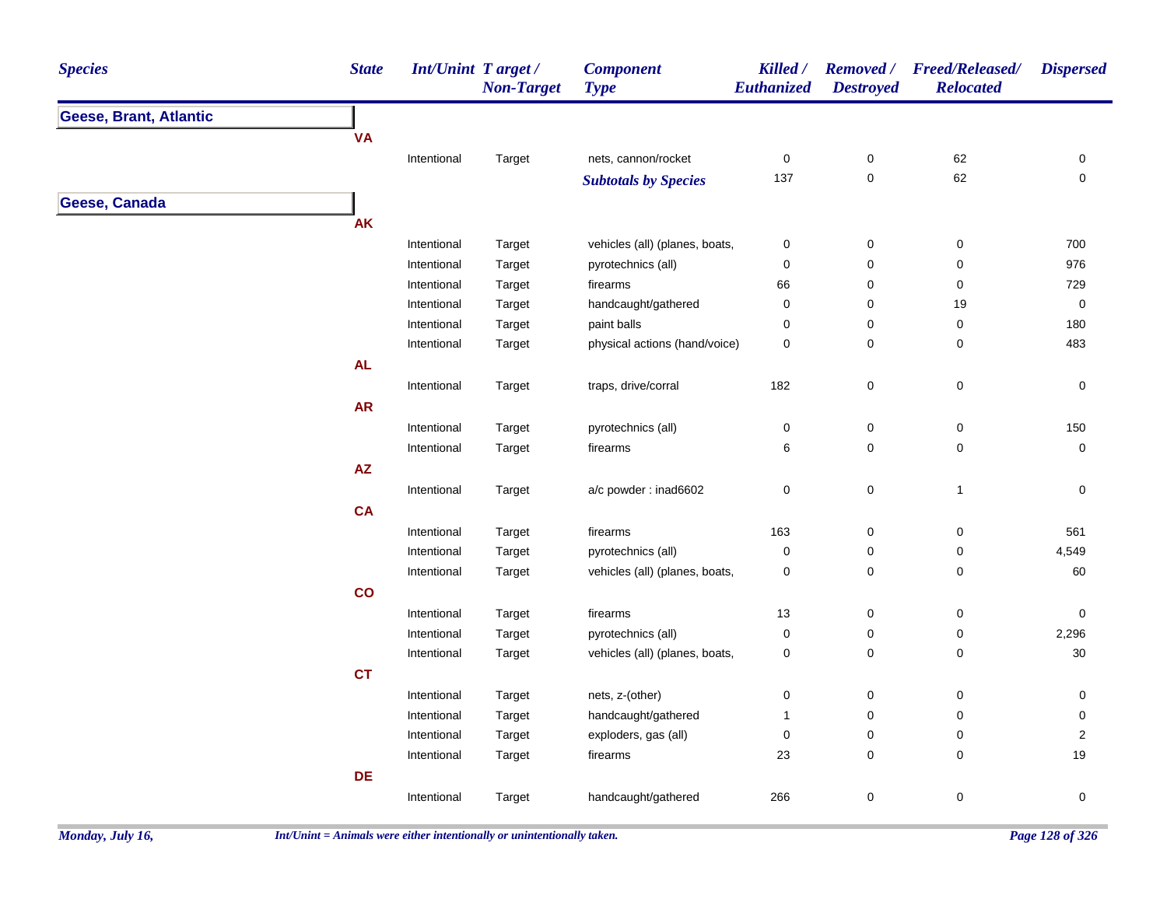| <b>Species</b>                | <b>State</b> | <b>Int/Unint Target/</b> | <b>Non-Target</b> | <b>Component</b><br><b>Type</b> | Killed /<br>Euthanized | <b>Destroyed</b> | Removed / Freed/Released/<br><b>Relocated</b> | <b>Dispersed</b>    |
|-------------------------------|--------------|--------------------------|-------------------|---------------------------------|------------------------|------------------|-----------------------------------------------|---------------------|
| <b>Geese, Brant, Atlantic</b> |              |                          |                   |                                 |                        |                  |                                               |                     |
|                               | <b>VA</b>    |                          |                   |                                 |                        |                  |                                               |                     |
|                               |              | Intentional              | Target            | nets, cannon/rocket             | 0                      | $\boldsymbol{0}$ | 62                                            | 0                   |
|                               |              |                          |                   | <b>Subtotals by Species</b>     | 137                    | $\pmb{0}$        | 62                                            | $\pmb{0}$           |
| Geese, Canada                 |              |                          |                   |                                 |                        |                  |                                               |                     |
|                               | <b>AK</b>    |                          |                   |                                 |                        |                  |                                               |                     |
|                               |              | Intentional              | Target            | vehicles (all) (planes, boats,  | 0                      | $\mathbf 0$      | $\pmb{0}$                                     | 700                 |
|                               |              | Intentional              | Target            | pyrotechnics (all)              | 0                      | 0                | $\pmb{0}$                                     | 976                 |
|                               |              | Intentional              | Target            | firearms                        | 66                     | $\mathbf 0$      | 0                                             | 729                 |
|                               |              | Intentional              | Target            | handcaught/gathered             | 0                      | 0                | 19                                            | $\mathsf{O}\xspace$ |
|                               |              | Intentional              | Target            | paint balls                     | 0                      | 0                | $\pmb{0}$                                     | 180                 |
|                               |              | Intentional              | Target            | physical actions (hand/voice)   | 0                      | 0                | $\pmb{0}$                                     | 483                 |
|                               | <b>AL</b>    |                          |                   |                                 |                        |                  |                                               |                     |
|                               |              | Intentional              | Target            | traps, drive/corral             | 182                    | $\pmb{0}$        | $\mathsf 0$                                   | 0                   |
|                               | ${\sf AR}$   |                          |                   |                                 |                        |                  |                                               |                     |
|                               |              | Intentional              | Target            | pyrotechnics (all)              | 0                      | $\boldsymbol{0}$ | $\pmb{0}$                                     | 150                 |
|                               |              | Intentional              | Target            | firearms                        | 6                      | 0                | 0                                             | $\mathsf{O}\xspace$ |
|                               | AZ           |                          |                   |                                 |                        |                  |                                               |                     |
|                               |              | Intentional              | Target            | a/c powder: inad6602            | 0                      | $\pmb{0}$        | $\mathbf{1}$                                  | 0                   |
|                               | CA           |                          |                   |                                 |                        |                  |                                               |                     |
|                               |              | Intentional              | Target            | firearms                        | 163                    | $\mathbf 0$      | 0                                             | 561                 |
|                               |              | Intentional              | Target            | pyrotechnics (all)              | $\pmb{0}$              | $\pmb{0}$        | $\pmb{0}$                                     | 4,549               |
|                               |              | Intentional              | Target            | vehicles (all) (planes, boats,  | 0                      | 0                | 0                                             | 60                  |
|                               | co           |                          |                   |                                 |                        |                  |                                               |                     |
|                               |              | Intentional              | Target            | firearms                        | $13$                   | $\pmb{0}$        | $\pmb{0}$                                     | 0                   |
|                               |              | Intentional              | Target            | pyrotechnics (all)              | 0                      | 0                | 0                                             | 2,296               |
|                               |              | Intentional              | Target            | vehicles (all) (planes, boats,  | 0                      | $\mathbf 0$      | $\pmb{0}$                                     | $30\,$              |
|                               | <b>CT</b>    |                          |                   |                                 |                        |                  |                                               |                     |
|                               |              | Intentional              | Target            | nets, z-(other)                 | 0                      | $\pmb{0}$        | $\pmb{0}$                                     | 0                   |
|                               |              | Intentional              | Target            | handcaught/gathered             | 1                      | 0                | 0                                             | 0                   |
|                               |              | Intentional              | Target            | exploders, gas (all)            | 0                      | 0                | 0                                             | $\overline{2}$      |
|                               |              | Intentional              | Target            | firearms                        | 23                     | 0                | 0                                             | 19                  |
|                               | DE           |                          |                   |                                 |                        |                  |                                               |                     |
|                               |              | Intentional              | Target            | handcaught/gathered             | 266                    | $\pmb{0}$        | $\pmb{0}$                                     | $\mathsf{O}\xspace$ |
|                               |              |                          |                   |                                 |                        |                  |                                               |                     |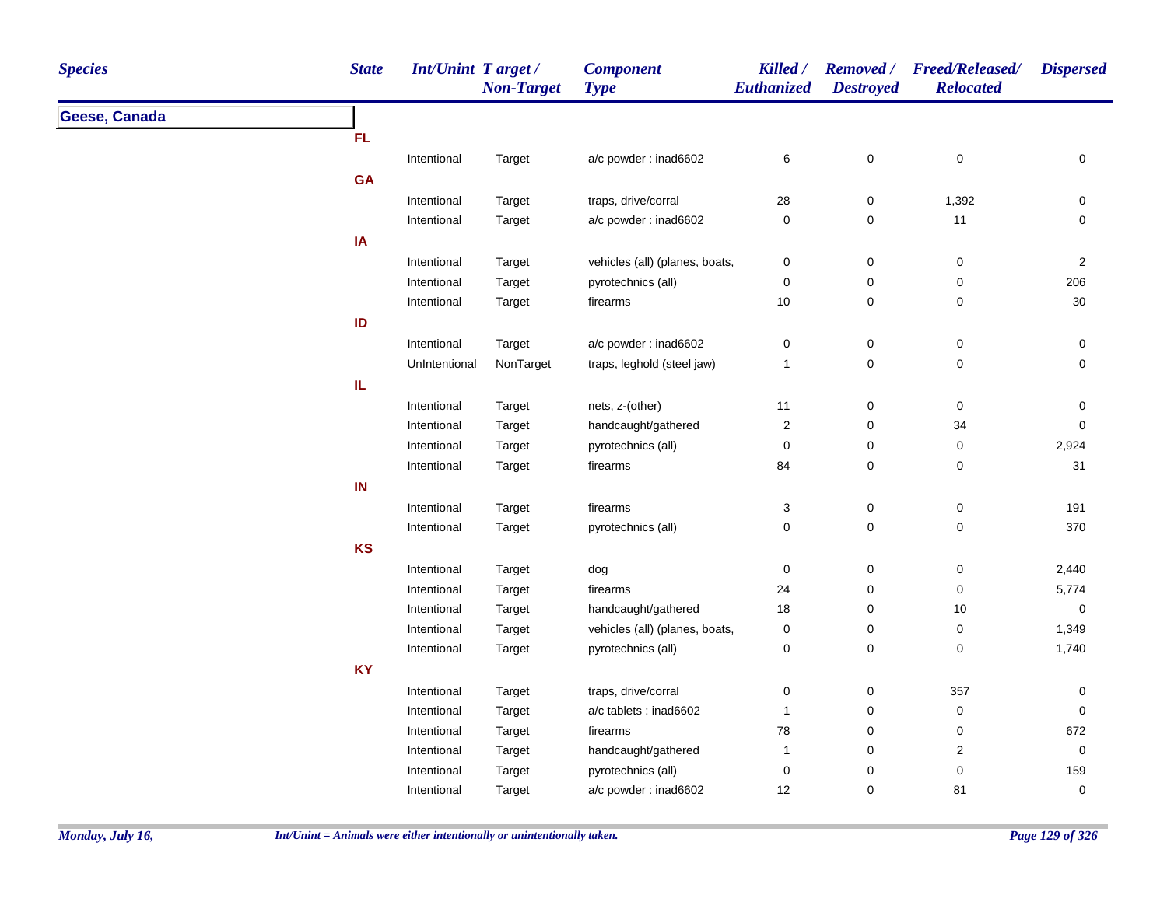| <b>Species</b> | <b>State</b>  | Int/Unint Target/ | <b>Non-Target</b> | <b>Component</b><br><b>Type</b> | Killed /<br><b>Euthanized</b> | <b>Destroyed</b> | Removed / Freed/Released/<br><b>Relocated</b> | <b>Dispersed</b> |
|----------------|---------------|-------------------|-------------------|---------------------------------|-------------------------------|------------------|-----------------------------------------------|------------------|
| Geese, Canada  |               |                   |                   |                                 |                               |                  |                                               |                  |
|                | <b>FL</b>     |                   |                   |                                 |                               |                  |                                               |                  |
|                |               | Intentional       | Target            | a/c powder: inad6602            | 6                             | 0                | $\pmb{0}$                                     | 0                |
|                | <b>GA</b>     |                   |                   |                                 |                               |                  |                                               |                  |
|                |               | Intentional       | Target            | traps, drive/corral             | 28                            | $\pmb{0}$        | 1,392                                         | 0                |
|                |               | Intentional       | Target            | a/c powder: inad6602            | $\pmb{0}$                     | 0                | 11                                            | 0                |
|                | IA            |                   |                   |                                 |                               |                  |                                               |                  |
|                |               | Intentional       | Target            | vehicles (all) (planes, boats,  | $\pmb{0}$                     | 0                | $\pmb{0}$                                     | $\sqrt{2}$       |
|                |               | Intentional       | Target            | pyrotechnics (all)              | $\pmb{0}$                     | 0                | $\pmb{0}$                                     | 206              |
|                |               | Intentional       | Target            | firearms                        | $10$                          | 0                | $\mathbf 0$                                   | $30\,$           |
|                | $\mathsf{ID}$ |                   |                   |                                 |                               |                  |                                               |                  |
|                |               | Intentional       | Target            | a/c powder: inad6602            | $\pmb{0}$                     | 0                | $\pmb{0}$                                     | $\pmb{0}$        |
|                |               | UnIntentional     | NonTarget         | traps, leghold (steel jaw)      | 1                             | 0                | $\pmb{0}$                                     | 0                |
|                | IL            |                   |                   |                                 |                               |                  |                                               |                  |
|                |               | Intentional       | Target            | nets, z-(other)                 | 11                            | 0                | $\pmb{0}$                                     | 0                |
|                |               | Intentional       | Target            | handcaught/gathered             | $\boldsymbol{2}$              | 0                | 34                                            | 0                |
|                |               | Intentional       | Target            | pyrotechnics (all)              | $\pmb{0}$                     | 0                | $\pmb{0}$                                     | 2,924            |
|                |               | Intentional       | Target            | firearms                        | 84                            | 0                | $\pmb{0}$                                     | 31               |
|                | IN            |                   |                   |                                 |                               |                  |                                               |                  |
|                |               | Intentional       | Target            | firearms                        | $\ensuremath{\mathsf{3}}$     | 0                | $\pmb{0}$                                     | 191              |
|                |               | Intentional       | Target            | pyrotechnics (all)              | $\pmb{0}$                     | 0                | $\pmb{0}$                                     | 370              |
|                | <b>KS</b>     |                   |                   |                                 |                               |                  |                                               |                  |
|                |               | Intentional       | Target            | dog                             | 0                             | 0                | $\pmb{0}$                                     | 2,440            |
|                |               | Intentional       | Target            | firearms                        | 24                            | 0                | $\pmb{0}$                                     | 5,774            |
|                |               | Intentional       | Target            | handcaught/gathered             | 18                            | 0                | $10$                                          | $\pmb{0}$        |
|                |               | Intentional       | Target            | vehicles (all) (planes, boats,  | $\pmb{0}$                     | 0                | $\pmb{0}$                                     | 1,349            |
|                |               | Intentional       | Target            | pyrotechnics (all)              | $\pmb{0}$                     | 0                | $\mathbf 0$                                   | 1,740            |
|                | <b>KY</b>     |                   |                   |                                 |                               |                  |                                               |                  |
|                |               | Intentional       | Target            | traps, drive/corral             | 0                             | 0                | 357                                           | 0                |
|                |               | Intentional       | Target            | a/c tablets : inad6602          | $\mathbf{1}$                  | 0                | $\pmb{0}$                                     | 0                |
|                |               | Intentional       | Target            | firearms                        | 78                            | 0                | $\pmb{0}$                                     | 672              |
|                |               | Intentional       | Target            | handcaught/gathered             | 1                             | 0                | $\overline{\mathbf{c}}$                       | $\mathbf 0$      |
|                |               | Intentional       | Target            | pyrotechnics (all)              | $\pmb{0}$                     | 0                | $\pmb{0}$                                     | 159              |
|                |               | Intentional       | Target            | a/c powder: inad6602            | 12                            | 0                | 81                                            | $\pmb{0}$        |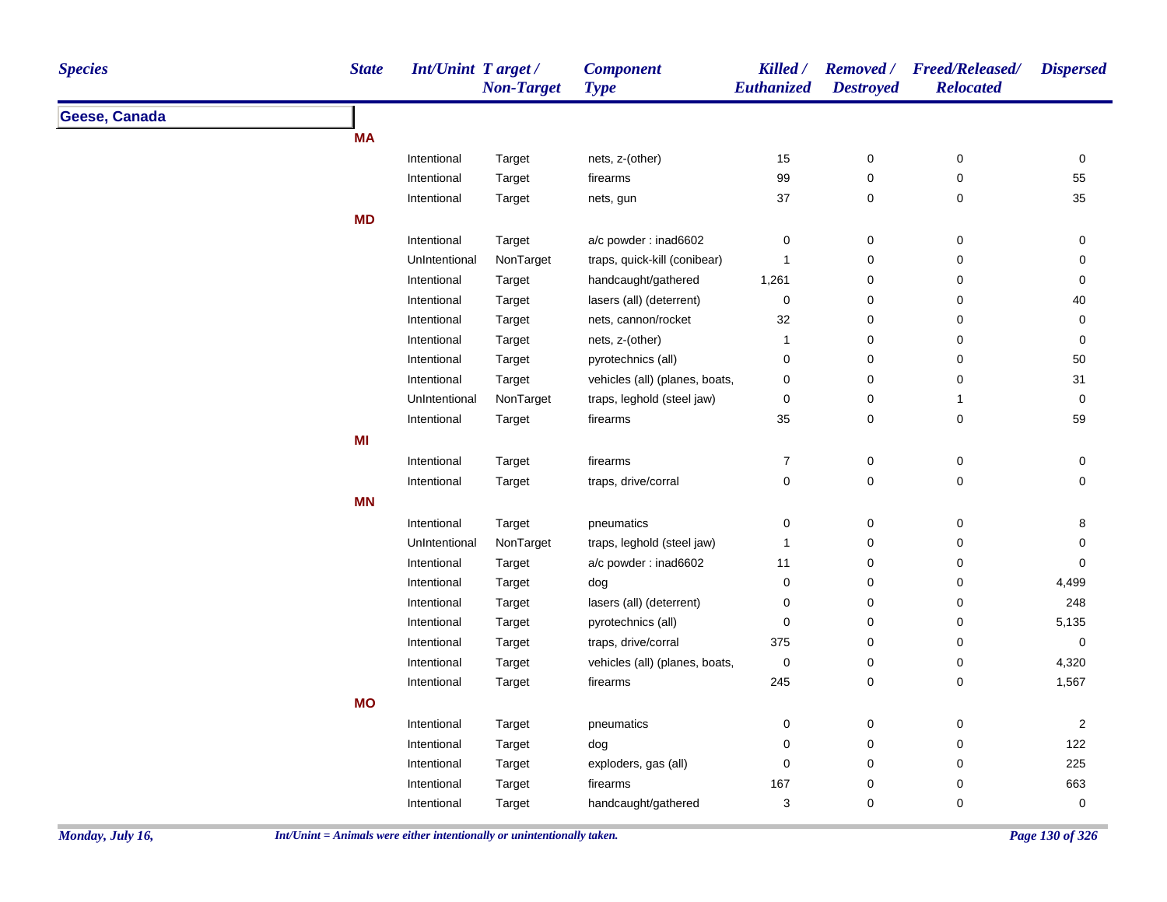| <b>Species</b> | <b>State</b> | Int/Unint Target/ | <b>Non-Target</b> | <b>Component</b><br><b>Type</b> | Killed /<br>Euthanized | <b>Destroyed</b> | Removed / Freed/Released/<br><b>Relocated</b> | <b>Dispersed</b> |
|----------------|--------------|-------------------|-------------------|---------------------------------|------------------------|------------------|-----------------------------------------------|------------------|
| Geese, Canada  |              |                   |                   |                                 |                        |                  |                                               |                  |
|                | <b>MA</b>    |                   |                   |                                 |                        |                  |                                               |                  |
|                |              | Intentional       | Target            | nets, z-(other)                 | 15                     | 0                | $\pmb{0}$                                     | 0                |
|                |              | Intentional       | Target            | firearms                        | 99                     | 0                | $\pmb{0}$                                     | 55               |
|                |              | Intentional       | Target            | nets, gun                       | 37                     | 0                | $\pmb{0}$                                     | 35               |
|                | <b>MD</b>    |                   |                   |                                 |                        |                  |                                               |                  |
|                |              | Intentional       | Target            | a/c powder: inad6602            | 0                      | 0                | $\pmb{0}$                                     | 0                |
|                |              | UnIntentional     | NonTarget         | traps, quick-kill (conibear)    | $\mathbf{1}$           | 0                | $\pmb{0}$                                     | 0                |
|                |              | Intentional       | Target            | handcaught/gathered             | 1,261                  | 0                | 0                                             | 0                |
|                |              | Intentional       | Target            | lasers (all) (deterrent)        | $\pmb{0}$              | 0                | 0                                             | 40               |
|                |              | Intentional       | Target            | nets, cannon/rocket             | 32                     | 0                | $\pmb{0}$                                     | $\pmb{0}$        |
|                |              | Intentional       | Target            | nets, z-(other)                 | $\mathbf 1$            | 0                | $\pmb{0}$                                     | $\pmb{0}$        |
|                |              | Intentional       | Target            | pyrotechnics (all)              | 0                      | 0                | 0                                             | 50               |
|                |              | Intentional       | Target            | vehicles (all) (planes, boats,  | 0                      | 0                | 0                                             | 31               |
|                |              | UnIntentional     | NonTarget         | traps, leghold (steel jaw)      | $\pmb{0}$              | 0                | $\mathbf{1}$                                  | $\mathbf 0$      |
|                |              | Intentional       | Target            | firearms                        | 35                     | 0                | $\pmb{0}$                                     | 59               |
|                | MI           |                   |                   |                                 |                        |                  |                                               |                  |
|                |              | Intentional       | Target            | firearms                        | $\boldsymbol{7}$       | 0                | $\pmb{0}$                                     | $\pmb{0}$        |
|                |              | Intentional       | Target            | traps, drive/corral             | $\pmb{0}$              | 0                | $\pmb{0}$                                     | 0                |
|                | <b>MN</b>    |                   |                   |                                 |                        |                  |                                               |                  |
|                |              | Intentional       | Target            | pneumatics                      | 0                      | 0                | $\pmb{0}$                                     | 8                |
|                |              | UnIntentional     | NonTarget         | traps, leghold (steel jaw)      | 1                      | 0                | 0                                             | 0                |
|                |              | Intentional       | Target            | a/c powder: inad6602            | 11                     | 0                | $\pmb{0}$                                     | 0                |
|                |              | Intentional       | Target            | dog                             | 0                      | 0                | $\pmb{0}$                                     | 4,499            |
|                |              | Intentional       | Target            | lasers (all) (deterrent)        | 0                      | 0                | 0                                             | 248              |
|                |              | Intentional       | Target            | pyrotechnics (all)              | $\mathbf 0$            | 0                | $\pmb{0}$                                     | 5,135            |
|                |              | Intentional       | Target            | traps, drive/corral             | 375                    | 0                | $\pmb{0}$                                     | $\pmb{0}$        |
|                |              | Intentional       | Target            | vehicles (all) (planes, boats,  | $\pmb{0}$              | 0                | $\pmb{0}$                                     | 4,320            |
|                |              | Intentional       | Target            | firearms                        | 245                    | 0                | $\mathbf 0$                                   | 1,567            |
|                | <b>MO</b>    |                   |                   |                                 |                        |                  |                                               |                  |
|                |              | Intentional       | Target            | pneumatics                      | 0                      | 0                | $\pmb{0}$                                     | $\overline{2}$   |
|                |              | Intentional       | Target            | dog                             | 0                      | 0                | $\pmb{0}$                                     | 122              |
|                |              | Intentional       | Target            | exploders, gas (all)            | 0                      | 0                | $\pmb{0}$                                     | 225              |
|                |              | Intentional       | Target            | firearms                        | 167                    | 0                | $\pmb{0}$                                     | 663              |
|                |              | Intentional       | Target            | handcaught/gathered             | 3                      | 0                | 0                                             | 0                |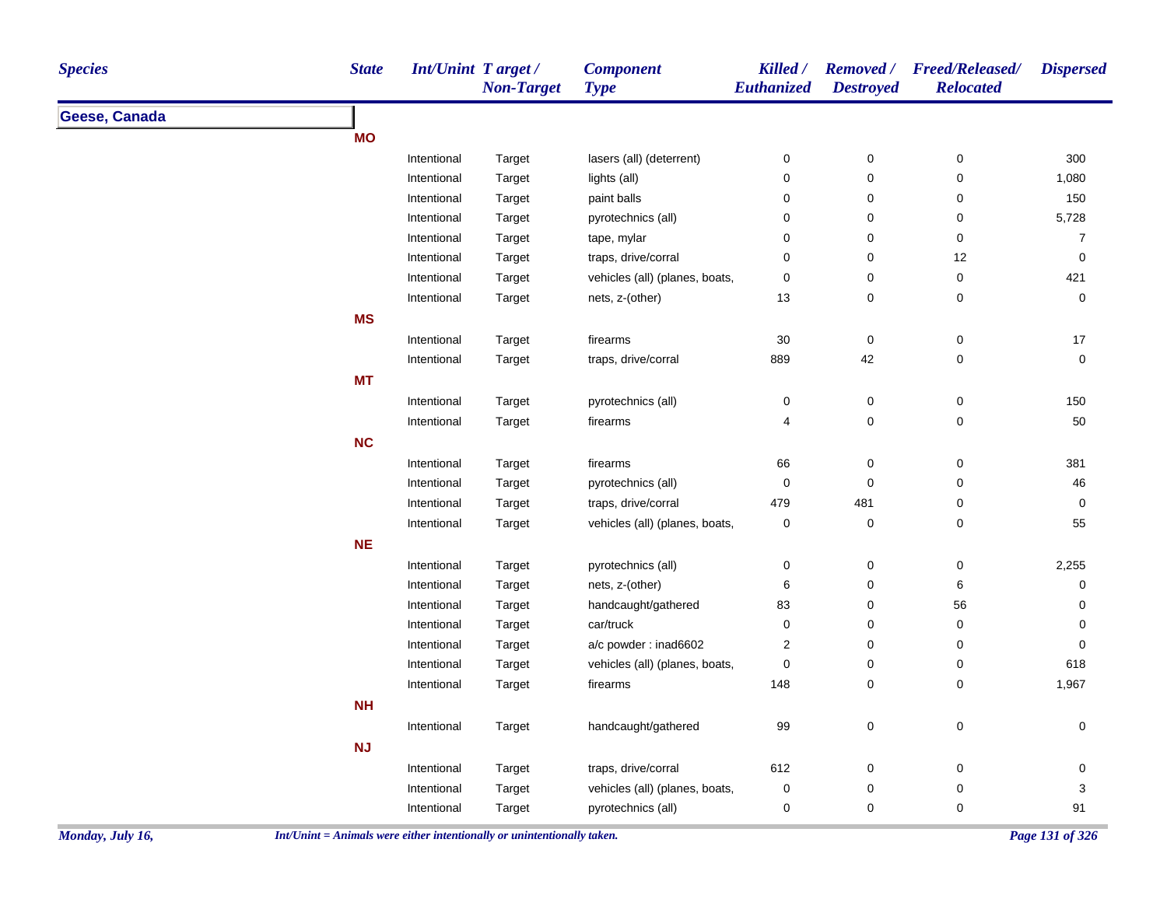| <b>Species</b>   | <b>State</b>                                                             | <b>Int/Unint Target/</b> | <b>Non-Target</b> | <b>Component</b><br><b>Type</b> | Killed /<br>Euthanized | <b>Removed</b> /<br><b>Destroyed</b> | <b>Freed/Released/</b><br><b>Relocated</b> | <b>Dispersed</b> |
|------------------|--------------------------------------------------------------------------|--------------------------|-------------------|---------------------------------|------------------------|--------------------------------------|--------------------------------------------|------------------|
| Geese, Canada    |                                                                          |                          |                   |                                 |                        |                                      |                                            |                  |
|                  | <b>MO</b>                                                                |                          |                   |                                 |                        |                                      |                                            |                  |
|                  |                                                                          | Intentional              | Target            | lasers (all) (deterrent)        | 0                      | $\pmb{0}$                            | $\pmb{0}$                                  | 300              |
|                  |                                                                          | Intentional              | Target            | lights (all)                    | 0                      | $\pmb{0}$                            | $\mathbf 0$                                | 1,080            |
|                  |                                                                          | Intentional              | Target            | paint balls                     | 0                      | $\pmb{0}$                            | $\mathbf 0$                                | 150              |
|                  |                                                                          | Intentional              | Target            | pyrotechnics (all)              | 0                      | 0                                    | 0                                          | 5,728            |
|                  |                                                                          | Intentional              | Target            | tape, mylar                     | 0                      | 0                                    | 0                                          | 7                |
|                  |                                                                          | Intentional              | Target            | traps, drive/corral             | 0                      | $\pmb{0}$                            | 12                                         | 0                |
|                  |                                                                          | Intentional              | Target            | vehicles (all) (planes, boats,  | 0                      | $\pmb{0}$                            | 0                                          | 421              |
|                  |                                                                          | Intentional              | Target            | nets, z-(other)                 | 13                     | $\pmb{0}$                            | 0                                          | 0                |
|                  | <b>MS</b>                                                                |                          |                   |                                 |                        |                                      |                                            |                  |
|                  |                                                                          | Intentional              | Target            | firearms                        | $30\,$                 | $\pmb{0}$                            | $\mathbf 0$                                | $17$             |
|                  |                                                                          | Intentional              | Target            | traps, drive/corral             | 889                    | 42                                   | 0                                          | 0                |
|                  | <b>MT</b>                                                                |                          |                   |                                 |                        |                                      |                                            |                  |
|                  |                                                                          | Intentional              | Target            | pyrotechnics (all)              | 0                      | $\pmb{0}$                            | $\mathbf 0$                                | 150              |
|                  |                                                                          | Intentional              | Target            | firearms                        | $\overline{4}$         | $\pmb{0}$                            | 0                                          | $50\,$           |
|                  | <b>NC</b>                                                                |                          |                   |                                 |                        |                                      |                                            |                  |
|                  |                                                                          | Intentional              | Target            | firearms                        | 66                     | 0                                    | 0                                          | 381              |
|                  |                                                                          | Intentional              | Target            | pyrotechnics (all)              | 0                      | 0                                    | 0                                          | 46               |
|                  |                                                                          | Intentional              | Target            | traps, drive/corral             | 479                    | 481                                  | 0                                          | 0                |
|                  |                                                                          | Intentional              | Target            | vehicles (all) (planes, boats,  | 0                      | $\pmb{0}$                            | 0                                          | 55               |
|                  | <b>NE</b>                                                                |                          |                   |                                 |                        |                                      |                                            |                  |
|                  |                                                                          | Intentional              | Target            | pyrotechnics (all)              | 0                      | 0                                    | 0                                          | 2,255            |
|                  |                                                                          | Intentional              | Target            | nets, z-(other)                 | 6                      | 0                                    | 6                                          | 0                |
|                  |                                                                          | Intentional              | Target            | handcaught/gathered             | 83                     | 0                                    | 56                                         | 0                |
|                  |                                                                          | Intentional              | Target            | car/truck                       | 0                      | 0                                    | 0                                          | 0                |
|                  |                                                                          | Intentional              | Target            | a/c powder: inad6602            | $\overline{2}$         | 0                                    | 0                                          | 0                |
|                  |                                                                          | Intentional              | Target            | vehicles (all) (planes, boats,  | 0                      | 0                                    | 0                                          | 618              |
|                  |                                                                          | Intentional              | Target            | firearms                        | 148                    | $\pmb{0}$                            | 0                                          | 1,967            |
|                  | <b>NH</b>                                                                |                          |                   |                                 |                        |                                      |                                            |                  |
|                  |                                                                          |                          |                   |                                 |                        |                                      |                                            |                  |
|                  | <b>NJ</b>                                                                | Intentional              | Target            | handcaught/gathered             | 99                     | $\pmb{0}$                            | 0                                          | 0                |
|                  |                                                                          | Intentional              | Target            | traps, drive/corral             | 612                    | 0                                    | 0                                          | 0                |
|                  |                                                                          | Intentional              | Target            | vehicles (all) (planes, boats,  | 0                      | 0                                    | 0                                          | 3                |
|                  |                                                                          | Intentional              | Target            | pyrotechnics (all)              | 0                      | $\pmb{0}$                            | 0                                          | 91               |
| Monday, July 16, | $Int/Unit = Animals$ were either intentionally or unintentionally taken. |                          |                   |                                 |                        |                                      |                                            | Page 131 of 326  |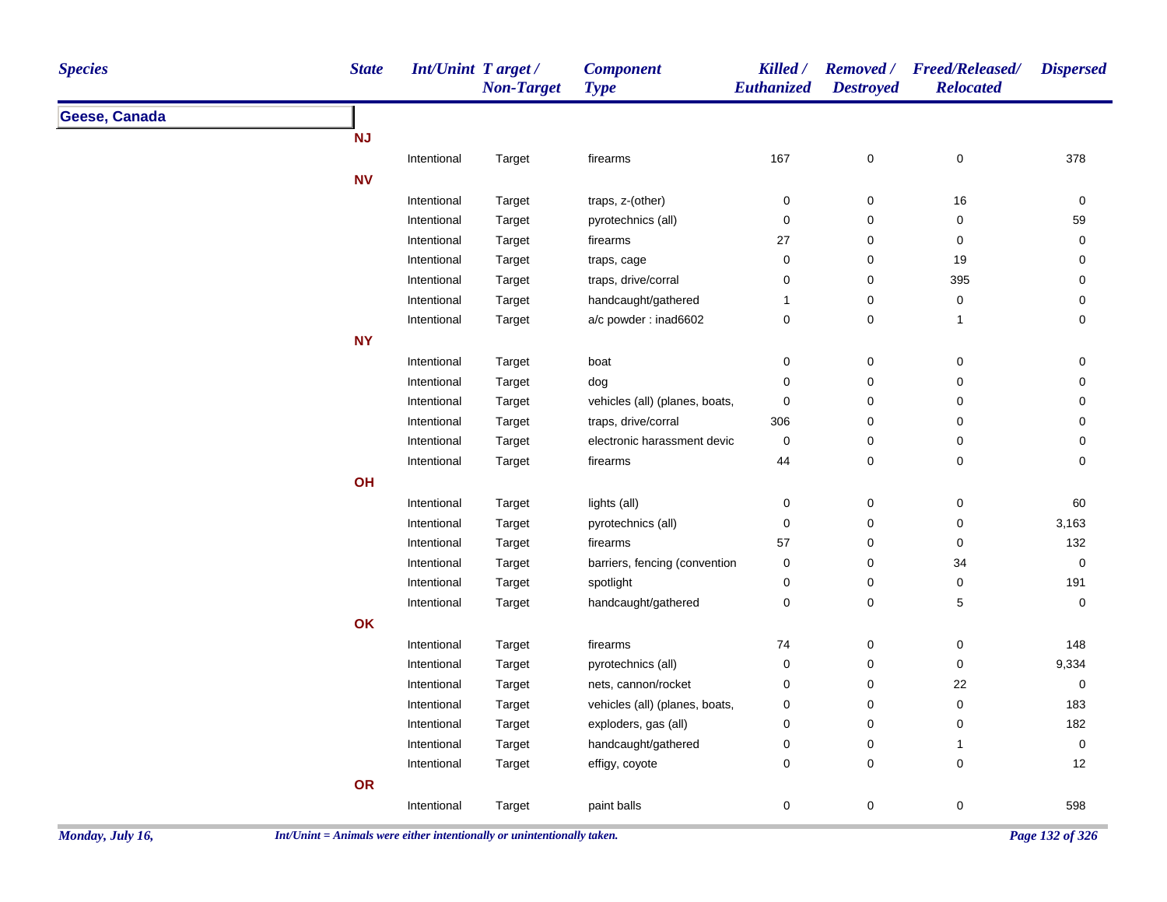| <b>Species</b> | <b>State</b> | Int/Unint Target/ | <b>Non-Target</b> | <b>Component</b><br><b>Type</b> | Killed /<br>Euthanized | <b>Destroyed</b> | Removed / Freed/Released/<br><b>Relocated</b> | <b>Dispersed</b>    |
|----------------|--------------|-------------------|-------------------|---------------------------------|------------------------|------------------|-----------------------------------------------|---------------------|
| Geese, Canada  |              |                   |                   |                                 |                        |                  |                                               |                     |
|                | <b>NJ</b>    |                   |                   |                                 |                        |                  |                                               |                     |
|                |              | Intentional       | Target            | firearms                        | 167                    | $\pmb{0}$        | $\pmb{0}$                                     | 378                 |
|                | <b>NV</b>    |                   |                   |                                 |                        |                  |                                               |                     |
|                |              | Intentional       | Target            | traps, z-(other)                | 0                      | 0                | $16\,$                                        | 0                   |
|                |              | Intentional       | Target            | pyrotechnics (all)              | 0                      | 0                | 0                                             | 59                  |
|                |              | Intentional       | Target            | firearms                        | 27                     | 0                | $\mathsf 0$                                   | $\pmb{0}$           |
|                |              | Intentional       | Target            | traps, cage                     | 0                      | 0                | 19                                            | 0                   |
|                |              | Intentional       | Target            | traps, drive/corral             | 0                      | $\mathbf 0$      | 395                                           | 0                   |
|                |              | Intentional       | Target            | handcaught/gathered             | 1                      | 0                | $\mathbf 0$                                   | 0                   |
|                |              | Intentional       | Target            | a/c powder: inad6602            | 0                      | 0                | 1                                             | 0                   |
|                | <b>NY</b>    |                   |                   |                                 |                        |                  |                                               |                     |
|                |              | Intentional       | Target            | boat                            | 0                      | $\pmb{0}$        | $\pmb{0}$                                     | 0                   |
|                |              | Intentional       | Target            | dog                             | 0                      | 0                | 0                                             | 0                   |
|                |              | Intentional       | Target            | vehicles (all) (planes, boats,  | 0                      | 0                | 0                                             | 0                   |
|                |              | Intentional       | Target            | traps, drive/corral             | 306                    | $\pmb{0}$        | 0                                             | 0                   |
|                |              | Intentional       | Target            | electronic harassment devic     | $\pmb{0}$              | 0                | $\pmb{0}$                                     | 0                   |
|                |              | Intentional       | Target            | firearms                        | 44                     | $\pmb{0}$        | 0                                             | $\mathbf 0$         |
|                | OH           |                   |                   |                                 |                        |                  |                                               |                     |
|                |              | Intentional       | Target            | lights (all)                    | 0                      | $\mathbf 0$      | 0                                             | 60                  |
|                |              | Intentional       | Target            | pyrotechnics (all)              | 0                      | 0                | 0                                             | 3,163               |
|                |              | Intentional       | Target            | firearms                        | 57                     | 0                | 0                                             | 132                 |
|                |              | Intentional       | Target            | barriers, fencing (convention   | 0                      | 0                | 34                                            | $\mathbf 0$         |
|                |              | Intentional       | Target            | spotlight                       | 0                      | 0                | 0                                             | 191                 |
|                |              | Intentional       | Target            | handcaught/gathered             | 0                      | $\mathbf 0$      | 5                                             | $\mathbf 0$         |
|                | OK           |                   |                   |                                 |                        |                  |                                               |                     |
|                |              | Intentional       | Target            | firearms                        | 74                     | $\pmb{0}$        | $\pmb{0}$                                     | 148                 |
|                |              | Intentional       | Target            | pyrotechnics (all)              | $\pmb{0}$              | 0                | $\pmb{0}$                                     | 9,334               |
|                |              | Intentional       | Target            | nets, cannon/rocket             | 0                      | 0                | $22\,$                                        | 0                   |
|                |              | Intentional       | Target            | vehicles (all) (planes, boats,  | 0                      | 0                | $\pmb{0}$                                     | 183                 |
|                |              | Intentional       | Target            | exploders, gas (all)            | 0                      | $\pmb{0}$        | 0                                             | 182                 |
|                |              | Intentional       | Target            | handcaught/gathered             | 0                      | $\pmb{0}$        | $\mathbf{1}$                                  | $\mathsf{O}\xspace$ |
|                |              | Intentional       | Target            | effigy, coyote                  | 0                      | 0                | 0                                             | 12                  |
|                | OR           |                   |                   |                                 |                        |                  |                                               |                     |
|                |              | Intentional       | Target            | paint balls                     | 0                      | $\mathbf 0$      | 0                                             | 598                 |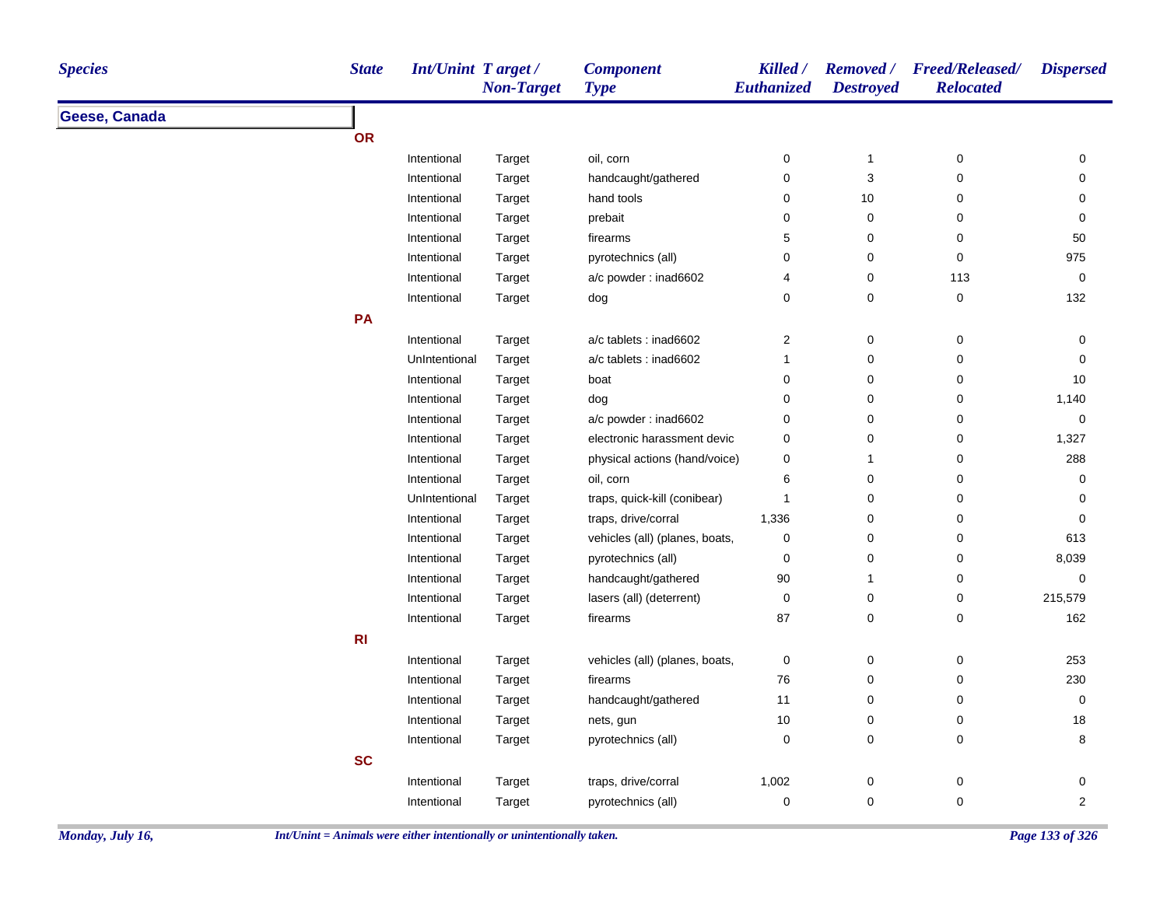| Geese, Canada<br>OR<br>oil, corn<br>$\pmb{0}$<br>Intentional<br>Target<br>0<br>$\mathbf{1}$<br>$\mathbf 0$<br>3<br>Intentional<br>handcaught/gathered<br>0<br>Target<br>hand tools<br>0<br>$10$<br>Intentional<br>Target<br>0<br>$\pmb{0}$<br>Intentional<br>prebait<br>0<br>0<br>Target<br>5<br>$\pmb{0}$<br>0<br>Intentional<br>Target<br>firearms<br>0<br>$\pmb{0}$<br>0<br>Intentional<br>Target<br>pyrotechnics (all)<br>a/c powder: inad6602<br>4<br>$\pmb{0}$<br>113<br>Intentional<br>Target<br>0<br>$\mathbf 0$<br>$\pmb{0}$<br>Intentional<br>Target<br>dog | <b>Dispersed</b>    |
|-----------------------------------------------------------------------------------------------------------------------------------------------------------------------------------------------------------------------------------------------------------------------------------------------------------------------------------------------------------------------------------------------------------------------------------------------------------------------------------------------------------------------------------------------------------------------|---------------------|
|                                                                                                                                                                                                                                                                                                                                                                                                                                                                                                                                                                       |                     |
|                                                                                                                                                                                                                                                                                                                                                                                                                                                                                                                                                                       |                     |
|                                                                                                                                                                                                                                                                                                                                                                                                                                                                                                                                                                       | 0                   |
|                                                                                                                                                                                                                                                                                                                                                                                                                                                                                                                                                                       | $\mathbf 0$         |
|                                                                                                                                                                                                                                                                                                                                                                                                                                                                                                                                                                       | 0                   |
|                                                                                                                                                                                                                                                                                                                                                                                                                                                                                                                                                                       | 0                   |
|                                                                                                                                                                                                                                                                                                                                                                                                                                                                                                                                                                       | 50                  |
|                                                                                                                                                                                                                                                                                                                                                                                                                                                                                                                                                                       | 975                 |
|                                                                                                                                                                                                                                                                                                                                                                                                                                                                                                                                                                       | $\mathsf{O}\xspace$ |
|                                                                                                                                                                                                                                                                                                                                                                                                                                                                                                                                                                       | 132                 |
| PA                                                                                                                                                                                                                                                                                                                                                                                                                                                                                                                                                                    |                     |
| a/c tablets : inad6602<br>2<br>0<br>0<br>Intentional<br>Target                                                                                                                                                                                                                                                                                                                                                                                                                                                                                                        | 0                   |
| $\pmb{0}$<br>UnIntentional<br>a/c tablets : inad6602<br>$\mathbf{1}$<br>0<br>Target                                                                                                                                                                                                                                                                                                                                                                                                                                                                                   | $\mathbf 0$         |
| 0<br>$\mathbf 0$<br>0<br>Intentional<br>Target<br>boat                                                                                                                                                                                                                                                                                                                                                                                                                                                                                                                | 10                  |
| 0<br>$\pmb{0}$<br>0<br>Intentional<br>Target<br>dog                                                                                                                                                                                                                                                                                                                                                                                                                                                                                                                   | 1,140               |
| 0<br>$\pmb{0}$<br>$\pmb{0}$<br>a/c powder: inad6602<br>Intentional<br>Target                                                                                                                                                                                                                                                                                                                                                                                                                                                                                          | 0                   |
| electronic harassment devic<br>0<br>$\pmb{0}$<br>0<br>Intentional<br>Target                                                                                                                                                                                                                                                                                                                                                                                                                                                                                           | 1,327               |
| $\pmb{0}$<br>Intentional<br>physical actions (hand/voice)<br>0<br>Target<br>1                                                                                                                                                                                                                                                                                                                                                                                                                                                                                         | 288                 |
| Intentional<br>oil, corn<br>6<br>$\pmb{0}$<br>0<br>Target                                                                                                                                                                                                                                                                                                                                                                                                                                                                                                             | 0                   |
| traps, quick-kill (conibear)<br>0<br>$\mathbf 0$<br>UnIntentional<br>Target<br>1                                                                                                                                                                                                                                                                                                                                                                                                                                                                                      | 0                   |
| $\pmb{0}$<br>$\pmb{0}$<br>Intentional<br>traps, drive/corral<br>1,336<br>Target                                                                                                                                                                                                                                                                                                                                                                                                                                                                                       | $\mathbf 0$         |
| vehicles (all) (planes, boats,<br>$\mathbf 0$<br>Intentional<br>$\pmb{0}$<br>$\mathbf 0$<br>Target                                                                                                                                                                                                                                                                                                                                                                                                                                                                    | 613                 |
| pyrotechnics (all)<br>0<br>$\pmb{0}$<br>0<br>Intentional<br>Target                                                                                                                                                                                                                                                                                                                                                                                                                                                                                                    | 8,039               |
| handcaught/gathered<br>$90\,$<br>Intentional<br>0<br>Target<br>1                                                                                                                                                                                                                                                                                                                                                                                                                                                                                                      | 0                   |
| Intentional<br>lasers (all) (deterrent)<br>$\mathbf 0$<br>$\pmb{0}$<br>0<br>Target                                                                                                                                                                                                                                                                                                                                                                                                                                                                                    | 215,579             |
| 87<br>$\mathsf 0$<br>Intentional<br>Target<br>firearms<br>0                                                                                                                                                                                                                                                                                                                                                                                                                                                                                                           | 162                 |
| R1                                                                                                                                                                                                                                                                                                                                                                                                                                                                                                                                                                    |                     |
| $\pmb{0}$<br>$\pmb{0}$<br>Intentional<br>vehicles (all) (planes, boats,<br>$\pmb{0}$<br>Target                                                                                                                                                                                                                                                                                                                                                                                                                                                                        | 253                 |
| Intentional<br>firearms<br>76<br>$\pmb{0}$<br>0<br>Target                                                                                                                                                                                                                                                                                                                                                                                                                                                                                                             | 230                 |
| handcaught/gathered<br>11<br>$\pmb{0}$<br>$\mathbf 0$<br>Intentional<br>Target                                                                                                                                                                                                                                                                                                                                                                                                                                                                                        | $\mathsf{O}\xspace$ |
| Intentional<br>10<br>$\pmb{0}$<br>0<br>Target<br>nets, gun                                                                                                                                                                                                                                                                                                                                                                                                                                                                                                            | $18\,$              |
| pyrotechnics (all)<br>0<br>$\mathbf 0$<br>0<br>Intentional<br>Target                                                                                                                                                                                                                                                                                                                                                                                                                                                                                                  | 8                   |
| <b>SC</b>                                                                                                                                                                                                                                                                                                                                                                                                                                                                                                                                                             |                     |
| traps, drive/corral<br>1,002<br>$\pmb{0}$<br>0<br>Intentional<br>Target                                                                                                                                                                                                                                                                                                                                                                                                                                                                                               | 0                   |
| $\pmb{0}$<br>$\pmb{0}$<br>Intentional<br>pyrotechnics (all)<br>$\pmb{0}$<br>Target                                                                                                                                                                                                                                                                                                                                                                                                                                                                                    | $\overline{c}$      |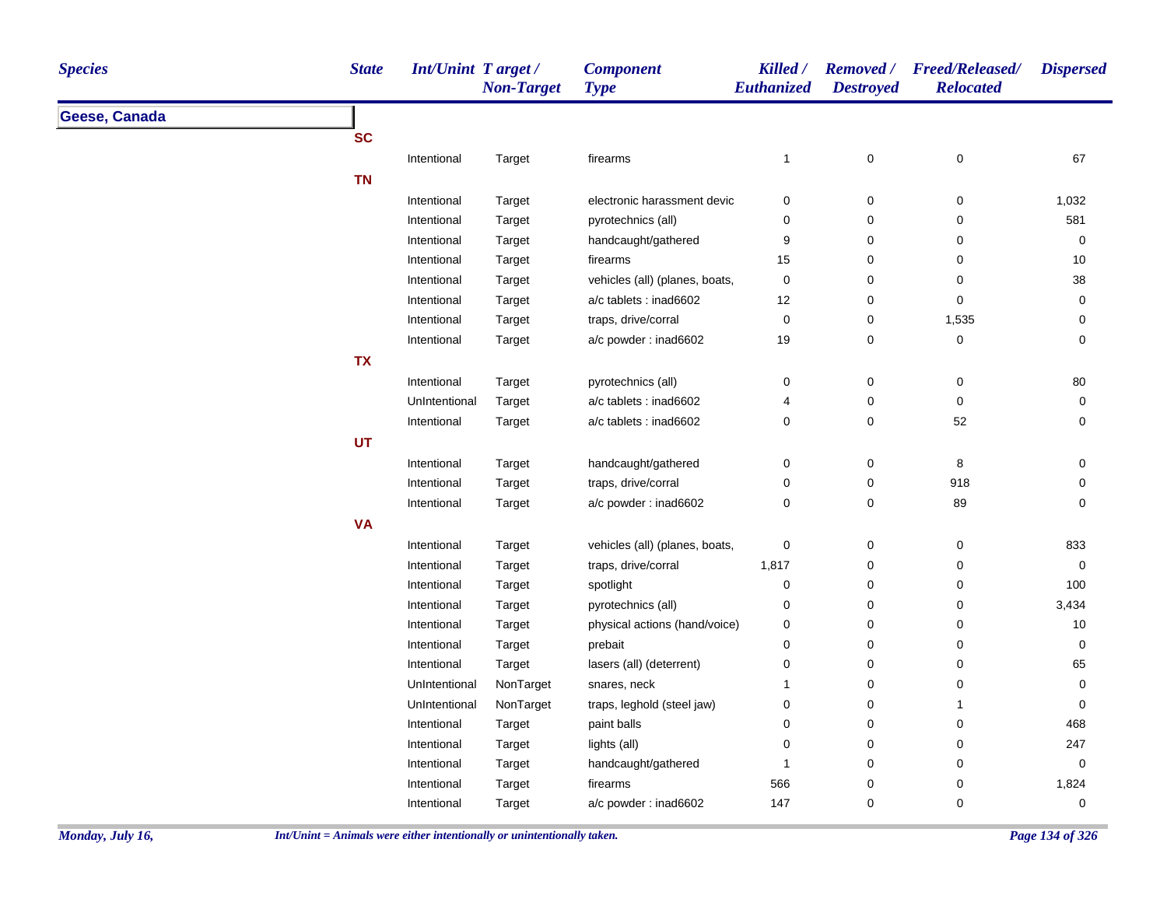| <b>Species</b> | <b>State</b>  | Int/Unint Target/<br><b>Non-Target</b> | <b>Component</b><br><b>Type</b> | Killed /<br>Euthanized | <b>Destroyed</b>    | Removed / Freed/Released/<br><b>Relocated</b> | <b>Dispersed</b> |
|----------------|---------------|----------------------------------------|---------------------------------|------------------------|---------------------|-----------------------------------------------|------------------|
| Geese, Canada  |               |                                        |                                 |                        |                     |                                               |                  |
|                | <b>SC</b>     |                                        |                                 |                        |                     |                                               |                  |
|                | Intentional   | Target                                 | firearms                        | $\mathbf{1}$           | $\pmb{0}$           | $\pmb{0}$                                     | 67               |
|                | <b>TN</b>     |                                        |                                 |                        |                     |                                               |                  |
|                | Intentional   | Target                                 | electronic harassment devic     | 0                      | $\mathbf 0$         | 0                                             | 1,032            |
|                | Intentional   | Target                                 | pyrotechnics (all)              | 0                      | $\mathsf{O}\xspace$ | $\pmb{0}$                                     | 581              |
|                | Intentional   | Target                                 | handcaught/gathered             | 9                      | 0                   | $\mathbf 0$                                   | 0                |
|                | Intentional   | Target                                 | firearms                        | 15                     | $\mathbf 0$         | 0                                             | $10$             |
|                | Intentional   | Target                                 | vehicles (all) (planes, boats,  | $\mathbf 0$            | $\mathbf 0$         | 0                                             | 38               |
|                | Intentional   | Target                                 | a/c tablets : inad6602          | 12                     | $\mathbf 0$         | 0                                             | 0                |
|                | Intentional   | Target                                 | traps, drive/corral             | $\pmb{0}$              | 0                   | 1,535                                         | $\pmb{0}$        |
|                | Intentional   | Target                                 | a/c powder: inad6602            | 19                     | $\mathbf 0$         | $\pmb{0}$                                     | $\pmb{0}$        |
|                | <b>TX</b>     |                                        |                                 |                        |                     |                                               |                  |
|                | Intentional   | Target                                 | pyrotechnics (all)              | 0                      | $\mathbf 0$         | 0                                             | 80               |
|                | UnIntentional | Target                                 | a/c tablets : inad6602          | 4                      | $\pmb{0}$           | $\pmb{0}$                                     | $\mathbf 0$      |
|                | Intentional   | Target                                 | a/c tablets : inad6602          | 0                      | $\mathbf 0$         | 52                                            | $\mathbf 0$      |
|                | <b>UT</b>     |                                        |                                 |                        |                     |                                               |                  |
|                | Intentional   | Target                                 | handcaught/gathered             | 0                      | $\mathbf 0$         | 8                                             | 0                |
|                | Intentional   | Target                                 | traps, drive/corral             | 0                      | $\mathsf{O}\xspace$ | 918                                           | $\mathbf 0$      |
|                | Intentional   | Target                                 | a/c powder: inad6602            | 0                      | 0                   | 89                                            | $\mathbf 0$      |
|                | <b>VA</b>     |                                        |                                 |                        |                     |                                               |                  |
|                | Intentional   | Target                                 | vehicles (all) (planes, boats,  | 0                      | $\mathbf 0$         | 0                                             | 833              |
|                | Intentional   | Target                                 | traps, drive/corral             | 1,817                  | $\mathbf 0$         | 0                                             | 0                |
|                | Intentional   | Target                                 | spotlight                       | 0                      | $\mathbf 0$         | 0                                             | 100              |
|                | Intentional   | Target                                 | pyrotechnics (all)              | 0                      | $\mathsf 0$         | $\pmb{0}$                                     | 3,434            |
|                | Intentional   | Target                                 | physical actions (hand/voice)   | 0                      | $\mathbf 0$         | 0                                             | 10               |
|                | Intentional   | Target                                 | prebait                         | 0                      | $\mathbf 0$         | 0                                             | 0                |
|                | Intentional   | Target                                 | lasers (all) (deterrent)        | 0                      | $\pmb{0}$           | 0                                             | 65               |
|                | UnIntentional | NonTarget                              | snares, neck                    | $\mathbf{1}$           | $\mathbf 0$         | 0                                             | 0                |
|                | UnIntentional | NonTarget                              | traps, leghold (steel jaw)      | 0                      | $\mathbf 0$         | $\mathbf{1}$                                  | 0                |
|                | Intentional   | Target                                 | paint balls                     | 0                      | $\mathbf 0$         | $\pmb{0}$                                     | 468              |
|                | Intentional   | Target                                 | lights (all)                    | 0                      | $\mathbf 0$         | 0                                             | 247              |
|                | Intentional   | Target                                 | handcaught/gathered             | -1                     | $\mathbf 0$         | 0                                             | 0                |
|                | Intentional   | Target                                 | firearms                        | 566                    | $\mathbf 0$         | 0                                             | 1,824            |
|                | Intentional   | Target                                 | a/c powder: inad6602            | 147                    | 0                   | 0                                             | 0                |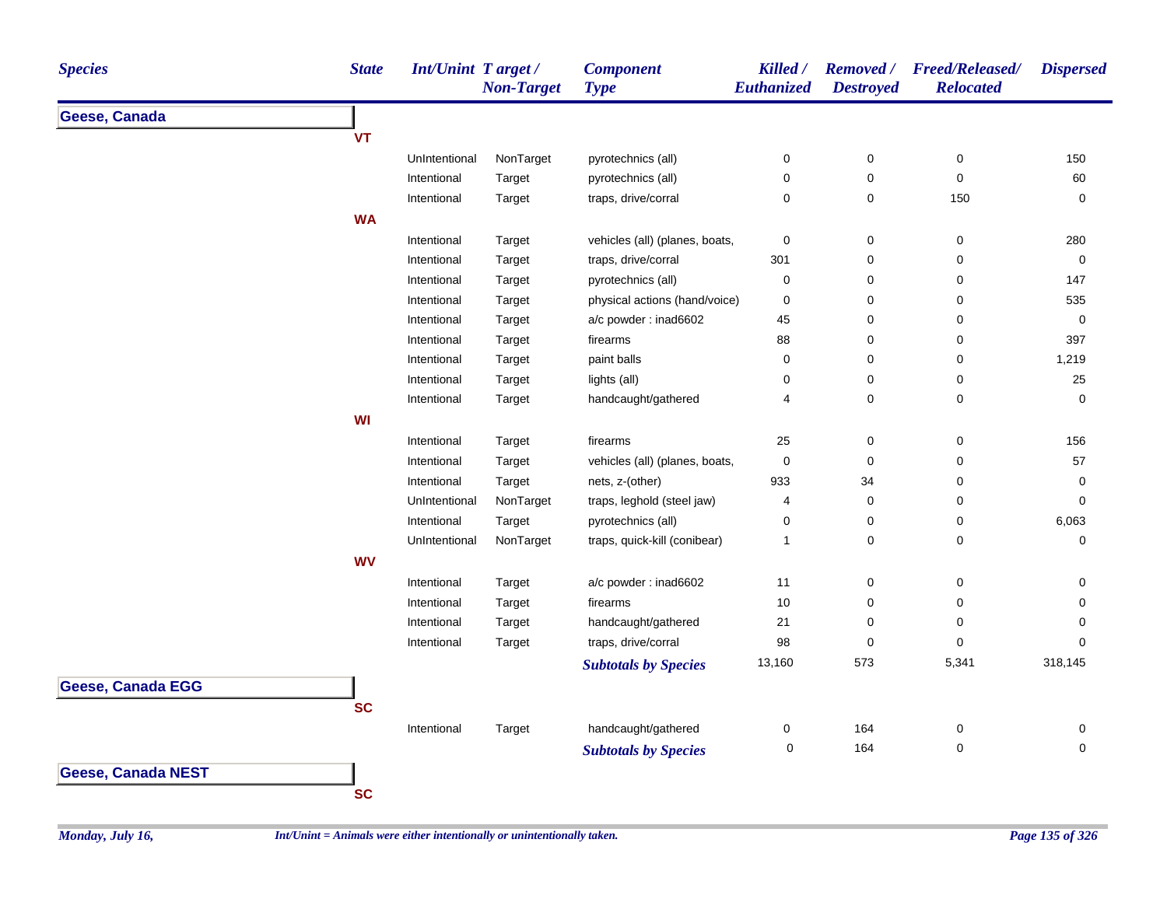| <b>Species</b>            | <b>State</b> | Int/Unint Target/ | <b>Non-Target</b> | <b>Component</b><br><b>Type</b> | Killed /<br>Euthanized | <b>Destroyed</b> | Removed / Freed/Released/<br><b>Relocated</b> | <b>Dispersed</b> |
|---------------------------|--------------|-------------------|-------------------|---------------------------------|------------------------|------------------|-----------------------------------------------|------------------|
| Geese, Canada             |              |                   |                   |                                 |                        |                  |                                               |                  |
|                           | <b>VT</b>    |                   |                   |                                 |                        |                  |                                               |                  |
|                           |              | UnIntentional     | NonTarget         | pyrotechnics (all)              | 0                      | $\pmb{0}$        | $\pmb{0}$                                     | 150              |
|                           |              | Intentional       | Target            | pyrotechnics (all)              | $\pmb{0}$              | 0                | 0                                             | 60               |
|                           |              | Intentional       | Target            | traps, drive/corral             | $\mathbf 0$            | 0                | 150                                           | 0                |
|                           | <b>WA</b>    |                   |                   |                                 |                        |                  |                                               |                  |
|                           |              | Intentional       | Target            | vehicles (all) (planes, boats,  | $\boldsymbol{0}$       | 0                | 0                                             | 280              |
|                           |              | Intentional       | Target            | traps, drive/corral             | 301                    | 0                | 0                                             | $\mathbf 0$      |
|                           |              | Intentional       | Target            | pyrotechnics (all)              | $\mathbf 0$            | 0                | 0                                             | 147              |
|                           |              | Intentional       | Target            | physical actions (hand/voice)   | $\pmb{0}$              | 0                | 0                                             | 535              |
|                           |              | Intentional       | Target            | a/c powder: inad6602            | 45                     | 0                | 0                                             | $\mathbf 0$      |
|                           |              | Intentional       | Target            | firearms                        | 88                     | 0                | 0                                             | 397              |
|                           |              | Intentional       | Target            | paint balls                     | $\mathbf 0$            | 0                | 0                                             | 1,219            |
|                           |              | Intentional       | Target            | lights (all)                    | 0                      | 0                | 0                                             | 25               |
|                           |              | Intentional       | Target            | handcaught/gathered             | 4                      | 0                | 0                                             | 0                |
|                           | WI           |                   |                   |                                 |                        |                  |                                               |                  |
|                           |              | Intentional       | Target            | firearms                        | 25                     | $\mathbf 0$      | 0                                             | 156              |
|                           |              | Intentional       | Target            | vehicles (all) (planes, boats,  | $\mathbf 0$            | $\pmb{0}$        | 0                                             | 57               |
|                           |              | Intentional       | Target            | nets, z-(other)                 | 933                    | 34               | 0                                             | $\mathbf 0$      |
|                           |              | UnIntentional     | NonTarget         | traps, leghold (steel jaw)      | 4                      | $\pmb{0}$        | 0                                             | $\pmb{0}$        |
|                           |              | Intentional       | Target            | pyrotechnics (all)              | $\mathbf 0$            | 0                | 0                                             | 6,063            |
|                           |              | UnIntentional     | NonTarget         | traps, quick-kill (conibear)    | $\mathbf{1}$           | 0                | 0                                             | 0                |
|                           | <b>WV</b>    |                   |                   |                                 |                        |                  |                                               |                  |
|                           |              | Intentional       | Target            | a/c powder: inad6602            | 11                     | 0                | 0                                             | 0                |
|                           |              | Intentional       | Target            | firearms                        | 10                     | 0                | 0                                             | 0                |
|                           |              | Intentional       | Target            | handcaught/gathered             | 21                     | 0                | 0                                             | 0                |
|                           |              | Intentional       | Target            | traps, drive/corral             | 98                     | 0                | 0                                             | 0                |
|                           |              |                   |                   | <b>Subtotals by Species</b>     | 13,160                 | 573              | 5,341                                         | 318,145          |
| <b>Geese, Canada EGG</b>  |              |                   |                   |                                 |                        |                  |                                               |                  |
|                           | <b>SC</b>    |                   |                   |                                 |                        |                  |                                               |                  |
|                           |              | Intentional       | Target            | handcaught/gathered             | 0                      | 164              | 0                                             | 0                |
|                           |              |                   |                   |                                 | 0                      | 164              | $\pmb{0}$                                     | 0                |
|                           |              |                   |                   | <b>Subtotals by Species</b>     |                        |                  |                                               |                  |
| <b>Geese, Canada NEST</b> |              |                   |                   |                                 |                        |                  |                                               |                  |
|                           | <b>SC</b>    |                   |                   |                                 |                        |                  |                                               |                  |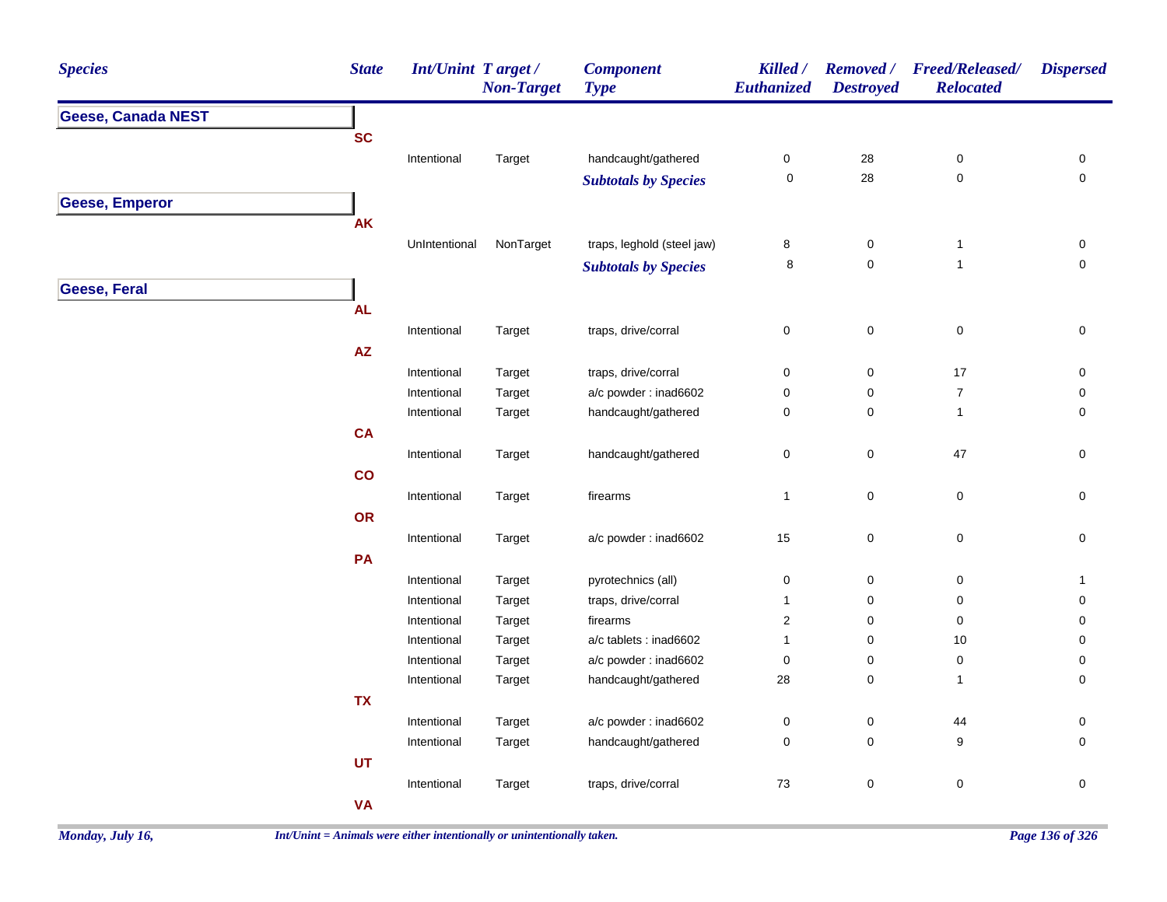| <b>Species</b>            | <b>State</b>           | Int/Unint Target/ | <b>Non-Target</b> | <b>Component</b><br><b>Type</b> | Killed /<br>Euthanized | <b>Removed</b> /<br><b>Destroyed</b> | <b>Freed/Released/</b><br><b>Relocated</b> | <b>Dispersed</b>    |
|---------------------------|------------------------|-------------------|-------------------|---------------------------------|------------------------|--------------------------------------|--------------------------------------------|---------------------|
| <b>Geese, Canada NEST</b> |                        |                   |                   |                                 |                        |                                      |                                            |                     |
|                           | <b>SC</b>              |                   |                   |                                 |                        |                                      |                                            |                     |
|                           |                        | Intentional       | Target            | handcaught/gathered             | $\pmb{0}$              | $28\,$                               | $\pmb{0}$                                  | 0                   |
|                           |                        |                   |                   | <b>Subtotals by Species</b>     | $\pmb{0}$              | 28                                   | $\mathbf 0$                                | $\pmb{0}$           |
| <b>Geese, Emperor</b>     |                        |                   |                   |                                 |                        |                                      |                                            |                     |
|                           | AK                     |                   |                   |                                 |                        |                                      |                                            |                     |
|                           |                        | UnIntentional     | NonTarget         | traps, leghold (steel jaw)      | 8                      | $\pmb{0}$                            | $\mathbf{1}$                               | 0                   |
|                           |                        |                   |                   | <b>Subtotals by Species</b>     | 8                      | 0                                    | $\mathbf{1}$                               | $\mathsf{O}\xspace$ |
| <b>Geese, Feral</b>       |                        |                   |                   |                                 |                        |                                      |                                            |                     |
|                           | <b>AL</b>              |                   |                   |                                 |                        |                                      |                                            |                     |
|                           |                        | Intentional       | Target            | traps, drive/corral             | $\mathsf 0$            | $\mathbf 0$                          | $\pmb{0}$                                  | $\pmb{0}$           |
|                           | $\mathsf{A}\mathsf{Z}$ |                   |                   |                                 |                        |                                      |                                            |                     |
|                           |                        | Intentional       | Target            | traps, drive/corral             | $\pmb{0}$              | 0                                    | 17                                         | 0                   |
|                           |                        | Intentional       | Target            | a/c powder: inad6602            | $\pmb{0}$              | 0                                    | $\overline{7}$                             | 0                   |
|                           |                        | Intentional       | Target            | handcaught/gathered             | $\pmb{0}$              | 0                                    | $\mathbf{1}$                               | $\pmb{0}$           |
|                           | CA                     |                   |                   |                                 |                        |                                      |                                            |                     |
|                           |                        | Intentional       | Target            | handcaught/gathered             | $\pmb{0}$              | 0                                    | 47                                         | $\pmb{0}$           |
|                           | co                     |                   |                   |                                 |                        |                                      |                                            |                     |
|                           |                        | Intentional       | Target            | firearms                        | $\mathbf{1}$           | 0                                    | $\pmb{0}$                                  | $\mathsf{O}\xspace$ |
|                           | OR                     |                   |                   |                                 |                        |                                      |                                            |                     |
|                           |                        | Intentional       | Target            | a/c powder : inad6602           | 15                     | 0                                    | $\pmb{0}$                                  | $\pmb{0}$           |
|                           | PA                     |                   |                   |                                 |                        |                                      |                                            |                     |
|                           |                        | Intentional       | Target            | pyrotechnics (all)              | $\pmb{0}$              | 0                                    | 0                                          | $\mathbf{1}$        |
|                           |                        | Intentional       | Target            | traps, drive/corral             | $\mathbf{1}$           | 0                                    | 0                                          | 0                   |
|                           |                        | Intentional       | Target            | firearms                        | $\sqrt{2}$             | 0                                    | $\pmb{0}$                                  | 0                   |
|                           |                        | Intentional       | Target            | a/c tablets : inad6602          | $\mathbf{1}$           | 0                                    | 10                                         | 0                   |
|                           |                        | Intentional       | Target            | a/c powder: inad6602            | $\pmb{0}$              | 0                                    | $\pmb{0}$                                  | 0                   |
|                           |                        | Intentional       | Target            | handcaught/gathered             | 28                     | 0                                    | $\mathbf{1}$                               | 0                   |
|                           | <b>TX</b>              |                   |                   |                                 |                        |                                      |                                            |                     |
|                           |                        | Intentional       | Target            | a/c powder : inad6602           | $\pmb{0}$              | 0                                    | 44                                         | 0                   |
|                           |                        | Intentional       | Target            | handcaught/gathered             | $\pmb{0}$              | 0                                    | $\boldsymbol{9}$                           | 0                   |
|                           | <b>UT</b>              |                   |                   |                                 |                        |                                      |                                            |                     |
|                           |                        | Intentional       | Target            | traps, drive/corral             | 73                     | 0                                    | $\pmb{0}$                                  | $\pmb{0}$           |
|                           | <b>VA</b>              |                   |                   |                                 |                        |                                      |                                            |                     |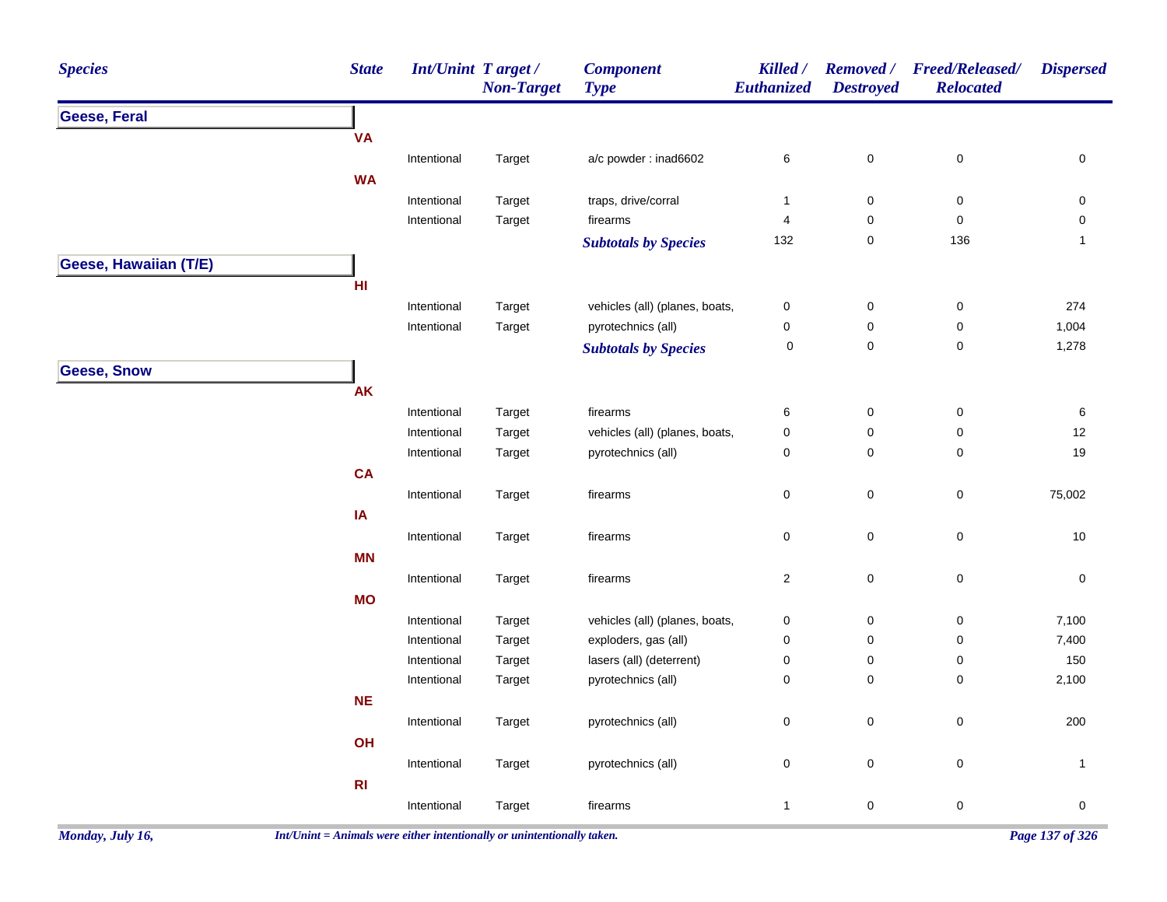| <b>Species</b>        | <b>State</b> | <b>Int/Unint Target/</b> | <b>Non-Target</b> | <b>Component</b><br><b>Type</b> | Killed /<br>Euthanized | <b>Removed</b> /<br><b>Destroyed</b> | <b>Freed/Released/</b><br><b>Relocated</b> | <b>Dispersed</b> |
|-----------------------|--------------|--------------------------|-------------------|---------------------------------|------------------------|--------------------------------------|--------------------------------------------|------------------|
| Geese, Feral          |              |                          |                   |                                 |                        |                                      |                                            |                  |
|                       | <b>VA</b>    |                          |                   |                                 |                        |                                      |                                            |                  |
|                       |              | Intentional              | Target            | a/c powder : inad6602           | 6                      | $\mathbf 0$                          | $\pmb{0}$                                  | 0                |
|                       | <b>WA</b>    |                          |                   |                                 |                        |                                      |                                            |                  |
|                       |              | Intentional              | Target            | traps, drive/corral             | $\mathbf{1}$           | $\pmb{0}$                            | $\pmb{0}$                                  | 0                |
|                       |              | Intentional              | Target            | firearms                        | $\overline{4}$         | $\pmb{0}$                            | $\pmb{0}$                                  | $\pmb{0}$        |
|                       |              |                          |                   | <b>Subtotals by Species</b>     | 132                    | $\pmb{0}$                            | 136                                        | $\mathbf{1}$     |
| Geese, Hawaiian (T/E) |              |                          |                   |                                 |                        |                                      |                                            |                  |
|                       | HI           |                          |                   |                                 |                        |                                      |                                            |                  |
|                       |              | Intentional              | Target            | vehicles (all) (planes, boats,  | $\pmb{0}$              | $\pmb{0}$                            | $\pmb{0}$                                  | 274              |
|                       |              | Intentional              | Target            | pyrotechnics (all)              | $\pmb{0}$              | $\pmb{0}$                            | 0                                          | 1,004            |
|                       |              |                          |                   | <b>Subtotals by Species</b>     | 0                      | $\pmb{0}$                            | $\mathbf 0$                                | 1,278            |
| <b>Geese, Snow</b>    |              |                          |                   |                                 |                        |                                      |                                            |                  |
|                       | <b>AK</b>    |                          |                   |                                 |                        |                                      |                                            |                  |
|                       |              | Intentional              | Target            | firearms                        | $\,6$                  | $\pmb{0}$                            | $\pmb{0}$                                  | $\,6\,$          |
|                       |              | Intentional              | Target            | vehicles (all) (planes, boats,  | $\pmb{0}$              | $\mathbf 0$                          | $\pmb{0}$                                  | 12               |
|                       |              | Intentional              | Target            | pyrotechnics (all)              | $\pmb{0}$              | $\mathbf 0$                          | $\mathbf 0$                                | 19               |
|                       | CA           |                          |                   |                                 |                        |                                      |                                            |                  |
|                       |              | Intentional              | Target            | firearms                        | $\pmb{0}$              | $\mathbf 0$                          | $\pmb{0}$                                  | 75,002           |
|                       | IA           |                          |                   |                                 |                        |                                      |                                            |                  |
|                       |              | Intentional              | Target            | firearms                        | 0                      | $\mathbf 0$                          | 0                                          | 10               |
|                       | <b>MN</b>    |                          |                   |                                 |                        |                                      |                                            |                  |
|                       |              | Intentional              | Target            | firearms                        | $\overline{a}$         | $\mathbf 0$                          | $\pmb{0}$                                  | $\pmb{0}$        |
|                       | <b>MO</b>    |                          |                   |                                 |                        |                                      |                                            |                  |
|                       |              | Intentional              | Target            | vehicles (all) (planes, boats,  | $\pmb{0}$              | $\pmb{0}$                            | $\pmb{0}$                                  | 7,100            |
|                       |              | Intentional              | Target            | exploders, gas (all)            | $\pmb{0}$              | $\pmb{0}$                            | $\pmb{0}$                                  | 7,400            |
|                       |              | Intentional              | Target            | lasers (all) (deterrent)        | $\pmb{0}$              | $\pmb{0}$                            | $\pmb{0}$                                  | 150              |
|                       |              | Intentional              | Target            | pyrotechnics (all)              | $\pmb{0}$              | $\pmb{0}$                            | $\mathbf 0$                                | 2,100            |
|                       | <b>NE</b>    |                          |                   |                                 |                        |                                      |                                            |                  |
|                       |              | Intentional              | Target            | pyrotechnics (all)              | $\mathsf 0$            | $\pmb{0}$                            | $\pmb{0}$                                  | 200              |
|                       | OH           |                          |                   |                                 |                        |                                      |                                            |                  |
|                       |              | Intentional              |                   | pyrotechnics (all)              | $\pmb{0}$              | $\mathbf 0$                          | $\mathbf 0$                                | $\mathbf{1}$     |
|                       | R1           |                          | Target            |                                 |                        |                                      |                                            |                  |
|                       |              |                          |                   |                                 |                        |                                      |                                            |                  |
|                       |              | Intentional              | Target            | firearms                        | $\mathbf{1}$           | $\mathbf 0$                          | $\mathbf 0$                                | $\pmb{0}$        |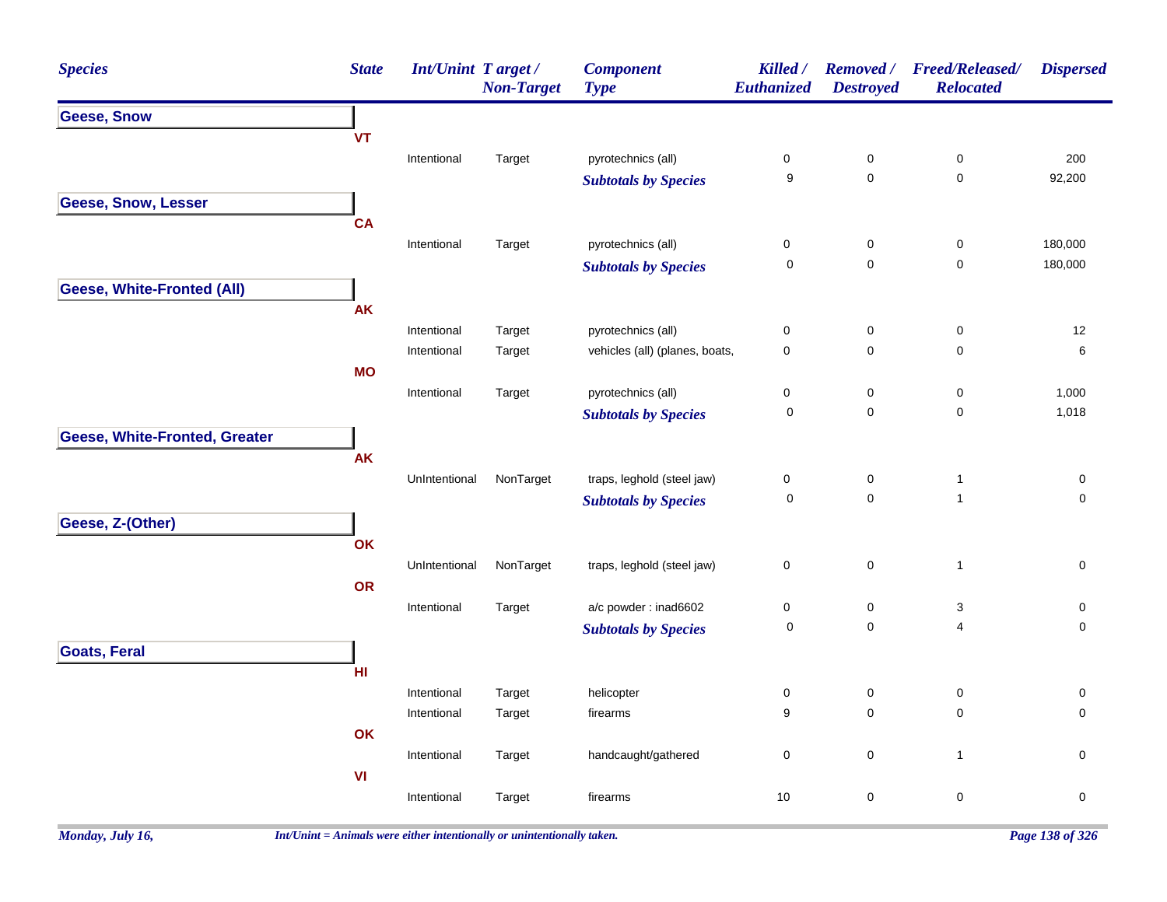| <b>Species</b>                       | <b>State</b> | <b>Int/Unint Target/</b> | <b>Non-Target</b> | <b>Component</b><br><b>Type</b> | Killed /<br>Euthanized | <b>Removed</b> /<br><b>Destroyed</b> | <b>Freed/Released/</b><br><b>Relocated</b> | <b>Dispersed</b> |
|--------------------------------------|--------------|--------------------------|-------------------|---------------------------------|------------------------|--------------------------------------|--------------------------------------------|------------------|
| <b>Geese, Snow</b>                   |              |                          |                   |                                 |                        |                                      |                                            |                  |
|                                      | <b>VT</b>    |                          |                   |                                 |                        |                                      |                                            |                  |
|                                      |              | Intentional              | Target            | pyrotechnics (all)              | $\pmb{0}$              | $\pmb{0}$                            | $\pmb{0}$                                  | 200              |
|                                      |              |                          |                   | <b>Subtotals by Species</b>     | $\boldsymbol{9}$       | $\mathbf 0$                          | $\pmb{0}$                                  | 92,200           |
| <b>Geese, Snow, Lesser</b>           |              |                          |                   |                                 |                        |                                      |                                            |                  |
|                                      | <b>CA</b>    |                          |                   |                                 |                        |                                      |                                            |                  |
|                                      |              | Intentional              | Target            | pyrotechnics (all)              | $\pmb{0}$              | 0                                    | 0                                          | 180,000          |
|                                      |              |                          |                   | <b>Subtotals by Species</b>     | 0                      | $\mathbf 0$                          | 0                                          | 180,000          |
| <b>Geese, White-Fronted (All)</b>    |              |                          |                   |                                 |                        |                                      |                                            |                  |
|                                      | AK           |                          |                   |                                 |                        |                                      |                                            |                  |
|                                      |              | Intentional              | Target            | pyrotechnics (all)              | $\pmb{0}$              | $\pmb{0}$                            | $\pmb{0}$                                  | 12               |
|                                      |              | Intentional              | Target            | vehicles (all) (planes, boats,  | $\pmb{0}$              | 0                                    | $\pmb{0}$                                  | $\,6$            |
|                                      | <b>MO</b>    |                          |                   |                                 |                        |                                      |                                            |                  |
|                                      |              | Intentional              | Target            | pyrotechnics (all)              | $\pmb{0}$              | 0                                    | 0                                          | 1,000            |
|                                      |              |                          |                   | <b>Subtotals by Species</b>     | $\boldsymbol{0}$       | $\mathbf 0$                          | $\mathbf 0$                                | 1,018            |
| <b>Geese, White-Fronted, Greater</b> |              |                          |                   |                                 |                        |                                      |                                            |                  |
|                                      | <b>AK</b>    |                          |                   |                                 |                        |                                      |                                            |                  |
|                                      |              | UnIntentional            | NonTarget         | traps, leghold (steel jaw)      | $\pmb{0}$              | 0                                    | $\mathbf{1}$                               | $\pmb{0}$        |
|                                      |              |                          |                   | <b>Subtotals by Species</b>     | $\mathbf 0$            | $\mathbf 0$                          | $\mathbf{1}$                               | $\mathbf 0$      |
| Geese, Z-(Other)                     |              |                          |                   |                                 |                        |                                      |                                            |                  |
|                                      | OK           |                          |                   |                                 |                        |                                      |                                            |                  |
|                                      |              | UnIntentional            | NonTarget         | traps, leghold (steel jaw)      | $\pmb{0}$              | 0                                    | $\mathbf{1}$                               | 0                |
|                                      | OR           |                          |                   |                                 |                        |                                      |                                            |                  |
|                                      |              | Intentional              | Target            | a/c powder: inad6602            | $\pmb{0}$              | $\pmb{0}$                            | $\ensuremath{\mathsf{3}}$                  | $\pmb{0}$        |
|                                      |              |                          |                   | <b>Subtotals by Species</b>     | $\mathbf 0$            | $\mathbf 0$                          | 4                                          | 0                |
| <b>Goats, Feral</b>                  |              |                          |                   |                                 |                        |                                      |                                            |                  |
|                                      | H1           |                          |                   |                                 |                        |                                      |                                            |                  |
|                                      |              | Intentional              | Target            | helicopter                      | $\mathbf 0$            | 0                                    | $\pmb{0}$                                  | 0                |
|                                      |              | Intentional              | Target            | firearms                        | 9                      | $\mathbf 0$                          | $\mathsf 0$                                | $\pmb{0}$        |
|                                      | OK           |                          |                   |                                 |                        |                                      |                                            |                  |
|                                      |              | Intentional              | Target            | handcaught/gathered             | $\pmb{0}$              | 0                                    | $\mathbf{1}$                               | $\mathbf 0$      |
|                                      | VI           |                          |                   |                                 |                        |                                      |                                            |                  |
|                                      |              | Intentional              | Target            | firearms                        | 10                     | 0                                    | $\pmb{0}$                                  | $\pmb{0}$        |
|                                      |              |                          |                   |                                 |                        |                                      |                                            |                  |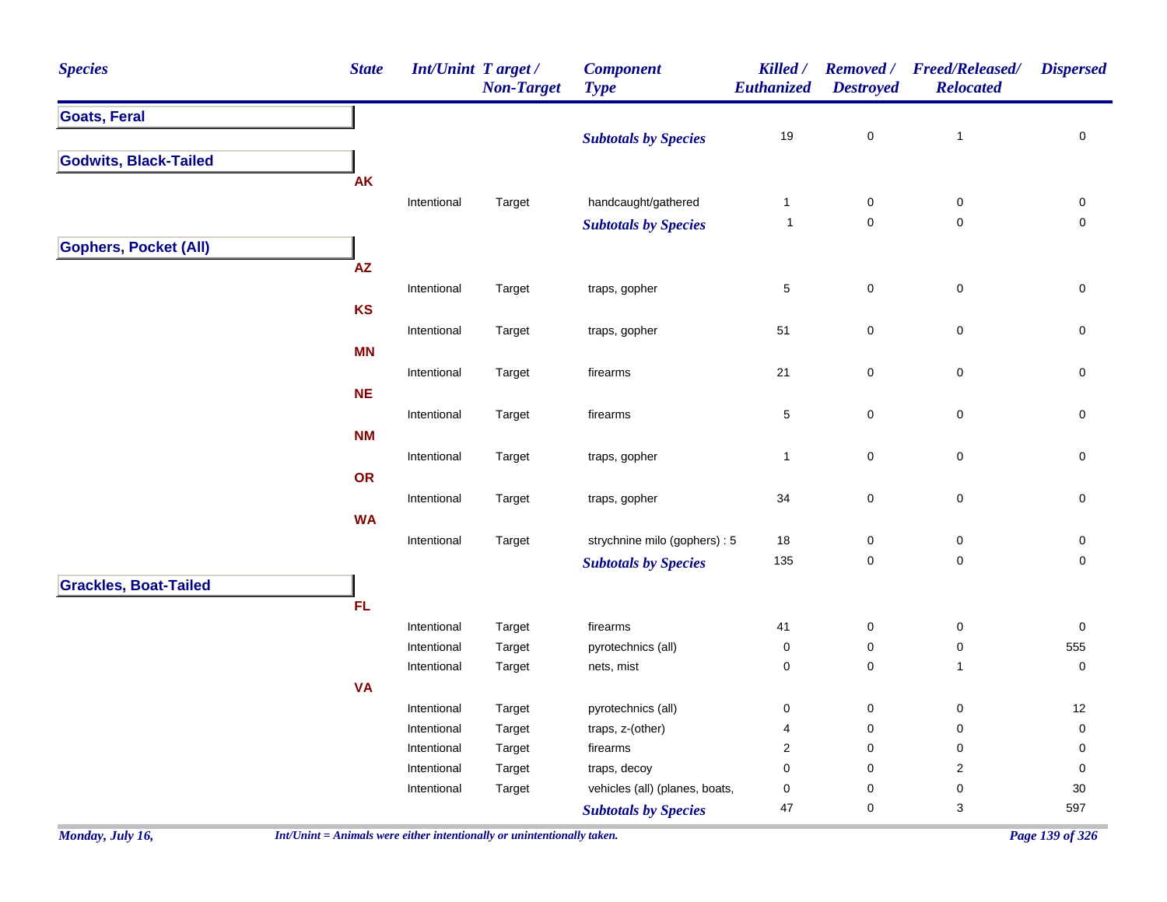| <b>Species</b>               | <b>State</b> | Int/Unint Target/ | <b>Non-Target</b> | <b>Component</b><br><b>Type</b> | Killed /<br>Euthanized | <b>Removed</b> /<br><b>Destroyed</b> | <b>Freed/Released/</b><br><b>Relocated</b> | <b>Dispersed</b> |
|------------------------------|--------------|-------------------|-------------------|---------------------------------|------------------------|--------------------------------------|--------------------------------------------|------------------|
| <b>Goats, Feral</b>          |              |                   |                   |                                 |                        |                                      |                                            |                  |
|                              |              |                   |                   | <b>Subtotals by Species</b>     | $19$                   | $\pmb{0}$                            | $\overline{1}$                             | $\pmb{0}$        |
| <b>Godwits, Black-Tailed</b> |              |                   |                   |                                 |                        |                                      |                                            |                  |
|                              | <b>AK</b>    |                   |                   |                                 |                        |                                      |                                            |                  |
|                              |              | Intentional       | Target            | handcaught/gathered             | $\mathbf{1}$           | $\pmb{0}$                            | $\pmb{0}$                                  | 0                |
|                              |              |                   |                   | <b>Subtotals by Species</b>     | $\overline{1}$         | $\mathbf 0$                          | $\pmb{0}$                                  | $\pmb{0}$        |
| <b>Gophers, Pocket (All)</b> |              |                   |                   |                                 |                        |                                      |                                            |                  |
|                              | ${\sf AZ}$   |                   |                   |                                 |                        |                                      |                                            |                  |
|                              |              | Intentional       | Target            | traps, gopher                   | 5                      | $\mathsf{O}\xspace$                  | $\pmb{0}$                                  | $\mathbf 0$      |
|                              | <b>KS</b>    |                   |                   |                                 |                        |                                      |                                            |                  |
|                              |              | Intentional       | Target            | traps, gopher                   | 51                     | $\pmb{0}$                            | $\,0\,$                                    | 0                |
|                              | <b>MN</b>    |                   |                   |                                 |                        |                                      |                                            |                  |
|                              |              | Intentional       | Target            | firearms                        | 21                     | $\pmb{0}$                            | $\,0\,$                                    | $\pmb{0}$        |
|                              | <b>NE</b>    |                   |                   |                                 |                        |                                      |                                            |                  |
|                              |              | Intentional       | Target            | firearms                        | 5                      | $\mathbf 0$                          | $\pmb{0}$                                  | 0                |
|                              | <b>NM</b>    |                   |                   |                                 |                        |                                      |                                            |                  |
|                              |              | Intentional       | Target            | traps, gopher                   | $\mathbf{1}$           | $\pmb{0}$                            | $\pmb{0}$                                  | $\mathbf 0$      |
|                              | OR           |                   |                   |                                 |                        |                                      |                                            |                  |
|                              |              | Intentional       | Target            | traps, gopher                   | 34                     | $\pmb{0}$                            | $\pmb{0}$                                  | $\mathbf 0$      |
|                              | <b>WA</b>    |                   |                   |                                 |                        |                                      |                                            |                  |
|                              |              | Intentional       | Target            | strychnine milo (gophers) : 5   | $18\,$                 | $\pmb{0}$                            | $\,0\,$                                    | $\pmb{0}$        |
|                              |              |                   |                   | <b>Subtotals by Species</b>     | 135                    | $\mathsf{O}\xspace$                  | $\pmb{0}$                                  | $\mathbf 0$      |
| <b>Grackles, Boat-Tailed</b> |              |                   |                   |                                 |                        |                                      |                                            |                  |
|                              | FL           |                   |                   |                                 |                        |                                      |                                            |                  |
|                              |              | Intentional       | Target            | firearms                        | 41                     | 0                                    | $\pmb{0}$                                  | $\mathsf 0$      |
|                              |              | Intentional       | Target            | pyrotechnics (all)              | $\mathsf{O}\xspace$    | $\mathsf{O}\xspace$                  | $\pmb{0}$                                  | 555              |
|                              |              | Intentional       | Target            | nets, mist                      | 0                      | $\mathsf{O}\xspace$                  | $\mathbf{1}$                               | $\mathbf 0$      |
|                              | <b>VA</b>    |                   |                   |                                 |                        |                                      |                                            |                  |
|                              |              | Intentional       | Target            | pyrotechnics (all)              | 0                      | $\mathsf{O}\xspace$                  | $\pmb{0}$                                  | 12               |
|                              |              | Intentional       | Target            | traps, z-(other)                | 4                      | $\mathsf{O}\xspace$                  | $\pmb{0}$                                  | $\mathbf 0$      |
|                              |              | Intentional       | Target            | firearms                        | $\overline{c}$         | $\mathsf 0$                          | $\pmb{0}$                                  | $\mathbf 0$      |
|                              |              | Intentional       | Target            | traps, decoy                    | 0                      | $\mathbf 0$                          | $\overline{c}$                             | 0                |
|                              |              | Intentional       | Target            | vehicles (all) (planes, boats,  | 0                      | $\mathbf 0$                          | $\pmb{0}$                                  | $30\,$           |
|                              |              |                   |                   | <b>Subtotals by Species</b>     | 47                     | $\mathsf 0$                          | 3                                          | 597              |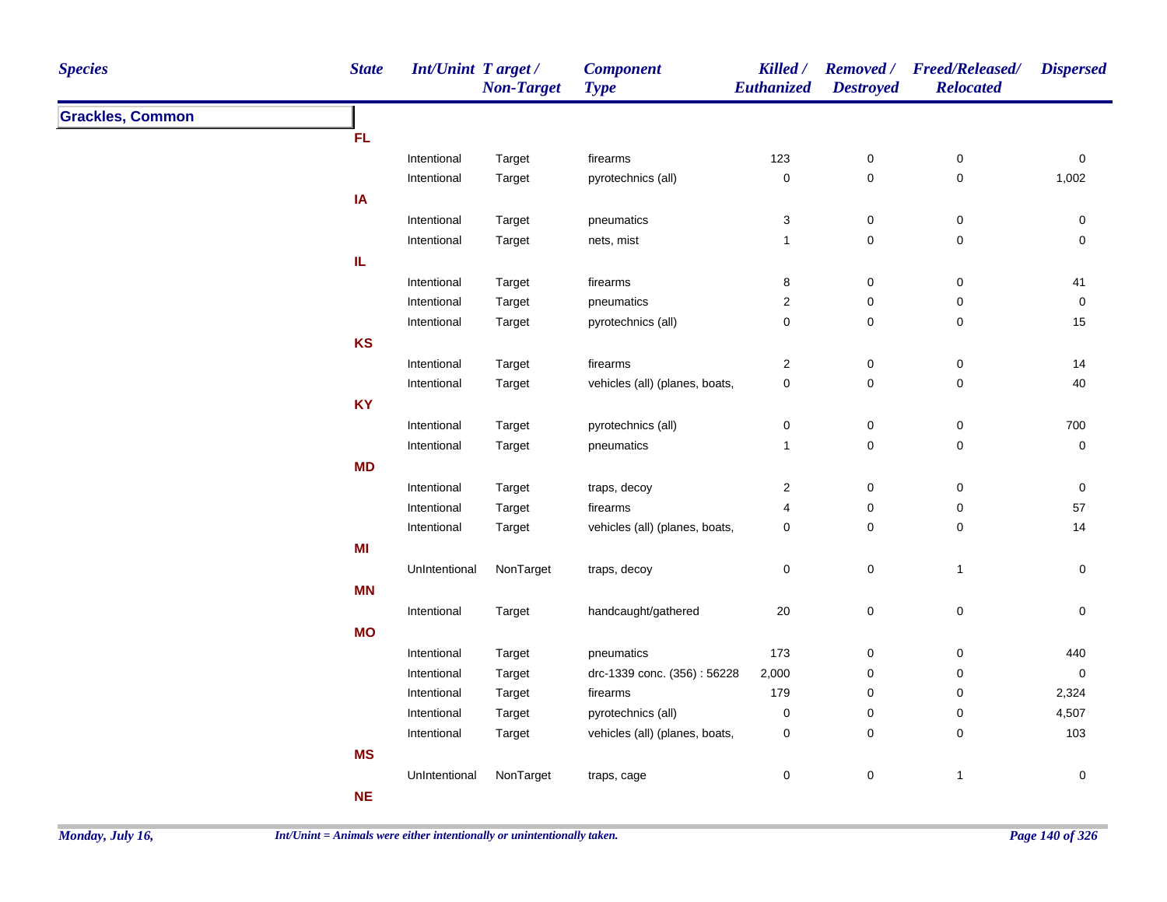| <b>Species</b>          | <b>State</b> | <b>Int/Unint Target/</b> | <b>Non-Target</b> | <b>Component</b><br><b>Type</b> | Killed /<br>Euthanized    | <b>Destroyed</b> | Removed / Freed/Released/<br><b>Relocated</b> | <b>Dispersed</b> |
|-------------------------|--------------|--------------------------|-------------------|---------------------------------|---------------------------|------------------|-----------------------------------------------|------------------|
| <b>Grackles, Common</b> |              |                          |                   |                                 |                           |                  |                                               |                  |
|                         | <b>FL</b>    |                          |                   |                                 |                           |                  |                                               |                  |
|                         |              | Intentional              | Target            | firearms                        | 123                       | $\mathbf 0$      | $\mathbf 0$                                   | $\pmb{0}$        |
|                         |              | Intentional              | Target            | pyrotechnics (all)              | $\pmb{0}$                 | $\mathsf 0$      | $\pmb{0}$                                     | 1,002            |
|                         | IA           |                          |                   |                                 |                           |                  |                                               |                  |
|                         |              | Intentional              | Target            | pneumatics                      | $\ensuremath{\mathsf{3}}$ | $\pmb{0}$        | $\pmb{0}$                                     | $\pmb{0}$        |
|                         |              | Intentional              | Target            | nets, mist                      | $\mathbf{1}$              | $\pmb{0}$        | $\pmb{0}$                                     | $\pmb{0}$        |
|                         | IL.          |                          |                   |                                 |                           |                  |                                               |                  |
|                         |              | Intentional              | Target            | firearms                        | 8                         | $\mathbf 0$      | $\mathbf 0$                                   | 41               |
|                         |              | Intentional              | Target            | pneumatics                      | $\boldsymbol{2}$          | $\pmb{0}$        | 0                                             | $\pmb{0}$        |
|                         |              | Intentional              | Target            | pyrotechnics (all)              | $\pmb{0}$                 | $\pmb{0}$        | $\mathbf 0$                                   | 15               |
|                         | <b>KS</b>    |                          |                   |                                 |                           |                  |                                               |                  |
|                         |              | Intentional              | Target            | firearms                        | $\boldsymbol{2}$          | $\pmb{0}$        | $\pmb{0}$                                     | 14               |
|                         |              | Intentional              | Target            | vehicles (all) (planes, boats,  | $\mathsf 0$               | $\mathbf 0$      | $\pmb{0}$                                     | 40               |
|                         | <b>KY</b>    |                          |                   |                                 |                           |                  |                                               |                  |
|                         |              | Intentional              | Target            | pyrotechnics (all)              | 0                         | $\mathbf 0$      | $\mathbf 0$                                   | 700              |
|                         |              | Intentional              | Target            | pneumatics                      | $\mathbf{1}$              | $\mathsf 0$      | 0                                             | $\pmb{0}$        |
|                         | <b>MD</b>    |                          |                   |                                 |                           |                  |                                               |                  |
|                         |              | Intentional              | Target            | traps, decoy                    | $\overline{\mathbf{c}}$   | $\mathbf 0$      | $\pmb{0}$                                     | $\pmb{0}$        |
|                         |              | Intentional              | Target            | firearms                        | 4                         | $\pmb{0}$        | $\mathbf 0$                                   | 57               |
|                         |              | Intentional              | Target            | vehicles (all) (planes, boats,  | $\pmb{0}$                 | $\mathbf 0$      | $\mathbf 0$                                   | 14               |
|                         | MI           |                          |                   |                                 |                           |                  |                                               |                  |
|                         |              | UnIntentional            | NonTarget         | traps, decoy                    | 0                         | $\mathbf 0$      | $\overline{1}$                                | 0                |
|                         | <b>MN</b>    |                          |                   |                                 |                           |                  |                                               |                  |
|                         |              | Intentional              | Target            | handcaught/gathered             | $20\,$                    | $\pmb{0}$        | $\pmb{0}$                                     | $\pmb{0}$        |
|                         | <b>MO</b>    |                          |                   |                                 |                           |                  |                                               |                  |
|                         |              | Intentional              | Target            | pneumatics                      | 173                       | $\pmb{0}$        | $\mathbf 0$                                   | 440              |
|                         |              | Intentional              | Target            | drc-1339 conc. (356): 56228     | 2,000                     | $\pmb{0}$        | 0                                             | $\pmb{0}$        |
|                         |              | Intentional              | Target            | firearms                        | 179                       | 0                | 0                                             | 2,324            |
|                         |              | Intentional              | Target            | pyrotechnics (all)              | 0                         | $\pmb{0}$        | 0                                             | 4,507            |
|                         |              | Intentional              | Target            | vehicles (all) (planes, boats,  | 0                         | 0                | 0                                             | 103              |
|                         | <b>MS</b>    |                          |                   |                                 |                           |                  |                                               |                  |
|                         |              | UnIntentional            | NonTarget         | traps, cage                     | 0                         | $\mathsf 0$      | $\overline{1}$                                | $\mathbf 0$      |
|                         | <b>NE</b>    |                          |                   |                                 |                           |                  |                                               |                  |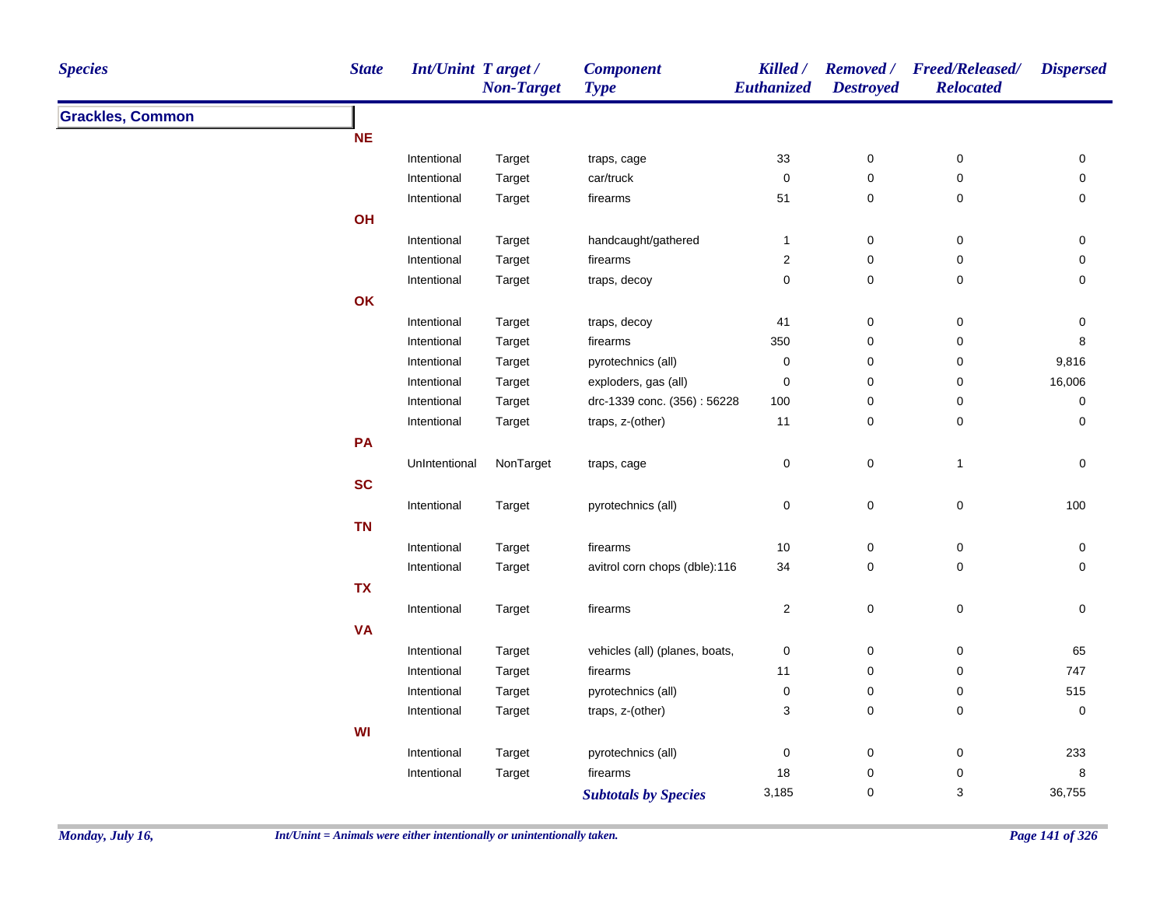| <b>Species</b>          | <b>State</b> | <b>Int/Unint Target/</b> | <b>Non-Target</b> | <b>Component</b><br><b>Type</b> | Killed /<br>Euthanized  | <b>Destroyed</b>    | Removed / Freed/Released/<br><b>Relocated</b> | <b>Dispersed</b> |
|-------------------------|--------------|--------------------------|-------------------|---------------------------------|-------------------------|---------------------|-----------------------------------------------|------------------|
| <b>Grackles, Common</b> |              |                          |                   |                                 |                         |                     |                                               |                  |
|                         | <b>NE</b>    |                          |                   |                                 |                         |                     |                                               |                  |
|                         |              | Intentional              | Target            | traps, cage                     | 33                      | 0                   | $\boldsymbol{0}$                              | 0                |
|                         |              | Intentional              | Target            | car/truck                       | 0                       | $\pmb{0}$           | $\mathbf 0$                                   | 0                |
|                         |              | Intentional              | Target            | firearms                        | 51                      | $\mathsf 0$         | $\mathbf 0$                                   | 0                |
|                         | OH           |                          |                   |                                 |                         |                     |                                               |                  |
|                         |              | Intentional              | Target            | handcaught/gathered             | $\overline{1}$          | $\pmb{0}$           | 0                                             | 0                |
|                         |              | Intentional              | Target            | firearms                        | 2                       | $\mathbf 0$         | 0                                             | 0                |
|                         |              | Intentional              | Target            | traps, decoy                    | 0                       | $\mathbf 0$         | 0                                             | 0                |
|                         | OK           |                          |                   |                                 |                         |                     |                                               |                  |
|                         |              | Intentional              | Target            | traps, decoy                    | 41                      | $\mathsf 0$         | $\mathbf 0$                                   | 0                |
|                         |              | Intentional              | Target            | firearms                        | 350                     | $\mathbf 0$         | $\mathbf 0$                                   | 8                |
|                         |              | Intentional              | Target            | pyrotechnics (all)              | 0                       | $\mathbf 0$         | $\mathbf 0$                                   | 9,816            |
|                         |              | Intentional              | Target            | exploders, gas (all)            | 0                       | $\mathbf 0$         | $\mathbf 0$                                   | 16,006           |
|                         |              | Intentional              | Target            | drc-1339 conc. (356): 56228     | 100                     | $\mathbf 0$         | $\mathbf 0$                                   | 0                |
|                         |              | Intentional              | Target            | traps, z-(other)                | 11                      | $\mathbf 0$         | $\mathbf 0$                                   | $\mathbf 0$      |
|                         | PA           |                          |                   |                                 |                         |                     |                                               |                  |
|                         |              | UnIntentional            | NonTarget         | traps, cage                     | $\pmb{0}$               | $\pmb{0}$           | $\overline{1}$                                | 0                |
|                         | <b>SC</b>    |                          |                   |                                 |                         |                     |                                               |                  |
|                         |              | Intentional              | Target            | pyrotechnics (all)              | 0                       | $\mathsf 0$         | $\pmb{0}$                                     | 100              |
|                         | <b>TN</b>    |                          |                   |                                 |                         |                     |                                               |                  |
|                         |              | Intentional              | Target            | firearms                        | 10                      | 0                   | 0                                             | 0                |
|                         |              | Intentional              | Target            | avitrol corn chops (dble):116   | 34                      | $\mathbf 0$         | $\mathbf 0$                                   | 0                |
|                         | <b>TX</b>    |                          |                   |                                 |                         |                     |                                               |                  |
|                         |              | Intentional              | Target            | firearms                        | $\overline{\mathbf{c}}$ | $\mathbf 0$         | $\pmb{0}$                                     | $\mathbf 0$      |
|                         | <b>VA</b>    |                          |                   |                                 |                         |                     |                                               |                  |
|                         |              | Intentional              | Target            | vehicles (all) (planes, boats,  | $\mathbf 0$             | $\mathsf{O}\xspace$ | $\mathbf 0$                                   | 65               |
|                         |              | Intentional              | Target            | firearms                        | 11                      | $\mathsf{O}\xspace$ | $\mathbf 0$                                   | 747              |
|                         |              | Intentional              | Target            | pyrotechnics (all)              | $\mathbf 0$             | $\mathsf{O}\xspace$ | $\mathbf 0$                                   | 515              |
|                         |              | Intentional              | Target            | traps, z-(other)                | 3                       | $\mathsf{O}\xspace$ | $\pmb{0}$                                     | $\mathbf 0$      |
|                         | WI           |                          |                   |                                 |                         |                     |                                               |                  |
|                         |              | Intentional              | Target            | pyrotechnics (all)              | $\pmb{0}$               | $\pmb{0}$           | $\pmb{0}$                                     | 233              |
|                         |              | Intentional              | Target            | firearms                        | 18                      | $\pmb{0}$           | $\pmb{0}$                                     | 8                |
|                         |              |                          |                   | <b>Subtotals by Species</b>     | 3,185                   | $\mathbf 0$         | 3                                             | 36,755           |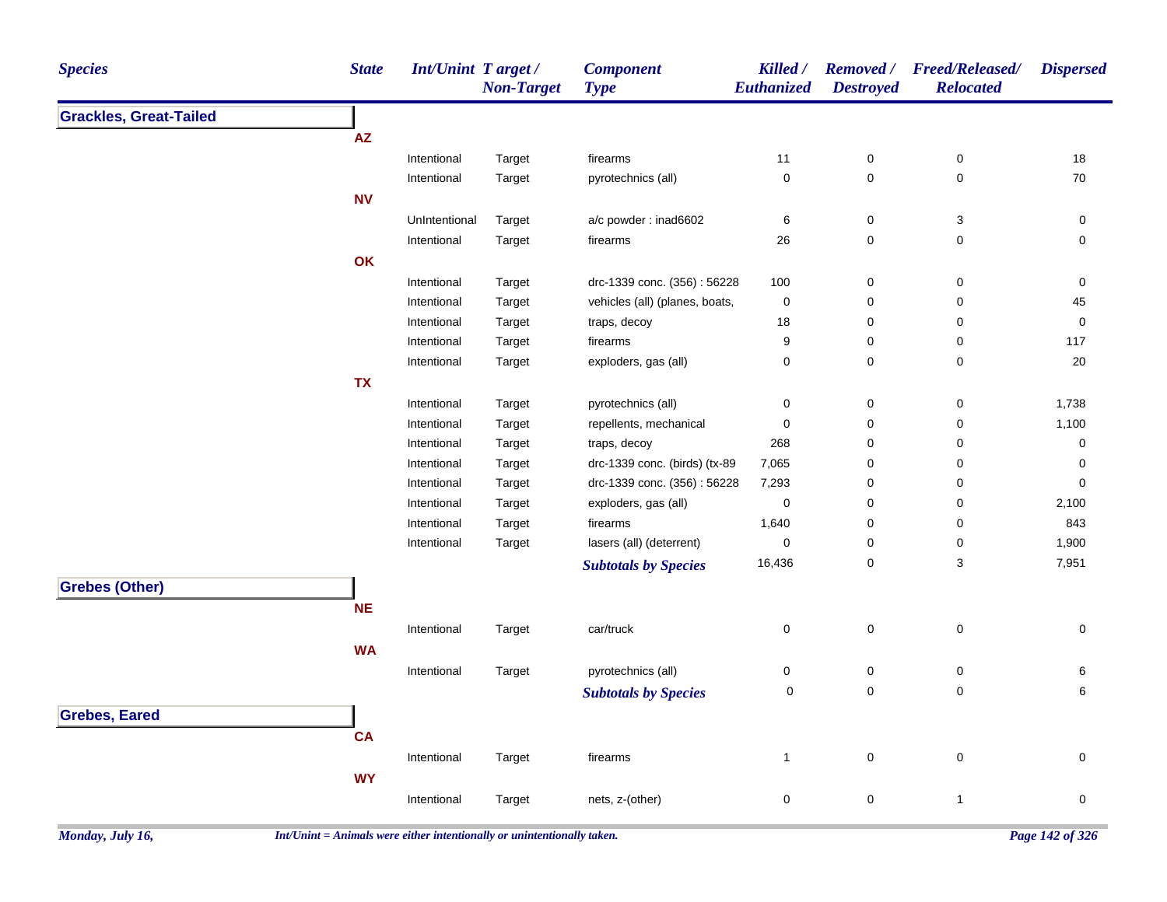| <b>Species</b>                | <b>State</b>  | Int/Unint Target/<br><b>Non-Target</b> | <b>Component</b><br><b>Type</b> | Killed /<br>Euthanized | <b>Destroyed</b> | Removed / Freed/Released/<br><b>Relocated</b> | <b>Dispersed</b> |
|-------------------------------|---------------|----------------------------------------|---------------------------------|------------------------|------------------|-----------------------------------------------|------------------|
| <b>Grackles, Great-Tailed</b> |               |                                        |                                 |                        |                  |                                               |                  |
|                               | ${\sf AZ}$    |                                        |                                 |                        |                  |                                               |                  |
|                               | Intentional   | Target                                 | firearms                        | 11                     | 0                | 0                                             | 18               |
|                               | Intentional   | Target                                 | pyrotechnics (all)              | $\mathbf 0$            | $\pmb{0}$        | 0                                             | 70               |
|                               | <b>NV</b>     |                                        |                                 |                        |                  |                                               |                  |
|                               | UnIntentional | Target                                 | a/c powder: inad6602            | 6                      | 0                | 3                                             | $\pmb{0}$        |
|                               | Intentional   | Target                                 | firearms                        | 26                     | 0                | 0                                             | 0                |
|                               | OK            |                                        |                                 |                        |                  |                                               |                  |
|                               | Intentional   | Target                                 | drc-1339 conc. (356): 56228     | 100                    | $\pmb{0}$        | 0                                             | $\pmb{0}$        |
|                               | Intentional   | Target                                 | vehicles (all) (planes, boats,  | $\pmb{0}$              | $\pmb{0}$        | 0                                             | 45               |
|                               | Intentional   | Target                                 | traps, decoy                    | 18                     | 0                | 0                                             | 0                |
|                               | Intentional   | Target                                 | firearms                        | 9                      | 0                | 0                                             | 117              |
|                               | Intentional   | Target                                 | exploders, gas (all)            | $\pmb{0}$              | 0                | 0                                             | 20               |
|                               | <b>TX</b>     |                                        |                                 |                        |                  |                                               |                  |
|                               | Intentional   | Target                                 | pyrotechnics (all)              | $\mathbf 0$            | $\pmb{0}$        | 0                                             | 1,738            |
|                               | Intentional   | Target                                 | repellents, mechanical          | $\pmb{0}$              | 0                | $\pmb{0}$                                     | 1,100            |
|                               | Intentional   | Target                                 | traps, decoy                    | 268                    | 0                | 0                                             | $\pmb{0}$        |
|                               | Intentional   | Target                                 | drc-1339 conc. (birds) (tx-89   | 7,065                  | 0                | 0                                             | $\pmb{0}$        |
|                               | Intentional   | Target                                 | drc-1339 conc. (356): 56228     | 7,293                  | 0                | 0                                             | $\mathbf 0$      |
|                               | Intentional   | Target                                 | exploders, gas (all)            | $\mathbf 0$            | 0                | 0                                             | 2,100            |
|                               | Intentional   | Target                                 | firearms                        | 1,640                  | 0                | 0                                             | 843              |
|                               | Intentional   | Target                                 | lasers (all) (deterrent)        | $\mathbf 0$            | 0                | 0                                             | 1,900            |
|                               |               |                                        | <b>Subtotals by Species</b>     | 16,436                 | $\pmb{0}$        | 3                                             | 7,951            |
| <b>Grebes (Other)</b>         |               |                                        |                                 |                        |                  |                                               |                  |
|                               | <b>NE</b>     |                                        |                                 |                        |                  |                                               |                  |
|                               | Intentional   | Target                                 | car/truck                       | $\mathbf 0$            | $\pmb{0}$        | 0                                             | 0                |
|                               | <b>WA</b>     |                                        |                                 |                        |                  |                                               |                  |
|                               | Intentional   | Target                                 | pyrotechnics (all)              | $\pmb{0}$              | $\pmb{0}$        | 0                                             | 6                |
|                               |               |                                        |                                 | $\mathbf 0$            | $\pmb{0}$        | $\mathbf 0$                                   | 6                |
|                               |               |                                        | <b>Subtotals by Species</b>     |                        |                  |                                               |                  |
| <b>Grebes, Eared</b>          |               |                                        |                                 |                        |                  |                                               |                  |
|                               | <b>CA</b>     |                                        |                                 |                        |                  |                                               |                  |
|                               | Intentional   | Target                                 | firearms                        | $\mathbf{1}$           | $\pmb{0}$        | $\pmb{0}$                                     | 0                |
|                               | <b>WY</b>     |                                        |                                 |                        |                  |                                               |                  |
|                               | Intentional   | Target                                 | nets, z-(other)                 | $\pmb{0}$              | $\mathbf 0$      | $\mathbf{1}$                                  | 0                |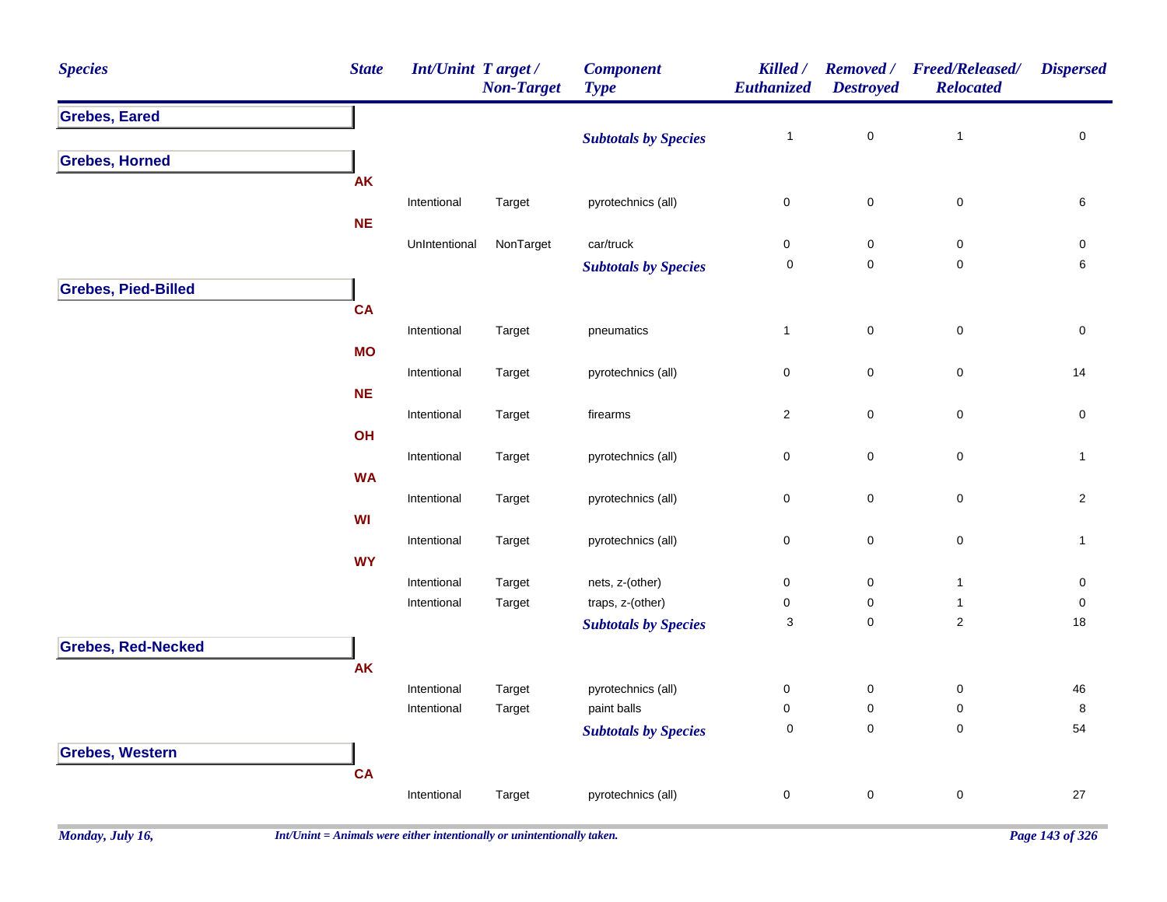| <b>Grebes, Eared</b><br>$\pmb{0}$<br>$\mathbf 0$<br>$\mathbf{1}$<br>$\mathbf{1}$<br><b>Subtotals by Species</b><br><b>Grebes, Horned</b><br><b>AK</b><br>pyrotechnics (all)<br>$\mathbf 0$<br>$\pmb{0}$<br>$\,6\,$<br>Intentional<br>Target<br>0<br><b>NE</b><br>$car/$ truck<br>UnIntentional<br>NonTarget<br>0<br>$\pmb{0}$<br>$\pmb{0}$<br>$\pmb{0}$<br>$\pmb{0}$<br>$\mathbf 0$<br>$\mathbf 0$<br>6<br><b>Subtotals by Species</b><br><b>Grebes, Pied-Billed</b><br><b>CA</b><br>$\pmb{0}$<br>$\mathsf 0$<br>$\pmb{0}$<br>$\mathbf{1}$<br>Intentional<br>Target<br>pneumatics<br><b>MO</b><br>$\pmb{0}$<br>$\mathbf 0$<br>Intentional<br>pyrotechnics (all)<br>0<br>14<br>Target<br><b>NE</b> |
|---------------------------------------------------------------------------------------------------------------------------------------------------------------------------------------------------------------------------------------------------------------------------------------------------------------------------------------------------------------------------------------------------------------------------------------------------------------------------------------------------------------------------------------------------------------------------------------------------------------------------------------------------------------------------------------------------|
|                                                                                                                                                                                                                                                                                                                                                                                                                                                                                                                                                                                                                                                                                                   |
|                                                                                                                                                                                                                                                                                                                                                                                                                                                                                                                                                                                                                                                                                                   |
|                                                                                                                                                                                                                                                                                                                                                                                                                                                                                                                                                                                                                                                                                                   |
|                                                                                                                                                                                                                                                                                                                                                                                                                                                                                                                                                                                                                                                                                                   |
|                                                                                                                                                                                                                                                                                                                                                                                                                                                                                                                                                                                                                                                                                                   |
|                                                                                                                                                                                                                                                                                                                                                                                                                                                                                                                                                                                                                                                                                                   |
|                                                                                                                                                                                                                                                                                                                                                                                                                                                                                                                                                                                                                                                                                                   |
|                                                                                                                                                                                                                                                                                                                                                                                                                                                                                                                                                                                                                                                                                                   |
|                                                                                                                                                                                                                                                                                                                                                                                                                                                                                                                                                                                                                                                                                                   |
|                                                                                                                                                                                                                                                                                                                                                                                                                                                                                                                                                                                                                                                                                                   |
|                                                                                                                                                                                                                                                                                                                                                                                                                                                                                                                                                                                                                                                                                                   |
|                                                                                                                                                                                                                                                                                                                                                                                                                                                                                                                                                                                                                                                                                                   |
|                                                                                                                                                                                                                                                                                                                                                                                                                                                                                                                                                                                                                                                                                                   |
|                                                                                                                                                                                                                                                                                                                                                                                                                                                                                                                                                                                                                                                                                                   |
| $\overline{c}$<br>$\pmb{0}$<br>$\mathsf 0$<br>Intentional<br>Target<br>firearms<br>$\mathbf 0$                                                                                                                                                                                                                                                                                                                                                                                                                                                                                                                                                                                                    |
| OH                                                                                                                                                                                                                                                                                                                                                                                                                                                                                                                                                                                                                                                                                                |
| $\mathbf 0$<br>$\mathbf 0$<br>Intentional<br>Target<br>pyrotechnics (all)<br>0<br>$\mathbf{1}$                                                                                                                                                                                                                                                                                                                                                                                                                                                                                                                                                                                                    |
| <b>WA</b>                                                                                                                                                                                                                                                                                                                                                                                                                                                                                                                                                                                                                                                                                         |
| pyrotechnics (all)<br>0<br>$\mathbf 0$<br>$\pmb{0}$<br>$\mathbf{2}$<br>Intentional<br>Target                                                                                                                                                                                                                                                                                                                                                                                                                                                                                                                                                                                                      |
| WI                                                                                                                                                                                                                                                                                                                                                                                                                                                                                                                                                                                                                                                                                                |
| $\mathsf 0$<br>Intentional<br>pyrotechnics (all)<br>0<br>$\pmb{0}$<br>Target<br>$\mathbf{1}$                                                                                                                                                                                                                                                                                                                                                                                                                                                                                                                                                                                                      |
| <b>WY</b>                                                                                                                                                                                                                                                                                                                                                                                                                                                                                                                                                                                                                                                                                         |
| nets, z-(other)<br>Intentional<br>0<br>$\mathbf 0$<br>$\mathbf{1}$<br>$\pmb{0}$<br>Target                                                                                                                                                                                                                                                                                                                                                                                                                                                                                                                                                                                                         |
| traps, z-(other)<br>Intentional<br>Target<br>$\mathsf{O}\xspace$<br>0<br>0<br>$\mathbf{1}$<br>$\mathbf{2}$                                                                                                                                                                                                                                                                                                                                                                                                                                                                                                                                                                                        |
| 3<br>$\pmb{0}$<br>18<br><b>Subtotals by Species</b>                                                                                                                                                                                                                                                                                                                                                                                                                                                                                                                                                                                                                                               |
| <b>Grebes, Red-Necked</b>                                                                                                                                                                                                                                                                                                                                                                                                                                                                                                                                                                                                                                                                         |
| <b>AK</b>                                                                                                                                                                                                                                                                                                                                                                                                                                                                                                                                                                                                                                                                                         |
| Intentional<br>pyrotechnics (all)<br>0<br>$\pmb{0}$<br>$\pmb{0}$<br>${\bf 46}$<br>Target                                                                                                                                                                                                                                                                                                                                                                                                                                                                                                                                                                                                          |
| paint balls<br>0<br>0<br>$\pmb{0}$<br>$\bf 8$<br>Intentional<br>Target<br>$\mathbf 0$<br>$\pmb{0}$<br>54<br>0                                                                                                                                                                                                                                                                                                                                                                                                                                                                                                                                                                                     |
| <b>Subtotals by Species</b>                                                                                                                                                                                                                                                                                                                                                                                                                                                                                                                                                                                                                                                                       |
| <b>Grebes, Western</b>                                                                                                                                                                                                                                                                                                                                                                                                                                                                                                                                                                                                                                                                            |
| <b>CA</b>                                                                                                                                                                                                                                                                                                                                                                                                                                                                                                                                                                                                                                                                                         |
| pyrotechnics (all)<br>0<br>$\pmb{0}$<br>$\pmb{0}$<br>27<br>Intentional<br>Target                                                                                                                                                                                                                                                                                                                                                                                                                                                                                                                                                                                                                  |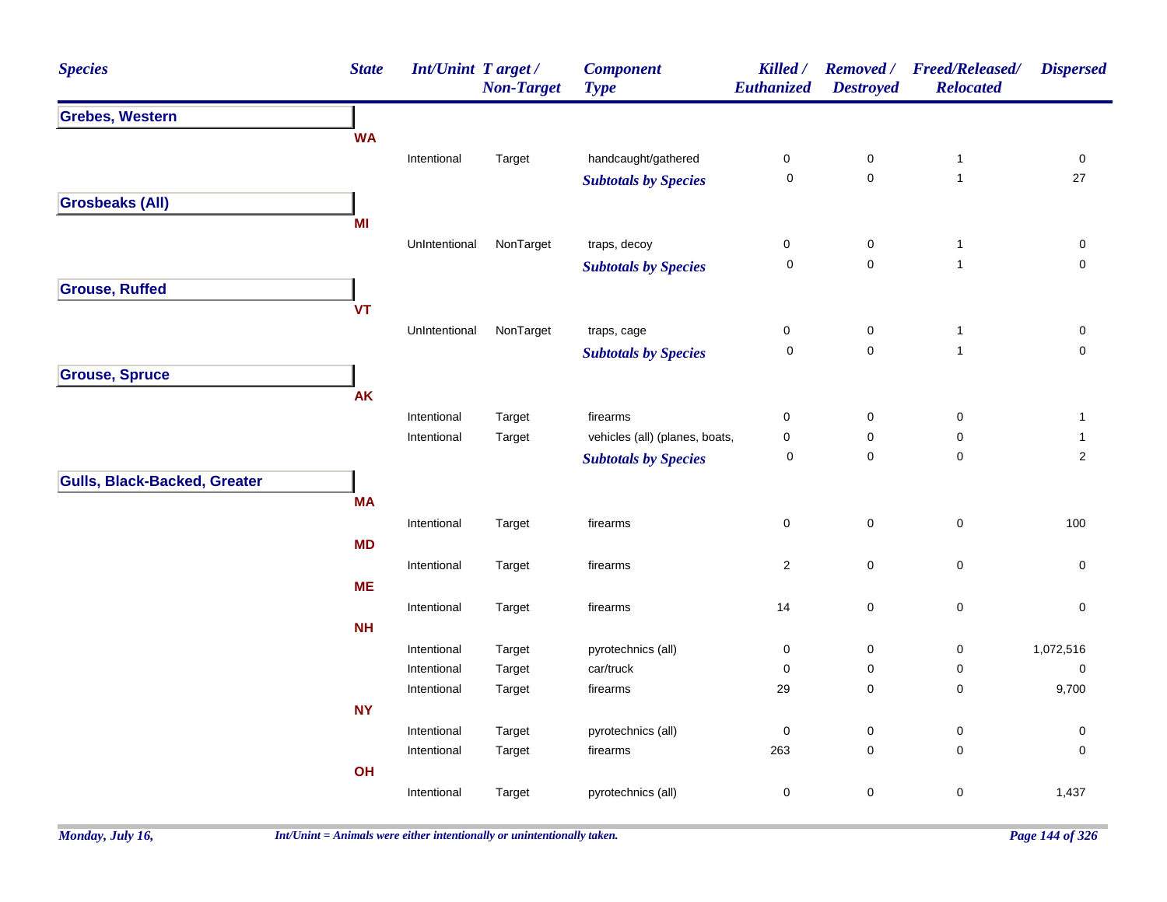| <b>Species</b>                      | <b>State</b> | <b>Int/Unint Target/</b> | <b>Non-Target</b> | <b>Component</b><br><b>Type</b> | Killed /<br>Euthanized | <b>Removed</b> /<br><b>Destroyed</b> | <b>Freed/Released/</b><br><b>Relocated</b> | <b>Dispersed</b>    |
|-------------------------------------|--------------|--------------------------|-------------------|---------------------------------|------------------------|--------------------------------------|--------------------------------------------|---------------------|
| <b>Grebes, Western</b>              |              |                          |                   |                                 |                        |                                      |                                            |                     |
|                                     | <b>WA</b>    |                          |                   |                                 |                        |                                      |                                            |                     |
|                                     |              | Intentional              | Target            | handcaught/gathered             | $\pmb{0}$              | $\pmb{0}$                            | $\mathbf{1}$                               | $\pmb{0}$           |
|                                     |              |                          |                   | <b>Subtotals by Species</b>     | $\pmb{0}$              | $\mathsf{O}\xspace$                  | $\mathbf{1}$                               | 27                  |
| <b>Grosbeaks (All)</b>              |              |                          |                   |                                 |                        |                                      |                                            |                     |
|                                     | MI           |                          |                   |                                 |                        |                                      |                                            |                     |
|                                     |              | UnIntentional            | NonTarget         | traps, decoy                    | $\mathbf 0$            | $\mathbf 0$                          | $\mathbf{1}$                               | 0                   |
|                                     |              |                          |                   | <b>Subtotals by Species</b>     | $\mathbf 0$            | $\mathbf 0$                          | $\mathbf{1}$                               | $\mathsf{O}\xspace$ |
| <b>Grouse, Ruffed</b>               |              |                          |                   |                                 |                        |                                      |                                            |                     |
|                                     | <b>VT</b>    |                          |                   |                                 |                        |                                      |                                            |                     |
|                                     |              | UnIntentional            | NonTarget         | traps, cage                     | $\pmb{0}$              | 0                                    | $\mathbf{1}$                               | 0                   |
|                                     |              |                          |                   | <b>Subtotals by Species</b>     | $\mathbf 0$            | $\mathsf{O}\xspace$                  | $\mathbf{1}$                               | $\mathsf{O}\xspace$ |
| <b>Grouse, Spruce</b>               |              |                          |                   |                                 |                        |                                      |                                            |                     |
|                                     | <b>AK</b>    |                          |                   |                                 |                        |                                      |                                            |                     |
|                                     |              | Intentional              | Target            | firearms                        | $\boldsymbol{0}$       | 0                                    | $\pmb{0}$                                  | $\mathbf{1}$        |
|                                     |              | Intentional              | Target            | vehicles (all) (planes, boats,  | $\pmb{0}$              | $\mathbf 0$                          | $\mathsf 0$                                | 1                   |
|                                     |              |                          |                   | <b>Subtotals by Species</b>     | 0                      | 0                                    | $\pmb{0}$                                  | $\overline{2}$      |
| <b>Gulls, Black-Backed, Greater</b> |              |                          |                   |                                 |                        |                                      |                                            |                     |
|                                     | <b>MA</b>    |                          |                   |                                 |                        |                                      |                                            |                     |
|                                     |              | Intentional              | Target            | firearms                        | 0                      | 0                                    | $\pmb{0}$                                  | 100                 |
|                                     | <b>MD</b>    |                          |                   |                                 |                        |                                      |                                            |                     |
|                                     |              | Intentional              | Target            | firearms                        | $\overline{c}$         | $\mathbf 0$                          | $\pmb{0}$                                  | $\mathbf 0$         |
|                                     | <b>ME</b>    |                          |                   |                                 |                        |                                      |                                            |                     |
|                                     |              | Intentional              | Target            | firearms                        | 14                     | $\mathsf 0$                          | $\pmb{0}$                                  | $\pmb{0}$           |
|                                     | <b>NH</b>    |                          |                   |                                 |                        |                                      |                                            |                     |
|                                     |              | Intentional              | Target            | pyrotechnics (all)              | $\pmb{0}$              | 0                                    | 0                                          | 1,072,516           |
|                                     |              | Intentional              | Target            | car/truck                       | $\pmb{0}$              | $\pmb{0}$                            | $\pmb{0}$                                  | $\pmb{0}$           |
|                                     |              | Intentional              | Target            | firearms                        | 29                     | 0                                    | 0                                          | 9,700               |
|                                     | <b>NY</b>    |                          |                   |                                 |                        |                                      |                                            |                     |
|                                     |              | Intentional              | Target            | pyrotechnics (all)              | $\pmb{0}$              | $\mathbf 0$                          | 0                                          | 0                   |
|                                     |              | Intentional              | Target            | firearms                        | 263                    | $\mathbf 0$                          | 0                                          | $\mathbf 0$         |
|                                     | OH           |                          |                   |                                 |                        |                                      |                                            |                     |
|                                     |              | Intentional              | Target            | pyrotechnics (all)              | $\pmb{0}$              | $\mathbf 0$                          | $\pmb{0}$                                  | 1,437               |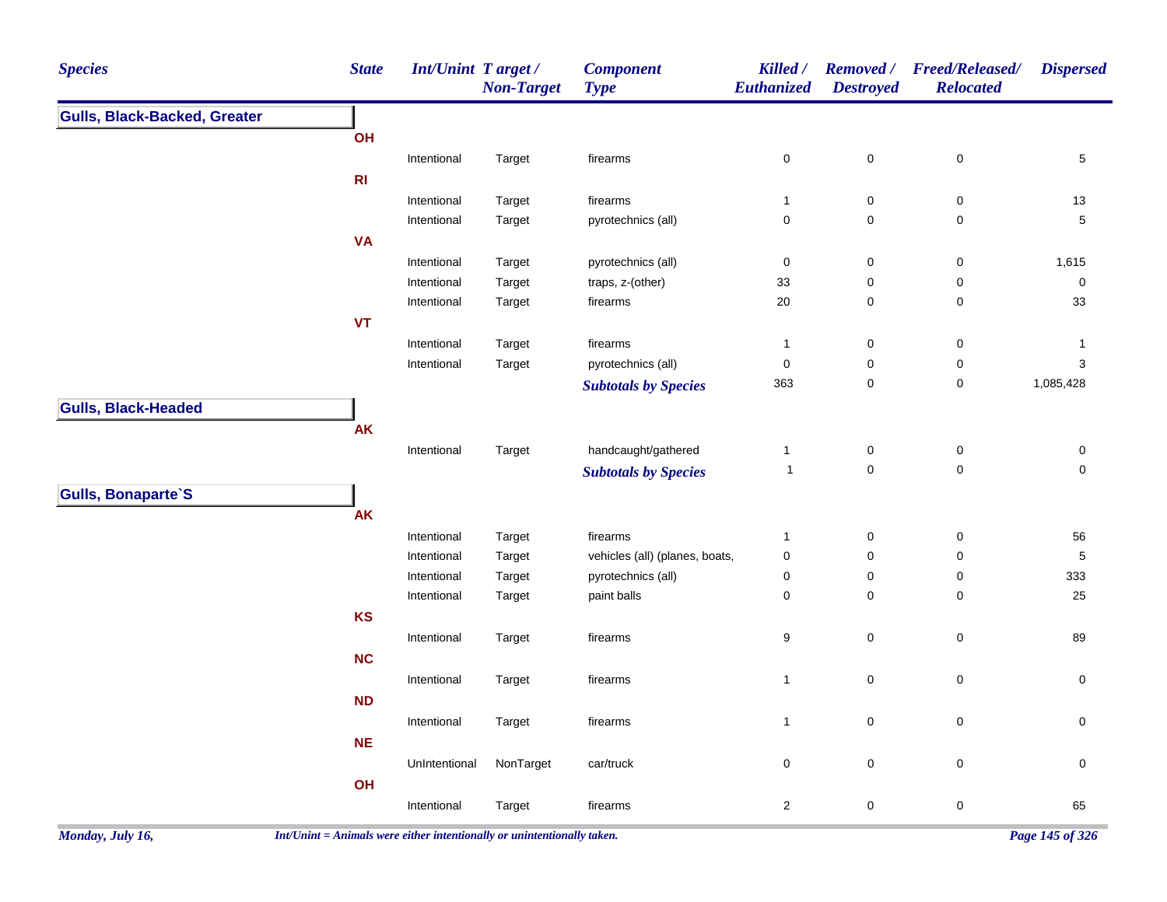| <b>Species</b>                      | <b>State</b>   | <b>Int/Unint Target/</b> | <b>Non-Target</b> | <b>Component</b><br><b>Type</b> | Killed /<br>Euthanized | <b>Removed</b> /<br><b>Destroyed</b> | <b>Freed/Released/</b><br><b>Relocated</b> | <b>Dispersed</b>    |
|-------------------------------------|----------------|--------------------------|-------------------|---------------------------------|------------------------|--------------------------------------|--------------------------------------------|---------------------|
| <b>Gulls, Black-Backed, Greater</b> |                |                          |                   |                                 |                        |                                      |                                            |                     |
|                                     | OH             |                          |                   |                                 |                        |                                      |                                            |                     |
|                                     |                | Intentional              | Target            | firearms                        | $\pmb{0}$              | $\pmb{0}$                            | $\pmb{0}$                                  | $\sqrt{5}$          |
|                                     | R <sub>l</sub> |                          |                   |                                 |                        |                                      |                                            |                     |
|                                     |                | Intentional              | Target            | firearms                        | $\mathbf{1}$           | 0                                    | $\pmb{0}$                                  | 13                  |
|                                     |                | Intentional              | Target            | pyrotechnics (all)              | $\pmb{0}$              | 0                                    | $\pmb{0}$                                  | $\overline{5}$      |
|                                     | <b>VA</b>      |                          |                   |                                 |                        |                                      |                                            |                     |
|                                     |                | Intentional              | Target            | pyrotechnics (all)              | $\pmb{0}$              | $\pmb{0}$                            | $\pmb{0}$                                  | 1,615               |
|                                     |                | Intentional              | Target            | traps, z-(other)                | 33                     | 0                                    | 0                                          | $\pmb{0}$           |
|                                     |                | Intentional              | Target            | firearms                        | 20                     | $\pmb{0}$                            | $\pmb{0}$                                  | 33                  |
|                                     | <b>VT</b>      |                          |                   |                                 |                        |                                      |                                            |                     |
|                                     |                | Intentional              | Target            | firearms                        | $\mathbf{1}$           | 0                                    | 0                                          | $\mathbf{1}$        |
|                                     |                | Intentional              | Target            | pyrotechnics (all)              | $\pmb{0}$              | $\pmb{0}$                            | $\pmb{0}$                                  | 3                   |
|                                     |                |                          |                   | <b>Subtotals by Species</b>     | 363                    | $\pmb{0}$                            | $\pmb{0}$                                  | 1,085,428           |
| <b>Gulls, Black-Headed</b>          |                |                          |                   |                                 |                        |                                      |                                            |                     |
|                                     | AK             |                          |                   |                                 |                        |                                      |                                            |                     |
|                                     |                | Intentional              | Target            | handcaught/gathered             | $\mathbf{1}$           | $\pmb{0}$                            | $\pmb{0}$                                  | 0                   |
|                                     |                |                          |                   | <b>Subtotals by Species</b>     | $\mathbf{1}$           | $\pmb{0}$                            | $\mathbf 0$                                | $\mathbf 0$         |
| Gulls, Bonaparte'S                  |                |                          |                   |                                 |                        |                                      |                                            |                     |
|                                     | AK             |                          |                   |                                 |                        |                                      |                                            |                     |
|                                     |                | Intentional              | Target            | firearms                        | $\mathbf{1}$           | 0                                    | $\pmb{0}$                                  | 56                  |
|                                     |                | Intentional              | Target            | vehicles (all) (planes, boats,  | $\pmb{0}$              | 0                                    | 0                                          | $\mathbf 5$         |
|                                     |                | Intentional              | Target            | pyrotechnics (all)              | $\pmb{0}$              | $\pmb{0}$                            | $\pmb{0}$                                  | 333                 |
|                                     |                | Intentional              | Target            | paint balls                     | $\pmb{0}$              | 0                                    | $\pmb{0}$                                  | 25                  |
|                                     | <b>KS</b>      |                          |                   |                                 |                        |                                      |                                            |                     |
|                                     |                | Intentional              | Target            | firearms                        | 9                      | $\mathbf 0$                          | $\mathsf 0$                                | 89                  |
|                                     | NC             |                          |                   |                                 |                        |                                      |                                            |                     |
|                                     |                | Intentional              | Target            | firearms                        | $\mathbf{1}$           | $\mathsf 0$                          | $\pmb{0}$                                  | $\mathsf{O}\xspace$ |
|                                     | <b>ND</b>      |                          |                   |                                 |                        |                                      |                                            |                     |
|                                     |                | Intentional              | Target            | firearms                        | $\mathbf{1}$           | $\mathsf 0$                          | 0                                          | 0                   |
|                                     | <b>NE</b>      |                          |                   |                                 |                        |                                      |                                            |                     |
|                                     |                | UnIntentional            | NonTarget         | car/truck                       | $\mathbf 0$            | $\mathsf 0$                          | $\mathbf 0$                                | 0                   |
|                                     | OH             |                          |                   |                                 |                        |                                      |                                            |                     |
|                                     |                | Intentional              | Target            | firearms                        | $\overline{c}$         | 0                                    | 0                                          | 65                  |
|                                     |                |                          |                   |                                 |                        |                                      |                                            |                     |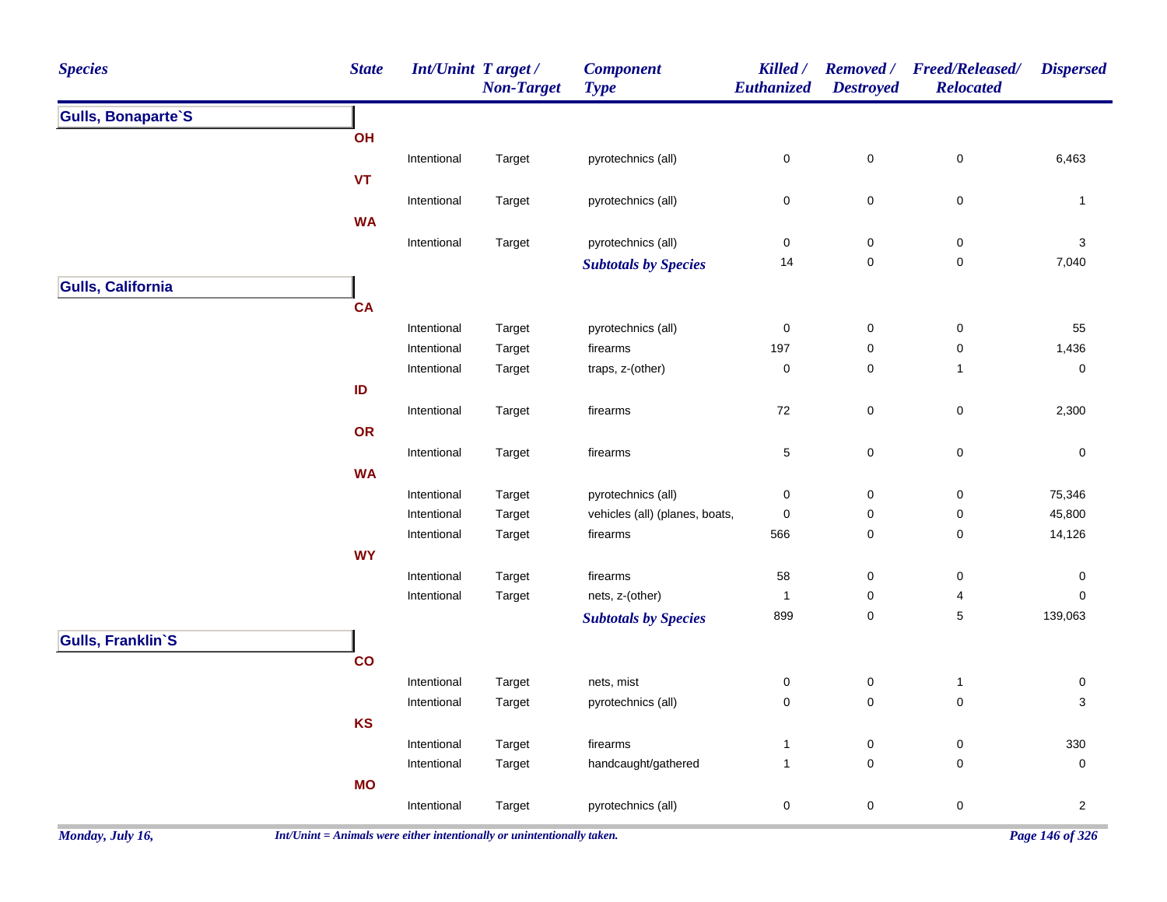| <b>Species</b>            | <b>State</b> | Int/Unint Target/ | <b>Non-Target</b> | <b>Component</b><br><b>Type</b> | Killed /<br>Euthanized | <b>Removed</b> /<br><b>Destroyed</b> | <b>Freed/Released/</b><br><b>Relocated</b> | <b>Dispersed</b>    |
|---------------------------|--------------|-------------------|-------------------|---------------------------------|------------------------|--------------------------------------|--------------------------------------------|---------------------|
| <b>Gulls, Bonaparte'S</b> |              |                   |                   |                                 |                        |                                      |                                            |                     |
|                           | OH           |                   |                   |                                 |                        |                                      |                                            |                     |
|                           |              | Intentional       | Target            | pyrotechnics (all)              | $\pmb{0}$              | $\mathbf 0$                          | $\pmb{0}$                                  | 6,463               |
|                           | <b>VT</b>    |                   |                   |                                 |                        |                                      |                                            |                     |
|                           |              | Intentional       | Target            | pyrotechnics (all)              | 0                      | $\pmb{0}$                            | $\mathsf 0$                                | $\mathbf{1}$        |
|                           | <b>WA</b>    |                   |                   |                                 |                        |                                      |                                            |                     |
|                           |              | Intentional       | Target            | pyrotechnics (all)              | 0                      | $\pmb{0}$                            | $\pmb{0}$                                  | $\sqrt{3}$          |
|                           |              |                   |                   | <b>Subtotals by Species</b>     | 14                     | $\pmb{0}$                            | $\pmb{0}$                                  | 7,040               |
| <b>Gulls, California</b>  |              |                   |                   |                                 |                        |                                      |                                            |                     |
|                           | CA           |                   |                   |                                 |                        |                                      |                                            |                     |
|                           |              | Intentional       | Target            | pyrotechnics (all)              | 0                      | $\boldsymbol{0}$                     | $\pmb{0}$                                  | 55                  |
|                           |              | Intentional       | Target            | firearms                        | 197                    | $\pmb{0}$                            | $\pmb{0}$                                  | 1,436               |
|                           |              | Intentional       | Target            | traps, z-(other)                | 0                      | 0                                    | $\mathbf{1}$                               | $\pmb{0}$           |
|                           | ID           |                   |                   |                                 |                        |                                      |                                            |                     |
|                           |              | Intentional       | Target            | firearms                        | $72\,$                 | $\pmb{0}$                            | $\pmb{0}$                                  | 2,300               |
|                           | OR           |                   |                   |                                 |                        |                                      |                                            |                     |
|                           |              | Intentional       | Target            | firearms                        | 5                      | $\mathbf 0$                          | $\pmb{0}$                                  | $\pmb{0}$           |
|                           | <b>WA</b>    |                   |                   |                                 |                        |                                      |                                            |                     |
|                           |              | Intentional       | Target            | pyrotechnics (all)              | 0                      | $\boldsymbol{0}$                     | $\pmb{0}$                                  | 75,346              |
|                           |              | Intentional       | Target            | vehicles (all) (planes, boats,  | 0                      | $\pmb{0}$                            | $\pmb{0}$                                  | 45,800              |
|                           |              | Intentional       | Target            | firearms                        | 566                    | 0                                    | $\pmb{0}$                                  | 14,126              |
|                           | <b>WY</b>    |                   |                   |                                 |                        |                                      |                                            |                     |
|                           |              | Intentional       | Target            | firearms                        | 58                     | $\pmb{0}$                            | $\pmb{0}$                                  | 0                   |
|                           |              | Intentional       | Target            | nets, z-(other)                 | $\mathbf{1}$           | $\pmb{0}$                            | 4                                          | 0                   |
|                           |              |                   |                   | <b>Subtotals by Species</b>     | 899                    | 0                                    | $\,$ 5 $\,$                                | 139,063             |
| <b>Gulls, Franklin'S</b>  |              |                   |                   |                                 |                        |                                      |                                            |                     |
|                           | co           |                   |                   |                                 |                        |                                      |                                            |                     |
|                           |              | Intentional       | Target            | nets, mist                      | $\pmb{0}$              | $\pmb{0}$                            | $\mathbf{1}$                               | $\pmb{0}$           |
|                           |              | Intentional       | Target            | pyrotechnics (all)              | 0                      | $\pmb{0}$                            | $\mathsf 0$                                | 3                   |
|                           | KS           |                   |                   |                                 |                        |                                      |                                            |                     |
|                           |              | Intentional       | Target            | firearms                        | $\mathbf{1}$           | $\pmb{0}$                            | $\mathsf 0$                                | 330                 |
|                           |              | Intentional       | Target            | handcaught/gathered             | $\mathbf{1}$           | $\pmb{0}$                            | $\pmb{0}$                                  | $\mathsf{O}\xspace$ |
|                           | <b>MO</b>    |                   |                   |                                 |                        |                                      |                                            |                     |
|                           |              | Intentional       | Target            | pyrotechnics (all)              | $\pmb{0}$              | $\mathbf 0$                          | $\mathsf 0$                                | $\mathbf{2}$        |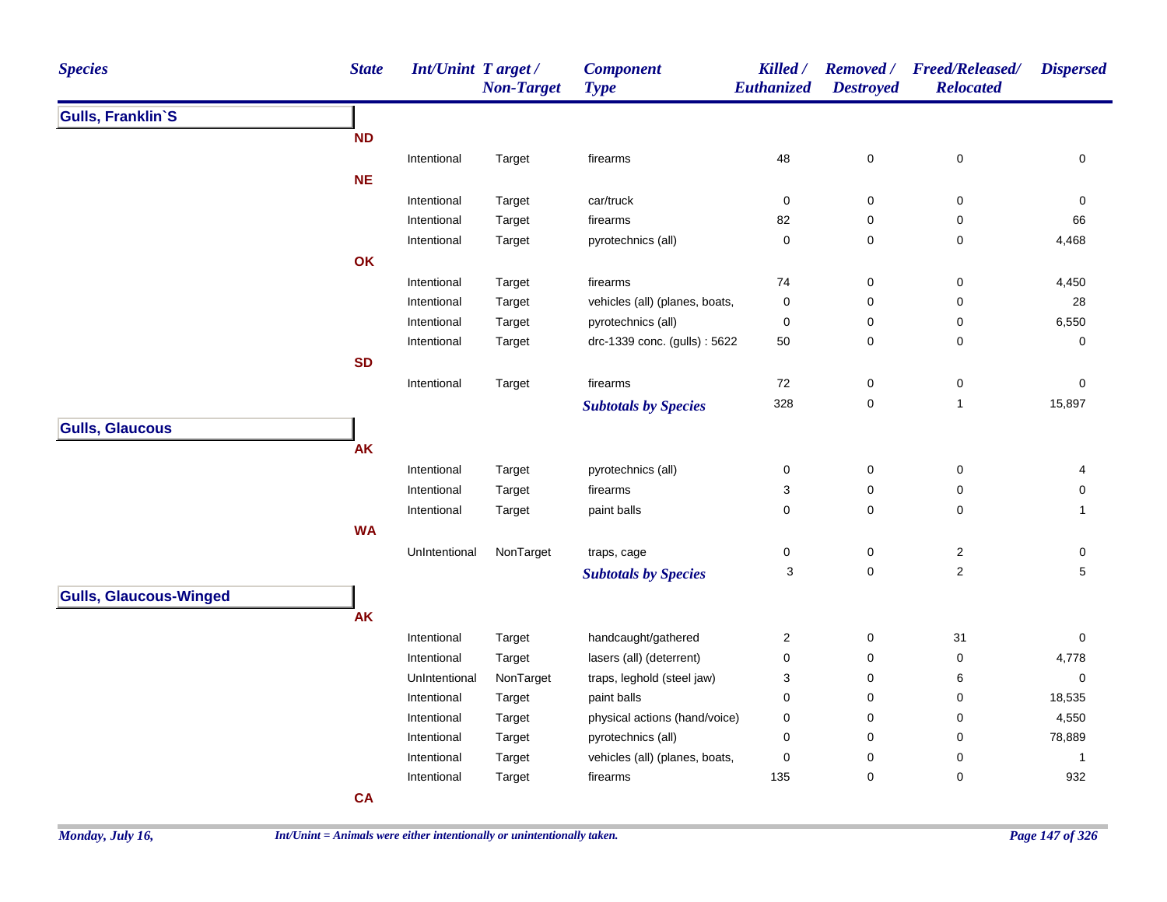| <b>Species</b>                | <b>State</b> | Int/Unint Target/ | <b>Non-Target</b> | <b>Component</b><br><b>Type</b> | Killed /<br>Euthanized | <b>Destroyed</b> | Removed / Freed/Released/<br><b>Relocated</b> | <b>Dispersed</b> |
|-------------------------------|--------------|-------------------|-------------------|---------------------------------|------------------------|------------------|-----------------------------------------------|------------------|
| <b>Gulls, Franklin'S</b>      |              |                   |                   |                                 |                        |                  |                                               |                  |
|                               | <b>ND</b>    |                   |                   |                                 |                        |                  |                                               |                  |
|                               |              | Intentional       | Target            | firearms                        | 48                     | $\pmb{0}$        | $\pmb{0}$                                     | 0                |
|                               | <b>NE</b>    |                   |                   |                                 |                        |                  |                                               |                  |
|                               |              | Intentional       | Target            | car/truck                       | 0                      | 0                | $\pmb{0}$                                     | 0                |
|                               |              | Intentional       | Target            | firearms                        | 82                     | $\pmb{0}$        | 0                                             | 66               |
|                               |              | Intentional       | Target            | pyrotechnics (all)              | $\pmb{0}$              | 0                | 0                                             | 4,468            |
|                               | OK           |                   |                   |                                 |                        |                  |                                               |                  |
|                               |              | Intentional       | Target            | firearms                        | 74                     | $\pmb{0}$        | 0                                             | 4,450            |
|                               |              | Intentional       | Target            | vehicles (all) (planes, boats,  | $\pmb{0}$              | $\mathbf 0$      | 0                                             | 28               |
|                               |              | Intentional       | Target            | pyrotechnics (all)              | 0                      | $\pmb{0}$        | 0                                             | 6,550            |
|                               |              | Intentional       | Target            | drc-1339 conc. (gulls): 5622    | 50                     | 0                | 0                                             | 0                |
|                               | <b>SD</b>    |                   |                   |                                 |                        |                  |                                               |                  |
|                               |              | Intentional       | Target            | firearms                        | 72                     | $\pmb{0}$        | $\pmb{0}$                                     | 0                |
|                               |              |                   |                   | <b>Subtotals by Species</b>     | 328                    | 0                | $\mathbf{1}$                                  | 15,897           |
| <b>Gulls, Glaucous</b>        |              |                   |                   |                                 |                        |                  |                                               |                  |
|                               | <b>AK</b>    |                   |                   |                                 |                        |                  |                                               |                  |
|                               |              | Intentional       | Target            | pyrotechnics (all)              | $\pmb{0}$              | $\mathsf 0$      | $\pmb{0}$                                     | 4                |
|                               |              | Intentional       | Target            | firearms                        | 3                      | 0                | 0                                             | 0                |
|                               |              | Intentional       | Target            | paint balls                     | $\pmb{0}$              | 0                | 0                                             | $\mathbf{1}$     |
|                               | <b>WA</b>    |                   |                   |                                 |                        |                  |                                               |                  |
|                               |              | UnIntentional     | NonTarget         | traps, cage                     | 0                      | 0                | $\boldsymbol{2}$                              | 0                |
|                               |              |                   |                   | <b>Subtotals by Species</b>     | 3                      | $\mathbf 0$      | $\boldsymbol{2}$                              | 5                |
|                               |              |                   |                   |                                 |                        |                  |                                               |                  |
| <b>Gulls, Glaucous-Winged</b> |              |                   |                   |                                 |                        |                  |                                               |                  |
|                               | AK           |                   |                   |                                 |                        |                  |                                               |                  |
|                               |              | Intentional       | Target            | handcaught/gathered             | $\overline{c}$         | $\pmb{0}$        | 31                                            | 0                |
|                               |              | Intentional       | Target            | lasers (all) (deterrent)        | $\pmb{0}$              | $\pmb{0}$        | $\pmb{0}$                                     | 4,778            |
|                               |              | UnIntentional     | NonTarget         | traps, leghold (steel jaw)      | 3                      | $\pmb{0}$        | 6                                             | 0                |
|                               |              | Intentional       | Target            | paint balls                     | $\mathbf 0$            | $\pmb{0}$        | 0                                             | 18,535           |
|                               |              | Intentional       | Target            | physical actions (hand/voice)   | 0                      | $\pmb{0}$        | 0                                             | 4,550            |
|                               |              | Intentional       | Target            | pyrotechnics (all)              | 0                      | $\pmb{0}$        | 0                                             | 78,889           |
|                               |              | Intentional       | Target            | vehicles (all) (planes, boats,  | $\pmb{0}$              | $\pmb{0}$        | 0                                             | $\mathbf{1}$     |
|                               |              | Intentional       | Target            | firearms                        | 135                    | 0                | 0                                             | 932              |
|                               | <b>CA</b>    |                   |                   |                                 |                        |                  |                                               |                  |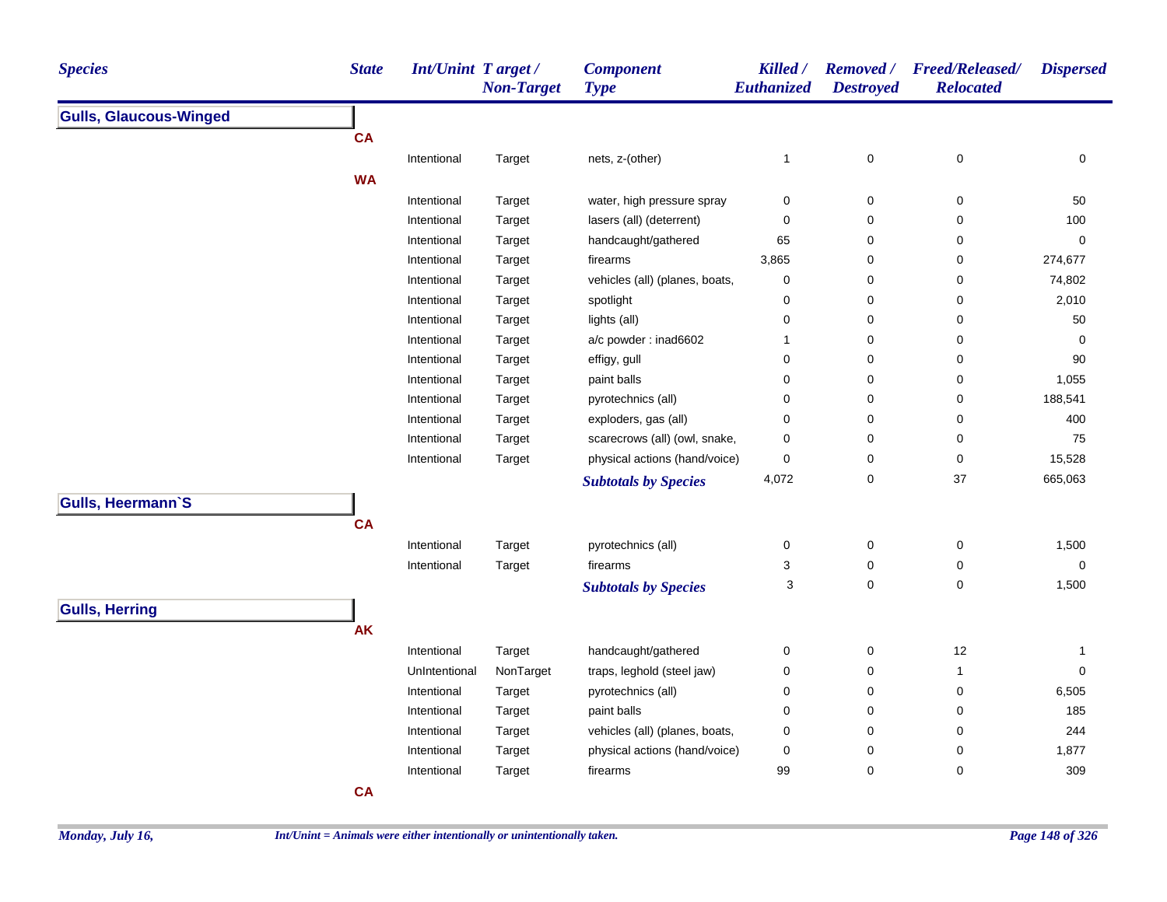| <b>Species</b>                | <b>State</b> | Int/Unint Target/ | <b>Non-Target</b>   | <b>Component</b><br><b>Type</b> | Killed /<br>Euthanized | <b>Destroyed</b> | Removed / Freed/Released/<br><b>Relocated</b> | <b>Dispersed</b> |
|-------------------------------|--------------|-------------------|---------------------|---------------------------------|------------------------|------------------|-----------------------------------------------|------------------|
| <b>Gulls, Glaucous-Winged</b> |              |                   |                     |                                 |                        |                  |                                               |                  |
|                               | <b>CA</b>    |                   |                     |                                 |                        |                  |                                               |                  |
|                               |              | Intentional       | Target              | nets, z-(other)                 | $\mathbf{1}$           | $\pmb{0}$        | $\pmb{0}$                                     | 0                |
|                               | <b>WA</b>    |                   |                     |                                 |                        |                  |                                               |                  |
|                               |              | Intentional       | Target              | water, high pressure spray      | 0                      | 0                | 0                                             | 50               |
|                               |              | Intentional       | Target              | lasers (all) (deterrent)        | 0                      | 0                | 0                                             | 100              |
|                               |              | Intentional       | Target              | handcaught/gathered             | 65                     | 0                | 0                                             | 0                |
|                               |              | Intentional       | Target              | firearms                        | 3,865                  | 0                | 0                                             | 274,677          |
|                               |              | Intentional       | Target              | vehicles (all) (planes, boats,  | 0                      | 0                | 0                                             | 74,802           |
|                               |              | Intentional       | Target              | spotlight                       | 0                      | $\pmb{0}$        | 0                                             | 2,010            |
|                               |              | Intentional       | Target              | lights (all)                    | $\pmb{0}$              | $\mathbf 0$      | 0                                             | 50               |
|                               |              | Intentional       | Target              | a/c powder: inad6602            | $\mathbf{1}$           | $\mathbf 0$      | 0                                             | $\mathbf 0$      |
|                               |              | Intentional       | Target              | effigy, gull                    | $\pmb{0}$              | $\mathbf 0$      | 0                                             | 90               |
|                               |              | Intentional       | Target              | paint balls                     | $\pmb{0}$              | $\mathbf 0$      | 0                                             | 1,055            |
|                               |              | Intentional       | Target              | pyrotechnics (all)              | $\pmb{0}$              | $\mathbf 0$      | 0                                             | 188,541          |
|                               |              | Intentional       | Target              | exploders, gas (all)            | $\pmb{0}$              | $\mathbf 0$      | 0                                             | 400              |
|                               |              | Intentional       | Target              | scarecrows (all) (owl, snake,   | 0                      | $\pmb{0}$        | 0                                             | 75               |
|                               |              | Intentional       | Target              | physical actions (hand/voice)   | $\pmb{0}$              | $\pmb{0}$        | $\pmb{0}$                                     | 15,528           |
|                               |              |                   |                     | <b>Subtotals by Species</b>     | 4,072                  | $\pmb{0}$        | 37                                            | 665,063          |
| <b>Gulls, Heermann'S</b>      |              |                   |                     |                                 |                        |                  |                                               |                  |
|                               | <b>CA</b>    |                   |                     |                                 |                        |                  |                                               |                  |
|                               |              | Intentional       | Target              | pyrotechnics (all)              | 0                      | $\pmb{0}$        | 0                                             | 1,500            |
|                               |              | Intentional       | Target              | firearms                        | 3                      | 0                | 0                                             | 0                |
|                               |              |                   |                     | <b>Subtotals by Species</b>     | 3                      | $\mathbf 0$      | 0                                             | 1,500            |
| <b>Gulls, Herring</b>         |              |                   |                     |                                 |                        |                  |                                               |                  |
|                               | <b>AK</b>    |                   |                     |                                 |                        |                  |                                               |                  |
|                               |              | Intentional       |                     | handcaught/gathered             | $\pmb{0}$              | $\pmb{0}$        | 12                                            |                  |
|                               |              | UnIntentional     | Target<br>NonTarget | traps, leghold (steel jaw)      | $\pmb{0}$              | $\pmb{0}$        | $\mathbf{1}$                                  | 1<br>$\mathbf 0$ |
|                               |              | Intentional       |                     | pyrotechnics (all)              | $\pmb{0}$              | $\pmb{0}$        | 0                                             | 6,505            |
|                               |              | Intentional       | Target              |                                 | $\pmb{0}$              | $\pmb{0}$        | 0                                             | 185              |
|                               |              | Intentional       | Target              | paint balls                     | $\pmb{0}$              | $\pmb{0}$        | 0                                             | 244              |
|                               |              | Intentional       | Target              | vehicles (all) (planes, boats,  | $\pmb{0}$              | $\pmb{0}$        | $\pmb{0}$                                     | 1,877            |
|                               |              | Intentional       | Target              | physical actions (hand/voice)   | 99                     | $\pmb{0}$        | 0                                             | 309              |
|                               | <b>CA</b>    |                   | Target              | firearms                        |                        |                  |                                               |                  |
|                               |              |                   |                     |                                 |                        |                  |                                               |                  |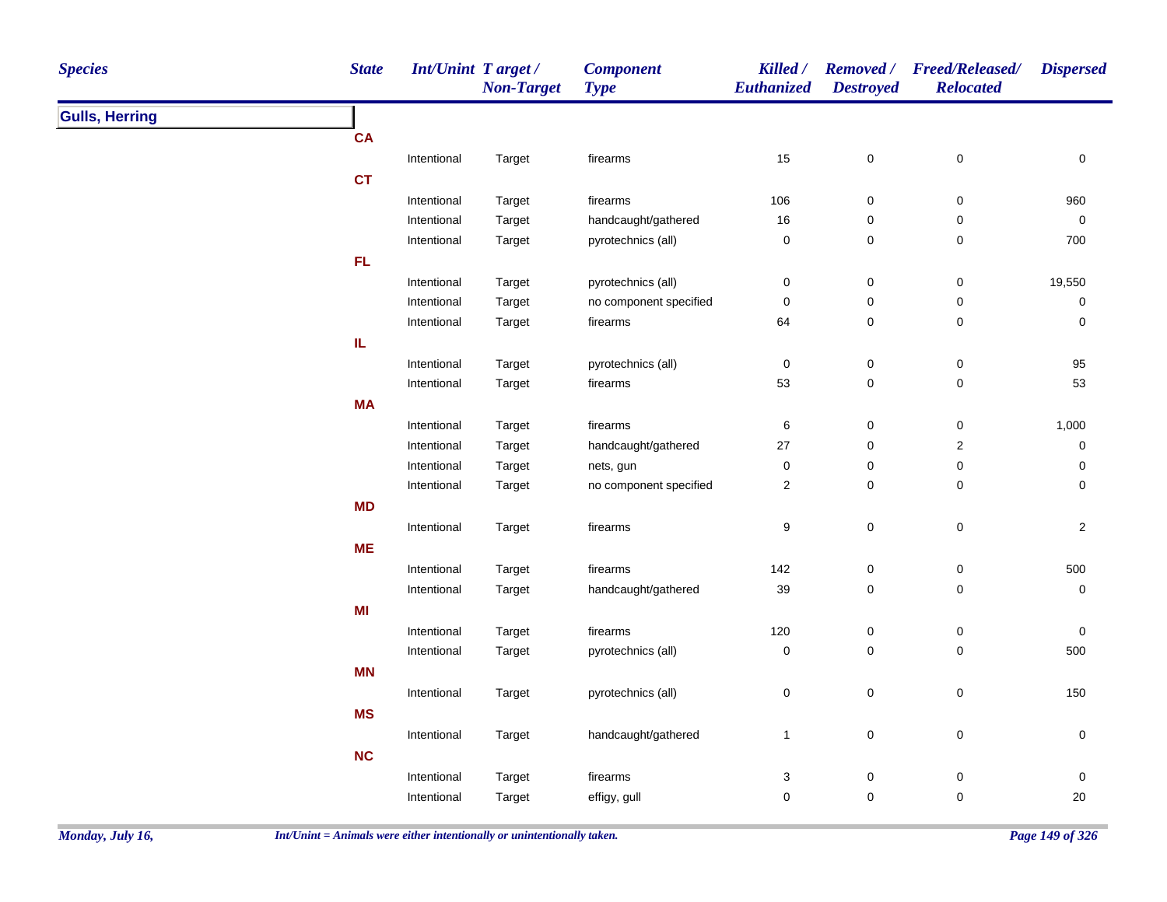| <b>Species</b>        | <b>State</b> | <b>Int/Unint Target/</b> | <b>Non-Target</b> | <b>Component</b><br><b>Type</b> | Killed /<br>Euthanized | <b>Destroyed</b> | Removed / Freed/Released/<br><b>Relocated</b> | <b>Dispersed</b> |
|-----------------------|--------------|--------------------------|-------------------|---------------------------------|------------------------|------------------|-----------------------------------------------|------------------|
| <b>Gulls, Herring</b> |              |                          |                   |                                 |                        |                  |                                               |                  |
|                       | <b>CA</b>    |                          |                   |                                 |                        |                  |                                               |                  |
|                       |              | Intentional              | Target            | firearms                        | 15                     | $\pmb{0}$        | $\pmb{0}$                                     | $\pmb{0}$        |
|                       | <b>CT</b>    |                          |                   |                                 |                        |                  |                                               |                  |
|                       |              | Intentional              | Target            | firearms                        | 106                    | 0                | 0                                             | 960              |
|                       |              | Intentional              | Target            | handcaught/gathered             | 16                     | 0                | $\pmb{0}$                                     | $\pmb{0}$        |
|                       |              | Intentional              | Target            | pyrotechnics (all)              | $\pmb{0}$              | 0                | 0                                             | 700              |
|                       | FL.          |                          |                   |                                 |                        |                  |                                               |                  |
|                       |              | Intentional              | Target            | pyrotechnics (all)              | $\pmb{0}$              | $\pmb{0}$        | $\pmb{0}$                                     | 19,550           |
|                       |              | Intentional              | Target            | no component specified          | $\pmb{0}$              | 0                | 0                                             | 0                |
|                       |              | Intentional              | Target            | firearms                        | 64                     | 0                | 0                                             | 0                |
|                       | IL           |                          |                   |                                 |                        |                  |                                               |                  |
|                       |              | Intentional              | Target            | pyrotechnics (all)              | $\pmb{0}$              | $\pmb{0}$        | $\pmb{0}$                                     | 95               |
|                       |              | Intentional              | Target            | firearms                        | 53                     | 0                | $\pmb{0}$                                     | 53               |
|                       | <b>MA</b>    |                          |                   |                                 |                        |                  |                                               |                  |
|                       |              | Intentional              | Target            | firearms                        | 6                      | 0                | 0                                             | 1,000            |
|                       |              | Intentional              | Target            | handcaught/gathered             | 27                     | 0                | $\mathbf 2$                                   | 0                |
|                       |              | Intentional              | Target            | nets, gun                       | $\pmb{0}$              | 0                | 0                                             | 0                |
|                       |              | Intentional              | Target            | no component specified          | $\sqrt{2}$             | 0                | 0                                             | 0                |
|                       | <b>MD</b>    |                          |                   |                                 |                        |                  |                                               |                  |
|                       |              | Intentional              | Target            | firearms                        | $\boldsymbol{9}$       | $\mathsf 0$      | $\pmb{0}$                                     | $\overline{2}$   |
|                       | <b>ME</b>    |                          |                   |                                 |                        |                  |                                               |                  |
|                       |              | Intentional              | Target            | firearms                        | 142                    | $\pmb{0}$        | $\pmb{0}$                                     | 500              |
|                       |              | Intentional              | Target            | handcaught/gathered             | 39                     | $\mathsf 0$      | $\pmb{0}$                                     | $\pmb{0}$        |
|                       | MI           |                          |                   |                                 |                        |                  |                                               |                  |
|                       |              | Intentional              | Target            | firearms                        | 120                    | 0                | $\pmb{0}$                                     | 0                |
|                       |              | Intentional              | Target            | pyrotechnics (all)              | $\pmb{0}$              | 0                | $\pmb{0}$                                     | 500              |
|                       | MN           |                          |                   |                                 |                        |                  |                                               |                  |
|                       |              | Intentional              | Target            | pyrotechnics (all)              | $\pmb{0}$              | 0                | $\mathsf 0$                                   | 150              |
|                       | <b>MS</b>    |                          |                   |                                 |                        |                  |                                               |                  |
|                       |              |                          |                   |                                 |                        |                  |                                               |                  |
|                       |              | Intentional              | Target            | handcaught/gathered             | $\mathbf{1}$           | $\pmb{0}$        | $\pmb{0}$                                     | 0                |
|                       | NC           |                          |                   |                                 |                        |                  |                                               |                  |
|                       |              | Intentional              | Target            | firearms                        | 3                      | 0                | 0                                             | 0                |
|                       |              | Intentional              | Target            | effigy, gull                    | $\mathbf 0$            | 0                | 0                                             | 20               |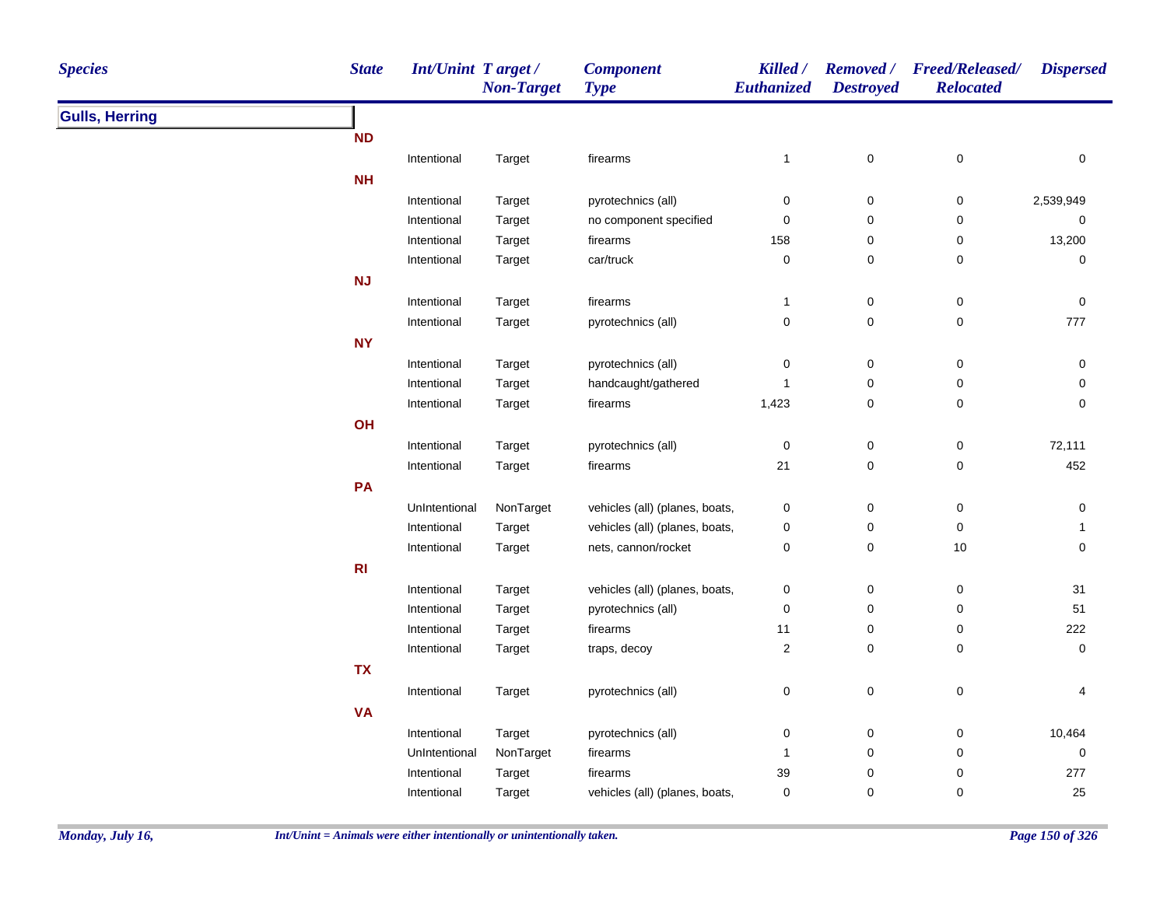| <b>State</b><br><b>Int/Unint Target/</b><br><b>Species</b><br><b>Non-Target</b> | <b>Component</b><br><b>Type</b> | <b>Killed</b> /<br>Euthanized | <b>Destroyed</b>    | Removed / Freed/Released/<br><b>Relocated</b> | <b>Dispersed</b> |
|---------------------------------------------------------------------------------|---------------------------------|-------------------------------|---------------------|-----------------------------------------------|------------------|
| <b>Gulls, Herring</b>                                                           |                                 |                               |                     |                                               |                  |
| <b>ND</b>                                                                       |                                 |                               |                     |                                               |                  |
| Intentional<br>Target                                                           | firearms                        | $\mathbf{1}$                  | $\pmb{0}$           | 0                                             | 0                |
| <b>NH</b>                                                                       |                                 |                               |                     |                                               |                  |
| Intentional<br>Target                                                           | pyrotechnics (all)              | $\pmb{0}$                     | $\mathbf 0$         | 0                                             | 2,539,949        |
| Intentional<br>Target                                                           | no component specified          | $\mathbf 0$                   | $\mathbf 0$         | 0                                             | $\pmb{0}$        |
| Intentional<br>Target                                                           | firearms                        | 158                           | $\mathbf 0$         | 0                                             | 13,200           |
| Target<br>Intentional                                                           | car/truck                       | $\mathbf 0$                   | $\mathbf 0$         | $\mathbf 0$                                   | $\pmb{0}$        |
| <b>NJ</b>                                                                       |                                 |                               |                     |                                               |                  |
| Intentional<br>Target                                                           | firearms                        | $\mathbf{1}$                  | $\pmb{0}$           | $\pmb{0}$                                     | $\pmb{0}$        |
| Intentional<br>Target                                                           | pyrotechnics (all)              | $\pmb{0}$                     | $\pmb{0}$           | $\pmb{0}$                                     | 777              |
| <b>NY</b>                                                                       |                                 |                               |                     |                                               |                  |
| Intentional<br>Target                                                           | pyrotechnics (all)              | $\pmb{0}$                     | $\mathbf 0$         | 0                                             | 0                |
| Intentional<br>Target                                                           | handcaught/gathered             | $\mathbf{1}$                  | $\pmb{0}$           | 0                                             | 0                |
| Intentional<br>Target                                                           | firearms                        | 1,423                         | $\mathbf 0$         | 0                                             | 0                |
| OH                                                                              |                                 |                               |                     |                                               |                  |
| Intentional<br>Target                                                           | pyrotechnics (all)              | $\pmb{0}$                     | $\pmb{0}$           | $\pmb{0}$                                     | 72,111           |
| Intentional<br>Target                                                           | firearms                        | 21                            | $\mathsf{O}\xspace$ | 0                                             | 452              |
| PA                                                                              |                                 |                               |                     |                                               |                  |
| NonTarget<br>UnIntentional                                                      | vehicles (all) (planes, boats,  | 0                             | 0                   | 0                                             | 0                |
| Intentional<br>Target                                                           | vehicles (all) (planes, boats,  | $\pmb{0}$                     | 0                   | 0                                             | 1                |
| Intentional<br>Target                                                           | nets, cannon/rocket             | $\pmb{0}$                     | $\mathsf{O}\xspace$ | $10$                                          | 0                |
| R <sub>l</sub>                                                                  |                                 |                               |                     |                                               |                  |
| Intentional<br>Target                                                           | vehicles (all) (planes, boats,  | $\pmb{0}$                     | $\mathbf 0$         | $\mathbf 0$                                   | 31               |
| Intentional<br>Target                                                           | pyrotechnics (all)              | $\pmb{0}$                     | $\mathbf 0$         | 0                                             | 51               |
| Intentional<br>Target                                                           | firearms                        | 11                            | $\mathbf 0$         | 0                                             | 222              |
| Intentional<br>Target                                                           | traps, decoy                    | $\boldsymbol{2}$              | $\mathsf{O}\xspace$ | 0                                             | $\pmb{0}$        |
| <b>TX</b>                                                                       |                                 |                               |                     |                                               |                  |
| Intentional<br>Target                                                           | pyrotechnics (all)              | $\pmb{0}$                     | $\pmb{0}$           | $\mathsf 0$                                   | 4                |
| <b>VA</b>                                                                       |                                 |                               |                     |                                               |                  |
| Intentional<br>Target                                                           | pyrotechnics (all)              | $\pmb{0}$                     | $\mathbf 0$         | 0                                             | 10,464           |
| NonTarget<br>UnIntentional                                                      | firearms                        | $\mathbf{1}$                  | $\pmb{0}$           | $\mathbf 0$                                   | $\boldsymbol{0}$ |
| Intentional<br>Target                                                           |                                 |                               |                     |                                               |                  |
|                                                                                 | firearms                        | 39                            | 0                   | $\pmb{0}$                                     | 277              |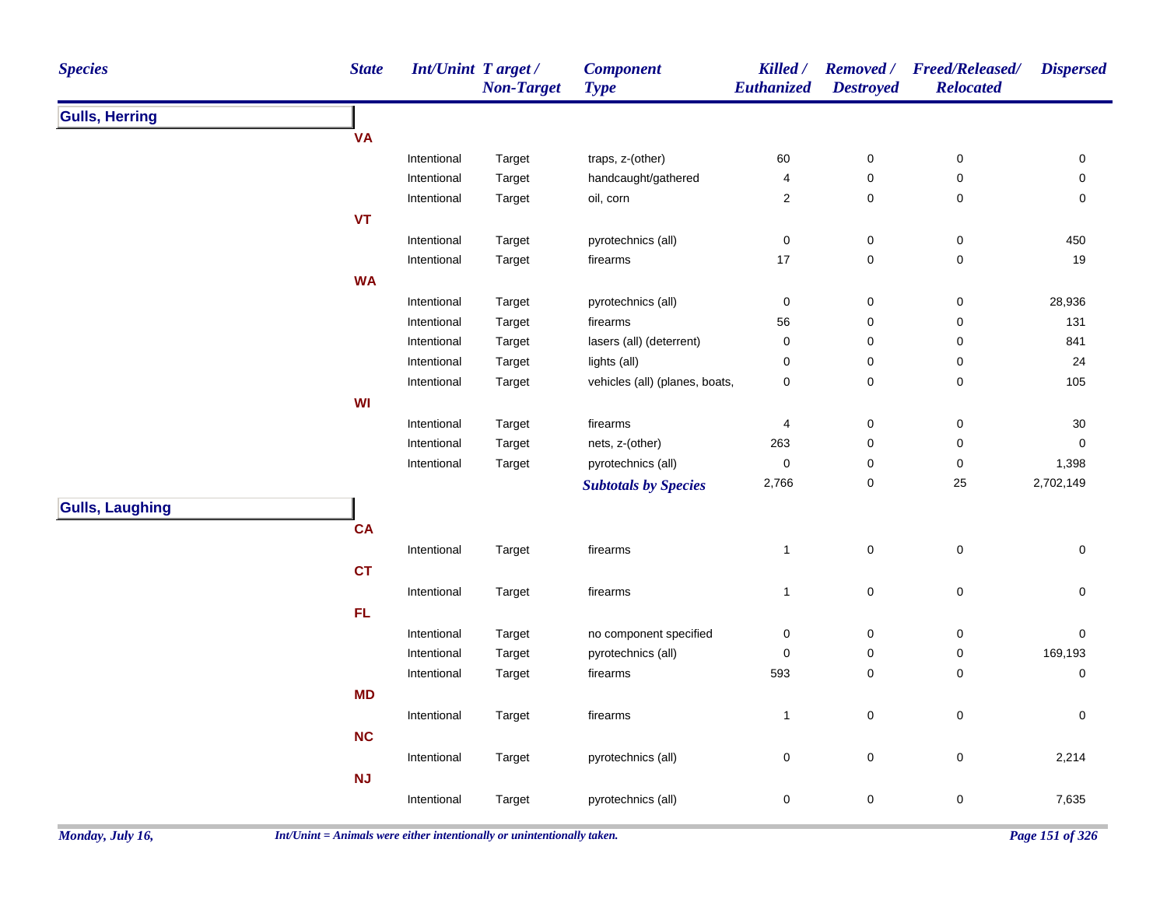| <b>Species</b>         | <b>State</b> | <b>Int/Unint Target/</b> | <b>Non-Target</b> | <b>Component</b><br><b>Type</b> | Killed /<br>Euthanized | <b>Removed</b> /<br><b>Destroyed</b> | <b>Freed/Released/</b><br><b>Relocated</b> | <b>Dispersed</b>    |
|------------------------|--------------|--------------------------|-------------------|---------------------------------|------------------------|--------------------------------------|--------------------------------------------|---------------------|
| <b>Gulls, Herring</b>  |              |                          |                   |                                 |                        |                                      |                                            |                     |
|                        | <b>VA</b>    |                          |                   |                                 |                        |                                      |                                            |                     |
|                        |              | Intentional              | Target            | traps, z-(other)                | 60                     | $\pmb{0}$                            | $\pmb{0}$                                  | 0                   |
|                        |              | Intentional              | Target            | handcaught/gathered             | 4                      | 0                                    | $\mathsf 0$                                | 0                   |
|                        |              | Intentional              | Target            | oil, corn                       | $\boldsymbol{2}$       | $\mathbf 0$                          | $\pmb{0}$                                  | $\pmb{0}$           |
|                        | <b>VT</b>    |                          |                   |                                 |                        |                                      |                                            |                     |
|                        |              | Intentional              | Target            | pyrotechnics (all)              | $\pmb{0}$              | $\pmb{0}$                            | $\pmb{0}$                                  | 450                 |
|                        |              | Intentional              | Target            | firearms                        | 17                     | $\mathbf 0$                          | 0                                          | 19                  |
|                        | <b>WA</b>    |                          |                   |                                 |                        |                                      |                                            |                     |
|                        |              | Intentional              | Target            | pyrotechnics (all)              | $\pmb{0}$              | $\pmb{0}$                            | 0                                          | 28,936              |
|                        |              | Intentional              | Target            | firearms                        | 56                     | $\pmb{0}$                            | 0                                          | 131                 |
|                        |              | Intentional              | Target            | lasers (all) (deterrent)        | $\mathbf 0$            | 0                                    | 0                                          | 841                 |
|                        |              | Intentional              | Target            | lights (all)                    | $\mathbf 0$            | 0                                    | $\pmb{0}$                                  | 24                  |
|                        |              | Intentional              | Target            | vehicles (all) (planes, boats,  | $\pmb{0}$              | $\pmb{0}$                            | 0                                          | 105                 |
|                        | <b>WI</b>    |                          |                   |                                 |                        |                                      |                                            |                     |
|                        |              | Intentional              | Target            | firearms                        | $\overline{4}$         | $\mathbf 0$                          | 0                                          | 30                  |
|                        |              | Intentional              | Target            | nets, z-(other)                 | 263                    | $\pmb{0}$                            | $\pmb{0}$                                  | $\pmb{0}$           |
|                        |              | Intentional              | Target            | pyrotechnics (all)              | $\pmb{0}$              | 0                                    | 0                                          | 1,398               |
|                        |              |                          |                   | <b>Subtotals by Species</b>     | 2,766                  | $\pmb{0}$                            | $25\,$                                     | 2,702,149           |
| <b>Gulls, Laughing</b> |              |                          |                   |                                 |                        |                                      |                                            |                     |
|                        | <b>CA</b>    |                          |                   |                                 |                        |                                      |                                            |                     |
|                        |              | Intentional              | Target            | firearms                        | $\mathbf{1}$           | $\pmb{0}$                            | $\pmb{0}$                                  | $\mathsf{O}\xspace$ |
|                        | <b>CT</b>    |                          |                   |                                 |                        |                                      |                                            |                     |
|                        |              | Intentional              | Target            | firearms                        | $\mathbf{1}$           | $\pmb{0}$                            | $\pmb{0}$                                  | $\mathsf{O}\xspace$ |
|                        | FL.          |                          |                   |                                 |                        |                                      |                                            |                     |
|                        |              | Intentional              | Target            | no component specified          | $\pmb{0}$              | $\pmb{0}$                            | $\pmb{0}$                                  | $\pmb{0}$           |
|                        |              | Intentional              | Target            | pyrotechnics (all)              | $\pmb{0}$              | $\pmb{0}$                            | 0                                          | 169,193             |
|                        |              | Intentional              | Target            | firearms                        | 593                    | $\mathbf 0$                          | 0                                          | $\pmb{0}$           |
|                        | <b>MD</b>    |                          |                   |                                 |                        |                                      |                                            |                     |
|                        |              | Intentional              | Target            | firearms                        | $\mathbf{1}$           | $\pmb{0}$                            | $\pmb{0}$                                  | $\pmb{0}$           |
|                        | <b>NC</b>    |                          |                   |                                 |                        |                                      |                                            |                     |
|                        |              | Intentional              | Target            | pyrotechnics (all)              | $\pmb{0}$              | $\pmb{0}$                            | $\pmb{0}$                                  | 2,214               |
|                        | NJ           |                          |                   |                                 |                        |                                      |                                            |                     |
|                        |              | Intentional              | Target            | pyrotechnics (all)              | $\mathbf 0$            | $\pmb{0}$                            | 0                                          | 7,635               |
|                        |              |                          |                   |                                 |                        |                                      |                                            |                     |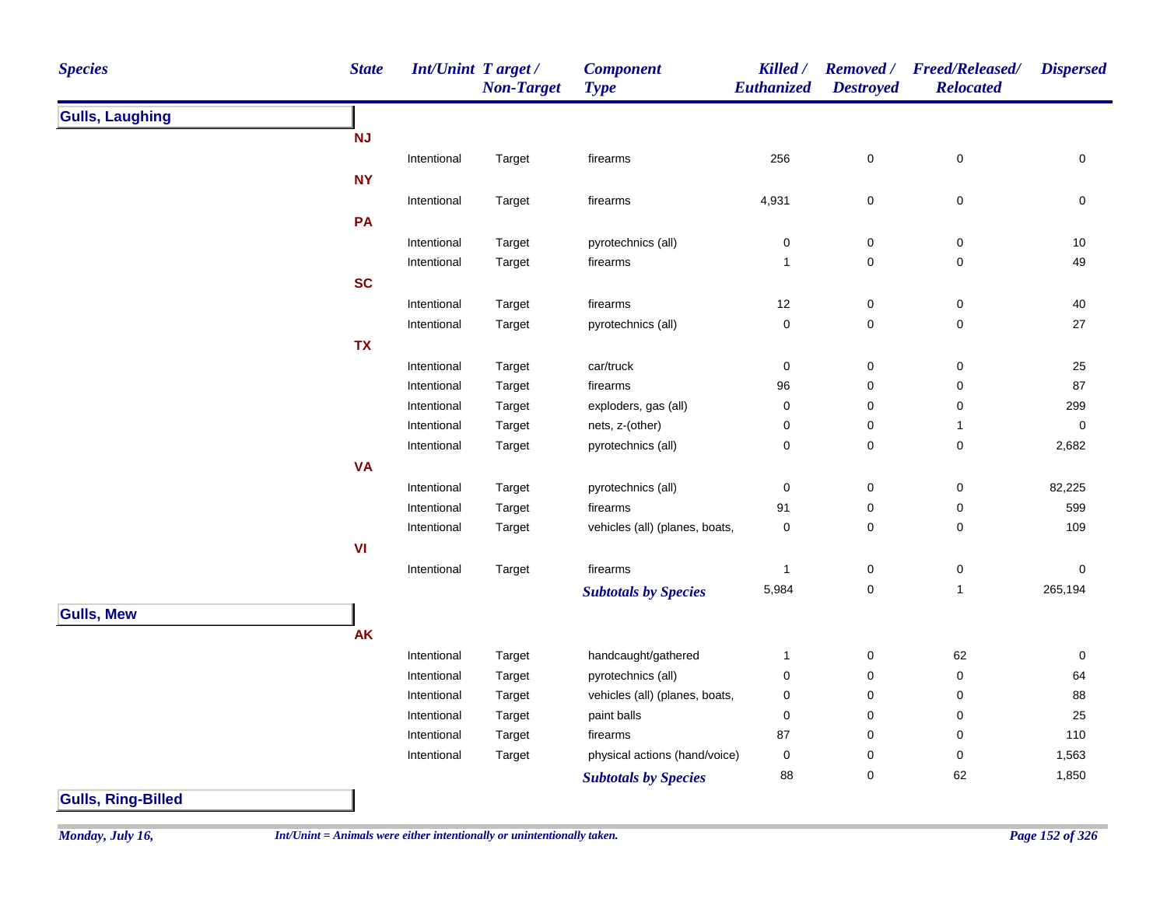| <b>Species</b>            | <b>State</b> | Int/Unint Target/ | <b>Non-Target</b> | <b>Component</b><br><b>Type</b> | Killed /<br><b>Euthanized</b> | <b>Removed</b> /<br><b>Destroyed</b> | <b>Freed/Released/</b><br><b>Relocated</b> | <b>Dispersed</b> |
|---------------------------|--------------|-------------------|-------------------|---------------------------------|-------------------------------|--------------------------------------|--------------------------------------------|------------------|
| <b>Gulls, Laughing</b>    |              |                   |                   |                                 |                               |                                      |                                            |                  |
|                           | <b>NJ</b>    |                   |                   |                                 |                               |                                      |                                            |                  |
|                           |              | Intentional       | Target            | firearms                        | 256                           | 0                                    | $\pmb{0}$                                  | 0                |
|                           | <b>NY</b>    |                   |                   |                                 |                               |                                      |                                            |                  |
|                           |              | Intentional       | Target            | firearms                        | 4,931                         | 0                                    | $\pmb{0}$                                  | 0                |
|                           | PA           |                   |                   |                                 |                               |                                      |                                            |                  |
|                           |              | Intentional       | Target            | pyrotechnics (all)              | 0                             | 0                                    | $\pmb{0}$                                  | 10               |
|                           |              | Intentional       | Target            | firearms                        | 1                             | 0                                    | 0                                          | 49               |
|                           | <b>SC</b>    |                   |                   |                                 |                               |                                      |                                            |                  |
|                           |              | Intentional       | Target            | firearms                        | 12                            | $\pmb{0}$                            | $\pmb{0}$                                  | $40\,$           |
|                           |              | Intentional       | Target            | pyrotechnics (all)              | $\pmb{0}$                     | 0                                    | $\mathsf 0$                                | 27               |
|                           | <b>TX</b>    |                   |                   |                                 |                               |                                      |                                            |                  |
|                           |              | Intentional       | Target            | car/truck                       | $\mathbf 0$                   | $\pmb{0}$                            | $\mathsf 0$                                | $25\,$           |
|                           |              | Intentional       | Target            | firearms                        | 96                            | 0                                    | 0                                          | 87               |
|                           |              | Intentional       | Target            | exploders, gas (all)            | $\pmb{0}$                     | $\pmb{0}$                            | 0                                          | 299              |
|                           |              | Intentional       | Target            | nets, z-(other)                 | $\mathbf 0$                   | 0                                    | $\mathbf{1}$                               | 0                |
|                           |              | Intentional       | Target            | pyrotechnics (all)              | 0                             | 0                                    | $\mathsf 0$                                | 2,682            |
|                           | <b>VA</b>    |                   |                   |                                 |                               |                                      |                                            |                  |
|                           |              | Intentional       | Target            | pyrotechnics (all)              | 0                             | 0                                    | $\pmb{0}$                                  | 82,225           |
|                           |              | Intentional       | Target            | firearms                        | 91                            | 0                                    | 0                                          | 599              |
|                           |              | Intentional       | Target            | vehicles (all) (planes, boats,  | $\pmb{0}$                     | 0                                    | 0                                          | 109              |
|                           | VI           |                   |                   |                                 |                               |                                      |                                            |                  |
|                           |              | Intentional       | Target            | firearms                        | $\mathbf{1}$                  | 0                                    | $\pmb{0}$                                  | $\mathbf 0$      |
|                           |              |                   |                   | <b>Subtotals by Species</b>     | 5,984                         | 0                                    | $\mathbf{1}$                               | 265,194          |
| <b>Gulls, Mew</b>         |              |                   |                   |                                 |                               |                                      |                                            |                  |
|                           | AK           |                   |                   |                                 |                               |                                      |                                            |                  |
|                           |              | Intentional       | Target            | handcaught/gathered             | 1                             | 0                                    | 62                                         | 0                |
|                           |              | Intentional       | Target            | pyrotechnics (all)              | $\pmb{0}$                     | 0                                    | 0                                          | 64               |
|                           |              | Intentional       | Target            | vehicles (all) (planes, boats,  | 0                             | 0                                    | 0                                          | 88               |
|                           |              | Intentional       | Target            | paint balls                     | 0                             | 0                                    | 0                                          | 25               |
|                           |              | Intentional       | Target            | firearms                        | 87                            | 0                                    | 0                                          | 110              |
|                           |              | Intentional       | Target            | physical actions (hand/voice)   | $\mathbf 0$                   | 0                                    | $\pmb{0}$                                  | 1,563            |
|                           |              |                   |                   | <b>Subtotals by Species</b>     | 88                            | $\pmb{0}$                            | 62                                         | 1,850            |
| <b>Gulls, Ring-Billed</b> |              |                   |                   |                                 |                               |                                      |                                            |                  |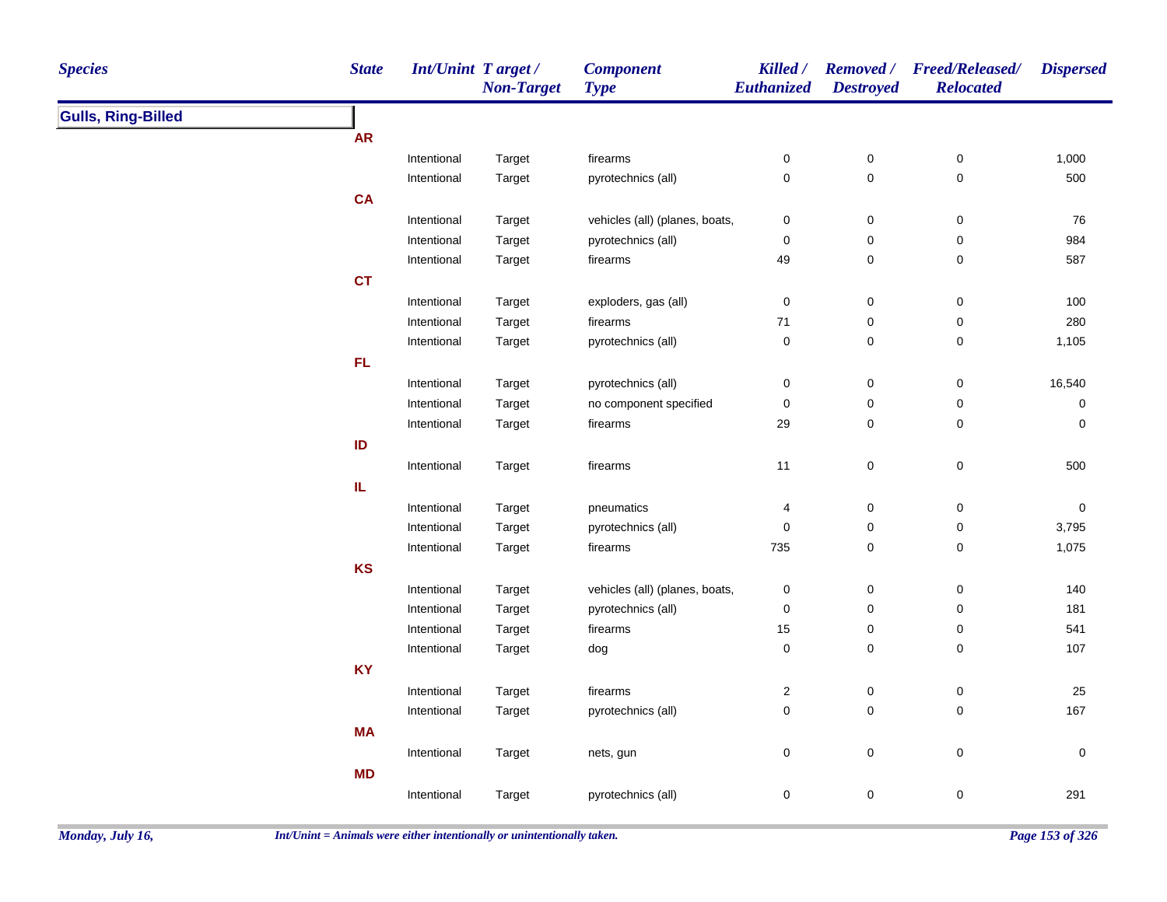| <b>Species</b>            | <b>State</b> | Int/Unint Target / | <b>Non-Target</b> | <b>Component</b><br><b>Type</b> | Killed /<br>Euthanized | <b>Destroyed</b> | Removed / Freed/Released/<br><b>Relocated</b> | <b>Dispersed</b> |
|---------------------------|--------------|--------------------|-------------------|---------------------------------|------------------------|------------------|-----------------------------------------------|------------------|
| <b>Gulls, Ring-Billed</b> |              |                    |                   |                                 |                        |                  |                                               |                  |
|                           | <b>AR</b>    |                    |                   |                                 |                        |                  |                                               |                  |
|                           |              | Intentional        | Target            | firearms                        | $\pmb{0}$              | $\pmb{0}$        | 0                                             | 1,000            |
|                           |              | Intentional        | Target            | pyrotechnics (all)              | $\pmb{0}$              | $\mathbf 0$      | 0                                             | 500              |
|                           | <b>CA</b>    |                    |                   |                                 |                        |                  |                                               |                  |
|                           |              | Intentional        | Target            | vehicles (all) (planes, boats,  | $\mathbf 0$            | $\boldsymbol{0}$ | 0                                             | 76               |
|                           |              | Intentional        | Target            | pyrotechnics (all)              | $\mathbf 0$            | $\pmb{0}$        | $\pmb{0}$                                     | 984              |
|                           |              | Intentional        | Target            | firearms                        | 49                     | $\pmb{0}$        | $\pmb{0}$                                     | 587              |
|                           | <b>CT</b>    |                    |                   |                                 |                        |                  |                                               |                  |
|                           |              | Intentional        | Target            | exploders, gas (all)            | $\pmb{0}$              | $\pmb{0}$        | $\pmb{0}$                                     | 100              |
|                           |              | Intentional        | Target            | firearms                        | $71$                   | $\pmb{0}$        | $\pmb{0}$                                     | 280              |
|                           |              | Intentional        | Target            | pyrotechnics (all)              | $\pmb{0}$              | $\pmb{0}$        | $\pmb{0}$                                     | 1,105            |
|                           | FL.          |                    |                   |                                 |                        |                  |                                               |                  |
|                           |              | Intentional        | Target            | pyrotechnics (all)              | $\pmb{0}$              | $\pmb{0}$        | $\pmb{0}$                                     | 16,540           |
|                           |              | Intentional        | Target            | no component specified          | $\pmb{0}$              | $\pmb{0}$        | $\pmb{0}$                                     | 0                |
|                           |              | Intentional        | Target            | firearms                        | 29                     | 0                | 0                                             | 0                |
|                           | ID           |                    |                   |                                 |                        |                  |                                               |                  |
|                           |              | Intentional        | Target            | firearms                        | 11                     | $\mathbf 0$      | $\pmb{0}$                                     | 500              |
|                           | IL.          |                    |                   |                                 |                        |                  |                                               |                  |
|                           |              | Intentional        | Target            | pneumatics                      | $\overline{4}$         | $\pmb{0}$        | $\pmb{0}$                                     | $\pmb{0}$        |
|                           |              | Intentional        | Target            | pyrotechnics (all)              | $\pmb{0}$              | $\pmb{0}$        | $\pmb{0}$                                     | 3,795            |
|                           |              | Intentional        | Target            | firearms                        | 735                    | $\pmb{0}$        | 0                                             | 1,075            |
|                           | KS           |                    |                   |                                 |                        |                  |                                               |                  |
|                           |              | Intentional        | Target            | vehicles (all) (planes, boats,  | $\pmb{0}$              | $\pmb{0}$        | $\pmb{0}$                                     | 140              |
|                           |              | Intentional        | Target            | pyrotechnics (all)              | $\mathbf 0$            | $\pmb{0}$        | 0                                             | 181              |
|                           |              | Intentional        | Target            | firearms                        | 15                     | 0                | 0                                             | 541              |
|                           |              | Intentional        | Target            | dog                             | $\pmb{0}$              | $\pmb{0}$        | $\mathbf 0$                                   | 107              |
|                           | <b>KY</b>    |                    |                   |                                 |                        |                  |                                               |                  |
|                           |              | Intentional        | Target            | firearms                        | $\overline{2}$         | $\pmb{0}$        | 0                                             | 25               |
|                           |              | Intentional        | Target            | pyrotechnics (all)              | $\pmb{0}$              | $\pmb{0}$        | 0                                             | 167              |
|                           | <b>MA</b>    |                    |                   |                                 |                        |                  |                                               |                  |
|                           |              | Intentional        | Target            | nets, gun                       | $\pmb{0}$              | $\mathbf 0$      | $\pmb{0}$                                     | $\pmb{0}$        |
|                           | <b>MD</b>    |                    |                   |                                 |                        |                  |                                               |                  |
|                           |              | Intentional        | Target            | pyrotechnics (all)              | $\mathbf 0$            | $\pmb{0}$        | 0                                             | 291              |
|                           |              |                    |                   |                                 |                        |                  |                                               |                  |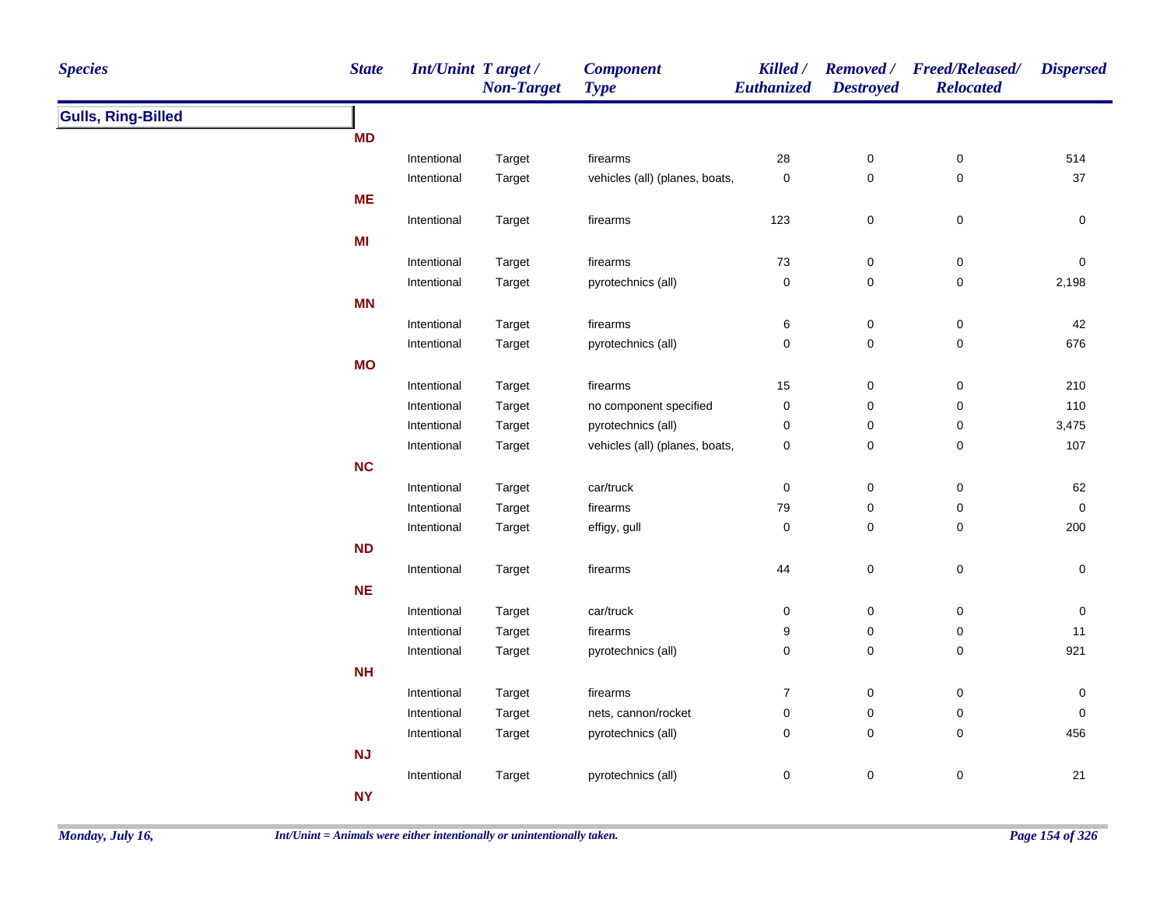| <b>Species</b>            | <b>State</b> | Int/Unint Target / | <b>Non-Target</b> | <b>Component</b><br><b>Type</b> | Killed /<br>Euthanized | <b>Destroyed</b>    | Removed / Freed/Released/<br><b>Relocated</b> | <b>Dispersed</b> |
|---------------------------|--------------|--------------------|-------------------|---------------------------------|------------------------|---------------------|-----------------------------------------------|------------------|
| <b>Gulls, Ring-Billed</b> |              |                    |                   |                                 |                        |                     |                                               |                  |
|                           | <b>MD</b>    |                    |                   |                                 |                        |                     |                                               |                  |
|                           |              | Intentional        | Target            | firearms                        | 28                     | 0                   | $\pmb{0}$                                     | 514              |
|                           |              | Intentional        | Target            | vehicles (all) (planes, boats,  | $\pmb{0}$              | $\mathsf{O}\xspace$ | $\pmb{0}$                                     | 37               |
|                           | <b>ME</b>    |                    |                   |                                 |                        |                     |                                               |                  |
|                           |              | Intentional        | Target            | firearms                        | 123                    | $\pmb{0}$           | $\mathbf 0$                                   | 0                |
|                           | MI           |                    |                   |                                 |                        |                     |                                               |                  |
|                           |              | Intentional        | Target            | firearms                        | 73                     | $\mathsf{O}\xspace$ | $\mathbf 0$                                   | $\pmb{0}$        |
|                           |              | Intentional        | Target            | pyrotechnics (all)              | $\pmb{0}$              | $\mathsf{O}\xspace$ | 0                                             | 2,198            |
|                           | <b>MN</b>    |                    |                   |                                 |                        |                     |                                               |                  |
|                           |              | Intentional        | Target            | firearms                        | 6                      | $\mathbf 0$         | $\mathbf 0$                                   | 42               |
|                           |              | Intentional        | Target            | pyrotechnics (all)              | $\pmb{0}$              | $\mathsf{O}\xspace$ | $\pmb{0}$                                     | 676              |
|                           | <b>MO</b>    |                    |                   |                                 |                        |                     |                                               |                  |
|                           |              | Intentional        | Target            | firearms                        | 15                     | $\pmb{0}$           | $\pmb{0}$                                     | 210              |
|                           |              | Intentional        | Target            | no component specified          | $\pmb{0}$              | $\pmb{0}$           | $\pmb{0}$                                     | 110              |
|                           |              | Intentional        | Target            | pyrotechnics (all)              | $\pmb{0}$              | $\pmb{0}$           | $\pmb{0}$                                     | 3,475            |
|                           |              | Intentional        | Target            | vehicles (all) (planes, boats,  | $\pmb{0}$              | $\mathbf 0$         | $\pmb{0}$                                     | 107              |
|                           | <b>NC</b>    |                    |                   |                                 |                        |                     |                                               |                  |
|                           |              | Intentional        | Target            | car/truck                       | $\pmb{0}$              | $\pmb{0}$           | $\pmb{0}$                                     | 62               |
|                           |              | Intentional        | Target            | firearms                        | 79                     | 0                   | 0                                             | $\pmb{0}$        |
|                           |              | Intentional        | Target            | effigy, gull                    | $\pmb{0}$              | $\mathbf 0$         | 0                                             | 200              |
|                           | <b>ND</b>    |                    |                   |                                 |                        |                     |                                               |                  |
|                           |              | Intentional        | Target            | firearms                        | 44                     | $\mathbf 0$         | 0                                             | 0                |
|                           | <b>NE</b>    |                    |                   |                                 |                        |                     |                                               |                  |
|                           |              | Intentional        | Target            | car/truck                       | $\pmb{0}$              | $\pmb{0}$           | $\pmb{0}$                                     | $\pmb{0}$        |
|                           |              | Intentional        | Target            | firearms                        | 9                      | 0                   | 0                                             | 11               |
|                           |              | Intentional        | Target            | pyrotechnics (all)              | $\pmb{0}$              | $\mathsf{O}\xspace$ | $\mathbf 0$                                   | 921              |
|                           | <b>NH</b>    |                    |                   |                                 |                        |                     |                                               |                  |
|                           |              | Intentional        | Target            | firearms                        | $\overline{7}$         | $\mathbf 0$         | 0                                             | $\pmb{0}$        |
|                           |              | Intentional        | Target            | nets, cannon/rocket             | $\pmb{0}$              | $\pmb{0}$           | $\mathbf 0$                                   | 0                |
|                           |              | Intentional        | Target            | pyrotechnics (all)              | $\pmb{0}$              | $\mathsf{O}\xspace$ | $\mathbf 0$                                   | 456              |
|                           | <b>NJ</b>    |                    |                   |                                 |                        |                     |                                               |                  |
|                           |              | Intentional        | Target            | pyrotechnics (all)              | $\pmb{0}$              | $\pmb{0}$           | 0                                             | 21               |
|                           | <b>NY</b>    |                    |                   |                                 |                        |                     |                                               |                  |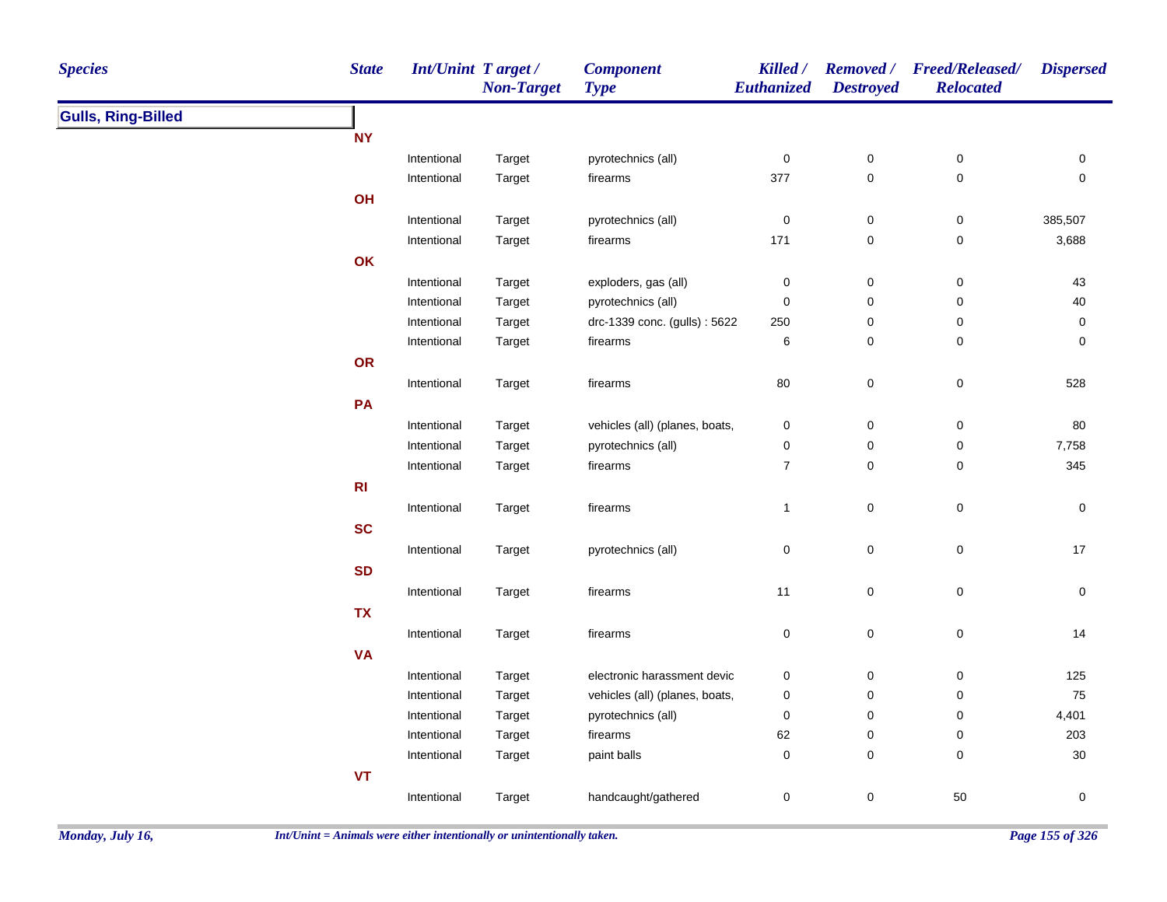| <b>Species</b>            | <b>State</b>   | <b>Int/Unint Target/</b> | <b>Non-Target</b> | <b>Component</b><br><b>Type</b> | Killed /<br>Euthanized | <b>Destroyed</b>    | Removed / Freed/Released/<br><b>Relocated</b> | <b>Dispersed</b>    |
|---------------------------|----------------|--------------------------|-------------------|---------------------------------|------------------------|---------------------|-----------------------------------------------|---------------------|
| <b>Gulls, Ring-Billed</b> |                |                          |                   |                                 |                        |                     |                                               |                     |
|                           | <b>NY</b>      |                          |                   |                                 |                        |                     |                                               |                     |
|                           |                | Intentional              | Target            | pyrotechnics (all)              | $\pmb{0}$              | $\pmb{0}$           | $\pmb{0}$                                     | 0                   |
|                           |                | Intentional              | Target            | firearms                        | 377                    | $\mathsf 0$         | $\mathsf 0$                                   | $\mathsf{O}\xspace$ |
|                           | OH             |                          |                   |                                 |                        |                     |                                               |                     |
|                           |                | Intentional              | Target            | pyrotechnics (all)              | $\pmb{0}$              | $\pmb{0}$           | $\pmb{0}$                                     | 385,507             |
|                           |                | Intentional              | Target            | firearms                        | 171                    | $\mathbf 0$         | 0                                             | 3,688               |
|                           | OK             |                          |                   |                                 |                        |                     |                                               |                     |
|                           |                | Intentional              | Target            | exploders, gas (all)            | $\mathbf 0$            | $\pmb{0}$           | $\mathbf 0$                                   | 43                  |
|                           |                | Intentional              | Target            | pyrotechnics (all)              | $\pmb{0}$              | 0                   | 0                                             | 40                  |
|                           |                | Intentional              | Target            | drc-1339 conc. (gulls): 5622    | 250                    | 0                   | $\pmb{0}$                                     | $\pmb{0}$           |
|                           |                | Intentional              | Target            | firearms                        | $\,6\,$                | $\mathbf 0$         | 0                                             | $\mathbf 0$         |
|                           | OR             |                          |                   |                                 |                        |                     |                                               |                     |
|                           |                | Intentional              | Target            | firearms                        | 80                     | $\mathbf 0$         | $\mathsf 0$                                   | 528                 |
|                           | PA             |                          |                   |                                 |                        |                     |                                               |                     |
|                           |                | Intentional              | Target            | vehicles (all) (planes, boats,  | $\pmb{0}$              | 0                   | 0                                             | 80                  |
|                           |                | Intentional              | Target            | pyrotechnics (all)              | $\pmb{0}$              | 0                   | 0                                             | 7,758               |
|                           |                | Intentional              | Target            | firearms                        | $\overline{7}$         | $\mathbf 0$         | 0                                             | 345                 |
|                           | R <sub>l</sub> |                          |                   |                                 |                        |                     |                                               |                     |
|                           |                | Intentional              | Target            | firearms                        | $\mathbf{1}$           | $\mathbf 0$         | $\pmb{0}$                                     | $\pmb{0}$           |
|                           | <b>SC</b>      |                          |                   |                                 |                        |                     |                                               |                     |
|                           |                | Intentional              | Target            | pyrotechnics (all)              | $\pmb{0}$              | $\pmb{0}$           | $\pmb{0}$                                     | 17                  |
|                           | <b>SD</b>      |                          |                   |                                 |                        |                     |                                               |                     |
|                           |                | Intentional              | Target            |                                 | 11                     | $\mathsf{O}\xspace$ | $\pmb{0}$                                     | $\mathsf{O}\xspace$ |
|                           | <b>TX</b>      |                          |                   | firearms                        |                        |                     |                                               |                     |
|                           |                |                          |                   |                                 |                        |                     |                                               |                     |
|                           |                | Intentional              | Target            | firearms                        | $\pmb{0}$              | $\mathbf 0$         | $\pmb{0}$                                     | 14                  |
|                           | <b>VA</b>      |                          |                   |                                 |                        |                     |                                               |                     |
|                           |                | Intentional              | Target            | electronic harassment devic     | $\mathbf 0$            | $\mathbf 0$         | $\pmb{0}$                                     | 125                 |
|                           |                | Intentional              | Target            | vehicles (all) (planes, boats,  | $\pmb{0}$              | $\pmb{0}$           | $\pmb{0}$                                     | 75                  |
|                           |                | Intentional              | Target            | pyrotechnics (all)              | $\pmb{0}$              | 0                   | 0                                             | 4,401               |
|                           |                | Intentional              | Target            | firearms                        | 62                     | 0                   | 0                                             | 203                 |
|                           |                | Intentional              | Target            | paint balls                     | $\mathbf 0$            | $\mathsf{O}\xspace$ | $\pmb{0}$                                     | $30\,$              |
|                           | <b>VT</b>      |                          |                   |                                 |                        |                     |                                               |                     |
|                           |                | Intentional              | Target            | handcaught/gathered             | $\pmb{0}$              | 0                   | 50                                            | 0                   |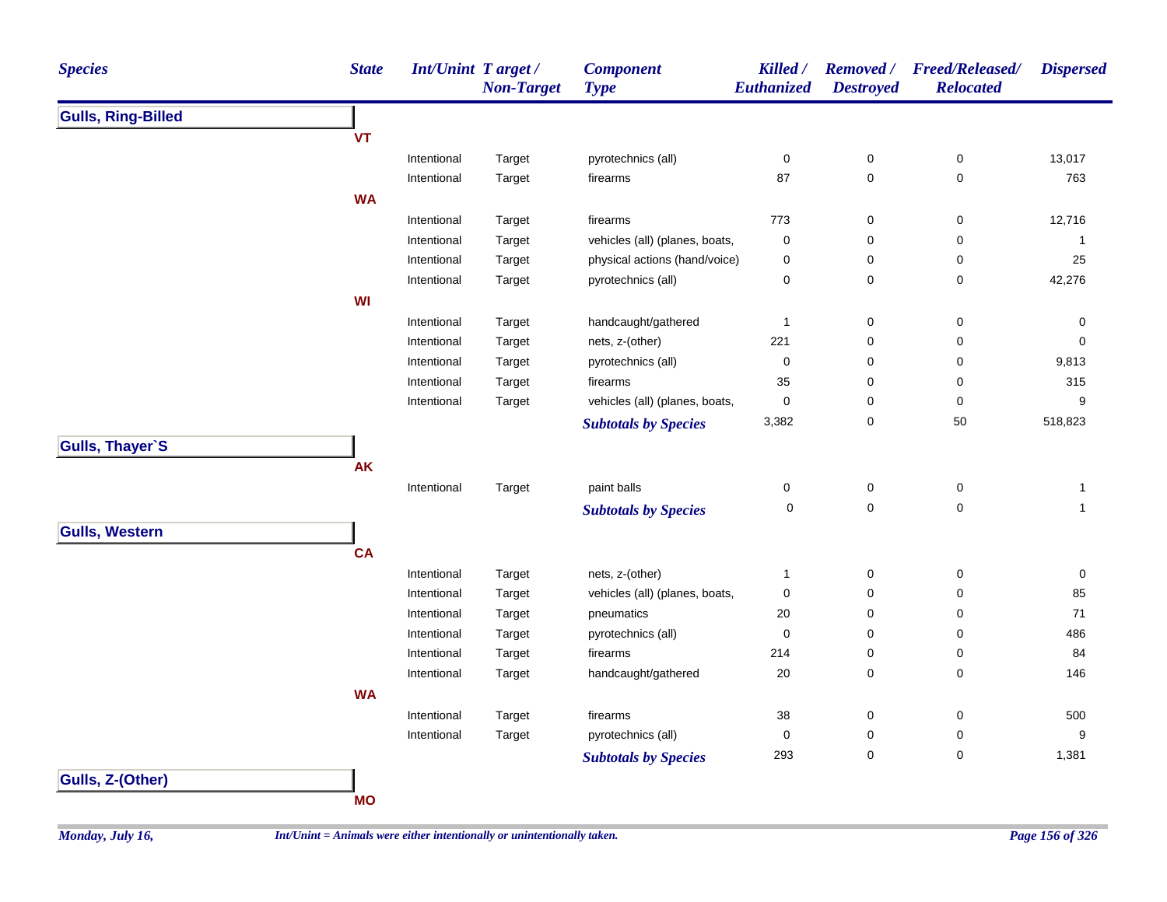| <b>Species</b>            | <b>State</b> | Int/Unint Target/ | <b>Non-Target</b> | <b>Component</b><br><b>Type</b> | Killed /<br>Euthanized | <b>Removed</b> /<br><b>Destroyed</b> | <b>Freed/Released/</b><br><b>Relocated</b> | <b>Dispersed</b> |
|---------------------------|--------------|-------------------|-------------------|---------------------------------|------------------------|--------------------------------------|--------------------------------------------|------------------|
| <b>Gulls, Ring-Billed</b> |              |                   |                   |                                 |                        |                                      |                                            |                  |
|                           | <b>VT</b>    |                   |                   |                                 |                        |                                      |                                            |                  |
|                           |              | Intentional       | Target            | pyrotechnics (all)              | $\pmb{0}$              | $\pmb{0}$                            | $\pmb{0}$                                  | 13,017           |
|                           |              | Intentional       | Target            | firearms                        | 87                     | $\mathbf 0$                          | 0                                          | 763              |
|                           | <b>WA</b>    |                   |                   |                                 |                        |                                      |                                            |                  |
|                           |              | Intentional       | Target            | firearms                        | 773                    | $\pmb{0}$                            | $\pmb{0}$                                  | 12,716           |
|                           |              | Intentional       | Target            | vehicles (all) (planes, boats,  | $\pmb{0}$              | 0                                    | $\pmb{0}$                                  | $\mathbf{1}$     |
|                           |              | Intentional       | Target            | physical actions (hand/voice)   | 0                      | 0                                    | 0                                          | 25               |
|                           |              | Intentional       | Target            | pyrotechnics (all)              | 0                      | 0                                    | 0                                          | 42,276           |
|                           | WI           |                   |                   |                                 |                        |                                      |                                            |                  |
|                           |              | Intentional       | Target            | handcaught/gathered             | $\mathbf{1}$           | $\pmb{0}$                            | 0                                          | 0                |
|                           |              | Intentional       | Target            | nets, z-(other)                 | 221                    | 0                                    | 0                                          | $\mathbf 0$      |
|                           |              | Intentional       | Target            | pyrotechnics (all)              | 0                      | 0                                    | 0                                          | 9,813            |
|                           |              | Intentional       | Target            | firearms                        | 35                     | 0                                    | 0                                          | 315              |
|                           |              | Intentional       | Target            | vehicles (all) (planes, boats,  | 0                      | 0                                    | 0                                          | 9                |
|                           |              |                   |                   | <b>Subtotals by Species</b>     | 3,382                  | 0                                    | 50                                         | 518,823          |
| Gulls, Thayer`S           |              |                   |                   |                                 |                        |                                      |                                            |                  |
|                           | <b>AK</b>    |                   |                   |                                 |                        |                                      |                                            |                  |
|                           |              | Intentional       | Target            | paint balls                     | 0                      | $\pmb{0}$                            | $\pmb{0}$                                  | $\mathbf{1}$     |
|                           |              |                   |                   | <b>Subtotals by Species</b>     | 0                      | $\pmb{0}$                            | $\pmb{0}$                                  | $\mathbf{1}$     |
| <b>Gulls, Western</b>     |              |                   |                   |                                 |                        |                                      |                                            |                  |
|                           | <b>CA</b>    |                   |                   |                                 |                        |                                      |                                            |                  |
|                           |              | Intentional       | Target            | nets, z-(other)                 | 1                      | $\pmb{0}$                            | 0                                          | 0                |
|                           |              | Intentional       | Target            | vehicles (all) (planes, boats,  | 0                      | 0                                    | 0                                          | 85               |
|                           |              | Intentional       | Target            | pneumatics                      | 20                     | $\mathbf 0$                          | 0                                          | $71$             |
|                           |              | Intentional       | Target            | pyrotechnics (all)              | 0                      | $\mathbf 0$                          | 0                                          | 486              |
|                           |              | Intentional       | Target            | firearms                        | 214                    | 0                                    | 0                                          | 84               |
|                           |              | Intentional       | Target            | handcaught/gathered             | 20                     | 0                                    | 0                                          | 146              |
|                           | <b>WA</b>    |                   |                   |                                 |                        |                                      |                                            |                  |
|                           |              | Intentional       | Target            | firearms                        | 38                     | 0                                    | 0                                          | 500              |
|                           |              | Intentional       | Target            | pyrotechnics (all)              | 0                      | 0                                    | 0                                          | 9                |
|                           |              |                   |                   | <b>Subtotals by Species</b>     | 293                    | 0                                    | $\pmb{0}$                                  | 1,381            |
| Gulls, Z-(Other)          |              |                   |                   |                                 |                        |                                      |                                            |                  |

**MO**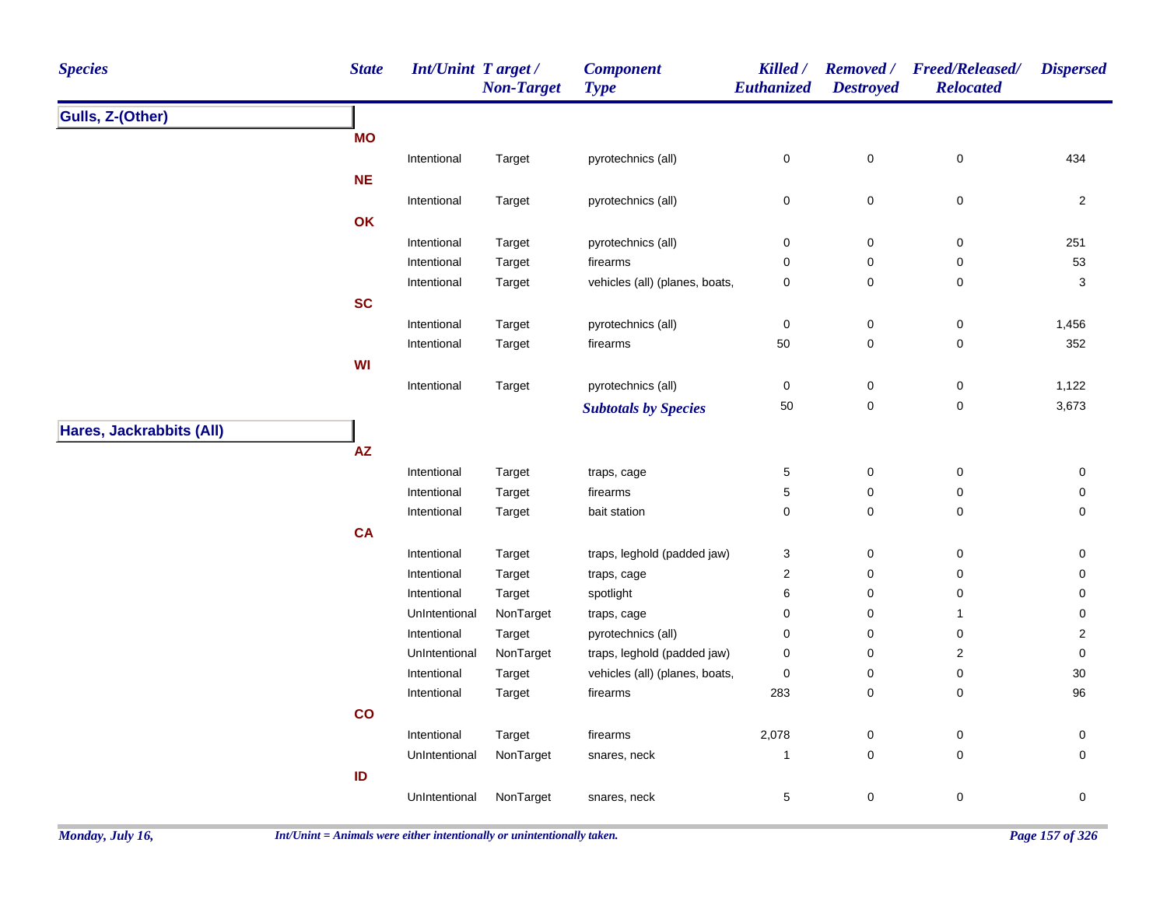| <b>Species</b>           | <b>State</b>           | Int/Unint Target / | <b>Non-Target</b> | <b>Component</b><br><b>Type</b> | Killed /<br>Euthanized | <b>Destroyed</b> | Removed / Freed/Released/<br><b>Relocated</b> | <b>Dispersed</b> |
|--------------------------|------------------------|--------------------|-------------------|---------------------------------|------------------------|------------------|-----------------------------------------------|------------------|
| Gulls, Z-(Other)         |                        |                    |                   |                                 |                        |                  |                                               |                  |
|                          | <b>MO</b>              |                    |                   |                                 |                        |                  |                                               |                  |
|                          |                        | Intentional        | Target            | pyrotechnics (all)              | $\pmb{0}$              | $\pmb{0}$        | $\pmb{0}$                                     | 434              |
|                          | <b>NE</b>              |                    |                   |                                 |                        |                  |                                               |                  |
|                          |                        | Intentional        | Target            | pyrotechnics (all)              | $\pmb{0}$              | $\pmb{0}$        | $\pmb{0}$                                     | $\overline{2}$   |
|                          | OK                     |                    |                   |                                 |                        |                  |                                               |                  |
|                          |                        | Intentional        | Target            | pyrotechnics (all)              | $\pmb{0}$              | $\pmb{0}$        | $\pmb{0}$                                     | 251              |
|                          |                        | Intentional        | Target            | firearms                        | $\mathbf 0$            | 0                | 0                                             | 53               |
|                          |                        | Intentional        | Target            | vehicles (all) (planes, boats,  | $\mathbf 0$            | 0                | 0                                             | 3                |
|                          | <b>SC</b>              |                    |                   |                                 |                        |                  |                                               |                  |
|                          |                        | Intentional        | Target            | pyrotechnics (all)              | $\mathbf 0$            | $\pmb{0}$        | 0                                             | 1,456            |
|                          |                        | Intentional        | Target            | firearms                        | 50                     | $\pmb{0}$        | 0                                             | 352              |
|                          | WI                     |                    |                   |                                 |                        |                  |                                               |                  |
|                          |                        | Intentional        | Target            | pyrotechnics (all)              | $\mathbf 0$            | $\pmb{0}$        | $\pmb{0}$                                     | 1,122            |
|                          |                        |                    |                   | <b>Subtotals by Species</b>     | 50                     | 0                | $\pmb{0}$                                     | 3,673            |
| Hares, Jackrabbits (All) |                        |                    |                   |                                 |                        |                  |                                               |                  |
|                          | $\mathsf{A}\mathsf{Z}$ |                    |                   |                                 |                        |                  |                                               |                  |
|                          |                        | Intentional        | Target            | traps, cage                     | $\mathbf{5}$           | $\pmb{0}$        | $\pmb{0}$                                     | 0                |
|                          |                        | Intentional        | Target            | firearms                        | $\mathbf 5$            | 0                | $\pmb{0}$                                     | 0                |
|                          |                        | Intentional        | Target            | bait station                    | $\mathbf 0$            | 0                | 0                                             | 0                |
|                          | CA                     |                    |                   |                                 |                        |                  |                                               |                  |
|                          |                        | Intentional        | Target            | traps, leghold (padded jaw)     | 3                      | 0                | 0                                             | 0                |
|                          |                        | Intentional        | Target            | traps, cage                     | $\overline{2}$         | 0                | 0                                             | 0                |
|                          |                        | Intentional        | Target            | spotlight                       | 6                      | 0                | 0                                             | 0                |
|                          |                        | UnIntentional      | NonTarget         | traps, cage                     | $\mathbf 0$            | 0                | $\mathbf{1}$                                  | 0                |
|                          |                        | Intentional        | Target            | pyrotechnics (all)              | 0                      | 0                | 0                                             | $\overline{2}$   |
|                          |                        | UnIntentional      | NonTarget         | traps, leghold (padded jaw)     | $\mathbf 0$            | 0                | $\overline{\mathbf{c}}$                       | $\pmb{0}$        |
|                          |                        | Intentional        | Target            | vehicles (all) (planes, boats,  | $\pmb{0}$              | 0                | 0                                             | $30\,$           |
|                          |                        | Intentional        | Target            | firearms                        | 283                    | 0                | $\mathbf 0$                                   | 96               |
|                          | $\mathsf{co}$          |                    |                   |                                 |                        |                  |                                               |                  |
|                          |                        | Intentional        | Target            | firearms                        | 2,078                  | $\pmb{0}$        | $\pmb{0}$                                     | 0                |
|                          |                        | UnIntentional      | NonTarget         | snares, neck                    | $\mathbf{1}$           | 0                | 0                                             | 0                |
|                          | ID                     |                    |                   |                                 |                        |                  |                                               |                  |
|                          |                        | UnIntentional      | NonTarget         | snares, neck                    | $\mathbf 5$            | 0                | $\pmb{0}$                                     | 0                |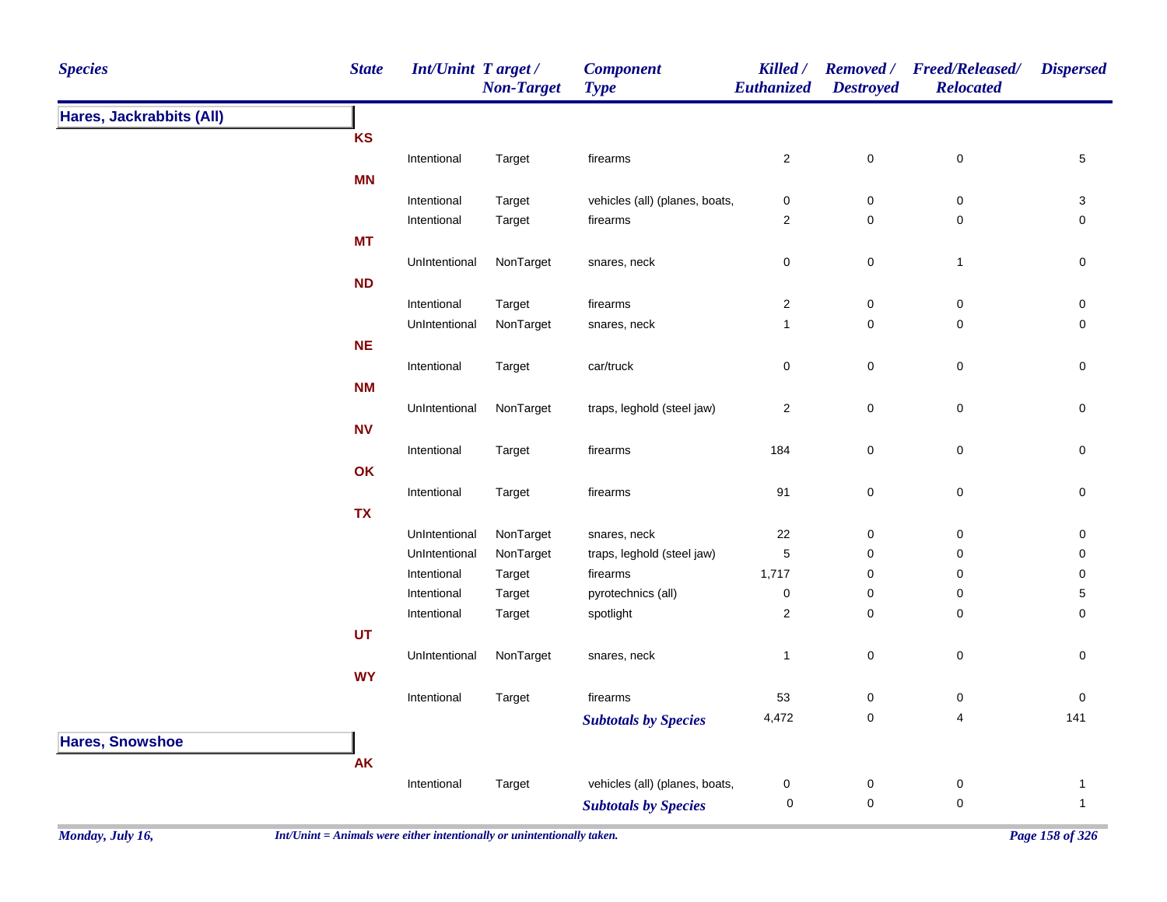| <b>Species</b>           | <b>State</b>   | Int/Unint Target / | <b>Non-Target</b> | <b>Component</b><br><b>Type</b> | Killed /<br>Euthanized | <b>Removed</b> /<br><b>Destroyed</b> | Freed/Released/<br><b>Relocated</b> | <b>Dispersed</b> |
|--------------------------|----------------|--------------------|-------------------|---------------------------------|------------------------|--------------------------------------|-------------------------------------|------------------|
| Hares, Jackrabbits (All) |                |                    |                   |                                 |                        |                                      |                                     |                  |
|                          | KS             |                    |                   |                                 |                        |                                      |                                     |                  |
|                          |                | Intentional        | Target            | firearms                        | $\sqrt{2}$             | $\pmb{0}$                            | $\pmb{0}$                           | 5                |
|                          | MN             |                    |                   |                                 |                        |                                      |                                     |                  |
|                          |                | Intentional        | Target            | vehicles (all) (planes, boats,  | $\pmb{0}$              | $\pmb{0}$                            | $\pmb{0}$                           | 3                |
|                          |                | Intentional        | Target            | firearms                        | $\sqrt{2}$             | $\pmb{0}$                            | $\pmb{0}$                           | 0                |
|                          | <b>MT</b>      |                    |                   |                                 |                        |                                      |                                     |                  |
|                          |                | UnIntentional      | NonTarget         | snares, neck                    | $\mathsf 0$            | $\pmb{0}$                            | $\mathbf{1}$                        | 0                |
|                          | ND             |                    |                   |                                 |                        |                                      |                                     |                  |
|                          |                | Intentional        | Target            | firearms                        | $\mathbf{2}$           | $\pmb{0}$                            | $\pmb{0}$                           | $\pmb{0}$        |
|                          |                | UnIntentional      | NonTarget         | snares, neck                    | $\mathbf{1}$           | $\pmb{0}$                            | $\mathsf 0$                         | $\pmb{0}$        |
|                          | <b>NE</b>      |                    |                   |                                 |                        |                                      |                                     |                  |
|                          |                | Intentional        | Target            | car/truck                       | $\pmb{0}$              | $\pmb{0}$                            | $\pmb{0}$                           | $\pmb{0}$        |
|                          | <b>NM</b>      |                    |                   |                                 |                        |                                      |                                     |                  |
|                          |                | UnIntentional      | NonTarget         | traps, leghold (steel jaw)      | $\overline{c}$         | $\pmb{0}$                            | 0                                   | $\pmb{0}$        |
|                          | N <sub>V</sub> |                    |                   |                                 |                        |                                      |                                     |                  |
|                          |                | Intentional        | Target            | firearms                        | 184                    | $\pmb{0}$                            | $\mathbf 0$                         | $\mathbf 0$      |
|                          | OK             |                    |                   |                                 |                        |                                      |                                     |                  |
|                          |                | Intentional        | Target            | firearms                        | 91                     | $\pmb{0}$                            | $\mathbf 0$                         | $\pmb{0}$        |
|                          | <b>TX</b>      |                    |                   |                                 |                        |                                      |                                     |                  |
|                          |                | UnIntentional      | NonTarget         | snares, neck                    | 22                     | $\pmb{0}$                            | $\pmb{0}$                           | 0                |
|                          |                | UnIntentional      | NonTarget         | traps, leghold (steel jaw)      | $\mathbf 5$            | $\pmb{0}$                            | 0                                   | 0                |
|                          |                | Intentional        | Target            | firearms                        | 1,717                  | $\mathbf 0$                          | 0                                   | 0                |
|                          |                | Intentional        | Target            | pyrotechnics (all)              | $\pmb{0}$              | $\mathbf 0$                          | 0                                   | 5                |
|                          |                | Intentional        | Target            | spotlight                       | $\sqrt{2}$             | $\pmb{0}$                            | $\mathsf 0$                         | 0                |
|                          | UT             |                    |                   |                                 |                        |                                      |                                     |                  |
|                          |                | UnIntentional      | NonTarget         | snares, neck                    | $\mathbf{1}$           | $\pmb{0}$                            | 0                                   | 0                |
|                          | <b>WY</b>      |                    |                   |                                 |                        |                                      |                                     |                  |
|                          |                | Intentional        | Target            | firearms                        | 53                     | $\pmb{0}$                            | 0                                   | $\pmb{0}$        |
|                          |                |                    |                   | <b>Subtotals by Species</b>     | 4,472                  | $\pmb{0}$                            | 4                                   | 141              |
| <b>Hares, Snowshoe</b>   |                |                    |                   |                                 |                        |                                      |                                     |                  |
|                          | AK             |                    |                   |                                 |                        |                                      |                                     |                  |
|                          |                | Intentional        | Target            | vehicles (all) (planes, boats,  | $\pmb{0}$              | $\pmb{0}$                            | 0                                   | $\mathbf{1}$     |
|                          |                |                    |                   | <b>Subtotals by Species</b>     | 0                      | $\pmb{0}$                            | $\mathsf 0$                         | $\mathbf{1}$     |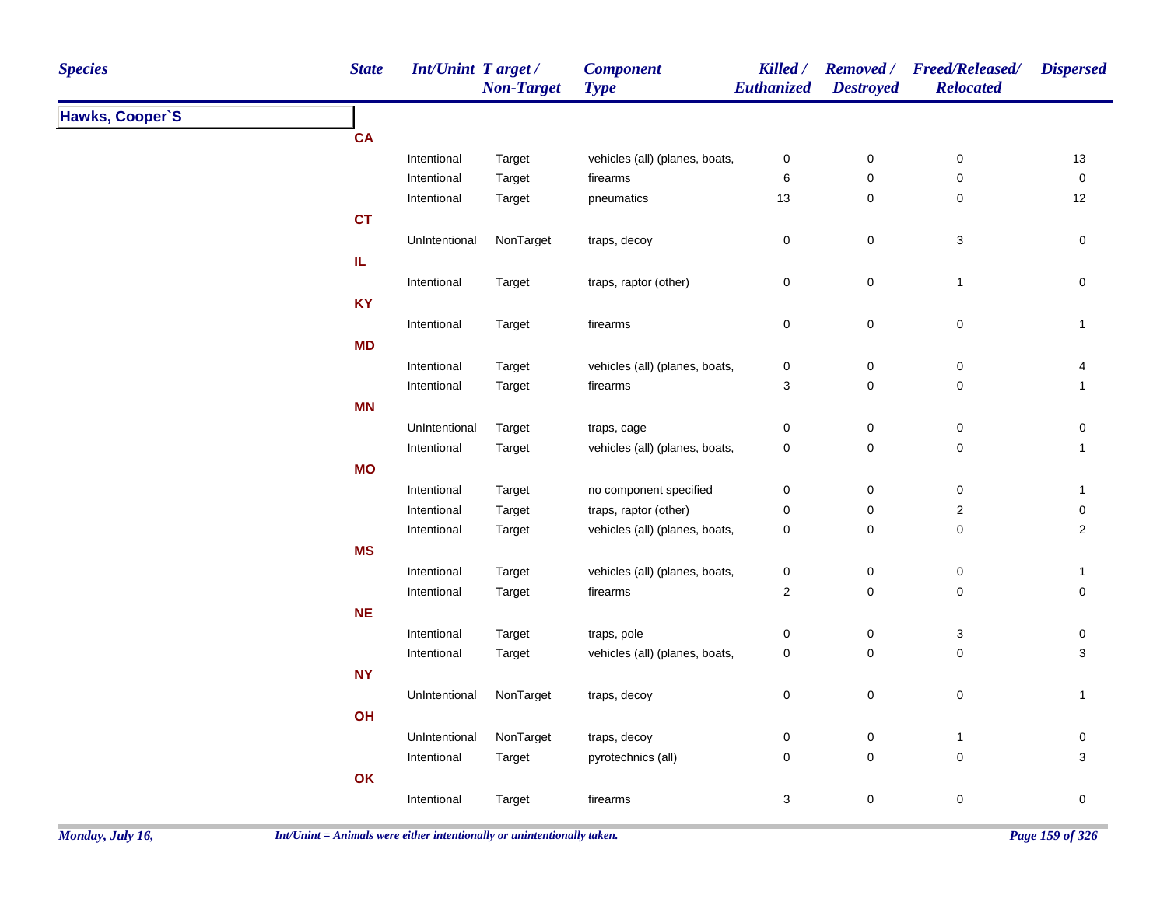| <b>Species</b>  | <b>State</b> | <b>Int/Unint Target/</b> | <b>Non-Target</b> | <b>Component</b><br><b>Type</b> | Killed /<br>Euthanized  | <b>Destroyed</b> | Removed / Freed/Released/<br><b>Relocated</b> | <b>Dispersed</b> |
|-----------------|--------------|--------------------------|-------------------|---------------------------------|-------------------------|------------------|-----------------------------------------------|------------------|
| Hawks, Cooper'S |              |                          |                   |                                 |                         |                  |                                               |                  |
|                 | CA           |                          |                   |                                 |                         |                  |                                               |                  |
|                 |              | Intentional              | Target            | vehicles (all) (planes, boats,  | $\pmb{0}$               | $\pmb{0}$        | $\pmb{0}$                                     | 13               |
|                 |              | Intentional              | Target            | firearms                        | 6                       | $\pmb{0}$        | $\mathsf 0$                                   | $\pmb{0}$        |
|                 |              | Intentional              | Target            | pneumatics                      | 13                      | $\mathbf 0$      | 0                                             | 12               |
|                 | <b>CT</b>    |                          |                   |                                 |                         |                  |                                               |                  |
|                 |              | UnIntentional            | NonTarget         | traps, decoy                    | $\pmb{0}$               | $\mathbf 0$      | 3                                             | $\pmb{0}$        |
|                 | IL           |                          |                   |                                 |                         |                  |                                               |                  |
|                 |              | Intentional              | Target            | traps, raptor (other)           | 0                       | $\mathbf 0$      | $\mathbf{1}$                                  | 0                |
|                 | <b>KY</b>    |                          |                   |                                 |                         |                  |                                               |                  |
|                 |              | Intentional              | Target            | firearms                        | $\pmb{0}$               | $\mathsf 0$      | 0                                             | $\overline{1}$   |
|                 | <b>MD</b>    |                          |                   |                                 |                         |                  |                                               |                  |
|                 |              | Intentional              | Target            | vehicles (all) (planes, boats,  | $\pmb{0}$               | $\pmb{0}$        | $\pmb{0}$                                     | 4                |
|                 |              | Intentional              | Target            | firearms                        | 3                       | $\mathsf 0$      | $\pmb{0}$                                     | $\mathbf{1}$     |
|                 | <b>MN</b>    |                          |                   |                                 |                         |                  |                                               |                  |
|                 |              | UnIntentional            | Target            | traps, cage                     | $\pmb{0}$               | $\mathbf 0$      | 0                                             | 0                |
|                 |              | Intentional              | Target            | vehicles (all) (planes, boats,  | 0                       | $\mathbf 0$      | 0                                             | $\mathbf{1}$     |
|                 | <b>MO</b>    |                          |                   |                                 |                         |                  |                                               |                  |
|                 |              | Intentional              | Target            | no component specified          | $\pmb{0}$               | $\mathsf 0$      | $\pmb{0}$                                     | $\mathbf{1}$     |
|                 |              | Intentional              | Target            | traps, raptor (other)           | $\pmb{0}$               | $\pmb{0}$        | $\boldsymbol{2}$                              | $\pmb{0}$        |
|                 |              | Intentional              | Target            | vehicles (all) (planes, boats,  | 0                       | $\mathbf 0$      | $\mathsf 0$                                   | $\boldsymbol{2}$ |
|                 | <b>MS</b>    |                          |                   |                                 |                         |                  |                                               |                  |
|                 |              | Intentional              | Target            | vehicles (all) (planes, boats,  | $\pmb{0}$               | $\mathbf 0$      | 0                                             | $\mathbf{1}$     |
|                 |              | Intentional              | Target            | firearms                        | $\overline{\mathbf{c}}$ | $\mathsf 0$      | 0                                             | $\pmb{0}$        |
|                 | NE           |                          |                   |                                 |                         |                  |                                               |                  |
|                 |              | Intentional              | Target            | traps, pole                     | 0                       | $\pmb{0}$        | 3                                             | $\pmb{0}$        |
|                 |              | Intentional              | Target            | vehicles (all) (planes, boats,  | 0                       | $\mathsf 0$      | $\mathsf 0$                                   | $\mathbf{3}$     |
|                 | <b>NY</b>    |                          |                   |                                 |                         |                  |                                               |                  |
|                 |              | UnIntentional            | NonTarget         | traps, decoy                    | $\pmb{0}$               | $\pmb{0}$        | $\mathbf 0$                                   | $\overline{1}$   |
|                 | OH           |                          |                   |                                 |                         |                  |                                               |                  |
|                 |              | UnIntentional            | NonTarget         | traps, decoy                    | $\pmb{0}$               | $\mathbf 0$      | $\mathbf{1}$                                  | $\boldsymbol{0}$ |
|                 |              | Intentional              | Target            | pyrotechnics (all)              | 0                       | $\mathsf 0$      | $\pmb{0}$                                     | 3                |
|                 | OK           |                          |                   |                                 |                         |                  |                                               |                  |
|                 |              | Intentional              | Target            | firearms                        | 3                       | $\mathbf 0$      | 0                                             | 0                |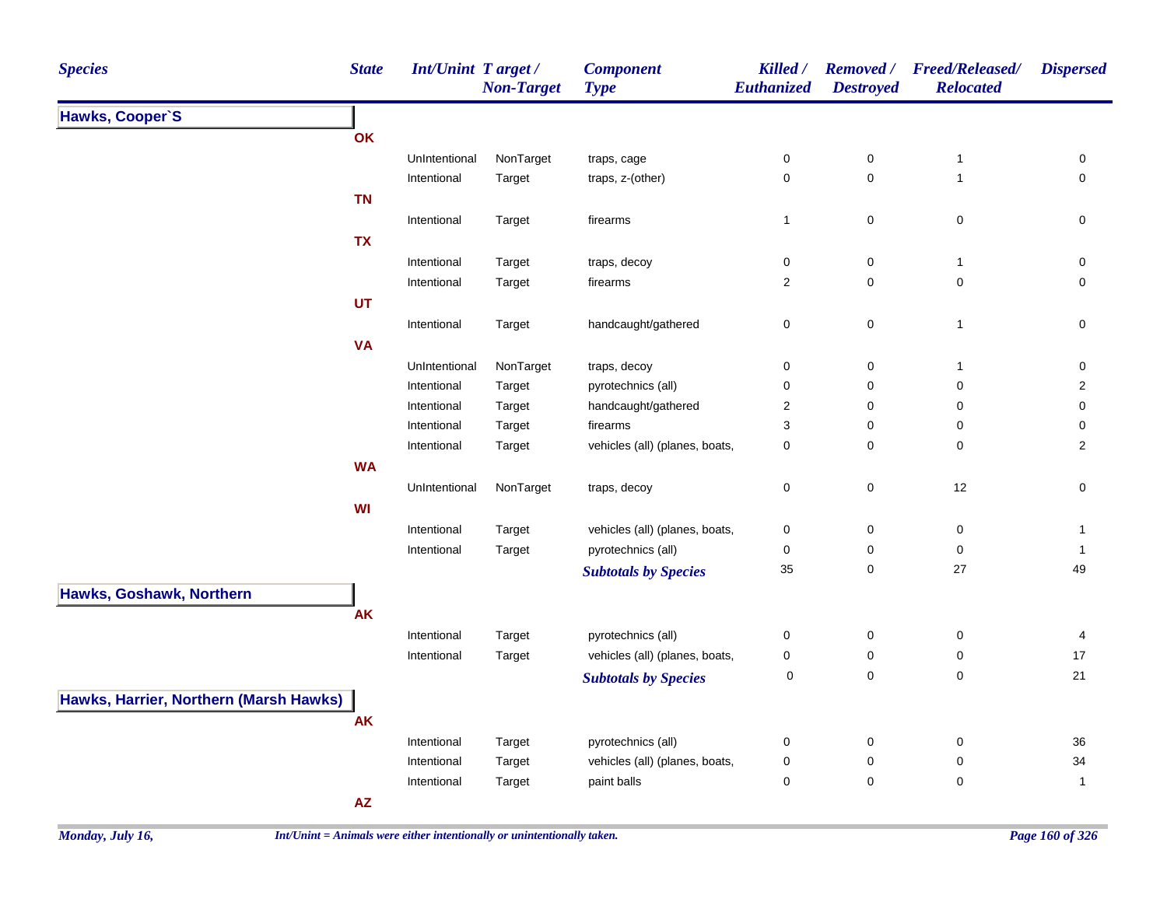| <b>Species</b>                         | <b>State</b>           | <b>Int/Unint Target/</b> | <b>Non-Target</b> | <b>Component</b><br><b>Type</b> | Killed /<br>Euthanized    | <b>Removed</b> /<br><b>Destroyed</b> | <b>Freed/Released/</b><br><b>Relocated</b> | <b>Dispersed</b> |
|----------------------------------------|------------------------|--------------------------|-------------------|---------------------------------|---------------------------|--------------------------------------|--------------------------------------------|------------------|
| Hawks, Cooper'S                        |                        |                          |                   |                                 |                           |                                      |                                            |                  |
|                                        | OK                     |                          |                   |                                 |                           |                                      |                                            |                  |
|                                        |                        | UnIntentional            | NonTarget         | traps, cage                     | $\mathbf 0$               | $\pmb{0}$                            | $\mathbf{1}$                               | 0                |
|                                        |                        | Intentional              | Target            | traps, z-(other)                | $\pmb{0}$                 | $\pmb{0}$                            | $\mathbf{1}$                               | 0                |
|                                        | <b>TN</b>              |                          |                   |                                 |                           |                                      |                                            |                  |
|                                        |                        | Intentional              | Target            | firearms                        | $\mathbf{1}$              | 0                                    | 0                                          | 0                |
|                                        | <b>TX</b>              |                          |                   |                                 |                           |                                      |                                            |                  |
|                                        |                        | Intentional              | Target            | traps, decoy                    | $\mathbf 0$               | 0                                    | $\mathbf{1}$                               | 0                |
|                                        |                        | Intentional              | Target            | firearms                        | $\boldsymbol{2}$          | $\mathsf 0$                          | 0                                          | $\mathbf 0$      |
|                                        | <b>UT</b>              |                          |                   |                                 |                           |                                      |                                            |                  |
|                                        |                        | Intentional              | Target            | handcaught/gathered             | 0                         | 0                                    | $\mathbf{1}$                               | 0                |
|                                        | <b>VA</b>              |                          |                   |                                 |                           |                                      |                                            |                  |
|                                        |                        | UnIntentional            | NonTarget         | traps, decoy                    | $\mathbf 0$               | $\pmb{0}$                            | $\mathbf{1}$                               | $\pmb{0}$        |
|                                        |                        | Intentional              | Target            | pyrotechnics (all)              | 0                         | $\pmb{0}$                            | 0                                          | $\overline{2}$   |
|                                        |                        | Intentional              | Target            | handcaught/gathered             | 2                         | 0                                    | 0                                          | 0                |
|                                        |                        | Intentional              | Target            | firearms                        | $\ensuremath{\mathsf{3}}$ | 0                                    | 0                                          | 0                |
|                                        |                        | Intentional              | Target            | vehicles (all) (planes, boats,  | $\pmb{0}$                 | 0                                    | 0                                          | $\overline{c}$   |
|                                        | <b>WA</b>              |                          |                   |                                 |                           |                                      |                                            |                  |
|                                        |                        | UnIntentional            | NonTarget         | traps, decoy                    | $\mathbf 0$               | 0                                    | 12                                         | $\pmb{0}$        |
|                                        | WI                     |                          |                   |                                 |                           |                                      |                                            |                  |
|                                        |                        | Intentional              | Target            | vehicles (all) (planes, boats,  | $\pmb{0}$                 | $\pmb{0}$                            | $\mathsf 0$                                | 1                |
|                                        |                        | Intentional              | Target            | pyrotechnics (all)              | $\pmb{0}$                 | $\pmb{0}$                            | $\pmb{0}$                                  | $\mathbf{1}$     |
|                                        |                        |                          |                   | <b>Subtotals by Species</b>     | 35                        | 0                                    | $27\,$                                     | 49               |
| Hawks, Goshawk, Northern               |                        |                          |                   |                                 |                           |                                      |                                            |                  |
|                                        | <b>AK</b>              |                          |                   |                                 |                           |                                      |                                            |                  |
|                                        |                        | Intentional              | Target            | pyrotechnics (all)              | 0                         | $\pmb{0}$                            | $\pmb{0}$                                  | 4                |
|                                        |                        | Intentional              | Target            | vehicles (all) (planes, boats,  | 0                         | 0                                    | 0                                          | 17               |
|                                        |                        |                          |                   | <b>Subtotals by Species</b>     | 0                         | 0                                    | $\pmb{0}$                                  | 21               |
| Hawks, Harrier, Northern (Marsh Hawks) |                        |                          |                   |                                 |                           |                                      |                                            |                  |
|                                        | <b>AK</b>              |                          |                   |                                 |                           |                                      |                                            |                  |
|                                        |                        | Intentional              | Target            | pyrotechnics (all)              | 0                         | 0                                    | 0                                          | 36               |
|                                        |                        | Intentional              | Target            | vehicles (all) (planes, boats,  | $\pmb{0}$                 | $\pmb{0}$                            | $\pmb{0}$                                  | 34               |
|                                        |                        | Intentional              | Target            | paint balls                     | $\mathbf 0$               | $\pmb{0}$                            | $\pmb{0}$                                  | $\mathbf{1}$     |
|                                        | $\mathsf{A}\mathsf{Z}$ |                          |                   |                                 |                           |                                      |                                            |                  |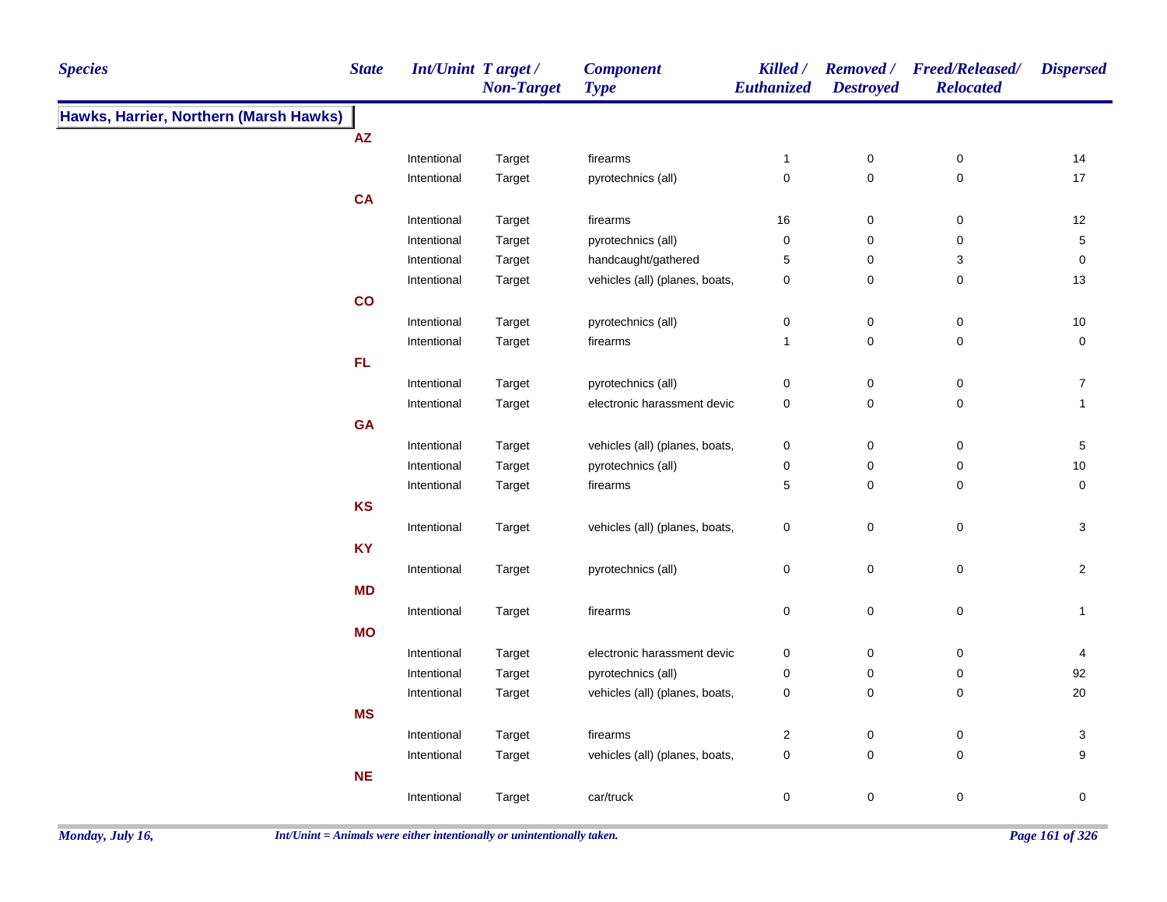| <b>Species</b>                         | <b>State</b>  | Int/Unint Target/ | <b>Non-Target</b> | <b>Component</b><br><b>Type</b> | Killed /<br>Euthanized | <b>Destroyed</b> | Removed / Freed/Released/<br><b>Relocated</b> | <b>Dispersed</b> |
|----------------------------------------|---------------|-------------------|-------------------|---------------------------------|------------------------|------------------|-----------------------------------------------|------------------|
| Hawks, Harrier, Northern (Marsh Hawks) |               |                   |                   |                                 |                        |                  |                                               |                  |
|                                        | ${\sf AZ}$    |                   |                   |                                 |                        |                  |                                               |                  |
|                                        |               | Intentional       | Target            | firearms                        | $\mathbf{1}$           | $\pmb{0}$        | $\pmb{0}$                                     | 14               |
|                                        |               | Intentional       | Target            | pyrotechnics (all)              | $\pmb{0}$              | $\mathbf 0$      | $\mathsf 0$                                   | 17               |
|                                        | <b>CA</b>     |                   |                   |                                 |                        |                  |                                               |                  |
|                                        |               | Intentional       | Target            | firearms                        | 16                     | 0                | 0                                             | 12               |
|                                        |               | Intentional       | Target            | pyrotechnics (all)              | $\pmb{0}$              | $\pmb{0}$        | $\mathbf 0$                                   | $\mathbf 5$      |
|                                        |               | Intentional       | Target            | handcaught/gathered             | $\sqrt{5}$             | 0                | 3                                             | $\pmb{0}$        |
|                                        |               | Intentional       | Target            | vehicles (all) (planes, boats,  | $\pmb{0}$              | $\pmb{0}$        | 0                                             | $13$             |
|                                        | $\mathbf{co}$ |                   |                   |                                 |                        |                  |                                               |                  |
|                                        |               | Intentional       | Target            | pyrotechnics (all)              | $\pmb{0}$              | $\pmb{0}$        | $\pmb{0}$                                     | $10$             |
|                                        |               | Intentional       | Target            | firearms                        | $\mathbf{1}$           | $\pmb{0}$        | 0                                             | $\pmb{0}$        |
|                                        | FL.           |                   |                   |                                 |                        |                  |                                               |                  |
|                                        |               | Intentional       | Target            | pyrotechnics (all)              | $\mathbf 0$            | $\pmb{0}$        | $\pmb{0}$                                     | $\overline{7}$   |
|                                        |               | Intentional       | Target            | electronic harassment devic     | $\pmb{0}$              | $\pmb{0}$        | $\pmb{0}$                                     | $\mathbf{1}$     |
|                                        | <b>GA</b>     |                   |                   |                                 |                        |                  |                                               |                  |
|                                        |               | Intentional       | Target            | vehicles (all) (planes, boats,  | $\pmb{0}$              | $\pmb{0}$        | 0                                             | $\,$ 5 $\,$      |
|                                        |               | Intentional       | Target            | pyrotechnics (all)              | $\mathbf 0$            | $\pmb{0}$        | 0                                             | $10$             |
|                                        |               | Intentional       | Target            | firearms                        | 5                      | 0                | 0                                             | 0                |
|                                        | KS            |                   |                   |                                 |                        |                  |                                               |                  |
|                                        |               | Intentional       | Target            | vehicles (all) (planes, boats,  | $\pmb{0}$              | $\pmb{0}$        | $\pmb{0}$                                     | $\mathbf{3}$     |
|                                        | <b>KY</b>     |                   |                   |                                 |                        |                  |                                               |                  |
|                                        |               | Intentional       | Target            | pyrotechnics (all)              | $\pmb{0}$              | $\mathbf 0$      | $\pmb{0}$                                     | $\overline{2}$   |
|                                        | <b>MD</b>     |                   |                   |                                 |                        |                  |                                               |                  |
|                                        |               | Intentional       | Target            | firearms                        | $\pmb{0}$              | $\pmb{0}$        | $\pmb{0}$                                     | $\mathbf{1}$     |
|                                        | <b>MO</b>     |                   |                   |                                 |                        |                  |                                               |                  |
|                                        |               | Intentional       | Target            | electronic harassment devic     | $\mathbf 0$            | 0                | 0                                             | 4                |
|                                        |               | Intentional       | Target            | pyrotechnics (all)              | 0                      | $\pmb{0}$        | $\pmb{0}$                                     | 92               |
|                                        |               | Intentional       | Target            | vehicles (all) (planes, boats,  | $\pmb{0}$              | $\pmb{0}$        | 0                                             | 20               |
|                                        | <b>MS</b>     |                   |                   |                                 |                        |                  |                                               |                  |
|                                        |               | Intentional       | Target            | firearms                        | $\overline{2}$         | $\pmb{0}$        | 0                                             | 3                |
|                                        |               | Intentional       | Target            | vehicles (all) (planes, boats,  | $\mathbf 0$            | $\mathbf 0$      | 0                                             | 9                |
|                                        | <b>NE</b>     |                   |                   |                                 |                        |                  |                                               |                  |
|                                        |               | Intentional       | Target            | car/truck                       | $\pmb{0}$              | $\mathbf 0$      | $\pmb{0}$                                     | 0                |
|                                        |               |                   |                   |                                 |                        |                  |                                               |                  |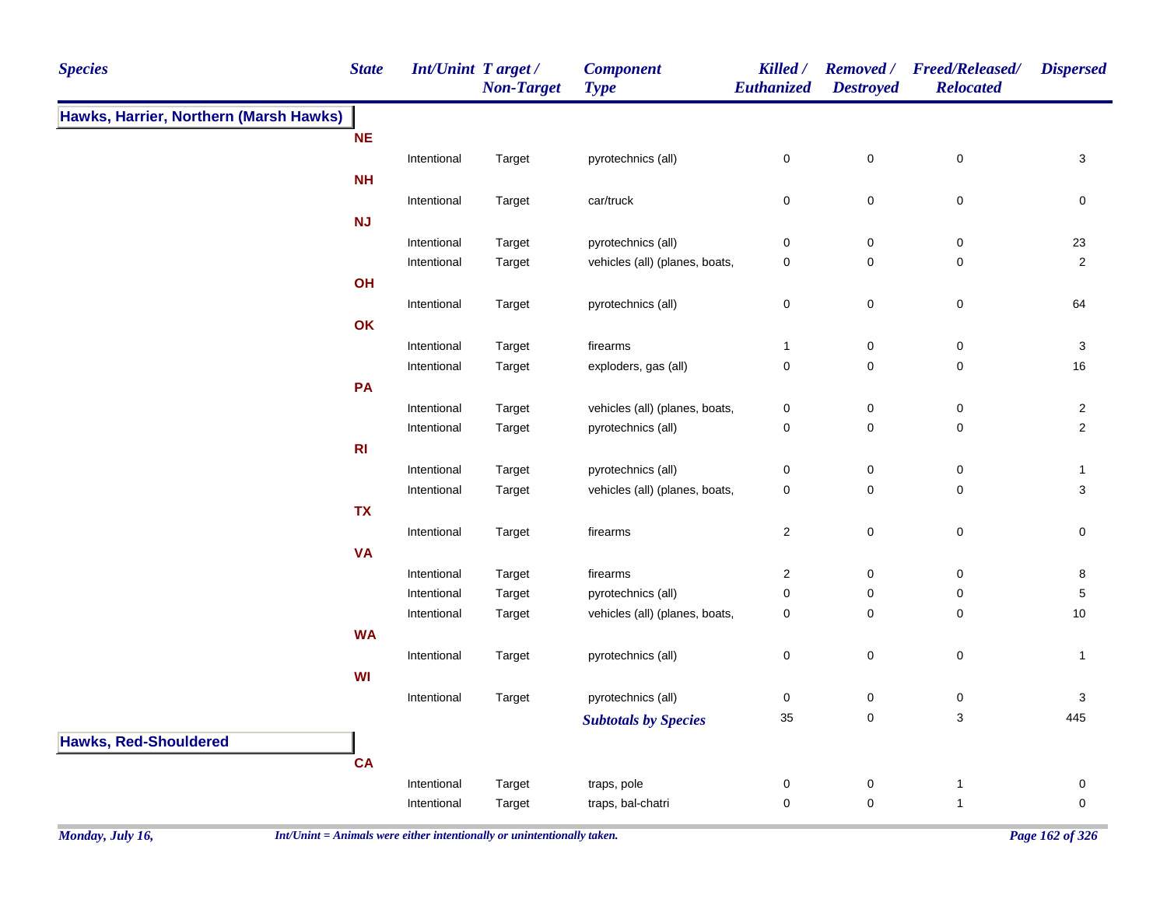| <b>Species</b>                         | <b>State</b>   | <b>Int/Unint Target/</b> | <b>Non-Target</b> | <b>Component</b><br><b>Type</b>                      | Killed /<br>Euthanized | <b>Destroyed</b> | Removed / Freed/Released/<br><b>Relocated</b> | <b>Dispersed</b>          |
|----------------------------------------|----------------|--------------------------|-------------------|------------------------------------------------------|------------------------|------------------|-----------------------------------------------|---------------------------|
| Hawks, Harrier, Northern (Marsh Hawks) |                |                          |                   |                                                      |                        |                  |                                               |                           |
|                                        | <b>NE</b>      |                          |                   |                                                      |                        |                  |                                               |                           |
|                                        |                | Intentional              | Target            | pyrotechnics (all)                                   | 0                      | $\mathbf 0$      | $\mathbf 0$                                   | 3                         |
|                                        | <b>NH</b>      |                          |                   |                                                      |                        |                  |                                               |                           |
|                                        |                | Intentional              | Target            | car/truck                                            | 0                      | $\mathbf 0$      | $\pmb{0}$                                     | 0                         |
|                                        | <b>NJ</b>      |                          |                   |                                                      |                        |                  |                                               |                           |
|                                        |                | Intentional              | Target            | pyrotechnics (all)                                   | 0                      | 0                | 0                                             | 23                        |
|                                        |                | Intentional              | Target            | vehicles (all) (planes, boats,                       | 0                      | 0                | 0                                             | $\overline{c}$            |
|                                        | OH             |                          |                   |                                                      |                        |                  |                                               |                           |
|                                        |                | Intentional              | Target            | pyrotechnics (all)                                   | 0                      | $\pmb{0}$        | $\mathbf 0$                                   | 64                        |
|                                        | OK             |                          |                   |                                                      |                        |                  |                                               |                           |
|                                        |                | Intentional              | Target            | firearms                                             | 1                      | $\pmb{0}$        | $\mathbf 0$                                   | $\ensuremath{\mathsf{3}}$ |
|                                        |                | Intentional              | Target            | exploders, gas (all)                                 | 0                      | 0                | 0                                             | 16                        |
|                                        | PA             |                          |                   |                                                      |                        |                  |                                               |                           |
|                                        |                | Intentional              | Target            | vehicles (all) (planes, boats,                       | 0                      | 0                | $\mathbf 0$                                   | $\overline{a}$            |
|                                        |                | Intentional              | Target            | pyrotechnics (all)                                   | 0                      | $\pmb{0}$        | $\mathbf 0$                                   | $\overline{2}$            |
|                                        | R <sub>l</sub> |                          |                   |                                                      |                        |                  |                                               |                           |
|                                        |                | Intentional              | Target            | pyrotechnics (all)                                   | 0                      | $\pmb{0}$        | $\mathbf 0$                                   | 1                         |
|                                        |                | Intentional              | Target            | vehicles (all) (planes, boats,                       | 0                      | 0                | 0                                             | 3                         |
|                                        | <b>TX</b>      |                          |                   |                                                      |                        |                  |                                               |                           |
|                                        |                | Intentional              | Target            | firearms                                             | $\boldsymbol{2}$       | $\mathbf 0$      | $\mathbf 0$                                   | 0                         |
|                                        | <b>VA</b>      |                          |                   |                                                      |                        |                  |                                               |                           |
|                                        |                | Intentional              | Target            | firearms                                             | 2                      | $\mathbf 0$      | 0                                             | 8                         |
|                                        |                | Intentional              | Target            | pyrotechnics (all)<br>vehicles (all) (planes, boats, | 0<br>0                 | 0<br>0           | 0<br>0                                        | 5<br>10                   |
|                                        | <b>WA</b>      | Intentional              | Target            |                                                      |                        |                  |                                               |                           |
|                                        |                | Intentional              |                   | pyrotechnics (all)                                   | 0                      | $\mathbf 0$      | $\mathbf 0$                                   | $\mathbf{1}$              |
|                                        | <b>WI</b>      |                          | Target            |                                                      |                        |                  |                                               |                           |
|                                        |                | Intentional              |                   | pyrotechnics (all)                                   | 0                      | $\mathbf 0$      | 0                                             | 3                         |
|                                        |                |                          | Target            |                                                      | $35\,$                 | 0                | 3                                             | 445                       |
|                                        |                |                          |                   | <b>Subtotals by Species</b>                          |                        |                  |                                               |                           |
| <b>Hawks, Red-Shouldered</b>           |                |                          |                   |                                                      |                        |                  |                                               |                           |
|                                        | <b>CA</b>      |                          |                   |                                                      |                        |                  |                                               |                           |
|                                        |                | Intentional              | Target            | traps, pole                                          | 0                      | $\mathbf 0$      | $\overline{1}$                                | 0                         |
|                                        |                | Intentional              | Target            | traps, bal-chatri                                    | 0                      | 0                | $\overline{1}$                                | 0                         |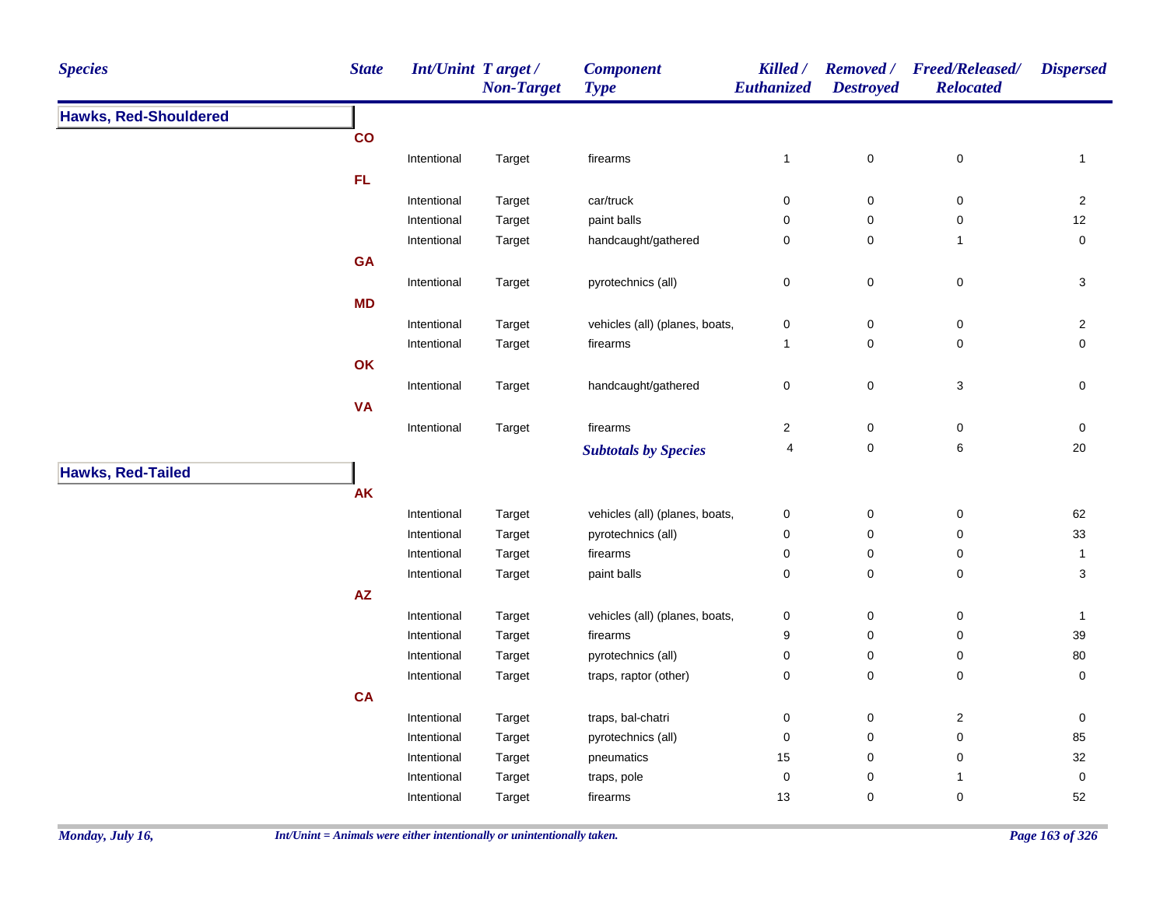| <b>Species</b>               | <b>State</b>  | <b>Int/Unint Target/</b> | <b>Non-Target</b> | <b>Component</b><br><b>Type</b> | Killed /<br>Euthanized | <b>Destroyed</b> | Removed / Freed/Released/<br><b>Relocated</b> | <b>Dispersed</b>    |
|------------------------------|---------------|--------------------------|-------------------|---------------------------------|------------------------|------------------|-----------------------------------------------|---------------------|
| <b>Hawks, Red-Shouldered</b> |               |                          |                   |                                 |                        |                  |                                               |                     |
|                              | $\mathbf{co}$ |                          |                   |                                 |                        |                  |                                               |                     |
|                              |               | Intentional              | Target            | firearms                        | $\mathbf{1}$           | $\pmb{0}$        | $\mathsf 0$                                   | $\mathbf{1}$        |
|                              | <b>FL</b>     |                          |                   |                                 |                        |                  |                                               |                     |
|                              |               | Intentional              | Target            | car/truck                       | $\pmb{0}$              | $\mathbf 0$      | $\pmb{0}$                                     | $\overline{2}$      |
|                              |               | Intentional              | Target            | paint balls                     | $\mathbf 0$            | $\mathbf 0$      | 0                                             | 12                  |
|                              |               | Intentional              | Target            | handcaught/gathered             | $\pmb{0}$              | $\pmb{0}$        | $\overline{1}$                                | $\mathbf 0$         |
|                              | <b>GA</b>     |                          |                   |                                 |                        |                  |                                               |                     |
|                              |               | Intentional              | Target            | pyrotechnics (all)              | $\pmb{0}$              | $\pmb{0}$        | $\pmb{0}$                                     | $\mathbf{3}$        |
|                              | <b>MD</b>     |                          |                   |                                 |                        |                  |                                               |                     |
|                              |               | Intentional              | Target            | vehicles (all) (planes, boats,  | $\pmb{0}$              | $\mathbf 0$      | 0                                             | $\overline{2}$      |
|                              |               | Intentional              | Target            | firearms                        | $\mathbf{1}$           | $\mathbf 0$      | 0                                             | $\mathbf 0$         |
|                              | OK            |                          |                   |                                 |                        |                  |                                               |                     |
|                              |               | Intentional              | Target            | handcaught/gathered             | $\pmb{0}$              | $\pmb{0}$        | 3                                             | $\mathsf{O}\xspace$ |
|                              | <b>VA</b>     |                          |                   |                                 |                        |                  |                                               |                     |
|                              |               | Intentional              | Target            | firearms                        | $\boldsymbol{2}$       | $\pmb{0}$        | $\pmb{0}$                                     | $\pmb{0}$           |
|                              |               |                          |                   | <b>Subtotals by Species</b>     | 4                      | $\pmb{0}$        | 6                                             | 20                  |
|                              |               |                          |                   |                                 |                        |                  |                                               |                     |
| <b>Hawks, Red-Tailed</b>     |               |                          |                   |                                 |                        |                  |                                               |                     |
|                              | <b>AK</b>     |                          |                   |                                 |                        |                  |                                               |                     |
|                              |               | Intentional              | Target            | vehicles (all) (planes, boats,  | 0                      | $\mathbf 0$      | 0                                             | 62                  |
|                              |               | Intentional              | Target            | pyrotechnics (all)              | $\pmb{0}$              | $\pmb{0}$        | 0                                             | 33                  |
|                              |               | Intentional              | Target            | firearms                        | $\mathbf 0$            | $\mathbf 0$      | 0                                             | $\mathbf{1}$        |
|                              |               | Intentional              | Target            | paint balls                     | $\mathbf 0$            | $\mathbf 0$      | 0                                             | 3                   |
|                              | ${\sf AZ}$    |                          |                   |                                 |                        |                  |                                               |                     |
|                              |               | Intentional              | Target            | vehicles (all) (planes, boats,  | $\pmb{0}$              | $\mathbf 0$      | 0                                             | $\mathbf{1}$        |
|                              |               | Intentional              | Target            | firearms                        | 9                      | $\mathbf 0$      | 0                                             | 39                  |
|                              |               | Intentional              | Target            | pyrotechnics (all)              | $\pmb{0}$              | 0                | 0                                             | 80                  |
|                              |               | Intentional              | Target            | traps, raptor (other)           | $\pmb{0}$              | $\mathsf 0$      | 0                                             | $\pmb{0}$           |
|                              | <b>CA</b>     |                          |                   |                                 |                        |                  |                                               |                     |
|                              |               | Intentional              | Target            | traps, bal-chatri               | $\mathbf 0$            | $\mathbf 0$      | $\overline{c}$                                | 0                   |
|                              |               | Intentional              | Target            | pyrotechnics (all)              | $\mathbf 0$            | $\pmb{0}$        | $\pmb{0}$                                     | 85                  |
|                              |               | Intentional              | Target            | pneumatics                      | 15                     | $\mathbf 0$      | $\mathbf 0$                                   | 32                  |
|                              |               | Intentional              | Target            | traps, pole                     | $\pmb{0}$              | $\pmb{0}$        | $\mathbf{1}$                                  | 0                   |
|                              |               | Intentional              | Target            | firearms                        | 13                     | $\pmb{0}$        | $\pmb{0}$                                     | 52                  |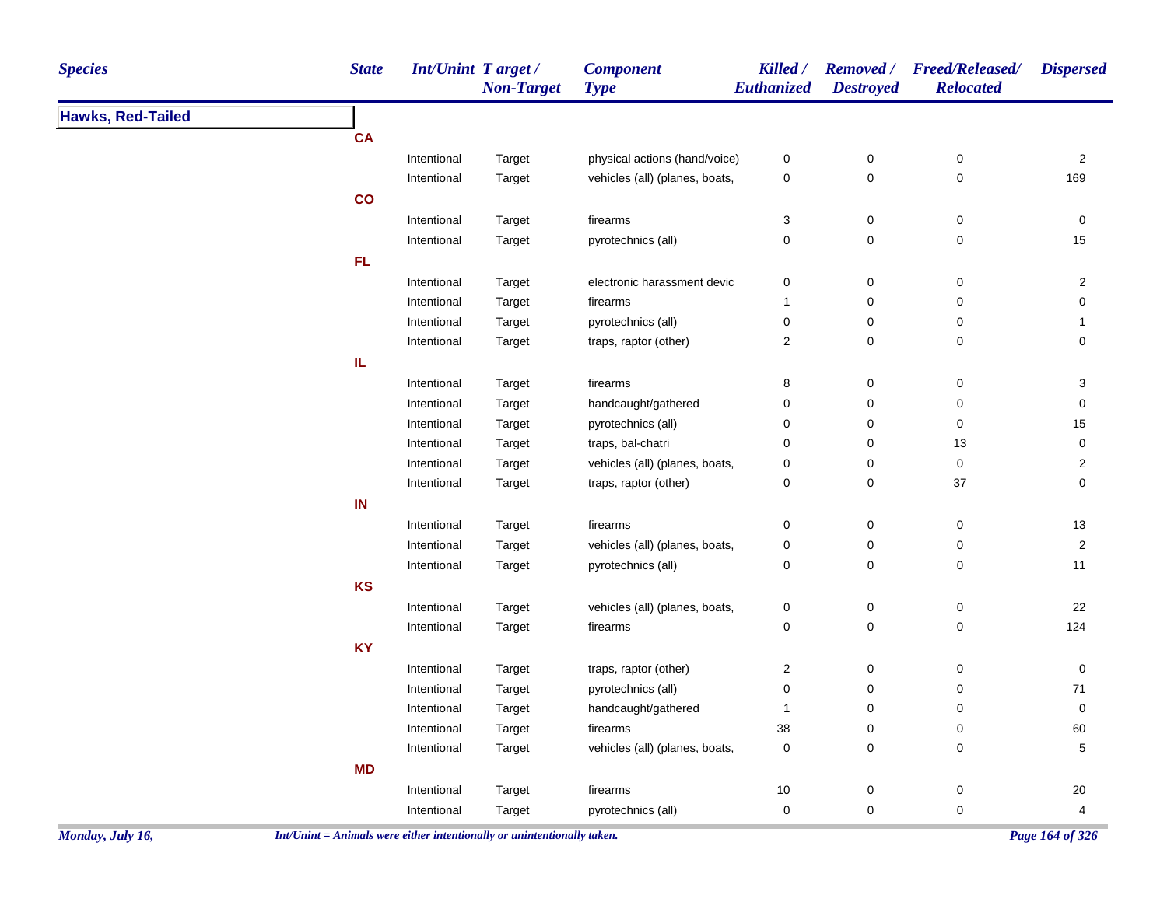| <b>Species</b>           | <b>State</b>  | Int/Unint Target / | <b>Non-Target</b> | <b>Component</b><br><b>Type</b> | Killed /<br>Euthanized  | <b>Destroyed</b> | Removed / Freed/Released/<br><b>Relocated</b> | <b>Dispersed</b>        |
|--------------------------|---------------|--------------------|-------------------|---------------------------------|-------------------------|------------------|-----------------------------------------------|-------------------------|
| <b>Hawks, Red-Tailed</b> |               |                    |                   |                                 |                         |                  |                                               |                         |
|                          | <b>CA</b>     |                    |                   |                                 |                         |                  |                                               |                         |
|                          |               | Intentional        | Target            | physical actions (hand/voice)   | $\pmb{0}$               | $\pmb{0}$        | $\pmb{0}$                                     | $\overline{2}$          |
|                          |               | Intentional        | Target            | vehicles (all) (planes, boats,  | 0                       | $\mathsf 0$      | $\pmb{0}$                                     | 169                     |
|                          | $\mathsf{co}$ |                    |                   |                                 |                         |                  |                                               |                         |
|                          |               | Intentional        | Target            | firearms                        | 3                       | $\mathsf 0$      | $\pmb{0}$                                     | 0                       |
|                          |               | Intentional        | Target            | pyrotechnics (all)              | 0                       | $\mathbf 0$      | $\pmb{0}$                                     | 15                      |
|                          | FL.           |                    |                   |                                 |                         |                  |                                               |                         |
|                          |               | Intentional        | Target            | electronic harassment devic     | 0                       | $\pmb{0}$        | $\boldsymbol{0}$                              | $\overline{2}$          |
|                          |               | Intentional        | Target            | firearms                        | $\mathbf{1}$            | $\mathsf 0$      | $\pmb{0}$                                     | $\mathbf 0$             |
|                          |               | Intentional        | Target            | pyrotechnics (all)              | $\pmb{0}$               | $\mathsf 0$      | $\pmb{0}$                                     | $\mathbf{1}$            |
|                          |               | Intentional        | Target            | traps, raptor (other)           | $\overline{c}$          | 0                | $\pmb{0}$                                     | 0                       |
|                          | IL            |                    |                   |                                 |                         |                  |                                               |                         |
|                          |               | Intentional        | Target            | firearms                        | 8                       | $\pmb{0}$        | $\pmb{0}$                                     | $\sqrt{3}$              |
|                          |               | Intentional        | Target            | handcaught/gathered             | $\pmb{0}$               | $\mathsf 0$      | $\pmb{0}$                                     | $\mathbf 0$             |
|                          |               | Intentional        | Target            | pyrotechnics (all)              | $\pmb{0}$               | $\mathbf 0$      | $\pmb{0}$                                     | 15                      |
|                          |               | Intentional        | Target            | traps, bal-chatri               | 0                       | 0                | 13                                            | $\pmb{0}$               |
|                          |               | Intentional        | Target            | vehicles (all) (planes, boats,  | 0                       | $\mathbf 0$      | $\mathbf 0$                                   | $\overline{2}$          |
|                          |               | Intentional        | Target            | traps, raptor (other)           | 0                       | $\pmb{0}$        | 37                                            | $\mathbf 0$             |
|                          | IN            |                    |                   |                                 |                         |                  |                                               |                         |
|                          |               | Intentional        | Target            | firearms                        | 0                       | $\pmb{0}$        | 0                                             | 13                      |
|                          |               | Intentional        | Target            | vehicles (all) (planes, boats,  | 0                       | $\mathsf 0$      | $\mathsf 0$                                   | $\overline{2}$          |
|                          |               | Intentional        | Target            | pyrotechnics (all)              | 0                       | $\mathsf 0$      | $\pmb{0}$                                     | 11                      |
|                          | <b>KS</b>     |                    |                   |                                 |                         |                  |                                               |                         |
|                          |               | Intentional        | Target            | vehicles (all) (planes, boats,  | 0                       | 0                | 0                                             | 22                      |
|                          |               | Intentional        | Target            | firearms                        | 0                       | $\mathsf 0$      | $\pmb{0}$                                     | 124                     |
|                          | <b>KY</b>     |                    |                   |                                 |                         |                  |                                               |                         |
|                          |               | Intentional        | Target            | traps, raptor (other)           | $\overline{\mathbf{c}}$ | $\pmb{0}$        | $\pmb{0}$                                     | $\pmb{0}$               |
|                          |               | Intentional        | Target            | pyrotechnics (all)              | 0                       | $\mathbf 0$      | $\mathbf 0$                                   | $71$                    |
|                          |               | Intentional        | Target            | handcaught/gathered             | $\mathbf{1}$            | $\mathbf 0$      | 0                                             | $\mathbf 0$             |
|                          |               | Intentional        | Target            | firearms                        | 38                      | $\mathbf 0$      | 0                                             | 60                      |
|                          |               | Intentional        | Target            | vehicles (all) (planes, boats,  | $\mathbf 0$             | $\mathbf 0$      | 0                                             | 5                       |
|                          | <b>MD</b>     |                    |                   |                                 |                         |                  |                                               |                         |
|                          |               | Intentional        | Target            | firearms                        | 10                      | $\pmb{0}$        | $\pmb{0}$                                     | $20\,$                  |
|                          |               | Intentional        | Target            | pyrotechnics (all)              | $\mathbf 0$             | $\mathbf 0$      | $\pmb{0}$                                     | $\overline{\mathbf{4}}$ |
|                          |               |                    |                   |                                 |                         |                  |                                               |                         |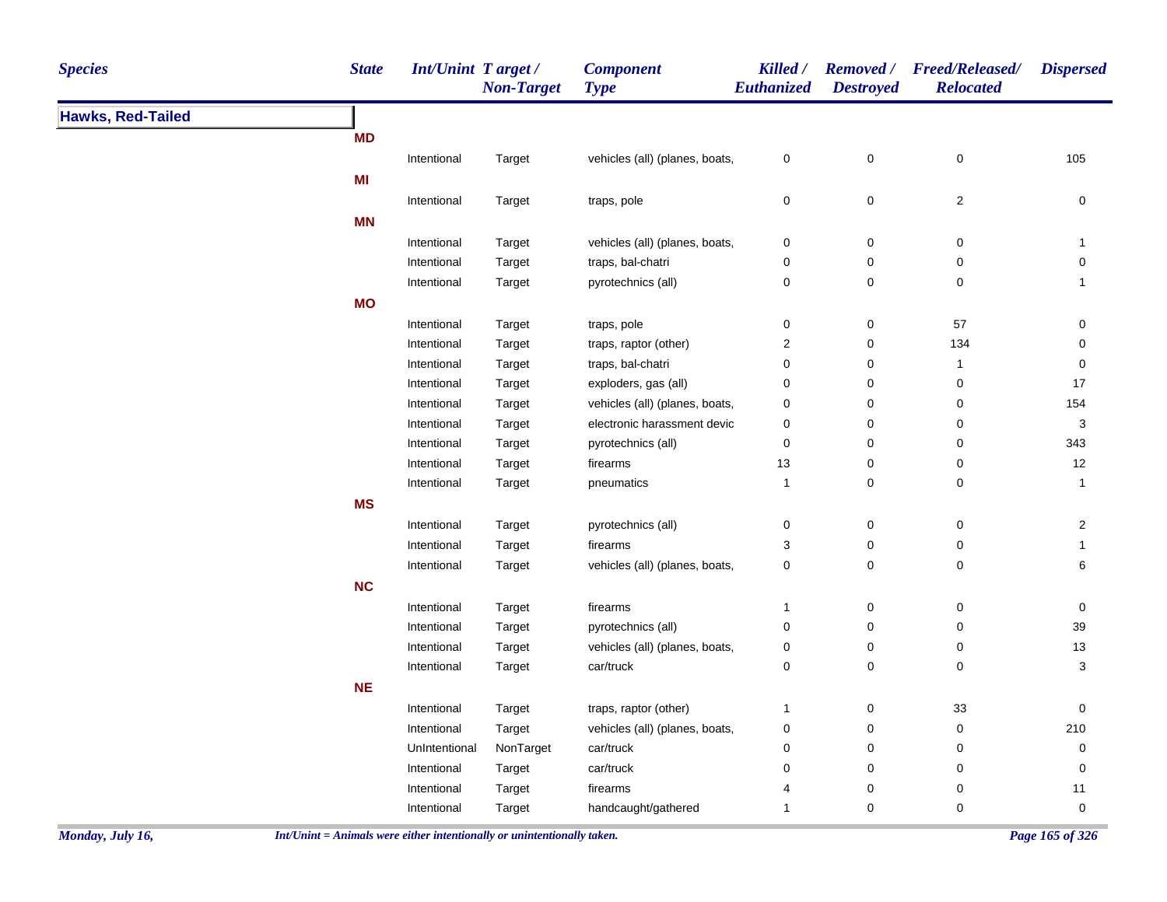| <b>Species</b>           | <b>State</b> | <b>Int/Unint Target/</b> | <b>Non-Target</b> | <b>Component</b><br><b>Type</b> | Killed /<br>Euthanized    | <b>Removed</b> /<br><b>Destroyed</b> | <b>Freed/Released/</b><br><b>Relocated</b> | <b>Dispersed</b> |
|--------------------------|--------------|--------------------------|-------------------|---------------------------------|---------------------------|--------------------------------------|--------------------------------------------|------------------|
| <b>Hawks, Red-Tailed</b> |              |                          |                   |                                 |                           |                                      |                                            |                  |
|                          | <b>MD</b>    |                          |                   |                                 |                           |                                      |                                            |                  |
|                          |              | Intentional              | Target            | vehicles (all) (planes, boats,  | $\pmb{0}$                 | $\mathsf 0$                          | $\mathsf 0$                                | 105              |
|                          | MI           |                          |                   |                                 |                           |                                      |                                            |                  |
|                          |              | Intentional              | Target            | traps, pole                     | 0                         | 0                                    | $\mathbf 2$                                | $\pmb{0}$        |
|                          | <b>MN</b>    |                          |                   |                                 |                           |                                      |                                            |                  |
|                          |              | Intentional              | Target            | vehicles (all) (planes, boats,  | $\pmb{0}$                 | $\pmb{0}$                            | $\pmb{0}$                                  | 1                |
|                          |              | Intentional              | Target            | traps, bal-chatri               | 0                         | 0                                    | 0                                          | $\mathsf 0$      |
|                          |              | Intentional              | Target            | pyrotechnics (all)              | 0                         | 0                                    | 0                                          | $\mathbf{1}$     |
|                          | <b>MO</b>    |                          |                   |                                 |                           |                                      |                                            |                  |
|                          |              | Intentional              | Target            | traps, pole                     | $\mathbf 0$               | $\pmb{0}$                            | 57                                         | 0                |
|                          |              | Intentional              | Target            | traps, raptor (other)           | $\boldsymbol{2}$          | 0                                    | 134                                        | $\mathbf 0$      |
|                          |              | Intentional              | Target            | traps, bal-chatri               | $\pmb{0}$                 | 0                                    | $\mathbf{1}$                               | $\pmb{0}$        |
|                          |              | Intentional              | Target            | exploders, gas (all)            | $\pmb{0}$                 | $\pmb{0}$                            | 0                                          | 17               |
|                          |              | Intentional              | Target            | vehicles (all) (planes, boats,  | $\pmb{0}$                 | $\pmb{0}$                            | 0                                          | 154              |
|                          |              | Intentional              | Target            | electronic harassment devic     | $\pmb{0}$                 | $\pmb{0}$                            | $\pmb{0}$                                  | $\sqrt{3}$       |
|                          |              | Intentional              | Target            | pyrotechnics (all)              | 0                         | 0                                    | 0                                          | 343              |
|                          |              | Intentional              | Target            | firearms                        | 13                        | $\pmb{0}$                            | $\mathsf 0$                                | 12               |
|                          |              | Intentional              | Target            | pneumatics                      | $\mathbf{1}$              | $\pmb{0}$                            | $\mathsf 0$                                | $\mathbf{1}$     |
|                          | <b>MS</b>    |                          |                   |                                 |                           |                                      |                                            |                  |
|                          |              | Intentional              | Target            | pyrotechnics (all)              | 0                         | 0                                    | $\pmb{0}$                                  | $\overline{2}$   |
|                          |              | Intentional              | Target            | firearms                        | $\ensuremath{\mathsf{3}}$ | $\pmb{0}$                            | $\pmb{0}$                                  | $\mathbf{1}$     |
|                          |              | Intentional              | Target            | vehicles (all) (planes, boats,  | $\pmb{0}$                 | $\mathsf 0$                          | 0                                          | 6                |
|                          | NC           |                          |                   |                                 |                           |                                      |                                            |                  |
|                          |              | Intentional              | Target            | firearms                        | $\mathbf{1}$              | $\pmb{0}$                            | $\pmb{0}$                                  | 0                |
|                          |              | Intentional              | Target            | pyrotechnics (all)              | $\pmb{0}$                 | $\pmb{0}$                            | $\pmb{0}$                                  | 39               |
|                          |              | Intentional              | Target            | vehicles (all) (planes, boats,  | 0                         | 0                                    | 0                                          | 13               |
|                          |              | Intentional              | Target            | car/truck                       | $\pmb{0}$                 | $\mathsf 0$                          | $\pmb{0}$                                  | 3                |
|                          | <b>NE</b>    |                          |                   |                                 |                           |                                      |                                            |                  |
|                          |              | Intentional              | Target            | traps, raptor (other)           | $\mathbf{1}$              | 0                                    | $33\,$                                     | $\mathbf 0$      |
|                          |              | Intentional              | Target            | vehicles (all) (planes, boats,  | 0                         | $\pmb{0}$                            | 0                                          | 210              |
|                          |              | UnIntentional            | NonTarget         | car/truck                       | 0                         | $\pmb{0}$                            | $\pmb{0}$                                  | 0                |
|                          |              | Intentional              | Target            | car/truck                       | 0                         | $\mathbf 0$                          | 0                                          | 0                |
|                          |              | Intentional              | Target            | firearms                        | 4                         | $\pmb{0}$                            | 0                                          | $11$             |
|                          |              | Intentional              | Target            | handcaught/gathered             | $\mathbf{1}$              | $\mathbf 0$                          | 0                                          | $\mathbf 0$      |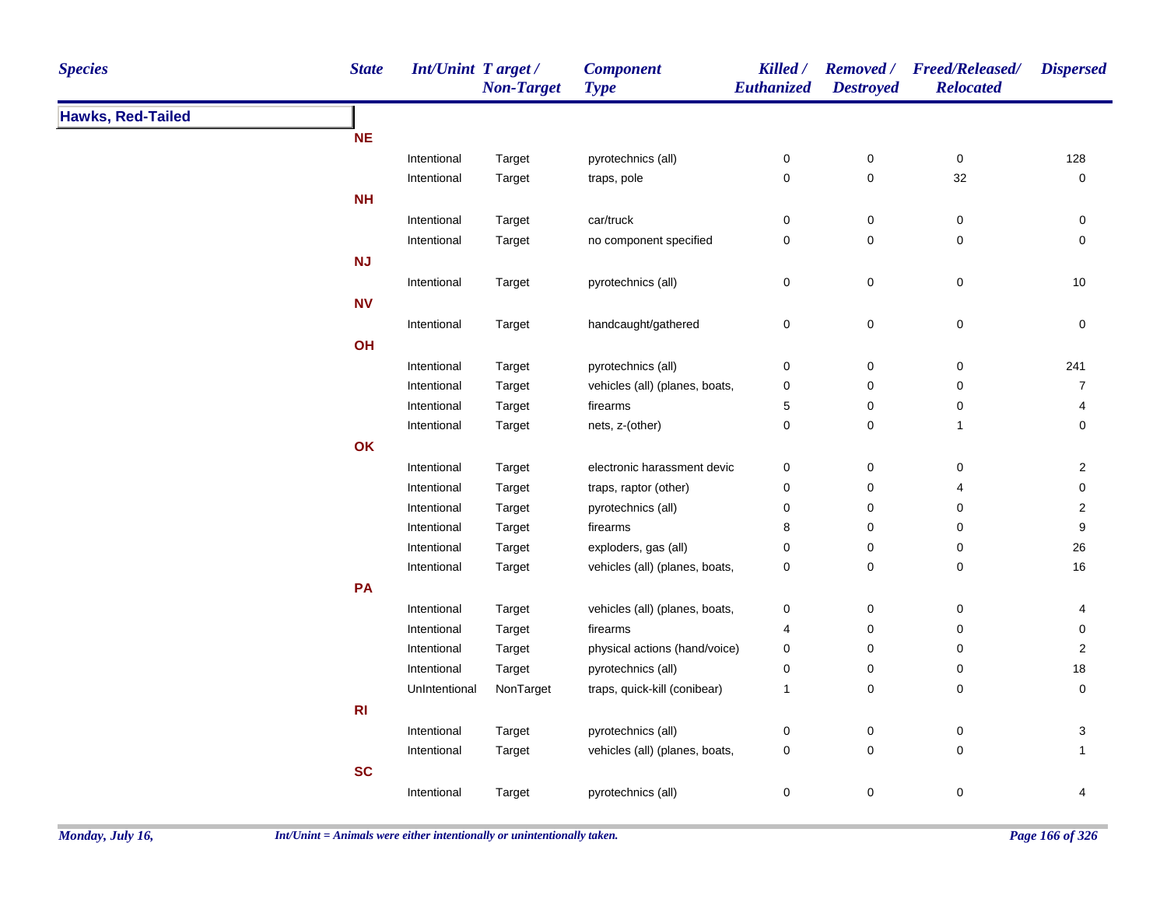| <b>Species</b>           | <b>State</b>   | Int/Unint Target/ | <b>Non-Target</b> | <b>Component</b><br><b>Type</b> | Killed /<br>Euthanized | <b>Destroyed</b> | Removed / Freed/Released/<br><b>Relocated</b> | <b>Dispersed</b>    |
|--------------------------|----------------|-------------------|-------------------|---------------------------------|------------------------|------------------|-----------------------------------------------|---------------------|
| <b>Hawks, Red-Tailed</b> |                |                   |                   |                                 |                        |                  |                                               |                     |
|                          | <b>NE</b>      |                   |                   |                                 |                        |                  |                                               |                     |
|                          |                | Intentional       | Target            | pyrotechnics (all)              | 0                      | $\pmb{0}$        | $\pmb{0}$                                     | 128                 |
|                          |                | Intentional       | Target            | traps, pole                     | 0                      | $\pmb{0}$        | 32                                            | $\pmb{0}$           |
|                          | <b>NH</b>      |                   |                   |                                 |                        |                  |                                               |                     |
|                          |                | Intentional       | Target            | car/truck                       | 0                      | $\pmb{0}$        | $\pmb{0}$                                     | 0                   |
|                          |                | Intentional       | Target            | no component specified          | 0                      | $\mathbf 0$      | 0                                             | $\mathbf 0$         |
|                          | <b>NJ</b>      |                   |                   |                                 |                        |                  |                                               |                     |
|                          |                | Intentional       | Target            | pyrotechnics (all)              | 0                      | $\mathbf 0$      | $\pmb{0}$                                     | 10                  |
|                          | <b>NV</b>      |                   |                   |                                 |                        |                  |                                               |                     |
|                          |                | Intentional       | Target            | handcaught/gathered             | 0                      | $\pmb{0}$        | $\pmb{0}$                                     | $\mathsf{O}\xspace$ |
|                          | OH             |                   |                   |                                 |                        |                  |                                               |                     |
|                          |                | Intentional       | Target            | pyrotechnics (all)              | 0                      | $\pmb{0}$        | $\pmb{0}$                                     | 241                 |
|                          |                | Intentional       | Target            | vehicles (all) (planes, boats,  | 0                      | 0                | 0                                             | $\overline{7}$      |
|                          |                | Intentional       | Target            | firearms                        | 5                      | 0                | 0                                             | 4                   |
|                          |                | Intentional       | Target            | nets, z-(other)                 | 0                      | 0                | $\mathbf{1}$                                  | 0                   |
|                          | OK             |                   |                   |                                 |                        |                  |                                               |                     |
|                          |                | Intentional       | Target            | electronic harassment devic     | 0                      | $\pmb{0}$        | $\pmb{0}$                                     | $\mathbf{2}$        |
|                          |                | Intentional       | Target            | traps, raptor (other)           | 0                      | 0                | 4                                             | 0                   |
|                          |                | Intentional       | Target            | pyrotechnics (all)              | 0                      | 0                | 0                                             | $\overline{2}$      |
|                          |                | Intentional       | Target            | firearms                        | 8                      | 0                | 0                                             | 9                   |
|                          |                | Intentional       | Target            | exploders, gas (all)            | 0                      | 0                | 0                                             | 26                  |
|                          |                | Intentional       | Target            | vehicles (all) (planes, boats,  | 0                      | 0                | 0                                             | 16                  |
|                          | PA             |                   |                   |                                 |                        |                  |                                               |                     |
|                          |                | Intentional       | Target            | vehicles (all) (planes, boats,  | 0                      | $\pmb{0}$        | 0                                             | 4                   |
|                          |                | Intentional       | Target            | firearms                        | 4                      | 0                | $\pmb{0}$                                     | $\mathsf{O}\xspace$ |
|                          |                | Intentional       | Target            | physical actions (hand/voice)   | 0                      | 0                | $\pmb{0}$                                     | $\sqrt{2}$          |
|                          |                | Intentional       | Target            | pyrotechnics (all)              | 0                      | 0                | 0                                             | 18                  |
|                          |                | UnIntentional     | NonTarget         | traps, quick-kill (conibear)    | $\mathbf{1}$           | 0                | $\pmb{0}$                                     | $\pmb{0}$           |
|                          | R <sub>l</sub> |                   |                   |                                 |                        |                  |                                               |                     |
|                          |                | Intentional       | Target            | pyrotechnics (all)              | 0                      | $\pmb{0}$        | $\pmb{0}$                                     | $\mathbf{3}$        |
|                          |                | Intentional       | Target            | vehicles (all) (planes, boats,  | 0                      | 0                | 0                                             | $\mathbf{1}$        |
|                          | <b>SC</b>      |                   |                   |                                 |                        |                  |                                               |                     |
|                          |                | Intentional       | Target            | pyrotechnics (all)              | 0                      | 0                | $\pmb{0}$                                     | 4                   |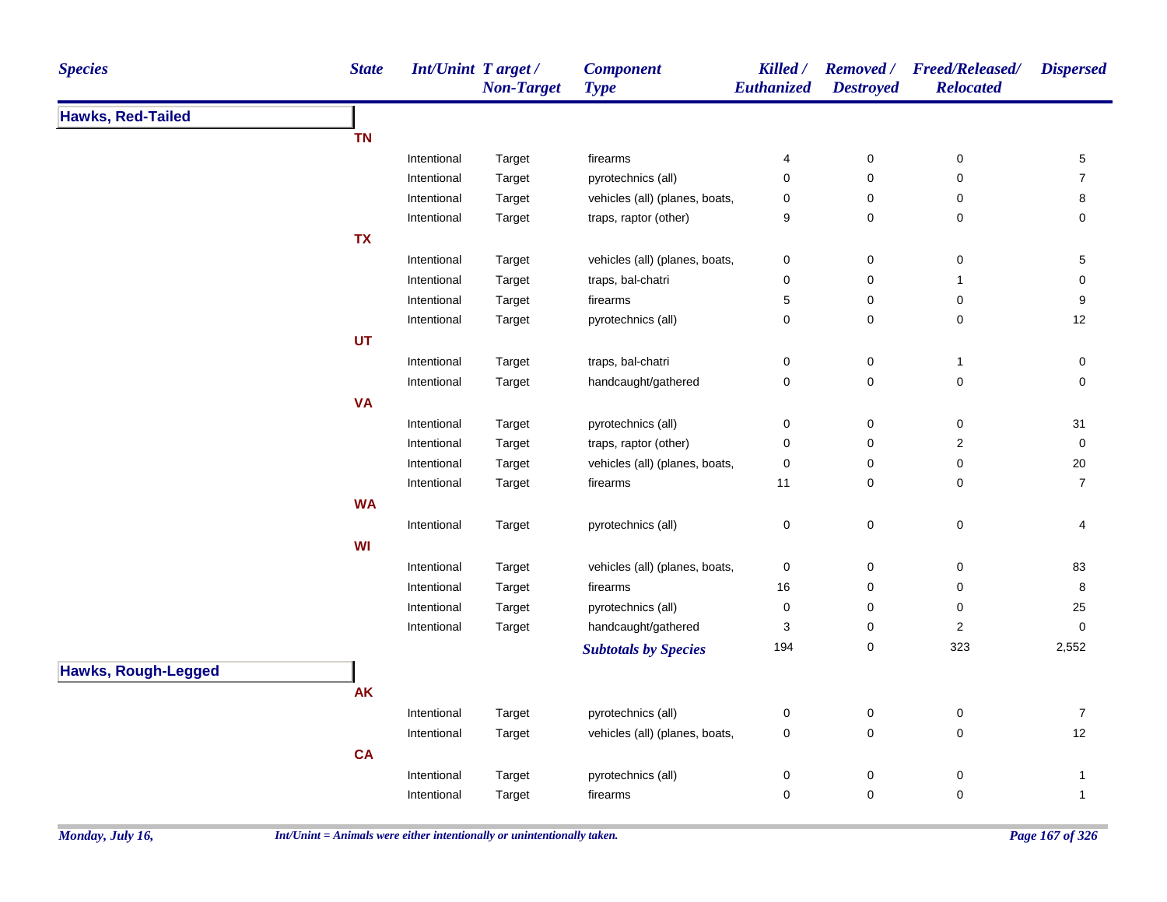| <b>Species</b>             | <b>State</b> |             | <b>Int/Unint Target/</b><br><b>Non-Target</b> | <b>Component</b><br><b>Type</b> | Killed /<br>Euthanized | <b>Destroyed</b> | Removed / Freed/Released/<br><b>Relocated</b> | <b>Dispersed</b>    |
|----------------------------|--------------|-------------|-----------------------------------------------|---------------------------------|------------------------|------------------|-----------------------------------------------|---------------------|
| <b>Hawks, Red-Tailed</b>   |              |             |                                               |                                 |                        |                  |                                               |                     |
|                            | <b>TN</b>    |             |                                               |                                 |                        |                  |                                               |                     |
|                            |              | Intentional | Target                                        | firearms                        | 4                      | $\pmb{0}$        | $\pmb{0}$                                     | 5                   |
|                            |              | Intentional | Target                                        | pyrotechnics (all)              | $\mathbf 0$            | 0                | 0                                             | $\overline{7}$      |
|                            |              | Intentional | Target                                        | vehicles (all) (planes, boats,  | $\mathbf 0$            | 0                | 0                                             | 8                   |
|                            |              | Intentional | Target                                        | traps, raptor (other)           | 9                      | 0                | $\mathbf 0$                                   | 0                   |
|                            | <b>TX</b>    |             |                                               |                                 |                        |                  |                                               |                     |
|                            |              | Intentional | Target                                        | vehicles (all) (planes, boats,  | $\pmb{0}$              | 0                | 0                                             | 5                   |
|                            |              | Intentional | Target                                        | traps, bal-chatri               | $\mathbf 0$            | 0                | 1                                             | 0                   |
|                            |              | Intentional | Target                                        | firearms                        | $\sqrt{5}$             | 0                | 0                                             | 9                   |
|                            |              | Intentional | Target                                        | pyrotechnics (all)              | $\mathbf 0$            | 0                | 0                                             | 12                  |
|                            | UT           |             |                                               |                                 |                        |                  |                                               |                     |
|                            |              | Intentional | Target                                        | traps, bal-chatri               | $\pmb{0}$              | 0                | $\mathbf{1}$                                  | $\mathsf{O}\xspace$ |
|                            |              | Intentional | Target                                        | handcaught/gathered             | $\pmb{0}$              | 0                | $\pmb{0}$                                     | 0                   |
|                            | <b>VA</b>    |             |                                               |                                 |                        |                  |                                               |                     |
|                            |              | Intentional | Target                                        | pyrotechnics (all)              | $\mathbf 0$            | 0                | 0                                             | 31                  |
|                            |              | Intentional | Target                                        | traps, raptor (other)           | $\mathbf 0$            | 0                | $\overline{\mathbf{c}}$                       | $\pmb{0}$           |
|                            |              | Intentional | Target                                        | vehicles (all) (planes, boats,  | $\mathbf 0$            | 0                | 0                                             | 20                  |
|                            |              | Intentional | Target                                        | firearms                        | 11                     | 0                | 0                                             | $\overline{7}$      |
|                            | <b>WA</b>    |             |                                               |                                 |                        |                  |                                               |                     |
|                            |              | Intentional | Target                                        | pyrotechnics (all)              | $\mathbf 0$            | 0                | 0                                             | 4                   |
|                            | WI           |             |                                               |                                 |                        |                  |                                               |                     |
|                            |              | Intentional | Target                                        | vehicles (all) (planes, boats,  | $\mathbf 0$            | 0                | 0                                             | 83                  |
|                            |              | Intentional | Target                                        | firearms                        | 16                     | 0                | 0                                             | 8                   |
|                            |              | Intentional | Target                                        | pyrotechnics (all)              | $\mathbf 0$            | 0                | 0                                             | 25                  |
|                            |              | Intentional | Target                                        | handcaught/gathered             | 3                      | 0                | $\mathbf 2$                                   | $\pmb{0}$           |
|                            |              |             |                                               | <b>Subtotals by Species</b>     | 194                    | 0                | 323                                           | 2,552               |
| <b>Hawks, Rough-Legged</b> |              |             |                                               |                                 |                        |                  |                                               |                     |
|                            | <b>AK</b>    |             |                                               |                                 |                        |                  |                                               |                     |
|                            |              | Intentional | Target                                        | pyrotechnics (all)              | 0                      | 0                | 0                                             | $\overline{7}$      |
|                            |              | Intentional | Target                                        | vehicles (all) (planes, boats,  | $\mathbf 0$            | 0                | $\mathbf 0$                                   | 12                  |
|                            | <b>CA</b>    |             |                                               |                                 |                        |                  |                                               |                     |
|                            |              | Intentional |                                               | pyrotechnics (all)              | $\pmb{0}$              | 0                | $\pmb{0}$                                     | 1                   |
|                            |              | Intentional | Target<br>Target                              | firearms                        | 0                      | 0                | 0                                             | $\mathbf{1}$        |
|                            |              |             |                                               |                                 |                        |                  |                                               |                     |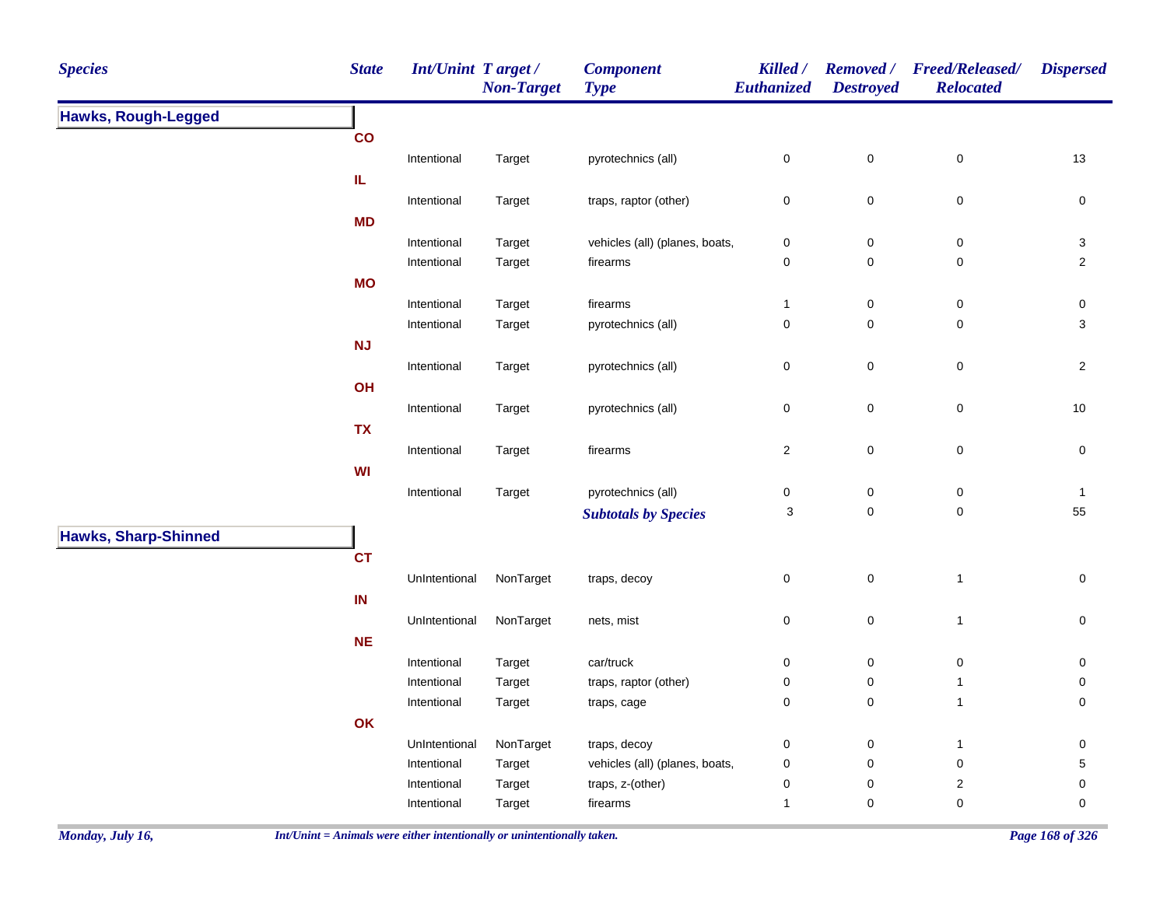| <b>Species</b>              | <b>State</b>  | <b>Int/Unint Target/</b> | <b>Non-Target</b> | <b>Component</b><br><b>Type</b> | Killed /<br>Euthanized | <b>Destroyed</b>    | Removed / Freed/Released/<br><b>Relocated</b> | <b>Dispersed</b>    |
|-----------------------------|---------------|--------------------------|-------------------|---------------------------------|------------------------|---------------------|-----------------------------------------------|---------------------|
| <b>Hawks, Rough-Legged</b>  |               |                          |                   |                                 |                        |                     |                                               |                     |
|                             | $\mathbf{co}$ |                          |                   |                                 |                        |                     |                                               |                     |
|                             |               | Intentional              | Target            | pyrotechnics (all)              | $\pmb{0}$              | $\pmb{0}$           | $\pmb{0}$                                     | 13                  |
|                             | IL.           |                          |                   |                                 |                        |                     |                                               |                     |
|                             |               | Intentional              | Target            | traps, raptor (other)           | $\pmb{0}$              | $\mathbf 0$         | $\pmb{0}$                                     | $\pmb{0}$           |
|                             | <b>MD</b>     |                          |                   |                                 |                        |                     |                                               |                     |
|                             |               | Intentional              | Target            | vehicles (all) (planes, boats,  | $\pmb{0}$              | $\pmb{0}$           | $\pmb{0}$                                     | $\sqrt{3}$          |
|                             |               | Intentional              | Target            | firearms                        | $\pmb{0}$              | $\mathsf{O}\xspace$ | $\pmb{0}$                                     | $\overline{2}$      |
|                             | <b>MO</b>     |                          |                   |                                 |                        |                     |                                               |                     |
|                             |               | Intentional              | Target            | firearms                        | $\mathbf{1}$           | $\mathbf 0$         | 0                                             | 0                   |
|                             |               | Intentional              | Target            | pyrotechnics (all)              | $\pmb{0}$              | $\mathsf{O}\xspace$ | $\pmb{0}$                                     | 3                   |
|                             | NJ            |                          |                   |                                 |                        |                     |                                               |                     |
|                             |               | Intentional              | Target            | pyrotechnics (all)              | $\pmb{0}$              | $\mathbf 0$         | $\mathsf 0$                                   | $\overline{2}$      |
|                             | OH            |                          |                   |                                 |                        |                     |                                               |                     |
|                             |               | Intentional              | Target            | pyrotechnics (all)              | $\pmb{0}$              | $\mathsf{O}\xspace$ | 0                                             | 10                  |
|                             | <b>TX</b>     |                          |                   |                                 |                        |                     |                                               |                     |
|                             |               | Intentional              | Target            | firearms                        | $\overline{c}$         | $\mathsf 0$         | $\pmb{0}$                                     | $\mathsf{O}\xspace$ |
|                             | <b>WI</b>     |                          |                   |                                 |                        |                     |                                               |                     |
|                             |               | Intentional              | Target            | pyrotechnics (all)              | $\pmb{0}$              | $\pmb{0}$           | 0                                             | $\mathbf{1}$        |
|                             |               |                          |                   | <b>Subtotals by Species</b>     | 3                      | $\mathsf{O}\xspace$ | $\pmb{0}$                                     | 55                  |
| <b>Hawks, Sharp-Shinned</b> |               |                          |                   |                                 |                        |                     |                                               |                     |
|                             | <b>CT</b>     |                          |                   |                                 |                        |                     |                                               |                     |
|                             |               | UnIntentional            | NonTarget         | traps, decoy                    | $\mathbf 0$            | $\mathsf{O}\xspace$ | $\mathbf{1}$                                  | 0                   |
|                             | IN            |                          |                   |                                 |                        |                     |                                               |                     |
|                             |               | UnIntentional            | NonTarget         | nets, mist                      | $\pmb{0}$              | $\pmb{0}$           | $\mathbf{1}$                                  | 0                   |
|                             | $NE$          |                          |                   |                                 |                        |                     |                                               |                     |
|                             |               | Intentional              | Target            | car/truck                       | $\mathbf 0$            | $\pmb{0}$           | $\pmb{0}$                                     | 0                   |
|                             |               | Intentional              | Target            | traps, raptor (other)           | $\pmb{0}$              | $\pmb{0}$           | $\overline{1}$                                | 0                   |
|                             |               | Intentional              | Target            | traps, cage                     | $\mathbf 0$            | $\mathsf{O}\xspace$ | $\overline{1}$                                | 0                   |
|                             | OK            |                          |                   |                                 |                        |                     |                                               |                     |
|                             |               | UnIntentional            | NonTarget         | traps, decoy                    | $\boldsymbol{0}$       | 0                   | $\mathbf{1}$                                  | 0                   |
|                             |               | Intentional              | Target            | vehicles (all) (planes, boats,  | $\pmb{0}$              | $\mathbf 0$         | $\mathsf 0$                                   | 5                   |
|                             |               | Intentional              | Target            | traps, z-(other)                | $\pmb{0}$              | $\pmb{0}$           | $\boldsymbol{2}$                              | 0                   |
|                             |               | Intentional              | Target            | firearms                        | $\mathbf{1}$           | $\pmb{0}$           | $\mathbf 0$                                   | 0                   |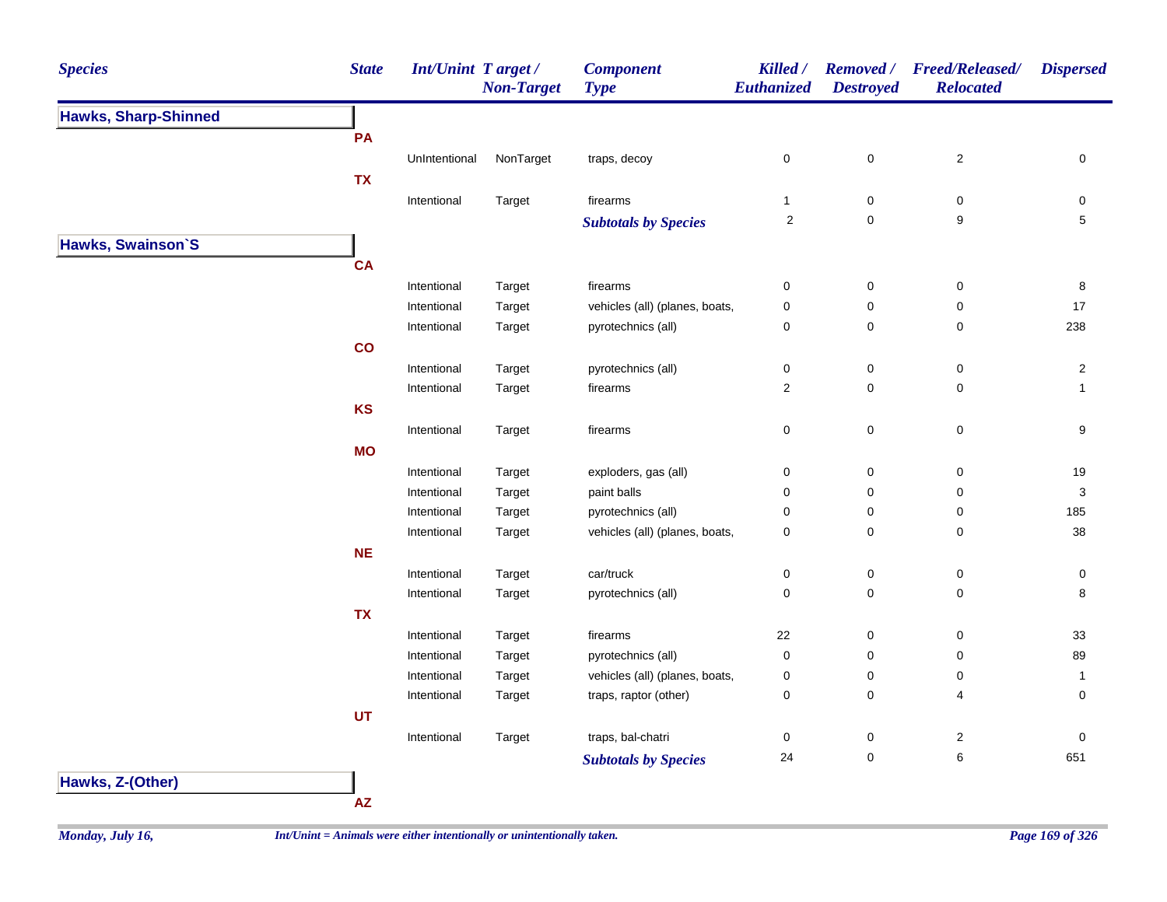| <b>Species</b>              | <b>State</b> | Int/Unint Target / | <b>Non-Target</b> | <b>Component</b><br><b>Type</b> | Killed /<br>Euthanized | <b>Destroyed</b>    | Removed / Freed/Released/<br><b>Relocated</b> | <b>Dispersed</b>        |
|-----------------------------|--------------|--------------------|-------------------|---------------------------------|------------------------|---------------------|-----------------------------------------------|-------------------------|
| <b>Hawks, Sharp-Shinned</b> |              |                    |                   |                                 |                        |                     |                                               |                         |
|                             | PA           |                    |                   |                                 |                        |                     |                                               |                         |
|                             |              | UnIntentional      | NonTarget         | traps, decoy                    | 0                      | $\mathsf{O}\xspace$ | $\overline{c}$                                | 0                       |
|                             | <b>TX</b>    |                    |                   |                                 |                        |                     |                                               |                         |
|                             |              | Intentional        | Target            | firearms                        | $\mathbf{1}$           | 0                   | 0                                             | 0                       |
|                             |              |                    |                   | <b>Subtotals by Species</b>     | $\sqrt{2}$             | 0                   | 9                                             | $\overline{5}$          |
| <b>Hawks, Swainson'S</b>    |              |                    |                   |                                 |                        |                     |                                               |                         |
|                             | <b>CA</b>    |                    |                   |                                 |                        |                     |                                               |                         |
|                             |              | Intentional        | Target            | firearms                        | $\mathbf 0$            | 0                   | 0                                             | 8                       |
|                             |              | Intentional        | Target            | vehicles (all) (planes, boats,  | $\pmb{0}$              | 0                   | 0                                             | 17                      |
|                             |              | Intentional        | Target            | pyrotechnics (all)              | $\mathbf 0$            | 0                   | $\mathbf 0$                                   | 238                     |
|                             | co           |                    |                   |                                 |                        |                     |                                               |                         |
|                             |              | Intentional        | Target            | pyrotechnics (all)              | $\pmb{0}$              | $\mathsf 0$         | $\pmb{0}$                                     | $\overline{\mathbf{c}}$ |
|                             |              | Intentional        | Target            | firearms                        | $\boldsymbol{2}$       | $\mathsf 0$         | $\pmb{0}$                                     | 1                       |
|                             | <b>KS</b>    |                    |                   |                                 |                        |                     |                                               |                         |
|                             |              | Intentional        | Target            | firearms                        | $\pmb{0}$              | $\mathsf 0$         | 0                                             | 9                       |
|                             | <b>MO</b>    |                    |                   |                                 |                        |                     |                                               |                         |
|                             |              | Intentional        | Target            | exploders, gas (all)            | $\mathbf 0$            | $\mathbf 0$         | 0                                             | 19                      |
|                             |              | Intentional        | Target            | paint balls                     | 0                      | 0                   | 0                                             | 3                       |
|                             |              | Intentional        | Target            | pyrotechnics (all)              | 0                      | 0                   | 0                                             | 185                     |
|                             |              | Intentional        | Target            | vehicles (all) (planes, boats,  | $\mathbf 0$            | 0                   | 0                                             | 38                      |
|                             | <b>NE</b>    |                    |                   |                                 |                        |                     |                                               |                         |
|                             |              | Intentional        | Target            | car/truck                       | $\pmb{0}$              | 0                   | $\pmb{0}$                                     | 0                       |
|                             |              | Intentional        | Target            | pyrotechnics (all)              | $\pmb{0}$              | 0                   | 0                                             | 8                       |
|                             | <b>TX</b>    |                    |                   |                                 |                        |                     |                                               |                         |
|                             |              | Intentional        | Target            | firearms                        | 22                     | 0                   | $\pmb{0}$                                     | 33                      |
|                             |              | Intentional        | Target            | pyrotechnics (all)              | $\pmb{0}$              | 0                   | 0                                             | 89                      |
|                             |              | Intentional        | Target            | vehicles (all) (planes, boats,  | $\pmb{0}$              | 0                   | 0                                             | 1                       |
|                             |              | Intentional        | Target            | traps, raptor (other)           | $\pmb{0}$              | $\pmb{0}$           | 4                                             | $\mathbf 0$             |
|                             | UT           |                    |                   |                                 |                        |                     |                                               |                         |
|                             |              | Intentional        | Target            | traps, bal-chatri               | $\mathbf 0$            | $\pmb{0}$           | $\overline{c}$                                | $\pmb{0}$               |
|                             |              |                    |                   |                                 | 24                     | 0                   | 6                                             | 651                     |
|                             |              |                    |                   | <b>Subtotals by Species</b>     |                        |                     |                                               |                         |
| Hawks, Z-(Other)            |              |                    |                   |                                 |                        |                     |                                               |                         |

**AZ**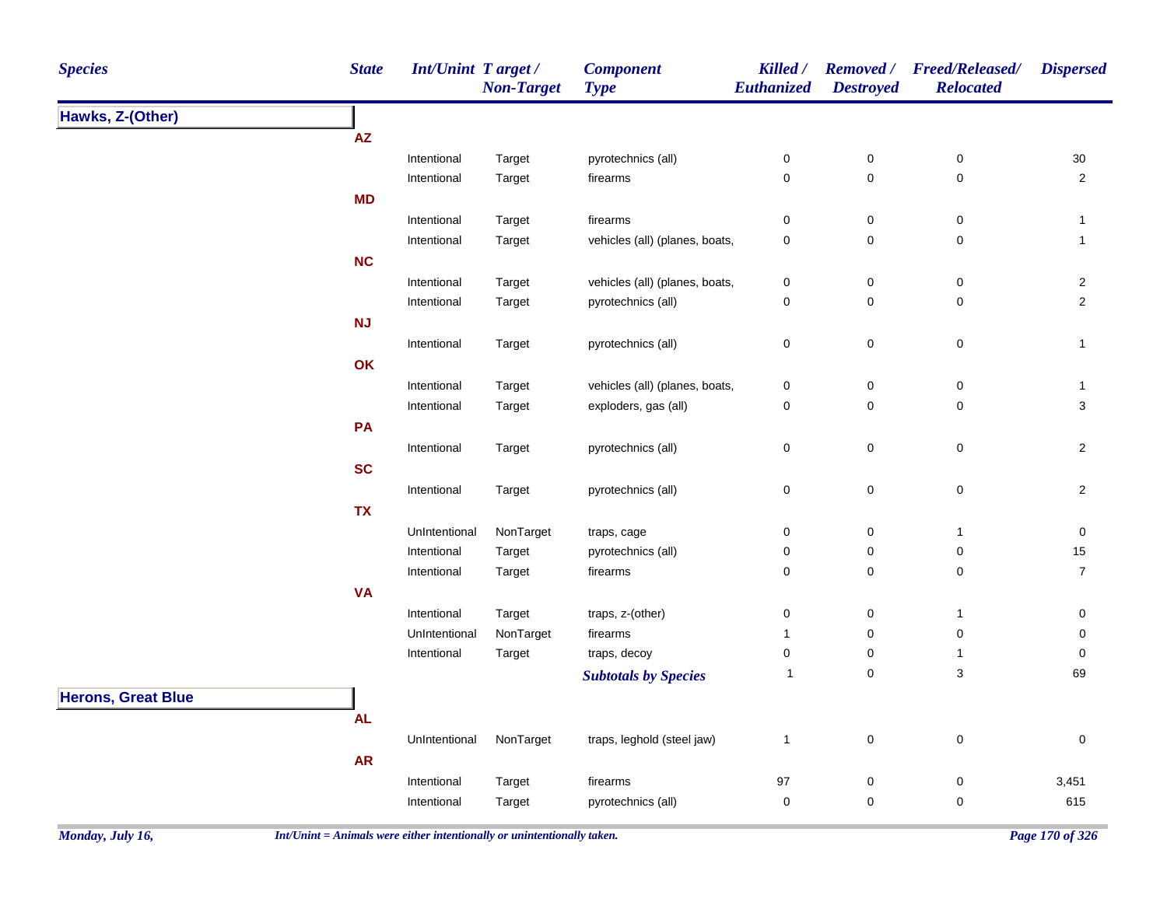| <b>Species</b>            | <b>State</b> | <b>Int/Unint Target/</b> | <b>Non-Target</b> | <b>Component</b><br><b>Type</b> | Killed /<br>Euthanized | <b>Destroyed</b> | Removed / Freed/Released/<br><b>Relocated</b> | <b>Dispersed</b> |
|---------------------------|--------------|--------------------------|-------------------|---------------------------------|------------------------|------------------|-----------------------------------------------|------------------|
| Hawks, Z-(Other)          |              |                          |                   |                                 |                        |                  |                                               |                  |
|                           | ${\sf AZ}$   |                          |                   |                                 |                        |                  |                                               |                  |
|                           |              | Intentional              | Target            | pyrotechnics (all)              | $\pmb{0}$              | $\pmb{0}$        | $\pmb{0}$                                     | $30\,$           |
|                           |              | Intentional              | Target            | firearms                        | $\mathbf 0$            | $\mathbf 0$      | $\mathbf 0$                                   | $\overline{2}$   |
|                           | <b>MD</b>    |                          |                   |                                 |                        |                  |                                               |                  |
|                           |              | Intentional              | Target            | firearms                        | $\pmb{0}$              | $\pmb{0}$        | $\pmb{0}$                                     | $\mathbf{1}$     |
|                           |              | Intentional              | Target            | vehicles (all) (planes, boats,  | $\pmb{0}$              | $\pmb{0}$        | $\pmb{0}$                                     | $\mathbf{1}$     |
|                           | <b>NC</b>    |                          |                   |                                 |                        |                  |                                               |                  |
|                           |              | Intentional              | Target            | vehicles (all) (planes, boats,  | $\pmb{0}$              | $\pmb{0}$        | $\pmb{0}$                                     | $\overline{2}$   |
|                           |              | Intentional              | Target            | pyrotechnics (all)              | $\pmb{0}$              | $\pmb{0}$        | 0                                             | $\overline{2}$   |
|                           | <b>NJ</b>    |                          |                   |                                 |                        |                  |                                               |                  |
|                           |              | Intentional              | Target            | pyrotechnics (all)              | $\mathbf 0$            | $\pmb{0}$        | 0                                             | $\mathbf{1}$     |
|                           | OK           |                          |                   |                                 |                        |                  |                                               |                  |
|                           |              | Intentional              | Target            | vehicles (all) (planes, boats,  | $\pmb{0}$              | $\pmb{0}$        | $\pmb{0}$                                     | 1                |
|                           |              | Intentional              | Target            | exploders, gas (all)            | $\mathbf 0$            | $\pmb{0}$        | 0                                             | 3                |
|                           | PA           |                          |                   |                                 |                        |                  |                                               |                  |
|                           |              | Intentional              | Target            | pyrotechnics (all)              | $\pmb{0}$              | $\mathbf 0$      | $\pmb{0}$                                     | $\overline{2}$   |
|                           | <b>SC</b>    |                          |                   |                                 |                        |                  |                                               |                  |
|                           |              | Intentional              | Target            | pyrotechnics (all)              | $\mathbf 0$            | $\mathbf 0$      | 0                                             | $\overline{2}$   |
|                           | <b>TX</b>    |                          |                   |                                 |                        |                  |                                               |                  |
|                           |              | UnIntentional            | NonTarget         | traps, cage                     | $\pmb{0}$              | $\pmb{0}$        | $\mathbf{1}$                                  | $\pmb{0}$        |
|                           |              | Intentional              | Target            | pyrotechnics (all)              | $\pmb{0}$              | $\pmb{0}$        | 0                                             | 15               |
|                           |              | Intentional              | Target            | firearms                        | 0                      | $\mathbf 0$      | 0                                             | $\overline{7}$   |
|                           | <b>VA</b>    |                          |                   |                                 |                        |                  |                                               |                  |
|                           |              | Intentional              | Target            | traps, z-(other)                | $\pmb{0}$              | $\pmb{0}$        | $\mathbf{1}$                                  | $\pmb{0}$        |
|                           |              | UnIntentional            | NonTarget         | firearms                        | $\mathbf{1}$           | $\pmb{0}$        | $\pmb{0}$                                     | 0                |
|                           |              | Intentional              | Target            | traps, decoy                    | $\mathbf 0$            | $\pmb{0}$        | $\mathbf{1}$                                  | $\pmb{0}$        |
|                           |              |                          |                   |                                 | $\mathbf{1}$           | $\mathbf 0$      | 3                                             | 69               |
|                           |              |                          |                   | <b>Subtotals by Species</b>     |                        |                  |                                               |                  |
| <b>Herons, Great Blue</b> |              |                          |                   |                                 |                        |                  |                                               |                  |
|                           | <b>AL</b>    |                          |                   |                                 |                        |                  |                                               |                  |
|                           |              | UnIntentional            | NonTarget         | traps, leghold (steel jaw)      | $\mathbf{1}$           | $\mathbf 0$      | $\pmb{0}$                                     | $\pmb{0}$        |
|                           | <b>AR</b>    |                          |                   |                                 |                        |                  |                                               |                  |
|                           |              | Intentional              | Target            | firearms                        | 97                     | $\pmb{0}$        | $\pmb{0}$                                     | 3,451            |
|                           |              | Intentional              | Target            | pyrotechnics (all)              | $\pmb{0}$              | 0                | $\mathbf 0$                                   | 615              |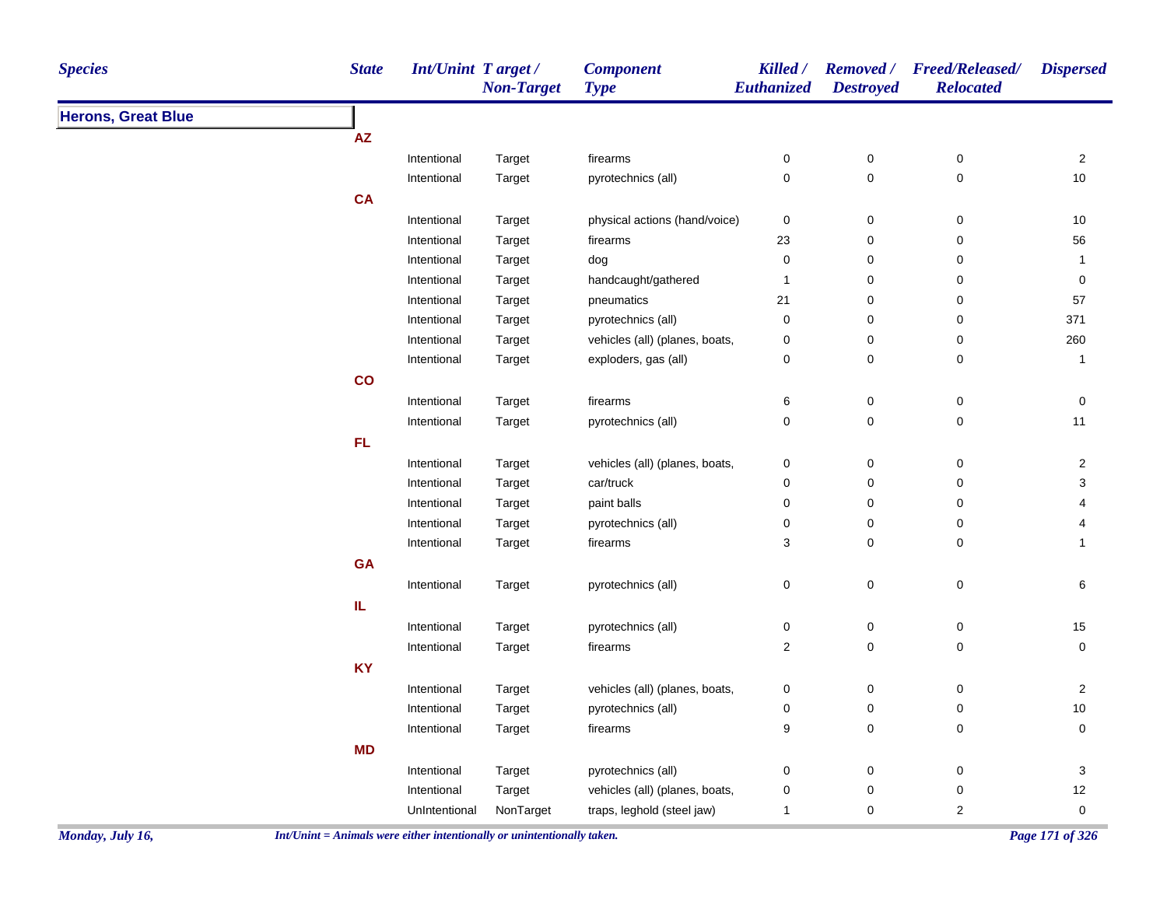| <b>Species</b>            | <b>State</b> | Int/Unint Target / | <b>Non-Target</b> | <b>Component</b><br><b>Type</b> | Killed /<br><b>Euthanized</b> | <b>Destroyed</b> | Removed / Freed/Released/<br><b>Relocated</b> | <b>Dispersed</b>        |
|---------------------------|--------------|--------------------|-------------------|---------------------------------|-------------------------------|------------------|-----------------------------------------------|-------------------------|
| <b>Herons, Great Blue</b> |              |                    |                   |                                 |                               |                  |                                               |                         |
|                           | AZ           |                    |                   |                                 |                               |                  |                                               |                         |
|                           |              | Intentional        | Target            | firearms                        | $\pmb{0}$                     | $\pmb{0}$        | $\pmb{0}$                                     | $\overline{a}$          |
|                           |              | Intentional        | Target            | pyrotechnics (all)              | $\mathsf 0$                   | $\mathsf 0$      | $\pmb{0}$                                     | $10$                    |
|                           | CA           |                    |                   |                                 |                               |                  |                                               |                         |
|                           |              | Intentional        | Target            | physical actions (hand/voice)   | $\mathbf 0$                   | $\pmb{0}$        | $\pmb{0}$                                     | $10\,$                  |
|                           |              | Intentional        | Target            | firearms                        | 23                            | 0                | $\pmb{0}$                                     | 56                      |
|                           |              | Intentional        | Target            | dog                             | 0                             | 0                | $\mathbf 0$                                   | $\mathbf{1}$            |
|                           |              | Intentional        | Target            | handcaught/gathered             | $\overline{1}$                | $\pmb{0}$        | $\pmb{0}$                                     | $\pmb{0}$               |
|                           |              | Intentional        | Target            | pneumatics                      | 21                            | 0                | $\mathbf 0$                                   | 57                      |
|                           |              | Intentional        | Target            | pyrotechnics (all)              | 0                             | $\pmb{0}$        | $\pmb{0}$                                     | 371                     |
|                           |              | Intentional        | Target            | vehicles (all) (planes, boats,  | $\pmb{0}$                     | $\mathsf 0$      | $\pmb{0}$                                     | 260                     |
|                           |              | Intentional        | Target            | exploders, gas (all)            | 0                             | $\mathsf 0$      | $\pmb{0}$                                     | $\mathbf{1}$            |
|                           | co           |                    |                   |                                 |                               |                  |                                               |                         |
|                           |              | Intentional        | Target            | firearms                        | 6                             | $\pmb{0}$        | $\pmb{0}$                                     | 0                       |
|                           |              | Intentional        | Target            | pyrotechnics (all)              | 0                             | 0                | $\mathsf 0$                                   | 11                      |
|                           | FL           |                    |                   |                                 |                               |                  |                                               |                         |
|                           |              | Intentional        | Target            | vehicles (all) (planes, boats,  | 0                             | $\pmb{0}$        | $\boldsymbol{0}$                              | $\overline{c}$          |
|                           |              | Intentional        | Target            | car/truck                       | $\pmb{0}$                     | $\pmb{0}$        | $\pmb{0}$                                     | 3                       |
|                           |              | Intentional        | Target            | paint balls                     | $\pmb{0}$                     | $\pmb{0}$        | $\mathbf 0$                                   | 4                       |
|                           |              | Intentional        | Target            | pyrotechnics (all)              | 0                             | $\pmb{0}$        | $\boldsymbol{0}$                              | $\overline{\mathbf{4}}$ |
|                           |              | Intentional        | Target            | firearms                        | 3                             | 0                | $\mathbf 0$                                   | $\mathbf{1}$            |
|                           | GA           |                    |                   |                                 |                               |                  |                                               |                         |
|                           |              | Intentional        | Target            | pyrotechnics (all)              | $\pmb{0}$                     | $\pmb{0}$        | $\pmb{0}$                                     | 6                       |
|                           | IL           |                    |                   |                                 |                               |                  |                                               |                         |
|                           |              | Intentional        | Target            | pyrotechnics (all)              | $\pmb{0}$                     | $\pmb{0}$        | $\pmb{0}$                                     | 15                      |
|                           |              | Intentional        | Target            | firearms                        | $\overline{c}$                | $\mathsf 0$      | $\mathsf 0$                                   | $\mathbf 0$             |
|                           | <b>KY</b>    |                    |                   |                                 |                               |                  |                                               |                         |
|                           |              | Intentional        | Target            | vehicles (all) (planes, boats,  | 0                             | 0                | $\boldsymbol{0}$                              | $\overline{a}$          |
|                           |              | Intentional        | Target            | pyrotechnics (all)              | 0                             | 0                | $\pmb{0}$                                     | $10\,$                  |
|                           |              | Intentional        | Target            | firearms                        | 9                             | 0                | $\pmb{0}$                                     | 0                       |
|                           | <b>MD</b>    |                    |                   |                                 |                               |                  |                                               |                         |
|                           |              | Intentional        |                   | pyrotechnics (all)              | $\pmb{0}$                     | 0                | $\boldsymbol{0}$                              | $\mathbf{3}$            |
|                           |              |                    | Target            | vehicles (all) (planes, boats,  |                               | $\pmb{0}$        | $\pmb{0}$                                     | $12\,$                  |
|                           |              | Intentional        | Target            |                                 | $\pmb{0}$<br>1                | $\mathbf 0$      |                                               | $\mathbf 0$             |
|                           |              | UnIntentional      | NonTarget         | traps, leghold (steel jaw)      |                               |                  | $\overline{2}$                                |                         |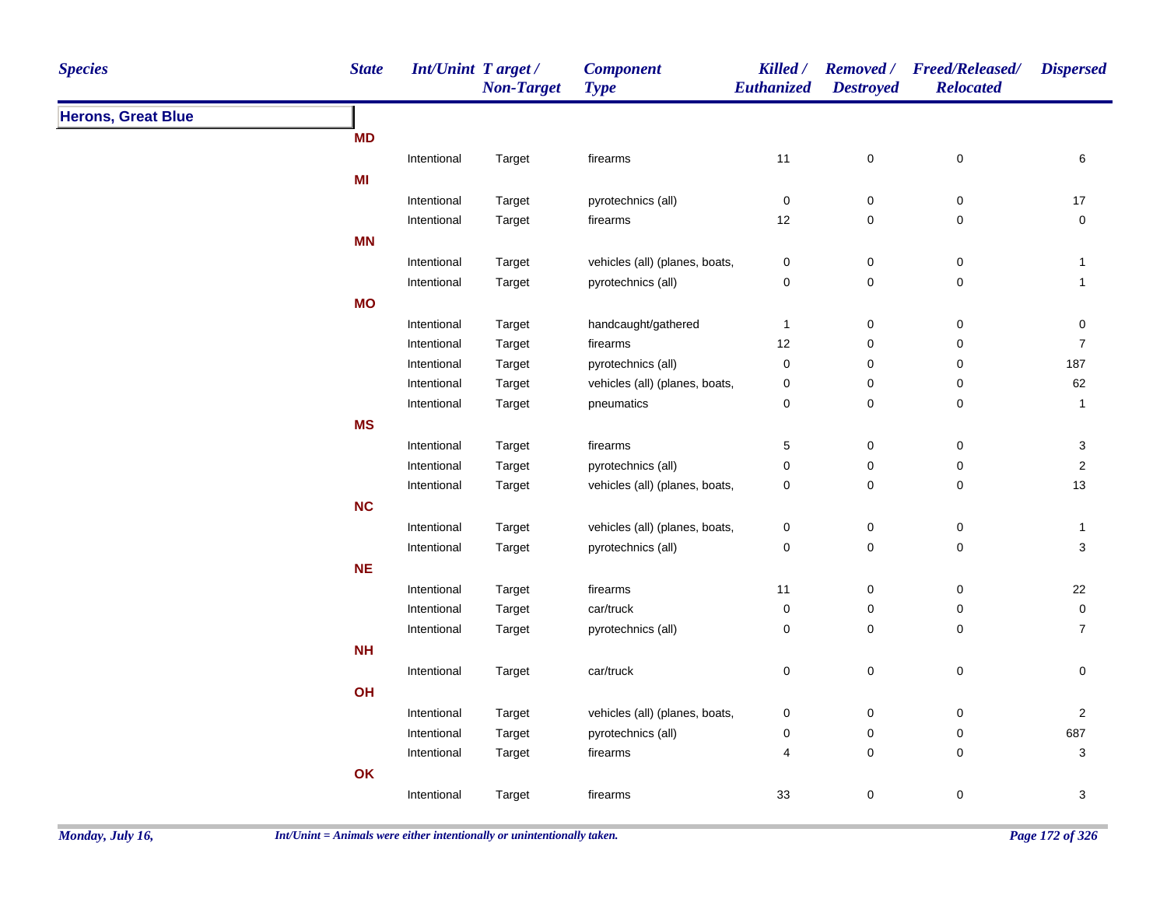| <b>State</b><br><b>Species</b> |             | Int/Unint Target /<br><b>Non-Target</b> | <b>Component</b><br><b>Type</b> | Killed /<br>Euthanized | <b>Destroyed</b> | Removed / Freed/Released/<br><b>Relocated</b> | <b>Dispersed</b>        |
|--------------------------------|-------------|-----------------------------------------|---------------------------------|------------------------|------------------|-----------------------------------------------|-------------------------|
| <b>Herons, Great Blue</b>      |             |                                         |                                 |                        |                  |                                               |                         |
| <b>MD</b>                      |             |                                         |                                 |                        |                  |                                               |                         |
|                                | Intentional | Target                                  | firearms                        | 11                     | 0                | $\mathbf 0$                                   | 6                       |
| MI                             |             |                                         |                                 |                        |                  |                                               |                         |
|                                | Intentional | Target                                  | pyrotechnics (all)              | $\overline{0}$         | $\pmb{0}$        | 0                                             | $17$                    |
|                                | Intentional | Target                                  | firearms                        | 12                     | 0                | $\mathbf 0$                                   | $\mathsf 0$             |
| <b>MN</b>                      |             |                                         |                                 |                        |                  |                                               |                         |
|                                | Intentional | Target                                  | vehicles (all) (planes, boats,  | $\pmb{0}$              | $\pmb{0}$        | $\,0\,$                                       | $\mathbf{1}$            |
|                                | Intentional | Target                                  | pyrotechnics (all)              | 0                      | $\mathsf 0$      | $\mathbf 0$                                   | $\mathbf{1}$            |
| <b>MO</b>                      |             |                                         |                                 |                        |                  |                                               |                         |
|                                | Intentional | Target                                  | handcaught/gathered             | $\mathbf{1}$           | $\mathsf 0$      | $\pmb{0}$                                     | $\pmb{0}$               |
|                                | Intentional | Target                                  | firearms                        | 12                     | 0                | $\mathbf 0$                                   | $\overline{7}$          |
|                                | Intentional | Target                                  | pyrotechnics (all)              | $\pmb{0}$              | $\mathsf 0$      | $\mathsf 0$                                   | 187                     |
|                                | Intentional | Target                                  | vehicles (all) (planes, boats,  | $\pmb{0}$              | 0                | $\mathsf 0$                                   | 62                      |
|                                | Intentional | Target                                  | pneumatics                      | 0                      | $\mathsf 0$      | $\mathsf 0$                                   | $\mathbf{1}$            |
| <b>MS</b>                      |             |                                         |                                 |                        |                  |                                               |                         |
|                                | Intentional | Target                                  | firearms                        | 5                      | 0                | $\pmb{0}$                                     | 3                       |
|                                | Intentional | Target                                  | pyrotechnics (all)              | $\pmb{0}$              | 0                | $\mathsf 0$                                   | $\overline{\mathbf{c}}$ |
|                                | Intentional | Target                                  | vehicles (all) (planes, boats,  | $\pmb{0}$              | 0                | $\mathbf 0$                                   | 13                      |
| NC                             |             |                                         |                                 |                        |                  |                                               |                         |
|                                | Intentional | Target                                  | vehicles (all) (planes, boats,  | 0                      | $\pmb{0}$        | $\mathbf 0$                                   | $\mathbf{1}$            |
|                                | Intentional | Target                                  | pyrotechnics (all)              | 0                      | $\pmb{0}$        | $\mathbf 0$                                   | $\mathbf{3}$            |
| <b>NE</b>                      |             |                                         |                                 |                        |                  |                                               |                         |
|                                | Intentional | Target                                  | firearms                        | 11                     | 0                | $\mathbf 0$                                   | 22                      |
|                                | Intentional | Target                                  | car/truck                       | $\mathsf 0$            | $\mathsf 0$      | $\mathbf 0$                                   | $\mathbf 0$             |
|                                | Intentional | Target                                  | pyrotechnics (all)              | 0                      | $\pmb{0}$        | $\mathbf 0$                                   | $\overline{7}$          |
| NH                             |             |                                         |                                 |                        |                  |                                               |                         |
|                                | Intentional | Target                                  | car/truck                       | 0                      | $\mathsf 0$      | $\pmb{0}$                                     | $\mathbf 0$             |
| OH                             |             |                                         |                                 |                        |                  |                                               |                         |
|                                | Intentional | Target                                  | vehicles (all) (planes, boats,  | $\pmb{0}$              | 0                | $\mathbf 0$                                   | $\overline{2}$          |
|                                | Intentional | Target                                  | pyrotechnics (all)              | $\pmb{0}$              | $\mathsf 0$      | $\mathbf 0$                                   | 687                     |
|                                | Intentional | Target                                  | firearms                        | 4                      | $\pmb{0}$        | $\,0\,$                                       | $\sqrt{3}$              |
| OK                             |             |                                         |                                 |                        |                  |                                               |                         |
|                                |             |                                         |                                 |                        |                  |                                               |                         |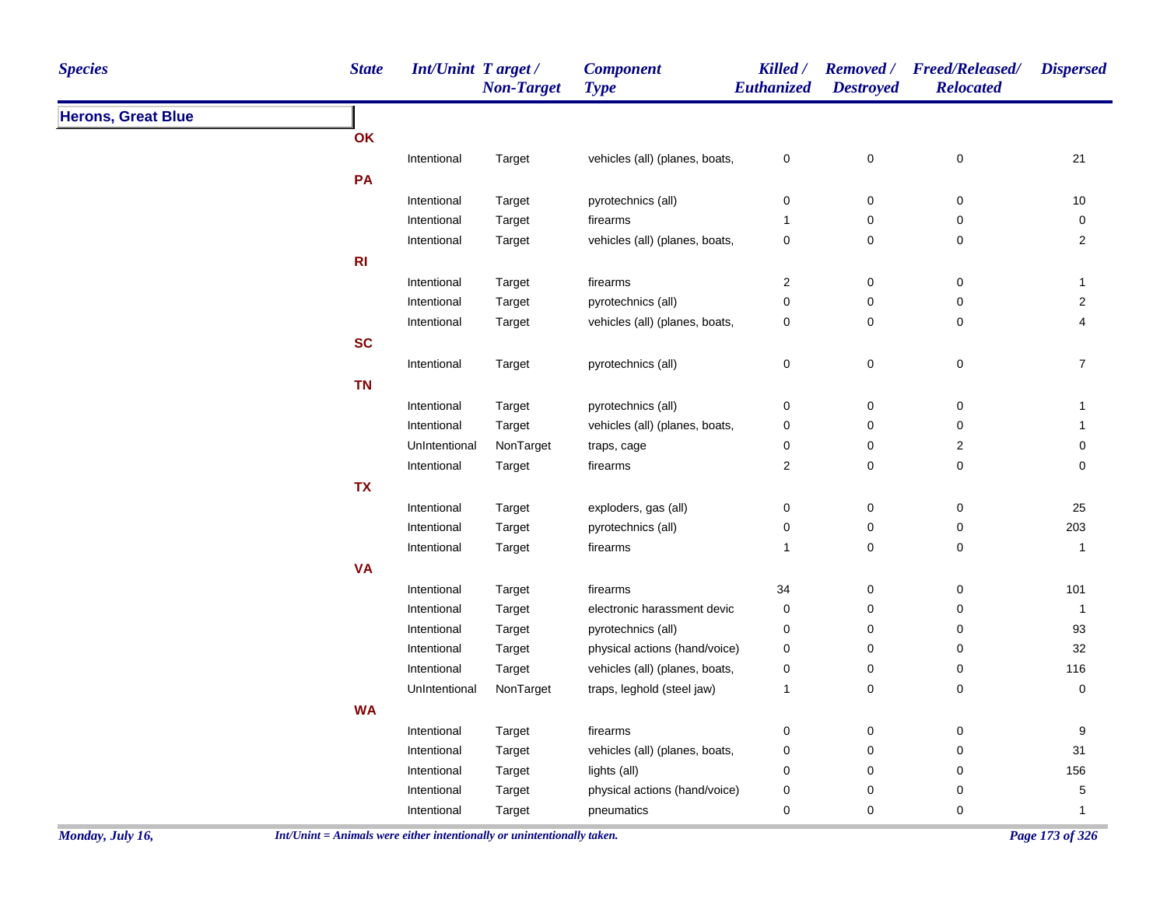| <b>Species</b>            | <b>State</b>                                                             | Int/Unint Target/ | <b>Non-Target</b> | <b>Component</b><br><b>Type</b> | Killed /<br>Euthanized | <b>Destroyed</b> | Removed / Freed/Released/<br><b>Relocated</b> | <b>Dispersed</b> |
|---------------------------|--------------------------------------------------------------------------|-------------------|-------------------|---------------------------------|------------------------|------------------|-----------------------------------------------|------------------|
| <b>Herons, Great Blue</b> |                                                                          |                   |                   |                                 |                        |                  |                                               |                  |
|                           | OK                                                                       |                   |                   |                                 |                        |                  |                                               |                  |
|                           |                                                                          | Intentional       | Target            | vehicles (all) (planes, boats,  | $\mathbf 0$            | 0                | $\pmb{0}$                                     | 21               |
|                           | PA                                                                       |                   |                   |                                 |                        |                  |                                               |                  |
|                           |                                                                          | Intentional       | Target            | pyrotechnics (all)              | 0                      | 0                | 0                                             | $10$             |
|                           |                                                                          | Intentional       | Target            | firearms                        | -1                     | 0                | 0                                             | 0                |
|                           |                                                                          | Intentional       | Target            | vehicles (all) (planes, boats,  | $\pmb{0}$              | 0                | 0                                             | $\overline{2}$   |
|                           | R <sub>l</sub>                                                           |                   |                   |                                 |                        |                  |                                               |                  |
|                           |                                                                          | Intentional       | Target            | firearms                        | $\overline{2}$         | 0                | 0                                             | -1               |
|                           |                                                                          | Intentional       | Target            | pyrotechnics (all)              | 0                      | 0                | 0                                             | $\overline{a}$   |
|                           |                                                                          | Intentional       | Target            | vehicles (all) (planes, boats,  | $\pmb{0}$              | $\pmb{0}$        | 0                                             | 4                |
|                           | <b>SC</b>                                                                |                   |                   |                                 |                        |                  |                                               |                  |
|                           |                                                                          | Intentional       | Target            | pyrotechnics (all)              | $\pmb{0}$              | $\pmb{0}$        | $\pmb{0}$                                     | $\overline{7}$   |
|                           | <b>TN</b>                                                                |                   |                   |                                 |                        |                  |                                               |                  |
|                           |                                                                          | Intentional       | Target            | pyrotechnics (all)              | 0                      | 0                | 0                                             | -1               |
|                           |                                                                          | Intentional       | Target            | vehicles (all) (planes, boats,  | 0                      | 0                | 0                                             | 1                |
|                           |                                                                          | UnIntentional     | NonTarget         | traps, cage                     | 0                      | 0                | $\overline{\mathbf{c}}$                       | 0                |
|                           |                                                                          | Intentional       | Target            | firearms                        | $\overline{2}$         | 0                | 0                                             | 0                |
|                           | <b>TX</b>                                                                |                   |                   |                                 |                        |                  |                                               |                  |
|                           |                                                                          | Intentional       | Target            | exploders, gas (all)            | $\pmb{0}$              | 0                | $\pmb{0}$                                     | 25               |
|                           |                                                                          | Intentional       | Target            | pyrotechnics (all)              | 0                      | 0                | 0                                             | 203              |
|                           |                                                                          | Intentional       | Target            | firearms                        | $\mathbf{1}$           | 0                | 0                                             | 1                |
|                           | <b>VA</b>                                                                |                   |                   |                                 |                        |                  |                                               |                  |
|                           |                                                                          | Intentional       | Target            | firearms                        | 34                     | 0                | 0                                             | 101              |
|                           |                                                                          | Intentional       | Target            | electronic harassment devic     | 0                      | 0                | 0                                             | $\mathbf{1}$     |
|                           |                                                                          | Intentional       | Target            | pyrotechnics (all)              | 0                      | 0                | 0                                             | 93               |
|                           |                                                                          | Intentional       | Target            | physical actions (hand/voice)   | 0                      | 0                | 0                                             | 32               |
|                           |                                                                          | Intentional       | Target            | vehicles (all) (planes, boats,  | 0                      | 0                | 0                                             | 116              |
|                           |                                                                          | UnIntentional     | NonTarget         | traps, leghold (steel jaw)      | $\mathbf{1}$           | 0                | 0                                             | 0                |
|                           | <b>WA</b>                                                                |                   |                   |                                 |                        |                  |                                               |                  |
|                           |                                                                          | Intentional       | Target            | firearms                        | 0                      | 0                | 0                                             | 9                |
|                           |                                                                          | Intentional       | Target            | vehicles (all) (planes, boats,  | 0                      | 0                | 0                                             | 31               |
|                           |                                                                          | Intentional       | Target            | lights (all)                    | $\mathbf 0$            | $\mathbf 0$      | 0                                             | 156              |
|                           |                                                                          | Intentional       | Target            | physical actions (hand/voice)   | $\boldsymbol{0}$       | $\pmb{0}$        | 0                                             | 5                |
|                           |                                                                          | Intentional       | Target            | pneumatics                      | 0                      | 0                | 0                                             |                  |
| Monday, July 16,          | $Int/Unit = Animals$ were either intentionally or unintentionally taken. |                   |                   |                                 |                        |                  |                                               | Page 173 of 326  |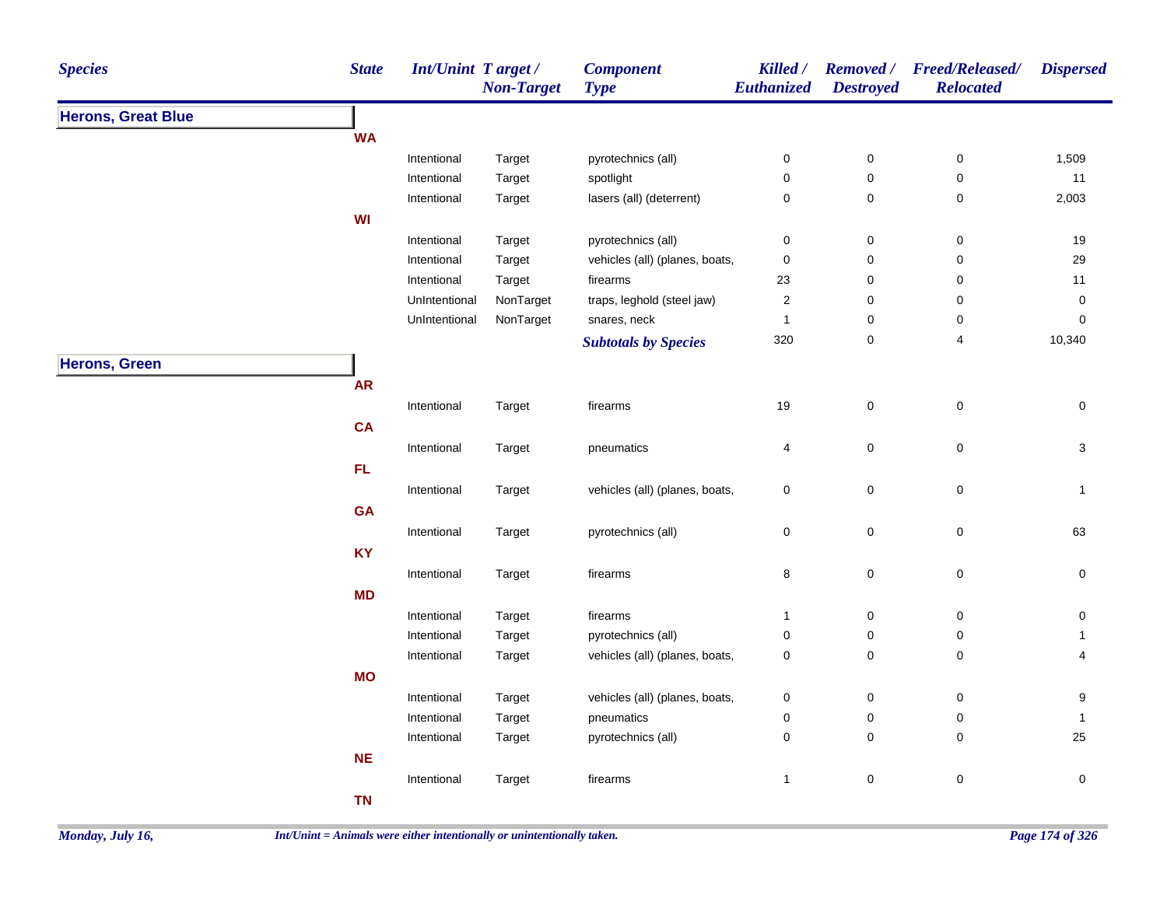| <b>Species</b>            | <b>State</b> | <b>Int/Unint Target/</b> | <b>Non-Target</b> | <b>Component</b><br><b>Type</b> | Killed /<br>Euthanized | <b>Destroyed</b> | Removed / Freed/Released/<br><b>Relocated</b> | <b>Dispersed</b> |
|---------------------------|--------------|--------------------------|-------------------|---------------------------------|------------------------|------------------|-----------------------------------------------|------------------|
| <b>Herons, Great Blue</b> |              |                          |                   |                                 |                        |                  |                                               |                  |
|                           | <b>WA</b>    |                          |                   |                                 |                        |                  |                                               |                  |
|                           |              | Intentional              | Target            | pyrotechnics (all)              | $\pmb{0}$              | $\pmb{0}$        | 0                                             | 1,509            |
|                           |              | Intentional              | Target            | spotlight                       | $\pmb{0}$              | $\pmb{0}$        | $\pmb{0}$                                     | 11               |
|                           |              | Intentional              | Target            | lasers (all) (deterrent)        | $\mathbf 0$            | 0                | 0                                             | 2,003            |
|                           | <b>WI</b>    |                          |                   |                                 |                        |                  |                                               |                  |
|                           |              | Intentional              | Target            | pyrotechnics (all)              | $\pmb{0}$              | $\pmb{0}$        | $\pmb{0}$                                     | 19               |
|                           |              | Intentional              | Target            | vehicles (all) (planes, boats,  | $\pmb{0}$              | $\pmb{0}$        | $\pmb{0}$                                     | 29               |
|                           |              | Intentional              | Target            | firearms                        | 23                     | 0                | 0                                             | 11               |
|                           |              | UnIntentional            | NonTarget         | traps, leghold (steel jaw)      | $\sqrt{2}$             | 0                | 0                                             | $\pmb{0}$        |
|                           |              | UnIntentional            | NonTarget         | snares, neck                    | $\mathbf{1}$           | 0                | 0                                             | 0                |
|                           |              |                          |                   | <b>Subtotals by Species</b>     | 320                    | 0                | 4                                             | 10,340           |
| <b>Herons, Green</b>      |              |                          |                   |                                 |                        |                  |                                               |                  |
|                           | <b>AR</b>    |                          |                   |                                 |                        |                  |                                               |                  |
|                           |              | Intentional              | Target            | firearms                        | 19                     | $\mathbf 0$      | $\pmb{0}$                                     | $\pmb{0}$        |
|                           | <b>CA</b>    |                          |                   |                                 |                        |                  |                                               |                  |
|                           |              | Intentional              | Target            | pneumatics                      | 4                      | $\pmb{0}$        | 0                                             | 3                |
|                           | FL           |                          |                   |                                 |                        |                  |                                               |                  |
|                           |              | Intentional              | Target            | vehicles (all) (planes, boats,  | $\mathbf 0$            | $\mathbf 0$      | $\mathsf 0$                                   | $\mathbf{1}$     |
|                           | GA           |                          |                   |                                 |                        |                  |                                               |                  |
|                           |              | Intentional              | Target            | pyrotechnics (all)              | $\pmb{0}$              | $\pmb{0}$        | $\pmb{0}$                                     | 63               |
|                           | <b>KY</b>    |                          |                   |                                 |                        |                  |                                               |                  |
|                           |              | Intentional              | Target            | firearms                        | $\bf 8$                | $\pmb{0}$        | 0                                             | 0                |
|                           | <b>MD</b>    |                          |                   |                                 |                        |                  |                                               |                  |
|                           |              | Intentional              | Target            | firearms                        | $\mathbf{1}$           | $\pmb{0}$        | $\pmb{0}$                                     | 0                |
|                           |              | Intentional              | Target            | pyrotechnics (all)              | $\mathbf 0$            | 0                | 0                                             | 1                |
|                           |              | Intentional              | Target            | vehicles (all) (planes, boats,  | $\pmb{0}$              | $\pmb{0}$        | $\pmb{0}$                                     | 4                |
|                           | <b>MO</b>    |                          |                   |                                 |                        |                  |                                               |                  |
|                           |              | Intentional              | Target            | vehicles (all) (planes, boats,  | $\mathbf 0$            | 0                | 0                                             | 9                |
|                           |              | Intentional              | Target            | pneumatics                      | 0                      | $\pmb{0}$        | $\pmb{0}$                                     | $\mathbf{1}$     |
|                           |              | Intentional              | Target            | pyrotechnics (all)              | $\mathbf 0$            | $\mathbf 0$      | 0                                             | 25               |
|                           | NE           |                          |                   |                                 |                        |                  |                                               |                  |
|                           |              | Intentional              | Target            | firearms                        | $\mathbf{1}$           | $\pmb{0}$        | 0                                             | 0                |
|                           | <b>TN</b>    |                          |                   |                                 |                        |                  |                                               |                  |
|                           |              |                          |                   |                                 |                        |                  |                                               |                  |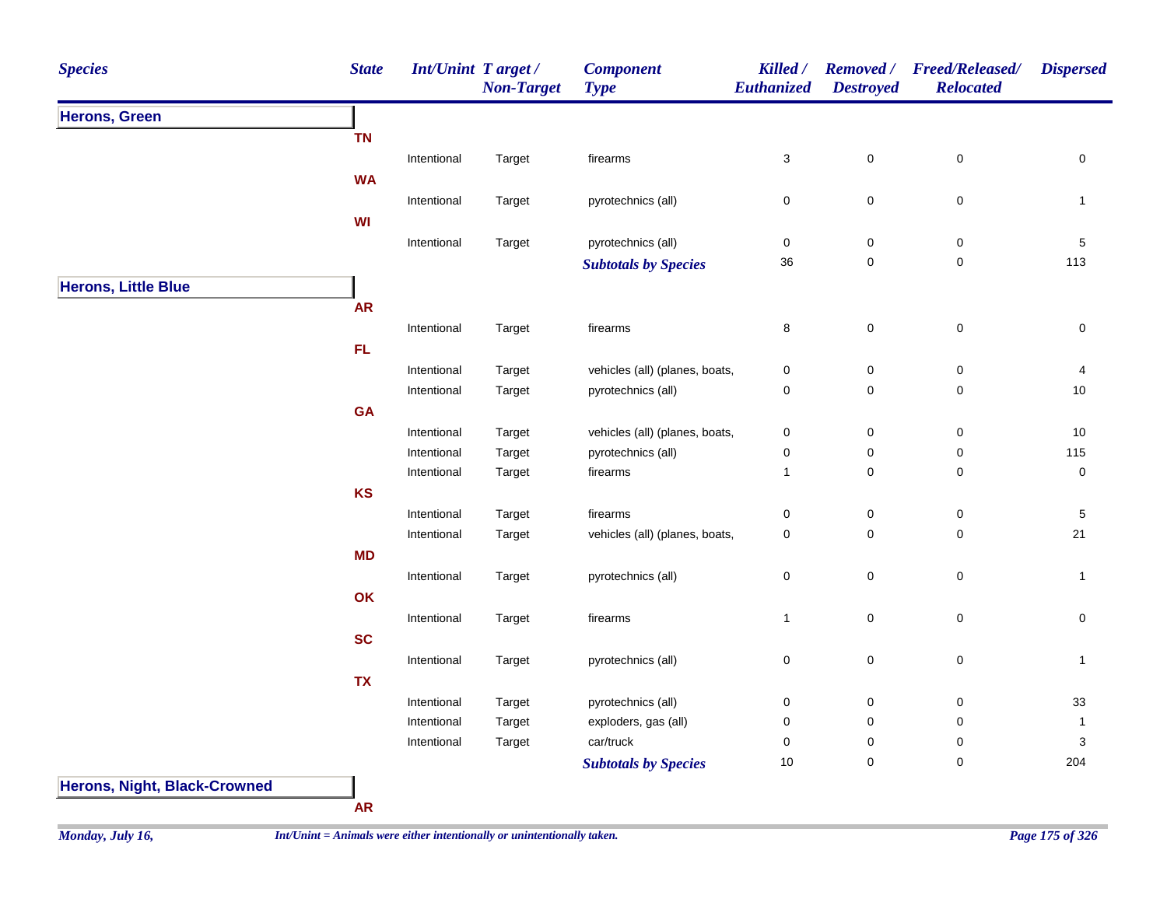| <b>Species</b>                      | <b>State</b> | Int/Unint Target/ | <b>Non-Target</b> | <b>Component</b><br><b>Type</b>   | Killed /<br>Euthanized     | <b>Removed</b> /<br><b>Destroyed</b> | <b>Freed/Released/</b><br><b>Relocated</b> | <b>Dispersed</b>    |
|-------------------------------------|--------------|-------------------|-------------------|-----------------------------------|----------------------------|--------------------------------------|--------------------------------------------|---------------------|
| <b>Herons, Green</b>                |              |                   |                   |                                   |                            |                                      |                                            |                     |
|                                     | <b>TN</b>    |                   |                   |                                   |                            |                                      |                                            |                     |
|                                     |              | Intentional       | Target            | firearms                          | 3                          | $\pmb{0}$                            | 0                                          | 0                   |
|                                     | <b>WA</b>    |                   |                   |                                   |                            |                                      |                                            |                     |
|                                     |              | Intentional       | Target            | pyrotechnics (all)                | 0                          | $\mathbf 0$                          | $\pmb{0}$                                  | $\mathbf{1}$        |
|                                     | WI           |                   |                   |                                   |                            |                                      |                                            |                     |
|                                     |              | Intentional       | Target            | pyrotechnics (all)                | $\pmb{0}$                  | $\pmb{0}$                            | $\pmb{0}$                                  | $\sqrt{5}$          |
|                                     |              |                   |                   | <b>Subtotals by Species</b>       | $36\,$                     | $\pmb{0}$                            | $\mathbf 0$                                | 113                 |
| <b>Herons, Little Blue</b>          |              |                   |                   |                                   |                            |                                      |                                            |                     |
|                                     | <b>AR</b>    |                   |                   |                                   |                            |                                      |                                            |                     |
|                                     |              | Intentional       | Target            | firearms                          | 8                          | $\pmb{0}$                            | $\pmb{0}$                                  | 0                   |
|                                     | FL.          |                   |                   |                                   |                            |                                      |                                            |                     |
|                                     |              | Intentional       | Target            | vehicles (all) (planes, boats,    | $\pmb{0}$                  | $\pmb{0}$                            | $\pmb{0}$                                  | 4                   |
|                                     |              | Intentional       | Target            | pyrotechnics (all)                | $\pmb{0}$                  | $\mathbf 0$                          | $\mathbf 0$                                | $10$                |
|                                     | <b>GA</b>    |                   |                   |                                   |                            |                                      |                                            |                     |
|                                     |              | Intentional       | Target            | vehicles (all) (planes, boats,    | $\pmb{0}$                  | $\pmb{0}$                            | 0                                          | $10$                |
|                                     |              | Intentional       | Target            | pyrotechnics (all)                | $\pmb{0}$                  | $\pmb{0}$                            | $\pmb{0}$                                  | 115                 |
|                                     |              | Intentional       | Target            | firearms                          | $\mathbf{1}$               | $\pmb{0}$                            | 0                                          | $\pmb{0}$           |
|                                     | KS           |                   |                   |                                   |                            |                                      |                                            |                     |
|                                     |              | Intentional       | Target            | firearms                          | $\mathbf 0$                | $\pmb{0}$                            | $\pmb{0}$                                  | $\mathbf{5}$        |
|                                     |              | Intentional       | Target            | vehicles (all) (planes, boats,    | $\mathbf 0$                | $\mathbf 0$                          | $\mathbf 0$                                | 21                  |
|                                     | <b>MD</b>    |                   |                   |                                   |                            |                                      |                                            |                     |
|                                     |              | Intentional       | Target            | pyrotechnics (all)                | $\pmb{0}$                  | $\mathbf 0$                          | $\pmb{0}$                                  | $\mathbf{1}$        |
|                                     | OK           |                   |                   |                                   |                            |                                      |                                            |                     |
|                                     |              | Intentional       | Target            | firearms                          | $\mathbf{1}$               | $\mathbf 0$                          | $\mathbf 0$                                | $\mathsf{O}\xspace$ |
|                                     | <b>SC</b>    |                   |                   |                                   |                            |                                      |                                            |                     |
|                                     |              |                   |                   |                                   |                            |                                      |                                            |                     |
|                                     |              | Intentional       | Target            | pyrotechnics (all)                | $\mathbf 0$                | $\pmb{0}$                            | $\mathbf 0$                                | $\mathbf{1}$        |
|                                     | <b>TX</b>    |                   |                   |                                   |                            |                                      |                                            |                     |
|                                     |              | Intentional       | Target            | pyrotechnics (all)                | $\pmb{0}$                  | $\pmb{0}$                            | $\mathbf 0$                                | 33                  |
|                                     |              | Intentional       | Target            | exploders, gas (all)<br>car/truck | $\mathbf 0$<br>$\mathbf 0$ | $\pmb{0}$                            | $\mathbf 0$<br>$\mathbf 0$                 | $\mathbf{1}$        |
|                                     |              | Intentional       | Target            |                                   | 10                         | $\pmb{0}$<br>$\pmb{0}$               | $\mathbf 0$                                | 3<br>204            |
|                                     |              |                   |                   | <b>Subtotals by Species</b>       |                            |                                      |                                            |                     |
| <b>Herons, Night, Black-Crowned</b> |              |                   |                   |                                   |                            |                                      |                                            |                     |

**AR**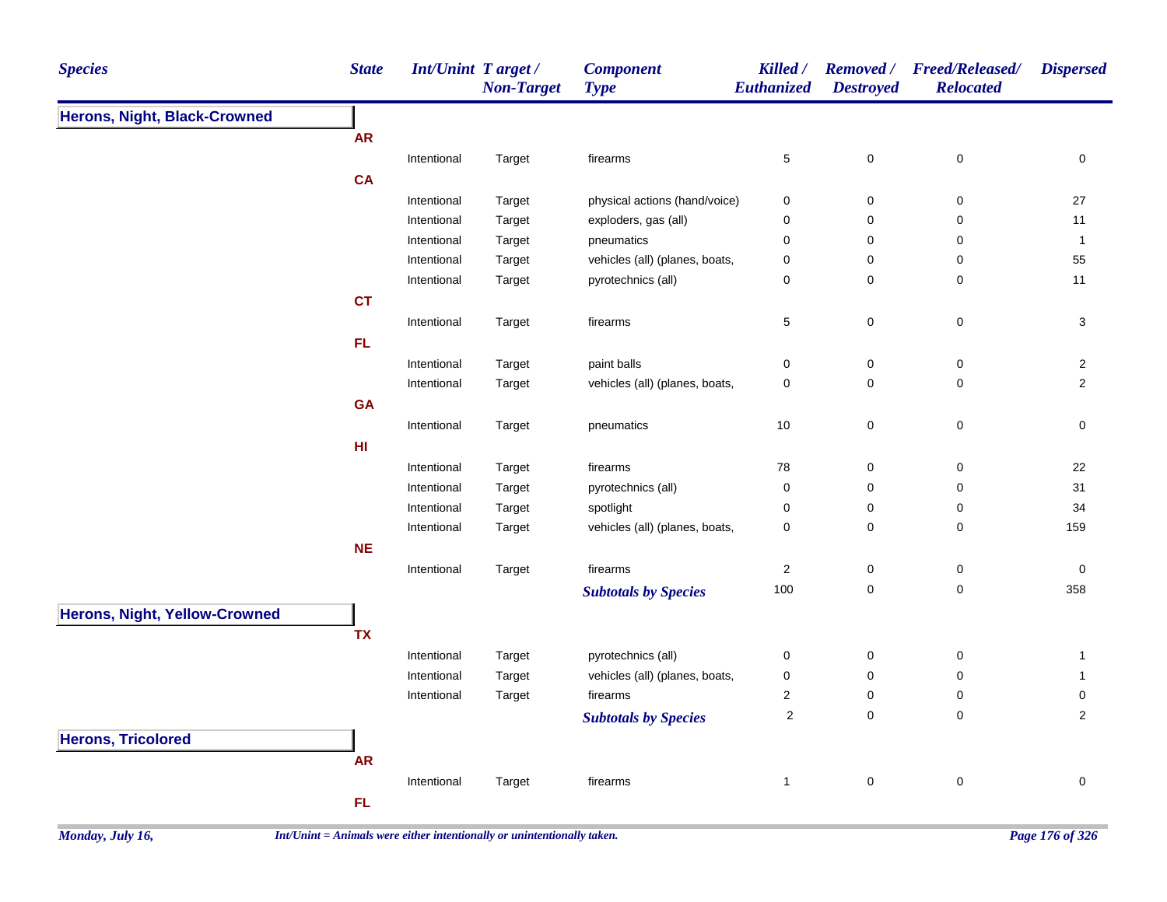| <b>Species</b>                       | <b>State</b> | Int/Unint Target/ | <b>Non-Target</b> | <b>Component</b><br><b>Type</b> | Killed /<br>Euthanized  | <b>Removed</b> /<br><b>Destroyed</b> | <b>Freed/Released/</b><br><b>Relocated</b> | <b>Dispersed</b> |
|--------------------------------------|--------------|-------------------|-------------------|---------------------------------|-------------------------|--------------------------------------|--------------------------------------------|------------------|
| <b>Herons, Night, Black-Crowned</b>  |              |                   |                   |                                 |                         |                                      |                                            |                  |
|                                      | <b>AR</b>    |                   |                   |                                 |                         |                                      |                                            |                  |
|                                      |              | Intentional       | Target            | firearms                        | 5                       | $\pmb{0}$                            | $\pmb{0}$                                  | $\pmb{0}$        |
|                                      | <b>CA</b>    |                   |                   |                                 |                         |                                      |                                            |                  |
|                                      |              | Intentional       | Target            | physical actions (hand/voice)   | 0                       | $\mathbf 0$                          | 0                                          | 27               |
|                                      |              | Intentional       | Target            | exploders, gas (all)            | 0                       | $\mathbf 0$                          | 0                                          | 11               |
|                                      |              | Intentional       | Target            | pneumatics                      | 0                       | 0                                    | 0                                          | $\mathbf{1}$     |
|                                      |              | Intentional       | Target            | vehicles (all) (planes, boats,  | 0                       | $\mathbf 0$                          | 0                                          | 55               |
|                                      |              | Intentional       | Target            | pyrotechnics (all)              | 0                       | $\mathbf 0$                          | 0                                          | 11               |
|                                      | <b>CT</b>    |                   |                   |                                 |                         |                                      |                                            |                  |
|                                      |              | Intentional       | Target            | firearms                        | 5                       | $\pmb{0}$                            | $\pmb{0}$                                  | $\sqrt{3}$       |
|                                      | FL.          |                   |                   |                                 |                         |                                      |                                            |                  |
|                                      |              | Intentional       | Target            | paint balls                     | 0                       | $\mathbf 0$                          | 0                                          | $\overline{2}$   |
|                                      |              | Intentional       | Target            | vehicles (all) (planes, boats,  | $\mathbf 0$             | $\mathbf 0$                          | $\pmb{0}$                                  | $\overline{2}$   |
|                                      | <b>GA</b>    |                   |                   |                                 |                         |                                      |                                            |                  |
|                                      |              | Intentional       | Target            | pneumatics                      | $10$                    | $\mathbf 0$                          | $\pmb{0}$                                  | $\pmb{0}$        |
|                                      | HI           |                   |                   |                                 |                         |                                      |                                            |                  |
|                                      |              | Intentional       | Target            | firearms                        | 78                      | $\boldsymbol{0}$                     | $\mathbf 0$                                | 22               |
|                                      |              | Intentional       | Target            | pyrotechnics (all)              | 0                       | $\boldsymbol{0}$                     | $\mathbf 0$                                | 31               |
|                                      |              | Intentional       | Target            | spotlight                       | 0                       | $\mathbf 0$                          | 0                                          | 34               |
|                                      |              | Intentional       | Target            | vehicles (all) (planes, boats,  | 0                       | $\mathbf 0$                          | 0                                          | 159              |
|                                      | <b>NE</b>    |                   |                   |                                 |                         |                                      |                                            |                  |
|                                      |              | Intentional       | Target            | firearms                        | $\overline{\mathbf{c}}$ | $\pmb{0}$                            | $\pmb{0}$                                  | $\pmb{0}$        |
|                                      |              |                   |                   | <b>Subtotals by Species</b>     | 100                     | $\pmb{0}$                            | $\pmb{0}$                                  | 358              |
| <b>Herons, Night, Yellow-Crowned</b> |              |                   |                   |                                 |                         |                                      |                                            |                  |
|                                      | <b>TX</b>    |                   |                   |                                 |                         |                                      |                                            |                  |
|                                      |              | Intentional       | Target            | pyrotechnics (all)              | 0                       | $\mathbf 0$                          | $\mathbf 0$                                | $\mathbf{1}$     |
|                                      |              | Intentional       | Target            | vehicles (all) (planes, boats,  | 0                       | $\mathbf 0$                          | $\pmb{0}$                                  | $\mathbf{1}$     |
|                                      |              | Intentional       | Target            | firearms                        | $\overline{\mathbf{c}}$ | $\mathbf 0$                          | $\mathbf 0$                                | 0                |
|                                      |              |                   |                   |                                 | $\overline{\mathbf{c}}$ | $\mathbf 0$                          | $\mathbf 0$                                | $\overline{2}$   |
|                                      |              |                   |                   | <b>Subtotals by Species</b>     |                         |                                      |                                            |                  |
| <b>Herons, Tricolored</b>            |              |                   |                   |                                 |                         |                                      |                                            |                  |
|                                      | <b>AR</b>    |                   |                   |                                 |                         |                                      |                                            |                  |
|                                      |              | Intentional       | Target            | firearms                        | $\mathbf{1}$            | $\pmb{0}$                            | $\pmb{0}$                                  | $\mathbf 0$      |
|                                      | FL           |                   |                   |                                 |                         |                                      |                                            |                  |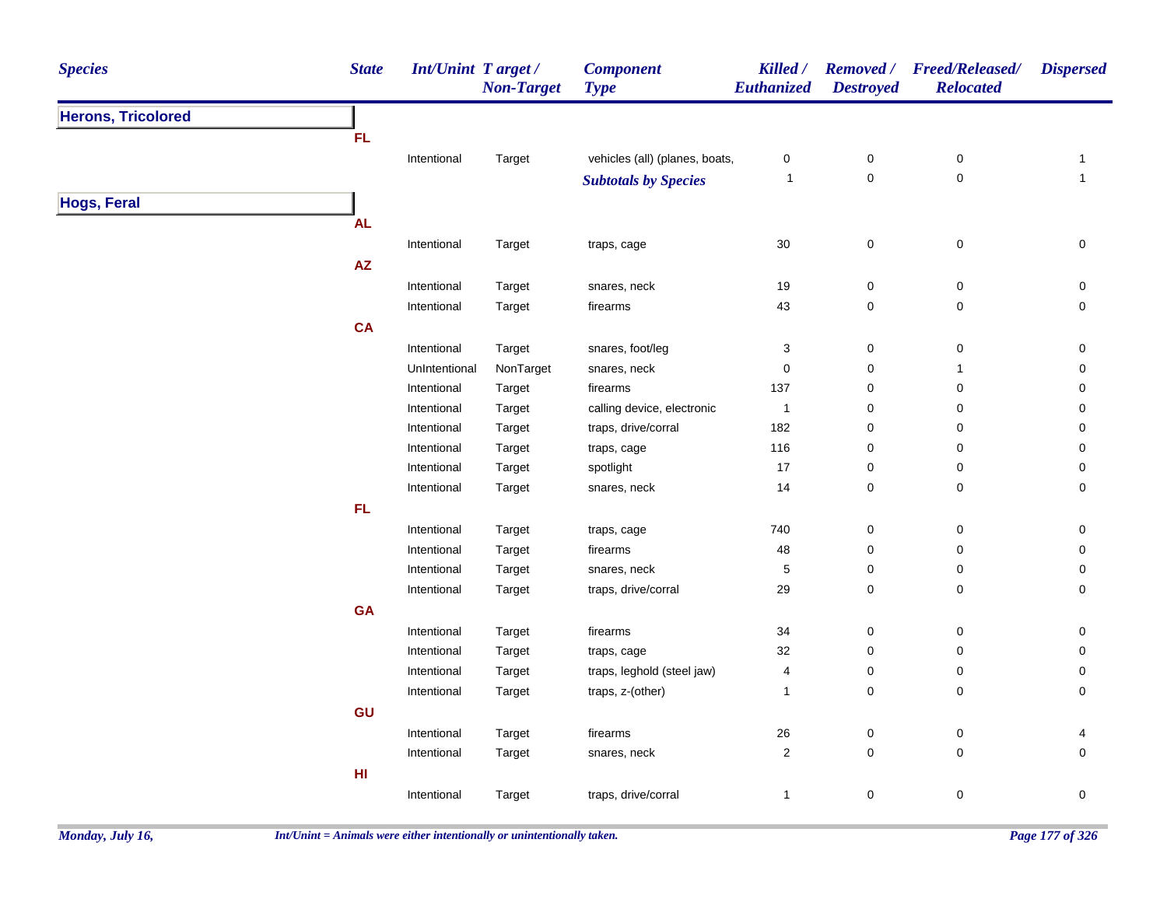| <b>Species</b>            | <b>State</b>           | Int/Unint Target/ | <b>Non-Target</b> | <b>Component</b><br><b>Type</b> | Killed /<br>Euthanized | <b>Destroyed</b> | Removed / Freed/Released/<br><b>Relocated</b> | <b>Dispersed</b>    |
|---------------------------|------------------------|-------------------|-------------------|---------------------------------|------------------------|------------------|-----------------------------------------------|---------------------|
| <b>Herons, Tricolored</b> |                        |                   |                   |                                 |                        |                  |                                               |                     |
|                           | FL.                    |                   |                   |                                 |                        |                  |                                               |                     |
|                           |                        | Intentional       | Target            | vehicles (all) (planes, boats,  | 0                      | $\boldsymbol{0}$ | $\pmb{0}$                                     | $\mathbf{1}$        |
|                           |                        |                   |                   | <b>Subtotals by Species</b>     | $\mathbf{1}$           | $\pmb{0}$        | $\pmb{0}$                                     | $\mathbf{1}$        |
| <b>Hogs, Feral</b>        |                        |                   |                   |                                 |                        |                  |                                               |                     |
|                           | <b>AL</b>              |                   |                   |                                 |                        |                  |                                               |                     |
|                           |                        | Intentional       | Target            | traps, cage                     | $30\,$                 | $\mathbf 0$      | $\mathbf 0$                                   | 0                   |
|                           | $\mathsf{A}\mathsf{Z}$ |                   |                   |                                 |                        |                  |                                               |                     |
|                           |                        | Intentional       | Target            | snares, neck                    | 19                     | $\pmb{0}$        | $\pmb{0}$                                     | 0                   |
|                           |                        | Intentional       | Target            | firearms                        | 43                     | $\mathbf 0$      | $\pmb{0}$                                     | 0                   |
|                           | <b>CA</b>              |                   |                   |                                 |                        |                  |                                               |                     |
|                           |                        | Intentional       | Target            | snares, foot/leg                | 3                      | $\pmb{0}$        | $\pmb{0}$                                     | 0                   |
|                           |                        | UnIntentional     | NonTarget         | snares, neck                    | 0                      | $\pmb{0}$        | $\mathbf{1}$                                  | $\pmb{0}$           |
|                           |                        | Intentional       | Target            | firearms                        | 137                    | $\pmb{0}$        | $\pmb{0}$                                     | $\pmb{0}$           |
|                           |                        | Intentional       | Target            | calling device, electronic      | $\overline{1}$         | $\mathbf 0$      | 0                                             | 0                   |
|                           |                        | Intentional       | Target            | traps, drive/corral             | 182                    | $\boldsymbol{0}$ | $\pmb{0}$                                     | $\pmb{0}$           |
|                           |                        | Intentional       | Target            | traps, cage                     | 116                    | $\pmb{0}$        | $\pmb{0}$                                     | $\pmb{0}$           |
|                           |                        | Intentional       | Target            | spotlight                       | 17                     | $\mathbf 0$      | 0                                             | $\pmb{0}$           |
|                           |                        | Intentional       | Target            | snares, neck                    | 14                     | $\boldsymbol{0}$ | $\pmb{0}$                                     | 0                   |
|                           | FL                     |                   |                   |                                 |                        |                  |                                               |                     |
|                           |                        | Intentional       | Target            | traps, cage                     | 740                    | $\pmb{0}$        | $\pmb{0}$                                     | $\pmb{0}$           |
|                           |                        | Intentional       | Target            | firearms                        | 48                     | $\pmb{0}$        | $\pmb{0}$                                     | $\pmb{0}$           |
|                           |                        | Intentional       | Target            | snares, neck                    | 5                      | $\mathbf 0$      | $\pmb{0}$                                     | $\pmb{0}$           |
|                           |                        | Intentional       | Target            | traps, drive/corral             | 29                     | $\mathbf 0$      | $\mathsf 0$                                   | 0                   |
|                           | <b>GA</b>              |                   |                   |                                 |                        |                  |                                               |                     |
|                           |                        | Intentional       | Target            | firearms                        | 34                     | $\boldsymbol{0}$ | $\mathbf 0$                                   | 0                   |
|                           |                        | Intentional       | Target            | traps, cage                     | 32                     | $\mathbf 0$      | 0                                             | $\pmb{0}$           |
|                           |                        | Intentional       | Target            | traps, leghold (steel jaw)      | 4                      | $\mathbf 0$      | 0                                             | $\pmb{0}$           |
|                           |                        | Intentional       | Target            | traps, z-(other)                | $\mathbf{1}$           | $\mathbf 0$      | 0                                             | $\mathbf 0$         |
|                           | GU                     |                   |                   |                                 |                        |                  |                                               |                     |
|                           |                        | Intentional       | Target            | firearms                        | $26\,$                 | $\pmb{0}$        | $\pmb{0}$                                     | 4                   |
|                           |                        | Intentional       | Target            | snares, neck                    | $\boldsymbol{2}$       | $\pmb{0}$        | $\mathbf 0$                                   | $\mathsf{O}\xspace$ |
|                           | H <sub>II</sub>        |                   |                   |                                 |                        |                  |                                               |                     |
|                           |                        | Intentional       | Target            | traps, drive/corral             | $\mathbf{1}$           | $\boldsymbol{0}$ | 0                                             | 0                   |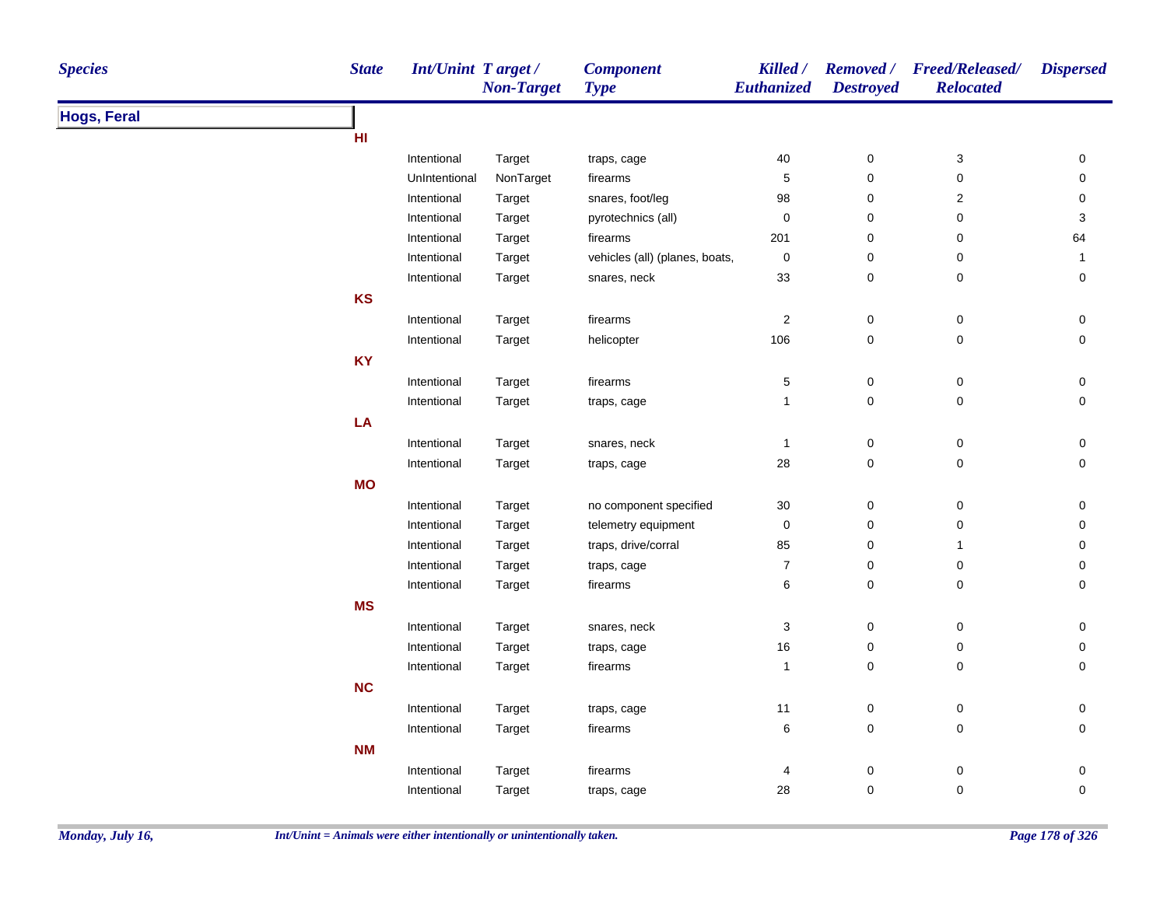| <b>Species</b>     | <b>State</b> | <b>Int/Unint Target/</b> | <b>Non-Target</b> | <b>Component</b><br><b>Type</b> | Killed /<br><b>Euthanized</b> | <b>Destroyed</b> | Removed / Freed/Released/<br><b>Relocated</b> | <b>Dispersed</b> |
|--------------------|--------------|--------------------------|-------------------|---------------------------------|-------------------------------|------------------|-----------------------------------------------|------------------|
| <b>Hogs, Feral</b> |              |                          |                   |                                 |                               |                  |                                               |                  |
|                    | HI           |                          |                   |                                 |                               |                  |                                               |                  |
|                    |              | Intentional              | Target            | traps, cage                     | 40                            | $\mathbf 0$      | $\mathbf{3}$                                  | 0                |
|                    |              | UnIntentional            | NonTarget         | firearms                        | 5                             | $\mathsf 0$      | $\pmb{0}$                                     | 0                |
|                    |              | Intentional              | Target            | snares, foot/leg                | 98                            | 0                | $\overline{2}$                                | 0                |
|                    |              | Intentional              | Target            | pyrotechnics (all)              | $\pmb{0}$                     | 0                | 0                                             | 3                |
|                    |              | Intentional              | Target            | firearms                        | 201                           | $\pmb{0}$        | 0                                             | 64               |
|                    |              | Intentional              | Target            | vehicles (all) (planes, boats,  | $\pmb{0}$                     | $\pmb{0}$        | $\pmb{0}$                                     | $\mathbf{1}$     |
|                    |              | Intentional              | Target            | snares, neck                    | 33                            | $\pmb{0}$        | $\pmb{0}$                                     | $\pmb{0}$        |
|                    | <b>KS</b>    |                          |                   |                                 |                               |                  |                                               |                  |
|                    |              | Intentional              | Target            | firearms                        | $\boldsymbol{2}$              | $\pmb{0}$        | $\pmb{0}$                                     | 0                |
|                    |              | Intentional              | Target            | helicopter                      | 106                           | $\pmb{0}$        | $\mathbf 0$                                   | 0                |
|                    | <b>KY</b>    |                          |                   |                                 |                               |                  |                                               |                  |
|                    |              | Intentional              | Target            | firearms                        | 5                             | $\mathbf 0$      | $\mathbf 0$                                   | 0                |
|                    |              | Intentional              | Target            | traps, cage                     | $\mathbf{1}$                  | $\mathsf 0$      | 0                                             | $\mathbf 0$      |
|                    | LA           |                          |                   |                                 |                               |                  |                                               |                  |
|                    |              | Intentional              | Target            | snares, neck                    | $\mathbf{1}$                  | $\mathsf 0$      | $\pmb{0}$                                     | $\mathbf 0$      |
|                    |              | Intentional              | Target            | traps, cage                     | 28                            | $\mathbf 0$      | $\mathbf 0$                                   | 0                |
|                    | <b>MO</b>    |                          |                   |                                 |                               |                  |                                               |                  |
|                    |              | Intentional              | Target            | no component specified          | $30\,$                        | $\pmb{0}$        | $\pmb{0}$                                     | 0                |
|                    |              | Intentional              | Target            | telemetry equipment             | $\pmb{0}$                     | $\pmb{0}$        | $\pmb{0}$                                     | $\pmb{0}$        |
|                    |              | Intentional              | Target            | traps, drive/corral             | 85                            | $\pmb{0}$        | $\overline{1}$                                | $\pmb{0}$        |
|                    |              | Intentional              | Target            | traps, cage                     | $\boldsymbol{7}$              | $\pmb{0}$        | $\pmb{0}$                                     | $\pmb{0}$        |
|                    |              | Intentional              | Target            | firearms                        | 6                             | $\mathbf 0$      | $\pmb{0}$                                     | 0                |
|                    | <b>MS</b>    |                          |                   |                                 |                               |                  |                                               |                  |
|                    |              | Intentional              | Target            | snares, neck                    | $\ensuremath{\mathsf{3}}$     | $\mathbf 0$      | $\pmb{0}$                                     | $\pmb{0}$        |
|                    |              | Intentional              | Target            | traps, cage                     | 16                            | $\pmb{0}$        | $\pmb{0}$                                     | 0                |
|                    |              | Intentional              | Target            | firearms                        | $\mathbf{1}$                  | 0                | 0                                             | 0                |
|                    | NC           |                          |                   |                                 |                               |                  |                                               |                  |
|                    |              | Intentional              | Target            | traps, cage                     | 11                            | $\mathbf 0$      | $\mathbf 0$                                   | 0                |
|                    |              | Intentional              | Target            | firearms                        | 6                             | $\mathsf 0$      | $\pmb{0}$                                     | 0                |
|                    | <b>NM</b>    |                          |                   |                                 |                               |                  |                                               |                  |
|                    |              | Intentional              | Target            | firearms                        | 4                             | $\pmb{0}$        | $\mathbf 0$                                   | 0                |
|                    |              | Intentional              | Target            | traps, cage                     | 28                            | 0                | $\pmb{0}$                                     | $\mathbf 0$      |
|                    |              |                          |                   |                                 |                               |                  |                                               |                  |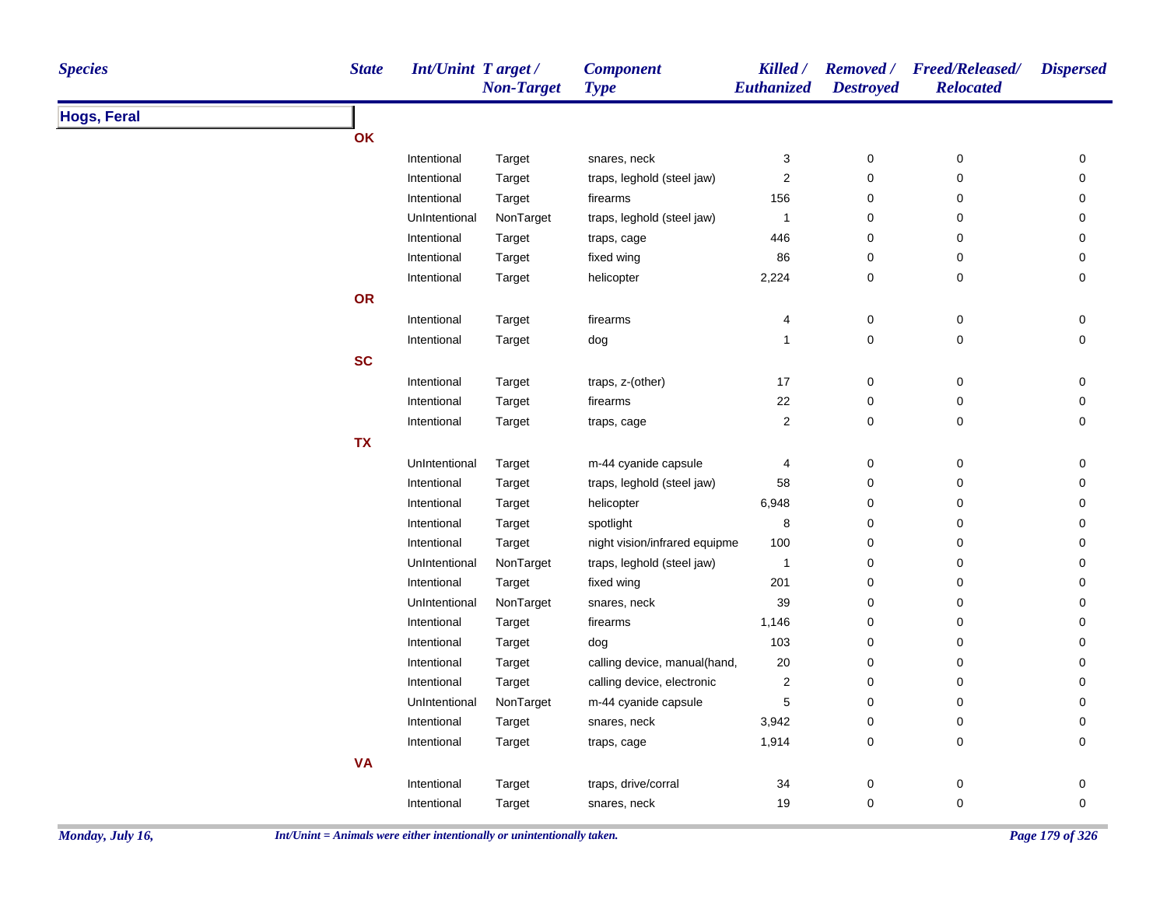| <b>Species</b>     | <b>State</b> | <b>Int/Unint Target/</b> | <b>Non-Target</b> | <b>Component</b><br><b>Type</b> | Killed /<br>Euthanized | <b>Destroyed</b> | Removed / Freed/Released/<br><b>Relocated</b> | <b>Dispersed</b> |
|--------------------|--------------|--------------------------|-------------------|---------------------------------|------------------------|------------------|-----------------------------------------------|------------------|
| <b>Hogs, Feral</b> |              |                          |                   |                                 |                        |                  |                                               |                  |
|                    | OK           |                          |                   |                                 |                        |                  |                                               |                  |
|                    |              | Intentional              | Target            | snares, neck                    | 3                      | $\pmb{0}$        | 0                                             | 0                |
|                    |              | Intentional              | Target            | traps, leghold (steel jaw)      | $\boldsymbol{2}$       | $\mathsf 0$      | $\mathsf 0$                                   | 0                |
|                    |              | Intentional              | Target            | firearms                        | 156                    | $\pmb{0}$        | 0                                             | 0                |
|                    |              | UnIntentional            | NonTarget         | traps, leghold (steel jaw)      | $\mathbf{1}$           | 0                | 0                                             | 0                |
|                    |              | Intentional              | Target            | traps, cage                     | 446                    | 0                | 0                                             | 0                |
|                    |              | Intentional              | Target            | fixed wing                      | 86                     | 0                | 0                                             | 0                |
|                    |              | Intentional              | Target            | helicopter                      | 2,224                  | $\pmb{0}$        | $\mathsf 0$                                   | 0                |
|                    | OR           |                          |                   |                                 |                        |                  |                                               |                  |
|                    |              | Intentional              | Target            | firearms                        | 4                      | $\pmb{0}$        | 0                                             | 0                |
|                    |              | Intentional              | Target            | dog                             | $\mathbf{1}$           | $\pmb{0}$        | 0                                             | $\pmb{0}$        |
|                    | <b>SC</b>    |                          |                   |                                 |                        |                  |                                               |                  |
|                    |              | Intentional              | Target            | traps, z-(other)                | 17                     | $\pmb{0}$        | $\pmb{0}$                                     | 0                |
|                    |              | Intentional              | Target            | firearms                        | 22                     | $\pmb{0}$        | $\pmb{0}$                                     | 0                |
|                    |              | Intentional              | Target            | traps, cage                     | $\boldsymbol{2}$       | $\mathbf 0$      | $\pmb{0}$                                     | 0                |
|                    | <b>TX</b>    |                          |                   |                                 |                        |                  |                                               |                  |
|                    |              | UnIntentional            | Target            | m-44 cyanide capsule            | 4                      | $\pmb{0}$        | $\pmb{0}$                                     | 0                |
|                    |              | Intentional              | Target            | traps, leghold (steel jaw)      | 58                     | $\pmb{0}$        | 0                                             | 0                |
|                    |              | Intentional              | Target            | helicopter                      | 6,948                  | $\pmb{0}$        | 0                                             | 0                |
|                    |              | Intentional              | Target            | spotlight                       | 8                      | 0                | 0                                             | 0                |
|                    |              | Intentional              | Target            | night vision/infrared equipme   | 100                    | 0                | 0                                             | 0                |
|                    |              | UnIntentional            | NonTarget         | traps, leghold (steel jaw)      | $\mathbf{1}$           | $\pmb{0}$        | 0                                             | 0                |
|                    |              | Intentional              | Target            | fixed wing                      | 201                    | $\pmb{0}$        | 0                                             | 0                |
|                    |              | UnIntentional            | NonTarget         | snares, neck                    | 39                     | $\pmb{0}$        | $\pmb{0}$                                     | 0                |
|                    |              | Intentional              | Target            | firearms                        | 1,146                  | $\pmb{0}$        | 0                                             | 0                |
|                    |              | Intentional              | Target            | dog                             | 103                    | 0                | 0                                             | 0                |
|                    |              | Intentional              | Target            | calling device, manual(hand,    | 20                     | 0                | 0                                             | 0                |
|                    |              | Intentional              | Target            | calling device, electronic      | $\boldsymbol{2}$       | $\pmb{0}$        | 0                                             | $\mathbf 0$      |
|                    |              | UnIntentional            | NonTarget         | m-44 cyanide capsule            | $\mathbf 5$            | $\pmb{0}$        | 0                                             | 0                |
|                    |              | Intentional              | Target            | snares, neck                    | 3,942                  | 0                | 0                                             | 0                |
|                    |              | Intentional              | Target            | traps, cage                     | 1,914                  | 0                | 0                                             | 0                |
|                    | <b>VA</b>    |                          |                   |                                 |                        |                  |                                               |                  |
|                    |              | Intentional              | Target            | traps, drive/corral             | 34                     | $\pmb{0}$        | 0                                             | 0                |
|                    |              | Intentional              | Target            | snares, neck                    | 19                     | $\mathbf 0$      | $\pmb{0}$                                     | $\mathbf 0$      |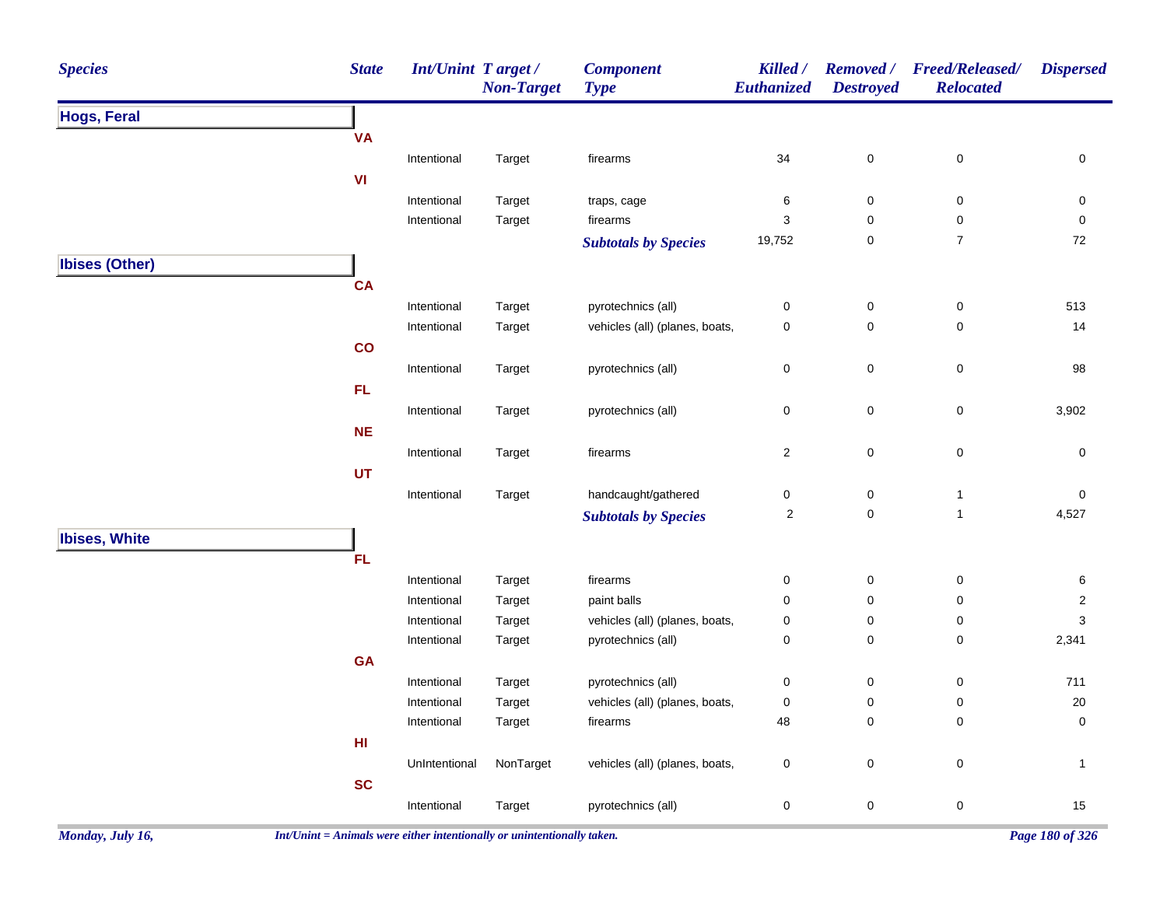| <b>Species</b>        | <b>State</b> | Int/Unint Target / | <b>Non-Target</b> | <b>Component</b><br><b>Type</b> | Killed /<br>Euthanized  | <b>Removed</b> /<br><b>Destroyed</b> | <b>Freed/Released/</b><br><b>Relocated</b> | <b>Dispersed</b> |
|-----------------------|--------------|--------------------|-------------------|---------------------------------|-------------------------|--------------------------------------|--------------------------------------------|------------------|
| <b>Hogs, Feral</b>    |              |                    |                   |                                 |                         |                                      |                                            |                  |
|                       | <b>VA</b>    |                    |                   |                                 |                         |                                      |                                            |                  |
|                       |              | Intentional        | Target            | firearms                        | 34                      | $\pmb{0}$                            | $\pmb{0}$                                  | $\pmb{0}$        |
|                       | VI           |                    |                   |                                 |                         |                                      |                                            |                  |
|                       |              | Intentional        | Target            | traps, cage                     | 6                       | 0                                    | $\mathbf 0$                                | 0                |
|                       |              | Intentional        | Target            | firearms                        | 3                       | $\mathsf 0$                          | $\pmb{0}$                                  | $\mathsf 0$      |
|                       |              |                    |                   | <b>Subtotals by Species</b>     | 19,752                  | $\pmb{0}$                            | $\boldsymbol{7}$                           | 72               |
| <b>Ibises (Other)</b> |              |                    |                   |                                 |                         |                                      |                                            |                  |
|                       | CA           |                    |                   |                                 |                         |                                      |                                            |                  |
|                       |              | Intentional        | Target            | pyrotechnics (all)              | 0                       | $\pmb{0}$                            | $\pmb{0}$                                  | 513              |
|                       |              | Intentional        | Target            | vehicles (all) (planes, boats,  | 0                       | $\mathbf 0$                          | $\mathbf 0$                                | 14               |
|                       | co           |                    |                   |                                 |                         |                                      |                                            |                  |
|                       |              | Intentional        | Target            | pyrotechnics (all)              | 0                       | $\mathsf 0$                          | $\pmb{0}$                                  | 98               |
|                       | FL.          |                    |                   |                                 |                         |                                      |                                            |                  |
|                       |              | Intentional        | Target            | pyrotechnics (all)              | 0                       | 0                                    | $\pmb{0}$                                  | 3,902            |
|                       | NE           |                    |                   |                                 |                         |                                      |                                            |                  |
|                       |              | Intentional        | Target            | firearms                        | $\overline{\mathbf{c}}$ | $\mathsf 0$                          | $\pmb{0}$                                  | $\mathbf 0$      |
|                       | <b>UT</b>    |                    |                   |                                 |                         |                                      |                                            |                  |
|                       |              | Intentional        | Target            | handcaught/gathered             | 0                       | $\pmb{0}$                            | $\mathbf{1}$                               | 0                |
|                       |              |                    |                   | <b>Subtotals by Species</b>     | $\overline{c}$          | $\mathsf 0$                          | $\mathbf{1}$                               | 4,527            |
| <b>Ibises, White</b>  |              |                    |                   |                                 |                         |                                      |                                            |                  |
|                       | <b>FL</b>    |                    |                   |                                 |                         |                                      |                                            |                  |
|                       |              | Intentional        | Target            | firearms                        | $\pmb{0}$               | $\pmb{0}$                            | $\pmb{0}$                                  | $\,6$            |
|                       |              | Intentional        | Target            | paint balls                     | 0                       | $\pmb{0}$                            | $\pmb{0}$                                  | $\overline{2}$   |
|                       |              | Intentional        | Target            | vehicles (all) (planes, boats,  | 0                       | $\mathsf 0$                          | 0                                          | $\mathsf 3$      |
|                       |              | Intentional        | Target            | pyrotechnics (all)              | 0                       | $\mathsf 0$                          | $\pmb{0}$                                  | 2,341            |
|                       | GA           |                    |                   |                                 |                         |                                      |                                            |                  |
|                       |              | Intentional        | Target            | pyrotechnics (all)              | 0                       | $\mathbf 0$                          | 0                                          | 711              |
|                       |              | Intentional        | Target            | vehicles (all) (planes, boats,  | $\mathbf 0$             | $\mathbf 0$                          | 0                                          | 20               |
|                       |              | Intentional        | Target            | firearms                        | 48                      | $\mathbf 0$                          | $\pmb{0}$                                  | $\mathsf 0$      |
|                       | HI           |                    |                   |                                 |                         |                                      |                                            |                  |
|                       |              | UnIntentional      | NonTarget         | vehicles (all) (planes, boats,  | 0                       | $\mathbf 0$                          | $\mathbf 0$                                | $\mathbf{1}$     |
|                       | <b>SC</b>    |                    |                   |                                 |                         |                                      |                                            |                  |
|                       |              | Intentional        | Target            | pyrotechnics (all)              | 0                       | $\mathsf{O}\xspace$                  | $\pmb{0}$                                  | 15               |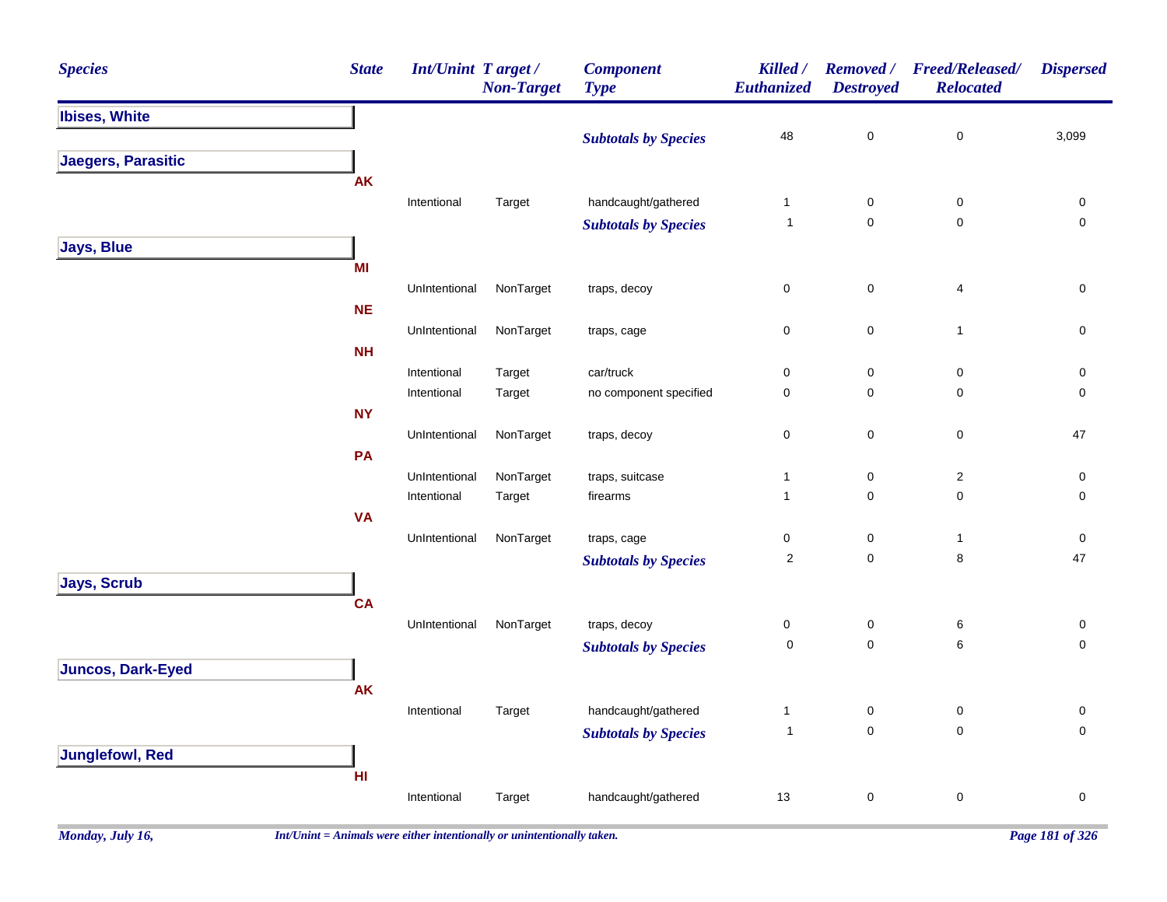| <b>Species</b>           | <b>State</b> | Int/Unint Target/ | <b>Non-Target</b> | <b>Component</b><br><b>Type</b> | Killed /<br>Euthanized | Removed /<br><b>Destroyed</b> | <b>Freed/Released/</b><br><b>Relocated</b> | <b>Dispersed</b>         |
|--------------------------|--------------|-------------------|-------------------|---------------------------------|------------------------|-------------------------------|--------------------------------------------|--------------------------|
| <b>Ibises, White</b>     |              |                   |                   |                                 |                        |                               |                                            |                          |
|                          |              |                   |                   | <b>Subtotals by Species</b>     | 48                     | 0                             | $\pmb{0}$                                  | 3,099                    |
| Jaegers, Parasitic       |              |                   |                   |                                 |                        |                               |                                            |                          |
|                          | <b>AK</b>    |                   |                   |                                 |                        |                               |                                            |                          |
|                          |              | Intentional       | Target            | handcaught/gathered             | $\mathbf{1}$           | $\pmb{0}$                     | $\pmb{0}$                                  | $\pmb{0}$                |
|                          |              |                   |                   | <b>Subtotals by Species</b>     | $\mathbf{1}$           | $\mathsf 0$                   | $\pmb{0}$                                  | $\mathsf 0$              |
| <b>Jays, Blue</b>        |              |                   |                   |                                 |                        |                               |                                            |                          |
|                          | MI           |                   |                   |                                 |                        |                               |                                            |                          |
|                          |              | UnIntentional     | NonTarget         | traps, decoy                    | $\pmb{0}$              | $\pmb{0}$                     | $\overline{\mathbf{4}}$                    | $\pmb{0}$                |
|                          | <b>NE</b>    |                   |                   |                                 |                        |                               | $\mathbf{1}$                               |                          |
|                          | NH           | UnIntentional     | NonTarget         | traps, cage                     | $\pmb{0}$              | 0                             |                                            | 0                        |
|                          |              | Intentional       | Target            | car/truck                       | $\mathsf 0$            | $\pmb{0}$                     | $\pmb{0}$                                  | $\pmb{0}$                |
|                          |              | Intentional       | Target            | no component specified          | $\mathsf 0$            | $\mathbf 0$                   | $\mathsf 0$                                | $\pmb{0}$                |
|                          | <b>NY</b>    |                   |                   |                                 |                        |                               |                                            |                          |
|                          |              | UnIntentional     | NonTarget         | traps, decoy                    | $\pmb{0}$              | $\pmb{0}$                     | $\mathbf 0$                                | 47                       |
|                          | PA           |                   |                   |                                 |                        |                               |                                            |                          |
|                          |              | UnIntentional     | NonTarget         | traps, suitcase                 | $\mathbf{1}$           | $\pmb{0}$                     | $\overline{2}$                             | $\pmb{0}$                |
|                          |              | Intentional       | Target            | firearms                        | $\mathbf{1}$           | $\mathbf 0$                   | $\pmb{0}$                                  | $\mathsf 0$              |
|                          | <b>VA</b>    |                   |                   |                                 |                        |                               |                                            |                          |
|                          |              | UnIntentional     | NonTarget         | traps, cage                     | $\pmb{0}$              | $\pmb{0}$                     | $\mathbf{1}$                               | $\mathbf 0$              |
|                          |              |                   |                   | <b>Subtotals by Species</b>     | $\overline{2}$         | $\mathbf 0$                   | $\bf8$                                     | 47                       |
| <b>Jays, Scrub</b>       |              |                   |                   |                                 |                        |                               |                                            |                          |
|                          | <b>CA</b>    |                   |                   |                                 |                        |                               |                                            |                          |
|                          |              | UnIntentional     | NonTarget         | traps, decoy                    | 0<br>$\pmb{0}$         | $\pmb{0}$<br>$\mathbf 0$      | 6<br>6                                     | $\pmb{0}$<br>$\mathbf 0$ |
|                          |              |                   |                   | <b>Subtotals by Species</b>     |                        |                               |                                            |                          |
| <b>Juncos, Dark-Eyed</b> | <b>AK</b>    |                   |                   |                                 |                        |                               |                                            |                          |
|                          |              | Intentional       | Target            | handcaught/gathered             | 1                      | $\pmb{0}$                     | $\pmb{0}$                                  | $\pmb{0}$                |
|                          |              |                   |                   | <b>Subtotals by Species</b>     | $\overline{1}$         | $\pmb{0}$                     | $\mathbf 0$                                | $\pmb{0}$                |
| <b>Junglefowl, Red</b>   |              |                   |                   |                                 |                        |                               |                                            |                          |
|                          | HI           |                   |                   |                                 |                        |                               |                                            |                          |
|                          |              | Intentional       | Target            | handcaught/gathered             | 13                     | $\pmb{0}$                     | $\pmb{0}$                                  | $\pmb{0}$                |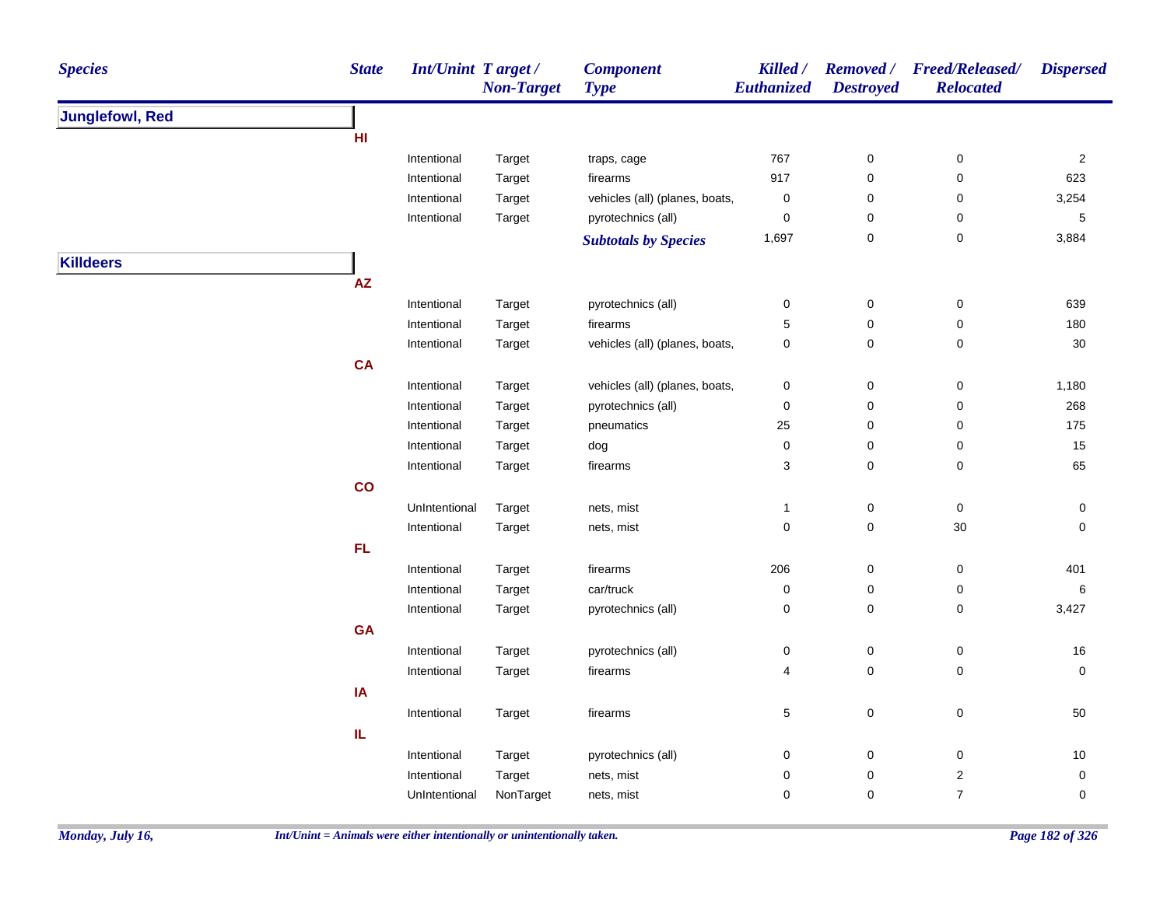| <b>State</b><br><b>Species</b> | <b>Int/Unint Target/</b> | <b>Non-Target</b> | <b>Component</b><br><b>Type</b> | Killed /<br>Euthanized | <b>Destroyed</b> | Removed / Freed/Released/<br><b>Relocated</b> | <b>Dispersed</b> |
|--------------------------------|--------------------------|-------------------|---------------------------------|------------------------|------------------|-----------------------------------------------|------------------|
| <b>Junglefowl, Red</b>         |                          |                   |                                 |                        |                  |                                               |                  |
| HI                             |                          |                   |                                 |                        |                  |                                               |                  |
|                                | Intentional              | Target            | traps, cage                     | 767                    | $\pmb{0}$        | $\pmb{0}$                                     | $\sqrt{2}$       |
|                                | Intentional              | Target            | firearms                        | 917                    | $\pmb{0}$        | 0                                             | 623              |
|                                | Intentional              | Target            | vehicles (all) (planes, boats,  | $\pmb{0}$              | 0                | 0                                             | 3,254            |
|                                | Intentional              | Target            | pyrotechnics (all)              | $\pmb{0}$              | 0                | 0                                             | 5                |
|                                |                          |                   | <b>Subtotals by Species</b>     | 1,697                  | $\mathbf 0$      | $\pmb{0}$                                     | 3,884            |
| <b>Killdeers</b>               |                          |                   |                                 |                        |                  |                                               |                  |
| <b>AZ</b>                      |                          |                   |                                 |                        |                  |                                               |                  |
|                                | Intentional              | Target            | pyrotechnics (all)              | $\pmb{0}$              | $\pmb{0}$        | $\mathsf 0$                                   | 639              |
|                                | Intentional              | Target            | firearms                        | $\mathbf 5$            | $\pmb{0}$        | $\pmb{0}$                                     | 180              |
|                                | Intentional              | Target            | vehicles (all) (planes, boats,  | 0                      | $\pmb{0}$        | $\mathbf 0$                                   | 30               |
| <b>CA</b>                      |                          |                   |                                 |                        |                  |                                               |                  |
|                                | Intentional              | Target            | vehicles (all) (planes, boats,  | $\pmb{0}$              | $\pmb{0}$        | $\pmb{0}$                                     | 1,180            |
|                                | Intentional              | Target            | pyrotechnics (all)              | $\pmb{0}$              | $\pmb{0}$        | $\pmb{0}$                                     | 268              |
|                                | Intentional              | Target            | pneumatics                      | 25                     | 0                | 0                                             | 175              |
|                                | Intentional              | Target            | dog                             | 0                      | 0                | 0                                             | 15               |
|                                | Intentional              | Target            | firearms                        | 3                      | $\pmb{0}$        | $\mathbf 0$                                   | 65               |
| $\mathbf{co}$                  |                          |                   |                                 |                        |                  |                                               |                  |
|                                | UnIntentional            | Target            | nets, mist                      | 1                      | $\pmb{0}$        | $\boldsymbol{0}$                              | $\mathbf 0$      |
|                                | Intentional              | Target            | nets, mist                      | $\pmb{0}$              | $\pmb{0}$        | $30\,$                                        | $\mathbf 0$      |
| FL                             |                          |                   |                                 |                        |                  |                                               |                  |
|                                | Intentional              | Target            | firearms                        | 206                    | $\boldsymbol{0}$ | $\mathbf 0$                                   | 401              |
|                                | Intentional              | Target            | car/truck                       | $\pmb{0}$              | $\pmb{0}$        | $\mathbf 0$                                   | $\,6$            |
|                                | Intentional              | Target            | pyrotechnics (all)              | $\pmb{0}$              | $\pmb{0}$        | $\pmb{0}$                                     | 3,427            |
| GA                             |                          |                   |                                 |                        |                  |                                               |                  |
|                                | Intentional              | Target            | pyrotechnics (all)              | 0                      | $\boldsymbol{0}$ | $\mathbf 0$                                   | 16               |
|                                | Intentional              | Target            | firearms                        | 4                      | $\mathbf 0$      | $\mathbf 0$                                   | $\mathbf 0$      |
| IA                             |                          |                   |                                 |                        |                  |                                               |                  |
|                                | Intentional              | Target            | firearms                        | 5                      | $\mathbf 0$      | 0                                             | 50               |
| IL                             |                          |                   |                                 |                        |                  |                                               |                  |
|                                | Intentional              | Target            | pyrotechnics (all)              | 0                      | $\boldsymbol{0}$ | 0                                             | 10               |
|                                | Intentional              | Target            | nets, mist                      | 0                      | $\pmb{0}$        | $\overline{c}$                                | $\mathbf 0$      |
|                                | UnIntentional            | NonTarget         | nets, mist                      | $\pmb{0}$              | $\mathbf 0$      | $\boldsymbol{7}$                              | $\mathbf 0$      |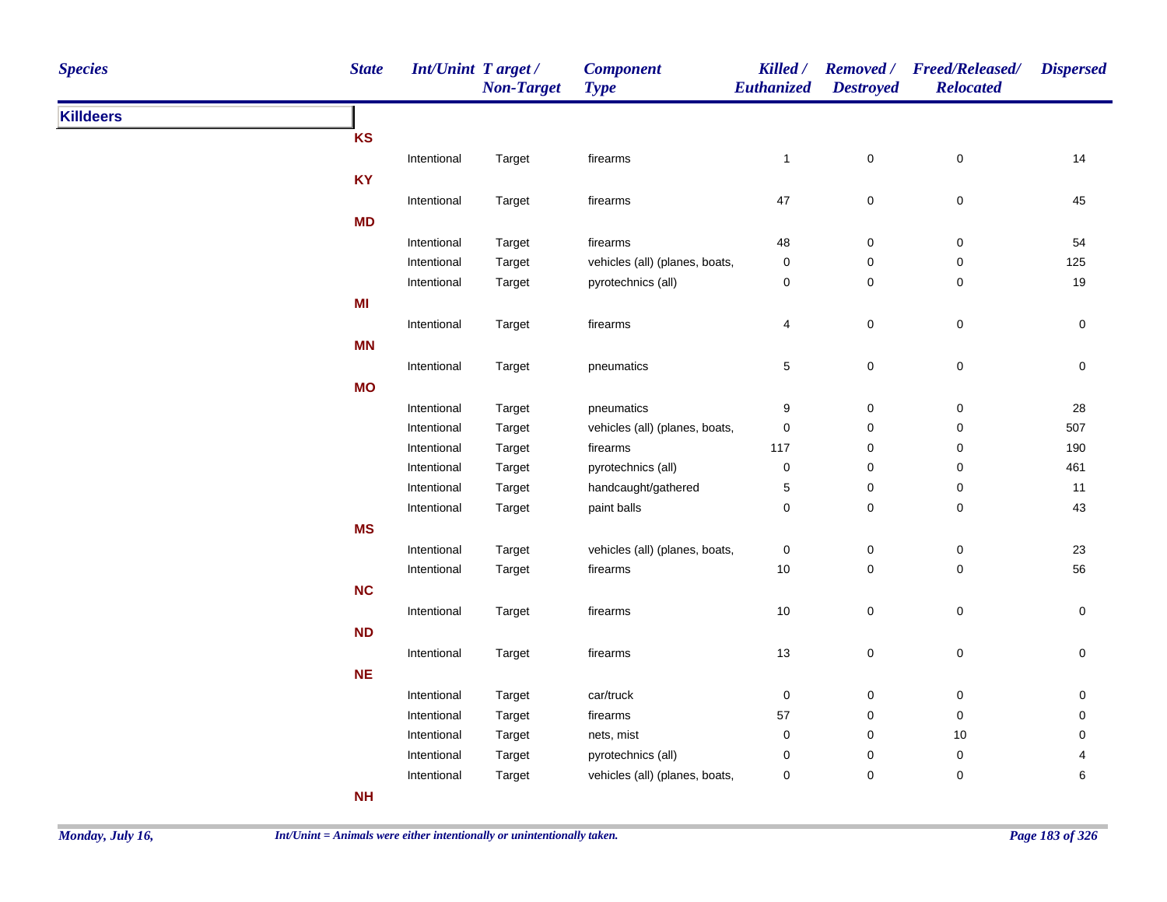| <b>Species</b>   | <b>State</b> | Int/Unint Target / | <b>Non-Target</b> | <b>Component</b><br><b>Type</b> | Killed /<br><b>Euthanized</b> | <b>Destroyed</b> | Removed / Freed/Released/<br><b>Relocated</b> | <b>Dispersed</b> |
|------------------|--------------|--------------------|-------------------|---------------------------------|-------------------------------|------------------|-----------------------------------------------|------------------|
| <b>Killdeers</b> |              |                    |                   |                                 |                               |                  |                                               |                  |
|                  | <b>KS</b>    |                    |                   |                                 |                               |                  |                                               |                  |
|                  |              | Intentional        | Target            | firearms                        | $\mathbf{1}$                  | $\pmb{0}$        | $\,0\,$                                       | 14               |
|                  | <b>KY</b>    |                    |                   |                                 |                               |                  |                                               |                  |
|                  |              | Intentional        | Target            | firearms                        | 47                            | $\mathbf 0$      | $\mathbf 0$                                   | 45               |
|                  | MD           |                    |                   |                                 |                               |                  |                                               |                  |
|                  |              | Intentional        | Target            | firearms                        | 48                            | $\mathbf 0$      | $\,0\,$                                       | 54               |
|                  |              | Intentional        | Target            | vehicles (all) (planes, boats,  | $\pmb{0}$                     | $\mathbf 0$      | 0                                             | 125              |
|                  |              | Intentional        | Target            | pyrotechnics (all)              | 0                             | $\pmb{0}$        | 0                                             | 19               |
|                  | MI           |                    |                   |                                 |                               |                  |                                               |                  |
|                  |              | Intentional        | Target            | firearms                        | $\overline{\mathbf{4}}$       | $\pmb{0}$        | $\,0\,$                                       | $\pmb{0}$        |
|                  | <b>MN</b>    |                    |                   |                                 |                               |                  |                                               |                  |
|                  |              | Intentional        | Target            | pneumatics                      | $\mathbf 5$                   | $\mathbf 0$      | 0                                             | 0                |
|                  | <b>MO</b>    |                    |                   |                                 |                               |                  |                                               |                  |
|                  |              | Intentional        | Target            | pneumatics                      | 9                             | $\boldsymbol{0}$ | 0                                             | 28               |
|                  |              | Intentional        | Target            | vehicles (all) (planes, boats,  | 0                             | $\mathbf 0$      | 0                                             | 507              |
|                  |              | Intentional        | Target            | firearms                        | 117                           | $\mathbf 0$      | 0                                             | 190              |
|                  |              | Intentional        | Target            | pyrotechnics (all)              | $\pmb{0}$                     | $\mathbf 0$      | 0                                             | 461              |
|                  |              | Intentional        | Target            | handcaught/gathered             | 5                             | $\mathbf 0$      | 0                                             | 11               |
|                  |              | Intentional        | Target            | paint balls                     | $\pmb{0}$                     | $\pmb{0}$        | $\mathbf 0$                                   | 43               |
|                  | <b>MS</b>    |                    |                   |                                 |                               |                  |                                               |                  |
|                  |              | Intentional        | Target            | vehicles (all) (planes, boats,  | $\pmb{0}$                     | $\pmb{0}$        | $\mathbf 0$                                   | 23               |
|                  |              | Intentional        | Target            | firearms                        | 10                            | $\pmb{0}$        | $\mathbf 0$                                   | 56               |
|                  | NC           |                    |                   |                                 |                               |                  |                                               |                  |
|                  |              | Intentional        |                   |                                 | $10$                          | $\pmb{0}$        | $\mathbf 0$                                   | $\mathsf 0$      |
|                  | ND           |                    | Target            | firearms                        |                               |                  |                                               |                  |
|                  |              |                    |                   |                                 |                               |                  |                                               |                  |
|                  |              | Intentional        | Target            | firearms                        | 13                            | $\pmb{0}$        | $\boldsymbol{0}$                              | 0                |
|                  | <b>NE</b>    |                    |                   |                                 |                               |                  |                                               |                  |
|                  |              | Intentional        | Target            | car/truck                       | $\pmb{0}$                     | $\pmb{0}$        | $\boldsymbol{0}$                              | $\pmb{0}$        |
|                  |              | Intentional        | Target            | firearms                        | 57                            | $\pmb{0}$        | $\pmb{0}$                                     | 0                |
|                  |              | Intentional        | Target            | nets, mist                      | $\pmb{0}$                     | $\pmb{0}$        | $10$                                          | 0                |
|                  |              | Intentional        | Target            | pyrotechnics (all)              | 0                             | $\pmb{0}$        | $\pmb{0}$                                     | 4                |
|                  |              | Intentional        | Target            | vehicles (all) (planes, boats,  | 0                             | 0                | 0                                             | 6                |
|                  | <b>NH</b>    |                    |                   |                                 |                               |                  |                                               |                  |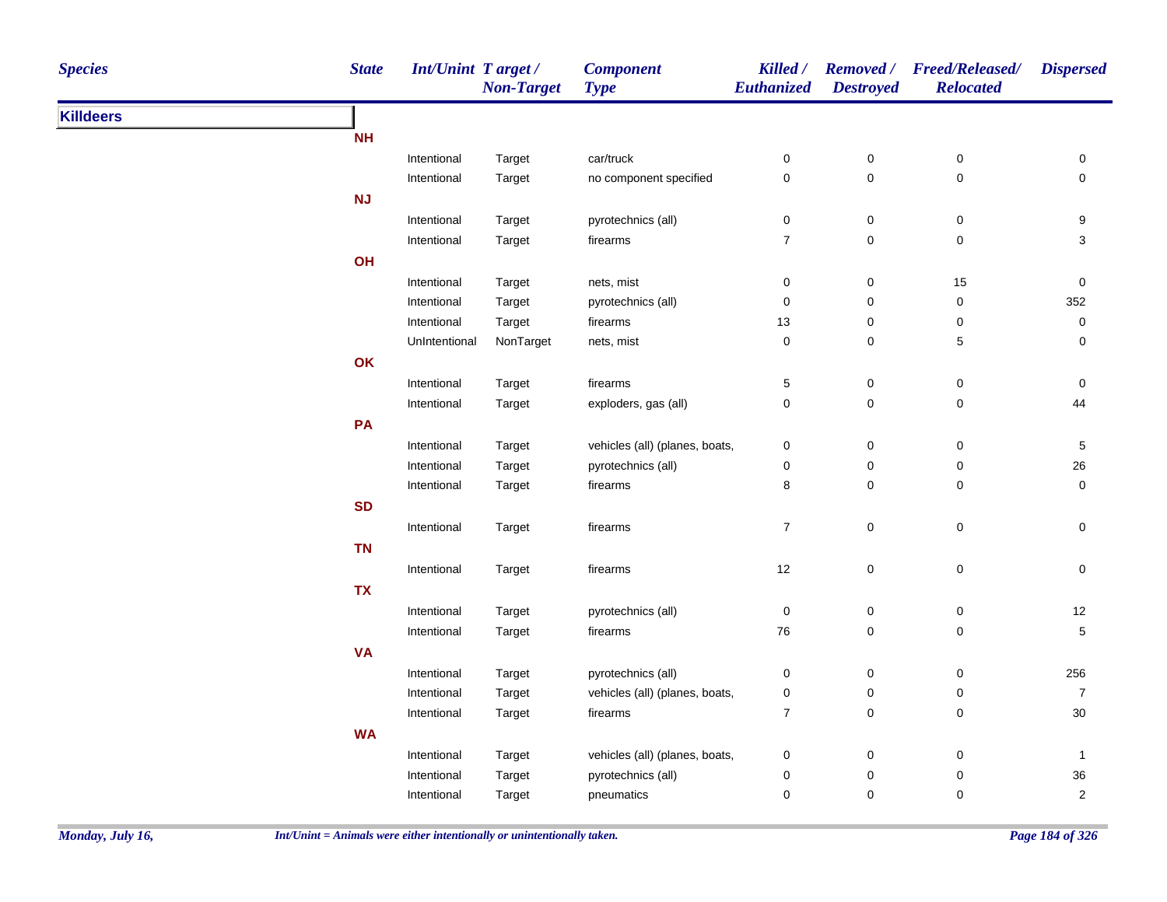| <b>Species</b>   | <b>State</b> | Int/Unint Target/          | <b>Non-Target</b> | <b>Component</b><br><b>Type</b> | Killed /<br>Euthanized | <b>Destroyed</b>    | Removed / Freed/Released/<br><b>Relocated</b> | <b>Dispersed</b>       |
|------------------|--------------|----------------------------|-------------------|---------------------------------|------------------------|---------------------|-----------------------------------------------|------------------------|
| <b>Killdeers</b> |              |                            |                   |                                 |                        |                     |                                               |                        |
|                  | <b>NH</b>    |                            |                   |                                 |                        |                     |                                               |                        |
|                  |              | Intentional                | Target            | car/truck                       | 0                      | 0                   | $\pmb{0}$                                     | 0                      |
|                  |              | Intentional                | Target            | no component specified          | $\pmb{0}$              | 0                   | $\pmb{0}$                                     | $\mathsf 0$            |
|                  | NJ           |                            |                   |                                 |                        |                     |                                               |                        |
|                  |              | Intentional                | Target            | pyrotechnics (all)              | $\pmb{0}$              | $\pmb{0}$           | $\pmb{0}$                                     | 9                      |
|                  |              | Intentional                | Target            | firearms                        | $\boldsymbol{7}$       | $\mathsf{O}\xspace$ | $\pmb{0}$                                     | $\sqrt{3}$             |
|                  | OH           |                            |                   |                                 |                        |                     |                                               |                        |
|                  |              | Intentional                | Target            | nets, mist                      | $\mathbf 0$            | $\pmb{0}$           | 15                                            | $\pmb{0}$              |
|                  |              | Intentional                | Target            | pyrotechnics (all)              | $\pmb{0}$              | 0                   | $\pmb{0}$                                     | 352                    |
|                  |              | Intentional                | Target            | firearms                        | 13                     | $\pmb{0}$           | $\pmb{0}$                                     | $\pmb{0}$              |
|                  |              | UnIntentional              | NonTarget         | nets, mist                      | 0                      | 0                   | 5                                             | 0                      |
|                  | OK           |                            |                   |                                 |                        |                     |                                               |                        |
|                  |              | Intentional                | Target            | firearms                        | 5                      | 0                   | $\pmb{0}$                                     | 0                      |
|                  |              | Intentional                | Target            | exploders, gas (all)            | $\pmb{0}$              | 0                   | 0                                             | 44                     |
|                  | PA           |                            |                   |                                 |                        |                     |                                               |                        |
|                  |              | Intentional                | Target            | vehicles (all) (planes, boats,  | 0                      | $\pmb{0}$           | $\pmb{0}$                                     | $\,$ 5 $\,$            |
|                  |              | Intentional                | Target            | pyrotechnics (all)              | 0                      | 0                   | $\pmb{0}$                                     | $26\,$                 |
|                  |              | Intentional                | Target            | firearms                        | 8                      | 0                   | 0                                             | $\mathsf{O}\xspace$    |
|                  | <b>SD</b>    |                            |                   |                                 |                        |                     |                                               |                        |
|                  |              | Intentional                | Target            | firearms                        | $\overline{7}$         | $\pmb{0}$           | $\pmb{0}$                                     | $\mathbf 0$            |
|                  | <b>TN</b>    |                            |                   |                                 |                        |                     |                                               |                        |
|                  |              | Intentional                | Target            | firearms                        | 12                     | $\pmb{0}$           | $\pmb{0}$                                     | $\mathbf 0$            |
|                  | <b>TX</b>    |                            |                   |                                 |                        |                     |                                               |                        |
|                  |              | Intentional                | Target            | pyrotechnics (all)              | $\pmb{0}$              | $\pmb{0}$           | $\pmb{0}$                                     | 12                     |
|                  |              | Intentional                | Target            | firearms                        | 76                     | 0                   | $\pmb{0}$                                     | 5                      |
|                  | <b>VA</b>    |                            |                   |                                 |                        |                     |                                               |                        |
|                  |              | Intentional                | Target            | pyrotechnics (all)              | 0                      | 0                   | $\pmb{0}$                                     | 256                    |
|                  |              | Intentional                | Target            | vehicles (all) (planes, boats,  | 0                      | 0                   | $\pmb{0}$                                     | $\overline{7}$         |
|                  |              | Intentional                | Target            | firearms                        | $\boldsymbol{7}$       | 0                   | $\pmb{0}$                                     | $30\,$                 |
|                  | <b>WA</b>    |                            |                   |                                 |                        |                     |                                               |                        |
|                  |              |                            |                   | vehicles (all) (planes, boats,  |                        |                     |                                               |                        |
|                  |              | Intentional<br>Intentional | Target<br>Target  | pyrotechnics (all)              | 0<br>0                 | 0<br>0              | 0<br>0                                        | $\mathbf{1}$<br>$36\,$ |
|                  |              |                            |                   |                                 | $\pmb{0}$              | 0                   | 0                                             | 2                      |
|                  |              | Intentional                | Target            | pneumatics                      |                        |                     |                                               |                        |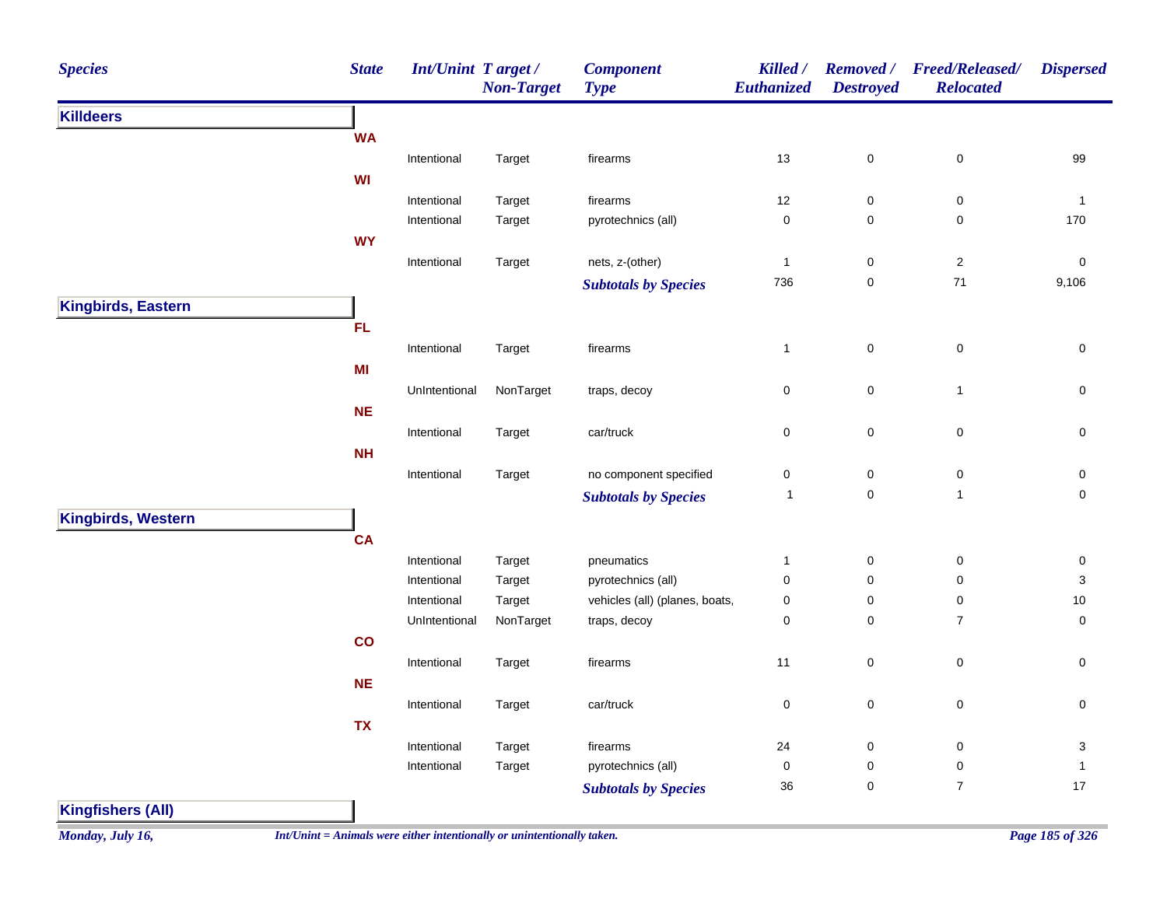| <b>Species</b>                         | <b>State</b> | Int/Unint Target/ | <b>Non-Target</b> | <b>Component</b><br><b>Type</b> | Killed /<br>Euthanized | <b>Removed</b> /<br><b>Destroyed</b> | <b>Freed/Released/</b><br><b>Relocated</b> | <b>Dispersed</b> |
|----------------------------------------|--------------|-------------------|-------------------|---------------------------------|------------------------|--------------------------------------|--------------------------------------------|------------------|
| <b>Killdeers</b><br>Kingbirds, Western |              |                   |                   |                                 |                        |                                      |                                            |                  |
|                                        | <b>WA</b>    |                   |                   |                                 |                        |                                      |                                            |                  |
|                                        |              | Intentional       | Target            | firearms                        | 13                     | $\mathbf 0$                          | $\pmb{0}$                                  | 99               |
|                                        | WI           |                   |                   |                                 |                        |                                      |                                            |                  |
|                                        |              | Intentional       | Target            | firearms                        | 12                     | $\pmb{0}$                            | $\pmb{0}$                                  | $\overline{1}$   |
|                                        |              | Intentional       | Target            | pyrotechnics (all)              | $\pmb{0}$              | $\pmb{0}$                            | $\pmb{0}$                                  | 170              |
|                                        | <b>WY</b>    |                   |                   |                                 |                        |                                      |                                            |                  |
|                                        |              | Intentional       | Target            | nets, z-(other)                 | $\mathbf{1}$           | $\pmb{0}$                            | $\overline{c}$                             | $\pmb{0}$        |
|                                        |              |                   |                   | <b>Subtotals by Species</b>     | 736                    | $\pmb{0}$                            | 71                                         | 9,106            |
| Kingbirds, Eastern                     |              |                   |                   |                                 |                        |                                      |                                            |                  |
|                                        | <b>FL</b>    |                   |                   |                                 |                        |                                      |                                            |                  |
|                                        |              | Intentional       | Target            | firearms                        | $\mathbf{1}$           | $\pmb{0}$                            | $\pmb{0}$                                  | $\pmb{0}$        |
|                                        | MI           |                   |                   |                                 |                        |                                      |                                            |                  |
|                                        |              | UnIntentional     | NonTarget         | traps, decoy                    | 0                      | $\pmb{0}$                            | $\mathbf{1}$                               | 0                |
|                                        | <b>NE</b>    |                   |                   |                                 |                        |                                      |                                            |                  |
|                                        |              | Intentional       | Target            | car/truck                       | $\mathsf 0$            | $\mathbf 0$                          | $\pmb{0}$                                  | $\mathsf 0$      |
|                                        | <b>NH</b>    |                   |                   |                                 |                        |                                      |                                            |                  |
|                                        |              | Intentional       | Target            | no component specified          | 0                      | $\pmb{0}$                            | $\pmb{0}$                                  | 0                |
|                                        |              |                   |                   | <b>Subtotals by Species</b>     | $\mathbf{1}$           | $\mathbf 0$                          | $\mathbf{1}$                               | $\mathsf 0$      |
|                                        |              |                   |                   |                                 |                        |                                      |                                            |                  |
|                                        | <b>CA</b>    |                   |                   |                                 |                        |                                      |                                            |                  |
|                                        |              | Intentional       | Target            | pneumatics                      | $\mathbf{1}$           | $\pmb{0}$                            | $\pmb{0}$                                  | $\pmb{0}$        |
|                                        |              | Intentional       | Target            | pyrotechnics (all)              | $\mathbf 0$            | $\mathbf 0$                          | $\pmb{0}$                                  | 3                |
|                                        |              | Intentional       | Target            | vehicles (all) (planes, boats,  | $\pmb{0}$              | 0                                    | $\pmb{0}$                                  | $10$             |
|                                        |              | UnIntentional     | NonTarget         | traps, decoy                    | $\pmb{0}$              | $\pmb{0}$                            | $\overline{7}$                             | $\pmb{0}$        |
|                                        | co           |                   |                   |                                 |                        |                                      |                                            |                  |
|                                        |              | Intentional       | Target            | firearms                        | 11                     | $\pmb{0}$                            | $\pmb{0}$                                  | $\mathsf 0$      |
|                                        | <b>NE</b>    |                   |                   |                                 |                        |                                      |                                            |                  |
|                                        |              | Intentional       | Target            | car/truck                       | $\pmb{0}$              | $\pmb{0}$                            | $\mathbf 0$                                | $\pmb{0}$        |
|                                        | <b>TX</b>    |                   |                   |                                 |                        |                                      |                                            |                  |
|                                        |              | Intentional       | Target            | firearms                        | 24                     | $\pmb{0}$                            | $\pmb{0}$                                  | 3                |
|                                        |              | Intentional       | Target            | pyrotechnics (all)              | $\mathbf 0$            | $\pmb{0}$                            | $\pmb{0}$                                  | $\mathbf{1}$     |
|                                        |              |                   |                   | <b>Subtotals by Species</b>     | 36                     | $\pmb{0}$                            | $\boldsymbol{7}$                           | $17$             |
| <b>Kingfishers (All)</b>               |              |                   |                   |                                 |                        |                                      |                                            |                  |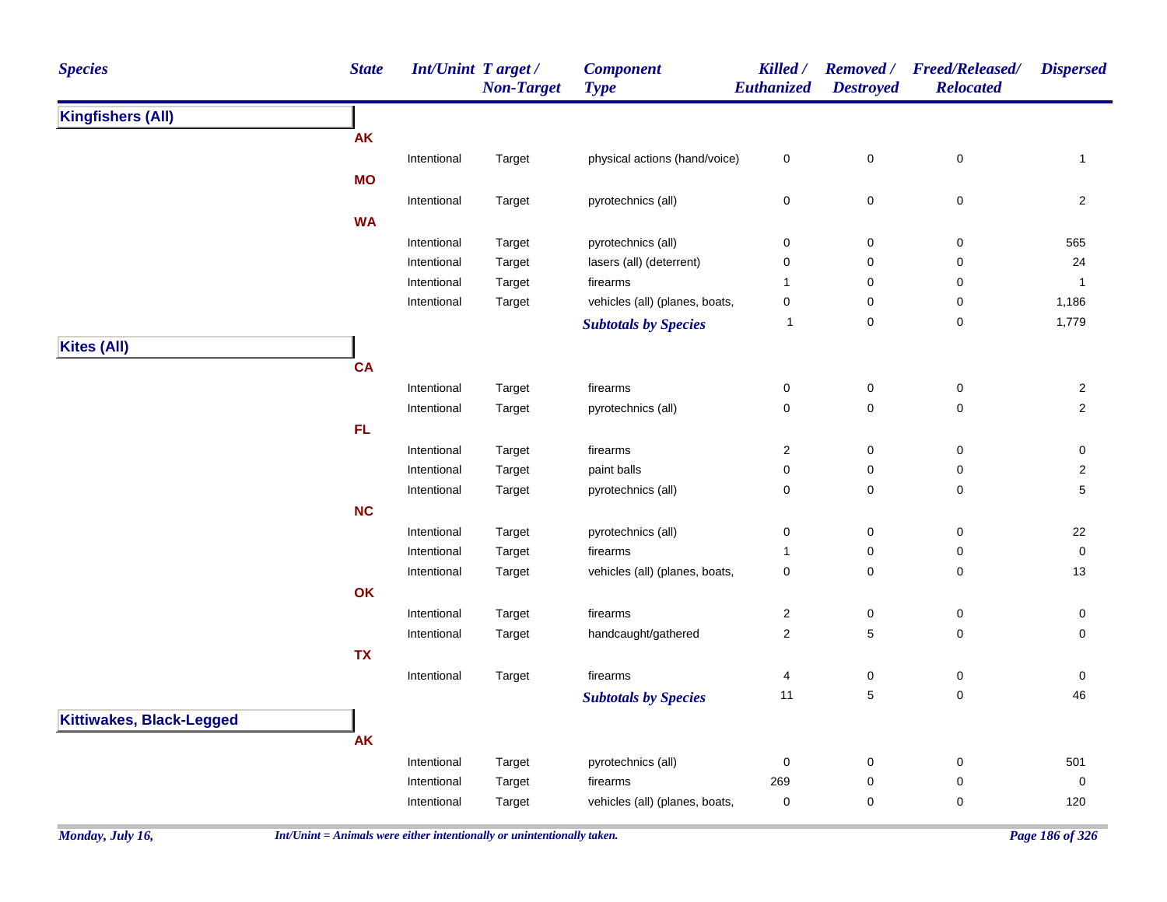| <b>Species</b>                  | <b>State</b> | <b>Int/Unint Target/</b> | <b>Non-Target</b> | <b>Component</b><br><b>Type</b> | Killed /<br>Euthanized  | <b>Removed</b> /<br><b>Destroyed</b> | <b>Freed/Released/</b><br><b>Relocated</b> | <b>Dispersed</b>        |
|---------------------------------|--------------|--------------------------|-------------------|---------------------------------|-------------------------|--------------------------------------|--------------------------------------------|-------------------------|
| <b>Kingfishers (All)</b>        |              |                          |                   |                                 |                         |                                      |                                            |                         |
|                                 | <b>AK</b>    |                          |                   |                                 |                         |                                      |                                            |                         |
|                                 |              | Intentional              | Target            | physical actions (hand/voice)   | 0                       | $\mathbf 0$                          | 0                                          | $\mathbf{1}$            |
|                                 | <b>MO</b>    |                          |                   |                                 |                         |                                      |                                            |                         |
|                                 |              | Intentional              | Target            | pyrotechnics (all)              | 0                       | $\mathbf 0$                          | $\pmb{0}$                                  | $\overline{2}$          |
|                                 | <b>WA</b>    |                          |                   |                                 |                         |                                      |                                            |                         |
|                                 |              | Intentional              | Target            | pyrotechnics (all)              | 0                       | $\pmb{0}$                            | $\pmb{0}$                                  | 565                     |
|                                 |              | Intentional              | Target            | lasers (all) (deterrent)        | 0                       | $\pmb{0}$                            | $\pmb{0}$                                  | 24                      |
|                                 |              | Intentional              | Target            | firearms                        | $\mathbf{1}$            | $\pmb{0}$                            | 0                                          | $\mathbf{1}$            |
|                                 |              | Intentional              | Target            | vehicles (all) (planes, boats,  | 0                       | $\pmb{0}$                            | 0                                          | 1,186                   |
|                                 |              |                          |                   | <b>Subtotals by Species</b>     | $\mathbf{1}$            | $\pmb{0}$                            | 0                                          | 1,779                   |
| <b>Kites (All)</b>              |              |                          |                   |                                 |                         |                                      |                                            |                         |
|                                 | <b>CA</b>    |                          |                   |                                 |                         |                                      |                                            |                         |
|                                 |              | Intentional              | Target            | firearms                        | 0                       | 0                                    | 0                                          | $\overline{c}$          |
|                                 |              | Intentional              | Target            | pyrotechnics (all)              | 0                       | $\mathbf 0$                          | $\mathsf 0$                                | $\mathbf 2$             |
|                                 | ${\sf FL}$   |                          |                   |                                 |                         |                                      |                                            |                         |
|                                 |              | Intentional              | Target            | firearms                        | 2                       | $\mathbf 0$                          | $\pmb{0}$                                  | 0                       |
|                                 |              | Intentional              | Target            | paint balls                     | 0                       | 0                                    | $\pmb{0}$                                  | $\overline{\mathbf{c}}$ |
|                                 |              | Intentional              | Target            | pyrotechnics (all)              | 0                       | $\mathbf 0$                          | $\pmb{0}$                                  | 5                       |
|                                 | NC           |                          |                   |                                 |                         |                                      |                                            |                         |
|                                 |              | Intentional              | Target            | pyrotechnics (all)              | 0                       | 0                                    | $\pmb{0}$                                  | 22                      |
|                                 |              | Intentional              | Target            | firearms                        | $\mathbf{1}$            | $\pmb{0}$                            | 0                                          | $\mathsf{O}\xspace$     |
|                                 |              | Intentional              | Target            | vehicles (all) (planes, boats,  | 0                       | 0                                    | 0                                          | 13                      |
|                                 | OK           |                          |                   |                                 |                         |                                      |                                            |                         |
|                                 |              | Intentional              | Target            | firearms                        | $\overline{\mathbf{c}}$ | $\pmb{0}$                            | $\mathsf 0$                                | $\mathsf{O}\xspace$     |
|                                 |              | Intentional              | Target            | handcaught/gathered             | $\overline{c}$          | 5                                    | $\pmb{0}$                                  | $\mathbf 0$             |
|                                 | <b>TX</b>    |                          |                   |                                 |                         |                                      |                                            |                         |
|                                 |              | Intentional              | Target            | firearms                        | 4                       | $\pmb{0}$                            | $\pmb{0}$                                  | 0                       |
|                                 |              |                          |                   | <b>Subtotals by Species</b>     | 11                      | $\,$ 5 $\,$                          | 0                                          | 46                      |
| <b>Kittiwakes, Black-Legged</b> |              |                          |                   |                                 |                         |                                      |                                            |                         |
|                                 | <b>AK</b>    |                          |                   |                                 |                         |                                      |                                            |                         |
|                                 |              | Intentional              | Target            | pyrotechnics (all)              | $\boldsymbol{0}$        | $\pmb{0}$                            | $\pmb{0}$                                  | 501                     |
|                                 |              | Intentional              | Target            | firearms                        | 269                     | $\pmb{0}$                            | $\pmb{0}$                                  | $\pmb{0}$               |
|                                 |              | Intentional              | Target            | vehicles (all) (planes, boats,  | 0                       | 0                                    | $\pmb{0}$                                  | 120                     |
|                                 |              |                          |                   |                                 |                         |                                      |                                            |                         |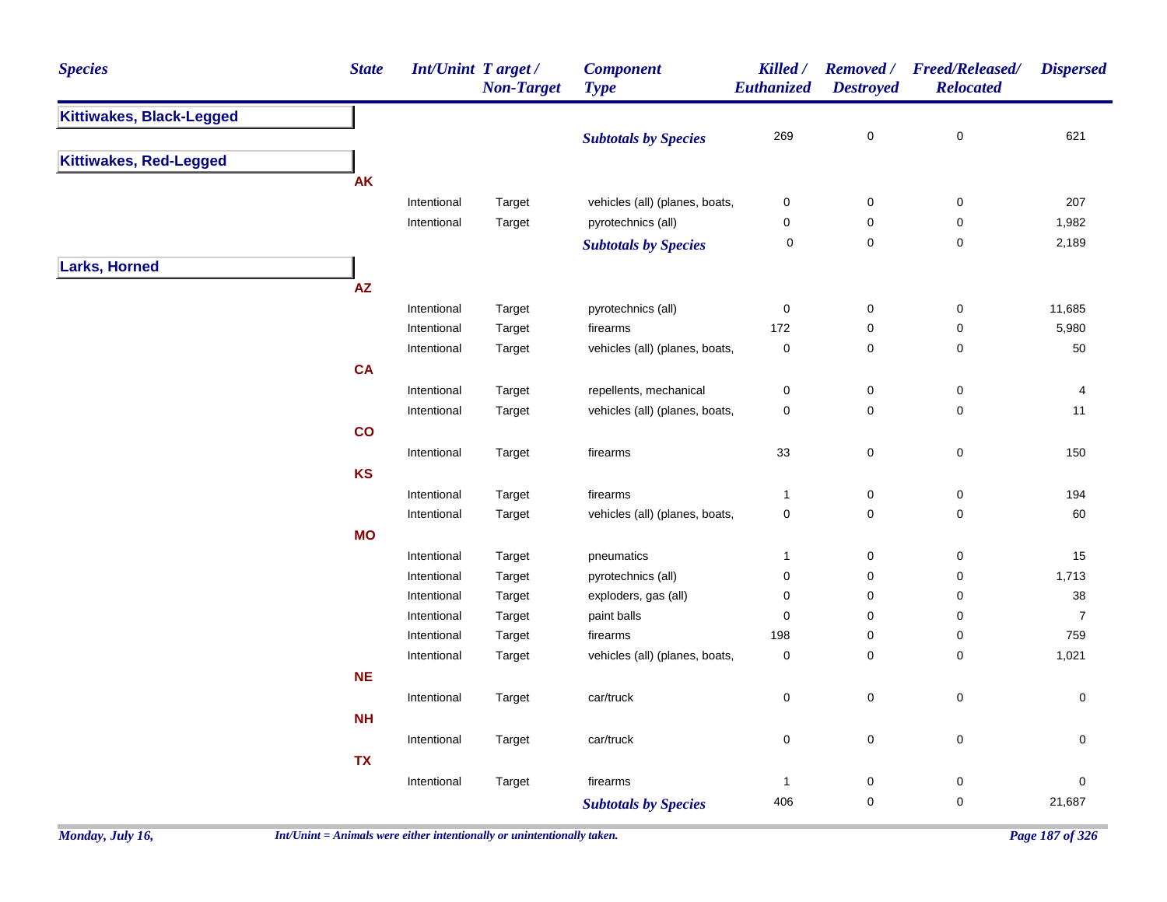| <b>Species</b>                | <b>State</b> | <b>Int/Unint Target/</b> | <b>Non-Target</b> | <b>Component</b><br><b>Type</b> | Killed /<br>Euthanized | <b>Destroyed</b> | Removed / Freed/Released/<br><b>Relocated</b> | <b>Dispersed</b>    |
|-------------------------------|--------------|--------------------------|-------------------|---------------------------------|------------------------|------------------|-----------------------------------------------|---------------------|
| Kittiwakes, Black-Legged      |              |                          |                   |                                 |                        |                  |                                               |                     |
|                               |              |                          |                   | <b>Subtotals by Species</b>     | 269                    | $\pmb{0}$        | $\pmb{0}$                                     | 621                 |
| <b>Kittiwakes, Red-Legged</b> |              |                          |                   |                                 |                        |                  |                                               |                     |
|                               | <b>AK</b>    |                          |                   |                                 |                        |                  |                                               |                     |
|                               |              | Intentional              | Target            | vehicles (all) (planes, boats,  | $\pmb{0}$              | $\pmb{0}$        | $\pmb{0}$                                     | 207                 |
|                               |              | Intentional              | Target            | pyrotechnics (all)              | $\mathbf 0$            | 0                | 0                                             | 1,982               |
|                               |              |                          |                   | <b>Subtotals by Species</b>     | 0                      | $\mathbf 0$      | $\mathbf 0$                                   | 2,189               |
| <b>Larks, Horned</b>          |              |                          |                   |                                 |                        |                  |                                               |                     |
|                               | AZ           |                          |                   |                                 |                        |                  |                                               |                     |
|                               |              | Intentional              | Target            | pyrotechnics (all)              | $\pmb{0}$              | $\pmb{0}$        | $\pmb{0}$                                     | 11,685              |
|                               |              | Intentional              | Target            | firearms                        | 172                    | 0                | $\pmb{0}$                                     | 5,980               |
|                               |              | Intentional              | Target            | vehicles (all) (planes, boats,  | $\pmb{0}$              | $\mathbf 0$      | $\mathbf 0$                                   | 50                  |
|                               | <b>CA</b>    |                          |                   |                                 |                        |                  |                                               |                     |
|                               |              | Intentional              | Target            | repellents, mechanical          | $\pmb{0}$              | $\pmb{0}$        | $\pmb{0}$                                     | $\overline{4}$      |
|                               |              | Intentional              | Target            | vehicles (all) (planes, boats,  | $\pmb{0}$              | $\mathbf 0$      | 0                                             | 11                  |
|                               | co           |                          |                   |                                 |                        |                  |                                               |                     |
|                               |              | Intentional              | Target            | firearms                        | 33                     | $\pmb{0}$        | $\pmb{0}$                                     | 150                 |
|                               | <b>KS</b>    |                          |                   |                                 |                        |                  |                                               |                     |
|                               |              | Intentional              | Target            | firearms                        | $\mathbf{1}$           | $\pmb{0}$        | 0                                             | 194                 |
|                               |              | Intentional              | Target            | vehicles (all) (planes, boats,  | $\pmb{0}$              | $\mathsf 0$      | $\pmb{0}$                                     | 60                  |
|                               | <b>MO</b>    |                          |                   |                                 |                        |                  |                                               |                     |
|                               |              | Intentional              | Target            | pneumatics                      | $\mathbf{1}$           | $\mathbf 0$      | 0                                             | 15                  |
|                               |              | Intentional              | Target            | pyrotechnics (all)              | $\pmb{0}$              | $\mathsf 0$      | 0                                             | 1,713               |
|                               |              | Intentional              | Target            | exploders, gas (all)            | 0                      | $\mathbf 0$      | 0                                             | 38                  |
|                               |              | Intentional              | Target            | paint balls                     | $\mathbf 0$            | $\pmb{0}$        | 0                                             | $\overline{7}$      |
|                               |              | Intentional              | Target            | firearms                        | 198                    | 0                | $\pmb{0}$                                     | 759                 |
|                               |              | Intentional              | Target            | vehicles (all) (planes, boats,  | $\mathbf 0$            | 0                | 0                                             | 1,021               |
|                               | <b>NE</b>    |                          |                   |                                 |                        |                  |                                               |                     |
|                               |              | Intentional              | Target            | car/truck                       | $\pmb{0}$              | $\mathsf 0$      | $\pmb{0}$                                     | $\mathsf{O}\xspace$ |
|                               | NH           |                          |                   |                                 |                        |                  |                                               |                     |
|                               |              | Intentional              | Target            | car/truck                       | $\pmb{0}$              | $\mathsf 0$      | $\pmb{0}$                                     | 0                   |
|                               | <b>TX</b>    |                          |                   |                                 |                        |                  |                                               |                     |
|                               |              | Intentional              | Target            | firearms                        | $\mathbf{1}$           | $\pmb{0}$        | $\pmb{0}$                                     | $\pmb{0}$           |
|                               |              |                          |                   | <b>Subtotals by Species</b>     | 406                    | $\pmb{0}$        | 0                                             | 21,687              |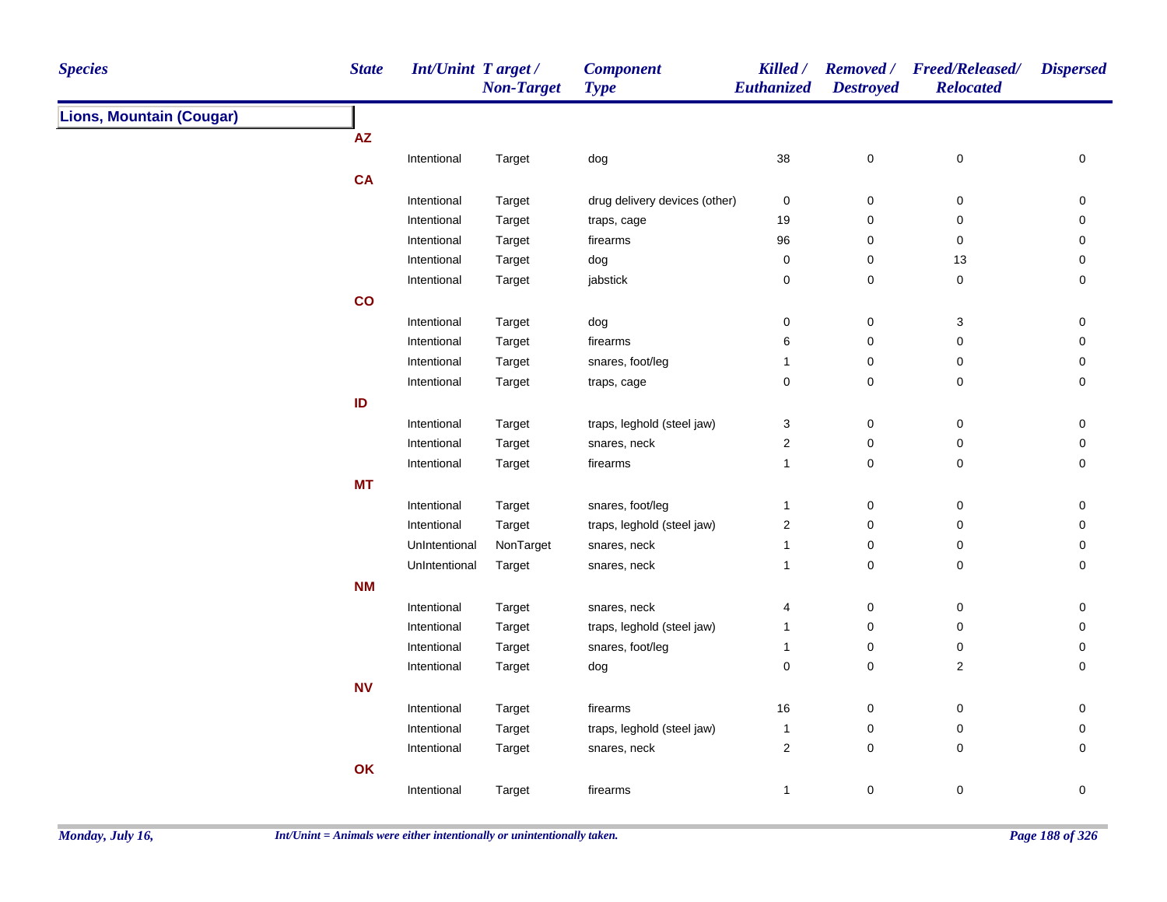| <b>Species</b>                  | <b>State</b>               | <b>Int/Unint Target/</b> | <b>Non-Target</b> | <b>Component</b><br><b>Type</b> | Killed /<br>Euthanized | <b>Destroyed</b> | Removed / Freed/Released/<br><b>Relocated</b> | <b>Dispersed</b> |
|---------------------------------|----------------------------|--------------------------|-------------------|---------------------------------|------------------------|------------------|-----------------------------------------------|------------------|
| <b>Lions, Mountain (Cougar)</b> |                            |                          |                   |                                 |                        |                  |                                               |                  |
|                                 | <b>AZ</b>                  |                          |                   |                                 |                        |                  |                                               |                  |
|                                 |                            | Intentional              | Target            | dog                             | 38                     | $\pmb{0}$        | $\pmb{0}$                                     | 0                |
|                                 | <b>CA</b>                  |                          |                   |                                 |                        |                  |                                               |                  |
|                                 |                            | Intentional              | Target            | drug delivery devices (other)   | 0                      | 0                | 0                                             | 0                |
|                                 |                            | Intentional              | Target            | traps, cage                     | 19                     | 0                | 0                                             | 0                |
|                                 |                            | Intentional              | Target            | firearms                        | 96                     | 0                | 0                                             | 0                |
|                                 |                            | Intentional              | Target            | dog                             | 0                      | 0                | 13                                            | 0                |
|                                 |                            | Intentional              | Target            | jabstick                        | 0                      | 0                | $\pmb{0}$                                     | 0                |
|                                 | $\mathsf{co}$              |                          |                   |                                 |                        |                  |                                               |                  |
|                                 |                            | Intentional              | Target            | dog                             | 0                      | $\mathbf 0$      | $\ensuremath{\mathsf{3}}$                     | 0                |
|                                 |                            | Intentional              | Target            | firearms                        | 6                      | 0                | $\pmb{0}$                                     | 0                |
|                                 |                            | Intentional              | Target            | snares, foot/leg                | $\mathbf{1}$           | $\mathsf 0$      | $\pmb{0}$                                     | 0                |
|                                 |                            | Intentional              | Target            | traps, cage                     | $\pmb{0}$              | 0                | $\pmb{0}$                                     | 0                |
|                                 | ID                         |                          |                   |                                 |                        |                  |                                               |                  |
|                                 |                            | Intentional              | Target            | traps, leghold (steel jaw)      | 3                      | $\pmb{0}$        | $\pmb{0}$                                     | 0                |
|                                 |                            | Intentional              | Target            | snares, neck                    | $\boldsymbol{2}$       | $\pmb{0}$        | $\pmb{0}$                                     | $\pmb{0}$        |
|                                 |                            | Intentional              | Target            | firearms                        | $\mathbf{1}$           | 0                | $\pmb{0}$                                     | 0                |
|                                 | <b>MT</b>                  |                          |                   |                                 |                        |                  |                                               |                  |
|                                 |                            | Intentional              | Target            | snares, foot/leg                | $\mathbf{1}$           | 0                | 0                                             | 0                |
|                                 |                            | Intentional              | Target            | traps, leghold (steel jaw)      | $\boldsymbol{2}$       | 0                | 0                                             | 0                |
|                                 |                            | UnIntentional            | NonTarget         | snares, neck                    | $\mathbf{1}$           | 0                | $\pmb{0}$                                     | 0                |
|                                 |                            | UnIntentional            | Target            | snares, neck                    | $\mathbf{1}$           | 0                | $\mathbf 0$                                   | 0                |
|                                 | <b>NM</b>                  |                          |                   |                                 |                        |                  |                                               |                  |
|                                 |                            | Intentional              | Target            | snares, neck                    | 4                      | 0                | $\pmb{0}$                                     | 0                |
|                                 |                            | Intentional              | Target            | traps, leghold (steel jaw)      | $\mathbf{1}$           | $\pmb{0}$        | $\pmb{0}$                                     | $\pmb{0}$        |
|                                 |                            | Intentional              | Target            | snares, foot/leg                | 1                      | 0                | 0                                             | $\pmb{0}$        |
|                                 |                            | Intentional              | Target            | dog                             | $\pmb{0}$              | 0                | $\boldsymbol{2}$                              | 0                |
|                                 | $\boldsymbol{\mathsf{NV}}$ |                          |                   |                                 |                        |                  |                                               |                  |
|                                 |                            | Intentional              | Target            | firearms                        | 16                     | 0                | 0                                             | 0                |
|                                 |                            | Intentional              | Target            | traps, leghold (steel jaw)      | 1                      | 0                | 0                                             | 0                |
|                                 |                            | Intentional              | Target            | snares, neck                    | $\boldsymbol{2}$       | 0                | $\pmb{0}$                                     | $\mathbf 0$      |
|                                 | OK                         |                          |                   |                                 |                        |                  |                                               |                  |
|                                 |                            | Intentional              | Target            | firearms                        | $\mathbf{1}$           | $\mathbf 0$      | 0                                             | 0                |
|                                 |                            |                          |                   |                                 |                        |                  |                                               |                  |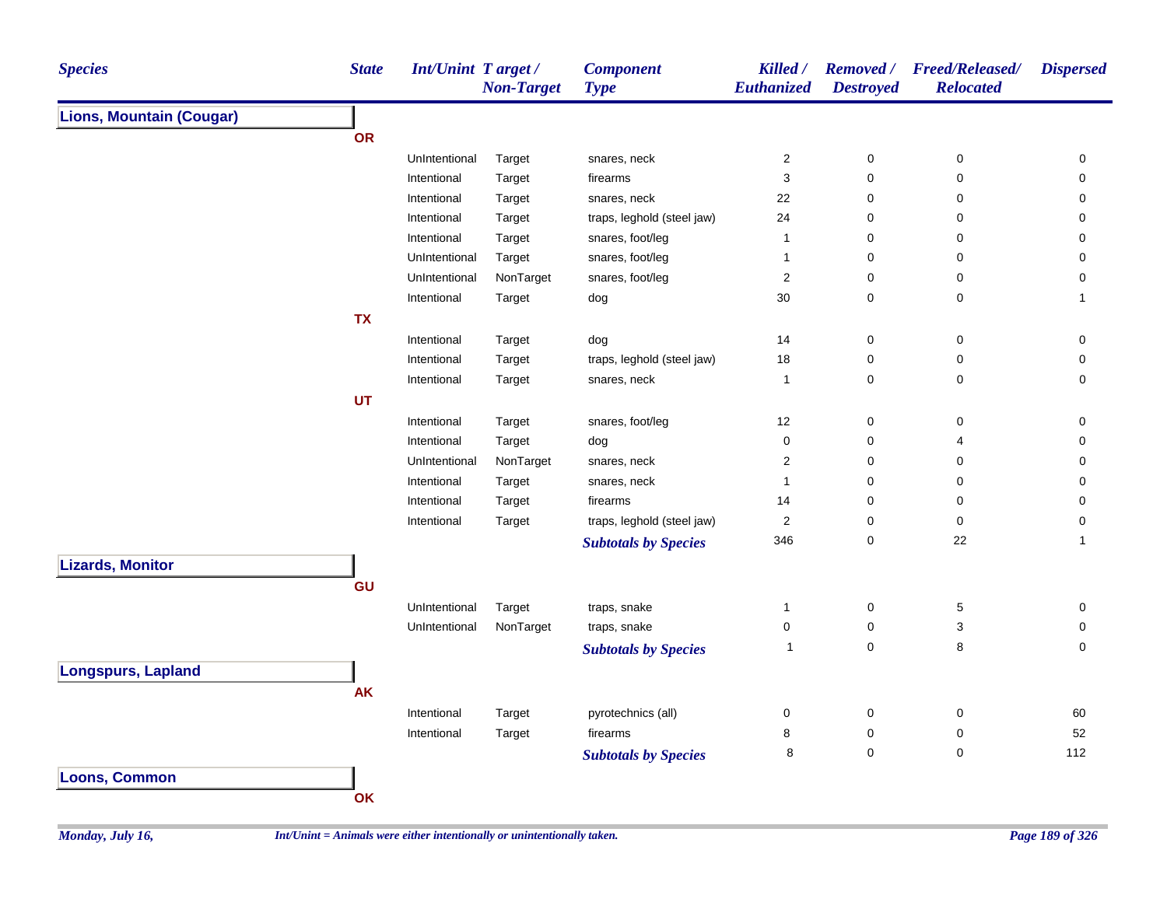| <b>Species</b>                                                                                                                                                                                                                                                                                                                                                                                                                                                                                                                                                                                                                                                                                                                                                       | <b>State</b> |  | <b>Component</b><br><b>Type</b> | Killed /<br>Euthanized  | <b>Removed</b> /<br><b>Destroyed</b> | <b>Freed/Released/</b><br><b>Relocated</b> | <b>Dispersed</b> |
|----------------------------------------------------------------------------------------------------------------------------------------------------------------------------------------------------------------------------------------------------------------------------------------------------------------------------------------------------------------------------------------------------------------------------------------------------------------------------------------------------------------------------------------------------------------------------------------------------------------------------------------------------------------------------------------------------------------------------------------------------------------------|--------------|--|---------------------------------|-------------------------|--------------------------------------|--------------------------------------------|------------------|
| <b>Int/Unint Target/</b><br><b>Non-Target</b><br><b>Lions, Mountain (Cougar)</b><br><b>OR</b><br>UnIntentional<br>Target<br>Intentional<br>Target<br>Intentional<br>Target<br>Intentional<br>Target<br>Intentional<br>Target<br>UnIntentional<br>Target<br>UnIntentional<br>NonTarget<br>Intentional<br>Target<br><b>TX</b><br>Intentional<br>Target<br>Intentional<br>Target<br>Intentional<br>Target<br><b>UT</b><br>Intentional<br>Target<br>Intentional<br>Target<br>NonTarget<br>UnIntentional<br>Intentional<br>Target<br>Intentional<br>Target<br>Target<br>Intentional<br><b>Lizards, Monitor</b><br>GU<br>UnIntentional<br>Target<br>NonTarget<br>UnIntentional<br><b>Longspurs, Lapland</b><br><b>AK</b><br>Intentional<br>Target<br>Intentional<br>Target |              |  |                                 |                         |                                      |                                            |                  |
|                                                                                                                                                                                                                                                                                                                                                                                                                                                                                                                                                                                                                                                                                                                                                                      |              |  |                                 |                         |                                      |                                            |                  |
|                                                                                                                                                                                                                                                                                                                                                                                                                                                                                                                                                                                                                                                                                                                                                                      |              |  | snares, neck                    | $\overline{2}$          | $\pmb{0}$                            | $\pmb{0}$                                  | 0                |
|                                                                                                                                                                                                                                                                                                                                                                                                                                                                                                                                                                                                                                                                                                                                                                      |              |  | firearms                        | $\mathsf 3$             | 0                                    | 0                                          | 0                |
|                                                                                                                                                                                                                                                                                                                                                                                                                                                                                                                                                                                                                                                                                                                                                                      |              |  | snares, neck                    | 22                      | 0                                    | 0                                          | 0                |
|                                                                                                                                                                                                                                                                                                                                                                                                                                                                                                                                                                                                                                                                                                                                                                      |              |  | traps, leghold (steel jaw)      | 24                      | 0                                    | 0                                          | 0                |
|                                                                                                                                                                                                                                                                                                                                                                                                                                                                                                                                                                                                                                                                                                                                                                      |              |  | snares, foot/leg                | $\overline{1}$          | 0                                    | 0                                          | 0                |
|                                                                                                                                                                                                                                                                                                                                                                                                                                                                                                                                                                                                                                                                                                                                                                      |              |  | snares, foot/leg                | $\overline{1}$          | 0                                    | 0                                          | 0                |
|                                                                                                                                                                                                                                                                                                                                                                                                                                                                                                                                                                                                                                                                                                                                                                      |              |  | snares, foot/leg                | $\overline{\mathbf{c}}$ | 0                                    | 0                                          | 0                |
|                                                                                                                                                                                                                                                                                                                                                                                                                                                                                                                                                                                                                                                                                                                                                                      |              |  | dog                             | 30                      | 0                                    | $\mathbf 0$                                | $\mathbf{1}$     |
|                                                                                                                                                                                                                                                                                                                                                                                                                                                                                                                                                                                                                                                                                                                                                                      |              |  |                                 |                         |                                      |                                            |                  |
|                                                                                                                                                                                                                                                                                                                                                                                                                                                                                                                                                                                                                                                                                                                                                                      |              |  | dog                             | 14                      | 0                                    | 0                                          | 0                |
|                                                                                                                                                                                                                                                                                                                                                                                                                                                                                                                                                                                                                                                                                                                                                                      |              |  | traps, leghold (steel jaw)      | 18                      | 0                                    | 0                                          | 0                |
|                                                                                                                                                                                                                                                                                                                                                                                                                                                                                                                                                                                                                                                                                                                                                                      |              |  | snares, neck                    | $\overline{1}$          | 0                                    | 0                                          | 0                |
|                                                                                                                                                                                                                                                                                                                                                                                                                                                                                                                                                                                                                                                                                                                                                                      |              |  |                                 |                         |                                      |                                            |                  |
|                                                                                                                                                                                                                                                                                                                                                                                                                                                                                                                                                                                                                                                                                                                                                                      |              |  | snares, foot/leg                | 12                      | 0                                    | 0                                          | 0                |
|                                                                                                                                                                                                                                                                                                                                                                                                                                                                                                                                                                                                                                                                                                                                                                      |              |  | dog                             | $\pmb{0}$               | $\mathsf 0$                          | 4                                          | 0                |
|                                                                                                                                                                                                                                                                                                                                                                                                                                                                                                                                                                                                                                                                                                                                                                      |              |  | snares, neck                    | $\overline{2}$          | $\mathbf 0$                          | 0                                          | 0                |
|                                                                                                                                                                                                                                                                                                                                                                                                                                                                                                                                                                                                                                                                                                                                                                      |              |  | snares, neck                    | $\mathbf{1}$            | $\mathbf 0$                          | $\mathbf 0$                                | 0                |
|                                                                                                                                                                                                                                                                                                                                                                                                                                                                                                                                                                                                                                                                                                                                                                      |              |  | firearms                        | 14                      | $\mathbf 0$                          | $\mathbf 0$                                | $\mathbf 0$      |
|                                                                                                                                                                                                                                                                                                                                                                                                                                                                                                                                                                                                                                                                                                                                                                      |              |  | traps, leghold (steel jaw)      | $\mathbf 2$             | 0                                    | 0                                          | 0                |
|                                                                                                                                                                                                                                                                                                                                                                                                                                                                                                                                                                                                                                                                                                                                                                      |              |  | <b>Subtotals by Species</b>     | 346                     | $\mathbf 0$                          | 22                                         | $\mathbf{1}$     |
|                                                                                                                                                                                                                                                                                                                                                                                                                                                                                                                                                                                                                                                                                                                                                                      |              |  |                                 |                         |                                      |                                            |                  |
|                                                                                                                                                                                                                                                                                                                                                                                                                                                                                                                                                                                                                                                                                                                                                                      |              |  |                                 |                         |                                      |                                            |                  |
|                                                                                                                                                                                                                                                                                                                                                                                                                                                                                                                                                                                                                                                                                                                                                                      |              |  | traps, snake                    | $\mathbf{1}$            | 0                                    | 5                                          | 0                |
|                                                                                                                                                                                                                                                                                                                                                                                                                                                                                                                                                                                                                                                                                                                                                                      |              |  |                                 | $\pmb{0}$               | 0                                    | $\mathsf 3$                                | 0                |
|                                                                                                                                                                                                                                                                                                                                                                                                                                                                                                                                                                                                                                                                                                                                                                      |              |  | traps, snake                    | $\mathbf{1}$            | $\mathsf 0$                          | 8                                          | $\mathbf 0$      |
|                                                                                                                                                                                                                                                                                                                                                                                                                                                                                                                                                                                                                                                                                                                                                                      |              |  | <b>Subtotals by Species</b>     |                         |                                      |                                            |                  |
|                                                                                                                                                                                                                                                                                                                                                                                                                                                                                                                                                                                                                                                                                                                                                                      |              |  |                                 |                         |                                      |                                            |                  |
|                                                                                                                                                                                                                                                                                                                                                                                                                                                                                                                                                                                                                                                                                                                                                                      |              |  |                                 |                         |                                      |                                            |                  |
|                                                                                                                                                                                                                                                                                                                                                                                                                                                                                                                                                                                                                                                                                                                                                                      |              |  | pyrotechnics (all)              | 0                       | $\pmb{0}$                            | 0                                          | 60               |
|                                                                                                                                                                                                                                                                                                                                                                                                                                                                                                                                                                                                                                                                                                                                                                      |              |  | firearms                        | 8                       | 0                                    | $\mathbf 0$                                | 52               |
|                                                                                                                                                                                                                                                                                                                                                                                                                                                                                                                                                                                                                                                                                                                                                                      |              |  | <b>Subtotals by Species</b>     | 8                       | 0                                    | $\mathbf 0$                                | 112              |
| <b>Loons, Common</b>                                                                                                                                                                                                                                                                                                                                                                                                                                                                                                                                                                                                                                                                                                                                                 |              |  |                                 |                         |                                      |                                            |                  |
|                                                                                                                                                                                                                                                                                                                                                                                                                                                                                                                                                                                                                                                                                                                                                                      | OK           |  |                                 |                         |                                      |                                            |                  |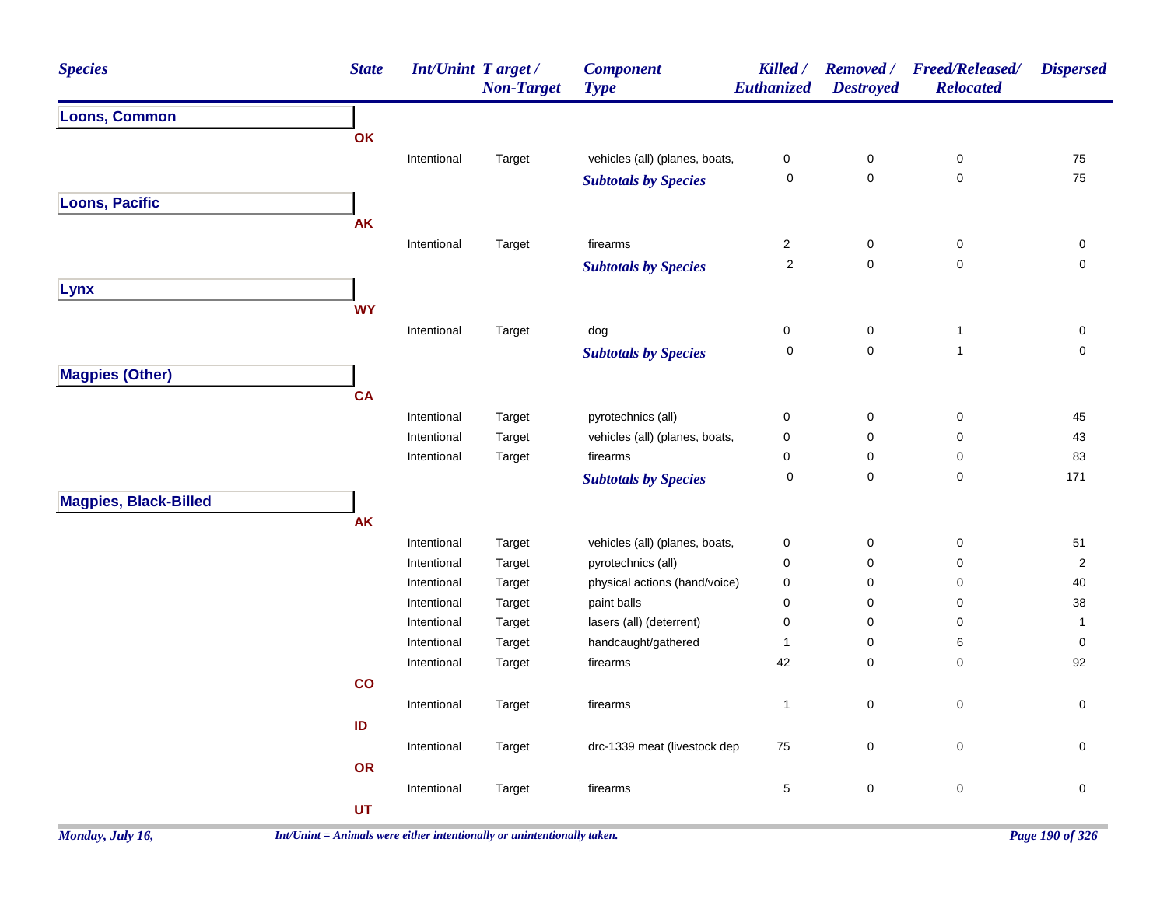| <b>Species</b>               | <b>State</b>                                                                                                                                                                                                                                                                                                                                                                                                                                                                                                                                                                                                                                                                                                                                                                                                                                                                                                                                                                                                                                                                                                                                                                                                                                                                                                                                                                                                                                                                                                                                                                                                                                                                                                                                                                                                                       | <b>Non-Target</b> | <b>Component</b><br><b>Type</b> | Killed / | <b>Removed</b> /<br><b>Destroyed</b> | <b>Freed/Released/</b><br><b>Relocated</b> | <b>Dispersed</b>    |
|------------------------------|------------------------------------------------------------------------------------------------------------------------------------------------------------------------------------------------------------------------------------------------------------------------------------------------------------------------------------------------------------------------------------------------------------------------------------------------------------------------------------------------------------------------------------------------------------------------------------------------------------------------------------------------------------------------------------------------------------------------------------------------------------------------------------------------------------------------------------------------------------------------------------------------------------------------------------------------------------------------------------------------------------------------------------------------------------------------------------------------------------------------------------------------------------------------------------------------------------------------------------------------------------------------------------------------------------------------------------------------------------------------------------------------------------------------------------------------------------------------------------------------------------------------------------------------------------------------------------------------------------------------------------------------------------------------------------------------------------------------------------------------------------------------------------------------------------------------------------|-------------------|---------------------------------|----------|--------------------------------------|--------------------------------------------|---------------------|
| <b>Loons, Common</b>         | <b>Int/Unint Target/</b><br>Euthanized<br><b>OK</b><br>vehicles (all) (planes, boats,<br>$\pmb{0}$<br>$\pmb{0}$<br>Intentional<br>$\pmb{0}$<br>Target<br>$\mathbf 0$<br>$\pmb{0}$<br>$\pmb{0}$<br><b>Subtotals by Species</b><br><b>AK</b><br>Intentional<br>Target<br>firearms<br>$\overline{c}$<br>$\pmb{0}$<br>$\mathbf 0$<br>$\overline{2}$<br>$\pmb{0}$<br>$\mathbf 0$<br><b>Subtotals by Species</b><br><b>WY</b><br>dog<br>$\pmb{0}$<br>$\pmb{0}$<br>Intentional<br>Target<br>$\mathbf{1}$<br>$\pmb{0}$<br>0<br>$\mathbf{1}$<br><b>Subtotals by Species</b><br><b>CA</b><br>$\pmb{0}$<br>$\pmb{0}$<br>Intentional<br>Target<br>pyrotechnics (all)<br>$\mathbf 0$<br>vehicles (all) (planes, boats,<br>$\pmb{0}$<br>$\pmb{0}$<br>$\pmb{0}$<br>Intentional<br>Target<br>Intentional<br>Target<br>firearms<br>$\mathbf 0$<br>$\pmb{0}$<br>$\mathbf 0$<br>$\pmb{0}$<br>$\pmb{0}$<br>0<br><b>Subtotals by Species</b><br><b>AK</b><br>vehicles (all) (planes, boats,<br>$\pmb{0}$<br>$\pmb{0}$<br>$\mathbf 0$<br>Intentional<br>Target<br>pyrotechnics (all)<br>$\pmb{0}$<br>$\pmb{0}$<br>0<br>Intentional<br>Target<br>Target<br>physical actions (hand/voice)<br>$\mathbf 0$<br>$\mathbf 0$<br>Intentional<br>0<br>paint balls<br>0<br>$\mathbf 0$<br>Intentional<br>Target<br>0<br>lasers (all) (deterrent)<br>$\mathbf 0$<br>$\mathbf 0$<br>Intentional<br>Target<br>0<br>handcaught/gathered<br>$\pmb{0}$<br>Intentional<br>Target<br>1<br>6<br>42<br>firearms<br>$\mathbf 0$<br>$\mathbf 0$<br>Intentional<br>Target<br>$\mathbf{co}$<br>$\mathbf 0$<br>$\mathbf{1}$<br>$\pmb{0}$<br>Intentional<br>Target<br>firearms<br>ID<br>drc-1339 meat (livestock dep<br>75<br>$\pmb{0}$<br>$\mathbf 0$<br>Intentional<br>Target<br><b>OR</b><br>$\mathbf 0$<br>$\mathbf 5$<br>$\pmb{0}$<br>Intentional<br>Target<br>firearms<br>UT |                   |                                 |          |                                      |                                            |                     |
|                              |                                                                                                                                                                                                                                                                                                                                                                                                                                                                                                                                                                                                                                                                                                                                                                                                                                                                                                                                                                                                                                                                                                                                                                                                                                                                                                                                                                                                                                                                                                                                                                                                                                                                                                                                                                                                                                    |                   |                                 |          |                                      |                                            |                     |
|                              |                                                                                                                                                                                                                                                                                                                                                                                                                                                                                                                                                                                                                                                                                                                                                                                                                                                                                                                                                                                                                                                                                                                                                                                                                                                                                                                                                                                                                                                                                                                                                                                                                                                                                                                                                                                                                                    |                   |                                 |          |                                      |                                            | ${\bf 75}$          |
|                              |                                                                                                                                                                                                                                                                                                                                                                                                                                                                                                                                                                                                                                                                                                                                                                                                                                                                                                                                                                                                                                                                                                                                                                                                                                                                                                                                                                                                                                                                                                                                                                                                                                                                                                                                                                                                                                    |                   |                                 |          |                                      |                                            | 75                  |
| <b>Loons, Pacific</b>        |                                                                                                                                                                                                                                                                                                                                                                                                                                                                                                                                                                                                                                                                                                                                                                                                                                                                                                                                                                                                                                                                                                                                                                                                                                                                                                                                                                                                                                                                                                                                                                                                                                                                                                                                                                                                                                    |                   |                                 |          |                                      |                                            |                     |
|                              |                                                                                                                                                                                                                                                                                                                                                                                                                                                                                                                                                                                                                                                                                                                                                                                                                                                                                                                                                                                                                                                                                                                                                                                                                                                                                                                                                                                                                                                                                                                                                                                                                                                                                                                                                                                                                                    |                   |                                 |          |                                      |                                            |                     |
|                              |                                                                                                                                                                                                                                                                                                                                                                                                                                                                                                                                                                                                                                                                                                                                                                                                                                                                                                                                                                                                                                                                                                                                                                                                                                                                                                                                                                                                                                                                                                                                                                                                                                                                                                                                                                                                                                    |                   |                                 |          |                                      |                                            | $\pmb{0}$           |
|                              |                                                                                                                                                                                                                                                                                                                                                                                                                                                                                                                                                                                                                                                                                                                                                                                                                                                                                                                                                                                                                                                                                                                                                                                                                                                                                                                                                                                                                                                                                                                                                                                                                                                                                                                                                                                                                                    |                   |                                 |          |                                      |                                            | $\mathbf 0$         |
| Lynx                         |                                                                                                                                                                                                                                                                                                                                                                                                                                                                                                                                                                                                                                                                                                                                                                                                                                                                                                                                                                                                                                                                                                                                                                                                                                                                                                                                                                                                                                                                                                                                                                                                                                                                                                                                                                                                                                    |                   |                                 |          |                                      |                                            |                     |
|                              |                                                                                                                                                                                                                                                                                                                                                                                                                                                                                                                                                                                                                                                                                                                                                                                                                                                                                                                                                                                                                                                                                                                                                                                                                                                                                                                                                                                                                                                                                                                                                                                                                                                                                                                                                                                                                                    |                   |                                 |          |                                      |                                            |                     |
|                              |                                                                                                                                                                                                                                                                                                                                                                                                                                                                                                                                                                                                                                                                                                                                                                                                                                                                                                                                                                                                                                                                                                                                                                                                                                                                                                                                                                                                                                                                                                                                                                                                                                                                                                                                                                                                                                    |                   |                                 |          |                                      |                                            | $\mathsf{O}\xspace$ |
|                              |                                                                                                                                                                                                                                                                                                                                                                                                                                                                                                                                                                                                                                                                                                                                                                                                                                                                                                                                                                                                                                                                                                                                                                                                                                                                                                                                                                                                                                                                                                                                                                                                                                                                                                                                                                                                                                    |                   |                                 |          |                                      |                                            | $\mathbf 0$         |
| <b>Magpies (Other)</b>       |                                                                                                                                                                                                                                                                                                                                                                                                                                                                                                                                                                                                                                                                                                                                                                                                                                                                                                                                                                                                                                                                                                                                                                                                                                                                                                                                                                                                                                                                                                                                                                                                                                                                                                                                                                                                                                    |                   |                                 |          |                                      |                                            |                     |
|                              |                                                                                                                                                                                                                                                                                                                                                                                                                                                                                                                                                                                                                                                                                                                                                                                                                                                                                                                                                                                                                                                                                                                                                                                                                                                                                                                                                                                                                                                                                                                                                                                                                                                                                                                                                                                                                                    |                   |                                 |          |                                      |                                            |                     |
|                              |                                                                                                                                                                                                                                                                                                                                                                                                                                                                                                                                                                                                                                                                                                                                                                                                                                                                                                                                                                                                                                                                                                                                                                                                                                                                                                                                                                                                                                                                                                                                                                                                                                                                                                                                                                                                                                    |                   |                                 |          |                                      |                                            |                     |
|                              |                                                                                                                                                                                                                                                                                                                                                                                                                                                                                                                                                                                                                                                                                                                                                                                                                                                                                                                                                                                                                                                                                                                                                                                                                                                                                                                                                                                                                                                                                                                                                                                                                                                                                                                                                                                                                                    |                   |                                 |          |                                      |                                            | 45<br>43            |
|                              |                                                                                                                                                                                                                                                                                                                                                                                                                                                                                                                                                                                                                                                                                                                                                                                                                                                                                                                                                                                                                                                                                                                                                                                                                                                                                                                                                                                                                                                                                                                                                                                                                                                                                                                                                                                                                                    |                   |                                 |          |                                      |                                            | 83                  |
|                              |                                                                                                                                                                                                                                                                                                                                                                                                                                                                                                                                                                                                                                                                                                                                                                                                                                                                                                                                                                                                                                                                                                                                                                                                                                                                                                                                                                                                                                                                                                                                                                                                                                                                                                                                                                                                                                    |                   |                                 |          |                                      |                                            | 171                 |
|                              |                                                                                                                                                                                                                                                                                                                                                                                                                                                                                                                                                                                                                                                                                                                                                                                                                                                                                                                                                                                                                                                                                                                                                                                                                                                                                                                                                                                                                                                                                                                                                                                                                                                                                                                                                                                                                                    |                   |                                 |          |                                      |                                            |                     |
| <b>Magpies, Black-Billed</b> |                                                                                                                                                                                                                                                                                                                                                                                                                                                                                                                                                                                                                                                                                                                                                                                                                                                                                                                                                                                                                                                                                                                                                                                                                                                                                                                                                                                                                                                                                                                                                                                                                                                                                                                                                                                                                                    |                   |                                 |          |                                      |                                            |                     |
|                              |                                                                                                                                                                                                                                                                                                                                                                                                                                                                                                                                                                                                                                                                                                                                                                                                                                                                                                                                                                                                                                                                                                                                                                                                                                                                                                                                                                                                                                                                                                                                                                                                                                                                                                                                                                                                                                    |                   |                                 |          |                                      |                                            |                     |
|                              |                                                                                                                                                                                                                                                                                                                                                                                                                                                                                                                                                                                                                                                                                                                                                                                                                                                                                                                                                                                                                                                                                                                                                                                                                                                                                                                                                                                                                                                                                                                                                                                                                                                                                                                                                                                                                                    |                   |                                 |          |                                      |                                            | $51$                |
|                              |                                                                                                                                                                                                                                                                                                                                                                                                                                                                                                                                                                                                                                                                                                                                                                                                                                                                                                                                                                                                                                                                                                                                                                                                                                                                                                                                                                                                                                                                                                                                                                                                                                                                                                                                                                                                                                    |                   |                                 |          |                                      |                                            | $\sqrt{2}$          |
|                              |                                                                                                                                                                                                                                                                                                                                                                                                                                                                                                                                                                                                                                                                                                                                                                                                                                                                                                                                                                                                                                                                                                                                                                                                                                                                                                                                                                                                                                                                                                                                                                                                                                                                                                                                                                                                                                    |                   |                                 |          |                                      |                                            | 40<br>$38\,$        |
|                              |                                                                                                                                                                                                                                                                                                                                                                                                                                                                                                                                                                                                                                                                                                                                                                                                                                                                                                                                                                                                                                                                                                                                                                                                                                                                                                                                                                                                                                                                                                                                                                                                                                                                                                                                                                                                                                    |                   |                                 |          |                                      |                                            | $\mathbf{1}$        |
|                              |                                                                                                                                                                                                                                                                                                                                                                                                                                                                                                                                                                                                                                                                                                                                                                                                                                                                                                                                                                                                                                                                                                                                                                                                                                                                                                                                                                                                                                                                                                                                                                                                                                                                                                                                                                                                                                    |                   |                                 |          |                                      |                                            | 0                   |
|                              |                                                                                                                                                                                                                                                                                                                                                                                                                                                                                                                                                                                                                                                                                                                                                                                                                                                                                                                                                                                                                                                                                                                                                                                                                                                                                                                                                                                                                                                                                                                                                                                                                                                                                                                                                                                                                                    |                   |                                 |          |                                      |                                            | 92                  |
|                              |                                                                                                                                                                                                                                                                                                                                                                                                                                                                                                                                                                                                                                                                                                                                                                                                                                                                                                                                                                                                                                                                                                                                                                                                                                                                                                                                                                                                                                                                                                                                                                                                                                                                                                                                                                                                                                    |                   |                                 |          |                                      |                                            |                     |
|                              |                                                                                                                                                                                                                                                                                                                                                                                                                                                                                                                                                                                                                                                                                                                                                                                                                                                                                                                                                                                                                                                                                                                                                                                                                                                                                                                                                                                                                                                                                                                                                                                                                                                                                                                                                                                                                                    |                   |                                 |          |                                      |                                            | $\mathsf{O}\xspace$ |
|                              |                                                                                                                                                                                                                                                                                                                                                                                                                                                                                                                                                                                                                                                                                                                                                                                                                                                                                                                                                                                                                                                                                                                                                                                                                                                                                                                                                                                                                                                                                                                                                                                                                                                                                                                                                                                                                                    |                   |                                 |          |                                      |                                            |                     |
|                              |                                                                                                                                                                                                                                                                                                                                                                                                                                                                                                                                                                                                                                                                                                                                                                                                                                                                                                                                                                                                                                                                                                                                                                                                                                                                                                                                                                                                                                                                                                                                                                                                                                                                                                                                                                                                                                    |                   |                                 |          |                                      |                                            | $\mathbf 0$         |
|                              |                                                                                                                                                                                                                                                                                                                                                                                                                                                                                                                                                                                                                                                                                                                                                                                                                                                                                                                                                                                                                                                                                                                                                                                                                                                                                                                                                                                                                                                                                                                                                                                                                                                                                                                                                                                                                                    |                   |                                 |          |                                      |                                            |                     |
|                              |                                                                                                                                                                                                                                                                                                                                                                                                                                                                                                                                                                                                                                                                                                                                                                                                                                                                                                                                                                                                                                                                                                                                                                                                                                                                                                                                                                                                                                                                                                                                                                                                                                                                                                                                                                                                                                    |                   |                                 |          |                                      |                                            | $\mathsf{O}\xspace$ |
|                              |                                                                                                                                                                                                                                                                                                                                                                                                                                                                                                                                                                                                                                                                                                                                                                                                                                                                                                                                                                                                                                                                                                                                                                                                                                                                                                                                                                                                                                                                                                                                                                                                                                                                                                                                                                                                                                    |                   |                                 |          |                                      |                                            |                     |
|                              |                                                                                                                                                                                                                                                                                                                                                                                                                                                                                                                                                                                                                                                                                                                                                                                                                                                                                                                                                                                                                                                                                                                                                                                                                                                                                                                                                                                                                                                                                                                                                                                                                                                                                                                                                                                                                                    |                   |                                 |          |                                      |                                            |                     |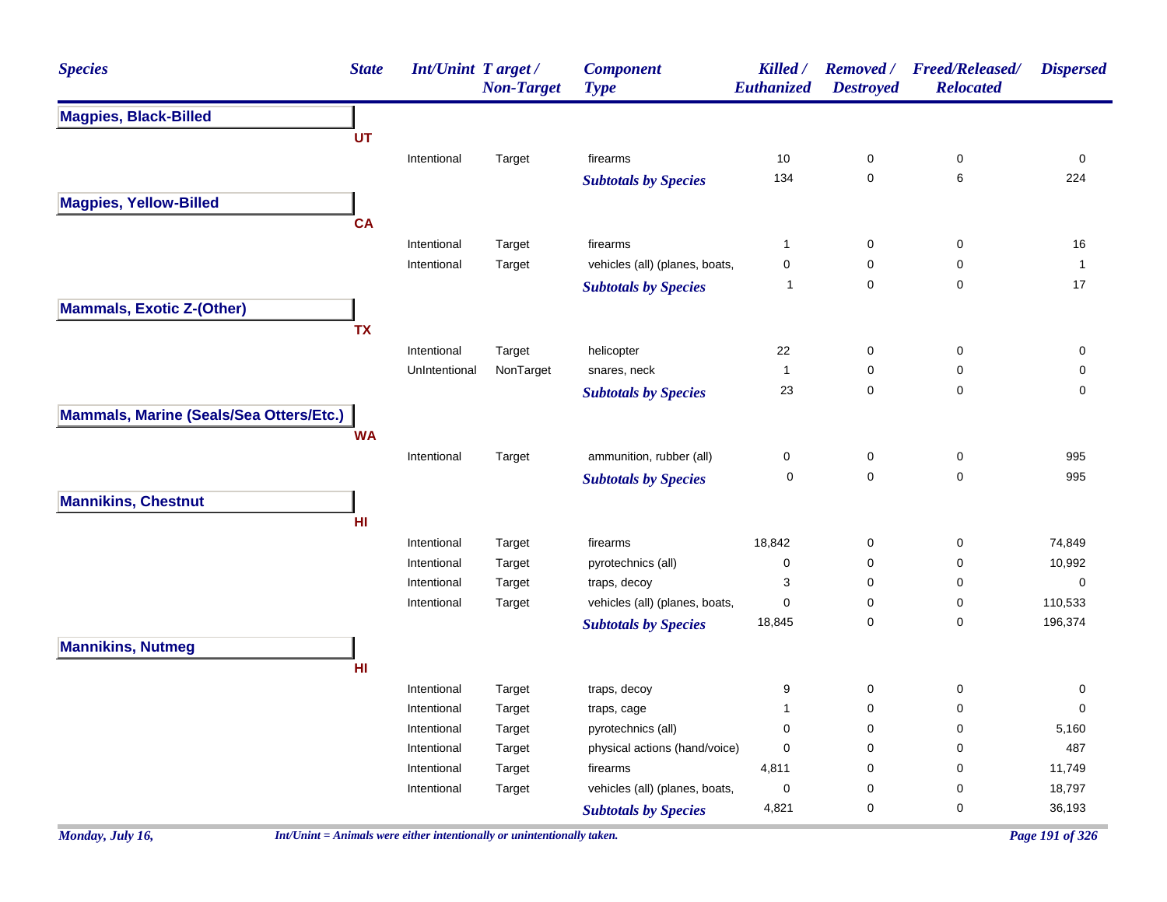| <b>Species</b>                          | <b>State</b> | <b>Int/Unint Target/</b> | <b>Non-Target</b> | <b>Component</b><br><b>Type</b> | Killed /<br>Euthanized | <b>Removed</b> /<br><b>Destroyed</b> | <b>Freed/Released/</b><br><b>Relocated</b> | <b>Dispersed</b> |
|-----------------------------------------|--------------|--------------------------|-------------------|---------------------------------|------------------------|--------------------------------------|--------------------------------------------|------------------|
| <b>Magpies, Black-Billed</b>            |              |                          |                   |                                 |                        |                                      |                                            |                  |
|                                         | UT           |                          |                   |                                 |                        |                                      |                                            |                  |
|                                         |              | Intentional              | Target            | firearms                        | 10                     | 0                                    | 0                                          | 0                |
|                                         |              |                          |                   | <b>Subtotals by Species</b>     | 134                    | 0                                    | 6                                          | 224              |
| <b>Magpies, Yellow-Billed</b>           |              |                          |                   |                                 |                        |                                      |                                            |                  |
|                                         | <b>CA</b>    |                          |                   |                                 |                        |                                      |                                            |                  |
|                                         |              | Intentional              | Target            | firearms                        | $\mathbf{1}$           | 0                                    | 0                                          | 16               |
|                                         |              | Intentional              | Target            | vehicles (all) (planes, boats,  | 0                      | 0                                    | 0                                          |                  |
|                                         |              |                          |                   | <b>Subtotals by Species</b>     | $\mathbf 1$            | 0                                    | 0                                          | 17               |
| <b>Mammals, Exotic Z-(Other)</b>        |              |                          |                   |                                 |                        |                                      |                                            |                  |
|                                         | <b>TX</b>    |                          |                   |                                 |                        |                                      |                                            |                  |
|                                         |              | Intentional              | Target            | helicopter                      | 22                     | 0                                    | 0                                          | 0                |
|                                         |              | UnIntentional            | NonTarget         | snares, neck                    | $\overline{1}$         | 0                                    | 0                                          | 0                |
|                                         |              |                          |                   | <b>Subtotals by Species</b>     | 23                     | 0                                    | 0                                          | 0                |
| Mammals, Marine (Seals/Sea Otters/Etc.) |              |                          |                   |                                 |                        |                                      |                                            |                  |
|                                         | <b>WA</b>    |                          |                   |                                 |                        |                                      |                                            |                  |
|                                         |              | Intentional              | Target            | ammunition, rubber (all)        | 0                      | 0                                    | 0                                          | 995              |
|                                         |              |                          |                   |                                 | 0                      | $\mathbf 0$                          | 0                                          | 995              |
|                                         |              |                          |                   | <b>Subtotals by Species</b>     |                        |                                      |                                            |                  |
| <b>Mannikins, Chestnut</b>              |              |                          |                   |                                 |                        |                                      |                                            |                  |
|                                         | HI           |                          |                   |                                 |                        |                                      |                                            |                  |
|                                         |              | Intentional              | Target            | firearms                        | 18,842                 | 0                                    | 0                                          | 74,849           |
|                                         |              | Intentional              | Target            | pyrotechnics (all)              | 0                      | 0                                    | 0                                          | 10,992           |
|                                         |              | Intentional              | Target            | traps, decoy                    | 3                      | 0                                    | 0                                          | $\mathbf 0$      |
|                                         |              | Intentional              | Target            | vehicles (all) (planes, boats,  | 0                      | 0                                    | 0                                          | 110,533          |
|                                         |              |                          |                   | <b>Subtotals by Species</b>     | 18,845                 | 0                                    | 0                                          | 196,374          |
| <b>Mannikins, Nutmeg</b>                |              |                          |                   |                                 |                        |                                      |                                            |                  |
|                                         | HI           |                          |                   |                                 |                        |                                      |                                            |                  |
|                                         |              | Intentional              | Target            | traps, decoy                    | 9                      | 0                                    | 0                                          | 0                |
|                                         |              | Intentional              | Target            | traps, cage                     | $\mathbf{1}$           | 0                                    | 0                                          | 0                |
|                                         |              | Intentional              | Target            | pyrotechnics (all)              | 0                      | 0                                    | 0                                          | 5,160            |
|                                         |              | Intentional              | Target            | physical actions (hand/voice)   | 0                      | 0                                    | 0                                          | 487              |
|                                         |              | Intentional              | Target            | firearms                        | 4,811                  | 0                                    | 0                                          | 11,749           |
|                                         |              | Intentional              | Target            | vehicles (all) (planes, boats,  | $\pmb{0}$              | 0                                    | 0                                          | 18,797           |
|                                         |              |                          |                   | <b>Subtotals by Species</b>     | 4,821                  | 0                                    | 0                                          | 36,193           |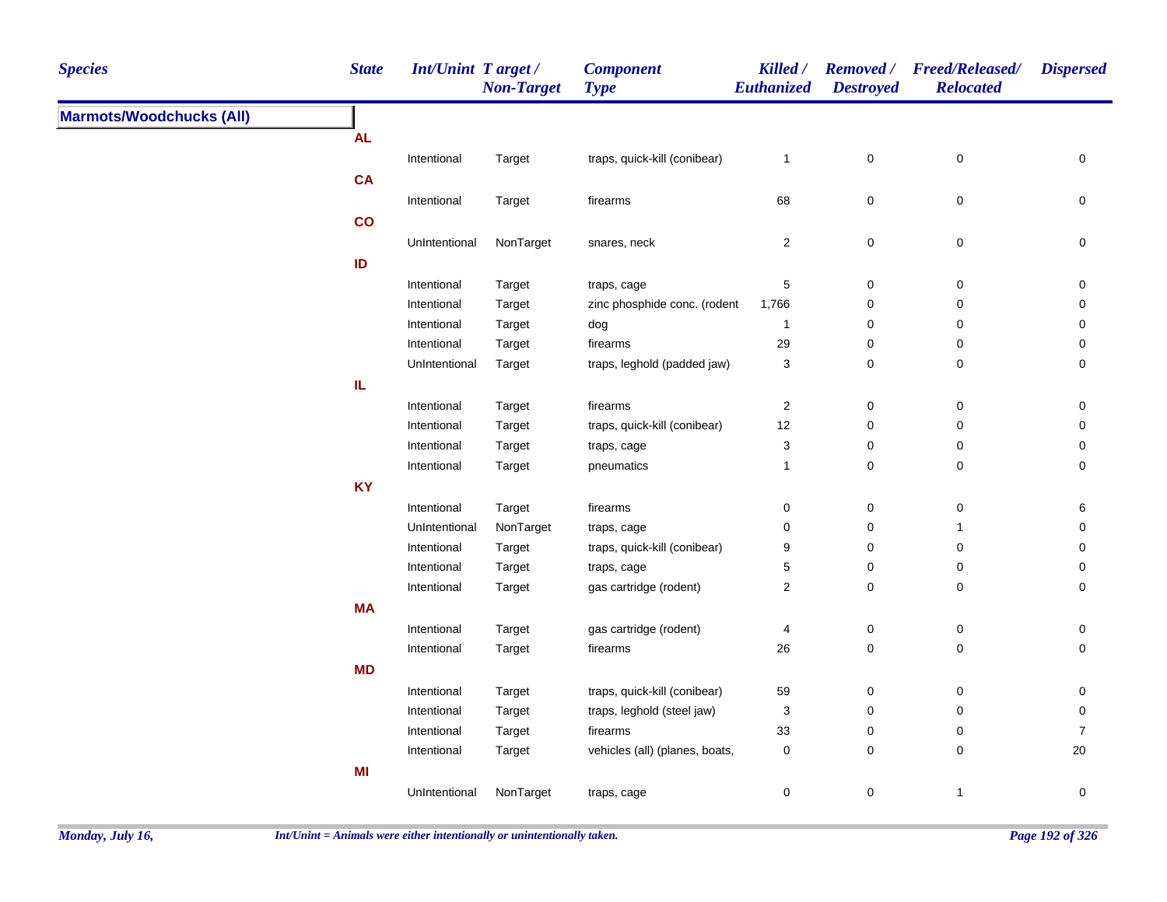| <b>Species</b>                  | <b>State</b> | <b>Int/Unint Target/</b> | <b>Non-Target</b> | <b>Component</b><br><b>Type</b> | Killed /<br>Euthanized | <b>Destroyed</b>                                                                                                                                                                                                                                                                                                                                                                                                                                                                                                                                                                                                                                                                                                                                                                                                           | <b>Relocated</b> | <b>Dispersed</b> |
|---------------------------------|--------------|--------------------------|-------------------|---------------------------------|------------------------|----------------------------------------------------------------------------------------------------------------------------------------------------------------------------------------------------------------------------------------------------------------------------------------------------------------------------------------------------------------------------------------------------------------------------------------------------------------------------------------------------------------------------------------------------------------------------------------------------------------------------------------------------------------------------------------------------------------------------------------------------------------------------------------------------------------------------|------------------|------------------|
| <b>Marmots/Woodchucks (All)</b> |              |                          |                   |                                 |                        | Removed / Freed/Released/<br>$\pmb{0}$<br>$\mathbf{1}$<br>0<br>68<br>$\mathbf 0$<br>$\pmb{0}$<br>$\mathbf 0$<br>$\overline{2}$<br>$\mathbf 0$<br>$\mathbf 5$<br>$\pmb{0}$<br>$\pmb{0}$<br>0<br>$\mathbf 0$<br>$\pmb{0}$<br>$\mathbf 0$<br>$\overline{1}$<br>29<br>0<br>$\mathbf 0$<br>3<br>0<br>$\mathbf 0$<br>$\overline{c}$<br>$\pmb{0}$<br>$\mathsf 0$<br>12<br>0<br>0<br>3<br>0<br>$\mathbf 0$<br>$\pmb{0}$<br>$\mathbf{1}$<br>$\mathbf 0$<br>0<br>0<br>0<br>0<br>0<br>$\overline{1}$<br>9<br>0<br>0<br>5<br>0<br>0<br>$\boldsymbol{2}$<br>0<br>$\mathbf 0$<br>$\pmb{0}$<br>4<br>0<br>$\pmb{0}$<br>26<br>$\mathbf 0$<br>59<br>0<br>$\mathbf 0$<br>$\ensuremath{\mathsf{3}}$<br>$\pmb{0}$<br>$\mathbf 0$<br>33<br>0<br>$\mathbf 0$<br>$\pmb{0}$<br>$\pmb{0}$<br>$\pmb{0}$<br>$\mathbf 0$<br>$\mathbf 0$<br>$\mathbf{1}$ |                  |                  |
|                                 | <b>AL</b>    |                          |                   |                                 |                        |                                                                                                                                                                                                                                                                                                                                                                                                                                                                                                                                                                                                                                                                                                                                                                                                                            |                  |                  |
|                                 |              | Intentional              | Target            | traps, quick-kill (conibear)    |                        |                                                                                                                                                                                                                                                                                                                                                                                                                                                                                                                                                                                                                                                                                                                                                                                                                            |                  | $\pmb{0}$        |
|                                 | <b>CA</b>    |                          |                   |                                 |                        |                                                                                                                                                                                                                                                                                                                                                                                                                                                                                                                                                                                                                                                                                                                                                                                                                            |                  |                  |
|                                 |              | Intentional              | Target            | firearms                        |                        |                                                                                                                                                                                                                                                                                                                                                                                                                                                                                                                                                                                                                                                                                                                                                                                                                            |                  | 0                |
|                                 | co           |                          |                   |                                 |                        |                                                                                                                                                                                                                                                                                                                                                                                                                                                                                                                                                                                                                                                                                                                                                                                                                            |                  |                  |
|                                 |              | UnIntentional            | NonTarget         | snares, neck                    |                        |                                                                                                                                                                                                                                                                                                                                                                                                                                                                                                                                                                                                                                                                                                                                                                                                                            |                  | 0                |
|                                 | ID           |                          |                   |                                 |                        |                                                                                                                                                                                                                                                                                                                                                                                                                                                                                                                                                                                                                                                                                                                                                                                                                            |                  |                  |
|                                 |              | Intentional              | Target            | traps, cage                     |                        |                                                                                                                                                                                                                                                                                                                                                                                                                                                                                                                                                                                                                                                                                                                                                                                                                            |                  | 0                |
|                                 |              | Intentional              | Target            | zinc phosphide conc. (rodent    | 1,766                  |                                                                                                                                                                                                                                                                                                                                                                                                                                                                                                                                                                                                                                                                                                                                                                                                                            |                  | 0                |
|                                 |              | Intentional              | Target            | dog                             |                        |                                                                                                                                                                                                                                                                                                                                                                                                                                                                                                                                                                                                                                                                                                                                                                                                                            |                  | 0                |
|                                 |              | Intentional              | Target            | firearms                        |                        |                                                                                                                                                                                                                                                                                                                                                                                                                                                                                                                                                                                                                                                                                                                                                                                                                            |                  | 0                |
|                                 |              | UnIntentional            | Target            | traps, leghold (padded jaw)     |                        |                                                                                                                                                                                                                                                                                                                                                                                                                                                                                                                                                                                                                                                                                                                                                                                                                            |                  | 0                |
|                                 | IL           |                          |                   |                                 |                        |                                                                                                                                                                                                                                                                                                                                                                                                                                                                                                                                                                                                                                                                                                                                                                                                                            |                  |                  |
|                                 |              | Intentional              | Target            | firearms                        |                        |                                                                                                                                                                                                                                                                                                                                                                                                                                                                                                                                                                                                                                                                                                                                                                                                                            |                  | 0                |
|                                 |              | Intentional              | Target            | traps, quick-kill (conibear)    |                        |                                                                                                                                                                                                                                                                                                                                                                                                                                                                                                                                                                                                                                                                                                                                                                                                                            |                  | 0                |
|                                 |              | Intentional              | Target            | traps, cage                     |                        |                                                                                                                                                                                                                                                                                                                                                                                                                                                                                                                                                                                                                                                                                                                                                                                                                            |                  | 0                |
|                                 |              | Intentional              | Target            | pneumatics                      |                        |                                                                                                                                                                                                                                                                                                                                                                                                                                                                                                                                                                                                                                                                                                                                                                                                                            |                  | 0                |
|                                 | <b>KY</b>    |                          |                   |                                 |                        |                                                                                                                                                                                                                                                                                                                                                                                                                                                                                                                                                                                                                                                                                                                                                                                                                            |                  |                  |
|                                 |              | Intentional              | Target            | firearms                        |                        |                                                                                                                                                                                                                                                                                                                                                                                                                                                                                                                                                                                                                                                                                                                                                                                                                            |                  | 6                |
|                                 |              | UnIntentional            | NonTarget         | traps, cage                     |                        |                                                                                                                                                                                                                                                                                                                                                                                                                                                                                                                                                                                                                                                                                                                                                                                                                            |                  | 0                |
|                                 |              | Intentional              | Target            | traps, quick-kill (conibear)    |                        |                                                                                                                                                                                                                                                                                                                                                                                                                                                                                                                                                                                                                                                                                                                                                                                                                            |                  | 0                |
|                                 |              | Intentional              | Target            | traps, cage                     |                        |                                                                                                                                                                                                                                                                                                                                                                                                                                                                                                                                                                                                                                                                                                                                                                                                                            |                  | 0                |
|                                 |              | Intentional              | Target            | gas cartridge (rodent)          |                        |                                                                                                                                                                                                                                                                                                                                                                                                                                                                                                                                                                                                                                                                                                                                                                                                                            |                  | 0                |
|                                 | <b>MA</b>    |                          |                   |                                 |                        |                                                                                                                                                                                                                                                                                                                                                                                                                                                                                                                                                                                                                                                                                                                                                                                                                            |                  |                  |
|                                 |              | Intentional              | Target            | gas cartridge (rodent)          |                        |                                                                                                                                                                                                                                                                                                                                                                                                                                                                                                                                                                                                                                                                                                                                                                                                                            |                  | 0                |
|                                 |              | Intentional              | Target            | firearms                        |                        |                                                                                                                                                                                                                                                                                                                                                                                                                                                                                                                                                                                                                                                                                                                                                                                                                            |                  | 0                |
|                                 | <b>MD</b>    |                          |                   |                                 |                        |                                                                                                                                                                                                                                                                                                                                                                                                                                                                                                                                                                                                                                                                                                                                                                                                                            |                  |                  |
|                                 |              | Intentional              | Target            | traps, quick-kill (conibear)    |                        |                                                                                                                                                                                                                                                                                                                                                                                                                                                                                                                                                                                                                                                                                                                                                                                                                            |                  | 0                |
|                                 |              | Intentional              | Target            | traps, leghold (steel jaw)      |                        |                                                                                                                                                                                                                                                                                                                                                                                                                                                                                                                                                                                                                                                                                                                                                                                                                            |                  | 0                |
|                                 |              | Intentional              | Target            | firearms                        |                        |                                                                                                                                                                                                                                                                                                                                                                                                                                                                                                                                                                                                                                                                                                                                                                                                                            |                  | $\overline{7}$   |
|                                 |              | Intentional              | Target            | vehicles (all) (planes, boats,  |                        |                                                                                                                                                                                                                                                                                                                                                                                                                                                                                                                                                                                                                                                                                                                                                                                                                            |                  | $20\,$           |
|                                 | MI           |                          |                   |                                 |                        |                                                                                                                                                                                                                                                                                                                                                                                                                                                                                                                                                                                                                                                                                                                                                                                                                            |                  |                  |
|                                 |              | UnIntentional            | NonTarget         | traps, cage                     |                        |                                                                                                                                                                                                                                                                                                                                                                                                                                                                                                                                                                                                                                                                                                                                                                                                                            |                  | $\mathbf 0$      |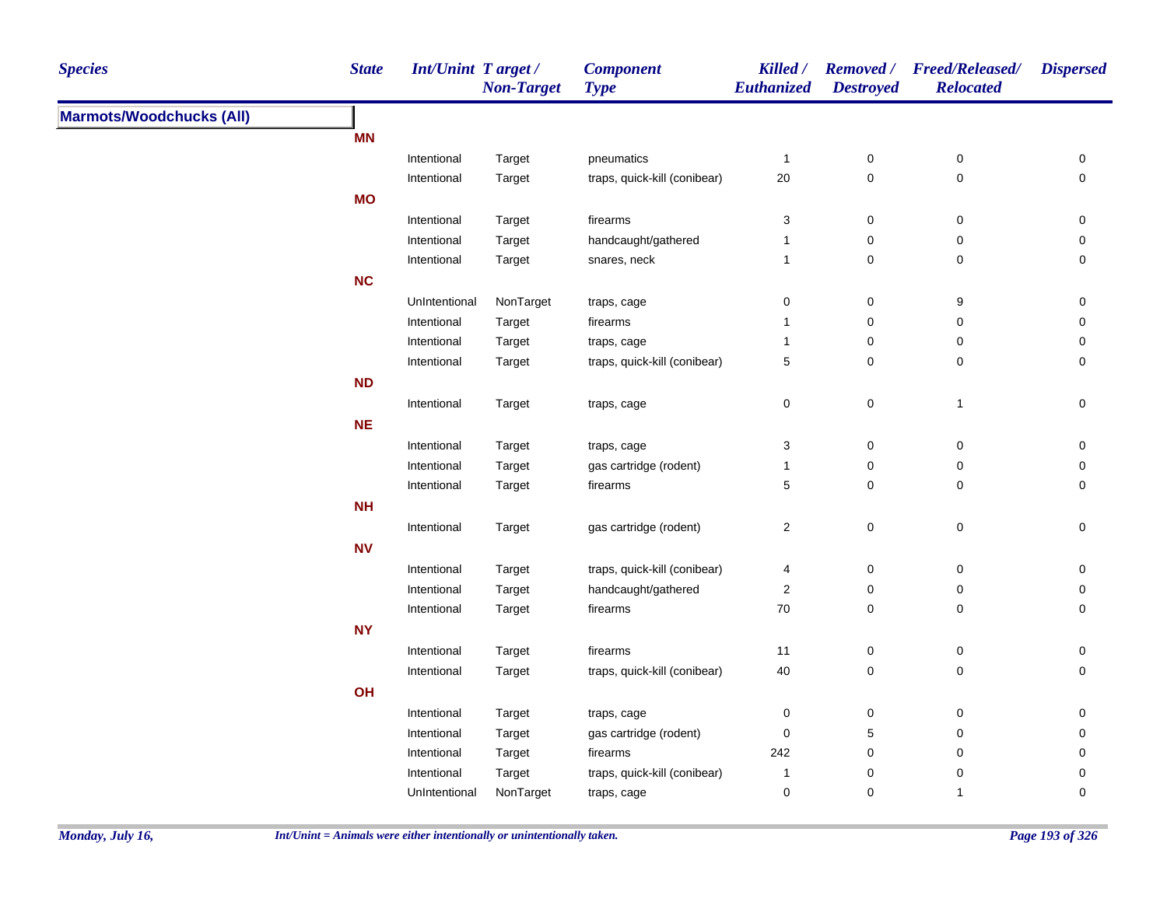| <b>Species</b>                  | <b>State</b> | <b>Int/Unint Target/</b> | <b>Non-Target</b> | <b>Component</b><br><b>Type</b> | Killed /<br>Euthanized  | <b>Destroyed</b> | Removed / Freed/Released/<br><b>Relocated</b> | <b>Dispersed</b>    |
|---------------------------------|--------------|--------------------------|-------------------|---------------------------------|-------------------------|------------------|-----------------------------------------------|---------------------|
| <b>Marmots/Woodchucks (All)</b> |              |                          |                   |                                 |                         |                  |                                               |                     |
|                                 | <b>MN</b>    |                          |                   |                                 |                         |                  |                                               |                     |
|                                 |              | Intentional              | Target            | pneumatics                      | $\mathbf{1}$            | $\pmb{0}$        | $\pmb{0}$                                     | 0                   |
|                                 |              | Intentional              | Target            | traps, quick-kill (conibear)    | $20\,$                  | $\mathbf 0$      | $\pmb{0}$                                     | $\mathbf 0$         |
|                                 | <b>MO</b>    |                          |                   |                                 |                         |                  |                                               |                     |
|                                 |              | Intentional              | Target            | firearms                        | 3                       | $\pmb{0}$        | $\pmb{0}$                                     | 0                   |
|                                 |              | Intentional              | Target            | handcaught/gathered             | 1                       | 0                | $\pmb{0}$                                     | 0                   |
|                                 |              | Intentional              | Target            | snares, neck                    | $\mathbf{1}$            | $\mathbf 0$      | 0                                             | 0                   |
|                                 | NC           |                          |                   |                                 |                         |                  |                                               |                     |
|                                 |              | UnIntentional            | NonTarget         | traps, cage                     | 0                       | $\boldsymbol{0}$ | 9                                             | 0                   |
|                                 |              | Intentional              | Target            | firearms                        | $\mathbf{1}$            | $\pmb{0}$        | $\pmb{0}$                                     | $\mathsf{O}\xspace$ |
|                                 |              | Intentional              | Target            | traps, cage                     | $\mathbf{1}$            | $\pmb{0}$        | $\pmb{0}$                                     | 0                   |
|                                 |              | Intentional              | Target            | traps, quick-kill (conibear)    | 5                       | $\mathbf 0$      | 0                                             | $\mathbf 0$         |
|                                 | <b>ND</b>    |                          |                   |                                 |                         |                  |                                               |                     |
|                                 |              | Intentional              | Target            | traps, cage                     | 0                       | 0                | $\mathbf{1}$                                  | 0                   |
|                                 | $NE$         |                          |                   |                                 |                         |                  |                                               |                     |
|                                 |              | Intentional              | Target            | traps, cage                     | 3                       | $\mathbf 0$      | $\pmb{0}$                                     | $\mathbf 0$         |
|                                 |              | Intentional              | Target            | gas cartridge (rodent)          | $\mathbf{1}$            | 0                | 0                                             | 0                   |
|                                 |              | Intentional              | Target            | firearms                        | 5                       | 0                | 0                                             | $\mathbf 0$         |
|                                 | <b>NH</b>    |                          |                   |                                 |                         |                  |                                               |                     |
|                                 |              | Intentional              | Target            | gas cartridge (rodent)          | $\overline{\mathbf{c}}$ | $\mathbf 0$      | $\pmb{0}$                                     | 0                   |
|                                 | <b>NV</b>    |                          |                   |                                 |                         |                  |                                               |                     |
|                                 |              | Intentional              | Target            | traps, quick-kill (conibear)    | 4                       | $\mathbf 0$      | $\pmb{0}$                                     | 0                   |
|                                 |              | Intentional              | Target            | handcaught/gathered             | 2                       | $\mathbf 0$      | 0                                             | 0                   |
|                                 |              | Intentional              | Target            | firearms                        | $70\,$                  | $\mathbf 0$      | 0                                             | 0                   |
|                                 | <b>NY</b>    |                          |                   |                                 |                         |                  |                                               |                     |
|                                 |              | Intentional              | Target            | firearms                        | 11                      | $\boldsymbol{0}$ | $\pmb{0}$                                     | 0                   |
|                                 |              | Intentional              | Target            | traps, quick-kill (conibear)    | $40\,$                  | $\mathbf 0$      | 0                                             | 0                   |
|                                 | OH           |                          |                   |                                 |                         |                  |                                               |                     |
|                                 |              | Intentional              | Target            | traps, cage                     | 0                       | $\mathbf 0$      | 0                                             | 0                   |
|                                 |              | Intentional              | Target            | gas cartridge (rodent)          | 0                       | $\,$ 5 $\,$      | 0                                             | 0                   |
|                                 |              | Intentional              | Target            | firearms                        | 242                     | 0                | 0                                             | 0                   |
|                                 |              | Intentional              | Target            | traps, quick-kill (conibear)    | 1                       | 0                | 0                                             | 0                   |
|                                 |              | UnIntentional            | NonTarget         | traps, cage                     | 0                       | $\mathbf 0$      | $\mathbf{1}$                                  | 0                   |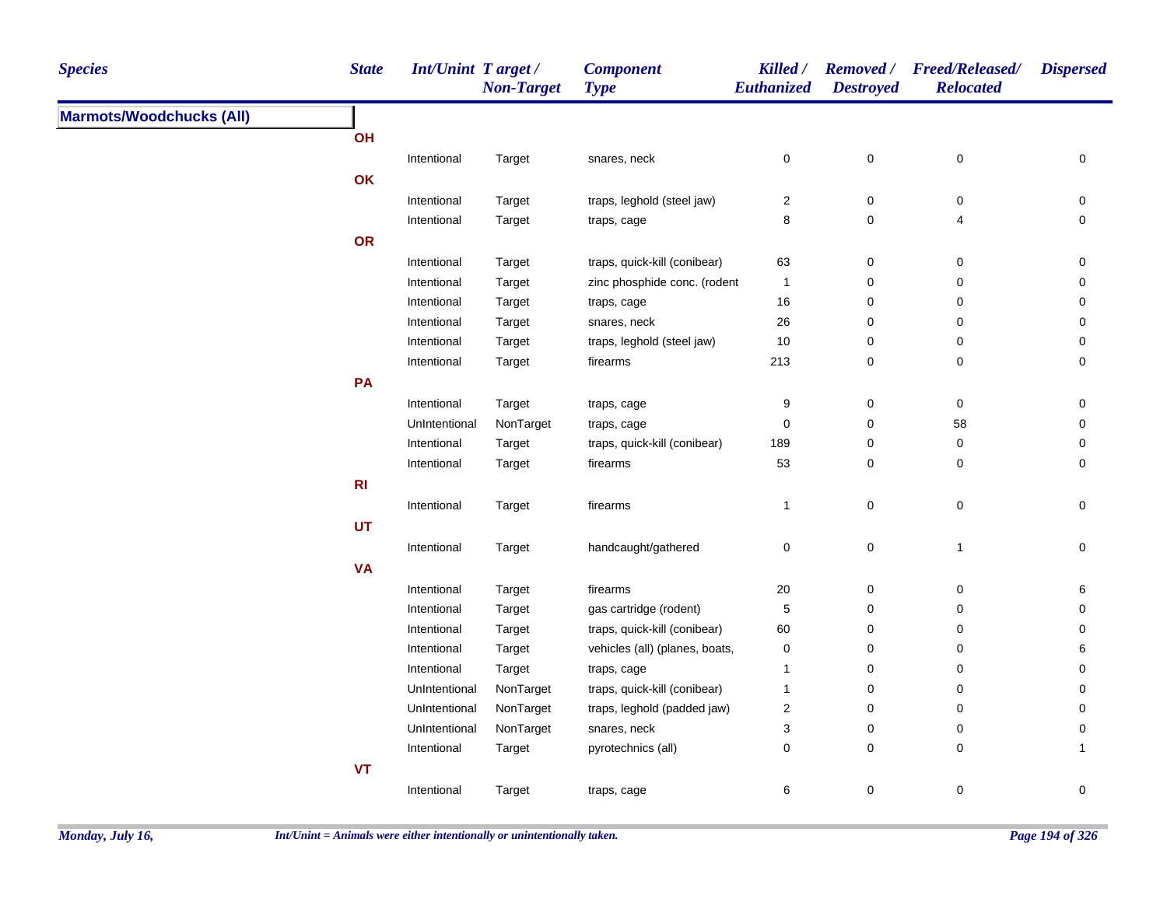| <b>Marmots/Woodchucks (All)</b><br>OH<br>$\pmb{0}$<br>$\pmb{0}$<br>$\mathsf 0$<br>Intentional<br>Target<br>0<br>snares, neck<br>OK<br>$\overline{\mathbf{c}}$<br>$\pmb{0}$<br>Intentional<br>Target<br>traps, leghold (steel jaw)<br>0<br>0<br>8<br>$\mathbf 0$<br>Intentional<br>Target<br>$\overline{4}$<br>traps, cage<br>0<br>OR<br>Intentional<br>traps, quick-kill (conibear)<br>63<br>0<br>$\mathbf 0$<br>Target<br>0<br>Intentional<br>zinc phosphide conc. (rodent<br>$\mathbf{1}$<br>0<br>$\mathbf 0$<br>Target<br>0<br>Intentional<br>$16\,$<br>0<br>$\mathbf 0$<br>Target<br>traps, cage<br>0<br>Intentional<br>26<br>$\pmb{0}$<br>$\mathsf 0$<br>Target<br>snares, neck<br>0<br>Intentional<br>$10$<br>$\mathbf 0$<br>$\pmb{0}$<br>Target<br>traps, leghold (steel jaw)<br>0<br>213<br>$\mathbf 0$<br>$\mathbf 0$<br>$\mathbf 0$<br>Intentional<br>firearms<br>Target<br>PA<br>Intentional<br>9<br>0<br>0<br>0<br>Target<br>traps, cage<br>NonTarget<br>$\pmb{0}$<br>$\pmb{0}$<br>58<br>$\pmb{0}$<br>UnIntentional<br>traps, cage<br>189<br>$\mathbf 0$<br>$\pmb{0}$<br>$\mathbf 0$<br>Intentional<br>Target<br>traps, quick-kill (conibear)<br>53<br>$\mathbf 0$<br>$\mathbf 0$<br>$\mathbf 0$<br>Intentional<br>Target<br>firearms | <b>Species</b> | <b>State</b>   | <b>Int/Unint Target/</b> | <b>Non-Target</b> | <b>Component</b><br><b>Type</b> | Killed /<br>Euthanized | <b>Destroyed</b> | Removed / Freed/Released/<br><b>Relocated</b> | <b>Dispersed</b> |
|---------------------------------------------------------------------------------------------------------------------------------------------------------------------------------------------------------------------------------------------------------------------------------------------------------------------------------------------------------------------------------------------------------------------------------------------------------------------------------------------------------------------------------------------------------------------------------------------------------------------------------------------------------------------------------------------------------------------------------------------------------------------------------------------------------------------------------------------------------------------------------------------------------------------------------------------------------------------------------------------------------------------------------------------------------------------------------------------------------------------------------------------------------------------------------------------------------------------------------------------------|----------------|----------------|--------------------------|-------------------|---------------------------------|------------------------|------------------|-----------------------------------------------|------------------|
|                                                                                                                                                                                                                                                                                                                                                                                                                                                                                                                                                                                                                                                                                                                                                                                                                                                                                                                                                                                                                                                                                                                                                                                                                                                   |                |                |                          |                   |                                 |                        |                  |                                               |                  |
|                                                                                                                                                                                                                                                                                                                                                                                                                                                                                                                                                                                                                                                                                                                                                                                                                                                                                                                                                                                                                                                                                                                                                                                                                                                   |                |                |                          |                   |                                 |                        |                  |                                               |                  |
|                                                                                                                                                                                                                                                                                                                                                                                                                                                                                                                                                                                                                                                                                                                                                                                                                                                                                                                                                                                                                                                                                                                                                                                                                                                   |                |                |                          |                   |                                 |                        |                  |                                               |                  |
|                                                                                                                                                                                                                                                                                                                                                                                                                                                                                                                                                                                                                                                                                                                                                                                                                                                                                                                                                                                                                                                                                                                                                                                                                                                   |                |                |                          |                   |                                 |                        |                  |                                               |                  |
|                                                                                                                                                                                                                                                                                                                                                                                                                                                                                                                                                                                                                                                                                                                                                                                                                                                                                                                                                                                                                                                                                                                                                                                                                                                   |                |                |                          |                   |                                 |                        |                  |                                               |                  |
|                                                                                                                                                                                                                                                                                                                                                                                                                                                                                                                                                                                                                                                                                                                                                                                                                                                                                                                                                                                                                                                                                                                                                                                                                                                   |                |                |                          |                   |                                 |                        |                  |                                               |                  |
|                                                                                                                                                                                                                                                                                                                                                                                                                                                                                                                                                                                                                                                                                                                                                                                                                                                                                                                                                                                                                                                                                                                                                                                                                                                   |                |                |                          |                   |                                 |                        |                  |                                               |                  |
|                                                                                                                                                                                                                                                                                                                                                                                                                                                                                                                                                                                                                                                                                                                                                                                                                                                                                                                                                                                                                                                                                                                                                                                                                                                   |                |                |                          |                   |                                 |                        |                  |                                               |                  |
|                                                                                                                                                                                                                                                                                                                                                                                                                                                                                                                                                                                                                                                                                                                                                                                                                                                                                                                                                                                                                                                                                                                                                                                                                                                   |                |                |                          |                   |                                 |                        |                  |                                               |                  |
|                                                                                                                                                                                                                                                                                                                                                                                                                                                                                                                                                                                                                                                                                                                                                                                                                                                                                                                                                                                                                                                                                                                                                                                                                                                   |                |                |                          |                   |                                 |                        |                  |                                               |                  |
|                                                                                                                                                                                                                                                                                                                                                                                                                                                                                                                                                                                                                                                                                                                                                                                                                                                                                                                                                                                                                                                                                                                                                                                                                                                   |                |                |                          |                   |                                 |                        |                  |                                               |                  |
|                                                                                                                                                                                                                                                                                                                                                                                                                                                                                                                                                                                                                                                                                                                                                                                                                                                                                                                                                                                                                                                                                                                                                                                                                                                   |                |                |                          |                   |                                 |                        |                  |                                               |                  |
|                                                                                                                                                                                                                                                                                                                                                                                                                                                                                                                                                                                                                                                                                                                                                                                                                                                                                                                                                                                                                                                                                                                                                                                                                                                   |                |                |                          |                   |                                 |                        |                  |                                               |                  |
|                                                                                                                                                                                                                                                                                                                                                                                                                                                                                                                                                                                                                                                                                                                                                                                                                                                                                                                                                                                                                                                                                                                                                                                                                                                   |                |                |                          |                   |                                 |                        |                  |                                               |                  |
|                                                                                                                                                                                                                                                                                                                                                                                                                                                                                                                                                                                                                                                                                                                                                                                                                                                                                                                                                                                                                                                                                                                                                                                                                                                   |                |                |                          |                   |                                 |                        |                  |                                               |                  |
|                                                                                                                                                                                                                                                                                                                                                                                                                                                                                                                                                                                                                                                                                                                                                                                                                                                                                                                                                                                                                                                                                                                                                                                                                                                   |                |                |                          |                   |                                 |                        |                  |                                               |                  |
|                                                                                                                                                                                                                                                                                                                                                                                                                                                                                                                                                                                                                                                                                                                                                                                                                                                                                                                                                                                                                                                                                                                                                                                                                                                   |                |                |                          |                   |                                 |                        |                  |                                               |                  |
|                                                                                                                                                                                                                                                                                                                                                                                                                                                                                                                                                                                                                                                                                                                                                                                                                                                                                                                                                                                                                                                                                                                                                                                                                                                   |                |                |                          |                   |                                 |                        |                  |                                               |                  |
|                                                                                                                                                                                                                                                                                                                                                                                                                                                                                                                                                                                                                                                                                                                                                                                                                                                                                                                                                                                                                                                                                                                                                                                                                                                   |                | R <sub>l</sub> |                          |                   |                                 |                        |                  |                                               |                  |
| Intentional<br>$\mathbf{1}$<br>$\pmb{0}$<br>$\pmb{0}$<br>$\pmb{0}$<br>Target<br>firearms                                                                                                                                                                                                                                                                                                                                                                                                                                                                                                                                                                                                                                                                                                                                                                                                                                                                                                                                                                                                                                                                                                                                                          |                |                |                          |                   |                                 |                        |                  |                                               |                  |
| UT                                                                                                                                                                                                                                                                                                                                                                                                                                                                                                                                                                                                                                                                                                                                                                                                                                                                                                                                                                                                                                                                                                                                                                                                                                                |                |                |                          |                   |                                 |                        |                  |                                               |                  |
| $\pmb{0}$<br>handcaught/gathered<br>0<br>$\mathbf{1}$<br>0<br>Intentional<br>Target                                                                                                                                                                                                                                                                                                                                                                                                                                                                                                                                                                                                                                                                                                                                                                                                                                                                                                                                                                                                                                                                                                                                                               |                |                |                          |                   |                                 |                        |                  |                                               |                  |
| <b>VA</b>                                                                                                                                                                                                                                                                                                                                                                                                                                                                                                                                                                                                                                                                                                                                                                                                                                                                                                                                                                                                                                                                                                                                                                                                                                         |                |                |                          |                   |                                 |                        |                  |                                               |                  |
| Intentional<br>Target<br>firearms<br>$20\,$<br>0<br>$\mathbf 0$<br>6                                                                                                                                                                                                                                                                                                                                                                                                                                                                                                                                                                                                                                                                                                                                                                                                                                                                                                                                                                                                                                                                                                                                                                              |                |                |                          |                   |                                 |                        |                  |                                               |                  |
| $\,$ 5 $\,$<br>Intentional<br>Target<br>gas cartridge (rodent)<br>0<br>$\mathbf 0$<br>0                                                                                                                                                                                                                                                                                                                                                                                                                                                                                                                                                                                                                                                                                                                                                                                                                                                                                                                                                                                                                                                                                                                                                           |                |                |                          |                   |                                 |                        |                  |                                               |                  |
| Intentional<br>Target<br>traps, quick-kill (conibear)<br>60<br>0<br>$\mathbf 0$<br>0                                                                                                                                                                                                                                                                                                                                                                                                                                                                                                                                                                                                                                                                                                                                                                                                                                                                                                                                                                                                                                                                                                                                                              |                |                |                          |                   |                                 |                        |                  |                                               |                  |
| vehicles (all) (planes, boats,<br>Intentional<br>$\mathbf 0$<br>0<br>$\mathbf 0$<br>Target<br>6                                                                                                                                                                                                                                                                                                                                                                                                                                                                                                                                                                                                                                                                                                                                                                                                                                                                                                                                                                                                                                                                                                                                                   |                |                |                          |                   |                                 |                        |                  |                                               |                  |
| Intentional<br>0<br>$\mathbf 0$<br>Target<br>traps, cage<br>$\mathbf{1}$<br>0                                                                                                                                                                                                                                                                                                                                                                                                                                                                                                                                                                                                                                                                                                                                                                                                                                                                                                                                                                                                                                                                                                                                                                     |                |                |                          |                   |                                 |                        |                  |                                               |                  |
| UnIntentional<br>NonTarget<br>traps, quick-kill (conibear)<br>0<br>$\mathbf 0$<br>$\mathbf{1}$<br>0                                                                                                                                                                                                                                                                                                                                                                                                                                                                                                                                                                                                                                                                                                                                                                                                                                                                                                                                                                                                                                                                                                                                               |                |                |                          |                   |                                 |                        |                  |                                               |                  |
| UnIntentional<br>NonTarget<br>traps, leghold (padded jaw)<br>$\boldsymbol{2}$<br>$\mathbf 0$<br>$\mathbf 0$<br>0                                                                                                                                                                                                                                                                                                                                                                                                                                                                                                                                                                                                                                                                                                                                                                                                                                                                                                                                                                                                                                                                                                                                  |                |                |                          |                   |                                 |                        |                  |                                               |                  |
| UnIntentional<br>NonTarget<br>3<br>$\pmb{0}$<br>snares, neck<br>$\mathbf 0$<br>0                                                                                                                                                                                                                                                                                                                                                                                                                                                                                                                                                                                                                                                                                                                                                                                                                                                                                                                                                                                                                                                                                                                                                                  |                |                |                          |                   |                                 |                        |                  |                                               |                  |
| $\pmb{0}$<br>$\mathbf 0$<br>$\mathsf 0$<br>Intentional<br>pyrotechnics (all)<br>Target<br>$\mathbf{1}$                                                                                                                                                                                                                                                                                                                                                                                                                                                                                                                                                                                                                                                                                                                                                                                                                                                                                                                                                                                                                                                                                                                                            |                |                |                          |                   |                                 |                        |                  |                                               |                  |
| <b>VT</b>                                                                                                                                                                                                                                                                                                                                                                                                                                                                                                                                                                                                                                                                                                                                                                                                                                                                                                                                                                                                                                                                                                                                                                                                                                         |                |                |                          |                   |                                 |                        |                  |                                               |                  |
| 6<br>$\pmb{0}$<br>$\pmb{0}$<br>$\pmb{0}$<br>Intentional<br>Target<br>traps, cage                                                                                                                                                                                                                                                                                                                                                                                                                                                                                                                                                                                                                                                                                                                                                                                                                                                                                                                                                                                                                                                                                                                                                                  |                |                |                          |                   |                                 |                        |                  |                                               |                  |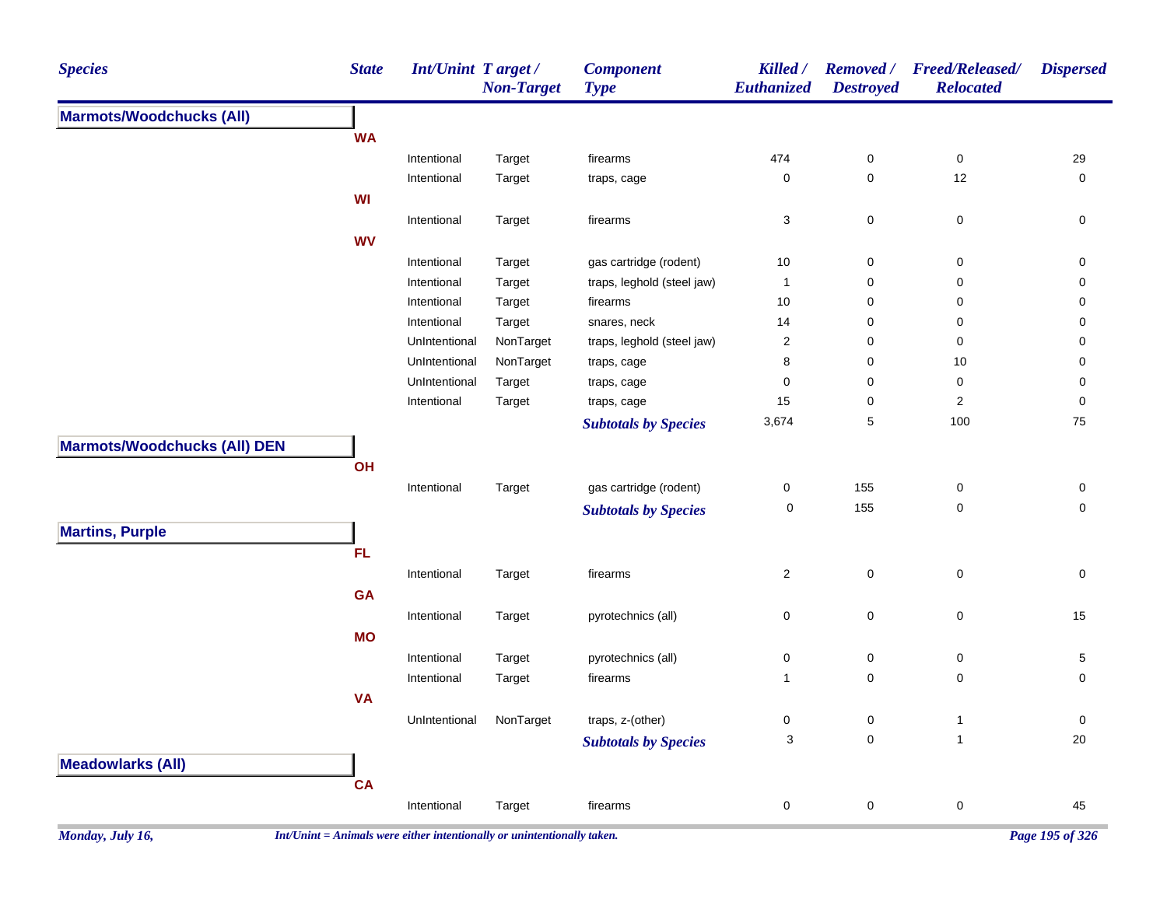| <b>Species</b>                      | <b>State</b> | Int/Unint Target / | <b>Non-Target</b> | <b>Component</b><br><b>Type</b> | Killed /<br>Euthanized    | <b>Removed</b> /<br><b>Destroyed</b> | <b>Freed/Released/</b><br><b>Relocated</b> | <b>Dispersed</b>    |
|-------------------------------------|--------------|--------------------|-------------------|---------------------------------|---------------------------|--------------------------------------|--------------------------------------------|---------------------|
| <b>Marmots/Woodchucks (All)</b>     |              |                    |                   |                                 |                           |                                      |                                            |                     |
|                                     | <b>WA</b>    |                    |                   |                                 |                           |                                      |                                            |                     |
|                                     |              | Intentional        | Target            | firearms                        | 474                       | $\pmb{0}$                            | $\pmb{0}$                                  | 29                  |
|                                     |              | Intentional        | Target            | traps, cage                     | $\pmb{0}$                 | $\pmb{0}$                            | 12                                         | $\mathbf 0$         |
|                                     | WI           |                    |                   |                                 |                           |                                      |                                            |                     |
|                                     |              | Intentional        | Target            | firearms                        | 3                         | $\mathbf 0$                          | 0                                          | 0                   |
|                                     | <b>WV</b>    |                    |                   |                                 |                           |                                      |                                            |                     |
|                                     |              | Intentional        | Target            | gas cartridge (rodent)          | 10                        | $\pmb{0}$                            | $\pmb{0}$                                  | $\pmb{0}$           |
|                                     |              | Intentional        | Target            | traps, leghold (steel jaw)      | $\mathbf{1}$              | 0                                    | 0                                          | 0                   |
|                                     |              | Intentional        | Target            | firearms                        | 10                        | 0                                    | 0                                          | 0                   |
|                                     |              | Intentional        | Target            | snares, neck                    | 14                        | 0                                    | 0                                          | 0                   |
|                                     |              | UnIntentional      | NonTarget         | traps, leghold (steel jaw)      | $\sqrt{2}$                | $\pmb{0}$                            | $\pmb{0}$                                  | 0                   |
|                                     |              | UnIntentional      | NonTarget         | traps, cage                     | 8                         | 0                                    | 10                                         | 0                   |
|                                     |              | UnIntentional      | Target            | traps, cage                     | $\mathbf 0$               | 0                                    | $\pmb{0}$                                  | 0                   |
|                                     |              | Intentional        | Target            | traps, cage                     | 15                        | $\mathsf 0$                          | $\mathbf 2$                                | $\mathbf 0$         |
|                                     |              |                    |                   | <b>Subtotals by Species</b>     | 3,674                     | 5                                    | 100                                        | 75                  |
| <b>Marmots/Woodchucks (All) DEN</b> |              |                    |                   |                                 |                           |                                      |                                            |                     |
|                                     | OH           |                    |                   |                                 |                           |                                      |                                            |                     |
|                                     |              | Intentional        | Target            | gas cartridge (rodent)          | $\boldsymbol{0}$          | 155                                  | 0                                          | $\pmb{0}$           |
|                                     |              |                    |                   | <b>Subtotals by Species</b>     | $\mathbf 0$               | 155                                  | $\pmb{0}$                                  | $\mathsf{O}\xspace$ |
| <b>Martins, Purple</b>              |              |                    |                   |                                 |                           |                                      |                                            |                     |
|                                     | <b>FL</b>    |                    |                   |                                 |                           |                                      |                                            |                     |
|                                     |              | Intentional        | Target            | firearms                        | $\overline{a}$            | $\mathsf 0$                          | $\pmb{0}$                                  | $\pmb{0}$           |
|                                     | GA           |                    |                   |                                 |                           |                                      |                                            |                     |
|                                     |              | Intentional        | Target            | pyrotechnics (all)              | $\pmb{0}$                 | $\pmb{0}$                            | $\pmb{0}$                                  | 15                  |
|                                     | <b>MO</b>    |                    |                   |                                 |                           |                                      |                                            |                     |
|                                     |              |                    |                   |                                 |                           | $\pmb{0}$                            |                                            |                     |
|                                     |              | Intentional        | Target            | pyrotechnics (all)              | $\pmb{0}$<br>$\mathbf{1}$ | $\mathbf 0$                          | 0<br>0                                     | $\mathbf{5}$<br>0   |
|                                     |              | Intentional        | Target            | firearms                        |                           |                                      |                                            |                     |
|                                     | <b>VA</b>    |                    |                   |                                 |                           |                                      |                                            |                     |
|                                     |              | UnIntentional      | NonTarget         | traps, z-(other)                | $\boldsymbol{0}$          | 0                                    | $\mathbf{1}$                               | $\pmb{0}$           |
|                                     |              |                    |                   | <b>Subtotals by Species</b>     | 3                         | $\mathsf{O}\xspace$                  | $\mathbf{1}$                               | 20                  |
| <b>Meadowlarks (All)</b>            |              |                    |                   |                                 |                           |                                      |                                            |                     |
|                                     | <b>CA</b>    |                    |                   |                                 |                           |                                      |                                            |                     |
|                                     |              | Intentional        | Target            | firearms                        | $\pmb{0}$                 | $\pmb{0}$                            | $\pmb{0}$                                  | 45                  |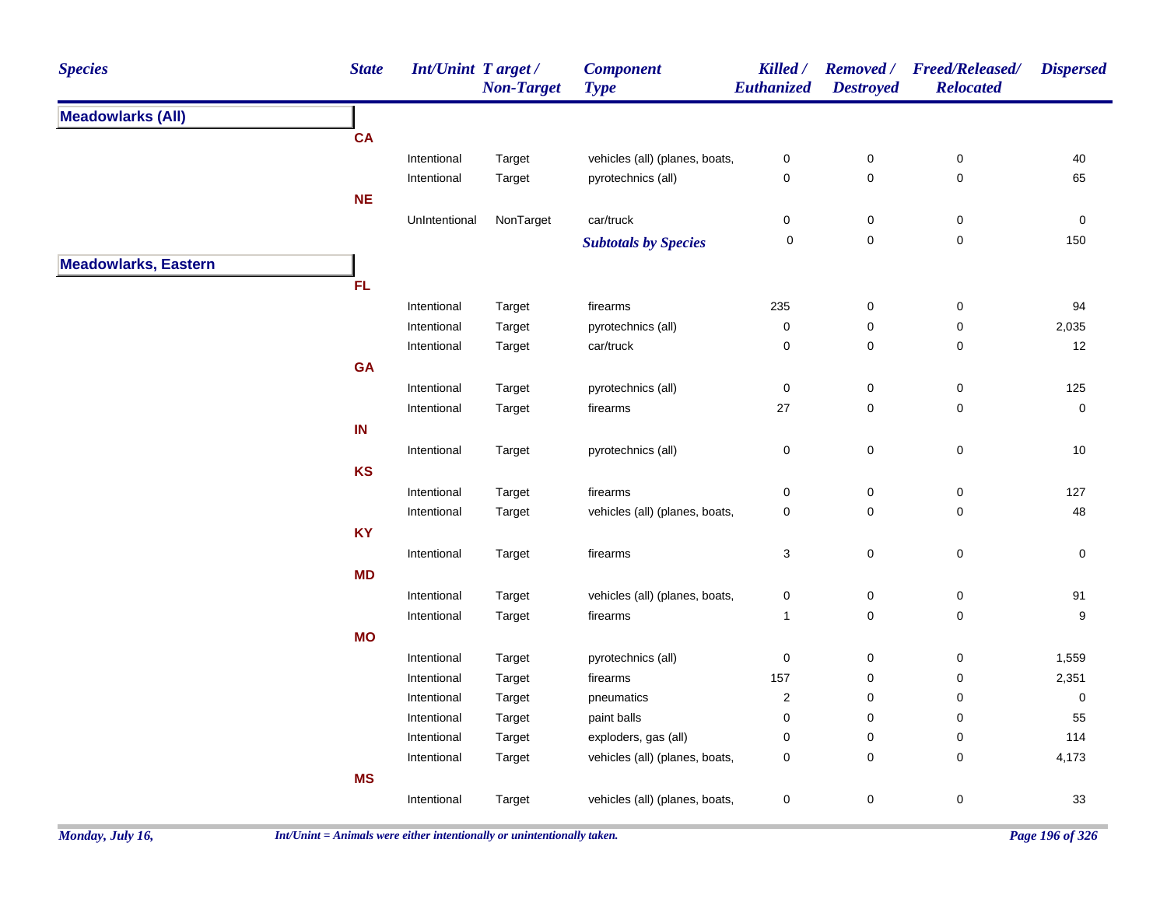| <b>Species</b>              | <b>State</b>  | Int/Unint Target/<br><b>Non-Target</b> | <b>Component</b><br><b>Type</b> | Killed /<br>Euthanized | <b>Destroyed</b>    | Removed / Freed/Released/<br><b>Relocated</b> | <b>Dispersed</b> |
|-----------------------------|---------------|----------------------------------------|---------------------------------|------------------------|---------------------|-----------------------------------------------|------------------|
| <b>Meadowlarks (All)</b>    |               |                                        |                                 |                        |                     |                                               |                  |
|                             | <b>CA</b>     |                                        |                                 |                        |                     |                                               |                  |
|                             | Intentional   | Target                                 | vehicles (all) (planes, boats,  | $\pmb{0}$              | $\pmb{0}$           | $\pmb{0}$                                     | 40               |
|                             | Intentional   | Target                                 | pyrotechnics (all)              | $\pmb{0}$              | $\pmb{0}$           | $\pmb{0}$                                     | 65               |
|                             | <b>NE</b>     |                                        |                                 |                        |                     |                                               |                  |
|                             | UnIntentional | NonTarget                              | car/truck                       | $\pmb{0}$              | $\pmb{0}$           | $\pmb{0}$                                     | $\pmb{0}$        |
|                             |               |                                        | <b>Subtotals by Species</b>     | $\pmb{0}$              | $\mathbf 0$         | $\mathbf 0$                                   | 150              |
| <b>Meadowlarks, Eastern</b> |               |                                        |                                 |                        |                     |                                               |                  |
|                             | <b>FL</b>     |                                        |                                 |                        |                     |                                               |                  |
|                             | Intentional   | Target                                 | firearms                        | 235                    | $\pmb{0}$           | $\pmb{0}$                                     | 94               |
|                             | Intentional   | Target                                 | pyrotechnics (all)              | $\pmb{0}$              | $\pmb{0}$           | $\pmb{0}$                                     | 2,035            |
|                             | Intentional   | Target                                 | car/truck                       | $\mathbf 0$            | $\pmb{0}$           | $\pmb{0}$                                     | 12               |
|                             | <b>GA</b>     |                                        |                                 |                        |                     |                                               |                  |
|                             | Intentional   | Target                                 | pyrotechnics (all)              | $\pmb{0}$              | $\pmb{0}$           | $\pmb{0}$                                     | 125              |
|                             | Intentional   | Target                                 | firearms                        | 27                     | $\mathsf{O}\xspace$ | 0                                             | $\pmb{0}$        |
|                             | IN            |                                        |                                 |                        |                     |                                               |                  |
|                             | Intentional   | Target                                 | pyrotechnics (all)              | $\pmb{0}$              | $\pmb{0}$           | $\pmb{0}$                                     | 10               |
|                             | KS            |                                        |                                 |                        |                     |                                               |                  |
|                             | Intentional   | Target                                 | firearms                        | $\pmb{0}$              | $\pmb{0}$           | 0                                             | 127              |
|                             | Intentional   | Target                                 | vehicles (all) (planes, boats,  | $\pmb{0}$              | $\pmb{0}$           | $\pmb{0}$                                     | 48               |
|                             | <b>KY</b>     |                                        |                                 |                        |                     |                                               |                  |
|                             | Intentional   | Target                                 | firearms                        | 3                      | $\pmb{0}$           | $\mathbf 0$                                   | 0                |
|                             | <b>MD</b>     |                                        |                                 |                        |                     |                                               |                  |
|                             | Intentional   | Target                                 | vehicles (all) (planes, boats,  | $\pmb{0}$              | $\pmb{0}$           | $\pmb{0}$                                     | 91               |
|                             | Intentional   | Target                                 | firearms                        | $\mathbf{1}$           | $\mathbf 0$         | $\mathbf 0$                                   | 9                |
|                             | <b>MO</b>     |                                        |                                 |                        |                     |                                               |                  |
|                             | Intentional   | Target                                 | pyrotechnics (all)              | $\pmb{0}$              | $\mathbf 0$         | $\pmb{0}$                                     | 1,559            |
|                             | Intentional   | Target                                 | firearms                        | 157                    | $\pmb{0}$           | 0                                             | 2,351            |
|                             | Intentional   | Target                                 | pneumatics                      | $\sqrt{2}$             | $\mathbf 0$         | 0                                             | $\pmb{0}$        |
|                             | Intentional   | Target                                 | paint balls                     | $\mathbf 0$            | $\mathbf 0$         | 0                                             | 55               |
|                             | Intentional   | Target                                 | exploders, gas (all)            | $\mathbf 0$            | $\mathbf 0$         | 0                                             | 114              |
|                             | Intentional   | Target                                 | vehicles (all) (planes, boats,  | $\pmb{0}$              | $\pmb{0}$           | $\pmb{0}$                                     | 4,173            |
|                             | <b>MS</b>     |                                        |                                 |                        |                     |                                               |                  |
|                             | Intentional   | Target                                 | vehicles (all) (planes, boats,  | $\mathbf 0$            | $\pmb{0}$           | $\pmb{0}$                                     | 33               |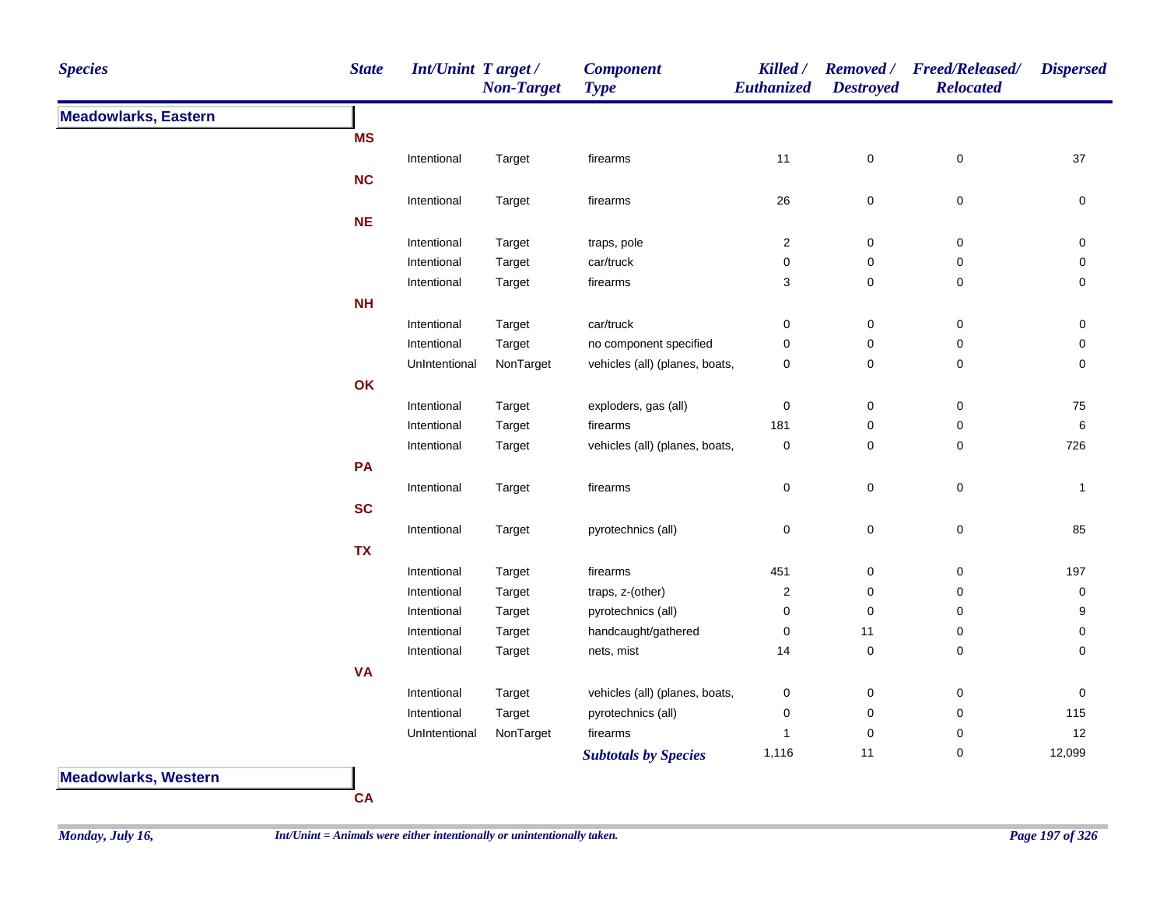| <b>Species</b>              | <b>State</b> | <b>Int/Unint Target/</b> | <b>Non-Target</b> | <b>Component</b><br><b>Type</b> | Killed /<br>Euthanized  | <b>Removed</b> /<br><b>Destroyed</b> | <b>Freed/Released/</b><br><b>Relocated</b> | <b>Dispersed</b> |
|-----------------------------|--------------|--------------------------|-------------------|---------------------------------|-------------------------|--------------------------------------|--------------------------------------------|------------------|
| <b>Meadowlarks, Eastern</b> |              |                          |                   |                                 |                         |                                      |                                            |                  |
|                             | <b>MS</b>    |                          |                   |                                 |                         |                                      |                                            |                  |
|                             |              | Intentional              | Target            | firearms                        | 11                      | $\mathbf 0$                          | $\pmb{0}$                                  | 37               |
|                             | <b>NC</b>    |                          |                   |                                 |                         |                                      |                                            |                  |
|                             |              | Intentional              | Target            | firearms                        | $26\,$                  | $\mathbf 0$                          | $\pmb{0}$                                  | $\mathbf 0$      |
|                             | <b>NE</b>    |                          |                   |                                 |                         |                                      |                                            |                  |
|                             |              | Intentional              | Target            | traps, pole                     | $\overline{\mathbf{c}}$ | $\pmb{0}$                            | $\pmb{0}$                                  | 0                |
|                             |              | Intentional              | Target            | car/truck                       | 0                       | $\mathbf 0$                          | $\pmb{0}$                                  | $\mathbf 0$      |
|                             |              | Intentional              | Target            | firearms                        | 3                       | 0                                    | 0                                          | 0                |
|                             | NH           |                          |                   |                                 |                         |                                      |                                            |                  |
|                             |              | Intentional              | Target            | car/truck                       | 0                       | $\mathbf 0$                          | 0                                          | 0                |
|                             |              | Intentional              | Target            | no component specified          | 0                       | $\mathbf 0$                          | $\pmb{0}$                                  | 0                |
|                             |              | UnIntentional            | NonTarget         | vehicles (all) (planes, boats,  | 0                       | $\mathbf 0$                          | $\mathbf 0$                                | $\mathbf 0$      |
|                             | OK           |                          |                   |                                 |                         |                                      |                                            |                  |
|                             |              | Intentional              | Target            | exploders, gas (all)            | 0                       | $\boldsymbol{0}$                     | $\pmb{0}$                                  | 75               |
|                             |              | Intentional              | Target            | firearms                        | 181                     | 0                                    | $\pmb{0}$                                  | 6                |
|                             |              | Intentional              | Target            | vehicles (all) (planes, boats,  | 0                       | 0                                    | 0                                          | 726              |
|                             | PA           |                          |                   |                                 |                         |                                      |                                            |                  |
|                             |              | Intentional              | Target            | firearms                        | 0                       | $\mathsf{O}\xspace$                  | $\mathsf 0$                                | -1               |
|                             | <b>SC</b>    |                          |                   |                                 |                         |                                      |                                            |                  |
|                             |              | Intentional              | Target            | pyrotechnics (all)              | 0                       | $\mathbf 0$                          | $\pmb{0}$                                  | 85               |
|                             | <b>TX</b>    |                          |                   |                                 |                         |                                      |                                            |                  |
|                             |              | Intentional              | Target            | firearms                        | 451                     | $\boldsymbol{0}$                     | 0                                          | 197              |
|                             |              | Intentional              | Target            | traps, z-(other)                | $\overline{\mathbf{c}}$ | $\mathbf 0$                          | 0                                          | 0                |
|                             |              | Intentional              | Target            | pyrotechnics (all)              | 0                       | $\mathbf 0$                          | 0                                          | 9                |
|                             |              | Intentional              | Target            | handcaught/gathered             | 0                       | 11                                   | 0                                          | 0                |
|                             |              | Intentional              | Target            | nets, mist                      | 14                      | $\mathbf 0$                          | $\mathbf 0$                                | $\mathbf 0$      |
|                             | <b>VA</b>    |                          |                   |                                 |                         |                                      |                                            |                  |
|                             |              | Intentional              | Target            | vehicles (all) (planes, boats,  | 0                       | $\pmb{0}$                            | $\pmb{0}$                                  | 0                |
|                             |              | Intentional              | Target            | pyrotechnics (all)              | 0                       | 0                                    | 0                                          | 115              |
|                             |              | UnIntentional            | NonTarget         | firearms                        | 1                       | 0                                    | 0                                          | 12               |
|                             |              |                          |                   | <b>Subtotals by Species</b>     | 1,116                   | 11                                   | 0                                          | 12,099           |

**Meadowlarks, Western**

**CA**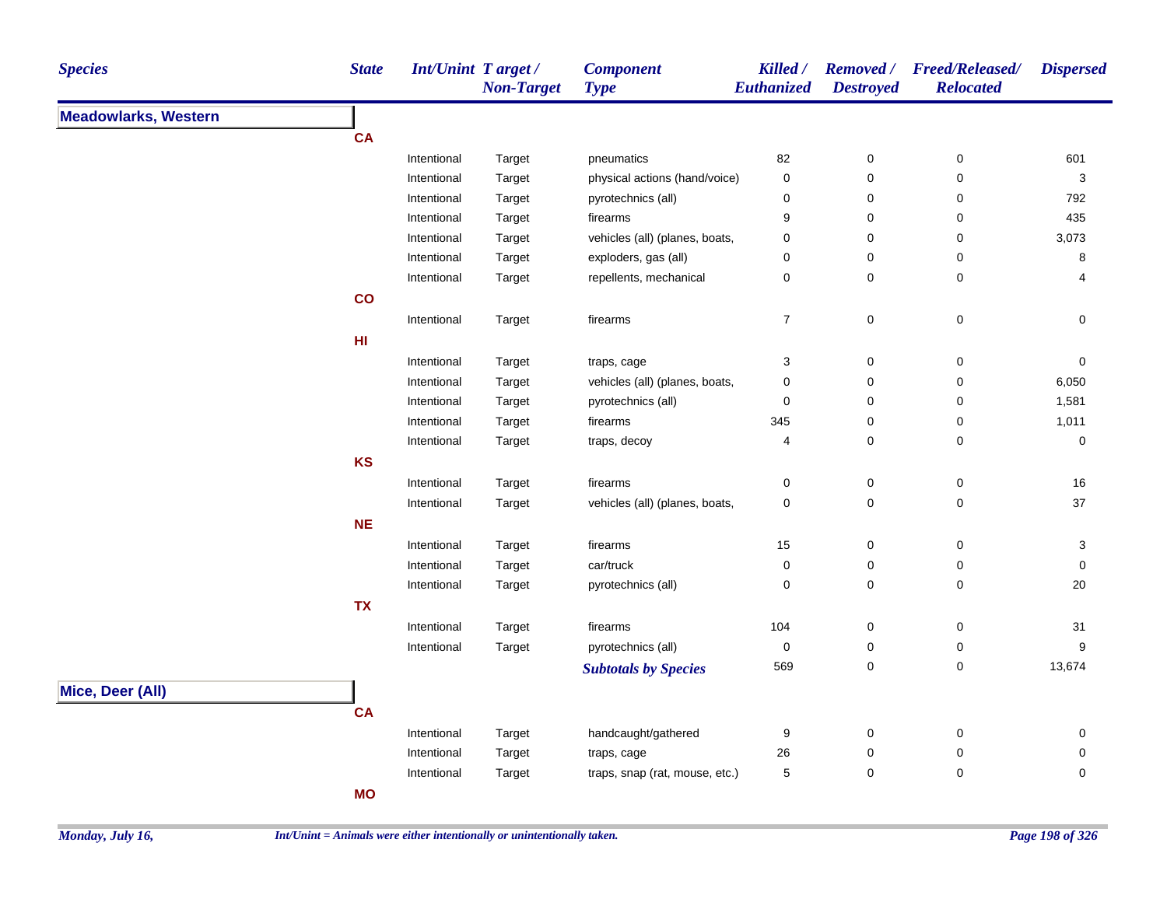| <b>Species</b>              | <b>State</b> | <b>Int/Unint Target/</b> | <b>Non-Target</b> | <b>Component</b><br><b>Type</b> | Killed /<br>Euthanized | <b>Destroyed</b>    | Removed / Freed/Released/<br><b>Relocated</b> | <b>Dispersed</b> |
|-----------------------------|--------------|--------------------------|-------------------|---------------------------------|------------------------|---------------------|-----------------------------------------------|------------------|
| <b>Meadowlarks, Western</b> |              |                          |                   |                                 |                        |                     |                                               |                  |
|                             | <b>CA</b>    |                          |                   |                                 |                        |                     |                                               |                  |
|                             |              | Intentional              | Target            | pneumatics                      | 82                     | 0                   | 0                                             | 601              |
|                             |              | Intentional              | Target            | physical actions (hand/voice)   | $\pmb{0}$              | $\mathbf 0$         | 0                                             | $\sqrt{3}$       |
|                             |              | Intentional              | Target            | pyrotechnics (all)              | $\pmb{0}$              | $\mathbf 0$         | 0                                             | 792              |
|                             |              | Intentional              | Target            | firearms                        | 9                      | $\mathbf 0$         | 0                                             | 435              |
|                             |              | Intentional              | Target            | vehicles (all) (planes, boats,  | 0                      | 0                   | 0                                             | 3,073            |
|                             |              | Intentional              | Target            | exploders, gas (all)            | $\mathbf 0$            | $\mathbf 0$         | 0                                             | 8                |
|                             |              | Intentional              | Target            | repellents, mechanical          | $\mathbf 0$            | $\mathbf 0$         | 0                                             | 4                |
|                             | co           |                          |                   |                                 |                        |                     |                                               |                  |
|                             |              | Intentional              | Target            | firearms                        | $\boldsymbol{7}$       | $\pmb{0}$           | $\pmb{0}$                                     | 0                |
|                             | HI           |                          |                   |                                 |                        |                     |                                               |                  |
|                             |              | Intentional              | Target            | traps, cage                     | $\mathsf 3$            | $\pmb{0}$           | $\pmb{0}$                                     | $\pmb{0}$        |
|                             |              | Intentional              | Target            | vehicles (all) (planes, boats,  | $\pmb{0}$              | $\pmb{0}$           | $\pmb{0}$                                     | 6,050            |
|                             |              | Intentional              | Target            | pyrotechnics (all)              | $\pmb{0}$              | $\mathbf 0$         | $\pmb{0}$                                     | 1,581            |
|                             |              | Intentional              | Target            | firearms                        | 345                    | $\mathbf 0$         | 0                                             | 1,011            |
|                             |              | Intentional              | Target            | traps, decoy                    | 4                      | $\mathbf 0$         | 0                                             | 0                |
|                             | <b>KS</b>    |                          |                   |                                 |                        |                     |                                               |                  |
|                             |              | Intentional              | Target            | firearms                        | $\mathbf 0$            | 0                   | 0                                             | 16               |
|                             |              | Intentional              | Target            | vehicles (all) (planes, boats,  | $\mathbf 0$            | $\mathbf 0$         | 0                                             | 37               |
|                             | $NE$         |                          |                   |                                 |                        |                     |                                               |                  |
|                             |              | Intentional              | Target            | firearms                        | 15                     | $\mathbf 0$         | 0                                             | 3                |
|                             |              | Intentional              | Target            | car/truck                       | $\mathbf 0$            | 0                   | 0                                             | 0                |
|                             |              | Intentional              | Target            | pyrotechnics (all)              | $\pmb{0}$              | $\mathsf{O}\xspace$ | 0                                             | 20               |
|                             | <b>TX</b>    |                          |                   |                                 |                        |                     |                                               |                  |
|                             |              | Intentional              | Target            | firearms                        | 104                    | $\pmb{0}$           | $\mathbf 0$                                   | 31               |
|                             |              | Intentional              | Target            | pyrotechnics (all)              | $\pmb{0}$              | $\pmb{0}$           | $\mathbf 0$                                   | 9                |
|                             |              |                          |                   | <b>Subtotals by Species</b>     | 569                    | $\pmb{0}$           | 0                                             | 13,674           |
|                             |              |                          |                   |                                 |                        |                     |                                               |                  |
| Mice, Deer (All)            |              |                          |                   |                                 |                        |                     |                                               |                  |
|                             | <b>CA</b>    |                          |                   |                                 |                        |                     |                                               |                  |
|                             |              | Intentional              | Target            | handcaught/gathered             | 9                      | $\mathbf 0$         | 0                                             | 0                |
|                             |              | Intentional              | Target            | traps, cage                     | 26                     | $\mathbf 0$         | 0                                             | 0                |
|                             |              | Intentional              | Target            | traps, snap (rat, mouse, etc.)  | 5                      | $\mathbf 0$         | $\pmb{0}$                                     | 0                |
|                             | <b>MO</b>    |                          |                   |                                 |                        |                     |                                               |                  |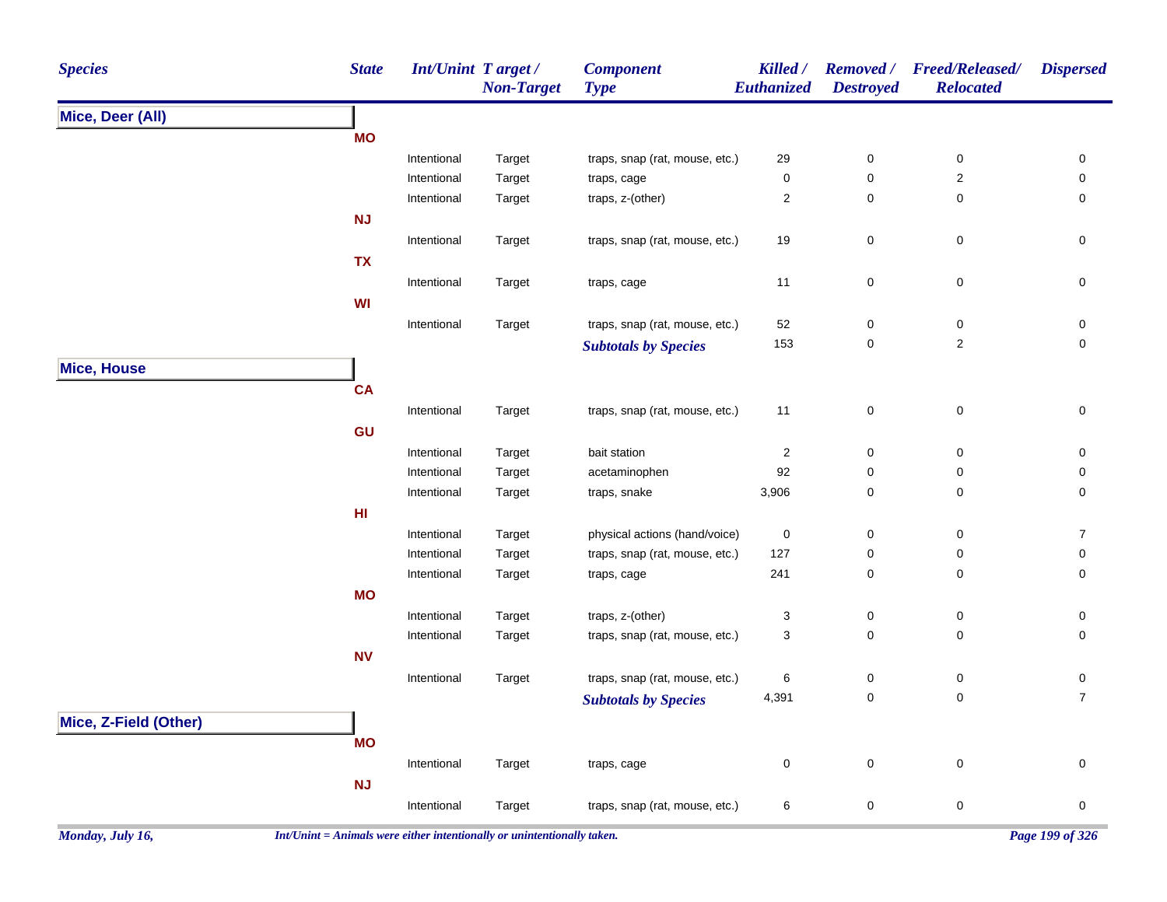| <b>Species</b>        | <b>State</b>    | Int/Unint Target / | <b>Non-Target</b> | <b>Component</b><br><b>Type</b> | Killed /<br><b>Euthanized</b> | <b>Removed</b> /<br><b>Destroyed</b> | <b>Freed/Released/</b><br><b>Relocated</b> | <b>Dispersed</b>    |
|-----------------------|-----------------|--------------------|-------------------|---------------------------------|-------------------------------|--------------------------------------|--------------------------------------------|---------------------|
| Mice, Deer (All)      |                 |                    |                   |                                 |                               |                                      |                                            |                     |
|                       | <b>MO</b>       |                    |                   |                                 |                               |                                      |                                            |                     |
|                       |                 | Intentional        | Target            | traps, snap (rat, mouse, etc.)  | 29                            | $\pmb{0}$                            | $\pmb{0}$                                  | 0                   |
|                       |                 | Intentional        | Target            | traps, cage                     | $\mathbf 0$                   | $\mathbf 0$                          | $\mathbf 2$                                | 0                   |
|                       |                 | Intentional        | Target            | traps, z-(other)                | $\sqrt{2}$                    | $\pmb{0}$                            | 0                                          | 0                   |
|                       | NJ              |                    |                   |                                 |                               |                                      |                                            |                     |
|                       |                 | Intentional        | Target            | traps, snap (rat, mouse, etc.)  | 19                            | $\mathsf{O}\xspace$                  | $\pmb{0}$                                  | $\mathsf{O}\xspace$ |
|                       | <b>TX</b>       |                    |                   |                                 |                               |                                      |                                            |                     |
|                       |                 | Intentional        | Target            | traps, cage                     | 11                            | $\pmb{0}$                            | $\pmb{0}$                                  | 0                   |
|                       | WI              |                    |                   |                                 |                               |                                      |                                            |                     |
|                       |                 | Intentional        | Target            | traps, snap (rat, mouse, etc.)  | 52                            | $\pmb{0}$                            | $\pmb{0}$                                  | $\pmb{0}$           |
|                       |                 |                    |                   | <b>Subtotals by Species</b>     | 153                           | $\mathsf 0$                          | $\sqrt{2}$                                 | 0                   |
| <b>Mice, House</b>    |                 |                    |                   |                                 |                               |                                      |                                            |                     |
|                       | <b>CA</b>       |                    |                   |                                 |                               |                                      |                                            |                     |
|                       |                 | Intentional        | Target            | traps, snap (rat, mouse, etc.)  | 11                            | $\pmb{0}$                            | $\pmb{0}$                                  | 0                   |
|                       | GU              |                    |                   |                                 |                               |                                      |                                            |                     |
|                       |                 | Intentional        | Target            | bait station                    | $\sqrt{2}$                    | $\pmb{0}$                            | $\pmb{0}$                                  | 0                   |
|                       |                 | Intentional        | Target            | acetaminophen                   | 92                            | $\pmb{0}$                            | $\pmb{0}$                                  | 0                   |
|                       |                 | Intentional        | Target            | traps, snake                    | 3,906                         | $\mathsf{O}\xspace$                  | 0                                          | 0                   |
|                       | H <sub>II</sub> |                    |                   |                                 |                               |                                      |                                            |                     |
|                       |                 | Intentional        | Target            | physical actions (hand/voice)   | $\pmb{0}$                     | $\pmb{0}$                            | $\pmb{0}$                                  | $\boldsymbol{7}$    |
|                       |                 | Intentional        | Target            | traps, snap (rat, mouse, etc.)  | 127                           | 0                                    | 0                                          | 0                   |
|                       |                 | Intentional        | Target            | traps, cage                     | 241                           | $\mathbf 0$                          | 0                                          | 0                   |
|                       | <b>MO</b>       |                    |                   |                                 |                               |                                      |                                            |                     |
|                       |                 | Intentional        | Target            | traps, z-(other)                | 3                             | $\pmb{0}$                            | 0                                          | 0                   |
|                       |                 | Intentional        | Target            | traps, snap (rat, mouse, etc.)  | $\mathbf{3}$                  | $\pmb{0}$                            | $\pmb{0}$                                  | 0                   |
|                       | <b>NV</b>       |                    |                   |                                 |                               |                                      |                                            |                     |
|                       |                 | Intentional        | Target            | traps, snap (rat, mouse, etc.)  | $\,6$                         | $\pmb{0}$                            | 0                                          | 0                   |
|                       |                 |                    |                   | <b>Subtotals by Species</b>     | 4,391                         | $\pmb{0}$                            | $\pmb{0}$                                  | $\overline{7}$      |
| Mice, Z-Field (Other) |                 |                    |                   |                                 |                               |                                      |                                            |                     |
|                       | <b>MO</b>       |                    |                   |                                 |                               |                                      |                                            |                     |
|                       |                 | Intentional        | Target            | traps, cage                     | $\pmb{0}$                     | $\mathbf 0$                          | $\mathsf 0$                                | $\mathsf{O}\xspace$ |
|                       | NJ              |                    |                   |                                 |                               |                                      |                                            |                     |
|                       |                 | Intentional        | Target            | traps, snap (rat, mouse, etc.)  | 6                             | $\mathbf 0$                          | $\pmb{0}$                                  | $\pmb{0}$           |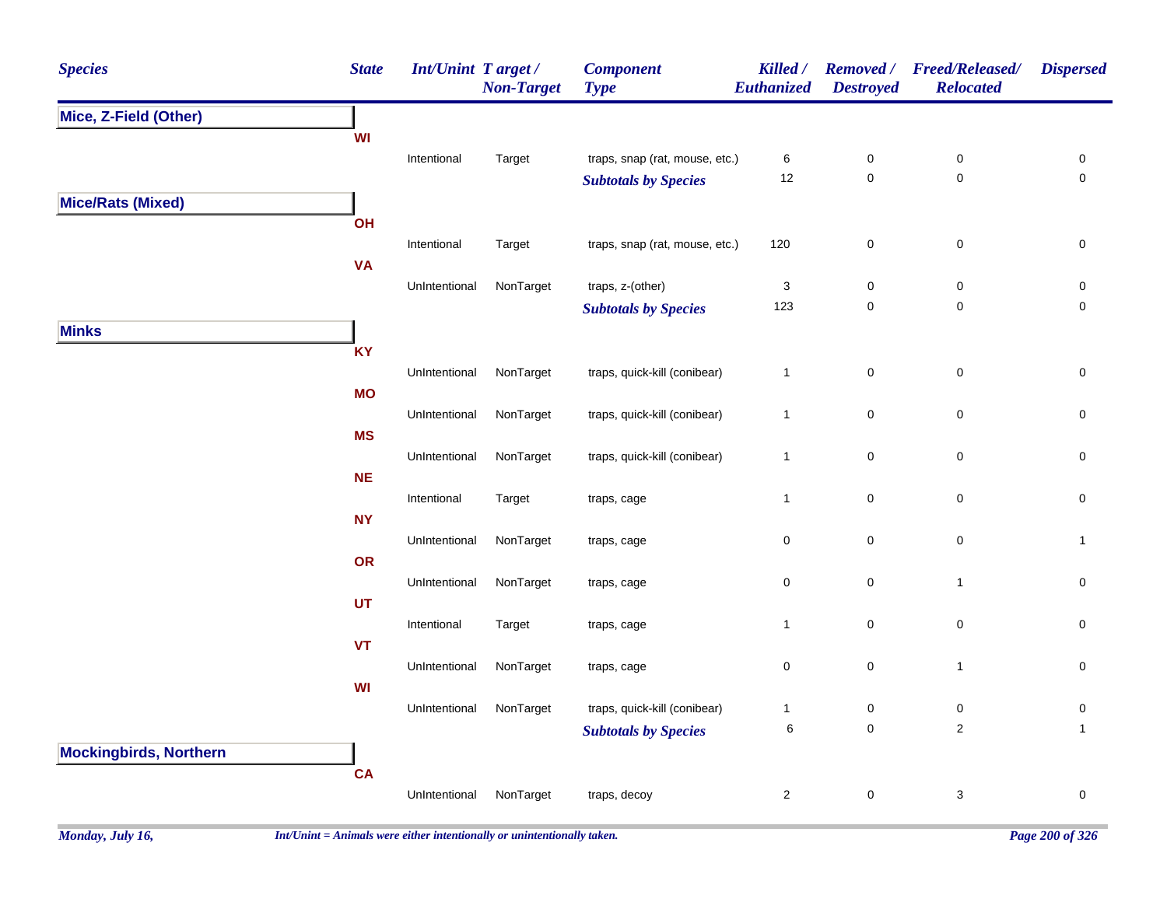| <b>Species</b>                | <b>State</b> | Int/Unint Target / | <b>Non-Target</b> | <b>Component</b><br><b>Type</b> | Killed /<br>Euthanized | <b>Destroyed</b> | Removed / Freed/Released/<br><b>Relocated</b> | <b>Dispersed</b>    |
|-------------------------------|--------------|--------------------|-------------------|---------------------------------|------------------------|------------------|-----------------------------------------------|---------------------|
| Mice, Z-Field (Other)         |              |                    |                   |                                 |                        |                  |                                               |                     |
|                               | WI           |                    |                   |                                 |                        |                  |                                               |                     |
|                               |              | Intentional        | Target            | traps, snap (rat, mouse, etc.)  | $\,6\,$                | $\pmb{0}$        | $\pmb{0}$                                     | 0                   |
|                               |              |                    |                   | <b>Subtotals by Species</b>     | 12                     | $\pmb{0}$        | $\pmb{0}$                                     | $\mathsf{O}\xspace$ |
| <b>Mice/Rats (Mixed)</b>      |              |                    |                   |                                 |                        |                  |                                               |                     |
|                               | OH           |                    |                   |                                 |                        |                  |                                               |                     |
|                               |              | Intentional        | Target            | traps, snap (rat, mouse, etc.)  | 120                    | $\pmb{0}$        | $\pmb{0}$                                     | $\pmb{0}$           |
|                               | <b>VA</b>    | UnIntentional      | NonTarget         | traps, z-(other)                | $\sqrt{3}$             | $\pmb{0}$        | $\pmb{0}$                                     |                     |
|                               |              |                    |                   | <b>Subtotals by Species</b>     | 123                    | $\pmb{0}$        | $\pmb{0}$                                     | 0<br>$\mathbf 0$    |
| <b>Minks</b>                  |              |                    |                   |                                 |                        |                  |                                               |                     |
|                               | <b>KY</b>    |                    |                   |                                 |                        |                  |                                               |                     |
|                               |              | UnIntentional      | NonTarget         | traps, quick-kill (conibear)    | $\mathbf{1}$           | $\pmb{0}$        | $\pmb{0}$                                     | $\mathbf 0$         |
|                               | <b>MO</b>    |                    |                   |                                 |                        |                  |                                               |                     |
|                               |              | UnIntentional      | NonTarget         | traps, quick-kill (conibear)    | $\mathbf{1}$           | $\mathsf 0$      | $\pmb{0}$                                     | $\mathsf 0$         |
|                               | <b>MS</b>    |                    |                   |                                 |                        |                  |                                               |                     |
|                               |              | UnIntentional      | NonTarget         | traps, quick-kill (conibear)    | $\mathbf{1}$           | $\mathbf 0$      | $\pmb{0}$                                     | $\mathsf 0$         |
|                               | <b>NE</b>    |                    |                   |                                 |                        |                  |                                               |                     |
|                               |              | Intentional        | Target            | traps, cage                     | $\mathbf{1}$           | $\mathbf 0$      | $\pmb{0}$                                     | $\pmb{0}$           |
|                               | <b>NY</b>    |                    |                   |                                 |                        |                  |                                               |                     |
|                               |              | UnIntentional      | NonTarget         | traps, cage                     | 0                      | $\pmb{0}$        | $\mathsf{O}\xspace$                           | $\mathbf{1}$        |
|                               | OR           |                    |                   |                                 |                        |                  |                                               |                     |
|                               |              | UnIntentional      | NonTarget         | traps, cage                     | $\pmb{0}$              | $\pmb{0}$        | $\mathbf{1}$                                  | $\pmb{0}$           |
|                               | UT           |                    |                   |                                 |                        |                  |                                               |                     |
|                               |              | Intentional        | Target            | traps, cage                     | $\mathbf{1}$           | $\pmb{0}$        | $\pmb{0}$                                     | 0                   |
|                               | <b>VT</b>    | UnIntentional      | NonTarget         | traps, cage                     | $\pmb{0}$              | $\mathbf 0$      | $\mathbf{1}$                                  | $\pmb{0}$           |
|                               | WI           |                    |                   |                                 |                        |                  |                                               |                     |
|                               |              | UnIntentional      | NonTarget         | traps, quick-kill (conibear)    | $\mathbf{1}$           | 0                | $\pmb{0}$                                     | $\pmb{0}$           |
|                               |              |                    |                   | <b>Subtotals by Species</b>     | $\,6$                  | $\mathbf 0$      | $\sqrt{2}$                                    | $\mathbf{1}$        |
| <b>Mockingbirds, Northern</b> |              |                    |                   |                                 |                        |                  |                                               |                     |
|                               | CA           |                    |                   |                                 |                        |                  |                                               |                     |
|                               |              | UnIntentional      | NonTarget         | traps, decoy                    | $\mathbf{2}$           | $\mathbf 0$      | 3                                             | $\pmb{0}$           |
|                               |              |                    |                   |                                 |                        |                  |                                               |                     |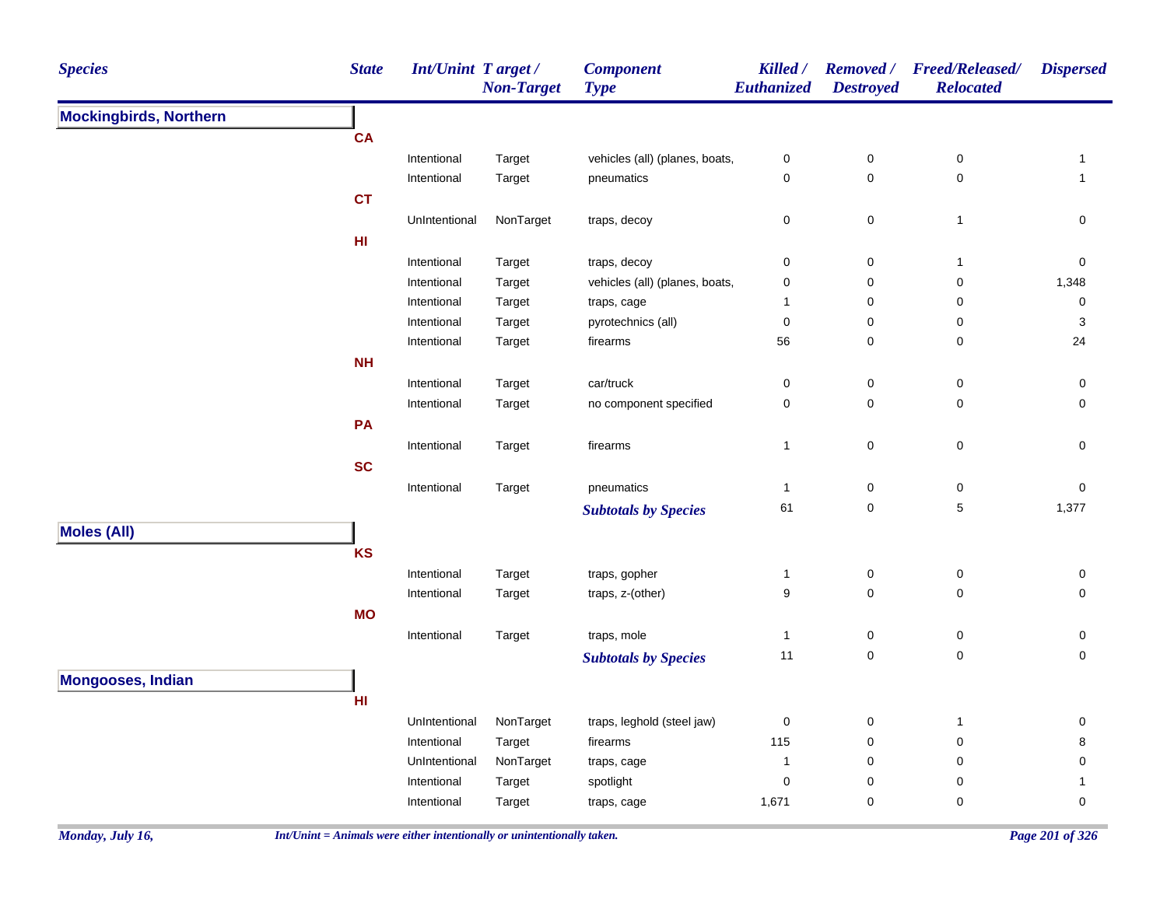| <b>Species</b>                | <b>State</b> | <b>Int/Unint Target/</b> | <b>Non-Target</b> | <b>Component</b><br><b>Type</b>   | Killed /<br>Euthanized | <b>Destroyed</b>         | Removed / Freed/Released/<br><b>Relocated</b> | <b>Dispersed</b>    |
|-------------------------------|--------------|--------------------------|-------------------|-----------------------------------|------------------------|--------------------------|-----------------------------------------------|---------------------|
| <b>Mockingbirds, Northern</b> |              |                          |                   |                                   |                        |                          |                                               |                     |
|                               | CA           |                          |                   |                                   |                        |                          |                                               |                     |
|                               |              | Intentional              | Target            | vehicles (all) (planes, boats,    | $\pmb{0}$              | $\pmb{0}$                | $\pmb{0}$                                     | 1                   |
|                               |              | Intentional              | Target            | pneumatics                        | 0                      | $\mathbf 0$              | $\pmb{0}$                                     | $\mathbf{1}$        |
|                               | <b>CT</b>    |                          |                   |                                   |                        |                          |                                               |                     |
|                               |              | UnIntentional            | NonTarget         | traps, decoy                      | 0                      | $\mathbf 0$              | $\mathbf{1}$                                  | $\pmb{0}$           |
|                               | HI           |                          |                   |                                   |                        |                          |                                               |                     |
|                               |              | Intentional              | Target            | traps, decoy                      | 0                      | $\mathbf 0$              | $\mathbf{1}$                                  | 0                   |
|                               |              | Intentional              | Target            | vehicles (all) (planes, boats,    | 0                      | $\pmb{0}$                | $\pmb{0}$                                     | 1,348               |
|                               |              | Intentional              | Target            | traps, cage                       | $\mathbf{1}$           | $\mathbf 0$              | 0                                             | 0                   |
|                               |              | Intentional              | Target            | pyrotechnics (all)                | $\mathbf 0$            | 0                        | 0                                             | 3                   |
|                               |              | Intentional              | Target            | firearms                          | 56                     | $\pmb{0}$                | $\pmb{0}$                                     | 24                  |
|                               | <b>NH</b>    |                          |                   |                                   |                        |                          |                                               |                     |
|                               |              | Intentional              | Target            | car/truck                         | 0                      | $\boldsymbol{0}$         | 0                                             | 0                   |
|                               |              | Intentional              | Target            | no component specified            | 0                      | $\mathbf 0$              | 0                                             | $\mathbf 0$         |
|                               | PA           |                          |                   |                                   |                        |                          |                                               |                     |
|                               |              | Intentional              | Target            | firearms                          | $\mathbf{1}$           | $\pmb{0}$                | $\pmb{0}$                                     | 0                   |
|                               | <b>SC</b>    |                          |                   |                                   |                        |                          |                                               |                     |
|                               |              | Intentional              | Target            | pneumatics                        | $\mathbf{1}$           | $\boldsymbol{0}$         | $\pmb{0}$                                     | 0                   |
|                               |              |                          |                   | <b>Subtotals by Species</b>       | 61                     | $\mathbf 0$              | $\,$ 5 $\,$                                   | 1,377               |
| <b>Moles (All)</b>            |              |                          |                   |                                   |                        |                          |                                               |                     |
|                               | KS           |                          |                   |                                   |                        |                          |                                               |                     |
|                               |              |                          |                   |                                   |                        |                          |                                               |                     |
|                               |              | Intentional              | Target            | traps, gopher<br>traps, z-(other) | $\mathbf{1}$<br>9      | $\mathbf 0$<br>$\pmb{0}$ | 0<br>$\pmb{0}$                                | 0<br>$\mathbf 0$    |
|                               |              | Intentional              | Target            |                                   |                        |                          |                                               |                     |
|                               | <b>MO</b>    |                          |                   |                                   |                        |                          |                                               |                     |
|                               |              | Intentional              | Target            | traps, mole                       | $\mathbf{1}$           | $\mathbf 0$              | 0                                             | 0                   |
|                               |              |                          |                   | <b>Subtotals by Species</b>       | 11                     | $\pmb{0}$                | $\mathbf 0$                                   | $\pmb{0}$           |
| <b>Mongooses, Indian</b>      |              |                          |                   |                                   |                        |                          |                                               |                     |
|                               | HI           |                          |                   |                                   |                        |                          |                                               |                     |
|                               |              | UnIntentional            | NonTarget         | traps, leghold (steel jaw)        | $\mathbf 0$            | $\boldsymbol{0}$         | $\mathbf{1}$                                  | 0                   |
|                               |              | Intentional              | Target            | firearms                          | 115                    | $\mathbf 0$              | 0                                             | 8                   |
|                               |              | UnIntentional            | NonTarget         | traps, cage                       | -1                     | $\mathbf 0$              | 0                                             | 0                   |
|                               |              | Intentional              | Target            | spotlight                         | 0                      | $\mathbf 0$              | 0                                             | $\mathbf{1}$        |
|                               |              | Intentional              | Target            | traps, cage                       | 1,671                  | $\pmb{0}$                | 0                                             | $\mathsf{O}\xspace$ |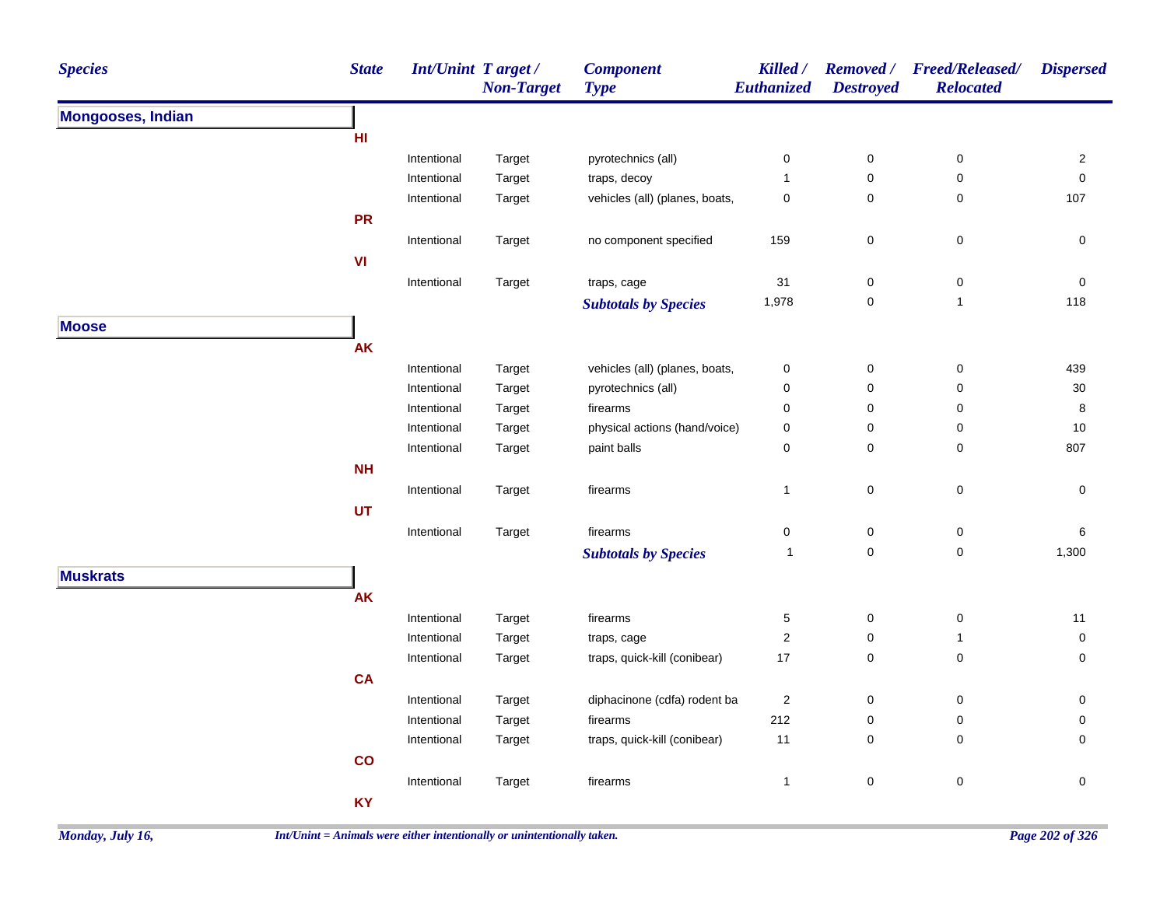| <b>Species</b>           | <b>State</b> |                            | <b>Int/Unint Target/</b><br><b>Non-Target</b> | <b>Component</b><br><b>Type</b>             | Killed /<br><b>Euthanized</b> | <b>Removed</b> /<br><b>Destroyed</b> | <b>Freed/Released/</b><br><b>Relocated</b> | <b>Dispersed</b>    |
|--------------------------|--------------|----------------------------|-----------------------------------------------|---------------------------------------------|-------------------------------|--------------------------------------|--------------------------------------------|---------------------|
| <b>Mongooses, Indian</b> |              |                            |                                               |                                             |                               |                                      |                                            |                     |
|                          | HI           |                            |                                               |                                             |                               |                                      |                                            |                     |
|                          |              | Intentional                | Target                                        | pyrotechnics (all)                          | 0                             | $\pmb{0}$                            | $\pmb{0}$                                  | $\overline{2}$      |
|                          |              | Intentional                | Target                                        | traps, decoy                                | $\mathbf{1}$                  | $\mathbf 0$                          | 0                                          | $\mathsf{O}\xspace$ |
|                          |              | Intentional                | Target                                        | vehicles (all) (planes, boats,              | 0                             | 0                                    | 0                                          | 107                 |
|                          | <b>PR</b>    |                            |                                               |                                             |                               |                                      |                                            |                     |
|                          |              | Intentional                | Target                                        | no component specified                      | 159                           | $\pmb{0}$                            | $\mathsf 0$                                | $\pmb{0}$           |
|                          | VI           |                            |                                               |                                             |                               |                                      |                                            |                     |
|                          |              | Intentional                | Target                                        | traps, cage                                 | 31                            | 0                                    | $\pmb{0}$                                  | $\pmb{0}$           |
|                          |              |                            |                                               | <b>Subtotals by Species</b>                 | 1,978                         | 0                                    | $\mathbf{1}$                               | 118                 |
| <b>Moose</b>             |              |                            |                                               |                                             |                               |                                      |                                            |                     |
|                          | <b>AK</b>    |                            |                                               |                                             |                               |                                      |                                            |                     |
|                          |              | Intentional                | Target                                        | vehicles (all) (planes, boats,              | $\pmb{0}$                     | $\pmb{0}$                            | 0                                          | 439                 |
|                          |              | Intentional                | Target                                        | pyrotechnics (all)                          | 0                             | 0                                    | 0                                          | 30                  |
|                          |              | Intentional                | Target                                        | firearms                                    | 0                             | $\mathbf 0$                          | 0                                          | 8                   |
|                          |              | Intentional                | Target                                        | physical actions (hand/voice)               | 0                             | 0                                    | $\mathbf 0$                                | 10                  |
|                          |              | Intentional                | Target                                        | paint balls                                 | 0                             | $\pmb{0}$                            | 0                                          | 807                 |
|                          | <b>NH</b>    |                            |                                               |                                             |                               |                                      |                                            |                     |
|                          |              | Intentional                | Target                                        | firearms                                    | $\mathbf{1}$                  | 0                                    | $\pmb{0}$                                  | 0                   |
|                          | UT           |                            |                                               |                                             |                               |                                      |                                            |                     |
|                          |              | Intentional                | Target                                        | firearms                                    | 0                             | $\pmb{0}$                            | $\pmb{0}$                                  | 6                   |
|                          |              |                            |                                               | <b>Subtotals by Species</b>                 | $\mathbf{1}$                  | $\mathbf 0$                          | $\mathbf 0$                                | 1,300               |
| <b>Muskrats</b>          |              |                            |                                               |                                             |                               |                                      |                                            |                     |
|                          | <b>AK</b>    |                            |                                               |                                             |                               |                                      |                                            |                     |
|                          |              |                            |                                               |                                             |                               |                                      |                                            |                     |
|                          |              | Intentional<br>Intentional | Target<br>Target                              | firearms                                    | 5<br>$\overline{c}$           | $\pmb{0}$<br>0                       | $\pmb{0}$<br>$\mathbf{1}$                  | 11<br>0             |
|                          |              | Intentional                | Target                                        | traps, cage<br>traps, quick-kill (conibear) | $17$                          | $\pmb{0}$                            | $\pmb{0}$                                  | 0                   |
|                          | <b>CA</b>    |                            |                                               |                                             |                               |                                      |                                            |                     |
|                          |              |                            |                                               |                                             |                               |                                      |                                            |                     |
|                          |              | Intentional                | Target                                        | diphacinone (cdfa) rodent ba                | $\sqrt{2}$<br>212             | 0                                    | $\pmb{0}$                                  | 0                   |
|                          |              | Intentional                | Target                                        | firearms                                    |                               | 0                                    | 0                                          | 0                   |
|                          |              | Intentional                | Target                                        | traps, quick-kill (conibear)                | 11                            | $\pmb{0}$                            | 0                                          | $\mathbf 0$         |
|                          | co           |                            |                                               |                                             |                               |                                      |                                            |                     |
|                          |              | Intentional                | Target                                        | firearms                                    | $\mathbf{1}$                  | $\mathbf 0$                          | $\pmb{0}$                                  | $\mathsf{O}\xspace$ |
|                          | <b>KY</b>    |                            |                                               |                                             |                               |                                      |                                            |                     |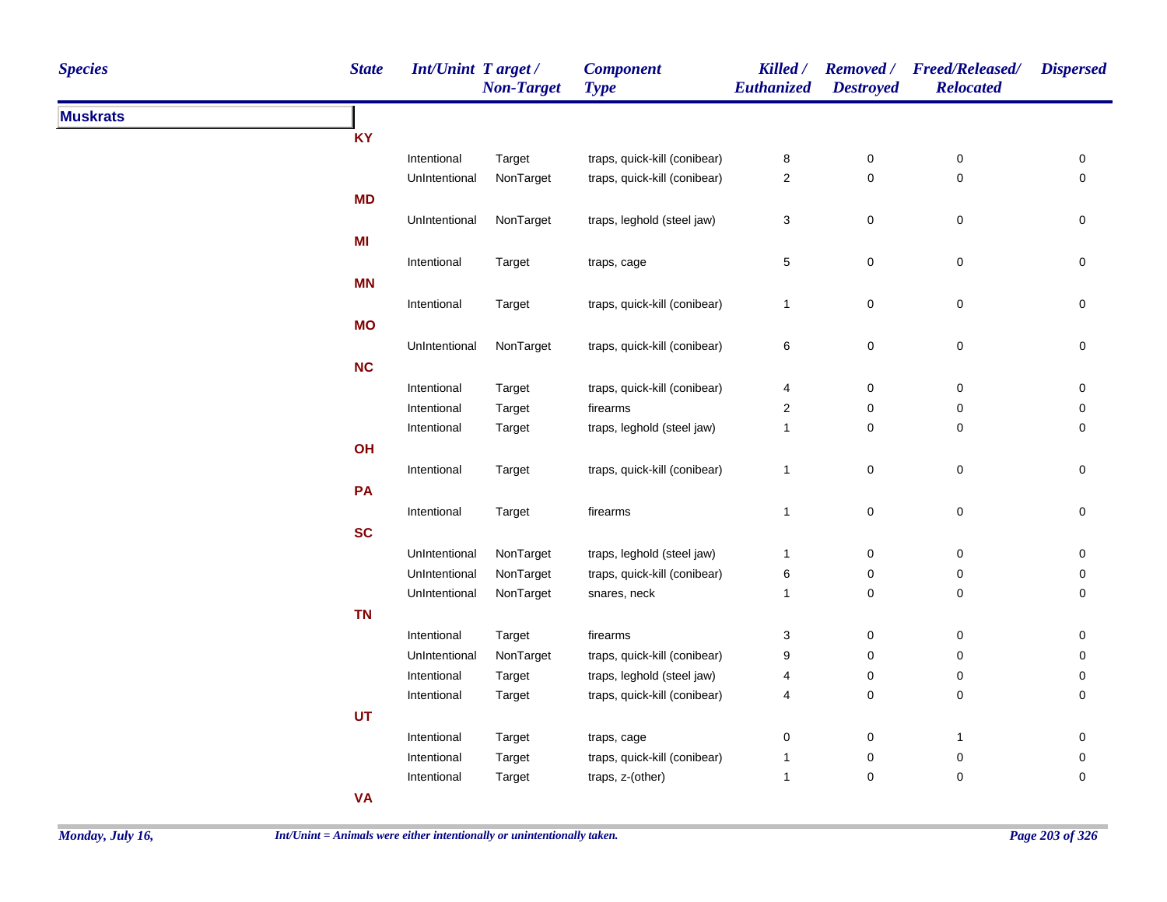| <b>Species</b>  | <b>State</b> | Int/Unint Target/ | <b>Non-Target</b> | <b>Component</b><br><b>Type</b> | Killed /<br>Euthanized    | <b>Destroyed</b> | Removed / Freed/Released/<br><b>Relocated</b> | <b>Dispersed</b>    |
|-----------------|--------------|-------------------|-------------------|---------------------------------|---------------------------|------------------|-----------------------------------------------|---------------------|
| <b>Muskrats</b> |              |                   |                   |                                 |                           |                  |                                               |                     |
|                 | KY           |                   |                   |                                 |                           |                  |                                               |                     |
|                 |              | Intentional       | Target            | traps, quick-kill (conibear)    | 8                         | 0                | $\pmb{0}$                                     | 0                   |
|                 |              | UnIntentional     | NonTarget         | traps, quick-kill (conibear)    | $\mathbf 2$               | 0                | $\pmb{0}$                                     | $\pmb{0}$           |
|                 | <b>MD</b>    |                   |                   |                                 |                           |                  |                                               |                     |
|                 |              | UnIntentional     | NonTarget         | traps, leghold (steel jaw)      | $\ensuremath{\mathsf{3}}$ | $\pmb{0}$        | $\pmb{0}$                                     | 0                   |
|                 | MI           |                   |                   |                                 |                           |                  |                                               |                     |
|                 |              | Intentional       | Target            | traps, cage                     | $\sqrt{5}$                | $\mathsf 0$      | $\pmb{0}$                                     | $\mathsf{O}\xspace$ |
|                 | <b>MN</b>    |                   |                   |                                 |                           |                  |                                               |                     |
|                 |              | Intentional       | Target            | traps, quick-kill (conibear)    | $\mathbf{1}$              | $\mathbf 0$      | $\pmb{0}$                                     | $\pmb{0}$           |
|                 | <b>MO</b>    |                   |                   |                                 |                           |                  |                                               |                     |
|                 |              | UnIntentional     | NonTarget         | traps, quick-kill (conibear)    | $\,6$                     | $\mathsf 0$      | $\pmb{0}$                                     | $\mathbf 0$         |
|                 | NC           |                   |                   |                                 |                           |                  |                                               |                     |
|                 |              | Intentional       |                   | traps, quick-kill (conibear)    | $\overline{\mathbf{4}}$   | 0                | $\pmb{0}$                                     | 0                   |
|                 |              | Intentional       | Target<br>Target  | firearms                        | $\boldsymbol{2}$          | 0                | $\pmb{0}$                                     | 0                   |
|                 |              | Intentional       | Target            | traps, leghold (steel jaw)      | $\mathbf{1}$              | 0                | 0                                             | 0                   |
|                 | OH           |                   |                   |                                 |                           |                  |                                               |                     |
|                 |              |                   |                   | traps, quick-kill (conibear)    |                           | $\mathbf 0$      | $\pmb{0}$                                     | $\mathsf{O}\xspace$ |
|                 |              | Intentional       | Target            |                                 | $\mathbf{1}$              |                  |                                               |                     |
|                 | PA           |                   |                   |                                 |                           |                  |                                               |                     |
|                 |              | Intentional       | Target            | firearms                        | $\mathbf{1}$              | $\mathbf 0$      | $\pmb{0}$                                     | $\pmb{0}$           |
|                 | <b>SC</b>    |                   |                   |                                 |                           |                  |                                               |                     |
|                 |              | UnIntentional     | NonTarget         | traps, leghold (steel jaw)      | $\mathbf{1}$              | $\pmb{0}$        | $\pmb{0}$                                     | 0                   |
|                 |              | UnIntentional     | NonTarget         | traps, quick-kill (conibear)    | 6                         | $\pmb{0}$        | $\pmb{0}$                                     | 0                   |
|                 |              | UnIntentional     | NonTarget         | snares, neck                    | $\mathbf{1}$              | $\pmb{0}$        | $\mathbf 0$                                   | 0                   |
|                 | <b>TN</b>    |                   |                   |                                 |                           |                  |                                               |                     |
|                 |              | Intentional       | Target            | firearms                        | 3                         | 0                | 0                                             | 0                   |
|                 |              | UnIntentional     | NonTarget         | traps, quick-kill (conibear)    | 9                         | 0                | $\pmb{0}$                                     | 0                   |
|                 |              | Intentional       | Target            | traps, leghold (steel jaw)      | 4                         | $\pmb{0}$        | 0                                             | 0                   |
|                 |              | Intentional       | Target            | traps, quick-kill (conibear)    | 4                         | $\mathbf 0$      | $\pmb{0}$                                     | 0                   |
|                 | <b>UT</b>    |                   |                   |                                 |                           |                  |                                               |                     |
|                 |              | Intentional       | Target            | traps, cage                     | $\pmb{0}$                 | 0                | 1                                             | $\pmb{0}$           |
|                 |              | Intentional       | Target            | traps, quick-kill (conibear)    | $\mathbf{1}$              | 0                | $\pmb{0}$                                     | 0                   |
|                 |              | Intentional       | Target            | traps, z-(other)                | $\mathbf{1}$              | 0                | $\pmb{0}$                                     | $\pmb{0}$           |
|                 | <b>VA</b>    |                   |                   |                                 |                           |                  |                                               |                     |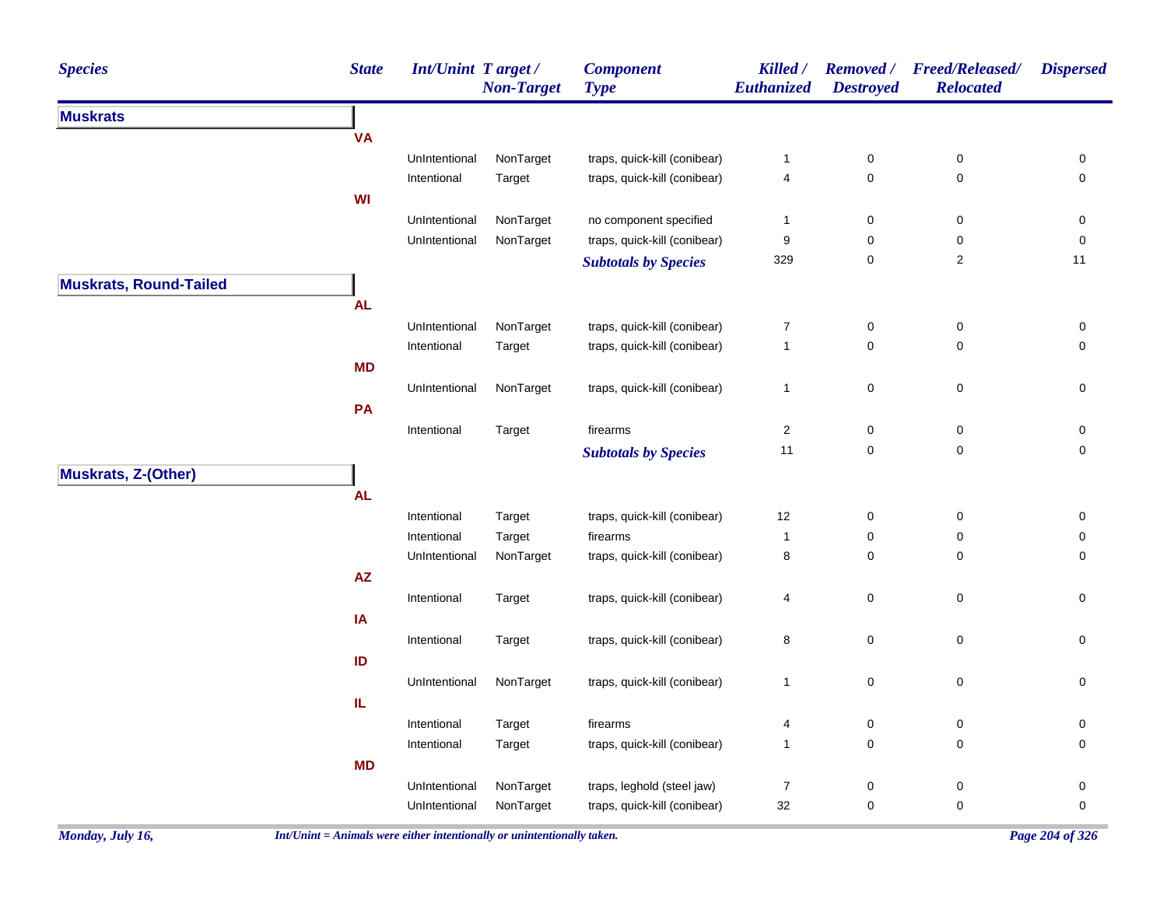| <b>Species</b>                | <b>State</b> | <b>Int/Unint Target/</b> | <b>Non-Target</b> | <b>Component</b><br><b>Type</b> | Killed /<br>Euthanized  | <b>Removed</b> /<br><b>Destroyed</b> | <b>Freed/Released/</b><br><b>Relocated</b> | <b>Dispersed</b> |
|-------------------------------|--------------|--------------------------|-------------------|---------------------------------|-------------------------|--------------------------------------|--------------------------------------------|------------------|
| <b>Muskrats</b>               |              |                          |                   |                                 |                         |                                      |                                            |                  |
|                               | <b>VA</b>    |                          |                   |                                 |                         |                                      |                                            |                  |
|                               |              | UnIntentional            | NonTarget         | traps, quick-kill (conibear)    | $\mathbf{1}$            | $\pmb{0}$                            | $\pmb{0}$                                  | 0                |
|                               |              | Intentional              | Target            | traps, quick-kill (conibear)    | $\overline{\mathbf{4}}$ | $\mathbf 0$                          | 0                                          | 0                |
|                               | <b>WI</b>    |                          |                   |                                 |                         |                                      |                                            |                  |
|                               |              | UnIntentional            | NonTarget         | no component specified          | $\mathbf{1}$            | $\pmb{0}$                            | $\pmb{0}$                                  | 0                |
|                               |              | UnIntentional            | NonTarget         | traps, quick-kill (conibear)    | $\boldsymbol{9}$        | $\pmb{0}$                            | 0                                          | 0                |
|                               |              |                          |                   | <b>Subtotals by Species</b>     | 329                     | 0                                    | $\overline{2}$                             | 11               |
| <b>Muskrats, Round-Tailed</b> |              |                          |                   |                                 |                         |                                      |                                            |                  |
|                               | <b>AL</b>    |                          |                   |                                 |                         |                                      |                                            |                  |
|                               |              | UnIntentional            | NonTarget         | traps, quick-kill (conibear)    | $\overline{7}$          | 0                                    | 0                                          | 0                |
|                               |              | Intentional              | Target            | traps, quick-kill (conibear)    | $\mathbf{1}$            | $\mathbf 0$                          | 0                                          | 0                |
|                               | <b>MD</b>    |                          |                   |                                 |                         |                                      |                                            |                  |
|                               |              | UnIntentional            | NonTarget         | traps, quick-kill (conibear)    | $\mathbf{1}$            | $\mathsf{O}\xspace$                  | $\pmb{0}$                                  | $\pmb{0}$        |
|                               | PA           |                          |                   |                                 |                         |                                      |                                            |                  |
|                               |              | Intentional              | Target            | firearms                        | $\sqrt{2}$              | $\mathsf{O}\xspace$                  | $\pmb{0}$                                  | 0                |
|                               |              |                          |                   | <b>Subtotals by Species</b>     | 11                      | 0                                    | $\mathbf 0$                                | 0                |
| Muskrats, Z-(Other)           |              |                          |                   |                                 |                         |                                      |                                            |                  |
|                               | <b>AL</b>    |                          |                   |                                 |                         |                                      |                                            |                  |
|                               |              | Intentional              | Target            | traps, quick-kill (conibear)    | 12                      | $\pmb{0}$                            | $\pmb{0}$                                  | $\mathbf 0$      |
|                               |              | Intentional              | Target            | firearms                        | $\mathbf{1}$            | 0                                    | $\pmb{0}$                                  | 0                |
|                               |              | UnIntentional            | NonTarget         | traps, quick-kill (conibear)    | 8                       | $\mathsf 0$                          | 0                                          | 0                |
|                               | ${\sf AZ}$   |                          |                   |                                 |                         |                                      |                                            |                  |
|                               |              | Intentional              | Target            | traps, quick-kill (conibear)    | 4                       | $\mathbf 0$                          | $\pmb{0}$                                  | $\mathbf 0$      |
|                               | IA           |                          |                   |                                 |                         |                                      |                                            |                  |
|                               |              | Intentional              | Target            | traps, quick-kill (conibear)    | $\bf8$                  | $\pmb{0}$                            | $\pmb{0}$                                  | 0                |
|                               | ID           |                          |                   |                                 |                         |                                      |                                            |                  |
|                               |              | UnIntentional            | NonTarget         | traps, quick-kill (conibear)    | $\mathbf{1}$            | $\pmb{0}$                            | $\pmb{0}$                                  | $\mathbf 0$      |
|                               | IL           |                          |                   |                                 |                         |                                      |                                            |                  |
|                               |              | Intentional              | Target            | firearms                        | 4                       | $\pmb{0}$                            | $\pmb{0}$                                  | 0                |
|                               |              | Intentional              | Target            | traps, quick-kill (conibear)    | $\mathbf{1}$            | $\mathsf{O}\xspace$                  | 0                                          | 0                |
|                               | <b>MD</b>    |                          |                   |                                 |                         |                                      |                                            |                  |
|                               |              | UnIntentional            | NonTarget         | traps, leghold (steel jaw)      | $\boldsymbol{7}$        | $\pmb{0}$                            | $\pmb{0}$                                  | 0                |
|                               |              | UnIntentional            | NonTarget         | traps, quick-kill (conibear)    | 32                      | $\mathbf 0$                          | 0                                          | 0                |
|                               |              |                          |                   |                                 |                         |                                      |                                            |                  |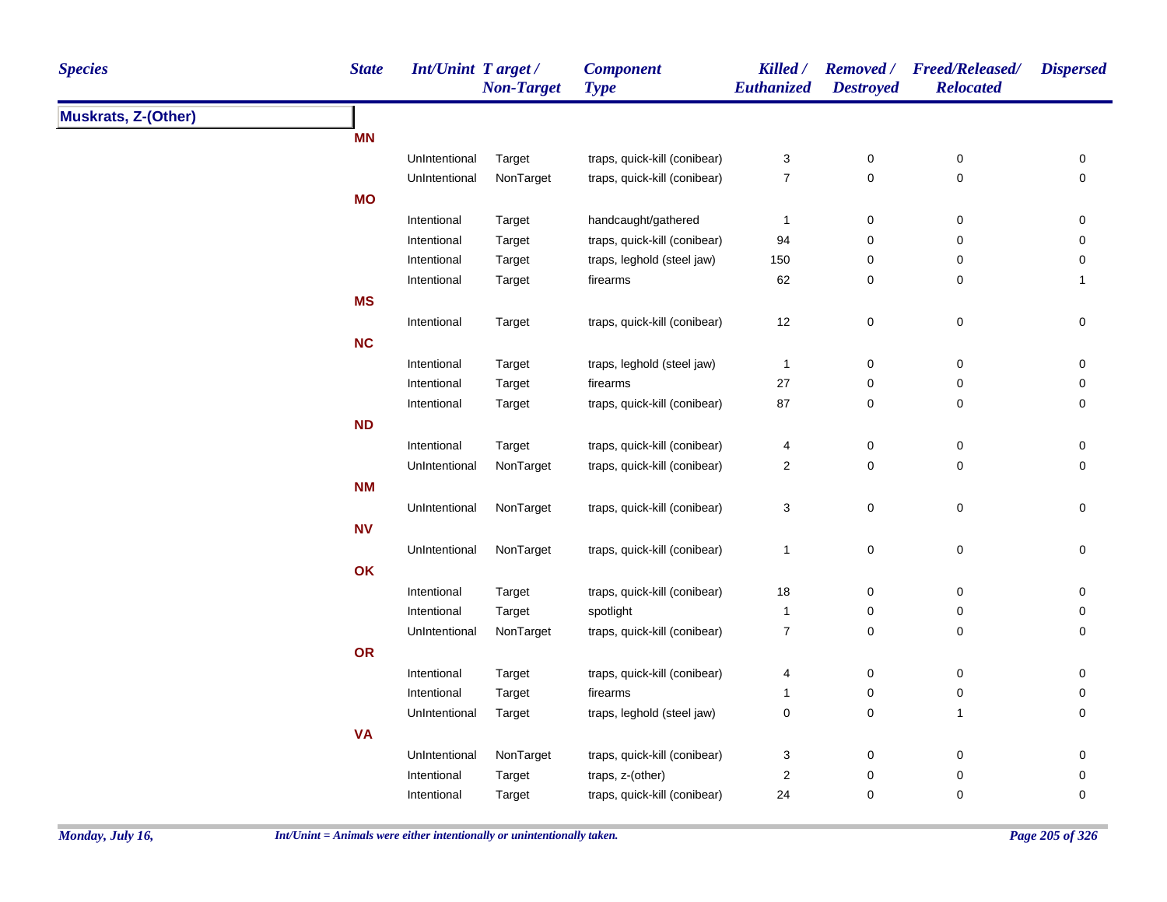| <b>Species</b>      | <b>State</b> | Int/Unint Target / | <b>Non-Target</b> | <b>Component</b><br><b>Type</b> | Killed /<br>Euthanized    | <b>Destroyed</b>    | Removed / Freed/Released/<br><b>Relocated</b> | <b>Dispersed</b> |
|---------------------|--------------|--------------------|-------------------|---------------------------------|---------------------------|---------------------|-----------------------------------------------|------------------|
| Muskrats, Z-(Other) |              |                    |                   |                                 |                           |                     |                                               |                  |
|                     | <b>MN</b>    |                    |                   |                                 |                           |                     |                                               |                  |
|                     |              | UnIntentional      | Target            | traps, quick-kill (conibear)    | $\ensuremath{\mathsf{3}}$ | $\pmb{0}$           | $\pmb{0}$                                     | 0                |
|                     |              | UnIntentional      | NonTarget         | traps, quick-kill (conibear)    | $\boldsymbol{7}$          | $\mathsf 0$         | $\pmb{0}$                                     | 0                |
|                     | <b>MO</b>    |                    |                   |                                 |                           |                     |                                               |                  |
|                     |              | Intentional        | Target            | handcaught/gathered             | $\mathbf{1}$              | $\pmb{0}$           | $\boldsymbol{0}$                              | 0                |
|                     |              | Intentional        | Target            | traps, quick-kill (conibear)    | 94                        | $\pmb{0}$           | $\pmb{0}$                                     | 0                |
|                     |              | Intentional        | Target            | traps, leghold (steel jaw)      | 150                       | 0                   | 0                                             | 0                |
|                     |              | Intentional        | Target            | firearms                        | 62                        | 0                   | 0                                             | 1                |
|                     | <b>MS</b>    |                    |                   |                                 |                           |                     |                                               |                  |
|                     |              | Intentional        | Target            | traps, quick-kill (conibear)    | 12                        | $\mathsf 0$         | $\pmb{0}$                                     | 0                |
|                     | <b>NC</b>    |                    |                   |                                 |                           |                     |                                               |                  |
|                     |              | Intentional        | Target            | traps, leghold (steel jaw)      | $\mathbf{1}$              | $\pmb{0}$           | $\pmb{0}$                                     | $\pmb{0}$        |
|                     |              | Intentional        | Target            | firearms                        | 27                        | $\mathsf 0$         | $\pmb{0}$                                     | $\pmb{0}$        |
|                     |              | Intentional        | Target            | traps, quick-kill (conibear)    | 87                        | 0                   | $\mathbf 0$                                   | 0                |
|                     | <b>ND</b>    |                    |                   |                                 |                           |                     |                                               |                  |
|                     |              | Intentional        | Target            | traps, quick-kill (conibear)    | 4                         | $\pmb{0}$           | $\pmb{0}$                                     | $\pmb{0}$        |
|                     |              | UnIntentional      | NonTarget         | traps, quick-kill (conibear)    | $\boldsymbol{2}$          | $\mathsf 0$         | $\pmb{0}$                                     | $\pmb{0}$        |
|                     | <b>NM</b>    |                    |                   |                                 |                           |                     |                                               |                  |
|                     |              | UnIntentional      | NonTarget         | traps, quick-kill (conibear)    | $\ensuremath{\mathsf{3}}$ | $\mathsf{O}\xspace$ | $\pmb{0}$                                     | $\mathbf 0$      |
|                     | <b>NV</b>    |                    |                   |                                 |                           |                     |                                               |                  |
|                     |              | UnIntentional      | NonTarget         | traps, quick-kill (conibear)    | $\overline{1}$            | $\mathsf 0$         | $\pmb{0}$                                     | 0                |
|                     | OK           |                    |                   |                                 |                           |                     |                                               |                  |
|                     |              | Intentional        | Target            | traps, quick-kill (conibear)    | 18                        | 0                   | $\mathbf 0$                                   | 0                |
|                     |              | Intentional        | Target            | spotlight                       | $\overline{1}$            | $\mathsf 0$         | $\mathbf 0$                                   | 0                |
|                     |              | UnIntentional      | NonTarget         | traps, quick-kill (conibear)    | $\overline{7}$            | $\mathbf 0$         | $\mathbf 0$                                   | 0                |
|                     | OR           |                    |                   |                                 |                           |                     |                                               |                  |
|                     |              | Intentional        | Target            | traps, quick-kill (conibear)    | 4                         | 0                   | $\mathbf 0$                                   | $\pmb{0}$        |
|                     |              | Intentional        | Target            | firearms                        | $\mathbf{1}$              | 0                   | $\mathbf 0$                                   | 0                |
|                     |              | UnIntentional      | Target            | traps, leghold (steel jaw)      | $\pmb{0}$                 | $\mathsf 0$         | $\overline{1}$                                | 0                |
|                     | <b>VA</b>    |                    |                   |                                 |                           |                     |                                               |                  |
|                     |              | UnIntentional      | NonTarget         | traps, quick-kill (conibear)    | 3                         | 0                   | $\mathbf 0$                                   | 0                |
|                     |              | Intentional        | Target            | traps, z-(other)                | 2                         | $\pmb{0}$           | $\pmb{0}$                                     | 0                |
|                     |              | Intentional        | Target            | traps, quick-kill (conibear)    | 24                        | $\mathbf 0$         | 0                                             | 0                |
|                     |              |                    |                   |                                 |                           |                     |                                               |                  |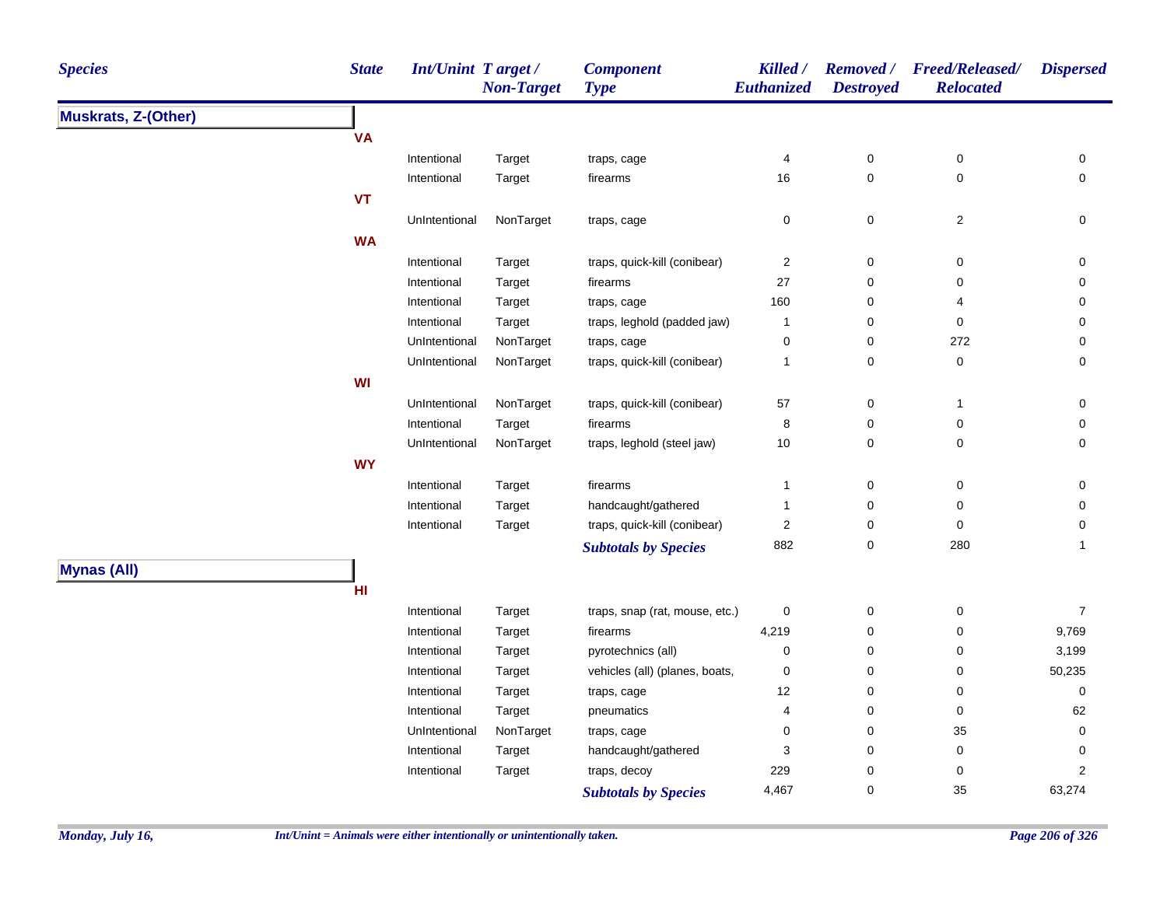| <b>Species</b>             | <b>State</b> | <b>Int/Unint Target/</b> | <b>Non-Target</b> | <b>Component</b><br><b>Type</b> | Killed /<br>Euthanized | <b>Destroyed</b> | Removed / Freed/Released/<br><b>Relocated</b> | <b>Dispersed</b>        |
|----------------------------|--------------|--------------------------|-------------------|---------------------------------|------------------------|------------------|-----------------------------------------------|-------------------------|
| <b>Muskrats, Z-(Other)</b> |              |                          |                   |                                 |                        |                  |                                               |                         |
|                            | <b>VA</b>    |                          |                   |                                 |                        |                  |                                               |                         |
|                            |              | Intentional              | Target            | traps, cage                     | 4                      | $\pmb{0}$        | $\pmb{0}$                                     | 0                       |
|                            |              | Intentional              | Target            | firearms                        | 16                     | 0                | $\pmb{0}$                                     | 0                       |
|                            | <b>VT</b>    |                          |                   |                                 |                        |                  |                                               |                         |
|                            |              | UnIntentional            | NonTarget         | traps, cage                     | 0                      | 0                | $\overline{2}$                                | 0                       |
|                            | <b>WA</b>    |                          |                   |                                 |                        |                  |                                               |                         |
|                            |              | Intentional              | Target            | traps, quick-kill (conibear)    | $\boldsymbol{2}$       | 0                | $\pmb{0}$                                     | 0                       |
|                            |              | Intentional              | Target            | firearms                        | 27                     | 0                | $\pmb{0}$                                     | 0                       |
|                            |              | Intentional              | Target            | traps, cage                     | 160                    | 0                | 4                                             | 0                       |
|                            |              | Intentional              | Target            | traps, leghold (padded jaw)     | 1                      | 0                | $\mathbf 0$                                   | 0                       |
|                            |              | UnIntentional            | NonTarget         | traps, cage                     | $\pmb{0}$              | 0                | 272                                           | 0                       |
|                            |              | UnIntentional            | NonTarget         | traps, quick-kill (conibear)    | 1                      | 0                | $\pmb{0}$                                     | 0                       |
|                            | WI           |                          |                   |                                 |                        |                  |                                               |                         |
|                            |              | UnIntentional            | NonTarget         | traps, quick-kill (conibear)    | 57                     | 0                | $\mathbf{1}$                                  | 0                       |
|                            |              | Intentional              | Target            | firearms                        | 8                      | 0                | $\pmb{0}$                                     | 0                       |
|                            |              | UnIntentional            | NonTarget         | traps, leghold (steel jaw)      | $10$                   | 0                | $\mathbf 0$                                   | 0                       |
|                            | <b>WY</b>    |                          |                   |                                 |                        |                  |                                               |                         |
|                            |              | Intentional              | Target            | firearms                        | 1                      | 0                | $\pmb{0}$                                     | 0                       |
|                            |              | Intentional              | Target            | handcaught/gathered             | 1                      | 0                | 0                                             | 0                       |
|                            |              | Intentional              | Target            | traps, quick-kill (conibear)    | $\boldsymbol{2}$       | 0                | $\pmb{0}$                                     | 0                       |
|                            |              |                          |                   | <b>Subtotals by Species</b>     | 882                    | 0                | 280                                           | $\mathbf{1}$            |
| <b>Mynas (All)</b>         |              |                          |                   |                                 |                        |                  |                                               |                         |
|                            | HI           |                          |                   |                                 |                        |                  |                                               |                         |
|                            |              | Intentional              | Target            | traps, snap (rat, mouse, etc.)  | 0                      | 0                | $\pmb{0}$                                     | $\overline{7}$          |
|                            |              | Intentional              | Target            | firearms                        | 4,219                  | 0                | $\pmb{0}$                                     | 9,769                   |
|                            |              | Intentional              | Target            | pyrotechnics (all)              | 0                      | 0                | $\pmb{0}$                                     | 3,199                   |
|                            |              | Intentional              | Target            | vehicles (all) (planes, boats,  | 0                      | 0                | $\pmb{0}$                                     | 50,235                  |
|                            |              | Intentional              | Target            | traps, cage                     | 12                     | 0                | $\pmb{0}$                                     | 0                       |
|                            |              | Intentional              | Target            | pneumatics                      | 4                      | 0                | $\pmb{0}$                                     | 62                      |
|                            |              | UnIntentional            | NonTarget         | traps, cage                     | 0                      | 0                | 35                                            | 0                       |
|                            |              | Intentional              | Target            | handcaught/gathered             | 3                      | 0                | $\pmb{0}$                                     | 0                       |
|                            |              | Intentional              | Target            | traps, decoy                    | 229                    | 0                | $\pmb{0}$                                     | $\overline{\mathbf{c}}$ |
|                            |              |                          |                   | <b>Subtotals by Species</b>     | 4,467                  | 0                | 35                                            | 63,274                  |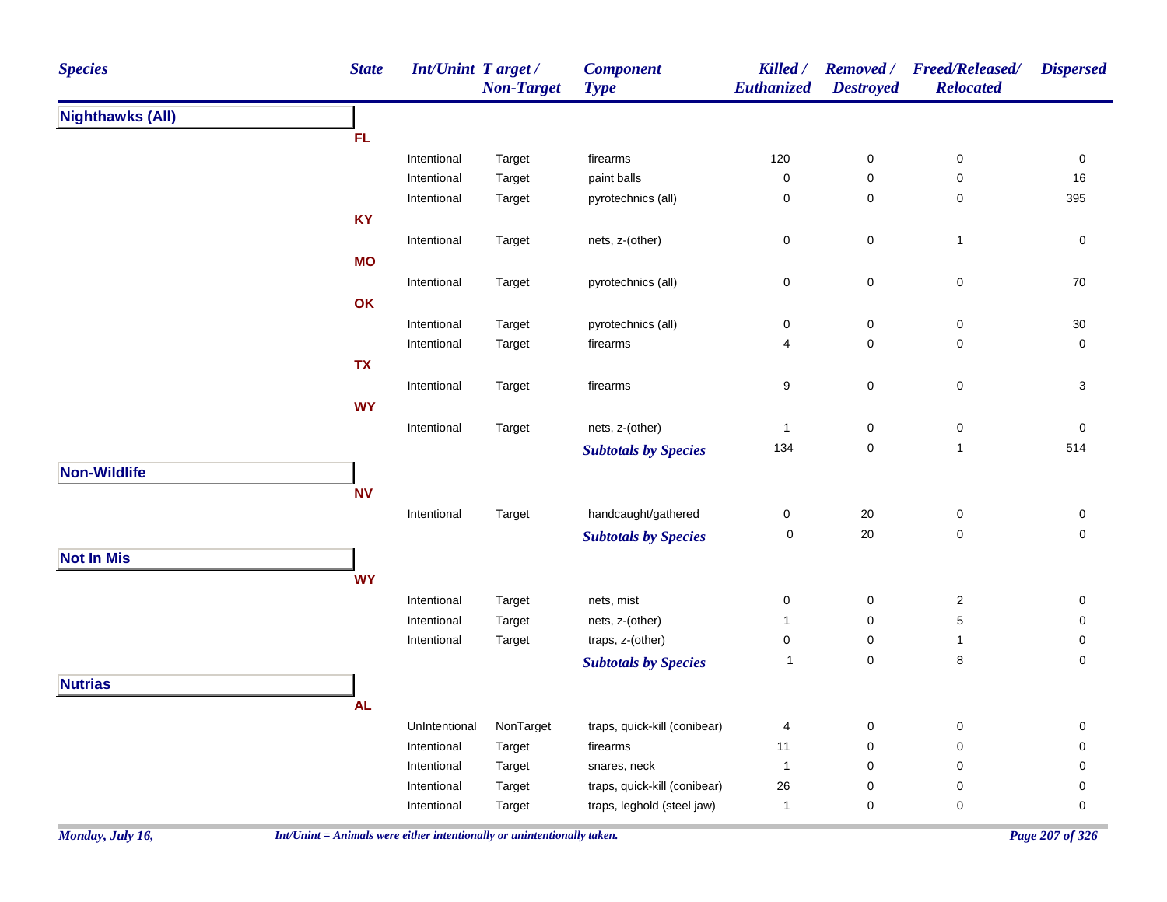| <b>Species</b>          | <b>State</b> | Int/Unint Target / | <b>Non-Target</b> | <b>Component</b><br><b>Type</b> | Killed /<br><b>Euthanized</b> | <b>Removed</b> /<br><b>Destroyed</b> | <b>Freed/Released/</b><br><b>Relocated</b> | <b>Dispersed</b>         |
|-------------------------|--------------|--------------------|-------------------|---------------------------------|-------------------------------|--------------------------------------|--------------------------------------------|--------------------------|
| <b>Nighthawks (All)</b> |              |                    |                   |                                 |                               |                                      |                                            |                          |
|                         | FL.          |                    |                   |                                 |                               |                                      |                                            |                          |
|                         |              | Intentional        | Target            | firearms                        | 120                           | $\pmb{0}$                            | $\pmb{0}$                                  | 0                        |
|                         |              | Intentional        | Target            | paint balls                     | 0                             | $\mathbf 0$                          | $\pmb{0}$                                  | 16                       |
|                         |              | Intentional        | Target            | pyrotechnics (all)              | 0                             | $\boldsymbol{0}$                     | $\pmb{0}$                                  | 395                      |
|                         | <b>KY</b>    |                    |                   |                                 |                               |                                      |                                            |                          |
|                         |              | Intentional        | Target            | nets, z-(other)                 | 0                             | $\mathbf 0$                          | $\mathbf{1}$                               | $\pmb{0}$                |
|                         | <b>MO</b>    |                    |                   |                                 |                               |                                      |                                            |                          |
|                         |              | Intentional        | Target            | pyrotechnics (all)              | 0                             | $\mathbf 0$                          | $\pmb{0}$                                  | 70                       |
|                         | OK           |                    |                   |                                 |                               |                                      |                                            |                          |
|                         |              | Intentional        | Target            | pyrotechnics (all)              | 0                             | $\boldsymbol{0}$                     | 0                                          | $30\,$                   |
|                         |              | Intentional        | Target            | firearms                        | 4                             | $\mathbf 0$                          | $\pmb{0}$                                  | $\pmb{0}$                |
|                         | <b>TX</b>    |                    |                   |                                 |                               |                                      |                                            |                          |
|                         |              | Intentional        | Target            | firearms                        | 9                             | $\mathbf 0$                          | $\pmb{0}$                                  | $\mathbf{3}$             |
|                         | <b>WY</b>    |                    |                   |                                 |                               |                                      |                                            |                          |
|                         |              | Intentional        | Target            | nets, z-(other)                 | $\mathbf{1}$                  | $\pmb{0}$                            | $\pmb{0}$                                  | 0                        |
|                         |              |                    |                   | <b>Subtotals by Species</b>     | 134                           | $\mathbf 0$                          | $\mathbf{1}$                               | 514                      |
| Non-Wildlife            |              |                    |                   |                                 |                               |                                      |                                            |                          |
|                         | <b>NV</b>    |                    |                   |                                 |                               |                                      |                                            |                          |
|                         |              | Intentional        | Target            | handcaught/gathered             | 0                             | $20\,$                               | $\pmb{0}$                                  | 0                        |
|                         |              |                    |                   | <b>Subtotals by Species</b>     | 0                             | 20                                   | $\mathsf 0$                                | $\mathsf{O}\xspace$      |
| <b>Not In Mis</b>       |              |                    |                   |                                 |                               |                                      |                                            |                          |
|                         | <b>WY</b>    |                    |                   |                                 |                               |                                      |                                            |                          |
|                         |              | Intentional        | Target            | nets, mist                      | 0                             | $\pmb{0}$                            | $\sqrt{2}$                                 | $\mathsf{O}\xspace$      |
|                         |              | Intentional        | Target            | nets, z-(other)                 | $\mathbf{1}$                  | $\pmb{0}$                            | 5                                          | $\mathsf{O}\xspace$      |
|                         |              | Intentional        | Target            | traps, z-(other)                | 0                             | $\mathbf 0$                          | $\mathbf{1}$                               | $\pmb{0}$                |
|                         |              |                    |                   | <b>Subtotals by Species</b>     | $\overline{1}$                | $\pmb{0}$                            | 8                                          | $\mathsf{O}\xspace$      |
| <b>Nutrias</b>          |              |                    |                   |                                 |                               |                                      |                                            |                          |
|                         | <b>AL</b>    |                    |                   |                                 |                               |                                      |                                            |                          |
|                         |              | UnIntentional      | NonTarget         | traps, quick-kill (conibear)    |                               |                                      | $\pmb{0}$                                  |                          |
|                         |              | Intentional        | Target            |                                 | 4<br>11                       | $\pmb{0}$<br>$\pmb{0}$               | 0                                          | 0<br>$\mathsf{O}\xspace$ |
|                         |              | Intentional        | Target            | firearms<br>snares, neck        | $\mathbf{1}$                  | $\pmb{0}$                            | 0                                          | 0                        |
|                         |              | Intentional        | Target            | traps, quick-kill (conibear)    | 26                            | $\pmb{0}$                            | 0                                          | $\pmb{0}$                |
|                         |              | Intentional        | Target            | traps, leghold (steel jaw)      | $\mathbf{1}$                  | $\pmb{0}$                            | $\pmb{0}$                                  | $\mathsf{O}\xspace$      |
|                         |              |                    |                   |                                 |                               |                                      |                                            |                          |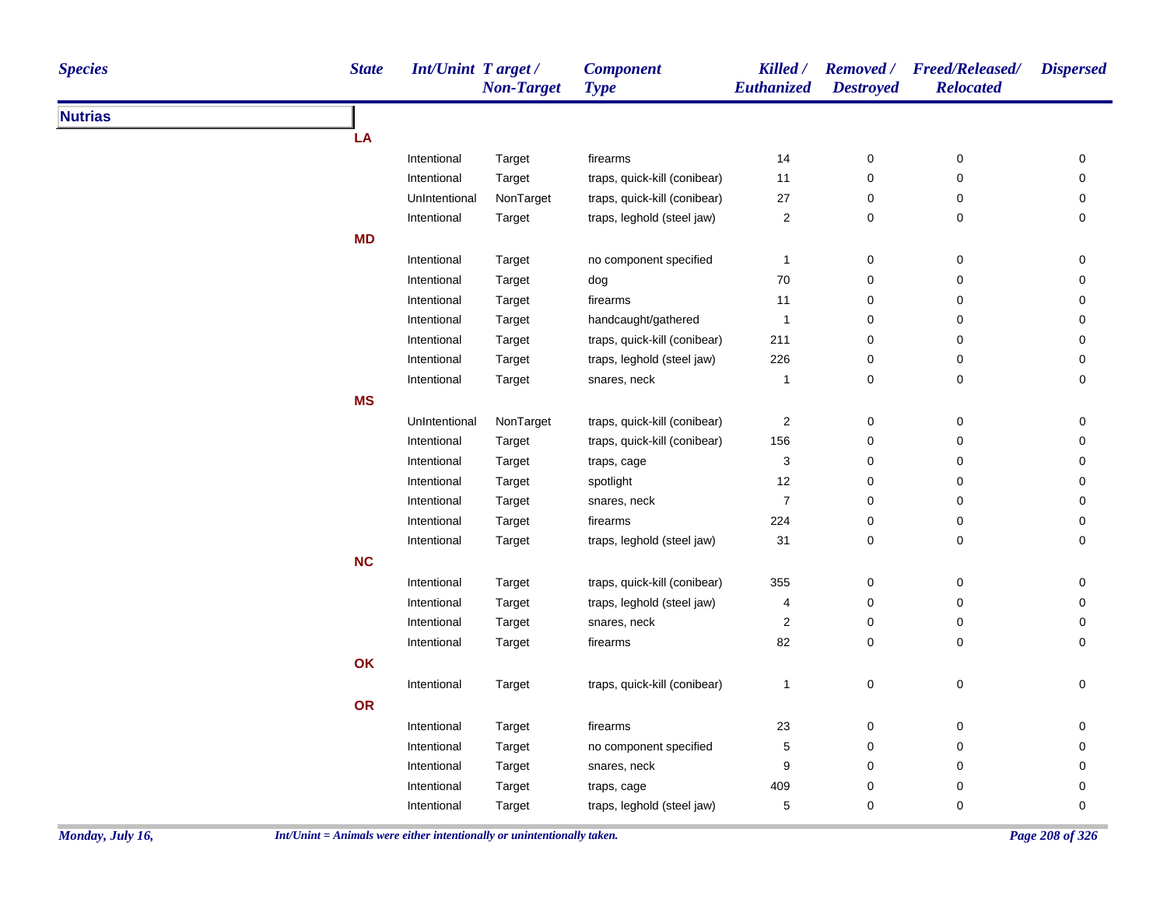| <b>Nutrias</b><br>LA<br>14<br>$\pmb{0}$<br>$\pmb{0}$<br>0<br>Intentional<br>firearms<br>Target<br>0<br>Intentional<br>traps, quick-kill (conibear)<br>11<br>$\mathbf 0$<br>0<br>Target<br>NonTarget<br>traps, quick-kill (conibear)<br>$27\,$<br>0<br>0<br>0<br>UnIntentional<br>$\overline{\mathbf{c}}$<br>$\pmb{0}$<br>Intentional<br>Target<br>traps, leghold (steel jaw)<br>$\mathbf 0$<br>0<br><b>MD</b><br>$\pmb{0}$<br>0<br>$\pmb{0}$<br>Intentional<br>no component specified<br>$\mathbf{1}$<br>Target<br>70<br>$\mathbf 0$<br>0<br>0<br>Intentional<br>Target<br>dog<br>11<br>$\mathbf 0$<br>0<br>0<br>Intentional<br>Target<br>firearms<br>$\pmb{0}$<br>Intentional<br>Target<br>handcaught/gathered<br>$\overline{1}$<br>0<br>0<br>traps, quick-kill (conibear)<br>211<br>$\mathbf 0$<br>0<br>0<br>Intentional<br>Target<br>traps, leghold (steel jaw)<br>226<br>$\mathbf 0$<br>0<br>0<br>Intentional<br>Target<br>0<br>$\mathbf 0$<br>0<br>Intentional<br>Target<br>snares, neck<br>-1<br><b>MS</b><br>NonTarget<br>traps, quick-kill (conibear)<br>$\sqrt{2}$<br>$\pmb{0}$<br>0<br>UnIntentional<br>0<br>$\pmb{0}$<br>traps, quick-kill (conibear)<br>156<br>$\mathbf 0$<br>0<br>Intentional<br>Target<br>3<br>$\mathbf 0$<br>0<br>Intentional<br>Target<br>traps, cage<br>0<br>spotlight<br>12<br>$\mathsf{O}\xspace$<br>$\pmb{0}$<br>$\mathsf{O}\xspace$<br>Intentional<br>Target<br>$\boldsymbol{7}$<br>$\mathsf{O}\xspace$<br>$\pmb{0}$<br>Intentional<br>snares, neck<br>0<br>Target<br>224<br>$\pmb{0}$<br>Intentional<br>firearms<br>$\mathbf 0$<br>0<br>Target<br>traps, leghold (steel jaw)<br>31<br>$\mathbf 0$<br>0<br>0<br>Intentional<br>Target<br><b>NC</b><br>traps, quick-kill (conibear)<br>355<br>$\mathsf{O}\xspace$<br>$\mathsf 0$<br>$\mathsf{O}\xspace$<br>Intentional<br>Target<br>traps, leghold (steel jaw)<br>$\mathsf{O}\xspace$<br>$\pmb{0}$<br>Intentional<br>4<br>0<br>Target<br>Intentional<br>snares, neck<br>$\overline{\mathbf{c}}$<br>0<br>$\pmb{0}$<br>0<br>Target<br>82<br>$\mathbf 0$<br>0<br>0<br>Intentional<br>Target<br>firearms<br>OK<br>$\mathsf 0$<br>$\mathsf 0$<br>traps, quick-kill (conibear)<br>0<br>Intentional<br>$\mathbf{1}$<br>Target<br><b>OR</b><br>23<br>$\pmb{0}$<br>$\pmb{0}$<br>Intentional<br>firearms<br>0<br>Target<br>no component specified<br>5<br>0<br>0<br>0<br>Intentional<br>Target<br>9<br>$\mathbf 0$<br>0<br>$\mathbf 0$<br>Intentional<br>Target<br>snares, neck<br>409<br>$\mathbf 0$<br>$\pmb{0}$<br>0<br>Intentional<br>Target<br>traps, cage<br>5<br>0<br>0<br>0<br>traps, leghold (steel jaw)<br>Intentional<br>Target | <b>Species</b> | <b>State</b> | Int/Unint Target/ | <b>Non-Target</b> | <b>Component</b><br><b>Type</b> | Killed /<br>Euthanized | <b>Destroyed</b> | Removed / Freed/Released/<br><b>Relocated</b> | <b>Dispersed</b> |
|----------------------------------------------------------------------------------------------------------------------------------------------------------------------------------------------------------------------------------------------------------------------------------------------------------------------------------------------------------------------------------------------------------------------------------------------------------------------------------------------------------------------------------------------------------------------------------------------------------------------------------------------------------------------------------------------------------------------------------------------------------------------------------------------------------------------------------------------------------------------------------------------------------------------------------------------------------------------------------------------------------------------------------------------------------------------------------------------------------------------------------------------------------------------------------------------------------------------------------------------------------------------------------------------------------------------------------------------------------------------------------------------------------------------------------------------------------------------------------------------------------------------------------------------------------------------------------------------------------------------------------------------------------------------------------------------------------------------------------------------------------------------------------------------------------------------------------------------------------------------------------------------------------------------------------------------------------------------------------------------------------------------------------------------------------------------------------------------------------------------------------------------------------------------------------------------------------------------------------------------------------------------------------------------------------------------------------------------------------------------------------------------------------------------------------------------------------------------------------------------------------------------------------------------------------------------------------------------------------------------|----------------|--------------|-------------------|-------------------|---------------------------------|------------------------|------------------|-----------------------------------------------|------------------|
|                                                                                                                                                                                                                                                                                                                                                                                                                                                                                                                                                                                                                                                                                                                                                                                                                                                                                                                                                                                                                                                                                                                                                                                                                                                                                                                                                                                                                                                                                                                                                                                                                                                                                                                                                                                                                                                                                                                                                                                                                                                                                                                                                                                                                                                                                                                                                                                                                                                                                                                                                                                                                      |                |              |                   |                   |                                 |                        |                  |                                               |                  |
|                                                                                                                                                                                                                                                                                                                                                                                                                                                                                                                                                                                                                                                                                                                                                                                                                                                                                                                                                                                                                                                                                                                                                                                                                                                                                                                                                                                                                                                                                                                                                                                                                                                                                                                                                                                                                                                                                                                                                                                                                                                                                                                                                                                                                                                                                                                                                                                                                                                                                                                                                                                                                      |                |              |                   |                   |                                 |                        |                  |                                               |                  |
|                                                                                                                                                                                                                                                                                                                                                                                                                                                                                                                                                                                                                                                                                                                                                                                                                                                                                                                                                                                                                                                                                                                                                                                                                                                                                                                                                                                                                                                                                                                                                                                                                                                                                                                                                                                                                                                                                                                                                                                                                                                                                                                                                                                                                                                                                                                                                                                                                                                                                                                                                                                                                      |                |              |                   |                   |                                 |                        |                  |                                               |                  |
|                                                                                                                                                                                                                                                                                                                                                                                                                                                                                                                                                                                                                                                                                                                                                                                                                                                                                                                                                                                                                                                                                                                                                                                                                                                                                                                                                                                                                                                                                                                                                                                                                                                                                                                                                                                                                                                                                                                                                                                                                                                                                                                                                                                                                                                                                                                                                                                                                                                                                                                                                                                                                      |                |              |                   |                   |                                 |                        |                  |                                               |                  |
|                                                                                                                                                                                                                                                                                                                                                                                                                                                                                                                                                                                                                                                                                                                                                                                                                                                                                                                                                                                                                                                                                                                                                                                                                                                                                                                                                                                                                                                                                                                                                                                                                                                                                                                                                                                                                                                                                                                                                                                                                                                                                                                                                                                                                                                                                                                                                                                                                                                                                                                                                                                                                      |                |              |                   |                   |                                 |                        |                  |                                               |                  |
|                                                                                                                                                                                                                                                                                                                                                                                                                                                                                                                                                                                                                                                                                                                                                                                                                                                                                                                                                                                                                                                                                                                                                                                                                                                                                                                                                                                                                                                                                                                                                                                                                                                                                                                                                                                                                                                                                                                                                                                                                                                                                                                                                                                                                                                                                                                                                                                                                                                                                                                                                                                                                      |                |              |                   |                   |                                 |                        |                  |                                               |                  |
|                                                                                                                                                                                                                                                                                                                                                                                                                                                                                                                                                                                                                                                                                                                                                                                                                                                                                                                                                                                                                                                                                                                                                                                                                                                                                                                                                                                                                                                                                                                                                                                                                                                                                                                                                                                                                                                                                                                                                                                                                                                                                                                                                                                                                                                                                                                                                                                                                                                                                                                                                                                                                      |                |              |                   |                   |                                 |                        |                  |                                               |                  |
|                                                                                                                                                                                                                                                                                                                                                                                                                                                                                                                                                                                                                                                                                                                                                                                                                                                                                                                                                                                                                                                                                                                                                                                                                                                                                                                                                                                                                                                                                                                                                                                                                                                                                                                                                                                                                                                                                                                                                                                                                                                                                                                                                                                                                                                                                                                                                                                                                                                                                                                                                                                                                      |                |              |                   |                   |                                 |                        |                  |                                               |                  |
|                                                                                                                                                                                                                                                                                                                                                                                                                                                                                                                                                                                                                                                                                                                                                                                                                                                                                                                                                                                                                                                                                                                                                                                                                                                                                                                                                                                                                                                                                                                                                                                                                                                                                                                                                                                                                                                                                                                                                                                                                                                                                                                                                                                                                                                                                                                                                                                                                                                                                                                                                                                                                      |                |              |                   |                   |                                 |                        |                  |                                               |                  |
|                                                                                                                                                                                                                                                                                                                                                                                                                                                                                                                                                                                                                                                                                                                                                                                                                                                                                                                                                                                                                                                                                                                                                                                                                                                                                                                                                                                                                                                                                                                                                                                                                                                                                                                                                                                                                                                                                                                                                                                                                                                                                                                                                                                                                                                                                                                                                                                                                                                                                                                                                                                                                      |                |              |                   |                   |                                 |                        |                  |                                               |                  |
|                                                                                                                                                                                                                                                                                                                                                                                                                                                                                                                                                                                                                                                                                                                                                                                                                                                                                                                                                                                                                                                                                                                                                                                                                                                                                                                                                                                                                                                                                                                                                                                                                                                                                                                                                                                                                                                                                                                                                                                                                                                                                                                                                                                                                                                                                                                                                                                                                                                                                                                                                                                                                      |                |              |                   |                   |                                 |                        |                  |                                               |                  |
|                                                                                                                                                                                                                                                                                                                                                                                                                                                                                                                                                                                                                                                                                                                                                                                                                                                                                                                                                                                                                                                                                                                                                                                                                                                                                                                                                                                                                                                                                                                                                                                                                                                                                                                                                                                                                                                                                                                                                                                                                                                                                                                                                                                                                                                                                                                                                                                                                                                                                                                                                                                                                      |                |              |                   |                   |                                 |                        |                  |                                               |                  |
|                                                                                                                                                                                                                                                                                                                                                                                                                                                                                                                                                                                                                                                                                                                                                                                                                                                                                                                                                                                                                                                                                                                                                                                                                                                                                                                                                                                                                                                                                                                                                                                                                                                                                                                                                                                                                                                                                                                                                                                                                                                                                                                                                                                                                                                                                                                                                                                                                                                                                                                                                                                                                      |                |              |                   |                   |                                 |                        |                  |                                               |                  |
|                                                                                                                                                                                                                                                                                                                                                                                                                                                                                                                                                                                                                                                                                                                                                                                                                                                                                                                                                                                                                                                                                                                                                                                                                                                                                                                                                                                                                                                                                                                                                                                                                                                                                                                                                                                                                                                                                                                                                                                                                                                                                                                                                                                                                                                                                                                                                                                                                                                                                                                                                                                                                      |                |              |                   |                   |                                 |                        |                  |                                               |                  |
|                                                                                                                                                                                                                                                                                                                                                                                                                                                                                                                                                                                                                                                                                                                                                                                                                                                                                                                                                                                                                                                                                                                                                                                                                                                                                                                                                                                                                                                                                                                                                                                                                                                                                                                                                                                                                                                                                                                                                                                                                                                                                                                                                                                                                                                                                                                                                                                                                                                                                                                                                                                                                      |                |              |                   |                   |                                 |                        |                  |                                               |                  |
|                                                                                                                                                                                                                                                                                                                                                                                                                                                                                                                                                                                                                                                                                                                                                                                                                                                                                                                                                                                                                                                                                                                                                                                                                                                                                                                                                                                                                                                                                                                                                                                                                                                                                                                                                                                                                                                                                                                                                                                                                                                                                                                                                                                                                                                                                                                                                                                                                                                                                                                                                                                                                      |                |              |                   |                   |                                 |                        |                  |                                               |                  |
|                                                                                                                                                                                                                                                                                                                                                                                                                                                                                                                                                                                                                                                                                                                                                                                                                                                                                                                                                                                                                                                                                                                                                                                                                                                                                                                                                                                                                                                                                                                                                                                                                                                                                                                                                                                                                                                                                                                                                                                                                                                                                                                                                                                                                                                                                                                                                                                                                                                                                                                                                                                                                      |                |              |                   |                   |                                 |                        |                  |                                               |                  |
|                                                                                                                                                                                                                                                                                                                                                                                                                                                                                                                                                                                                                                                                                                                                                                                                                                                                                                                                                                                                                                                                                                                                                                                                                                                                                                                                                                                                                                                                                                                                                                                                                                                                                                                                                                                                                                                                                                                                                                                                                                                                                                                                                                                                                                                                                                                                                                                                                                                                                                                                                                                                                      |                |              |                   |                   |                                 |                        |                  |                                               |                  |
|                                                                                                                                                                                                                                                                                                                                                                                                                                                                                                                                                                                                                                                                                                                                                                                                                                                                                                                                                                                                                                                                                                                                                                                                                                                                                                                                                                                                                                                                                                                                                                                                                                                                                                                                                                                                                                                                                                                                                                                                                                                                                                                                                                                                                                                                                                                                                                                                                                                                                                                                                                                                                      |                |              |                   |                   |                                 |                        |                  |                                               |                  |
|                                                                                                                                                                                                                                                                                                                                                                                                                                                                                                                                                                                                                                                                                                                                                                                                                                                                                                                                                                                                                                                                                                                                                                                                                                                                                                                                                                                                                                                                                                                                                                                                                                                                                                                                                                                                                                                                                                                                                                                                                                                                                                                                                                                                                                                                                                                                                                                                                                                                                                                                                                                                                      |                |              |                   |                   |                                 |                        |                  |                                               |                  |
|                                                                                                                                                                                                                                                                                                                                                                                                                                                                                                                                                                                                                                                                                                                                                                                                                                                                                                                                                                                                                                                                                                                                                                                                                                                                                                                                                                                                                                                                                                                                                                                                                                                                                                                                                                                                                                                                                                                                                                                                                                                                                                                                                                                                                                                                                                                                                                                                                                                                                                                                                                                                                      |                |              |                   |                   |                                 |                        |                  |                                               |                  |
|                                                                                                                                                                                                                                                                                                                                                                                                                                                                                                                                                                                                                                                                                                                                                                                                                                                                                                                                                                                                                                                                                                                                                                                                                                                                                                                                                                                                                                                                                                                                                                                                                                                                                                                                                                                                                                                                                                                                                                                                                                                                                                                                                                                                                                                                                                                                                                                                                                                                                                                                                                                                                      |                |              |                   |                   |                                 |                        |                  |                                               |                  |
|                                                                                                                                                                                                                                                                                                                                                                                                                                                                                                                                                                                                                                                                                                                                                                                                                                                                                                                                                                                                                                                                                                                                                                                                                                                                                                                                                                                                                                                                                                                                                                                                                                                                                                                                                                                                                                                                                                                                                                                                                                                                                                                                                                                                                                                                                                                                                                                                                                                                                                                                                                                                                      |                |              |                   |                   |                                 |                        |                  |                                               |                  |
|                                                                                                                                                                                                                                                                                                                                                                                                                                                                                                                                                                                                                                                                                                                                                                                                                                                                                                                                                                                                                                                                                                                                                                                                                                                                                                                                                                                                                                                                                                                                                                                                                                                                                                                                                                                                                                                                                                                                                                                                                                                                                                                                                                                                                                                                                                                                                                                                                                                                                                                                                                                                                      |                |              |                   |                   |                                 |                        |                  |                                               |                  |
|                                                                                                                                                                                                                                                                                                                                                                                                                                                                                                                                                                                                                                                                                                                                                                                                                                                                                                                                                                                                                                                                                                                                                                                                                                                                                                                                                                                                                                                                                                                                                                                                                                                                                                                                                                                                                                                                                                                                                                                                                                                                                                                                                                                                                                                                                                                                                                                                                                                                                                                                                                                                                      |                |              |                   |                   |                                 |                        |                  |                                               |                  |
|                                                                                                                                                                                                                                                                                                                                                                                                                                                                                                                                                                                                                                                                                                                                                                                                                                                                                                                                                                                                                                                                                                                                                                                                                                                                                                                                                                                                                                                                                                                                                                                                                                                                                                                                                                                                                                                                                                                                                                                                                                                                                                                                                                                                                                                                                                                                                                                                                                                                                                                                                                                                                      |                |              |                   |                   |                                 |                        |                  |                                               |                  |
|                                                                                                                                                                                                                                                                                                                                                                                                                                                                                                                                                                                                                                                                                                                                                                                                                                                                                                                                                                                                                                                                                                                                                                                                                                                                                                                                                                                                                                                                                                                                                                                                                                                                                                                                                                                                                                                                                                                                                                                                                                                                                                                                                                                                                                                                                                                                                                                                                                                                                                                                                                                                                      |                |              |                   |                   |                                 |                        |                  |                                               |                  |
|                                                                                                                                                                                                                                                                                                                                                                                                                                                                                                                                                                                                                                                                                                                                                                                                                                                                                                                                                                                                                                                                                                                                                                                                                                                                                                                                                                                                                                                                                                                                                                                                                                                                                                                                                                                                                                                                                                                                                                                                                                                                                                                                                                                                                                                                                                                                                                                                                                                                                                                                                                                                                      |                |              |                   |                   |                                 |                        |                  |                                               |                  |
|                                                                                                                                                                                                                                                                                                                                                                                                                                                                                                                                                                                                                                                                                                                                                                                                                                                                                                                                                                                                                                                                                                                                                                                                                                                                                                                                                                                                                                                                                                                                                                                                                                                                                                                                                                                                                                                                                                                                                                                                                                                                                                                                                                                                                                                                                                                                                                                                                                                                                                                                                                                                                      |                |              |                   |                   |                                 |                        |                  |                                               |                  |
|                                                                                                                                                                                                                                                                                                                                                                                                                                                                                                                                                                                                                                                                                                                                                                                                                                                                                                                                                                                                                                                                                                                                                                                                                                                                                                                                                                                                                                                                                                                                                                                                                                                                                                                                                                                                                                                                                                                                                                                                                                                                                                                                                                                                                                                                                                                                                                                                                                                                                                                                                                                                                      |                |              |                   |                   |                                 |                        |                  |                                               |                  |
|                                                                                                                                                                                                                                                                                                                                                                                                                                                                                                                                                                                                                                                                                                                                                                                                                                                                                                                                                                                                                                                                                                                                                                                                                                                                                                                                                                                                                                                                                                                                                                                                                                                                                                                                                                                                                                                                                                                                                                                                                                                                                                                                                                                                                                                                                                                                                                                                                                                                                                                                                                                                                      |                |              |                   |                   |                                 |                        |                  |                                               |                  |
|                                                                                                                                                                                                                                                                                                                                                                                                                                                                                                                                                                                                                                                                                                                                                                                                                                                                                                                                                                                                                                                                                                                                                                                                                                                                                                                                                                                                                                                                                                                                                                                                                                                                                                                                                                                                                                                                                                                                                                                                                                                                                                                                                                                                                                                                                                                                                                                                                                                                                                                                                                                                                      |                |              |                   |                   |                                 |                        |                  |                                               |                  |
|                                                                                                                                                                                                                                                                                                                                                                                                                                                                                                                                                                                                                                                                                                                                                                                                                                                                                                                                                                                                                                                                                                                                                                                                                                                                                                                                                                                                                                                                                                                                                                                                                                                                                                                                                                                                                                                                                                                                                                                                                                                                                                                                                                                                                                                                                                                                                                                                                                                                                                                                                                                                                      |                |              |                   |                   |                                 |                        |                  |                                               |                  |
|                                                                                                                                                                                                                                                                                                                                                                                                                                                                                                                                                                                                                                                                                                                                                                                                                                                                                                                                                                                                                                                                                                                                                                                                                                                                                                                                                                                                                                                                                                                                                                                                                                                                                                                                                                                                                                                                                                                                                                                                                                                                                                                                                                                                                                                                                                                                                                                                                                                                                                                                                                                                                      |                |              |                   |                   |                                 |                        |                  |                                               |                  |
|                                                                                                                                                                                                                                                                                                                                                                                                                                                                                                                                                                                                                                                                                                                                                                                                                                                                                                                                                                                                                                                                                                                                                                                                                                                                                                                                                                                                                                                                                                                                                                                                                                                                                                                                                                                                                                                                                                                                                                                                                                                                                                                                                                                                                                                                                                                                                                                                                                                                                                                                                                                                                      |                |              |                   |                   |                                 |                        |                  |                                               |                  |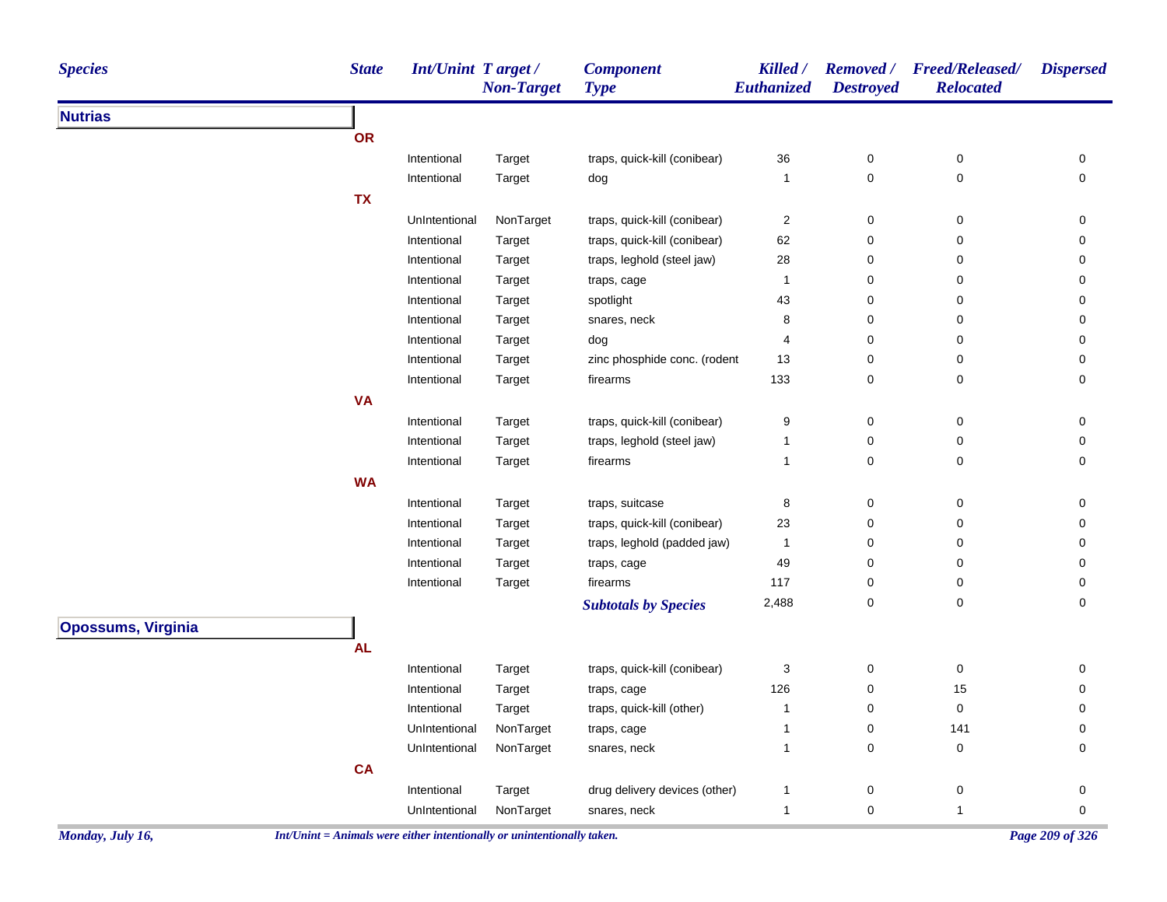| <b>Species</b>            | <b>State</b> | Int/Unint Target/ | <b>Non-Target</b> | <b>Component</b><br><b>Type</b> | Killed /<br>Euthanized  | <b>Destroyed</b> | Removed / Freed/Released/<br><b>Relocated</b> | <b>Dispersed</b>    |
|---------------------------|--------------|-------------------|-------------------|---------------------------------|-------------------------|------------------|-----------------------------------------------|---------------------|
| <b>Nutrias</b>            |              |                   |                   |                                 |                         |                  |                                               |                     |
|                           | OR           |                   |                   |                                 |                         |                  |                                               |                     |
|                           |              | Intentional       | Target            | traps, quick-kill (conibear)    | 36                      | 0                | $\pmb{0}$                                     | 0                   |
|                           |              | Intentional       | Target            | dog                             | 1                       | 0                | 0                                             | $\mathsf{O}\xspace$ |
|                           | <b>TX</b>    |                   |                   |                                 |                         |                  |                                               |                     |
|                           |              | UnIntentional     | NonTarget         | traps, quick-kill (conibear)    | $\overline{\mathbf{c}}$ | 0                | 0                                             | 0                   |
|                           |              | Intentional       | Target            | traps, quick-kill (conibear)    | 62                      | $\pmb{0}$        | 0                                             | 0                   |
|                           |              | Intentional       | Target            | traps, leghold (steel jaw)      | 28                      | 0                | 0                                             | 0                   |
|                           |              | Intentional       | Target            | traps, cage                     | 1                       | 0                | 0                                             | 0                   |
|                           |              | Intentional       | Target            | spotlight                       | 43                      | 0                | 0                                             | 0                   |
|                           |              | Intentional       | Target            | snares, neck                    | 8                       | $\pmb{0}$        | $\pmb{0}$                                     | 0                   |
|                           |              | Intentional       | Target            | dog                             | 4                       | 0                | 0                                             | 0                   |
|                           |              | Intentional       | Target            | zinc phosphide conc. (rodent    | 13                      | 0                | 0                                             | 0                   |
|                           |              | Intentional       | Target            | firearms                        | 133                     | 0                | 0                                             | $\mathbf 0$         |
|                           | <b>VA</b>    |                   |                   |                                 |                         |                  |                                               |                     |
|                           |              | Intentional       | Target            | traps, quick-kill (conibear)    | 9                       | 0                | 0                                             | 0                   |
|                           |              | Intentional       | Target            | traps, leghold (steel jaw)      | $\mathbf{1}$            | $\mathbf 0$      | 0                                             | 0                   |
|                           |              | Intentional       | Target            | firearms                        | $\mathbf{1}$            | $\pmb{0}$        | 0                                             | $\mathbf 0$         |
|                           | <b>WA</b>    |                   |                   |                                 |                         |                  |                                               |                     |
|                           |              | Intentional       | Target            | traps, suitcase                 | 8                       | 0                | $\pmb{0}$                                     | $\mathbf 0$         |
|                           |              | Intentional       | Target            | traps, quick-kill (conibear)    | 23                      | 0                | 0                                             | 0                   |
|                           |              | Intentional       | Target            | traps, leghold (padded jaw)     | 1                       | 0                | 0                                             | 0                   |
|                           |              | Intentional       | Target            | traps, cage                     | 49                      | 0                | 0                                             | 0                   |
|                           |              | Intentional       | Target            | firearms                        | 117                     | 0                | 0                                             | $\mathsf{O}\xspace$ |
|                           |              |                   |                   | <b>Subtotals by Species</b>     | 2,488                   | 0                | 0                                             | $\mathbf 0$         |
| <b>Opossums, Virginia</b> |              |                   |                   |                                 |                         |                  |                                               |                     |
|                           | <b>AL</b>    |                   |                   |                                 |                         |                  |                                               |                     |
|                           |              | Intentional       | Target            | traps, quick-kill (conibear)    | 3                       | $\pmb{0}$        | $\pmb{0}$                                     | 0                   |
|                           |              | Intentional       | Target            | traps, cage                     | 126                     | 0                | 15                                            | 0                   |
|                           |              | Intentional       | Target            | traps, quick-kill (other)       | $\mathbf{1}$            | $\mathbf 0$      | $\pmb{0}$                                     | $\mathbf 0$         |
|                           |              | UnIntentional     | NonTarget         | traps, cage                     | 1                       | $\pmb{0}$        | 141                                           | 0                   |
|                           |              | UnIntentional     | NonTarget         | snares, neck                    | $\mathbf{1}$            | 0                | $\pmb{0}$                                     | $\mathbf 0$         |
|                           | <b>CA</b>    |                   |                   |                                 |                         |                  |                                               |                     |
|                           |              | Intentional       | Target            | drug delivery devices (other)   | $\mathbf{1}$            | $\pmb{0}$        | 0                                             | 0                   |
|                           |              | UnIntentional     | NonTarget         | snares, neck                    | $\mathbf{1}$            | $\mathbf 0$      | $\mathbf{1}$                                  | 0                   |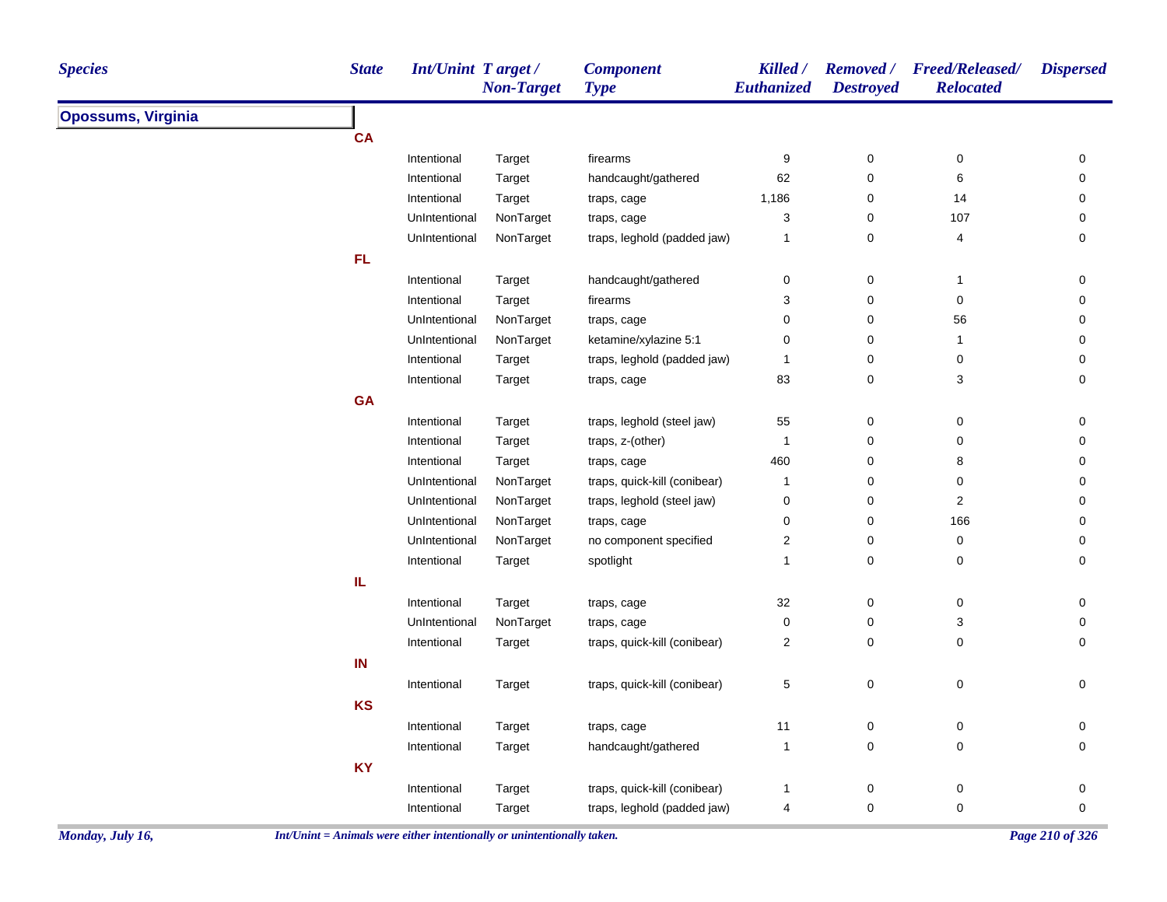| <b>Species</b>            | <b>State</b> | Int/Unint Target/ | <b>Non-Target</b> | <b>Component</b><br><b>Type</b> | Killed /<br>Euthanized    | <b>Destroyed</b> | Removed / Freed/Released/<br><b>Relocated</b> | <b>Dispersed</b> |
|---------------------------|--------------|-------------------|-------------------|---------------------------------|---------------------------|------------------|-----------------------------------------------|------------------|
| <b>Opossums, Virginia</b> |              |                   |                   |                                 |                           |                  |                                               |                  |
|                           | <b>CA</b>    |                   |                   |                                 |                           |                  |                                               |                  |
|                           |              | Intentional       | Target            | firearms                        | 9                         | $\pmb{0}$        | 0                                             | 0                |
|                           |              | Intentional       | Target            | handcaught/gathered             | 62                        | $\pmb{0}$        | 6                                             | 0                |
|                           |              | Intentional       | Target            | traps, cage                     | 1,186                     | $\pmb{0}$        | 14                                            | $\pmb{0}$        |
|                           |              | UnIntentional     | NonTarget         | traps, cage                     | $\ensuremath{\mathsf{3}}$ | $\pmb{0}$        | 107                                           | 0                |
|                           |              | UnIntentional     | NonTarget         | traps, leghold (padded jaw)     | $\mathbf{1}$              | $\pmb{0}$        | $\overline{\mathbf{4}}$                       | 0                |
|                           | <b>FL</b>    |                   |                   |                                 |                           |                  |                                               |                  |
|                           |              | Intentional       | Target            | handcaught/gathered             | $\pmb{0}$                 | $\pmb{0}$        | $\mathbf{1}$                                  | $\pmb{0}$        |
|                           |              | Intentional       | Target            | firearms                        | 3                         | $\pmb{0}$        | $\pmb{0}$                                     | $\pmb{0}$        |
|                           |              | UnIntentional     | NonTarget         | traps, cage                     | 0                         | $\pmb{0}$        | 56                                            | 0                |
|                           |              | UnIntentional     | NonTarget         | ketamine/xylazine 5:1           | $\mathbf 0$               | $\mathbf 0$      | $\overline{1}$                                | 0                |
|                           |              | Intentional       | Target            | traps, leghold (padded jaw)     | 1                         | $\pmb{0}$        | $\pmb{0}$                                     | 0                |
|                           |              | Intentional       | Target            | traps, cage                     | 83                        | $\pmb{0}$        | 3                                             | $\pmb{0}$        |
|                           | <b>GA</b>    |                   |                   |                                 |                           |                  |                                               |                  |
|                           |              | Intentional       | Target            | traps, leghold (steel jaw)      | 55                        | $\pmb{0}$        | $\pmb{0}$                                     | 0                |
|                           |              | Intentional       | Target            | traps, z-(other)                | $\mathbf{1}$              | $\pmb{0}$        | $\pmb{0}$                                     | 0                |
|                           |              | Intentional       | Target            | traps, cage                     | 460                       | $\mathbf 0$      | 8                                             | 0                |
|                           |              | UnIntentional     | NonTarget         | traps, quick-kill (conibear)    | $\mathbf{1}$              | 0                | 0                                             | 0                |
|                           |              | UnIntentional     | NonTarget         | traps, leghold (steel jaw)      | $\pmb{0}$                 | $\pmb{0}$        | $\overline{c}$                                | $\pmb{0}$        |
|                           |              | UnIntentional     | NonTarget         | traps, cage                     | $\mathbf 0$               | $\pmb{0}$        | 166                                           | 0                |
|                           |              | UnIntentional     | NonTarget         | no component specified          | $\sqrt{2}$                | $\mathbf 0$      | $\pmb{0}$                                     | 0                |
|                           |              | Intentional       | Target            | spotlight                       | $\mathbf{1}$              | $\mathbf 0$      | 0                                             | 0                |
|                           | IL           |                   |                   |                                 |                           |                  |                                               |                  |
|                           |              | Intentional       | Target            | traps, cage                     | 32                        | $\mathbf 0$      | 0                                             | 0                |
|                           |              | UnIntentional     | NonTarget         | traps, cage                     | $\mathbf 0$               | $\mathbf 0$      | 3                                             | 0                |
|                           |              | Intentional       | Target            | traps, quick-kill (conibear)    | $\sqrt{2}$                | $\pmb{0}$        | $\mathbf 0$                                   | $\pmb{0}$        |
|                           | IN           |                   |                   |                                 |                           |                  |                                               |                  |
|                           |              | Intentional       | Target            | traps, quick-kill (conibear)    | 5                         | $\pmb{0}$        | 0                                             | 0                |
|                           | <b>KS</b>    |                   |                   |                                 |                           |                  |                                               |                  |
|                           |              | Intentional       | Target            | traps, cage                     | 11                        | $\mathbf 0$      | 0                                             | 0                |
|                           |              | Intentional       | Target            | handcaught/gathered             | $\mathbf{1}$              | $\pmb{0}$        | $\mathsf 0$                                   | 0                |
|                           | <b>KY</b>    |                   |                   |                                 |                           |                  |                                               |                  |
|                           |              | Intentional       | Target            | traps, quick-kill (conibear)    | $\mathbf{1}$              | $\mathbf 0$      | $\pmb{0}$                                     | 0                |
|                           |              | Intentional       | Target            | traps, leghold (padded jaw)     | 4                         | $\pmb{0}$        | $\mathbf 0$                                   | $\pmb{0}$        |
|                           |              |                   |                   |                                 |                           |                  |                                               |                  |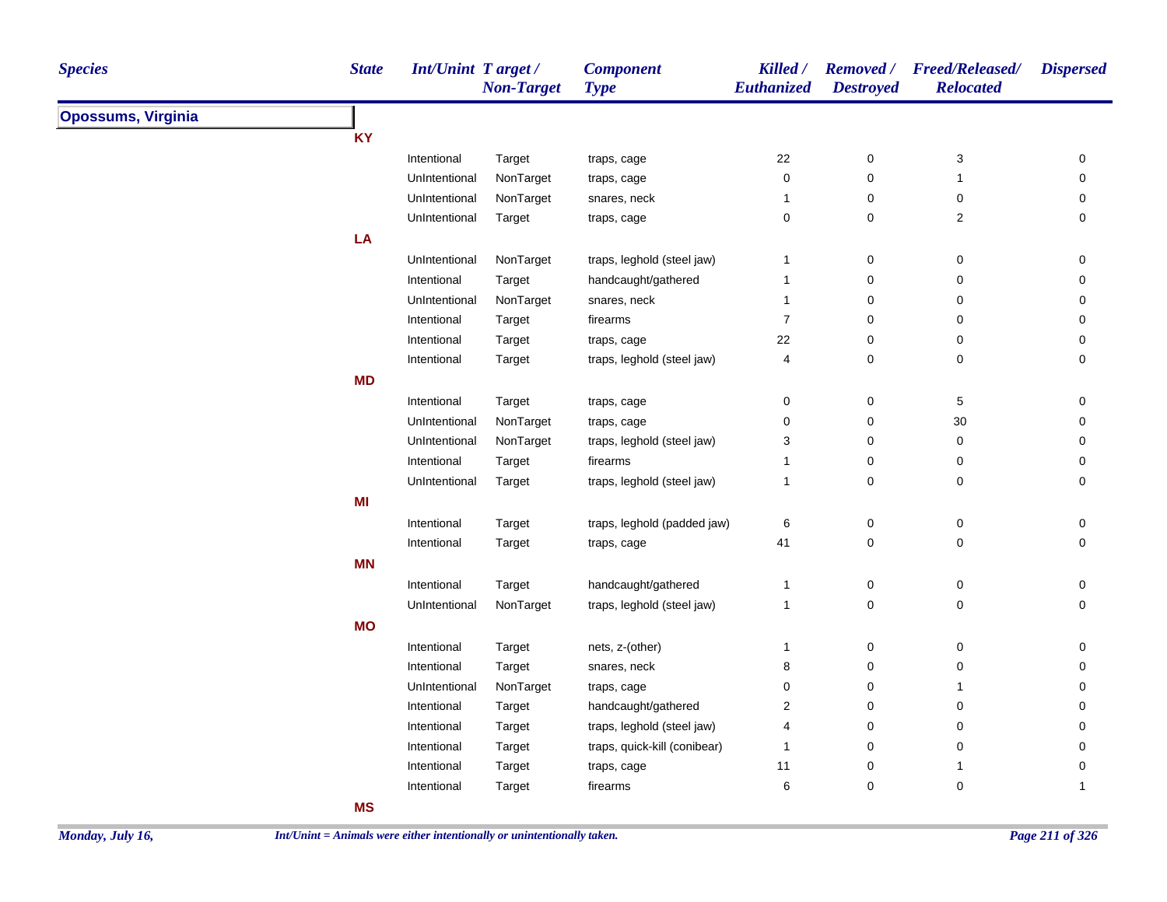| <b>Species</b>            | <b>State</b> | <b>Int/Unint Target/</b> | <b>Non-Target</b> | <b>Component</b><br><b>Type</b> | Killed /<br>Euthanized | <b>Destroyed</b>    | Removed / Freed/Released/<br><b>Relocated</b> | <b>Dispersed</b>    |
|---------------------------|--------------|--------------------------|-------------------|---------------------------------|------------------------|---------------------|-----------------------------------------------|---------------------|
| <b>Opossums, Virginia</b> |              |                          |                   |                                 |                        |                     |                                               |                     |
|                           | <b>KY</b>    |                          |                   |                                 |                        |                     |                                               |                     |
|                           |              | Intentional              | Target            | traps, cage                     | 22                     | $\mathbf 0$         | 3                                             | 0                   |
|                           |              | UnIntentional            | NonTarget         | traps, cage                     | 0                      | $\mathsf{O}\xspace$ | $\mathbf{1}$                                  | $\mathsf{O}\xspace$ |
|                           |              | UnIntentional            | NonTarget         | snares, neck                    | $\mathbf{1}$           | $\mathbf 0$         | 0                                             | $\mathbf 0$         |
|                           |              | UnIntentional            | Target            | traps, cage                     | 0                      | $\mathsf{O}\xspace$ | $\overline{\mathbf{c}}$                       | 0                   |
|                           | LA           |                          |                   |                                 |                        |                     |                                               |                     |
|                           |              | UnIntentional            | NonTarget         | traps, leghold (steel jaw)      | $\mathbf{1}$           | 0                   | 0                                             | 0                   |
|                           |              | Intentional              | Target            | handcaught/gathered             | $\mathbf{1}$           | $\mathbf 0$         | 0                                             | 0                   |
|                           |              | UnIntentional            | NonTarget         | snares, neck                    | $\mathbf{1}$           | $\mathbf 0$         | 0                                             | 0                   |
|                           |              | Intentional              | Target            | firearms                        | $\overline{7}$         | $\mathbf 0$         | 0                                             | 0                   |
|                           |              | Intentional              | Target            | traps, cage                     | 22                     | $\mathsf{O}\xspace$ | 0                                             | 0                   |
|                           |              | Intentional              | Target            | traps, leghold (steel jaw)      | 4                      | $\mathbf 0$         | 0                                             | $\mathbf 0$         |
|                           | <b>MD</b>    |                          |                   |                                 |                        |                     |                                               |                     |
|                           |              | Intentional              | Target            | traps, cage                     | 0                      | 0                   | 5                                             | 0                   |
|                           |              | UnIntentional            | NonTarget         | traps, cage                     | 0                      | $\mathsf{O}\xspace$ | $30\,$                                        | $\mathsf{O}\xspace$ |
|                           |              | UnIntentional            | NonTarget         | traps, leghold (steel jaw)      | 3                      | $\mathbf 0$         | 0                                             | 0                   |
|                           |              | Intentional              | Target            | firearms                        | $\mathbf 1$            | $\mathsf 0$         | 0                                             | 0                   |
|                           |              | UnIntentional            | Target            | traps, leghold (steel jaw)      | $\mathbf{1}$           | $\mathbf 0$         | 0                                             | 0                   |
|                           | MI           |                          |                   |                                 |                        |                     |                                               |                     |
|                           |              | Intentional              | Target            | traps, leghold (padded jaw)     | $\,6$                  | $\pmb{0}$           | $\pmb{0}$                                     | $\pmb{0}$           |
|                           |              | Intentional              | Target            | traps, cage                     | 41                     | $\mathbf 0$         | $\mathbf 0$                                   | $\pmb{0}$           |
|                           | <b>MN</b>    |                          |                   |                                 |                        |                     |                                               |                     |
|                           |              | Intentional              | Target            | handcaught/gathered             | 1                      | 0                   | 0                                             | 0                   |
|                           |              | UnIntentional            | NonTarget         | traps, leghold (steel jaw)      | $\overline{1}$         | $\mathsf 0$         | $\pmb{0}$                                     | $\mathsf{O}\xspace$ |
|                           | <b>MO</b>    |                          |                   |                                 |                        |                     |                                               |                     |
|                           |              | Intentional              | Target            | nets, z-(other)                 | $\mathbf{1}$           | $\mathbf 0$         | $\pmb{0}$                                     | 0                   |
|                           |              | Intentional              | Target            | snares, neck                    | 8                      | $\mathsf 0$         | 0                                             | 0                   |
|                           |              | UnIntentional            | NonTarget         | traps, cage                     | 0                      | $\mathbf 0$         | 1                                             | 0                   |
|                           |              | Intentional              | Target            | handcaught/gathered             | $\overline{2}$         | 0                   | 0                                             | 0                   |
|                           |              | Intentional              | Target            | traps, leghold (steel jaw)      | 4                      | $\mathbf 0$         | 0                                             | 0                   |
|                           |              | Intentional              | Target            | traps, quick-kill (conibear)    | 1                      | $\mathbf 0$         | 0                                             | 0                   |
|                           |              | Intentional              | Target            | traps, cage                     | 11                     | $\pmb{0}$           | $\mathbf{1}$                                  | $\mathsf{O}\xspace$ |
|                           |              | Intentional              | Target            | firearms                        | 6                      | $\mathbf 0$         | $\pmb{0}$                                     | $\mathbf{1}$        |
|                           | <b>MS</b>    |                          |                   |                                 |                        |                     |                                               |                     |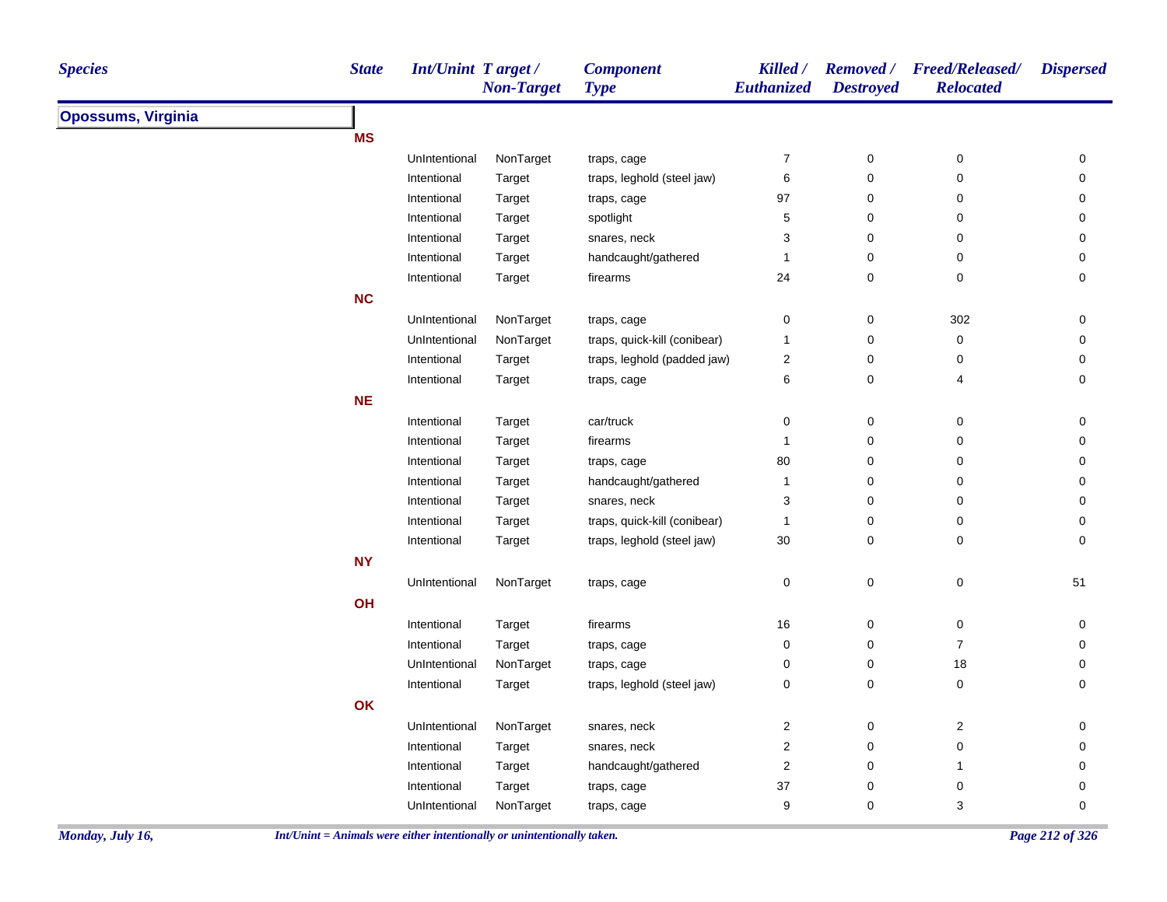| <b>Species</b>            | <b>State</b> | Int/Unint Target/ | <b>Non-Target</b> | <b>Component</b><br><b>Type</b> | Killed /<br>Euthanized  | <b>Removed</b> /<br><b>Destroyed</b> | <b>Freed/Released/</b><br><b>Relocated</b> | <b>Dispersed</b> |
|---------------------------|--------------|-------------------|-------------------|---------------------------------|-------------------------|--------------------------------------|--------------------------------------------|------------------|
| <b>Opossums, Virginia</b> |              |                   |                   |                                 |                         |                                      |                                            |                  |
|                           | <b>MS</b>    |                   |                   |                                 |                         |                                      |                                            |                  |
|                           |              | UnIntentional     | NonTarget         | traps, cage                     | $\boldsymbol{7}$        | $\pmb{0}$                            | 0                                          | $\pmb{0}$        |
|                           |              | Intentional       | Target            | traps, leghold (steel jaw)      | 6                       | 0                                    | 0                                          | 0                |
|                           |              | Intentional       | Target            | traps, cage                     | 97                      | 0                                    | 0                                          | 0                |
|                           |              | Intentional       | Target            | spotlight                       | 5                       | 0                                    | 0                                          | 0                |
|                           |              | Intentional       | Target            | snares, neck                    | 3                       | $\mathbf 0$                          | 0                                          | 0                |
|                           |              | Intentional       | Target            | handcaught/gathered             | $\mathbf{1}$            | $\pmb{0}$                            | 0                                          | 0                |
|                           |              | Intentional       | Target            | firearms                        | 24                      | 0                                    | 0                                          | $\mathbf 0$      |
|                           | <b>NC</b>    |                   |                   |                                 |                         |                                      |                                            |                  |
|                           |              | UnIntentional     | NonTarget         | traps, cage                     | $\pmb{0}$               | $\pmb{0}$                            | 302                                        | $\mathbf 0$      |
|                           |              | UnIntentional     | NonTarget         | traps, quick-kill (conibear)    | $\mathbf{1}$            | 0                                    | $\pmb{0}$                                  | 0                |
|                           |              | Intentional       | Target            | traps, leghold (padded jaw)     | 2                       | 0                                    | 0                                          | 0                |
|                           |              | Intentional       | Target            | traps, cage                     | 6                       | 0                                    | 4                                          | $\mathbf 0$      |
|                           | <b>NE</b>    |                   |                   |                                 |                         |                                      |                                            |                  |
|                           |              | Intentional       | Target            | car/truck                       | 0                       | $\pmb{0}$                            | 0                                          | 0                |
|                           |              | Intentional       | Target            | firearms                        | $\mathbf{1}$            | $\mathbf 0$                          | 0                                          | 0                |
|                           |              | Intentional       | Target            | traps, cage                     | 80                      | 0                                    | 0                                          | $\mathbf 0$      |
|                           |              | Intentional       | Target            | handcaught/gathered             | $\mathbf{1}$            | 0                                    | 0                                          | $\mathbf 0$      |
|                           |              | Intentional       | Target            | snares, neck                    | 3                       | 0                                    | 0                                          | 0                |
|                           |              | Intentional       | Target            | traps, quick-kill (conibear)    | 1                       | 0                                    | 0                                          | 0                |
|                           |              | Intentional       | Target            | traps, leghold (steel jaw)      | 30                      | 0                                    | $\pmb{0}$                                  | $\mathbf 0$      |
|                           | <b>NY</b>    |                   |                   |                                 |                         |                                      |                                            |                  |
|                           |              | UnIntentional     | NonTarget         | traps, cage                     | 0                       | 0                                    | $\pmb{0}$                                  | 51               |
|                           | OH           |                   |                   |                                 |                         |                                      |                                            |                  |
|                           |              | Intentional       | Target            | firearms                        | 16                      | 0                                    | 0                                          | 0                |
|                           |              | Intentional       | Target            | traps, cage                     | 0                       | 0                                    | $\overline{7}$                             | 0                |
|                           |              | UnIntentional     | NonTarget         | traps, cage                     | 0                       | 0                                    | 18                                         | $\mathbf 0$      |
|                           |              | Intentional       | Target            | traps, leghold (steel jaw)      | 0                       | 0                                    | $\pmb{0}$                                  | $\mathbf 0$      |
|                           | OK           |                   |                   |                                 |                         |                                      |                                            |                  |
|                           |              | UnIntentional     | NonTarget         | snares, neck                    | $\boldsymbol{2}$        | 0                                    | $\overline{c}$                             | 0                |
|                           |              | Intentional       | Target            | snares, neck                    | $\overline{\mathbf{c}}$ | $\mathbf 0$                          | 0                                          | $\mathbf 0$      |
|                           |              | Intentional       | Target            | handcaught/gathered             | $\mathbf 2$             | 0                                    | $\mathbf{1}$                               | 0                |
|                           |              | Intentional       | Target            | traps, cage                     | 37                      | 0                                    | 0                                          | 0                |
|                           |              | UnIntentional     | NonTarget         | traps, cage                     | 9                       | 0                                    | 3                                          | 0                |
|                           |              |                   |                   |                                 |                         |                                      |                                            |                  |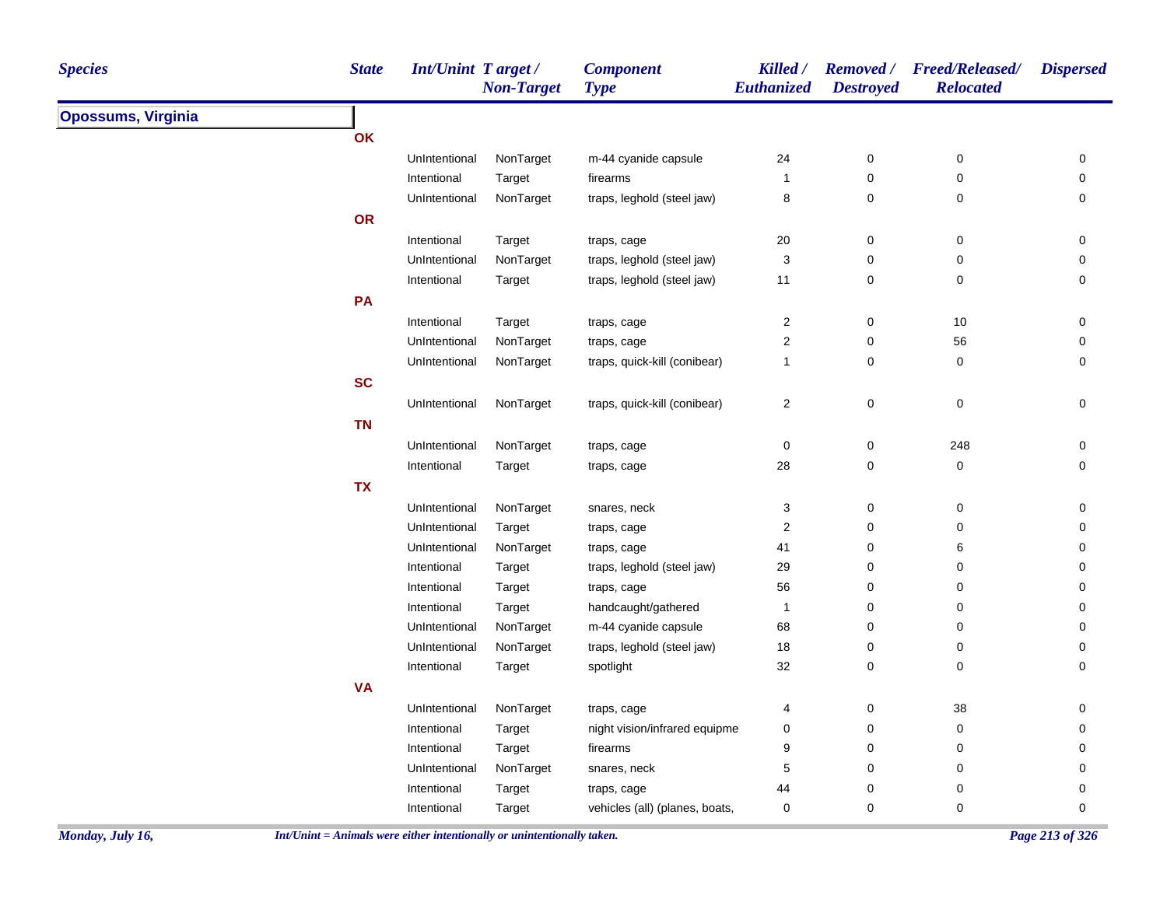| <b>Species</b>            | <b>State</b> | <b>Int/Unint Target/</b> | <b>Non-Target</b> | <b>Component</b><br><b>Type</b> | Killed /<br>Euthanized    | <b>Destroyed</b> | Removed / Freed/Released/<br><b>Relocated</b> | <b>Dispersed</b> |
|---------------------------|--------------|--------------------------|-------------------|---------------------------------|---------------------------|------------------|-----------------------------------------------|------------------|
| <b>Opossums, Virginia</b> |              |                          |                   |                                 |                           |                  |                                               |                  |
|                           | OK           |                          |                   |                                 |                           |                  |                                               |                  |
|                           |              | UnIntentional            | NonTarget         | m-44 cyanide capsule            | 24                        | 0                | $\pmb{0}$                                     | $\pmb{0}$        |
|                           |              | Intentional              | Target            | firearms                        | 1                         | 0                | $\pmb{0}$                                     | 0                |
|                           |              | UnIntentional            | NonTarget         | traps, leghold (steel jaw)      | 8                         | 0                | $\pmb{0}$                                     | 0                |
|                           | OR           |                          |                   |                                 |                           |                  |                                               |                  |
|                           |              | Intentional              | Target            | traps, cage                     | $20\,$                    | 0                | $\pmb{0}$                                     | 0                |
|                           |              | UnIntentional            | NonTarget         | traps, leghold (steel jaw)      | 3                         | 0                | $\pmb{0}$                                     | 0                |
|                           |              | Intentional              | Target            | traps, leghold (steel jaw)      | 11                        | 0                | $\pmb{0}$                                     | 0                |
|                           | PA           |                          |                   |                                 |                           |                  |                                               |                  |
|                           |              | Intentional              | Target            | traps, cage                     | $\boldsymbol{2}$          | 0                | $10$                                          | 0                |
|                           |              | UnIntentional            | NonTarget         | traps, cage                     | $\boldsymbol{2}$          | 0                | 56                                            | 0                |
|                           |              | UnIntentional            | NonTarget         | traps, quick-kill (conibear)    | $\mathbf{1}$              | 0                | $\pmb{0}$                                     | 0                |
|                           | <b>SC</b>    |                          |                   |                                 |                           |                  |                                               |                  |
|                           |              | UnIntentional            | NonTarget         | traps, quick-kill (conibear)    | $\overline{a}$            | 0                | $\pmb{0}$                                     | $\pmb{0}$        |
|                           | <b>TN</b>    |                          |                   |                                 |                           |                  |                                               |                  |
|                           |              | UnIntentional            | NonTarget         | traps, cage                     | $\mathbf 0$               | 0                | 248                                           | 0                |
|                           |              | Intentional              | Target            | traps, cage                     | 28                        | 0                | $\pmb{0}$                                     | $\mathsf 0$      |
|                           | <b>TX</b>    |                          |                   |                                 |                           |                  |                                               |                  |
|                           |              | UnIntentional            | NonTarget         | snares, neck                    | $\ensuremath{\mathsf{3}}$ | 0                | $\pmb{0}$                                     | 0                |
|                           |              | UnIntentional            | Target            | traps, cage                     | $\boldsymbol{2}$          | 0                | $\pmb{0}$                                     | $\mathsf 0$      |
|                           |              | UnIntentional            | NonTarget         | traps, cage                     | 41                        | 0                | 6                                             | 0                |
|                           |              | Intentional              | Target            | traps, leghold (steel jaw)      | 29                        | 0                | $\pmb{0}$                                     | 0                |
|                           |              | Intentional              | Target            | traps, cage                     | 56                        | 0                | 0                                             | 0                |
|                           |              | Intentional              | Target            | handcaught/gathered             | 1                         | 0                | 0                                             | 0                |
|                           |              | UnIntentional            | NonTarget         | m-44 cyanide capsule            | 68                        | 0                | $\pmb{0}$                                     | 0                |
|                           |              | UnIntentional            | NonTarget         | traps, leghold (steel jaw)      | 18                        | 0                | $\pmb{0}$                                     | 0                |
|                           |              | Intentional              | Target            | spotlight                       | 32                        | 0                | $\pmb{0}$                                     | 0                |
|                           | <b>VA</b>    |                          |                   |                                 |                           |                  |                                               |                  |
|                           |              | UnIntentional            | NonTarget         | traps, cage                     | 4                         | 0                | 38                                            | 0                |
|                           |              | Intentional              | Target            | night vision/infrared equipme   | 0                         | 0                | $\pmb{0}$                                     | 0                |
|                           |              | Intentional              | Target            | firearms                        | 9                         | 0                | $\pmb{0}$                                     | 0                |
|                           |              | UnIntentional            | NonTarget         | snares, neck                    | 5                         | 0                | $\pmb{0}$                                     | 0                |
|                           |              | Intentional              | Target            | traps, cage                     | 44                        | 0                | 0                                             | 0                |
|                           |              | Intentional              | Target            | vehicles (all) (planes, boats,  | 0                         | 0                | 0                                             | 0                |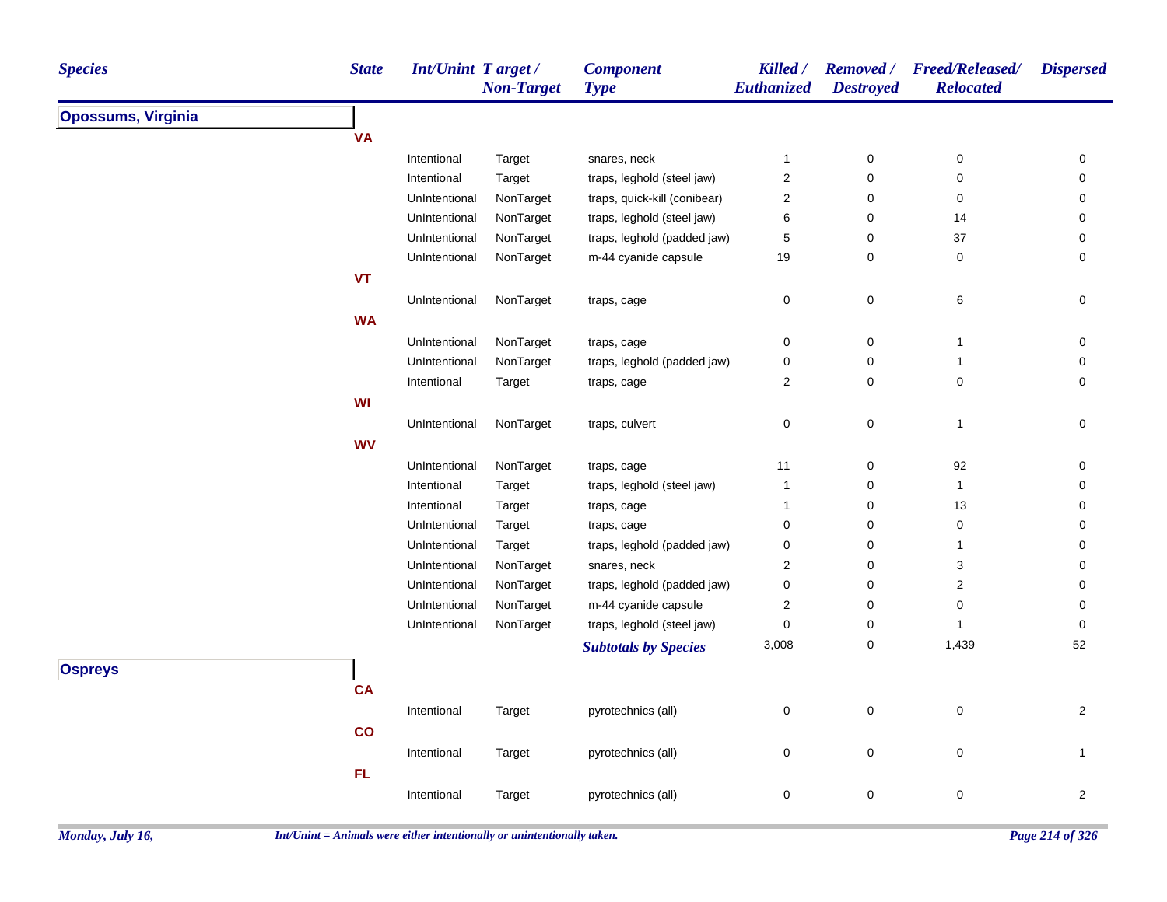| <b>Species</b>            | <b>State</b> | <b>Int/Unint Target/</b> | <b>Non-Target</b> | <b>Component</b><br><b>Type</b> | Killed /<br>Euthanized | <b>Removed</b> /<br><b>Destroyed</b> | <b>Freed/Released/</b><br><b>Relocated</b> | <b>Dispersed</b>    |
|---------------------------|--------------|--------------------------|-------------------|---------------------------------|------------------------|--------------------------------------|--------------------------------------------|---------------------|
| <b>Opossums, Virginia</b> |              |                          |                   |                                 |                        |                                      |                                            |                     |
|                           | <b>VA</b>    |                          |                   |                                 |                        |                                      |                                            |                     |
|                           |              | Intentional              | Target            | snares, neck                    | $\mathbf{1}$           | $\pmb{0}$                            | 0                                          | 0                   |
|                           |              | Intentional              | Target            | traps, leghold (steel jaw)      | $\sqrt{2}$             | $\pmb{0}$                            | $\pmb{0}$                                  | 0                   |
|                           |              | UnIntentional            | NonTarget         | traps, quick-kill (conibear)    | $\sqrt{2}$             | $\pmb{0}$                            | $\pmb{0}$                                  | 0                   |
|                           |              | UnIntentional            | NonTarget         | traps, leghold (steel jaw)      | 6                      | $\pmb{0}$                            | 14                                         | 0                   |
|                           |              | UnIntentional            | NonTarget         | traps, leghold (padded jaw)     | $\,$ 5 $\,$            | $\pmb{0}$                            | 37                                         | $\pmb{0}$           |
|                           |              | UnIntentional            | NonTarget         | m-44 cyanide capsule            | 19                     | $\mathbf 0$                          | 0                                          | 0                   |
|                           | <b>VT</b>    |                          |                   |                                 |                        |                                      |                                            |                     |
|                           |              | UnIntentional            | NonTarget         | traps, cage                     | 0                      | $\pmb{0}$                            | 6                                          | 0                   |
|                           | <b>WA</b>    |                          |                   |                                 |                        |                                      |                                            |                     |
|                           |              | UnIntentional            | NonTarget         | traps, cage                     | 0                      | $\pmb{0}$                            | 1                                          | 0                   |
|                           |              | UnIntentional            | NonTarget         | traps, leghold (padded jaw)     | $\pmb{0}$              | $\pmb{0}$                            | $\mathbf{1}$                               | 0                   |
|                           |              | Intentional              | Target            | traps, cage                     | $\sqrt{2}$             | $\pmb{0}$                            | $\pmb{0}$                                  | $\mathsf{O}\xspace$ |
|                           | WI           |                          |                   |                                 |                        |                                      |                                            |                     |
|                           |              | UnIntentional            | NonTarget         | traps, culvert                  | 0                      | $\pmb{0}$                            | $\mathbf{1}$                               | 0                   |
|                           | <b>WV</b>    |                          |                   |                                 |                        |                                      |                                            |                     |
|                           |              | UnIntentional            | NonTarget         | traps, cage                     | 11                     | $\pmb{0}$                            | 92                                         | 0                   |
|                           |              | Intentional              | Target            | traps, leghold (steel jaw)      | $\mathbf{1}$           | $\pmb{0}$                            | 1                                          | 0                   |
|                           |              | Intentional              | Target            | traps, cage                     | $\mathbf{1}$           | $\mathbf 0$                          | 13                                         | 0                   |
|                           |              | UnIntentional            | Target            | traps, cage                     | 0                      | $\mathbf 0$                          | 0                                          | 0                   |
|                           |              | UnIntentional            | Target            | traps, leghold (padded jaw)     | 0                      | $\pmb{0}$                            | 1                                          | 0                   |
|                           |              | UnIntentional            | NonTarget         | snares, neck                    | 2                      | $\mathbf 0$                          | 3                                          | 0                   |
|                           |              | UnIntentional            | NonTarget         | traps, leghold (padded jaw)     | $\pmb{0}$              | $\pmb{0}$                            | $\overline{\mathbf{c}}$                    | 0                   |
|                           |              | UnIntentional            | NonTarget         | m-44 cyanide capsule            | $\boldsymbol{2}$       | $\pmb{0}$                            | $\mathbf 0$                                | 0                   |
|                           |              | UnIntentional            | NonTarget         | traps, leghold (steel jaw)      | $\pmb{0}$              | $\pmb{0}$                            | $\mathbf{1}$                               | $\pmb{0}$           |
|                           |              |                          |                   | <b>Subtotals by Species</b>     | 3,008                  | $\pmb{0}$                            | 1,439                                      | 52                  |
| <b>Ospreys</b>            |              |                          |                   |                                 |                        |                                      |                                            |                     |
|                           | <b>CA</b>    |                          |                   |                                 |                        |                                      |                                            |                     |
|                           |              | Intentional              | Target            | pyrotechnics (all)              | $\pmb{0}$              | $\pmb{0}$                            | $\pmb{0}$                                  | $\overline{2}$      |
|                           | co           |                          |                   |                                 |                        |                                      |                                            |                     |
|                           |              | Intentional              | Target            | pyrotechnics (all)              | $\boldsymbol{0}$       | $\mathbf 0$                          | $\mathbf 0$                                | $\mathbf{1}$        |
|                           | FL           |                          |                   |                                 |                        |                                      |                                            |                     |
|                           |              | Intentional              |                   |                                 | $\mathbf 0$            | $\pmb{0}$                            | 0                                          | $\overline{2}$      |
|                           |              |                          | Target            | pyrotechnics (all)              |                        |                                      |                                            |                     |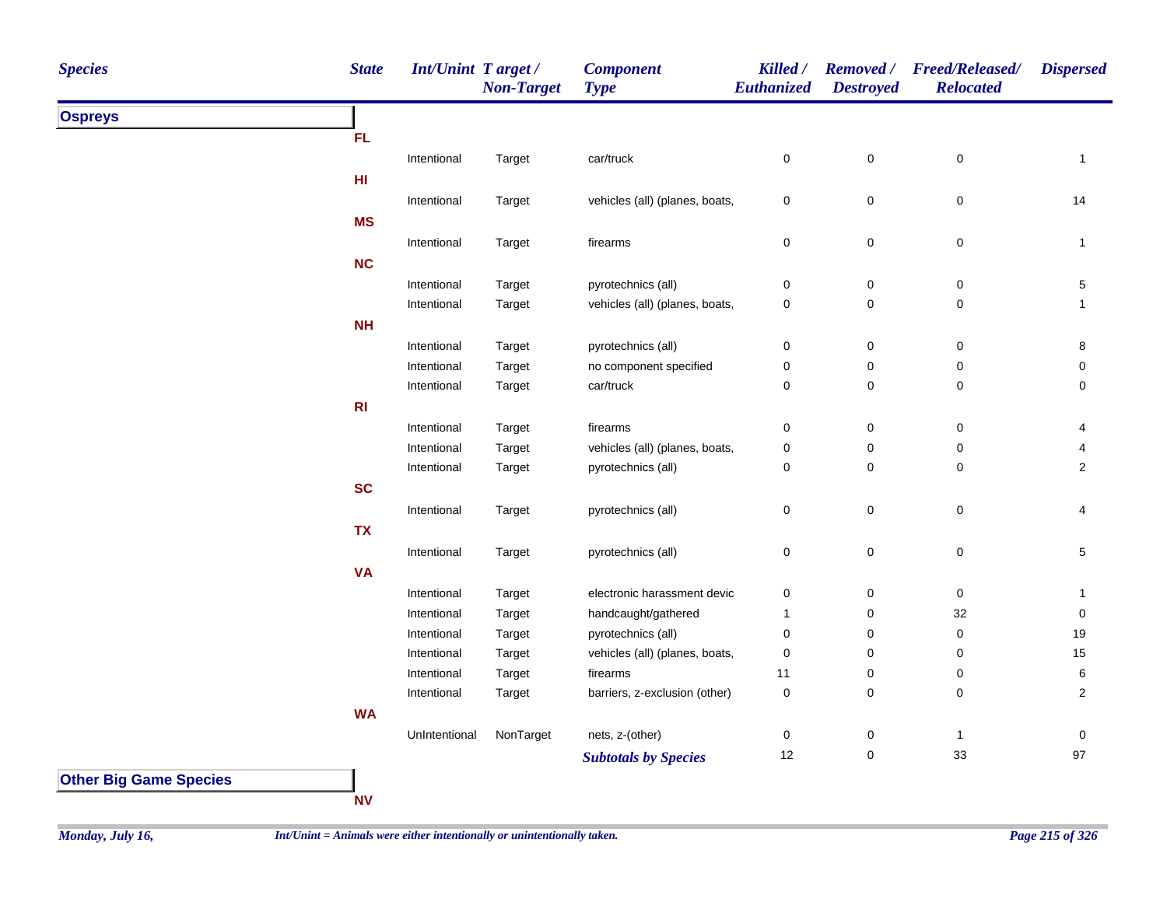| <b>Species</b>                | <b>State</b> | Int/Unint Target/ | <b>Non-Target</b> | <b>Component</b><br><b>Type</b> | Killed /<br><b>Euthanized</b> | <b>Destroyed</b> | Removed / Freed/Released/<br><b>Relocated</b> | <b>Dispersed</b> |
|-------------------------------|--------------|-------------------|-------------------|---------------------------------|-------------------------------|------------------|-----------------------------------------------|------------------|
| <b>Ospreys</b>                |              |                   |                   |                                 |                               |                  |                                               |                  |
|                               | FL           |                   |                   |                                 |                               |                  |                                               |                  |
|                               |              | Intentional       | Target            | car/truck                       | $\pmb{0}$                     | $\mathsf 0$      | $\pmb{0}$                                     | $\mathbf{1}$     |
|                               | HI           |                   |                   |                                 |                               |                  |                                               |                  |
|                               |              | Intentional       | Target            | vehicles (all) (planes, boats,  | $\pmb{0}$                     | $\pmb{0}$        | $\pmb{0}$                                     | 14               |
|                               | <b>MS</b>    |                   |                   |                                 |                               |                  |                                               |                  |
|                               |              | Intentional       | Target            | firearms                        | $\mathsf 0$                   | $\mathsf 0$      | $\mathsf 0$                                   | $\mathbf{1}$     |
|                               | NC           |                   |                   |                                 |                               |                  |                                               |                  |
|                               |              | Intentional       | Target            | pyrotechnics (all)              | 0                             | 0                | 0                                             | 5                |
|                               |              | Intentional       | Target            | vehicles (all) (planes, boats,  | 0                             | 0                | $\pmb{0}$                                     | $\mathbf{1}$     |
|                               | <b>NH</b>    |                   |                   |                                 |                               |                  |                                               |                  |
|                               |              | Intentional       | Target            | pyrotechnics (all)              | 0                             | $\mathsf 0$      | $\pmb{0}$                                     | 8                |
|                               |              | Intentional       | Target            | no component specified          | $\mathsf 0$                   | 0                | $\pmb{0}$                                     | $\mathbf 0$      |
|                               |              | Intentional       | Target            | car/truck                       | 0                             | 0                | 0                                             | 0                |
|                               | R1           |                   |                   |                                 |                               |                  |                                               |                  |
|                               |              | Intentional       | Target            | firearms                        | 0                             | 0                | 0                                             | 4                |
|                               |              | Intentional       | Target            | vehicles (all) (planes, boats,  | 0                             | 0                | 0                                             | 4                |
|                               |              | Intentional       | Target            | pyrotechnics (all)              | 0                             | 0                | $\pmb{0}$                                     | $\overline{2}$   |
|                               | <b>SC</b>    |                   |                   |                                 |                               |                  |                                               |                  |
|                               |              | Intentional       | Target            | pyrotechnics (all)              | 0                             | $\mathsf 0$      | $\mathsf 0$                                   | 4                |
|                               | <b>TX</b>    |                   |                   |                                 |                               |                  |                                               |                  |
|                               |              | Intentional       | Target            | pyrotechnics (all)              | 0                             | $\mathsf 0$      | $\pmb{0}$                                     | $5\phantom{.0}$  |
|                               | <b>VA</b>    |                   |                   |                                 |                               |                  |                                               |                  |
|                               |              | Intentional       |                   | electronic harassment devic     | $\pmb{0}$                     | 0                | $\pmb{0}$                                     | $\mathbf{1}$     |
|                               |              | Intentional       | Target<br>Target  | handcaught/gathered             | $\mathbf{1}$                  | 0                | 32                                            | 0                |
|                               |              | Intentional       | Target            | pyrotechnics (all)              | 0                             | 0                | $\pmb{0}$                                     | 19               |
|                               |              | Intentional       | Target            | vehicles (all) (planes, boats,  | 0                             | 0                | 0                                             | 15               |
|                               |              | Intentional       | Target            | firearms                        | 11                            | 0                | $\pmb{0}$                                     | 6                |
|                               |              | Intentional       | Target            | barriers, z-exclusion (other)   | 0                             | 0                | $\mathbf 0$                                   | $\overline{2}$   |
|                               | <b>WA</b>    |                   |                   |                                 |                               |                  |                                               |                  |
|                               |              | UnIntentional     | NonTarget         | nets, z-(other)                 | 0                             | 0                | $\mathbf{1}$                                  | 0                |
|                               |              |                   |                   |                                 | 12                            | 0                | 33                                            | $97\,$           |
| <b>Other Big Game Species</b> |              |                   |                   | <b>Subtotals by Species</b>     |                               |                  |                                               |                  |

**NV**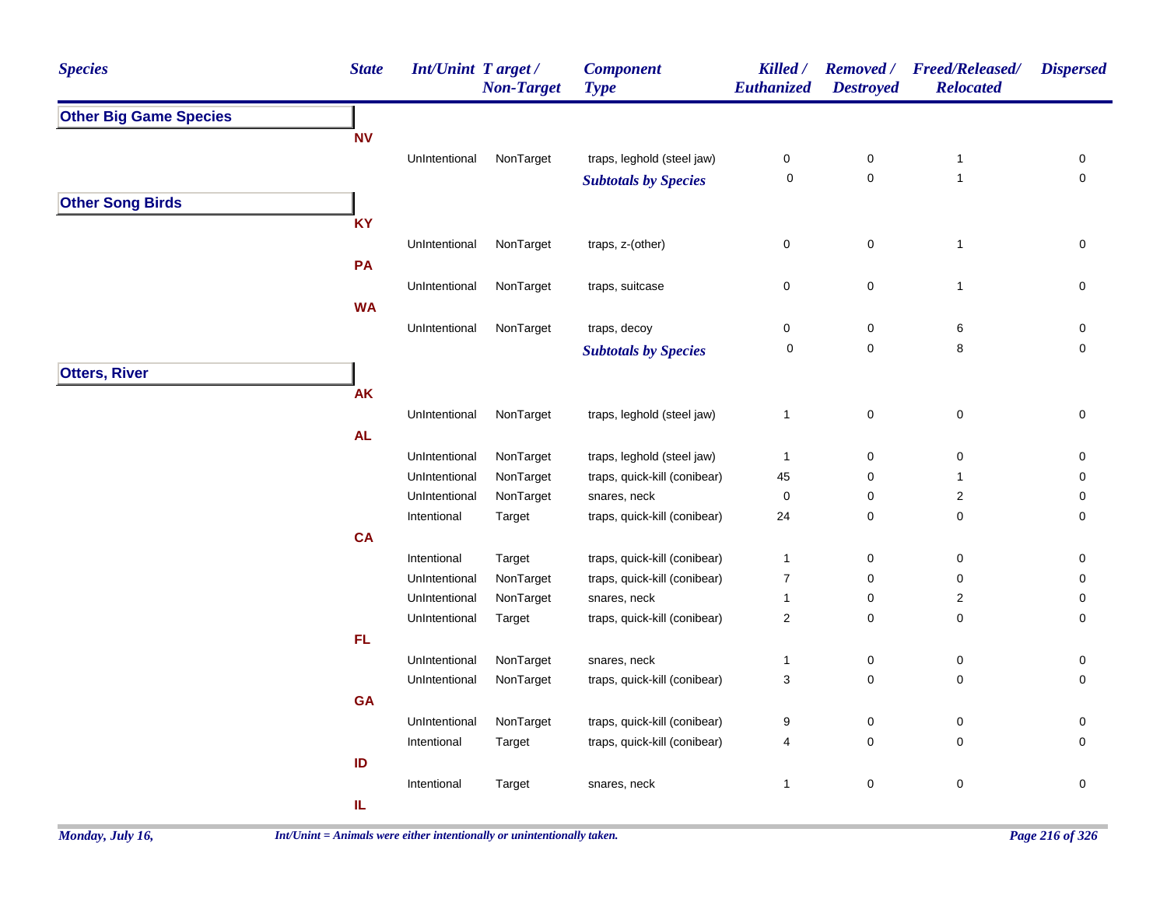| <b>Species</b>                | <b>State</b>                      | <b>Int/Unint Target/</b> | <b>Non-Target</b> | <b>Component</b><br><b>Type</b> | Killed /<br><b>Euthanized</b> | <b>Removed</b> /<br><b>Destroyed</b> | <b>Freed/Released/</b><br><b>Relocated</b> | <b>Dispersed</b> |
|-------------------------------|-----------------------------------|--------------------------|-------------------|---------------------------------|-------------------------------|--------------------------------------|--------------------------------------------|------------------|
| <b>Other Big Game Species</b> |                                   |                          |                   |                                 |                               |                                      |                                            |                  |
|                               | <b>NV</b>                         |                          |                   |                                 |                               |                                      |                                            |                  |
|                               |                                   | UnIntentional            | NonTarget         | traps, leghold (steel jaw)      | 0                             | $\pmb{0}$                            | $\mathbf{1}$                               | 0                |
|                               |                                   |                          |                   | <b>Subtotals by Species</b>     | $\pmb{0}$                     | $\pmb{0}$                            | $\mathbf{1}$                               | $\mathsf 0$      |
| <b>Other Song Birds</b>       |                                   |                          |                   |                                 |                               |                                      |                                            |                  |
|                               | <b>KY</b>                         |                          |                   |                                 |                               |                                      |                                            |                  |
|                               |                                   | UnIntentional            | NonTarget         | traps, z-(other)                | 0                             | 0                                    | $\mathbf{1}$                               | $\mathbf 0$      |
|                               | PA                                |                          |                   |                                 |                               |                                      |                                            |                  |
|                               |                                   | UnIntentional            | NonTarget         | traps, suitcase                 | 0                             | $\pmb{0}$                            | $\mathbf{1}$                               | 0                |
|                               | <b>WA</b>                         |                          |                   |                                 |                               |                                      |                                            |                  |
|                               |                                   | UnIntentional            | NonTarget         | traps, decoy                    | 0                             | $\mathbf 0$                          | 6                                          | 0                |
|                               |                                   |                          |                   | <b>Subtotals by Species</b>     | $\mathbf 0$                   | $\pmb{0}$                            | 8                                          | $\mathbf 0$      |
| <b>Otters, River</b>          |                                   |                          |                   |                                 |                               |                                      |                                            |                  |
|                               | <b>AK</b>                         |                          |                   |                                 |                               |                                      |                                            |                  |
|                               |                                   | UnIntentional            | NonTarget         | traps, leghold (steel jaw)      | $\mathbf{1}$                  | $\pmb{0}$                            | $\pmb{0}$                                  | 0                |
|                               | AL                                |                          |                   |                                 |                               |                                      |                                            |                  |
|                               |                                   | UnIntentional            | NonTarget         | traps, leghold (steel jaw)      | $\mathbf{1}$                  | $\mathbf 0$                          | 0                                          | 0                |
|                               |                                   | UnIntentional            | NonTarget         | traps, quick-kill (conibear)    | 45                            | 0                                    | 1                                          | $\mathbf 0$      |
|                               |                                   | UnIntentional            | NonTarget         | snares, neck                    | 0                             | $\pmb{0}$                            | $\overline{\mathbf{c}}$                    | 0                |
|                               |                                   | Intentional              | Target            | traps, quick-kill (conibear)    | 24                            | $\mathbf 0$                          | $\pmb{0}$                                  | 0                |
|                               | <b>CA</b>                         |                          |                   |                                 |                               |                                      |                                            |                  |
|                               |                                   | Intentional              | Target            | traps, quick-kill (conibear)    | $\mathbf{1}$                  | 0                                    | 0                                          | 0                |
|                               |                                   | UnIntentional            | NonTarget         | traps, quick-kill (conibear)    | $\overline{7}$                | 0                                    | $\pmb{0}$                                  | $\mathbf 0$      |
|                               |                                   | UnIntentional            | NonTarget         | snares, neck                    | $\mathbf{1}$                  | $\mathbf 0$                          | $\overline{\mathbf{c}}$                    | 0                |
|                               |                                   | UnIntentional            | Target            | traps, quick-kill (conibear)    | $\overline{c}$                | 0                                    | 0                                          | $\mathbf 0$      |
|                               | FL                                |                          |                   |                                 |                               |                                      |                                            |                  |
|                               |                                   | UnIntentional            | NonTarget         | snares, neck                    | $\mathbf{1}$                  | $\pmb{0}$                            | $\pmb{0}$                                  | $\mathbf 0$      |
|                               |                                   | UnIntentional            | NonTarget         | traps, quick-kill (conibear)    | 3                             | 0                                    | $\pmb{0}$                                  | $\mathbf 0$      |
|                               | GA                                |                          |                   |                                 |                               |                                      |                                            |                  |
|                               |                                   | UnIntentional            | NonTarget         | traps, quick-kill (conibear)    | 9                             | $\pmb{0}$                            | $\pmb{0}$                                  | 0                |
|                               |                                   | Intentional              | Target            | traps, quick-kill (conibear)    | 4                             | $\mathbf 0$                          | 0                                          | $\mathbf 0$      |
|                               | ID                                |                          |                   |                                 |                               |                                      |                                            |                  |
|                               |                                   | Intentional              | Target            | snares, neck                    | $\mathbf{1}$                  | $\mathbf 0$                          | $\mathbf 0$                                | $\mathsf 0$      |
|                               | $\ensuremath{\mathsf{IL}}\xspace$ |                          |                   |                                 |                               |                                      |                                            |                  |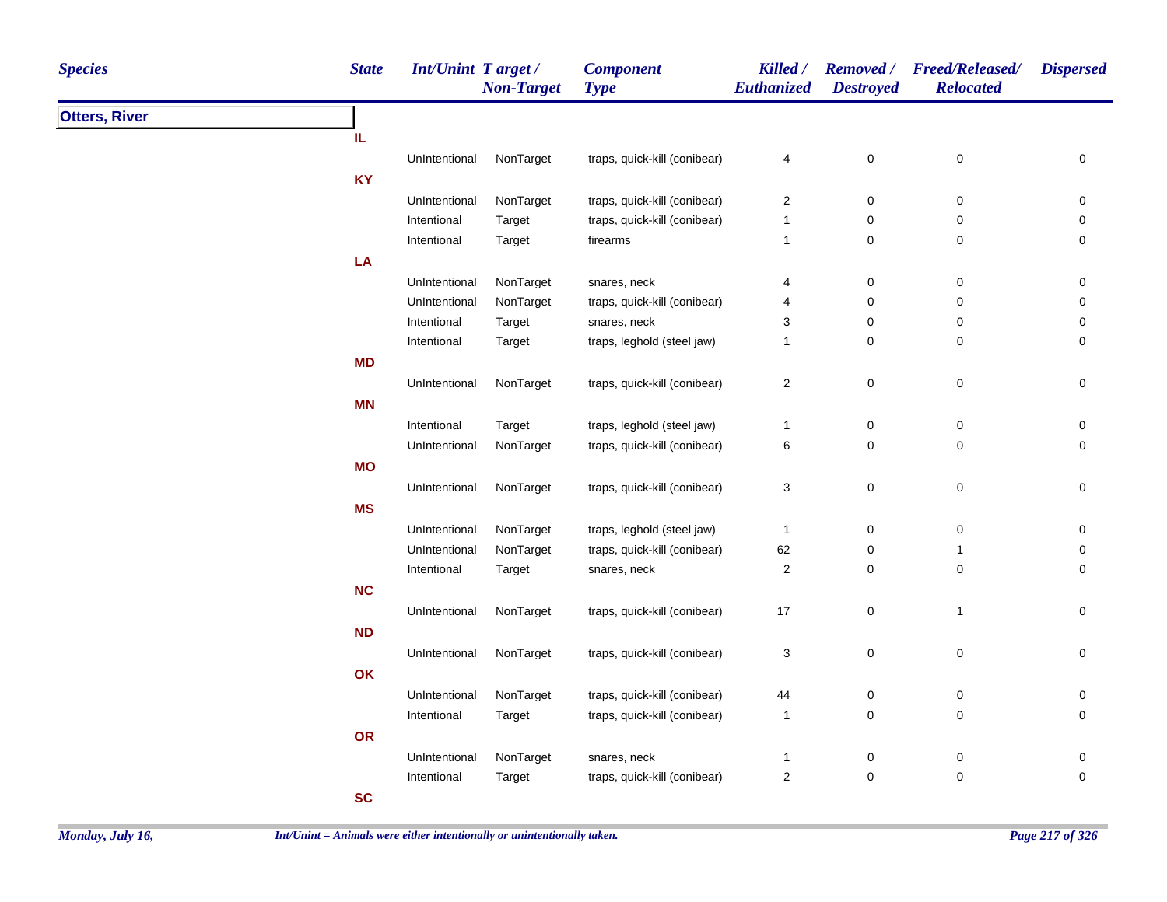| <b>Species</b>       | <b>State</b> | Int/Unint Target / | <b>Non-Target</b> | <b>Component</b><br><b>Type</b> | <b>Killed</b> /<br>Euthanized | <b>Destroyed</b>    | Removed / Freed/Released/<br><b>Relocated</b> | <b>Dispersed</b>    |
|----------------------|--------------|--------------------|-------------------|---------------------------------|-------------------------------|---------------------|-----------------------------------------------|---------------------|
| <b>Otters, River</b> |              |                    |                   |                                 |                               |                     |                                               |                     |
|                      | IL           |                    |                   |                                 |                               |                     |                                               |                     |
|                      |              | UnIntentional      | NonTarget         | traps, quick-kill (conibear)    | 4                             | $\pmb{0}$           | $\mathbf 0$                                   | $\pmb{0}$           |
|                      | <b>KY</b>    |                    |                   |                                 |                               |                     |                                               |                     |
|                      |              | UnIntentional      | NonTarget         | traps, quick-kill (conibear)    | $\overline{c}$                | 0                   | $\mathbf 0$                                   | $\mathbf 0$         |
|                      |              | Intentional        | Target            | traps, quick-kill (conibear)    | $\mathbf{1}$                  | $\pmb{0}$           | 0                                             | $\mathbf 0$         |
|                      |              | Intentional        | Target            | firearms                        | $\mathbf{1}$                  | $\pmb{0}$           | 0                                             | $\mathbf 0$         |
|                      | LA           |                    |                   |                                 |                               |                     |                                               |                     |
|                      |              | UnIntentional      | NonTarget         | snares, neck                    | 4                             | $\pmb{0}$           | $\pmb{0}$                                     | $\mathsf{O}\xspace$ |
|                      |              | UnIntentional      | NonTarget         | traps, quick-kill (conibear)    | 4                             | $\mathbf 0$         | $\pmb{0}$                                     | $\mathbf 0$         |
|                      |              | Intentional        | Target            | snares, neck                    | $\ensuremath{\mathsf{3}}$     | $\mathbf 0$         | 0                                             | $\mathbf 0$         |
|                      |              | Intentional        | Target            | traps, leghold (steel jaw)      | $\mathbf{1}$                  | $\pmb{0}$           | 0                                             | $\mathbf 0$         |
|                      | <b>MD</b>    |                    |                   |                                 |                               |                     |                                               |                     |
|                      |              | UnIntentional      | NonTarget         | traps, quick-kill (conibear)    | $\mathbf 2$                   | $\mathsf 0$         | $\pmb{0}$                                     | $\mathsf 0$         |
|                      | <b>MN</b>    |                    |                   |                                 |                               |                     |                                               |                     |
|                      |              | Intentional        | Target            | traps, leghold (steel jaw)      | $\mathbf{1}$                  | $\boldsymbol{0}$    | $\pmb{0}$                                     | 0                   |
|                      |              | UnIntentional      | NonTarget         | traps, quick-kill (conibear)    | 6                             | $\pmb{0}$           | 0                                             | $\mathbf 0$         |
|                      | <b>MO</b>    |                    |                   |                                 |                               |                     |                                               |                     |
|                      |              | UnIntentional      | NonTarget         | traps, quick-kill (conibear)    | 3                             | $\mathsf{O}\xspace$ | $\pmb{0}$                                     | 0                   |
|                      | <b>MS</b>    |                    |                   |                                 |                               |                     |                                               |                     |
|                      |              |                    | NonTarget         | traps, leghold (steel jaw)      | $\mathbf{1}$                  | $\mathbf 0$         | 0                                             | $\mathbf 0$         |
|                      |              | UnIntentional      | NonTarget         | traps, quick-kill (conibear)    | 62                            |                     | 1                                             | 0                   |
|                      |              | UnIntentional      |                   |                                 | $\mathbf 2$                   | 0<br>$\pmb{0}$      | 0                                             | $\mathbf 0$         |
|                      |              | Intentional        | Target            | snares, neck                    |                               |                     |                                               |                     |
|                      | <b>NC</b>    |                    |                   |                                 |                               |                     |                                               |                     |
|                      |              | UnIntentional      | NonTarget         | traps, quick-kill (conibear)    | 17                            | $\mathsf 0$         | $\mathbf{1}$                                  | $\mathbf 0$         |
|                      | <b>ND</b>    |                    |                   |                                 |                               |                     |                                               |                     |
|                      |              | UnIntentional      | NonTarget         | traps, quick-kill (conibear)    | $\ensuremath{\mathsf{3}}$     | $\mathsf 0$         | $\pmb{0}$                                     | $\mathsf 0$         |
|                      | <b>OK</b>    |                    |                   |                                 |                               |                     |                                               |                     |
|                      |              | UnIntentional      | NonTarget         | traps, quick-kill (conibear)    | 44                            | 0                   | 0                                             | 0                   |
|                      |              | Intentional        | Target            | traps, quick-kill (conibear)    | 1                             | $\pmb{0}$           | 0                                             | $\mathsf{O}\xspace$ |
|                      | <b>OR</b>    |                    |                   |                                 |                               |                     |                                               |                     |
|                      |              | UnIntentional      | NonTarget         | snares, neck                    | $\mathbf{1}$                  | $\pmb{0}$           | $\pmb{0}$                                     | $\mathbf 0$         |
|                      |              | Intentional        | Target            | traps, quick-kill (conibear)    | $\boldsymbol{2}$              | $\pmb{0}$           | 0                                             | $\pmb{0}$           |
|                      | <b>SC</b>    |                    |                   |                                 |                               |                     |                                               |                     |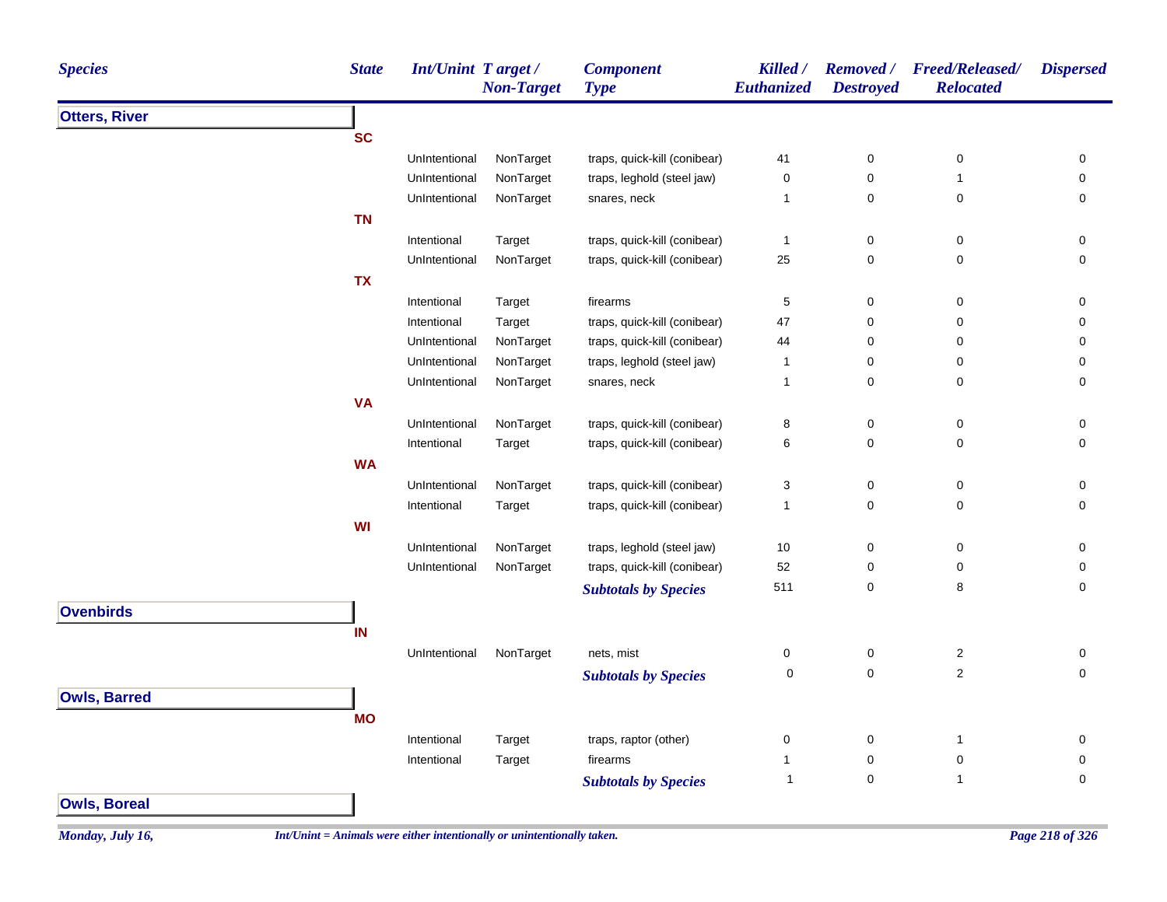| <b>Species</b>       | <b>State</b> | <b>Int/Unint Target/</b> | <b>Non-Target</b> | <b>Component</b><br><b>Type</b> | Killed /<br>Euthanized | <b>Removed</b> /<br><b>Destroyed</b> | <b>Freed/Released/</b><br><b>Relocated</b> | <b>Dispersed</b>    |
|----------------------|--------------|--------------------------|-------------------|---------------------------------|------------------------|--------------------------------------|--------------------------------------------|---------------------|
| <b>Otters, River</b> |              |                          |                   |                                 |                        |                                      |                                            |                     |
|                      | <b>SC</b>    |                          |                   |                                 |                        |                                      |                                            |                     |
|                      |              | UnIntentional            | NonTarget         | traps, quick-kill (conibear)    | 41                     | 0                                    | $\pmb{0}$                                  | 0                   |
|                      |              | UnIntentional            | NonTarget         | traps, leghold (steel jaw)      | $\mathsf 0$            | $\mathsf 0$                          | $\mathbf{1}$                               | 0                   |
|                      |              | UnIntentional            | NonTarget         | snares, neck                    | 1                      | $\pmb{0}$                            | $\pmb{0}$                                  | 0                   |
|                      | <b>TN</b>    |                          |                   |                                 |                        |                                      |                                            |                     |
|                      |              | Intentional              | Target            | traps, quick-kill (conibear)    | $\mathbf{1}$           | 0                                    | 0                                          | 0                   |
|                      |              | UnIntentional            | NonTarget         | traps, quick-kill (conibear)    | 25                     | $\mathbf 0$                          | $\pmb{0}$                                  | $\mathsf 0$         |
|                      | <b>TX</b>    |                          |                   |                                 |                        |                                      |                                            |                     |
|                      |              | Intentional              | Target            | firearms                        | 5                      | $\pmb{0}$                            | 0                                          | 0                   |
|                      |              | Intentional              | Target            | traps, quick-kill (conibear)    | 47                     | $\pmb{0}$                            | 0                                          | $\mathsf{O}\xspace$ |
|                      |              | UnIntentional            | NonTarget         | traps, quick-kill (conibear)    | 44                     | 0                                    | 0                                          | 0                   |
|                      |              | UnIntentional            | NonTarget         | traps, leghold (steel jaw)      | 1                      | $\pmb{0}$                            | 0                                          | 0                   |
|                      |              | UnIntentional            | NonTarget         | snares, neck                    | $\mathbf{1}$           | 0                                    | $\pmb{0}$                                  | $\mathbf 0$         |
|                      | <b>VA</b>    |                          |                   |                                 |                        |                                      |                                            |                     |
|                      |              | UnIntentional            | NonTarget         | traps, quick-kill (conibear)    | 8                      | 0                                    | 0                                          | 0                   |
|                      |              | Intentional              | Target            | traps, quick-kill (conibear)    | 6                      | $\mathsf 0$                          | 0                                          | $\mathbf 0$         |
|                      | <b>WA</b>    |                          |                   |                                 |                        |                                      |                                            |                     |
|                      |              | UnIntentional            | NonTarget         | traps, quick-kill (conibear)    | 3                      | 0                                    | 0                                          | 0                   |
|                      |              | Intentional              | Target            | traps, quick-kill (conibear)    | $\mathbf{1}$           | $\mathbf 0$                          | 0                                          | 0                   |
|                      | WI           |                          |                   |                                 |                        |                                      |                                            |                     |
|                      |              | UnIntentional            | NonTarget         | traps, leghold (steel jaw)      | 10                     | $\pmb{0}$                            | 0                                          | 0                   |
|                      |              | UnIntentional            | NonTarget         | traps, quick-kill (conibear)    | 52                     | 0                                    | 0                                          | 0                   |
|                      |              |                          |                   | <b>Subtotals by Species</b>     | 511                    | $\mathbf 0$                          | 8                                          | 0                   |
| <b>Ovenbirds</b>     |              |                          |                   |                                 |                        |                                      |                                            |                     |
|                      | IN           |                          |                   |                                 |                        |                                      |                                            |                     |
|                      |              | UnIntentional            | NonTarget         | nets, mist                      | $\mathbf 0$            | $\pmb{0}$                            | $\boldsymbol{2}$                           | 0                   |
|                      |              |                          |                   | <b>Subtotals by Species</b>     | 0                      | $\mathbf 0$                          | $\overline{2}$                             | 0                   |
| <b>Owls, Barred</b>  |              |                          |                   |                                 |                        |                                      |                                            |                     |
|                      | <b>MO</b>    |                          |                   |                                 |                        |                                      |                                            |                     |
|                      |              | Intentional              | Target            | traps, raptor (other)           | 0                      | $\pmb{0}$                            | $\mathbf{1}$                               | 0                   |
|                      |              | Intentional              | Target            | firearms                        | $\mathbf{1}$           | $\pmb{0}$                            | 0                                          | $\mathbf 0$         |
|                      |              |                          |                   | <b>Subtotals by Species</b>     | 1                      | 0                                    | $\mathbf{1}$                               | $\mathbf 0$         |
|                      |              |                          |                   |                                 |                        |                                      |                                            |                     |
| <b>Owls, Boreal</b>  |              |                          |                   |                                 |                        |                                      |                                            |                     |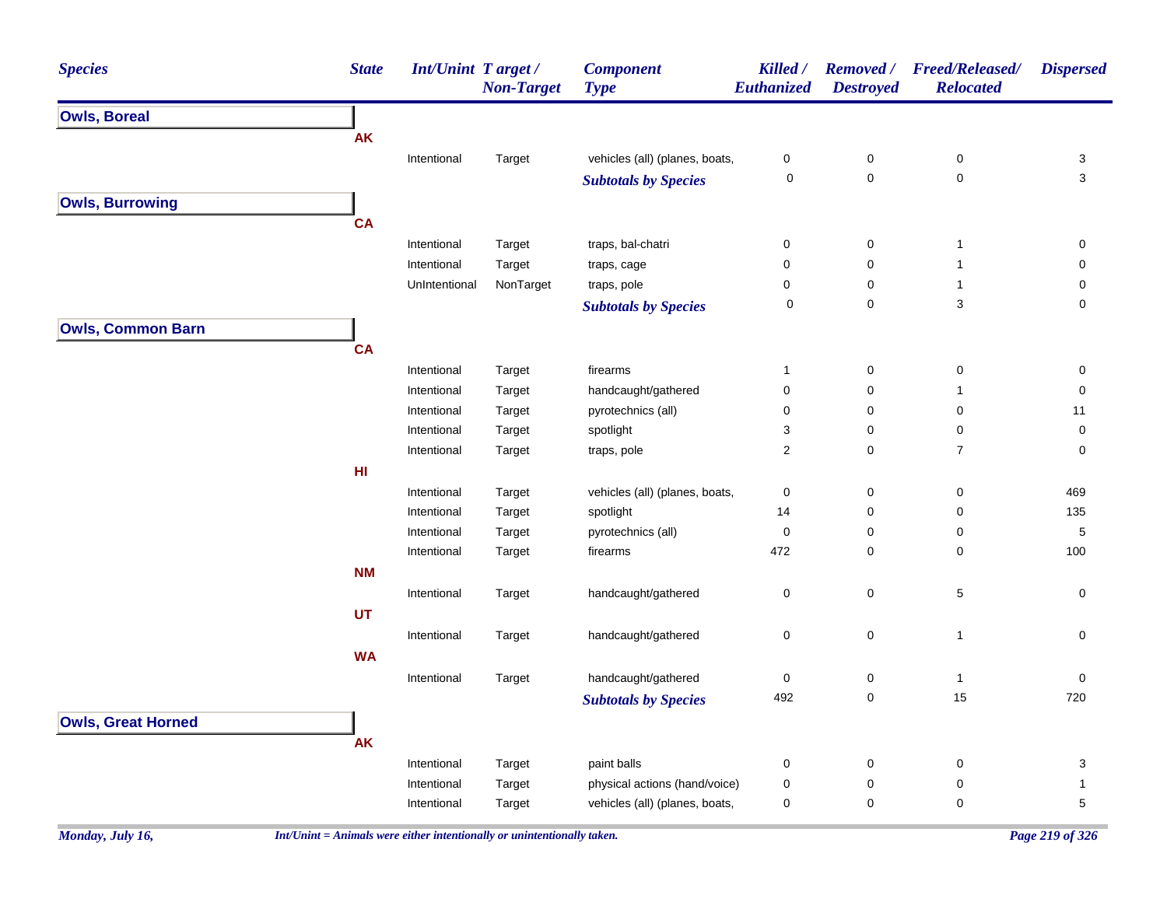| <b>Species</b>            | <b>State</b>    | Int/Unint Target/ | <b>Non-Target</b> | <b>Component</b><br><b>Type</b> | Killed /<br>Euthanized | <b>Removed</b> /<br><b>Destroyed</b> | <b>Freed/Released/</b><br><b>Relocated</b> | <b>Dispersed</b> |
|---------------------------|-----------------|-------------------|-------------------|---------------------------------|------------------------|--------------------------------------|--------------------------------------------|------------------|
| <b>Owls, Boreal</b>       |                 |                   |                   |                                 |                        |                                      |                                            |                  |
|                           | <b>AK</b>       |                   |                   |                                 |                        |                                      |                                            |                  |
|                           |                 | Intentional       | Target            | vehicles (all) (planes, boats,  | 0                      | $\boldsymbol{0}$                     | 0                                          | 3                |
|                           |                 |                   |                   | <b>Subtotals by Species</b>     | 0                      | $\mathbf 0$                          | $\pmb{0}$                                  | 3                |
| <b>Owls, Burrowing</b>    |                 |                   |                   |                                 |                        |                                      |                                            |                  |
|                           | <b>CA</b>       |                   |                   |                                 |                        |                                      |                                            |                  |
|                           |                 | Intentional       | Target            | traps, bal-chatri               | 0                      | $\mathbf 0$                          | $\mathbf{1}$                               | 0                |
|                           |                 | Intentional       | Target            | traps, cage                     | 0                      | 0                                    | $\overline{1}$                             | 0                |
|                           |                 | UnIntentional     | NonTarget         | traps, pole                     | 0                      | 0                                    | $\mathbf{1}$                               | 0                |
|                           |                 |                   |                   | <b>Subtotals by Species</b>     | 0                      | $\mathbf 0$                          | 3                                          | 0                |
| <b>Owls, Common Barn</b>  |                 |                   |                   |                                 |                        |                                      |                                            |                  |
|                           | <b>CA</b>       |                   |                   |                                 |                        |                                      |                                            |                  |
|                           |                 | Intentional       | Target            | firearms                        | 1                      | $\mathbf 0$                          | 0                                          | 0                |
|                           |                 | Intentional       | Target            | handcaught/gathered             | 0                      | 0                                    | $\mathbf{1}$                               | 0                |
|                           |                 | Intentional       | Target            | pyrotechnics (all)              | 0                      | 0                                    | 0                                          | 11               |
|                           |                 | Intentional       | Target            | spotlight                       | 3                      | 0                                    | 0                                          | 0                |
|                           |                 | Intentional       | Target            | traps, pole                     | 2                      | 0                                    | $\overline{7}$                             | 0                |
|                           | H <sub>II</sub> |                   |                   |                                 |                        |                                      |                                            |                  |
|                           |                 | Intentional       | Target            | vehicles (all) (planes, boats,  | 0                      | 0                                    | 0                                          | 469              |
|                           |                 | Intentional       | Target            | spotlight                       | 14                     | 0                                    | 0                                          | 135              |
|                           |                 | Intentional       | Target            | pyrotechnics (all)              | 0                      | 0                                    | 0                                          | $\sqrt{5}$       |
|                           |                 | Intentional       | Target            | firearms                        | 472                    | $\mathbf 0$                          | 0                                          | 100              |
|                           | <b>NM</b>       |                   |                   |                                 |                        |                                      |                                            |                  |
|                           |                 | Intentional       | Target            | handcaught/gathered             | 0                      | $\boldsymbol{0}$                     | 5                                          | 0                |
|                           | UT              |                   |                   |                                 |                        |                                      |                                            |                  |
|                           |                 | Intentional       | Target            | handcaught/gathered             | 0                      | $\mathbf 0$                          | $\overline{1}$                             | 0                |
|                           | <b>WA</b>       |                   |                   |                                 |                        |                                      |                                            |                  |
|                           |                 | Intentional       | Target            | handcaught/gathered             | 0                      | 0                                    | $\mathbf{1}$                               | 0                |
|                           |                 |                   |                   | <b>Subtotals by Species</b>     | 492                    | 0                                    | 15                                         | 720              |
| <b>Owls, Great Horned</b> |                 |                   |                   |                                 |                        |                                      |                                            |                  |
|                           | AK              |                   |                   |                                 |                        |                                      |                                            |                  |
|                           |                 | Intentional       | Target            | paint balls                     | 0                      | $\boldsymbol{0}$                     | 0                                          | 3                |
|                           |                 | Intentional       | Target            | physical actions (hand/voice)   | 0                      | 0                                    | 0                                          | 1                |
|                           |                 | Intentional       | Target            | vehicles (all) (planes, boats,  | 0                      | $\mathbf 0$                          | 0                                          | 5                |
|                           |                 |                   |                   |                                 |                        |                                      |                                            |                  |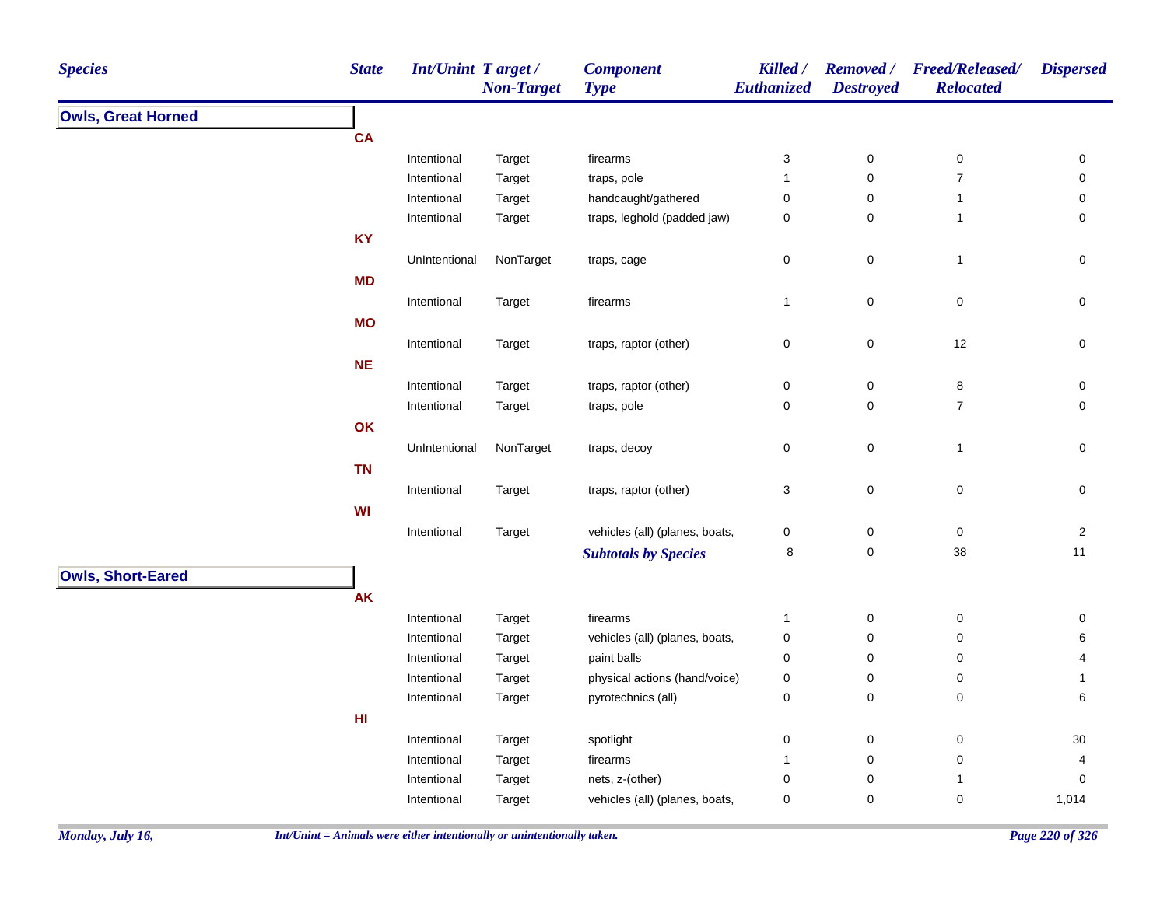| <b>Species</b>            | <b>State</b> | <b>Int/Unint Target/</b>   | <b>Non-Target</b> | <b>Component</b><br><b>Type</b>               | Killed /<br>Euthanized        | <b>Removed</b> /<br><b>Destroyed</b> | <b>Freed/Released/</b><br><b>Relocated</b> | <b>Dispersed</b>    |
|---------------------------|--------------|----------------------------|-------------------|-----------------------------------------------|-------------------------------|--------------------------------------|--------------------------------------------|---------------------|
| <b>Owls, Great Horned</b> |              |                            |                   |                                               |                               |                                      |                                            |                     |
|                           | <b>CA</b>    |                            |                   |                                               |                               |                                      |                                            |                     |
|                           |              | Intentional                | Target            | firearms                                      | 3                             | $\pmb{0}$                            | $\pmb{0}$                                  | 0                   |
|                           |              | Intentional                | Target            | traps, pole                                   | $\mathbf{1}$                  | $\pmb{0}$                            | $\overline{7}$                             | $\pmb{0}$           |
|                           |              | Intentional                | Target            | handcaught/gathered                           | $\boldsymbol{0}$              | 0                                    | $\mathbf{1}$                               | 0                   |
|                           |              | Intentional                | Target            | traps, leghold (padded jaw)                   | $\pmb{0}$                     | $\pmb{0}$                            | $\mathbf{1}$                               | $\mathsf{O}\xspace$ |
|                           | <b>KY</b>    |                            |                   |                                               |                               |                                      |                                            |                     |
|                           |              | UnIntentional              | NonTarget         | traps, cage                                   | 0                             | $\pmb{0}$                            | $\mathbf{1}$                               | $\mathsf{O}\xspace$ |
|                           | <b>MD</b>    |                            |                   |                                               |                               |                                      |                                            |                     |
|                           |              | Intentional                | Target            | firearms                                      | $\mathbf{1}$                  | $\pmb{0}$                            | $\pmb{0}$                                  | $\mathsf{O}\xspace$ |
|                           | <b>MO</b>    |                            |                   |                                               |                               |                                      |                                            |                     |
|                           |              | Intentional                | Target            | traps, raptor (other)                         | $\mathbf 0$                   | $\pmb{0}$                            | 12                                         | 0                   |
|                           | <b>NE</b>    |                            |                   |                                               |                               |                                      |                                            |                     |
|                           |              | Intentional                | Target            | traps, raptor (other)                         | $\pmb{0}$                     | $\pmb{0}$                            | 8                                          | $\mathsf{O}\xspace$ |
|                           |              | Intentional                | Target            | traps, pole                                   | $\mathbf 0$                   | $\pmb{0}$                            | $\overline{7}$                             | $\mathbf 0$         |
|                           | OK           |                            |                   |                                               |                               |                                      |                                            |                     |
|                           |              | UnIntentional              | NonTarget         | traps, decoy                                  | $\pmb{0}$                     | $\pmb{0}$                            | $\mathbf{1}$                               | 0                   |
|                           | <b>TN</b>    |                            |                   |                                               |                               |                                      |                                            |                     |
|                           |              | Intentional                | Target            | traps, raptor (other)                         | $\ensuremath{\mathsf{3}}$     | $\mathbf 0$                          | $\pmb{0}$                                  | $\pmb{0}$           |
|                           | WI           |                            |                   |                                               |                               |                                      |                                            |                     |
|                           |              | Intentional                | Target            | vehicles (all) (planes, boats,                | $\pmb{0}$                     | 0                                    | 0                                          | $\sqrt{2}$          |
|                           |              |                            |                   | <b>Subtotals by Species</b>                   | 8                             | $\pmb{0}$                            | 38                                         | 11                  |
|                           |              |                            |                   |                                               |                               |                                      |                                            |                     |
| <b>Owls, Short-Eared</b>  |              |                            |                   |                                               |                               |                                      |                                            |                     |
|                           | <b>AK</b>    |                            |                   |                                               |                               |                                      |                                            |                     |
|                           |              | Intentional                | Target            | firearms                                      | $\mathbf{1}$                  | $\pmb{0}$                            | $\pmb{0}$                                  | $\pmb{0}$           |
|                           |              | Intentional                | Target            | vehicles (all) (planes, boats,<br>paint balls | $\pmb{0}$                     | 0                                    | $\pmb{0}$                                  | 6<br>4              |
|                           |              | Intentional<br>Intentional | Target            | physical actions (hand/voice)                 | $\boldsymbol{0}$              | 0<br>0                               | $\pmb{0}$<br>$\pmb{0}$                     |                     |
|                           |              | Intentional                | Target<br>Target  | pyrotechnics (all)                            | $\boldsymbol{0}$<br>$\pmb{0}$ | $\pmb{0}$                            | $\pmb{0}$                                  | 1<br>6              |
|                           | HI           |                            |                   |                                               |                               |                                      |                                            |                     |
|                           |              |                            |                   |                                               |                               |                                      |                                            |                     |
|                           |              | Intentional                | Target            | spotlight<br>firearms                         | $\mathbf 0$<br>$\mathbf{1}$   | 0<br>$\pmb{0}$                       | $\pmb{0}$<br>$\pmb{0}$                     | $30\,$<br>4         |
|                           |              | Intentional<br>Intentional | Target<br>Target  | nets, z-(other)                               | $\mathbf 0$                   | 0                                    | 1                                          | 0                   |
|                           |              | Intentional                |                   | vehicles (all) (planes, boats,                | $\pmb{0}$                     | $\pmb{0}$                            | $\pmb{0}$                                  | 1,014               |
|                           |              |                            | Target            |                                               |                               |                                      |                                            |                     |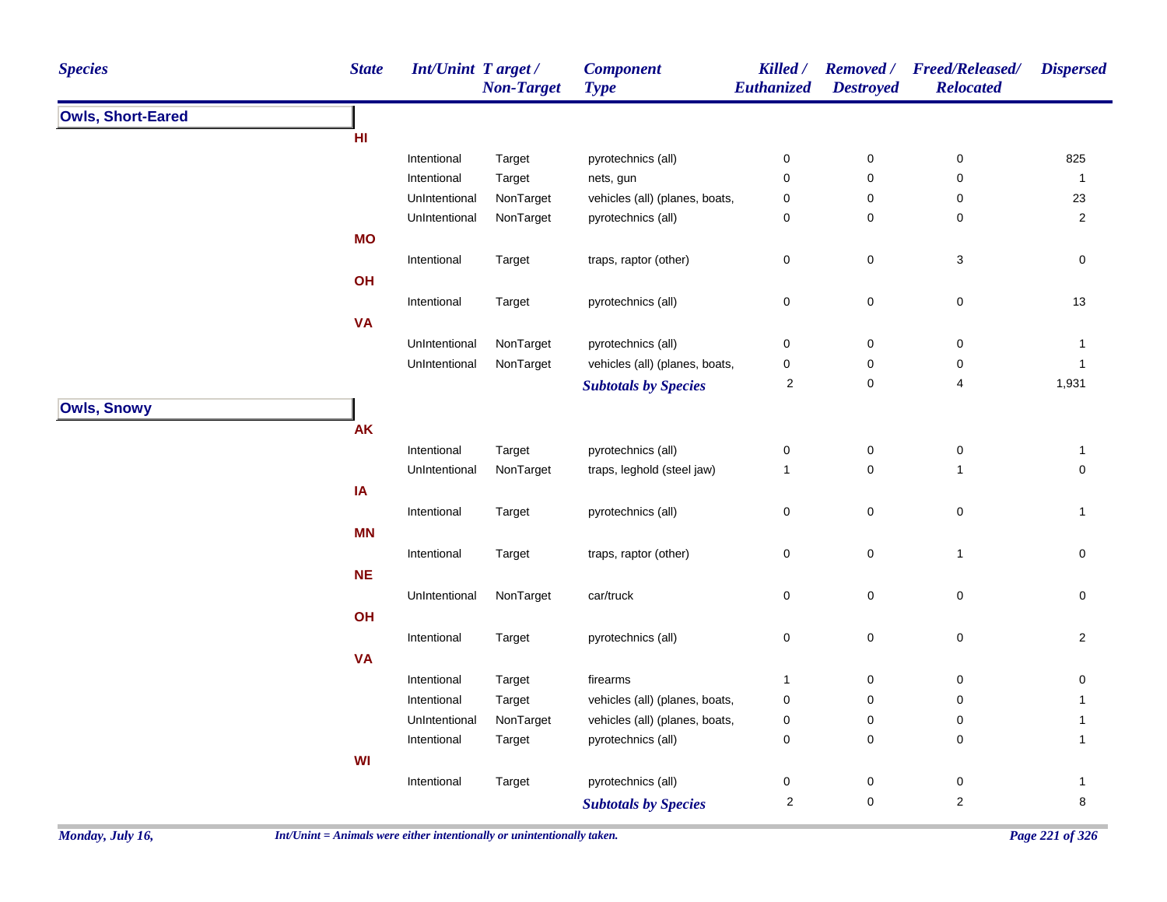| <b>Species</b>           | <b>State</b> | Int/Unint Target/ | <b>Non-Target</b> | <b>Component</b><br><b>Type</b> | Killed /<br>Euthanized | <b>Destroyed</b> | Removed / Freed/Released/<br><b>Relocated</b> | <b>Dispersed</b> |
|--------------------------|--------------|-------------------|-------------------|---------------------------------|------------------------|------------------|-----------------------------------------------|------------------|
| <b>Owls, Short-Eared</b> |              |                   |                   |                                 |                        |                  |                                               |                  |
|                          | HI           |                   |                   |                                 |                        |                  |                                               |                  |
|                          |              | Intentional       | Target            | pyrotechnics (all)              | 0                      | $\pmb{0}$        | $\pmb{0}$                                     | 825              |
|                          |              | Intentional       | Target            | nets, gun                       | 0                      | $\pmb{0}$        | $\pmb{0}$                                     | $\mathbf{1}$     |
|                          |              | UnIntentional     | NonTarget         | vehicles (all) (planes, boats,  | 0                      | $\mathbf 0$      | 0                                             | 23               |
|                          |              | UnIntentional     | NonTarget         | pyrotechnics (all)              | 0                      | $\mathbf 0$      | $\pmb{0}$                                     | $\overline{2}$   |
|                          | <b>MO</b>    |                   |                   |                                 |                        |                  |                                               |                  |
|                          |              | Intentional       | Target            | traps, raptor (other)           | 0                      | $\pmb{0}$        | $\ensuremath{\mathsf{3}}$                     | $\mathbf 0$      |
|                          | OH           |                   |                   |                                 |                        |                  |                                               |                  |
|                          |              | Intentional       | Target            | pyrotechnics (all)              | $\pmb{0}$              | $\pmb{0}$        | $\pmb{0}$                                     | 13               |
|                          | <b>VA</b>    |                   |                   |                                 |                        |                  |                                               |                  |
|                          |              | UnIntentional     | NonTarget         | pyrotechnics (all)              | 0                      | $\boldsymbol{0}$ | $\pmb{0}$                                     | $\mathbf{1}$     |
|                          |              | UnIntentional     | NonTarget         | vehicles (all) (planes, boats,  | 0                      | 0                | $\pmb{0}$                                     | $\mathbf{1}$     |
|                          |              |                   |                   | <b>Subtotals by Species</b>     | 2                      | $\mathbf 0$      | 4                                             | 1,931            |
| <b>Owls, Snowy</b>       |              |                   |                   |                                 |                        |                  |                                               |                  |
|                          | AK           |                   |                   |                                 |                        |                  |                                               |                  |
|                          |              |                   |                   |                                 |                        |                  |                                               |                  |
|                          |              | Intentional       | Target            | pyrotechnics (all)              | 0                      | $\pmb{0}$        | $\pmb{0}$<br>$\mathbf{1}$                     | $\mathbf{1}$     |
|                          |              | UnIntentional     | NonTarget         | traps, leghold (steel jaw)      | $\mathbf{1}$           | $\mathbf 0$      |                                               | $\pmb{0}$        |
|                          | IA           |                   |                   |                                 |                        |                  |                                               |                  |
|                          |              | Intentional       | Target            | pyrotechnics (all)              | 0                      | $\pmb{0}$        | $\pmb{0}$                                     | $\mathbf{1}$     |
|                          | <b>MN</b>    |                   |                   |                                 |                        |                  |                                               |                  |
|                          |              | Intentional       | Target            | traps, raptor (other)           | 0                      | $\mathbf 0$      | $\mathbf{1}$                                  | $\mathbf 0$      |
|                          | <b>NE</b>    |                   |                   |                                 |                        |                  |                                               |                  |
|                          |              | UnIntentional     | NonTarget         | car/truck                       | 0                      | $\pmb{0}$        | $\pmb{0}$                                     | $\pmb{0}$        |
|                          | OH           |                   |                   |                                 |                        |                  |                                               |                  |
|                          |              | Intentional       | Target            | pyrotechnics (all)              | 0                      | $\pmb{0}$        | $\pmb{0}$                                     | $\overline{2}$   |
|                          | <b>VA</b>    |                   |                   |                                 |                        |                  |                                               |                  |
|                          |              | Intentional       | Target            | firearms                        | $\mathbf{1}$           | $\pmb{0}$        | $\pmb{0}$                                     | 0                |
|                          |              | Intentional       | Target            | vehicles (all) (planes, boats,  | 0                      | $\mathbf 0$      | 0                                             | $\mathbf{1}$     |
|                          |              | UnIntentional     | NonTarget         | vehicles (all) (planes, boats,  | 0                      | $\boldsymbol{0}$ | $\pmb{0}$                                     | $\mathbf{1}$     |
|                          |              | Intentional       | Target            | pyrotechnics (all)              | 0                      | $\mathbf 0$      | 0                                             | $\mathbf{1}$     |
|                          | WI           |                   |                   |                                 |                        |                  |                                               |                  |
|                          |              | Intentional       | Target            | pyrotechnics (all)              | 0                      | $\boldsymbol{0}$ | 0                                             | $\mathbf{1}$     |
|                          |              |                   |                   | <b>Subtotals by Species</b>     | $\mathbf 2$            | $\pmb{0}$        | $\sqrt{2}$                                    | $\bf 8$          |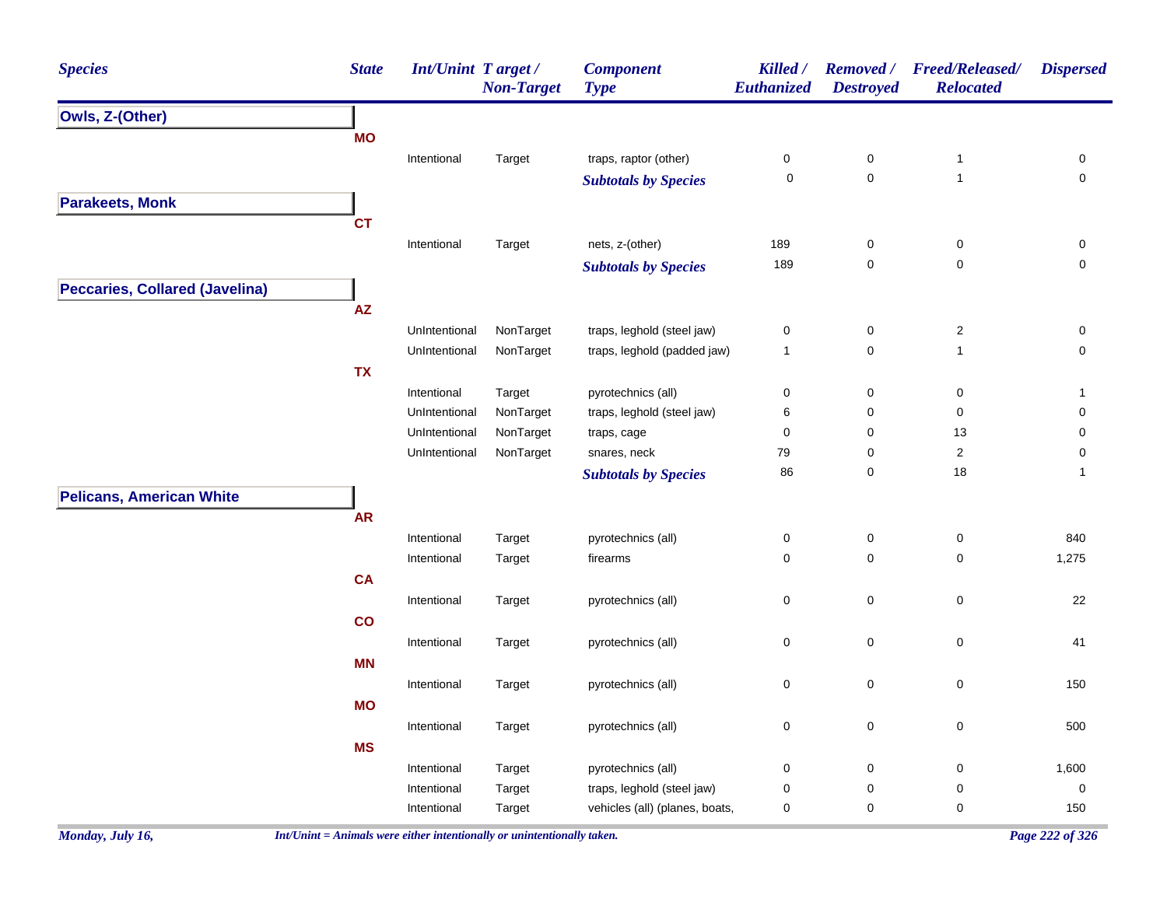| <b>Species</b>                        | <b>State</b> | <b>Int/Unint Target/</b> | <b>Non-Target</b> | <b>Component</b><br><b>Type</b> | Killed /<br>Euthanized | <b>Removed</b> /<br><b>Destroyed</b> | <b>Freed/Released/</b><br><b>Relocated</b> | <b>Dispersed</b>    |
|---------------------------------------|--------------|--------------------------|-------------------|---------------------------------|------------------------|--------------------------------------|--------------------------------------------|---------------------|
| Owls, Z-(Other)                       |              |                          |                   |                                 |                        |                                      |                                            |                     |
|                                       | <b>MO</b>    |                          |                   |                                 |                        |                                      |                                            |                     |
|                                       |              | Intentional              | Target            | traps, raptor (other)           | $\pmb{0}$              | $\pmb{0}$                            | $\mathbf{1}$                               | 0                   |
|                                       |              |                          |                   | <b>Subtotals by Species</b>     | 0                      | $\mathbf 0$                          | $\mathbf{1}$                               | $\mathsf{O}\xspace$ |
| <b>Parakeets, Monk</b>                |              |                          |                   |                                 |                        |                                      |                                            |                     |
|                                       | <b>CT</b>    |                          |                   |                                 |                        |                                      |                                            |                     |
|                                       |              | Intentional              | Target            | nets, z-(other)                 | 189                    | $\pmb{0}$                            | $\pmb{0}$                                  | $\pmb{0}$           |
|                                       |              |                          |                   | <b>Subtotals by Species</b>     | 189                    | $\pmb{0}$                            | $\pmb{0}$                                  | $\mathsf{O}\xspace$ |
| <b>Peccaries, Collared (Javelina)</b> |              |                          |                   |                                 |                        |                                      |                                            |                     |
|                                       | AZ           |                          |                   |                                 |                        |                                      |                                            |                     |
|                                       |              | UnIntentional            | NonTarget         | traps, leghold (steel jaw)      | $\pmb{0}$              | $\pmb{0}$                            | $\overline{c}$                             | 0                   |
|                                       |              | UnIntentional            | NonTarget         | traps, leghold (padded jaw)     | $\mathbf{1}$           | $\mathbf 0$                          | $\mathbf{1}$                               | $\mathsf{O}\xspace$ |
|                                       | <b>TX</b>    |                          |                   |                                 |                        |                                      |                                            |                     |
|                                       |              | Intentional              | Target            | pyrotechnics (all)              | $\pmb{0}$              | $\pmb{0}$                            | $\pmb{0}$                                  | $\mathbf{1}$        |
|                                       |              | UnIntentional            | NonTarget         | traps, leghold (steel jaw)      | 6                      | $\pmb{0}$                            | $\pmb{0}$                                  | $\mathsf{O}\xspace$ |
|                                       |              | UnIntentional            | NonTarget         | traps, cage                     | $\pmb{0}$              | $\pmb{0}$                            | 13                                         | 0                   |
|                                       |              | UnIntentional            | NonTarget         | snares, neck                    | 79                     | $\pmb{0}$                            | $\overline{c}$                             | $\mathsf{O}\xspace$ |
|                                       |              |                          |                   | <b>Subtotals by Species</b>     | 86                     | $\pmb{0}$                            | 18                                         | $\mathbf{1}$        |
| <b>Pelicans, American White</b>       |              |                          |                   |                                 |                        |                                      |                                            |                     |
|                                       | <b>AR</b>    |                          |                   |                                 |                        |                                      |                                            |                     |
|                                       |              | Intentional              | Target            | pyrotechnics (all)              | $\pmb{0}$              | $\pmb{0}$                            | $\pmb{0}$                                  | 840                 |
|                                       |              | Intentional              | Target            | firearms                        | $\pmb{0}$              | $\mathbf 0$                          | $\mathbf 0$                                | 1,275               |
|                                       | <b>CA</b>    |                          |                   |                                 |                        |                                      |                                            |                     |
|                                       |              | Intentional              | Target            | pyrotechnics (all)              | $\pmb{0}$              | $\pmb{0}$                            | $\mathbf 0$                                | 22                  |
|                                       | co           |                          |                   |                                 |                        |                                      |                                            |                     |
|                                       |              | Intentional              | Target            | pyrotechnics (all)              | $\pmb{0}$              | $\pmb{0}$                            | $\pmb{0}$                                  | 41                  |
|                                       | <b>MN</b>    |                          |                   |                                 |                        |                                      |                                            |                     |
|                                       |              | Intentional              | Target            | pyrotechnics (all)              | $\pmb{0}$              | $\pmb{0}$                            | $\pmb{0}$                                  | 150                 |
|                                       | <b>MO</b>    |                          |                   |                                 |                        |                                      |                                            |                     |
|                                       |              | Intentional              | Target            | pyrotechnics (all)              | $\pmb{0}$              | $\pmb{0}$                            | $\pmb{0}$                                  | 500                 |
|                                       | <b>MS</b>    |                          |                   |                                 |                        |                                      |                                            |                     |
|                                       |              | Intentional              | Target            | pyrotechnics (all)              | $\pmb{0}$              | $\pmb{0}$                            | $\mathbf 0$                                | 1,600               |
|                                       |              | Intentional              | Target            | traps, leghold (steel jaw)      | $\pmb{0}$              | $\pmb{0}$                            | $\mathbf 0$                                | $\pmb{0}$           |
|                                       |              | Intentional              | Target            | vehicles (all) (planes, boats,  | $\pmb{0}$              | $\mathbf 0$                          | 0                                          | 150                 |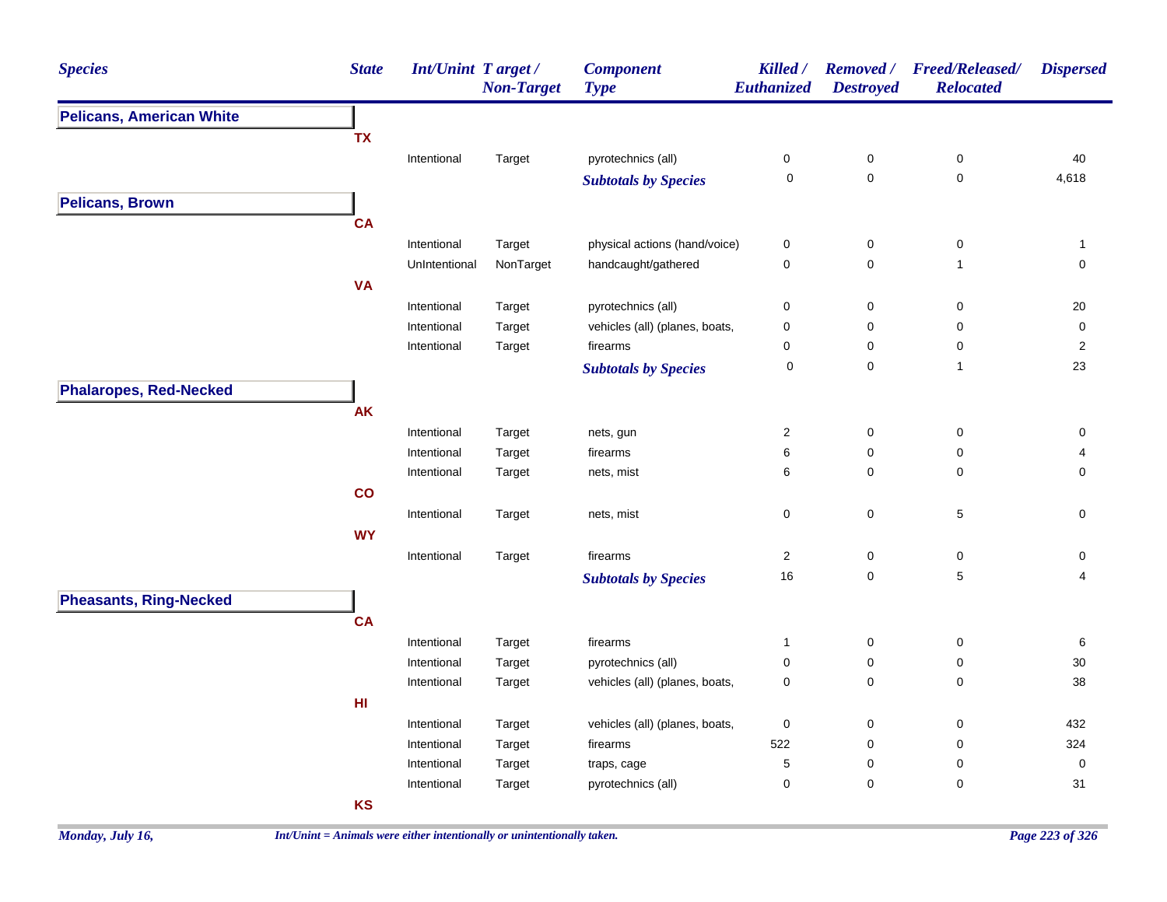| <b>Pelicans, American White</b><br><b>TX</b><br>Intentional<br>pyrotechnics (all)<br>$\pmb{0}$<br>$\pmb{0}$<br>Target<br>$\mathbf 0$<br>$\pmb{0}$<br><b>Subtotals by Species</b><br><b>Pelicans, Brown</b><br><b>CA</b><br>$\pmb{0}$<br>Intentional<br>Target<br>physical actions (hand/voice)<br>0 | $\pmb{0}$<br>$\mathbf 0$<br>$\pmb{0}$<br>$\mathbf{1}$<br>$\pmb{0}$<br>0<br>0<br>$\mathbf{1}$ | 40<br>4,618<br>1<br>$\mathsf{O}\xspace$<br>20<br>$\pmb{0}$<br>$\overline{2}$ |
|-----------------------------------------------------------------------------------------------------------------------------------------------------------------------------------------------------------------------------------------------------------------------------------------------------|----------------------------------------------------------------------------------------------|------------------------------------------------------------------------------|
|                                                                                                                                                                                                                                                                                                     |                                                                                              |                                                                              |
|                                                                                                                                                                                                                                                                                                     |                                                                                              |                                                                              |
|                                                                                                                                                                                                                                                                                                     |                                                                                              |                                                                              |
|                                                                                                                                                                                                                                                                                                     |                                                                                              |                                                                              |
|                                                                                                                                                                                                                                                                                                     |                                                                                              |                                                                              |
|                                                                                                                                                                                                                                                                                                     |                                                                                              |                                                                              |
|                                                                                                                                                                                                                                                                                                     |                                                                                              |                                                                              |
| UnIntentional<br>NonTarget<br>handcaught/gathered<br>$\pmb{0}$<br>$\pmb{0}$                                                                                                                                                                                                                         |                                                                                              |                                                                              |
| <b>VA</b>                                                                                                                                                                                                                                                                                           |                                                                                              |                                                                              |
| pyrotechnics (all)<br>$\pmb{0}$<br>$\pmb{0}$<br>Intentional<br>Target                                                                                                                                                                                                                               |                                                                                              |                                                                              |
| vehicles (all) (planes, boats,<br>Intentional<br>Target<br>$\mathbf 0$<br>0                                                                                                                                                                                                                         |                                                                                              |                                                                              |
| Intentional<br>Target<br>firearms<br>$\mathbf 0$<br>0                                                                                                                                                                                                                                               |                                                                                              |                                                                              |
| $\pmb{0}$<br>0<br><b>Subtotals by Species</b>                                                                                                                                                                                                                                                       |                                                                                              | 23                                                                           |
| <b>Phalaropes, Red-Necked</b>                                                                                                                                                                                                                                                                       |                                                                                              |                                                                              |
| AK                                                                                                                                                                                                                                                                                                  |                                                                                              |                                                                              |
| $\sqrt{2}$<br>$\pmb{0}$<br>Intentional<br>Target<br>nets, gun                                                                                                                                                                                                                                       | $\pmb{0}$                                                                                    | $\pmb{0}$                                                                    |
| 6<br>0<br>Intentional<br>firearms<br>Target                                                                                                                                                                                                                                                         | 0                                                                                            | 4                                                                            |
| $\pmb{0}$<br>6<br>Intentional<br>Target<br>nets, mist                                                                                                                                                                                                                                               | 0                                                                                            | 0                                                                            |
| co                                                                                                                                                                                                                                                                                                  |                                                                                              |                                                                              |
| $\mathbf 0$<br>$\mathbf 0$<br>Intentional<br>Target<br>nets, mist                                                                                                                                                                                                                                   | $\sqrt{5}$                                                                                   | $\mathsf{O}\xspace$                                                          |
| <b>WY</b>                                                                                                                                                                                                                                                                                           |                                                                                              |                                                                              |
| Intentional<br>firearms<br>$\overline{2}$<br>$\pmb{0}$<br>Target                                                                                                                                                                                                                                    | $\pmb{0}$                                                                                    | 0                                                                            |
| 16<br>0<br><b>Subtotals by Species</b>                                                                                                                                                                                                                                                              | 5                                                                                            | 4                                                                            |
| <b>Pheasants, Ring-Necked</b>                                                                                                                                                                                                                                                                       |                                                                                              |                                                                              |
| <b>CA</b>                                                                                                                                                                                                                                                                                           |                                                                                              |                                                                              |
| Intentional<br>Target<br>firearms<br>0<br>$\mathbf{1}$                                                                                                                                                                                                                                              | 0                                                                                            |                                                                              |
| Intentional<br>pyrotechnics (all)<br>$\pmb{0}$<br>$\pmb{0}$<br>Target                                                                                                                                                                                                                               | $\pmb{0}$                                                                                    | 6<br>30                                                                      |
| vehicles (all) (planes, boats,<br>$\pmb{0}$<br>Intentional<br>Target<br>$\mathbf 0$                                                                                                                                                                                                                 | 0                                                                                            | 38                                                                           |
| HI                                                                                                                                                                                                                                                                                                  |                                                                                              |                                                                              |
| vehicles (all) (planes, boats,<br>$\pmb{0}$<br>$\pmb{0}$<br>Intentional<br>Target                                                                                                                                                                                                                   | $\pmb{0}$                                                                                    | 432                                                                          |
| 522<br>Intentional<br>Target<br>firearms<br>$\mathbf 0$                                                                                                                                                                                                                                             | 0                                                                                            | 324                                                                          |
| $\mathbf 5$<br>$\pmb{0}$<br>Intentional<br>Target<br>traps, cage                                                                                                                                                                                                                                    | $\pmb{0}$                                                                                    | $\pmb{0}$                                                                    |
| 0<br>$\pmb{0}$<br>Intentional<br>Target<br>pyrotechnics (all)                                                                                                                                                                                                                                       | 0                                                                                            | 31                                                                           |
| <b>KS</b>                                                                                                                                                                                                                                                                                           |                                                                                              |                                                                              |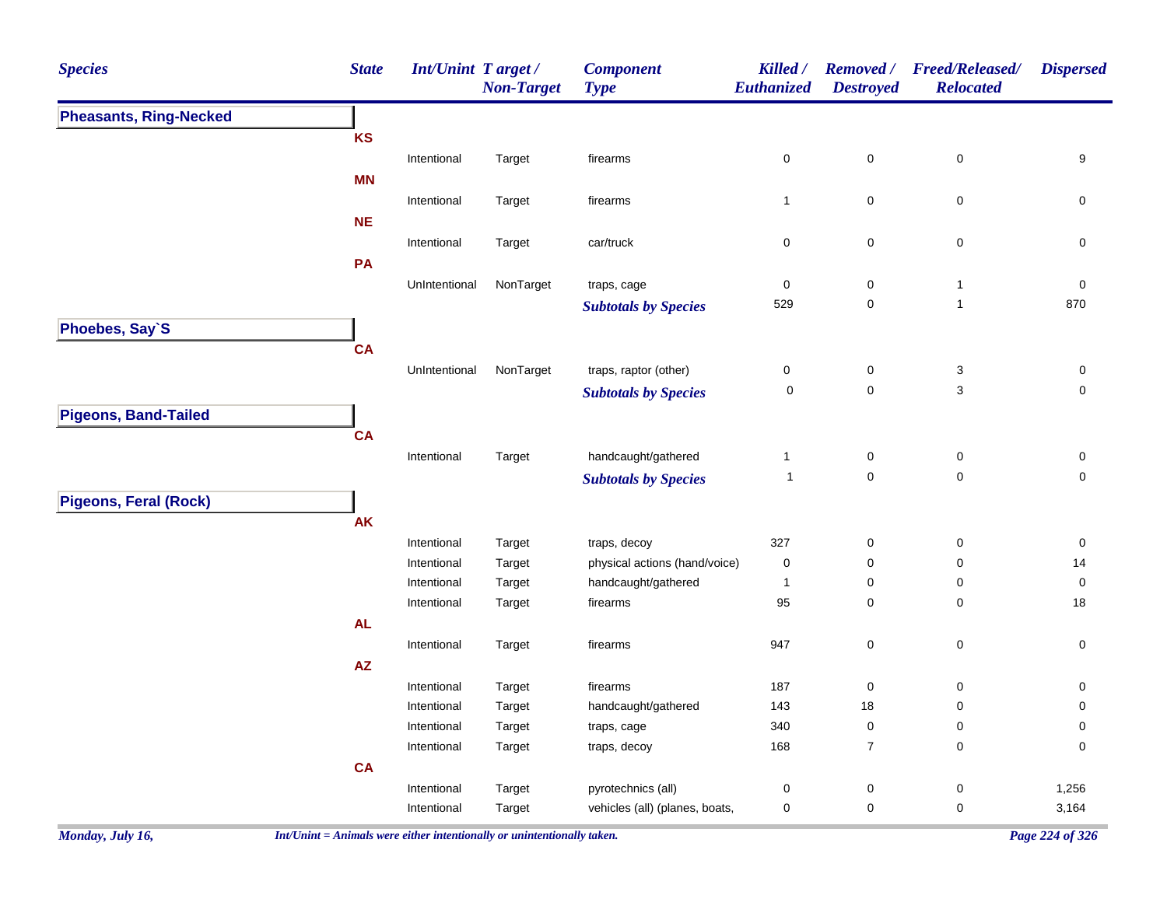| <b>Species</b>                | <b>State</b> | Int/Unint Target / | <b>Non-Target</b> | <b>Component</b><br><b>Type</b> | Killed /<br>Euthanized | <b>Destroyed</b>    | Removed / Freed/Released/<br><b>Relocated</b> | <b>Dispersed</b>    |
|-------------------------------|--------------|--------------------|-------------------|---------------------------------|------------------------|---------------------|-----------------------------------------------|---------------------|
| <b>Pheasants, Ring-Necked</b> |              |                    |                   |                                 |                        |                     |                                               |                     |
|                               | <b>KS</b>    |                    |                   |                                 |                        |                     |                                               |                     |
|                               |              | Intentional        | Target            | firearms                        | $\mathbf 0$            | $\pmb{0}$           | $\pmb{0}$                                     | $\boldsymbol{9}$    |
|                               | <b>MN</b>    |                    |                   |                                 |                        |                     |                                               |                     |
|                               |              | Intentional        | Target            | firearms                        | $\mathbf{1}$           | $\pmb{0}$           | 0                                             | 0                   |
|                               | <b>NE</b>    |                    |                   |                                 |                        |                     |                                               |                     |
|                               |              | Intentional        | Target            | car/truck                       | $\pmb{0}$              | $\pmb{0}$           | $\pmb{0}$                                     | $\pmb{0}$           |
|                               | PA           |                    |                   |                                 |                        |                     |                                               |                     |
|                               |              | UnIntentional      | NonTarget         | traps, cage                     | $\pmb{0}$              | $\pmb{0}$           | $\mathbf{1}$                                  | $\pmb{0}$           |
|                               |              |                    |                   | <b>Subtotals by Species</b>     | 529                    | $\mathbf 0$         | $\mathbf{1}$                                  | 870                 |
| Phoebes, Say`S                |              |                    |                   |                                 |                        |                     |                                               |                     |
|                               | <b>CA</b>    |                    |                   |                                 |                        |                     |                                               |                     |
|                               |              | UnIntentional      | NonTarget         | traps, raptor (other)           | $\pmb{0}$              | $\pmb{0}$           | $\ensuremath{\mathsf{3}}$                     | 0                   |
|                               |              |                    |                   | <b>Subtotals by Species</b>     | $\mathbf 0$            | $\pmb{0}$           | 3                                             | $\mathbf 0$         |
| <b>Pigeons, Band-Tailed</b>   |              |                    |                   |                                 |                        |                     |                                               |                     |
|                               | <b>CA</b>    |                    |                   |                                 |                        |                     |                                               |                     |
|                               |              | Intentional        | Target            | handcaught/gathered             | $\mathbf{1}$           | $\pmb{0}$           | $\pmb{0}$                                     | $\pmb{0}$           |
|                               |              |                    |                   | <b>Subtotals by Species</b>     | $\mathbf{1}$           | $\pmb{0}$           | $\mathsf 0$                                   | 0                   |
| <b>Pigeons, Feral (Rock)</b>  |              |                    |                   |                                 |                        |                     |                                               |                     |
|                               | <b>AK</b>    |                    |                   |                                 |                        |                     |                                               |                     |
|                               |              | Intentional        | Target            | traps, decoy                    | 327                    | $\pmb{0}$           | $\mathsf 0$                                   | $\pmb{0}$           |
|                               |              | Intentional        | Target            | physical actions (hand/voice)   | $\pmb{0}$              | $\mathsf{O}\xspace$ | 0                                             | 14                  |
|                               |              | Intentional        | Target            | handcaught/gathered             | $\mathbf{1}$           | $\pmb{0}$           | 0                                             | $\pmb{0}$           |
|                               |              | Intentional        | Target            | firearms                        | 95                     | $\pmb{0}$           | 0                                             | 18                  |
|                               | <b>AL</b>    |                    |                   |                                 |                        |                     |                                               |                     |
|                               |              | Intentional        | Target            | firearms                        | 947                    | $\pmb{0}$           | $\pmb{0}$                                     | $\mathsf{O}\xspace$ |
|                               | ${\sf AZ}$   |                    |                   |                                 |                        |                     |                                               |                     |
|                               |              | Intentional        | Target            | firearms                        | 187                    | $\mathbf 0$         | $\mathbf 0$                                   | 0                   |
|                               |              | Intentional        | Target            | handcaught/gathered             | 143                    | 18                  | 0                                             | 0                   |
|                               |              | Intentional        | Target            | traps, cage                     | 340                    | $\pmb{0}$           | 0                                             | 0                   |
|                               |              | Intentional        | Target            | traps, decoy                    | 168                    | $\boldsymbol{7}$    | $\pmb{0}$                                     | $\pmb{0}$           |
|                               | <b>CA</b>    |                    |                   |                                 |                        |                     |                                               |                     |
|                               |              | Intentional        | Target            | pyrotechnics (all)              | $\pmb{0}$              | $\mathbf 0$         | 0                                             | 1,256               |
|                               |              | Intentional        | Target            | vehicles (all) (planes, boats,  | $\pmb{0}$              | $\pmb{0}$           | 0                                             | 3,164               |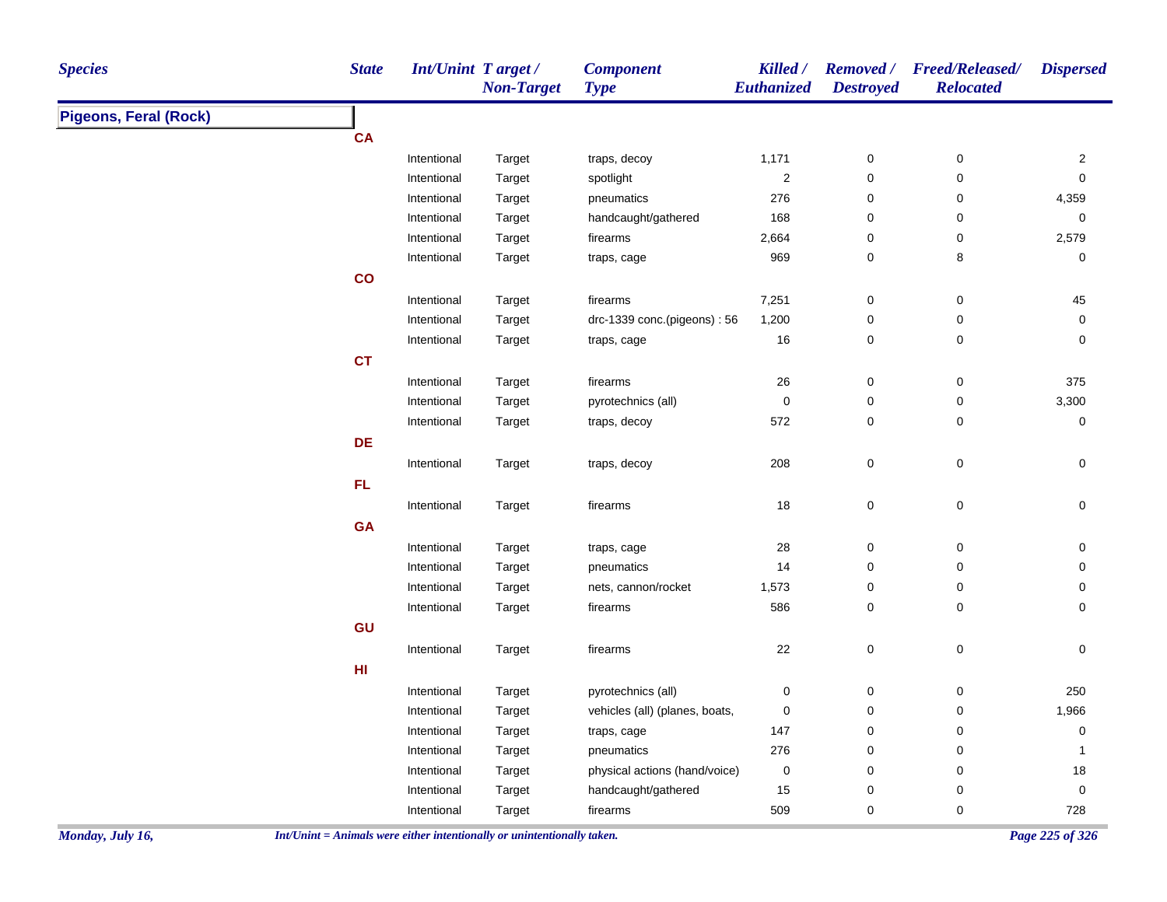| <b>Species</b>               | <b>State</b>  | <b>Int/Unint Target/</b> | <b>Non-Target</b> | <b>Component</b><br><b>Type</b> | Killed /<br>Euthanized | <b>Destroyed</b> | Removed / Freed/Released/<br><b>Relocated</b> | <b>Dispersed</b>    |
|------------------------------|---------------|--------------------------|-------------------|---------------------------------|------------------------|------------------|-----------------------------------------------|---------------------|
| <b>Pigeons, Feral (Rock)</b> |               |                          |                   |                                 |                        |                  |                                               |                     |
|                              | <b>CA</b>     |                          |                   |                                 |                        |                  |                                               |                     |
|                              |               | Intentional              | Target            | traps, decoy                    | 1,171                  | $\boldsymbol{0}$ | 0                                             | $\overline{2}$      |
|                              |               | Intentional              | Target            | spotlight                       | $\mathbf 2$            | $\pmb{0}$        | 0                                             | $\mathsf{O}\xspace$ |
|                              |               | Intentional              | Target            | pneumatics                      | 276                    | 0                | 0                                             | 4,359               |
|                              |               | Intentional              | Target            | handcaught/gathered             | 168                    | $\pmb{0}$        | $\pmb{0}$                                     | 0                   |
|                              |               | Intentional              | Target            | firearms                        | 2,664                  | 0                | $\pmb{0}$                                     | 2,579               |
|                              |               | Intentional              | Target            | traps, cage                     | 969                    | 0                | 8                                             | 0                   |
|                              | $\mathsf{co}$ |                          |                   |                                 |                        |                  |                                               |                     |
|                              |               | Intentional              | Target            | firearms                        | 7,251                  | $\pmb{0}$        | $\pmb{0}$                                     | $45\,$              |
|                              |               | Intentional              | Target            | drc-1339 conc.(pigeons): 56     | 1,200                  | 0                | 0                                             | 0                   |
|                              |               | Intentional              | Target            | traps, cage                     | $16\,$                 | $\pmb{0}$        | $\mathsf 0$                                   | 0                   |
|                              | <b>CT</b>     |                          |                   |                                 |                        |                  |                                               |                     |
|                              |               | Intentional              | Target            | firearms                        | $26\,$                 | $\pmb{0}$        | $\pmb{0}$                                     | 375                 |
|                              |               | Intentional              | Target            | pyrotechnics (all)              | 0                      | 0                | $\pmb{0}$                                     | 3,300               |
|                              |               | Intentional              | Target            | traps, decoy                    | 572                    | $\pmb{0}$        | 0                                             | $\pmb{0}$           |
|                              | DE            |                          |                   |                                 |                        |                  |                                               |                     |
|                              |               | Intentional              | Target            | traps, decoy                    | 208                    | $\mathbf 0$      | $\pmb{0}$                                     | $\pmb{0}$           |
|                              | FL.           |                          |                   |                                 |                        |                  |                                               |                     |
|                              |               | Intentional              | Target            | firearms                        | $18$                   | $\pmb{0}$        | $\mathsf 0$                                   | $\mathsf 0$         |
|                              | <b>GA</b>     |                          |                   |                                 |                        |                  |                                               |                     |
|                              |               | Intentional              | Target            | traps, cage                     | 28                     | $\pmb{0}$        | $\pmb{0}$                                     | $\pmb{0}$           |
|                              |               | Intentional              | Target            | pneumatics                      | 14                     | $\pmb{0}$        | 0                                             | $\mathsf{O}\xspace$ |
|                              |               | Intentional              | Target            | nets, cannon/rocket             | 1,573                  | $\pmb{0}$        | $\pmb{0}$                                     | $\mathbf 0$         |
|                              |               | Intentional              | Target            | firearms                        | 586                    | 0                | 0                                             | 0                   |
|                              | GU            |                          |                   |                                 |                        |                  |                                               |                     |
|                              |               | Intentional              | Target            | firearms                        | 22                     | $\mathbf 0$      | $\pmb{0}$                                     | $\mathsf{O}\xspace$ |
|                              | HI            |                          |                   |                                 |                        |                  |                                               |                     |
|                              |               | Intentional              | Target            | pyrotechnics (all)              | 0                      | $\pmb{0}$        | $\pmb{0}$                                     | 250                 |
|                              |               | Intentional              | Target            | vehicles (all) (planes, boats,  | 0                      | 0                | 0                                             | 1,966               |
|                              |               | Intentional              | Target            | traps, cage                     | 147                    | $\pmb{0}$        | 0                                             | 0                   |
|                              |               | Intentional              | Target            | pneumatics                      | 276                    | $\pmb{0}$        | 0                                             | $\mathbf{1}$        |
|                              |               | Intentional              | Target            | physical actions (hand/voice)   | 0                      | $\pmb{0}$        | $\pmb{0}$                                     | $18\,$              |
|                              |               | Intentional              | Target            | handcaught/gathered             | 15                     | $\pmb{0}$        | $\mathbf 0$                                   | $\pmb{0}$           |
|                              |               | Intentional              | Target            | firearms                        | 509                    | $\mathbf 0$      | 0                                             | 728                 |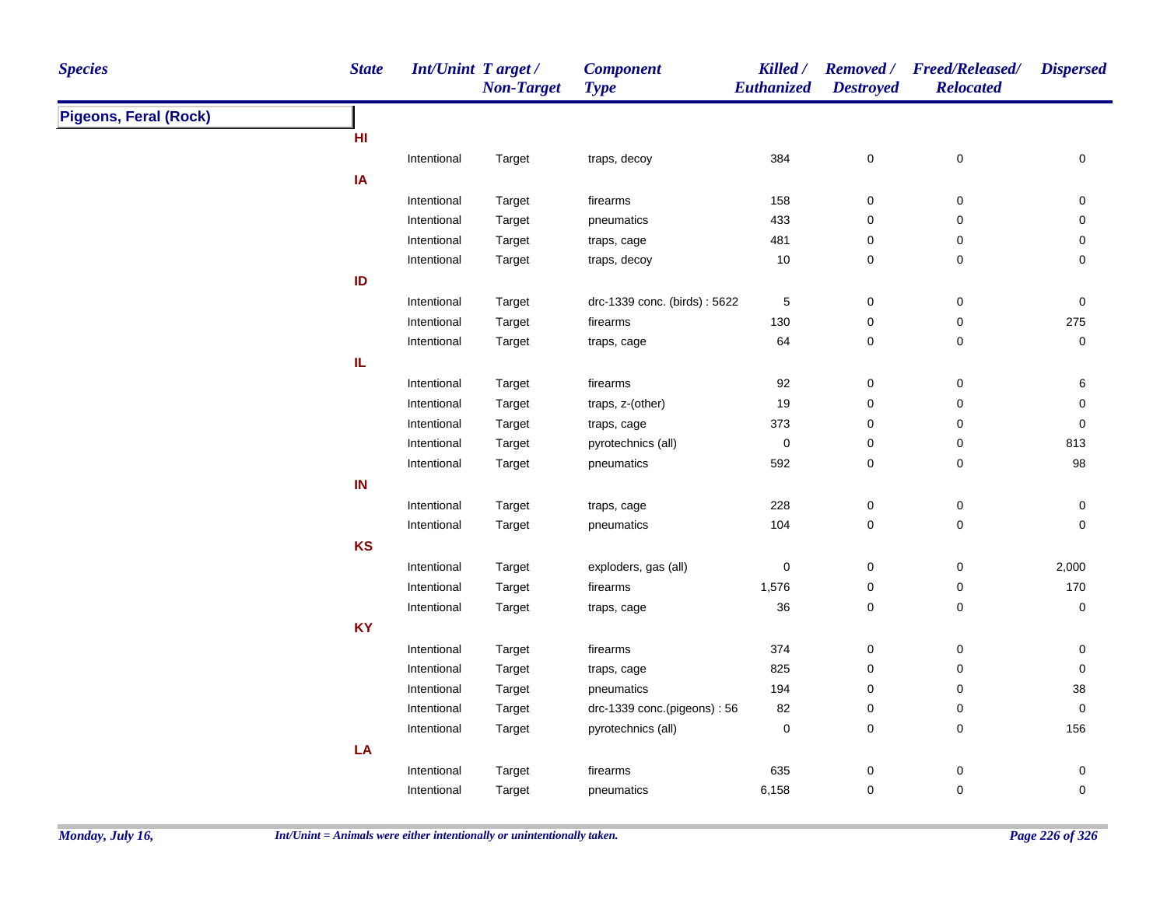| <b>Pigeons, Feral (Rock)</b><br>HI<br>384<br>$\mathbf 0$<br>$\pmb{0}$<br>$\mathbf 0$<br>Intentional<br>Target<br>traps, decoy<br>IA<br>firearms<br>158<br>$\boldsymbol{0}$<br>0<br>0<br>Intentional<br>Target<br>433<br>Target<br>pneumatics<br>$\mathbf 0$<br>0<br>0<br>Intentional<br>481<br>Target<br>$\mathbf 0$<br>0<br>0<br>Intentional<br>traps, cage<br>$10\,$<br>Target<br>traps, decoy<br>$\mathbf 0$<br>0<br>0<br>Intentional<br>ID<br>drc-1339 conc. (birds): 5622<br>$\sqrt{5}$<br>$\boldsymbol{0}$<br>0<br>0<br>Intentional<br>Target<br>275<br>Intentional<br>firearms<br>130<br>$\mathbf 0$<br>0<br>Target<br>$\pmb{0}$<br>64<br>$\mathbf 0$<br>0<br>Intentional<br>Target<br>traps, cage<br>IL.<br>92<br>$\pmb{0}$<br>$\pmb{0}$<br>Intentional<br>firearms<br>6<br>Target<br>19<br>$\pmb{0}$<br>Intentional<br>Target<br>traps, z-(other)<br>$\mathbf 0$<br>0<br>373<br>$\pmb{0}$<br>Intentional<br>Target<br>traps, cage<br>$\boldsymbol{0}$<br>0 | <b>Species</b> |
|---------------------------------------------------------------------------------------------------------------------------------------------------------------------------------------------------------------------------------------------------------------------------------------------------------------------------------------------------------------------------------------------------------------------------------------------------------------------------------------------------------------------------------------------------------------------------------------------------------------------------------------------------------------------------------------------------------------------------------------------------------------------------------------------------------------------------------------------------------------------------------------------------------------------------------------------------------------------|----------------|
|                                                                                                                                                                                                                                                                                                                                                                                                                                                                                                                                                                                                                                                                                                                                                                                                                                                                                                                                                                     |                |
|                                                                                                                                                                                                                                                                                                                                                                                                                                                                                                                                                                                                                                                                                                                                                                                                                                                                                                                                                                     |                |
|                                                                                                                                                                                                                                                                                                                                                                                                                                                                                                                                                                                                                                                                                                                                                                                                                                                                                                                                                                     |                |
|                                                                                                                                                                                                                                                                                                                                                                                                                                                                                                                                                                                                                                                                                                                                                                                                                                                                                                                                                                     |                |
|                                                                                                                                                                                                                                                                                                                                                                                                                                                                                                                                                                                                                                                                                                                                                                                                                                                                                                                                                                     |                |
|                                                                                                                                                                                                                                                                                                                                                                                                                                                                                                                                                                                                                                                                                                                                                                                                                                                                                                                                                                     |                |
|                                                                                                                                                                                                                                                                                                                                                                                                                                                                                                                                                                                                                                                                                                                                                                                                                                                                                                                                                                     |                |
|                                                                                                                                                                                                                                                                                                                                                                                                                                                                                                                                                                                                                                                                                                                                                                                                                                                                                                                                                                     |                |
|                                                                                                                                                                                                                                                                                                                                                                                                                                                                                                                                                                                                                                                                                                                                                                                                                                                                                                                                                                     |                |
|                                                                                                                                                                                                                                                                                                                                                                                                                                                                                                                                                                                                                                                                                                                                                                                                                                                                                                                                                                     |                |
|                                                                                                                                                                                                                                                                                                                                                                                                                                                                                                                                                                                                                                                                                                                                                                                                                                                                                                                                                                     |                |
|                                                                                                                                                                                                                                                                                                                                                                                                                                                                                                                                                                                                                                                                                                                                                                                                                                                                                                                                                                     |                |
|                                                                                                                                                                                                                                                                                                                                                                                                                                                                                                                                                                                                                                                                                                                                                                                                                                                                                                                                                                     |                |
|                                                                                                                                                                                                                                                                                                                                                                                                                                                                                                                                                                                                                                                                                                                                                                                                                                                                                                                                                                     |                |
|                                                                                                                                                                                                                                                                                                                                                                                                                                                                                                                                                                                                                                                                                                                                                                                                                                                                                                                                                                     |                |
|                                                                                                                                                                                                                                                                                                                                                                                                                                                                                                                                                                                                                                                                                                                                                                                                                                                                                                                                                                     |                |
| $\pmb{0}$<br>$\pmb{0}$<br>813<br>Intentional<br>Target<br>pyrotechnics (all)<br>0                                                                                                                                                                                                                                                                                                                                                                                                                                                                                                                                                                                                                                                                                                                                                                                                                                                                                   |                |
| 592<br>$\pmb{0}$<br>98<br>Intentional<br>Target<br>pneumatics<br>$\boldsymbol{0}$                                                                                                                                                                                                                                                                                                                                                                                                                                                                                                                                                                                                                                                                                                                                                                                                                                                                                   |                |
| IN                                                                                                                                                                                                                                                                                                                                                                                                                                                                                                                                                                                                                                                                                                                                                                                                                                                                                                                                                                  |                |
| 228<br>$\pmb{0}$<br>$\pmb{0}$<br>Intentional<br>0<br>Target<br>traps, cage                                                                                                                                                                                                                                                                                                                                                                                                                                                                                                                                                                                                                                                                                                                                                                                                                                                                                          |                |
| 104<br>Intentional<br>Target<br>$\boldsymbol{0}$<br>0<br>$\mathbf 0$<br>pneumatics                                                                                                                                                                                                                                                                                                                                                                                                                                                                                                                                                                                                                                                                                                                                                                                                                                                                                  |                |
| KS                                                                                                                                                                                                                                                                                                                                                                                                                                                                                                                                                                                                                                                                                                                                                                                                                                                                                                                                                                  |                |
| $\pmb{0}$<br>$\pmb{0}$<br>$\pmb{0}$<br>2,000<br>Intentional<br>Target<br>exploders, gas (all)                                                                                                                                                                                                                                                                                                                                                                                                                                                                                                                                                                                                                                                                                                                                                                                                                                                                       |                |
| 170<br>1,576<br>0<br>Intentional<br>Target<br>firearms<br>0                                                                                                                                                                                                                                                                                                                                                                                                                                                                                                                                                                                                                                                                                                                                                                                                                                                                                                         |                |
| 36<br>$\mathbf 0$<br>0<br>0<br>Intentional<br>Target<br>traps, cage                                                                                                                                                                                                                                                                                                                                                                                                                                                                                                                                                                                                                                                                                                                                                                                                                                                                                                 |                |
| <b>KY</b>                                                                                                                                                                                                                                                                                                                                                                                                                                                                                                                                                                                                                                                                                                                                                                                                                                                                                                                                                           |                |
| 374<br>$\pmb{0}$<br>Intentional<br>firearms<br>$\mathbf 0$<br>0<br>Target                                                                                                                                                                                                                                                                                                                                                                                                                                                                                                                                                                                                                                                                                                                                                                                                                                                                                           |                |
| 825<br>$\pmb{0}$<br>Intentional<br>Target<br>$\mathbf 0$<br>$\mathbf 0$<br>traps, cage                                                                                                                                                                                                                                                                                                                                                                                                                                                                                                                                                                                                                                                                                                                                                                                                                                                                              |                |
| Intentional<br>Target<br>pneumatics<br>194<br>$\mathbf 0$<br>0<br>$38\,$                                                                                                                                                                                                                                                                                                                                                                                                                                                                                                                                                                                                                                                                                                                                                                                                                                                                                            |                |
| drc-1339 conc.(pigeons): 56<br>$\pmb{0}$<br>$\mathbf 0$<br>Intentional<br>Target<br>82<br>$\boldsymbol{0}$                                                                                                                                                                                                                                                                                                                                                                                                                                                                                                                                                                                                                                                                                                                                                                                                                                                          |                |
| pyrotechnics (all)<br>$\pmb{0}$<br>$\mathbf 0$<br>$\mathbf 0$<br>156<br>Intentional<br>Target                                                                                                                                                                                                                                                                                                                                                                                                                                                                                                                                                                                                                                                                                                                                                                                                                                                                       |                |
| LA                                                                                                                                                                                                                                                                                                                                                                                                                                                                                                                                                                                                                                                                                                                                                                                                                                                                                                                                                                  |                |
| $\pmb{0}$<br>635<br>$\mathbf 0$<br>0<br>Intentional<br>Target<br>firearms                                                                                                                                                                                                                                                                                                                                                                                                                                                                                                                                                                                                                                                                                                                                                                                                                                                                                           |                |
| 6,158<br>0<br>$\pmb{0}$<br>0<br>Intentional<br>Target<br>pneumatics                                                                                                                                                                                                                                                                                                                                                                                                                                                                                                                                                                                                                                                                                                                                                                                                                                                                                                 |                |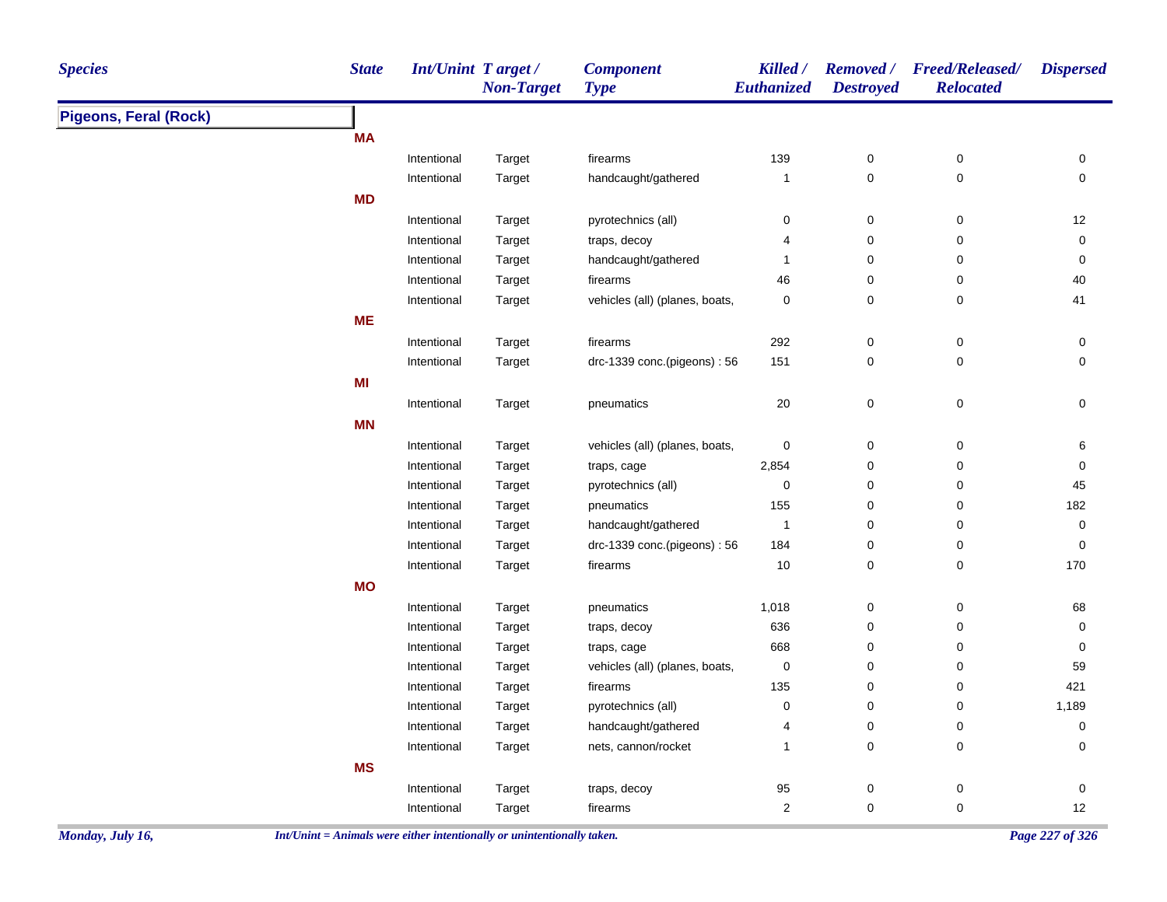| <b>Species</b>               | <b>State</b> | Int/Unint Target/ | <b>Non-Target</b> | <b>Component</b><br><b>Type</b> | Killed /<br>Euthanized | <b>Destroyed</b> | Removed / Freed/Released/<br><b>Relocated</b> | <b>Dispersed</b>    |
|------------------------------|--------------|-------------------|-------------------|---------------------------------|------------------------|------------------|-----------------------------------------------|---------------------|
| <b>Pigeons, Feral (Rock)</b> |              |                   |                   |                                 |                        |                  |                                               |                     |
|                              | <b>MA</b>    |                   |                   |                                 |                        |                  |                                               |                     |
|                              |              | Intentional       | Target            | firearms                        | 139                    | $\pmb{0}$        | $\pmb{0}$                                     | $\pmb{0}$           |
|                              |              | Intentional       | Target            | handcaught/gathered             | $\mathbf{1}$           | $\pmb{0}$        | 0                                             | $\pmb{0}$           |
|                              | <b>MD</b>    |                   |                   |                                 |                        |                  |                                               |                     |
|                              |              | Intentional       | Target            | pyrotechnics (all)              | 0                      | 0                | 0                                             | 12                  |
|                              |              | Intentional       | Target            | traps, decoy                    | 4                      | 0                | 0                                             | 0                   |
|                              |              | Intentional       | Target            | handcaught/gathered             | $\mathbf{1}$           | 0                | 0                                             | 0                   |
|                              |              | Intentional       | Target            | firearms                        | 46                     | 0                | 0                                             | 40                  |
|                              |              | Intentional       | Target            | vehicles (all) (planes, boats,  | 0                      | 0                | 0                                             | 41                  |
|                              | <b>ME</b>    |                   |                   |                                 |                        |                  |                                               |                     |
|                              |              | Intentional       | Target            | firearms                        | 292                    | $\pmb{0}$        | $\pmb{0}$                                     | $\pmb{0}$           |
|                              |              | Intentional       | Target            | drc-1339 conc.(pigeons): 56     | 151                    | $\mathbf 0$      | 0                                             | 0                   |
|                              | MI           |                   |                   |                                 |                        |                  |                                               |                     |
|                              |              | Intentional       | Target            | pneumatics                      | $20\,$                 | $\pmb{0}$        | $\pmb{0}$                                     | $\mathsf 0$         |
|                              | <b>MN</b>    |                   |                   |                                 |                        |                  |                                               |                     |
|                              |              | Intentional       | Target            | vehicles (all) (planes, boats,  | 0                      | 0                | 0                                             | 6                   |
|                              |              | Intentional       | Target            | traps, cage                     | 2,854                  | 0                | $\mathsf 0$                                   | 0                   |
|                              |              | Intentional       | Target            | pyrotechnics (all)              | 0                      | $\pmb{0}$        | 0                                             | 45                  |
|                              |              | Intentional       | Target            | pneumatics                      | 155                    | 0                | 0                                             | 182                 |
|                              |              | Intentional       | Target            | handcaught/gathered             | $\overline{1}$         | 0                | 0                                             | $\mathsf{O}\xspace$ |
|                              |              | Intentional       | Target            | drc-1339 conc.(pigeons): 56     | 184                    | $\pmb{0}$        | 0                                             | 0                   |
|                              |              | Intentional       | Target            | firearms                        | $10$                   | $\pmb{0}$        | 0                                             | 170                 |
|                              | <b>MO</b>    |                   |                   |                                 |                        |                  |                                               |                     |
|                              |              | Intentional       | Target            | pneumatics                      | 1,018                  | $\pmb{0}$        | 0                                             | 68                  |
|                              |              | Intentional       | Target            | traps, decoy                    | 636                    | $\pmb{0}$        | $\mathbf 0$                                   | $\mathsf{O}\xspace$ |
|                              |              | Intentional       | Target            | traps, cage                     | 668                    | $\pmb{0}$        | 0                                             | 0                   |
|                              |              | Intentional       | Target            | vehicles (all) (planes, boats,  | 0                      | $\pmb{0}$        | 0                                             | 59                  |
|                              |              | Intentional       | Target            | firearms                        | 135                    | 0                | 0                                             | 421                 |
|                              |              | Intentional       | Target            | pyrotechnics (all)              | 0                      | $\pmb{0}$        | 0                                             | 1,189               |
|                              |              | Intentional       | Target            | handcaught/gathered             | 4                      | $\pmb{0}$        | $\pmb{0}$                                     | 0                   |
|                              |              | Intentional       | Target            | nets, cannon/rocket             | $\mathbf{1}$           | $\pmb{0}$        | 0                                             | 0                   |
|                              | <b>MS</b>    |                   |                   |                                 |                        |                  |                                               |                     |
|                              |              | Intentional       | Target            | traps, decoy                    | 95                     | $\pmb{0}$        | $\pmb{0}$                                     | $\mathsf{O}\xspace$ |
|                              |              | Intentional       | Target            | firearms                        | $\overline{c}$         | $\pmb{0}$        | $\pmb{0}$                                     | 12                  |
|                              |              |                   |                   |                                 |                        |                  |                                               |                     |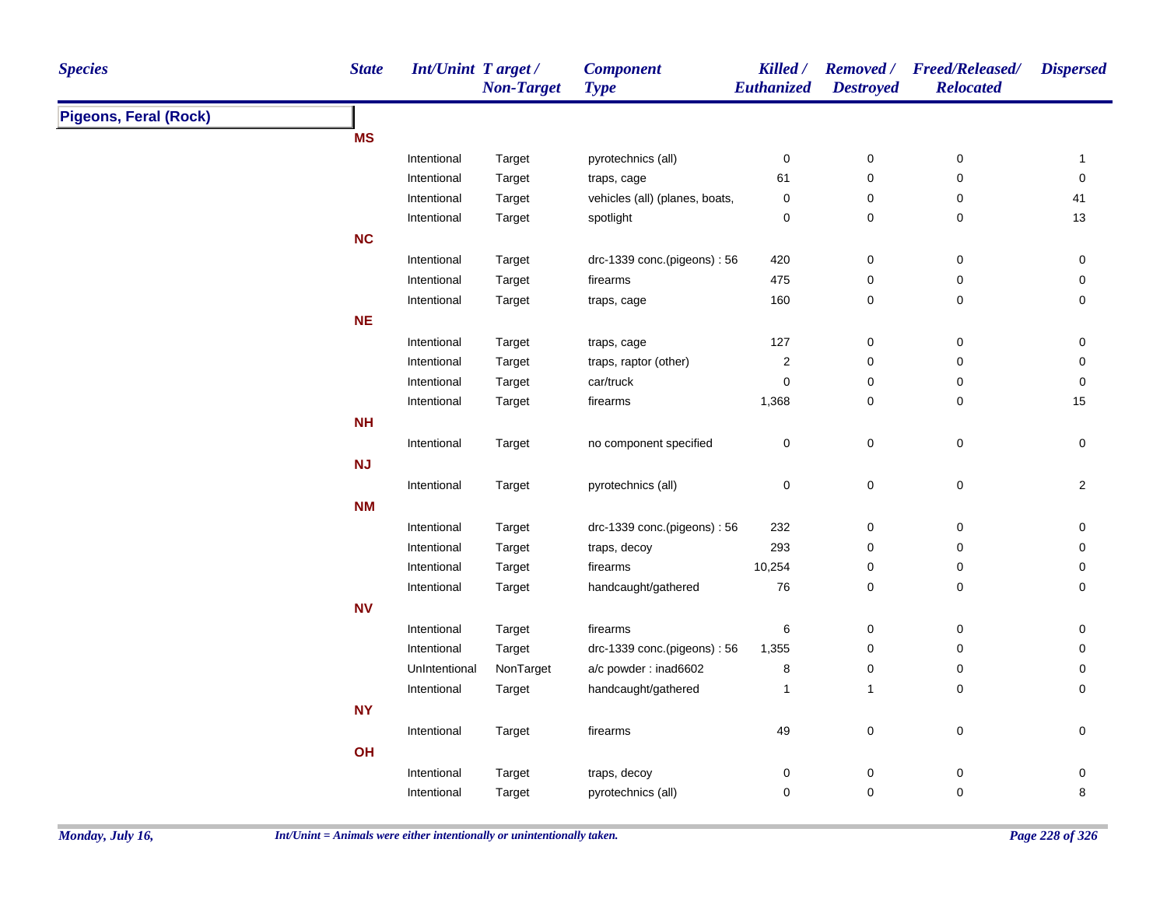| <b>State</b><br><b>Int/Unint Target/</b><br><b>Species</b><br><b>Component</b><br>Killed /<br><b>Removed</b> /<br><b>Non-Target</b><br>Euthanized<br><b>Destroyed</b><br><b>Type</b> | <b>Freed/Released/</b><br><b>Dispersed</b><br><b>Relocated</b> |
|--------------------------------------------------------------------------------------------------------------------------------------------------------------------------------------|----------------------------------------------------------------|
| <b>Pigeons, Feral (Rock)</b>                                                                                                                                                         |                                                                |
| <b>MS</b>                                                                                                                                                                            |                                                                |
| $\pmb{0}$<br>Intentional<br>Target<br>pyrotechnics (all)<br>$\pmb{0}$                                                                                                                | $\pmb{0}$<br>$\mathbf{1}$                                      |
| 61<br>$\pmb{0}$<br>Intentional<br>Target<br>traps, cage                                                                                                                              | $\pmb{0}$<br>$\pmb{0}$                                         |
| vehicles (all) (planes, boats,<br>$\pmb{0}$<br>Intentional<br>Target<br>0                                                                                                            | 0<br>41                                                        |
| 0<br>0<br>Intentional<br>Target<br>spotlight                                                                                                                                         | 0<br>13                                                        |
| <b>NC</b>                                                                                                                                                                            |                                                                |
| Intentional<br>Target<br>drc-1339 conc.(pigeons): 56<br>420<br>$\pmb{0}$                                                                                                             | 0<br>0                                                         |
| 475<br>Intentional<br>Target<br>firearms<br>$\mathbf 0$                                                                                                                              | 0<br>0                                                         |
| 160<br>0<br>Intentional<br>Target<br>traps, cage                                                                                                                                     | 0<br>0                                                         |
| <b>NE</b>                                                                                                                                                                            |                                                                |
| Intentional<br>127<br>$\mathbf 0$<br>Target<br>traps, cage                                                                                                                           | 0<br>0                                                         |
| $\overline{\mathbf{c}}$<br>$\mathbf 0$<br>Intentional<br>Target<br>traps, raptor (other)                                                                                             | 0<br>0                                                         |
| $\mathbf 0$<br>$\pmb{0}$<br>Intentional<br>Target<br>car/truck                                                                                                                       | $\pmb{0}$<br>0                                                 |
| 1,368<br>$\pmb{0}$<br>Intentional<br>Target<br>firearms                                                                                                                              | 15<br>0                                                        |
| <b>NH</b>                                                                                                                                                                            |                                                                |
| $\pmb{0}$<br>$\pmb{0}$<br>Intentional<br>no component specified<br>Target                                                                                                            | $\pmb{0}$<br>$\mathsf 0$                                       |
| NJ                                                                                                                                                                                   |                                                                |
| $\pmb{0}$<br>0<br>Intentional<br>Target<br>pyrotechnics (all)                                                                                                                        | $\pmb{0}$<br>$\overline{c}$                                    |
| <b>NM</b>                                                                                                                                                                            |                                                                |
| 232<br>$\pmb{0}$<br>Intentional<br>Target<br>drc-1339 conc.(pigeons): 56                                                                                                             | $\pmb{0}$<br>$\pmb{0}$                                         |
| 293<br>$\pmb{0}$<br>Intentional<br>Target<br>traps, decoy                                                                                                                            | $\pmb{0}$<br>0                                                 |
| 10,254<br>Intentional<br>$\pmb{0}$<br>Target<br>firearms                                                                                                                             | 0<br>0                                                         |
| 76<br>Intentional<br>handcaught/gathered<br>0<br>Target                                                                                                                              | 0<br>0                                                         |
| <b>NV</b>                                                                                                                                                                            |                                                                |
| $\pmb{0}$<br>Intentional<br>Target<br>firearms<br>6                                                                                                                                  | 0<br>0                                                         |
| $\pmb{0}$<br>Intentional<br>Target<br>drc-1339 conc.(pigeons): 56<br>1,355                                                                                                           | 0<br>0                                                         |
| NonTarget<br>8<br>UnIntentional<br>a/c powder: inad6602<br>0                                                                                                                         | 0<br>0                                                         |
| Intentional<br>Target<br>handcaught/gathered<br>1<br>$\mathbf{1}$                                                                                                                    | 0<br>0                                                         |
| <b>NY</b>                                                                                                                                                                            |                                                                |
| 49<br>$\pmb{0}$<br>Intentional<br>Target<br>firearms                                                                                                                                 | $\pmb{0}$<br>$\pmb{0}$                                         |
| OH                                                                                                                                                                                   |                                                                |
| 0<br>$\mathbf 0$<br>Intentional<br>Target<br>traps, decoy                                                                                                                            | 0<br>0                                                         |
| 0<br>$\mathbf 0$<br>pyrotechnics (all)<br>Intentional<br>Target                                                                                                                      |                                                                |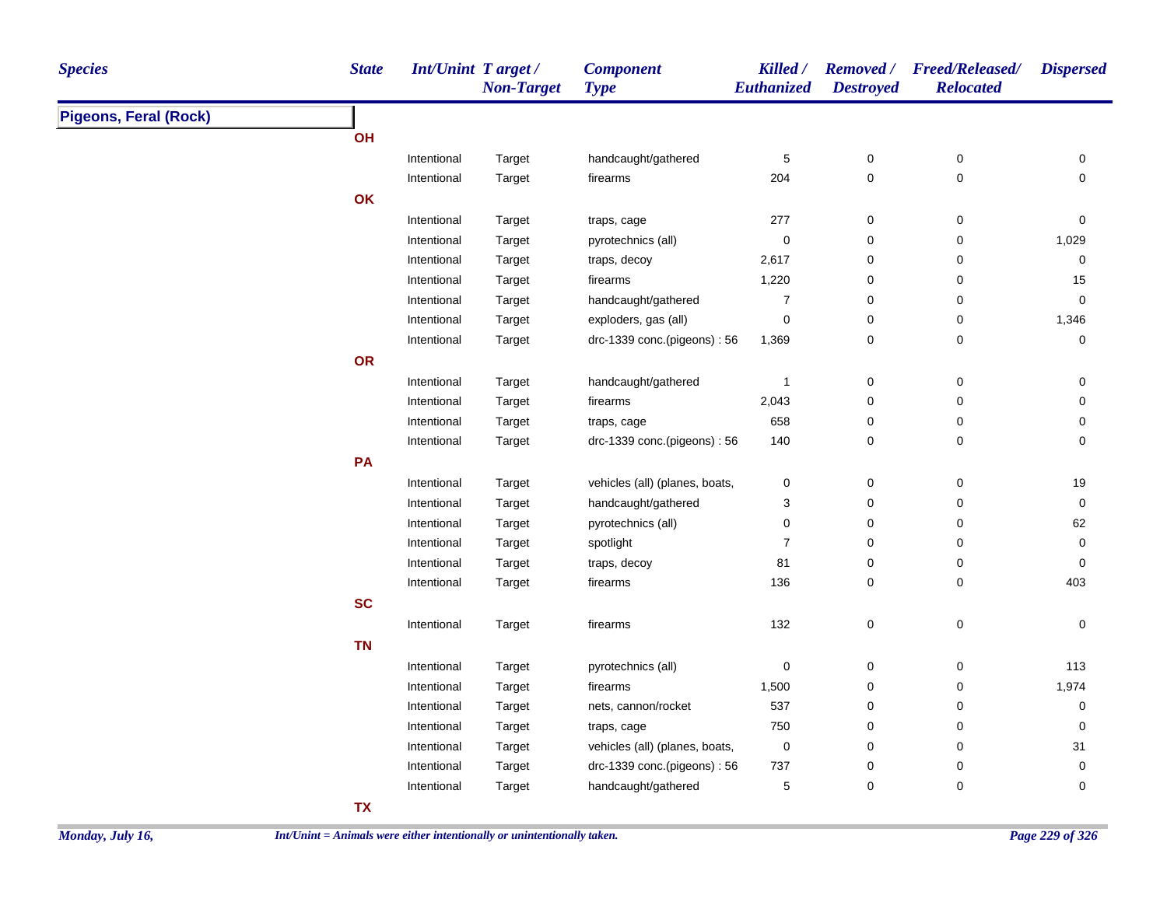| <b>Species</b>               | <b>State</b> | <b>Int/Unint Target/</b> | <b>Non-Target</b> | <b>Component</b><br><b>Type</b> | Killed /<br>Euthanized | <b>Destroyed</b> | Removed / Freed/Released/<br><b>Relocated</b> | <b>Dispersed</b> |
|------------------------------|--------------|--------------------------|-------------------|---------------------------------|------------------------|------------------|-----------------------------------------------|------------------|
| <b>Pigeons, Feral (Rock)</b> |              |                          |                   |                                 |                        |                  |                                               |                  |
|                              | OH           |                          |                   |                                 |                        |                  |                                               |                  |
|                              |              | Intentional              | Target            | handcaught/gathered             | 5                      | $\pmb{0}$        | $\pmb{0}$                                     | 0                |
|                              |              | Intentional              | Target            | firearms                        | 204                    | $\pmb{0}$        | 0                                             | $\mathbf 0$      |
|                              | OK           |                          |                   |                                 |                        |                  |                                               |                  |
|                              |              | Intentional              | Target            | traps, cage                     | 277                    | $\pmb{0}$        | 0                                             | $\mathbf 0$      |
|                              |              | Intentional              | Target            | pyrotechnics (all)              | 0                      | $\pmb{0}$        | 0                                             | 1,029            |
|                              |              | Intentional              | Target            | traps, decoy                    | 2,617                  | 0                | 0                                             | 0                |
|                              |              | Intentional              | Target            | firearms                        | 1,220                  | $\pmb{0}$        | 0                                             | $15\,$           |
|                              |              | Intentional              | Target            | handcaught/gathered             | $\boldsymbol{7}$       | $\pmb{0}$        | 0                                             | $\mathbf 0$      |
|                              |              | Intentional              | Target            | exploders, gas (all)            | $\mathsf 0$            | $\pmb{0}$        | $\pmb{0}$                                     | 1,346            |
|                              |              | Intentional              | Target            | drc-1339 conc.(pigeons): 56     | 1,369                  | 0                | 0                                             | $\mathbf 0$      |
|                              | OR           |                          |                   |                                 |                        |                  |                                               |                  |
|                              |              | Intentional              | Target            | handcaught/gathered             | $\overline{1}$         | $\pmb{0}$        | 0                                             | 0                |
|                              |              | Intentional              | Target            | firearms                        | 2,043                  | 0                | 0                                             | $\mathbf 0$      |
|                              |              | Intentional              | Target            | traps, cage                     | 658                    | $\pmb{0}$        | 0                                             | $\mathbf 0$      |
|                              |              | Intentional              | Target            | drc-1339 conc.(pigeons): 56     | 140                    | 0                | 0                                             | 0                |
|                              | PA           |                          |                   |                                 |                        |                  |                                               |                  |
|                              |              | Intentional              | Target            | vehicles (all) (planes, boats,  | 0                      | 0                | 0                                             | $19$             |
|                              |              | Intentional              | Target            | handcaught/gathered             | 3                      | 0                | 0                                             | 0                |
|                              |              | Intentional              | Target            | pyrotechnics (all)              | 0                      | 0                | 0                                             | 62               |
|                              |              | Intentional              | Target            | spotlight                       | $\boldsymbol{7}$       | 0                | 0                                             | 0                |
|                              |              | Intentional              | Target            | traps, decoy                    | 81                     | 0                | 0                                             | $\mathbf 0$      |
|                              |              | Intentional              | Target            | firearms                        | 136                    | 0                | 0                                             | 403              |
|                              | <b>SC</b>    |                          |                   |                                 |                        |                  |                                               |                  |
|                              |              | Intentional              | Target            | firearms                        | 132                    | 0                | 0                                             | 0                |
|                              | <b>TN</b>    |                          |                   |                                 |                        |                  |                                               |                  |
|                              |              | Intentional              | Target            | pyrotechnics (all)              | 0                      | 0                | 0                                             | 113              |
|                              |              | Intentional              | Target            | firearms                        | 1,500                  | $\pmb{0}$        | 0                                             | 1,974            |
|                              |              | Intentional              | Target            | nets, cannon/rocket             | 537                    | 0                | 0                                             | $\mathbf 0$      |
|                              |              | Intentional              | Target            | traps, cage                     | 750                    | 0                | 0                                             | $\mathbf 0$      |
|                              |              | Intentional              | Target            | vehicles (all) (planes, boats,  | 0                      | 0                | 0                                             | 31               |
|                              |              | Intentional              | Target            | drc-1339 conc.(pigeons): 56     | 737                    | $\mathbf 0$      | $\pmb{0}$                                     | $\mathbf 0$      |
|                              |              | Intentional              | Target            | handcaught/gathered             | 5                      | $\mathbf 0$      | 0                                             | 0                |
|                              | <b>TX</b>    |                          |                   |                                 |                        |                  |                                               |                  |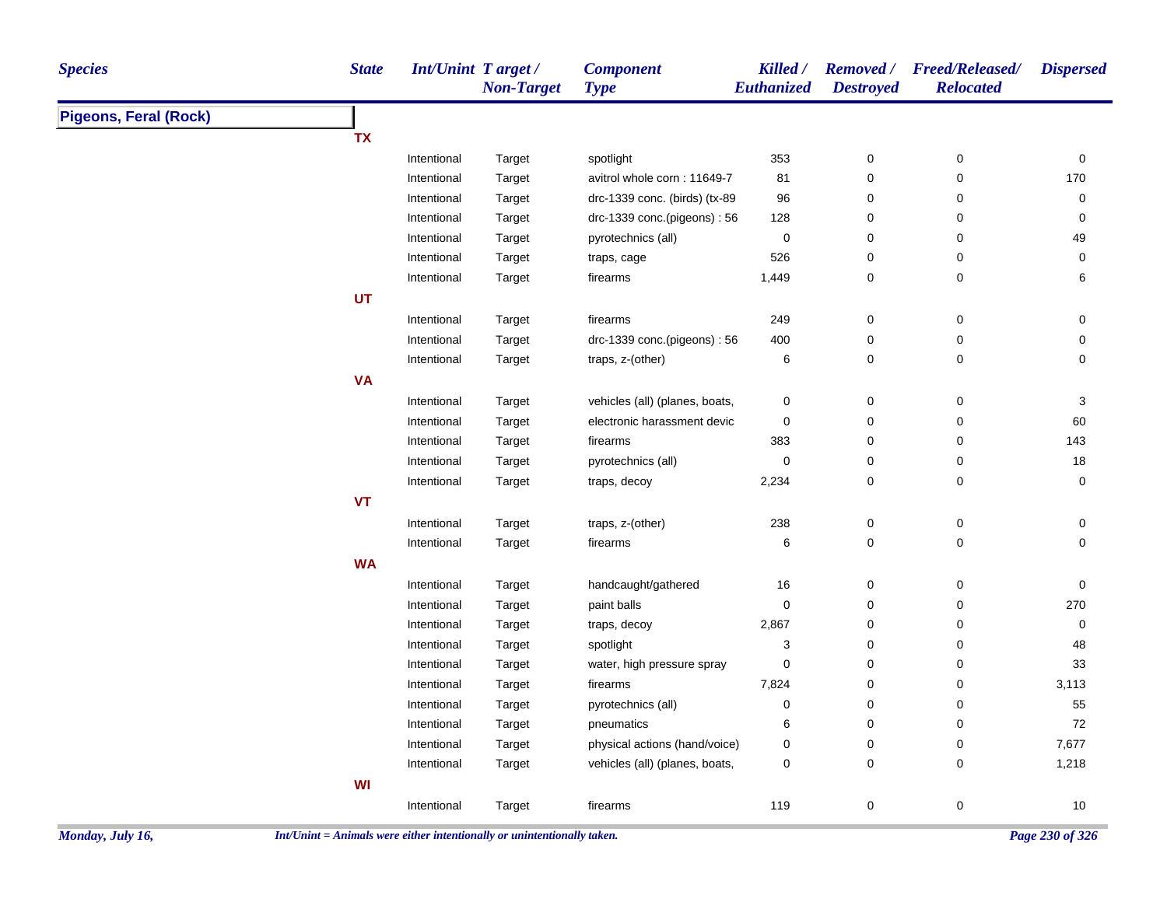| <b>Species</b>               | <b>State</b> | Int/Unint Target/ | <b>Non-Target</b> | <b>Component</b><br><b>Type</b> | Killed /<br><b>Euthanized</b> | <b>Destroyed</b>    | Removed / Freed/Released/<br><b>Relocated</b> | <b>Dispersed</b>    |
|------------------------------|--------------|-------------------|-------------------|---------------------------------|-------------------------------|---------------------|-----------------------------------------------|---------------------|
| <b>Pigeons, Feral (Rock)</b> |              |                   |                   |                                 |                               |                     |                                               |                     |
|                              | <b>TX</b>    |                   |                   |                                 |                               |                     |                                               |                     |
|                              |              | Intentional       | Target            | spotlight                       | 353                           | $\pmb{0}$           | $\pmb{0}$                                     | $\mathsf{O}\xspace$ |
|                              |              | Intentional       | Target            | avitrol whole corn: 11649-7     | 81                            | $\pmb{0}$           | 0                                             | 170                 |
|                              |              | Intentional       | Target            | drc-1339 conc. (birds) (tx-89   | 96                            | 0                   | 0                                             | 0                   |
|                              |              | Intentional       | Target            | drc-1339 conc.(pigeons): 56     | 128                           | 0                   | 0                                             | 0                   |
|                              |              | Intentional       | Target            | pyrotechnics (all)              | $\pmb{0}$                     | $\mathbf 0$         | 0                                             | 49                  |
|                              |              | Intentional       | Target            | traps, cage                     | 526                           | $\pmb{0}$           | 0                                             | 0                   |
|                              |              | Intentional       | <b>Target</b>     | firearms                        | 1,449                         | 0                   | 0                                             | 6                   |
|                              | UT           |                   |                   |                                 |                               |                     |                                               |                     |
|                              |              | Intentional       | Target            | firearms                        | 249                           | $\mathbf 0$         | 0                                             | 0                   |
|                              |              | Intentional       | Target            | drc-1339 conc.(pigeons): 56     | 400                           | $\mathbf 0$         | 0                                             | 0                   |
|                              |              | Intentional       | Target            | traps, z-(other)                | 6                             | $\mathbf 0$         | 0                                             | 0                   |
|                              | <b>VA</b>    |                   |                   |                                 |                               |                     |                                               |                     |
|                              |              | Intentional       | Target            | vehicles (all) (planes, boats,  | 0                             | 0                   | 0                                             | 3                   |
|                              |              | Intentional       | Target            | electronic harassment devic     | 0                             | $\pmb{0}$           | $\pmb{0}$                                     | 60                  |
|                              |              | Intentional       | Target            | firearms                        | 383                           | $\pmb{0}$           | 0                                             | 143                 |
|                              |              | Intentional       | Target            | pyrotechnics (all)              | 0                             | $\mathbf 0$         | 0                                             | 18                  |
|                              |              | Intentional       | Target            | traps, decoy                    | 2,234                         | 0                   | 0                                             | 0                   |
|                              | <b>VT</b>    |                   |                   |                                 |                               |                     |                                               |                     |
|                              |              | Intentional       | Target            | traps, z-(other)                | 238                           | $\pmb{0}$           | $\pmb{0}$                                     | 0                   |
|                              |              | Intentional       | Target            | firearms                        | 6                             | $\mathsf{O}\xspace$ | 0                                             | $\mathbf 0$         |
|                              | <b>WA</b>    |                   |                   |                                 |                               |                     |                                               |                     |
|                              |              | Intentional       | Target            | handcaught/gathered             | 16                            | $\mathbf 0$         | $\mathsf 0$                                   | $\mathbf 0$         |
|                              |              | Intentional       | Target            | paint balls                     | 0                             | $\mathbf 0$         | 0                                             | 270                 |
|                              |              | Intentional       | Target            | traps, decoy                    | 2,867                         | $\pmb{0}$           | 0                                             | 0                   |
|                              |              | Intentional       | Target            | spotlight                       | 3                             | 0                   | 0                                             | 48                  |
|                              |              | Intentional       | Target            | water, high pressure spray      | $\pmb{0}$                     | $\pmb{0}$           | 0                                             | 33                  |
|                              |              | Intentional       | Target            | firearms                        | 7,824                         | 0                   | 0                                             | 3,113               |
|                              |              | Intentional       | <b>Target</b>     | pyrotechnics (all)              | 0                             | 0                   | 0                                             | 55                  |
|                              |              | Intentional       | Target            | pneumatics                      | 6                             | 0                   | 0                                             | 72                  |
|                              |              | Intentional       | Target            | physical actions (hand/voice)   | 0                             | $\mathbf 0$         | 0                                             | 7,677               |
|                              |              | Intentional       | Target            | vehicles (all) (planes, boats,  | 0                             | 0                   | 0                                             | 1,218               |
|                              | WI           |                   |                   |                                 |                               |                     |                                               |                     |
|                              |              | Intentional       | Target            | firearms                        | 119                           | $\mathsf{O}\xspace$ | 0                                             | 10                  |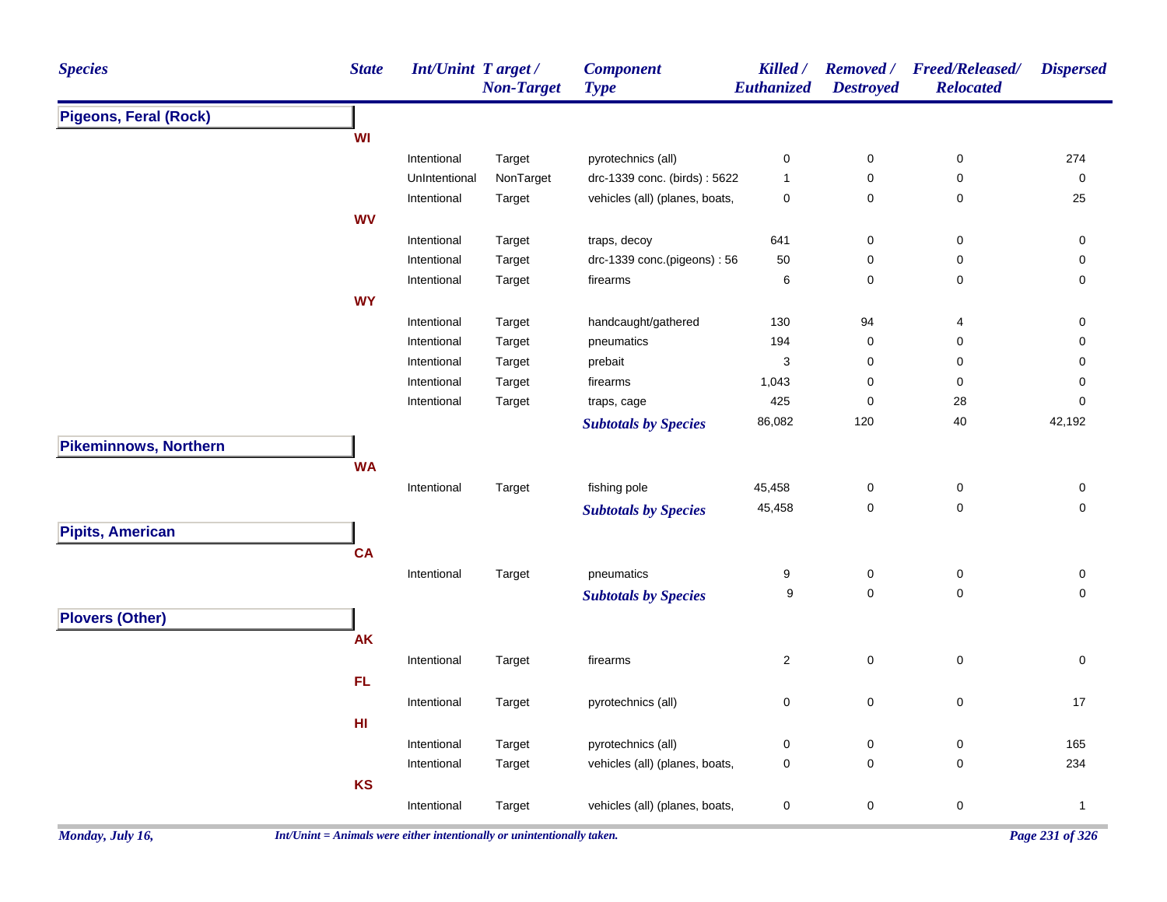| <b>Species</b>               | <b>State</b> | <b>Int/Unint Target/</b> | <b>Non-Target</b> | <b>Component</b><br><b>Type</b> | Killed /<br>Euthanized  | <b>Removed</b> /<br><b>Destroyed</b> | <b>Freed/Released/</b><br><b>Relocated</b> | <b>Dispersed</b>                 |
|------------------------------|--------------|--------------------------|-------------------|---------------------------------|-------------------------|--------------------------------------|--------------------------------------------|----------------------------------|
| <b>Pigeons, Feral (Rock)</b> |              |                          |                   |                                 |                         |                                      |                                            |                                  |
|                              | WI           |                          |                   |                                 |                         |                                      |                                            |                                  |
|                              |              | Intentional              | Target            | pyrotechnics (all)              | 0                       | $\pmb{0}$                            | $\pmb{0}$                                  | 274                              |
|                              |              | UnIntentional            | NonTarget         | drc-1339 conc. (birds): 5622    | $\mathbf{1}$            | $\mathbf 0$                          | $\mathbf 0$                                | 0                                |
|                              |              | Intentional              | Target            | vehicles (all) (planes, boats,  | $\pmb{0}$               | $\mathbf 0$                          | $\pmb{0}$                                  | 25                               |
|                              | <b>WV</b>    |                          |                   |                                 |                         |                                      |                                            |                                  |
|                              |              | Intentional              | Target            | traps, decoy                    | 641                     | $\mathsf{O}\xspace$                  | $\pmb{0}$                                  | $\pmb{0}$                        |
|                              |              | Intentional              | Target            | drc-1339 conc.(pigeons): 56     | 50                      | $\mathsf{O}\xspace$                  | $\mathsf 0$                                | $\pmb{0}$                        |
|                              |              | Intentional              | Target            | firearms                        | 6                       | $\mathsf{O}\xspace$                  | $\pmb{0}$                                  | $\mathbf 0$                      |
|                              | <b>WY</b>    |                          |                   |                                 |                         |                                      |                                            |                                  |
|                              |              | Intentional              | Target            | handcaught/gathered             | 130                     | 94                                   | 4                                          | $\pmb{0}$                        |
|                              |              | Intentional              | Target            | pneumatics                      | 194                     | $\mathbf 0$                          | 0                                          | 0                                |
|                              |              | Intentional              | Target            | prebait                         | 3                       | $\pmb{0}$                            | $\pmb{0}$                                  | 0                                |
|                              |              | Intentional              | Target            | firearms                        | 1,043                   | $\mathbf 0$                          | 0                                          | 0                                |
|                              |              | Intentional              | Target            | traps, cage                     | 425                     | $\mathbf 0$                          | 28                                         | 0                                |
|                              |              |                          |                   | <b>Subtotals by Species</b>     | 86,082                  | 120                                  | $40\,$                                     | 42,192                           |
| <b>Pikeminnows, Northern</b> |              |                          |                   |                                 |                         |                                      |                                            |                                  |
|                              | <b>WA</b>    |                          |                   |                                 |                         |                                      |                                            |                                  |
|                              |              | Intentional              | Target            | fishing pole                    | 45,458                  | $\pmb{0}$                            | $\pmb{0}$                                  | $\pmb{0}$                        |
|                              |              |                          |                   | <b>Subtotals by Species</b>     | 45,458                  | $\pmb{0}$                            | $\pmb{0}$                                  | $\pmb{0}$                        |
| <b>Pipits, American</b>      |              |                          |                   |                                 |                         |                                      |                                            |                                  |
|                              | <b>CA</b>    |                          |                   |                                 |                         |                                      |                                            |                                  |
|                              |              |                          |                   |                                 |                         |                                      |                                            |                                  |
|                              |              | Intentional              | Target            | pneumatics                      | 9<br>9                  | 0<br>$\mathbf 0$                     | $\pmb{0}$<br>$\mathbf 0$                   | $\pmb{0}$<br>$\mathsf{O}\xspace$ |
|                              |              |                          |                   | <b>Subtotals by Species</b>     |                         |                                      |                                            |                                  |
| <b>Plovers (Other)</b>       |              |                          |                   |                                 |                         |                                      |                                            |                                  |
|                              | <b>AK</b>    |                          |                   |                                 |                         |                                      |                                            |                                  |
|                              |              | Intentional              | Target            | firearms                        | $\overline{\mathbf{c}}$ | $\mathsf 0$                          | $\pmb{0}$                                  | $\mathbf 0$                      |
|                              | FL.          |                          |                   |                                 |                         |                                      |                                            |                                  |
|                              |              | Intentional              | Target            | pyrotechnics (all)              | 0                       | $\pmb{0}$                            | $\mathbf 0$                                | 17                               |
|                              | HI           |                          |                   |                                 |                         |                                      |                                            |                                  |
|                              |              | Intentional              | Target            | pyrotechnics (all)              | $\pmb{0}$               | $\mathsf 0$                          | $\pmb{0}$                                  | 165                              |
|                              |              | Intentional              | Target            | vehicles (all) (planes, boats,  | 0                       | $\mathsf 0$                          | $\mathbf 0$                                | 234                              |
|                              | KS           |                          |                   |                                 |                         |                                      |                                            |                                  |
|                              |              | Intentional              | Target            | vehicles (all) (planes, boats,  | $\pmb{0}$               | $\mathbf 0$                          | $\pmb{0}$                                  | $\mathbf{1}$                     |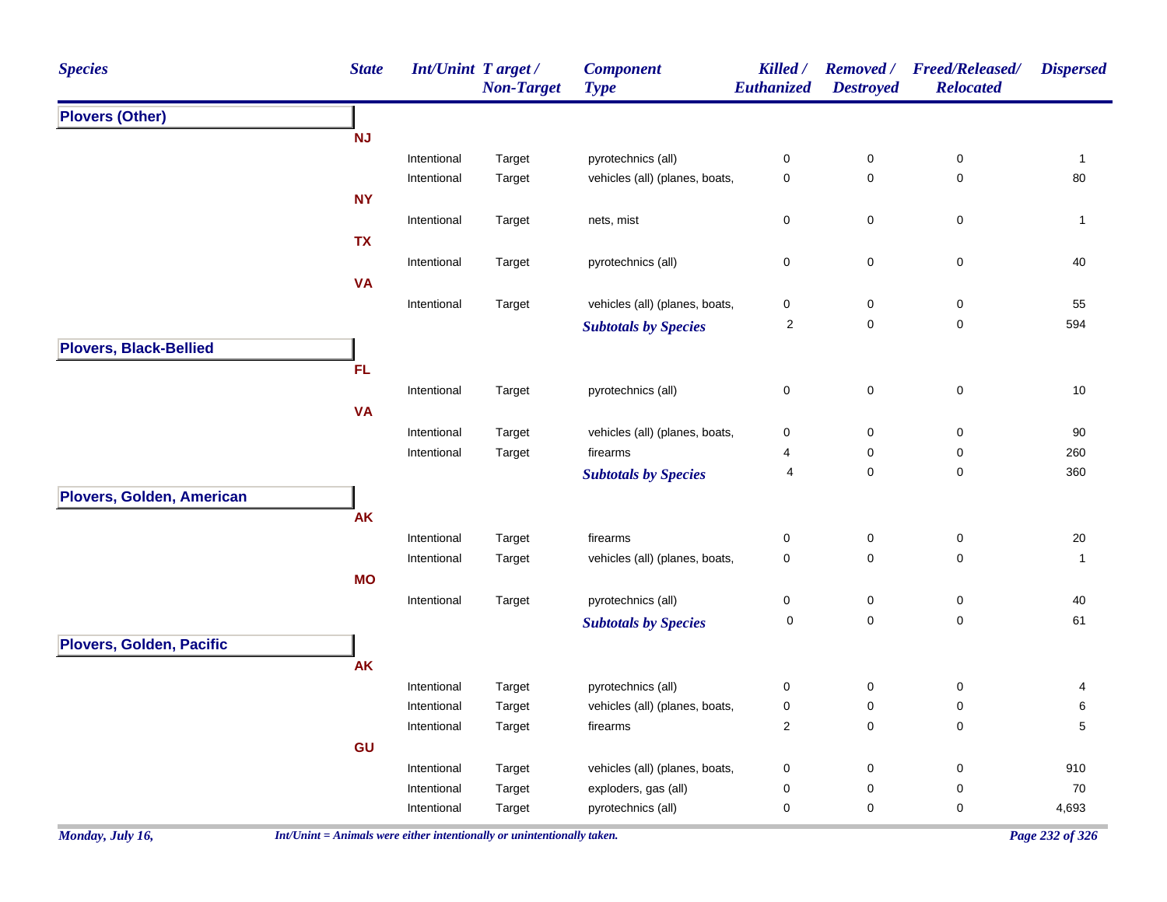| <b>Species</b>                   | <b>State</b> | <b>Int/Unint Target/</b> | <b>Non-Target</b> | <b>Component</b><br><b>Type</b> | Killed /<br>Euthanized | <b>Removed</b> /<br><b>Destroyed</b> | <b>Freed/Released/</b><br><b>Relocated</b> | <b>Dispersed</b> |
|----------------------------------|--------------|--------------------------|-------------------|---------------------------------|------------------------|--------------------------------------|--------------------------------------------|------------------|
| <b>Plovers (Other)</b>           |              |                          |                   |                                 |                        |                                      |                                            |                  |
|                                  | <b>NJ</b>    |                          |                   |                                 |                        |                                      |                                            |                  |
|                                  |              | Intentional              | Target            | pyrotechnics (all)              | 0                      | $\pmb{0}$                            | 0                                          | $\mathbf{1}$     |
|                                  |              | Intentional              | Target            | vehicles (all) (planes, boats,  | 0                      | $\boldsymbol{0}$                     | $\mathbf 0$                                | $80\,$           |
|                                  | <b>NY</b>    |                          |                   |                                 |                        |                                      |                                            |                  |
|                                  |              | Intentional              | Target            | nets, mist                      | 0                      | $\pmb{0}$                            | $\mathsf 0$                                | $\mathbf{1}$     |
|                                  | <b>TX</b>    |                          |                   |                                 |                        |                                      |                                            |                  |
|                                  |              | Intentional              | Target            | pyrotechnics (all)              | $\pmb{0}$              | $\pmb{0}$                            | $\mathsf 0$                                | $40\,$           |
|                                  | <b>VA</b>    |                          |                   |                                 |                        |                                      |                                            |                  |
|                                  |              | Intentional              | Target            | vehicles (all) (planes, boats,  | 0                      | $\pmb{0}$                            | $\pmb{0}$                                  | 55               |
|                                  |              |                          |                   | <b>Subtotals by Species</b>     | $\sqrt{2}$             | $\pmb{0}$                            | 0                                          | 594              |
| <b>Plovers, Black-Bellied</b>    |              |                          |                   |                                 |                        |                                      |                                            |                  |
|                                  | <b>FL</b>    |                          |                   |                                 |                        |                                      |                                            |                  |
|                                  |              | Intentional              | Target            | pyrotechnics (all)              | 0                      | $\pmb{0}$                            | $\pmb{0}$                                  | 10               |
|                                  | <b>VA</b>    |                          |                   |                                 |                        |                                      |                                            |                  |
|                                  |              | Intentional              | Target            | vehicles (all) (planes, boats,  | 0                      | $\pmb{0}$                            | $\pmb{0}$                                  | 90               |
|                                  |              | Intentional              | Target            | firearms                        | 4                      | 0                                    | $\pmb{0}$                                  | 260              |
|                                  |              |                          |                   | <b>Subtotals by Species</b>     | 4                      | $\mathbf 0$                          | $\pmb{0}$                                  | 360              |
| <b>Plovers, Golden, American</b> |              |                          |                   |                                 |                        |                                      |                                            |                  |
|                                  | <b>AK</b>    |                          |                   |                                 |                        |                                      |                                            |                  |
|                                  |              | Intentional              | Target            | firearms                        | 0                      | $\pmb{0}$                            | $\pmb{0}$                                  | $20\,$           |
|                                  |              | Intentional              | Target            | vehicles (all) (planes, boats,  | 0                      | $\mathbf 0$                          | $\mathbf 0$                                | $\mathbf{1}$     |
|                                  | <b>MO</b>    |                          |                   |                                 |                        |                                      |                                            |                  |
|                                  |              | Intentional              | Target            | pyrotechnics (all)              | $\pmb{0}$              | $\pmb{0}$                            | $\pmb{0}$                                  | 40               |
|                                  |              |                          |                   | <b>Subtotals by Species</b>     | 0                      | $\mathbf 0$                          | $\pmb{0}$                                  | 61               |
| Plovers, Golden, Pacific         |              |                          |                   |                                 |                        |                                      |                                            |                  |
|                                  | <b>AK</b>    |                          |                   |                                 |                        |                                      |                                            |                  |
|                                  |              | Intentional              | Target            | pyrotechnics (all)              | 0                      | $\boldsymbol{0}$                     | 0                                          | 4                |
|                                  |              | Intentional              | Target            | vehicles (all) (planes, boats,  | $\pmb{0}$              | $\boldsymbol{0}$                     | 0                                          | 6                |
|                                  |              | Intentional              | Target            | firearms                        | $\overline{c}$         | $\pmb{0}$                            | 0                                          | 5                |
|                                  | GU           |                          |                   |                                 |                        |                                      |                                            |                  |
|                                  |              | Intentional              | Target            | vehicles (all) (planes, boats,  | 0                      | $\boldsymbol{0}$                     | 0                                          | 910              |
|                                  |              | Intentional              | Target            | exploders, gas (all)            | 0                      | 0                                    | 0                                          | 70               |
|                                  |              | Intentional              | Target            | pyrotechnics (all)              | 0                      | 0                                    | $\pmb{0}$                                  | 4,693            |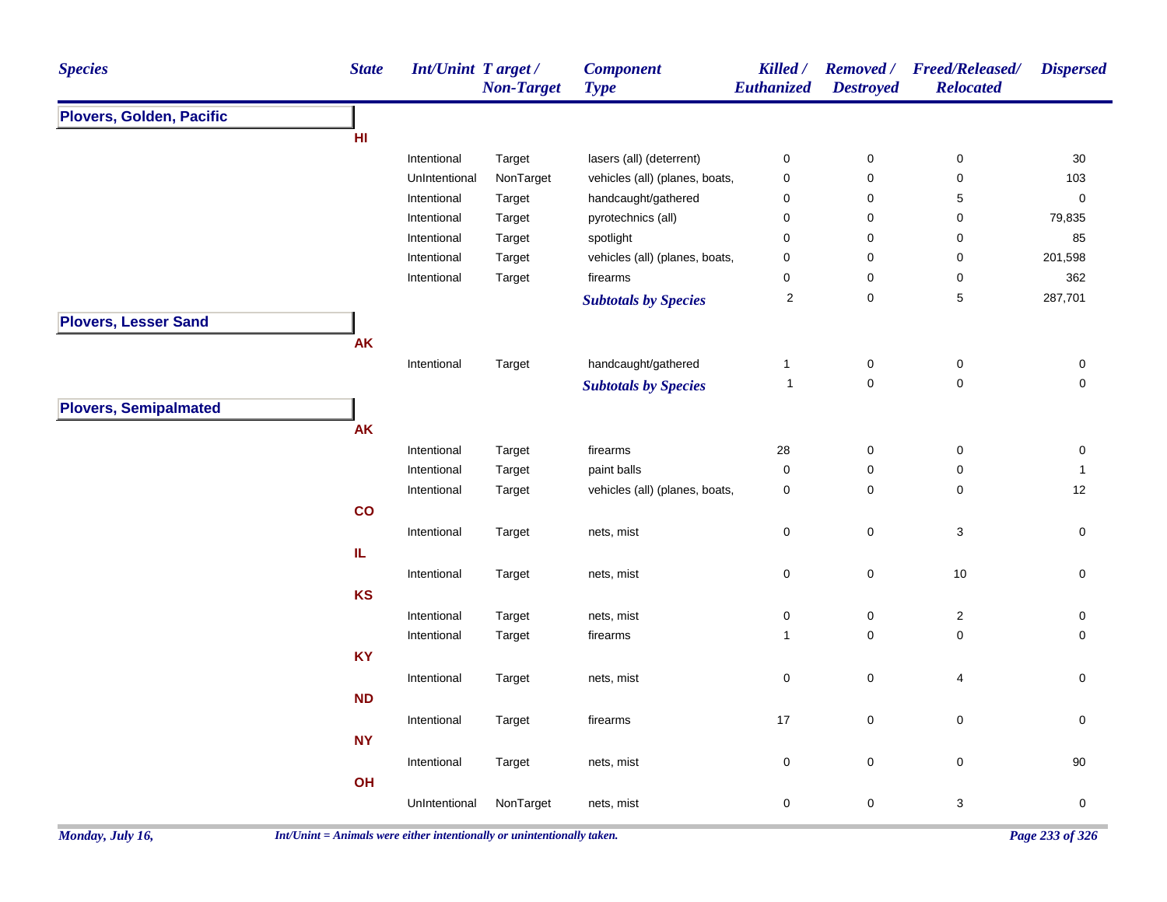| <b>Species</b>               | <b>State</b> | Int/Unint Target/ | <b>Non-Target</b> | <b>Component</b><br><b>Type</b> | Killed /<br>Euthanized  | <b>Destroyed</b> | Removed / Freed/Released/<br><b>Relocated</b> | <b>Dispersed</b>    |
|------------------------------|--------------|-------------------|-------------------|---------------------------------|-------------------------|------------------|-----------------------------------------------|---------------------|
| Plovers, Golden, Pacific     |              |                   |                   |                                 |                         |                  |                                               |                     |
|                              | HI           |                   |                   |                                 |                         |                  |                                               |                     |
|                              |              | Intentional       | Target            | lasers (all) (deterrent)        | $\pmb{0}$               | $\pmb{0}$        | $\pmb{0}$                                     | 30                  |
|                              |              | UnIntentional     | NonTarget         | vehicles (all) (planes, boats,  | $\pmb{0}$               | 0                | $\pmb{0}$                                     | 103                 |
|                              |              | Intentional       | Target            | handcaught/gathered             | $\boldsymbol{0}$        | 0                | 5                                             | $\pmb{0}$           |
|                              |              | Intentional       | Target            | pyrotechnics (all)              | $\mathbf 0$             | 0                | 0                                             | 79,835              |
|                              |              | Intentional       | Target            | spotlight                       | $\mathbf 0$             | 0                | 0                                             | 85                  |
|                              |              | Intentional       | Target            | vehicles (all) (planes, boats,  | $\mathbf 0$             | 0                | $\mathbf 0$                                   | 201,598             |
|                              |              | Intentional       | Target            | firearms                        | $\mathbf 0$             | 0                | 0                                             | 362                 |
|                              |              |                   |                   | <b>Subtotals by Species</b>     | $\overline{\mathbf{c}}$ | 0                | $\mathbf 5$                                   | 287,701             |
| <b>Plovers, Lesser Sand</b>  |              |                   |                   |                                 |                         |                  |                                               |                     |
|                              | <b>AK</b>    |                   |                   |                                 |                         |                  |                                               |                     |
|                              |              | Intentional       | Target            | handcaught/gathered             | $\mathbf{1}$            | $\pmb{0}$        | $\pmb{0}$                                     | 0                   |
|                              |              |                   |                   | <b>Subtotals by Species</b>     | $\overline{1}$          | $\mathbf 0$      | $\pmb{0}$                                     | $\mathsf{O}\xspace$ |
| <b>Plovers, Semipalmated</b> |              |                   |                   |                                 |                         |                  |                                               |                     |
|                              | AK           |                   |                   |                                 |                         |                  |                                               |                     |
|                              |              | Intentional       | Target            | firearms                        | 28                      | $\pmb{0}$        | $\pmb{0}$                                     | 0                   |
|                              |              | Intentional       | Target            | paint balls                     | $\pmb{0}$               | 0                | $\pmb{0}$                                     | $\mathbf{1}$        |
|                              |              | Intentional       | Target            | vehicles (all) (planes, boats,  | $\pmb{0}$               | 0                | $\mathbf 0$                                   | 12                  |
|                              | co           |                   |                   |                                 |                         |                  |                                               |                     |
|                              |              | Intentional       | Target            | nets, mist                      | $\pmb{0}$               | 0                | 3                                             | $\mathsf{O}\xspace$ |
|                              | IL.          |                   |                   |                                 |                         |                  |                                               |                     |
|                              |              | Intentional       | Target            | nets, mist                      | $\boldsymbol{0}$        | $\mathbf 0$      | $10$                                          | 0                   |
|                              | <b>KS</b>    |                   |                   |                                 |                         |                  |                                               |                     |
|                              |              | Intentional       | Target            | nets, mist                      | $\pmb{0}$               | 0                | $\sqrt{2}$                                    | 0                   |
|                              |              | Intentional       | Target            | firearms                        | $\mathbf{1}$            | 0                | 0                                             | $\mathbf 0$         |
|                              | KY           |                   |                   |                                 |                         |                  |                                               |                     |
|                              |              | Intentional       | Target            | nets, mist                      | $\pmb{0}$               | 0                | 4                                             | 0                   |
|                              | <b>ND</b>    |                   |                   |                                 |                         |                  |                                               |                     |
|                              |              |                   |                   |                                 | 17                      | 0                |                                               |                     |
|                              |              | Intentional       | Target            | firearms                        |                         |                  | $\pmb{0}$                                     | $\mathsf{O}\xspace$ |
|                              | <b>NY</b>    |                   |                   |                                 |                         |                  |                                               |                     |
|                              |              | Intentional       | Target            | nets, mist                      | $\pmb{0}$               | 0                | $\pmb{0}$                                     | 90                  |
|                              | OH           |                   |                   |                                 |                         |                  |                                               |                     |
|                              |              | UnIntentional     | NonTarget         | nets, mist                      | $\pmb{0}$               | 0                | 3                                             | $\pmb{0}$           |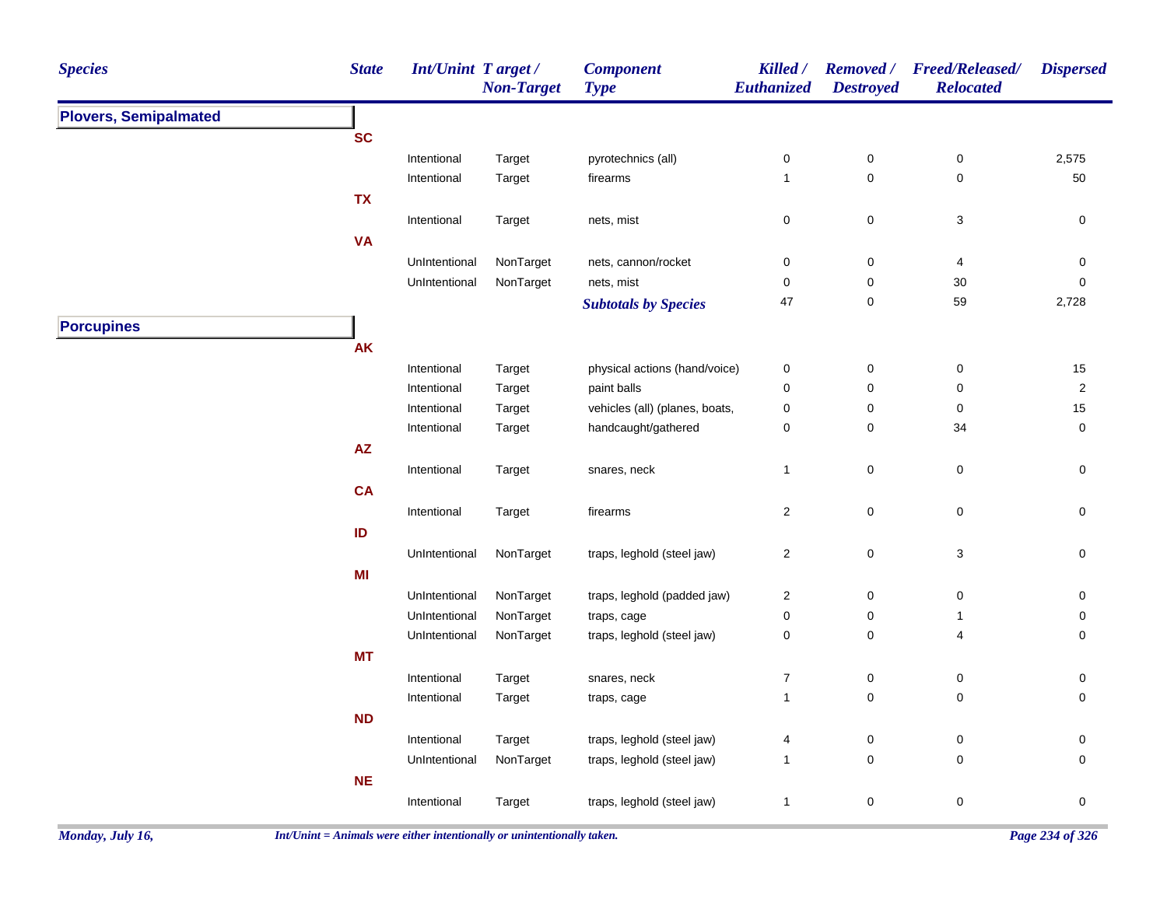| <b>Species</b>               |                                                                                                                                                                                                                                                                                                                                                                                                                                                                                                                                                                                                                                                                                                                                                                                                                                                                                                                                                                                                                                                                                                                                                                                                                                                                                                                                                                                                                                                                                                                                                                                                                                                                                                                                                                                                                                                                                                                                                                                                                                                                                   | <b>Non-Target</b> | <b>Component</b><br><b>Type</b> | Killed /<br>Euthanized | <b>Destroyed</b> | Removed / Freed/Released/<br><b>Relocated</b> | <b>Dispersed</b>    |
|------------------------------|-----------------------------------------------------------------------------------------------------------------------------------------------------------------------------------------------------------------------------------------------------------------------------------------------------------------------------------------------------------------------------------------------------------------------------------------------------------------------------------------------------------------------------------------------------------------------------------------------------------------------------------------------------------------------------------------------------------------------------------------------------------------------------------------------------------------------------------------------------------------------------------------------------------------------------------------------------------------------------------------------------------------------------------------------------------------------------------------------------------------------------------------------------------------------------------------------------------------------------------------------------------------------------------------------------------------------------------------------------------------------------------------------------------------------------------------------------------------------------------------------------------------------------------------------------------------------------------------------------------------------------------------------------------------------------------------------------------------------------------------------------------------------------------------------------------------------------------------------------------------------------------------------------------------------------------------------------------------------------------------------------------------------------------------------------------------------------------|-------------------|---------------------------------|------------------------|------------------|-----------------------------------------------|---------------------|
| <b>Plovers, Semipalmated</b> | <b>State</b><br><b>Int/Unint Target/</b><br><b>SC</b><br>Intentional<br>pyrotechnics (all)<br>$\pmb{0}$<br>$\pmb{0}$<br>0<br>Target<br>$\mathsf 0$<br>$\mathsf 0$<br>$\mathbf{1}$<br>Intentional<br>firearms<br>Target<br><b>TX</b><br>$\pmb{0}$<br>$\pmb{0}$<br>$\ensuremath{\mathsf{3}}$<br>Intentional<br>Target<br>nets, mist<br><b>VA</b><br>UnIntentional<br>NonTarget<br>nets, cannon/rocket<br>$\mathbf 0$<br>$\mathbf 0$<br>4<br>UnIntentional<br>NonTarget<br>$\mathbf 0$<br>$\mathbf 0$<br>$30\,$<br>nets, mist<br>59<br>47<br>$\pmb{0}$<br><b>Subtotals by Species</b><br><b>AK</b><br>physical actions (hand/voice)<br>$\mathbf 0$<br>0<br>Intentional<br>Target<br>0<br>paint balls<br>$\pmb{0}$<br>$\pmb{0}$<br>Intentional<br>$\mathbf 0$<br>Target<br>vehicles (all) (planes, boats,<br>$\pmb{0}$<br>$\pmb{0}$<br>Intentional<br>0<br>Target<br>handcaught/gathered<br>$\pmb{0}$<br>$\pmb{0}$<br>34<br>Intentional<br>Target<br>${\sf AZ}$<br>$\pmb{0}$<br>$\pmb{0}$<br>Intentional<br>Target<br>$\mathbf{1}$<br>snares, neck<br><b>CA</b><br>$\mathsf 0$<br>$\overline{c}$<br>$\pmb{0}$<br>Intentional<br>Target<br>firearms<br>ID<br>$\mathsf 0$<br>$\sqrt{3}$<br>NonTarget<br>traps, leghold (steel jaw)<br>$\overline{\mathbf{c}}$<br>UnIntentional<br>MI<br>traps, leghold (padded jaw)<br>$\sqrt{2}$<br>$\pmb{0}$<br>$\mathsf 0$<br>UnIntentional<br>NonTarget<br>$\pmb{0}$<br>UnIntentional<br>NonTarget<br>$\mathbf 0$<br>traps, cage<br>$\mathbf{1}$<br>$\mathbf 0$<br>NonTarget<br>traps, leghold (steel jaw)<br>$\pmb{0}$<br>UnIntentional<br>4<br><b>MT</b><br>$\boldsymbol{7}$<br>$\pmb{0}$<br>Intentional<br>Target<br>snares, neck<br>$\pmb{0}$<br>$\mathbf{1}$<br>$\mathbf 0$<br>0<br>Intentional<br>Target<br>traps, cage<br><b>ND</b><br>Intentional<br>traps, leghold (steel jaw)<br>$\pmb{0}$<br>0<br>Target<br>4<br>NonTarget<br>traps, leghold (steel jaw)<br>$\mathsf{O}\xspace$<br>$\pmb{0}$<br>UnIntentional<br>$\mathbf{1}$<br>$NE$<br>$\mathsf{O}\xspace$<br>traps, leghold (steel jaw)<br>$\mathbf{1}$<br>0<br>Intentional<br>Target |                   |                                 |                        |                  |                                               |                     |
|                              |                                                                                                                                                                                                                                                                                                                                                                                                                                                                                                                                                                                                                                                                                                                                                                                                                                                                                                                                                                                                                                                                                                                                                                                                                                                                                                                                                                                                                                                                                                                                                                                                                                                                                                                                                                                                                                                                                                                                                                                                                                                                                   |                   |                                 |                        |                  |                                               |                     |
|                              |                                                                                                                                                                                                                                                                                                                                                                                                                                                                                                                                                                                                                                                                                                                                                                                                                                                                                                                                                                                                                                                                                                                                                                                                                                                                                                                                                                                                                                                                                                                                                                                                                                                                                                                                                                                                                                                                                                                                                                                                                                                                                   |                   |                                 |                        |                  |                                               | 2,575               |
|                              |                                                                                                                                                                                                                                                                                                                                                                                                                                                                                                                                                                                                                                                                                                                                                                                                                                                                                                                                                                                                                                                                                                                                                                                                                                                                                                                                                                                                                                                                                                                                                                                                                                                                                                                                                                                                                                                                                                                                                                                                                                                                                   |                   |                                 |                        |                  |                                               | 50                  |
|                              |                                                                                                                                                                                                                                                                                                                                                                                                                                                                                                                                                                                                                                                                                                                                                                                                                                                                                                                                                                                                                                                                                                                                                                                                                                                                                                                                                                                                                                                                                                                                                                                                                                                                                                                                                                                                                                                                                                                                                                                                                                                                                   |                   |                                 |                        |                  |                                               |                     |
|                              |                                                                                                                                                                                                                                                                                                                                                                                                                                                                                                                                                                                                                                                                                                                                                                                                                                                                                                                                                                                                                                                                                                                                                                                                                                                                                                                                                                                                                                                                                                                                                                                                                                                                                                                                                                                                                                                                                                                                                                                                                                                                                   |                   |                                 |                        |                  |                                               | 0                   |
|                              |                                                                                                                                                                                                                                                                                                                                                                                                                                                                                                                                                                                                                                                                                                                                                                                                                                                                                                                                                                                                                                                                                                                                                                                                                                                                                                                                                                                                                                                                                                                                                                                                                                                                                                                                                                                                                                                                                                                                                                                                                                                                                   |                   |                                 |                        |                  |                                               |                     |
|                              |                                                                                                                                                                                                                                                                                                                                                                                                                                                                                                                                                                                                                                                                                                                                                                                                                                                                                                                                                                                                                                                                                                                                                                                                                                                                                                                                                                                                                                                                                                                                                                                                                                                                                                                                                                                                                                                                                                                                                                                                                                                                                   |                   |                                 |                        |                  |                                               | 0                   |
|                              |                                                                                                                                                                                                                                                                                                                                                                                                                                                                                                                                                                                                                                                                                                                                                                                                                                                                                                                                                                                                                                                                                                                                                                                                                                                                                                                                                                                                                                                                                                                                                                                                                                                                                                                                                                                                                                                                                                                                                                                                                                                                                   |                   |                                 |                        |                  |                                               | $\mathbf 0$         |
|                              |                                                                                                                                                                                                                                                                                                                                                                                                                                                                                                                                                                                                                                                                                                                                                                                                                                                                                                                                                                                                                                                                                                                                                                                                                                                                                                                                                                                                                                                                                                                                                                                                                                                                                                                                                                                                                                                                                                                                                                                                                                                                                   |                   |                                 |                        |                  |                                               | 2,728               |
| <b>Porcupines</b>            |                                                                                                                                                                                                                                                                                                                                                                                                                                                                                                                                                                                                                                                                                                                                                                                                                                                                                                                                                                                                                                                                                                                                                                                                                                                                                                                                                                                                                                                                                                                                                                                                                                                                                                                                                                                                                                                                                                                                                                                                                                                                                   |                   |                                 |                        |                  |                                               |                     |
|                              |                                                                                                                                                                                                                                                                                                                                                                                                                                                                                                                                                                                                                                                                                                                                                                                                                                                                                                                                                                                                                                                                                                                                                                                                                                                                                                                                                                                                                                                                                                                                                                                                                                                                                                                                                                                                                                                                                                                                                                                                                                                                                   |                   |                                 |                        |                  |                                               |                     |
|                              |                                                                                                                                                                                                                                                                                                                                                                                                                                                                                                                                                                                                                                                                                                                                                                                                                                                                                                                                                                                                                                                                                                                                                                                                                                                                                                                                                                                                                                                                                                                                                                                                                                                                                                                                                                                                                                                                                                                                                                                                                                                                                   |                   |                                 |                        |                  |                                               | 15                  |
|                              |                                                                                                                                                                                                                                                                                                                                                                                                                                                                                                                                                                                                                                                                                                                                                                                                                                                                                                                                                                                                                                                                                                                                                                                                                                                                                                                                                                                                                                                                                                                                                                                                                                                                                                                                                                                                                                                                                                                                                                                                                                                                                   |                   |                                 |                        |                  |                                               | $\sqrt{2}$          |
|                              |                                                                                                                                                                                                                                                                                                                                                                                                                                                                                                                                                                                                                                                                                                                                                                                                                                                                                                                                                                                                                                                                                                                                                                                                                                                                                                                                                                                                                                                                                                                                                                                                                                                                                                                                                                                                                                                                                                                                                                                                                                                                                   |                   |                                 |                        |                  |                                               | 15                  |
|                              |                                                                                                                                                                                                                                                                                                                                                                                                                                                                                                                                                                                                                                                                                                                                                                                                                                                                                                                                                                                                                                                                                                                                                                                                                                                                                                                                                                                                                                                                                                                                                                                                                                                                                                                                                                                                                                                                                                                                                                                                                                                                                   |                   |                                 |                        |                  |                                               | $\mathsf{O}\xspace$ |
|                              |                                                                                                                                                                                                                                                                                                                                                                                                                                                                                                                                                                                                                                                                                                                                                                                                                                                                                                                                                                                                                                                                                                                                                                                                                                                                                                                                                                                                                                                                                                                                                                                                                                                                                                                                                                                                                                                                                                                                                                                                                                                                                   |                   |                                 |                        |                  |                                               |                     |
|                              |                                                                                                                                                                                                                                                                                                                                                                                                                                                                                                                                                                                                                                                                                                                                                                                                                                                                                                                                                                                                                                                                                                                                                                                                                                                                                                                                                                                                                                                                                                                                                                                                                                                                                                                                                                                                                                                                                                                                                                                                                                                                                   |                   |                                 |                        |                  |                                               | 0                   |
|                              |                                                                                                                                                                                                                                                                                                                                                                                                                                                                                                                                                                                                                                                                                                                                                                                                                                                                                                                                                                                                                                                                                                                                                                                                                                                                                                                                                                                                                                                                                                                                                                                                                                                                                                                                                                                                                                                                                                                                                                                                                                                                                   |                   |                                 |                        |                  |                                               |                     |
|                              |                                                                                                                                                                                                                                                                                                                                                                                                                                                                                                                                                                                                                                                                                                                                                                                                                                                                                                                                                                                                                                                                                                                                                                                                                                                                                                                                                                                                                                                                                                                                                                                                                                                                                                                                                                                                                                                                                                                                                                                                                                                                                   |                   |                                 |                        |                  |                                               | $\mathsf{O}\xspace$ |
|                              |                                                                                                                                                                                                                                                                                                                                                                                                                                                                                                                                                                                                                                                                                                                                                                                                                                                                                                                                                                                                                                                                                                                                                                                                                                                                                                                                                                                                                                                                                                                                                                                                                                                                                                                                                                                                                                                                                                                                                                                                                                                                                   |                   |                                 |                        |                  |                                               |                     |
|                              |                                                                                                                                                                                                                                                                                                                                                                                                                                                                                                                                                                                                                                                                                                                                                                                                                                                                                                                                                                                                                                                                                                                                                                                                                                                                                                                                                                                                                                                                                                                                                                                                                                                                                                                                                                                                                                                                                                                                                                                                                                                                                   |                   |                                 |                        |                  |                                               | 0                   |
|                              |                                                                                                                                                                                                                                                                                                                                                                                                                                                                                                                                                                                                                                                                                                                                                                                                                                                                                                                                                                                                                                                                                                                                                                                                                                                                                                                                                                                                                                                                                                                                                                                                                                                                                                                                                                                                                                                                                                                                                                                                                                                                                   |                   |                                 |                        |                  |                                               |                     |
|                              |                                                                                                                                                                                                                                                                                                                                                                                                                                                                                                                                                                                                                                                                                                                                                                                                                                                                                                                                                                                                                                                                                                                                                                                                                                                                                                                                                                                                                                                                                                                                                                                                                                                                                                                                                                                                                                                                                                                                                                                                                                                                                   |                   |                                 |                        |                  |                                               | 0                   |
|                              |                                                                                                                                                                                                                                                                                                                                                                                                                                                                                                                                                                                                                                                                                                                                                                                                                                                                                                                                                                                                                                                                                                                                                                                                                                                                                                                                                                                                                                                                                                                                                                                                                                                                                                                                                                                                                                                                                                                                                                                                                                                                                   |                   |                                 |                        |                  |                                               | 0                   |
|                              |                                                                                                                                                                                                                                                                                                                                                                                                                                                                                                                                                                                                                                                                                                                                                                                                                                                                                                                                                                                                                                                                                                                                                                                                                                                                                                                                                                                                                                                                                                                                                                                                                                                                                                                                                                                                                                                                                                                                                                                                                                                                                   |                   |                                 |                        |                  |                                               | 0                   |
|                              |                                                                                                                                                                                                                                                                                                                                                                                                                                                                                                                                                                                                                                                                                                                                                                                                                                                                                                                                                                                                                                                                                                                                                                                                                                                                                                                                                                                                                                                                                                                                                                                                                                                                                                                                                                                                                                                                                                                                                                                                                                                                                   |                   |                                 |                        |                  |                                               |                     |
|                              |                                                                                                                                                                                                                                                                                                                                                                                                                                                                                                                                                                                                                                                                                                                                                                                                                                                                                                                                                                                                                                                                                                                                                                                                                                                                                                                                                                                                                                                                                                                                                                                                                                                                                                                                                                                                                                                                                                                                                                                                                                                                                   |                   |                                 |                        |                  |                                               | $\pmb{0}$           |
|                              |                                                                                                                                                                                                                                                                                                                                                                                                                                                                                                                                                                                                                                                                                                                                                                                                                                                                                                                                                                                                                                                                                                                                                                                                                                                                                                                                                                                                                                                                                                                                                                                                                                                                                                                                                                                                                                                                                                                                                                                                                                                                                   |                   |                                 |                        |                  |                                               | 0                   |
|                              |                                                                                                                                                                                                                                                                                                                                                                                                                                                                                                                                                                                                                                                                                                                                                                                                                                                                                                                                                                                                                                                                                                                                                                                                                                                                                                                                                                                                                                                                                                                                                                                                                                                                                                                                                                                                                                                                                                                                                                                                                                                                                   |                   |                                 |                        |                  |                                               |                     |
|                              |                                                                                                                                                                                                                                                                                                                                                                                                                                                                                                                                                                                                                                                                                                                                                                                                                                                                                                                                                                                                                                                                                                                                                                                                                                                                                                                                                                                                                                                                                                                                                                                                                                                                                                                                                                                                                                                                                                                                                                                                                                                                                   |                   |                                 |                        |                  |                                               | 0                   |
|                              |                                                                                                                                                                                                                                                                                                                                                                                                                                                                                                                                                                                                                                                                                                                                                                                                                                                                                                                                                                                                                                                                                                                                                                                                                                                                                                                                                                                                                                                                                                                                                                                                                                                                                                                                                                                                                                                                                                                                                                                                                                                                                   |                   |                                 |                        |                  |                                               | $\mathbf 0$         |
|                              |                                                                                                                                                                                                                                                                                                                                                                                                                                                                                                                                                                                                                                                                                                                                                                                                                                                                                                                                                                                                                                                                                                                                                                                                                                                                                                                                                                                                                                                                                                                                                                                                                                                                                                                                                                                                                                                                                                                                                                                                                                                                                   |                   |                                 |                        |                  |                                               |                     |
|                              |                                                                                                                                                                                                                                                                                                                                                                                                                                                                                                                                                                                                                                                                                                                                                                                                                                                                                                                                                                                                                                                                                                                                                                                                                                                                                                                                                                                                                                                                                                                                                                                                                                                                                                                                                                                                                                                                                                                                                                                                                                                                                   |                   |                                 |                        |                  |                                               | 0                   |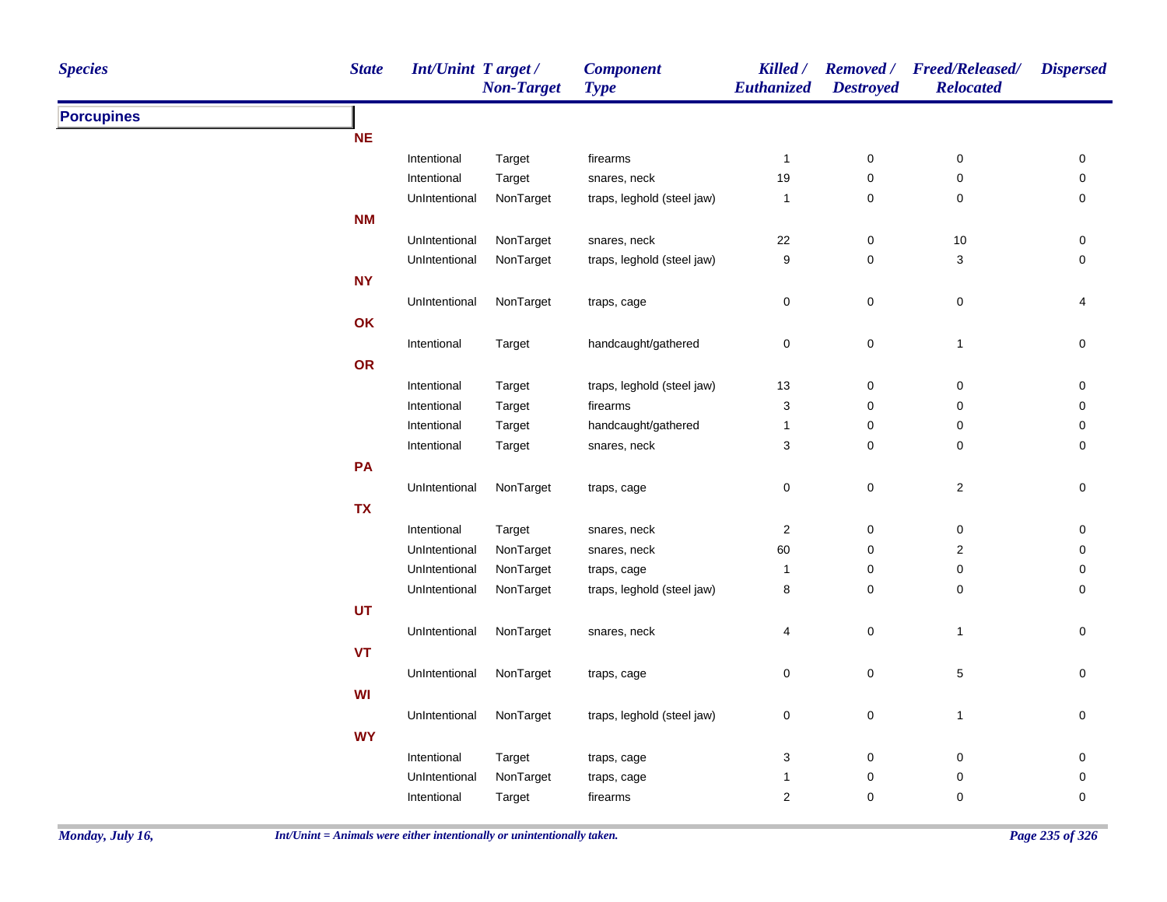| <b>Species</b>    | <b>State</b> | <b>Int/Unint Target/</b> | <b>Non-Target</b> | <b>Component</b><br><b>Type</b> | Killed /<br>Euthanized    | <b>Destroyed</b> | Removed / Freed/Released/<br><b>Relocated</b> | <b>Dispersed</b> |
|-------------------|--------------|--------------------------|-------------------|---------------------------------|---------------------------|------------------|-----------------------------------------------|------------------|
| <b>Porcupines</b> |              |                          |                   |                                 |                           |                  |                                               |                  |
|                   | NE           |                          |                   |                                 |                           |                  |                                               |                  |
|                   |              | Intentional              | Target            | firearms                        | $\mathbf{1}$              | $\pmb{0}$        | $\pmb{0}$                                     | 0                |
|                   |              | Intentional              | Target            | snares, neck                    | 19                        | 0                | 0                                             | 0                |
|                   |              | UnIntentional            | NonTarget         | traps, leghold (steel jaw)      | $\mathbf{1}$              | $\mathsf 0$      | 0                                             | 0                |
|                   | <b>NM</b>    |                          |                   |                                 |                           |                  |                                               |                  |
|                   |              | UnIntentional            | NonTarget         | snares, neck                    | 22                        | $\pmb{0}$        | $10$                                          | 0                |
|                   |              | UnIntentional            | NonTarget         | traps, leghold (steel jaw)      | $\boldsymbol{9}$          | 0                | $\sqrt{3}$                                    | 0                |
|                   | <b>NY</b>    |                          |                   |                                 |                           |                  |                                               |                  |
|                   |              | UnIntentional            | NonTarget         | traps, cage                     | $\pmb{0}$                 | $\pmb{0}$        | $\pmb{0}$                                     | 4                |
|                   | OK           |                          |                   |                                 |                           |                  |                                               |                  |
|                   |              | Intentional              | Target            | handcaught/gathered             | $\pmb{0}$                 | $\pmb{0}$        | $\overline{1}$                                | $\mathsf 0$      |
|                   | OR           |                          |                   |                                 |                           |                  |                                               |                  |
|                   |              | Intentional              | Target            | traps, leghold (steel jaw)      | 13                        | $\mathsf 0$      | $\pmb{0}$                                     | 0                |
|                   |              | Intentional              | Target            | firearms                        | $\ensuremath{\mathsf{3}}$ | $\pmb{0}$        | $\pmb{0}$                                     | 0                |
|                   |              | Intentional              | Target            | handcaught/gathered             | $\mathbf{1}$              | $\pmb{0}$        | $\pmb{0}$                                     | 0                |
|                   |              | Intentional              | Target            | snares, neck                    | $\ensuremath{\mathsf{3}}$ | $\pmb{0}$        | $\pmb{0}$                                     | 0                |
|                   | PA           |                          |                   |                                 |                           |                  |                                               |                  |
|                   |              | UnIntentional            | NonTarget         | traps, cage                     | 0                         | $\mathsf 0$      | $\overline{2}$                                | 0                |
|                   | <b>TX</b>    |                          |                   |                                 |                           |                  |                                               |                  |
|                   |              | Intentional              | Target            | snares, neck                    | 2                         | $\mathbf 0$      | 0                                             | 0                |
|                   |              | UnIntentional            | NonTarget         | snares, neck                    | 60                        | 0                | 2                                             | 0                |
|                   |              | UnIntentional            | NonTarget         | traps, cage                     | $\mathbf{1}$              | 0                | 0                                             | 0                |
|                   |              | UnIntentional            | NonTarget         | traps, leghold (steel jaw)      | 8                         | $\mathbf 0$      | $\mathbf 0$                                   | 0                |
|                   | <b>UT</b>    |                          |                   |                                 |                           |                  |                                               |                  |
|                   |              | UnIntentional            | NonTarget         | snares, neck                    | 4                         | $\pmb{0}$        | $\mathbf{1}$                                  | $\mathsf 0$      |
|                   | <b>VT</b>    |                          |                   |                                 |                           |                  |                                               |                  |
|                   |              | UnIntentional            | NonTarget         | traps, cage                     | $\mathbf 0$               | $\pmb{0}$        | $\,$ 5 $\,$                                   | 0                |
|                   | <b>WI</b>    |                          |                   |                                 |                           |                  |                                               |                  |
|                   |              |                          |                   |                                 |                           |                  |                                               |                  |
|                   |              | UnIntentional            | NonTarget         | traps, leghold (steel jaw)      | $\pmb{0}$                 | $\pmb{0}$        | $\mathbf{1}$                                  | $\pmb{0}$        |
|                   | <b>WY</b>    |                          |                   |                                 |                           |                  |                                               |                  |
|                   |              | Intentional              | Target            | traps, cage                     | $\ensuremath{\mathsf{3}}$ | $\pmb{0}$        | $\mathbf 0$                                   | 0                |
|                   |              | UnIntentional            | NonTarget         | traps, cage                     | 1                         | $\pmb{0}$        | $\pmb{0}$                                     | 0                |
|                   |              | Intentional              | Target            | firearms                        | $\boldsymbol{2}$          | 0                | 0                                             | 0                |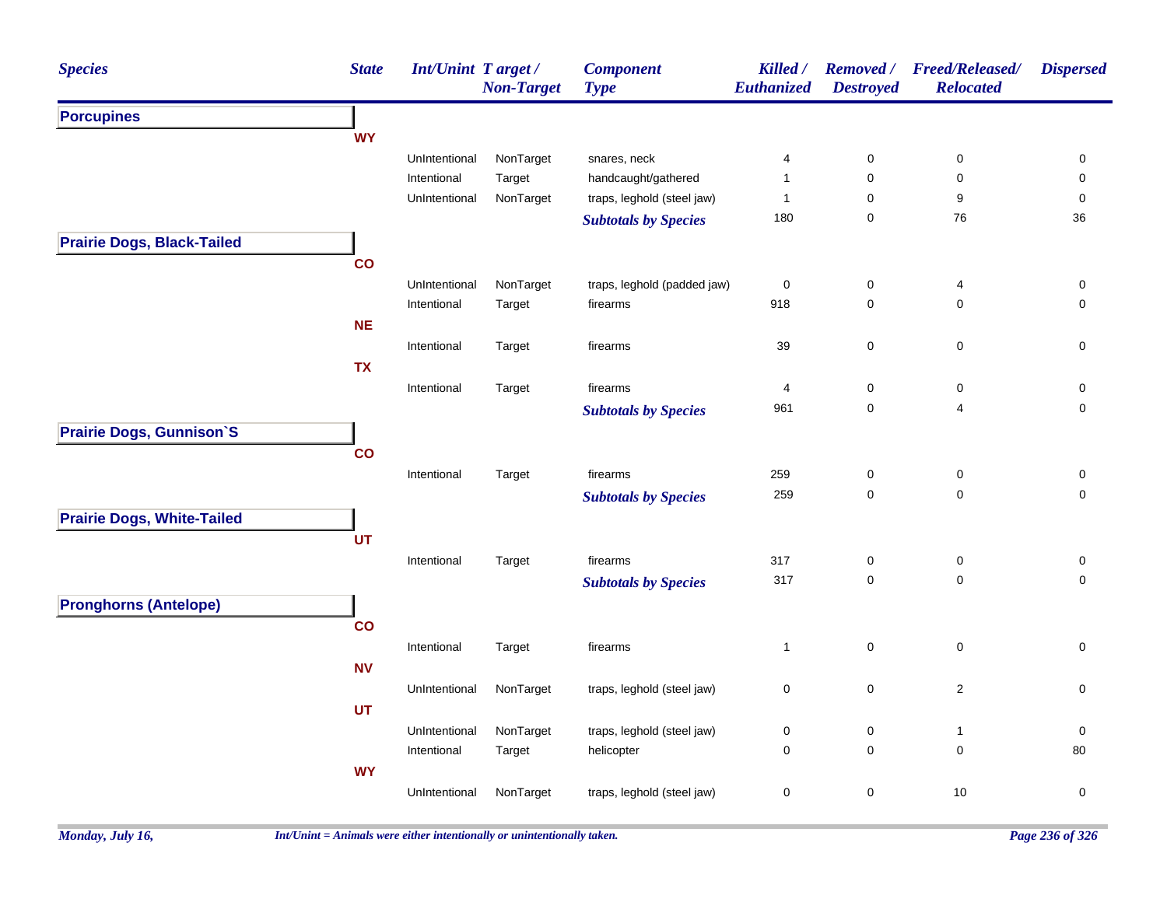| <b>Species</b>                    | <b>State</b> | <b>Int/Unint Target/</b> | <b>Non-Target</b> | <b>Component</b><br><b>Type</b>                                                                                                                                                                                                                                                                                                                                                                                                                                                                                                                                                                                                                                                                                                                                                                                                                                                                                                                                                                                                       | Killed /<br>Euthanized | <b>Removed</b> /<br><b>Destroyed</b> | <b>Freed/Released/</b><br><b>Relocated</b> | <b>Dispersed</b> |
|-----------------------------------|--------------|--------------------------|-------------------|---------------------------------------------------------------------------------------------------------------------------------------------------------------------------------------------------------------------------------------------------------------------------------------------------------------------------------------------------------------------------------------------------------------------------------------------------------------------------------------------------------------------------------------------------------------------------------------------------------------------------------------------------------------------------------------------------------------------------------------------------------------------------------------------------------------------------------------------------------------------------------------------------------------------------------------------------------------------------------------------------------------------------------------|------------------------|--------------------------------------|--------------------------------------------|------------------|
| <b>Porcupines</b>                 |              |                          |                   | snares, neck<br>0<br>$\pmb{0}$<br>4<br>handcaught/gathered<br>$\mathbf{1}$<br>0<br>0<br>traps, leghold (steel jaw)<br>9<br>$\mathbf{1}$<br>0<br>180<br>0<br>76<br><b>Subtotals by Species</b><br>traps, leghold (padded jaw)<br>$\pmb{0}$<br>$\mathsf{O}\xspace$<br>4<br>918<br>$\pmb{0}$<br>$\mathbf 0$<br>firearms<br>$\mathbf 0$<br>39<br>0<br>firearms<br>$\pmb{0}$<br>firearms<br>$\overline{4}$<br>0<br>$\mathbf 0$<br>961<br>$\overline{4}$<br><b>Subtotals by Species</b><br>firearms<br>259<br>$\pmb{0}$<br>$\pmb{0}$<br>259<br>$\mathsf 0$<br>0<br><b>Subtotals by Species</b><br>317<br>$\pmb{0}$<br>$\pmb{0}$<br>firearms<br>317<br>$\mathsf 0$<br>$\mathsf 0$<br><b>Subtotals by Species</b><br>$\mathsf 0$<br>$\mathbf 0$<br>firearms<br>$\mathbf{1}$<br>$\mathsf 0$<br>$\mathbf 2$<br>traps, leghold (steel jaw)<br>$\pmb{0}$<br>traps, leghold (steel jaw)<br>$\pmb{0}$<br>$\pmb{0}$<br>$\mathbf{1}$<br>helicopter<br>$\mathbf 0$<br>$\mathbf 0$<br>0<br>$\mathsf 0$<br>traps, leghold (steel jaw)<br>$\pmb{0}$<br>10 |                        |                                      |                                            |                  |
|                                   | <b>WY</b>    |                          |                   |                                                                                                                                                                                                                                                                                                                                                                                                                                                                                                                                                                                                                                                                                                                                                                                                                                                                                                                                                                                                                                       |                        |                                      |                                            |                  |
|                                   |              | UnIntentional            | NonTarget         |                                                                                                                                                                                                                                                                                                                                                                                                                                                                                                                                                                                                                                                                                                                                                                                                                                                                                                                                                                                                                                       |                        |                                      |                                            | 0                |
|                                   |              | Intentional              | Target            |                                                                                                                                                                                                                                                                                                                                                                                                                                                                                                                                                                                                                                                                                                                                                                                                                                                                                                                                                                                                                                       |                        |                                      |                                            | 0                |
|                                   |              | UnIntentional            | NonTarget         |                                                                                                                                                                                                                                                                                                                                                                                                                                                                                                                                                                                                                                                                                                                                                                                                                                                                                                                                                                                                                                       |                        |                                      |                                            | $\pmb{0}$        |
|                                   |              |                          |                   |                                                                                                                                                                                                                                                                                                                                                                                                                                                                                                                                                                                                                                                                                                                                                                                                                                                                                                                                                                                                                                       |                        |                                      |                                            | 36               |
| <b>Prairie Dogs, Black-Tailed</b> |              |                          |                   |                                                                                                                                                                                                                                                                                                                                                                                                                                                                                                                                                                                                                                                                                                                                                                                                                                                                                                                                                                                                                                       |                        |                                      |                                            |                  |
|                                   | co           |                          |                   |                                                                                                                                                                                                                                                                                                                                                                                                                                                                                                                                                                                                                                                                                                                                                                                                                                                                                                                                                                                                                                       |                        |                                      |                                            |                  |
|                                   |              | UnIntentional            | NonTarget         |                                                                                                                                                                                                                                                                                                                                                                                                                                                                                                                                                                                                                                                                                                                                                                                                                                                                                                                                                                                                                                       |                        |                                      |                                            | 0                |
|                                   |              | Intentional              | Target            |                                                                                                                                                                                                                                                                                                                                                                                                                                                                                                                                                                                                                                                                                                                                                                                                                                                                                                                                                                                                                                       |                        |                                      |                                            | 0                |
|                                   | <b>NE</b>    |                          |                   |                                                                                                                                                                                                                                                                                                                                                                                                                                                                                                                                                                                                                                                                                                                                                                                                                                                                                                                                                                                                                                       |                        |                                      |                                            |                  |
|                                   |              | Intentional              | Target            |                                                                                                                                                                                                                                                                                                                                                                                                                                                                                                                                                                                                                                                                                                                                                                                                                                                                                                                                                                                                                                       |                        |                                      |                                            | 0                |
|                                   | <b>TX</b>    |                          |                   |                                                                                                                                                                                                                                                                                                                                                                                                                                                                                                                                                                                                                                                                                                                                                                                                                                                                                                                                                                                                                                       |                        |                                      |                                            |                  |
|                                   |              | Intentional              | Target            |                                                                                                                                                                                                                                                                                                                                                                                                                                                                                                                                                                                                                                                                                                                                                                                                                                                                                                                                                                                                                                       |                        |                                      |                                            | 0                |
|                                   |              |                          |                   |                                                                                                                                                                                                                                                                                                                                                                                                                                                                                                                                                                                                                                                                                                                                                                                                                                                                                                                                                                                                                                       |                        |                                      |                                            | $\pmb{0}$        |
| Prairie Dogs, Gunnison'S          |              |                          |                   |                                                                                                                                                                                                                                                                                                                                                                                                                                                                                                                                                                                                                                                                                                                                                                                                                                                                                                                                                                                                                                       |                        |                                      |                                            |                  |
|                                   | co           |                          |                   |                                                                                                                                                                                                                                                                                                                                                                                                                                                                                                                                                                                                                                                                                                                                                                                                                                                                                                                                                                                                                                       |                        |                                      |                                            |                  |
|                                   |              | Intentional              | Target            |                                                                                                                                                                                                                                                                                                                                                                                                                                                                                                                                                                                                                                                                                                                                                                                                                                                                                                                                                                                                                                       |                        |                                      |                                            | 0                |
|                                   |              |                          |                   |                                                                                                                                                                                                                                                                                                                                                                                                                                                                                                                                                                                                                                                                                                                                                                                                                                                                                                                                                                                                                                       |                        |                                      |                                            | 0                |
| <b>Prairie Dogs, White-Tailed</b> |              |                          |                   |                                                                                                                                                                                                                                                                                                                                                                                                                                                                                                                                                                                                                                                                                                                                                                                                                                                                                                                                                                                                                                       |                        |                                      |                                            |                  |
|                                   | UT           |                          |                   |                                                                                                                                                                                                                                                                                                                                                                                                                                                                                                                                                                                                                                                                                                                                                                                                                                                                                                                                                                                                                                       |                        |                                      |                                            |                  |
|                                   |              | Intentional              | Target            |                                                                                                                                                                                                                                                                                                                                                                                                                                                                                                                                                                                                                                                                                                                                                                                                                                                                                                                                                                                                                                       |                        |                                      |                                            | $\pmb{0}$        |
|                                   |              |                          |                   |                                                                                                                                                                                                                                                                                                                                                                                                                                                                                                                                                                                                                                                                                                                                                                                                                                                                                                                                                                                                                                       |                        |                                      |                                            | $\mathbf 0$      |
| <b>Pronghorns (Antelope)</b>      |              |                          |                   |                                                                                                                                                                                                                                                                                                                                                                                                                                                                                                                                                                                                                                                                                                                                                                                                                                                                                                                                                                                                                                       |                        |                                      |                                            |                  |
|                                   | co           |                          |                   |                                                                                                                                                                                                                                                                                                                                                                                                                                                                                                                                                                                                                                                                                                                                                                                                                                                                                                                                                                                                                                       |                        |                                      |                                            |                  |
|                                   |              | Intentional              | Target            |                                                                                                                                                                                                                                                                                                                                                                                                                                                                                                                                                                                                                                                                                                                                                                                                                                                                                                                                                                                                                                       |                        |                                      |                                            | $\mathbf 0$      |
|                                   | <b>NV</b>    |                          |                   |                                                                                                                                                                                                                                                                                                                                                                                                                                                                                                                                                                                                                                                                                                                                                                                                                                                                                                                                                                                                                                       |                        |                                      |                                            |                  |
|                                   |              | UnIntentional            | NonTarget         |                                                                                                                                                                                                                                                                                                                                                                                                                                                                                                                                                                                                                                                                                                                                                                                                                                                                                                                                                                                                                                       |                        |                                      |                                            | $\mathbf 0$      |
|                                   | <b>UT</b>    |                          |                   |                                                                                                                                                                                                                                                                                                                                                                                                                                                                                                                                                                                                                                                                                                                                                                                                                                                                                                                                                                                                                                       |                        |                                      |                                            |                  |
|                                   |              | UnIntentional            | NonTarget         |                                                                                                                                                                                                                                                                                                                                                                                                                                                                                                                                                                                                                                                                                                                                                                                                                                                                                                                                                                                                                                       |                        |                                      |                                            | $\pmb{0}$        |
|                                   |              | Intentional              | Target            |                                                                                                                                                                                                                                                                                                                                                                                                                                                                                                                                                                                                                                                                                                                                                                                                                                                                                                                                                                                                                                       |                        |                                      |                                            | 80               |
|                                   | <b>WY</b>    |                          |                   |                                                                                                                                                                                                                                                                                                                                                                                                                                                                                                                                                                                                                                                                                                                                                                                                                                                                                                                                                                                                                                       |                        |                                      |                                            |                  |
|                                   |              |                          | NonTarget         |                                                                                                                                                                                                                                                                                                                                                                                                                                                                                                                                                                                                                                                                                                                                                                                                                                                                                                                                                                                                                                       |                        |                                      |                                            | 0                |
|                                   |              | UnIntentional            |                   |                                                                                                                                                                                                                                                                                                                                                                                                                                                                                                                                                                                                                                                                                                                                                                                                                                                                                                                                                                                                                                       |                        |                                      |                                            |                  |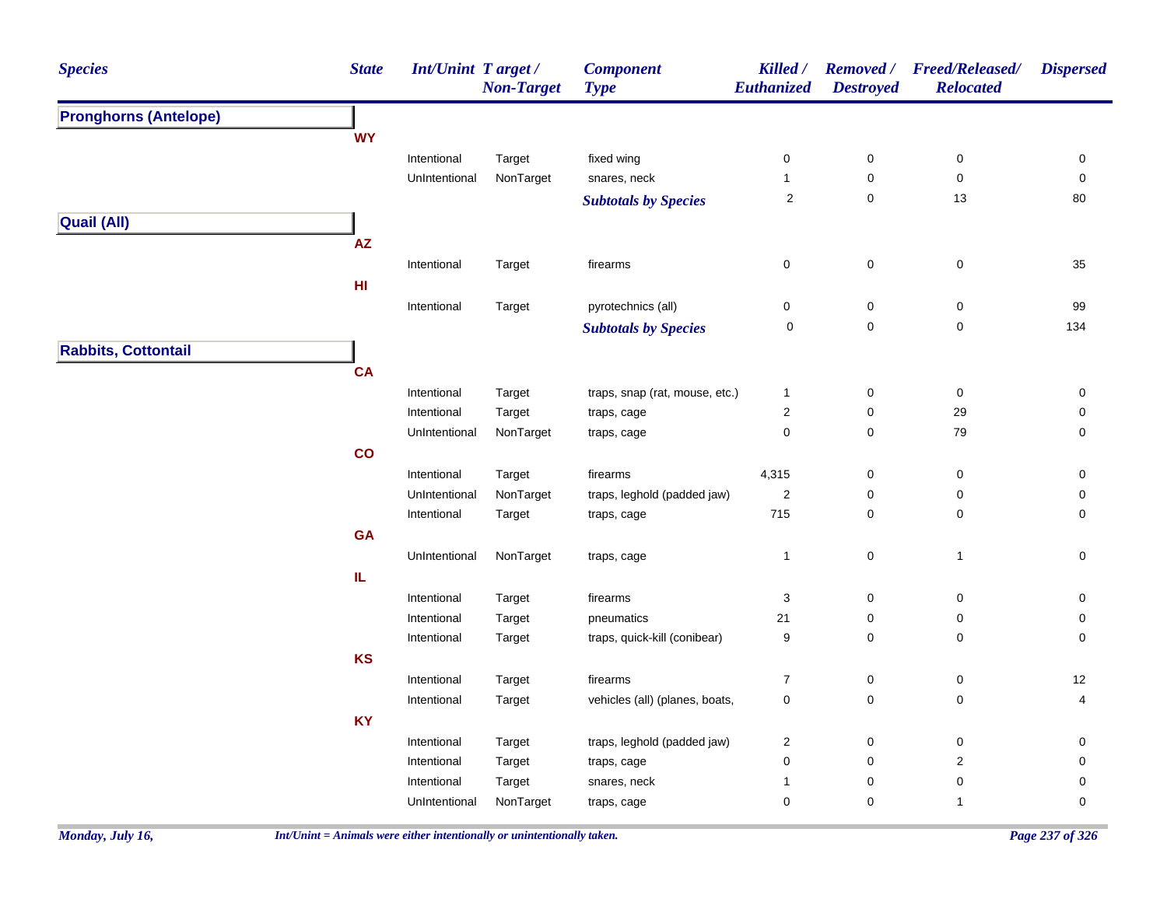| <b>Species</b>               | <b>State</b>  | Int/Unint Target/ | <b>Non-Target</b> | <b>Component</b><br><b>Type</b> | Killed /<br>Euthanized | <b>Removed</b> /<br><b>Destroyed</b> | <b>Freed/Released/</b><br><b>Relocated</b> | <b>Dispersed</b>    |
|------------------------------|---------------|-------------------|-------------------|---------------------------------|------------------------|--------------------------------------|--------------------------------------------|---------------------|
| <b>Pronghorns (Antelope)</b> |               |                   |                   |                                 |                        |                                      |                                            |                     |
|                              | <b>WY</b>     |                   |                   |                                 |                        |                                      |                                            |                     |
|                              |               | Intentional       | Target            | fixed wing                      | $\pmb{0}$              | $\pmb{0}$                            | $\pmb{0}$                                  | 0                   |
|                              |               | UnIntentional     | NonTarget         | snares, neck                    | $\mathbf{1}$           | $\pmb{0}$                            | $\pmb{0}$                                  | $\pmb{0}$           |
|                              |               |                   |                   | <b>Subtotals by Species</b>     | $\overline{2}$         | $\mathsf 0$                          | 13                                         | 80                  |
| <b>Quail (All)</b>           |               |                   |                   |                                 |                        |                                      |                                            |                     |
|                              | AZ            |                   |                   |                                 |                        |                                      |                                            |                     |
|                              |               | Intentional       | Target            | firearms                        | $\pmb{0}$              | $\pmb{0}$                            | $\pmb{0}$                                  | 35                  |
|                              | HI            |                   |                   |                                 |                        |                                      |                                            |                     |
|                              |               | Intentional       | Target            | pyrotechnics (all)              | $\pmb{0}$              | $\pmb{0}$                            | $\pmb{0}$                                  | 99                  |
|                              |               |                   |                   | <b>Subtotals by Species</b>     | 0                      | $\mathbf 0$                          | $\mathbf 0$                                | 134                 |
| <b>Rabbits, Cottontail</b>   |               |                   |                   |                                 |                        |                                      |                                            |                     |
|                              |               |                   |                   |                                 |                        |                                      |                                            |                     |
|                              | <b>CA</b>     |                   |                   |                                 |                        |                                      |                                            |                     |
|                              |               | Intentional       | Target            | traps, snap (rat, mouse, etc.)  | $\mathbf{1}$           | $\pmb{0}$                            | $\pmb{0}$                                  | 0                   |
|                              |               | Intentional       | Target            | traps, cage                     | $\sqrt{2}$             | 0                                    | 29                                         | 0                   |
|                              |               | UnIntentional     | NonTarget         | traps, cage                     | $\mathbf 0$            | $\mathbf 0$                          | 79                                         | 0                   |
|                              | $\mathbf{co}$ |                   |                   |                                 |                        |                                      |                                            |                     |
|                              |               | Intentional       | Target            | firearms                        | 4,315                  | 0                                    | 0                                          | 0                   |
|                              |               | UnIntentional     | NonTarget         | traps, leghold (padded jaw)     | $\sqrt{2}$             | 0                                    | $\pmb{0}$                                  | 0                   |
|                              |               | Intentional       | Target            | traps, cage                     | 715                    | 0                                    | 0                                          | 0                   |
|                              | <b>GA</b>     |                   |                   |                                 |                        |                                      |                                            |                     |
|                              |               | UnIntentional     | NonTarget         | traps, cage                     | $\mathbf{1}$           | $\pmb{0}$                            | $\mathbf{1}$                               | $\mathsf{O}\xspace$ |
|                              | IL.           |                   |                   |                                 |                        |                                      |                                            |                     |
|                              |               | Intentional       | Target            | firearms                        | 3                      | 0                                    | 0                                          | 0                   |
|                              |               | Intentional       | Target            | pneumatics                      | 21                     | 0                                    | 0                                          | 0                   |
|                              |               | Intentional       | Target            | traps, quick-kill (conibear)    | 9                      | $\mathbf 0$                          | 0                                          | $\mathbf 0$         |
|                              | KS            |                   |                   |                                 |                        |                                      |                                            |                     |
|                              |               | Intentional       | Target            | firearms                        | $\overline{7}$         | $\pmb{0}$                            | 0                                          | 12                  |
|                              |               | Intentional       | Target            | vehicles (all) (planes, boats,  | $\mathbf 0$            | $\mathbf 0$                          | 0                                          | 4                   |
|                              | <b>KY</b>     |                   |                   |                                 |                        |                                      |                                            |                     |
|                              |               | Intentional       | Target            | traps, leghold (padded jaw)     | $\sqrt{2}$             | $\pmb{0}$                            | $\pmb{0}$                                  | $\pmb{0}$           |
|                              |               | Intentional       | Target            | traps, cage                     | $\pmb{0}$              | $\pmb{0}$                            | $\overline{\mathbf{c}}$                    | $\mathbf 0$         |
|                              |               | Intentional       | Target            | snares, neck                    | $\mathbf{1}$           | 0                                    | 0                                          | 0                   |
|                              |               | UnIntentional     | NonTarget         | traps, cage                     | $\mathbf 0$            | 0                                    | $\mathbf{1}$                               | 0                   |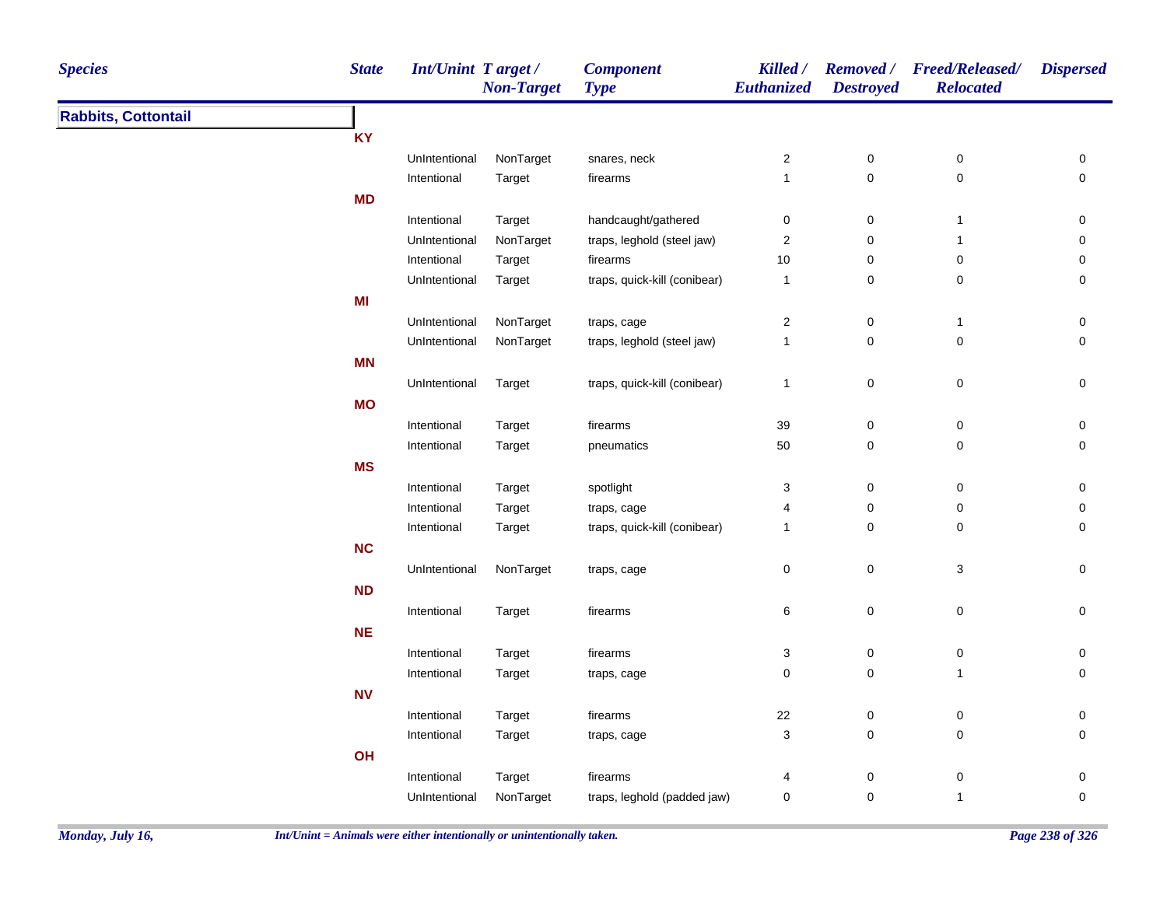| <b>Species</b>             | <b>State</b> | <b>Int/Unint Target/</b> | <b>Non-Target</b> | <b>Component</b><br><b>Type</b> | <b>Killed</b> /<br>Euthanized | <b>Destroyed</b>                | Removed / Freed/Released/<br><b>Relocated</b> | <b>Dispersed</b>    |
|----------------------------|--------------|--------------------------|-------------------|---------------------------------|-------------------------------|---------------------------------|-----------------------------------------------|---------------------|
| <b>Rabbits, Cottontail</b> |              |                          |                   |                                 |                               |                                 |                                               |                     |
|                            | <b>KY</b>    |                          |                   |                                 |                               |                                 |                                               |                     |
|                            |              | UnIntentional            | NonTarget         | snares, neck                    | $\overline{\mathbf{c}}$       | $\pmb{0}$                       | $\pmb{0}$                                     | $\pmb{0}$           |
|                            |              | Intentional              | Target            | firearms                        | $\mathbf{1}$                  | $\pmb{0}$                       | $\mathbf 0$                                   | $\pmb{0}$           |
|                            | <b>MD</b>    |                          |                   |                                 |                               |                                 |                                               |                     |
|                            |              | Intentional              | Target            | handcaught/gathered             | $\pmb{0}$                     | $\pmb{0}$                       | $\mathbf{1}$                                  | $\pmb{0}$           |
|                            |              | UnIntentional            | NonTarget         | traps, leghold (steel jaw)      | $\sqrt{2}$                    | $\pmb{0}$                       | $\mathbf{1}$                                  | $\pmb{0}$           |
|                            |              | Intentional              | Target            | firearms                        | 10                            | $\boldsymbol{0}$                | $\pmb{0}$                                     | $\pmb{0}$           |
|                            |              | UnIntentional            | Target            | traps, quick-kill (conibear)    | $\mathbf{1}$                  | $\boldsymbol{0}$                | 0                                             | 0                   |
|                            | MI           |                          |                   |                                 |                               |                                 |                                               |                     |
|                            |              | UnIntentional            | NonTarget         | traps, cage                     | $\overline{c}$                | $\boldsymbol{0}$                | $\mathbf{1}$                                  | $\pmb{0}$           |
|                            |              | UnIntentional            | NonTarget         | traps, leghold (steel jaw)      | $\mathbf{1}$                  | $\mathbf 0$                     | 0                                             | $\mathbf 0$         |
|                            | <b>MN</b>    |                          |                   |                                 |                               |                                 |                                               |                     |
|                            |              | UnIntentional            | Target            | traps, quick-kill (conibear)    | $\mathbf{1}$                  | $\mathbf 0$                     | $\mathbf 0$                                   | 0                   |
|                            | <b>MO</b>    |                          |                   |                                 |                               |                                 |                                               |                     |
|                            |              | Intentional              | Target            | firearms                        | 39                            | $\pmb{0}$                       | $\pmb{0}$                                     | $\pmb{0}$           |
|                            |              | Intentional              | Target            | pneumatics                      | 50                            | $\pmb{0}$                       | 0                                             | 0                   |
|                            | <b>MS</b>    |                          |                   |                                 |                               |                                 |                                               |                     |
|                            |              | Intentional              | Target            | spotlight                       | $\ensuremath{\mathsf{3}}$     | $\pmb{0}$                       | $\pmb{0}$                                     | $\pmb{0}$           |
|                            |              | Intentional              | Target            | traps, cage                     | $\overline{4}$                | $\boldsymbol{0}$                | 0                                             | $\pmb{0}$           |
|                            |              | Intentional              | Target            | traps, quick-kill (conibear)    | $\mathbf{1}$                  | $\pmb{0}$                       | 0                                             | 0                   |
|                            | <b>NC</b>    |                          |                   |                                 |                               |                                 |                                               |                     |
|                            |              | UnIntentional            | NonTarget         | traps, cage                     | $\pmb{0}$                     | $\pmb{0}$                       | 3                                             | $\pmb{0}$           |
|                            | <b>ND</b>    |                          |                   |                                 |                               |                                 |                                               |                     |
|                            |              | Intentional              | Target            | firearms                        | $\,6$                         | $\pmb{0}$                       | $\pmb{0}$                                     | $\mathbf 0$         |
|                            | $NE$         |                          |                   |                                 |                               |                                 |                                               |                     |
|                            |              | Intentional              | Target            | firearms                        | $\mathsf 3$                   | $\pmb{0}$                       | $\mathbf 0$                                   | 0                   |
|                            |              | Intentional              | Target            | traps, cage                     | $\mathbf 0$                   | $\pmb{0}$                       | $\mathbf{1}$                                  | $\mathbf 0$         |
|                            | <b>NV</b>    |                          |                   |                                 |                               |                                 |                                               |                     |
|                            |              | Intentional              | Target            | firearms                        | 22                            | $\mathbf 0$                     | 0                                             | 0                   |
|                            |              | Intentional              | Target            | traps, cage                     | $\ensuremath{\mathsf{3}}$     | $\pmb{0}$                       | $\pmb{0}$                                     | $\mathbf 0$         |
|                            | OH           |                          |                   |                                 |                               |                                 |                                               |                     |
|                            |              | Intentional              |                   | firearms                        | $\overline{4}$                |                                 |                                               |                     |
|                            |              | UnIntentional            | Target            |                                 | $\mathbf 0$                   | $\boldsymbol{0}$<br>$\mathbf 0$ | $\pmb{0}$<br>$\mathbf{1}$                     | $\pmb{0}$           |
|                            |              |                          | NonTarget         | traps, leghold (padded jaw)     |                               |                                 |                                               | $\mathsf{O}\xspace$ |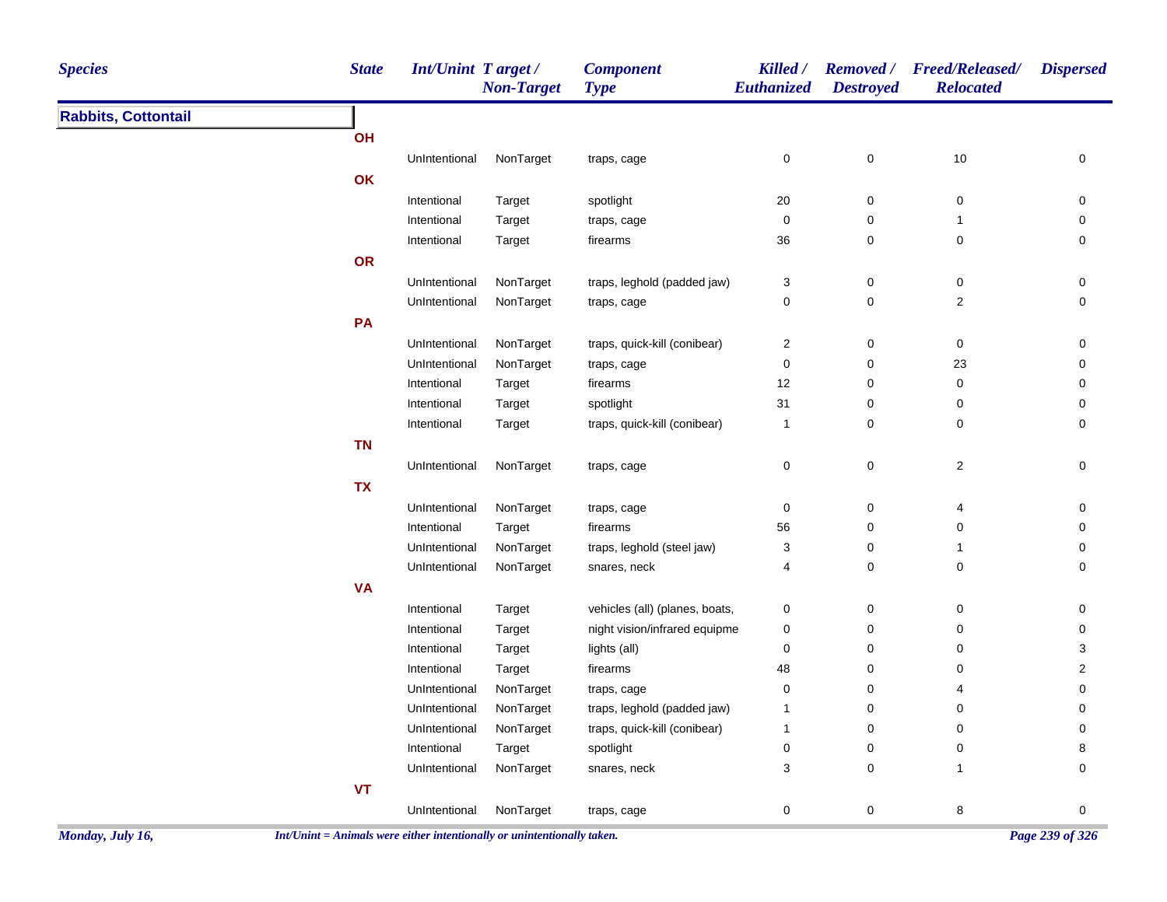| <b>Species</b>             | <b>State</b> | Int/Unint Target/ | <b>Non-Target</b> | <b>Component</b><br><b>Type</b> | Killed /<br>Euthanized    | <b>Removed</b> /<br><b>Destroyed</b> | <b>Freed/Released/</b><br><b>Relocated</b> | <b>Dispersed</b>    |
|----------------------------|--------------|-------------------|-------------------|---------------------------------|---------------------------|--------------------------------------|--------------------------------------------|---------------------|
| <b>Rabbits, Cottontail</b> |              |                   |                   |                                 |                           |                                      |                                            |                     |
|                            | OH           |                   |                   |                                 |                           |                                      |                                            |                     |
|                            |              | UnIntentional     | NonTarget         | traps, cage                     | $\pmb{0}$                 | $\pmb{0}$                            | $10$                                       | 0                   |
|                            | OK           |                   |                   |                                 |                           |                                      |                                            |                     |
|                            |              | Intentional       | Target            | spotlight                       | $20\,$                    | $\mathsf 0$                          | 0                                          | 0                   |
|                            |              | Intentional       | Target            | traps, cage                     | 0                         | $\pmb{0}$                            | $\mathbf{1}$                               | 0                   |
|                            |              | Intentional       | Target            | firearms                        | 36                        | 0                                    | 0                                          | 0                   |
|                            | OR           |                   |                   |                                 |                           |                                      |                                            |                     |
|                            |              | UnIntentional     | NonTarget         | traps, leghold (padded jaw)     | 3                         | $\pmb{0}$                            | $\pmb{0}$                                  | 0                   |
|                            |              | UnIntentional     | NonTarget         | traps, cage                     | $\pmb{0}$                 | $\pmb{0}$                            | $\boldsymbol{2}$                           | $\pmb{0}$           |
|                            | PA           |                   |                   |                                 |                           |                                      |                                            |                     |
|                            |              | UnIntentional     | NonTarget         | traps, quick-kill (conibear)    | $\sqrt{2}$                | $\pmb{0}$                            | $\pmb{0}$                                  | 0                   |
|                            |              | UnIntentional     | NonTarget         | traps, cage                     | $\pmb{0}$                 | $\pmb{0}$                            | 23                                         | 0                   |
|                            |              | Intentional       | Target            | firearms                        | 12                        | $\pmb{0}$                            | 0                                          | 0                   |
|                            |              | Intentional       | Target            | spotlight                       | 31                        | $\pmb{0}$                            | 0                                          | 0                   |
|                            |              | Intentional       | Target            | traps, quick-kill (conibear)    | $\mathbf{1}$              | $\mathbf 0$                          | 0                                          | $\mathbf 0$         |
|                            | <b>TN</b>    |                   |                   |                                 |                           |                                      |                                            |                     |
|                            |              | UnIntentional     | NonTarget         | traps, cage                     | $\pmb{0}$                 | $\mathbf 0$                          | $\overline{c}$                             | $\mathsf{O}\xspace$ |
|                            | <b>TX</b>    |                   |                   |                                 |                           |                                      |                                            |                     |
|                            |              | UnIntentional     | NonTarget         | traps, cage                     | $\mathbf 0$               | $\pmb{0}$                            | 4                                          | 0                   |
|                            |              | Intentional       | Target            | firearms                        | 56                        | $\pmb{0}$                            | $\pmb{0}$                                  | 0                   |
|                            |              | UnIntentional     | NonTarget         | traps, leghold (steel jaw)      | $\ensuremath{\mathsf{3}}$ | $\pmb{0}$                            | 1                                          | 0                   |
|                            |              | UnIntentional     | NonTarget         | snares, neck                    | $\overline{4}$            | 0                                    | 0                                          | 0                   |
|                            | <b>VA</b>    |                   |                   |                                 |                           |                                      |                                            |                     |
|                            |              | Intentional       | Target            | vehicles (all) (planes, boats,  | $\pmb{0}$                 | $\pmb{0}$                            | $\pmb{0}$                                  | 0                   |
|                            |              | Intentional       | Target            | night vision/infrared equipme   | $\pmb{0}$                 | 0                                    | $\mathbf 0$                                | 0                   |
|                            |              | Intentional       | Target            | lights (all)                    | 0                         | 0                                    | 0                                          | 3                   |
|                            |              | Intentional       | Target            | firearms                        | 48                        | $\pmb{0}$                            | 0                                          | 2                   |
|                            |              | UnIntentional     | NonTarget         | traps, cage                     | $\pmb{0}$                 | 0                                    | 4                                          | 0                   |
|                            |              | UnIntentional     | NonTarget         | traps, leghold (padded jaw)     | $\mathbf{1}$              | 0                                    | 0                                          | 0                   |
|                            |              | UnIntentional     | NonTarget         | traps, quick-kill (conibear)    | $\mathbf{1}$              | 0                                    | 0                                          | 0                   |
|                            |              | Intentional       | Target            | spotlight                       | $\pmb{0}$                 | $\pmb{0}$                            | 0                                          | 8                   |
|                            |              | UnIntentional     | NonTarget         | snares, neck                    | 3                         | 0                                    | $\mathbf{1}$                               | $\mathbf 0$         |
|                            | VT           |                   |                   |                                 |                           |                                      |                                            |                     |
|                            |              | UnIntentional     | NonTarget         | traps, cage                     | $\mathsf 0$               | $\pmb{0}$                            | 8                                          | $\pmb{0}$           |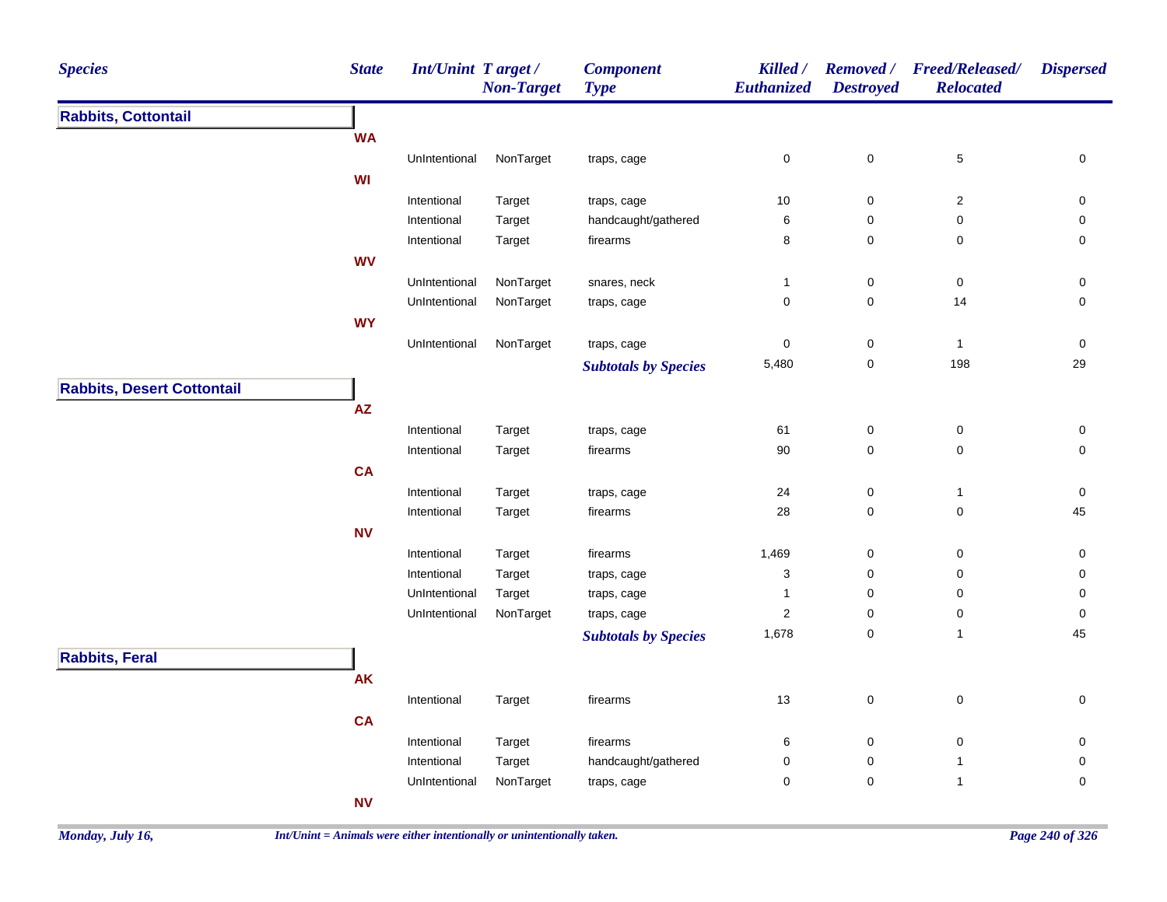| <b>Species</b>                                                                           | <b>State</b> | Int/Unint Target / | <b>Non-Target</b> | <b>Component</b><br><b>Type</b> | Killed /<br>Euthanized  | <b>Removed</b> /<br><b>Destroyed</b> | <b>Freed/Released/</b><br><b>Relocated</b> | <b>Dispersed</b>    |
|------------------------------------------------------------------------------------------|--------------|--------------------|-------------------|---------------------------------|-------------------------|--------------------------------------|--------------------------------------------|---------------------|
| <b>Rabbits, Cottontail</b><br><b>Rabbits, Desert Cottontail</b><br><b>Rabbits, Feral</b> |              |                    |                   |                                 |                         |                                      |                                            |                     |
|                                                                                          | <b>WA</b>    |                    |                   |                                 |                         |                                      |                                            |                     |
|                                                                                          |              | UnIntentional      | NonTarget         | traps, cage                     | 0                       | $\mathbf 0$                          | $\,$ 5 $\,$                                | $\mathsf{O}\xspace$ |
|                                                                                          | WI           |                    |                   |                                 |                         |                                      |                                            |                     |
|                                                                                          |              | Intentional        | Target            | traps, cage                     | 10                      | $\boldsymbol{0}$                     | $\boldsymbol{2}$                           | 0                   |
|                                                                                          |              | Intentional        | Target            | handcaught/gathered             | 6                       | $\pmb{0}$                            | 0                                          | $\mathsf{O}\xspace$ |
|                                                                                          |              | Intentional        | Target            | firearms                        | 8                       | $\mathbf 0$                          | 0                                          | $\mathsf{O}\xspace$ |
|                                                                                          | <b>WV</b>    |                    |                   |                                 |                         |                                      |                                            |                     |
|                                                                                          |              | UnIntentional      | NonTarget         | snares, neck                    | $\mathbf{1}$            | $\boldsymbol{0}$                     | $\pmb{0}$                                  | 0                   |
|                                                                                          |              | UnIntentional      | NonTarget         | traps, cage                     | 0                       | $\mathbf 0$                          | 14                                         | $\pmb{0}$           |
|                                                                                          | <b>WY</b>    |                    |                   |                                 |                         |                                      |                                            |                     |
|                                                                                          |              | UnIntentional      | NonTarget         | traps, cage                     | 0                       | $\boldsymbol{0}$                     | $\mathbf{1}$                               | 0                   |
|                                                                                          |              |                    |                   | <b>Subtotals by Species</b>     | 5,480                   | $\mathbf 0$                          | 198                                        | 29                  |
|                                                                                          |              |                    |                   |                                 |                         |                                      |                                            |                     |
|                                                                                          | AZ           |                    |                   |                                 |                         |                                      |                                            |                     |
|                                                                                          |              | Intentional        | Target            | traps, cage                     | 61                      | $\pmb{0}$                            | $\pmb{0}$                                  | 0                   |
|                                                                                          |              | Intentional        | Target            | firearms                        | 90                      | $\mathbf 0$                          | $\mathbf 0$                                | $\mathbf 0$         |
|                                                                                          | CA           |                    |                   |                                 |                         |                                      |                                            |                     |
|                                                                                          |              | Intentional        | Target            | traps, cage                     | 24                      | $\mathbf 0$                          | $\mathbf{1}$                               | 0                   |
|                                                                                          |              | Intentional        | Target            | firearms                        | 28                      | 0                                    | $\mathsf 0$                                | 45                  |
|                                                                                          | ${\sf NV}$   |                    |                   |                                 |                         |                                      |                                            |                     |
|                                                                                          |              | Intentional        | Target            | firearms                        | 1,469                   | $\mathbf 0$                          | 0                                          | 0                   |
|                                                                                          |              | Intentional        | Target            | traps, cage                     | 3                       | 0                                    | 0                                          | 0                   |
|                                                                                          |              | UnIntentional      | Target            | traps, cage                     | 1                       | $\pmb{0}$                            | $\mathsf 0$                                | $\mathsf{O}\xspace$ |
|                                                                                          |              | UnIntentional      | NonTarget         | traps, cage                     | $\overline{\mathbf{c}}$ | $\pmb{0}$                            | $\pmb{0}$                                  | $\mathsf{O}\xspace$ |
|                                                                                          |              |                    |                   | <b>Subtotals by Species</b>     | 1,678                   | $\pmb{0}$                            | $\mathbf{1}$                               | 45                  |
|                                                                                          |              |                    |                   |                                 |                         |                                      |                                            |                     |
|                                                                                          | <b>AK</b>    |                    |                   |                                 |                         |                                      |                                            |                     |
|                                                                                          |              |                    |                   |                                 | 13                      |                                      |                                            |                     |
|                                                                                          |              | Intentional        | Target            | firearms                        |                         | $\mathbf 0$                          | $\pmb{0}$                                  | $\mathsf 0$         |
|                                                                                          | <b>CA</b>    |                    |                   |                                 |                         |                                      |                                            |                     |
|                                                                                          |              | Intentional        | Target            | firearms                        | 6                       | $\mathbf 0$                          | $\pmb{0}$                                  | 0                   |
|                                                                                          |              | Intentional        | Target            | handcaught/gathered             | 0                       | $\pmb{0}$                            | $\mathbf{1}$                               | 0                   |
|                                                                                          |              | UnIntentional      | NonTarget         | traps, cage                     | 0                       | $\mathbf 0$                          | $\mathbf{1}$                               | $\mathbf 0$         |
|                                                                                          | <b>NV</b>    |                    |                   |                                 |                         |                                      |                                            |                     |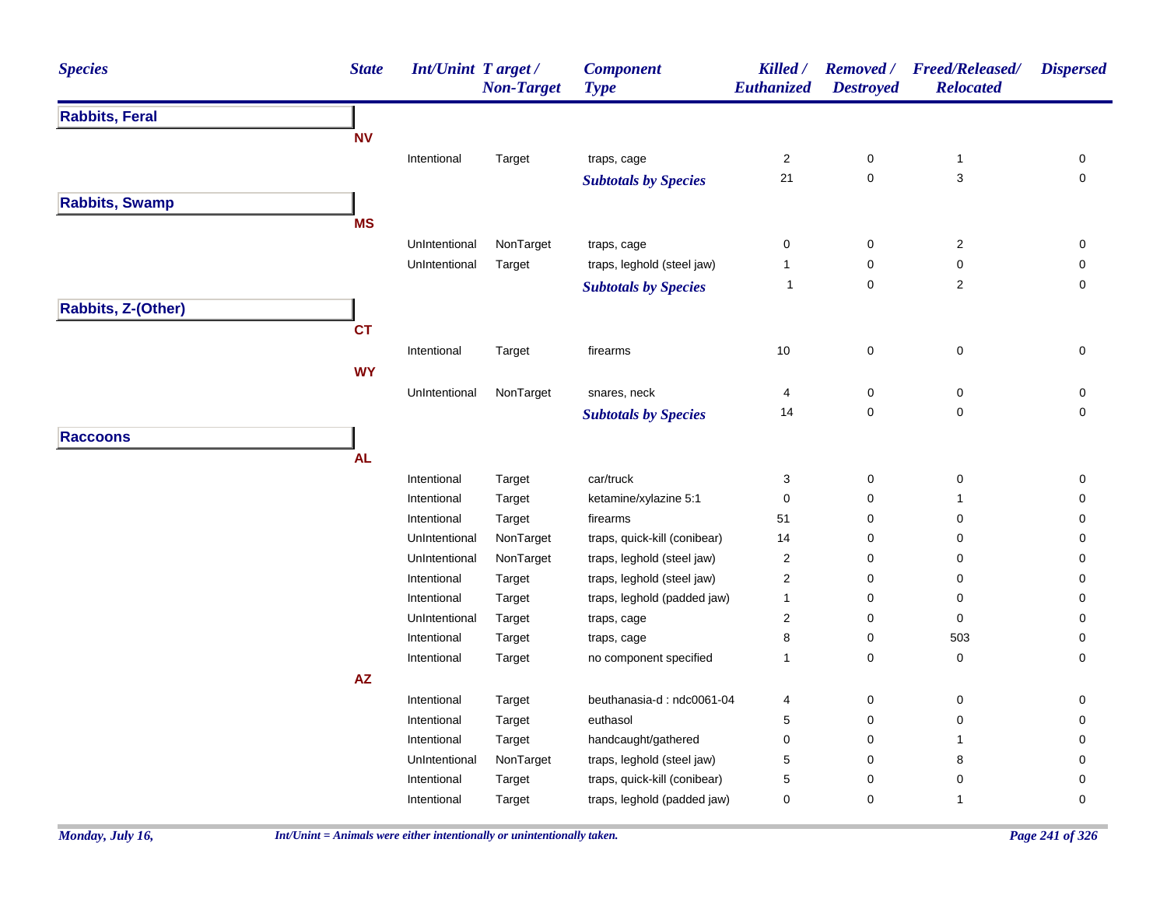| <b>Species</b>        | <b>State</b> | Int/Unint Target/ | <b>Non-Target</b> | <b>Component</b><br><b>Type</b> | Killed /<br>Euthanized | <b>Destroyed</b> | Removed / Freed/Released/<br><b>Relocated</b> | <b>Dispersed</b> |
|-----------------------|--------------|-------------------|-------------------|---------------------------------|------------------------|------------------|-----------------------------------------------|------------------|
| <b>Rabbits, Feral</b> |              |                   |                   |                                 |                        |                  |                                               |                  |
|                       | <b>NV</b>    |                   |                   |                                 |                        |                  |                                               |                  |
|                       |              | Intentional       | Target            | traps, cage                     | $\mathbf{2}$           | $\pmb{0}$        | $\mathbf{1}$                                  | 0                |
|                       |              |                   |                   | <b>Subtotals by Species</b>     | 21                     | $\pmb{0}$        | 3                                             | 0                |
| <b>Rabbits, Swamp</b> |              |                   |                   |                                 |                        |                  |                                               |                  |
|                       | <b>MS</b>    |                   |                   |                                 |                        |                  |                                               |                  |
|                       |              | UnIntentional     | NonTarget         | traps, cage                     | $\mathbf 0$            | 0                | $\mathbf 2$                                   | 0                |
|                       |              | UnIntentional     | Target            | traps, leghold (steel jaw)      | 1                      | 0                | 0                                             | 0                |
|                       |              |                   |                   | <b>Subtotals by Species</b>     | $\mathbf{1}$           | $\mathbf 0$      | $\mathbf 2$                                   | 0                |
|                       |              |                   |                   |                                 |                        |                  |                                               |                  |
| Rabbits, Z-(Other)    |              |                   |                   |                                 |                        |                  |                                               |                  |
|                       | <b>CT</b>    |                   |                   |                                 |                        |                  |                                               |                  |
|                       |              | Intentional       | Target            | firearms                        | 10                     | $\pmb{0}$        | $\pmb{0}$                                     | 0                |
|                       | <b>WY</b>    |                   |                   |                                 |                        |                  |                                               |                  |
|                       |              | UnIntentional     | NonTarget         | snares, neck                    | $\overline{4}$         | $\pmb{0}$        | $\mathbf 0$                                   | 0                |
|                       |              |                   |                   | <b>Subtotals by Species</b>     | 14                     | 0                | 0                                             | 0                |
| <b>Raccoons</b>       |              |                   |                   |                                 |                        |                  |                                               |                  |
|                       | <b>AL</b>    |                   |                   |                                 |                        |                  |                                               |                  |
|                       |              | Intentional       | Target            | car/truck                       | 3                      | $\pmb{0}$        | $\pmb{0}$                                     | 0                |
|                       |              | Intentional       | Target            | ketamine/xylazine 5:1           | $\mathbf 0$            | 0                | 1                                             | 0                |
|                       |              | Intentional       | Target            | firearms                        | 51                     | 0                | 0                                             | 0                |
|                       |              | UnIntentional     | NonTarget         | traps, quick-kill (conibear)    | 14                     | 0                | 0                                             | 0                |
|                       |              | UnIntentional     | NonTarget         | traps, leghold (steel jaw)      | $\overline{c}$         | 0                | 0                                             | 0                |
|                       |              | Intentional       | Target            | traps, leghold (steel jaw)      | $\sqrt{2}$             | 0                | 0                                             | $\mathbf 0$      |
|                       |              | Intentional       | Target            | traps, leghold (padded jaw)     | $\mathbf{1}$           | 0                | 0                                             | $\mathbf 0$      |
|                       |              | UnIntentional     | Target            | traps, cage                     | $\boldsymbol{2}$       | 0                | $\mathbf 0$                                   | 0                |
|                       |              | Intentional       | Target            | traps, cage                     | 8                      | 0                | 503                                           | $\pmb{0}$        |
|                       |              | Intentional       | Target            | no component specified          | $\mathbf{1}$           | 0                | 0                                             | 0                |
|                       | AZ           |                   |                   |                                 |                        |                  |                                               |                  |
|                       |              | Intentional       | Target            | beuthanasia-d: ndc0061-04       | 4                      | 0                | 0                                             | 0                |
|                       |              | Intentional       | Target            | euthasol                        | 5                      | 0                | 0                                             | 0                |
|                       |              | Intentional       | Target            | handcaught/gathered             | $\mathbf 0$            | 0                | 1                                             | 0                |
|                       |              | UnIntentional     | NonTarget         | traps, leghold (steel jaw)      | $\mathbf 5$            | 0                | $\bf8$                                        | $\mathbf 0$      |
|                       |              | Intentional       | Target            | traps, quick-kill (conibear)    | $\mathbf 5$            | 0                | $\pmb{0}$                                     | 0                |
|                       |              | Intentional       | Target            | traps, leghold (padded jaw)     | $\mathbf 0$            | 0                | 1                                             | $\mathbf 0$      |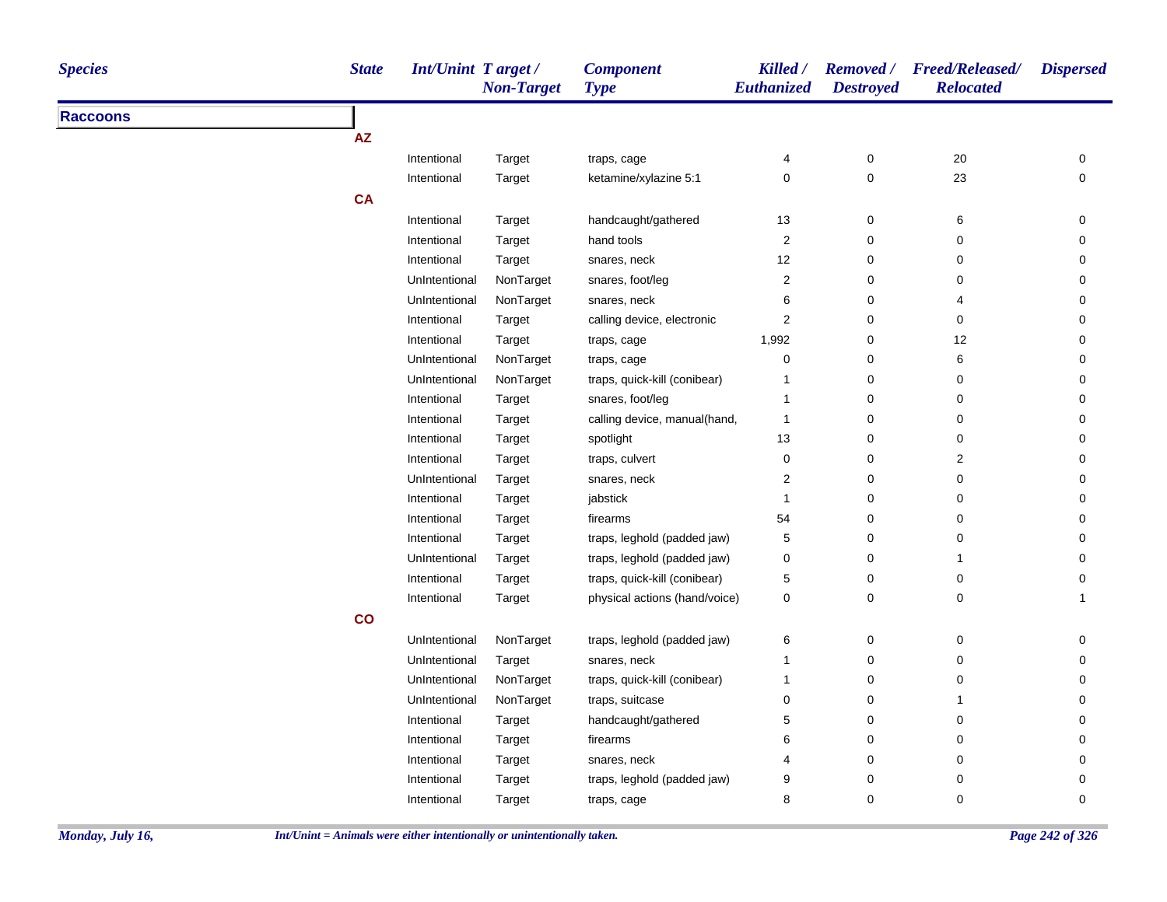| <b>Species</b>  | <b>State</b> | Int/Unint Target/ | <b>Non-Target</b> | <b>Component</b><br><b>Type</b> | Killed /<br>Euthanized  | <b>Destroyed</b> | Removed / Freed/Released/<br><b>Relocated</b> | <b>Dispersed</b>    |
|-----------------|--------------|-------------------|-------------------|---------------------------------|-------------------------|------------------|-----------------------------------------------|---------------------|
| <b>Raccoons</b> |              |                   |                   |                                 |                         |                  |                                               |                     |
|                 | <b>AZ</b>    |                   |                   |                                 |                         |                  |                                               |                     |
|                 |              | Intentional       | Target            | traps, cage                     | 4                       | 0                | 20                                            | 0                   |
|                 |              | Intentional       | Target            | ketamine/xylazine 5:1           | 0                       | $\pmb{0}$        | 23                                            | $\mathsf{O}\xspace$ |
|                 | <b>CA</b>    |                   |                   |                                 |                         |                  |                                               |                     |
|                 |              | Intentional       | Target            | handcaught/gathered             | 13                      | 0                | 6                                             | 0                   |
|                 |              | Intentional       | Target            | hand tools                      | 2                       | $\mathbf 0$      | 0                                             | 0                   |
|                 |              | Intentional       | Target            | snares, neck                    | 12                      | $\mathbf 0$      | 0                                             | 0                   |
|                 |              | UnIntentional     | NonTarget         | snares, foot/leg                | $\overline{\mathbf{c}}$ | 0                | 0                                             | 0                   |
|                 |              | UnIntentional     | NonTarget         | snares, neck                    | 6                       | 0                | 4                                             | 0                   |
|                 |              | Intentional       | Target            | calling device, electronic      | 2                       | 0                | 0                                             | $\mathbf 0$         |
|                 |              | Intentional       | Target            | traps, cage                     | 1,992                   | 0                | 12                                            | 0                   |
|                 |              | UnIntentional     | NonTarget         | traps, cage                     | 0                       | $\mathbf 0$      | 6                                             | 0                   |
|                 |              | UnIntentional     | NonTarget         | traps, quick-kill (conibear)    | 1                       | 0                | 0                                             | 0                   |
|                 |              | Intentional       | Target            | snares, foot/leg                | $\mathbf{1}$            | 0                | 0                                             | 0                   |
|                 |              | Intentional       | Target            | calling device, manual(hand,    | $\mathbf{1}$            | 0                | 0                                             | 0                   |
|                 |              | Intentional       | Target            | spotlight                       | 13                      | $\pmb{0}$        | 0                                             | 0                   |
|                 |              | Intentional       | Target            | traps, culvert                  | 0                       | 0                | $\overline{c}$                                | 0                   |
|                 |              | UnIntentional     | Target            | snares, neck                    | $\overline{2}$          | $\mathbf 0$      | 0                                             | 0                   |
|                 |              | Intentional       | Target            | jabstick                        | $\mathbf{1}$            | $\pmb{0}$        | 0                                             | 0                   |
|                 |              | Intentional       | Target            | firearms                        | 54                      | 0                | 0                                             | 0                   |
|                 |              | Intentional       | Target            | traps, leghold (padded jaw)     | 5                       | $\mathbf 0$      | 0                                             | 0                   |
|                 |              | UnIntentional     | Target            | traps, leghold (padded jaw)     | 0                       | 0                | $\mathbf{1}$                                  | 0                   |
|                 |              | Intentional       | Target            | traps, quick-kill (conibear)    | 5                       | 0                | 0                                             | 0                   |
|                 |              | Intentional       | Target            | physical actions (hand/voice)   | 0                       | 0                | 0                                             | $\mathbf{1}$        |
|                 | co           |                   |                   |                                 |                         |                  |                                               |                     |
|                 |              | UnIntentional     | NonTarget         | traps, leghold (padded jaw)     | 6                       | $\pmb{0}$        | 0                                             | 0                   |
|                 |              | UnIntentional     | Target            | snares, neck                    | $\mathbf{1}$            | $\mathbf 0$      | 0                                             | $\mathbf 0$         |
|                 |              | UnIntentional     | NonTarget         | traps, quick-kill (conibear)    | $\mathbf{1}$            | 0                | 0                                             | 0                   |
|                 |              | UnIntentional     | NonTarget         | traps, suitcase                 | 0                       | 0                | $\mathbf{1}$                                  | 0                   |
|                 |              | Intentional       | Target            | handcaught/gathered             | 5                       | $\mathbf 0$      | 0                                             | 0                   |
|                 |              | Intentional       | Target            | firearms                        | 6                       | $\mathbf 0$      | 0                                             | 0                   |
|                 |              | Intentional       | Target            | snares, neck                    | 4                       | 0                | 0                                             | 0                   |
|                 |              | Intentional       | Target            | traps, leghold (padded jaw)     | 9                       | 0                | 0                                             | 0                   |
|                 |              | Intentional       | Target            | traps, cage                     | 8                       | $\Omega$         | $\mathbf 0$                                   | $\mathbf 0$         |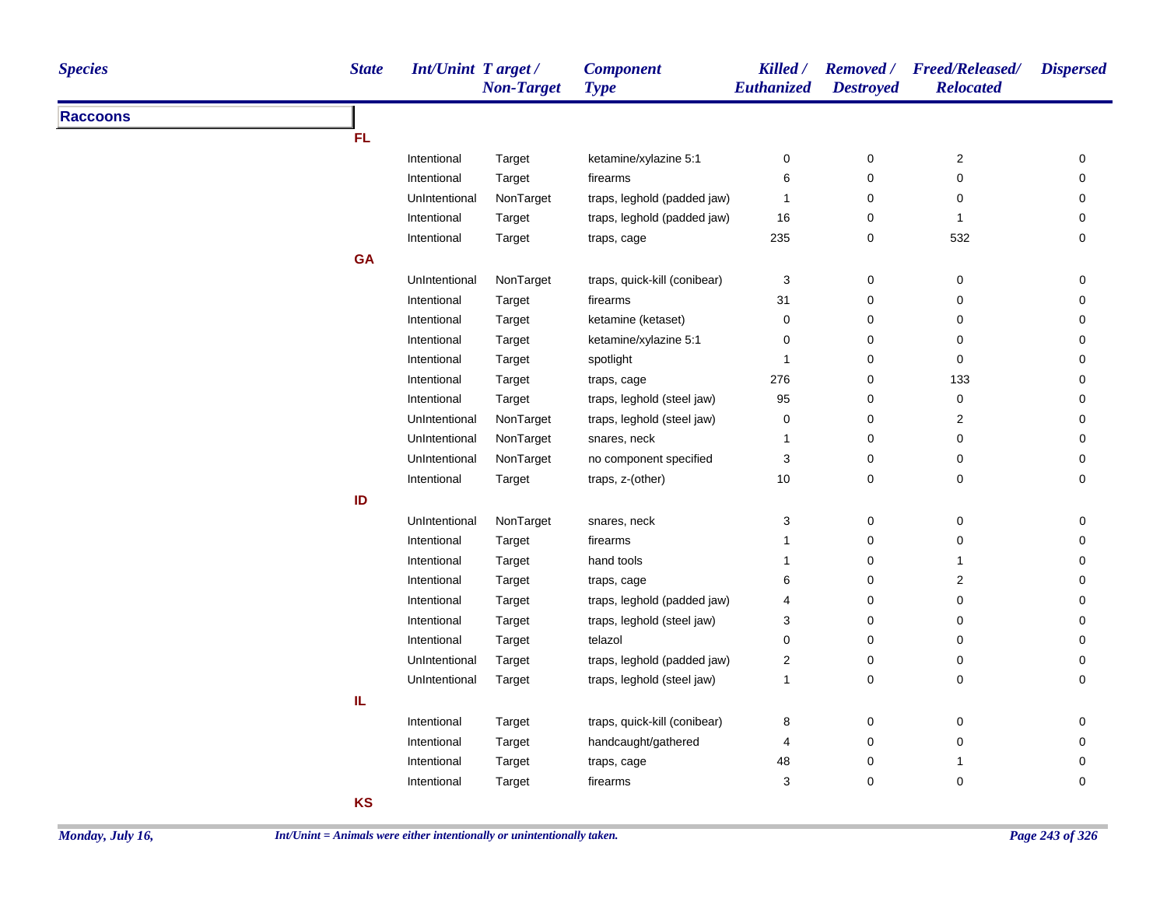| <b>Species</b>  | <b>State</b> | <b>Int/Unint Target/</b> | <b>Non-Target</b> | <b>Component</b><br><b>Type</b> | Killed /<br>Euthanized    | <b>Destroyed</b> | Removed / Freed/Released/<br><b>Relocated</b> | <b>Dispersed</b> |
|-----------------|--------------|--------------------------|-------------------|---------------------------------|---------------------------|------------------|-----------------------------------------------|------------------|
| <b>Raccoons</b> |              |                          |                   |                                 |                           |                  |                                               |                  |
|                 | <b>FL</b>    |                          |                   |                                 |                           |                  |                                               |                  |
|                 |              | Intentional              | Target            | ketamine/xylazine 5:1           | 0                         | 0                | $\overline{\mathbf{c}}$                       | 0                |
|                 |              | Intentional              | Target            | firearms                        | 6                         | 0                | 0                                             | 0                |
|                 |              | UnIntentional            | NonTarget         | traps, leghold (padded jaw)     | $\mathbf{1}$              | $\pmb{0}$        | 0                                             | 0                |
|                 |              | Intentional              | Target            | traps, leghold (padded jaw)     | 16                        | 0                | $\mathbf{1}$                                  | 0                |
|                 |              | Intentional              | Target            | traps, cage                     | 235                       | 0                | 532                                           | 0                |
|                 | <b>GA</b>    |                          |                   |                                 |                           |                  |                                               |                  |
|                 |              | UnIntentional            | NonTarget         | traps, quick-kill (conibear)    | 3                         | 0                | $\pmb{0}$                                     | 0                |
|                 |              | Intentional              | Target            | firearms                        | 31                        | 0                | 0                                             | 0                |
|                 |              | Intentional              | Target            | ketamine (ketaset)              | 0                         | 0                | 0                                             | 0                |
|                 |              | Intentional              | Target            | ketamine/xylazine 5:1           | 0                         | 0                | 0                                             | 0                |
|                 |              | Intentional              | Target            | spotlight                       | 1                         | 0                | 0                                             | 0                |
|                 |              | Intentional              | Target            | traps, cage                     | 276                       | 0                | 133                                           | 0                |
|                 |              | Intentional              | Target            | traps, leghold (steel jaw)      | 95                        | 0                | $\pmb{0}$                                     | 0                |
|                 |              | UnIntentional            | NonTarget         | traps, leghold (steel jaw)      | 0                         | 0                | $\overline{\mathbf{c}}$                       | 0                |
|                 |              | UnIntentional            | NonTarget         | snares, neck                    | 1                         | 0                | $\mathbf 0$                                   | 0                |
|                 |              | UnIntentional            | NonTarget         | no component specified          | $\ensuremath{\mathsf{3}}$ | 0                | 0                                             | 0                |
|                 |              | Intentional              | Target            | traps, z-(other)                | 10                        | 0                | 0                                             | 0                |
|                 | ID           |                          |                   |                                 |                           |                  |                                               |                  |
|                 |              | UnIntentional            | NonTarget         | snares, neck                    | 3                         | 0                | $\pmb{0}$                                     | 0                |
|                 |              | Intentional              | Target            | firearms                        | $\mathbf{1}$              | 0                | 0                                             | 0                |
|                 |              | Intentional              | Target            | hand tools                      | $\mathbf{1}$              | 0                | 1                                             | 0                |
|                 |              | Intentional              | Target            | traps, cage                     | 6                         | 0                | $\overline{c}$                                | 0                |
|                 |              | Intentional              | Target            | traps, leghold (padded jaw)     | 4                         | 0                | 0                                             | 0                |
|                 |              | Intentional              | Target            | traps, leghold (steel jaw)      | 3                         | $\pmb{0}$        | 0                                             | 0                |
|                 |              | Intentional              | Target            | telazol                         | 0                         | 0                | 0                                             | 0                |
|                 |              | UnIntentional            | Target            | traps, leghold (padded jaw)     | $\boldsymbol{2}$          | 0                | 0                                             | 0                |
|                 |              | UnIntentional            | Target            | traps, leghold (steel jaw)      | $\mathbf{1}$              | 0                | $\pmb{0}$                                     | 0                |
|                 | IL.          |                          |                   |                                 |                           |                  |                                               |                  |
|                 |              | Intentional              | Target            | traps, quick-kill (conibear)    | 8                         | 0                | 0                                             | 0                |
|                 |              | Intentional              | Target            | handcaught/gathered             | 4                         | 0                | 0                                             | 0                |
|                 |              | Intentional              | Target            | traps, cage                     | 48                        | 0                | $\mathbf{1}$                                  | 0                |
|                 |              | Intentional              | Target            | firearms                        | 3                         | $\pmb{0}$        | 0                                             | $\pmb{0}$        |
|                 | <b>KS</b>    |                          |                   |                                 |                           |                  |                                               |                  |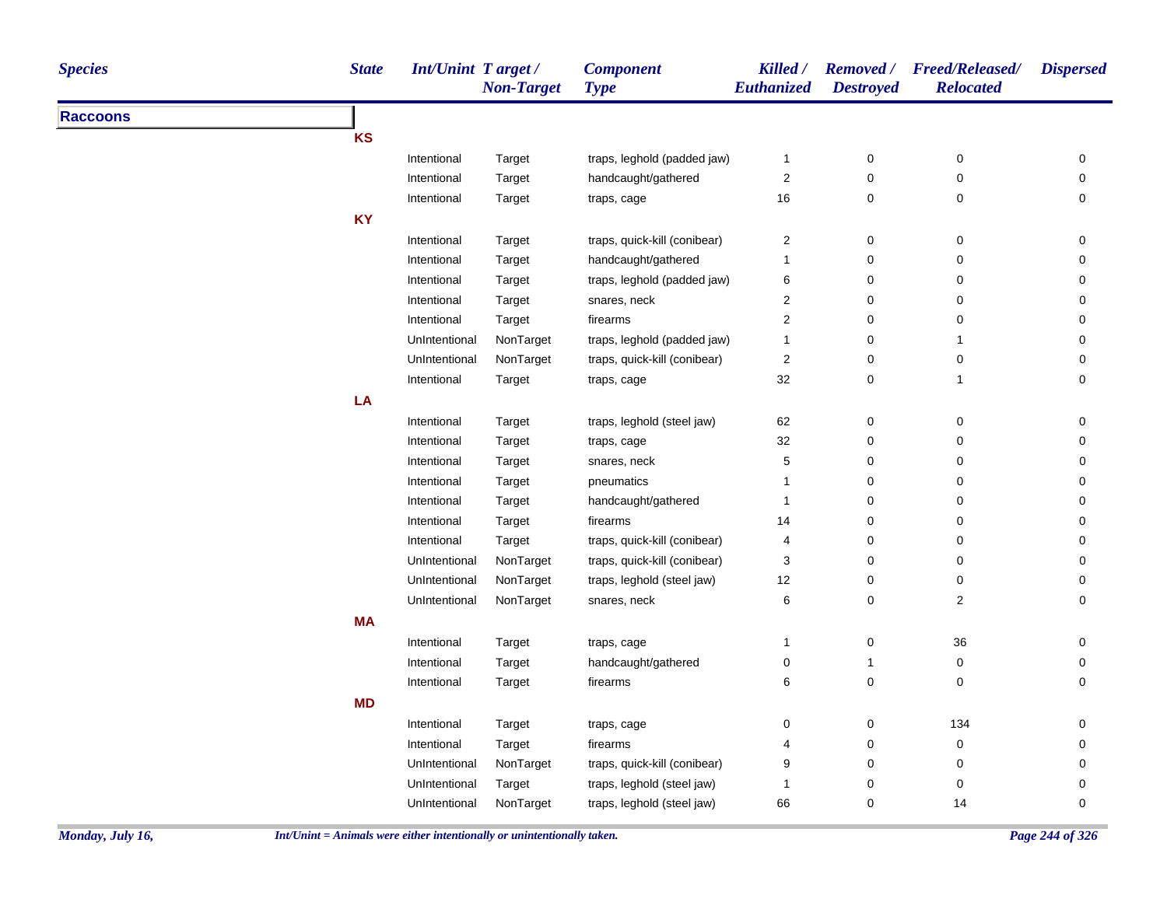| <b>State</b><br><b>Species</b> | Int/Unint Target/ | <b>Non-Target</b> | <b>Component</b><br><b>Type</b> | Killed /<br>Euthanized | <b>Destroyed</b> | Removed / Freed/Released/<br><b>Relocated</b> | <b>Dispersed</b> |
|--------------------------------|-------------------|-------------------|---------------------------------|------------------------|------------------|-----------------------------------------------|------------------|
| <b>Raccoons</b>                |                   |                   |                                 |                        |                  |                                               |                  |
| <b>KS</b>                      |                   |                   |                                 |                        |                  |                                               |                  |
|                                | Intentional       | Target            | traps, leghold (padded jaw)     | $\mathbf{1}$           | $\pmb{0}$        | 0                                             | 0                |
|                                | Intentional       | Target            | handcaught/gathered             | $\sqrt{2}$             | $\pmb{0}$        | $\pmb{0}$                                     | $\mathsf 0$      |
|                                | Intentional       | Target            | traps, cage                     | 16                     | 0                | 0                                             | 0                |
| <b>KY</b>                      |                   |                   |                                 |                        |                  |                                               |                  |
|                                | Intentional       | Target            | traps, quick-kill (conibear)    | $\overline{2}$         | 0                | $\mathbf 0$                                   | 0                |
|                                | Intentional       | Target            | handcaught/gathered             | $\mathbf{1}$           | $\pmb{0}$        | $\pmb{0}$                                     | $\mathsf 0$      |
|                                | Intentional       | Target            | traps, leghold (padded jaw)     | 6                      | 0                | $\mathbf 0$                                   | 0                |
|                                | Intentional       | Target            | snares, neck                    | $\overline{2}$         | 0                | 0                                             | 0                |
|                                | Intentional       | Target            | firearms                        | $\overline{2}$         | $\pmb{0}$        | 0                                             | $\mathsf 0$      |
|                                | UnIntentional     | NonTarget         | traps, leghold (padded jaw)     | $\mathbf{1}$           | $\pmb{0}$        | $\mathbf{1}$                                  | 0                |
|                                | UnIntentional     | NonTarget         | traps, quick-kill (conibear)    | $\overline{2}$         | 0                | 0                                             | 0                |
|                                | Intentional       | Target            | traps, cage                     | 32                     | $\pmb{0}$        | $\mathbf{1}$                                  | 0                |
| LA                             |                   |                   |                                 |                        |                  |                                               |                  |
|                                | Intentional       | Target            | traps, leghold (steel jaw)      | 62                     | $\pmb{0}$        | $\pmb{0}$                                     | 0                |
|                                | Intentional       | Target            | traps, cage                     | 32                     | 0                | 0                                             | 0                |
|                                | Intentional       | Target            | snares, neck                    | $\,$ 5 $\,$            | $\pmb{0}$        | 0                                             | $\mathsf 0$      |
|                                | Intentional       | Target            | pneumatics                      | $\mathbf{1}$           | $\pmb{0}$        | 0                                             | 0                |
|                                | Intentional       | Target            | handcaught/gathered             | 1                      | $\mathbf 0$      | 0                                             | 0                |
|                                | Intentional       | Target            | firearms                        | 14                     | 0                | 0                                             | 0                |
|                                | Intentional       | Target            | traps, quick-kill (conibear)    | 4                      | $\mathbf 0$      | 0                                             | 0                |
|                                | UnIntentional     | NonTarget         | traps, quick-kill (conibear)    | 3                      | 0                | 0                                             | 0                |
|                                | UnIntentional     | NonTarget         | traps, leghold (steel jaw)      | 12                     | 0                | $\mathbf 0$                                   | 0                |
|                                | UnIntentional     | NonTarget         | snares, neck                    | 6                      | $\mathbf 0$      | $\mathbf 2$                                   | 0                |
| <b>MA</b>                      |                   |                   |                                 |                        |                  |                                               |                  |
|                                | Intentional       | Target            | traps, cage                     | 1                      | 0                | 36                                            | 0                |
|                                | Intentional       | Target            | handcaught/gathered             | $\pmb{0}$              | 1                | $\pmb{0}$                                     | 0                |
|                                | Intentional       | Target            | firearms                        | 6                      | $\pmb{0}$        | $\mathbf 0$                                   | 0                |
| <b>MD</b>                      |                   |                   |                                 |                        |                  |                                               |                  |
|                                | Intentional       | Target            | traps, cage                     | 0                      | 0                | 134                                           | 0                |
|                                | Intentional       | Target            | firearms                        | 4                      | 0                | 0                                             | 0                |
|                                | UnIntentional     | NonTarget         | traps, quick-kill (conibear)    | 9                      | 0                | 0                                             | 0                |
|                                | UnIntentional     | Target            | traps, leghold (steel jaw)      | -1                     | 0                | 0                                             | 0                |
|                                | UnIntentional     | NonTarget         | traps, leghold (steel jaw)      | 66                     | 0                | 14                                            | 0                |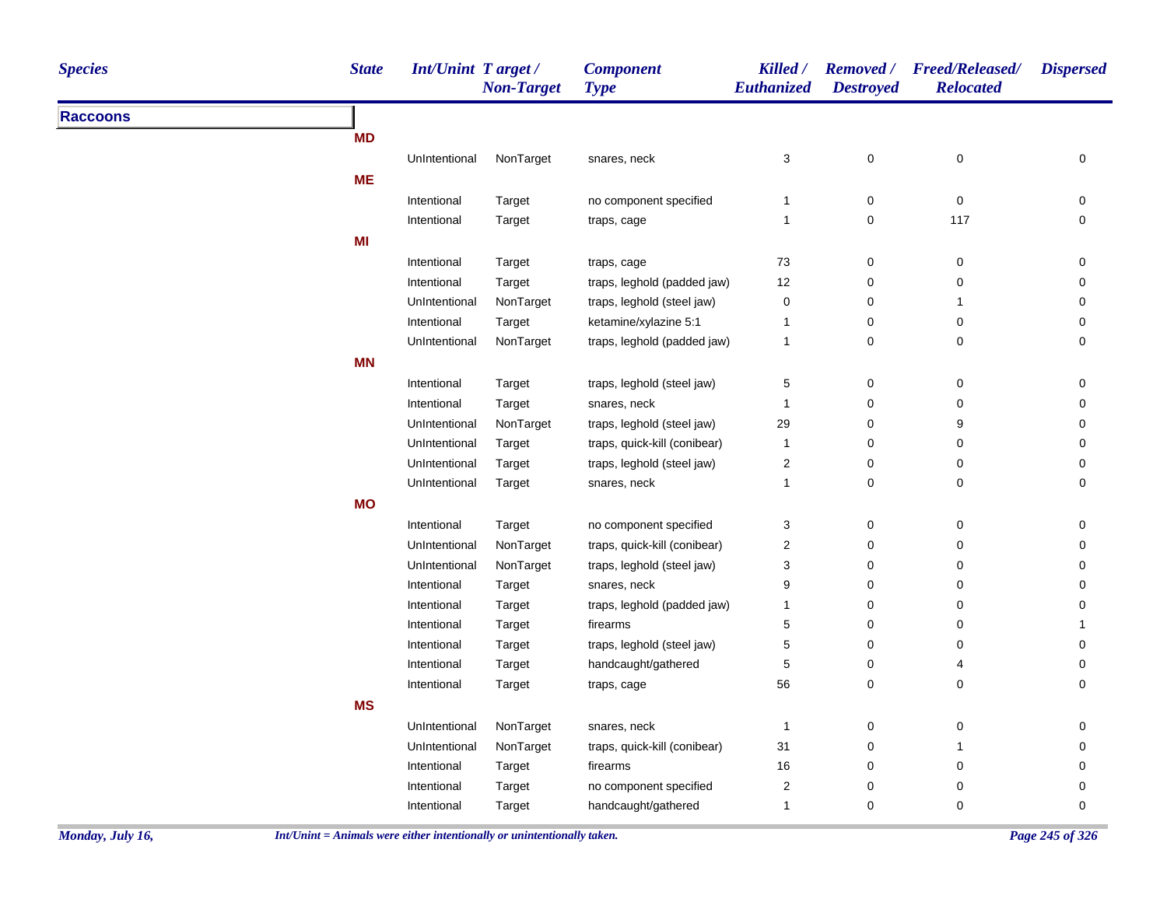| <b>Species</b>  | <b>State</b> | Int/Unint Target/ | <b>Non-Target</b> | <b>Component</b><br><b>Type</b> | Killed /<br>Euthanized | <b>Destroyed</b> | Removed / Freed/Released/<br><b>Relocated</b> | <b>Dispersed</b>    |
|-----------------|--------------|-------------------|-------------------|---------------------------------|------------------------|------------------|-----------------------------------------------|---------------------|
| <b>Raccoons</b> |              |                   |                   |                                 |                        |                  |                                               |                     |
|                 | <b>MD</b>    |                   |                   |                                 |                        |                  |                                               |                     |
|                 |              | UnIntentional     | NonTarget         | snares, neck                    | 3                      | $\pmb{0}$        | $\pmb{0}$                                     | 0                   |
|                 | <b>ME</b>    |                   |                   |                                 |                        |                  |                                               |                     |
|                 |              | Intentional       | Target            | no component specified          | $\mathbf{1}$           | 0                | $\pmb{0}$                                     | 0                   |
|                 |              | Intentional       | Target            | traps, cage                     | 1                      | $\pmb{0}$        | 117                                           | $\pmb{0}$           |
|                 | MI           |                   |                   |                                 |                        |                  |                                               |                     |
|                 |              | Intentional       | Target            | traps, cage                     | $73\,$                 | 0                | 0                                             | 0                   |
|                 |              | Intentional       | Target            | traps, leghold (padded jaw)     | 12                     | $\mathbf 0$      | 0                                             | $\mathbf 0$         |
|                 |              | UnIntentional     | NonTarget         | traps, leghold (steel jaw)      | 0                      | $\pmb{0}$        | $\mathbf{1}$                                  | $\mathbf 0$         |
|                 |              | Intentional       | Target            | ketamine/xylazine 5:1           | 1                      | $\pmb{0}$        | 0                                             | 0                   |
|                 |              | UnIntentional     | NonTarget         | traps, leghold (padded jaw)     | $\mathbf{1}$           | $\mathsf 0$      | $\pmb{0}$                                     | 0                   |
|                 | <b>MN</b>    |                   |                   |                                 |                        |                  |                                               |                     |
|                 |              | Intentional       | Target            | traps, leghold (steel jaw)      | 5                      | 0                | 0                                             | 0                   |
|                 |              | Intentional       | Target            | snares, neck                    | 1                      | $\pmb{0}$        | 0                                             | $\mathsf{O}\xspace$ |
|                 |              | UnIntentional     | NonTarget         | traps, leghold (steel jaw)      | 29                     | $\pmb{0}$        | 9                                             | 0                   |
|                 |              | UnIntentional     | Target            | traps, quick-kill (conibear)    | $\mathbf{1}$           | 0                | 0                                             | 0                   |
|                 |              | UnIntentional     | Target            | traps, leghold (steel jaw)      | $\overline{c}$         | $\pmb{0}$        | 0                                             | 0                   |
|                 |              | UnIntentional     | Target            | snares, neck                    | 1                      | 0                | 0                                             | 0                   |
|                 | <b>MO</b>    |                   |                   |                                 |                        |                  |                                               |                     |
|                 |              | Intentional       | Target            | no component specified          | 3                      | 0                | 0                                             | 0                   |
|                 |              | UnIntentional     | NonTarget         | traps, quick-kill (conibear)    | $\mathbf{2}$           | $\mathbf 0$      | 0                                             | 0                   |
|                 |              | UnIntentional     | NonTarget         | traps, leghold (steel jaw)      | 3                      | $\pmb{0}$        | $\pmb{0}$                                     | 0                   |
|                 |              | Intentional       | Target            | snares, neck                    | 9                      | $\pmb{0}$        | 0                                             | 0                   |
|                 |              | Intentional       | Target            | traps, leghold (padded jaw)     | $\mathbf{1}$           | $\pmb{0}$        | $\mathbf 0$                                   | $\mathbf 0$         |
|                 |              | Intentional       | Target            | firearms                        | 5                      | $\pmb{0}$        | $\mathbf 0$                                   | $\mathbf{1}$        |
|                 |              | Intentional       | Target            | traps, leghold (steel jaw)      | 5                      | $\pmb{0}$        | 0                                             | 0                   |
|                 |              | Intentional       | Target            | handcaught/gathered             | 5                      | $\pmb{0}$        | 4                                             | 0                   |
|                 |              | Intentional       | Target            | traps, cage                     | 56                     | $\mathsf 0$      | 0                                             | $\mathbf 0$         |
|                 | <b>MS</b>    |                   |                   |                                 |                        |                  |                                               |                     |
|                 |              | UnIntentional     | NonTarget         | snares, neck                    | $\mathbf{1}$           | $\pmb{0}$        | $\pmb{0}$                                     | 0                   |
|                 |              | UnIntentional     | NonTarget         | traps, quick-kill (conibear)    | 31                     | $\pmb{0}$        | $\mathbf{1}$                                  | 0                   |
|                 |              | Intentional       | Target            | firearms                        | 16                     | $\pmb{0}$        | 0                                             | $\mathbf 0$         |
|                 |              | Intentional       | Target            | no component specified          | $\overline{c}$         | $\pmb{0}$        | 0                                             | $\mathbf 0$         |
|                 |              | Intentional       | Target            | handcaught/gathered             | 1                      | $\mathbf 0$      | 0                                             | 0                   |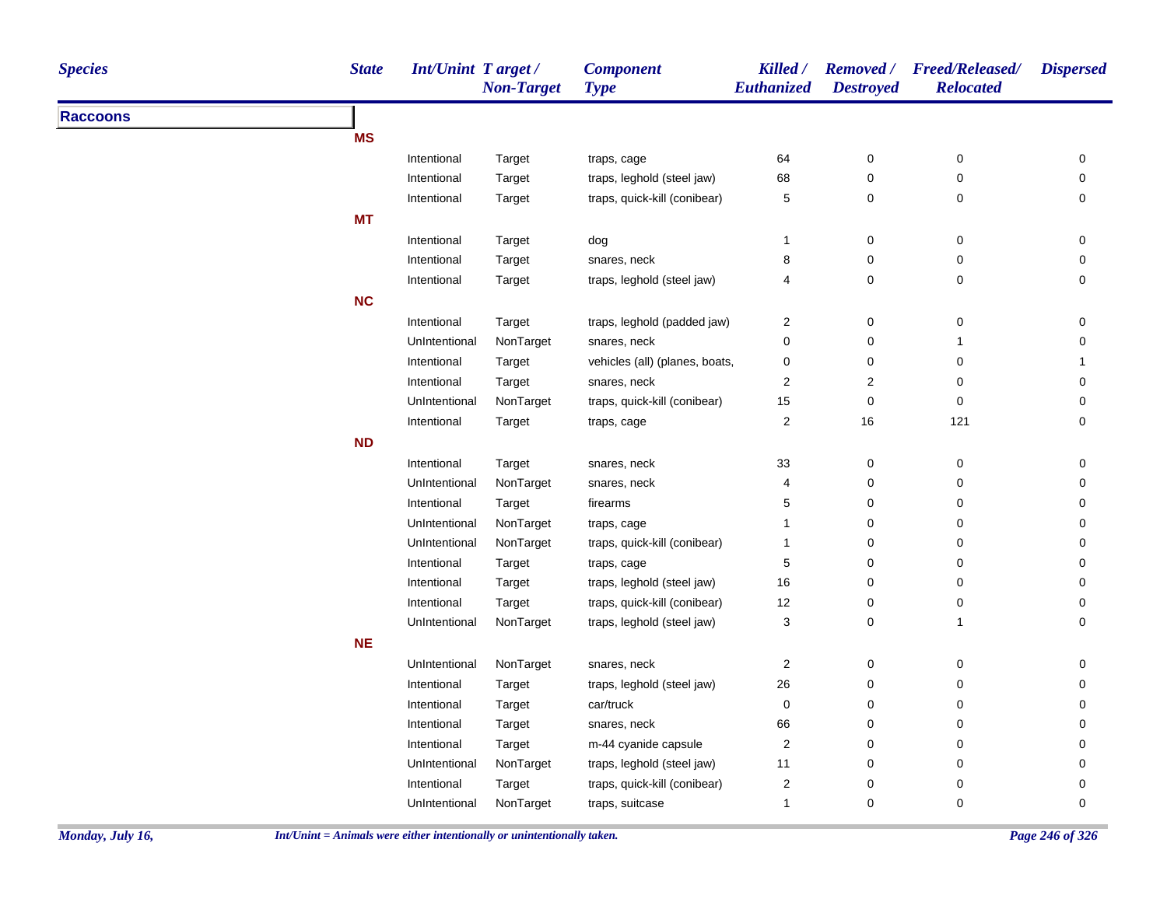| <b>Species</b>  | <b>State</b> | <b>Int/Unint Target/</b> | <b>Non-Target</b> | <b>Component</b><br><b>Type</b> | Killed /<br><b>Euthanized</b> | <b>Removed</b> /<br><b>Destroyed</b> | <b>Freed/Released/</b><br><b>Relocated</b> | <b>Dispersed</b>    |
|-----------------|--------------|--------------------------|-------------------|---------------------------------|-------------------------------|--------------------------------------|--------------------------------------------|---------------------|
| <b>Raccoons</b> |              |                          |                   |                                 |                               |                                      |                                            |                     |
|                 | <b>MS</b>    |                          |                   |                                 |                               |                                      |                                            |                     |
|                 |              | Intentional              | Target            | traps, cage                     | 64                            | $\mathbf 0$                          | 0                                          | 0                   |
|                 |              | Intentional              | Target            | traps, leghold (steel jaw)      | 68                            | 0                                    | $\pmb{0}$                                  | $\mathsf{O}\xspace$ |
|                 |              | Intentional              | Target            | traps, quick-kill (conibear)    | 5                             | 0                                    | 0                                          | 0                   |
|                 | <b>MT</b>    |                          |                   |                                 |                               |                                      |                                            |                     |
|                 |              | Intentional              | Target            | dog                             | $\mathbf{1}$                  | $\mathbf 0$                          | 0                                          | 0                   |
|                 |              | Intentional              | Target            | snares, neck                    | 8                             | $\pmb{0}$                            | 0                                          | $\mathsf{O}\xspace$ |
|                 |              | Intentional              | Target            | traps, leghold (steel jaw)      | 4                             | $\mathbf 0$                          | 0                                          | 0                   |
|                 | <b>NC</b>    |                          |                   |                                 |                               |                                      |                                            |                     |
|                 |              | Intentional              | Target            | traps, leghold (padded jaw)     | 2                             | 0                                    | 0                                          | 0                   |
|                 |              | UnIntentional            | NonTarget         | snares, neck                    | 0                             | 0                                    | 1                                          | 0                   |
|                 |              | Intentional              | Target            | vehicles (all) (planes, boats,  | 0                             | 0                                    | 0                                          | 1                   |
|                 |              | Intentional              | Target            | snares, neck                    | $\overline{c}$                | $\overline{\mathbf{c}}$              | 0                                          | 0                   |
|                 |              | UnIntentional            | NonTarget         | traps, quick-kill (conibear)    | 15                            | 0                                    | 0                                          | 0                   |
|                 |              | Intentional              | Target            | traps, cage                     | $\overline{\mathbf{c}}$       | $16\,$                               | 121                                        | 0                   |
|                 | <b>ND</b>    |                          |                   |                                 |                               |                                      |                                            |                     |
|                 |              | Intentional              | Target            | snares, neck                    | $33\,$                        | $\mathbf 0$                          | 0                                          | 0                   |
|                 |              | UnIntentional            | NonTarget         | snares, neck                    | 4                             | 0                                    | 0                                          | 0                   |
|                 |              | Intentional              | Target            | firearms                        | 5                             | $\mathbf 0$                          | 0                                          | $\mathbf 0$         |
|                 |              | UnIntentional            | NonTarget         | traps, cage                     | 1                             | 0                                    | 0                                          | 0                   |
|                 |              | UnIntentional            | NonTarget         | traps, quick-kill (conibear)    | $\mathbf{1}$                  | $\pmb{0}$                            | 0                                          | 0                   |
|                 |              | Intentional              | Target            | traps, cage                     | 5                             | $\mathbf 0$                          | 0                                          | 0                   |
|                 |              | Intentional              | Target            | traps, leghold (steel jaw)      | 16                            | 0                                    | 0                                          | 0                   |
|                 |              | Intentional              | Target            | traps, quick-kill (conibear)    | 12                            | 0                                    | 0                                          | 0                   |
|                 |              | UnIntentional            | NonTarget         | traps, leghold (steel jaw)      | 3                             | 0                                    | $\mathbf{1}$                               | 0                   |
|                 | <b>NE</b>    |                          |                   |                                 |                               |                                      |                                            |                     |
|                 |              | UnIntentional            | NonTarget         | snares, neck                    | 2                             | $\boldsymbol{0}$                     | 0                                          | 0                   |
|                 |              | Intentional              | Target            | traps, leghold (steel jaw)      | 26                            | $\mathbf 0$                          | 0                                          | 0                   |
|                 |              | Intentional              | Target            | car/truck                       | 0                             | $\mathbf 0$                          | 0                                          | 0                   |
|                 |              | Intentional              | Target            | snares, neck                    | 66                            | 0                                    | 0                                          | 0                   |
|                 |              | Intentional              | Target            | m-44 cyanide capsule            | $\boldsymbol{2}$              | 0                                    | 0                                          | 0                   |
|                 |              | UnIntentional            | NonTarget         | traps, leghold (steel jaw)      | 11                            | 0                                    | 0                                          | 0                   |
|                 |              | Intentional              | Target            | traps, quick-kill (conibear)    | $\overline{\mathbf{c}}$       | $\pmb{0}$                            | 0                                          | $\pmb{0}$           |
|                 |              | UnIntentional            | NonTarget         | traps, suitcase                 | $\mathbf{1}$                  | $\mathbf 0$                          | 0                                          | $\mathbf 0$         |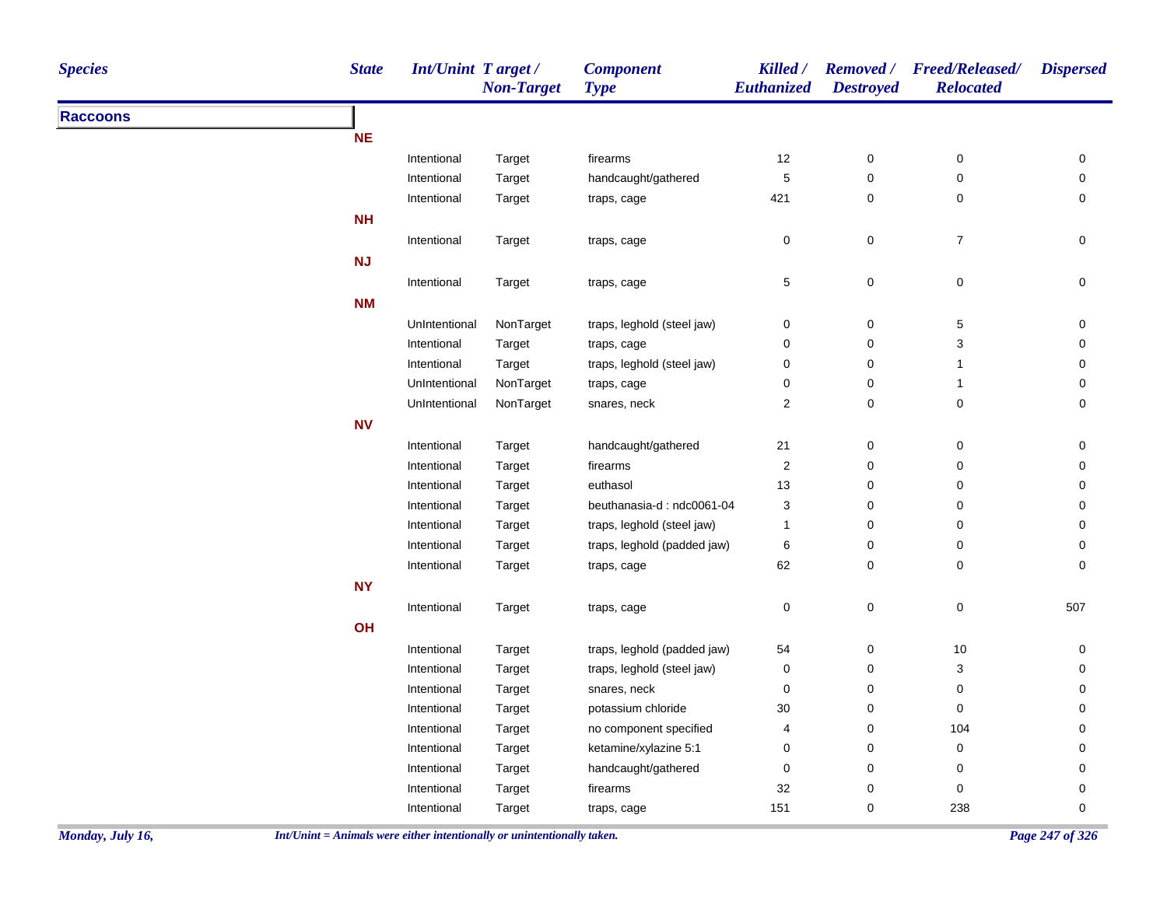| <b>Species</b>  | <b>State</b> | <b>Int/Unint Target/</b> | <b>Non-Target</b> | <b>Component</b><br><b>Type</b> | Killed /<br>Euthanized    | <b>Destroyed</b> | Removed / Freed/Released/<br><b>Relocated</b> | <b>Dispersed</b> |
|-----------------|--------------|--------------------------|-------------------|---------------------------------|---------------------------|------------------|-----------------------------------------------|------------------|
| <b>Raccoons</b> |              |                          |                   |                                 |                           |                  |                                               |                  |
|                 | <b>NE</b>    |                          |                   |                                 |                           |                  |                                               |                  |
|                 |              | Intentional              | Target            | firearms                        | 12                        | $\boldsymbol{0}$ | 0                                             | 0                |
|                 |              | Intentional              | Target            | handcaught/gathered             | $\mathbf 5$               | $\pmb{0}$        | $\pmb{0}$                                     | $\pmb{0}$        |
|                 |              | Intentional              | Target            | traps, cage                     | 421                       | $\pmb{0}$        | 0                                             | 0                |
|                 | <b>NH</b>    |                          |                   |                                 |                           |                  |                                               |                  |
|                 |              | Intentional              | Target            | traps, cage                     | $\mathbf 0$               | $\pmb{0}$        | $\boldsymbol{7}$                              | $\pmb{0}$        |
|                 | NJ           |                          |                   |                                 |                           |                  |                                               |                  |
|                 |              | Intentional              | Target            | traps, cage                     | 5                         | $\pmb{0}$        | $\pmb{0}$                                     | 0                |
|                 | <b>NM</b>    |                          |                   |                                 |                           |                  |                                               |                  |
|                 |              | UnIntentional            | NonTarget         | traps, leghold (steel jaw)      | 0                         | $\pmb{0}$        | $\,$ 5 $\,$                                   | 0                |
|                 |              | Intentional              | Target            | traps, cage                     | 0                         | $\boldsymbol{0}$ | $\ensuremath{\mathsf{3}}$                     | 0                |
|                 |              | Intentional              | Target            | traps, leghold (steel jaw)      | 0                         | $\pmb{0}$        | $\overline{\mathbf{1}}$                       | 0                |
|                 |              | UnIntentional            | NonTarget         | traps, cage                     | $\pmb{0}$                 | $\pmb{0}$        | $\mathbf{1}$                                  | 0                |
|                 |              | UnIntentional            | NonTarget         | snares, neck                    | $\boldsymbol{2}$          | $\pmb{0}$        | $\pmb{0}$                                     | 0                |
|                 | <b>NV</b>    |                          |                   |                                 |                           |                  |                                               |                  |
|                 |              | Intentional              | Target            | handcaught/gathered             | 21                        | $\pmb{0}$        | $\mathbf 0$                                   | 0                |
|                 |              | Intentional              | Target            | firearms                        | $\overline{2}$            | $\pmb{0}$        | $\pmb{0}$                                     | 0                |
|                 |              | Intentional              | Target            | euthasol                        | 13                        | 0                | 0                                             | 0                |
|                 |              | Intentional              | Target            | beuthanasia-d: ndc0061-04       | $\ensuremath{\mathsf{3}}$ | $\pmb{0}$        | 0                                             | 0                |
|                 |              | Intentional              | Target            | traps, leghold (steel jaw)      | $\mathbf{1}$              | $\pmb{0}$        | 0                                             | 0                |
|                 |              | Intentional              | Target            | traps, leghold (padded jaw)     | 6                         | $\pmb{0}$        | 0                                             | $\pmb{0}$        |
|                 |              | Intentional              | Target            | traps, cage                     | 62                        | $\mathbf 0$      | 0                                             | $\mathsf 0$      |
|                 | <b>NY</b>    |                          |                   |                                 |                           |                  |                                               |                  |
|                 |              | Intentional              | Target            | traps, cage                     | 0                         | $\pmb{0}$        | 0                                             | 507              |
|                 | OH           |                          |                   |                                 |                           |                  |                                               |                  |
|                 |              | Intentional              | Target            | traps, leghold (padded jaw)     | 54                        | $\boldsymbol{0}$ | $10$                                          | 0                |
|                 |              | Intentional              | Target            | traps, leghold (steel jaw)      | $\pmb{0}$                 | $\pmb{0}$        | $\ensuremath{\mathsf{3}}$                     | 0                |
|                 |              | Intentional              | Target            | snares, neck                    | $\mathbf 0$               | $\pmb{0}$        | $\pmb{0}$                                     | 0                |
|                 |              | Intentional              | Target            | potassium chloride              | 30                        | 0                | $\mathbf 0$                                   | 0                |
|                 |              | Intentional              | Target            | no component specified          | 4                         | 0                | 104                                           | 0                |
|                 |              | Intentional              | Target            | ketamine/xylazine 5:1           | $\pmb{0}$                 | $\pmb{0}$        | $\pmb{0}$                                     | $\pmb{0}$        |
|                 |              | Intentional              | Target            | handcaught/gathered             | $\pmb{0}$                 | $\pmb{0}$        | $\pmb{0}$                                     | $\pmb{0}$        |
|                 |              | Intentional              | Target            | firearms                        | 32                        | 0                | 0                                             | $\pmb{0}$        |
|                 |              | Intentional              | Target            | traps, cage                     | 151                       | 0                | 238                                           | 0                |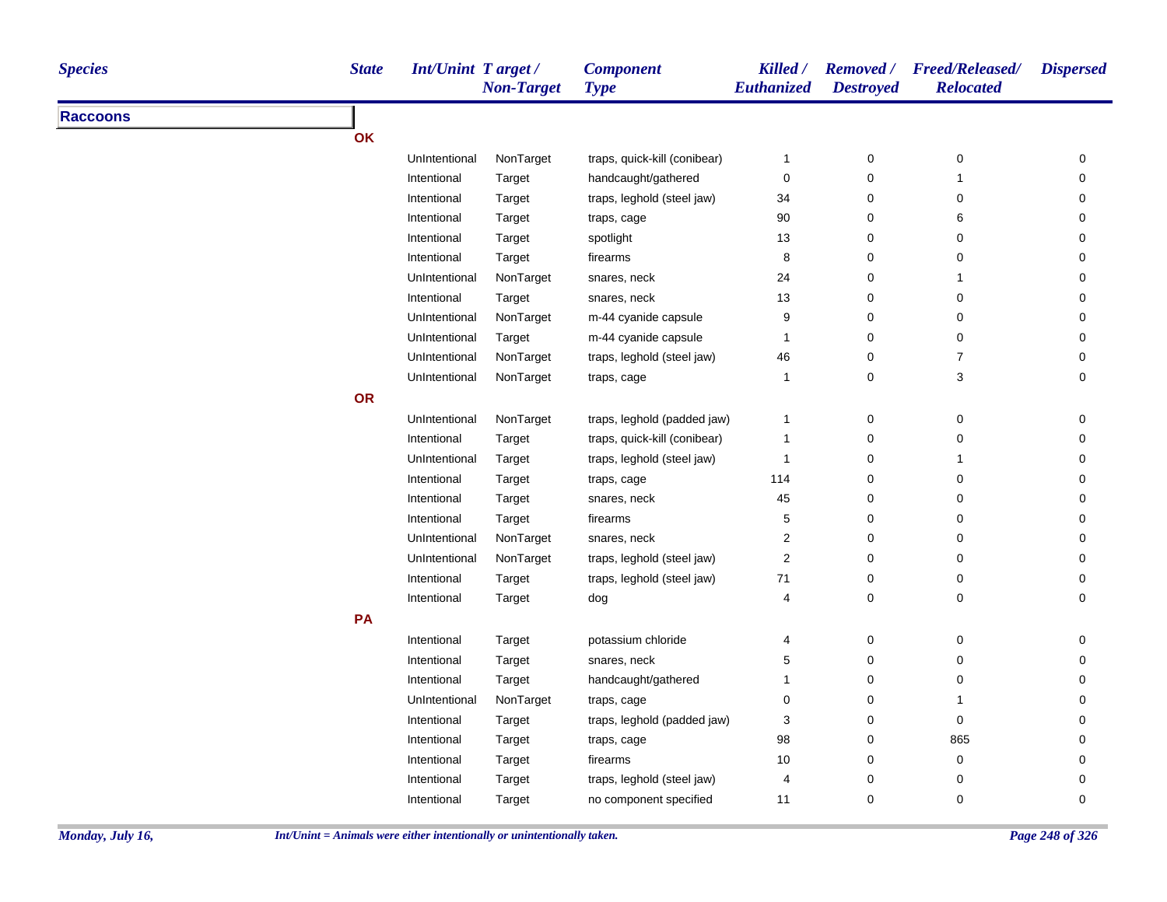| <b>Species</b>  | <b>State</b> | <b>Int/Unint Target/</b> | <b>Non-Target</b> | <b>Component</b><br><b>Type</b> | Killed /<br>Euthanized | <b>Destroyed</b> | Removed / Freed/Released/<br><b>Relocated</b> | <b>Dispersed</b> |
|-----------------|--------------|--------------------------|-------------------|---------------------------------|------------------------|------------------|-----------------------------------------------|------------------|
| <b>Raccoons</b> |              |                          |                   |                                 |                        |                  |                                               |                  |
|                 | OK           |                          |                   |                                 |                        |                  |                                               |                  |
|                 |              | UnIntentional            | NonTarget         | traps, quick-kill (conibear)    | $\mathbf{1}$           | 0                | $\mathbf 0$                                   | 0                |
|                 |              | Intentional              | Target            | handcaught/gathered             | $\mathbf 0$            | 0                | $\overline{1}$                                | 0                |
|                 |              | Intentional              | Target            | traps, leghold (steel jaw)      | 34                     | 0                | $\mathbf 0$                                   | 0                |
|                 |              | Intentional              | Target            | traps, cage                     | 90                     | $\mathsf 0$      | 6                                             | 0                |
|                 |              | Intentional              | Target            | spotlight                       | 13                     | $\pmb{0}$        | $\mathbf 0$                                   | 0                |
|                 |              | Intentional              | Target            | firearms                        | 8                      | $\mathbf 0$      | $\mathbf 0$                                   | 0                |
|                 |              | UnIntentional            | NonTarget         | snares, neck                    | 24                     | $\pmb{0}$        | $\overline{1}$                                | 0                |
|                 |              | Intentional              | Target            | snares, neck                    | 13                     | $\pmb{0}$        | $\mathbf 0$                                   | 0                |
|                 |              | UnIntentional            | NonTarget         | m-44 cyanide capsule            | $\boldsymbol{9}$       | $\pmb{0}$        | 0                                             | 0                |
|                 |              | UnIntentional            | Target            | m-44 cyanide capsule            | $\overline{1}$         | $\pmb{0}$        | 0                                             | 0                |
|                 |              | UnIntentional            | NonTarget         | traps, leghold (steel jaw)      | 46                     | $\pmb{0}$        | $\overline{7}$                                | 0                |
|                 |              | UnIntentional            | NonTarget         | traps, cage                     | $\overline{1}$         | $\pmb{0}$        | $\sqrt{3}$                                    | 0                |
|                 | <b>OR</b>    |                          |                   |                                 |                        |                  |                                               |                  |
|                 |              | UnIntentional            | NonTarget         | traps, leghold (padded jaw)     | $\mathbf{1}$           | 0                | $\mathbf 0$                                   | 0                |
|                 |              | Intentional              | Target            | traps, quick-kill (conibear)    | $\overline{1}$         | 0                | $\mathbf 0$                                   | 0                |
|                 |              | UnIntentional            | Target            | traps, leghold (steel jaw)      | $\overline{1}$         | $\pmb{0}$        | $\overline{1}$                                | 0                |
|                 |              | Intentional              | Target            | traps, cage                     | 114                    | $\pmb{0}$        | $\mathbf 0$                                   | 0                |
|                 |              | Intentional              | Target            | snares, neck                    | 45                     | $\pmb{0}$        | $\mathbf 0$                                   | 0                |
|                 |              | Intentional              | Target            | firearms                        | 5                      | $\pmb{0}$        | 0                                             | 0                |
|                 |              | UnIntentional            | NonTarget         | snares, neck                    | 2                      | $\pmb{0}$        | $\mathbf 0$                                   | 0                |
|                 |              | UnIntentional            | NonTarget         | traps, leghold (steel jaw)      | 2                      | $\pmb{0}$        | 0                                             | 0                |
|                 |              | Intentional              | Target            | traps, leghold (steel jaw)      | 71                     | $\pmb{0}$        | 0                                             | 0                |
|                 |              | Intentional              | Target            | dog                             | 4                      | $\mathbf 0$      | $\mathbf 0$                                   | 0                |
|                 | PA           |                          |                   |                                 |                        |                  |                                               |                  |
|                 |              | Intentional              | Target            | potassium chloride              | 4                      | $\pmb{0}$        | $\boldsymbol{0}$                              | $\pmb{0}$        |
|                 |              | Intentional              | Target            | snares, neck                    | 5                      | 0                | $\mathbf 0$                                   | 0                |
|                 |              | Intentional              | Target            | handcaught/gathered             | $\mathbf{1}$           | $\pmb{0}$        | $\mathbf 0$                                   | 0                |
|                 |              | UnIntentional            | NonTarget         | traps, cage                     | 0                      | $\pmb{0}$        | $\overline{1}$                                | 0                |
|                 |              | Intentional              | Target            | traps, leghold (padded jaw)     | 3                      | $\pmb{0}$        | $\mathbf 0$                                   | 0                |
|                 |              | Intentional              | Target            | traps, cage                     | 98                     | $\pmb{0}$        | 865                                           | 0                |
|                 |              | Intentional              | Target            | firearms                        | 10                     | $\pmb{0}$        | 0                                             | 0                |
|                 |              | Intentional              | Target            | traps, leghold (steel jaw)      | 4                      | $\pmb{0}$        | 0                                             | 0                |
|                 |              | Intentional              | Target            | no component specified          | 11                     | $\Omega$         | $\mathbf 0$                                   | $\Omega$         |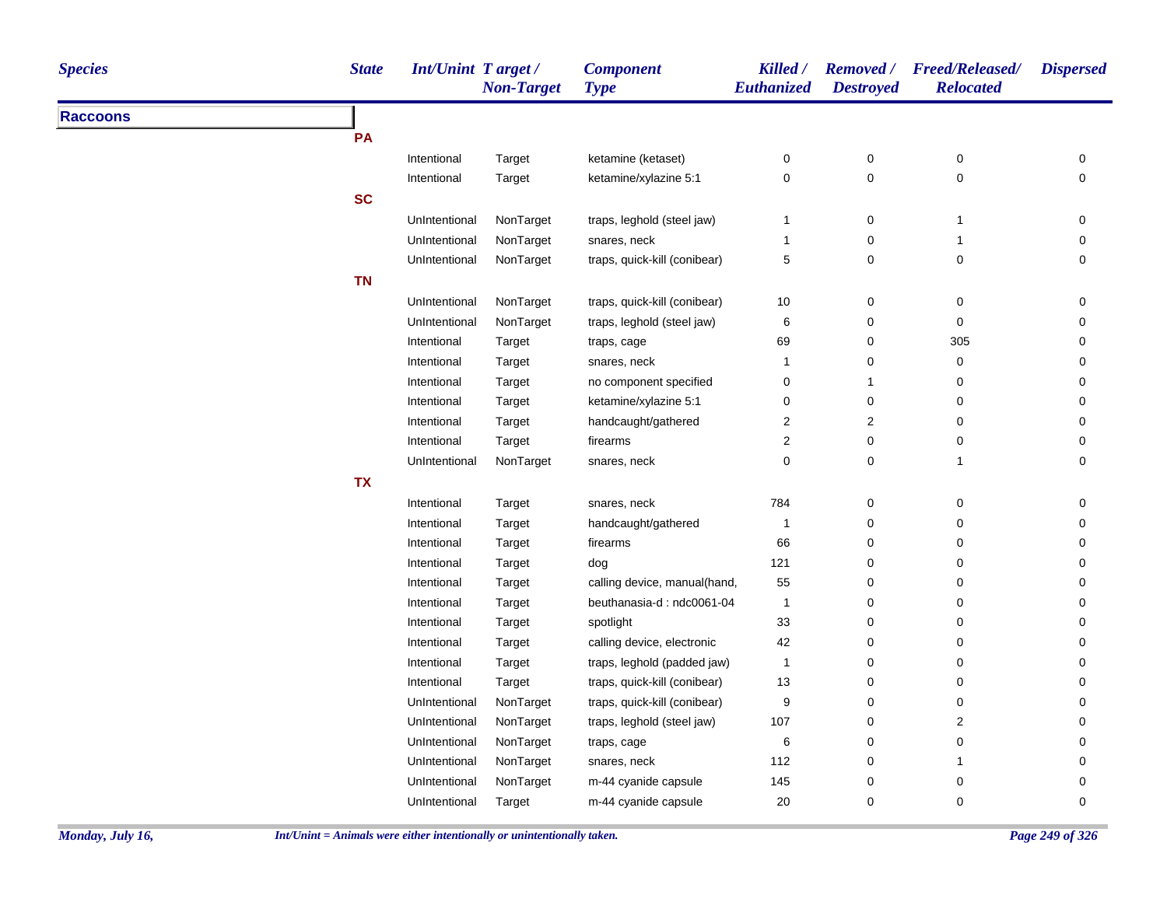| <b>Species</b>  | <b>State</b> | <b>Int/Unint Target/</b> | <b>Non-Target</b> | <b>Component</b><br><b>Type</b> | Killed /<br>Euthanized | <b>Destroyed</b> | Removed / Freed/Released/<br><b>Relocated</b> | <b>Dispersed</b> |
|-----------------|--------------|--------------------------|-------------------|---------------------------------|------------------------|------------------|-----------------------------------------------|------------------|
| <b>Raccoons</b> |              |                          |                   |                                 |                        |                  |                                               |                  |
|                 | PA           |                          |                   |                                 |                        |                  |                                               |                  |
|                 |              | Intentional              | Target            | ketamine (ketaset)              | 0                      | 0                | 0                                             | 0                |
|                 |              | Intentional              | Target            | ketamine/xylazine 5:1           | $\pmb{0}$              | $\pmb{0}$        | 0                                             | $\mathbf 0$      |
|                 | <b>SC</b>    |                          |                   |                                 |                        |                  |                                               |                  |
|                 |              | UnIntentional            | NonTarget         | traps, leghold (steel jaw)      | $\mathbf{1}$           | 0                | $\overline{1}$                                | 0                |
|                 |              | UnIntentional            | NonTarget         | snares, neck                    | $\mathbf{1}$           | 0                | $\mathbf{1}$                                  | 0                |
|                 |              | UnIntentional            | NonTarget         | traps, quick-kill (conibear)    | $\sqrt{5}$             | $\pmb{0}$        | $\pmb{0}$                                     | 0                |
|                 | <b>TN</b>    |                          |                   |                                 |                        |                  |                                               |                  |
|                 |              | UnIntentional            | NonTarget         | traps, quick-kill (conibear)    | 10                     | 0                | 0                                             | 0                |
|                 |              | UnIntentional            | NonTarget         | traps, leghold (steel jaw)      | 6                      | 0                | 0                                             | 0                |
|                 |              | Intentional              | Target            | traps, cage                     | 69                     | 0                | 305                                           | 0                |
|                 |              | Intentional              | Target            | snares, neck                    | $\mathbf{1}$           | 0                | 0                                             | 0                |
|                 |              | Intentional              | Target            | no component specified          | $\pmb{0}$              | $\mathbf{1}$     | 0                                             | 0                |
|                 |              | Intentional              | Target            | ketamine/xylazine 5:1           | $\pmb{0}$              | $\mathbf 0$      | 0                                             | 0                |
|                 |              | Intentional              | Target            | handcaught/gathered             | $\boldsymbol{2}$       | $\boldsymbol{2}$ | 0                                             | 0                |
|                 |              | Intentional              | Target            | firearms                        | $\overline{c}$         | 0                | $\pmb{0}$                                     | 0                |
|                 |              | UnIntentional            | NonTarget         | snares, neck                    | 0                      | $\pmb{0}$        | $\mathbf{1}$                                  | 0                |
|                 | <b>TX</b>    |                          |                   |                                 |                        |                  |                                               |                  |
|                 |              | Intentional              | Target            | snares, neck                    | 784                    | $\pmb{0}$        | 0                                             | 0                |
|                 |              | Intentional              | Target            | handcaught/gathered             | $\overline{1}$         | $\mathbf 0$      | 0                                             | 0                |
|                 |              | Intentional              | Target            | firearms                        | 66                     | 0                | 0                                             | 0                |
|                 |              | Intentional              | Target            | dog                             | 121                    | 0                | 0                                             | 0                |
|                 |              | Intentional              | Target            | calling device, manual(hand,    | 55                     | 0                | 0                                             | 0                |
|                 |              | Intentional              | Target            | beuthanasia-d: ndc0061-04       | $\overline{1}$         | $\mathbf 0$      | $\pmb{0}$                                     | 0                |
|                 |              | Intentional              | Target            | spotlight                       | 33                     | 0                | 0                                             | 0                |
|                 |              | Intentional              | Target            | calling device, electronic      | 42                     | 0                | 0                                             | 0                |
|                 |              | Intentional              | Target            | traps, leghold (padded jaw)     | $\overline{1}$         | $\pmb{0}$        | 0                                             | 0                |
|                 |              | Intentional              | Target            | traps, quick-kill (conibear)    | 13                     | 0                | 0                                             | 0                |
|                 |              | UnIntentional            | NonTarget         | traps, quick-kill (conibear)    | 9                      | 0                | $\pmb{0}$                                     | 0                |
|                 |              | UnIntentional            | NonTarget         | traps, leghold (steel jaw)      | 107                    | 0                | 2                                             | 0                |
|                 |              | UnIntentional            | NonTarget         | traps, cage                     | 6                      | 0                | $\mathbf 0$                                   | 0                |
|                 |              | UnIntentional            | NonTarget         | snares, neck                    | 112                    | 0                | 1                                             | 0                |
|                 |              | UnIntentional            | NonTarget         | m-44 cyanide capsule            | 145                    | 0                | 0                                             | $\Omega$         |
|                 |              | UnIntentional            | Target            | m-44 cyanide capsule            | 20                     | 0                | $\mathbf 0$                                   | $\mathbf 0$      |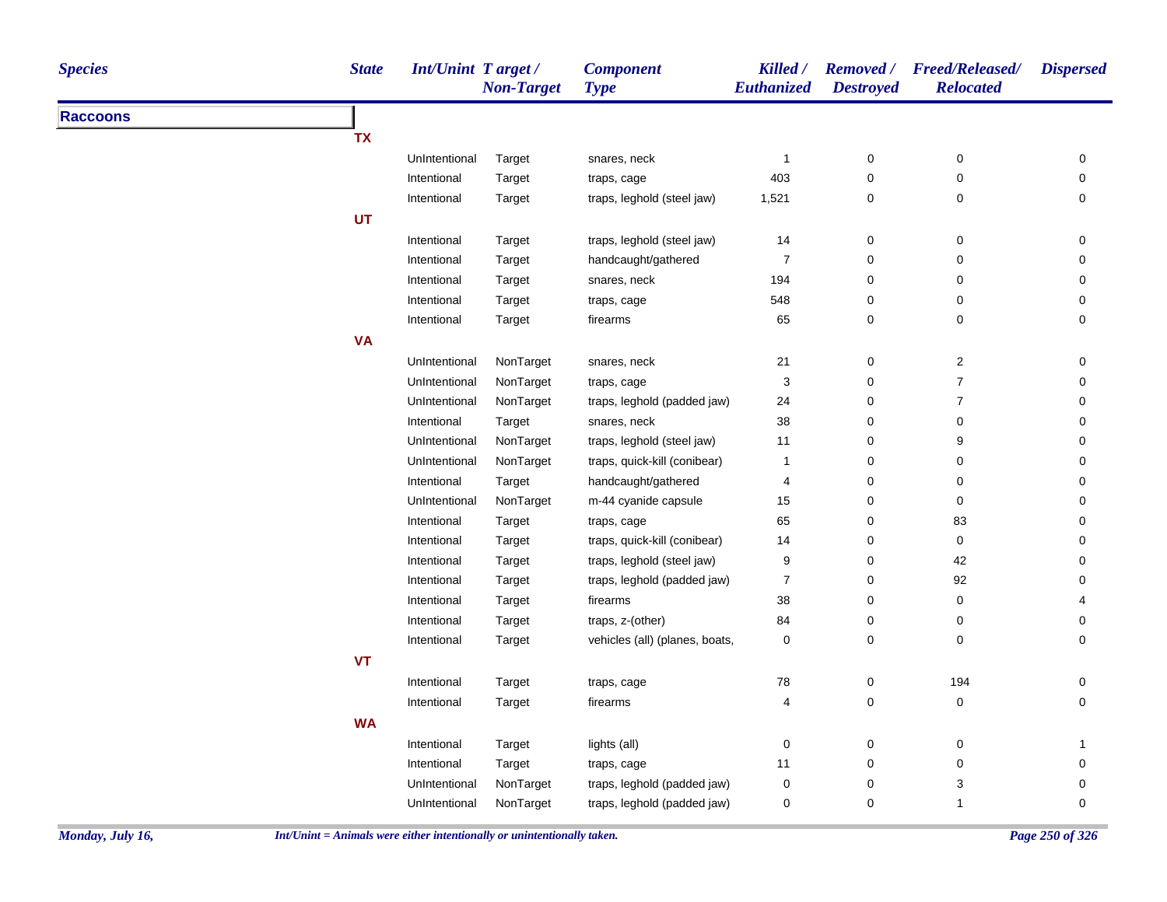| <b>Species</b>  | <b>State</b> | <b>Int/Unint Target/</b> | <b>Non-Target</b> | <b>Component</b><br><b>Type</b> | Killed /<br><b>Euthanized</b> | <b>Destroyed</b> | Removed / Freed/Released/<br><b>Relocated</b> | <b>Dispersed</b> |
|-----------------|--------------|--------------------------|-------------------|---------------------------------|-------------------------------|------------------|-----------------------------------------------|------------------|
| <b>Raccoons</b> |              |                          |                   |                                 |                               |                  |                                               |                  |
|                 | <b>TX</b>    |                          |                   |                                 |                               |                  |                                               |                  |
|                 |              | UnIntentional            | Target            | snares, neck                    | 1                             | 0                | 0                                             | 0                |
|                 |              | Intentional              | Target            | traps, cage                     | 403                           | 0                | $\pmb{0}$                                     | 0                |
|                 |              | Intentional              | Target            | traps, leghold (steel jaw)      | 1,521                         | 0                | $\pmb{0}$                                     | 0                |
|                 | <b>UT</b>    |                          |                   |                                 |                               |                  |                                               |                  |
|                 |              | Intentional              | Target            | traps, leghold (steel jaw)      | 14                            | 0                | $\pmb{0}$                                     | 0                |
|                 |              | Intentional              | Target            | handcaught/gathered             | $\boldsymbol{7}$              | 0                | $\pmb{0}$                                     | 0                |
|                 |              | Intentional              | Target            | snares, neck                    | 194                           | 0                | 0                                             | 0                |
|                 |              | Intentional              | Target            | traps, cage                     | 548                           | 0                | $\pmb{0}$                                     | 0                |
|                 |              | Intentional              | Target            | firearms                        | 65                            | 0                | $\pmb{0}$                                     | 0                |
|                 | <b>VA</b>    |                          |                   |                                 |                               |                  |                                               |                  |
|                 |              | UnIntentional            | NonTarget         | snares, neck                    | 21                            | 0                | $\overline{c}$                                | 0                |
|                 |              | UnIntentional            | NonTarget         | traps, cage                     | 3                             | 0                | $\overline{7}$                                | 0                |
|                 |              | UnIntentional            | NonTarget         | traps, leghold (padded jaw)     | 24                            | 0                | $\boldsymbol{7}$                              | 0                |
|                 |              | Intentional              | Target            | snares, neck                    | 38                            | 0                | $\pmb{0}$                                     | 0                |
|                 |              | UnIntentional            | NonTarget         | traps, leghold (steel jaw)      | 11                            | 0                | 9                                             | 0                |
|                 |              | UnIntentional            | NonTarget         | traps, quick-kill (conibear)    | 1                             | 0                | $\pmb{0}$                                     | 0                |
|                 |              | Intentional              | Target            | handcaught/gathered             | 4                             | 0                | 0                                             | 0                |
|                 |              | UnIntentional            | NonTarget         | m-44 cyanide capsule            | 15                            | 0                | $\pmb{0}$                                     | 0                |
|                 |              | Intentional              | Target            | traps, cage                     | 65                            | 0                | 83                                            | 0                |
|                 |              | Intentional              | Target            | traps, quick-kill (conibear)    | 14                            | 0                | $\pmb{0}$                                     | 0                |
|                 |              | Intentional              | Target            | traps, leghold (steel jaw)      | 9                             | 0                | 42                                            | 0                |
|                 |              | Intentional              | Target            | traps, leghold (padded jaw)     | $\boldsymbol{7}$              | 0                | 92                                            | 0                |
|                 |              | Intentional              | Target            | firearms                        | 38                            | 0                | $\pmb{0}$                                     | 4                |
|                 |              | Intentional              | Target            | traps, z-(other)                | 84                            | 0                | 0                                             | 0                |
|                 |              | Intentional              | Target            | vehicles (all) (planes, boats,  | 0                             | 0                | 0                                             | 0                |
|                 | <b>VT</b>    |                          |                   |                                 |                               |                  |                                               |                  |
|                 |              | Intentional              | Target            | traps, cage                     | ${\bf 78}$                    | 0                | 194                                           | 0                |
|                 |              | Intentional              | Target            | firearms                        | 4                             | 0                | 0                                             | 0                |
|                 | <b>WA</b>    |                          |                   |                                 |                               |                  |                                               |                  |
|                 |              | Intentional              | Target            | lights (all)                    | 0                             | 0                | $\pmb{0}$                                     | $\mathbf 1$      |
|                 |              | Intentional              | Target            | traps, cage                     | 11                            | 0                | $\pmb{0}$                                     | 0                |
|                 |              | UnIntentional            | NonTarget         | traps, leghold (padded jaw)     | $\pmb{0}$                     | 0                | $\ensuremath{\mathsf{3}}$                     | 0                |
|                 |              | UnIntentional            | NonTarget         | traps, leghold (padded jaw)     | 0                             | 0                | $\mathbf{1}$                                  | 0                |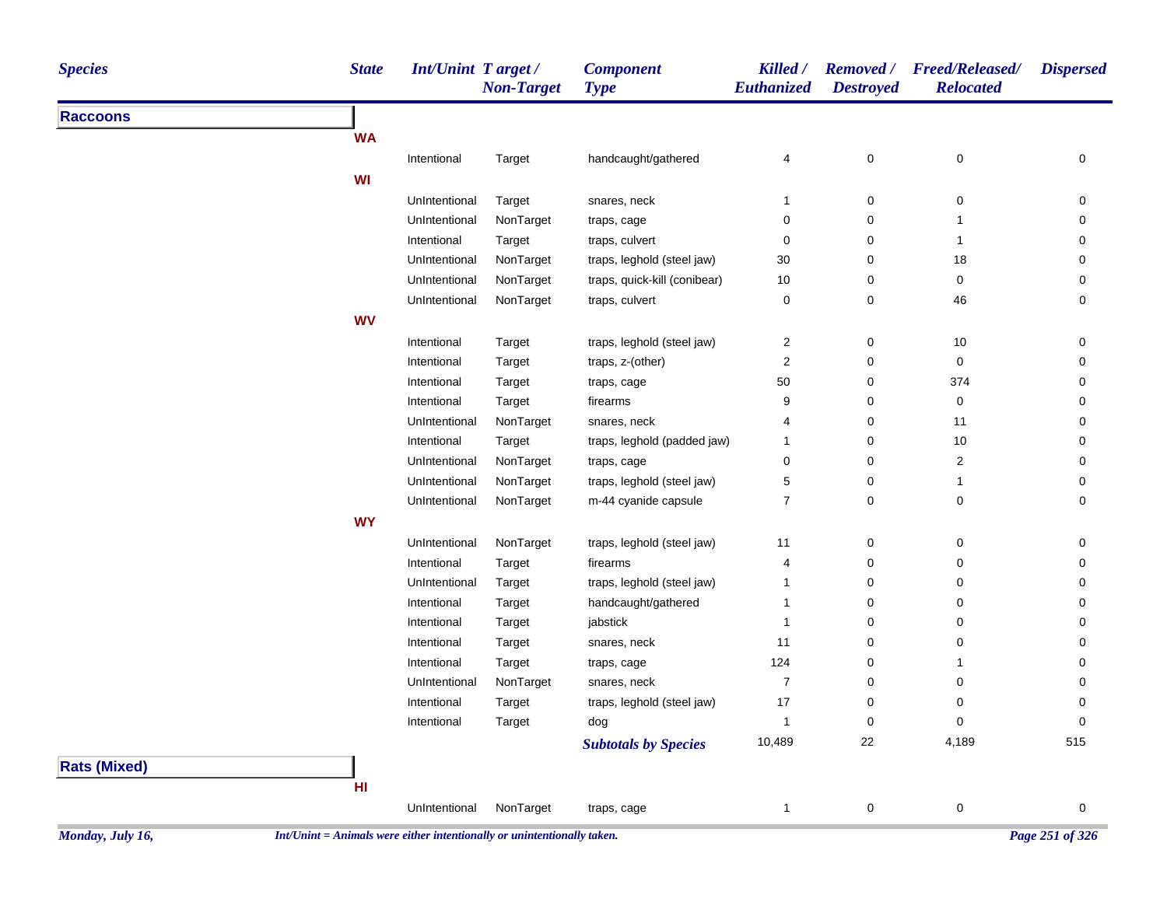| <b>Species</b>      | <b>State</b> | <b>Int/Unint Target/</b> | <b>Non-Target</b> | <b>Component</b><br><b>Type</b> | Killed /<br>Euthanized | <b>Removed</b> /<br><b>Destroyed</b> | Freed/Released/<br><b>Relocated</b> | <b>Dispersed</b> |
|---------------------|--------------|--------------------------|-------------------|---------------------------------|------------------------|--------------------------------------|-------------------------------------|------------------|
| <b>Raccoons</b>     |              |                          |                   |                                 |                        |                                      |                                     |                  |
|                     | <b>WA</b>    |                          |                   |                                 |                        |                                      |                                     |                  |
|                     |              | Intentional              | Target            | handcaught/gathered             | 4                      | $\pmb{0}$                            | $\pmb{0}$                           | 0                |
|                     | WI           |                          |                   |                                 |                        |                                      |                                     |                  |
|                     |              | UnIntentional            | Target            | snares, neck                    | $\mathbf{1}$           | $\boldsymbol{0}$                     | $\mathbf 0$                         | 0                |
|                     |              | UnIntentional            | NonTarget         | traps, cage                     | 0                      | $\pmb{0}$                            | 1                                   | 0                |
|                     |              | Intentional              | Target            | traps, culvert                  | $\mathbf 0$            | $\mathbf 0$                          | $\mathbf{1}$                        | 0                |
|                     |              | UnIntentional            | NonTarget         | traps, leghold (steel jaw)      | 30                     | $\mathbf 0$                          | 18                                  | 0                |
|                     |              | UnIntentional            | NonTarget         | traps, quick-kill (conibear)    | 10                     | $\mathbf 0$                          | $\mathsf 0$                         | 0                |
|                     |              | UnIntentional            | NonTarget         | traps, culvert                  | 0                      | $\pmb{0}$                            | 46                                  | 0                |
|                     | <b>WV</b>    |                          |                   |                                 |                        |                                      |                                     |                  |
|                     |              | Intentional              | Target            | traps, leghold (steel jaw)      | $\overline{2}$         | 0                                    | 10                                  | 0                |
|                     |              | Intentional              | Target            | traps, z-(other)                | $\overline{2}$         | $\pmb{0}$                            | $\mathbf 0$                         | 0                |
|                     |              | Intentional              | Target            | traps, cage                     | 50                     | $\pmb{0}$                            | 374                                 | 0                |
|                     |              | Intentional              | Target            | firearms                        | 9                      | $\pmb{0}$                            | 0                                   | 0                |
|                     |              | UnIntentional            | NonTarget         | snares, neck                    | 4                      | $\pmb{0}$                            | 11                                  | 0                |
|                     |              | Intentional              | Target            | traps, leghold (padded jaw)     | $\overline{1}$         | $\mathbf 0$                          | 10                                  | 0                |
|                     |              | UnIntentional            | NonTarget         | traps, cage                     | 0                      | $\mathbf 0$                          | $\overline{c}$                      | 0                |
|                     |              | UnIntentional            | NonTarget         | traps, leghold (steel jaw)      | 5                      | 0                                    | $\mathbf{1}$                        | 0                |
|                     |              | UnIntentional            | NonTarget         | m-44 cyanide capsule            | $\overline{7}$         | $\mathbf 0$                          | 0                                   | 0                |
|                     | <b>WY</b>    |                          |                   |                                 |                        |                                      |                                     |                  |
|                     |              | UnIntentional            | NonTarget         | traps, leghold (steel jaw)      | 11                     | $\pmb{0}$                            | 0                                   | 0                |
|                     |              | Intentional              | Target            | firearms                        | 4                      | $\mathbf 0$                          | 0                                   | 0                |
|                     |              | UnIntentional            | Target            | traps, leghold (steel jaw)      | $\overline{1}$         | $\boldsymbol{0}$                     | 0                                   | 0                |
|                     |              | Intentional              | Target            | handcaught/gathered             | $\overline{1}$         | $\mathbf 0$                          | 0                                   | 0                |
|                     |              | Intentional              | Target            | jabstick                        | $\overline{1}$         | $\pmb{0}$                            | $\mathbf 0$                         | 0                |
|                     |              | Intentional              | Target            | snares, neck                    | 11                     | $\pmb{0}$                            | $\pmb{0}$                           | 0                |
|                     |              | Intentional              | Target            | traps, cage                     | 124                    | $\pmb{0}$                            | $\mathbf{1}$                        | 0                |
|                     |              | UnIntentional            | NonTarget         | snares, neck                    | $\overline{7}$         | $\mathbf 0$                          | 0                                   | 0                |
|                     |              | Intentional              | Target            | traps, leghold (steel jaw)      | 17                     | $\mathbf 0$                          | 0                                   | 0                |
|                     |              | Intentional              | Target            | dog                             | $\overline{1}$         | $\mathbf 0$                          | $\mathbf 0$                         | 0                |
|                     |              |                          |                   | <b>Subtotals by Species</b>     | 10,489                 | 22                                   | 4,189                               | 515              |
| <b>Rats (Mixed)</b> |              |                          |                   |                                 |                        |                                      |                                     |                  |
|                     | HI           |                          |                   |                                 |                        |                                      |                                     |                  |
|                     |              | UnIntentional            | NonTarget         | traps, cage                     | $\overline{1}$         | $\pmb{0}$                            | $\pmb{0}$                           | 0                |
|                     |              |                          |                   |                                 |                        |                                      |                                     |                  |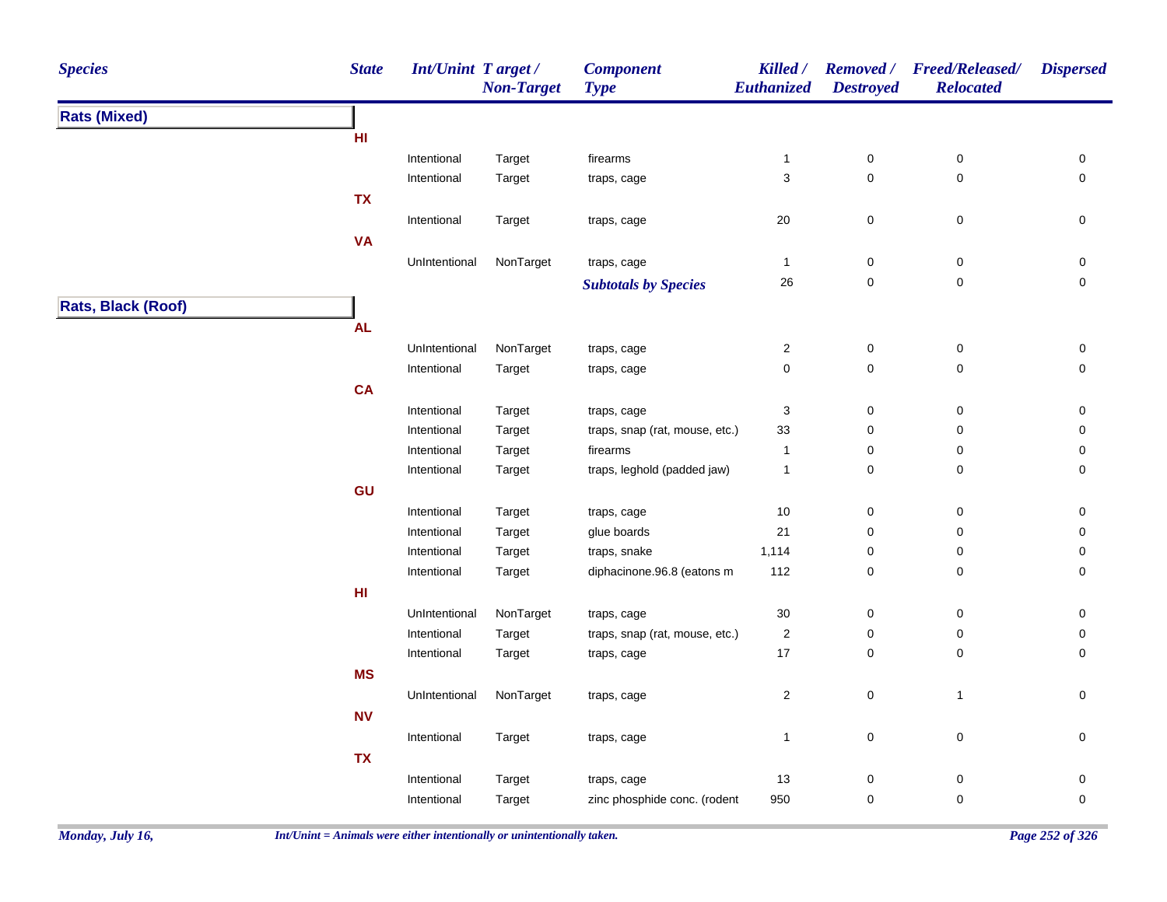| <b>Species</b>            | <b>State</b>    | <b>Int/Unint Target/</b>     | <b>Non-Target</b> | <b>Component</b><br><b>Type</b> | Killed /<br>Euthanized        | <b>Destroyed</b>         | Removed / Freed/Released/<br><b>Relocated</b> | <b>Dispersed</b>                           |
|---------------------------|-----------------|------------------------------|-------------------|---------------------------------|-------------------------------|--------------------------|-----------------------------------------------|--------------------------------------------|
| <b>Rats (Mixed)</b>       |                 |                              |                   |                                 |                               |                          |                                               |                                            |
|                           | HI              |                              |                   |                                 |                               |                          |                                               |                                            |
|                           |                 | Intentional                  | Target            | firearms                        | $\mathbf{1}$                  | 0                        | 0                                             | 0                                          |
|                           |                 | Intentional                  | Target            | traps, cage                     | $\mathbf{3}$                  | $\mathbf 0$              | $\mathsf 0$                                   | $\mathsf{O}\xspace$                        |
|                           | <b>TX</b>       |                              |                   |                                 |                               |                          |                                               |                                            |
|                           |                 | Intentional                  | Target            | traps, cage                     | 20                            | $\pmb{0}$                | $\mathsf 0$                                   | 0                                          |
|                           | <b>VA</b>       |                              |                   |                                 |                               |                          |                                               |                                            |
|                           |                 | UnIntentional                | NonTarget         | traps, cage                     | $\mathbf{1}$                  | $\pmb{0}$                | $\pmb{0}$                                     | 0                                          |
|                           |                 |                              |                   | <b>Subtotals by Species</b>     | 26                            | $\mathsf{O}\xspace$      | $\pmb{0}$                                     | 0                                          |
| <b>Rats, Black (Roof)</b> |                 |                              |                   |                                 |                               |                          |                                               |                                            |
|                           | <b>AL</b>       |                              |                   |                                 |                               |                          |                                               |                                            |
|                           |                 |                              |                   |                                 |                               |                          |                                               |                                            |
|                           |                 | UnIntentional<br>Intentional | NonTarget         | traps, cage                     | $\boldsymbol{2}$<br>$\pmb{0}$ | $\pmb{0}$<br>$\mathbf 0$ | $\pmb{0}$<br>$\mathsf 0$                      | $\mathsf{O}\xspace$<br>$\mathsf{O}\xspace$ |
|                           |                 |                              | Target            | traps, cage                     |                               |                          |                                               |                                            |
|                           | <b>CA</b>       |                              |                   |                                 |                               |                          |                                               |                                            |
|                           |                 | Intentional                  | Target            | traps, cage                     | 3                             | 0                        | $\mathbf 0$                                   | 0                                          |
|                           |                 | Intentional                  | Target            | traps, snap (rat, mouse, etc.)  | 33                            | $\pmb{0}$                | $\pmb{0}$                                     | 0                                          |
|                           |                 | Intentional                  | Target            | firearms                        | $\mathbf{1}$                  | 0                        | 0                                             | 0                                          |
|                           |                 | Intentional                  | Target            | traps, leghold (padded jaw)     | $\mathbf{1}$                  | $\mathbf 0$              | 0                                             | 0                                          |
|                           | GU              |                              |                   |                                 |                               |                          |                                               |                                            |
|                           |                 | Intentional                  | Target            | traps, cage                     | 10                            | 0                        | 0                                             | 0                                          |
|                           |                 | Intentional                  | Target            | glue boards                     | 21                            | $\mathbf 0$              | 0                                             | 0                                          |
|                           |                 | Intentional                  | Target            | traps, snake                    | 1,114                         | $\mathbf 0$              | 0                                             | 0                                          |
|                           |                 | Intentional                  | Target            | diphacinone.96.8 (eatons m      | 112                           | $\pmb{0}$                | $\pmb{0}$                                     | 0                                          |
|                           | H <sub>II</sub> |                              |                   |                                 |                               |                          |                                               |                                            |
|                           |                 | UnIntentional                | NonTarget         | traps, cage                     | 30                            | $\mathbf 0$              | 0                                             | 0                                          |
|                           |                 | Intentional                  | Target            | traps, snap (rat, mouse, etc.)  | $\sqrt{2}$                    | 0                        | 0                                             | 0                                          |
|                           |                 | Intentional                  | Target            | traps, cage                     | 17                            | $\mathsf{O}\xspace$      | 0                                             | 0                                          |
|                           | <b>MS</b>       |                              |                   |                                 |                               |                          |                                               |                                            |
|                           |                 | UnIntentional                | NonTarget         | traps, cage                     | $\sqrt{2}$                    | $\mathsf{O}\xspace$      | $\mathbf{1}$                                  | $\mathsf{O}\xspace$                        |
|                           | ${\sf NV}$      |                              |                   |                                 |                               |                          |                                               |                                            |
|                           |                 | Intentional                  | Target            | traps, cage                     | $\mathbf{1}$                  | $\mathsf 0$              | $\mathsf 0$                                   | $\mathsf{O}\xspace$                        |
|                           | <b>TX</b>       |                              |                   |                                 |                               |                          |                                               |                                            |
|                           |                 | Intentional                  | Target            | traps, cage                     | 13                            | 0                        | 0                                             | 0                                          |
|                           |                 | Intentional                  | Target            | zinc phosphide conc. (rodent    | 950                           | 0                        | 0                                             | 0                                          |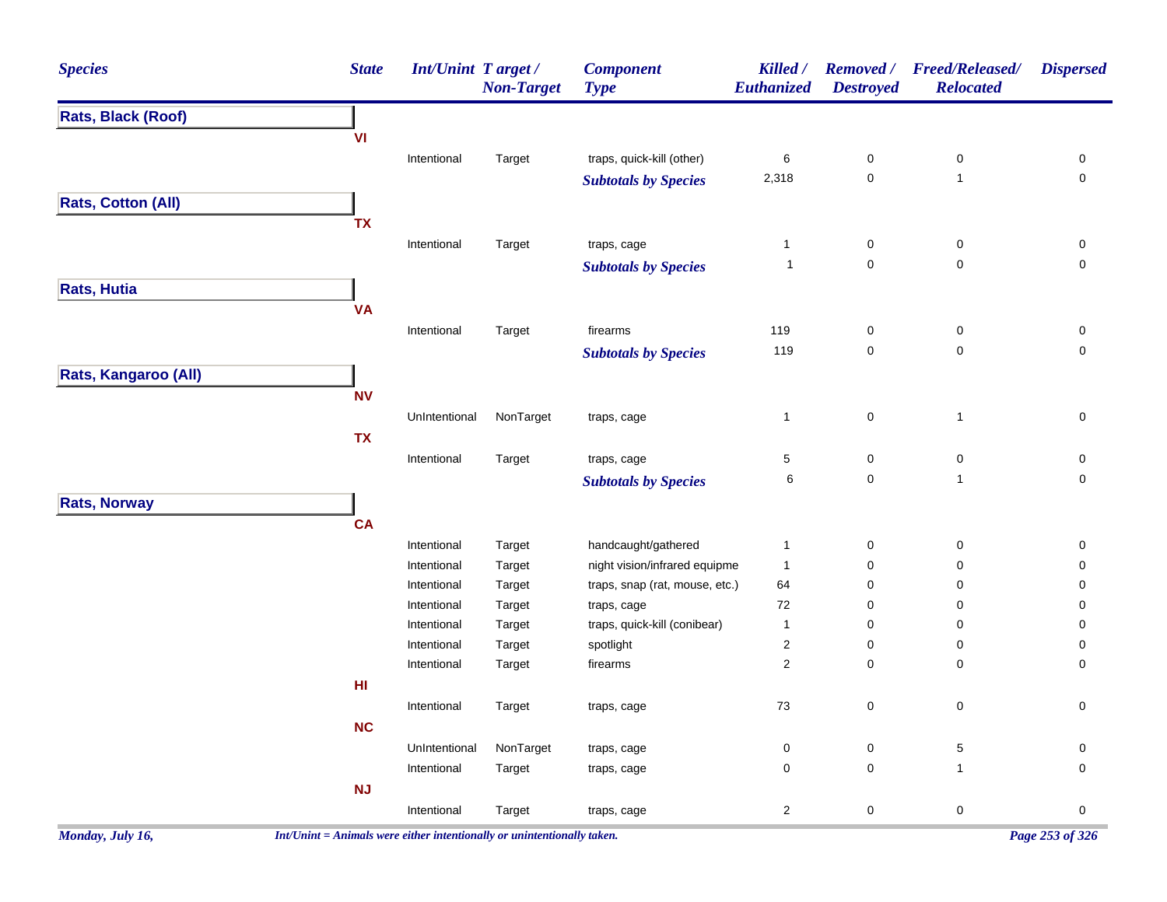| <b>Species</b>            | <b>State</b>                                                                                                                                                                                                                                                                                                                                                                                                                                                                                                                                                                                                                                                                                                                                                                                                                                                                                                                                                                                                                                                                                                                                                                                                                                                                                                                                                                                                                                                                                                                                                                                                                                                                                                                                           | <b>Non-Target</b> | <b>Component</b><br><b>Type</b> | Killed / | <b>Removed</b> /<br><b>Destroyed</b> | <b>Freed/Released/</b><br><b>Relocated</b> | <b>Dispersed</b>         |
|---------------------------|--------------------------------------------------------------------------------------------------------------------------------------------------------------------------------------------------------------------------------------------------------------------------------------------------------------------------------------------------------------------------------------------------------------------------------------------------------------------------------------------------------------------------------------------------------------------------------------------------------------------------------------------------------------------------------------------------------------------------------------------------------------------------------------------------------------------------------------------------------------------------------------------------------------------------------------------------------------------------------------------------------------------------------------------------------------------------------------------------------------------------------------------------------------------------------------------------------------------------------------------------------------------------------------------------------------------------------------------------------------------------------------------------------------------------------------------------------------------------------------------------------------------------------------------------------------------------------------------------------------------------------------------------------------------------------------------------------------------------------------------------------|-------------------|---------------------------------|----------|--------------------------------------|--------------------------------------------|--------------------------|
| Rats, Black (Roof)        | Int/Unint Target/<br>Euthanized<br>VI<br>$\,6\,$<br>Intentional<br>traps, quick-kill (other)<br>$\pmb{0}$<br>$\pmb{0}$<br>Target<br>$\mathsf 0$<br>$\mathbf 1$<br>2,318<br><b>Subtotals by Species</b><br><b>TX</b><br>$\pmb{0}$<br>Intentional<br>Target<br>traps, cage<br>$\mathbf{1}$<br>$\pmb{0}$<br>$\mathsf 0$<br>$\pmb{0}$<br>$\mathbf 1$<br><b>Subtotals by Species</b><br><b>VA</b><br>firearms<br>119<br>Intentional<br>Target<br>0<br>0<br>119<br>$\mathsf 0$<br>$\pmb{0}$<br><b>Subtotals by Species</b><br><b>NV</b><br>UnIntentional<br>NonTarget<br>$\pmb{0}$<br>$\mathbf{1}$<br>$\mathbf{1}$<br>traps, cage<br><b>TX</b><br>$\mathbf 5$<br>Target<br>$\pmb{0}$<br>$\pmb{0}$<br>Intentional<br>traps, cage<br>$\,6$<br>$\mathsf 0$<br>$\mathbf{1}$<br><b>Subtotals by Species</b><br><b>CA</b><br>handcaught/gathered<br>Intentional<br>$\pmb{0}$<br>$\pmb{0}$<br>Target<br>$\mathbf{1}$<br>Intentional<br>night vision/infrared equipme<br>$\mathbf{1}$<br>$\pmb{0}$<br>$\pmb{0}$<br>Target<br>traps, snap (rat, mouse, etc.)<br>64<br>$\pmb{0}$<br>Intentional<br>Target<br>0<br>72<br>$\pmb{0}$<br>Intentional<br>Target<br>traps, cage<br>0<br>traps, quick-kill (conibear)<br>Intentional<br>Target<br>$\mathbf{1}$<br>$\pmb{0}$<br>0<br>Target<br>spotlight<br>$\overline{c}$<br>$\pmb{0}$<br>Intentional<br>0<br>$\sqrt{2}$<br>$\pmb{0}$<br>Intentional<br>Target<br>firearms<br>0<br>HI<br>73<br>$\pmb{0}$<br>$\pmb{0}$<br>Intentional<br>Target<br>traps, cage<br>NC<br>NonTarget<br>$\mathsf 0$<br>$\pmb{0}$<br>$\,$ 5 $\,$<br>UnIntentional<br>traps, cage<br>$\pmb{0}$<br>Intentional<br>0<br>$\mathbf{1}$<br>Target<br>traps, cage<br>NJ<br>$\sqrt{2}$<br>$\mathbf 0$<br>$\pmb{0}$<br>Intentional<br>Target<br>traps, cage |                   |                                 |          |                                      |                                            |                          |
|                           |                                                                                                                                                                                                                                                                                                                                                                                                                                                                                                                                                                                                                                                                                                                                                                                                                                                                                                                                                                                                                                                                                                                                                                                                                                                                                                                                                                                                                                                                                                                                                                                                                                                                                                                                                        |                   |                                 |          |                                      |                                            |                          |
|                           |                                                                                                                                                                                                                                                                                                                                                                                                                                                                                                                                                                                                                                                                                                                                                                                                                                                                                                                                                                                                                                                                                                                                                                                                                                                                                                                                                                                                                                                                                                                                                                                                                                                                                                                                                        |                   |                                 |          |                                      |                                            | 0                        |
|                           |                                                                                                                                                                                                                                                                                                                                                                                                                                                                                                                                                                                                                                                                                                                                                                                                                                                                                                                                                                                                                                                                                                                                                                                                                                                                                                                                                                                                                                                                                                                                                                                                                                                                                                                                                        |                   |                                 |          |                                      |                                            | $\pmb{0}$                |
| <b>Rats, Cotton (All)</b> |                                                                                                                                                                                                                                                                                                                                                                                                                                                                                                                                                                                                                                                                                                                                                                                                                                                                                                                                                                                                                                                                                                                                                                                                                                                                                                                                                                                                                                                                                                                                                                                                                                                                                                                                                        |                   |                                 |          |                                      |                                            |                          |
|                           |                                                                                                                                                                                                                                                                                                                                                                                                                                                                                                                                                                                                                                                                                                                                                                                                                                                                                                                                                                                                                                                                                                                                                                                                                                                                                                                                                                                                                                                                                                                                                                                                                                                                                                                                                        |                   |                                 |          |                                      |                                            |                          |
|                           |                                                                                                                                                                                                                                                                                                                                                                                                                                                                                                                                                                                                                                                                                                                                                                                                                                                                                                                                                                                                                                                                                                                                                                                                                                                                                                                                                                                                                                                                                                                                                                                                                                                                                                                                                        |                   |                                 |          |                                      |                                            | 0                        |
|                           |                                                                                                                                                                                                                                                                                                                                                                                                                                                                                                                                                                                                                                                                                                                                                                                                                                                                                                                                                                                                                                                                                                                                                                                                                                                                                                                                                                                                                                                                                                                                                                                                                                                                                                                                                        |                   |                                 |          |                                      |                                            | $\mathsf{O}\xspace$      |
| <b>Rats, Hutia</b>        |                                                                                                                                                                                                                                                                                                                                                                                                                                                                                                                                                                                                                                                                                                                                                                                                                                                                                                                                                                                                                                                                                                                                                                                                                                                                                                                                                                                                                                                                                                                                                                                                                                                                                                                                                        |                   |                                 |          |                                      |                                            |                          |
|                           |                                                                                                                                                                                                                                                                                                                                                                                                                                                                                                                                                                                                                                                                                                                                                                                                                                                                                                                                                                                                                                                                                                                                                                                                                                                                                                                                                                                                                                                                                                                                                                                                                                                                                                                                                        |                   |                                 |          |                                      |                                            |                          |
|                           |                                                                                                                                                                                                                                                                                                                                                                                                                                                                                                                                                                                                                                                                                                                                                                                                                                                                                                                                                                                                                                                                                                                                                                                                                                                                                                                                                                                                                                                                                                                                                                                                                                                                                                                                                        |                   |                                 |          |                                      |                                            | 0                        |
|                           |                                                                                                                                                                                                                                                                                                                                                                                                                                                                                                                                                                                                                                                                                                                                                                                                                                                                                                                                                                                                                                                                                                                                                                                                                                                                                                                                                                                                                                                                                                                                                                                                                                                                                                                                                        |                   |                                 |          |                                      |                                            | $\mathsf{O}\xspace$      |
| Rats, Kangaroo (All)      |                                                                                                                                                                                                                                                                                                                                                                                                                                                                                                                                                                                                                                                                                                                                                                                                                                                                                                                                                                                                                                                                                                                                                                                                                                                                                                                                                                                                                                                                                                                                                                                                                                                                                                                                                        |                   |                                 |          |                                      |                                            |                          |
|                           |                                                                                                                                                                                                                                                                                                                                                                                                                                                                                                                                                                                                                                                                                                                                                                                                                                                                                                                                                                                                                                                                                                                                                                                                                                                                                                                                                                                                                                                                                                                                                                                                                                                                                                                                                        |                   |                                 |          |                                      |                                            |                          |
|                           |                                                                                                                                                                                                                                                                                                                                                                                                                                                                                                                                                                                                                                                                                                                                                                                                                                                                                                                                                                                                                                                                                                                                                                                                                                                                                                                                                                                                                                                                                                                                                                                                                                                                                                                                                        |                   |                                 |          |                                      |                                            | $\pmb{0}$                |
|                           |                                                                                                                                                                                                                                                                                                                                                                                                                                                                                                                                                                                                                                                                                                                                                                                                                                                                                                                                                                                                                                                                                                                                                                                                                                                                                                                                                                                                                                                                                                                                                                                                                                                                                                                                                        |                   |                                 |          |                                      |                                            |                          |
|                           |                                                                                                                                                                                                                                                                                                                                                                                                                                                                                                                                                                                                                                                                                                                                                                                                                                                                                                                                                                                                                                                                                                                                                                                                                                                                                                                                                                                                                                                                                                                                                                                                                                                                                                                                                        |                   |                                 |          |                                      |                                            |                          |
|                           |                                                                                                                                                                                                                                                                                                                                                                                                                                                                                                                                                                                                                                                                                                                                                                                                                                                                                                                                                                                                                                                                                                                                                                                                                                                                                                                                                                                                                                                                                                                                                                                                                                                                                                                                                        |                   |                                 |          |                                      |                                            | 0<br>$\mathsf{O}\xspace$ |
|                           |                                                                                                                                                                                                                                                                                                                                                                                                                                                                                                                                                                                                                                                                                                                                                                                                                                                                                                                                                                                                                                                                                                                                                                                                                                                                                                                                                                                                                                                                                                                                                                                                                                                                                                                                                        |                   |                                 |          |                                      |                                            |                          |
| <b>Rats, Norway</b>       |                                                                                                                                                                                                                                                                                                                                                                                                                                                                                                                                                                                                                                                                                                                                                                                                                                                                                                                                                                                                                                                                                                                                                                                                                                                                                                                                                                                                                                                                                                                                                                                                                                                                                                                                                        |                   |                                 |          |                                      |                                            |                          |
|                           |                                                                                                                                                                                                                                                                                                                                                                                                                                                                                                                                                                                                                                                                                                                                                                                                                                                                                                                                                                                                                                                                                                                                                                                                                                                                                                                                                                                                                                                                                                                                                                                                                                                                                                                                                        |                   |                                 |          |                                      |                                            |                          |
|                           |                                                                                                                                                                                                                                                                                                                                                                                                                                                                                                                                                                                                                                                                                                                                                                                                                                                                                                                                                                                                                                                                                                                                                                                                                                                                                                                                                                                                                                                                                                                                                                                                                                                                                                                                                        |                   |                                 |          |                                      |                                            | $\pmb{0}$                |
|                           |                                                                                                                                                                                                                                                                                                                                                                                                                                                                                                                                                                                                                                                                                                                                                                                                                                                                                                                                                                                                                                                                                                                                                                                                                                                                                                                                                                                                                                                                                                                                                                                                                                                                                                                                                        |                   |                                 |          |                                      |                                            | $\mathsf{O}\xspace$      |
|                           |                                                                                                                                                                                                                                                                                                                                                                                                                                                                                                                                                                                                                                                                                                                                                                                                                                                                                                                                                                                                                                                                                                                                                                                                                                                                                                                                                                                                                                                                                                                                                                                                                                                                                                                                                        |                   |                                 |          |                                      |                                            | 0                        |
|                           |                                                                                                                                                                                                                                                                                                                                                                                                                                                                                                                                                                                                                                                                                                                                                                                                                                                                                                                                                                                                                                                                                                                                                                                                                                                                                                                                                                                                                                                                                                                                                                                                                                                                                                                                                        |                   |                                 |          |                                      |                                            | 0                        |
|                           |                                                                                                                                                                                                                                                                                                                                                                                                                                                                                                                                                                                                                                                                                                                                                                                                                                                                                                                                                                                                                                                                                                                                                                                                                                                                                                                                                                                                                                                                                                                                                                                                                                                                                                                                                        |                   |                                 |          |                                      |                                            | 0                        |
|                           |                                                                                                                                                                                                                                                                                                                                                                                                                                                                                                                                                                                                                                                                                                                                                                                                                                                                                                                                                                                                                                                                                                                                                                                                                                                                                                                                                                                                                                                                                                                                                                                                                                                                                                                                                        |                   |                                 |          |                                      |                                            | 0<br>0                   |
|                           |                                                                                                                                                                                                                                                                                                                                                                                                                                                                                                                                                                                                                                                                                                                                                                                                                                                                                                                                                                                                                                                                                                                                                                                                                                                                                                                                                                                                                                                                                                                                                                                                                                                                                                                                                        |                   |                                 |          |                                      |                                            |                          |
|                           |                                                                                                                                                                                                                                                                                                                                                                                                                                                                                                                                                                                                                                                                                                                                                                                                                                                                                                                                                                                                                                                                                                                                                                                                                                                                                                                                                                                                                                                                                                                                                                                                                                                                                                                                                        |                   |                                 |          |                                      |                                            |                          |
|                           |                                                                                                                                                                                                                                                                                                                                                                                                                                                                                                                                                                                                                                                                                                                                                                                                                                                                                                                                                                                                                                                                                                                                                                                                                                                                                                                                                                                                                                                                                                                                                                                                                                                                                                                                                        |                   |                                 |          |                                      |                                            | $\mathsf{O}\xspace$      |
|                           |                                                                                                                                                                                                                                                                                                                                                                                                                                                                                                                                                                                                                                                                                                                                                                                                                                                                                                                                                                                                                                                                                                                                                                                                                                                                                                                                                                                                                                                                                                                                                                                                                                                                                                                                                        |                   |                                 |          |                                      |                                            |                          |
|                           |                                                                                                                                                                                                                                                                                                                                                                                                                                                                                                                                                                                                                                                                                                                                                                                                                                                                                                                                                                                                                                                                                                                                                                                                                                                                                                                                                                                                                                                                                                                                                                                                                                                                                                                                                        |                   |                                 |          |                                      |                                            | 0                        |
|                           |                                                                                                                                                                                                                                                                                                                                                                                                                                                                                                                                                                                                                                                                                                                                                                                                                                                                                                                                                                                                                                                                                                                                                                                                                                                                                                                                                                                                                                                                                                                                                                                                                                                                                                                                                        |                   |                                 |          |                                      |                                            | $\mathbf 0$              |
|                           |                                                                                                                                                                                                                                                                                                                                                                                                                                                                                                                                                                                                                                                                                                                                                                                                                                                                                                                                                                                                                                                                                                                                                                                                                                                                                                                                                                                                                                                                                                                                                                                                                                                                                                                                                        |                   |                                 |          |                                      |                                            |                          |
|                           |                                                                                                                                                                                                                                                                                                                                                                                                                                                                                                                                                                                                                                                                                                                                                                                                                                                                                                                                                                                                                                                                                                                                                                                                                                                                                                                                                                                                                                                                                                                                                                                                                                                                                                                                                        |                   |                                 |          |                                      |                                            | $\pmb{0}$                |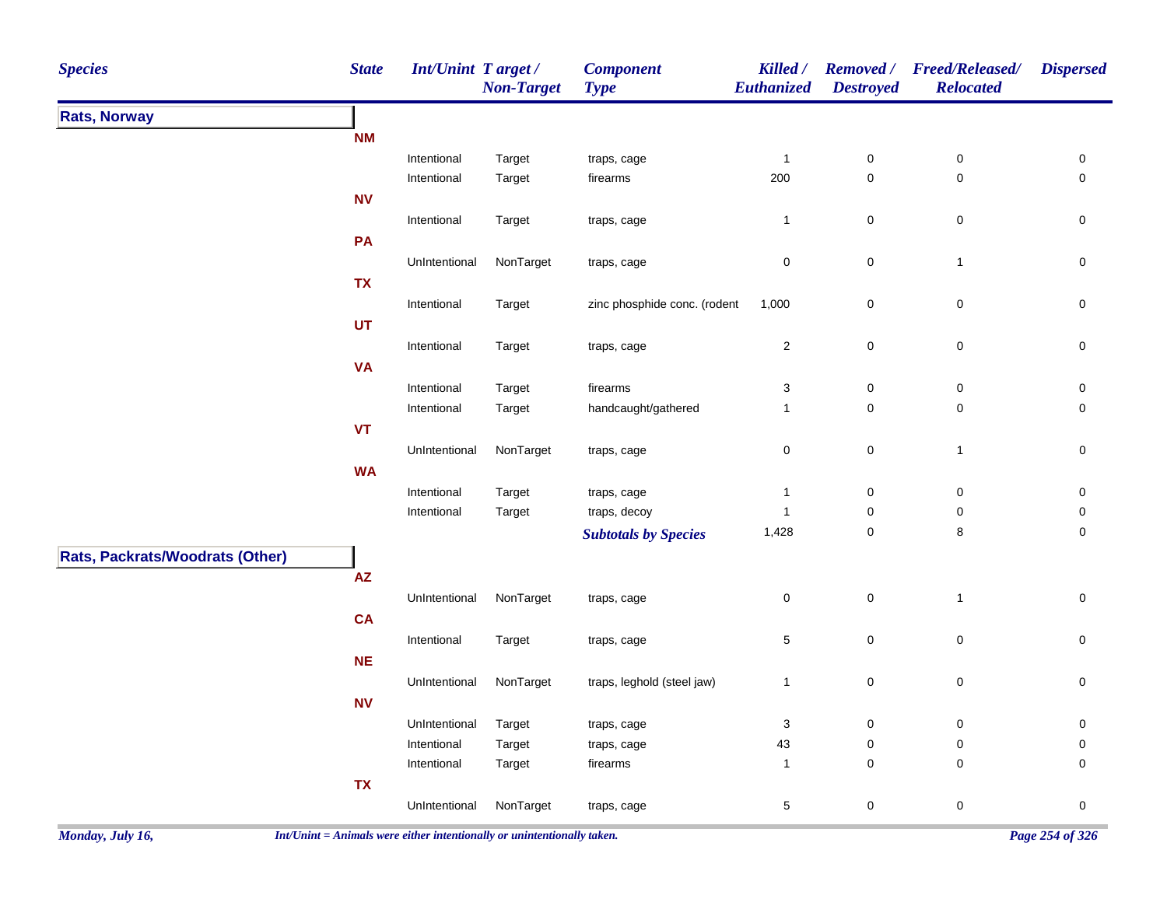| <b>Species</b>                  | <b>State</b>                                                                                                                                                                                                                                                                                                                                                                                                                                                                                                                                                                                                 |  | <b>Non-Target</b> | <b>Component</b><br><b>Type</b> | Killed /<br><b>Euthanized</b> | <b>Removed</b> /<br><b>Destroyed</b> | <b>Freed/Released/</b><br><b>Relocated</b> | <b>Dispersed</b>    |
|---------------------------------|--------------------------------------------------------------------------------------------------------------------------------------------------------------------------------------------------------------------------------------------------------------------------------------------------------------------------------------------------------------------------------------------------------------------------------------------------------------------------------------------------------------------------------------------------------------------------------------------------------------|--|-------------------|---------------------------------|-------------------------------|--------------------------------------|--------------------------------------------|---------------------|
| <b>Rats, Norway</b>             | Int/Unint Target /<br><b>NM</b><br>Intentional<br>Target<br>Intentional<br>Target<br><b>NV</b><br>Intentional<br>Target<br>PA<br>UnIntentional<br><b>TX</b><br>Intentional<br>Target<br>UT<br>Intentional<br>Target<br><b>VA</b><br>Intentional<br>Target<br>Intentional<br>Target<br><b>VT</b><br>UnIntentional<br><b>WA</b><br>Intentional<br>Target<br>Intentional<br>Target<br>$\boldsymbol{\mathsf{AZ}}$<br>UnIntentional<br>CA<br>Intentional<br>Target<br><b>NE</b><br>UnIntentional<br><b>NV</b><br>UnIntentional<br>Target<br>Intentional<br>Target<br>Intentional<br>Target<br>TX<br>UnIntentional |  |                   |                                 |                               |                                      |                                            |                     |
|                                 |                                                                                                                                                                                                                                                                                                                                                                                                                                                                                                                                                                                                              |  |                   |                                 |                               |                                      |                                            |                     |
|                                 |                                                                                                                                                                                                                                                                                                                                                                                                                                                                                                                                                                                                              |  |                   | traps, cage                     | $\mathbf{1}$                  | $\pmb{0}$                            | $\pmb{0}$                                  | $\pmb{0}$           |
|                                 |                                                                                                                                                                                                                                                                                                                                                                                                                                                                                                                                                                                                              |  |                   | firearms                        | 200                           | $\pmb{0}$                            | $\pmb{0}$                                  | $\mathsf{O}\xspace$ |
|                                 |                                                                                                                                                                                                                                                                                                                                                                                                                                                                                                                                                                                                              |  |                   |                                 |                               |                                      |                                            |                     |
|                                 |                                                                                                                                                                                                                                                                                                                                                                                                                                                                                                                                                                                                              |  |                   | traps, cage                     | $\mathbf{1}$                  | $\pmb{0}$                            | $\mathsf 0$                                | $\mathsf{O}\xspace$ |
|                                 |                                                                                                                                                                                                                                                                                                                                                                                                                                                                                                                                                                                                              |  |                   |                                 |                               |                                      |                                            |                     |
|                                 |                                                                                                                                                                                                                                                                                                                                                                                                                                                                                                                                                                                                              |  | NonTarget         | traps, cage                     | $\pmb{0}$                     | $\pmb{0}$                            | $\mathbf{1}$                               | $\pmb{0}$           |
|                                 |                                                                                                                                                                                                                                                                                                                                                                                                                                                                                                                                                                                                              |  |                   |                                 |                               |                                      |                                            |                     |
|                                 |                                                                                                                                                                                                                                                                                                                                                                                                                                                                                                                                                                                                              |  |                   | zinc phosphide conc. (rodent    | 1,000                         | $\pmb{0}$                            | $\pmb{0}$                                  | $\pmb{0}$           |
|                                 |                                                                                                                                                                                                                                                                                                                                                                                                                                                                                                                                                                                                              |  |                   |                                 |                               |                                      |                                            |                     |
|                                 |                                                                                                                                                                                                                                                                                                                                                                                                                                                                                                                                                                                                              |  |                   | traps, cage                     | $\mathbf{2}$                  | $\pmb{0}$                            | $\pmb{0}$                                  | $\pmb{0}$           |
|                                 |                                                                                                                                                                                                                                                                                                                                                                                                                                                                                                                                                                                                              |  |                   |                                 |                               |                                      |                                            |                     |
|                                 |                                                                                                                                                                                                                                                                                                                                                                                                                                                                                                                                                                                                              |  |                   | firearms                        | $\ensuremath{\mathsf{3}}$     | $\pmb{0}$                            | $\pmb{0}$                                  | $\mathsf 0$         |
|                                 |                                                                                                                                                                                                                                                                                                                                                                                                                                                                                                                                                                                                              |  |                   | handcaught/gathered             | $\mathbf{1}$                  | $\mathbf 0$                          | $\pmb{0}$                                  | $\mathsf{O}\xspace$ |
|                                 |                                                                                                                                                                                                                                                                                                                                                                                                                                                                                                                                                                                                              |  |                   |                                 |                               |                                      |                                            |                     |
|                                 |                                                                                                                                                                                                                                                                                                                                                                                                                                                                                                                                                                                                              |  | NonTarget         | traps, cage                     | $\pmb{0}$                     | $\pmb{0}$                            | $\mathbf{1}$                               | $\mathsf 0$         |
|                                 |                                                                                                                                                                                                                                                                                                                                                                                                                                                                                                                                                                                                              |  |                   |                                 |                               |                                      |                                            |                     |
|                                 |                                                                                                                                                                                                                                                                                                                                                                                                                                                                                                                                                                                                              |  |                   | traps, cage                     | $\mathbf{1}$                  | $\pmb{0}$                            | $\pmb{0}$                                  | $\pmb{0}$           |
|                                 |                                                                                                                                                                                                                                                                                                                                                                                                                                                                                                                                                                                                              |  |                   | traps, decoy                    | $\mathbf{1}$                  | $\mathbf 0$                          | $\pmb{0}$                                  | $\pmb{0}$           |
|                                 |                                                                                                                                                                                                                                                                                                                                                                                                                                                                                                                                                                                                              |  |                   | <b>Subtotals by Species</b>     | 1,428                         | $\pmb{0}$                            | 8                                          | $\pmb{0}$           |
| Rats, Packrats/Woodrats (Other) |                                                                                                                                                                                                                                                                                                                                                                                                                                                                                                                                                                                                              |  |                   |                                 |                               |                                      |                                            |                     |
|                                 |                                                                                                                                                                                                                                                                                                                                                                                                                                                                                                                                                                                                              |  |                   |                                 |                               |                                      |                                            |                     |
|                                 |                                                                                                                                                                                                                                                                                                                                                                                                                                                                                                                                                                                                              |  | NonTarget         | traps, cage                     | $\mathsf 0$                   | $\pmb{0}$                            | $\mathbf{1}$                               | $\pmb{0}$           |
|                                 |                                                                                                                                                                                                                                                                                                                                                                                                                                                                                                                                                                                                              |  |                   |                                 |                               |                                      |                                            |                     |
|                                 |                                                                                                                                                                                                                                                                                                                                                                                                                                                                                                                                                                                                              |  |                   | traps, cage                     | $\,$ 5 $\,$                   | $\pmb{0}$                            | $\pmb{0}$                                  | $\mathbf 0$         |
|                                 |                                                                                                                                                                                                                                                                                                                                                                                                                                                                                                                                                                                                              |  |                   |                                 |                               |                                      |                                            |                     |
|                                 |                                                                                                                                                                                                                                                                                                                                                                                                                                                                                                                                                                                                              |  | NonTarget         | traps, leghold (steel jaw)      | $\mathbf{1}$                  | $\pmb{0}$                            | $\pmb{0}$                                  | $\pmb{0}$           |
|                                 |                                                                                                                                                                                                                                                                                                                                                                                                                                                                                                                                                                                                              |  |                   |                                 |                               |                                      |                                            |                     |
|                                 |                                                                                                                                                                                                                                                                                                                                                                                                                                                                                                                                                                                                              |  |                   | traps, cage                     | $\mathbf{3}$                  | $\pmb{0}$                            | $\pmb{0}$                                  | $\mathsf{O}\xspace$ |
|                                 |                                                                                                                                                                                                                                                                                                                                                                                                                                                                                                                                                                                                              |  |                   | traps, cage                     | 43                            | $\pmb{0}$                            | $\pmb{0}$                                  | 0                   |
|                                 |                                                                                                                                                                                                                                                                                                                                                                                                                                                                                                                                                                                                              |  |                   | firearms                        | $\mathbf{1}$                  | $\pmb{0}$                            | $\pmb{0}$                                  | $\mathbf 0$         |
|                                 |                                                                                                                                                                                                                                                                                                                                                                                                                                                                                                                                                                                                              |  |                   |                                 |                               |                                      |                                            |                     |
|                                 |                                                                                                                                                                                                                                                                                                                                                                                                                                                                                                                                                                                                              |  | NonTarget         | traps, cage                     | $\mathbf 5$                   | $\pmb{0}$                            | $\pmb{0}$                                  | $\pmb{0}$           |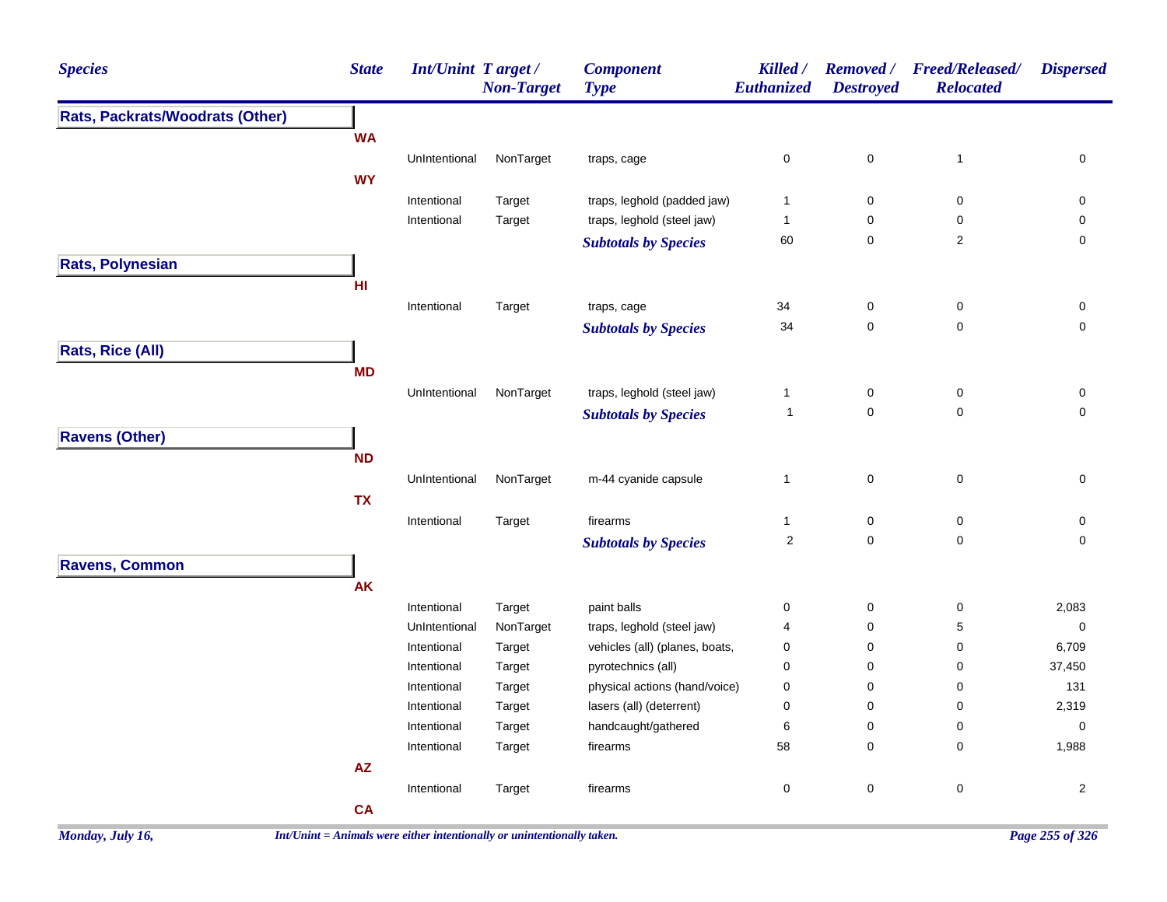| <b>Species</b>                  | <b>State</b> | <b>Int/Unint Target/</b>     | <b>Non-Target</b>   | <b>Component</b><br><b>Type</b>           | Killed /<br>Euthanized                 | <b>Removed</b> /<br><b>Destroyed</b> | <b>Freed/Released/</b><br><b>Relocated</b> | <b>Dispersed</b>    |
|---------------------------------|--------------|------------------------------|---------------------|-------------------------------------------|----------------------------------------|--------------------------------------|--------------------------------------------|---------------------|
| Rats, Packrats/Woodrats (Other) |              |                              |                     |                                           |                                        |                                      |                                            |                     |
|                                 | <b>WA</b>    |                              |                     |                                           |                                        |                                      |                                            |                     |
|                                 |              | UnIntentional                | NonTarget           | traps, cage                               | $\pmb{0}$                              | $\pmb{0}$                            | $\mathbf{1}$                               | $\pmb{0}$           |
|                                 | <b>WY</b>    |                              |                     |                                           |                                        |                                      |                                            |                     |
|                                 |              | Intentional                  | Target              | traps, leghold (padded jaw)               | $\mathbf{1}$                           | $\pmb{0}$                            | $\pmb{0}$                                  | 0                   |
|                                 |              | Intentional                  | Target              | traps, leghold (steel jaw)                | $\mathbf{1}$                           | $\pmb{0}$                            | $\pmb{0}$                                  | $\pmb{0}$           |
|                                 |              |                              |                     | <b>Subtotals by Species</b>               | 60                                     | $\pmb{0}$                            | $\sqrt{2}$                                 | 0                   |
| Rats, Polynesian                |              |                              |                     |                                           |                                        |                                      |                                            |                     |
|                                 | HI           |                              |                     |                                           |                                        |                                      |                                            |                     |
|                                 |              | Intentional                  | Target              | traps, cage                               | 34                                     | $\pmb{0}$                            | $\mathsf 0$                                | 0                   |
|                                 |              |                              |                     | <b>Subtotals by Species</b>               | 34                                     | $\mathsf 0$                          | $\mathbf 0$                                | $\mathbf 0$         |
| <b>Rats, Rice (All)</b>         |              |                              |                     |                                           |                                        |                                      |                                            |                     |
|                                 | <b>MD</b>    |                              |                     |                                           |                                        |                                      |                                            |                     |
|                                 |              | UnIntentional                | NonTarget           | traps, leghold (steel jaw)                | $\mathbf{1}$                           | $\pmb{0}$                            | $\pmb{0}$                                  | $\pmb{0}$           |
|                                 |              |                              |                     | <b>Subtotals by Species</b>               | $\mathbf 1$                            | $\mathsf{O}\xspace$                  | $\pmb{0}$                                  | 0                   |
| <b>Ravens (Other)</b>           |              |                              |                     |                                           |                                        |                                      |                                            |                     |
|                                 | <b>ND</b>    |                              |                     |                                           |                                        |                                      |                                            |                     |
|                                 |              | UnIntentional                | NonTarget           | m-44 cyanide capsule                      | $\mathbf{1}$                           | $\mathsf{O}\xspace$                  | $\pmb{0}$                                  | $\mathsf{O}\xspace$ |
|                                 | <b>TX</b>    |                              |                     |                                           |                                        |                                      |                                            |                     |
|                                 |              | Intentional                  | Target              | firearms                                  | $\mathbf{1}$                           | $\mathsf{O}\xspace$                  | $\mathsf 0$                                | 0                   |
|                                 |              |                              |                     | <b>Subtotals by Species</b>               | $\sqrt{2}$                             | $\mathbf 0$                          | 0                                          | 0                   |
|                                 |              |                              |                     |                                           |                                        |                                      |                                            |                     |
| <b>Ravens, Common</b>           | <b>AK</b>    |                              |                     |                                           |                                        |                                      |                                            |                     |
|                                 |              |                              |                     |                                           |                                        |                                      |                                            |                     |
|                                 |              | Intentional                  | Target              | paint balls<br>traps, leghold (steel jaw) | $\mathbf 0$<br>$\overline{\mathbf{4}}$ | $\pmb{0}$<br>$\mathbf 0$             | 0<br>5                                     | 2,083               |
|                                 |              | UnIntentional<br>Intentional | NonTarget<br>Target | vehicles (all) (planes, boats,            | $\pmb{0}$                              | 0                                    | 0                                          | $\pmb{0}$<br>6,709  |
|                                 |              | Intentional                  | Target              | pyrotechnics (all)                        | $\pmb{0}$                              | $\pmb{0}$                            | 0                                          | 37,450              |
|                                 |              | Intentional                  | Target              | physical actions (hand/voice)             | $\pmb{0}$                              | $\pmb{0}$                            | 0                                          | 131                 |
|                                 |              | Intentional                  | Target              | lasers (all) (deterrent)                  | $\pmb{0}$                              | $\pmb{0}$                            | 0                                          | 2,319               |
|                                 |              | Intentional                  | Target              | handcaught/gathered                       | 6                                      | 0                                    | 0                                          | $\mathbf 0$         |
|                                 |              | Intentional                  | Target              | firearms                                  | 58                                     | 0                                    | 0                                          | 1,988               |
|                                 | AZ           |                              |                     |                                           |                                        |                                      |                                            |                     |
|                                 |              | Intentional                  | Target              | firearms                                  | $\pmb{0}$                              | $\pmb{0}$                            | $\pmb{0}$                                  | $\overline{2}$      |
|                                 | <b>CA</b>    |                              |                     |                                           |                                        |                                      |                                            |                     |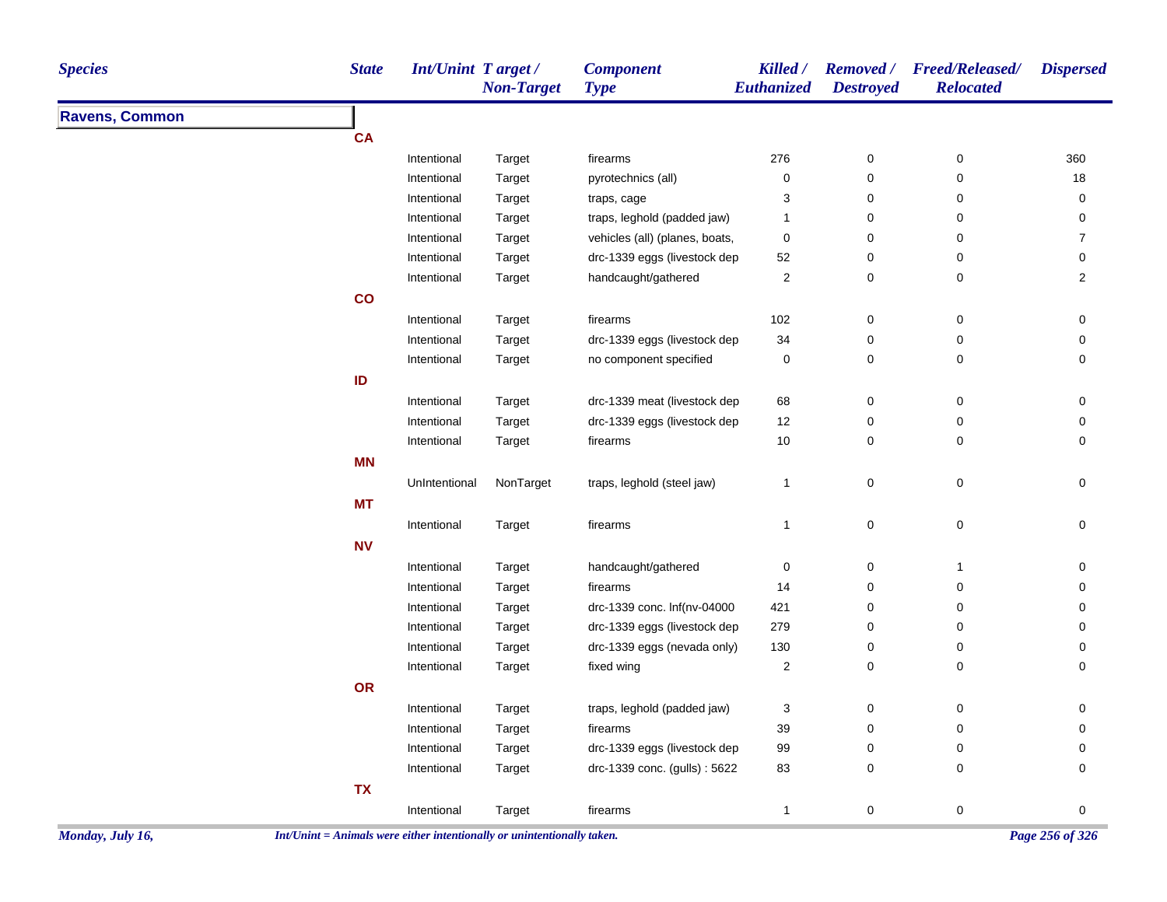| <b>Species</b>        | <b>State</b>  | Int/Unint Target/ | <b>Non-Target</b> | <b>Component</b><br><b>Type</b> | Killed /<br>Euthanized  | <b>Destroyed</b> | Removed / Freed/Released/<br><b>Relocated</b> | <b>Dispersed</b> |
|-----------------------|---------------|-------------------|-------------------|---------------------------------|-------------------------|------------------|-----------------------------------------------|------------------|
| <b>Ravens, Common</b> |               |                   |                   |                                 |                         |                  |                                               |                  |
|                       | <b>CA</b>     |                   |                   |                                 |                         |                  |                                               |                  |
|                       |               | Intentional       | Target            | firearms                        | 276                     | 0                | 0                                             | 360              |
|                       |               | Intentional       | Target            | pyrotechnics (all)              | 0                       | 0                | 0                                             | 18               |
|                       |               | Intentional       | Target            | traps, cage                     | 3                       | 0                | 0                                             | 0                |
|                       |               | Intentional       | Target            | traps, leghold (padded jaw)     | 1                       | 0                | 0                                             | 0                |
|                       |               | Intentional       | Target            | vehicles (all) (planes, boats,  | 0                       | 0                | 0                                             | 7                |
|                       |               | Intentional       | Target            | drc-1339 eggs (livestock dep    | 52                      | 0                | 0                                             | 0                |
|                       |               | Intentional       | Target            | handcaught/gathered             | $\overline{c}$          | 0                | 0                                             | $\overline{2}$   |
|                       | $\mathsf{co}$ |                   |                   |                                 |                         |                  |                                               |                  |
|                       |               | Intentional       | Target            | firearms                        | 102                     | 0                | 0                                             | 0                |
|                       |               | Intentional       | Target            | drc-1339 eggs (livestock dep    | 34                      | 0                | 0                                             | 0                |
|                       |               | Intentional       | Target            | no component specified          | 0                       | 0                | 0                                             | 0                |
|                       | ID            |                   |                   |                                 |                         |                  |                                               |                  |
|                       |               | Intentional       | Target            | drc-1339 meat (livestock dep    | 68                      | 0                | 0                                             | 0                |
|                       |               | Intentional       | Target            | drc-1339 eggs (livestock dep    | 12                      | 0                | 0                                             | 0                |
|                       |               | Intentional       | Target            | firearms                        | 10                      | 0                | 0                                             | 0                |
|                       | <b>MN</b>     |                   |                   |                                 |                         |                  |                                               |                  |
|                       |               | UnIntentional     | NonTarget         | traps, leghold (steel jaw)      | $\mathbf{1}$            | 0                | 0                                             | 0                |
|                       | <b>MT</b>     |                   |                   |                                 |                         |                  |                                               |                  |
|                       |               | Intentional       | Target            | firearms                        | $\mathbf{1}$            | 0                | 0                                             | 0                |
|                       | <b>NV</b>     |                   |                   |                                 |                         |                  |                                               |                  |
|                       |               | Intentional       | Target            | handcaught/gathered             | 0                       | 0                | 1                                             | 0                |
|                       |               | Intentional       | Target            | firearms                        | 14                      | 0                | 0                                             | 0                |
|                       |               | Intentional       | Target            | drc-1339 conc. lnf(nv-04000     | 421                     | 0                | 0                                             | 0                |
|                       |               | Intentional       | Target            | drc-1339 eggs (livestock dep    | 279                     | 0                | 0                                             | 0                |
|                       |               | Intentional       | Target            | drc-1339 eggs (nevada only)     | 130                     | 0                | 0                                             | 0                |
|                       |               | Intentional       | Target            | fixed wing                      | $\overline{\mathbf{c}}$ | 0                | 0                                             | 0                |
|                       | OR            |                   |                   |                                 |                         |                  |                                               |                  |
|                       |               | Intentional       | Target            | traps, leghold (padded jaw)     | 3                       | 0                | 0                                             | 0                |
|                       |               | Intentional       | Target            | firearms                        | 39                      | 0                | 0                                             | 0                |
|                       |               | Intentional       | Target            | drc-1339 eggs (livestock dep    | 99                      | 0                | 0                                             | 0                |
|                       |               | Intentional       | Target            | drc-1339 conc. (gulls): 5622    | 83                      | 0                | 0                                             | 0                |
|                       | <b>TX</b>     |                   |                   |                                 |                         |                  |                                               |                  |
|                       |               | Intentional       | Target            | firearms                        | $\mathbf{1}$            | $\pmb{0}$        | 0                                             | 0                |
|                       |               |                   |                   |                                 |                         |                  |                                               |                  |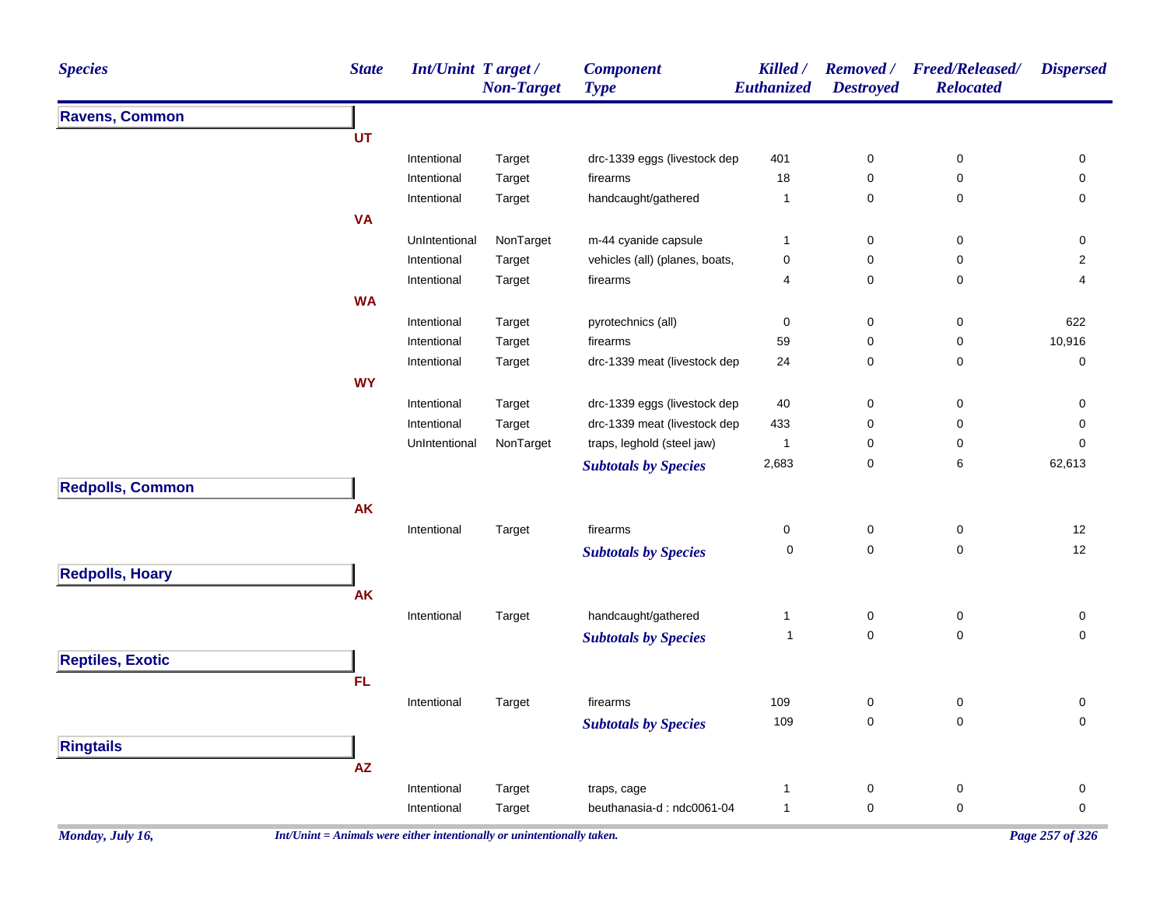| <b>Species</b>          | <b>State</b>           | Int/Unint Target/<br><b>Non-Target</b> | <b>Component</b><br><b>Type</b> | Killed /<br>Euthanized | <b>Removed</b> /<br><b>Destroyed</b> | <b>Freed/Released/</b><br><b>Relocated</b> | <b>Dispersed</b> |
|-------------------------|------------------------|----------------------------------------|---------------------------------|------------------------|--------------------------------------|--------------------------------------------|------------------|
| <b>Ravens, Common</b>   |                        |                                        |                                 |                        |                                      |                                            |                  |
|                         | UT                     |                                        |                                 |                        |                                      |                                            |                  |
|                         | Intentional            | Target                                 | drc-1339 eggs (livestock dep    | 401                    | 0                                    | 0                                          | 0                |
|                         | Intentional            | Target                                 | firearms                        | 18                     | 0                                    | 0                                          | 0                |
|                         | Intentional            | Target                                 | handcaught/gathered             | $\mathbf{1}$           | 0                                    | 0                                          | $\pmb{0}$        |
|                         | <b>VA</b>              |                                        |                                 |                        |                                      |                                            |                  |
|                         | UnIntentional          | NonTarget                              | m-44 cyanide capsule            | $\mathbf{1}$           | 0                                    | 0                                          | 0                |
|                         | Intentional            | Target                                 | vehicles (all) (planes, boats,  | 0                      | 0                                    | 0                                          | $\overline{c}$   |
|                         | Intentional            | Target                                 | firearms                        | 4                      | 0                                    | 0                                          | 4                |
|                         | <b>WA</b>              |                                        |                                 |                        |                                      |                                            |                  |
|                         | Intentional            | Target                                 | pyrotechnics (all)              | 0                      | 0                                    | 0                                          | 622              |
|                         | Intentional            | Target                                 | firearms                        | 59                     | 0                                    | 0                                          | 10,916           |
|                         | Intentional            | Target                                 | drc-1339 meat (livestock dep    | 24                     | 0                                    | 0                                          | 0                |
|                         | <b>WY</b>              |                                        |                                 |                        |                                      |                                            |                  |
|                         | Intentional            | Target                                 | drc-1339 eggs (livestock dep    | 40                     | 0                                    | 0                                          | 0                |
|                         | Intentional            | Target                                 | drc-1339 meat (livestock dep    | 433                    | 0                                    | 0                                          | 0                |
|                         | UnIntentional          | NonTarget                              | traps, leghold (steel jaw)      | $\mathbf{1}$           | 0                                    | 0                                          | 0                |
|                         |                        |                                        | <b>Subtotals by Species</b>     | 2,683                  | 0                                    | 6                                          | 62,613           |
| <b>Redpolls, Common</b> |                        |                                        |                                 |                        |                                      |                                            |                  |
|                         | <b>AK</b>              |                                        |                                 |                        |                                      |                                            |                  |
|                         | Intentional            | Target                                 | firearms                        | 0                      | 0                                    | 0                                          | 12               |
|                         |                        |                                        | <b>Subtotals by Species</b>     | 0                      | $\mathbf 0$                          | 0                                          | 12               |
| <b>Redpolls, Hoary</b>  |                        |                                        |                                 |                        |                                      |                                            |                  |
|                         | <b>AK</b>              |                                        |                                 |                        |                                      |                                            |                  |
|                         | Intentional            | Target                                 | handcaught/gathered             | 1                      | 0                                    | 0                                          | 0                |
|                         |                        |                                        | <b>Subtotals by Species</b>     | $\mathbf{1}$           | $\mathbf 0$                          | 0                                          | 0                |
| <b>Reptiles, Exotic</b> |                        |                                        |                                 |                        |                                      |                                            |                  |
|                         | <b>FL</b>              |                                        |                                 |                        |                                      |                                            |                  |
|                         |                        |                                        |                                 |                        |                                      |                                            |                  |
|                         | Intentional            | Target                                 | firearms                        | 109                    | 0                                    | 0                                          | 0<br>0           |
|                         |                        |                                        | <b>Subtotals by Species</b>     | 109                    | 0                                    | 0                                          |                  |
| <b>Ringtails</b>        |                        |                                        |                                 |                        |                                      |                                            |                  |
|                         | $\mathsf{A}\mathsf{Z}$ |                                        |                                 |                        |                                      |                                            |                  |
|                         | Intentional            | Target                                 | traps, cage                     | 1                      | $\boldsymbol{0}$                     | 0                                          | 0                |
|                         | Intentional            | Target                                 | beuthanasia-d: ndc0061-04       | $\mathbf{1}$           | $\boldsymbol{0}$                     | $\pmb{0}$                                  | $\pmb{0}$        |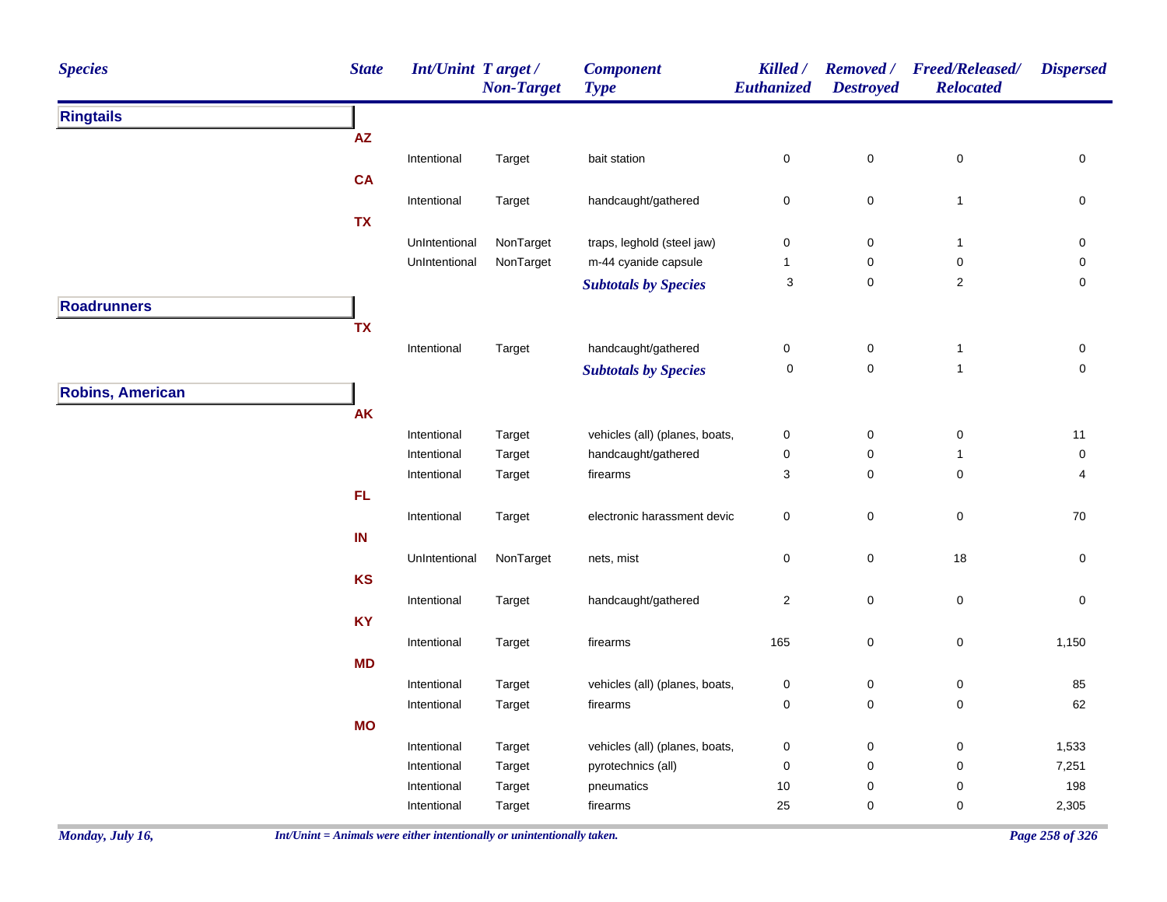| <b>Species</b>          | <b>State</b> | Int/Unint Target/ | <b>Non-Target</b> | <b>Component</b><br><b>Type</b> | Killed /<br>Euthanized | <b>Removed</b> /<br><b>Destroyed</b> | <b>Freed/Released/</b><br><b>Relocated</b> | <b>Dispersed</b>    |
|-------------------------|--------------|-------------------|-------------------|---------------------------------|------------------------|--------------------------------------|--------------------------------------------|---------------------|
| <b>Ringtails</b>        |              |                   |                   |                                 |                        |                                      |                                            |                     |
|                         | AZ           |                   |                   |                                 |                        |                                      |                                            |                     |
|                         |              | Intentional       | Target            | bait station                    | $\pmb{0}$              | $\pmb{0}$                            | $\pmb{0}$                                  | $\mathsf{O}\xspace$ |
|                         | CA           |                   |                   |                                 |                        |                                      |                                            |                     |
|                         |              | Intentional       | Target            | handcaught/gathered             | $\pmb{0}$              | $\mathbf 0$                          | $\mathbf{1}$                               | $\mathsf{O}\xspace$ |
|                         | <b>TX</b>    |                   |                   |                                 |                        |                                      |                                            |                     |
|                         |              | UnIntentional     | NonTarget         | traps, leghold (steel jaw)      | $\pmb{0}$              | $\pmb{0}$                            | $\mathbf{1}$                               | 0                   |
|                         |              | UnIntentional     | NonTarget         | m-44 cyanide capsule            | $\mathbf{1}$           | $\mathbf 0$                          | $\pmb{0}$                                  | $\pmb{0}$           |
|                         |              |                   |                   | <b>Subtotals by Species</b>     | 3                      | $\mathbf 0$                          | $\sqrt{2}$                                 | $\pmb{0}$           |
| <b>Roadrunners</b>      |              |                   |                   |                                 |                        |                                      |                                            |                     |
|                         | TX           |                   |                   |                                 |                        |                                      |                                            |                     |
|                         |              | Intentional       | Target            | handcaught/gathered             | $\pmb{0}$              | $\pmb{0}$                            | $\mathbf{1}$                               | $\pmb{0}$           |
|                         |              |                   |                   | <b>Subtotals by Species</b>     | $\pmb{0}$              | $\mathbf 0$                          | $\mathbf{1}$                               | $\mathbf 0$         |
| <b>Robins, American</b> |              |                   |                   |                                 |                        |                                      |                                            |                     |
|                         | <b>AK</b>    |                   |                   |                                 |                        |                                      |                                            |                     |
|                         |              | Intentional       | Target            | vehicles (all) (planes, boats,  | $\pmb{0}$              | $\pmb{0}$                            | $\pmb{0}$                                  | 11                  |
|                         |              | Intentional       | Target            | handcaught/gathered             | $\pmb{0}$              | $\pmb{0}$                            | $\mathbf{1}$                               | 0                   |
|                         |              | Intentional       | Target            | firearms                        | $\sqrt{3}$             | $\pmb{0}$                            | $\mathbf 0$                                | 4                   |
|                         | FL.          |                   |                   |                                 |                        |                                      |                                            |                     |
|                         |              | Intentional       | Target            | electronic harassment devic     | $\pmb{0}$              | $\mathbf 0$                          | $\pmb{0}$                                  | $70\,$              |
|                         | IN           |                   |                   |                                 |                        |                                      |                                            |                     |
|                         |              | UnIntentional     | NonTarget         | nets, mist                      | $\mathsf{O}\xspace$    | $\pmb{0}$                            | 18                                         | $\mathsf{O}\xspace$ |
|                         | KS           |                   |                   |                                 |                        |                                      |                                            |                     |
|                         |              | Intentional       | Target            | handcaught/gathered             | $\overline{2}$         | $\mathbf 0$                          | $\pmb{0}$                                  | $\mathsf{O}\xspace$ |
|                         | <b>KY</b>    |                   |                   |                                 |                        |                                      |                                            |                     |
|                         |              | Intentional       | Target            | firearms                        | 165                    | $\mathbf 0$                          | $\pmb{0}$                                  | 1,150               |
|                         | <b>MD</b>    |                   |                   |                                 |                        |                                      |                                            |                     |
|                         |              | Intentional       | Target            | vehicles (all) (planes, boats,  | $\pmb{0}$              | $\pmb{0}$                            | 0                                          | 85                  |
|                         |              | Intentional       | Target            | firearms                        | $\mathbf 0$            | $\mathbf 0$                          | $\pmb{0}$                                  | 62                  |
|                         | <b>MO</b>    |                   |                   |                                 |                        |                                      |                                            |                     |
|                         |              | Intentional       | Target            | vehicles (all) (planes, boats,  | $\pmb{0}$              | $\pmb{0}$                            | $\pmb{0}$                                  | 1,533               |
|                         |              | Intentional       | Target            | pyrotechnics (all)              | $\pmb{0}$              | $\pmb{0}$                            | 0                                          | 7,251               |
|                         |              | Intentional       | Target            | pneumatics                      | $10$                   | $\pmb{0}$                            | $\mathbf 0$                                | 198                 |
|                         |              | Intentional       | Target            | firearms                        | 25                     | $\mathbf 0$                          | $\mathbf 0$                                | 2,305               |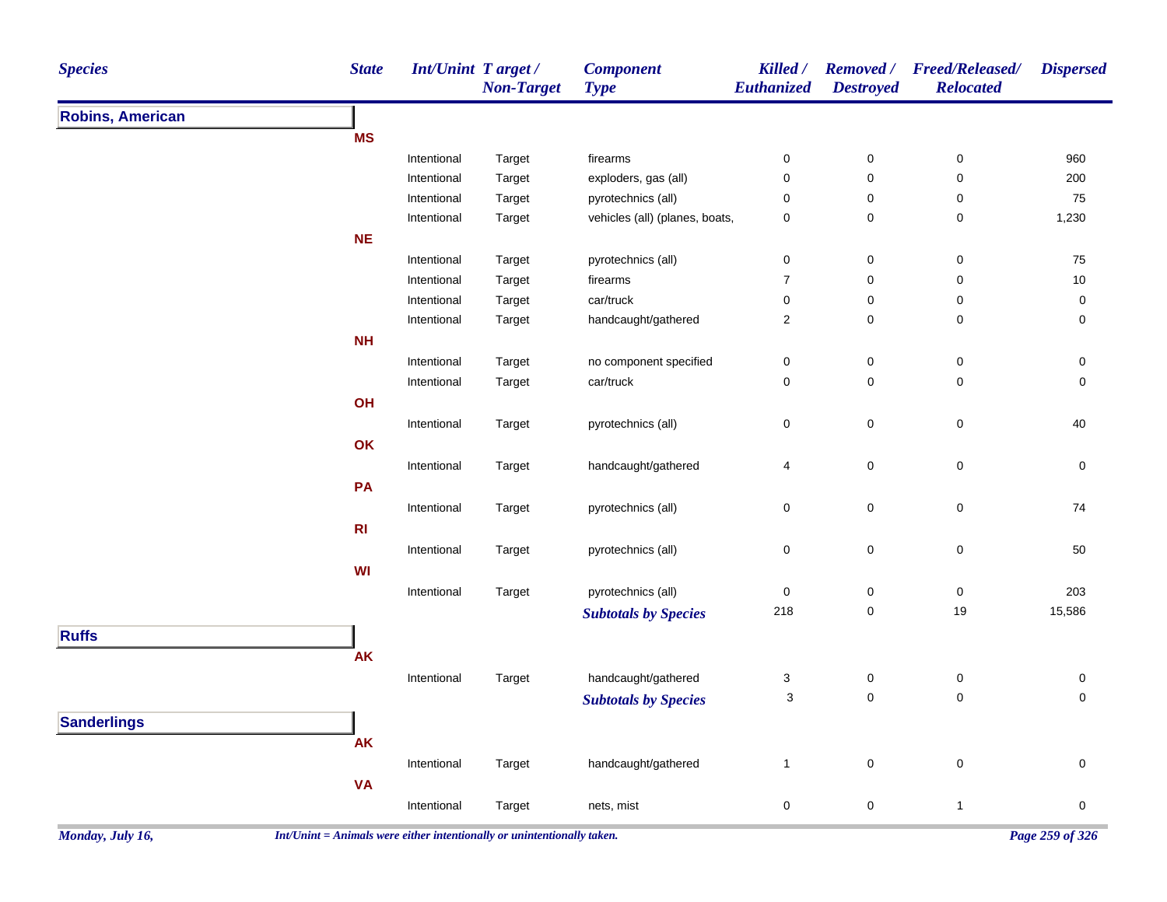| <b>Species</b>          | <b>State</b>   | <b>Int/Unint Target/</b> | <b>Non-Target</b> | <b>Component</b><br><b>Type</b> | Killed /<br>Euthanized | <b>Destroyed</b> | Removed / Freed/Released/<br><b>Relocated</b> | <b>Dispersed</b> |
|-------------------------|----------------|--------------------------|-------------------|---------------------------------|------------------------|------------------|-----------------------------------------------|------------------|
| <b>Robins, American</b> |                |                          |                   |                                 |                        |                  |                                               |                  |
|                         | <b>MS</b>      |                          |                   |                                 |                        |                  |                                               |                  |
|                         |                | Intentional              | Target            | firearms                        | 0                      | $\pmb{0}$        | $\pmb{0}$                                     | 960              |
|                         |                | Intentional              | Target            | exploders, gas (all)            | 0                      | 0                | 0                                             | 200              |
|                         |                | Intentional              | Target            | pyrotechnics (all)              | 0                      | 0                | 0                                             | 75               |
|                         |                | Intentional              | Target            | vehicles (all) (planes, boats,  | 0                      | 0                | 0                                             | 1,230            |
|                         | <b>NE</b>      |                          |                   |                                 |                        |                  |                                               |                  |
|                         |                | Intentional              | Target            | pyrotechnics (all)              | $\pmb{0}$              | $\pmb{0}$        | $\pmb{0}$                                     | 75               |
|                         |                | Intentional              | Target            | firearms                        | 7                      | 0                | 0                                             | $10$             |
|                         |                | Intentional              | Target            | car/truck                       | 0                      | 0                | 0                                             | 0                |
|                         |                | Intentional              | Target            | handcaught/gathered             | $\overline{2}$         | 0                | 0                                             | 0                |
|                         | <b>NH</b>      |                          |                   |                                 |                        |                  |                                               |                  |
|                         |                | Intentional              | Target            | no component specified          | 0                      | $\pmb{0}$        | $\boldsymbol{0}$                              | 0                |
|                         |                | Intentional              | Target            | car/truck                       | 0                      | 0                | 0                                             | 0                |
|                         | OH             |                          |                   |                                 |                        |                  |                                               |                  |
|                         |                | Intentional              | Target            | pyrotechnics (all)              | $\mathbf 0$            | $\pmb{0}$        | 0                                             | 40               |
|                         | OK             |                          |                   |                                 |                        |                  |                                               |                  |
|                         |                | Intentional              | Target            | handcaught/gathered             | 4                      | $\pmb{0}$        | $\mathbf 0$                                   | 0                |
|                         | PA             |                          |                   |                                 |                        |                  |                                               |                  |
|                         |                | Intentional              | Target            | pyrotechnics (all)              | $\mathbf 0$            | $\pmb{0}$        | 0                                             | 74               |
|                         | R <sub>l</sub> |                          |                   |                                 |                        |                  |                                               |                  |
|                         |                | Intentional              | Target            | pyrotechnics (all)              | $\pmb{0}$              | $\pmb{0}$        | 0                                             | 50               |
|                         | WI             |                          |                   |                                 |                        |                  |                                               |                  |
|                         |                | Intentional              | Target            | pyrotechnics (all)              | 0                      | 0                | $\mathbf 0$                                   | 203              |
|                         |                |                          |                   | <b>Subtotals by Species</b>     | 218                    | $\pmb{0}$        | $19$                                          | 15,586           |
| <b>Ruffs</b>            |                |                          |                   |                                 |                        |                  |                                               |                  |
|                         | <b>AK</b>      |                          |                   |                                 |                        |                  |                                               |                  |
|                         |                |                          |                   |                                 |                        |                  |                                               |                  |
|                         |                | Intentional              | Target            | handcaught/gathered             | 3                      | $\pmb{0}$        | $\boldsymbol{0}$                              | 0                |
|                         |                |                          |                   | <b>Subtotals by Species</b>     | 3                      | 0                | $\mathbf 0$                                   | 0                |
| <b>Sanderlings</b>      |                |                          |                   |                                 |                        |                  |                                               |                  |
|                         | AK             |                          |                   |                                 |                        |                  |                                               |                  |
|                         |                | Intentional              | Target            | handcaught/gathered             | $\mathbf{1}$           | $\mathbf 0$      | $\mathsf{O}\xspace$                           | 0                |
|                         | <b>VA</b>      |                          |                   |                                 |                        |                  |                                               |                  |
|                         |                | Intentional              | Target            | nets, mist                      | $\mathsf 0$            | $\pmb{0}$        | $\mathbf{1}$                                  | 0                |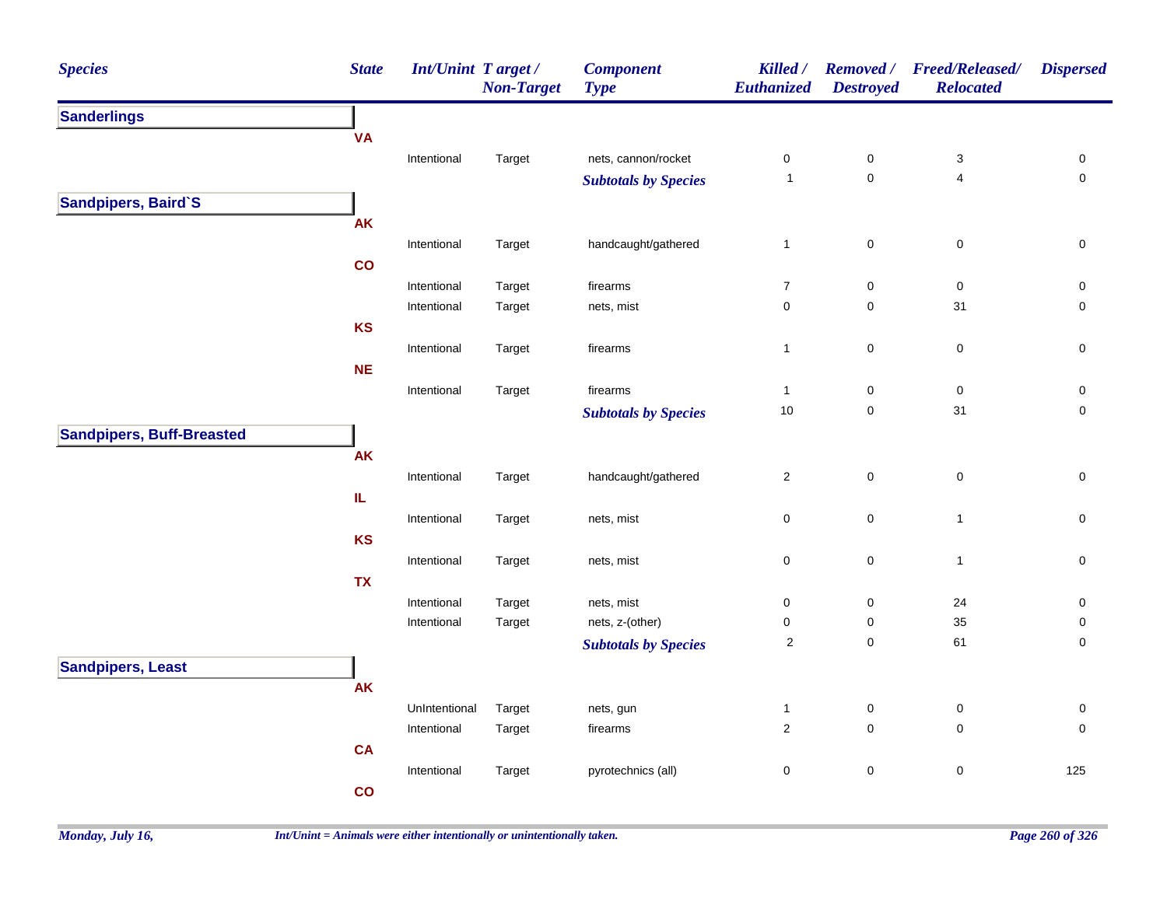| <b>Species</b>                   | <b>State</b> | <b>Int/Unint Target/</b> | <b>Non-Target</b> | <b>Component</b><br><b>Type</b> | Killed /<br><b>Euthanized</b> | <b>Removed</b> /<br><b>Destroyed</b> | <b>Freed/Released/</b><br><b>Relocated</b> | <b>Dispersed</b>    |
|----------------------------------|--------------|--------------------------|-------------------|---------------------------------|-------------------------------|--------------------------------------|--------------------------------------------|---------------------|
| <b>Sanderlings</b>               |              |                          |                   |                                 |                               |                                      |                                            |                     |
|                                  | <b>VA</b>    |                          |                   |                                 |                               |                                      |                                            |                     |
|                                  |              | Intentional              | Target            | nets, cannon/rocket             | $\pmb{0}$                     | $\pmb{0}$                            | $\ensuremath{\mathsf{3}}$                  | 0                   |
|                                  |              |                          |                   | <b>Subtotals by Species</b>     | $\mathbf{1}$                  | $\mathsf{O}\xspace$                  | 4                                          | $\mathsf{O}\xspace$ |
| Sandpipers, Baird'S              |              |                          |                   |                                 |                               |                                      |                                            |                     |
|                                  | <b>AK</b>    |                          |                   |                                 |                               |                                      |                                            |                     |
|                                  |              | Intentional              | Target            | handcaught/gathered             | $\mathbf{1}$                  | $\mathbf 0$                          | $\pmb{0}$                                  | $\mathsf 0$         |
|                                  | co           |                          |                   |                                 |                               |                                      |                                            |                     |
|                                  |              | Intentional              | Target            | firearms                        | $\boldsymbol{7}$              | $\mathbf 0$                          | $\mathsf 0$                                | $\mathsf 0$         |
|                                  |              | Intentional              | Target            | nets, mist                      | 0                             | $\mathbf 0$                          | 31                                         | $\mathsf 0$         |
|                                  | <b>KS</b>    |                          |                   |                                 |                               |                                      |                                            |                     |
|                                  |              | Intentional              | Target            | firearms                        | $\mathbf{1}$                  | $\mathsf{O}\xspace$                  | $\mathsf 0$                                | $\mathbf 0$         |
|                                  | <b>NE</b>    |                          |                   |                                 |                               |                                      |                                            |                     |
|                                  |              | Intentional              | Target            | firearms                        | $\mathbf{1}$                  | $\pmb{0}$                            | $\pmb{0}$                                  | $\mathsf{O}\xspace$ |
|                                  |              |                          |                   | <b>Subtotals by Species</b>     | $10$                          | $\pmb{0}$                            | 31                                         | $\pmb{0}$           |
| <b>Sandpipers, Buff-Breasted</b> |              |                          |                   |                                 |                               |                                      |                                            |                     |
|                                  | <b>AK</b>    |                          |                   |                                 |                               |                                      |                                            |                     |
|                                  |              | Intentional              | Target            | handcaught/gathered             | $\overline{2}$                | $\mathbf 0$                          | $\pmb{0}$                                  | $\pmb{0}$           |
|                                  | IL.          |                          |                   |                                 |                               |                                      |                                            |                     |
|                                  |              | Intentional              | Target            | nets, mist                      | 0                             | $\mathbf 0$                          | $\mathbf{1}$                               | $\pmb{0}$           |
|                                  | <b>KS</b>    |                          |                   |                                 |                               |                                      |                                            |                     |
|                                  |              | Intentional              | Target            | nets, mist                      | 0                             | $\mathsf 0$                          | $\mathbf{1}$                               | $\pmb{0}$           |
|                                  | <b>TX</b>    |                          |                   |                                 |                               |                                      |                                            |                     |
|                                  |              | Intentional              | Target            | nets, mist                      | $\pmb{0}$                     | $\pmb{0}$                            | 24                                         | $\pmb{0}$           |
|                                  |              | Intentional              | Target            | nets, z-(other)                 | 0                             | $\pmb{0}$                            | 35                                         | $\pmb{0}$           |
|                                  |              |                          |                   | <b>Subtotals by Species</b>     | $\sqrt{2}$                    | $\pmb{0}$                            | 61                                         | 0                   |
| <b>Sandpipers, Least</b>         |              |                          |                   |                                 |                               |                                      |                                            |                     |
|                                  | <b>AK</b>    |                          |                   |                                 |                               |                                      |                                            |                     |
|                                  |              | UnIntentional            | Target            | nets, gun                       | $\mathbf{1}$                  | $\pmb{0}$                            | $\pmb{0}$                                  | 0                   |
|                                  |              | Intentional              | Target            | firearms                        | $\overline{c}$                | $\mathbf 0$                          | 0                                          | $\mathbf 0$         |
|                                  | <b>CA</b>    |                          |                   |                                 |                               |                                      |                                            |                     |
|                                  |              | Intentional              | Target            | pyrotechnics (all)              | $\pmb{0}$                     | $\pmb{0}$                            | $\pmb{0}$                                  | 125                 |
|                                  | co           |                          |                   |                                 |                               |                                      |                                            |                     |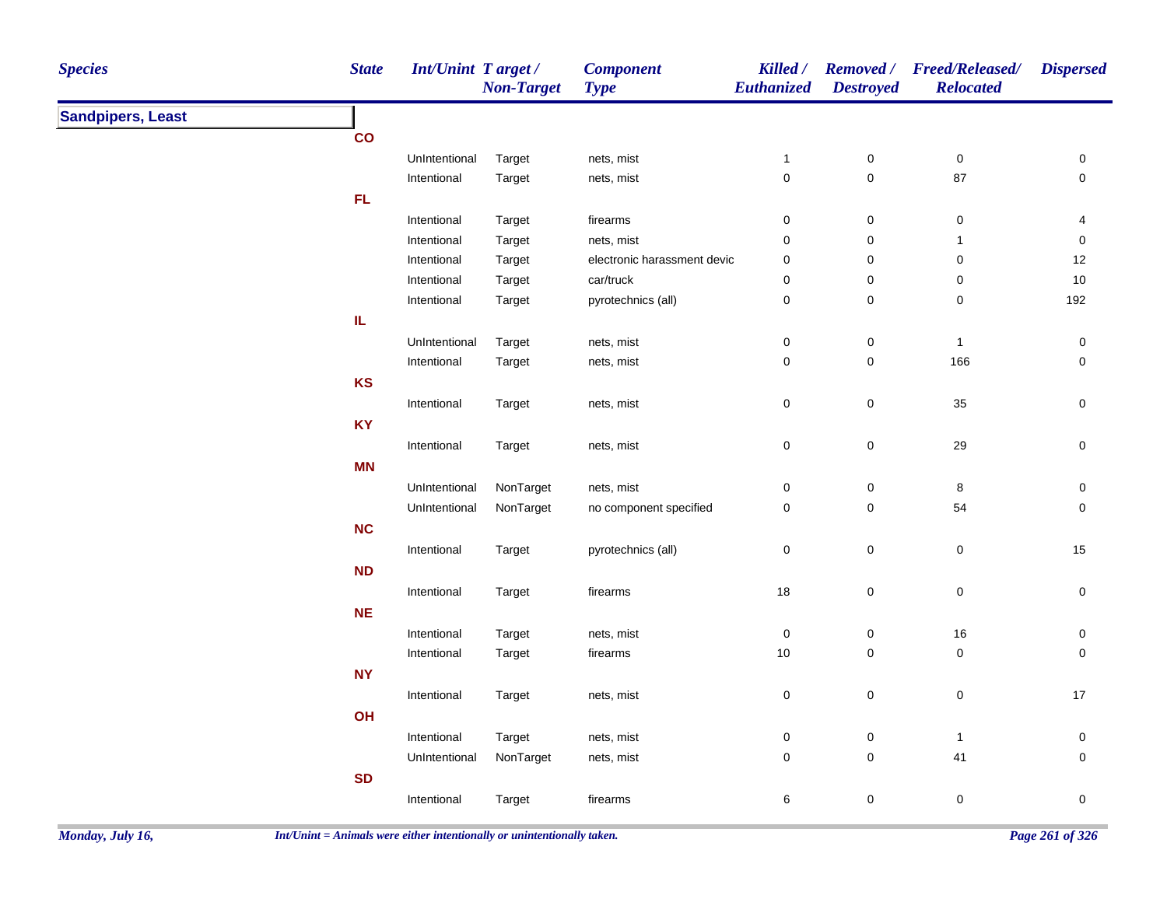| <b>Species</b>           | <b>State</b>  | <b>Int/Unint Target/</b> | <b>Non-Target</b> | <b>Component</b><br><b>Type</b> | Killed /<br>Euthanized | <b>Destroyed</b> | Removed / Freed/Released/<br><b>Relocated</b> | <b>Dispersed</b> |
|--------------------------|---------------|--------------------------|-------------------|---------------------------------|------------------------|------------------|-----------------------------------------------|------------------|
| <b>Sandpipers, Least</b> |               |                          |                   |                                 |                        |                  |                                               |                  |
|                          | $\mathsf{co}$ |                          |                   |                                 |                        |                  |                                               |                  |
|                          |               | UnIntentional            | Target            | nets, mist                      | $\mathbf{1}$           | $\pmb{0}$        | $\pmb{0}$                                     | 0                |
|                          |               | Intentional              | Target            | nets, mist                      | $\mathsf{O}\xspace$    | $\mathbf 0$      | 87                                            | $\mathsf 0$      |
|                          | FL            |                          |                   |                                 |                        |                  |                                               |                  |
|                          |               | Intentional              | Target            | firearms                        | 0                      | $\mathsf 0$      | $\boldsymbol{0}$                              | 4                |
|                          |               | Intentional              | Target            | nets, mist                      | 0                      | $\pmb{0}$        | $\mathbf{1}$                                  | 0                |
|                          |               | Intentional              | Target            | electronic harassment devic     | 0                      | $\mathsf 0$      | $\pmb{0}$                                     | 12               |
|                          |               | Intentional              | Target            | car/truck                       | $\pmb{0}$              | $\pmb{0}$        | $\pmb{0}$                                     | 10               |
|                          |               | Intentional              | Target            | pyrotechnics (all)              | $\mathbf 0$            | $\pmb{0}$        | $\pmb{0}$                                     | 192              |
|                          | IL            |                          |                   |                                 |                        |                  |                                               |                  |
|                          |               | UnIntentional            | Target            | nets, mist                      | $\pmb{0}$              | $\pmb{0}$        | $\mathbf{1}$                                  | $\pmb{0}$        |
|                          |               | Intentional              | Target            | nets, mist                      | $\mathbf 0$            | $\mathsf 0$      | 166                                           | 0                |
|                          | KS            |                          |                   |                                 |                        |                  |                                               |                  |
|                          |               | Intentional              | Target            | nets, mist                      | $\pmb{0}$              | $\pmb{0}$        | 35                                            | 0                |
|                          | <b>KY</b>     |                          |                   |                                 |                        |                  |                                               |                  |
|                          |               | Intentional              | Target            | nets, mist                      | $\pmb{0}$              | $\pmb{0}$        | 29                                            | $\mathbf 0$      |
|                          | <b>MN</b>     |                          |                   |                                 |                        |                  |                                               |                  |
|                          |               | UnIntentional            | NonTarget         | nets, mist                      | $\pmb{0}$              | $\pmb{0}$        | $\bf 8$                                       | $\pmb{0}$        |
|                          |               | UnIntentional            | NonTarget         | no component specified          | $\mathsf 0$            | $\mathsf 0$      | 54                                            | $\pmb{0}$        |
|                          | <b>NC</b>     |                          |                   |                                 |                        |                  |                                               |                  |
|                          |               | Intentional              | Target            | pyrotechnics (all)              | 0                      | $\pmb{0}$        | $\mathbf 0$                                   | 15               |
|                          | <b>ND</b>     |                          |                   |                                 |                        |                  |                                               |                  |
|                          |               | Intentional              | Target            | firearms                        | $18\,$                 | $\pmb{0}$        | $\boldsymbol{0}$                              | 0                |
|                          | <b>NE</b>     |                          |                   |                                 |                        |                  |                                               |                  |
|                          |               | Intentional              | Target            | nets, mist                      | $\pmb{0}$              | $\mathsf 0$      | $16\,$                                        | 0                |
|                          |               | Intentional              | Target            | firearms                        | $10$                   | $\mathsf 0$      | $\pmb{0}$                                     | 0                |
|                          | <b>NY</b>     |                          |                   |                                 |                        |                  |                                               |                  |
|                          |               | Intentional              | Target            |                                 | $\pmb{0}$              | $\pmb{0}$        | $\mathsf 0$                                   | $17$             |
|                          | OH            |                          |                   | nets, mist                      |                        |                  |                                               |                  |
|                          |               |                          |                   |                                 |                        |                  |                                               |                  |
|                          |               | Intentional              | Target            | nets, mist                      | 0                      | $\pmb{0}$        | $\mathbf{1}$                                  | 0                |
|                          |               | UnIntentional            | NonTarget         | nets, mist                      | 0                      | $\mathsf 0$      | 41                                            | $\mathsf 0$      |
|                          | <b>SD</b>     |                          |                   |                                 |                        |                  |                                               |                  |
|                          |               | Intentional              | Target            | firearms                        | 6                      | $\mathsf 0$      | $\pmb{0}$                                     | $\pmb{0}$        |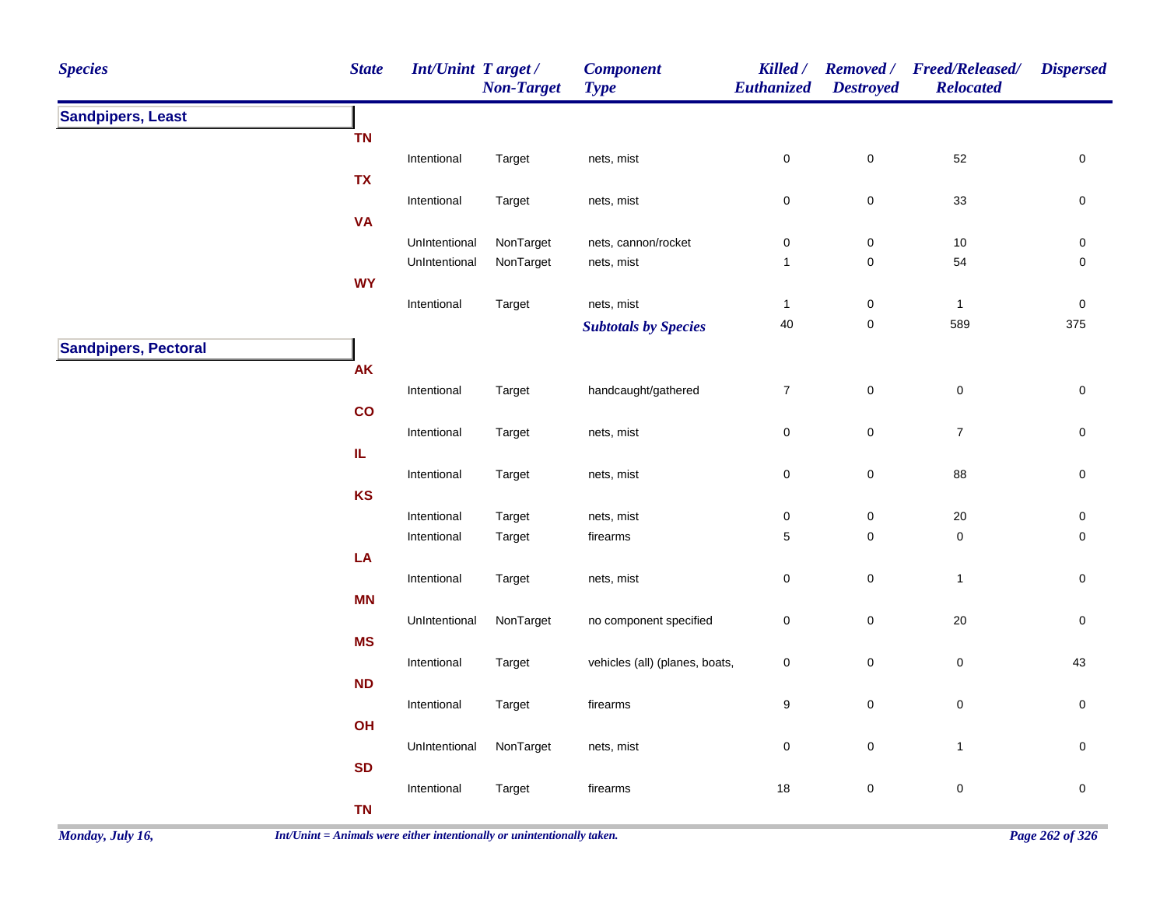| <b>Species</b>              | <b>State</b> | <b>Int/Unint Target/</b> | <b>Non-Target</b> | <b>Component</b><br><b>Type</b> | Killed /<br>Euthanized | <b>Removed</b> /<br><b>Destroyed</b> | <b>Freed/Released/</b><br><b>Relocated</b> | <b>Dispersed</b> |
|-----------------------------|--------------|--------------------------|-------------------|---------------------------------|------------------------|--------------------------------------|--------------------------------------------|------------------|
| <b>Sandpipers, Least</b>    |              |                          |                   |                                 |                        |                                      |                                            |                  |
|                             | <b>TN</b>    |                          |                   |                                 |                        |                                      |                                            |                  |
|                             |              | Intentional              | Target            | nets, mist                      | $\mathsf 0$            | $\pmb{0}$                            | 52                                         | 0                |
|                             | <b>TX</b>    |                          |                   |                                 |                        |                                      |                                            |                  |
|                             |              | Intentional              | Target            | nets, mist                      | $\mathsf 0$            | $\pmb{0}$                            | 33                                         | $\pmb{0}$        |
|                             | <b>VA</b>    |                          |                   |                                 |                        |                                      |                                            |                  |
|                             |              | UnIntentional            | NonTarget         | nets, cannon/rocket             | $\mathbf 0$            | $\mathbf 0$                          | $10$                                       | $\pmb{0}$        |
|                             | <b>WY</b>    | UnIntentional            | NonTarget         | nets, mist                      | $\mathbf{1}$           | $\pmb{0}$                            | 54                                         | $\pmb{0}$        |
|                             |              | Intentional              | Target            | nets, mist                      | $\mathbf{1}$           | $\pmb{0}$                            | $\mathbf{1}$                               | $\pmb{0}$        |
|                             |              |                          |                   | <b>Subtotals by Species</b>     | 40                     | $\pmb{0}$                            | 589                                        | 375              |
| <b>Sandpipers, Pectoral</b> |              |                          |                   |                                 |                        |                                      |                                            |                  |
|                             | AK           |                          |                   |                                 |                        |                                      |                                            |                  |
|                             |              | Intentional              | Target            | handcaught/gathered             | $\overline{7}$         | $\pmb{0}$                            | $\mathsf 0$                                | $\pmb{0}$        |
|                             | co           |                          |                   |                                 |                        |                                      |                                            |                  |
|                             |              | Intentional              | Target            | nets, mist                      | $\mathsf 0$            | $\pmb{0}$                            | $\boldsymbol{7}$                           | $\mathsf 0$      |
|                             | IL.          |                          |                   |                                 |                        |                                      |                                            |                  |
|                             |              | Intentional              | Target            | nets, mist                      | $\mathsf 0$            | $\pmb{0}$                            | 88                                         | $\pmb{0}$        |
|                             | <b>KS</b>    |                          |                   |                                 |                        |                                      |                                            |                  |
|                             |              | Intentional              | Target            | nets, mist                      | $\pmb{0}$              | $\pmb{0}$                            | $20\,$                                     | $\pmb{0}$        |
|                             |              | Intentional              | Target            | firearms                        | $\sqrt{5}$             | $\mathsf 0$                          | $\pmb{0}$                                  | $\mathbf 0$      |
|                             | LA           |                          |                   |                                 |                        |                                      |                                            |                  |
|                             |              | Intentional              | Target            | nets, mist                      | $\pmb{0}$              | $\pmb{0}$                            | $\mathbf{1}$                               | $\pmb{0}$        |
|                             | <b>MN</b>    |                          | NonTarget         |                                 |                        | $\pmb{0}$                            | $20\,$                                     | $\pmb{0}$        |
|                             | <b>MS</b>    | UnIntentional            |                   | no component specified          | $\pmb{0}$              |                                      |                                            |                  |
|                             |              | Intentional              | Target            | vehicles (all) (planes, boats,  | $\pmb{0}$              | $\mathbf 0$                          | $\mathsf 0$                                | 43               |
|                             | ND           |                          |                   |                                 |                        |                                      |                                            |                  |
|                             |              | Intentional              | Target            | firearms                        | $\boldsymbol{9}$       | $\pmb{0}$                            | $\pmb{0}$                                  | $\mathsf 0$      |
|                             | OH           |                          |                   |                                 |                        |                                      |                                            |                  |
|                             |              | UnIntentional            | NonTarget         | nets, mist                      | $\mathbf 0$            | $\pmb{0}$                            | $\mathbf{1}$                               | $\pmb{0}$        |
|                             | <b>SD</b>    |                          |                   |                                 |                        |                                      |                                            |                  |
|                             |              | Intentional              | Target            | firearms                        | 18                     | $\pmb{0}$                            | $\pmb{0}$                                  | $\pmb{0}$        |
|                             | <b>TN</b>    |                          |                   |                                 |                        |                                      |                                            |                  |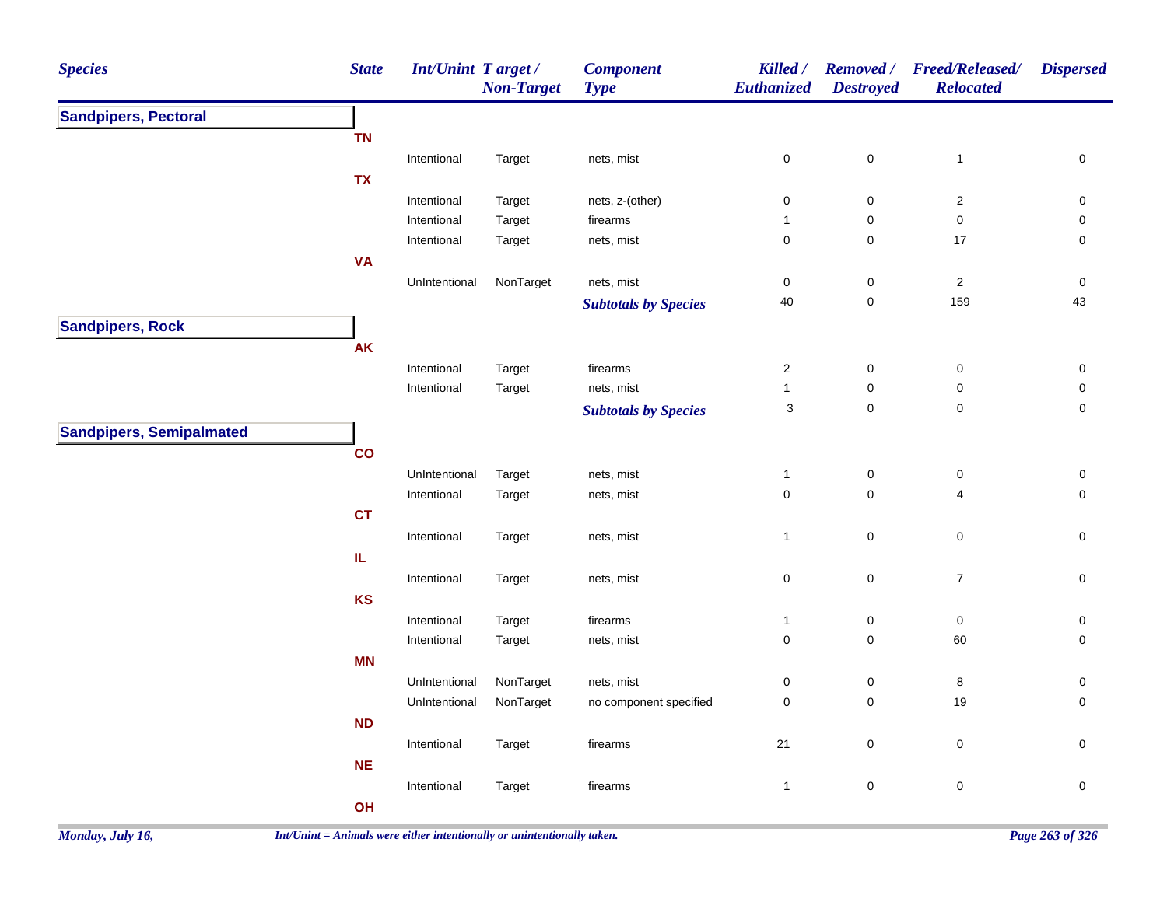| <b>Species</b>                  | <b>State</b>  | <b>Int/Unint Target/</b> | <b>Non-Target</b>                                                                                                                                                                                                                                                                                                                                                                                                                                                                                                                                                                                                                                                                                                                                                                                                                                                                                                                                                                                                                                                                                                                                                                                                                                                                                                       | <b>Component</b><br><b>Type</b> | Killed /<br>Euthanized | <b>Removed</b> /<br><b>Destroyed</b> | <b>Freed/Released/</b><br><b>Relocated</b> | <b>Dispersed</b>    |
|---------------------------------|---------------|--------------------------|-------------------------------------------------------------------------------------------------------------------------------------------------------------------------------------------------------------------------------------------------------------------------------------------------------------------------------------------------------------------------------------------------------------------------------------------------------------------------------------------------------------------------------------------------------------------------------------------------------------------------------------------------------------------------------------------------------------------------------------------------------------------------------------------------------------------------------------------------------------------------------------------------------------------------------------------------------------------------------------------------------------------------------------------------------------------------------------------------------------------------------------------------------------------------------------------------------------------------------------------------------------------------------------------------------------------------|---------------------------------|------------------------|--------------------------------------|--------------------------------------------|---------------------|
| <b>Sandpipers, Pectoral</b>     |               |                          | $\mathsf 0$<br>$\mathbf 0$<br>nets, mist<br>$\mathbf{1}$<br>Target<br>nets, z-(other)<br>$\pmb{0}$<br>$\pmb{0}$<br>$\boldsymbol{2}$<br>Target<br>$\mathbf 0$<br>$\mathbf 0$<br>Target<br>firearms<br>$\mathbf{1}$<br>$\mathbf 0$<br>$\pmb{0}$<br>17<br>nets, mist<br>Target<br>NonTarget<br>$\pmb{0}$<br>$\sqrt{2}$<br>nets, mist<br>$\pmb{0}$<br>40<br>$\pmb{0}$<br>159<br><b>Subtotals by Species</b><br>Target<br>firearms<br>$\overline{2}$<br>$\pmb{0}$<br>$\pmb{0}$<br>Target<br>nets, mist<br>$\pmb{0}$<br>$\pmb{0}$<br>$\mathbf{1}$<br>$\mathsf 0$<br>$\sqrt{3}$<br>$\pmb{0}$<br><b>Subtotals by Species</b><br>$\pmb{0}$<br>$\pmb{0}$<br>UnIntentional<br>Target<br>nets, mist<br>$\mathbf{1}$<br>$\mathbf 0$<br>$\mathbf 0$<br>Intentional<br>4<br>Target<br>nets, mist<br>$\mathbf 0$<br>$\pmb{0}$<br>Intentional<br>Target<br>nets, mist<br>$\mathbf{1}$<br>$\pmb{0}$<br>$\pmb{0}$<br>$\overline{7}$<br>Target<br>nets, mist<br>Target<br>firearms<br>$\mathbf{1}$<br>$\pmb{0}$<br>0<br>$\mathbf 0$<br>$\mathsf 0$<br>Target<br>60<br>nets, mist<br>NonTarget<br>nets, mist<br>$\pmb{0}$<br>$\pmb{0}$<br>8<br>NonTarget<br>$\pmb{0}$<br>$\pmb{0}$<br>19<br>no component specified<br>$\mathbf 0$<br>$21$<br>$\pmb{0}$<br>Target<br>firearms<br>$\pmb{0}$<br>$\pmb{0}$<br>Target<br>firearms<br>$\mathbf{1}$ |                                 |                        |                                      |                                            |                     |
|                                 | <b>TN</b>     |                          |                                                                                                                                                                                                                                                                                                                                                                                                                                                                                                                                                                                                                                                                                                                                                                                                                                                                                                                                                                                                                                                                                                                                                                                                                                                                                                                         |                                 |                        |                                      |                                            |                     |
|                                 |               | Intentional              |                                                                                                                                                                                                                                                                                                                                                                                                                                                                                                                                                                                                                                                                                                                                                                                                                                                                                                                                                                                                                                                                                                                                                                                                                                                                                                                         |                                 |                        |                                      |                                            | $\pmb{0}$           |
|                                 | <b>TX</b>     |                          |                                                                                                                                                                                                                                                                                                                                                                                                                                                                                                                                                                                                                                                                                                                                                                                                                                                                                                                                                                                                                                                                                                                                                                                                                                                                                                                         |                                 |                        |                                      |                                            |                     |
|                                 |               | Intentional              |                                                                                                                                                                                                                                                                                                                                                                                                                                                                                                                                                                                                                                                                                                                                                                                                                                                                                                                                                                                                                                                                                                                                                                                                                                                                                                                         |                                 |                        |                                      |                                            | $\pmb{0}$           |
|                                 |               | Intentional              |                                                                                                                                                                                                                                                                                                                                                                                                                                                                                                                                                                                                                                                                                                                                                                                                                                                                                                                                                                                                                                                                                                                                                                                                                                                                                                                         |                                 |                        |                                      |                                            | $\pmb{0}$           |
|                                 |               | Intentional              |                                                                                                                                                                                                                                                                                                                                                                                                                                                                                                                                                                                                                                                                                                                                                                                                                                                                                                                                                                                                                                                                                                                                                                                                                                                                                                                         |                                 |                        |                                      |                                            | $\pmb{0}$           |
|                                 | <b>VA</b>     |                          |                                                                                                                                                                                                                                                                                                                                                                                                                                                                                                                                                                                                                                                                                                                                                                                                                                                                                                                                                                                                                                                                                                                                                                                                                                                                                                                         |                                 |                        |                                      |                                            |                     |
|                                 |               | UnIntentional            |                                                                                                                                                                                                                                                                                                                                                                                                                                                                                                                                                                                                                                                                                                                                                                                                                                                                                                                                                                                                                                                                                                                                                                                                                                                                                                                         |                                 |                        |                                      |                                            | $\pmb{0}$           |
|                                 |               |                          |                                                                                                                                                                                                                                                                                                                                                                                                                                                                                                                                                                                                                                                                                                                                                                                                                                                                                                                                                                                                                                                                                                                                                                                                                                                                                                                         |                                 |                        |                                      |                                            | 43                  |
| <b>Sandpipers, Rock</b>         |               |                          |                                                                                                                                                                                                                                                                                                                                                                                                                                                                                                                                                                                                                                                                                                                                                                                                                                                                                                                                                                                                                                                                                                                                                                                                                                                                                                                         |                                 |                        |                                      |                                            |                     |
|                                 | <b>AK</b>     |                          |                                                                                                                                                                                                                                                                                                                                                                                                                                                                                                                                                                                                                                                                                                                                                                                                                                                                                                                                                                                                                                                                                                                                                                                                                                                                                                                         |                                 |                        |                                      |                                            |                     |
|                                 |               | Intentional              |                                                                                                                                                                                                                                                                                                                                                                                                                                                                                                                                                                                                                                                                                                                                                                                                                                                                                                                                                                                                                                                                                                                                                                                                                                                                                                                         |                                 |                        |                                      |                                            | 0                   |
|                                 |               | Intentional              |                                                                                                                                                                                                                                                                                                                                                                                                                                                                                                                                                                                                                                                                                                                                                                                                                                                                                                                                                                                                                                                                                                                                                                                                                                                                                                                         |                                 |                        |                                      |                                            | $\mathsf{O}\xspace$ |
|                                 |               |                          |                                                                                                                                                                                                                                                                                                                                                                                                                                                                                                                                                                                                                                                                                                                                                                                                                                                                                                                                                                                                                                                                                                                                                                                                                                                                                                                         |                                 |                        |                                      |                                            | $\mathsf{O}\xspace$ |
| <b>Sandpipers, Semipalmated</b> |               |                          |                                                                                                                                                                                                                                                                                                                                                                                                                                                                                                                                                                                                                                                                                                                                                                                                                                                                                                                                                                                                                                                                                                                                                                                                                                                                                                                         |                                 |                        |                                      |                                            |                     |
|                                 | $\mathbf{co}$ |                          |                                                                                                                                                                                                                                                                                                                                                                                                                                                                                                                                                                                                                                                                                                                                                                                                                                                                                                                                                                                                                                                                                                                                                                                                                                                                                                                         |                                 |                        |                                      |                                            |                     |
|                                 |               |                          |                                                                                                                                                                                                                                                                                                                                                                                                                                                                                                                                                                                                                                                                                                                                                                                                                                                                                                                                                                                                                                                                                                                                                                                                                                                                                                                         |                                 |                        |                                      |                                            |                     |
|                                 |               |                          |                                                                                                                                                                                                                                                                                                                                                                                                                                                                                                                                                                                                                                                                                                                                                                                                                                                                                                                                                                                                                                                                                                                                                                                                                                                                                                                         |                                 |                        |                                      |                                            | $\pmb{0}$           |
|                                 |               |                          |                                                                                                                                                                                                                                                                                                                                                                                                                                                                                                                                                                                                                                                                                                                                                                                                                                                                                                                                                                                                                                                                                                                                                                                                                                                                                                                         |                                 |                        |                                      |                                            | $\pmb{0}$           |
|                                 | <b>CT</b>     |                          |                                                                                                                                                                                                                                                                                                                                                                                                                                                                                                                                                                                                                                                                                                                                                                                                                                                                                                                                                                                                                                                                                                                                                                                                                                                                                                                         |                                 |                        |                                      |                                            |                     |
|                                 |               |                          |                                                                                                                                                                                                                                                                                                                                                                                                                                                                                                                                                                                                                                                                                                                                                                                                                                                                                                                                                                                                                                                                                                                                                                                                                                                                                                                         |                                 |                        |                                      |                                            | 0                   |
|                                 | IL            |                          |                                                                                                                                                                                                                                                                                                                                                                                                                                                                                                                                                                                                                                                                                                                                                                                                                                                                                                                                                                                                                                                                                                                                                                                                                                                                                                                         |                                 |                        |                                      |                                            |                     |
|                                 |               | Intentional              |                                                                                                                                                                                                                                                                                                                                                                                                                                                                                                                                                                                                                                                                                                                                                                                                                                                                                                                                                                                                                                                                                                                                                                                                                                                                                                                         |                                 |                        |                                      |                                            | $\mathsf{O}\xspace$ |
|                                 | <b>KS</b>     |                          |                                                                                                                                                                                                                                                                                                                                                                                                                                                                                                                                                                                                                                                                                                                                                                                                                                                                                                                                                                                                                                                                                                                                                                                                                                                                                                                         |                                 |                        |                                      |                                            |                     |
|                                 |               | Intentional              |                                                                                                                                                                                                                                                                                                                                                                                                                                                                                                                                                                                                                                                                                                                                                                                                                                                                                                                                                                                                                                                                                                                                                                                                                                                                                                                         |                                 |                        |                                      |                                            | 0                   |
|                                 |               | Intentional              |                                                                                                                                                                                                                                                                                                                                                                                                                                                                                                                                                                                                                                                                                                                                                                                                                                                                                                                                                                                                                                                                                                                                                                                                                                                                                                                         |                                 |                        |                                      |                                            | $\mathsf{O}\xspace$ |
|                                 | <b>MN</b>     |                          |                                                                                                                                                                                                                                                                                                                                                                                                                                                                                                                                                                                                                                                                                                                                                                                                                                                                                                                                                                                                                                                                                                                                                                                                                                                                                                                         |                                 |                        |                                      |                                            |                     |
|                                 |               | UnIntentional            |                                                                                                                                                                                                                                                                                                                                                                                                                                                                                                                                                                                                                                                                                                                                                                                                                                                                                                                                                                                                                                                                                                                                                                                                                                                                                                                         |                                 |                        |                                      |                                            | $\pmb{0}$           |
|                                 |               | UnIntentional            |                                                                                                                                                                                                                                                                                                                                                                                                                                                                                                                                                                                                                                                                                                                                                                                                                                                                                                                                                                                                                                                                                                                                                                                                                                                                                                                         |                                 |                        |                                      |                                            | $\mathsf{O}\xspace$ |
|                                 | ND            |                          |                                                                                                                                                                                                                                                                                                                                                                                                                                                                                                                                                                                                                                                                                                                                                                                                                                                                                                                                                                                                                                                                                                                                                                                                                                                                                                                         |                                 |                        |                                      |                                            |                     |
|                                 |               | Intentional              |                                                                                                                                                                                                                                                                                                                                                                                                                                                                                                                                                                                                                                                                                                                                                                                                                                                                                                                                                                                                                                                                                                                                                                                                                                                                                                                         |                                 |                        |                                      |                                            | $\mathsf{O}\xspace$ |
|                                 | NE            |                          |                                                                                                                                                                                                                                                                                                                                                                                                                                                                                                                                                                                                                                                                                                                                                                                                                                                                                                                                                                                                                                                                                                                                                                                                                                                                                                                         |                                 |                        |                                      |                                            |                     |
|                                 |               | Intentional              |                                                                                                                                                                                                                                                                                                                                                                                                                                                                                                                                                                                                                                                                                                                                                                                                                                                                                                                                                                                                                                                                                                                                                                                                                                                                                                                         |                                 |                        |                                      |                                            | $\mathsf 0$         |
|                                 | OH            |                          |                                                                                                                                                                                                                                                                                                                                                                                                                                                                                                                                                                                                                                                                                                                                                                                                                                                                                                                                                                                                                                                                                                                                                                                                                                                                                                                         |                                 |                        |                                      |                                            |                     |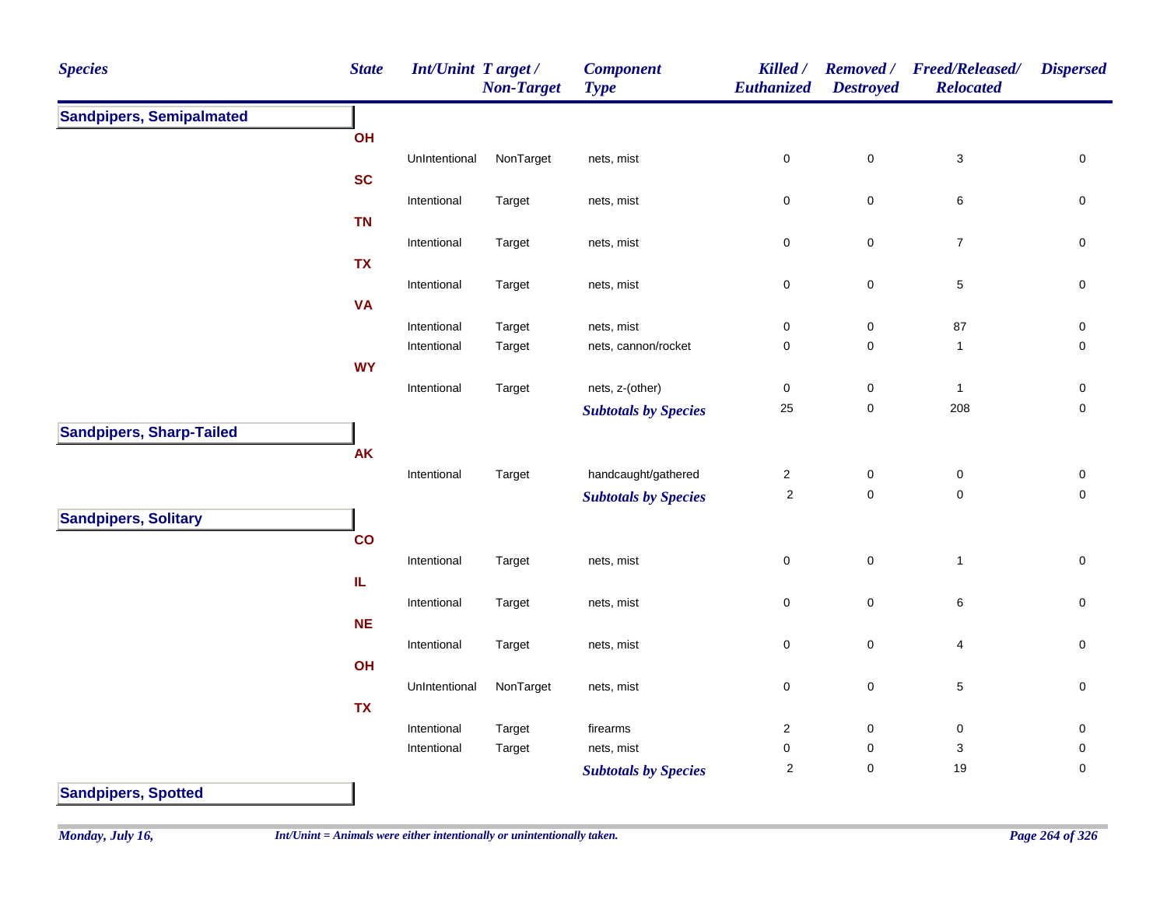| <b>Species</b>                                                | <b>State</b> | Int/Unint Target/ | <b>Non-Target</b> | <b>Component</b><br><b>Type</b> | Killed /<br>Euthanized | <b>Removed</b> /<br><b>Destroyed</b> | <b>Freed/Released/</b><br><b>Relocated</b> | <b>Dispersed</b>    |
|---------------------------------------------------------------|--------------|-------------------|-------------------|---------------------------------|------------------------|--------------------------------------|--------------------------------------------|---------------------|
| <b>Sandpipers, Semipalmated</b><br><b>Sandpipers, Spotted</b> |              |                   |                   |                                 |                        |                                      |                                            |                     |
|                                                               | OH           |                   |                   |                                 |                        |                                      |                                            |                     |
|                                                               |              | UnIntentional     | NonTarget         | nets, mist                      | $\pmb{0}$              | $\pmb{0}$                            | 3                                          | $\pmb{0}$           |
|                                                               | <b>SC</b>    |                   |                   |                                 |                        |                                      |                                            |                     |
|                                                               |              | Intentional       | Target            | nets, mist                      | 0                      | $\pmb{0}$                            | 6                                          | 0                   |
|                                                               | <b>TN</b>    |                   |                   |                                 |                        |                                      |                                            |                     |
|                                                               |              | Intentional       | Target            | nets, mist                      | 0                      | $\pmb{0}$                            | $\overline{7}$                             | $\mathbf 0$         |
|                                                               | <b>TX</b>    |                   |                   |                                 |                        |                                      |                                            |                     |
|                                                               | <b>VA</b>    | Intentional       | Target            | nets, mist                      | $\pmb{0}$              | $\mathbf 0$                          | $\,$ 5 $\,$                                | $\mathsf{O}\xspace$ |
|                                                               |              | Intentional       | Target            | nets, mist                      | $\pmb{0}$              | $\pmb{0}$                            | 87                                         | $\pmb{0}$           |
|                                                               |              | Intentional       | Target            | nets, cannon/rocket             | $\pmb{0}$              | $\pmb{0}$                            | $\mathbf{1}$                               | $\mathbf 0$         |
|                                                               | <b>WY</b>    |                   |                   |                                 |                        |                                      |                                            |                     |
|                                                               |              | Intentional       | Target            | nets, z-(other)                 | $\mathbf 0$            | $\pmb{0}$                            | $\mathbf{1}$                               | $\pmb{0}$           |
|                                                               |              |                   |                   | <b>Subtotals by Species</b>     | 25                     | $\pmb{0}$                            | 208                                        | $\mathbf 0$         |
| <b>Sandpipers, Sharp-Tailed</b>                               |              |                   |                   |                                 |                        |                                      |                                            |                     |
|                                                               | AK           |                   |                   |                                 |                        |                                      |                                            |                     |
|                                                               |              | Intentional       | Target            | handcaught/gathered             | $\sqrt{2}$             | $\pmb{0}$                            | $\pmb{0}$                                  | $\pmb{0}$           |
|                                                               |              |                   |                   | <b>Subtotals by Species</b>     | $\overline{2}$         | $\mathsf 0$                          | $\mathbf 0$                                | $\pmb{0}$           |
| <b>Sandpipers, Solitary</b>                                   |              |                   |                   |                                 |                        |                                      |                                            |                     |
|                                                               | co           |                   |                   |                                 |                        |                                      |                                            |                     |
|                                                               |              | Intentional       | Target            | nets, mist                      | $\pmb{0}$              | $\mathbf 0$                          | $\mathbf{1}$                               | $\pmb{0}$           |
|                                                               | ${\sf IL}$   |                   |                   |                                 |                        |                                      |                                            |                     |
|                                                               |              | Intentional       | Target            | nets, mist                      | $\pmb{0}$              | $\pmb{0}$                            | 6                                          | $\pmb{0}$           |
|                                                               | <b>NE</b>    |                   |                   |                                 |                        |                                      |                                            |                     |
|                                                               |              | Intentional       | Target            | nets, mist                      | $\mathbf 0$            | $\pmb{0}$                            | $\overline{4}$                             | $\mathsf{O}\xspace$ |
|                                                               | OH           |                   |                   |                                 |                        |                                      |                                            |                     |
|                                                               |              | UnIntentional     | NonTarget         | nets, mist                      | $\mathsf 0$            | $\mathsf 0$                          | $\sqrt{5}$                                 | $\mathsf{O}\xspace$ |
|                                                               | <b>TX</b>    | Intentional       | Target            | firearms                        | $\overline{c}$         | $\pmb{0}$                            | $\pmb{0}$                                  | $\mathsf{O}\xspace$ |
|                                                               |              | Intentional       | Target            | nets, mist                      | $\pmb{0}$              | $\pmb{0}$                            | $\ensuremath{\mathsf{3}}$                  | $\mathsf{O}\xspace$ |
|                                                               |              |                   |                   | <b>Subtotals by Species</b>     | $\boldsymbol{2}$       | $\mathsf 0$                          | 19                                         | $\mathsf{O}\xspace$ |
|                                                               |              |                   |                   |                                 |                        |                                      |                                            |                     |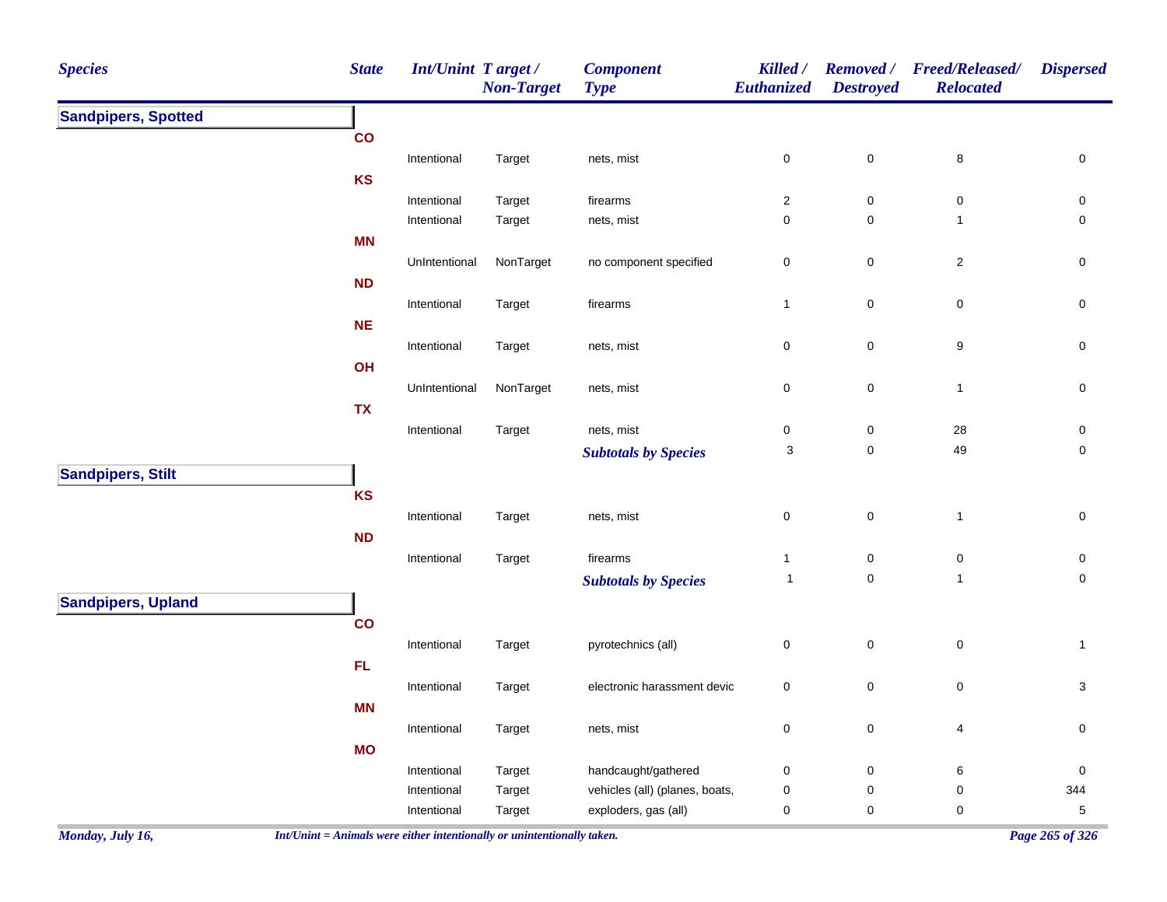| <b>Species</b>             | <b>State</b>  | Int/Unint Target / | <b>Non-Target</b> | <b>Component</b><br><b>Type</b> | Killed /<br>Euthanized | <b>Removed</b> /<br><b>Destroyed</b> | <b>Freed/Released/</b><br><b>Relocated</b> | <b>Dispersed</b> |
|----------------------------|---------------|--------------------|-------------------|---------------------------------|------------------------|--------------------------------------|--------------------------------------------|------------------|
| <b>Sandpipers, Spotted</b> |               |                    |                   |                                 |                        |                                      |                                            |                  |
|                            | co            |                    |                   |                                 |                        |                                      |                                            |                  |
|                            |               | Intentional        | Target            | nets, mist                      | $\mathbf 0$            | $\pmb{0}$                            | 8                                          | $\pmb{0}$        |
|                            | KS            |                    |                   |                                 |                        |                                      |                                            |                  |
|                            |               | Intentional        | Target            | firearms                        | $\sqrt{2}$             | $\pmb{0}$                            | $\pmb{0}$                                  | 0                |
|                            |               | Intentional        | Target            | nets, mist                      | $\pmb{0}$              | $\pmb{0}$                            | $\mathbf{1}$                               | 0                |
|                            | MN            |                    |                   |                                 |                        |                                      |                                            |                  |
|                            |               | UnIntentional      | NonTarget         | no component specified          | $\pmb{0}$              | $\pmb{0}$                            | $\overline{c}$                             | 0                |
|                            | ND            |                    |                   |                                 |                        |                                      |                                            |                  |
|                            | <b>NE</b>     | Intentional        | Target            | firearms                        | $\mathbf{1}$           | $\pmb{0}$                            | $\pmb{0}$                                  | 0                |
|                            |               |                    |                   |                                 | $\pmb{0}$              | $\pmb{0}$                            | 9                                          | $\pmb{0}$        |
|                            | OH            | Intentional        | Target            | nets, mist                      |                        |                                      |                                            |                  |
|                            |               | UnIntentional      | NonTarget         | nets, mist                      | 0                      | $\pmb{0}$                            | $\mathbf{1}$                               | $\pmb{0}$        |
|                            | <b>TX</b>     |                    |                   |                                 |                        |                                      |                                            |                  |
|                            |               | Intentional        | Target            | nets, mist                      | $\pmb{0}$              | $\pmb{0}$                            | 28                                         | $\pmb{0}$        |
|                            |               |                    |                   | <b>Subtotals by Species</b>     | 3                      | $\pmb{0}$                            | 49                                         | $\pmb{0}$        |
| <b>Sandpipers, Stilt</b>   |               |                    |                   |                                 |                        |                                      |                                            |                  |
|                            | KS            |                    |                   |                                 |                        |                                      |                                            |                  |
|                            |               | Intentional        | Target            | nets, mist                      | $\pmb{0}$              | $\pmb{0}$                            | $\mathbf{1}$                               | $\pmb{0}$        |
|                            | <b>ND</b>     |                    |                   |                                 |                        |                                      |                                            |                  |
|                            |               | Intentional        | Target            | firearms                        | $\mathbf{1}$           | $\pmb{0}$                            | $\pmb{0}$                                  | $\pmb{0}$        |
|                            |               |                    |                   | <b>Subtotals by Species</b>     | $\mathbf{1}$           | $\mathbf 0$                          | $\mathbf{1}$                               | 0                |
| <b>Sandpipers, Upland</b>  |               |                    |                   |                                 |                        |                                      |                                            |                  |
|                            | $\mathsf{co}$ |                    |                   |                                 |                        |                                      |                                            |                  |
|                            |               | Intentional        | Target            | pyrotechnics (all)              | $\pmb{0}$              | $\pmb{0}$                            | $\pmb{0}$                                  | $\mathbf{1}$     |
|                            | ${\sf FL}$    |                    |                   |                                 |                        |                                      |                                            |                  |
|                            |               | Intentional        | Target            | electronic harassment devic     | $\pmb{0}$              | $\pmb{0}$                            | $\pmb{0}$                                  | 3                |
|                            | <b>MN</b>     |                    |                   |                                 |                        |                                      |                                            |                  |
|                            |               | Intentional        | Target            | nets, mist                      | $\mathbf 0$            | $\pmb{0}$                            | $\overline{4}$                             | $\mathbf 0$      |
|                            | <b>MO</b>     |                    |                   |                                 |                        |                                      |                                            |                  |
|                            |               | Intentional        | Target            | handcaught/gathered             | $\pmb{0}$              | $\pmb{0}$                            | 6                                          | $\pmb{0}$        |
|                            |               | Intentional        | Target            | vehicles (all) (planes, boats,  | $\pmb{0}$              | $\pmb{0}$                            | $\pmb{0}$                                  | 344              |
|                            |               | Intentional        | Target            | exploders, gas (all)            | 0                      | $\pmb{0}$                            | 0                                          | $\,$ 5 $\,$      |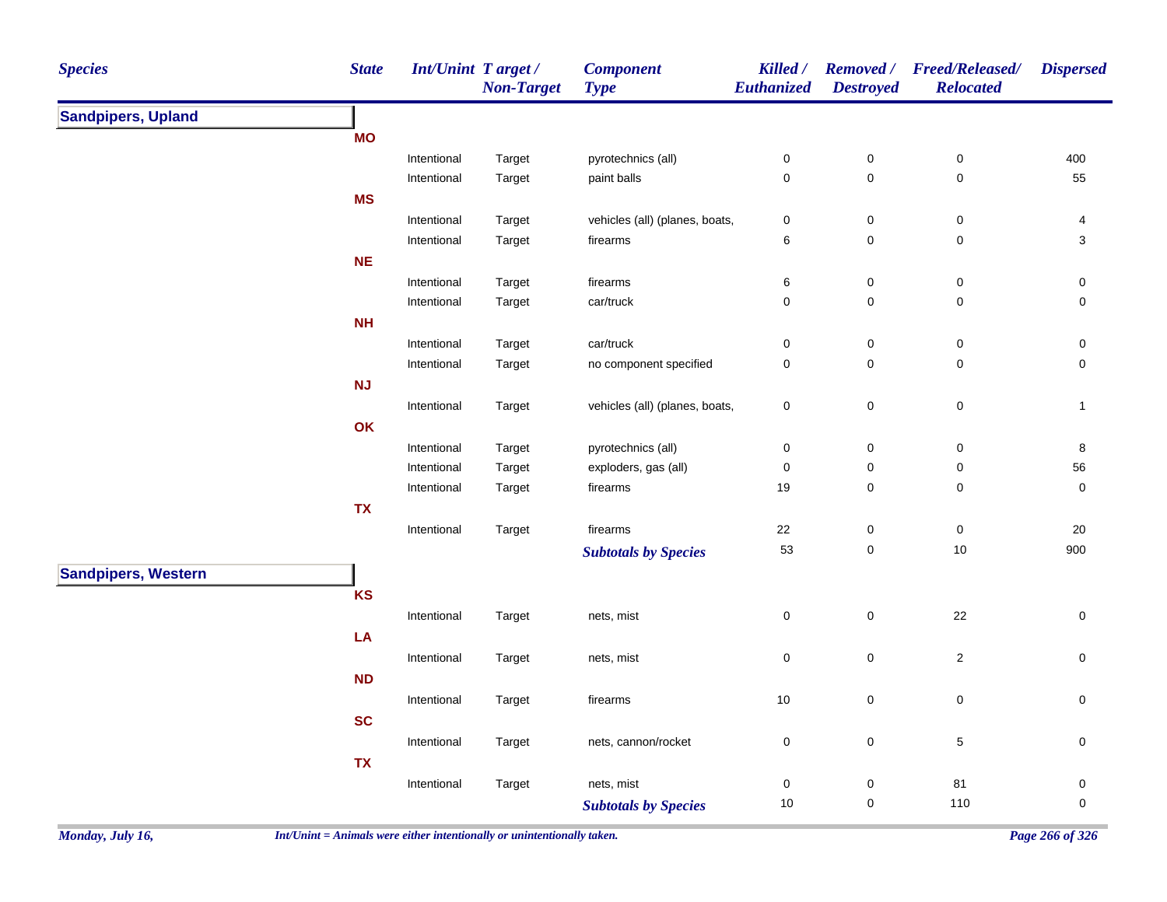| <b>Species</b>             | <b>State</b> | <b>Int/Unint Target/</b> | <b>Non-Target</b> | <b>Component</b><br><b>Type</b> | Killed /<br>Euthanized | <b>Destroyed</b>    | Removed / Freed/Released/<br><b>Relocated</b> | <b>Dispersed</b>    |
|----------------------------|--------------|--------------------------|-------------------|---------------------------------|------------------------|---------------------|-----------------------------------------------|---------------------|
| <b>Sandpipers, Upland</b>  |              |                          |                   |                                 |                        |                     |                                               |                     |
|                            | <b>MO</b>    |                          |                   |                                 |                        |                     |                                               |                     |
|                            |              | Intentional              | Target            | pyrotechnics (all)              | $\pmb{0}$              | $\mathsf 0$         | $\pmb{0}$                                     | 400                 |
|                            |              | Intentional              | Target            | paint balls                     | $\mathbf 0$            | $\mathsf{O}\xspace$ | $\mathbf 0$                                   | 55                  |
|                            | <b>MS</b>    |                          |                   |                                 |                        |                     |                                               |                     |
|                            |              | Intentional              | Target            | vehicles (all) (planes, boats,  | $\pmb{0}$              | $\pmb{0}$           | $\pmb{0}$                                     | $\overline{4}$      |
|                            |              | Intentional              | Target            | firearms                        | $\,6\,$                | $\pmb{0}$           | $\pmb{0}$                                     | $\sqrt{3}$          |
|                            | $NE$         |                          |                   |                                 |                        |                     |                                               |                     |
|                            |              | Intentional              | Target            | firearms                        | $\,6$                  | $\pmb{0}$           | $\pmb{0}$                                     | $\pmb{0}$           |
|                            |              | Intentional              | Target            | car/truck                       | $\pmb{0}$              | 0                   | $\pmb{0}$                                     | $\mathsf{O}\xspace$ |
|                            | <b>NH</b>    |                          |                   |                                 |                        |                     |                                               |                     |
|                            |              | Intentional              | Target            | car/truck                       | $\pmb{0}$              | $\pmb{0}$           | $\pmb{0}$                                     | 0                   |
|                            |              | Intentional              | Target            | no component specified          | $\pmb{0}$              | 0                   | $\pmb{0}$                                     | $\mathsf{O}\xspace$ |
|                            | <b>NJ</b>    |                          |                   |                                 |                        |                     |                                               |                     |
|                            |              | Intentional              | Target            | vehicles (all) (planes, boats,  | $\pmb{0}$              | $\mathbf 0$         | $\pmb{0}$                                     | $\mathbf{1}$        |
|                            | OK           |                          |                   |                                 |                        |                     |                                               |                     |
|                            |              | Intentional              | Target            | pyrotechnics (all)              | $\pmb{0}$              | $\pmb{0}$           | $\pmb{0}$                                     | $\bf 8$             |
|                            |              | Intentional              | Target            | exploders, gas (all)            | $\pmb{0}$              | $\pmb{0}$           | $\pmb{0}$                                     | 56                  |
|                            |              | Intentional              | Target            | firearms                        | 19                     | $\mathbf 0$         | 0                                             | $\mathbf 0$         |
|                            | <b>TX</b>    |                          |                   |                                 |                        |                     |                                               |                     |
|                            |              | Intentional              | Target            | firearms                        | 22                     | $\pmb{0}$           | $\pmb{0}$                                     | $20\,$              |
|                            |              |                          |                   | <b>Subtotals by Species</b>     | 53                     | $\mathsf 0$         | $10$                                          | 900                 |
| <b>Sandpipers, Western</b> |              |                          |                   |                                 |                        |                     |                                               |                     |
|                            | KS           |                          |                   |                                 |                        |                     |                                               |                     |
|                            |              | Intentional              | Target            | nets, mist                      | $\pmb{0}$              | $\mathsf 0$         | 22                                            | $\pmb{0}$           |
|                            |              |                          |                   |                                 |                        |                     |                                               |                     |
|                            | ${\sf LA}$   |                          |                   |                                 |                        |                     |                                               |                     |
|                            |              | Intentional              | Target            | nets, mist                      | $\pmb{0}$              | $\mathsf 0$         | $\overline{c}$                                | $\mathsf{O}\xspace$ |
|                            | <b>ND</b>    |                          |                   |                                 |                        |                     |                                               |                     |
|                            |              | Intentional              | Target            | firearms                        | 10                     | $\pmb{0}$           | $\pmb{0}$                                     | $\mathsf{O}\xspace$ |
|                            | <b>SC</b>    |                          |                   |                                 |                        |                     |                                               |                     |
|                            |              | Intentional              | Target            | nets, cannon/rocket             | $\pmb{0}$              | $\mathbf 0$         | $\mathbf 5$                                   | $\pmb{0}$           |
|                            | <b>TX</b>    |                          |                   |                                 |                        |                     |                                               |                     |
|                            |              | Intentional              | Target            | nets, mist                      | $\pmb{0}$              | $\pmb{0}$           | 81                                            | 0                   |
|                            |              |                          |                   | <b>Subtotals by Species</b>     | 10                     | 0                   | 110                                           | $\mathbf 0$         |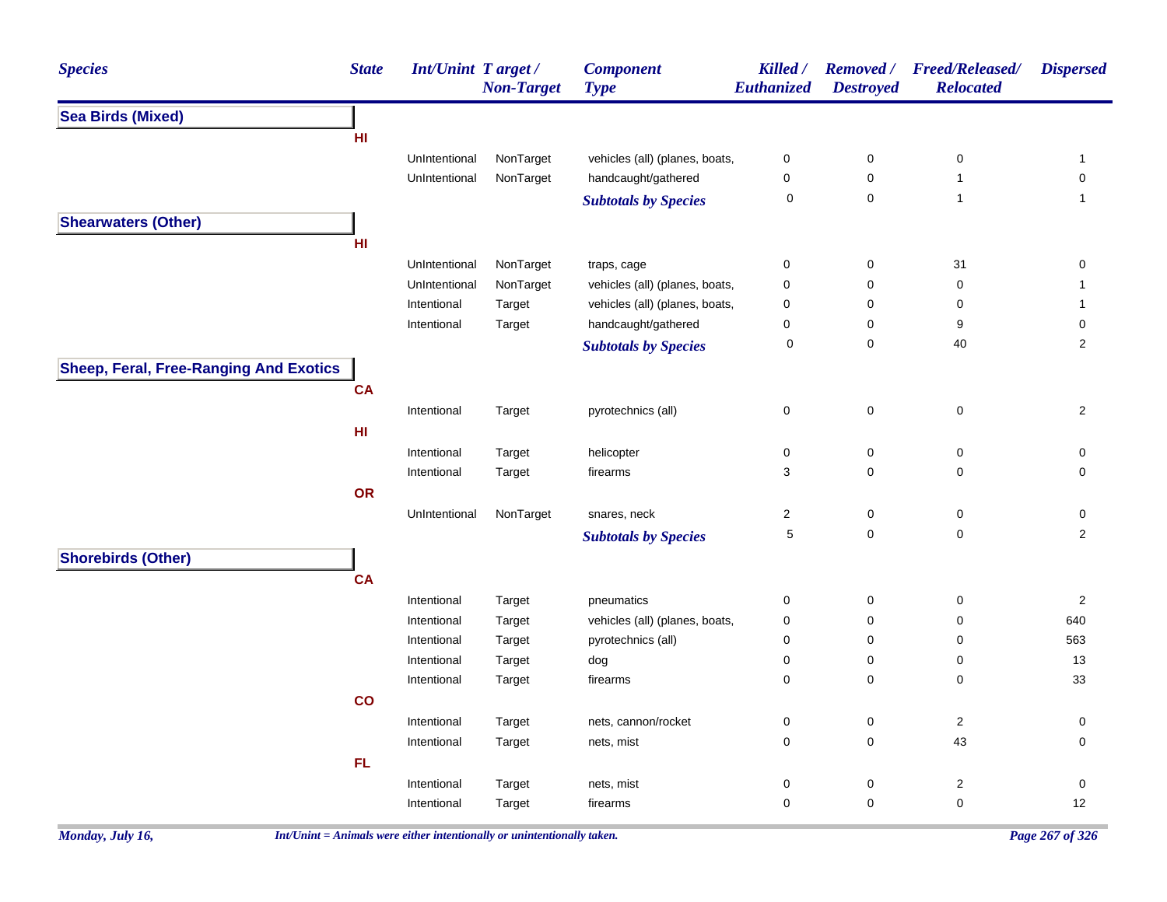| <b>Species</b>                                | <b>State</b>            | <b>Int/Unint Target/</b> | <b>Non-Target</b> | <b>Component</b><br><b>Type</b> | Killed /<br><b>Euthanized</b> | <b>Removed</b> /<br><b>Destroyed</b> | <b>Freed/Released/</b><br><b>Relocated</b> | <b>Dispersed</b>    |
|-----------------------------------------------|-------------------------|--------------------------|-------------------|---------------------------------|-------------------------------|--------------------------------------|--------------------------------------------|---------------------|
| <b>Sea Birds (Mixed)</b>                      |                         |                          |                   |                                 |                               |                                      |                                            |                     |
|                                               | HI                      |                          |                   |                                 |                               |                                      |                                            |                     |
|                                               |                         | UnIntentional            | NonTarget         | vehicles (all) (planes, boats,  | 0                             | $\pmb{0}$                            | 0                                          | $\mathbf{1}$        |
|                                               |                         | UnIntentional            | NonTarget         | handcaught/gathered             | 0                             | $\mathbf 0$                          | $\mathbf{1}$                               | $\mathbf 0$         |
|                                               |                         |                          |                   | <b>Subtotals by Species</b>     | $\pmb{0}$                     | $\pmb{0}$                            | $\mathbf{1}$                               | $\mathbf{1}$        |
| <b>Shearwaters (Other)</b>                    |                         |                          |                   |                                 |                               |                                      |                                            |                     |
|                                               | HI                      |                          |                   |                                 |                               |                                      |                                            |                     |
|                                               |                         | UnIntentional            | NonTarget         | traps, cage                     | 0                             | $\pmb{0}$                            | 31                                         | $\mathsf{O}\xspace$ |
|                                               |                         | UnIntentional            | NonTarget         | vehicles (all) (planes, boats,  | 0                             | $\pmb{0}$                            | 0                                          | $\mathbf{1}$        |
|                                               |                         | Intentional              | Target            | vehicles (all) (planes, boats,  | 0                             | 0                                    | 0                                          | $\mathbf{1}$        |
|                                               |                         | Intentional              | Target            | handcaught/gathered             | 0                             | 0                                    | 9                                          | 0                   |
|                                               |                         |                          |                   | <b>Subtotals by Species</b>     | 0                             | $\mathbf 0$                          | 40                                         | $\overline{2}$      |
| <b>Sheep, Feral, Free-Ranging And Exotics</b> |                         |                          |                   |                                 |                               |                                      |                                            |                     |
|                                               | <b>CA</b>               |                          |                   |                                 |                               |                                      |                                            |                     |
|                                               |                         | Intentional              | Target            | pyrotechnics (all)              | 0                             | $\pmb{0}$                            | $\pmb{0}$                                  | $\overline{2}$      |
|                                               | H <sub>II</sub>         |                          |                   |                                 |                               |                                      |                                            |                     |
|                                               |                         | Intentional              | Target            | helicopter                      | 0                             | $\pmb{0}$                            | $\mathsf 0$                                | $\mathsf{O}\xspace$ |
|                                               |                         | Intentional              | Target            | firearms                        | 3                             | 0                                    | 0                                          | $\mathsf{O}\xspace$ |
|                                               | OR                      |                          |                   |                                 |                               |                                      |                                            |                     |
|                                               |                         | UnIntentional            | NonTarget         | snares, neck                    | $\overline{c}$                | $\pmb{0}$                            | $\pmb{0}$                                  | $\pmb{0}$           |
|                                               |                         |                          |                   | <b>Subtotals by Species</b>     | $\,$ 5 $\,$                   | $\mathbf 0$                          | $\pmb{0}$                                  | $\overline{c}$      |
| <b>Shorebirds (Other)</b>                     |                         |                          |                   |                                 |                               |                                      |                                            |                     |
|                                               | <b>CA</b>               |                          |                   |                                 |                               |                                      |                                            |                     |
|                                               |                         | Intentional              | Target            | pneumatics                      | 0                             | $\pmb{0}$                            | 0                                          | $\sqrt{2}$          |
|                                               |                         | Intentional              | Target            | vehicles (all) (planes, boats,  | 0                             | $\mathbf 0$                          | 0                                          | 640                 |
|                                               |                         | Intentional              | Target            | pyrotechnics (all)              | 0                             | $\mathbf 0$                          | 0                                          | 563                 |
|                                               |                         | Intentional              | Target            | dog                             | 0                             | 0                                    | 0                                          | 13                  |
|                                               |                         | Intentional              | Target            | firearms                        | 0                             | 0                                    | 0                                          | 33                  |
|                                               | $\overline{\mathbf{c}}$ |                          |                   |                                 |                               |                                      |                                            |                     |
|                                               |                         | Intentional              | Target            | nets, cannon/rocket             | 0                             | $\pmb{0}$                            | $\sqrt{2}$                                 | 0                   |
|                                               |                         | Intentional              | Target            | nets, mist                      | 0                             | $\mathbf 0$                          | 43                                         | 0                   |
|                                               | FL                      |                          |                   |                                 |                               |                                      |                                            |                     |
|                                               |                         | Intentional              | Target            | nets, mist                      | 0                             | 0                                    | $\overline{\mathbf{c}}$                    | $\mathbf 0$         |
|                                               |                         | Intentional              | Target            | firearms                        | 0                             | 0                                    | $\mathsf 0$                                | 12                  |
|                                               |                         |                          |                   |                                 |                               |                                      |                                            |                     |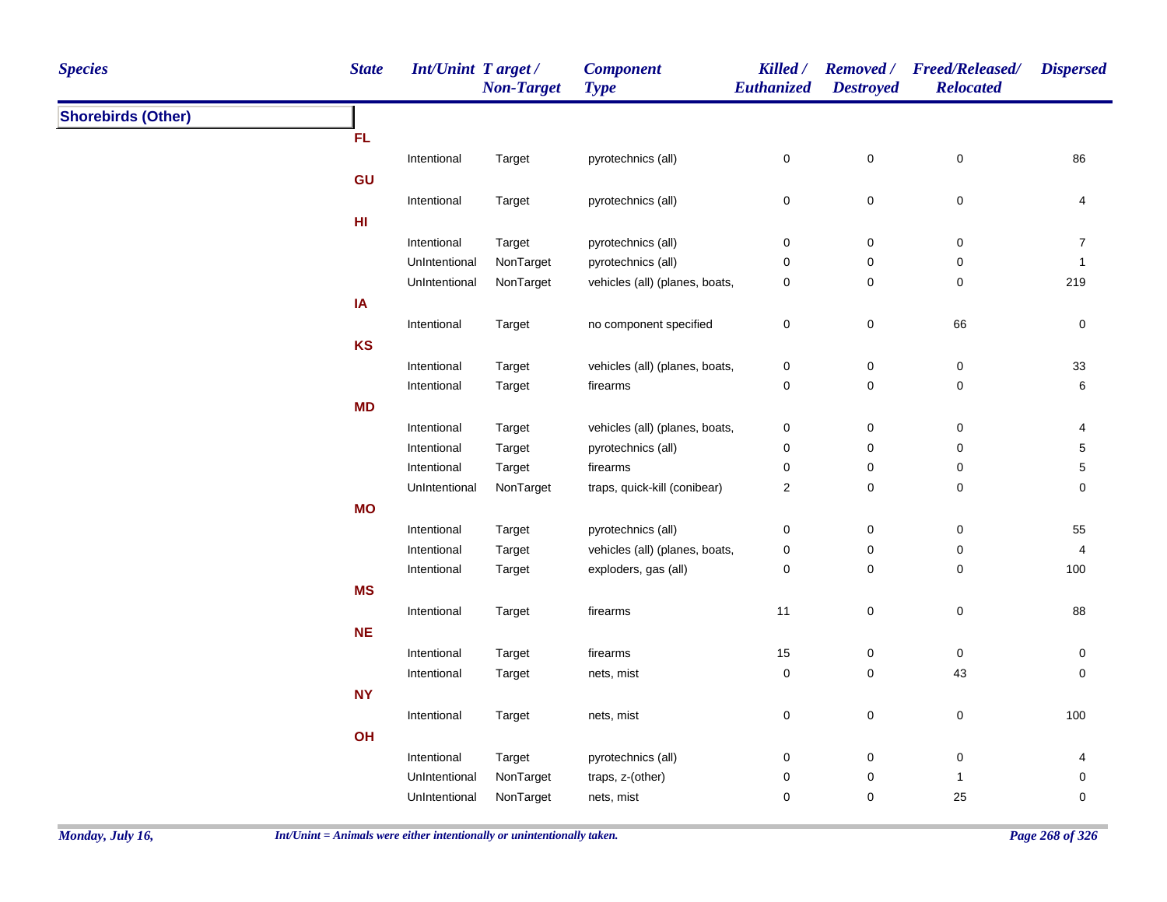| <b>Species</b>            | <b>State</b> | Int/Unint Target / | <b>Non-Target</b> | <b>Component</b><br><b>Type</b> | Killed /<br>Euthanized  | <b>Destroyed</b> | Removed / Freed/Released/<br><b>Relocated</b> | <b>Dispersed</b> |
|---------------------------|--------------|--------------------|-------------------|---------------------------------|-------------------------|------------------|-----------------------------------------------|------------------|
| <b>Shorebirds (Other)</b> |              |                    |                   |                                 |                         |                  |                                               |                  |
|                           | FL           |                    |                   |                                 |                         |                  |                                               |                  |
|                           |              | Intentional        | Target            | pyrotechnics (all)              | 0                       | $\mathbf 0$      | $\mathbf 0$                                   | 86               |
|                           | GU           |                    |                   |                                 |                         |                  |                                               |                  |
|                           |              | Intentional        | Target            | pyrotechnics (all)              | 0                       | 0                | $\mathbf 0$                                   | 4                |
|                           | H1           |                    |                   |                                 |                         |                  |                                               |                  |
|                           |              | Intentional        | Target            | pyrotechnics (all)              | $\pmb{0}$               | $\pmb{0}$        | $\pmb{0}$                                     | $\overline{7}$   |
|                           |              | UnIntentional      | NonTarget         | pyrotechnics (all)              | 0                       | $\mathsf 0$      | $\mathbf 0$                                   | $\mathbf{1}$     |
|                           |              | UnIntentional      | NonTarget         | vehicles (all) (planes, boats,  | $\pmb{0}$               | 0                | 0                                             | 219              |
|                           | IA           |                    |                   |                                 |                         |                  |                                               |                  |
|                           |              | Intentional        | Target            | no component specified          | $\pmb{0}$               | $\pmb{0}$        | 66                                            | 0                |
|                           | KS           |                    |                   |                                 |                         |                  |                                               |                  |
|                           |              | Intentional        | Target            | vehicles (all) (planes, boats,  | 0                       | 0                | $\mathbf 0$                                   | 33               |
|                           |              | Intentional        | Target            | firearms                        | 0                       | 0                | $\mathsf 0$                                   | 6                |
|                           | <b>MD</b>    |                    |                   |                                 |                         |                  |                                               |                  |
|                           |              | Intentional        | Target            | vehicles (all) (planes, boats,  | 0                       | 0                | $\mathbf 0$                                   | 4                |
|                           |              | Intentional        | Target            | pyrotechnics (all)              | 0                       | 0                | 0                                             | $\,$ 5 $\,$      |
|                           |              | Intentional        | Target            | firearms                        | 0                       | 0                | 0                                             | $\sqrt{5}$       |
|                           |              | UnIntentional      | NonTarget         | traps, quick-kill (conibear)    | $\overline{\mathbf{c}}$ | $\mathbf 0$      | $\mathbf 0$                                   | $\mathbf 0$      |
|                           | <b>MO</b>    |                    |                   |                                 |                         |                  |                                               |                  |
|                           |              | Intentional        | Target            | pyrotechnics (all)              | 0                       | 0                | $\mathbf 0$                                   | 55               |
|                           |              | Intentional        | Target            | vehicles (all) (planes, boats,  | $\pmb{0}$               | $\pmb{0}$        | $\mathbf 0$                                   | $\overline{4}$   |
|                           |              | Intentional        | Target            | exploders, gas (all)            | 0                       | $\pmb{0}$        | $\mathbf 0$                                   | 100              |
|                           | <b>MS</b>    |                    |                   |                                 |                         |                  |                                               |                  |
|                           |              | Intentional        | Target            | firearms                        | 11                      | $\pmb{0}$        | $\pmb{0}$                                     | 88               |
|                           | <b>NE</b>    |                    |                   |                                 |                         |                  |                                               |                  |
|                           |              | Intentional        | Target            | firearms                        | $15\,$                  | $\mathsf 0$      | $\pmb{0}$                                     | 0                |
|                           |              | Intentional        | Target            | nets, mist                      | $\pmb{0}$               | $\pmb{0}$        | 43                                            | 0                |
|                           | <b>NY</b>    |                    |                   |                                 |                         |                  |                                               |                  |
|                           |              | Intentional        | Target            | nets, mist                      | $\pmb{0}$               | $\pmb{0}$        | $\mathbf 0$                                   | 100              |
|                           | OH           |                    |                   |                                 |                         |                  |                                               |                  |
|                           |              | Intentional        | Target            | pyrotechnics (all)              | 0                       | $\pmb{0}$        | $\mathbf 0$                                   | 4                |
|                           |              | UnIntentional      | NonTarget         | traps, z-(other)                | 0                       | $\pmb{0}$        | $\overline{1}$                                | $\pmb{0}$        |
|                           |              | UnIntentional      | NonTarget         | nets, mist                      | $\mathbf 0$             | $\mathbf 0$      | 25                                            | $\mathbf 0$      |
|                           |              |                    |                   |                                 |                         |                  |                                               |                  |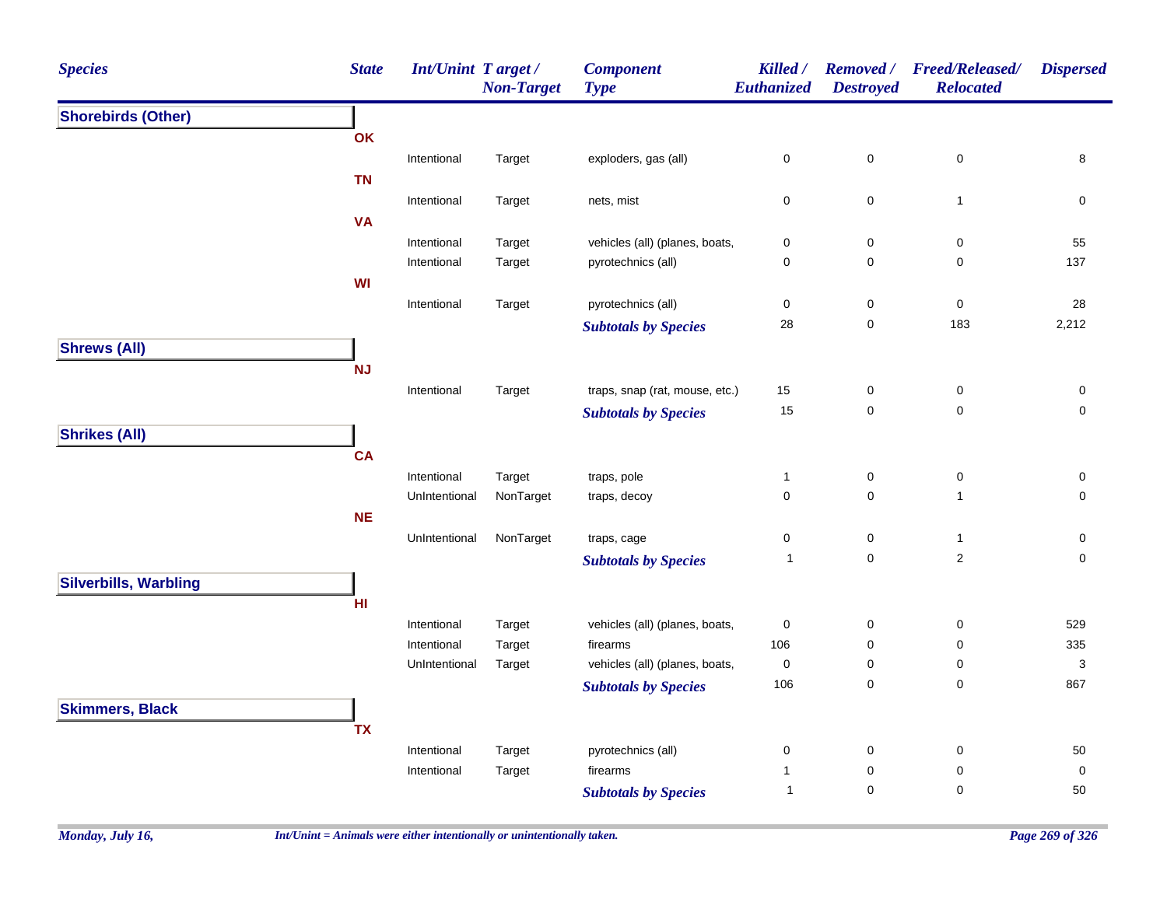| <b>Species</b>               | <b>State</b>    | <b>Int/Unint Target/</b> | <b>Non-Target</b> | <b>Component</b><br><b>Type</b> | Killed /<br><b>Euthanized</b> | <b>Removed</b> /<br><b>Destroyed</b> | <b>Freed/Released/</b><br><b>Relocated</b> | <b>Dispersed</b>          |
|------------------------------|-----------------|--------------------------|-------------------|---------------------------------|-------------------------------|--------------------------------------|--------------------------------------------|---------------------------|
| <b>Shorebirds (Other)</b>    |                 |                          |                   |                                 |                               |                                      |                                            |                           |
|                              | OK              |                          |                   |                                 |                               |                                      |                                            |                           |
|                              |                 | Intentional              | Target            | exploders, gas (all)            | 0                             | $\mathbf 0$                          | $\pmb{0}$                                  | 8                         |
|                              | <b>TN</b>       |                          |                   |                                 |                               |                                      |                                            |                           |
|                              |                 | Intentional              | Target            | nets, mist                      | 0                             | $\mathbf 0$                          | $\mathbf{1}$                               | $\pmb{0}$                 |
|                              | <b>VA</b>       |                          |                   |                                 |                               |                                      |                                            |                           |
|                              |                 | Intentional              | Target            | vehicles (all) (planes, boats,  | 0                             | 0                                    | $\pmb{0}$                                  | 55                        |
|                              |                 | Intentional              | Target            | pyrotechnics (all)              | 0                             | 0                                    | 0                                          | 137                       |
|                              | WI              |                          |                   |                                 |                               |                                      |                                            |                           |
|                              |                 | Intentional              | Target            | pyrotechnics (all)              | 0                             | 0                                    | $\pmb{0}$                                  | 28                        |
|                              |                 |                          |                   | <b>Subtotals by Species</b>     | 28                            | $\pmb{0}$                            | 183                                        | 2,212                     |
| <b>Shrews (All)</b>          |                 |                          |                   |                                 |                               |                                      |                                            |                           |
|                              | <b>NJ</b>       |                          |                   |                                 |                               |                                      |                                            |                           |
|                              |                 | Intentional              | Target            | traps, snap (rat, mouse, etc.)  | 15                            | 0                                    | $\pmb{0}$                                  | 0                         |
|                              |                 |                          |                   | <b>Subtotals by Species</b>     | 15                            | $\mathbf 0$                          | $\mathbf 0$                                | $\mathbf 0$               |
| <b>Shrikes (All)</b>         |                 |                          |                   |                                 |                               |                                      |                                            |                           |
|                              | <b>CA</b>       |                          |                   |                                 |                               |                                      |                                            |                           |
|                              |                 | Intentional              | Target            | traps, pole                     | $\mathbf{1}$                  | 0                                    | 0                                          | 0                         |
|                              |                 | UnIntentional            | NonTarget         | traps, decoy                    | 0                             | $\mathbf 0$                          | $\mathbf{1}$                               | $\mathsf{O}\xspace$       |
|                              | <b>NE</b>       |                          |                   |                                 |                               |                                      |                                            |                           |
|                              |                 | UnIntentional            | NonTarget         | traps, cage                     | 0                             | 0                                    | $\mathbf{1}$                               | 0                         |
|                              |                 |                          |                   | <b>Subtotals by Species</b>     | $\mathbf{1}$                  | $\mathbf 0$                          | $\overline{c}$                             | $\mathbf 0$               |
| <b>Silverbills, Warbling</b> |                 |                          |                   |                                 |                               |                                      |                                            |                           |
|                              | H <sub>II</sub> |                          |                   |                                 |                               |                                      |                                            |                           |
|                              |                 | Intentional              | Target            | vehicles (all) (planes, boats,  | $\pmb{0}$                     | 0                                    | 0                                          | 529                       |
|                              |                 | Intentional              | Target            | firearms                        | 106                           | $\mathbf 0$                          | 0                                          | 335                       |
|                              |                 | UnIntentional            | Target            | vehicles (all) (planes, boats,  | $\pmb{0}$                     | $\mathbf 0$                          | 0                                          | $\ensuremath{\mathsf{3}}$ |
|                              |                 |                          |                   | <b>Subtotals by Species</b>     | 106                           | $\pmb{0}$                            | $\pmb{0}$                                  | 867                       |
| <b>Skimmers, Black</b>       |                 |                          |                   |                                 |                               |                                      |                                            |                           |
|                              | <b>TX</b>       |                          |                   |                                 |                               |                                      |                                            |                           |
|                              |                 | Intentional              | Target            | pyrotechnics (all)              | 0                             | 0                                    | 0                                          | 50                        |
|                              |                 | Intentional              | Target            | firearms                        | $\mathbf{1}$                  | $\mathbf 0$                          | $\pmb{0}$                                  | $\mathbf 0$               |
|                              |                 |                          |                   | <b>Subtotals by Species</b>     | $\mathbf{1}$                  | 0                                    | $\pmb{0}$                                  | 50                        |
|                              |                 |                          |                   |                                 |                               |                                      |                                            |                           |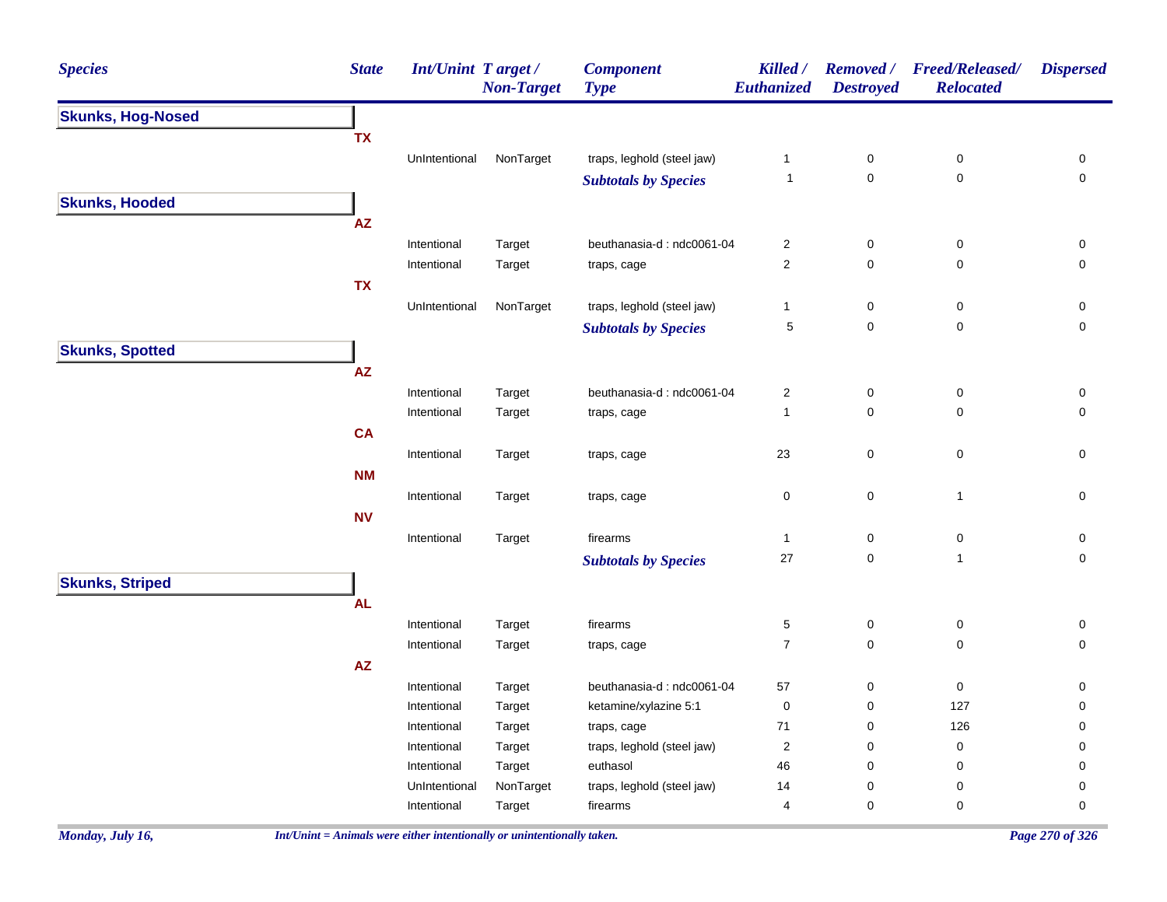| <b>State</b><br>Int/Unint Target/<br><b>Species</b> | <b>Component</b><br><b>Non-Target</b><br><b>Type</b> | Killed /<br>Euthanized | <b>Removed</b> /<br><b>Destroyed</b> | <b>Freed/Released/</b><br><b>Relocated</b> | <b>Dispersed</b>    |
|-----------------------------------------------------|------------------------------------------------------|------------------------|--------------------------------------|--------------------------------------------|---------------------|
| <b>Skunks, Hog-Nosed</b>                            |                                                      |                        |                                      |                                            |                     |
| <b>TX</b>                                           |                                                      |                        |                                      |                                            |                     |
| UnIntentional                                       | NonTarget<br>traps, leghold (steel jaw)              | $\mathbf{1}$           | $\pmb{0}$                            | $\pmb{0}$                                  | 0                   |
|                                                     | <b>Subtotals by Species</b>                          | $\overline{1}$         | $\mathsf{O}\xspace$                  | 0                                          | $\mathbf 0$         |
| <b>Skunks, Hooded</b>                               |                                                      |                        |                                      |                                            |                     |
| $\mathsf{AZ}$                                       |                                                      |                        |                                      |                                            |                     |
| Intentional<br>Target                               | beuthanasia-d: ndc0061-04                            | 2                      | $\mathbf 0$                          | $\pmb{0}$                                  | 0                   |
| Intentional<br>Target                               | traps, cage                                          | $\overline{2}$         | $\mathbf 0$                          | $\mathbf 0$                                | 0                   |
| <b>TX</b>                                           |                                                      |                        |                                      |                                            |                     |
| UnIntentional                                       | traps, leghold (steel jaw)<br>NonTarget              | $\mathbf{1}$           | $\mathbf 0$                          | 0                                          | 0                   |
|                                                     | <b>Subtotals by Species</b>                          | $\,$ 5 $\,$            | $\mathbf 0$                          | $\pmb{0}$                                  | $\mathsf{O}\xspace$ |
| <b>Skunks, Spotted</b>                              |                                                      |                        |                                      |                                            |                     |
| AZ                                                  |                                                      |                        |                                      |                                            |                     |
| Intentional<br>Target                               | beuthanasia-d: ndc0061-04                            | $\overline{c}$         | $\mathsf{O}\xspace$                  | $\pmb{0}$                                  | $\mathbf 0$         |
| Intentional<br>Target                               | traps, cage                                          | $\mathbf{1}$           | $\mathsf{O}\xspace$                  | $\mathbf 0$                                | $\mathbf 0$         |
| <b>CA</b>                                           |                                                      |                        |                                      |                                            |                     |
| Intentional<br>Target                               | traps, cage                                          | 23                     | $\mathbf 0$                          | $\pmb{0}$                                  | $\mathsf 0$         |
| <b>NM</b>                                           |                                                      |                        |                                      |                                            |                     |
| Intentional<br>Target                               | traps, cage                                          | 0                      | $\mathbf 0$                          | $\overline{1}$                             | 0                   |
| <b>NV</b>                                           |                                                      |                        |                                      |                                            |                     |
| Intentional<br>Target                               | firearms                                             | $\mathbf{1}$           | $\pmb{0}$                            | $\pmb{0}$                                  | 0                   |
|                                                     | <b>Subtotals by Species</b>                          | 27                     | $\mathsf{O}\xspace$                  | $\mathbf{1}$                               | $\mathbf 0$         |
| <b>Skunks, Striped</b>                              |                                                      |                        |                                      |                                            |                     |
| <b>AL</b>                                           |                                                      |                        |                                      |                                            |                     |
| Intentional<br>Target                               | firearms                                             | 5                      | $\mathsf{O}\xspace$                  | 0                                          | 0                   |
| Intentional<br>Target                               | traps, cage                                          | $\boldsymbol{7}$       | $\mathbf 0$                          | $\pmb{0}$                                  | 0                   |
| AZ                                                  |                                                      |                        |                                      |                                            |                     |
| Intentional<br>Target                               | beuthanasia-d: ndc0061-04                            | 57                     | $\mathbf 0$                          | $\pmb{0}$                                  | 0                   |
| Intentional<br>Target                               | ketamine/xylazine 5:1                                | $\mathbf 0$            | $\mathbf 0$                          | 127                                        | 0                   |
| Intentional<br>Target                               | traps, cage                                          | $\bf 71$               | $\pmb{0}$                            | 126                                        | 0                   |
| Intentional<br>Target                               | traps, leghold (steel jaw)                           | $\overline{c}$         | $\mathbf 0$                          | $\pmb{0}$                                  | 0                   |
| Intentional<br>Target                               | euthasol                                             | 46                     | $\mathbf 0$                          | 0                                          | 0                   |
| UnIntentional                                       | NonTarget<br>traps, leghold (steel jaw)              | 14                     | $\mathbf 0$                          | $\mathbf 0$                                | 0                   |
| Intentional<br>Target                               | firearms                                             | 4                      | $\mathbf 0$                          | 0                                          | 0                   |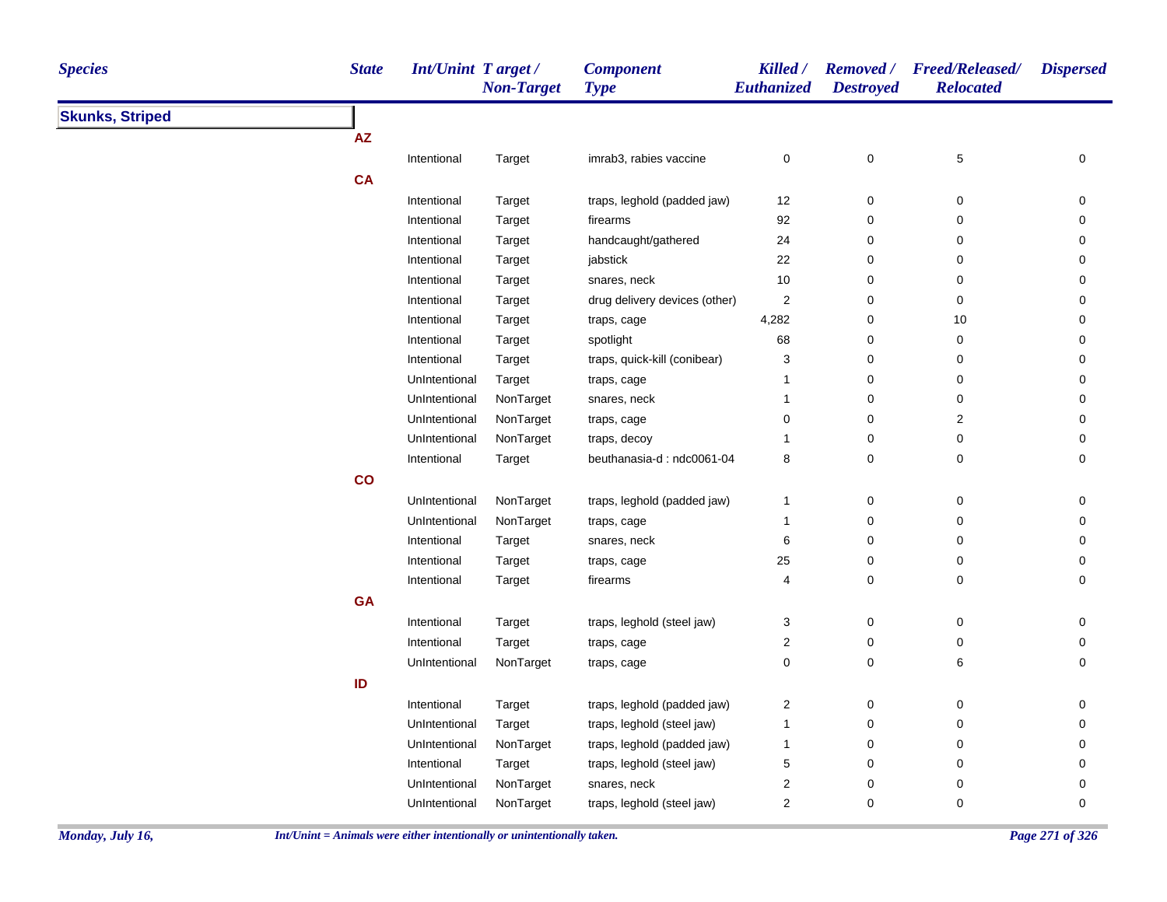| <b>Species</b>         | <b>State</b> | <b>Int/Unint Target/</b> | <b>Non-Target</b> | <b>Component</b><br><b>Type</b> | Killed /<br>Euthanized | <b>Destroyed</b> | Removed / Freed/Released/<br><b>Relocated</b> | <b>Dispersed</b> |
|------------------------|--------------|--------------------------|-------------------|---------------------------------|------------------------|------------------|-----------------------------------------------|------------------|
| <b>Skunks, Striped</b> |              |                          |                   |                                 |                        |                  |                                               |                  |
|                        | <b>AZ</b>    |                          |                   |                                 |                        |                  |                                               |                  |
|                        |              | Intentional              | Target            | imrab3, rabies vaccine          | $\pmb{0}$              | $\pmb{0}$        | $\,$ 5 $\,$                                   | 0                |
|                        | <b>CA</b>    |                          |                   |                                 |                        |                  |                                               |                  |
|                        |              | Intentional              | Target            | traps, leghold (padded jaw)     | 12                     | $\pmb{0}$        | $\pmb{0}$                                     | 0                |
|                        |              | Intentional              | Target            | firearms                        | 92                     | 0                | $\mathbf 0$                                   | 0                |
|                        |              | Intentional              | Target            | handcaught/gathered             | 24                     | $\pmb{0}$        | $\pmb{0}$                                     | 0                |
|                        |              | Intentional              | Target            | jabstick                        | 22                     | $\pmb{0}$        | $\pmb{0}$                                     | 0                |
|                        |              | Intentional              | Target            | snares, neck                    | 10                     | $\pmb{0}$        | $\mathbf 0$                                   | 0                |
|                        |              | Intentional              | Target            | drug delivery devices (other)   | $\overline{2}$         | $\pmb{0}$        | $\mathbf 0$                                   | 0                |
|                        |              | Intentional              | Target            | traps, cage                     | 4,282                  | $\pmb{0}$        | 10                                            | 0                |
|                        |              | Intentional              | Target            | spotlight                       | 68                     | $\mathbf 0$      | $\mathbf 0$                                   | 0                |
|                        |              | Intentional              | Target            | traps, quick-kill (conibear)    | 3                      | $\pmb{0}$        | $\mathbf 0$                                   | 0                |
|                        |              | UnIntentional            | Target            | traps, cage                     | $\mathbf{1}$           | $\pmb{0}$        | $\pmb{0}$                                     | $\pmb{0}$        |
|                        |              | UnIntentional            | NonTarget         | snares, neck                    | $\mathbf{1}$           | 0                | $\mathbf 0$                                   | $\pmb{0}$        |
|                        |              | UnIntentional            | NonTarget         | traps, cage                     | 0                      | $\pmb{0}$        | $\boldsymbol{2}$                              | 0                |
|                        |              | UnIntentional            | NonTarget         | traps, decoy                    | 1                      | $\pmb{0}$        | $\pmb{0}$                                     | 0                |
|                        |              | Intentional              | Target            | beuthanasia-d: ndc0061-04       | 8                      | $\mathbf 0$      | $\mathbf 0$                                   | 0                |
|                        | co           |                          |                   |                                 |                        |                  |                                               |                  |
|                        |              | UnIntentional            | NonTarget         | traps, leghold (padded jaw)     | $\mathbf{1}$           | $\pmb{0}$        | $\mathbf 0$                                   | $\pmb{0}$        |
|                        |              | UnIntentional            | NonTarget         | traps, cage                     | $\mathbf{1}$           | $\pmb{0}$        | $\pmb{0}$                                     | $\pmb{0}$        |
|                        |              | Intentional              | Target            | snares, neck                    | 6                      | $\pmb{0}$        | $\mathbf 0$                                   | 0                |
|                        |              | Intentional              | Target            | traps, cage                     | 25                     | $\pmb{0}$        | 0                                             | 0                |
|                        |              | Intentional              | Target            | firearms                        | 4                      | $\pmb{0}$        | $\pmb{0}$                                     | 0                |
|                        | <b>GA</b>    |                          |                   |                                 |                        |                  |                                               |                  |
|                        |              | Intentional              | Target            | traps, leghold (steel jaw)      | 3                      | $\pmb{0}$        | $\pmb{0}$                                     | $\mathbf 0$      |
|                        |              | Intentional              | Target            | traps, cage                     | 2                      | $\pmb{0}$        | $\mathbf 0$                                   | 0                |
|                        |              | UnIntentional            | NonTarget         | traps, cage                     | $\pmb{0}$              | $\pmb{0}$        | 6                                             | $\mathbf 0$      |
|                        | ID           |                          |                   |                                 |                        |                  |                                               |                  |
|                        |              | Intentional              | Target            | traps, leghold (padded jaw)     | $\sqrt{2}$             | $\pmb{0}$        | $\pmb{0}$                                     | $\pmb{0}$        |
|                        |              | UnIntentional            | Target            | traps, leghold (steel jaw)      | $\mathbf{1}$           | 0                | $\mathbf 0$                                   | $\pmb{0}$        |
|                        |              | UnIntentional            | NonTarget         | traps, leghold (padded jaw)     | $\mathbf{1}$           | 0                | 0                                             | 0                |
|                        |              | Intentional              | Target            | traps, leghold (steel jaw)      | 5                      | $\pmb{0}$        | $\mathbf 0$                                   | 0                |
|                        |              | UnIntentional            | NonTarget         | snares, neck                    | 2                      | $\mathbf 0$      | $\mathbf 0$                                   | 0                |
|                        |              | UnIntentional            | NonTarget         | traps, leghold (steel jaw)      | $\overline{c}$         | $\pmb{0}$        | $\pmb{0}$                                     | $\mathbf 0$      |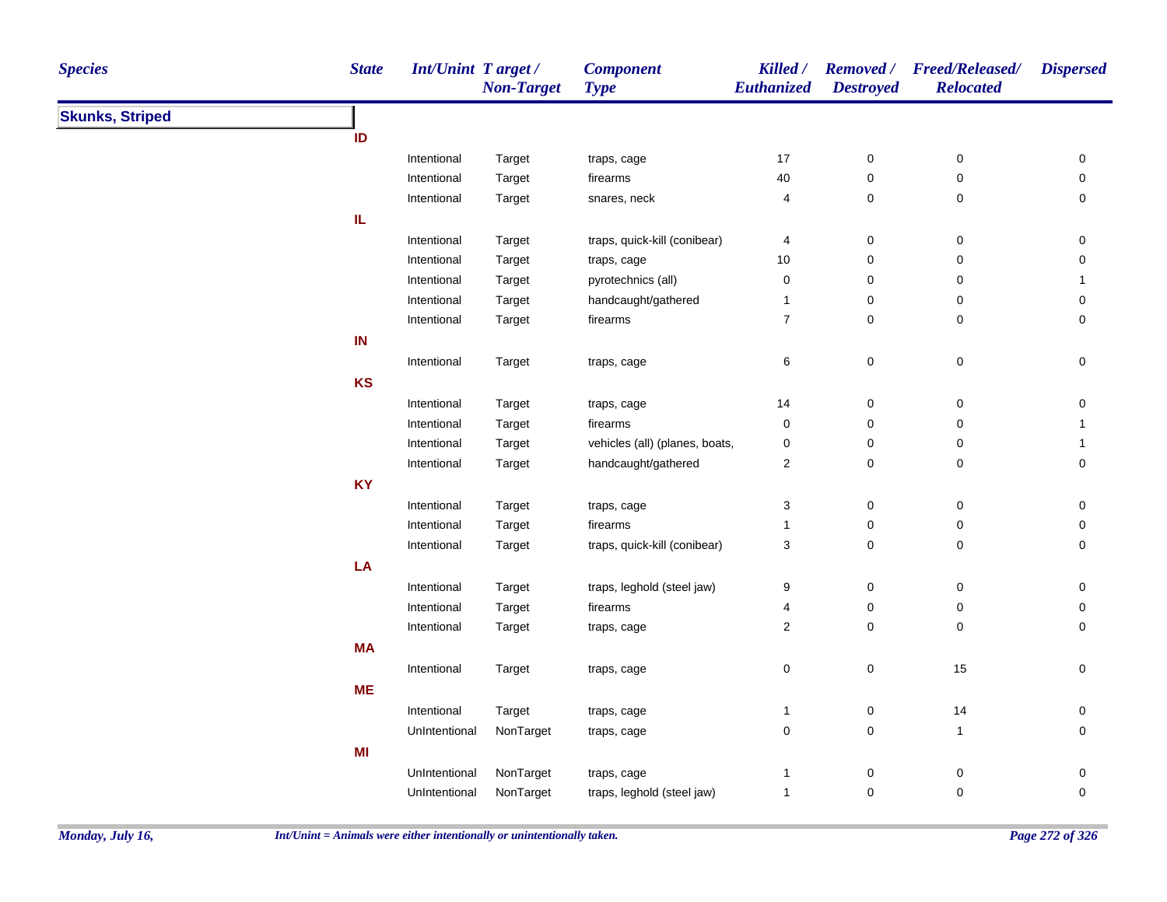| <b>Species</b>         | <b>State</b>  | <b>Int/Unint Target/</b><br><b>Non-Target</b> | <b>Component</b><br><b>Type</b> | Killed /<br>Euthanized  | <b>Destroyed</b> | Removed / Freed/Released/<br><b>Relocated</b> | <b>Dispersed</b> |
|------------------------|---------------|-----------------------------------------------|---------------------------------|-------------------------|------------------|-----------------------------------------------|------------------|
| <b>Skunks, Striped</b> |               |                                               |                                 |                         |                  |                                               |                  |
| ID                     |               |                                               |                                 |                         |                  |                                               |                  |
|                        | Intentional   | Target                                        | traps, cage                     | 17                      | $\boldsymbol{0}$ | 0                                             | 0                |
|                        | Intentional   | Target                                        | firearms                        | 40                      | $\pmb{0}$        | $\pmb{0}$                                     | 0                |
|                        | Intentional   | Target                                        | snares, neck                    | 4                       | $\boldsymbol{0}$ | 0                                             | 0                |
| IL                     |               |                                               |                                 |                         |                  |                                               |                  |
|                        | Intentional   | Target                                        | traps, quick-kill (conibear)    | 4                       | $\pmb{0}$        | 0                                             | 0                |
|                        | Intentional   | Target                                        | traps, cage                     | $10$                    | 0                | 0                                             | 0                |
|                        | Intentional   | Target                                        | pyrotechnics (all)              | $\pmb{0}$               | 0                | 0                                             | $\mathbf{1}$     |
|                        | Intentional   | Target                                        | handcaught/gathered             | $\mathbf{1}$            | $\pmb{0}$        | 0                                             | 0                |
|                        | Intentional   | Target                                        | firearms                        | $\boldsymbol{7}$        | $\mathbf 0$      | 0                                             | $\mathbf 0$      |
| IN                     |               |                                               |                                 |                         |                  |                                               |                  |
|                        | Intentional   | Target                                        | traps, cage                     | 6                       | $\pmb{0}$        | $\pmb{0}$                                     | $\pmb{0}$        |
| KS                     |               |                                               |                                 |                         |                  |                                               |                  |
|                        | Intentional   | Target                                        | traps, cage                     | 14                      | $\boldsymbol{0}$ | 0                                             | 0                |
|                        | Intentional   | Target                                        | firearms                        | 0                       | $\pmb{0}$        | 0                                             | $\mathbf{1}$     |
|                        | Intentional   | Target                                        | vehicles (all) (planes, boats,  | 0                       | $\pmb{0}$        | 0                                             | $\mathbf{1}$     |
|                        | Intentional   | Target                                        | handcaught/gathered             | 2                       | $\pmb{0}$        | 0                                             | $\mathsf 0$      |
| <b>KY</b>              |               |                                               |                                 |                         |                  |                                               |                  |
|                        | Intentional   | Target                                        | traps, cage                     | 3                       | $\pmb{0}$        | $\pmb{0}$                                     | 0                |
|                        | Intentional   | Target                                        | firearms                        | $\mathbf{1}$            | $\pmb{0}$        | $\pmb{0}$                                     | 0                |
|                        | Intentional   | Target                                        | traps, quick-kill (conibear)    | 3                       | $\pmb{0}$        | 0                                             | 0                |
| LA                     |               |                                               |                                 |                         |                  |                                               |                  |
|                        | Intentional   | Target                                        | traps, leghold (steel jaw)      | 9                       | $\boldsymbol{0}$ | 0                                             | 0                |
|                        | Intentional   | Target                                        | firearms                        | 4                       | $\pmb{0}$        | 0                                             | 0                |
|                        | Intentional   | Target                                        | traps, cage                     | $\overline{\mathbf{c}}$ | $\mathbf 0$      | $\mathbf 0$                                   | 0                |
| <b>MA</b>              |               |                                               |                                 |                         |                  |                                               |                  |
|                        | Intentional   | Target                                        | traps, cage                     | 0                       | $\mathbf 0$      | 15                                            | 0                |
| <b>ME</b>              |               |                                               |                                 |                         |                  |                                               |                  |
|                        | Intentional   | Target                                        | traps, cage                     | 1                       | $\mathbf 0$      | 14                                            | 0                |
|                        | UnIntentional | NonTarget                                     | traps, cage                     | 0                       | $\pmb{0}$        | $\mathbf{1}$                                  | $\mathsf 0$      |
| MI                     |               |                                               |                                 |                         |                  |                                               |                  |
|                        | UnIntentional | NonTarget                                     | traps, cage                     | 1                       | $\pmb{0}$        | $\pmb{0}$                                     | $\pmb{0}$        |
|                        | UnIntentional | NonTarget                                     | traps, leghold (steel jaw)      | 1                       | $\mathbf 0$      | 0                                             | $\mathbf 0$      |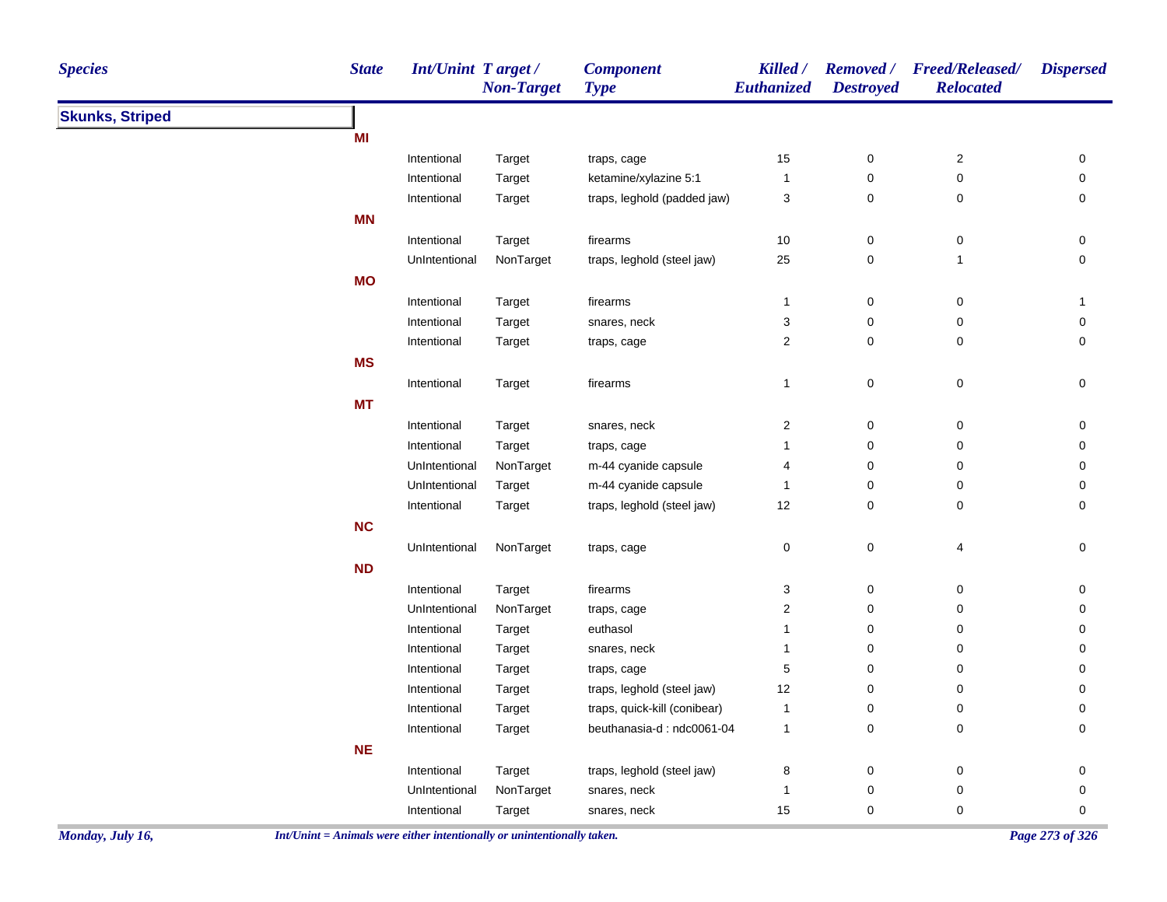| <b>Species</b>         | <b>State</b> | Int/Unint Target / | <b>Non-Target</b> | <b>Component</b><br><b>Type</b> | Killed /<br>Euthanized  | <b>Destroyed</b> | Removed / Freed/Released/<br><b>Relocated</b> | <b>Dispersed</b> |
|------------------------|--------------|--------------------|-------------------|---------------------------------|-------------------------|------------------|-----------------------------------------------|------------------|
| <b>Skunks, Striped</b> |              |                    |                   |                                 |                         |                  |                                               |                  |
|                        | MI           |                    |                   |                                 |                         |                  |                                               |                  |
|                        |              | Intentional        | Target            | traps, cage                     | 15                      | $\pmb{0}$        | $\sqrt{2}$                                    | 0                |
|                        |              | Intentional        | Target            | ketamine/xylazine 5:1           | $\mathbf{1}$            | $\boldsymbol{0}$ | 0                                             | $\pmb{0}$        |
|                        |              | Intentional        | Target            | traps, leghold (padded jaw)     | 3                       | $\mathbf 0$      | $\mathbf 0$                                   | $\mathbf 0$      |
|                        | <b>MN</b>    |                    |                   |                                 |                         |                  |                                               |                  |
|                        |              | Intentional        | Target            | firearms                        | $10$                    | $\pmb{0}$        | $\pmb{0}$                                     | 0                |
|                        |              | UnIntentional      | NonTarget         | traps, leghold (steel jaw)      | 25                      | $\pmb{0}$        | $\mathbf{1}$                                  | $\mathbf 0$      |
|                        | <b>MO</b>    |                    |                   |                                 |                         |                  |                                               |                  |
|                        |              | Intentional        | Target            | firearms                        | $\mathbf{1}$            | $\pmb{0}$        | $\pmb{0}$                                     | $\mathbf{1}$     |
|                        |              | Intentional        | Target            | snares, neck                    | 3                       | $\boldsymbol{0}$ | $\pmb{0}$                                     | 0                |
|                        |              | Intentional        | Target            | traps, cage                     | $\overline{\mathbf{c}}$ | $\mathbf 0$      | $\pmb{0}$                                     | 0                |
|                        | <b>MS</b>    |                    |                   |                                 |                         |                  |                                               |                  |
|                        |              | Intentional        | Target            | firearms                        | $\mathbf{1}$            | $\pmb{0}$        | $\mathbf 0$                                   | $\pmb{0}$        |
|                        | <b>MT</b>    |                    |                   |                                 |                         |                  |                                               |                  |
|                        |              | Intentional        | Target            | snares, neck                    | $\overline{\mathbf{c}}$ | $\pmb{0}$        | $\pmb{0}$                                     | $\pmb{0}$        |
|                        |              | Intentional        | Target            | traps, cage                     | $\mathbf{1}$            | $\pmb{0}$        | $\pmb{0}$                                     | $\pmb{0}$        |
|                        |              | UnIntentional      | NonTarget         | m-44 cyanide capsule            | 4                       | $\mathbf 0$      | $\pmb{0}$                                     | $\pmb{0}$        |
|                        |              | UnIntentional      | Target            | m-44 cyanide capsule            | $\mathbf{1}$            | $\boldsymbol{0}$ | 0                                             | $\pmb{0}$        |
|                        |              | Intentional        | Target            | traps, leghold (steel jaw)      | 12                      | $\mathbf 0$      | $\pmb{0}$                                     | 0                |
|                        | <b>NC</b>    |                    |                   |                                 |                         |                  |                                               |                  |
|                        |              | UnIntentional      | NonTarget         | traps, cage                     | 0                       | $\pmb{0}$        | $\overline{\mathbf{4}}$                       | $\pmb{0}$        |
|                        | ND           |                    |                   |                                 |                         |                  |                                               |                  |
|                        |              | Intentional        | Target            | firearms                        | 3                       | $\pmb{0}$        | $\pmb{0}$                                     | $\pmb{0}$        |
|                        |              | UnIntentional      | NonTarget         | traps, cage                     | $\overline{\mathbf{c}}$ | $\boldsymbol{0}$ | $\pmb{0}$                                     | 0                |
|                        |              | Intentional        | Target            | euthasol                        | $\mathbf{1}$            | $\mathbf 0$      | 0                                             | $\pmb{0}$        |
|                        |              | Intentional        | Target            | snares, neck                    | $\mathbf{1}$            | $\boldsymbol{0}$ | 0                                             | 0                |
|                        |              | Intentional        | Target            | traps, cage                     | 5                       | $\pmb{0}$        | $\pmb{0}$                                     | 0                |
|                        |              | Intentional        | Target            | traps, leghold (steel jaw)      | 12                      | $\boldsymbol{0}$ | 0                                             | 0                |
|                        |              | Intentional        | Target            | traps, quick-kill (conibear)    | $\mathbf{1}$            | $\pmb{0}$        | $\mathbf 0$                                   | 0                |
|                        |              | Intentional        | Target            | beuthanasia-d: ndc0061-04       | $\mathbf{1}$            | $\pmb{0}$        | $\pmb{0}$                                     | $\mathbf 0$      |
|                        | NE           |                    |                   |                                 |                         |                  |                                               |                  |
|                        |              | Intentional        | Target            | traps, leghold (steel jaw)      | 8                       | $\pmb{0}$        | $\pmb{0}$                                     | 0                |
|                        |              | UnIntentional      | NonTarget         | snares, neck                    | 1                       | $\pmb{0}$        | $\pmb{0}$                                     | $\mathbf 0$      |
|                        |              | Intentional        | Target            | snares, neck                    | 15                      | $\mathbf 0$      | $\pmb{0}$                                     | $\mathbf 0$      |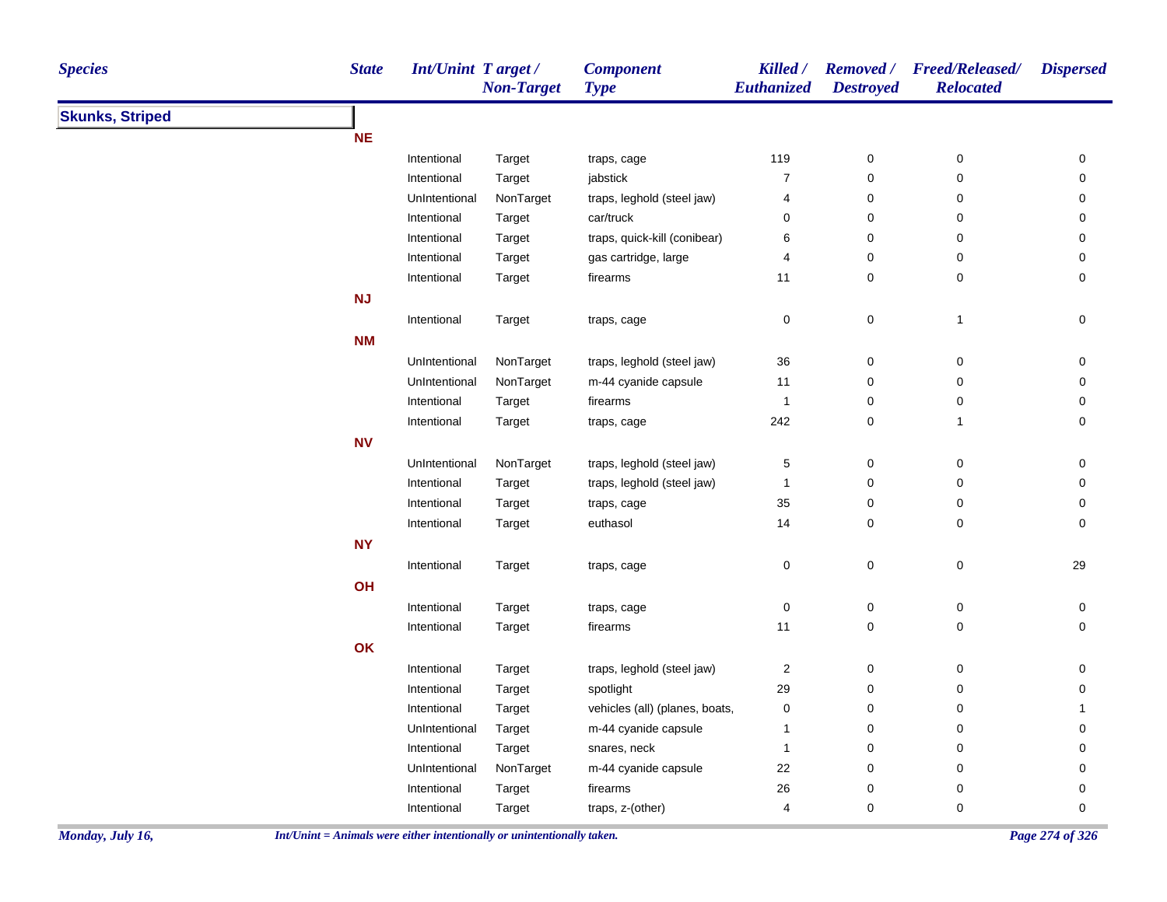| <b>Species</b>         | <b>State</b> | <b>Int/Unint Target/</b> | <b>Non-Target</b> | <b>Component</b><br><b>Type</b> | Killed /<br>Euthanized  | <b>Destroyed</b> | Removed / Freed/Released/<br><b>Relocated</b> | <b>Dispersed</b> |
|------------------------|--------------|--------------------------|-------------------|---------------------------------|-------------------------|------------------|-----------------------------------------------|------------------|
| <b>Skunks, Striped</b> |              |                          |                   |                                 |                         |                  |                                               |                  |
|                        | <b>NE</b>    |                          |                   |                                 |                         |                  |                                               |                  |
|                        |              | Intentional              | Target            | traps, cage                     | 119                     | $\pmb{0}$        | $\pmb{0}$                                     | $\pmb{0}$        |
|                        |              | Intentional              | Target            | jabstick                        | $\boldsymbol{7}$        | $\pmb{0}$        | $\pmb{0}$                                     | $\mathbf 0$      |
|                        |              | UnIntentional            | NonTarget         | traps, leghold (steel jaw)      | 4                       | $\mathbf 0$      | 0                                             | 0                |
|                        |              | Intentional              | Target            | car/truck                       | 0                       | $\mathbf 0$      | $\pmb{0}$                                     | $\pmb{0}$        |
|                        |              | Intentional              | Target            | traps, quick-kill (conibear)    | 6                       | $\mathbf 0$      | 0                                             | $\pmb{0}$        |
|                        |              | Intentional              | Target            | gas cartridge, large            | 4                       | 0                | 0                                             | 0                |
|                        |              | Intentional              | Target            | firearms                        | 11                      | $\pmb{0}$        | $\pmb{0}$                                     | $\mathbf 0$      |
|                        | NJ           |                          |                   |                                 |                         |                  |                                               |                  |
|                        |              | Intentional              | Target            | traps, cage                     | 0                       | $\pmb{0}$        | $\mathbf{1}$                                  | $\pmb{0}$        |
|                        | <b>NM</b>    |                          |                   |                                 |                         |                  |                                               |                  |
|                        |              | UnIntentional            | NonTarget         | traps, leghold (steel jaw)      | $36\,$                  | $\boldsymbol{0}$ | 0                                             | 0                |
|                        |              | UnIntentional            | NonTarget         | m-44 cyanide capsule            | 11                      | $\mathbf 0$      | 0                                             | $\pmb{0}$        |
|                        |              | Intentional              | Target            | firearms                        | $\mathbf{1}$            | $\pmb{0}$        | $\pmb{0}$                                     | $\pmb{0}$        |
|                        |              | Intentional              | Target            | traps, cage                     | 242                     | $\pmb{0}$        | $\mathbf{1}$                                  | $\pmb{0}$        |
|                        | <b>NV</b>    |                          |                   |                                 |                         |                  |                                               |                  |
|                        |              | UnIntentional            | NonTarget         | traps, leghold (steel jaw)      | 5                       | $\boldsymbol{0}$ | 0                                             | 0                |
|                        |              | Intentional              | Target            | traps, leghold (steel jaw)      | $\mathbf{1}$            | $\mathbf 0$      | 0                                             | $\pmb{0}$        |
|                        |              | Intentional              | Target            | traps, cage                     | 35                      | $\pmb{0}$        | $\pmb{0}$                                     | $\pmb{0}$        |
|                        |              | Intentional              | Target            | euthasol                        | 14                      | $\mathbf 0$      | $\pmb{0}$                                     | $\mathbf 0$      |
|                        | <b>NY</b>    |                          |                   |                                 |                         |                  |                                               |                  |
|                        |              | Intentional              | Target            | traps, cage                     | 0                       | $\mathbf 0$      | 0                                             | 29               |
|                        | OH           |                          |                   |                                 |                         |                  |                                               |                  |
|                        |              | Intentional              | Target            | traps, cage                     | 0                       | $\mathbf 0$      | $\mathbf 0$                                   | 0                |
|                        |              | Intentional              | Target            | firearms                        | 11                      | $\pmb{0}$        | $\pmb{0}$                                     | $\mathbf 0$      |
|                        | OK           |                          |                   |                                 |                         |                  |                                               |                  |
|                        |              | Intentional              | Target            | traps, leghold (steel jaw)      | $\overline{\mathbf{c}}$ | $\boldsymbol{0}$ | 0                                             | $\pmb{0}$        |
|                        |              | Intentional              | Target            | spotlight                       | 29                      | $\mathbf 0$      | $\mathbf 0$                                   | 0                |
|                        |              | Intentional              | Target            | vehicles (all) (planes, boats,  | 0                       | $\mathbf 0$      | 0                                             | $\mathbf{1}$     |
|                        |              | UnIntentional            | Target            | m-44 cyanide capsule            | $\mathbf{1}$            | $\pmb{0}$        | $\pmb{0}$                                     | $\mathbf 0$      |
|                        |              | Intentional              | Target            | snares, neck                    | $\mathbf{1}$            | $\boldsymbol{0}$ | $\pmb{0}$                                     | $\pmb{0}$        |
|                        |              | UnIntentional            | NonTarget         | m-44 cyanide capsule            | 22                      | $\mathbf 0$      | 0                                             | 0                |
|                        |              | Intentional              | Target            | firearms                        | $26\,$                  | $\pmb{0}$        | 0                                             | $\pmb{0}$        |
|                        |              | Intentional              | Target            | traps, z-(other)                | $\overline{4}$          | $\mathbf 0$      | $\mathbf 0$                                   | $\mathbf 0$      |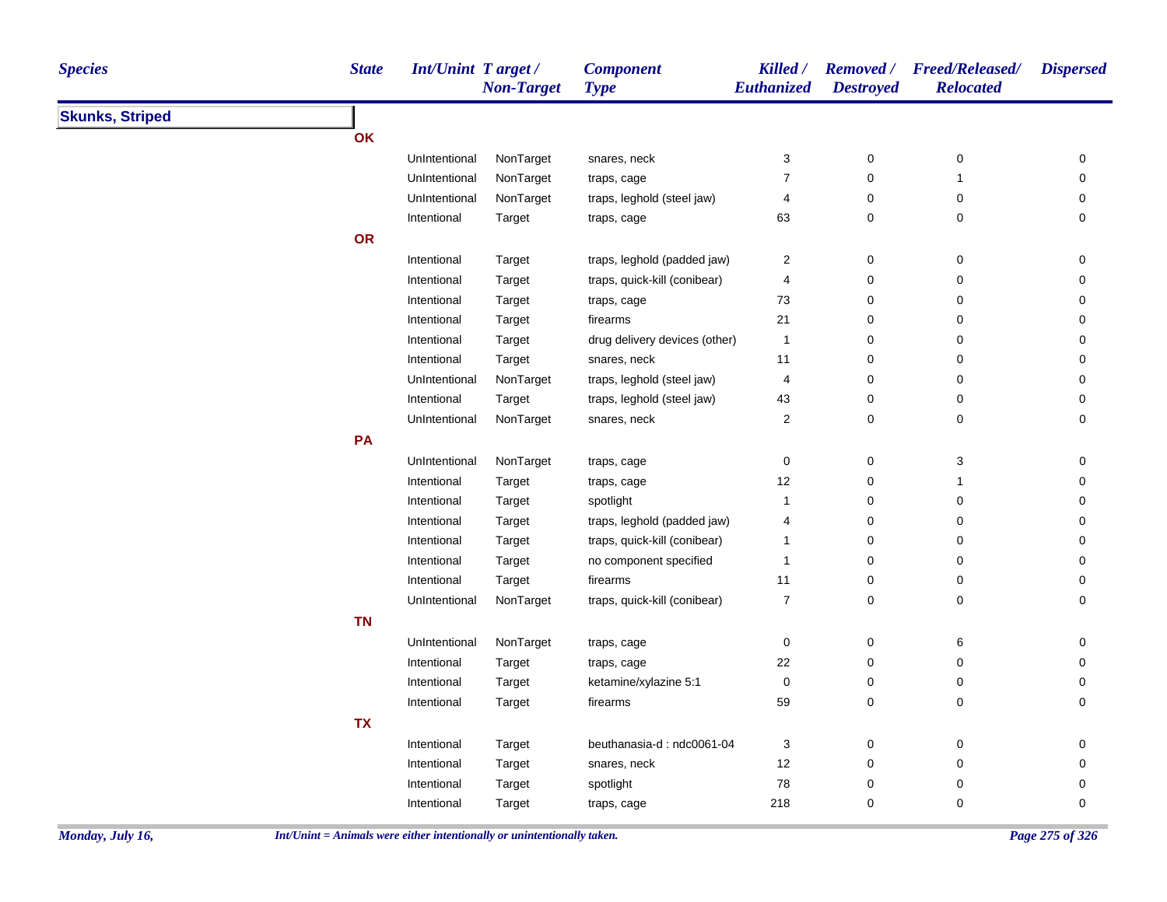| <b>Skunks, Striped</b><br><b>OK</b><br>NonTarget<br>0<br>UnIntentional<br>snares, neck<br>3<br>0<br>0<br>$\boldsymbol{7}$<br>0<br>$\mathsf 0$<br>UnIntentional<br>NonTarget<br>$\mathbf{1}$<br>traps, cage<br>NonTarget<br>traps, leghold (steel jaw)<br>0<br>$\pmb{0}$<br>0<br>UnIntentional<br>4<br>0<br>63<br>0<br>$\pmb{0}$<br>Intentional<br>Target<br>traps, cage<br>OR<br>traps, leghold (padded jaw)<br>Intentional<br>2<br>0<br>$\pmb{0}$<br>0<br>Target<br>Intentional<br>traps, quick-kill (conibear)<br>4<br>0<br>0<br>0<br>Target<br>73<br>0<br>0<br>0<br>Intentional<br>Target<br>traps, cage<br>21<br>0<br>0<br>Intentional<br>Target<br>firearms<br>0<br>0<br>0<br>Intentional<br>drug delivery devices (other)<br>$\pmb{0}$<br>Target<br>$\mathbf{1}$<br>0<br>$\pmb{0}$<br>0<br>Intentional<br>Target<br>snares, neck<br>11<br>NonTarget<br>traps, leghold (steel jaw)<br>0<br>0<br>0<br>UnIntentional<br>4<br>0<br>Intentional<br>Target<br>traps, leghold (steel jaw)<br>43<br>$\pmb{0}$<br>0<br>UnIntentional<br>NonTarget<br>$\overline{c}$<br>0<br>$\mathbf 0$<br>0<br>snares, neck<br>PA<br>$\ensuremath{\mathsf{3}}$<br>UnIntentional<br>NonTarget<br>0<br>0<br>0<br>traps, cage<br>12<br>0<br>0<br>Intentional<br>Target<br>$\mathbf{1}$<br>traps, cage<br>Intentional<br>spotlight<br>0<br>$\pmb{0}$<br>0<br>Target<br>$\mathbf 1$<br>traps, leghold (padded jaw)<br>0<br>0<br>0<br>Intentional<br>Target<br>4<br>traps, quick-kill (conibear)<br>Intentional<br>Target<br>0<br>0<br>0<br>1<br>Intentional<br>no component specified<br>0<br>$\pmb{0}$<br>0<br>Target<br>1<br>Intentional<br>firearms<br>0<br>$\pmb{0}$<br>Target<br>11<br>0<br>NonTarget<br>traps, quick-kill (conibear)<br>$\boldsymbol{7}$<br>0<br>$\pmb{0}$<br>0<br>UnIntentional<br><b>TN</b><br>UnIntentional<br>NonTarget<br>traps, cage<br>0<br>0<br>6<br>0<br>Intentional<br>22<br>0<br>0<br>0<br>Target<br>traps, cage<br>$\pmb{0}$<br>ketamine/xylazine 5:1<br>0<br>$\pmb{0}$<br>Intentional<br>Target<br>0<br>59<br>0<br>$\pmb{0}$<br>0<br>Intentional<br>firearms<br>Target<br><b>TX</b><br>Intentional<br>beuthanasia-d: ndc0061-04<br>3<br>0<br>$\pmb{0}$<br>0<br>Target<br>12<br>0<br>$\mathbf 0$<br>Intentional<br>Target<br>snares, neck<br>0<br>78<br>0<br>$\pmb{0}$<br>Intentional<br>spotlight<br>0<br>Target<br>Intentional | <b>Species</b> | <b>State</b> | <b>Int/Unint Target/</b> | <b>Non-Target</b> | <b>Component</b><br><b>Type</b> | Killed /<br>Euthanized | <b>Destroyed</b> | Removed / Freed/Released/<br><b>Relocated</b> | <b>Dispersed</b> |
|---------------------------------------------------------------------------------------------------------------------------------------------------------------------------------------------------------------------------------------------------------------------------------------------------------------------------------------------------------------------------------------------------------------------------------------------------------------------------------------------------------------------------------------------------------------------------------------------------------------------------------------------------------------------------------------------------------------------------------------------------------------------------------------------------------------------------------------------------------------------------------------------------------------------------------------------------------------------------------------------------------------------------------------------------------------------------------------------------------------------------------------------------------------------------------------------------------------------------------------------------------------------------------------------------------------------------------------------------------------------------------------------------------------------------------------------------------------------------------------------------------------------------------------------------------------------------------------------------------------------------------------------------------------------------------------------------------------------------------------------------------------------------------------------------------------------------------------------------------------------------------------------------------------------------------------------------------------------------------------------------------------------------------------------------------------------------------------------------------------------------------------------------------------------------------------------------------------------------------------------------------------------------------------------------------------------------------------------|----------------|--------------|--------------------------|-------------------|---------------------------------|------------------------|------------------|-----------------------------------------------|------------------|
|                                                                                                                                                                                                                                                                                                                                                                                                                                                                                                                                                                                                                                                                                                                                                                                                                                                                                                                                                                                                                                                                                                                                                                                                                                                                                                                                                                                                                                                                                                                                                                                                                                                                                                                                                                                                                                                                                                                                                                                                                                                                                                                                                                                                                                                                                                                                             |                |              |                          |                   |                                 |                        |                  |                                               |                  |
|                                                                                                                                                                                                                                                                                                                                                                                                                                                                                                                                                                                                                                                                                                                                                                                                                                                                                                                                                                                                                                                                                                                                                                                                                                                                                                                                                                                                                                                                                                                                                                                                                                                                                                                                                                                                                                                                                                                                                                                                                                                                                                                                                                                                                                                                                                                                             |                |              |                          |                   |                                 |                        |                  |                                               |                  |
|                                                                                                                                                                                                                                                                                                                                                                                                                                                                                                                                                                                                                                                                                                                                                                                                                                                                                                                                                                                                                                                                                                                                                                                                                                                                                                                                                                                                                                                                                                                                                                                                                                                                                                                                                                                                                                                                                                                                                                                                                                                                                                                                                                                                                                                                                                                                             |                |              |                          |                   |                                 |                        |                  |                                               |                  |
|                                                                                                                                                                                                                                                                                                                                                                                                                                                                                                                                                                                                                                                                                                                                                                                                                                                                                                                                                                                                                                                                                                                                                                                                                                                                                                                                                                                                                                                                                                                                                                                                                                                                                                                                                                                                                                                                                                                                                                                                                                                                                                                                                                                                                                                                                                                                             |                |              |                          |                   |                                 |                        |                  |                                               |                  |
|                                                                                                                                                                                                                                                                                                                                                                                                                                                                                                                                                                                                                                                                                                                                                                                                                                                                                                                                                                                                                                                                                                                                                                                                                                                                                                                                                                                                                                                                                                                                                                                                                                                                                                                                                                                                                                                                                                                                                                                                                                                                                                                                                                                                                                                                                                                                             |                |              |                          |                   |                                 |                        |                  |                                               |                  |
|                                                                                                                                                                                                                                                                                                                                                                                                                                                                                                                                                                                                                                                                                                                                                                                                                                                                                                                                                                                                                                                                                                                                                                                                                                                                                                                                                                                                                                                                                                                                                                                                                                                                                                                                                                                                                                                                                                                                                                                                                                                                                                                                                                                                                                                                                                                                             |                |              |                          |                   |                                 |                        |                  |                                               |                  |
|                                                                                                                                                                                                                                                                                                                                                                                                                                                                                                                                                                                                                                                                                                                                                                                                                                                                                                                                                                                                                                                                                                                                                                                                                                                                                                                                                                                                                                                                                                                                                                                                                                                                                                                                                                                                                                                                                                                                                                                                                                                                                                                                                                                                                                                                                                                                             |                |              |                          |                   |                                 |                        |                  |                                               |                  |
|                                                                                                                                                                                                                                                                                                                                                                                                                                                                                                                                                                                                                                                                                                                                                                                                                                                                                                                                                                                                                                                                                                                                                                                                                                                                                                                                                                                                                                                                                                                                                                                                                                                                                                                                                                                                                                                                                                                                                                                                                                                                                                                                                                                                                                                                                                                                             |                |              |                          |                   |                                 |                        |                  |                                               |                  |
|                                                                                                                                                                                                                                                                                                                                                                                                                                                                                                                                                                                                                                                                                                                                                                                                                                                                                                                                                                                                                                                                                                                                                                                                                                                                                                                                                                                                                                                                                                                                                                                                                                                                                                                                                                                                                                                                                                                                                                                                                                                                                                                                                                                                                                                                                                                                             |                |              |                          |                   |                                 |                        |                  |                                               |                  |
|                                                                                                                                                                                                                                                                                                                                                                                                                                                                                                                                                                                                                                                                                                                                                                                                                                                                                                                                                                                                                                                                                                                                                                                                                                                                                                                                                                                                                                                                                                                                                                                                                                                                                                                                                                                                                                                                                                                                                                                                                                                                                                                                                                                                                                                                                                                                             |                |              |                          |                   |                                 |                        |                  |                                               |                  |
|                                                                                                                                                                                                                                                                                                                                                                                                                                                                                                                                                                                                                                                                                                                                                                                                                                                                                                                                                                                                                                                                                                                                                                                                                                                                                                                                                                                                                                                                                                                                                                                                                                                                                                                                                                                                                                                                                                                                                                                                                                                                                                                                                                                                                                                                                                                                             |                |              |                          |                   |                                 |                        |                  |                                               |                  |
|                                                                                                                                                                                                                                                                                                                                                                                                                                                                                                                                                                                                                                                                                                                                                                                                                                                                                                                                                                                                                                                                                                                                                                                                                                                                                                                                                                                                                                                                                                                                                                                                                                                                                                                                                                                                                                                                                                                                                                                                                                                                                                                                                                                                                                                                                                                                             |                |              |                          |                   |                                 |                        |                  |                                               |                  |
|                                                                                                                                                                                                                                                                                                                                                                                                                                                                                                                                                                                                                                                                                                                                                                                                                                                                                                                                                                                                                                                                                                                                                                                                                                                                                                                                                                                                                                                                                                                                                                                                                                                                                                                                                                                                                                                                                                                                                                                                                                                                                                                                                                                                                                                                                                                                             |                |              |                          |                   |                                 |                        |                  |                                               |                  |
|                                                                                                                                                                                                                                                                                                                                                                                                                                                                                                                                                                                                                                                                                                                                                                                                                                                                                                                                                                                                                                                                                                                                                                                                                                                                                                                                                                                                                                                                                                                                                                                                                                                                                                                                                                                                                                                                                                                                                                                                                                                                                                                                                                                                                                                                                                                                             |                |              |                          |                   |                                 |                        |                  |                                               |                  |
|                                                                                                                                                                                                                                                                                                                                                                                                                                                                                                                                                                                                                                                                                                                                                                                                                                                                                                                                                                                                                                                                                                                                                                                                                                                                                                                                                                                                                                                                                                                                                                                                                                                                                                                                                                                                                                                                                                                                                                                                                                                                                                                                                                                                                                                                                                                                             |                |              |                          |                   |                                 |                        |                  |                                               |                  |
|                                                                                                                                                                                                                                                                                                                                                                                                                                                                                                                                                                                                                                                                                                                                                                                                                                                                                                                                                                                                                                                                                                                                                                                                                                                                                                                                                                                                                                                                                                                                                                                                                                                                                                                                                                                                                                                                                                                                                                                                                                                                                                                                                                                                                                                                                                                                             |                |              |                          |                   |                                 |                        |                  |                                               |                  |
|                                                                                                                                                                                                                                                                                                                                                                                                                                                                                                                                                                                                                                                                                                                                                                                                                                                                                                                                                                                                                                                                                                                                                                                                                                                                                                                                                                                                                                                                                                                                                                                                                                                                                                                                                                                                                                                                                                                                                                                                                                                                                                                                                                                                                                                                                                                                             |                |              |                          |                   |                                 |                        |                  |                                               |                  |
|                                                                                                                                                                                                                                                                                                                                                                                                                                                                                                                                                                                                                                                                                                                                                                                                                                                                                                                                                                                                                                                                                                                                                                                                                                                                                                                                                                                                                                                                                                                                                                                                                                                                                                                                                                                                                                                                                                                                                                                                                                                                                                                                                                                                                                                                                                                                             |                |              |                          |                   |                                 |                        |                  |                                               |                  |
|                                                                                                                                                                                                                                                                                                                                                                                                                                                                                                                                                                                                                                                                                                                                                                                                                                                                                                                                                                                                                                                                                                                                                                                                                                                                                                                                                                                                                                                                                                                                                                                                                                                                                                                                                                                                                                                                                                                                                                                                                                                                                                                                                                                                                                                                                                                                             |                |              |                          |                   |                                 |                        |                  |                                               |                  |
|                                                                                                                                                                                                                                                                                                                                                                                                                                                                                                                                                                                                                                                                                                                                                                                                                                                                                                                                                                                                                                                                                                                                                                                                                                                                                                                                                                                                                                                                                                                                                                                                                                                                                                                                                                                                                                                                                                                                                                                                                                                                                                                                                                                                                                                                                                                                             |                |              |                          |                   |                                 |                        |                  |                                               |                  |
|                                                                                                                                                                                                                                                                                                                                                                                                                                                                                                                                                                                                                                                                                                                                                                                                                                                                                                                                                                                                                                                                                                                                                                                                                                                                                                                                                                                                                                                                                                                                                                                                                                                                                                                                                                                                                                                                                                                                                                                                                                                                                                                                                                                                                                                                                                                                             |                |              |                          |                   |                                 |                        |                  |                                               |                  |
|                                                                                                                                                                                                                                                                                                                                                                                                                                                                                                                                                                                                                                                                                                                                                                                                                                                                                                                                                                                                                                                                                                                                                                                                                                                                                                                                                                                                                                                                                                                                                                                                                                                                                                                                                                                                                                                                                                                                                                                                                                                                                                                                                                                                                                                                                                                                             |                |              |                          |                   |                                 |                        |                  |                                               |                  |
|                                                                                                                                                                                                                                                                                                                                                                                                                                                                                                                                                                                                                                                                                                                                                                                                                                                                                                                                                                                                                                                                                                                                                                                                                                                                                                                                                                                                                                                                                                                                                                                                                                                                                                                                                                                                                                                                                                                                                                                                                                                                                                                                                                                                                                                                                                                                             |                |              |                          |                   |                                 |                        |                  |                                               |                  |
|                                                                                                                                                                                                                                                                                                                                                                                                                                                                                                                                                                                                                                                                                                                                                                                                                                                                                                                                                                                                                                                                                                                                                                                                                                                                                                                                                                                                                                                                                                                                                                                                                                                                                                                                                                                                                                                                                                                                                                                                                                                                                                                                                                                                                                                                                                                                             |                |              |                          |                   |                                 |                        |                  |                                               |                  |
|                                                                                                                                                                                                                                                                                                                                                                                                                                                                                                                                                                                                                                                                                                                                                                                                                                                                                                                                                                                                                                                                                                                                                                                                                                                                                                                                                                                                                                                                                                                                                                                                                                                                                                                                                                                                                                                                                                                                                                                                                                                                                                                                                                                                                                                                                                                                             |                |              |                          |                   |                                 |                        |                  |                                               |                  |
|                                                                                                                                                                                                                                                                                                                                                                                                                                                                                                                                                                                                                                                                                                                                                                                                                                                                                                                                                                                                                                                                                                                                                                                                                                                                                                                                                                                                                                                                                                                                                                                                                                                                                                                                                                                                                                                                                                                                                                                                                                                                                                                                                                                                                                                                                                                                             |                |              |                          |                   |                                 |                        |                  |                                               |                  |
|                                                                                                                                                                                                                                                                                                                                                                                                                                                                                                                                                                                                                                                                                                                                                                                                                                                                                                                                                                                                                                                                                                                                                                                                                                                                                                                                                                                                                                                                                                                                                                                                                                                                                                                                                                                                                                                                                                                                                                                                                                                                                                                                                                                                                                                                                                                                             |                |              |                          |                   |                                 |                        |                  |                                               |                  |
|                                                                                                                                                                                                                                                                                                                                                                                                                                                                                                                                                                                                                                                                                                                                                                                                                                                                                                                                                                                                                                                                                                                                                                                                                                                                                                                                                                                                                                                                                                                                                                                                                                                                                                                                                                                                                                                                                                                                                                                                                                                                                                                                                                                                                                                                                                                                             |                |              |                          |                   |                                 |                        |                  |                                               |                  |
|                                                                                                                                                                                                                                                                                                                                                                                                                                                                                                                                                                                                                                                                                                                                                                                                                                                                                                                                                                                                                                                                                                                                                                                                                                                                                                                                                                                                                                                                                                                                                                                                                                                                                                                                                                                                                                                                                                                                                                                                                                                                                                                                                                                                                                                                                                                                             |                |              |                          |                   |                                 |                        |                  |                                               |                  |
|                                                                                                                                                                                                                                                                                                                                                                                                                                                                                                                                                                                                                                                                                                                                                                                                                                                                                                                                                                                                                                                                                                                                                                                                                                                                                                                                                                                                                                                                                                                                                                                                                                                                                                                                                                                                                                                                                                                                                                                                                                                                                                                                                                                                                                                                                                                                             |                |              |                          |                   |                                 |                        |                  |                                               |                  |
|                                                                                                                                                                                                                                                                                                                                                                                                                                                                                                                                                                                                                                                                                                                                                                                                                                                                                                                                                                                                                                                                                                                                                                                                                                                                                                                                                                                                                                                                                                                                                                                                                                                                                                                                                                                                                                                                                                                                                                                                                                                                                                                                                                                                                                                                                                                                             |                |              |                          |                   |                                 |                        |                  |                                               |                  |
|                                                                                                                                                                                                                                                                                                                                                                                                                                                                                                                                                                                                                                                                                                                                                                                                                                                                                                                                                                                                                                                                                                                                                                                                                                                                                                                                                                                                                                                                                                                                                                                                                                                                                                                                                                                                                                                                                                                                                                                                                                                                                                                                                                                                                                                                                                                                             |                |              |                          |                   |                                 |                        |                  |                                               |                  |
|                                                                                                                                                                                                                                                                                                                                                                                                                                                                                                                                                                                                                                                                                                                                                                                                                                                                                                                                                                                                                                                                                                                                                                                                                                                                                                                                                                                                                                                                                                                                                                                                                                                                                                                                                                                                                                                                                                                                                                                                                                                                                                                                                                                                                                                                                                                                             |                |              |                          |                   |                                 |                        |                  |                                               |                  |
|                                                                                                                                                                                                                                                                                                                                                                                                                                                                                                                                                                                                                                                                                                                                                                                                                                                                                                                                                                                                                                                                                                                                                                                                                                                                                                                                                                                                                                                                                                                                                                                                                                                                                                                                                                                                                                                                                                                                                                                                                                                                                                                                                                                                                                                                                                                                             |                |              |                          |                   |                                 |                        |                  |                                               |                  |
|                                                                                                                                                                                                                                                                                                                                                                                                                                                                                                                                                                                                                                                                                                                                                                                                                                                                                                                                                                                                                                                                                                                                                                                                                                                                                                                                                                                                                                                                                                                                                                                                                                                                                                                                                                                                                                                                                                                                                                                                                                                                                                                                                                                                                                                                                                                                             |                |              |                          | Target            | traps, cage                     | 218                    | 0                | $\pmb{0}$                                     | 0                |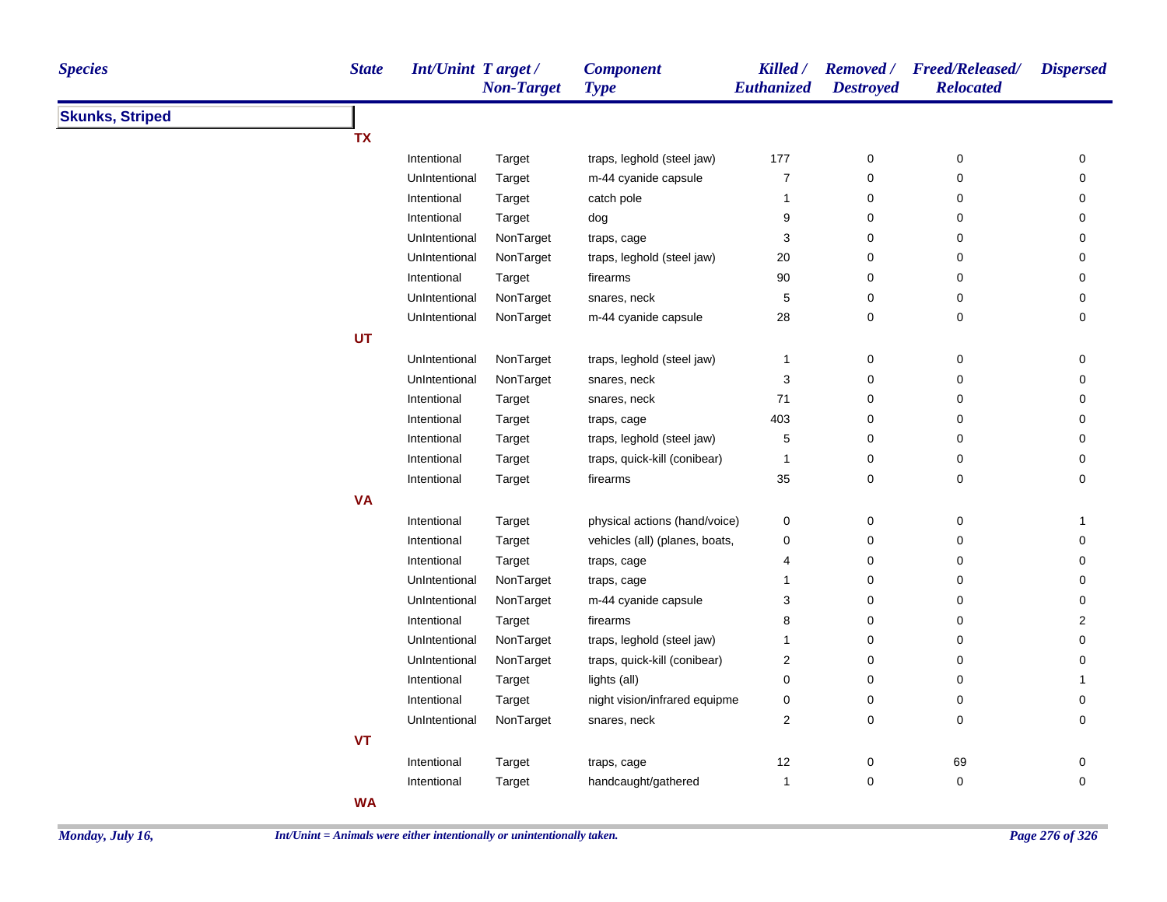| <b>Skunks, Striped</b><br><b>TX</b><br>traps, leghold (steel jaw)<br>177<br>Intentional<br>Target<br>0<br>0<br>0<br>m-44 cyanide capsule<br>$\boldsymbol{7}$<br>0<br>$\pmb{0}$<br>0<br>UnIntentional<br>Target<br>Intentional<br>catch pole<br>$\mathbf{1}$<br>0<br>$\mathbf 0$<br>0<br>Target<br>9<br>0<br>0<br>Intentional<br>Target<br>dog<br>0<br>NonTarget<br>3<br>0<br>0<br>UnIntentional<br>traps, cage<br>0<br>0<br>$\pmb{0}$<br>0<br>UnIntentional<br>NonTarget<br>traps, leghold (steel jaw)<br>20<br>90<br>0<br>$\pmb{0}$<br>0<br>Intentional<br>Target<br>firearms<br>$\sqrt{5}$<br>0<br>$\pmb{0}$<br>0<br>UnIntentional<br>NonTarget<br>snares, neck<br>UnIntentional<br>NonTarget<br>m-44 cyanide capsule<br>28<br>0<br>$\mathbf 0$<br>0<br>UT<br>UnIntentional<br>NonTarget<br>traps, leghold (steel jaw)<br>0<br>$\boldsymbol{0}$<br>0<br>$\mathbf{1}$<br>3<br>$\mathbf 0$<br>$\mathbf 0$<br>0<br>UnIntentional<br>NonTarget<br>snares, neck<br>71<br>0<br>$\mathbf 0$<br>0<br>Intentional<br>Target<br>snares, neck<br>403<br>$\mathbf 0$<br>Intentional<br>0<br>0<br>Target<br>traps, cage<br>Intentional<br>traps, leghold (steel jaw)<br>5<br>0<br>0<br>0<br>Target<br>$\mathbf 0$<br>traps, quick-kill (conibear)<br>$\mathbf 0$<br>0<br>Intentional<br>Target<br>1<br>0<br>35<br>0<br>0<br>Intentional<br>Target<br>firearms<br><b>VA</b><br>Intentional<br>physical actions (hand/voice)<br>0<br>0<br>Target<br>0<br>$\mathbf{1}$<br>vehicles (all) (planes, boats,<br>0<br>Intentional<br>Target<br>0<br>0<br>0<br>0<br>$\pmb{0}$<br>Intentional<br>traps, cage<br>0<br>Target<br>4<br>NonTarget<br>0<br>UnIntentional<br>0<br>0<br>traps, cage<br>$\mathbf{1}$<br>NonTarget<br>UnIntentional<br>m-44 cyanide capsule<br>3<br>0<br>$\mathbf 0$<br>0<br>Intentional<br>firearms<br>8<br>0<br>0<br>2<br>Target<br>NonTarget<br>traps, leghold (steel jaw)<br>$\mathbf 0$<br>0<br>UnIntentional<br>$\mathbf{1}$<br>0<br>NonTarget<br>traps, quick-kill (conibear)<br>$\boldsymbol{2}$<br>$\mathbf 0$<br>0<br>UnIntentional<br>$\mathbf 0$<br>$\pmb{0}$<br>$\mathbf 0$<br>Intentional<br>Target<br>lights (all)<br>0<br>$\mathbf{1}$<br>Intentional<br>night vision/infrared equipme<br>$\pmb{0}$<br>0<br>$\boldsymbol{0}$<br>0<br>Target<br>NonTarget<br>$\overline{2}$<br>0<br>0<br>0<br>UnIntentional<br>snares, neck<br><b>VT</b><br>12<br>0<br>69<br>0<br>Intentional<br>Target<br>traps, cage<br>handcaught/gathered<br>0<br>$\mathbf 0$<br>0<br>Intentional<br>Target<br>$\mathbf{1}$<br><b>WA</b> | <b>Species</b> | <b>State</b> | Int/Unint Target/ | <b>Non-Target</b> | <b>Component</b><br><b>Type</b> | Killed /<br>Euthanized | <b>Destroyed</b> | Removed / Freed/Released/<br><b>Relocated</b> | <b>Dispersed</b> |
|-------------------------------------------------------------------------------------------------------------------------------------------------------------------------------------------------------------------------------------------------------------------------------------------------------------------------------------------------------------------------------------------------------------------------------------------------------------------------------------------------------------------------------------------------------------------------------------------------------------------------------------------------------------------------------------------------------------------------------------------------------------------------------------------------------------------------------------------------------------------------------------------------------------------------------------------------------------------------------------------------------------------------------------------------------------------------------------------------------------------------------------------------------------------------------------------------------------------------------------------------------------------------------------------------------------------------------------------------------------------------------------------------------------------------------------------------------------------------------------------------------------------------------------------------------------------------------------------------------------------------------------------------------------------------------------------------------------------------------------------------------------------------------------------------------------------------------------------------------------------------------------------------------------------------------------------------------------------------------------------------------------------------------------------------------------------------------------------------------------------------------------------------------------------------------------------------------------------------------------------------------------------------------------------------------------------------------------------------------------------------------------------------------------------------------------------------------------------------------------------------------------------------------|----------------|--------------|-------------------|-------------------|---------------------------------|------------------------|------------------|-----------------------------------------------|------------------|
|                                                                                                                                                                                                                                                                                                                                                                                                                                                                                                                                                                                                                                                                                                                                                                                                                                                                                                                                                                                                                                                                                                                                                                                                                                                                                                                                                                                                                                                                                                                                                                                                                                                                                                                                                                                                                                                                                                                                                                                                                                                                                                                                                                                                                                                                                                                                                                                                                                                                                                                               |                |              |                   |                   |                                 |                        |                  |                                               |                  |
|                                                                                                                                                                                                                                                                                                                                                                                                                                                                                                                                                                                                                                                                                                                                                                                                                                                                                                                                                                                                                                                                                                                                                                                                                                                                                                                                                                                                                                                                                                                                                                                                                                                                                                                                                                                                                                                                                                                                                                                                                                                                                                                                                                                                                                                                                                                                                                                                                                                                                                                               |                |              |                   |                   |                                 |                        |                  |                                               |                  |
|                                                                                                                                                                                                                                                                                                                                                                                                                                                                                                                                                                                                                                                                                                                                                                                                                                                                                                                                                                                                                                                                                                                                                                                                                                                                                                                                                                                                                                                                                                                                                                                                                                                                                                                                                                                                                                                                                                                                                                                                                                                                                                                                                                                                                                                                                                                                                                                                                                                                                                                               |                |              |                   |                   |                                 |                        |                  |                                               |                  |
|                                                                                                                                                                                                                                                                                                                                                                                                                                                                                                                                                                                                                                                                                                                                                                                                                                                                                                                                                                                                                                                                                                                                                                                                                                                                                                                                                                                                                                                                                                                                                                                                                                                                                                                                                                                                                                                                                                                                                                                                                                                                                                                                                                                                                                                                                                                                                                                                                                                                                                                               |                |              |                   |                   |                                 |                        |                  |                                               |                  |
|                                                                                                                                                                                                                                                                                                                                                                                                                                                                                                                                                                                                                                                                                                                                                                                                                                                                                                                                                                                                                                                                                                                                                                                                                                                                                                                                                                                                                                                                                                                                                                                                                                                                                                                                                                                                                                                                                                                                                                                                                                                                                                                                                                                                                                                                                                                                                                                                                                                                                                                               |                |              |                   |                   |                                 |                        |                  |                                               |                  |
|                                                                                                                                                                                                                                                                                                                                                                                                                                                                                                                                                                                                                                                                                                                                                                                                                                                                                                                                                                                                                                                                                                                                                                                                                                                                                                                                                                                                                                                                                                                                                                                                                                                                                                                                                                                                                                                                                                                                                                                                                                                                                                                                                                                                                                                                                                                                                                                                                                                                                                                               |                |              |                   |                   |                                 |                        |                  |                                               |                  |
|                                                                                                                                                                                                                                                                                                                                                                                                                                                                                                                                                                                                                                                                                                                                                                                                                                                                                                                                                                                                                                                                                                                                                                                                                                                                                                                                                                                                                                                                                                                                                                                                                                                                                                                                                                                                                                                                                                                                                                                                                                                                                                                                                                                                                                                                                                                                                                                                                                                                                                                               |                |              |                   |                   |                                 |                        |                  |                                               |                  |
|                                                                                                                                                                                                                                                                                                                                                                                                                                                                                                                                                                                                                                                                                                                                                                                                                                                                                                                                                                                                                                                                                                                                                                                                                                                                                                                                                                                                                                                                                                                                                                                                                                                                                                                                                                                                                                                                                                                                                                                                                                                                                                                                                                                                                                                                                                                                                                                                                                                                                                                               |                |              |                   |                   |                                 |                        |                  |                                               |                  |
|                                                                                                                                                                                                                                                                                                                                                                                                                                                                                                                                                                                                                                                                                                                                                                                                                                                                                                                                                                                                                                                                                                                                                                                                                                                                                                                                                                                                                                                                                                                                                                                                                                                                                                                                                                                                                                                                                                                                                                                                                                                                                                                                                                                                                                                                                                                                                                                                                                                                                                                               |                |              |                   |                   |                                 |                        |                  |                                               |                  |
|                                                                                                                                                                                                                                                                                                                                                                                                                                                                                                                                                                                                                                                                                                                                                                                                                                                                                                                                                                                                                                                                                                                                                                                                                                                                                                                                                                                                                                                                                                                                                                                                                                                                                                                                                                                                                                                                                                                                                                                                                                                                                                                                                                                                                                                                                                                                                                                                                                                                                                                               |                |              |                   |                   |                                 |                        |                  |                                               |                  |
|                                                                                                                                                                                                                                                                                                                                                                                                                                                                                                                                                                                                                                                                                                                                                                                                                                                                                                                                                                                                                                                                                                                                                                                                                                                                                                                                                                                                                                                                                                                                                                                                                                                                                                                                                                                                                                                                                                                                                                                                                                                                                                                                                                                                                                                                                                                                                                                                                                                                                                                               |                |              |                   |                   |                                 |                        |                  |                                               |                  |
|                                                                                                                                                                                                                                                                                                                                                                                                                                                                                                                                                                                                                                                                                                                                                                                                                                                                                                                                                                                                                                                                                                                                                                                                                                                                                                                                                                                                                                                                                                                                                                                                                                                                                                                                                                                                                                                                                                                                                                                                                                                                                                                                                                                                                                                                                                                                                                                                                                                                                                                               |                |              |                   |                   |                                 |                        |                  |                                               |                  |
|                                                                                                                                                                                                                                                                                                                                                                                                                                                                                                                                                                                                                                                                                                                                                                                                                                                                                                                                                                                                                                                                                                                                                                                                                                                                                                                                                                                                                                                                                                                                                                                                                                                                                                                                                                                                                                                                                                                                                                                                                                                                                                                                                                                                                                                                                                                                                                                                                                                                                                                               |                |              |                   |                   |                                 |                        |                  |                                               |                  |
|                                                                                                                                                                                                                                                                                                                                                                                                                                                                                                                                                                                                                                                                                                                                                                                                                                                                                                                                                                                                                                                                                                                                                                                                                                                                                                                                                                                                                                                                                                                                                                                                                                                                                                                                                                                                                                                                                                                                                                                                                                                                                                                                                                                                                                                                                                                                                                                                                                                                                                                               |                |              |                   |                   |                                 |                        |                  |                                               |                  |
|                                                                                                                                                                                                                                                                                                                                                                                                                                                                                                                                                                                                                                                                                                                                                                                                                                                                                                                                                                                                                                                                                                                                                                                                                                                                                                                                                                                                                                                                                                                                                                                                                                                                                                                                                                                                                                                                                                                                                                                                                                                                                                                                                                                                                                                                                                                                                                                                                                                                                                                               |                |              |                   |                   |                                 |                        |                  |                                               |                  |
|                                                                                                                                                                                                                                                                                                                                                                                                                                                                                                                                                                                                                                                                                                                                                                                                                                                                                                                                                                                                                                                                                                                                                                                                                                                                                                                                                                                                                                                                                                                                                                                                                                                                                                                                                                                                                                                                                                                                                                                                                                                                                                                                                                                                                                                                                                                                                                                                                                                                                                                               |                |              |                   |                   |                                 |                        |                  |                                               |                  |
|                                                                                                                                                                                                                                                                                                                                                                                                                                                                                                                                                                                                                                                                                                                                                                                                                                                                                                                                                                                                                                                                                                                                                                                                                                                                                                                                                                                                                                                                                                                                                                                                                                                                                                                                                                                                                                                                                                                                                                                                                                                                                                                                                                                                                                                                                                                                                                                                                                                                                                                               |                |              |                   |                   |                                 |                        |                  |                                               |                  |
|                                                                                                                                                                                                                                                                                                                                                                                                                                                                                                                                                                                                                                                                                                                                                                                                                                                                                                                                                                                                                                                                                                                                                                                                                                                                                                                                                                                                                                                                                                                                                                                                                                                                                                                                                                                                                                                                                                                                                                                                                                                                                                                                                                                                                                                                                                                                                                                                                                                                                                                               |                |              |                   |                   |                                 |                        |                  |                                               |                  |
|                                                                                                                                                                                                                                                                                                                                                                                                                                                                                                                                                                                                                                                                                                                                                                                                                                                                                                                                                                                                                                                                                                                                                                                                                                                                                                                                                                                                                                                                                                                                                                                                                                                                                                                                                                                                                                                                                                                                                                                                                                                                                                                                                                                                                                                                                                                                                                                                                                                                                                                               |                |              |                   |                   |                                 |                        |                  |                                               |                  |
|                                                                                                                                                                                                                                                                                                                                                                                                                                                                                                                                                                                                                                                                                                                                                                                                                                                                                                                                                                                                                                                                                                                                                                                                                                                                                                                                                                                                                                                                                                                                                                                                                                                                                                                                                                                                                                                                                                                                                                                                                                                                                                                                                                                                                                                                                                                                                                                                                                                                                                                               |                |              |                   |                   |                                 |                        |                  |                                               |                  |
|                                                                                                                                                                                                                                                                                                                                                                                                                                                                                                                                                                                                                                                                                                                                                                                                                                                                                                                                                                                                                                                                                                                                                                                                                                                                                                                                                                                                                                                                                                                                                                                                                                                                                                                                                                                                                                                                                                                                                                                                                                                                                                                                                                                                                                                                                                                                                                                                                                                                                                                               |                |              |                   |                   |                                 |                        |                  |                                               |                  |
|                                                                                                                                                                                                                                                                                                                                                                                                                                                                                                                                                                                                                                                                                                                                                                                                                                                                                                                                                                                                                                                                                                                                                                                                                                                                                                                                                                                                                                                                                                                                                                                                                                                                                                                                                                                                                                                                                                                                                                                                                                                                                                                                                                                                                                                                                                                                                                                                                                                                                                                               |                |              |                   |                   |                                 |                        |                  |                                               |                  |
|                                                                                                                                                                                                                                                                                                                                                                                                                                                                                                                                                                                                                                                                                                                                                                                                                                                                                                                                                                                                                                                                                                                                                                                                                                                                                                                                                                                                                                                                                                                                                                                                                                                                                                                                                                                                                                                                                                                                                                                                                                                                                                                                                                                                                                                                                                                                                                                                                                                                                                                               |                |              |                   |                   |                                 |                        |                  |                                               |                  |
|                                                                                                                                                                                                                                                                                                                                                                                                                                                                                                                                                                                                                                                                                                                                                                                                                                                                                                                                                                                                                                                                                                                                                                                                                                                                                                                                                                                                                                                                                                                                                                                                                                                                                                                                                                                                                                                                                                                                                                                                                                                                                                                                                                                                                                                                                                                                                                                                                                                                                                                               |                |              |                   |                   |                                 |                        |                  |                                               |                  |
|                                                                                                                                                                                                                                                                                                                                                                                                                                                                                                                                                                                                                                                                                                                                                                                                                                                                                                                                                                                                                                                                                                                                                                                                                                                                                                                                                                                                                                                                                                                                                                                                                                                                                                                                                                                                                                                                                                                                                                                                                                                                                                                                                                                                                                                                                                                                                                                                                                                                                                                               |                |              |                   |                   |                                 |                        |                  |                                               |                  |
|                                                                                                                                                                                                                                                                                                                                                                                                                                                                                                                                                                                                                                                                                                                                                                                                                                                                                                                                                                                                                                                                                                                                                                                                                                                                                                                                                                                                                                                                                                                                                                                                                                                                                                                                                                                                                                                                                                                                                                                                                                                                                                                                                                                                                                                                                                                                                                                                                                                                                                                               |                |              |                   |                   |                                 |                        |                  |                                               |                  |
|                                                                                                                                                                                                                                                                                                                                                                                                                                                                                                                                                                                                                                                                                                                                                                                                                                                                                                                                                                                                                                                                                                                                                                                                                                                                                                                                                                                                                                                                                                                                                                                                                                                                                                                                                                                                                                                                                                                                                                                                                                                                                                                                                                                                                                                                                                                                                                                                                                                                                                                               |                |              |                   |                   |                                 |                        |                  |                                               |                  |
|                                                                                                                                                                                                                                                                                                                                                                                                                                                                                                                                                                                                                                                                                                                                                                                                                                                                                                                                                                                                                                                                                                                                                                                                                                                                                                                                                                                                                                                                                                                                                                                                                                                                                                                                                                                                                                                                                                                                                                                                                                                                                                                                                                                                                                                                                                                                                                                                                                                                                                                               |                |              |                   |                   |                                 |                        |                  |                                               |                  |
|                                                                                                                                                                                                                                                                                                                                                                                                                                                                                                                                                                                                                                                                                                                                                                                                                                                                                                                                                                                                                                                                                                                                                                                                                                                                                                                                                                                                                                                                                                                                                                                                                                                                                                                                                                                                                                                                                                                                                                                                                                                                                                                                                                                                                                                                                                                                                                                                                                                                                                                               |                |              |                   |                   |                                 |                        |                  |                                               |                  |
|                                                                                                                                                                                                                                                                                                                                                                                                                                                                                                                                                                                                                                                                                                                                                                                                                                                                                                                                                                                                                                                                                                                                                                                                                                                                                                                                                                                                                                                                                                                                                                                                                                                                                                                                                                                                                                                                                                                                                                                                                                                                                                                                                                                                                                                                                                                                                                                                                                                                                                                               |                |              |                   |                   |                                 |                        |                  |                                               |                  |
|                                                                                                                                                                                                                                                                                                                                                                                                                                                                                                                                                                                                                                                                                                                                                                                                                                                                                                                                                                                                                                                                                                                                                                                                                                                                                                                                                                                                                                                                                                                                                                                                                                                                                                                                                                                                                                                                                                                                                                                                                                                                                                                                                                                                                                                                                                                                                                                                                                                                                                                               |                |              |                   |                   |                                 |                        |                  |                                               |                  |
|                                                                                                                                                                                                                                                                                                                                                                                                                                                                                                                                                                                                                                                                                                                                                                                                                                                                                                                                                                                                                                                                                                                                                                                                                                                                                                                                                                                                                                                                                                                                                                                                                                                                                                                                                                                                                                                                                                                                                                                                                                                                                                                                                                                                                                                                                                                                                                                                                                                                                                                               |                |              |                   |                   |                                 |                        |                  |                                               |                  |
|                                                                                                                                                                                                                                                                                                                                                                                                                                                                                                                                                                                                                                                                                                                                                                                                                                                                                                                                                                                                                                                                                                                                                                                                                                                                                                                                                                                                                                                                                                                                                                                                                                                                                                                                                                                                                                                                                                                                                                                                                                                                                                                                                                                                                                                                                                                                                                                                                                                                                                                               |                |              |                   |                   |                                 |                        |                  |                                               |                  |
|                                                                                                                                                                                                                                                                                                                                                                                                                                                                                                                                                                                                                                                                                                                                                                                                                                                                                                                                                                                                                                                                                                                                                                                                                                                                                                                                                                                                                                                                                                                                                                                                                                                                                                                                                                                                                                                                                                                                                                                                                                                                                                                                                                                                                                                                                                                                                                                                                                                                                                                               |                |              |                   |                   |                                 |                        |                  |                                               |                  |
|                                                                                                                                                                                                                                                                                                                                                                                                                                                                                                                                                                                                                                                                                                                                                                                                                                                                                                                                                                                                                                                                                                                                                                                                                                                                                                                                                                                                                                                                                                                                                                                                                                                                                                                                                                                                                                                                                                                                                                                                                                                                                                                                                                                                                                                                                                                                                                                                                                                                                                                               |                |              |                   |                   |                                 |                        |                  |                                               |                  |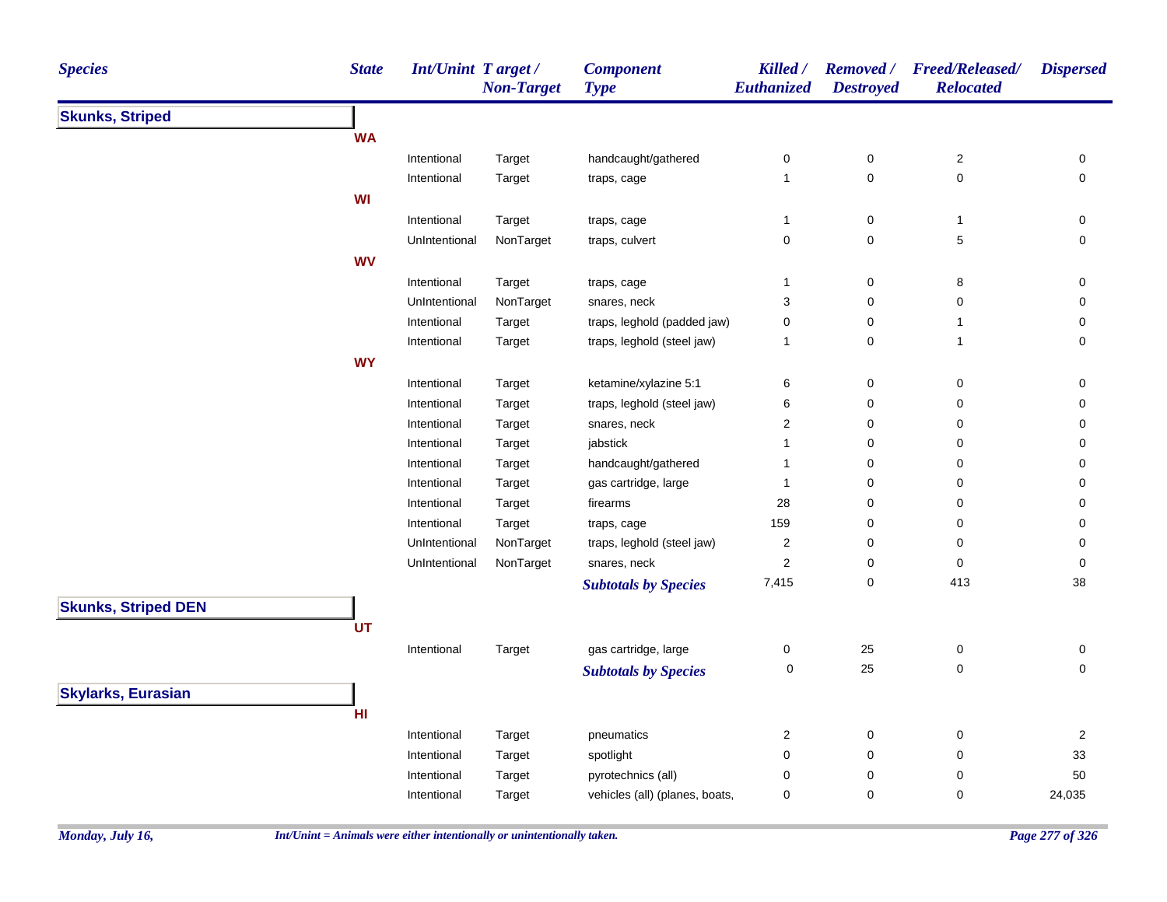| <b>Species</b>             | <b>State</b> | Int/Unint Target/                                                                                                                                                                                                                                                                                                                                                                                                                                                                                                                                                                                                                                                                                                                                                                                                                                                                                                                                                                                                                                                                                                                                                                                                                                                                                                                                                                                                                                                                                                                                                                                                                                                                                                                                                                                                                                                                                                                                                             | <b>Component</b><br><b>Type</b> | Killed /<br>Euthanized | <b>Removed</b> /<br><b>Destroyed</b> | <b>Freed/Released/</b><br><b>Relocated</b> | <b>Dispersed</b>    |
|----------------------------|--------------|-------------------------------------------------------------------------------------------------------------------------------------------------------------------------------------------------------------------------------------------------------------------------------------------------------------------------------------------------------------------------------------------------------------------------------------------------------------------------------------------------------------------------------------------------------------------------------------------------------------------------------------------------------------------------------------------------------------------------------------------------------------------------------------------------------------------------------------------------------------------------------------------------------------------------------------------------------------------------------------------------------------------------------------------------------------------------------------------------------------------------------------------------------------------------------------------------------------------------------------------------------------------------------------------------------------------------------------------------------------------------------------------------------------------------------------------------------------------------------------------------------------------------------------------------------------------------------------------------------------------------------------------------------------------------------------------------------------------------------------------------------------------------------------------------------------------------------------------------------------------------------------------------------------------------------------------------------------------------------|---------------------------------|------------------------|--------------------------------------|--------------------------------------------|---------------------|
| <b>Skunks, Striped</b>     |              | <b>Non-Target</b><br>$\mathbf 2$<br>Intentional<br>handcaught/gathered<br>0<br>$\pmb{0}$<br>Target<br>$\mathbf 0$<br>0<br>Intentional<br>$\mathbf{1}$<br>Target<br>traps, cage<br>Intentional<br>Target<br>$\pmb{0}$<br>$\mathbf{1}$<br>traps, cage<br>$\mathbf{1}$<br>$\pmb{0}$<br>$\pmb{0}$<br>5<br>UnIntentional<br>NonTarget<br>traps, culvert<br>Intentional<br>$\mathsf 0$<br>8<br>Target<br>traps, cage<br>1<br>UnIntentional<br>NonTarget<br>snares, neck<br>3<br>0<br>0<br>traps, leghold (padded jaw)<br>Intentional<br>Target<br>0<br>0<br>$\mathbf{1}$<br>traps, leghold (steel jaw)<br>$\pmb{0}$<br>Intentional<br>Target<br>$\mathbf{1}$<br>1<br>$\mathsf 0$<br>ketamine/xylazine 5:1<br>6<br>$\pmb{0}$<br>Intentional<br>Target<br>traps, leghold (steel jaw)<br>6<br>$\pmb{0}$<br>0<br>Intentional<br>Target<br>$\boldsymbol{2}$<br>$\pmb{0}$<br>$\pmb{0}$<br>Intentional<br>Target<br>snares, neck<br>Intentional<br>jabstick<br>$\pmb{0}$<br>$\pmb{0}$<br>Target<br>$\mathbf{1}$<br>handcaught/gathered<br>Intentional<br>$\pmb{0}$<br>0<br>Target<br>$\mathbf{1}$<br>$\mathbf 0$<br>0<br>Intentional<br>Target<br>gas cartridge, large<br>$\mathbf{1}$<br>firearms<br>28<br>$\pmb{0}$<br>0<br>Intentional<br>Target<br>Intentional<br>159<br>0<br>0<br>Target<br>traps, cage<br>NonTarget<br>$\boldsymbol{2}$<br>UnIntentional<br>traps, leghold (steel jaw)<br>0<br>0<br>$\mathbf 2$<br>$\pmb{0}$<br>$\pmb{0}$<br>UnIntentional<br>NonTarget<br>snares, neck<br>7,415<br>0<br>413<br><b>Subtotals by Species</b><br>gas cartridge, large<br>Intentional<br>0<br>25<br>$\pmb{0}$<br>Target<br>25<br>0<br>$\pmb{0}$<br><b>Subtotals by Species</b><br>Intentional<br>$\overline{\mathbf{c}}$<br>$\pmb{0}$<br>0<br>Target<br>pneumatics<br>spotlight<br>$\pmb{0}$<br>0<br>Intentional<br>$\pmb{0}$<br>Target<br>$\pmb{0}$<br>0<br>Intentional<br>pyrotechnics (all)<br>0<br>Target<br>vehicles (all) (planes, boats,<br>0<br>0<br>0<br>Intentional<br>Target |                                 |                        |                                      |                                            |                     |
|                            | <b>WA</b>    |                                                                                                                                                                                                                                                                                                                                                                                                                                                                                                                                                                                                                                                                                                                                                                                                                                                                                                                                                                                                                                                                                                                                                                                                                                                                                                                                                                                                                                                                                                                                                                                                                                                                                                                                                                                                                                                                                                                                                                               |                                 |                        |                                      |                                            |                     |
|                            |              |                                                                                                                                                                                                                                                                                                                                                                                                                                                                                                                                                                                                                                                                                                                                                                                                                                                                                                                                                                                                                                                                                                                                                                                                                                                                                                                                                                                                                                                                                                                                                                                                                                                                                                                                                                                                                                                                                                                                                                               |                                 |                        |                                      |                                            | 0                   |
|                            |              |                                                                                                                                                                                                                                                                                                                                                                                                                                                                                                                                                                                                                                                                                                                                                                                                                                                                                                                                                                                                                                                                                                                                                                                                                                                                                                                                                                                                                                                                                                                                                                                                                                                                                                                                                                                                                                                                                                                                                                               |                                 |                        |                                      |                                            | $\mathsf{O}\xspace$ |
|                            | WI           |                                                                                                                                                                                                                                                                                                                                                                                                                                                                                                                                                                                                                                                                                                                                                                                                                                                                                                                                                                                                                                                                                                                                                                                                                                                                                                                                                                                                                                                                                                                                                                                                                                                                                                                                                                                                                                                                                                                                                                               |                                 |                        |                                      |                                            |                     |
|                            |              |                                                                                                                                                                                                                                                                                                                                                                                                                                                                                                                                                                                                                                                                                                                                                                                                                                                                                                                                                                                                                                                                                                                                                                                                                                                                                                                                                                                                                                                                                                                                                                                                                                                                                                                                                                                                                                                                                                                                                                               |                                 |                        |                                      |                                            | 0                   |
|                            |              |                                                                                                                                                                                                                                                                                                                                                                                                                                                                                                                                                                                                                                                                                                                                                                                                                                                                                                                                                                                                                                                                                                                                                                                                                                                                                                                                                                                                                                                                                                                                                                                                                                                                                                                                                                                                                                                                                                                                                                               |                                 |                        |                                      |                                            | 0                   |
|                            | <b>WV</b>    |                                                                                                                                                                                                                                                                                                                                                                                                                                                                                                                                                                                                                                                                                                                                                                                                                                                                                                                                                                                                                                                                                                                                                                                                                                                                                                                                                                                                                                                                                                                                                                                                                                                                                                                                                                                                                                                                                                                                                                               |                                 |                        |                                      |                                            |                     |
|                            |              |                                                                                                                                                                                                                                                                                                                                                                                                                                                                                                                                                                                                                                                                                                                                                                                                                                                                                                                                                                                                                                                                                                                                                                                                                                                                                                                                                                                                                                                                                                                                                                                                                                                                                                                                                                                                                                                                                                                                                                               |                                 |                        |                                      |                                            | 0                   |
|                            |              |                                                                                                                                                                                                                                                                                                                                                                                                                                                                                                                                                                                                                                                                                                                                                                                                                                                                                                                                                                                                                                                                                                                                                                                                                                                                                                                                                                                                                                                                                                                                                                                                                                                                                                                                                                                                                                                                                                                                                                               |                                 |                        |                                      |                                            | 0                   |
|                            |              |                                                                                                                                                                                                                                                                                                                                                                                                                                                                                                                                                                                                                                                                                                                                                                                                                                                                                                                                                                                                                                                                                                                                                                                                                                                                                                                                                                                                                                                                                                                                                                                                                                                                                                                                                                                                                                                                                                                                                                               |                                 |                        |                                      |                                            | 0                   |
|                            |              |                                                                                                                                                                                                                                                                                                                                                                                                                                                                                                                                                                                                                                                                                                                                                                                                                                                                                                                                                                                                                                                                                                                                                                                                                                                                                                                                                                                                                                                                                                                                                                                                                                                                                                                                                                                                                                                                                                                                                                               |                                 |                        |                                      |                                            | $\mathbf 0$         |
|                            | <b>WY</b>    |                                                                                                                                                                                                                                                                                                                                                                                                                                                                                                                                                                                                                                                                                                                                                                                                                                                                                                                                                                                                                                                                                                                                                                                                                                                                                                                                                                                                                                                                                                                                                                                                                                                                                                                                                                                                                                                                                                                                                                               |                                 |                        |                                      |                                            |                     |
|                            |              |                                                                                                                                                                                                                                                                                                                                                                                                                                                                                                                                                                                                                                                                                                                                                                                                                                                                                                                                                                                                                                                                                                                                                                                                                                                                                                                                                                                                                                                                                                                                                                                                                                                                                                                                                                                                                                                                                                                                                                               |                                 |                        |                                      |                                            | 0                   |
|                            |              |                                                                                                                                                                                                                                                                                                                                                                                                                                                                                                                                                                                                                                                                                                                                                                                                                                                                                                                                                                                                                                                                                                                                                                                                                                                                                                                                                                                                                                                                                                                                                                                                                                                                                                                                                                                                                                                                                                                                                                               |                                 |                        |                                      |                                            | 0                   |
|                            |              |                                                                                                                                                                                                                                                                                                                                                                                                                                                                                                                                                                                                                                                                                                                                                                                                                                                                                                                                                                                                                                                                                                                                                                                                                                                                                                                                                                                                                                                                                                                                                                                                                                                                                                                                                                                                                                                                                                                                                                               |                                 |                        |                                      |                                            | 0                   |
|                            |              |                                                                                                                                                                                                                                                                                                                                                                                                                                                                                                                                                                                                                                                                                                                                                                                                                                                                                                                                                                                                                                                                                                                                                                                                                                                                                                                                                                                                                                                                                                                                                                                                                                                                                                                                                                                                                                                                                                                                                                               |                                 |                        |                                      |                                            | 0                   |
|                            |              |                                                                                                                                                                                                                                                                                                                                                                                                                                                                                                                                                                                                                                                                                                                                                                                                                                                                                                                                                                                                                                                                                                                                                                                                                                                                                                                                                                                                                                                                                                                                                                                                                                                                                                                                                                                                                                                                                                                                                                               |                                 |                        |                                      |                                            | 0                   |
|                            |              |                                                                                                                                                                                                                                                                                                                                                                                                                                                                                                                                                                                                                                                                                                                                                                                                                                                                                                                                                                                                                                                                                                                                                                                                                                                                                                                                                                                                                                                                                                                                                                                                                                                                                                                                                                                                                                                                                                                                                                               |                                 |                        |                                      |                                            | 0                   |
|                            |              |                                                                                                                                                                                                                                                                                                                                                                                                                                                                                                                                                                                                                                                                                                                                                                                                                                                                                                                                                                                                                                                                                                                                                                                                                                                                                                                                                                                                                                                                                                                                                                                                                                                                                                                                                                                                                                                                                                                                                                               |                                 |                        |                                      |                                            | 0                   |
|                            |              |                                                                                                                                                                                                                                                                                                                                                                                                                                                                                                                                                                                                                                                                                                                                                                                                                                                                                                                                                                                                                                                                                                                                                                                                                                                                                                                                                                                                                                                                                                                                                                                                                                                                                                                                                                                                                                                                                                                                                                               |                                 |                        |                                      |                                            | 0                   |
|                            |              |                                                                                                                                                                                                                                                                                                                                                                                                                                                                                                                                                                                                                                                                                                                                                                                                                                                                                                                                                                                                                                                                                                                                                                                                                                                                                                                                                                                                                                                                                                                                                                                                                                                                                                                                                                                                                                                                                                                                                                               |                                 |                        |                                      |                                            | 0                   |
|                            |              |                                                                                                                                                                                                                                                                                                                                                                                                                                                                                                                                                                                                                                                                                                                                                                                                                                                                                                                                                                                                                                                                                                                                                                                                                                                                                                                                                                                                                                                                                                                                                                                                                                                                                                                                                                                                                                                                                                                                                                               |                                 |                        |                                      |                                            | $\mathsf{O}\xspace$ |
|                            |              |                                                                                                                                                                                                                                                                                                                                                                                                                                                                                                                                                                                                                                                                                                                                                                                                                                                                                                                                                                                                                                                                                                                                                                                                                                                                                                                                                                                                                                                                                                                                                                                                                                                                                                                                                                                                                                                                                                                                                                               |                                 |                        |                                      |                                            | 38                  |
| <b>Skunks, Striped DEN</b> |              |                                                                                                                                                                                                                                                                                                                                                                                                                                                                                                                                                                                                                                                                                                                                                                                                                                                                                                                                                                                                                                                                                                                                                                                                                                                                                                                                                                                                                                                                                                                                                                                                                                                                                                                                                                                                                                                                                                                                                                               |                                 |                        |                                      |                                            |                     |
|                            | UT           |                                                                                                                                                                                                                                                                                                                                                                                                                                                                                                                                                                                                                                                                                                                                                                                                                                                                                                                                                                                                                                                                                                                                                                                                                                                                                                                                                                                                                                                                                                                                                                                                                                                                                                                                                                                                                                                                                                                                                                               |                                 |                        |                                      |                                            |                     |
|                            |              |                                                                                                                                                                                                                                                                                                                                                                                                                                                                                                                                                                                                                                                                                                                                                                                                                                                                                                                                                                                                                                                                                                                                                                                                                                                                                                                                                                                                                                                                                                                                                                                                                                                                                                                                                                                                                                                                                                                                                                               |                                 |                        |                                      |                                            | 0                   |
|                            |              |                                                                                                                                                                                                                                                                                                                                                                                                                                                                                                                                                                                                                                                                                                                                                                                                                                                                                                                                                                                                                                                                                                                                                                                                                                                                                                                                                                                                                                                                                                                                                                                                                                                                                                                                                                                                                                                                                                                                                                               |                                 |                        |                                      |                                            | $\mathbf 0$         |
| <b>Skylarks, Eurasian</b>  |              |                                                                                                                                                                                                                                                                                                                                                                                                                                                                                                                                                                                                                                                                                                                                                                                                                                                                                                                                                                                                                                                                                                                                                                                                                                                                                                                                                                                                                                                                                                                                                                                                                                                                                                                                                                                                                                                                                                                                                                               |                                 |                        |                                      |                                            |                     |
|                            | HI           |                                                                                                                                                                                                                                                                                                                                                                                                                                                                                                                                                                                                                                                                                                                                                                                                                                                                                                                                                                                                                                                                                                                                                                                                                                                                                                                                                                                                                                                                                                                                                                                                                                                                                                                                                                                                                                                                                                                                                                               |                                 |                        |                                      |                                            |                     |
|                            |              |                                                                                                                                                                                                                                                                                                                                                                                                                                                                                                                                                                                                                                                                                                                                                                                                                                                                                                                                                                                                                                                                                                                                                                                                                                                                                                                                                                                                                                                                                                                                                                                                                                                                                                                                                                                                                                                                                                                                                                               |                                 |                        |                                      |                                            | $\overline{2}$      |
|                            |              |                                                                                                                                                                                                                                                                                                                                                                                                                                                                                                                                                                                                                                                                                                                                                                                                                                                                                                                                                                                                                                                                                                                                                                                                                                                                                                                                                                                                                                                                                                                                                                                                                                                                                                                                                                                                                                                                                                                                                                               |                                 |                        |                                      |                                            | 33                  |
|                            |              |                                                                                                                                                                                                                                                                                                                                                                                                                                                                                                                                                                                                                                                                                                                                                                                                                                                                                                                                                                                                                                                                                                                                                                                                                                                                                                                                                                                                                                                                                                                                                                                                                                                                                                                                                                                                                                                                                                                                                                               |                                 |                        |                                      |                                            | 50                  |
|                            |              |                                                                                                                                                                                                                                                                                                                                                                                                                                                                                                                                                                                                                                                                                                                                                                                                                                                                                                                                                                                                                                                                                                                                                                                                                                                                                                                                                                                                                                                                                                                                                                                                                                                                                                                                                                                                                                                                                                                                                                               |                                 |                        |                                      |                                            | 24,035              |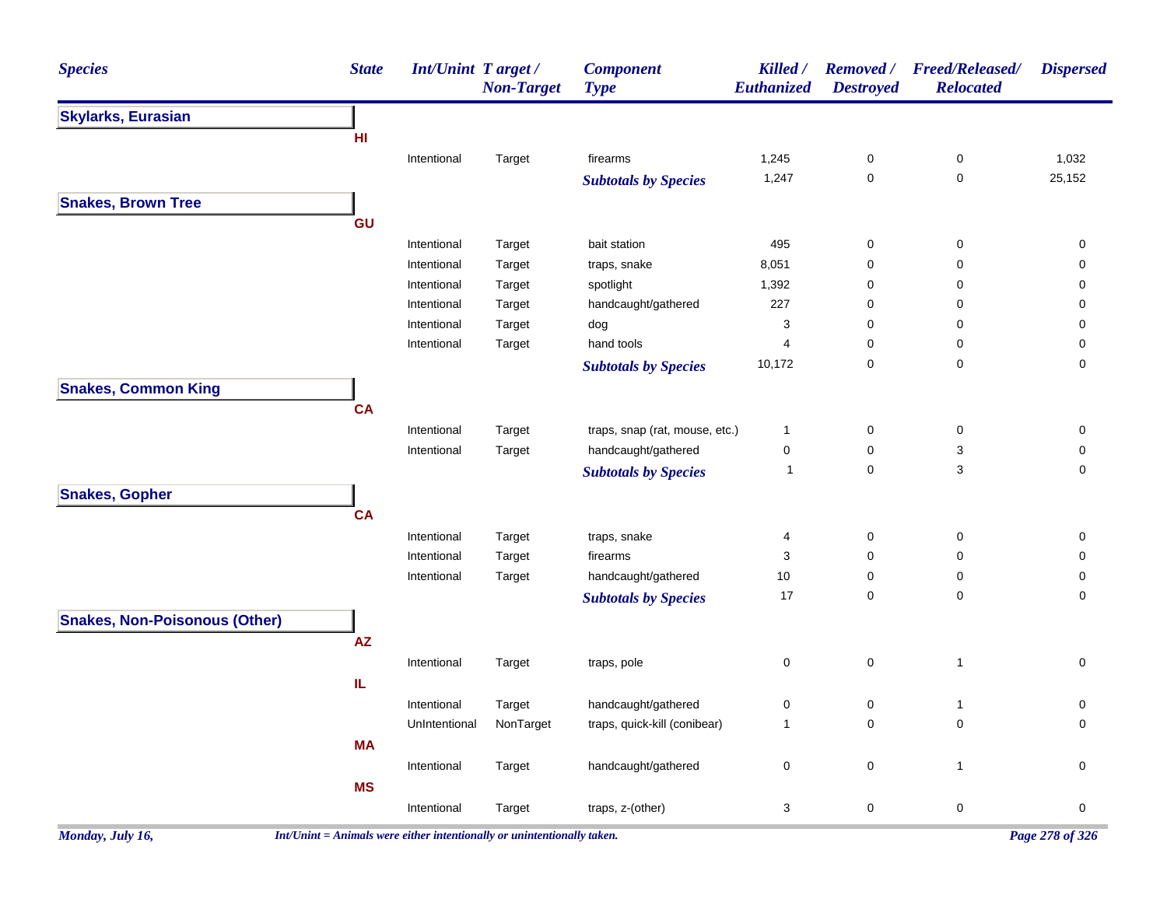| <b>Species</b>                       | <b>State</b> | Int/Unint Target/ | <b>Non-Target</b> | <b>Component</b><br><b>Type</b> | Killed /<br>Euthanized | <b>Removed</b> /<br><b>Destroyed</b> | <b>Freed/Released/</b><br><b>Relocated</b> | <b>Dispersed</b> |
|--------------------------------------|--------------|-------------------|-------------------|---------------------------------|------------------------|--------------------------------------|--------------------------------------------|------------------|
| <b>Skylarks, Eurasian</b>            |              |                   |                   |                                 |                        |                                      |                                            |                  |
|                                      | HI           |                   |                   |                                 |                        |                                      |                                            |                  |
|                                      |              | Intentional       | Target            | firearms                        | 1,245                  | $\boldsymbol{0}$                     | 0                                          | 1,032            |
|                                      |              |                   |                   | <b>Subtotals by Species</b>     | 1,247                  | $\pmb{0}$                            | $\mathsf 0$                                | 25,152           |
| <b>Snakes, Brown Tree</b>            |              |                   |                   |                                 |                        |                                      |                                            |                  |
|                                      | GU           |                   |                   |                                 |                        |                                      |                                            |                  |
|                                      |              | Intentional       | Target            | bait station                    | 495                    | $\boldsymbol{0}$                     | 0                                          | 0                |
|                                      |              | Intentional       | Target            | traps, snake                    | 8,051                  | $\mathbf 0$                          | 0                                          | 0                |
|                                      |              | Intentional       | Target            | spotlight                       | 1,392                  | $\mathbf 0$                          | 0                                          | 0                |
|                                      |              | Intentional       | Target            | handcaught/gathered             | 227                    | 0                                    | 0                                          | 0                |
|                                      |              | Intentional       | Target            | dog                             | 3                      | $\mathbf 0$                          | $\mathbf 0$                                | 0                |
|                                      |              | Intentional       | Target            | hand tools                      | $\overline{4}$         | $\mathbf 0$                          | 0                                          | 0                |
|                                      |              |                   |                   | <b>Subtotals by Species</b>     | 10,172                 | $\mathbf 0$                          | $\mathbf 0$                                | 0                |
| <b>Snakes, Common King</b>           |              |                   |                   |                                 |                        |                                      |                                            |                  |
|                                      | <b>CA</b>    |                   |                   |                                 |                        |                                      |                                            |                  |
|                                      |              | Intentional       | Target            | traps, snap (rat, mouse, etc.)  | $\mathbf{1}$           | $\boldsymbol{0}$                     | 0                                          | $\pmb{0}$        |
|                                      |              | Intentional       | Target            | handcaught/gathered             | $\pmb{0}$              | $\mathbf 0$                          | 3                                          | 0                |
|                                      |              |                   |                   | <b>Subtotals by Species</b>     | $\mathbf{1}$           | $\pmb{0}$                            | 3                                          | 0                |
| <b>Snakes, Gopher</b>                |              |                   |                   |                                 |                        |                                      |                                            |                  |
|                                      | <b>CA</b>    |                   |                   |                                 |                        |                                      |                                            |                  |
|                                      |              | Intentional       | Target            | traps, snake                    | 4                      | $\pmb{0}$                            | $\mathsf 0$                                | $\pmb{0}$        |
|                                      |              | Intentional       | Target            | firearms                        | 3                      | $\mathbf 0$                          | 0                                          | 0                |
|                                      |              | Intentional       | Target            | handcaught/gathered             | 10                     | $\mathbf 0$                          | 0                                          | 0                |
|                                      |              |                   |                   | <b>Subtotals by Species</b>     | 17                     | $\mathbf 0$                          | $\mathbf 0$                                | 0                |
| <b>Snakes, Non-Poisonous (Other)</b> |              |                   |                   |                                 |                        |                                      |                                            |                  |
|                                      | AZ           |                   |                   |                                 |                        |                                      |                                            |                  |
|                                      |              | Intentional       | Target            | traps, pole                     | $\mathbf 0$            | $\pmb{0}$                            | $\mathbf{1}$                               | 0                |
|                                      | IL.          |                   |                   |                                 |                        |                                      |                                            |                  |
|                                      |              | Intentional       | Target            | handcaught/gathered             | $\pmb{0}$              | $\pmb{0}$                            | $\mathbf{1}$                               | 0                |
|                                      |              | UnIntentional     | NonTarget         | traps, quick-kill (conibear)    | $\overline{1}$         | $\pmb{0}$                            | $\mathbf 0$                                | 0                |
|                                      | <b>MA</b>    |                   |                   |                                 |                        |                                      |                                            |                  |
|                                      |              | Intentional       | Target            | handcaught/gathered             | $\mathsf 0$            | $\pmb{0}$                            | $\mathbf{1}$                               | 0                |
|                                      | <b>MS</b>    |                   |                   |                                 |                        |                                      |                                            |                  |
|                                      |              | Intentional       | Target            | traps, z-(other)                | 3                      | $\pmb{0}$                            | $\pmb{0}$                                  | 0                |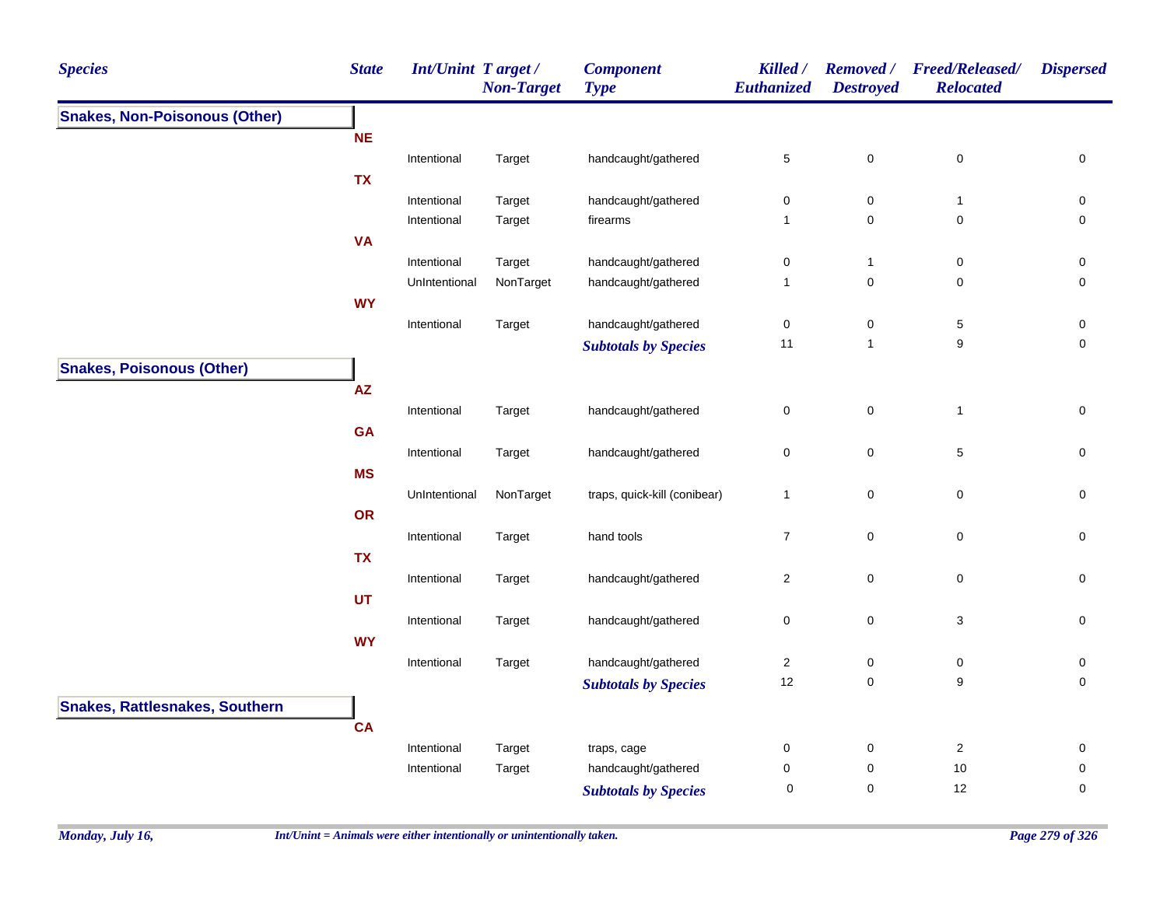| <b>Species</b>                        | <b>State</b>                                                                                                                                                                                                                                                                                                                                                                                                                                                                                                                                                                                                                                                                                                                                                                                                                                                                                                                                                                                                                                                                                                                                                                                                                                                                                                                                                                                                                                                                                                                                    | <b>Non-Target</b> | <b>Component</b><br><b>Type</b> | Killed /<br>Euthanized | <b>Removed</b> /<br><b>Destroyed</b> | <b>Freed/Released/</b><br><b>Relocated</b> | <b>Dispersed</b> |
|---------------------------------------|-------------------------------------------------------------------------------------------------------------------------------------------------------------------------------------------------------------------------------------------------------------------------------------------------------------------------------------------------------------------------------------------------------------------------------------------------------------------------------------------------------------------------------------------------------------------------------------------------------------------------------------------------------------------------------------------------------------------------------------------------------------------------------------------------------------------------------------------------------------------------------------------------------------------------------------------------------------------------------------------------------------------------------------------------------------------------------------------------------------------------------------------------------------------------------------------------------------------------------------------------------------------------------------------------------------------------------------------------------------------------------------------------------------------------------------------------------------------------------------------------------------------------------------------------|-------------------|---------------------------------|------------------------|--------------------------------------|--------------------------------------------|------------------|
| <b>Snakes, Non-Poisonous (Other)</b>  | Int/Unint Target /<br><b>NE</b><br>handcaught/gathered<br>5<br>$\mathbf 0$<br>$\pmb{0}$<br>Intentional<br>Target<br><b>TX</b><br>Intentional<br>Target<br>handcaught/gathered<br>0<br>$\pmb{0}$<br>$\mathbf{1}$<br>Target<br>firearms<br>$\mathbf 0$<br>0<br>Intentional<br>$\mathbf{1}$<br><b>VA</b><br>Intentional<br>handcaught/gathered<br>$\pmb{0}$<br>Target<br>0<br>$\mathbf{1}$<br>NonTarget<br>handcaught/gathered<br>$\mathbf 0$<br>0<br>UnIntentional<br>$\mathbf{1}$<br><b>WY</b><br>handcaught/gathered<br>$\,$ 5 $\,$<br>Intentional<br>Target<br>0<br>0<br>9<br>11<br>$\mathbf{1}$<br><b>Subtotals by Species</b><br>AZ<br>$\pmb{0}$<br>Intentional<br>handcaught/gathered<br>$\pmb{0}$<br>$\mathbf{1}$<br>Target<br>GA<br>handcaught/gathered<br>0<br>$\mathbf 0$<br>5<br>Intentional<br>Target<br><b>MS</b><br>$\mathsf 0$<br>NonTarget<br>traps, quick-kill (conibear)<br>0<br>UnIntentional<br>1<br>OR<br>hand tools<br>$\overline{7}$<br>$\mathbf 0$<br>$\pmb{0}$<br>Intentional<br>Target<br><b>TX</b><br>handcaught/gathered<br>2<br>0<br>0<br>Intentional<br>Target<br><b>UT</b><br>handcaught/gathered<br>$\mathbf 0$<br>3<br>Intentional<br>Target<br>0<br><b>WY</b><br>handcaught/gathered<br>$\overline{c}$<br>$\pmb{0}$<br>Intentional<br>$\pmb{0}$<br>Target<br>12<br>9<br>0<br><b>Subtotals by Species</b><br><b>CA</b><br>Target<br>$\boldsymbol{2}$<br>Intentional<br>traps, cage<br>0<br>$\mathbf 0$<br>Target<br>handcaught/gathered<br>0<br>$\pmb{0}$<br>10<br>Intentional<br>12<br>$\pmb{0}$<br>$\mathbf 0$ |                   |                                 |                        |                                      |                                            |                  |
|                                       |                                                                                                                                                                                                                                                                                                                                                                                                                                                                                                                                                                                                                                                                                                                                                                                                                                                                                                                                                                                                                                                                                                                                                                                                                                                                                                                                                                                                                                                                                                                                                 |                   |                                 |                        |                                      |                                            |                  |
|                                       |                                                                                                                                                                                                                                                                                                                                                                                                                                                                                                                                                                                                                                                                                                                                                                                                                                                                                                                                                                                                                                                                                                                                                                                                                                                                                                                                                                                                                                                                                                                                                 |                   |                                 |                        |                                      |                                            | $\mathsf 0$      |
|                                       |                                                                                                                                                                                                                                                                                                                                                                                                                                                                                                                                                                                                                                                                                                                                                                                                                                                                                                                                                                                                                                                                                                                                                                                                                                                                                                                                                                                                                                                                                                                                                 |                   |                                 |                        |                                      |                                            |                  |
|                                       |                                                                                                                                                                                                                                                                                                                                                                                                                                                                                                                                                                                                                                                                                                                                                                                                                                                                                                                                                                                                                                                                                                                                                                                                                                                                                                                                                                                                                                                                                                                                                 |                   |                                 |                        |                                      |                                            | 0                |
|                                       |                                                                                                                                                                                                                                                                                                                                                                                                                                                                                                                                                                                                                                                                                                                                                                                                                                                                                                                                                                                                                                                                                                                                                                                                                                                                                                                                                                                                                                                                                                                                                 |                   |                                 |                        |                                      |                                            | 0                |
|                                       |                                                                                                                                                                                                                                                                                                                                                                                                                                                                                                                                                                                                                                                                                                                                                                                                                                                                                                                                                                                                                                                                                                                                                                                                                                                                                                                                                                                                                                                                                                                                                 |                   |                                 |                        |                                      |                                            |                  |
|                                       |                                                                                                                                                                                                                                                                                                                                                                                                                                                                                                                                                                                                                                                                                                                                                                                                                                                                                                                                                                                                                                                                                                                                                                                                                                                                                                                                                                                                                                                                                                                                                 |                   |                                 |                        |                                      |                                            | 0                |
|                                       |                                                                                                                                                                                                                                                                                                                                                                                                                                                                                                                                                                                                                                                                                                                                                                                                                                                                                                                                                                                                                                                                                                                                                                                                                                                                                                                                                                                                                                                                                                                                                 |                   |                                 |                        |                                      |                                            | $\mathbf 0$      |
|                                       |                                                                                                                                                                                                                                                                                                                                                                                                                                                                                                                                                                                                                                                                                                                                                                                                                                                                                                                                                                                                                                                                                                                                                                                                                                                                                                                                                                                                                                                                                                                                                 |                   |                                 |                        |                                      |                                            |                  |
|                                       |                                                                                                                                                                                                                                                                                                                                                                                                                                                                                                                                                                                                                                                                                                                                                                                                                                                                                                                                                                                                                                                                                                                                                                                                                                                                                                                                                                                                                                                                                                                                                 |                   |                                 |                        |                                      |                                            | 0                |
|                                       |                                                                                                                                                                                                                                                                                                                                                                                                                                                                                                                                                                                                                                                                                                                                                                                                                                                                                                                                                                                                                                                                                                                                                                                                                                                                                                                                                                                                                                                                                                                                                 |                   |                                 |                        |                                      |                                            | $\mathbf 0$      |
| <b>Snakes, Poisonous (Other)</b>      |                                                                                                                                                                                                                                                                                                                                                                                                                                                                                                                                                                                                                                                                                                                                                                                                                                                                                                                                                                                                                                                                                                                                                                                                                                                                                                                                                                                                                                                                                                                                                 |                   |                                 |                        |                                      |                                            |                  |
|                                       |                                                                                                                                                                                                                                                                                                                                                                                                                                                                                                                                                                                                                                                                                                                                                                                                                                                                                                                                                                                                                                                                                                                                                                                                                                                                                                                                                                                                                                                                                                                                                 |                   |                                 |                        |                                      |                                            |                  |
|                                       |                                                                                                                                                                                                                                                                                                                                                                                                                                                                                                                                                                                                                                                                                                                                                                                                                                                                                                                                                                                                                                                                                                                                                                                                                                                                                                                                                                                                                                                                                                                                                 |                   |                                 |                        |                                      |                                            | $\pmb{0}$        |
|                                       |                                                                                                                                                                                                                                                                                                                                                                                                                                                                                                                                                                                                                                                                                                                                                                                                                                                                                                                                                                                                                                                                                                                                                                                                                                                                                                                                                                                                                                                                                                                                                 |                   |                                 |                        |                                      |                                            |                  |
|                                       |                                                                                                                                                                                                                                                                                                                                                                                                                                                                                                                                                                                                                                                                                                                                                                                                                                                                                                                                                                                                                                                                                                                                                                                                                                                                                                                                                                                                                                                                                                                                                 |                   |                                 |                        |                                      |                                            | $\mathbf 0$      |
|                                       |                                                                                                                                                                                                                                                                                                                                                                                                                                                                                                                                                                                                                                                                                                                                                                                                                                                                                                                                                                                                                                                                                                                                                                                                                                                                                                                                                                                                                                                                                                                                                 |                   |                                 |                        |                                      |                                            |                  |
|                                       |                                                                                                                                                                                                                                                                                                                                                                                                                                                                                                                                                                                                                                                                                                                                                                                                                                                                                                                                                                                                                                                                                                                                                                                                                                                                                                                                                                                                                                                                                                                                                 |                   |                                 |                        |                                      |                                            | 0                |
|                                       |                                                                                                                                                                                                                                                                                                                                                                                                                                                                                                                                                                                                                                                                                                                                                                                                                                                                                                                                                                                                                                                                                                                                                                                                                                                                                                                                                                                                                                                                                                                                                 |                   |                                 |                        |                                      |                                            | $\mathsf 0$      |
|                                       |                                                                                                                                                                                                                                                                                                                                                                                                                                                                                                                                                                                                                                                                                                                                                                                                                                                                                                                                                                                                                                                                                                                                                                                                                                                                                                                                                                                                                                                                                                                                                 |                   |                                 |                        |                                      |                                            |                  |
|                                       |                                                                                                                                                                                                                                                                                                                                                                                                                                                                                                                                                                                                                                                                                                                                                                                                                                                                                                                                                                                                                                                                                                                                                                                                                                                                                                                                                                                                                                                                                                                                                 |                   |                                 |                        |                                      |                                            | 0                |
|                                       |                                                                                                                                                                                                                                                                                                                                                                                                                                                                                                                                                                                                                                                                                                                                                                                                                                                                                                                                                                                                                                                                                                                                                                                                                                                                                                                                                                                                                                                                                                                                                 |                   |                                 |                        |                                      |                                            |                  |
|                                       |                                                                                                                                                                                                                                                                                                                                                                                                                                                                                                                                                                                                                                                                                                                                                                                                                                                                                                                                                                                                                                                                                                                                                                                                                                                                                                                                                                                                                                                                                                                                                 |                   |                                 |                        |                                      |                                            | 0                |
|                                       |                                                                                                                                                                                                                                                                                                                                                                                                                                                                                                                                                                                                                                                                                                                                                                                                                                                                                                                                                                                                                                                                                                                                                                                                                                                                                                                                                                                                                                                                                                                                                 |                   |                                 |                        |                                      |                                            |                  |
|                                       |                                                                                                                                                                                                                                                                                                                                                                                                                                                                                                                                                                                                                                                                                                                                                                                                                                                                                                                                                                                                                                                                                                                                                                                                                                                                                                                                                                                                                                                                                                                                                 |                   |                                 |                        |                                      |                                            | 0                |
|                                       |                                                                                                                                                                                                                                                                                                                                                                                                                                                                                                                                                                                                                                                                                                                                                                                                                                                                                                                                                                                                                                                                                                                                                                                                                                                                                                                                                                                                                                                                                                                                                 |                   |                                 |                        |                                      |                                            | 0                |
| <b>Snakes, Rattlesnakes, Southern</b> |                                                                                                                                                                                                                                                                                                                                                                                                                                                                                                                                                                                                                                                                                                                                                                                                                                                                                                                                                                                                                                                                                                                                                                                                                                                                                                                                                                                                                                                                                                                                                 |                   |                                 |                        |                                      |                                            |                  |
|                                       |                                                                                                                                                                                                                                                                                                                                                                                                                                                                                                                                                                                                                                                                                                                                                                                                                                                                                                                                                                                                                                                                                                                                                                                                                                                                                                                                                                                                                                                                                                                                                 |                   |                                 |                        |                                      |                                            |                  |
|                                       |                                                                                                                                                                                                                                                                                                                                                                                                                                                                                                                                                                                                                                                                                                                                                                                                                                                                                                                                                                                                                                                                                                                                                                                                                                                                                                                                                                                                                                                                                                                                                 |                   |                                 |                        |                                      |                                            | 0                |
|                                       |                                                                                                                                                                                                                                                                                                                                                                                                                                                                                                                                                                                                                                                                                                                                                                                                                                                                                                                                                                                                                                                                                                                                                                                                                                                                                                                                                                                                                                                                                                                                                 |                   |                                 |                        |                                      |                                            | $\pmb{0}$        |
|                                       |                                                                                                                                                                                                                                                                                                                                                                                                                                                                                                                                                                                                                                                                                                                                                                                                                                                                                                                                                                                                                                                                                                                                                                                                                                                                                                                                                                                                                                                                                                                                                 |                   | <b>Subtotals by Species</b>     |                        |                                      |                                            | $\mathbf 0$      |
|                                       |                                                                                                                                                                                                                                                                                                                                                                                                                                                                                                                                                                                                                                                                                                                                                                                                                                                                                                                                                                                                                                                                                                                                                                                                                                                                                                                                                                                                                                                                                                                                                 |                   |                                 |                        |                                      |                                            |                  |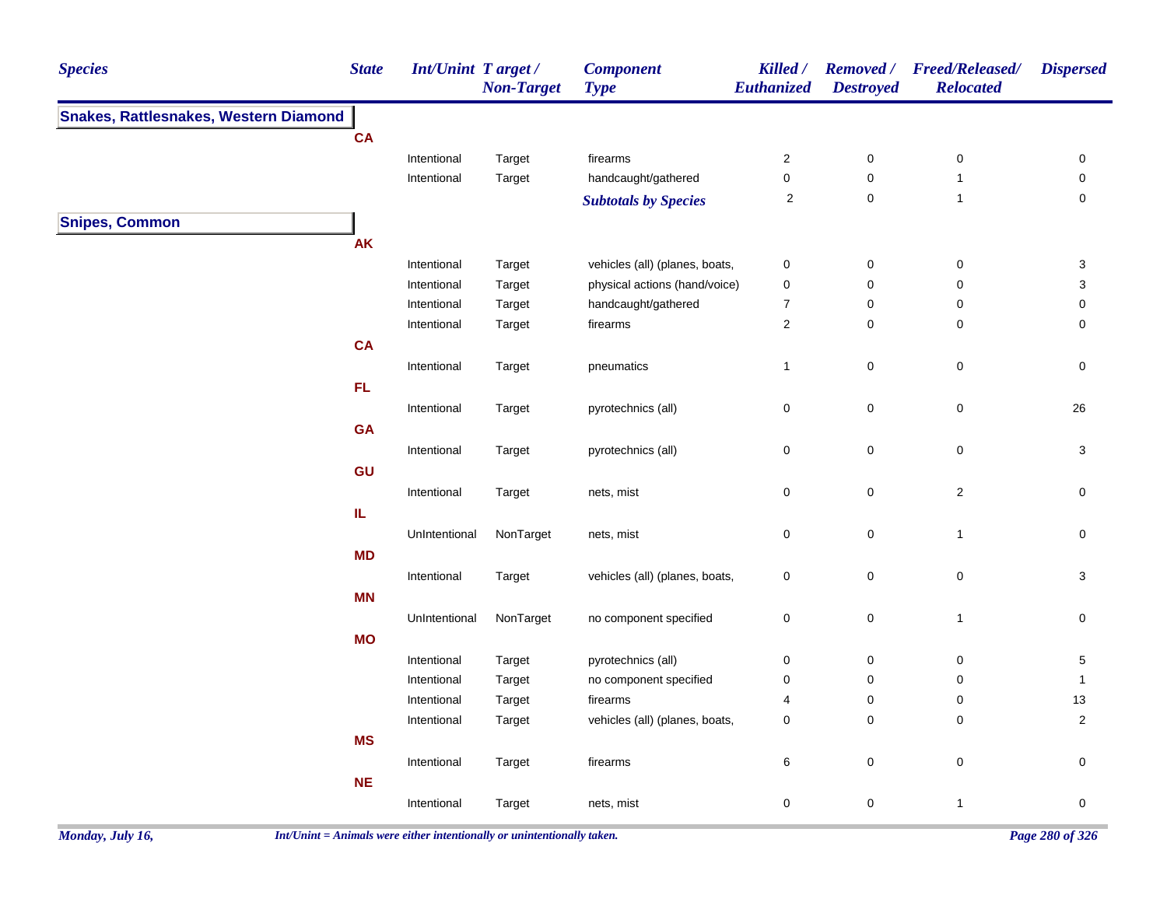| <b>Species</b>                               | <b>State</b>                      | Int/Unint Target / | <b>Non-Target</b> | <b>Component</b><br><b>Type</b> | <b>Killed</b> /<br>Euthanized | <b>Destroyed</b> | Removed / Freed/Released/<br><b>Relocated</b> | <b>Dispersed</b>    |
|----------------------------------------------|-----------------------------------|--------------------|-------------------|---------------------------------|-------------------------------|------------------|-----------------------------------------------|---------------------|
| <b>Snakes, Rattlesnakes, Western Diamond</b> |                                   |                    |                   |                                 |                               |                  |                                               |                     |
|                                              | CA                                |                    |                   |                                 |                               |                  |                                               |                     |
|                                              |                                   | Intentional        | Target            | firearms                        | $\sqrt{2}$                    | $\pmb{0}$        | $\pmb{0}$                                     | 0                   |
|                                              |                                   | Intentional        | Target            | handcaught/gathered             | $\pmb{0}$                     | 0                | $\mathbf{1}$                                  | 0                   |
|                                              |                                   |                    |                   | <b>Subtotals by Species</b>     | 2                             | $\mathbf 0$      | $\mathbf{1}$                                  | 0                   |
| <b>Snipes, Common</b>                        |                                   |                    |                   |                                 |                               |                  |                                               |                     |
|                                              | <b>AK</b>                         |                    |                   |                                 |                               |                  |                                               |                     |
|                                              |                                   | Intentional        | Target            | vehicles (all) (planes, boats,  | $\pmb{0}$                     | $\mathbf 0$      | 0                                             | 3                   |
|                                              |                                   | Intentional        | Target            | physical actions (hand/voice)   | $\pmb{0}$                     | $\mathbf 0$      | 0                                             | 3                   |
|                                              |                                   | Intentional        | Target            | handcaught/gathered             | $\boldsymbol{7}$              | 0                | 0                                             | 0                   |
|                                              |                                   | Intentional        | Target            | firearms                        | $\sqrt{2}$                    | $\mathbf 0$      | 0                                             | 0                   |
|                                              | <b>CA</b>                         |                    |                   |                                 |                               |                  |                                               |                     |
|                                              |                                   | Intentional        | Target            | pneumatics                      | $\mathbf{1}$                  | $\mathbf 0$      | 0                                             | 0                   |
|                                              | FL.                               |                    |                   |                                 |                               |                  |                                               |                     |
|                                              |                                   | Intentional        | Target            | pyrotechnics (all)              | $\pmb{0}$                     | $\mathbf 0$      | $\mathsf 0$                                   | 26                  |
|                                              | <b>GA</b>                         |                    |                   |                                 |                               |                  |                                               |                     |
|                                              |                                   | Intentional        | Target            | pyrotechnics (all)              | $\pmb{0}$                     | $\mathbf 0$      | 0                                             | 3                   |
|                                              | GU                                |                    |                   |                                 |                               |                  |                                               |                     |
|                                              |                                   | Intentional        | Target            | nets, mist                      | $\pmb{0}$                     | $\mathbf 0$      | $\overline{\mathbf{c}}$                       | $\mathsf{O}\xspace$ |
|                                              | $\ensuremath{\mathsf{IL}}\xspace$ |                    |                   |                                 |                               |                  |                                               |                     |
|                                              |                                   | UnIntentional      | NonTarget         | nets, mist                      | $\pmb{0}$                     | $\mathbf 0$      | $\mathbf{1}$                                  | $\mathsf{O}\xspace$ |
|                                              | <b>MD</b>                         |                    |                   |                                 |                               |                  |                                               |                     |
|                                              |                                   |                    |                   | vehicles (all) (planes, boats,  | $\pmb{0}$                     | $\mathbf 0$      | $\mathsf 0$                                   | $\mathbf{3}$        |
|                                              | <b>MN</b>                         | Intentional        | Target            |                                 |                               |                  |                                               |                     |
|                                              |                                   |                    |                   |                                 |                               |                  |                                               |                     |
|                                              |                                   | UnIntentional      | NonTarget         | no component specified          | $\pmb{0}$                     | $\pmb{0}$        | $\overline{1}$                                | $\mathsf{O}\xspace$ |
|                                              | <b>MO</b>                         |                    |                   |                                 |                               |                  |                                               |                     |
|                                              |                                   | Intentional        | Target            | pyrotechnics (all)              | $\pmb{0}$                     | $\pmb{0}$        | $\pmb{0}$                                     | $\,$ 5 $\,$         |
|                                              |                                   | Intentional        | Target            | no component specified          | $\pmb{0}$                     | 0                | 0                                             | $\mathbf{1}$        |
|                                              |                                   | Intentional        | Target            | firearms                        | $\overline{4}$                | 0                | 0                                             | 13                  |
|                                              |                                   | Intentional        | Target            | vehicles (all) (planes, boats,  | $\pmb{0}$                     | 0                | $\mathbf 0$                                   | $\overline{2}$      |
|                                              | <b>MS</b>                         |                    |                   |                                 |                               |                  |                                               |                     |
|                                              |                                   | Intentional        | Target            | firearms                        | 6                             | $\mathbf 0$      | $\pmb{0}$                                     | $\mathsf{O}\xspace$ |
|                                              | <b>NE</b>                         |                    |                   |                                 |                               |                  |                                               |                     |
|                                              |                                   | Intentional        | Target            | nets, mist                      | $\pmb{0}$                     | 0                | $\mathbf{1}$                                  | $\pmb{0}$           |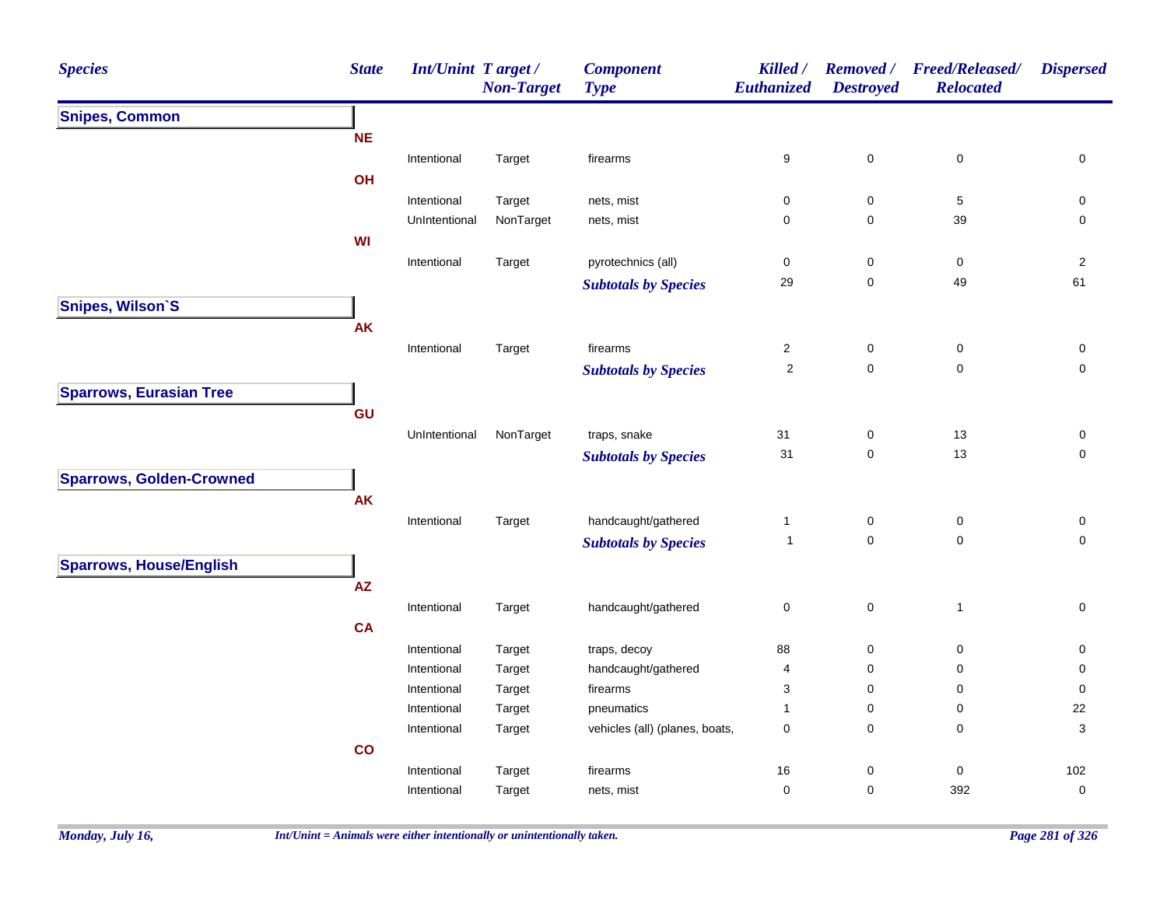| <b>Species</b>                  | <b>State</b>  | Int/Unint Target/          | <b>Non-Target</b> | <b>Component</b><br><b>Type</b>              | Killed /<br>Euthanized | <b>Destroyed</b>    | Removed / Freed/Released/<br><b>Relocated</b> | <b>Dispersed</b> |
|---------------------------------|---------------|----------------------------|-------------------|----------------------------------------------|------------------------|---------------------|-----------------------------------------------|------------------|
| <b>Snipes, Common</b>           |               |                            |                   |                                              |                        |                     |                                               |                  |
|                                 | <b>NE</b>     |                            |                   |                                              |                        |                     |                                               |                  |
|                                 |               | Intentional                | Target            | firearms                                     | 9                      | $\pmb{0}$           | $\pmb{0}$                                     | 0                |
|                                 | OH            |                            |                   |                                              |                        |                     |                                               |                  |
|                                 |               | Intentional                | Target            | nets, mist                                   | 0                      | 0                   | $\sqrt{5}$                                    | 0                |
|                                 |               | UnIntentional              | NonTarget         | nets, mist                                   | 0                      | $\mathbf 0$         | 39                                            | 0                |
|                                 | <b>WI</b>     |                            |                   |                                              |                        |                     |                                               |                  |
|                                 |               | Intentional                | Target            | pyrotechnics (all)                           | $\pmb{0}$              | $\pmb{0}$           | $\mathbf 0$                                   | $\sqrt{2}$       |
|                                 |               |                            |                   | <b>Subtotals by Species</b>                  | 29                     | $\mathbf 0$         | 49                                            | 61               |
| Snipes, Wilson'S                |               |                            |                   |                                              |                        |                     |                                               |                  |
|                                 | <b>AK</b>     |                            |                   |                                              |                        |                     |                                               |                  |
|                                 |               | Intentional                | Target            | firearms                                     | $\overline{2}$         | $\pmb{0}$           | $\mathsf 0$                                   | 0                |
|                                 |               |                            |                   | <b>Subtotals by Species</b>                  | $\sqrt{2}$             | $\mathbf 0$         | $\mathbf 0$                                   | $\mathbf 0$      |
| <b>Sparrows, Eurasian Tree</b>  |               |                            |                   |                                              |                        |                     |                                               |                  |
|                                 | GU            |                            |                   |                                              |                        |                     |                                               |                  |
|                                 |               | UnIntentional              | NonTarget         | traps, snake                                 | 31                     | 0                   | 13                                            | 0                |
|                                 |               |                            |                   | <b>Subtotals by Species</b>                  | 31                     | $\mathsf{O}\xspace$ | $13$                                          | 0                |
| <b>Sparrows, Golden-Crowned</b> |               |                            |                   |                                              |                        |                     |                                               |                  |
|                                 | <b>AK</b>     |                            |                   |                                              |                        |                     |                                               |                  |
|                                 |               | Intentional                | Target            | handcaught/gathered                          | $\mathbf{1}$           | $\pmb{0}$           | $\pmb{0}$                                     | $\pmb{0}$        |
|                                 |               |                            |                   | <b>Subtotals by Species</b>                  | $\mathbf{1}$           | $\mathbf 0$         | $\pmb{0}$                                     | $\mathbf 0$      |
|                                 |               |                            |                   |                                              |                        |                     |                                               |                  |
| <b>Sparrows, House/English</b>  |               |                            |                   |                                              |                        |                     |                                               |                  |
|                                 | ${\sf AZ}$    |                            |                   |                                              |                        |                     |                                               |                  |
|                                 |               | Intentional                | Target            | handcaught/gathered                          | $\pmb{0}$              | $\pmb{0}$           | $\overline{1}$                                | 0                |
|                                 | <b>CA</b>     |                            |                   |                                              |                        |                     |                                               |                  |
|                                 |               | Intentional                | Target            | traps, decoy                                 | 88                     | $\mathbf 0$         | 0                                             | 0                |
|                                 |               | Intentional                | Target            | handcaught/gathered                          | 4                      | $\mathbf 0$         | 0                                             | 0                |
|                                 |               | Intentional<br>Intentional | Target            | firearms                                     | 3<br>$\mathbf{1}$      | 0<br>0              | 0<br>0                                        | 0<br>22          |
|                                 |               | Intentional                | Target<br>Target  | pneumatics<br>vehicles (all) (planes, boats, | $\mathbf 0$            | $\mathbf 0$         | 0                                             | 3                |
|                                 | $\mathsf{co}$ |                            |                   |                                              |                        |                     |                                               |                  |
|                                 |               |                            |                   |                                              |                        | 0                   |                                               | 102              |
|                                 |               | Intentional                | Target            | firearms                                     | 16<br>$\pmb{0}$        | $\mathbf 0$         | 0<br>392                                      | $\mathbf 0$      |
|                                 |               | Intentional                | Target            | nets, mist                                   |                        |                     |                                               |                  |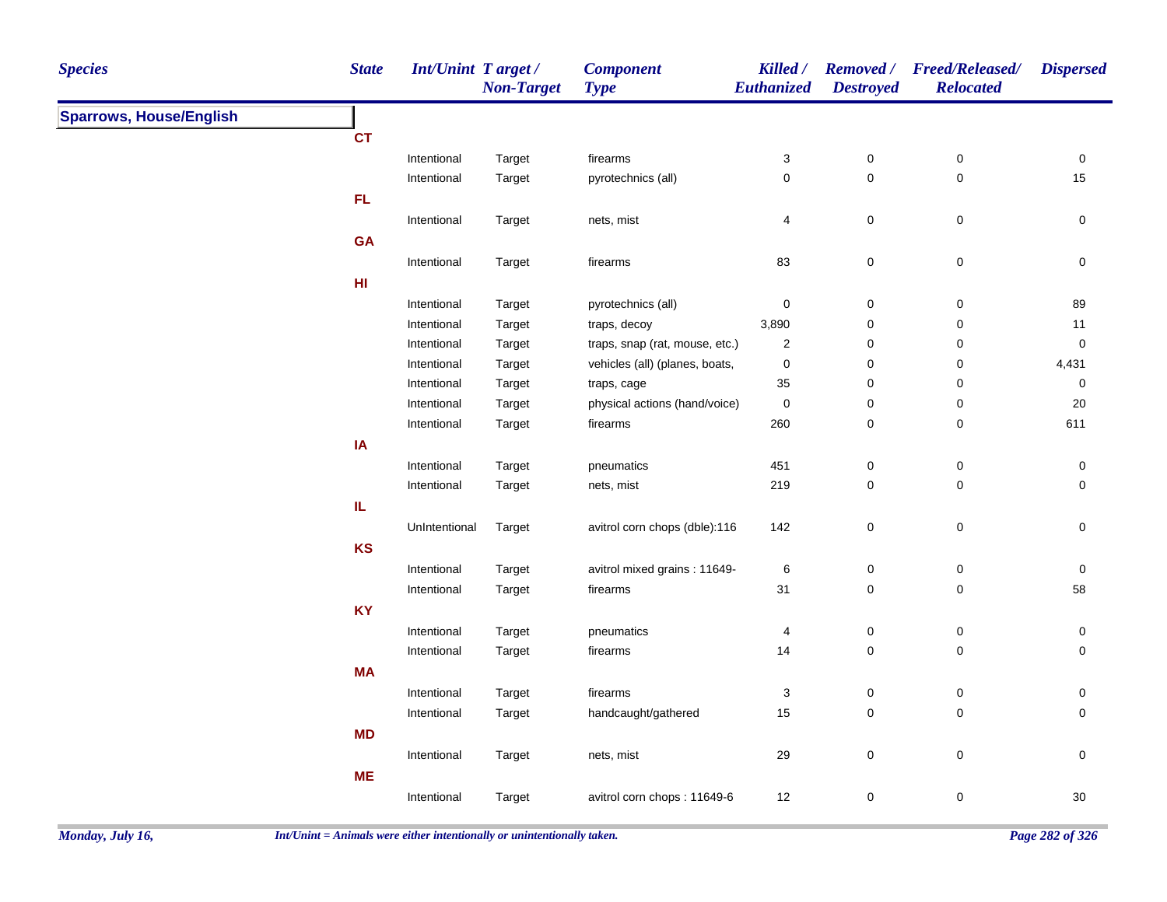| <b>Species</b>                 | <b>State</b>  | Int/Unint Target /<br><b>Non-Target</b> | <b>Component</b><br><b>Type</b> | Killed /<br>Euthanized | <b>Destroyed</b> | Removed / Freed/Released/<br><b>Relocated</b> | <b>Dispersed</b> |
|--------------------------------|---------------|-----------------------------------------|---------------------------------|------------------------|------------------|-----------------------------------------------|------------------|
| <b>Sparrows, House/English</b> |               |                                         |                                 |                        |                  |                                               |                  |
|                                | <b>CT</b>     |                                         |                                 |                        |                  |                                               |                  |
|                                | Intentional   | Target                                  | firearms                        | 3                      | $\mathbf 0$      | $\mathbf 0$                                   | $\pmb{0}$        |
|                                | Intentional   | Target                                  | pyrotechnics (all)              | $\mathbf 0$            | $\mathsf 0$      | $\pmb{0}$                                     | 15               |
|                                | FL            |                                         |                                 |                        |                  |                                               |                  |
|                                | Intentional   | Target                                  | nets, mist                      | 4                      | $\pmb{0}$        | $\pmb{0}$                                     | $\pmb{0}$        |
|                                | <b>GA</b>     |                                         |                                 |                        |                  |                                               |                  |
|                                | Intentional   | Target                                  | firearms                        | 83                     | $\pmb{0}$        | $\pmb{0}$                                     | $\pmb{0}$        |
|                                | HI            |                                         |                                 |                        |                  |                                               |                  |
|                                | Intentional   | Target                                  | pyrotechnics (all)              | $\pmb{0}$              | $\mathsf 0$      | $\pmb{0}$                                     | 89               |
|                                | Intentional   | Target                                  | traps, decoy                    | 3,890                  | $\pmb{0}$        | $\pmb{0}$                                     | 11               |
|                                | Intentional   | Target                                  | traps, snap (rat, mouse, etc.)  | 2                      | 0                | $\pmb{0}$                                     | $\mathbf 0$      |
|                                | Intentional   | Target                                  | vehicles (all) (planes, boats,  | 0                      | 0                | $\mathbf 0$                                   | 4,431            |
|                                | Intentional   | Target                                  | traps, cage                     | 35                     | $\pmb{0}$        | $\pmb{0}$                                     | $\mathbf 0$      |
|                                | Intentional   | Target                                  | physical actions (hand/voice)   | $\mathbf 0$            | $\pmb{0}$        | 0                                             | 20               |
|                                | Intentional   | Target                                  | firearms                        | 260                    | $\pmb{0}$        | $\mathbf 0$                                   | 611              |
|                                | IA            |                                         |                                 |                        |                  |                                               |                  |
|                                | Intentional   | Target                                  | pneumatics                      | 451                    | 0                | $\mathbf 0$                                   | $\mathbf 0$      |
|                                | Intentional   | Target                                  | nets, mist                      | 219                    | $\mathbf 0$      | 0                                             | 0                |
|                                | IL            |                                         |                                 |                        |                  |                                               |                  |
|                                | UnIntentional | Target                                  | avitrol corn chops (dble):116   | 142                    | $\mathsf 0$      | $\pmb{0}$                                     | $\mathsf 0$      |
|                                | <b>KS</b>     |                                         |                                 |                        |                  |                                               |                  |
|                                | Intentional   | Target                                  | avitrol mixed grains: 11649-    | 6                      | $\mathbf 0$      | $\boldsymbol{0}$                              | $\pmb{0}$        |
|                                | Intentional   | Target                                  | firearms                        | 31                     | $\pmb{0}$        | $\pmb{0}$                                     | 58               |
|                                | <b>KY</b>     |                                         |                                 |                        |                  |                                               |                  |
|                                | Intentional   | Target                                  | pneumatics                      | 4                      | $\mathbf 0$      | $\mathbf 0$                                   | $\pmb{0}$        |
|                                | Intentional   | Target                                  | firearms                        | 14                     | $\pmb{0}$        | 0                                             | 0                |
|                                | <b>MA</b>     |                                         |                                 |                        |                  |                                               |                  |
|                                | Intentional   | Target                                  | firearms                        | 3                      | $\mathbf 0$      | 0                                             | 0                |
|                                | Intentional   | Target                                  | handcaught/gathered             | 15                     | $\mathsf 0$      | 0                                             | 0                |
|                                | <b>MD</b>     |                                         |                                 |                        |                  |                                               |                  |
|                                | Intentional   | Target                                  | nets, mist                      | 29                     | $\pmb{0}$        | 0                                             | 0                |
|                                | <b>ME</b>     |                                         |                                 |                        |                  |                                               |                  |
|                                | Intentional   | Target                                  | avitrol corn chops: 11649-6     | 12                     | $\mathbf 0$      | $\pmb{0}$                                     | $30\,$           |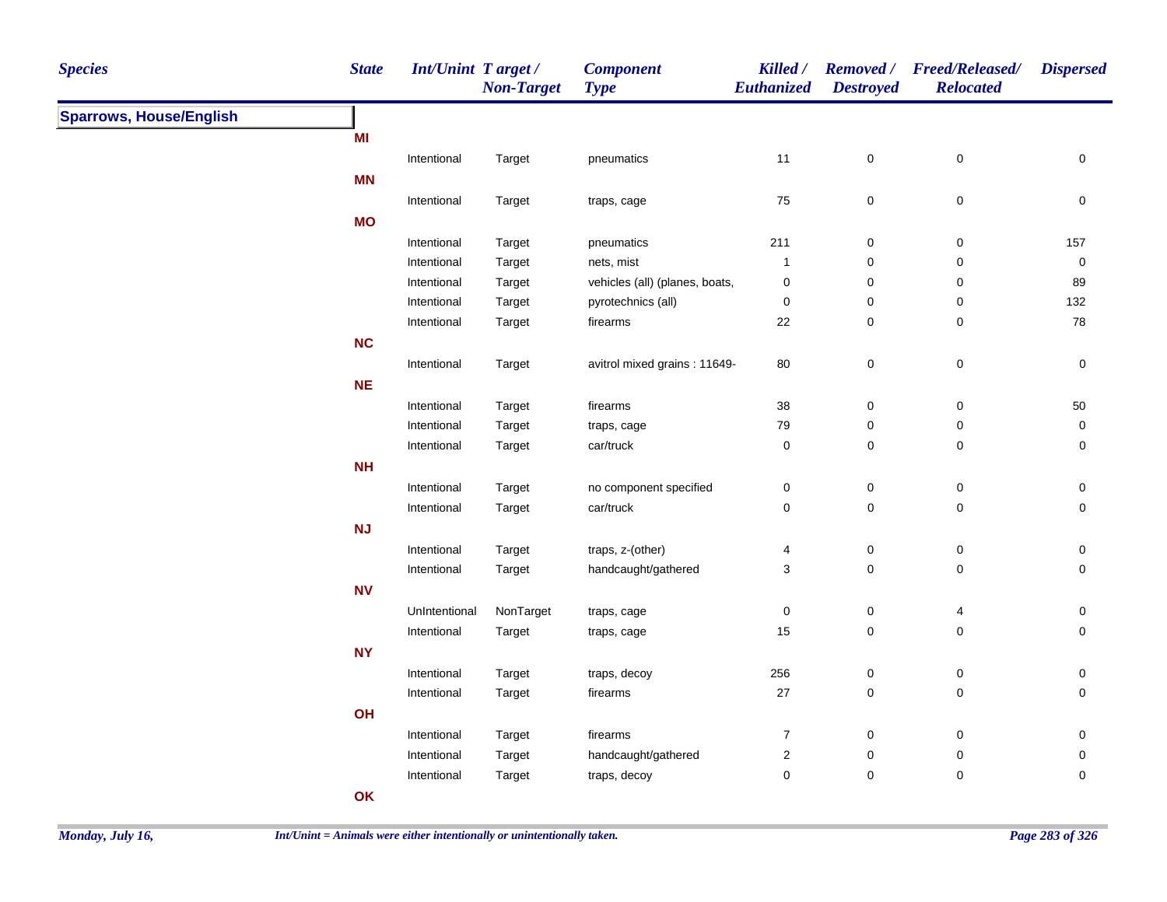| <b>Species</b>                 | <b>State</b> | <b>Int/Unint Target/</b> | <b>Non-Target</b> | <b>Component</b><br><b>Type</b> | Killed /<br>Euthanized | <b>Destroyed</b> | Removed / Freed/Released/<br><b>Relocated</b> | <b>Dispersed</b> |
|--------------------------------|--------------|--------------------------|-------------------|---------------------------------|------------------------|------------------|-----------------------------------------------|------------------|
| <b>Sparrows, House/English</b> |              |                          |                   |                                 |                        |                  |                                               |                  |
|                                | MI           |                          |                   |                                 |                        |                  |                                               |                  |
|                                |              | Intentional              | Target            | pneumatics                      | 11                     | $\mathbf 0$      | $\boldsymbol{0}$                              | $\pmb{0}$        |
|                                | <b>MN</b>    |                          |                   |                                 |                        |                  |                                               |                  |
|                                |              | Intentional              | Target            | traps, cage                     | 75                     | 0                | $\mathbf 0$                                   | 0                |
|                                | <b>MO</b>    |                          |                   |                                 |                        |                  |                                               |                  |
|                                |              | Intentional              | Target            | pneumatics                      | 211                    | $\mathbf 0$      | $\mathbf 0$                                   | 157              |
|                                |              | Intentional              | Target            | nets, mist                      | $\mathbf{1}$           | $\mathbf 0$      | $\mathbf 0$                                   | $\mathsf 0$      |
|                                |              | Intentional              | Target            | vehicles (all) (planes, boats,  | $\pmb{0}$              | $\pmb{0}$        | $\boldsymbol{0}$                              | 89               |
|                                |              | Intentional              | Target            | pyrotechnics (all)              | 0                      | $\mathbf 0$      | $\mathbf 0$                                   | 132              |
|                                |              | Intentional              | Target            | firearms                        | 22                     | 0                | $\mathbf 0$                                   | ${\bf 78}$       |
|                                | <b>NC</b>    |                          |                   |                                 |                        |                  |                                               |                  |
|                                |              | Intentional              | Target            | avitrol mixed grains: 11649-    | 80                     | $\pmb{0}$        | $\pmb{0}$                                     | $\mathsf 0$      |
|                                | NE           |                          |                   |                                 |                        |                  |                                               |                  |
|                                |              | Intentional              | Target            | firearms                        | 38                     | 0                | $\boldsymbol{0}$                              | $50\,$           |
|                                |              | Intentional              | Target            | traps, cage                     | 79                     | 0                | $\boldsymbol{0}$                              | 0                |
|                                |              | Intentional              | Target            | car/truck                       | 0                      | 0                | $\pmb{0}$                                     | 0                |
|                                | <b>NH</b>    |                          |                   |                                 |                        |                  |                                               |                  |
|                                |              | Intentional              | Target            | no component specified          | 0                      | $\boldsymbol{0}$ | $\boldsymbol{0}$                              | 0                |
|                                |              | Intentional              | Target            | car/truck                       | 0                      | $\mathbf 0$      | $\mathbf 0$                                   | $\mathbf 0$      |
|                                | <b>NJ</b>    |                          |                   |                                 |                        |                  |                                               |                  |
|                                |              | Intentional              | Target            | traps, z-(other)                | 4                      | $\mathbf 0$      | $\mathbf 0$                                   | 0                |
|                                |              | Intentional              | Target            | handcaught/gathered             | 3                      | $\mathbf 0$      | $\mathbf 0$                                   | $\mathbf 0$      |
|                                | <b>NV</b>    |                          |                   |                                 |                        |                  |                                               |                  |
|                                |              | UnIntentional            | NonTarget         | traps, cage                     | $\mathsf 0$            | $\mathbf 0$      | 4                                             | $\mathsf 0$      |
|                                |              | Intentional              | Target            | traps, cage                     | 15                     | $\pmb{0}$        | $\mathsf 0$                                   | $\mathbf 0$      |
|                                | <b>NY</b>    |                          |                   |                                 |                        |                  |                                               |                  |
|                                |              | Intentional              | Target            | traps, decoy                    | 256                    | $\mathbf 0$      | $\pmb{0}$                                     | $\pmb{0}$        |
|                                |              | Intentional              | Target            | firearms                        | $27\,$                 | $\pmb{0}$        | $\mathsf 0$                                   | $\pmb{0}$        |
|                                | OH           |                          |                   |                                 |                        |                  |                                               |                  |
|                                |              | Intentional              | Target            | firearms                        | $\boldsymbol{7}$       | $\pmb{0}$        | $\boldsymbol{0}$                              | $\pmb{0}$        |
|                                |              | Intentional              | Target            | handcaught/gathered             | $\sqrt{2}$             | 0                | $\pmb{0}$                                     | 0                |
|                                |              | Intentional              | Target            | traps, decoy                    | 0                      | 0                | $\mathbf 0$                                   | 0                |
|                                | OK           |                          |                   |                                 |                        |                  |                                               |                  |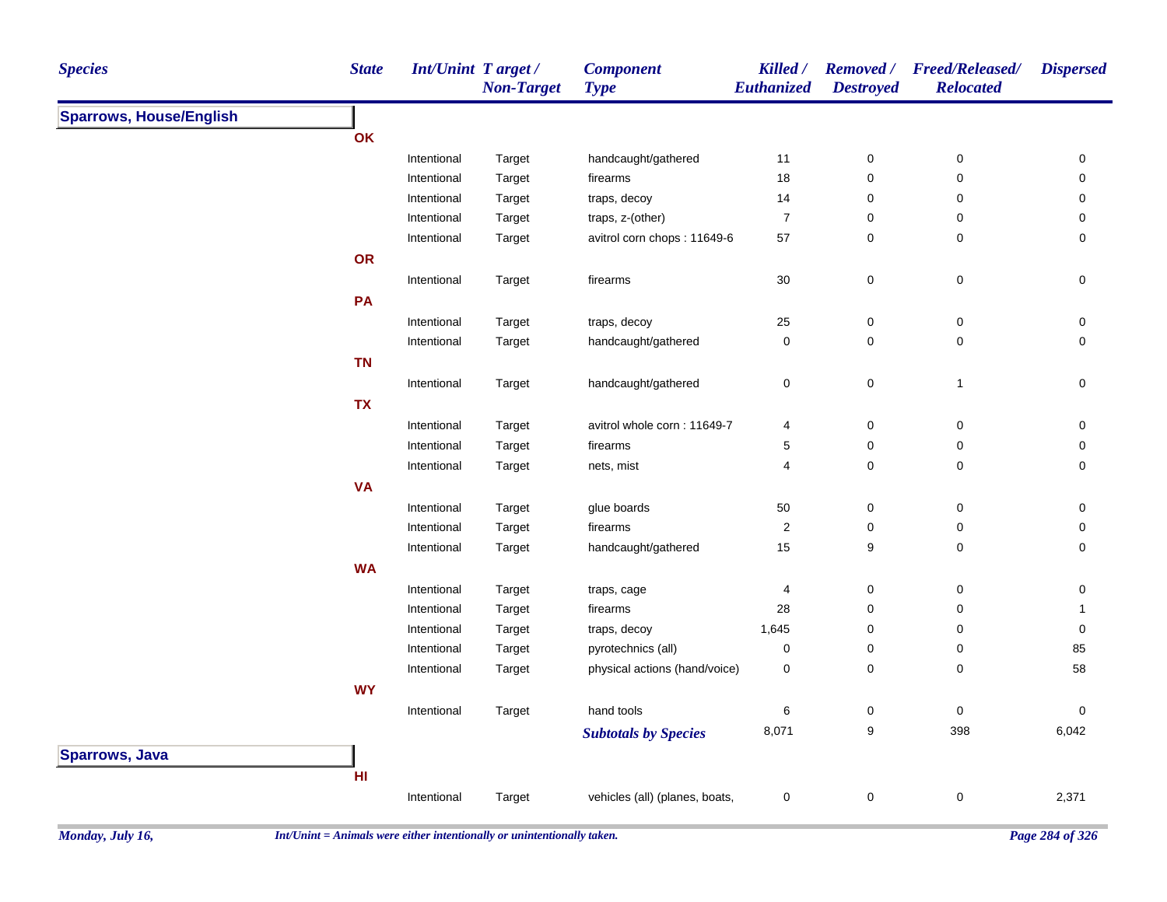| <b>Species</b>                 | <b>State</b> | <b>Int/Unint Target/</b> | <b>Non-Target</b> | <b>Component</b><br><b>Type</b> | Killed /<br>Euthanized | <b>Removed</b> /<br><b>Destroyed</b> | <b>Freed/Released/</b><br><b>Relocated</b>                                                                                                                                                                                         | <b>Dispersed</b> |
|--------------------------------|--------------|--------------------------|-------------------|---------------------------------|------------------------|--------------------------------------|------------------------------------------------------------------------------------------------------------------------------------------------------------------------------------------------------------------------------------|------------------|
| <b>Sparrows, House/English</b> |              |                          |                   |                                 |                        |                                      |                                                                                                                                                                                                                                    |                  |
|                                | OK           |                          |                   |                                 |                        |                                      | $\mathsf 0$<br>0<br>0<br>$\pmb{0}$<br>$\pmb{0}$<br>$\pmb{0}$<br>0<br>0<br>$\mathbf{1}$<br>$\pmb{0}$<br>$\pmb{0}$<br>$\pmb{0}$<br>$\pmb{0}$<br>$\pmb{0}$<br>0<br>0<br>0<br>0<br>$\pmb{0}$<br>0<br>$\mathsf 0$<br>398<br>$\mathsf 0$ |                  |
|                                |              | Intentional              | Target            | handcaught/gathered             | 11                     | $\pmb{0}$                            |                                                                                                                                                                                                                                    | 0                |
|                                |              | Intentional              | Target            | firearms                        | $18$                   | $\pmb{0}$                            |                                                                                                                                                                                                                                    | 0                |
|                                |              | Intentional              | Target            | traps, decoy                    | 14                     | $\mathbf 0$                          |                                                                                                                                                                                                                                    | 0                |
|                                |              | Intentional              | Target            | traps, z-(other)                | $\overline{7}$         | $\pmb{0}$                            |                                                                                                                                                                                                                                    | 0                |
|                                |              | Intentional              | Target            | avitrol corn chops: 11649-6     | 57                     | $\pmb{0}$                            |                                                                                                                                                                                                                                    | 0                |
|                                | OR           |                          |                   |                                 |                        |                                      |                                                                                                                                                                                                                                    |                  |
|                                |              | Intentional              | Target            | firearms                        | 30                     | $\pmb{0}$                            |                                                                                                                                                                                                                                    | 0                |
|                                | PA           |                          |                   |                                 |                        |                                      |                                                                                                                                                                                                                                    |                  |
|                                |              | Intentional              | Target            | traps, decoy                    | 25                     | $\pmb{0}$                            |                                                                                                                                                                                                                                    | 0                |
|                                |              | Intentional              | Target            | handcaught/gathered             | $\pmb{0}$              | $\mathbf 0$                          |                                                                                                                                                                                                                                    | 0                |
|                                | <b>TN</b>    |                          |                   |                                 |                        |                                      |                                                                                                                                                                                                                                    |                  |
|                                |              | Intentional              | Target            | handcaught/gathered             | $\pmb{0}$              | $\pmb{0}$                            |                                                                                                                                                                                                                                    | 0                |
|                                | <b>TX</b>    |                          |                   |                                 |                        |                                      |                                                                                                                                                                                                                                    |                  |
|                                |              | Intentional              | Target            | avitrol whole corn: 11649-7     | 4                      | $\pmb{0}$                            |                                                                                                                                                                                                                                    | 0                |
|                                |              | Intentional              | Target            | firearms                        | $\,$ 5 $\,$            | $\pmb{0}$                            |                                                                                                                                                                                                                                    | 0                |
|                                |              | Intentional              | Target            | nets, mist                      | $\overline{4}$         | $\mathbf 0$                          |                                                                                                                                                                                                                                    | 0                |
|                                | <b>VA</b>    |                          |                   |                                 |                        |                                      |                                                                                                                                                                                                                                    |                  |
|                                |              | Intentional              | Target            | glue boards                     | 50                     | $\pmb{0}$                            |                                                                                                                                                                                                                                    | 0                |
|                                |              | Intentional              | Target            | firearms                        | $\sqrt{2}$             | $\pmb{0}$                            |                                                                                                                                                                                                                                    | 0                |
|                                |              | Intentional              | Target            | handcaught/gathered             | $15\,$                 | $\boldsymbol{9}$                     |                                                                                                                                                                                                                                    | 0                |
|                                | <b>WA</b>    |                          |                   |                                 |                        |                                      |                                                                                                                                                                                                                                    |                  |
|                                |              | Intentional              | Target            | traps, cage                     | $\overline{4}$         | $\pmb{0}$                            |                                                                                                                                                                                                                                    | 0                |
|                                |              | Intentional              | Target            | firearms                        | 28                     | $\pmb{0}$                            |                                                                                                                                                                                                                                    | $\mathbf{1}$     |
|                                |              | Intentional              | Target            | traps, decoy                    | 1,645                  | $\pmb{0}$                            |                                                                                                                                                                                                                                    | $\pmb{0}$        |
|                                |              | Intentional              | Target            | pyrotechnics (all)              | $\pmb{0}$              | $\pmb{0}$                            |                                                                                                                                                                                                                                    | 85               |
|                                |              | Intentional              | Target            | physical actions (hand/voice)   | 0                      | $\pmb{0}$                            |                                                                                                                                                                                                                                    | 58               |
|                                | <b>WY</b>    |                          |                   |                                 |                        |                                      |                                                                                                                                                                                                                                    |                  |
|                                |              | Intentional              | Target            | hand tools                      | $\,6$                  | $\pmb{0}$                            |                                                                                                                                                                                                                                    | $\pmb{0}$        |
|                                |              |                          |                   |                                 | 8,071                  | $\boldsymbol{9}$                     |                                                                                                                                                                                                                                    | 6,042            |
|                                |              |                          |                   | <b>Subtotals by Species</b>     |                        |                                      |                                                                                                                                                                                                                                    |                  |
| <b>Sparrows, Java</b>          |              |                          |                   |                                 |                        |                                      |                                                                                                                                                                                                                                    |                  |
|                                | HI           |                          |                   |                                 |                        |                                      |                                                                                                                                                                                                                                    |                  |
|                                |              | Intentional              | Target            | vehicles (all) (planes, boats,  | $\mathsf 0$            | $\pmb{0}$                            |                                                                                                                                                                                                                                    | 2,371            |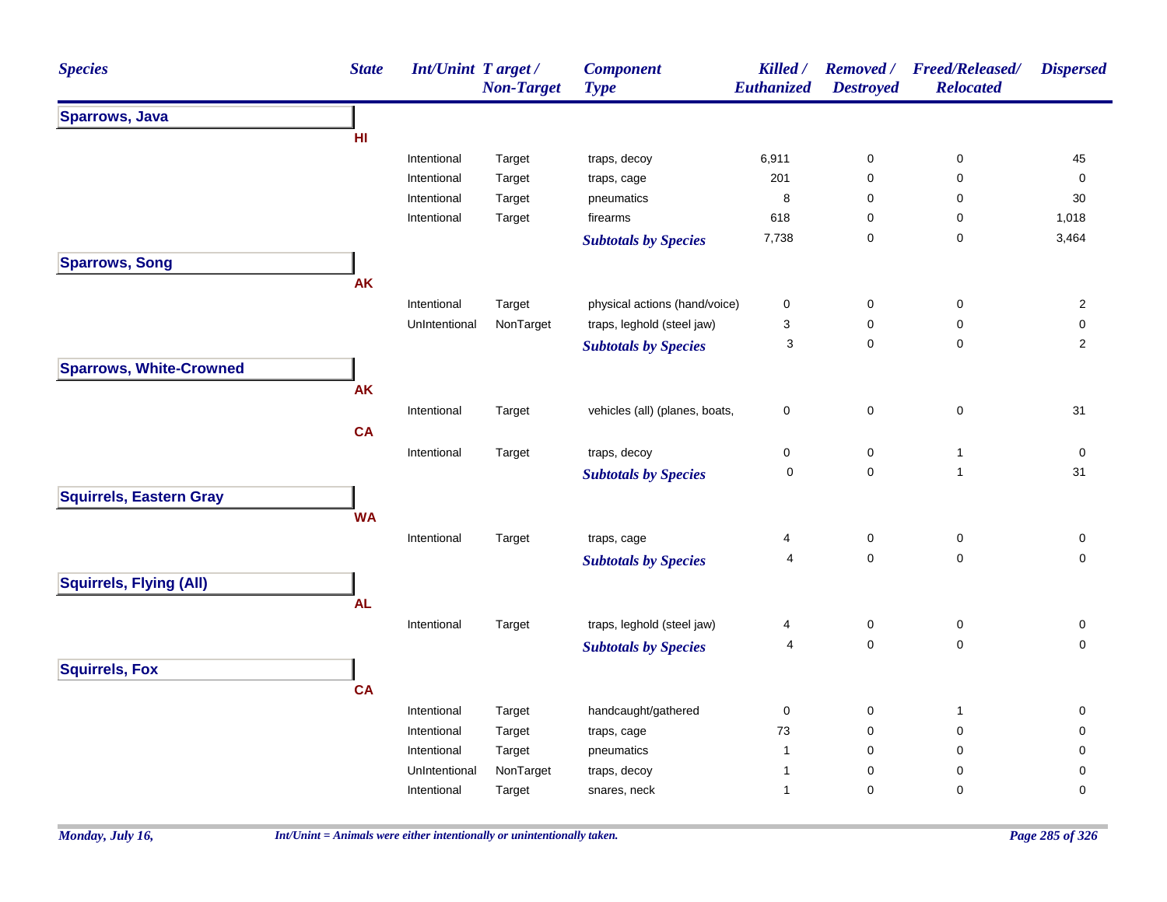| <b>Species</b>                 | <b>State</b> | <b>Int/Unint Target/</b> | <b>Non-Target</b> | <b>Component</b><br><b>Type</b> | Killed /<br><b>Euthanized</b> | Removed /<br><b>Destroyed</b> | <b>Freed/Released/</b><br><b>Relocated</b> | <b>Dispersed</b> |
|--------------------------------|--------------|--------------------------|-------------------|---------------------------------|-------------------------------|-------------------------------|--------------------------------------------|------------------|
| <b>Sparrows, Java</b>          |              |                          |                   |                                 |                               |                               |                                            |                  |
|                                | HI           |                          |                   |                                 |                               |                               |                                            |                  |
|                                |              | Intentional              | Target            | traps, decoy                    | 6,911                         | 0                             | $\pmb{0}$                                  | 45               |
|                                |              | Intentional              | Target            | traps, cage                     | 201                           | $\mathsf 0$                   | 0                                          | 0                |
|                                |              | Intentional              | Target            | pneumatics                      | $\bf8$                        | 0                             | 0                                          | $30\,$           |
|                                |              | Intentional              | Target            | firearms                        | 618                           | $\pmb{0}$                     | 0                                          | 1,018            |
|                                |              |                          |                   | <b>Subtotals by Species</b>     | 7,738                         | 0                             | 0                                          | 3,464            |
| <b>Sparrows, Song</b>          |              |                          |                   |                                 |                               |                               |                                            |                  |
|                                | <b>AK</b>    |                          |                   |                                 |                               |                               |                                            |                  |
|                                |              | Intentional              | Target            | physical actions (hand/voice)   | 0                             | $\mathsf 0$                   | $\pmb{0}$                                  | $\overline{2}$   |
|                                |              | UnIntentional            | NonTarget         | traps, leghold (steel jaw)      | 3                             | $\mathbf 0$                   | $\pmb{0}$                                  | $\pmb{0}$        |
|                                |              |                          |                   | <b>Subtotals by Species</b>     | 3                             | $\mathbf 0$                   | $\pmb{0}$                                  | $\overline{2}$   |
| <b>Sparrows, White-Crowned</b> |              |                          |                   |                                 |                               |                               |                                            |                  |
|                                | <b>AK</b>    |                          |                   |                                 |                               |                               |                                            |                  |
|                                |              | Intentional              | Target            | vehicles (all) (planes, boats,  | 0                             | $\pmb{0}$                     | $\pmb{0}$                                  | 31               |
|                                | <b>CA</b>    |                          |                   |                                 |                               |                               |                                            |                  |
|                                |              | Intentional              | Target            | traps, decoy                    | 0                             | 0                             | $\mathbf{1}$                               | 0                |
|                                |              |                          |                   |                                 | $\mathbf 0$                   | 0                             | $\mathbf{1}$                               | 31               |
|                                |              |                          |                   | <b>Subtotals by Species</b>     |                               |                               |                                            |                  |
| <b>Squirrels, Eastern Gray</b> |              |                          |                   |                                 |                               |                               |                                            |                  |
|                                | <b>WA</b>    |                          |                   |                                 |                               |                               |                                            |                  |
|                                |              | Intentional              | Target            | traps, cage                     | 4                             | 0                             | $\mathbf 0$                                | 0                |
|                                |              |                          |                   | <b>Subtotals by Species</b>     | 4                             | $\mathbf 0$                   | $\mathbf 0$                                | $\mathbf 0$      |
| <b>Squirrels, Flying (All)</b> |              |                          |                   |                                 |                               |                               |                                            |                  |
|                                | <b>AL</b>    |                          |                   |                                 |                               |                               |                                            |                  |
|                                |              | Intentional              | Target            | traps, leghold (steel jaw)      | 4                             | $\mathsf 0$                   | $\mathsf 0$                                | 0                |
|                                |              |                          |                   | <b>Subtotals by Species</b>     | 4                             | $\mathsf 0$                   | $\pmb{0}$                                  | $\mathbf 0$      |
| <b>Squirrels, Fox</b>          |              |                          |                   |                                 |                               |                               |                                            |                  |
|                                | <b>CA</b>    |                          |                   |                                 |                               |                               |                                            |                  |
|                                |              | Intentional              | Target            | handcaught/gathered             | 0                             | 0                             | $\overline{1}$                             | 0                |
|                                |              | Intentional              | Target            | traps, cage                     | $73\,$                        | $\mathbf 0$                   | $\mathbf 0$                                | $\pmb{0}$        |
|                                |              | Intentional              | Target            | pneumatics                      | $\overline{1}$                | $\pmb{0}$                     | $\mathbf 0$                                | $\pmb{0}$        |
|                                |              | UnIntentional            | NonTarget         | traps, decoy                    | 1                             | $\mathbf 0$                   | 0                                          | 0                |
|                                |              | Intentional              | Target            | snares, neck                    | $\mathbf{1}$                  | $\mathbf 0$                   | $\pmb{0}$                                  | 0                |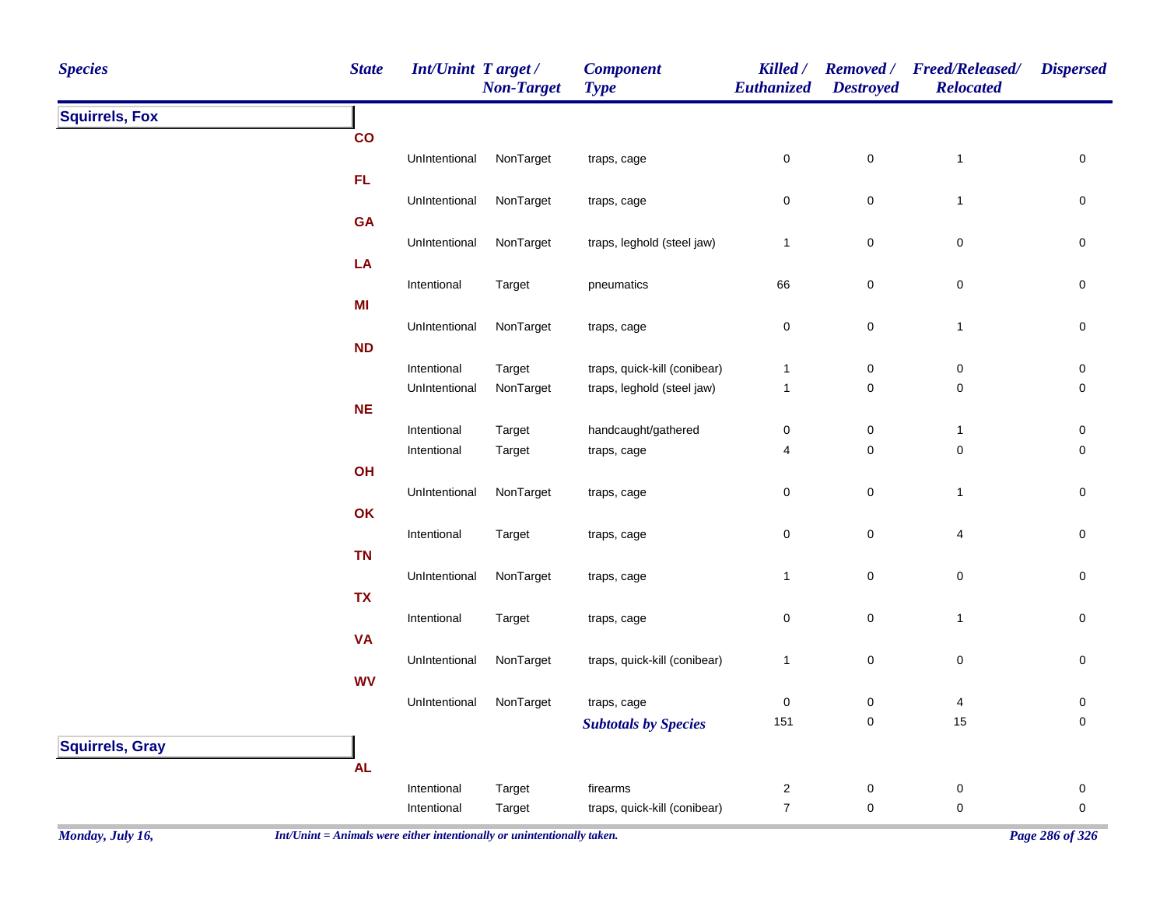| <b>Species</b>         | <b>State</b>    | <b>Int/Unint Target/</b>   | <b>Non-Target</b> | <b>Component</b><br><b>Type</b>    | Killed /<br>Euthanized | <b>Removed</b> /<br><b>Destroyed</b> | <b>Freed/Released/</b><br><b>Relocated</b> | <b>Dispersed</b> |
|------------------------|-----------------|----------------------------|-------------------|------------------------------------|------------------------|--------------------------------------|--------------------------------------------|------------------|
| <b>Squirrels, Fox</b>  |                 |                            |                   |                                    |                        |                                      |                                            |                  |
|                        | $\mathsf{co}\,$ |                            |                   |                                    |                        |                                      |                                            |                  |
|                        |                 | UnIntentional              | NonTarget         | traps, cage                        | 0                      | $\pmb{0}$                            | $\mathbf{1}$                               | 0                |
|                        | FL.             |                            |                   |                                    |                        |                                      |                                            |                  |
|                        |                 | UnIntentional              | NonTarget         | traps, cage                        | 0                      | $\pmb{0}$                            | $\mathbf{1}$                               | 0                |
|                        | GA              | UnIntentional              | NonTarget         | traps, leghold (steel jaw)         | $\mathbf{1}$           |                                      |                                            |                  |
|                        | LA              |                            |                   |                                    |                        | $\pmb{0}$                            | 0                                          | 0                |
|                        |                 | Intentional                | Target            | pneumatics                         | 66                     | $\pmb{0}$                            | 0                                          | $\pmb{0}$        |
|                        | MI              |                            |                   |                                    |                        |                                      |                                            |                  |
|                        |                 | UnIntentional              | NonTarget         | traps, cage                        | $\pmb{0}$              | $\pmb{0}$                            | $\mathbf{1}$                               | $\pmb{0}$        |
|                        | ND              |                            |                   |                                    |                        |                                      |                                            |                  |
|                        |                 | Intentional                | Target            | traps, quick-kill (conibear)       | 1                      | $\pmb{0}$                            | $\pmb{0}$                                  | 0                |
|                        |                 | UnIntentional              | NonTarget         | traps, leghold (steel jaw)         | $\mathbf{1}$           | $\pmb{0}$                            | $\pmb{0}$                                  | $\pmb{0}$        |
|                        | <b>NE</b>       |                            |                   |                                    |                        |                                      |                                            |                  |
|                        |                 | Intentional<br>Intentional | Target            | handcaught/gathered<br>traps, cage | $\pmb{0}$<br>4         | $\pmb{0}$<br>$\pmb{0}$               | $\mathbf{1}$<br>$\pmb{0}$                  | 0<br>$\pmb{0}$   |
|                        | OH              |                            | Target            |                                    |                        |                                      |                                            |                  |
|                        |                 | UnIntentional              | NonTarget         | traps, cage                        | $\pmb{0}$              | $\pmb{0}$                            | $\mathbf{1}$                               | $\pmb{0}$        |
|                        | OK              |                            |                   |                                    |                        |                                      |                                            |                  |
|                        |                 | Intentional                | Target            | traps, cage                        | $\pmb{0}$              | $\pmb{0}$                            | 4                                          | 0                |
|                        | <b>TN</b>       |                            |                   |                                    |                        |                                      |                                            |                  |
|                        |                 | UnIntentional              | NonTarget         | traps, cage                        | $\mathbf{1}$           | $\pmb{0}$                            | ${\bf 0}$                                  | $\pmb{0}$        |
|                        | <b>TX</b>       |                            |                   |                                    |                        |                                      |                                            |                  |
|                        |                 | Intentional                | Target            | traps, cage                        | $\pmb{0}$              | $\pmb{0}$                            | $\mathbf{1}$                               | $\pmb{0}$        |
|                        | <b>VA</b>       | UnIntentional              | NonTarget         | traps, quick-kill (conibear)       | $\mathbf{1}$           | $\pmb{0}$                            | $\mathbf 0$                                |                  |
|                        | <b>WV</b>       |                            |                   |                                    |                        |                                      |                                            | $\mathbf 0$      |
|                        |                 | UnIntentional              | NonTarget         | traps, cage                        | 0                      | $\pmb{0}$                            | 4                                          | 0                |
|                        |                 |                            |                   | <b>Subtotals by Species</b>        | 151                    | $\pmb{0}$                            | 15                                         | 0                |
| <b>Squirrels, Gray</b> |                 |                            |                   |                                    |                        |                                      |                                            |                  |
|                        | <b>AL</b>       |                            |                   |                                    |                        |                                      |                                            |                  |
|                        |                 | Intentional                | Target            | firearms                           | $\overline{a}$         | $\pmb{0}$                            | $\pmb{0}$                                  | $\pmb{0}$        |
|                        |                 | Intentional                | Target            | traps, quick-kill (conibear)       | $\boldsymbol{7}$       | $\pmb{0}$                            | $\pmb{0}$                                  | 0                |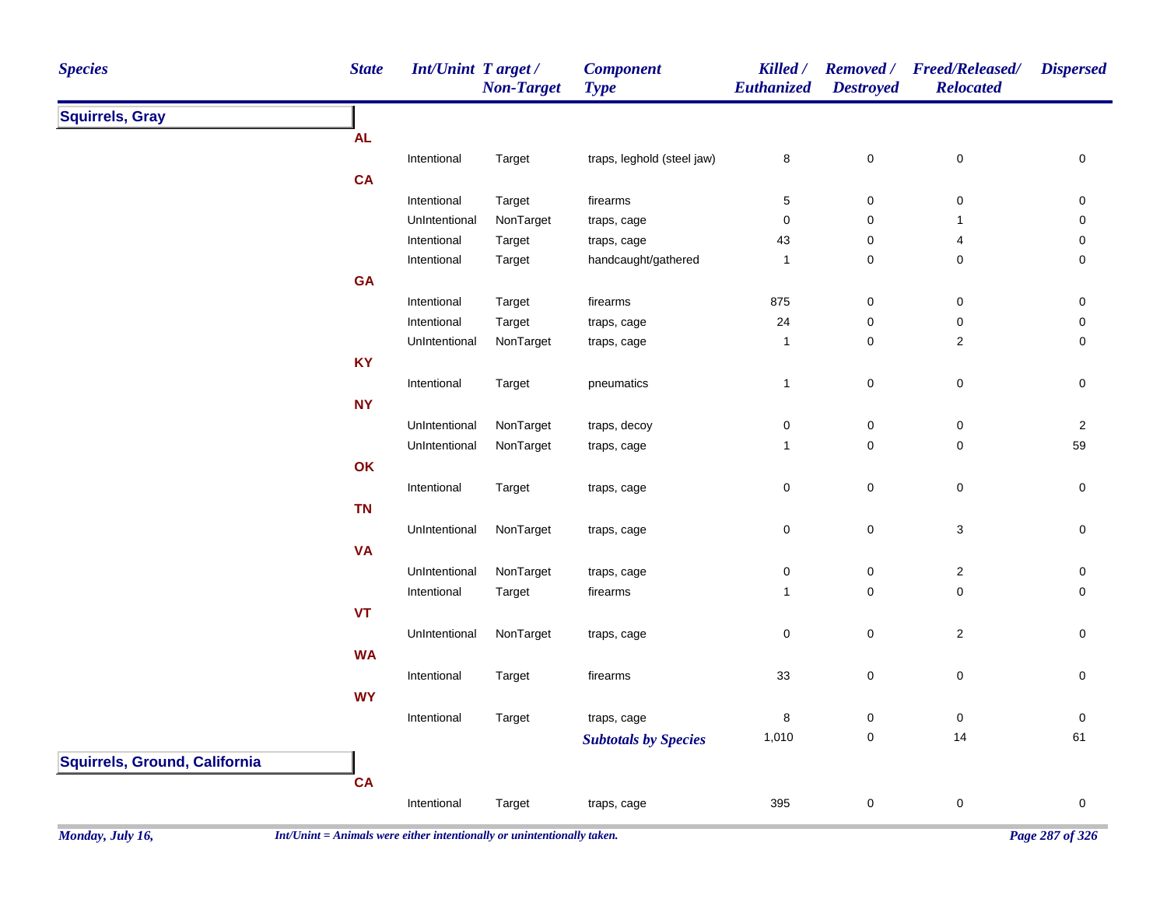| <b>Species</b>                | <b>State</b> | <b>Int/Unint Target/</b> | <b>Non-Target</b> | <b>Type</b>                                                                                                                                                                                                                                                                                                                                                                                                                                                                                                                                                                                                                                                                                                                                                       | Euthanized | <b>Removed</b> /<br><b>Destroyed</b> | <b>Freed/Released/</b><br><b>Relocated</b> | <b>Dispersed</b>    |
|-------------------------------|--------------|--------------------------|-------------------|-------------------------------------------------------------------------------------------------------------------------------------------------------------------------------------------------------------------------------------------------------------------------------------------------------------------------------------------------------------------------------------------------------------------------------------------------------------------------------------------------------------------------------------------------------------------------------------------------------------------------------------------------------------------------------------------------------------------------------------------------------------------|------------|--------------------------------------|--------------------------------------------|---------------------|
| <b>Squirrels, Gray</b>        |              |                          |                   |                                                                                                                                                                                                                                                                                                                                                                                                                                                                                                                                                                                                                                                                                                                                                                   |            |                                      |                                            |                     |
|                               | <b>AL</b>    |                          |                   |                                                                                                                                                                                                                                                                                                                                                                                                                                                                                                                                                                                                                                                                                                                                                                   |            |                                      |                                            |                     |
|                               |              | Intentional              | Target            | <b>Component</b><br>Killed /<br>traps, leghold (steel jaw)<br>$\pmb{0}$<br>8<br>$\mathbf{5}$<br>$\pmb{0}$<br>firearms<br>$\mathbf 0$<br>$\mathbf 0$<br>traps, cage<br>43<br>$\pmb{0}$<br>traps, cage<br>$\pmb{0}$<br>handcaught/gathered<br>-1<br>875<br>firearms<br>0<br>24<br>$\pmb{0}$<br>traps, cage<br>$\pmb{0}$<br>$\mathbf{1}$<br>traps, cage<br>$\pmb{0}$<br>pneumatics<br>$\mathbf{1}$<br>traps, decoy<br>$\pmb{0}$<br>0<br>$\pmb{0}$<br>$\mathbf{1}$<br>traps, cage<br>$\pmb{0}$<br>0<br>traps, cage<br>$\pmb{0}$<br>0<br>traps, cage<br>0<br>0<br>traps, cage<br>$\pmb{0}$<br>firearms<br>$\overline{1}$<br>$\pmb{0}$<br>0<br>traps, cage<br>33<br>$\pmb{0}$<br>firearms<br>8<br>0<br>traps, cage<br>1,010<br>$\pmb{0}$<br><b>Subtotals by Species</b> |            | $\pmb{0}$                            | 0                                          |                     |
|                               | CA           |                          |                   |                                                                                                                                                                                                                                                                                                                                                                                                                                                                                                                                                                                                                                                                                                                                                                   |            |                                      |                                            |                     |
|                               |              | Intentional              | Target            |                                                                                                                                                                                                                                                                                                                                                                                                                                                                                                                                                                                                                                                                                                                                                                   |            |                                      | $\pmb{0}$                                  | 0                   |
|                               |              | UnIntentional            | NonTarget         |                                                                                                                                                                                                                                                                                                                                                                                                                                                                                                                                                                                                                                                                                                                                                                   |            |                                      | -1                                         | 0                   |
|                               |              | Intentional              | Target            |                                                                                                                                                                                                                                                                                                                                                                                                                                                                                                                                                                                                                                                                                                                                                                   |            |                                      | 4                                          | 0                   |
|                               |              | Intentional              | Target            |                                                                                                                                                                                                                                                                                                                                                                                                                                                                                                                                                                                                                                                                                                                                                                   |            |                                      | 0                                          | 0                   |
|                               | GA           |                          |                   |                                                                                                                                                                                                                                                                                                                                                                                                                                                                                                                                                                                                                                                                                                                                                                   |            |                                      |                                            |                     |
|                               |              | Intentional              | Target            |                                                                                                                                                                                                                                                                                                                                                                                                                                                                                                                                                                                                                                                                                                                                                                   |            |                                      | 0                                          | 0                   |
|                               |              | Intentional              | Target            |                                                                                                                                                                                                                                                                                                                                                                                                                                                                                                                                                                                                                                                                                                                                                                   |            |                                      | $\pmb{0}$                                  | 0                   |
|                               |              | UnIntentional            | NonTarget         |                                                                                                                                                                                                                                                                                                                                                                                                                                                                                                                                                                                                                                                                                                                                                                   |            |                                      | $\overline{c}$                             | 0                   |
|                               | <b>KY</b>    |                          |                   |                                                                                                                                                                                                                                                                                                                                                                                                                                                                                                                                                                                                                                                                                                                                                                   |            |                                      |                                            |                     |
|                               |              | Intentional              | Target            |                                                                                                                                                                                                                                                                                                                                                                                                                                                                                                                                                                                                                                                                                                                                                                   |            |                                      | $\pmb{0}$                                  | 0                   |
|                               | <b>NY</b>    |                          |                   |                                                                                                                                                                                                                                                                                                                                                                                                                                                                                                                                                                                                                                                                                                                                                                   |            |                                      |                                            |                     |
|                               |              | UnIntentional            | NonTarget         |                                                                                                                                                                                                                                                                                                                                                                                                                                                                                                                                                                                                                                                                                                                                                                   |            |                                      | 0                                          | $\overline{2}$      |
|                               |              | UnIntentional            | NonTarget         |                                                                                                                                                                                                                                                                                                                                                                                                                                                                                                                                                                                                                                                                                                                                                                   |            |                                      | $\mathsf 0$                                | 59                  |
|                               | OK           |                          |                   |                                                                                                                                                                                                                                                                                                                                                                                                                                                                                                                                                                                                                                                                                                                                                                   |            |                                      |                                            |                     |
|                               |              | Intentional              | Target            |                                                                                                                                                                                                                                                                                                                                                                                                                                                                                                                                                                                                                                                                                                                                                                   |            |                                      | 0                                          | $\mathsf{O}\xspace$ |
|                               | <b>TN</b>    |                          |                   |                                                                                                                                                                                                                                                                                                                                                                                                                                                                                                                                                                                                                                                                                                                                                                   |            |                                      |                                            |                     |
|                               |              | UnIntentional            | NonTarget         |                                                                                                                                                                                                                                                                                                                                                                                                                                                                                                                                                                                                                                                                                                                                                                   |            |                                      | $\ensuremath{\mathsf{3}}$                  | 0                   |
|                               | <b>VA</b>    |                          |                   |                                                                                                                                                                                                                                                                                                                                                                                                                                                                                                                                                                                                                                                                                                                                                                   |            |                                      |                                            |                     |
|                               |              | UnIntentional            | NonTarget         |                                                                                                                                                                                                                                                                                                                                                                                                                                                                                                                                                                                                                                                                                                                                                                   |            |                                      | $\overline{a}$                             | 0                   |
|                               |              | Intentional              | Target            |                                                                                                                                                                                                                                                                                                                                                                                                                                                                                                                                                                                                                                                                                                                                                                   |            |                                      | 0                                          | $\mathbf 0$         |
|                               | <b>VT</b>    |                          |                   |                                                                                                                                                                                                                                                                                                                                                                                                                                                                                                                                                                                                                                                                                                                                                                   |            |                                      |                                            |                     |
|                               |              | UnIntentional            |                   |                                                                                                                                                                                                                                                                                                                                                                                                                                                                                                                                                                                                                                                                                                                                                                   |            |                                      |                                            | 0                   |
|                               |              |                          | NonTarget         |                                                                                                                                                                                                                                                                                                                                                                                                                                                                                                                                                                                                                                                                                                                                                                   |            |                                      | $\sqrt{2}$                                 |                     |
|                               | <b>WA</b>    |                          |                   |                                                                                                                                                                                                                                                                                                                                                                                                                                                                                                                                                                                                                                                                                                                                                                   |            |                                      |                                            |                     |
|                               |              | Intentional              | Target            |                                                                                                                                                                                                                                                                                                                                                                                                                                                                                                                                                                                                                                                                                                                                                                   |            |                                      | $\pmb{0}$                                  | $\pmb{0}$           |
|                               | <b>WY</b>    |                          |                   |                                                                                                                                                                                                                                                                                                                                                                                                                                                                                                                                                                                                                                                                                                                                                                   |            |                                      |                                            |                     |
|                               |              | Intentional              | Target            |                                                                                                                                                                                                                                                                                                                                                                                                                                                                                                                                                                                                                                                                                                                                                                   |            |                                      | 0                                          | 0                   |
|                               |              |                          |                   |                                                                                                                                                                                                                                                                                                                                                                                                                                                                                                                                                                                                                                                                                                                                                                   |            |                                      | 14                                         | 61                  |
| Squirrels, Ground, California |              |                          |                   |                                                                                                                                                                                                                                                                                                                                                                                                                                                                                                                                                                                                                                                                                                                                                                   |            |                                      |                                            |                     |
|                               | CA           |                          |                   |                                                                                                                                                                                                                                                                                                                                                                                                                                                                                                                                                                                                                                                                                                                                                                   |            |                                      |                                            |                     |
|                               |              | Intentional              | Target            | traps, cage                                                                                                                                                                                                                                                                                                                                                                                                                                                                                                                                                                                                                                                                                                                                                       | 395        | $\pmb{0}$                            | $\pmb{0}$                                  | $\pmb{0}$           |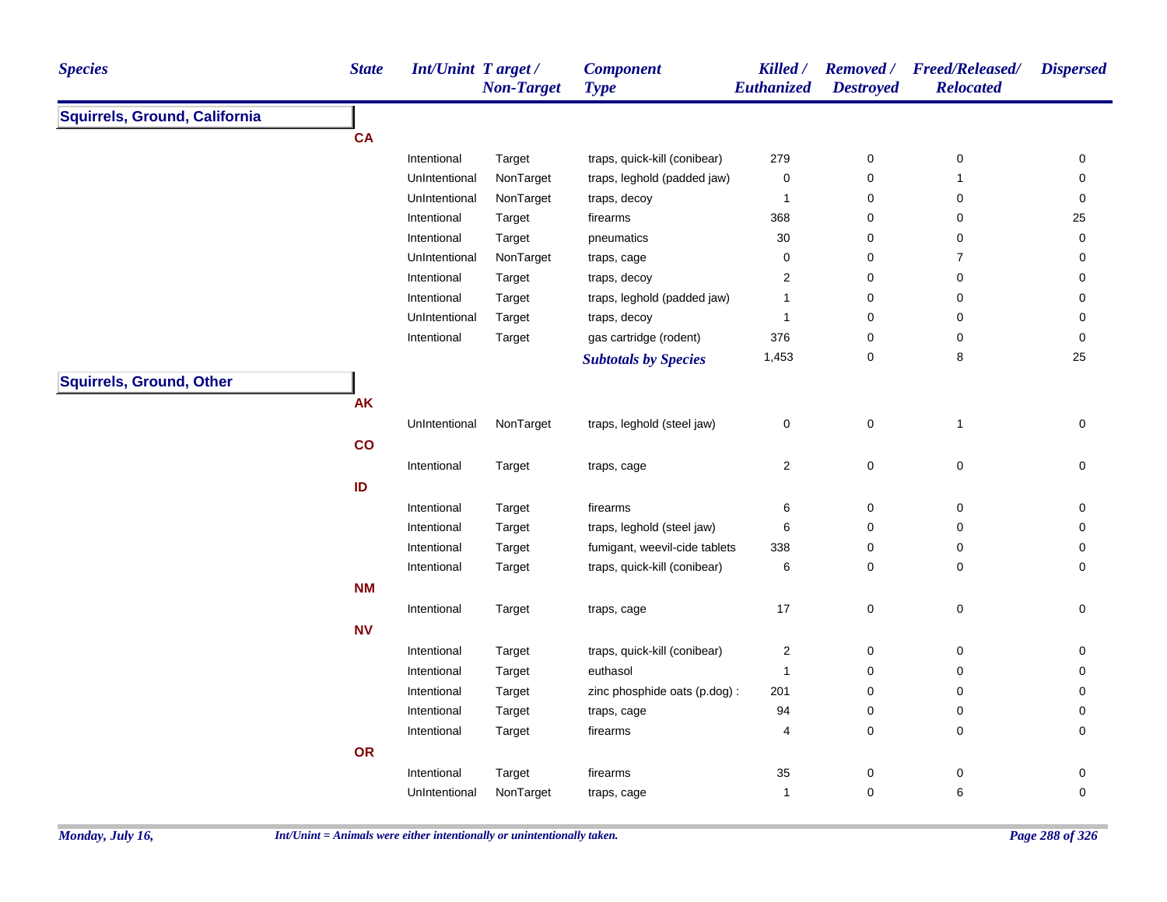| <b>Species</b>                  | <b>State</b> | <b>Int/Unint Target/</b> | <b>Non-Target</b> | <b>Component</b><br><b>Type</b> | Killed /<br>Euthanized  | <b>Destroyed</b> | Removed / Freed/Released/<br><b>Relocated</b> | <b>Dispersed</b> |
|---------------------------------|--------------|--------------------------|-------------------|---------------------------------|-------------------------|------------------|-----------------------------------------------|------------------|
| Squirrels, Ground, California   |              |                          |                   |                                 |                         |                  |                                               |                  |
|                                 | <b>CA</b>    |                          |                   |                                 |                         |                  |                                               |                  |
|                                 |              | Intentional              | Target            | traps, quick-kill (conibear)    | 279                     | 0                | 0                                             | 0                |
|                                 |              | UnIntentional            | NonTarget         | traps, leghold (padded jaw)     | $\mathsf 0$             | $\pmb{0}$        | $\mathbf{1}$                                  | $\mathbf 0$      |
|                                 |              | UnIntentional            | NonTarget         | traps, decoy                    | $\mathbf{1}$            | $\pmb{0}$        | 0                                             | 0                |
|                                 |              | Intentional              | Target            | firearms                        | 368                     | 0                | 0                                             | 25               |
|                                 |              | Intentional              | Target            | pneumatics                      | $30\,$                  | 0                | 0                                             | 0                |
|                                 |              | UnIntentional            | NonTarget         | traps, cage                     | 0                       | $\mathbf 0$      | $\overline{7}$                                | 0                |
|                                 |              | Intentional              | Target            | traps, decoy                    | 2                       | $\mathbf 0$      | 0                                             | 0                |
|                                 |              | Intentional              | Target            | traps, leghold (padded jaw)     | $\mathbf{1}$            | 0                | 0                                             | 0                |
|                                 |              | UnIntentional            | Target            | traps, decoy                    | $\mathbf{1}$            | 0                | 0                                             | 0                |
|                                 |              | Intentional              | Target            | gas cartridge (rodent)          | 376                     | 0                | 0                                             | 0                |
|                                 |              |                          |                   | <b>Subtotals by Species</b>     | 1,453                   | $\pmb{0}$        | 8                                             | 25               |
| <b>Squirrels, Ground, Other</b> |              |                          |                   |                                 |                         |                  |                                               |                  |
|                                 | <b>AK</b>    |                          |                   |                                 |                         |                  |                                               |                  |
|                                 |              | UnIntentional            | NonTarget         | traps, leghold (steel jaw)      | 0                       | $\pmb{0}$        | $\mathbf{1}$                                  | $\mathbf 0$      |
|                                 | co           |                          |                   |                                 |                         |                  |                                               |                  |
|                                 |              | Intentional              | Target            | traps, cage                     | $\overline{\mathbf{c}}$ | $\mathbf 0$      | $\pmb{0}$                                     | 0                |
|                                 | ID           |                          |                   |                                 |                         |                  |                                               |                  |
|                                 |              | Intentional              | Target            | firearms                        | 6                       | 0                | 0                                             | 0                |
|                                 |              | Intentional              | Target            | traps, leghold (steel jaw)      | 6                       | 0                | 0                                             | $\mathbf 0$      |
|                                 |              | Intentional              | Target            | fumigant, weevil-cide tablets   | 338                     | 0                | 0                                             | 0                |
|                                 |              | Intentional              | Target            | traps, quick-kill (conibear)    | 6                       | 0                | 0                                             | 0                |
|                                 | <b>NM</b>    |                          |                   |                                 |                         |                  |                                               |                  |
|                                 |              | Intentional              | Target            | traps, cage                     | 17                      | $\pmb{0}$        | $\mathsf 0$                                   | 0                |
|                                 | <b>NV</b>    |                          |                   |                                 |                         |                  |                                               |                  |
|                                 |              | Intentional              | Target            | traps, quick-kill (conibear)    | $\overline{\mathbf{c}}$ | $\pmb{0}$        | $\pmb{0}$                                     | 0                |
|                                 |              | Intentional              | Target            | euthasol                        | $\mathbf{1}$            | 0                | 0                                             | 0                |
|                                 |              | Intentional              | Target            | zinc phosphide oats (p.dog) :   | 201                     | 0                | 0                                             | 0                |
|                                 |              | Intentional              | Target            | traps, cage                     | 94                      | 0                | 0                                             | 0                |
|                                 |              | Intentional              | Target            | firearms                        | 4                       | 0                | 0                                             | $\mathbf 0$      |
|                                 | OR           |                          |                   |                                 |                         |                  |                                               |                  |
|                                 |              | Intentional              | Target            | firearms                        | $35\,$                  | $\pmb{0}$        | 0                                             | 0                |
|                                 |              | UnIntentional            | NonTarget         | traps, cage                     | $\mathbf{1}$            | $\pmb{0}$        | 6                                             | $\mathbf 0$      |
|                                 |              |                          |                   |                                 |                         |                  |                                               |                  |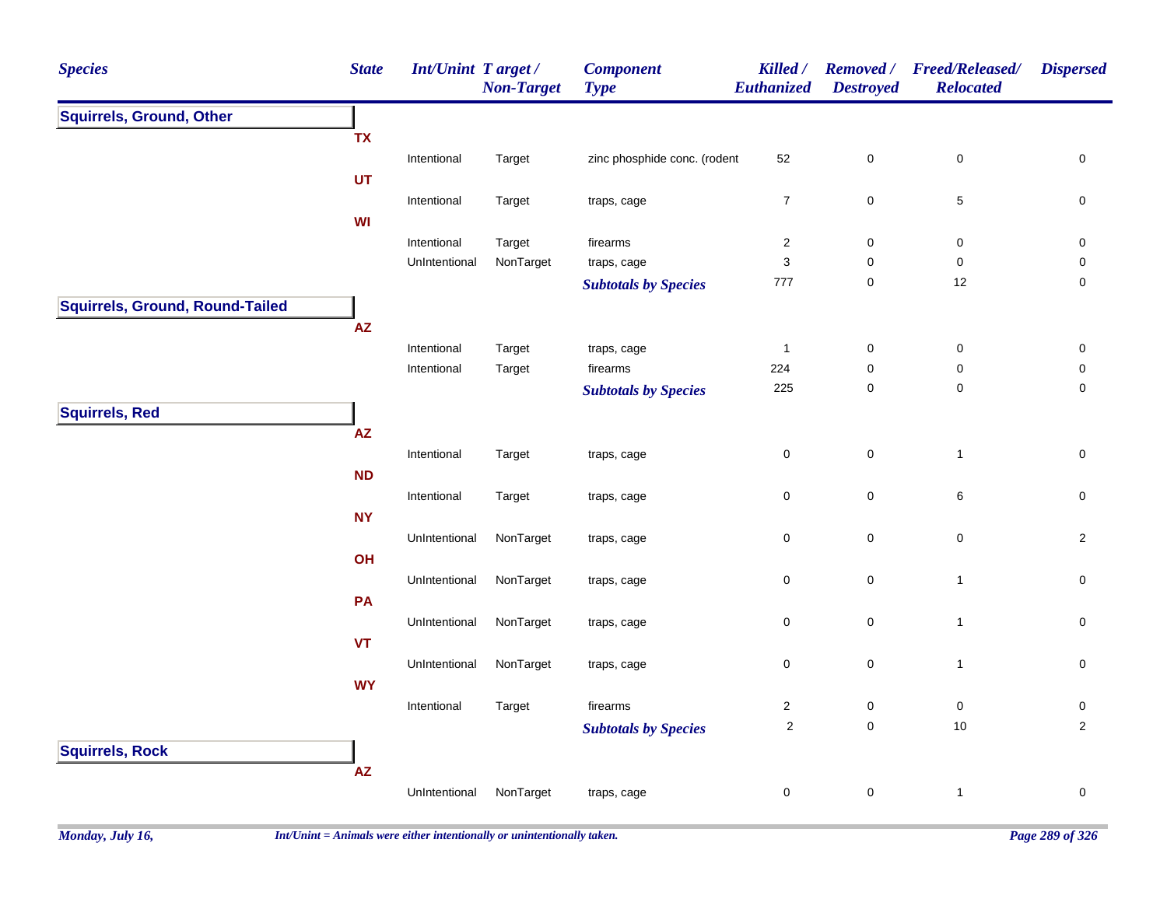| <b>Species</b>                  | <b>State</b>           | <b>Int/Unint Target/</b> | <b>Non-Target</b> | <b>Component</b><br><b>Type</b> | Killed /<br>Euthanized | <b>Removed</b> /<br><b>Destroyed</b> | <b>Freed/Released/</b><br><b>Relocated</b> | <b>Dispersed</b>    |
|---------------------------------|------------------------|--------------------------|-------------------|---------------------------------|------------------------|--------------------------------------|--------------------------------------------|---------------------|
| <b>Squirrels, Ground, Other</b> |                        |                          |                   |                                 |                        |                                      |                                            |                     |
|                                 | <b>TX</b>              |                          |                   |                                 |                        |                                      |                                            |                     |
|                                 |                        | Intentional              | Target            | zinc phosphide conc. (rodent    | 52                     | $\pmb{0}$                            | $\pmb{0}$                                  | 0                   |
|                                 | UT                     |                          |                   |                                 |                        |                                      |                                            |                     |
|                                 |                        | Intentional              | Target            | traps, cage                     | $\overline{7}$         | $\mathbf 0$                          | 5                                          | 0                   |
|                                 | WI                     |                          |                   |                                 |                        |                                      |                                            |                     |
|                                 |                        | Intentional              | Target            | firearms                        | $\overline{c}$         | $\pmb{0}$                            | $\pmb{0}$                                  | 0                   |
|                                 |                        | UnIntentional            | NonTarget         | traps, cage                     | 3                      | 0                                    | $\mathbf 0$                                | 0                   |
|                                 |                        |                          |                   | <b>Subtotals by Species</b>     | 777                    | $\mathsf{O}\xspace$                  | 12                                         | $\mathbf 0$         |
| Squirrels, Ground, Round-Tailed |                        |                          |                   |                                 |                        |                                      |                                            |                     |
|                                 | $\mathsf{A}\mathsf{Z}$ |                          |                   |                                 |                        |                                      |                                            |                     |
|                                 |                        | Intentional              | Target            | traps, cage                     | $\mathbf{1}$           | $\pmb{0}$                            | $\pmb{0}$                                  | $\pmb{0}$           |
|                                 |                        | Intentional              | Target            | firearms                        | 224                    | 0                                    | 0                                          | 0                   |
|                                 |                        |                          |                   | <b>Subtotals by Species</b>     | 225                    | $\mathbf 0$                          | $\pmb{0}$                                  | $\mathsf{O}\xspace$ |
| <b>Squirrels, Red</b>           |                        |                          |                   |                                 |                        |                                      |                                            |                     |
|                                 | $\mathsf{AZ}$          |                          |                   |                                 |                        |                                      |                                            |                     |
|                                 |                        | Intentional              | Target            | traps, cage                     | 0                      | $\mathsf{O}\xspace$                  | $\mathbf{1}$                               | 0                   |
|                                 | <b>ND</b>              |                          |                   |                                 |                        |                                      |                                            |                     |
|                                 |                        | Intentional              | Target            | traps, cage                     | $\mathsf 0$            | $\mathbf 0$                          | $\,6$                                      | $\mathsf{O}\xspace$ |
|                                 | <b>NY</b>              |                          |                   |                                 |                        |                                      |                                            |                     |
|                                 |                        | UnIntentional            | NonTarget         | traps, cage                     | $\pmb{0}$              | $\pmb{0}$                            | $\pmb{0}$                                  | $\overline{2}$      |
|                                 | OH                     |                          |                   |                                 |                        |                                      |                                            |                     |
|                                 |                        | UnIntentional            | NonTarget         | traps, cage                     | $\pmb{0}$              | $\mathsf{O}\xspace$                  | $\mathbf{1}$                               | $\mathsf{O}\xspace$ |
|                                 | PA                     |                          |                   |                                 |                        |                                      |                                            |                     |
|                                 |                        | UnIntentional            | NonTarget         | traps, cage                     | $\mathbf 0$            | $\mathbf 0$                          | $\mathbf{1}$                               | 0                   |
|                                 | <b>VT</b>              |                          |                   |                                 |                        |                                      |                                            |                     |
|                                 |                        | UnIntentional            | NonTarget         | traps, cage                     | $\pmb{0}$              | $\mathsf 0$                          | $\mathbf{1}$                               | $\mathsf{O}\xspace$ |
|                                 | <b>WY</b>              |                          |                   |                                 |                        |                                      |                                            |                     |
|                                 |                        | Intentional              | Target            | firearms                        | $\overline{2}$         | $\pmb{0}$                            | $\pmb{0}$                                  | $\pmb{0}$           |
|                                 |                        |                          |                   | <b>Subtotals by Species</b>     | $\overline{2}$         | $\mathsf{O}\xspace$                  | $10\,$                                     | $\overline{2}$      |
| <b>Squirrels, Rock</b>          |                        |                          |                   |                                 |                        |                                      |                                            |                     |
|                                 | $\mathsf{AZ}$          |                          |                   |                                 |                        |                                      |                                            |                     |
|                                 |                        | UnIntentional            | NonTarget         | traps, cage                     | $\pmb{0}$              | $\mathbf 0$                          | $\mathbf{1}$                               | $\pmb{0}$           |
|                                 |                        |                          |                   |                                 |                        |                                      |                                            |                     |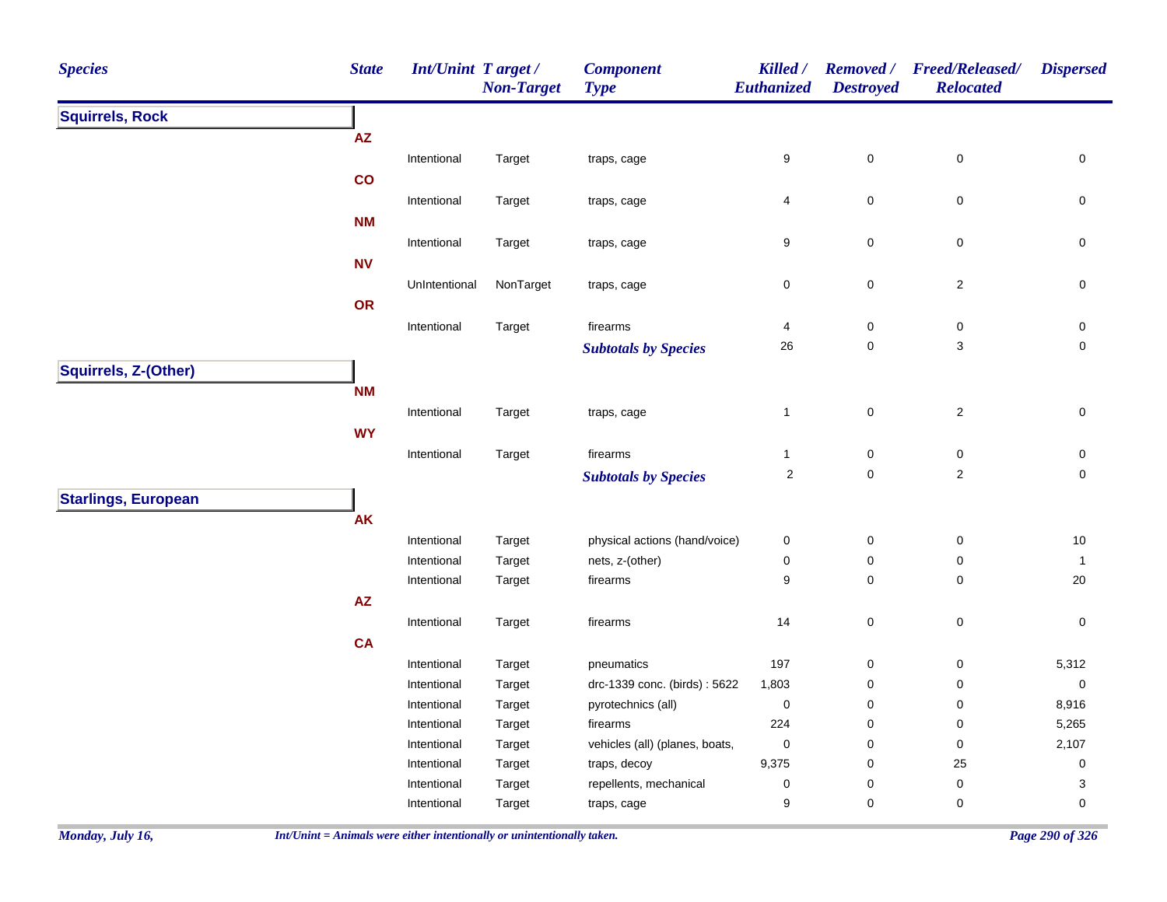| <b>Species</b>             | <b>State</b>           | <b>Int/Unint Target/</b>   | <b>Non-Target</b> | <b>Component</b><br><b>Type</b>        | Killed /<br>Euthanized | <b>Destroyed</b>         | Removed / Freed/Released/<br><b>Relocated</b> | <b>Dispersed</b>         |
|----------------------------|------------------------|----------------------------|-------------------|----------------------------------------|------------------------|--------------------------|-----------------------------------------------|--------------------------|
| <b>Squirrels, Rock</b>     |                        |                            |                   |                                        |                        |                          |                                               |                          |
|                            | $\mathsf{A}\mathsf{Z}$ |                            |                   |                                        |                        |                          |                                               |                          |
|                            |                        | Intentional                | Target            | traps, cage                            | 9                      | $\pmb{0}$                | $\mathsf 0$                                   | $\pmb{0}$                |
|                            | co                     |                            |                   |                                        |                        |                          |                                               |                          |
|                            |                        | Intentional                | Target            | traps, cage                            | 4                      | $\mathbf 0$              | $\pmb{0}$                                     | $\mathsf 0$              |
|                            | <b>NM</b>              |                            |                   |                                        |                        |                          |                                               |                          |
|                            |                        | Intentional                | Target            | traps, cage                            | 9                      | $\mathbf 0$              | $\pmb{0}$                                     | $\mathsf 0$              |
|                            | <b>NV</b>              |                            |                   |                                        |                        |                          |                                               |                          |
|                            |                        | UnIntentional              | NonTarget         | traps, cage                            | 0                      | $\pmb{0}$                | $\sqrt{2}$                                    | $\pmb{0}$                |
|                            | OR                     |                            |                   |                                        |                        |                          |                                               |                          |
|                            |                        | Intentional                | Target            | firearms                               | 4                      | $\pmb{0}$                | $\pmb{0}$                                     | 0                        |
|                            |                        |                            |                   | <b>Subtotals by Species</b>            | 26                     | $\mathbf 0$              | 3                                             | $\mathbf 0$              |
| Squirrels, Z-(Other)       |                        |                            |                   |                                        |                        |                          |                                               |                          |
|                            | <b>NM</b>              |                            |                   |                                        |                        |                          |                                               |                          |
|                            |                        | Intentional                | Target            | traps, cage                            | $\mathbf{1}$           | $\mathsf 0$              | $\sqrt{2}$                                    | $\mathsf{O}\xspace$      |
|                            | <b>WY</b>              |                            |                   |                                        |                        |                          |                                               |                          |
|                            |                        | Intentional                | Target            | firearms                               | $\mathbf{1}$           | $\pmb{0}$                | $\pmb{0}$                                     | $\mathsf 0$              |
|                            |                        |                            |                   | <b>Subtotals by Species</b>            | $\sqrt{2}$             | $\mathbf 0$              | $\sqrt{2}$                                    | $\mathbf 0$              |
| <b>Starlings, European</b> |                        |                            |                   |                                        |                        |                          |                                               |                          |
|                            | <b>AK</b>              |                            |                   |                                        |                        |                          |                                               |                          |
|                            |                        | Intentional                | Target            | physical actions (hand/voice)          | 0                      | $\mathbf 0$              | $\pmb{0}$                                     | $10$                     |
|                            |                        | Intentional                | Target            | nets, z-(other)                        | 0                      | $\pmb{0}$                | $\pmb{0}$                                     | $\mathbf{1}$             |
|                            |                        | Intentional                | Target            | firearms                               | 9                      | $\pmb{0}$                | $\pmb{0}$                                     | 20                       |
|                            | $\mathsf{A}\mathsf{Z}$ |                            |                   |                                        |                        |                          |                                               |                          |
|                            |                        | Intentional                | Target            | firearms                               | 14                     | $\mathbf 0$              | $\mathsf 0$                                   | $\pmb{0}$                |
|                            | CA                     |                            |                   |                                        |                        |                          |                                               |                          |
|                            |                        | Intentional                | Target            | pneumatics                             | 197                    | $\boldsymbol{0}$         | $\pmb{0}$                                     | 5,312                    |
|                            |                        | Intentional                | Target            | drc-1339 conc. (birds): 5622           | 1,803                  | $\mathbf 0$              | 0                                             | $\mathsf{O}\xspace$      |
|                            |                        | Intentional                | Target            | pyrotechnics (all)                     | $\pmb{0}$              | $\pmb{0}$                | $\pmb{0}$                                     | 8,916                    |
|                            |                        | Intentional                | Target            | firearms                               | 224                    | $\pmb{0}$                | $\pmb{0}$                                     | 5,265                    |
|                            |                        | Intentional                | Target            | vehicles (all) (planes, boats,         | 0<br>9,375             | $\mathbf 0$              | $\pmb{0}$<br>25                               | 2,107                    |
|                            |                        | Intentional<br>Intentional | Target<br>Target  | traps, decoy<br>repellents, mechanical | 0                      | $\pmb{0}$<br>$\mathbf 0$ | $\pmb{0}$                                     | $\mathsf{O}\xspace$<br>3 |
|                            |                        | Intentional                | Target            | traps, cage                            | 9                      | 0                        | 0                                             | $\mathbf 0$              |
|                            |                        |                            |                   |                                        |                        |                          |                                               |                          |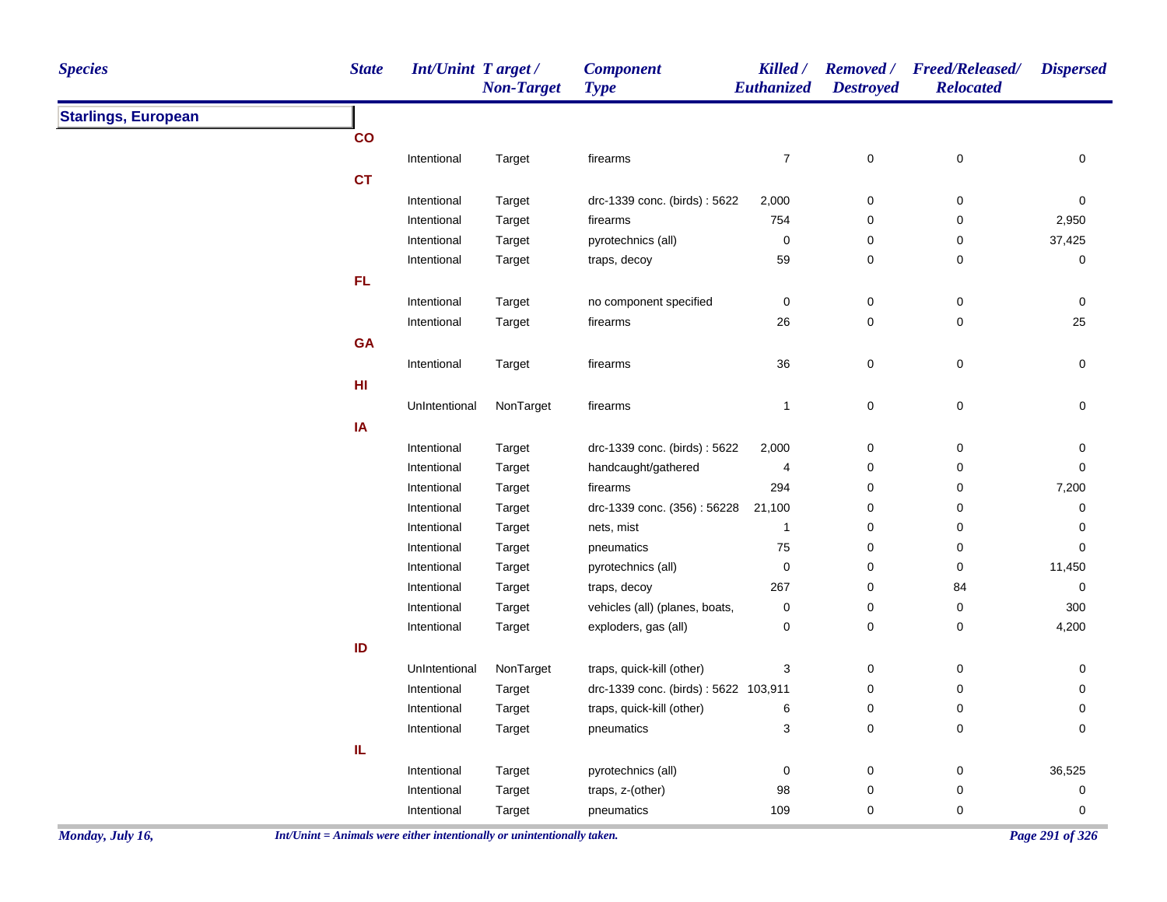| <b>Species</b>             | <b>State</b> | <b>Int/Unint Target/</b> | <b>Non-Target</b> | <b>Component</b><br><b>Type</b>      | Killed /<br>Euthanized | <b>Destroyed</b> | Removed / Freed/Released/<br><b>Relocated</b> | <b>Dispersed</b>    |
|----------------------------|--------------|--------------------------|-------------------|--------------------------------------|------------------------|------------------|-----------------------------------------------|---------------------|
| <b>Starlings, European</b> |              |                          |                   |                                      |                        |                  |                                               |                     |
|                            | co           |                          |                   |                                      |                        |                  |                                               |                     |
|                            |              | Intentional              | Target            | firearms                             | $\boldsymbol{7}$       | $\mathsf 0$      | $\mathsf 0$                                   | 0                   |
|                            | <b>CT</b>    |                          |                   |                                      |                        |                  |                                               |                     |
|                            |              | Intentional              | Target            | drc-1339 conc. (birds): 5622         | 2,000                  | $\pmb{0}$        | 0                                             | $\mathbf 0$         |
|                            |              | Intentional              | Target            | firearms                             | 754                    | 0                | 0                                             | 2,950               |
|                            |              | Intentional              | Target            | pyrotechnics (all)                   | 0                      | $\pmb{0}$        | 0                                             | 37,425              |
|                            |              | Intentional              | Target            | traps, decoy                         | 59                     | 0                | 0                                             | 0                   |
|                            | FL           |                          |                   |                                      |                        |                  |                                               |                     |
|                            |              | Intentional              | Target            | no component specified               | $\pmb{0}$              | $\pmb{0}$        | $\pmb{0}$                                     | 0                   |
|                            |              | Intentional              | Target            | firearms                             | 26                     | $\pmb{0}$        | 0                                             | 25                  |
|                            | <b>GA</b>    |                          |                   |                                      |                        |                  |                                               |                     |
|                            |              | Intentional              | Target            | firearms                             | 36                     | $\mathsf 0$      | $\mathsf 0$                                   | 0                   |
|                            | HI           |                          |                   |                                      |                        |                  |                                               |                     |
|                            |              | UnIntentional            | NonTarget         | firearms                             | $\mathbf{1}$           | $\pmb{0}$        | 0                                             | $\pmb{0}$           |
|                            | IA           |                          |                   |                                      |                        |                  |                                               |                     |
|                            |              | Intentional              | Target            | drc-1339 conc. (birds): 5622         | 2,000                  | $\pmb{0}$        | $\pmb{0}$                                     | 0                   |
|                            |              | Intentional              | Target            | handcaught/gathered                  | 4                      | $\pmb{0}$        | 0                                             | $\mathsf{O}\xspace$ |
|                            |              | Intentional              | Target            | firearms                             | 294                    | $\pmb{0}$        | $\pmb{0}$                                     | 7,200               |
|                            |              | Intentional              | Target            | drc-1339 conc. (356): 56228          | 21,100                 | 0                | 0                                             | 0                   |
|                            |              | Intentional              | Target            | nets, mist                           | $\mathbf{1}$           | $\mathbf 0$      | 0                                             | $\mathbf 0$         |
|                            |              | Intentional              | Target            | pneumatics                           | ${\bf 75}$             | $\pmb{0}$        | 0                                             | 0                   |
|                            |              | Intentional              | Target            | pyrotechnics (all)                   | 0                      | $\pmb{0}$        | 0                                             | 11,450              |
|                            |              | Intentional              | Target            | traps, decoy                         | 267                    | 0                | 84                                            | 0                   |
|                            |              | Intentional              | Target            | vehicles (all) (planes, boats,       | 0                      | 0                | 0                                             | 300                 |
|                            |              | Intentional              | Target            | exploders, gas (all)                 | $\pmb{0}$              | $\mathsf 0$      | $\mathsf 0$                                   | 4,200               |
|                            | ID           |                          |                   |                                      |                        |                  |                                               |                     |
|                            |              | UnIntentional            | NonTarget         | traps, quick-kill (other)            | 3                      | 0                | 0                                             | 0                   |
|                            |              | Intentional              | Target            | drc-1339 conc. (birds): 5622 103,911 |                        | $\pmb{0}$        | 0                                             | 0                   |
|                            |              | Intentional              | Target            | traps, quick-kill (other)            | 6                      | $\pmb{0}$        | $\pmb{0}$                                     | 0                   |
|                            |              | Intentional              | Target            | pneumatics                           | 3                      | 0                | $\pmb{0}$                                     | 0                   |
|                            | IL           |                          |                   |                                      |                        |                  |                                               |                     |
|                            |              | Intentional              | Target            | pyrotechnics (all)                   | 0                      | $\pmb{0}$        | 0                                             | 36,525              |
|                            |              | Intentional              | Target            | traps, z-(other)                     | 98                     | $\pmb{0}$        | $\pmb{0}$                                     | $\pmb{0}$           |
|                            |              | Intentional              | Target            | pneumatics                           | 109                    | 0                | 0                                             | 0                   |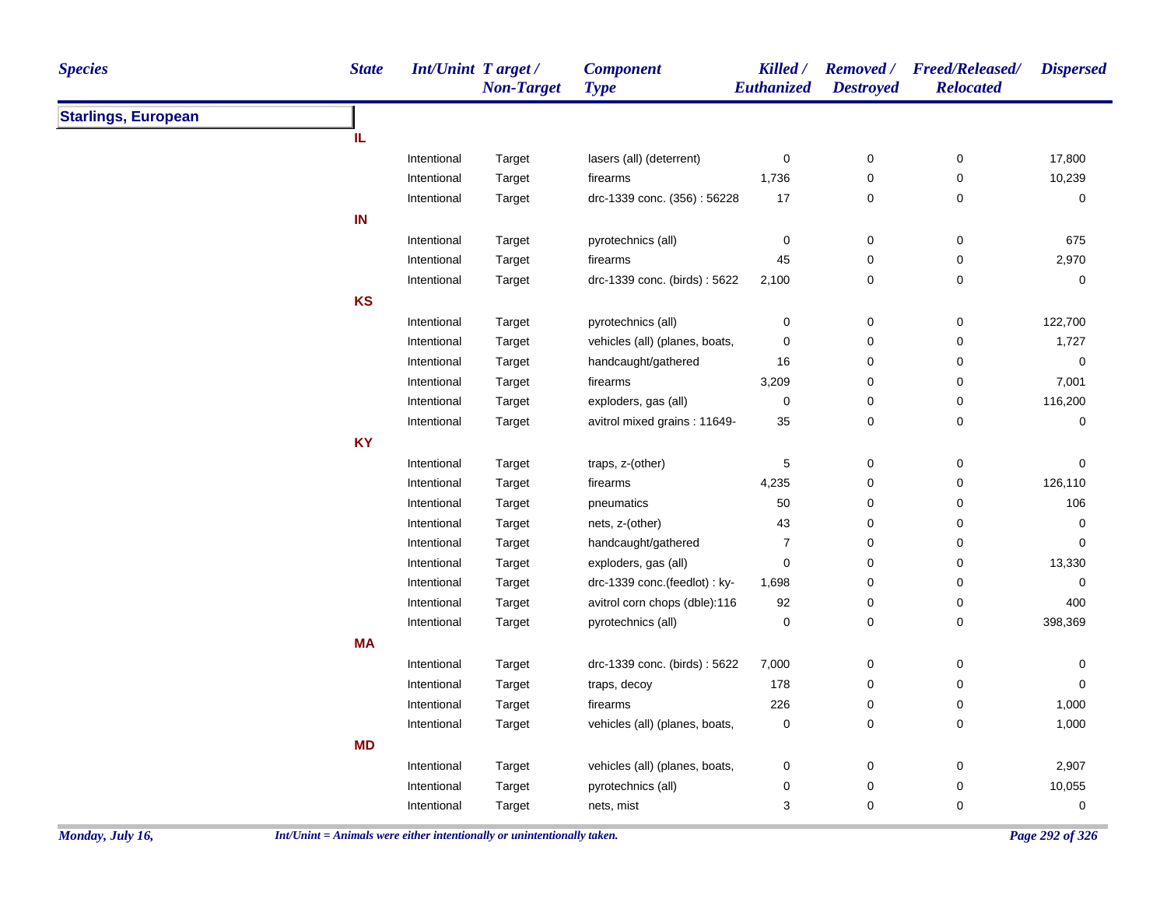| <b>Starlings, European</b><br>IL<br>0<br>$\pmb{0}$<br>$\pmb{0}$<br>17,800<br>Intentional<br>lasers (all) (deterrent)<br>Target<br>10,239<br>Intentional<br>1,736<br>0<br>0<br>Target<br>firearms<br>drc-1339 conc. (356): 56228<br>17<br>0<br>0<br>0<br>Intentional<br>Target<br>IN<br>pyrotechnics (all)<br>0<br>$\pmb{0}$<br>0<br>675<br>Intentional<br>Target<br>0<br>45<br>0<br>2,970<br>Intentional<br>Target<br>firearms<br>drc-1339 conc. (birds): 5622<br>0<br>0<br>Intentional<br>Target<br>2,100<br>0<br>KS<br>Intentional<br>pyrotechnics (all)<br>0<br>$\pmb{0}$<br>0<br>122,700<br>Target<br>0<br>vehicles (all) (planes, boats,<br>0<br>0<br>1,727<br>Intentional<br>Target<br>handcaught/gathered<br>0<br>0<br>0<br>Intentional<br>16<br>Target<br>0<br>7,001<br>Intentional<br>firearms<br>3,209<br>0<br>Target<br>0<br>Intentional<br>exploders, gas (all)<br>0<br>0<br>116,200<br>Target<br>$\pmb{0}$<br>avitrol mixed grains: 11649-<br>35<br>0<br>0<br>Intentional<br>Target<br><b>KY</b><br>5<br>$\pmb{0}$<br>Intentional<br>traps, z-(other)<br>0<br>0<br>Target<br>Intentional<br>firearms<br>4,235<br>0<br>0<br>126,110<br>Target<br>50<br>0<br>106<br>Intentional<br>Target<br>pneumatics<br>0<br>0<br>43<br>0<br>Intentional<br>Target<br>nets, z-(other)<br>0<br>Intentional<br>handcaught/gathered<br>7<br>0<br>0<br>0<br>Target<br>exploders, gas (all)<br>0<br>0<br>0<br>13,330<br>Intentional<br>Target<br>Intentional<br>drc-1339 conc.(feedlot) : ky-<br>1,698<br>0<br>0<br>0<br>Target<br>0<br>Intentional<br>avitrol corn chops (dble):116<br>92<br>0<br>400<br>Target<br>0<br>$\pmb{0}$<br>398,369<br>Intentional<br>pyrotechnics (all)<br>0<br>Target<br><b>MA</b><br>$\pmb{0}$<br>Intentional<br>drc-1339 conc. (birds): 5622<br>7,000<br>0<br>0<br>Target<br>178<br>Intentional<br>traps, decoy<br>0<br>0<br>$\mathbf 0$<br>Target<br>226<br>0<br>1,000<br>0<br>Intentional<br>Target<br>firearms<br>vehicles (all) (planes, boats,<br>0<br>0<br>0<br>1,000<br>Intentional<br>Target<br><b>MD</b><br>0<br>vehicles (all) (planes, boats,<br>0<br>0<br>2,907<br>Intentional<br>Target<br>10,055<br>0<br>0<br>0<br>Intentional<br>Target<br>pyrotechnics (all)<br>3<br>0<br>0<br>0<br>Intentional<br>Target<br>nets, mist | <b>Species</b> | <b>State</b> | <b>Int/Unint Target/</b> | <b>Non-Target</b> | <b>Component</b><br><b>Type</b> | Killed /<br>Euthanized | <b>Destroyed</b> | Removed / Freed/Released/<br><b>Relocated</b> | <b>Dispersed</b> |
|----------------------------------------------------------------------------------------------------------------------------------------------------------------------------------------------------------------------------------------------------------------------------------------------------------------------------------------------------------------------------------------------------------------------------------------------------------------------------------------------------------------------------------------------------------------------------------------------------------------------------------------------------------------------------------------------------------------------------------------------------------------------------------------------------------------------------------------------------------------------------------------------------------------------------------------------------------------------------------------------------------------------------------------------------------------------------------------------------------------------------------------------------------------------------------------------------------------------------------------------------------------------------------------------------------------------------------------------------------------------------------------------------------------------------------------------------------------------------------------------------------------------------------------------------------------------------------------------------------------------------------------------------------------------------------------------------------------------------------------------------------------------------------------------------------------------------------------------------------------------------------------------------------------------------------------------------------------------------------------------------------------------------------------------------------------------------------------------------------------------------------------------------------------------------------------------------------------------------------------------------------------|----------------|--------------|--------------------------|-------------------|---------------------------------|------------------------|------------------|-----------------------------------------------|------------------|
|                                                                                                                                                                                                                                                                                                                                                                                                                                                                                                                                                                                                                                                                                                                                                                                                                                                                                                                                                                                                                                                                                                                                                                                                                                                                                                                                                                                                                                                                                                                                                                                                                                                                                                                                                                                                                                                                                                                                                                                                                                                                                                                                                                                                                                                                |                |              |                          |                   |                                 |                        |                  |                                               |                  |
|                                                                                                                                                                                                                                                                                                                                                                                                                                                                                                                                                                                                                                                                                                                                                                                                                                                                                                                                                                                                                                                                                                                                                                                                                                                                                                                                                                                                                                                                                                                                                                                                                                                                                                                                                                                                                                                                                                                                                                                                                                                                                                                                                                                                                                                                |                |              |                          |                   |                                 |                        |                  |                                               |                  |
|                                                                                                                                                                                                                                                                                                                                                                                                                                                                                                                                                                                                                                                                                                                                                                                                                                                                                                                                                                                                                                                                                                                                                                                                                                                                                                                                                                                                                                                                                                                                                                                                                                                                                                                                                                                                                                                                                                                                                                                                                                                                                                                                                                                                                                                                |                |              |                          |                   |                                 |                        |                  |                                               |                  |
|                                                                                                                                                                                                                                                                                                                                                                                                                                                                                                                                                                                                                                                                                                                                                                                                                                                                                                                                                                                                                                                                                                                                                                                                                                                                                                                                                                                                                                                                                                                                                                                                                                                                                                                                                                                                                                                                                                                                                                                                                                                                                                                                                                                                                                                                |                |              |                          |                   |                                 |                        |                  |                                               |                  |
|                                                                                                                                                                                                                                                                                                                                                                                                                                                                                                                                                                                                                                                                                                                                                                                                                                                                                                                                                                                                                                                                                                                                                                                                                                                                                                                                                                                                                                                                                                                                                                                                                                                                                                                                                                                                                                                                                                                                                                                                                                                                                                                                                                                                                                                                |                |              |                          |                   |                                 |                        |                  |                                               |                  |
|                                                                                                                                                                                                                                                                                                                                                                                                                                                                                                                                                                                                                                                                                                                                                                                                                                                                                                                                                                                                                                                                                                                                                                                                                                                                                                                                                                                                                                                                                                                                                                                                                                                                                                                                                                                                                                                                                                                                                                                                                                                                                                                                                                                                                                                                |                |              |                          |                   |                                 |                        |                  |                                               |                  |
|                                                                                                                                                                                                                                                                                                                                                                                                                                                                                                                                                                                                                                                                                                                                                                                                                                                                                                                                                                                                                                                                                                                                                                                                                                                                                                                                                                                                                                                                                                                                                                                                                                                                                                                                                                                                                                                                                                                                                                                                                                                                                                                                                                                                                                                                |                |              |                          |                   |                                 |                        |                  |                                               |                  |
|                                                                                                                                                                                                                                                                                                                                                                                                                                                                                                                                                                                                                                                                                                                                                                                                                                                                                                                                                                                                                                                                                                                                                                                                                                                                                                                                                                                                                                                                                                                                                                                                                                                                                                                                                                                                                                                                                                                                                                                                                                                                                                                                                                                                                                                                |                |              |                          |                   |                                 |                        |                  |                                               |                  |
|                                                                                                                                                                                                                                                                                                                                                                                                                                                                                                                                                                                                                                                                                                                                                                                                                                                                                                                                                                                                                                                                                                                                                                                                                                                                                                                                                                                                                                                                                                                                                                                                                                                                                                                                                                                                                                                                                                                                                                                                                                                                                                                                                                                                                                                                |                |              |                          |                   |                                 |                        |                  |                                               |                  |
|                                                                                                                                                                                                                                                                                                                                                                                                                                                                                                                                                                                                                                                                                                                                                                                                                                                                                                                                                                                                                                                                                                                                                                                                                                                                                                                                                                                                                                                                                                                                                                                                                                                                                                                                                                                                                                                                                                                                                                                                                                                                                                                                                                                                                                                                |                |              |                          |                   |                                 |                        |                  |                                               |                  |
|                                                                                                                                                                                                                                                                                                                                                                                                                                                                                                                                                                                                                                                                                                                                                                                                                                                                                                                                                                                                                                                                                                                                                                                                                                                                                                                                                                                                                                                                                                                                                                                                                                                                                                                                                                                                                                                                                                                                                                                                                                                                                                                                                                                                                                                                |                |              |                          |                   |                                 |                        |                  |                                               |                  |
|                                                                                                                                                                                                                                                                                                                                                                                                                                                                                                                                                                                                                                                                                                                                                                                                                                                                                                                                                                                                                                                                                                                                                                                                                                                                                                                                                                                                                                                                                                                                                                                                                                                                                                                                                                                                                                                                                                                                                                                                                                                                                                                                                                                                                                                                |                |              |                          |                   |                                 |                        |                  |                                               |                  |
|                                                                                                                                                                                                                                                                                                                                                                                                                                                                                                                                                                                                                                                                                                                                                                                                                                                                                                                                                                                                                                                                                                                                                                                                                                                                                                                                                                                                                                                                                                                                                                                                                                                                                                                                                                                                                                                                                                                                                                                                                                                                                                                                                                                                                                                                |                |              |                          |                   |                                 |                        |                  |                                               |                  |
|                                                                                                                                                                                                                                                                                                                                                                                                                                                                                                                                                                                                                                                                                                                                                                                                                                                                                                                                                                                                                                                                                                                                                                                                                                                                                                                                                                                                                                                                                                                                                                                                                                                                                                                                                                                                                                                                                                                                                                                                                                                                                                                                                                                                                                                                |                |              |                          |                   |                                 |                        |                  |                                               |                  |
|                                                                                                                                                                                                                                                                                                                                                                                                                                                                                                                                                                                                                                                                                                                                                                                                                                                                                                                                                                                                                                                                                                                                                                                                                                                                                                                                                                                                                                                                                                                                                                                                                                                                                                                                                                                                                                                                                                                                                                                                                                                                                                                                                                                                                                                                |                |              |                          |                   |                                 |                        |                  |                                               |                  |
|                                                                                                                                                                                                                                                                                                                                                                                                                                                                                                                                                                                                                                                                                                                                                                                                                                                                                                                                                                                                                                                                                                                                                                                                                                                                                                                                                                                                                                                                                                                                                                                                                                                                                                                                                                                                                                                                                                                                                                                                                                                                                                                                                                                                                                                                |                |              |                          |                   |                                 |                        |                  |                                               |                  |
|                                                                                                                                                                                                                                                                                                                                                                                                                                                                                                                                                                                                                                                                                                                                                                                                                                                                                                                                                                                                                                                                                                                                                                                                                                                                                                                                                                                                                                                                                                                                                                                                                                                                                                                                                                                                                                                                                                                                                                                                                                                                                                                                                                                                                                                                |                |              |                          |                   |                                 |                        |                  |                                               |                  |
|                                                                                                                                                                                                                                                                                                                                                                                                                                                                                                                                                                                                                                                                                                                                                                                                                                                                                                                                                                                                                                                                                                                                                                                                                                                                                                                                                                                                                                                                                                                                                                                                                                                                                                                                                                                                                                                                                                                                                                                                                                                                                                                                                                                                                                                                |                |              |                          |                   |                                 |                        |                  |                                               |                  |
|                                                                                                                                                                                                                                                                                                                                                                                                                                                                                                                                                                                                                                                                                                                                                                                                                                                                                                                                                                                                                                                                                                                                                                                                                                                                                                                                                                                                                                                                                                                                                                                                                                                                                                                                                                                                                                                                                                                                                                                                                                                                                                                                                                                                                                                                |                |              |                          |                   |                                 |                        |                  |                                               |                  |
|                                                                                                                                                                                                                                                                                                                                                                                                                                                                                                                                                                                                                                                                                                                                                                                                                                                                                                                                                                                                                                                                                                                                                                                                                                                                                                                                                                                                                                                                                                                                                                                                                                                                                                                                                                                                                                                                                                                                                                                                                                                                                                                                                                                                                                                                |                |              |                          |                   |                                 |                        |                  |                                               |                  |
|                                                                                                                                                                                                                                                                                                                                                                                                                                                                                                                                                                                                                                                                                                                                                                                                                                                                                                                                                                                                                                                                                                                                                                                                                                                                                                                                                                                                                                                                                                                                                                                                                                                                                                                                                                                                                                                                                                                                                                                                                                                                                                                                                                                                                                                                |                |              |                          |                   |                                 |                        |                  |                                               |                  |
|                                                                                                                                                                                                                                                                                                                                                                                                                                                                                                                                                                                                                                                                                                                                                                                                                                                                                                                                                                                                                                                                                                                                                                                                                                                                                                                                                                                                                                                                                                                                                                                                                                                                                                                                                                                                                                                                                                                                                                                                                                                                                                                                                                                                                                                                |                |              |                          |                   |                                 |                        |                  |                                               |                  |
|                                                                                                                                                                                                                                                                                                                                                                                                                                                                                                                                                                                                                                                                                                                                                                                                                                                                                                                                                                                                                                                                                                                                                                                                                                                                                                                                                                                                                                                                                                                                                                                                                                                                                                                                                                                                                                                                                                                                                                                                                                                                                                                                                                                                                                                                |                |              |                          |                   |                                 |                        |                  |                                               |                  |
|                                                                                                                                                                                                                                                                                                                                                                                                                                                                                                                                                                                                                                                                                                                                                                                                                                                                                                                                                                                                                                                                                                                                                                                                                                                                                                                                                                                                                                                                                                                                                                                                                                                                                                                                                                                                                                                                                                                                                                                                                                                                                                                                                                                                                                                                |                |              |                          |                   |                                 |                        |                  |                                               |                  |
|                                                                                                                                                                                                                                                                                                                                                                                                                                                                                                                                                                                                                                                                                                                                                                                                                                                                                                                                                                                                                                                                                                                                                                                                                                                                                                                                                                                                                                                                                                                                                                                                                                                                                                                                                                                                                                                                                                                                                                                                                                                                                                                                                                                                                                                                |                |              |                          |                   |                                 |                        |                  |                                               |                  |
|                                                                                                                                                                                                                                                                                                                                                                                                                                                                                                                                                                                                                                                                                                                                                                                                                                                                                                                                                                                                                                                                                                                                                                                                                                                                                                                                                                                                                                                                                                                                                                                                                                                                                                                                                                                                                                                                                                                                                                                                                                                                                                                                                                                                                                                                |                |              |                          |                   |                                 |                        |                  |                                               |                  |
|                                                                                                                                                                                                                                                                                                                                                                                                                                                                                                                                                                                                                                                                                                                                                                                                                                                                                                                                                                                                                                                                                                                                                                                                                                                                                                                                                                                                                                                                                                                                                                                                                                                                                                                                                                                                                                                                                                                                                                                                                                                                                                                                                                                                                                                                |                |              |                          |                   |                                 |                        |                  |                                               |                  |
|                                                                                                                                                                                                                                                                                                                                                                                                                                                                                                                                                                                                                                                                                                                                                                                                                                                                                                                                                                                                                                                                                                                                                                                                                                                                                                                                                                                                                                                                                                                                                                                                                                                                                                                                                                                                                                                                                                                                                                                                                                                                                                                                                                                                                                                                |                |              |                          |                   |                                 |                        |                  |                                               |                  |
|                                                                                                                                                                                                                                                                                                                                                                                                                                                                                                                                                                                                                                                                                                                                                                                                                                                                                                                                                                                                                                                                                                                                                                                                                                                                                                                                                                                                                                                                                                                                                                                                                                                                                                                                                                                                                                                                                                                                                                                                                                                                                                                                                                                                                                                                |                |              |                          |                   |                                 |                        |                  |                                               |                  |
|                                                                                                                                                                                                                                                                                                                                                                                                                                                                                                                                                                                                                                                                                                                                                                                                                                                                                                                                                                                                                                                                                                                                                                                                                                                                                                                                                                                                                                                                                                                                                                                                                                                                                                                                                                                                                                                                                                                                                                                                                                                                                                                                                                                                                                                                |                |              |                          |                   |                                 |                        |                  |                                               |                  |
|                                                                                                                                                                                                                                                                                                                                                                                                                                                                                                                                                                                                                                                                                                                                                                                                                                                                                                                                                                                                                                                                                                                                                                                                                                                                                                                                                                                                                                                                                                                                                                                                                                                                                                                                                                                                                                                                                                                                                                                                                                                                                                                                                                                                                                                                |                |              |                          |                   |                                 |                        |                  |                                               |                  |
|                                                                                                                                                                                                                                                                                                                                                                                                                                                                                                                                                                                                                                                                                                                                                                                                                                                                                                                                                                                                                                                                                                                                                                                                                                                                                                                                                                                                                                                                                                                                                                                                                                                                                                                                                                                                                                                                                                                                                                                                                                                                                                                                                                                                                                                                |                |              |                          |                   |                                 |                        |                  |                                               |                  |
|                                                                                                                                                                                                                                                                                                                                                                                                                                                                                                                                                                                                                                                                                                                                                                                                                                                                                                                                                                                                                                                                                                                                                                                                                                                                                                                                                                                                                                                                                                                                                                                                                                                                                                                                                                                                                                                                                                                                                                                                                                                                                                                                                                                                                                                                |                |              |                          |                   |                                 |                        |                  |                                               |                  |
|                                                                                                                                                                                                                                                                                                                                                                                                                                                                                                                                                                                                                                                                                                                                                                                                                                                                                                                                                                                                                                                                                                                                                                                                                                                                                                                                                                                                                                                                                                                                                                                                                                                                                                                                                                                                                                                                                                                                                                                                                                                                                                                                                                                                                                                                |                |              |                          |                   |                                 |                        |                  |                                               |                  |
|                                                                                                                                                                                                                                                                                                                                                                                                                                                                                                                                                                                                                                                                                                                                                                                                                                                                                                                                                                                                                                                                                                                                                                                                                                                                                                                                                                                                                                                                                                                                                                                                                                                                                                                                                                                                                                                                                                                                                                                                                                                                                                                                                                                                                                                                |                |              |                          |                   |                                 |                        |                  |                                               |                  |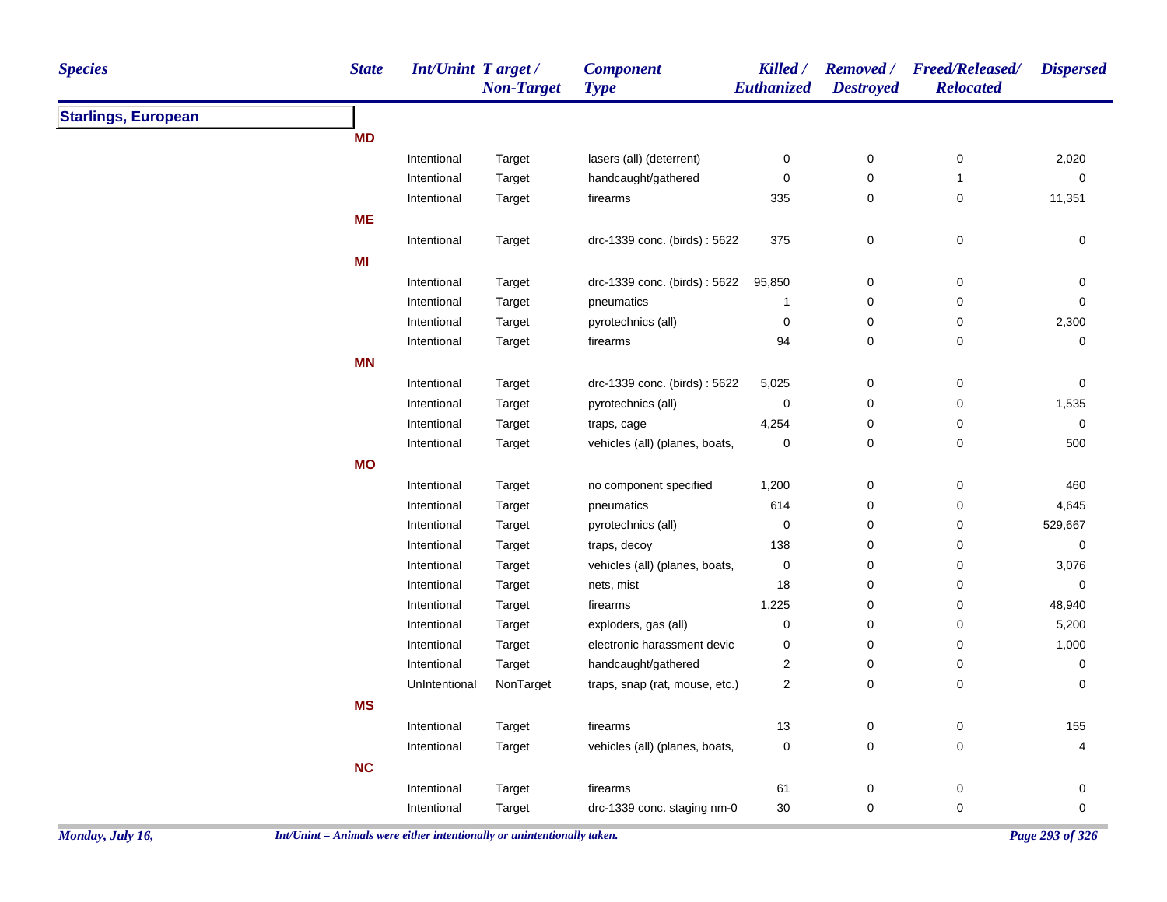| <b>Species</b>             | <b>State</b> | <b>Int/Unint Target/</b> | <b>Non-Target</b> | <b>Component</b><br><b>Type</b> | Killed /<br>Euthanized  | <b>Destroyed</b> | Removed / Freed/Released/<br><b>Relocated</b> | <b>Dispersed</b> |
|----------------------------|--------------|--------------------------|-------------------|---------------------------------|-------------------------|------------------|-----------------------------------------------|------------------|
| <b>Starlings, European</b> |              |                          |                   |                                 |                         |                  |                                               |                  |
|                            | <b>MD</b>    |                          |                   |                                 |                         |                  |                                               |                  |
|                            |              | Intentional              | Target            | lasers (all) (deterrent)        | 0                       | $\pmb{0}$        | $\pmb{0}$                                     | 2,020            |
|                            |              | Intentional              | Target            | handcaught/gathered             | $\pmb{0}$               | 0                | $\mathbf{1}$                                  | 0                |
|                            |              | Intentional              | Target            | firearms                        | 335                     | 0                | 0                                             | 11,351           |
|                            | <b>ME</b>    |                          |                   |                                 |                         |                  |                                               |                  |
|                            |              | Intentional              | Target            | drc-1339 conc. (birds): 5622    | 375                     | 0                | $\pmb{0}$                                     | 0                |
|                            | MI           |                          |                   |                                 |                         |                  |                                               |                  |
|                            |              | Intentional              | Target            | drc-1339 conc. (birds): 5622    | 95,850                  | 0                | 0                                             | 0                |
|                            |              | Intentional              | Target            | pneumatics                      | $\mathbf{1}$            | 0                | $\pmb{0}$                                     | $\mathbf 0$      |
|                            |              | Intentional              | Target            | pyrotechnics (all)              | $\pmb{0}$               | $\pmb{0}$        | 0                                             | 2,300            |
|                            |              | Intentional              | Target            | firearms                        | 94                      | 0                | 0                                             | 0                |
|                            | <b>MN</b>    |                          |                   |                                 |                         |                  |                                               |                  |
|                            |              | Intentional              | Target            | drc-1339 conc. (birds): 5622    | 5,025                   | 0                | 0                                             | 0                |
|                            |              | Intentional              | Target            | pyrotechnics (all)              | 0                       | $\mathbf 0$      | 0                                             | 1,535            |
|                            |              | Intentional              | Target            | traps, cage                     | 4,254                   | 0                | 0                                             | $\mathbf 0$      |
|                            |              | Intentional              | Target            | vehicles (all) (planes, boats,  | 0                       | $\pmb{0}$        | $\pmb{0}$                                     | 500              |
|                            | <b>MO</b>    |                          |                   |                                 |                         |                  |                                               |                  |
|                            |              | Intentional              | Target            | no component specified          | 1,200                   | $\pmb{0}$        | 0                                             | 460              |
|                            |              | Intentional              | Target            | pneumatics                      | 614                     | 0                | $\mathbf 0$                                   | 4,645            |
|                            |              | Intentional              | Target            | pyrotechnics (all)              | 0                       | 0                | 0                                             | 529,667          |
|                            |              | Intentional              | Target            | traps, decoy                    | 138                     | 0                | 0                                             | 0                |
|                            |              | Intentional              | Target            | vehicles (all) (planes, boats,  | 0                       | $\mathbf 0$      | 0                                             | 3,076            |
|                            |              | Intentional              | Target            | nets, mist                      | 18                      | $\mathbf 0$      | $\pmb{0}$                                     | 0                |
|                            |              | Intentional              | Target            | firearms                        | 1,225                   | $\mathbf 0$      | 0                                             | 48,940           |
|                            |              | Intentional              | Target            | exploders, gas (all)            | 0                       | 0                | 0                                             | 5,200            |
|                            |              | Intentional              | Target            | electronic harassment devic     | 0                       | 0                | 0                                             | 1,000            |
|                            |              | Intentional              | Target            | handcaught/gathered             | $\overline{\mathbf{c}}$ | 0                | $\pmb{0}$                                     | 0                |
|                            |              | UnIntentional            | NonTarget         | traps, snap (rat, mouse, etc.)  | $\overline{\mathbf{c}}$ | $\mathbf 0$      | 0                                             | 0                |
|                            | <b>MS</b>    |                          |                   |                                 |                         |                  |                                               |                  |
|                            |              | Intentional              | Target            | firearms                        | 13                      | 0                | $\pmb{0}$                                     | 155              |
|                            |              | Intentional              | Target            | vehicles (all) (planes, boats,  | 0                       | $\mathbf 0$      | $\mathbf 0$                                   | $\overline{4}$   |
|                            | <b>NC</b>    |                          |                   |                                 |                         |                  |                                               |                  |
|                            |              | Intentional              | Target            | firearms                        | 61                      | $\pmb{0}$        | $\pmb{0}$                                     | 0                |
|                            |              | Intentional              | Target            | drc-1339 conc. staging nm-0     | 30                      | $\mathbf 0$      | $\pmb{0}$                                     | $\mathbf 0$      |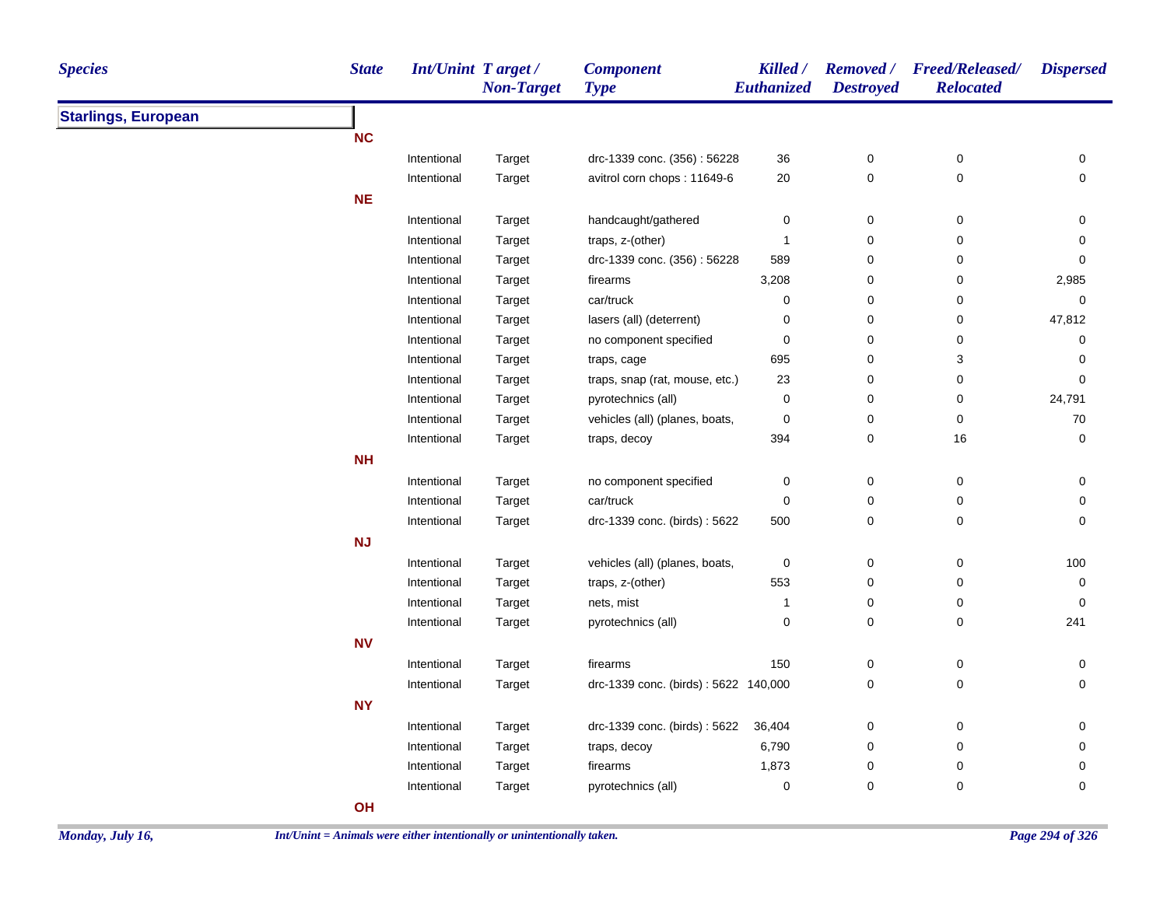| <b>Species</b>             | <b>State</b> | <b>Int/Unint Target/</b> | <b>Non-Target</b> | <b>Component</b><br><b>Type</b>      | Killed /<br>Euthanized | <b>Destroyed</b> | Removed / Freed/Released/<br><b>Relocated</b> | <b>Dispersed</b> |
|----------------------------|--------------|--------------------------|-------------------|--------------------------------------|------------------------|------------------|-----------------------------------------------|------------------|
| <b>Starlings, European</b> |              |                          |                   |                                      |                        |                  |                                               |                  |
|                            | <b>NC</b>    |                          |                   |                                      |                        |                  |                                               |                  |
|                            |              | Intentional              | Target            | drc-1339 conc. (356): 56228          | 36                     | 0                | $\pmb{0}$                                     | 0                |
|                            |              | Intentional              | Target            | avitrol corn chops: 11649-6          | 20                     | 0                | 0                                             | 0                |
|                            | <b>NE</b>    |                          |                   |                                      |                        |                  |                                               |                  |
|                            |              | Intentional              | Target            | handcaught/gathered                  | $\pmb{0}$              | 0                | $\mathbf 0$                                   | 0                |
|                            |              | Intentional              | Target            | traps, z-(other)                     | $\mathbf{1}$           | 0                | $\pmb{0}$                                     | 0                |
|                            |              | Intentional              | Target            | drc-1339 conc. (356): 56228          | 589                    | 0                | 0                                             | 0                |
|                            |              | Intentional              | Target            | firearms                             | 3,208                  | 0                | $\pmb{0}$                                     | 2,985            |
|                            |              | Intentional              | Target            | car/truck                            | $\mathbf 0$            | 0                | $\pmb{0}$                                     | 0                |
|                            |              | Intentional              | Target            | lasers (all) (deterrent)             | $\pmb{0}$              | 0                | $\pmb{0}$                                     | 47,812           |
|                            |              | Intentional              | Target            | no component specified               | $\pmb{0}$              | 0                | $\pmb{0}$                                     | 0                |
|                            |              | Intentional              | Target            | traps, cage                          | 695                    | 0                | 3                                             | 0                |
|                            |              | Intentional              | Target            | traps, snap (rat, mouse, etc.)       | 23                     | 0                | $\mathbf 0$                                   | 0                |
|                            |              | Intentional              | Target            | pyrotechnics (all)                   | 0                      | 0                | $\pmb{0}$                                     | 24,791           |
|                            |              | Intentional              | Target            | vehicles (all) (planes, boats,       | $\pmb{0}$              | 0                | $\pmb{0}$                                     | 70               |
|                            |              | Intentional              | Target            | traps, decoy                         | 394                    | 0                | 16                                            | 0                |
|                            | <b>NH</b>    |                          |                   |                                      |                        |                  |                                               |                  |
|                            |              | Intentional              | Target            | no component specified               | $\pmb{0}$              | 0                | $\pmb{0}$                                     | 0                |
|                            |              | Intentional              | Target            | car/truck                            | $\pmb{0}$              | 0                | $\pmb{0}$                                     | 0                |
|                            |              | Intentional              | Target            | drc-1339 conc. (birds): 5622         | 500                    | 0                | $\mathbf 0$                                   | 0                |
|                            | NJ           |                          |                   |                                      |                        |                  |                                               |                  |
|                            |              | Intentional              | Target            | vehicles (all) (planes, boats,       | $\pmb{0}$              | 0                | $\mathbf 0$                                   | 100              |
|                            |              | Intentional              | Target            | traps, z-(other)                     | 553                    | 0                | $\mathbf 0$                                   | 0                |
|                            |              | Intentional              | Target            | nets, mist                           | $\mathbf{1}$           | 0                | 0                                             | $\pmb{0}$        |
|                            |              | Intentional              | Target            | pyrotechnics (all)                   | 0                      | 0                | 0                                             | 241              |
|                            | <b>NV</b>    |                          |                   |                                      |                        |                  |                                               |                  |
|                            |              | Intentional              | Target            | firearms                             | 150                    | 0                | $\pmb{0}$                                     | 0                |
|                            |              | Intentional              | Target            | drc-1339 conc. (birds): 5622 140,000 |                        | 0                | $\mathbf 0$                                   | 0                |
|                            | <b>NY</b>    |                          |                   |                                      |                        |                  |                                               |                  |
|                            |              | Intentional              | Target            | drc-1339 conc. (birds): 5622         | 36,404                 | 0                | $\pmb{0}$                                     | 0                |
|                            |              | Intentional              | Target            | traps, decoy                         | 6,790                  | 0                | $\mathbf 0$                                   | 0                |
|                            |              | Intentional              | Target            | firearms                             | 1,873                  | 0                | 0                                             | 0                |
|                            |              | Intentional              | Target            | pyrotechnics (all)                   | $\pmb{0}$              | 0                | 0                                             | 0                |
|                            | OH           |                          |                   |                                      |                        |                  |                                               |                  |
|                            |              |                          |                   |                                      |                        |                  |                                               |                  |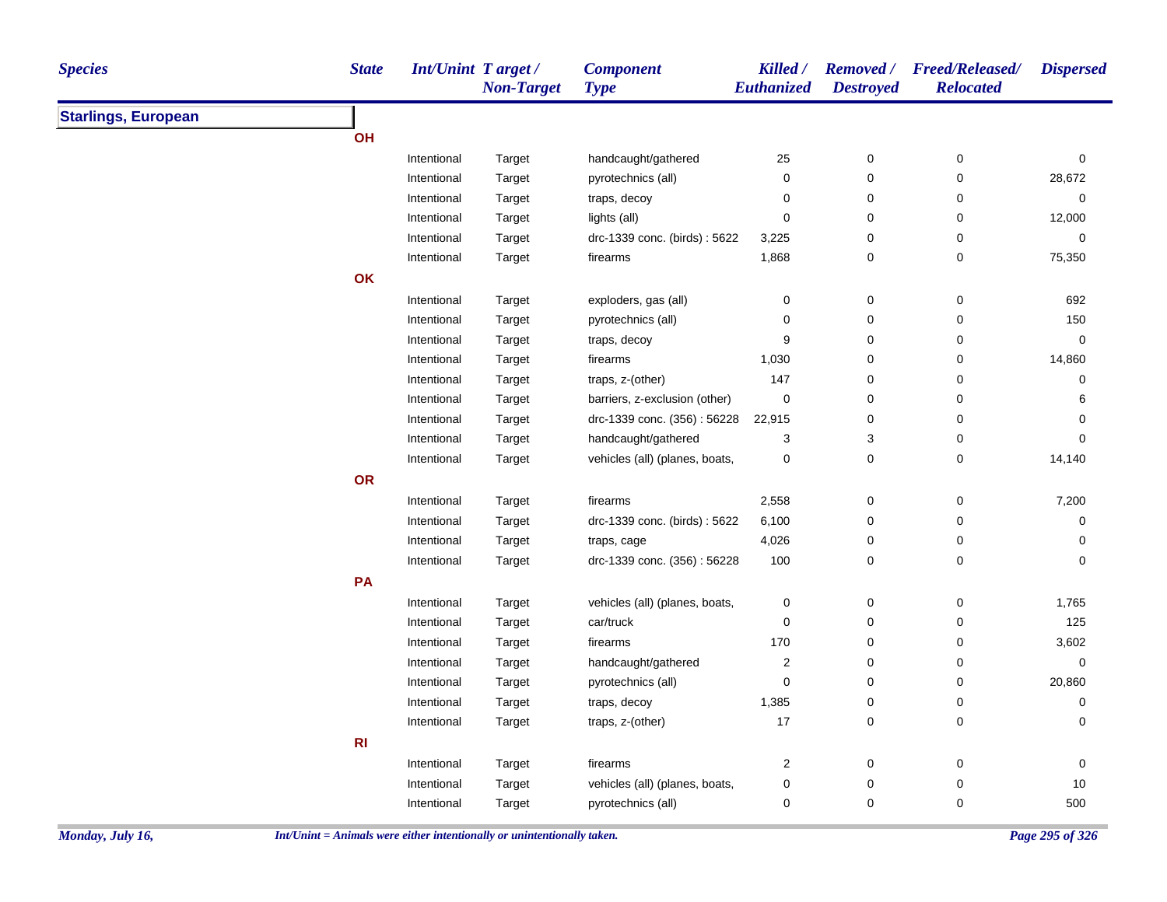| <b>Species</b>             | <b>State</b>   | <b>Int/Unint Target/</b> | <b>Non-Target</b> | <b>Component</b><br><b>Type</b> | Killed /<br>Euthanized  | <b>Destroyed</b> | Removed / Freed/Released/<br><b>Relocated</b> | <b>Dispersed</b> |
|----------------------------|----------------|--------------------------|-------------------|---------------------------------|-------------------------|------------------|-----------------------------------------------|------------------|
| <b>Starlings, European</b> |                |                          |                   |                                 |                         |                  |                                               |                  |
|                            | OH             |                          |                   |                                 |                         |                  |                                               |                  |
|                            |                | Intentional              | Target            | handcaught/gathered             | 25                      | $\pmb{0}$        | 0                                             | 0                |
|                            |                | Intentional              | Target            | pyrotechnics (all)              | 0                       | 0                | $\pmb{0}$                                     | 28,672           |
|                            |                | Intentional              | Target            | traps, decoy                    | 0                       | 0                | 0                                             | 0                |
|                            |                | Intentional              | Target            | lights (all)                    | 0                       | 0                | 0                                             | 12,000           |
|                            |                | Intentional              | Target            | drc-1339 conc. (birds): 5622    | 3,225                   | 0                | 0                                             | 0                |
|                            |                | Intentional              | Target            | firearms                        | 1,868                   | 0                | 0                                             | 75,350           |
|                            | OK             |                          |                   |                                 |                         |                  |                                               |                  |
|                            |                | Intentional              | Target            | exploders, gas (all)            | 0                       | $\pmb{0}$        | $\pmb{0}$                                     | 692              |
|                            |                | Intentional              | Target            | pyrotechnics (all)              | 0                       | 0                | 0                                             | 150              |
|                            |                | Intentional              | Target            | traps, decoy                    | 9                       | 0                | 0                                             | 0                |
|                            |                | Intentional              | Target            | firearms                        | 1,030                   | 0                | 0                                             | 14,860           |
|                            |                | Intentional              | Target            | traps, z-(other)                | 147                     | 0                | 0                                             | 0                |
|                            |                | Intentional              | Target            | barriers, z-exclusion (other)   | 0                       | 0                | 0                                             | 6                |
|                            |                | Intentional              | Target            | drc-1339 conc. (356): 56228     | 22,915                  | $\pmb{0}$        | 0                                             | 0                |
|                            |                | Intentional              | Target            | handcaught/gathered             | 3                       | 3                | 0                                             | 0                |
|                            |                | Intentional              | Target            | vehicles (all) (planes, boats,  | 0                       | 0                | 0                                             | 14,140           |
|                            | OR             |                          |                   |                                 |                         |                  |                                               |                  |
|                            |                | Intentional              | Target            | firearms                        | 2,558                   | $\pmb{0}$        | $\pmb{0}$                                     | 7,200            |
|                            |                | Intentional              | Target            | drc-1339 conc. (birds): 5622    | 6,100                   | 0                | 0                                             | 0                |
|                            |                | Intentional              | Target            | traps, cage                     | 4,026                   | 0                | 0                                             | 0                |
|                            |                | Intentional              | Target            | drc-1339 conc. (356): 56228     | 100                     | 0                | 0                                             | $\mathbf 0$      |
|                            | PA             |                          |                   |                                 |                         |                  |                                               |                  |
|                            |                | Intentional              | Target            | vehicles (all) (planes, boats,  | 0                       | 0                | 0                                             | 1,765            |
|                            |                | Intentional              | Target            | car/truck                       | 0                       | 0                | 0                                             | 125              |
|                            |                | Intentional              | Target            | firearms                        | 170                     | 0                | 0                                             | 3,602            |
|                            |                | Intentional              | Target            | handcaught/gathered             | $\overline{\mathbf{c}}$ | 0                | 0                                             | 0                |
|                            |                | Intentional              | Target            | pyrotechnics (all)              | 0                       | 0                | 0                                             | 20,860           |
|                            |                | Intentional              | Target            | traps, decoy                    | 1,385                   | 0                | 0                                             | 0                |
|                            |                | Intentional              | Target            | traps, z-(other)                | 17                      | 0                | 0                                             | 0                |
|                            | R <sub>l</sub> |                          |                   |                                 |                         |                  |                                               |                  |
|                            |                | Intentional              | Target            | firearms                        | 2                       | 0                | 0                                             | 0                |
|                            |                | Intentional              | Target            | vehicles (all) (planes, boats,  | 0                       | $\pmb{0}$        | 0                                             | 10               |
|                            |                | Intentional              | Target            | pyrotechnics (all)              | 0                       | 0                | 0                                             | 500              |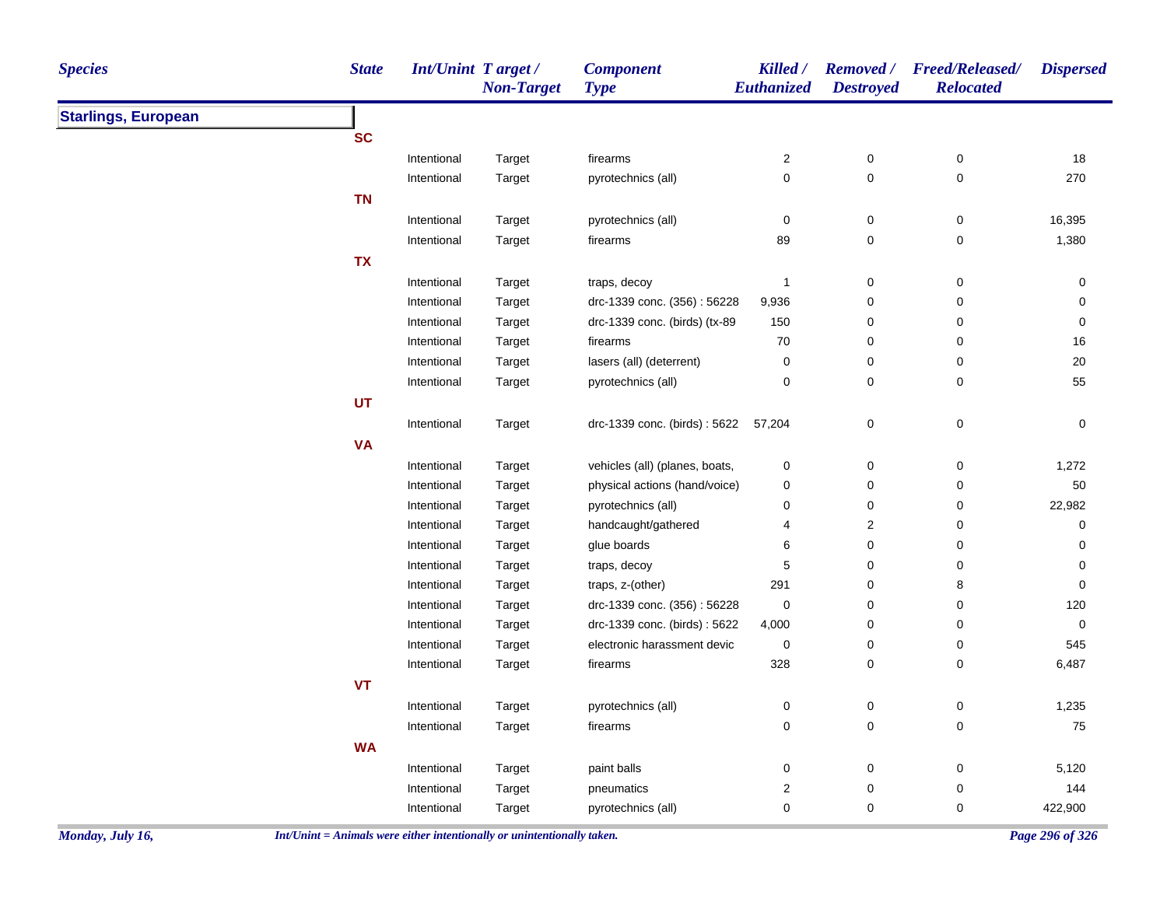| <b>Starlings, European</b><br><b>SC</b><br>Intentional<br>$\sqrt{2}$<br>$\pmb{0}$<br>$\pmb{0}$<br>18<br>Target<br>firearms<br>$\pmb{0}$<br>$\mathbf 0$<br>$\pmb{0}$<br>270<br>Intentional<br>Target<br>pyrotechnics (all)<br><b>TN</b><br>$\pmb{0}$<br>$\pmb{0}$<br>16,395<br>0<br>Intentional<br>Target<br>pyrotechnics (all)<br>89<br>$\pmb{0}$<br>1,380<br>Intentional<br>0<br>Target<br>firearms<br><b>TX</b><br>$\pmb{0}$<br>Intentional<br>$\mathbf{1}$<br>0<br>0<br>Target<br>traps, decoy<br>$\pmb{0}$<br>$\pmb{0}$<br>Intentional<br>drc-1339 conc. (356): 56228<br>9,936<br>0<br>Target<br>drc-1339 conc. (birds) (tx-89<br>150<br>0<br>$\pmb{0}$<br>$\pmb{0}$<br>Intentional<br>Target<br>0<br>Intentional<br>firearms<br>70<br>0<br>16<br>Target<br>Intentional<br>lasers (all) (deterrent)<br>$\pmb{0}$<br>0<br>0<br>20<br>Target<br>$\mathbf 0$<br>0<br>55<br>pyrotechnics (all)<br>0<br>Intentional<br>Target<br><b>UT</b><br>$\pmb{0}$<br>$\pmb{0}$<br>$\pmb{0}$<br>Intentional<br>drc-1339 conc. (birds): 5622<br>57,204<br>Target<br><b>VA</b><br>1,272<br>vehicles (all) (planes, boats,<br>$\pmb{0}$<br>0<br>0<br>Intentional<br>Target<br>$50\,$<br>physical actions (hand/voice)<br>$\pmb{0}$<br>$\pmb{0}$<br>$\pmb{0}$<br>Intentional<br>Target<br>$\pmb{0}$<br>$\pmb{0}$<br>22,982<br>Intentional<br>Target<br>pyrotechnics (all)<br>0<br>$\overline{c}$<br>Intentional<br>handcaught/gathered<br>$\overline{\mathbf{4}}$<br>0<br>0<br>Target<br>$\pmb{0}$<br>Intentional<br>glue boards<br>6<br>0<br>$\mathbf 0$<br>Target<br>traps, decoy<br>5<br>$\pmb{0}$<br>$\pmb{0}$<br>Intentional<br>0<br>Target<br>291<br>$\pmb{0}$<br>Intentional<br>traps, z-(other)<br>8<br>0<br>Target<br>Intentional<br>drc-1339 conc. (356): 56228<br>$\mathbf 0$<br>0<br>0<br>120<br>Target<br>$\pmb{0}$<br>Intentional<br>drc-1339 conc. (birds): 5622<br>4,000<br>0<br>0<br>Target<br>545<br>Intentional<br>Target<br>electronic harassment devic<br>$\boldsymbol{0}$<br>0<br>$\mathbf 0$<br>328<br>$\pmb{0}$<br>6,487<br>Intentional<br>Target<br>0<br>firearms<br>VT<br>$\pmb{0}$<br>$\pmb{0}$<br>1,235<br>Intentional<br>pyrotechnics (all)<br>$\pmb{0}$<br>Target<br>$\pmb{0}$<br>0<br>$\pmb{0}$<br>75<br>Intentional<br>Target<br>firearms<br><b>WA</b><br>$\mathsf 0$<br>5,120<br>Intentional<br>Target<br>paint balls<br>0<br>0<br>$\mathbf 2$<br>$\pmb{0}$<br>$\pmb{0}$<br>144<br>Intentional<br>Target<br>pneumatics<br>pyrotechnics (all)<br>$\mathbf 0$<br>$\pmb{0}$<br>$\mathbf 0$<br>422,900<br>Intentional<br>Target | <b>Species</b> | <b>State</b> | <b>Int/Unint Target/</b> | <b>Non-Target</b> | <b>Component</b><br><b>Type</b> | Killed /<br>Euthanized | <b>Destroyed</b> | Removed / Freed/Released/<br><b>Relocated</b> | <b>Dispersed</b> |
|----------------------------------------------------------------------------------------------------------------------------------------------------------------------------------------------------------------------------------------------------------------------------------------------------------------------------------------------------------------------------------------------------------------------------------------------------------------------------------------------------------------------------------------------------------------------------------------------------------------------------------------------------------------------------------------------------------------------------------------------------------------------------------------------------------------------------------------------------------------------------------------------------------------------------------------------------------------------------------------------------------------------------------------------------------------------------------------------------------------------------------------------------------------------------------------------------------------------------------------------------------------------------------------------------------------------------------------------------------------------------------------------------------------------------------------------------------------------------------------------------------------------------------------------------------------------------------------------------------------------------------------------------------------------------------------------------------------------------------------------------------------------------------------------------------------------------------------------------------------------------------------------------------------------------------------------------------------------------------------------------------------------------------------------------------------------------------------------------------------------------------------------------------------------------------------------------------------------------------------------------------------------------------------------------------------------------------------------------------------------------------------------------------------------------------------------------------------------------------------------------------------------------------------------|----------------|--------------|--------------------------|-------------------|---------------------------------|------------------------|------------------|-----------------------------------------------|------------------|
|                                                                                                                                                                                                                                                                                                                                                                                                                                                                                                                                                                                                                                                                                                                                                                                                                                                                                                                                                                                                                                                                                                                                                                                                                                                                                                                                                                                                                                                                                                                                                                                                                                                                                                                                                                                                                                                                                                                                                                                                                                                                                                                                                                                                                                                                                                                                                                                                                                                                                                                                              |                |              |                          |                   |                                 |                        |                  |                                               |                  |
|                                                                                                                                                                                                                                                                                                                                                                                                                                                                                                                                                                                                                                                                                                                                                                                                                                                                                                                                                                                                                                                                                                                                                                                                                                                                                                                                                                                                                                                                                                                                                                                                                                                                                                                                                                                                                                                                                                                                                                                                                                                                                                                                                                                                                                                                                                                                                                                                                                                                                                                                              |                |              |                          |                   |                                 |                        |                  |                                               |                  |
|                                                                                                                                                                                                                                                                                                                                                                                                                                                                                                                                                                                                                                                                                                                                                                                                                                                                                                                                                                                                                                                                                                                                                                                                                                                                                                                                                                                                                                                                                                                                                                                                                                                                                                                                                                                                                                                                                                                                                                                                                                                                                                                                                                                                                                                                                                                                                                                                                                                                                                                                              |                |              |                          |                   |                                 |                        |                  |                                               |                  |
|                                                                                                                                                                                                                                                                                                                                                                                                                                                                                                                                                                                                                                                                                                                                                                                                                                                                                                                                                                                                                                                                                                                                                                                                                                                                                                                                                                                                                                                                                                                                                                                                                                                                                                                                                                                                                                                                                                                                                                                                                                                                                                                                                                                                                                                                                                                                                                                                                                                                                                                                              |                |              |                          |                   |                                 |                        |                  |                                               |                  |
|                                                                                                                                                                                                                                                                                                                                                                                                                                                                                                                                                                                                                                                                                                                                                                                                                                                                                                                                                                                                                                                                                                                                                                                                                                                                                                                                                                                                                                                                                                                                                                                                                                                                                                                                                                                                                                                                                                                                                                                                                                                                                                                                                                                                                                                                                                                                                                                                                                                                                                                                              |                |              |                          |                   |                                 |                        |                  |                                               |                  |
|                                                                                                                                                                                                                                                                                                                                                                                                                                                                                                                                                                                                                                                                                                                                                                                                                                                                                                                                                                                                                                                                                                                                                                                                                                                                                                                                                                                                                                                                                                                                                                                                                                                                                                                                                                                                                                                                                                                                                                                                                                                                                                                                                                                                                                                                                                                                                                                                                                                                                                                                              |                |              |                          |                   |                                 |                        |                  |                                               |                  |
|                                                                                                                                                                                                                                                                                                                                                                                                                                                                                                                                                                                                                                                                                                                                                                                                                                                                                                                                                                                                                                                                                                                                                                                                                                                                                                                                                                                                                                                                                                                                                                                                                                                                                                                                                                                                                                                                                                                                                                                                                                                                                                                                                                                                                                                                                                                                                                                                                                                                                                                                              |                |              |                          |                   |                                 |                        |                  |                                               |                  |
|                                                                                                                                                                                                                                                                                                                                                                                                                                                                                                                                                                                                                                                                                                                                                                                                                                                                                                                                                                                                                                                                                                                                                                                                                                                                                                                                                                                                                                                                                                                                                                                                                                                                                                                                                                                                                                                                                                                                                                                                                                                                                                                                                                                                                                                                                                                                                                                                                                                                                                                                              |                |              |                          |                   |                                 |                        |                  |                                               |                  |
|                                                                                                                                                                                                                                                                                                                                                                                                                                                                                                                                                                                                                                                                                                                                                                                                                                                                                                                                                                                                                                                                                                                                                                                                                                                                                                                                                                                                                                                                                                                                                                                                                                                                                                                                                                                                                                                                                                                                                                                                                                                                                                                                                                                                                                                                                                                                                                                                                                                                                                                                              |                |              |                          |                   |                                 |                        |                  |                                               |                  |
|                                                                                                                                                                                                                                                                                                                                                                                                                                                                                                                                                                                                                                                                                                                                                                                                                                                                                                                                                                                                                                                                                                                                                                                                                                                                                                                                                                                                                                                                                                                                                                                                                                                                                                                                                                                                                                                                                                                                                                                                                                                                                                                                                                                                                                                                                                                                                                                                                                                                                                                                              |                |              |                          |                   |                                 |                        |                  |                                               |                  |
|                                                                                                                                                                                                                                                                                                                                                                                                                                                                                                                                                                                                                                                                                                                                                                                                                                                                                                                                                                                                                                                                                                                                                                                                                                                                                                                                                                                                                                                                                                                                                                                                                                                                                                                                                                                                                                                                                                                                                                                                                                                                                                                                                                                                                                                                                                                                                                                                                                                                                                                                              |                |              |                          |                   |                                 |                        |                  |                                               |                  |
|                                                                                                                                                                                                                                                                                                                                                                                                                                                                                                                                                                                                                                                                                                                                                                                                                                                                                                                                                                                                                                                                                                                                                                                                                                                                                                                                                                                                                                                                                                                                                                                                                                                                                                                                                                                                                                                                                                                                                                                                                                                                                                                                                                                                                                                                                                                                                                                                                                                                                                                                              |                |              |                          |                   |                                 |                        |                  |                                               |                  |
|                                                                                                                                                                                                                                                                                                                                                                                                                                                                                                                                                                                                                                                                                                                                                                                                                                                                                                                                                                                                                                                                                                                                                                                                                                                                                                                                                                                                                                                                                                                                                                                                                                                                                                                                                                                                                                                                                                                                                                                                                                                                                                                                                                                                                                                                                                                                                                                                                                                                                                                                              |                |              |                          |                   |                                 |                        |                  |                                               |                  |
|                                                                                                                                                                                                                                                                                                                                                                                                                                                                                                                                                                                                                                                                                                                                                                                                                                                                                                                                                                                                                                                                                                                                                                                                                                                                                                                                                                                                                                                                                                                                                                                                                                                                                                                                                                                                                                                                                                                                                                                                                                                                                                                                                                                                                                                                                                                                                                                                                                                                                                                                              |                |              |                          |                   |                                 |                        |                  |                                               |                  |
|                                                                                                                                                                                                                                                                                                                                                                                                                                                                                                                                                                                                                                                                                                                                                                                                                                                                                                                                                                                                                                                                                                                                                                                                                                                                                                                                                                                                                                                                                                                                                                                                                                                                                                                                                                                                                                                                                                                                                                                                                                                                                                                                                                                                                                                                                                                                                                                                                                                                                                                                              |                |              |                          |                   |                                 |                        |                  |                                               |                  |
|                                                                                                                                                                                                                                                                                                                                                                                                                                                                                                                                                                                                                                                                                                                                                                                                                                                                                                                                                                                                                                                                                                                                                                                                                                                                                                                                                                                                                                                                                                                                                                                                                                                                                                                                                                                                                                                                                                                                                                                                                                                                                                                                                                                                                                                                                                                                                                                                                                                                                                                                              |                |              |                          |                   |                                 |                        |                  |                                               |                  |
|                                                                                                                                                                                                                                                                                                                                                                                                                                                                                                                                                                                                                                                                                                                                                                                                                                                                                                                                                                                                                                                                                                                                                                                                                                                                                                                                                                                                                                                                                                                                                                                                                                                                                                                                                                                                                                                                                                                                                                                                                                                                                                                                                                                                                                                                                                                                                                                                                                                                                                                                              |                |              |                          |                   |                                 |                        |                  |                                               |                  |
|                                                                                                                                                                                                                                                                                                                                                                                                                                                                                                                                                                                                                                                                                                                                                                                                                                                                                                                                                                                                                                                                                                                                                                                                                                                                                                                                                                                                                                                                                                                                                                                                                                                                                                                                                                                                                                                                                                                                                                                                                                                                                                                                                                                                                                                                                                                                                                                                                                                                                                                                              |                |              |                          |                   |                                 |                        |                  |                                               |                  |
|                                                                                                                                                                                                                                                                                                                                                                                                                                                                                                                                                                                                                                                                                                                                                                                                                                                                                                                                                                                                                                                                                                                                                                                                                                                                                                                                                                                                                                                                                                                                                                                                                                                                                                                                                                                                                                                                                                                                                                                                                                                                                                                                                                                                                                                                                                                                                                                                                                                                                                                                              |                |              |                          |                   |                                 |                        |                  |                                               |                  |
|                                                                                                                                                                                                                                                                                                                                                                                                                                                                                                                                                                                                                                                                                                                                                                                                                                                                                                                                                                                                                                                                                                                                                                                                                                                                                                                                                                                                                                                                                                                                                                                                                                                                                                                                                                                                                                                                                                                                                                                                                                                                                                                                                                                                                                                                                                                                                                                                                                                                                                                                              |                |              |                          |                   |                                 |                        |                  |                                               |                  |
|                                                                                                                                                                                                                                                                                                                                                                                                                                                                                                                                                                                                                                                                                                                                                                                                                                                                                                                                                                                                                                                                                                                                                                                                                                                                                                                                                                                                                                                                                                                                                                                                                                                                                                                                                                                                                                                                                                                                                                                                                                                                                                                                                                                                                                                                                                                                                                                                                                                                                                                                              |                |              |                          |                   |                                 |                        |                  |                                               |                  |
|                                                                                                                                                                                                                                                                                                                                                                                                                                                                                                                                                                                                                                                                                                                                                                                                                                                                                                                                                                                                                                                                                                                                                                                                                                                                                                                                                                                                                                                                                                                                                                                                                                                                                                                                                                                                                                                                                                                                                                                                                                                                                                                                                                                                                                                                                                                                                                                                                                                                                                                                              |                |              |                          |                   |                                 |                        |                  |                                               |                  |
|                                                                                                                                                                                                                                                                                                                                                                                                                                                                                                                                                                                                                                                                                                                                                                                                                                                                                                                                                                                                                                                                                                                                                                                                                                                                                                                                                                                                                                                                                                                                                                                                                                                                                                                                                                                                                                                                                                                                                                                                                                                                                                                                                                                                                                                                                                                                                                                                                                                                                                                                              |                |              |                          |                   |                                 |                        |                  |                                               |                  |
|                                                                                                                                                                                                                                                                                                                                                                                                                                                                                                                                                                                                                                                                                                                                                                                                                                                                                                                                                                                                                                                                                                                                                                                                                                                                                                                                                                                                                                                                                                                                                                                                                                                                                                                                                                                                                                                                                                                                                                                                                                                                                                                                                                                                                                                                                                                                                                                                                                                                                                                                              |                |              |                          |                   |                                 |                        |                  |                                               |                  |
|                                                                                                                                                                                                                                                                                                                                                                                                                                                                                                                                                                                                                                                                                                                                                                                                                                                                                                                                                                                                                                                                                                                                                                                                                                                                                                                                                                                                                                                                                                                                                                                                                                                                                                                                                                                                                                                                                                                                                                                                                                                                                                                                                                                                                                                                                                                                                                                                                                                                                                                                              |                |              |                          |                   |                                 |                        |                  |                                               |                  |
|                                                                                                                                                                                                                                                                                                                                                                                                                                                                                                                                                                                                                                                                                                                                                                                                                                                                                                                                                                                                                                                                                                                                                                                                                                                                                                                                                                                                                                                                                                                                                                                                                                                                                                                                                                                                                                                                                                                                                                                                                                                                                                                                                                                                                                                                                                                                                                                                                                                                                                                                              |                |              |                          |                   |                                 |                        |                  |                                               |                  |
|                                                                                                                                                                                                                                                                                                                                                                                                                                                                                                                                                                                                                                                                                                                                                                                                                                                                                                                                                                                                                                                                                                                                                                                                                                                                                                                                                                                                                                                                                                                                                                                                                                                                                                                                                                                                                                                                                                                                                                                                                                                                                                                                                                                                                                                                                                                                                                                                                                                                                                                                              |                |              |                          |                   |                                 |                        |                  |                                               |                  |
|                                                                                                                                                                                                                                                                                                                                                                                                                                                                                                                                                                                                                                                                                                                                                                                                                                                                                                                                                                                                                                                                                                                                                                                                                                                                                                                                                                                                                                                                                                                                                                                                                                                                                                                                                                                                                                                                                                                                                                                                                                                                                                                                                                                                                                                                                                                                                                                                                                                                                                                                              |                |              |                          |                   |                                 |                        |                  |                                               |                  |
|                                                                                                                                                                                                                                                                                                                                                                                                                                                                                                                                                                                                                                                                                                                                                                                                                                                                                                                                                                                                                                                                                                                                                                                                                                                                                                                                                                                                                                                                                                                                                                                                                                                                                                                                                                                                                                                                                                                                                                                                                                                                                                                                                                                                                                                                                                                                                                                                                                                                                                                                              |                |              |                          |                   |                                 |                        |                  |                                               |                  |
|                                                                                                                                                                                                                                                                                                                                                                                                                                                                                                                                                                                                                                                                                                                                                                                                                                                                                                                                                                                                                                                                                                                                                                                                                                                                                                                                                                                                                                                                                                                                                                                                                                                                                                                                                                                                                                                                                                                                                                                                                                                                                                                                                                                                                                                                                                                                                                                                                                                                                                                                              |                |              |                          |                   |                                 |                        |                  |                                               |                  |
|                                                                                                                                                                                                                                                                                                                                                                                                                                                                                                                                                                                                                                                                                                                                                                                                                                                                                                                                                                                                                                                                                                                                                                                                                                                                                                                                                                                                                                                                                                                                                                                                                                                                                                                                                                                                                                                                                                                                                                                                                                                                                                                                                                                                                                                                                                                                                                                                                                                                                                                                              |                |              |                          |                   |                                 |                        |                  |                                               |                  |
|                                                                                                                                                                                                                                                                                                                                                                                                                                                                                                                                                                                                                                                                                                                                                                                                                                                                                                                                                                                                                                                                                                                                                                                                                                                                                                                                                                                                                                                                                                                                                                                                                                                                                                                                                                                                                                                                                                                                                                                                                                                                                                                                                                                                                                                                                                                                                                                                                                                                                                                                              |                |              |                          |                   |                                 |                        |                  |                                               |                  |
|                                                                                                                                                                                                                                                                                                                                                                                                                                                                                                                                                                                                                                                                                                                                                                                                                                                                                                                                                                                                                                                                                                                                                                                                                                                                                                                                                                                                                                                                                                                                                                                                                                                                                                                                                                                                                                                                                                                                                                                                                                                                                                                                                                                                                                                                                                                                                                                                                                                                                                                                              |                |              |                          |                   |                                 |                        |                  |                                               |                  |
|                                                                                                                                                                                                                                                                                                                                                                                                                                                                                                                                                                                                                                                                                                                                                                                                                                                                                                                                                                                                                                                                                                                                                                                                                                                                                                                                                                                                                                                                                                                                                                                                                                                                                                                                                                                                                                                                                                                                                                                                                                                                                                                                                                                                                                                                                                                                                                                                                                                                                                                                              |                |              |                          |                   |                                 |                        |                  |                                               |                  |
|                                                                                                                                                                                                                                                                                                                                                                                                                                                                                                                                                                                                                                                                                                                                                                                                                                                                                                                                                                                                                                                                                                                                                                                                                                                                                                                                                                                                                                                                                                                                                                                                                                                                                                                                                                                                                                                                                                                                                                                                                                                                                                                                                                                                                                                                                                                                                                                                                                                                                                                                              |                |              |                          |                   |                                 |                        |                  |                                               |                  |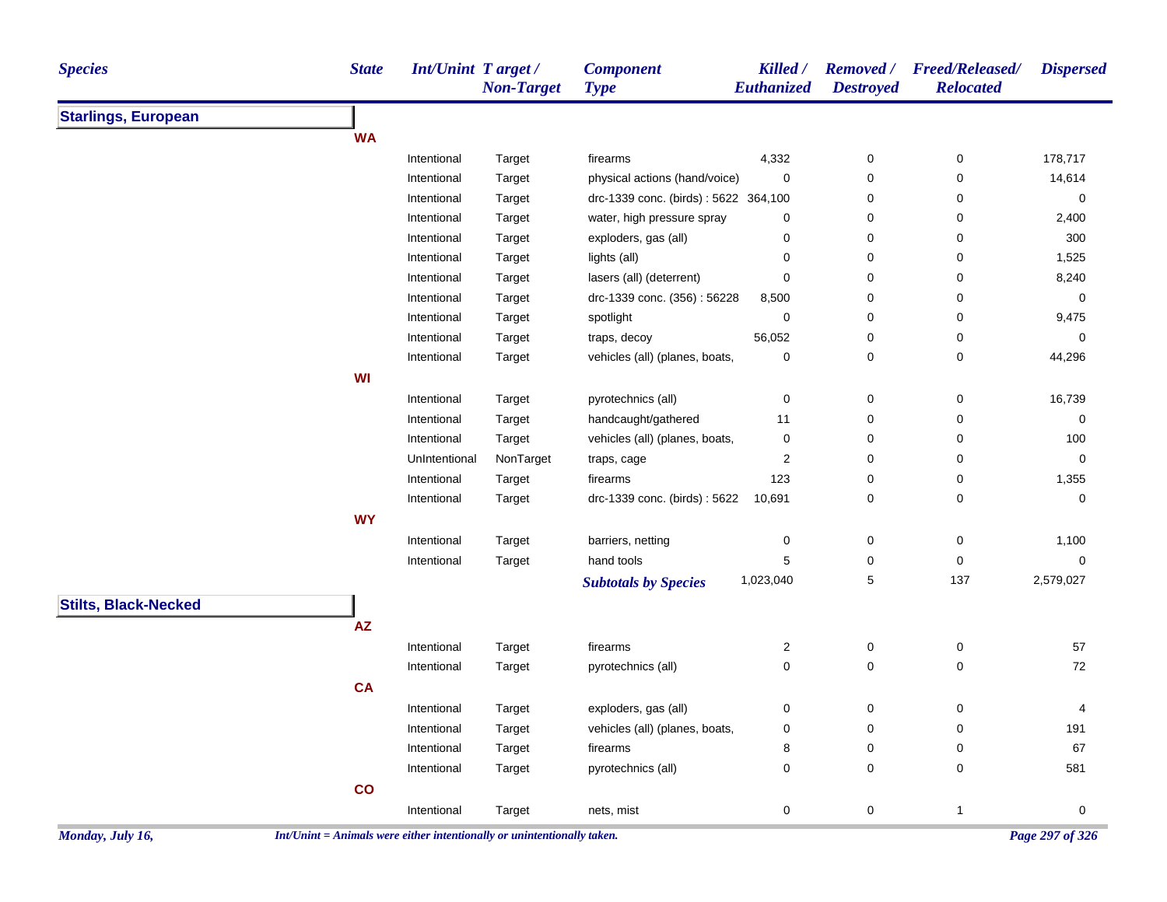| <b>Species</b>              | <b>State</b>                                                             | <b>Int/Unint T arget /</b> | <b>Non-Target</b> | <b>Component</b><br><b>Type</b>                        | Killed /<br>Euthanized | <b>Removed</b> /<br><b>Destroyed</b> | <b>Freed/Released/</b><br><b>Relocated</b> | <b>Dispersed</b> |
|-----------------------------|--------------------------------------------------------------------------|----------------------------|-------------------|--------------------------------------------------------|------------------------|--------------------------------------|--------------------------------------------|------------------|
| <b>Starlings, European</b>  |                                                                          |                            |                   |                                                        |                        |                                      |                                            |                  |
|                             | <b>WA</b>                                                                |                            |                   |                                                        |                        |                                      |                                            |                  |
|                             |                                                                          | Intentional                | Target            | firearms                                               | 4,332                  | 0                                    | 0                                          | 178,717          |
|                             |                                                                          | Intentional                | Target            | physical actions (hand/voice)                          | 0                      | 0                                    | 0                                          | 14,614           |
|                             |                                                                          | Intentional                | Target            | drc-1339 conc. (birds): 5622 364,100                   |                        | 0                                    | 0                                          | 0                |
|                             |                                                                          | Intentional                | Target            | water, high pressure spray                             | 0                      | 0                                    | 0                                          | 2,400            |
|                             |                                                                          | Intentional                | Target            | exploders, gas (all)                                   | 0                      | 0                                    | 0                                          | 300              |
|                             |                                                                          | Intentional                | Target            | lights (all)                                           | 0                      | 0                                    | 0                                          | 1,525            |
|                             |                                                                          | Intentional                | Target            | lasers (all) (deterrent)                               | 0                      | 0                                    | 0                                          | 8,240            |
|                             |                                                                          | Intentional                | Target            | drc-1339 conc. (356): 56228                            | 8,500                  | 0                                    | 0                                          | 0                |
|                             |                                                                          | Intentional                | Target            | spotlight                                              | 0                      | 0                                    | 0                                          | 9,475            |
|                             |                                                                          | Intentional                | Target            | traps, decoy                                           | 56,052                 | 0                                    | 0                                          | 0                |
|                             |                                                                          | Intentional                | Target            | vehicles (all) (planes, boats,                         | 0                      | 0                                    | 0                                          | 44,296           |
|                             | WI                                                                       |                            |                   |                                                        |                        |                                      |                                            |                  |
|                             |                                                                          | Intentional                | Target            | pyrotechnics (all)                                     | 0                      | 0                                    | 0                                          | 16,739           |
|                             |                                                                          | Intentional                | Target            | handcaught/gathered                                    | 11                     | 0                                    | 0                                          | 0                |
|                             |                                                                          | Intentional                | Target            | vehicles (all) (planes, boats,                         | 0                      | 0                                    | 0                                          | 100              |
|                             |                                                                          | UnIntentional              | NonTarget         | traps, cage                                            | 2                      | 0                                    | 0                                          | 0                |
|                             |                                                                          | Intentional                | Target            | firearms                                               | 123                    | 0                                    | 0                                          | 1,355            |
|                             |                                                                          | Intentional                | Target            | drc-1339 conc. (birds): 5622                           | 10,691                 | 0                                    | 0                                          | 0                |
|                             | <b>WY</b>                                                                |                            |                   |                                                        |                        |                                      |                                            |                  |
|                             |                                                                          | Intentional                | Target            | barriers, netting                                      | 0                      | 0                                    | 0                                          | 1,100            |
|                             |                                                                          | Intentional                | Target            | hand tools                                             | 5                      | 0                                    | 0                                          | 0                |
|                             |                                                                          |                            |                   | <b>Subtotals by Species</b>                            | 1,023,040              | 5                                    | 137                                        | 2,579,027        |
| <b>Stilts, Black-Necked</b> |                                                                          |                            |                   |                                                        |                        |                                      |                                            |                  |
|                             | $\mathsf{A}\mathsf{Z}$                                                   |                            |                   |                                                        |                        |                                      |                                            |                  |
|                             |                                                                          | Intentional                | Target            | firearms                                               | 2                      | 0                                    | 0                                          | 57               |
|                             |                                                                          | Intentional                | Target            | pyrotechnics (all)                                     | 0                      | 0                                    | 0                                          | 72               |
|                             | <b>CA</b>                                                                |                            |                   |                                                        |                        |                                      |                                            |                  |
|                             |                                                                          | Intentional                |                   |                                                        |                        |                                      |                                            |                  |
|                             |                                                                          |                            | Target            | exploders, gas (all)<br>vehicles (all) (planes, boats, | 0                      | 0<br>0                               | 0<br>0                                     | 4<br>191         |
|                             |                                                                          | Intentional<br>Intentional | Target<br>Target  | firearms                                               | 0                      |                                      | 0                                          | 67               |
|                             |                                                                          |                            |                   |                                                        | 8                      | 0                                    |                                            |                  |
|                             |                                                                          | Intentional                | Target            | pyrotechnics (all)                                     | 0                      | 0                                    | 0                                          | 581              |
|                             | $\mathbf{co}$                                                            |                            |                   |                                                        |                        |                                      |                                            |                  |
|                             |                                                                          | Intentional                | Target            | nets, mist                                             | 0                      | $\mathbf 0$                          | $\mathbf{1}$                               | 0                |
| Monday, July 16,            | $Int/Unit = Animals$ were either intentionally or unintentionally taken. |                            |                   |                                                        |                        |                                      |                                            | Page 297 of 326  |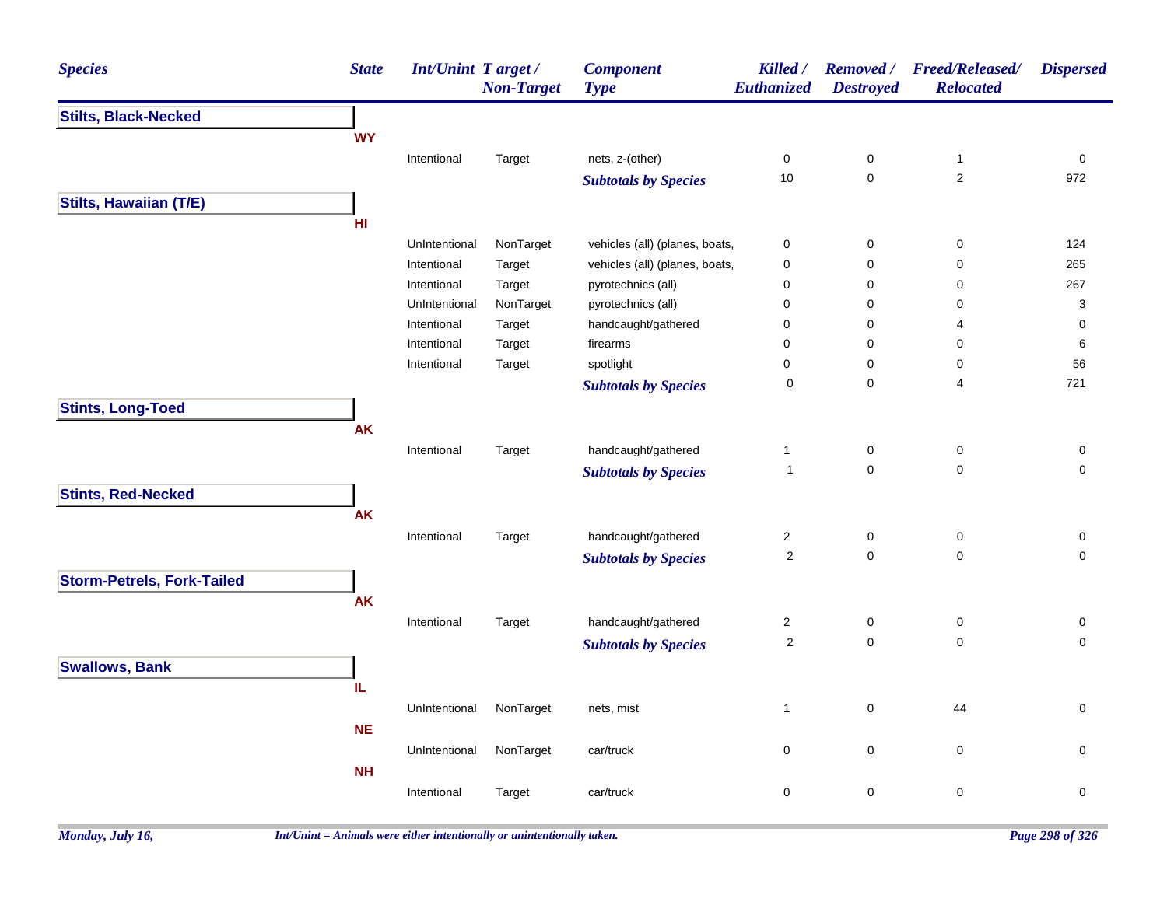| <b>Species</b>                    | <b>State</b> | <b>Int/Unint Target/</b> | <b>Non-Target</b> | <b>Component</b><br><b>Type</b> | Killed /<br><b>Euthanized</b> | <b>Removed</b> /<br><b>Destroyed</b> | Freed/Released/<br><b>Relocated</b> | <b>Dispersed</b>          |
|-----------------------------------|--------------|--------------------------|-------------------|---------------------------------|-------------------------------|--------------------------------------|-------------------------------------|---------------------------|
| <b>Stilts, Black-Necked</b>       |              |                          |                   |                                 |                               |                                      |                                     |                           |
|                                   | <b>WY</b>    |                          |                   |                                 |                               |                                      |                                     |                           |
|                                   |              | Intentional              | Target            | nets, z-(other)                 | 0                             | 0                                    | $\mathbf{1}$                        | 0                         |
|                                   |              |                          |                   | <b>Subtotals by Species</b>     | $10$                          | $\mathsf 0$                          | $\overline{2}$                      | 972                       |
| <b>Stilts, Hawaiian (T/E)</b>     |              |                          |                   |                                 |                               |                                      |                                     |                           |
|                                   | HI           |                          |                   |                                 |                               |                                      |                                     |                           |
|                                   |              | UnIntentional            | NonTarget         | vehicles (all) (planes, boats,  | $\pmb{0}$                     | $\pmb{0}$                            | $\pmb{0}$                           | 124                       |
|                                   |              | Intentional              | Target            | vehicles (all) (planes, boats,  | 0                             | $\pmb{0}$                            | $\mathbf 0$                         | 265                       |
|                                   |              | Intentional              | Target            | pyrotechnics (all)              | 0                             | $\pmb{0}$                            | $\mathbf 0$                         | 267                       |
|                                   |              | UnIntentional            | NonTarget         | pyrotechnics (all)              | $\mathbf 0$                   | $\mathbf 0$                          | $\mathbf 0$                         | $\ensuremath{\mathsf{3}}$ |
|                                   |              | Intentional              | Target            | handcaught/gathered             | $\pmb{0}$                     | $\pmb{0}$                            | 4                                   | $\pmb{0}$                 |
|                                   |              | Intentional              | Target            | firearms                        | 0                             | $\pmb{0}$                            | $\mathbf 0$                         | 6                         |
|                                   |              | Intentional              | Target            | spotlight                       | 0                             | $\pmb{0}$                            | $\mathbf 0$                         | 56                        |
|                                   |              |                          |                   | <b>Subtotals by Species</b>     | $\mathbf 0$                   | $\mathsf 0$                          | $\overline{4}$                      | 721                       |
| <b>Stints, Long-Toed</b>          |              |                          |                   |                                 |                               |                                      |                                     |                           |
|                                   | <b>AK</b>    |                          |                   |                                 |                               |                                      |                                     |                           |
|                                   |              | Intentional              | Target            | handcaught/gathered             | 1                             | 0                                    | $\pmb{0}$                           | $\pmb{0}$                 |
|                                   |              |                          |                   | <b>Subtotals by Species</b>     | $\overline{1}$                | $\mathsf 0$                          | $\pmb{0}$                           | $\mathsf 0$               |
| <b>Stints, Red-Necked</b>         |              |                          |                   |                                 |                               |                                      |                                     |                           |
|                                   | AK           |                          |                   |                                 |                               |                                      |                                     |                           |
|                                   |              | Intentional              | Target            | handcaught/gathered             | $\overline{\mathbf{c}}$       | 0                                    | $\mathbf 0$                         | $\pmb{0}$                 |
|                                   |              |                          |                   | <b>Subtotals by Species</b>     | $\boldsymbol{2}$              | 0                                    | $\pmb{0}$                           | 0                         |
| <b>Storm-Petrels, Fork-Tailed</b> |              |                          |                   |                                 |                               |                                      |                                     |                           |
|                                   | <b>AK</b>    |                          |                   |                                 |                               |                                      |                                     |                           |
|                                   |              | Intentional              | Target            | handcaught/gathered             | $\overline{\mathbf{c}}$       | $\mathsf 0$                          | $\pmb{0}$                           | 0                         |
|                                   |              |                          |                   |                                 | $\sqrt{2}$                    | $\mathbf 0$                          | $\mathbf 0$                         | $\mathbf 0$               |
|                                   |              |                          |                   | <b>Subtotals by Species</b>     |                               |                                      |                                     |                           |
| <b>Swallows, Bank</b>             |              |                          |                   |                                 |                               |                                      |                                     |                           |
|                                   | IL.          |                          |                   |                                 |                               |                                      |                                     |                           |
|                                   |              | UnIntentional            | NonTarget         | nets, mist                      | $\mathbf{1}$                  | $\pmb{0}$                            | 44                                  | $\mathbf 0$               |
|                                   | <b>NE</b>    |                          |                   |                                 |                               |                                      |                                     |                           |
|                                   |              | UnIntentional            | NonTarget         | car/truck                       | $\mathbf 0$                   | $\pmb{0}$                            | $\mathbf 0$                         | $\mathbf 0$               |
|                                   | <b>NH</b>    |                          |                   |                                 |                               |                                      |                                     |                           |
|                                   |              | Intentional              | Target            | car/truck                       | $\pmb{0}$                     | $\pmb{0}$                            | $\pmb{0}$                           | $\pmb{0}$                 |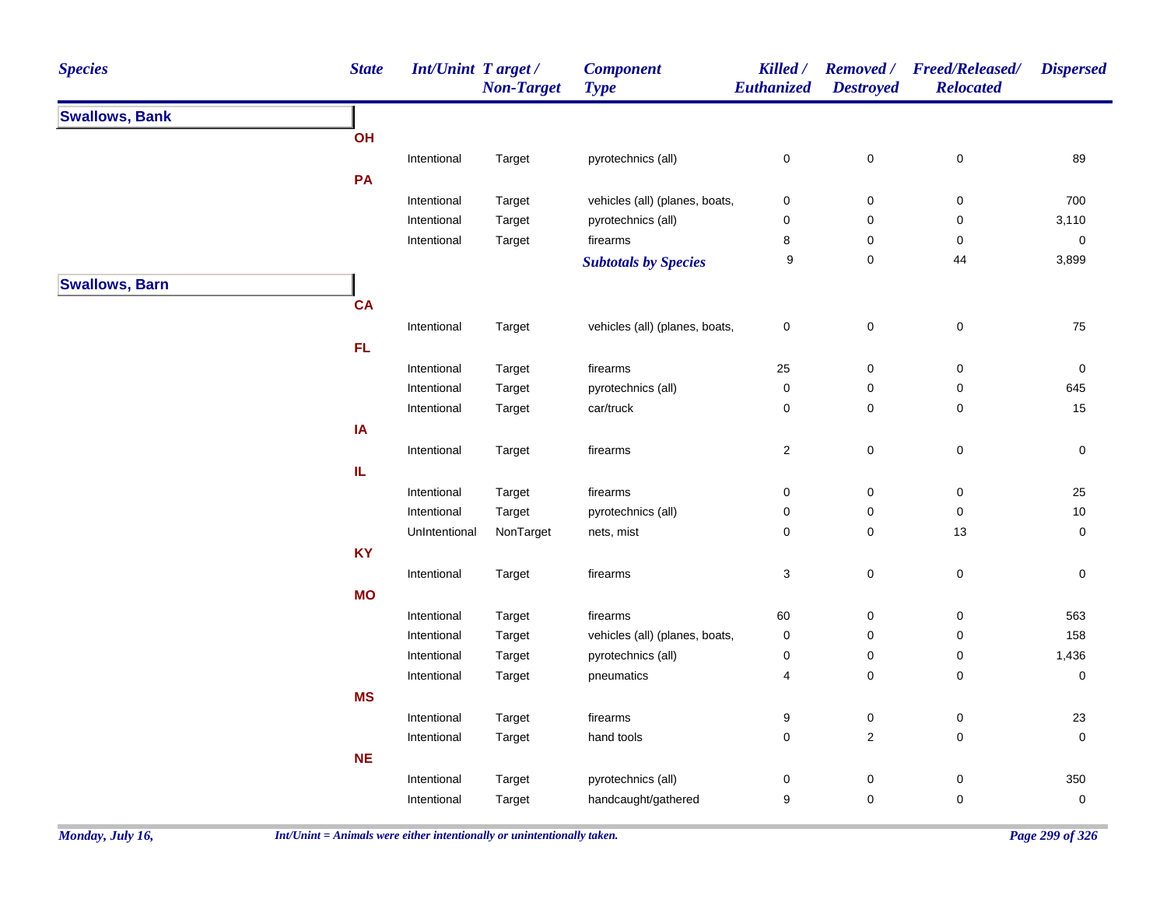| <b>Species</b>        | <b>State</b>                      | <b>Int/Unint Target/</b>     | <b>Non-Target</b> | <b>Component</b><br><b>Type</b> | Killed /<br>Euthanized    | <b>Removed</b> /<br><b>Destroyed</b> | <b>Freed/Released/</b><br><b>Relocated</b> | <b>Dispersed</b>    |
|-----------------------|-----------------------------------|------------------------------|-------------------|---------------------------------|---------------------------|--------------------------------------|--------------------------------------------|---------------------|
| <b>Swallows, Bank</b> |                                   |                              |                   |                                 |                           |                                      |                                            |                     |
|                       | OH                                |                              |                   |                                 |                           |                                      |                                            |                     |
|                       |                                   | Intentional                  | Target            | pyrotechnics (all)              | $\pmb{0}$                 | $\pmb{0}$                            | $\pmb{0}$                                  | 89                  |
|                       | PA                                |                              |                   |                                 |                           |                                      |                                            |                     |
|                       |                                   | Intentional                  | Target            | vehicles (all) (planes, boats,  | 0                         | $\pmb{0}$                            | $\pmb{0}$                                  | 700                 |
|                       |                                   | Intentional                  | Target            | pyrotechnics (all)              | $\pmb{0}$                 | 0                                    | 0                                          | 3,110               |
|                       |                                   | Intentional                  | Target            | firearms                        | 8                         | 0                                    | 0                                          | $\pmb{0}$           |
|                       |                                   |                              |                   | <b>Subtotals by Species</b>     | 9                         | $\mathbf 0$                          | 44                                         | 3,899               |
| <b>Swallows, Barn</b> |                                   |                              |                   |                                 |                           |                                      |                                            |                     |
|                       | <b>CA</b>                         |                              |                   |                                 |                           |                                      |                                            |                     |
|                       |                                   | Intentional                  | Target            | vehicles (all) (planes, boats,  | $\pmb{0}$                 | $\mathsf{O}\xspace$                  | $\pmb{0}$                                  | 75                  |
|                       | <b>FL</b>                         |                              |                   |                                 |                           |                                      |                                            |                     |
|                       |                                   | Intentional                  | Target            | firearms                        | 25                        | $\mathsf{O}\xspace$                  | $\mathsf 0$                                | $\pmb{0}$           |
|                       |                                   | Intentional                  | Target            | pyrotechnics (all)              | $\pmb{0}$                 | $\pmb{0}$                            | $\pmb{0}$                                  | 645                 |
|                       |                                   | Intentional                  | Target            | car/truck                       | 0                         | 0                                    | 0                                          | 15                  |
|                       | IA                                |                              |                   |                                 |                           |                                      |                                            |                     |
|                       |                                   | Intentional                  | Target            | firearms                        | $\overline{c}$            | $\mathbf 0$                          | $\pmb{0}$                                  | $\mathsf{O}\xspace$ |
|                       | $\ensuremath{\mathsf{IL}}\xspace$ |                              |                   |                                 |                           |                                      |                                            |                     |
|                       |                                   |                              |                   |                                 |                           |                                      |                                            |                     |
|                       |                                   | Intentional                  | Target            | firearms                        | $\pmb{0}$                 | $\pmb{0}$                            | $\pmb{0}$                                  | 25<br>10            |
|                       |                                   | Intentional<br>UnIntentional | Target            | pyrotechnics (all)              | $\pmb{0}$<br>$\mathbf 0$  | 0<br>0                               | 0<br>$13$                                  | $\mathsf{O}\xspace$ |
|                       |                                   |                              | NonTarget         | nets, mist                      |                           |                                      |                                            |                     |
|                       | <b>KY</b>                         |                              |                   |                                 |                           |                                      |                                            |                     |
|                       |                                   | Intentional                  | Target            | firearms                        | $\ensuremath{\mathsf{3}}$ | $\mathbf 0$                          | $\pmb{0}$                                  | $\mathbf 0$         |
|                       | <b>MO</b>                         |                              |                   |                                 |                           |                                      |                                            |                     |
|                       |                                   | Intentional                  | Target            | firearms                        | 60                        | 0                                    | $\mathbf 0$                                | 563                 |
|                       |                                   | Intentional                  | Target            | vehicles (all) (planes, boats,  | $\pmb{0}$                 | $\pmb{0}$                            | $\pmb{0}$                                  | 158                 |
|                       |                                   | Intentional                  | Target            | pyrotechnics (all)              | $\pmb{0}$                 | 0                                    | 0                                          | 1,436               |
|                       |                                   | Intentional                  | Target            | pneumatics                      | $\overline{4}$            | $\mathbf 0$                          | 0                                          | $\mathbf 0$         |
|                       | <b>MS</b>                         |                              |                   |                                 |                           |                                      |                                            |                     |
|                       |                                   | Intentional                  | Target            | firearms                        | $\boldsymbol{9}$          | $\pmb{0}$                            | $\pmb{0}$                                  | 23                  |
|                       |                                   | Intentional                  | Target            | hand tools                      | $\pmb{0}$                 | $\overline{c}$                       | $\mathbf 0$                                | $\pmb{0}$           |
|                       | <b>NE</b>                         |                              |                   |                                 |                           |                                      |                                            |                     |
|                       |                                   | Intentional                  | Target            | pyrotechnics (all)              | $\pmb{0}$                 | 0                                    | 0                                          | 350                 |
|                       |                                   | Intentional                  | Target            | handcaught/gathered             | $\boldsymbol{9}$          | 0                                    | $\pmb{0}$                                  | $\pmb{0}$           |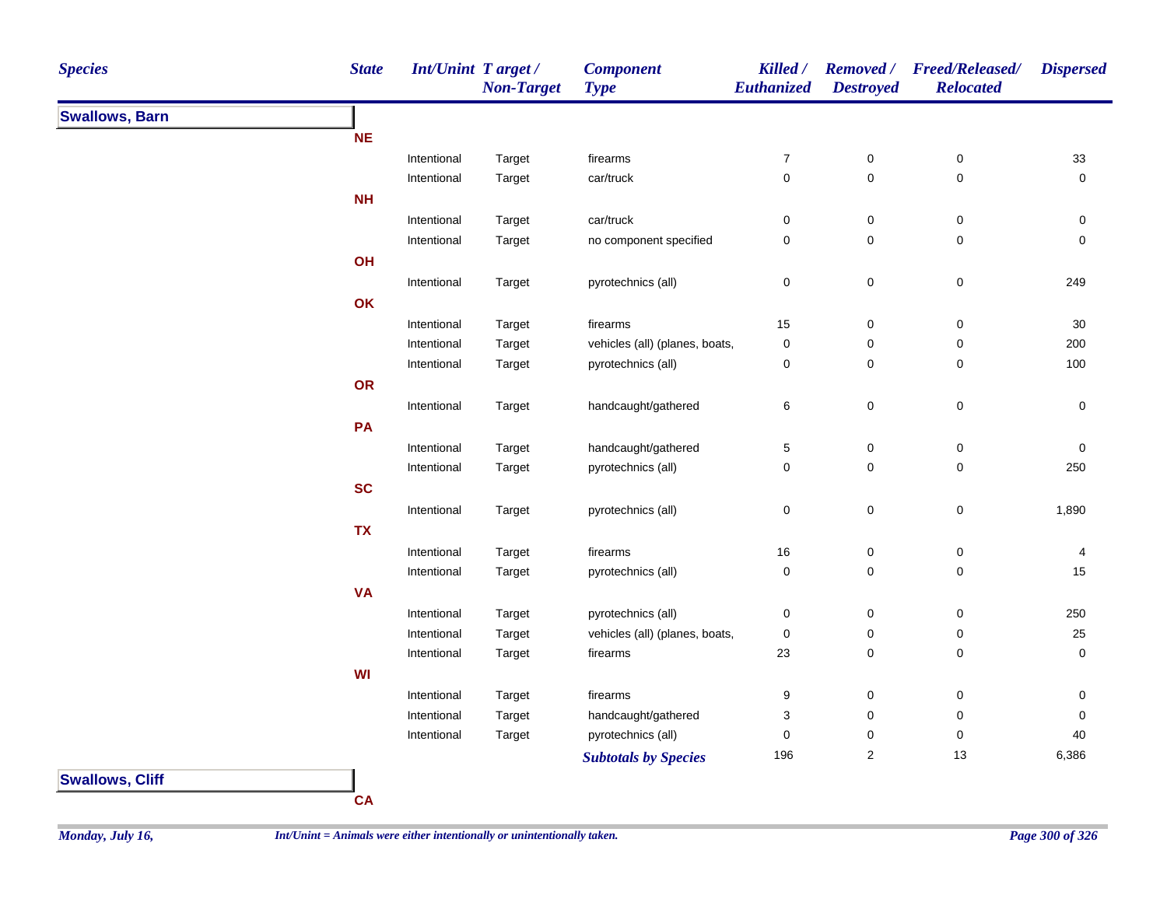| <b>Species</b>        | <b>State</b> | <b>Int/Unint Target/</b> | <b>Non-Target</b> | <b>Component</b><br><b>Type</b> | Killed /<br><b>Euthanized</b> | <b>Removed</b> /<br><b>Destroyed</b> | <b>Freed/Released/</b><br><b>Relocated</b> | <b>Dispersed</b> |
|-----------------------|--------------|--------------------------|-------------------|---------------------------------|-------------------------------|--------------------------------------|--------------------------------------------|------------------|
| <b>Swallows, Barn</b> |              |                          |                   |                                 |                               |                                      |                                            |                  |
|                       | <b>NE</b>    |                          |                   |                                 |                               |                                      |                                            |                  |
|                       |              | Intentional              | Target            | firearms                        | $\overline{7}$                | $\pmb{0}$                            | 0                                          | 33               |
|                       |              | Intentional              | Target            | car/truck                       | $\mathbf 0$                   | 0                                    | $\mathbf 0$                                | 0                |
|                       | <b>NH</b>    |                          |                   |                                 |                               |                                      |                                            |                  |
|                       |              | Intentional              | Target            | car/truck                       | $\pmb{0}$                     | 0                                    | $\pmb{0}$                                  | 0                |
|                       |              | Intentional              | Target            | no component specified          | $\pmb{0}$                     | 0                                    | 0                                          | 0                |
|                       | OH           |                          |                   |                                 |                               |                                      |                                            |                  |
|                       |              | Intentional              | Target            | pyrotechnics (all)              | $\pmb{0}$                     | 0                                    | $\pmb{0}$                                  | 249              |
|                       | OK           |                          |                   |                                 |                               |                                      |                                            |                  |
|                       |              | Intentional              | Target            | firearms                        | 15                            | 0                                    | $\pmb{0}$                                  | $30\,$           |
|                       |              | Intentional              | Target            | vehicles (all) (planes, boats,  | $\pmb{0}$                     | 0                                    | 0                                          | 200              |
|                       |              | Intentional              | Target            | pyrotechnics (all)              | $\pmb{0}$                     | 0                                    | $\pmb{0}$                                  | 100              |
|                       | OR           |                          |                   |                                 |                               |                                      |                                            |                  |
|                       |              | Intentional              | Target            | handcaught/gathered             | 6                             | 0                                    | $\pmb{0}$                                  | 0                |
|                       | PA           |                          |                   |                                 |                               |                                      |                                            |                  |
|                       |              | Intentional              | Target            | handcaught/gathered             | 5                             | 0                                    | $\pmb{0}$                                  | 0                |
|                       |              | Intentional              | Target            | pyrotechnics (all)              | $\pmb{0}$                     | 0                                    | 0                                          | 250              |
|                       | <b>SC</b>    |                          |                   |                                 |                               |                                      |                                            |                  |
|                       |              | Intentional              | Target            | pyrotechnics (all)              | $\pmb{0}$                     | 0                                    | $\mathsf 0$                                | 1,890            |
|                       | <b>TX</b>    |                          |                   |                                 |                               |                                      |                                            |                  |
|                       |              | Intentional              | Target            | firearms                        | 16                            | 0                                    | 0                                          | 4                |
|                       |              | Intentional              | Target            | pyrotechnics (all)              | $\pmb{0}$                     | 0                                    | 0                                          | 15               |
|                       | <b>VA</b>    |                          |                   |                                 |                               |                                      |                                            |                  |
|                       |              | Intentional              | Target            | pyrotechnics (all)              | $\pmb{0}$                     | 0                                    | 0                                          | 250              |
|                       |              | Intentional              | Target            | vehicles (all) (planes, boats,  | $\pmb{0}$                     | 0                                    | 0                                          | 25               |
|                       |              | Intentional              | Target            | firearms                        | 23                            | 0                                    | 0                                          | 0                |
|                       | WI           |                          |                   |                                 |                               |                                      |                                            |                  |
|                       |              | Intentional              | Target            | firearms                        | 9                             | 0                                    | 0                                          | 0                |
|                       |              | Intentional              | Target            | handcaught/gathered             | 3                             | 0                                    | $\pmb{0}$                                  | 0                |
|                       |              | Intentional              | Target            | pyrotechnics (all)              | $\pmb{0}$                     | 0                                    | 0                                          | 40               |
|                       |              |                          |                   | <b>Subtotals by Species</b>     | 196                           | $\overline{\mathbf{c}}$              | 13                                         | 6,386            |



**CA**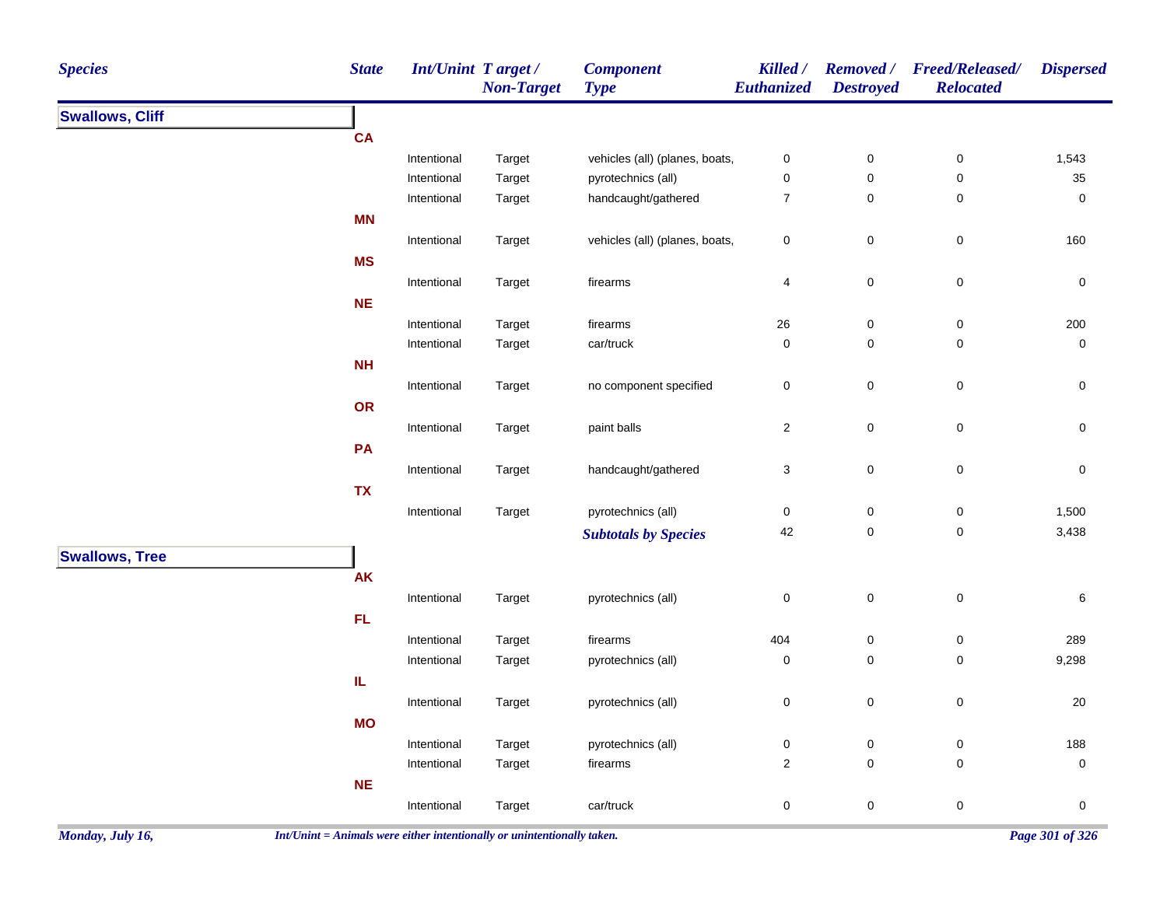| <b>Species</b>         | <b>State</b> | Int/Unint Target / | <b>Non-Target</b> | <b>Component</b><br><b>Type</b> | Killed /<br>Euthanized    | <b>Destroyed</b> | Removed / Freed/Released/<br><b>Relocated</b> | <b>Dispersed</b> |
|------------------------|--------------|--------------------|-------------------|---------------------------------|---------------------------|------------------|-----------------------------------------------|------------------|
| <b>Swallows, Cliff</b> |              |                    |                   |                                 |                           |                  |                                               |                  |
|                        | <b>CA</b>    |                    |                   |                                 |                           |                  |                                               |                  |
|                        |              | Intentional        | Target            | vehicles (all) (planes, boats,  | $\pmb{0}$                 | $\pmb{0}$        | $\pmb{0}$                                     | 1,543            |
|                        |              | Intentional        | Target            | pyrotechnics (all)              | $\mathbf 0$               | $\pmb{0}$        | $\mathbf 0$                                   | 35               |
|                        |              | Intentional        | Target            | handcaught/gathered             | $\boldsymbol{7}$          | $\mathbf 0$      | $\mathbf 0$                                   | 0                |
|                        | <b>MN</b>    |                    |                   |                                 |                           |                  |                                               |                  |
|                        |              | Intentional        | Target            | vehicles (all) (planes, boats,  | $\pmb{0}$                 | $\pmb{0}$        | $\pmb{0}$                                     | 160              |
|                        | <b>MS</b>    |                    |                   |                                 |                           |                  |                                               |                  |
|                        |              | Intentional        | Target            | firearms                        | $\overline{\mathbf{4}}$   | $\pmb{0}$        | $\mathsf 0$                                   | $\mathbf 0$      |
|                        | $NE$         |                    |                   |                                 |                           |                  |                                               |                  |
|                        |              | Intentional        | Target            | firearms                        | $26\,$                    | $\pmb{0}$        | $\pmb{0}$                                     | 200              |
|                        |              | Intentional        | Target            | car/truck                       | $\pmb{0}$                 | $\pmb{0}$        | $\pmb{0}$                                     | $\pmb{0}$        |
|                        | <b>NH</b>    |                    |                   |                                 |                           |                  |                                               |                  |
|                        |              | Intentional        | Target            | no component specified          | $\pmb{0}$                 | $\pmb{0}$        | $\pmb{0}$                                     | $\pmb{0}$        |
|                        | OR           |                    |                   |                                 |                           |                  |                                               |                  |
|                        |              | Intentional        | Target            | paint balls                     | $\overline{\mathbf{c}}$   | $\pmb{0}$        | 0                                             | 0                |
|                        | PA           |                    |                   |                                 |                           |                  |                                               |                  |
|                        |              | Intentional        | Target            | handcaught/gathered             | $\ensuremath{\mathsf{3}}$ | $\pmb{0}$        | $\pmb{0}$                                     | $\pmb{0}$        |
|                        | <b>TX</b>    |                    |                   |                                 |                           |                  |                                               |                  |
|                        |              | Intentional        | Target            | pyrotechnics (all)              | $\pmb{0}$                 | $\pmb{0}$        | $\mathbf 0$                                   | 1,500            |
|                        |              |                    |                   | <b>Subtotals by Species</b>     | 42                        | $\mathbf 0$      | $\mathbf 0$                                   | 3,438            |
| <b>Swallows, Tree</b>  |              |                    |                   |                                 |                           |                  |                                               |                  |
|                        | <b>AK</b>    |                    |                   |                                 |                           |                  |                                               |                  |
|                        |              | Intentional        | Target            | pyrotechnics (all)              | $\pmb{0}$                 | $\pmb{0}$        | $\pmb{0}$                                     | $\,6\,$          |
|                        | ${\sf FL}$   |                    |                   |                                 |                           |                  |                                               |                  |
|                        |              | Intentional        | Target            | firearms                        | 404                       | $\mathbf 0$      | 0                                             | 289              |
|                        |              | Intentional        | Target            | pyrotechnics (all)              | $\pmb{0}$                 | $\pmb{0}$        | $\mathsf 0$                                   | 9,298            |
|                        | IL           |                    |                   |                                 |                           |                  |                                               |                  |
|                        |              | Intentional        | Target            | pyrotechnics (all)              | $\pmb{0}$                 | $\pmb{0}$        | $\pmb{0}$                                     | 20               |
|                        | <b>MO</b>    |                    |                   |                                 |                           |                  |                                               |                  |
|                        |              | Intentional        | Target            | pyrotechnics (all)              | $\pmb{0}$                 | $\pmb{0}$        | $\pmb{0}$                                     | 188              |
|                        |              | Intentional        | Target            | firearms                        | $\sqrt{2}$                | $\mathsf 0$      | $\mathsf 0$                                   | $\pmb{0}$        |
|                        | $NE$         |                    |                   |                                 |                           |                  |                                               |                  |
|                        |              | Intentional        | Target            | car/truck                       | $\pmb{0}$                 | $\mathsf 0$      | $\pmb{0}$                                     | 0                |
|                        |              |                    |                   |                                 |                           |                  |                                               |                  |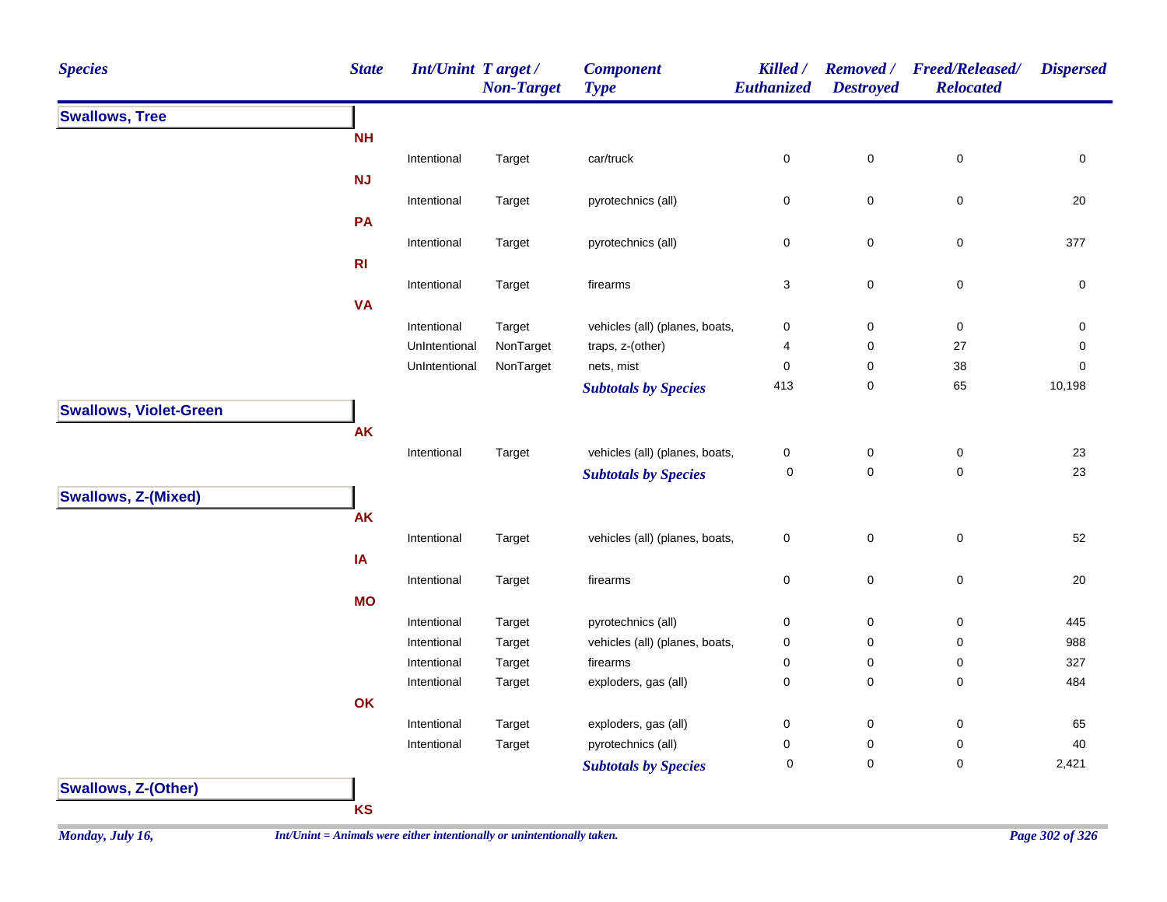| <b>Species</b>                | <b>State</b>   | <b>Int/Unint Target/</b> | <b>Non-Target</b> | <b>Component</b><br><b>Type</b> | Killed /<br><b>Euthanized</b> | <b>Destroyed</b> | Removed / Freed/Released/<br><b>Relocated</b> | <b>Dispersed</b> |
|-------------------------------|----------------|--------------------------|-------------------|---------------------------------|-------------------------------|------------------|-----------------------------------------------|------------------|
| <b>Swallows, Tree</b>         |                |                          |                   |                                 |                               |                  |                                               |                  |
|                               | <b>NH</b>      |                          |                   |                                 |                               |                  |                                               |                  |
|                               |                | Intentional              | Target            | car/truck                       | $\pmb{0}$                     | $\pmb{0}$        | $\mathbf 0$                                   | $\pmb{0}$        |
|                               | <b>NJ</b>      |                          |                   |                                 |                               |                  |                                               |                  |
|                               |                | Intentional              | Target            | pyrotechnics (all)              | $\pmb{0}$                     | $\mathsf 0$      | 0                                             | 20               |
|                               | PA             |                          |                   |                                 |                               |                  |                                               |                  |
|                               |                | Intentional              | Target            | pyrotechnics (all)              | $\pmb{0}$                     | $\pmb{0}$        | $\mathbf 0$                                   | 377              |
|                               | R <sub>l</sub> |                          |                   |                                 |                               |                  |                                               |                  |
|                               |                | Intentional              | Target            | firearms                        | $\ensuremath{\mathsf{3}}$     | $\mathbf 0$      | $\mathsf 0$                                   | $\pmb{0}$        |
|                               | <b>VA</b>      |                          |                   |                                 |                               |                  |                                               |                  |
|                               |                | Intentional              | Target            | vehicles (all) (planes, boats,  | $\pmb{0}$                     | $\mathsf 0$      | $\mathsf 0$                                   | 0                |
|                               |                | UnIntentional            | NonTarget         | traps, z-(other)                | 4                             | $\pmb{0}$        | $27\,$                                        | 0                |
|                               |                | UnIntentional            | NonTarget         | nets, mist                      | $\mathbf 0$                   | $\pmb{0}$        | 38                                            | 0                |
|                               |                |                          |                   | <b>Subtotals by Species</b>     | 413                           | $\pmb{0}$        | 65                                            | 10,198           |
| <b>Swallows, Violet-Green</b> |                |                          |                   |                                 |                               |                  |                                               |                  |
|                               | <b>AK</b>      |                          |                   |                                 |                               |                  |                                               |                  |
|                               |                | Intentional              | Target            | vehicles (all) (planes, boats,  | $\pmb{0}$                     | $\pmb{0}$        | $\pmb{0}$                                     | 23               |
|                               |                |                          |                   | <b>Subtotals by Species</b>     | $\mathbf 0$                   | $\pmb{0}$        | $\pmb{0}$                                     | 23               |
| <b>Swallows, Z-(Mixed)</b>    |                |                          |                   |                                 |                               |                  |                                               |                  |
|                               | <b>AK</b>      |                          |                   |                                 |                               |                  |                                               |                  |
|                               |                | Intentional              | Target            | vehicles (all) (planes, boats,  | $\pmb{0}$                     | $\pmb{0}$        | $\pmb{0}$                                     | 52               |
|                               | IA             |                          |                   |                                 |                               |                  |                                               |                  |
|                               |                | Intentional              | Target            | firearms                        | $\mathbf 0$                   | $\mathsf 0$      | $\mathsf 0$                                   | 20               |
|                               | <b>MO</b>      |                          |                   |                                 |                               |                  |                                               |                  |
|                               |                | Intentional              | Target            | pyrotechnics (all)              | $\pmb{0}$                     | $\mathbf 0$      | $\mathbf 0$                                   | 445              |
|                               |                | Intentional              | Target            | vehicles (all) (planes, boats,  | $\pmb{0}$                     | $\mathsf 0$      | $\mathsf 0$                                   | 988              |
|                               |                | Intentional              | Target            | firearms                        | $\mathbf 0$                   | $\mathsf 0$      | $\mathbf 0$                                   | 327              |
|                               |                | Intentional              | Target            | exploders, gas (all)            | $\mathbf 0$                   | $\mathbf 0$      | 0                                             | 484              |
|                               | OK             |                          |                   |                                 |                               |                  |                                               |                  |
|                               |                | Intentional              | Target            | exploders, gas (all)            | $\pmb{0}$                     | $\mathbf 0$      | $\mathsf 0$                                   | 65               |
|                               |                | Intentional              | Target            | pyrotechnics (all)              | $\pmb{0}$                     | $\mathbf 0$      | $\pmb{0}$                                     | 40               |
|                               |                |                          |                   | <b>Subtotals by Species</b>     | 0                             | $\mathbf 0$      | $\mathsf 0$                                   | 2,421            |
| <b>Swallows, Z-(Other)</b>    |                |                          |                   |                                 |                               |                  |                                               |                  |
|                               | <b>KS</b>      |                          |                   |                                 |                               |                  |                                               |                  |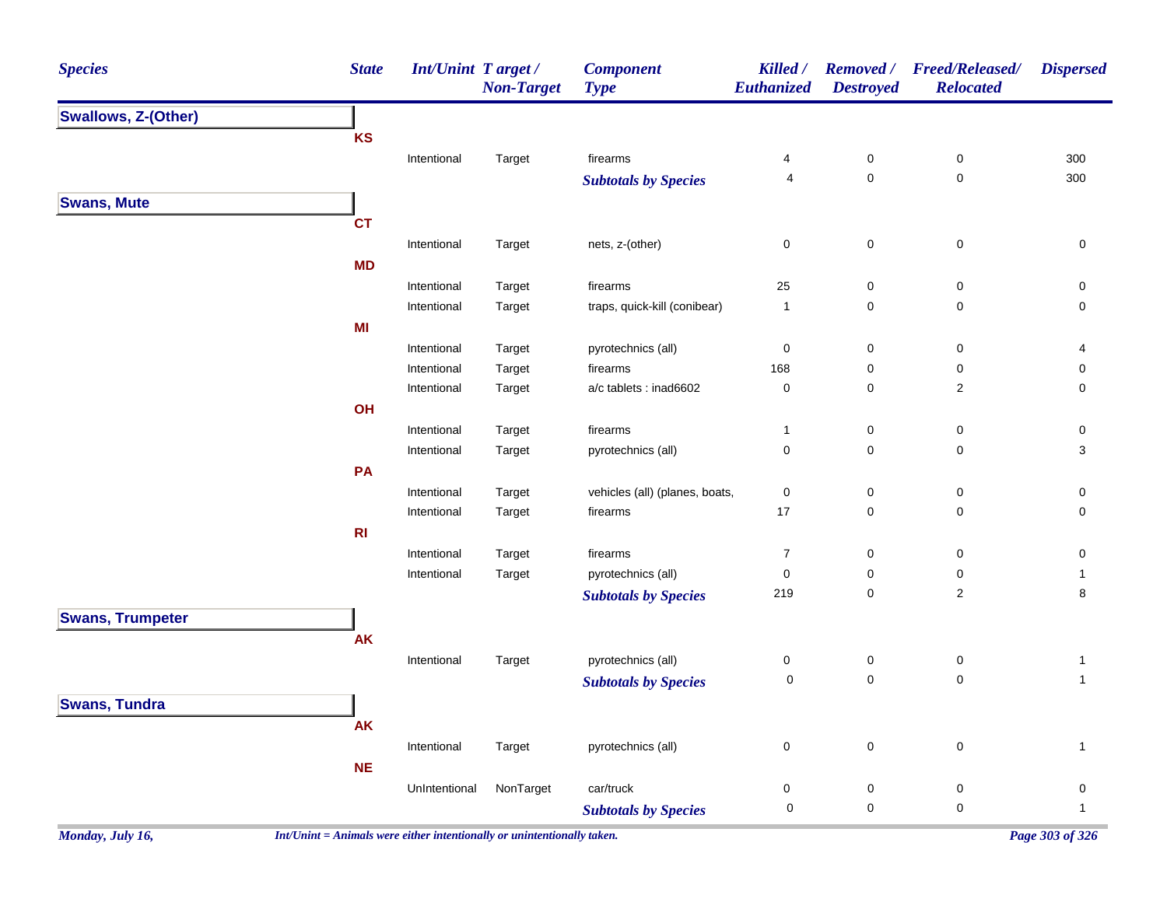| <b>Species</b>             | <b>State</b> | Int/Unint Target/ | <b>Non-Target</b> | <b>Component</b><br><b>Type</b> | Killed /<br>Euthanized | <b>Removed</b> /<br><b>Destroyed</b> | <b>Freed/Released/</b><br><b>Relocated</b> | <b>Dispersed</b> |
|----------------------------|--------------|-------------------|-------------------|---------------------------------|------------------------|--------------------------------------|--------------------------------------------|------------------|
| <b>Swallows, Z-(Other)</b> |              |                   |                   |                                 |                        |                                      |                                            |                  |
|                            | KS           |                   |                   |                                 |                        |                                      |                                            |                  |
|                            |              | Intentional       | Target            | firearms                        | 4                      | $\pmb{0}$                            | $\pmb{0}$                                  | 300              |
|                            |              |                   |                   | <b>Subtotals by Species</b>     | 4                      | $\pmb{0}$                            | $\mathsf{O}\xspace$                        | 300              |
| <b>Swans, Mute</b>         |              |                   |                   |                                 |                        |                                      |                                            |                  |
|                            | <b>CT</b>    |                   |                   |                                 |                        |                                      |                                            |                  |
|                            |              | Intentional       | Target            | nets, z-(other)                 | $\mathbf 0$            | $\pmb{0}$                            | 0                                          | 0                |
|                            | <b>MD</b>    |                   |                   |                                 |                        |                                      |                                            |                  |
|                            |              | Intentional       | Target            | firearms                        | 25                     | $\pmb{0}$                            | 0                                          | 0                |
|                            |              | Intentional       | Target            | traps, quick-kill (conibear)    | $\overline{1}$         | $\mathbf 0$                          | 0                                          | 0                |
|                            | MI           |                   |                   |                                 |                        |                                      |                                            |                  |
|                            |              | Intentional       | Target            | pyrotechnics (all)              | $\pmb{0}$              | $\pmb{0}$                            | $\pmb{0}$                                  | 4                |
|                            |              | Intentional       | Target            | firearms                        | 168                    | $\pmb{0}$                            | $\pmb{0}$                                  | 0                |
|                            |              | Intentional       | Target            | a/c tablets : inad6602          | $\mathsf 0$            | $\mathbf 0$                          | $\overline{c}$                             | 0                |
|                            | OH           |                   |                   |                                 |                        |                                      |                                            |                  |
|                            |              | Intentional       | Target            | firearms                        | $\overline{1}$         | $\pmb{0}$                            | $\pmb{0}$                                  | 0                |
|                            |              | Intentional       | Target            | pyrotechnics (all)              | $\mathsf 0$            | $\mathbf 0$                          | 0                                          | 3                |
|                            | PA           |                   |                   |                                 |                        |                                      |                                            |                  |
|                            |              | Intentional       | Target            | vehicles (all) (planes, boats,  | $\mathsf 0$            | $\pmb{0}$                            | $\pmb{0}$                                  | 0                |
|                            |              | Intentional       | Target            | firearms                        | 17                     | $\mathbf 0$                          | 0                                          | 0                |
|                            | R1           |                   |                   |                                 |                        |                                      |                                            |                  |
|                            |              | Intentional       | Target            | firearms                        | $\overline{7}$         | $\pmb{0}$                            | $\pmb{0}$                                  | 0                |
|                            |              | Intentional       | Target            | pyrotechnics (all)              | $\pmb{0}$              | 0                                    | 0                                          | $\mathbf{1}$     |
|                            |              |                   |                   | <b>Subtotals by Species</b>     | 219                    | $\pmb{0}$                            | $\sqrt{2}$                                 | 8                |
| <b>Swans, Trumpeter</b>    |              |                   |                   |                                 |                        |                                      |                                            |                  |
|                            | <b>AK</b>    |                   |                   |                                 |                        |                                      |                                            |                  |
|                            |              | Intentional       | Target            | pyrotechnics (all)              | $\mathbf 0$            | $\pmb{0}$                            | $\pmb{0}$                                  | $\mathbf{1}$     |
|                            |              |                   |                   | <b>Subtotals by Species</b>     | 0                      | $\pmb{0}$                            | $\mathbf 0$                                | $\mathbf{1}$     |
| <b>Swans, Tundra</b>       |              |                   |                   |                                 |                        |                                      |                                            |                  |
|                            | AK           |                   |                   |                                 |                        |                                      |                                            |                  |
|                            |              | Intentional       | Target            | pyrotechnics (all)              | $\mathbf 0$            | $\pmb{0}$                            | $\pmb{0}$                                  | $\mathbf{1}$     |
|                            | <b>NE</b>    |                   |                   |                                 |                        |                                      |                                            |                  |
|                            |              | UnIntentional     | NonTarget         | car/truck                       | $\pmb{0}$              | $\pmb{0}$                            | $\pmb{0}$                                  | 0                |
|                            |              |                   |                   | <b>Subtotals by Species</b>     | $\pmb{0}$              | $\pmb{0}$                            | $\pmb{0}$                                  | $\mathbf{1}$     |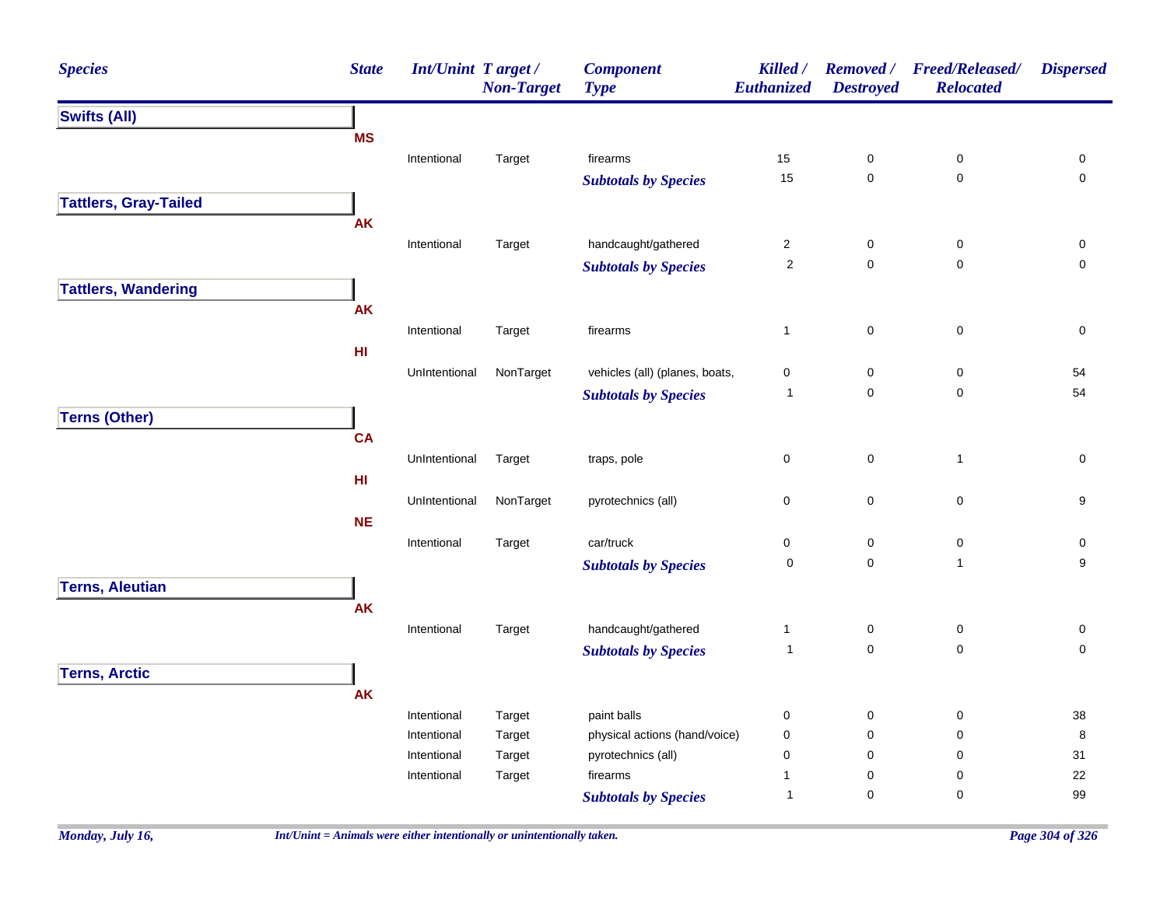| <b>Species</b>               | <b>State</b>    | <b>Int/Unint Target/</b> | <b>Non-Target</b> | <b>Component</b><br><b>Type</b> | Killed /<br><b>Euthanized</b> | <b>Removed</b> /<br><b>Destroyed</b> | <b>Freed/Released/</b><br><b>Relocated</b> | <b>Dispersed</b> |
|------------------------------|-----------------|--------------------------|-------------------|---------------------------------|-------------------------------|--------------------------------------|--------------------------------------------|------------------|
| <b>Swifts (All)</b>          |                 |                          |                   |                                 |                               |                                      |                                            |                  |
|                              | <b>MS</b>       |                          |                   |                                 |                               |                                      |                                            |                  |
|                              |                 | Intentional              | Target            | firearms                        | $15\,$                        | 0                                    | $\pmb{0}$                                  | 0                |
|                              |                 |                          |                   | <b>Subtotals by Species</b>     | 15                            | $\pmb{0}$                            | $\mathbf 0$                                | $\mathbf 0$      |
| <b>Tattlers, Gray-Tailed</b> |                 |                          |                   |                                 |                               |                                      |                                            |                  |
|                              | AK              |                          |                   |                                 |                               |                                      |                                            |                  |
|                              |                 | Intentional              | Target            | handcaught/gathered             | $\overline{c}$                | $\pmb{0}$                            | $\mathbf 0$                                | 0                |
|                              |                 |                          |                   | <b>Subtotals by Species</b>     | $\sqrt{2}$                    | $\mathbf 0$                          | $\mathbf 0$                                | $\mathbf 0$      |
| <b>Tattlers, Wandering</b>   |                 |                          |                   |                                 |                               |                                      |                                            |                  |
|                              | AK              |                          |                   |                                 |                               |                                      |                                            |                  |
|                              |                 | Intentional              | Target            | firearms                        | $\mathbf{1}$                  | 0                                    | $\mathbf 0$                                | 0                |
|                              | H <sub>II</sub> |                          |                   |                                 |                               |                                      |                                            |                  |
|                              |                 | UnIntentional            | NonTarget         | vehicles (all) (planes, boats,  | 0                             | $\mathbf 0$                          | 0                                          | 54               |
|                              |                 |                          |                   | <b>Subtotals by Species</b>     | $\overline{1}$                | $\mathbf 0$                          | $\mathbf 0$                                | 54               |
| <b>Terns (Other)</b>         |                 |                          |                   |                                 |                               |                                      |                                            |                  |
|                              | <b>CA</b>       |                          |                   |                                 |                               |                                      |                                            |                  |
|                              |                 | UnIntentional            | Target            | traps, pole                     | 0                             | 0                                    | $\mathbf{1}$                               | 0                |
|                              | H1              |                          |                   |                                 |                               |                                      |                                            |                  |
|                              |                 | UnIntentional            | NonTarget         | pyrotechnics (all)              | 0                             | $\mathbf 0$                          | 0                                          | 9                |
|                              | <b>NE</b>       |                          |                   |                                 |                               |                                      |                                            |                  |
|                              |                 | Intentional              | Target            | car/truck                       | 0                             | $\mathsf 0$                          | $\pmb{0}$                                  | 0                |
|                              |                 |                          |                   | <b>Subtotals by Species</b>     | $\pmb{0}$                     | $\mathbf 0$                          | $\mathbf{1}$                               | 9                |
| <b>Terns, Aleutian</b>       |                 |                          |                   |                                 |                               |                                      |                                            |                  |
|                              | <b>AK</b>       |                          |                   |                                 |                               |                                      |                                            |                  |
|                              |                 | Intentional              | Target            | handcaught/gathered             | $\mathbf{1}$                  | $\mathsf 0$                          | $\pmb{0}$                                  | 0                |
|                              |                 |                          |                   | <b>Subtotals by Species</b>     | $\overline{1}$                | $\mathsf 0$                          | $\pmb{0}$                                  | $\mathsf 0$      |
| <b>Terns, Arctic</b>         |                 |                          |                   |                                 |                               |                                      |                                            |                  |
|                              | <b>AK</b>       |                          |                   |                                 |                               |                                      |                                            |                  |
|                              |                 | Intentional              | Target            | paint balls                     | 0                             | $\mathbf 0$                          | 0                                          | $38\,$           |
|                              |                 | Intentional              | Target            | physical actions (hand/voice)   | 0                             | $\mathbf 0$                          | 0                                          | $\bf 8$          |
|                              |                 | Intentional              | Target            | pyrotechnics (all)              | 0                             | 0                                    | 0                                          | 31               |
|                              |                 | Intentional              | Target            | firearms                        | 1                             | $\mathbf 0$                          | 0                                          | 22               |
|                              |                 |                          |                   | <b>Subtotals by Species</b>     | $\overline{1}$                | $\mathbf 0$                          | 0                                          | 99               |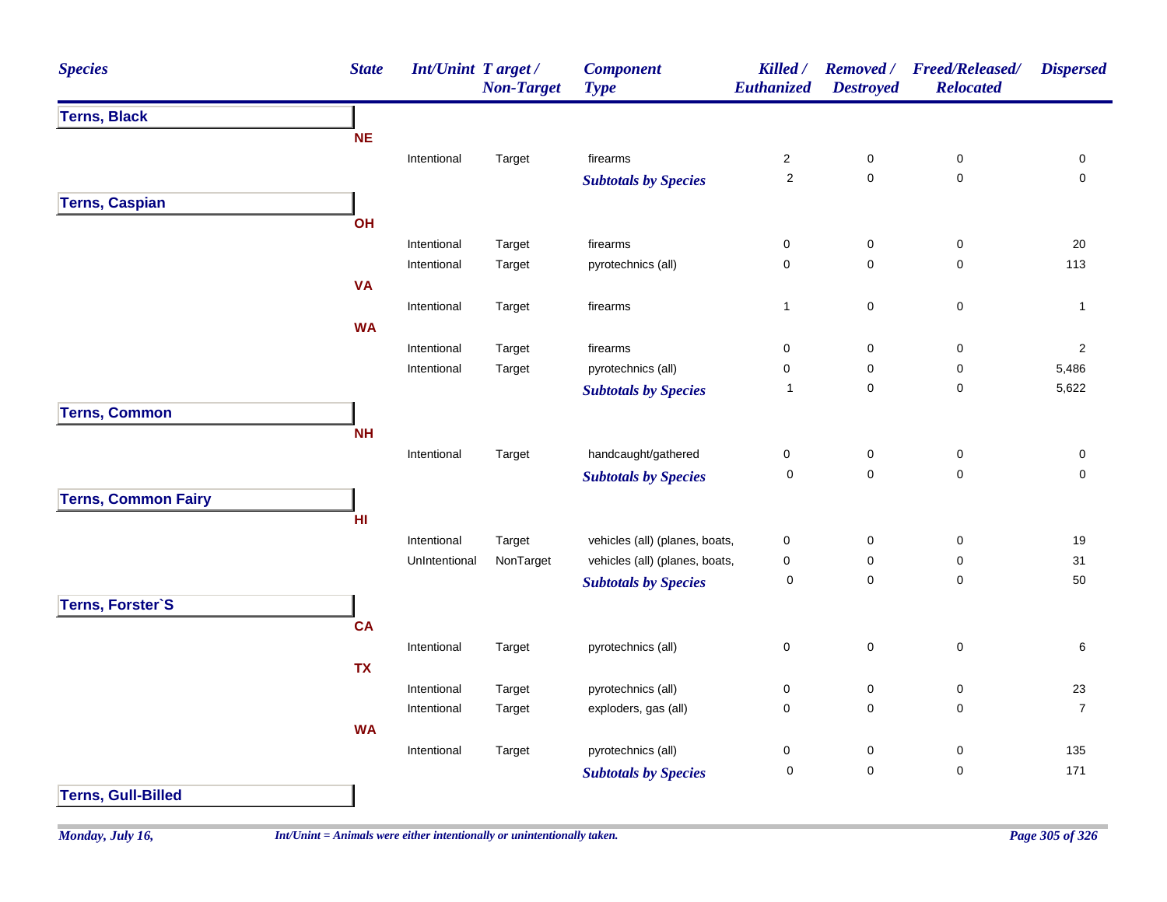| <b>Species</b>             | <b>State</b> | <b>Int/Unint Target/</b> | <b>Non-Target</b> | <b>Component</b><br><b>Type</b> | Killed /<br>Euthanized | <b>Destroyed</b> | Removed / Freed/Released/<br><b>Relocated</b> | <b>Dispersed</b> |
|----------------------------|--------------|--------------------------|-------------------|---------------------------------|------------------------|------------------|-----------------------------------------------|------------------|
| <b>Terns, Black</b>        |              |                          |                   |                                 |                        |                  |                                               |                  |
|                            | <b>NE</b>    |                          |                   |                                 |                        |                  |                                               |                  |
|                            |              | Intentional              | Target            | firearms                        | $\mathbf{2}$           | $\pmb{0}$        | 0                                             | 0                |
|                            |              |                          |                   | <b>Subtotals by Species</b>     | $\sqrt{2}$             | $\mathbf 0$      | $\mathbf 0$                                   | $\mathbf 0$      |
| <b>Terns, Caspian</b>      |              |                          |                   |                                 |                        |                  |                                               |                  |
|                            | <b>OH</b>    |                          |                   |                                 |                        |                  |                                               |                  |
|                            |              | Intentional              | Target            | firearms                        | $\mathsf{O}\xspace$    | $\pmb{0}$        | $\mathsf 0$                                   | 20               |
|                            |              | Intentional              | Target            | pyrotechnics (all)              | $\mathbf 0$            | $\mathbf 0$      | $\mathbf 0$                                   | 113              |
|                            | <b>VA</b>    |                          |                   |                                 |                        |                  |                                               |                  |
|                            |              | Intentional              | Target            | firearms                        | $\mathbf{1}$           | $\pmb{0}$        | 0                                             | $\mathbf{1}$     |
|                            | <b>WA</b>    |                          |                   |                                 |                        |                  |                                               |                  |
|                            |              | Intentional              | Target            | firearms                        | $\pmb{0}$              | $\pmb{0}$        | $\pmb{0}$                                     | $\sqrt{2}$       |
|                            |              | Intentional              | Target            | pyrotechnics (all)              | $\pmb{0}$              | 0                | $\pmb{0}$                                     | 5,486            |
|                            |              |                          |                   | <b>Subtotals by Species</b>     | $\mathbf{1}$           | $\mathbf 0$      | $\pmb{0}$                                     | 5,622            |
| <b>Terns, Common</b>       |              |                          |                   |                                 |                        |                  |                                               |                  |
|                            | <b>NH</b>    |                          |                   |                                 |                        |                  |                                               |                  |
|                            |              | Intentional              | Target            | handcaught/gathered             | $\pmb{0}$              | $\pmb{0}$        | $\pmb{0}$                                     | 0                |
|                            |              |                          |                   | <b>Subtotals by Species</b>     | $\mathbf 0$            | $\pmb{0}$        | $\mathbf 0$                                   | $\mathbf 0$      |
| <b>Terns, Common Fairy</b> |              |                          |                   |                                 |                        |                  |                                               |                  |
|                            | HI           |                          |                   |                                 |                        |                  |                                               |                  |
|                            |              | Intentional              | Target            | vehicles (all) (planes, boats,  | $\pmb{0}$              | $\pmb{0}$        | $\pmb{0}$                                     | 19               |
|                            |              | UnIntentional            | NonTarget         | vehicles (all) (planes, boats,  | $\pmb{0}$              | $\pmb{0}$        | $\pmb{0}$                                     | 31               |
|                            |              |                          |                   | <b>Subtotals by Species</b>     | $\pmb{0}$              | $\mathbf 0$      | $\pmb{0}$                                     | 50               |
| Terns, Forster'S           |              |                          |                   |                                 |                        |                  |                                               |                  |
|                            | <b>CA</b>    |                          |                   |                                 |                        |                  |                                               |                  |
|                            |              | Intentional              | Target            | pyrotechnics (all)              | $\pmb{0}$              | $\mathbf 0$      | $\pmb{0}$                                     | $\,6\,$          |
|                            | <b>TX</b>    |                          |                   |                                 |                        |                  |                                               |                  |
|                            |              | Intentional              | Target            | pyrotechnics (all)              | $\mathbf 0$            | $\pmb{0}$        | 0                                             | 23               |
|                            |              | Intentional              | Target            | exploders, gas (all)            | $\mathbf 0$            | $\mathbf 0$      | 0                                             | $\boldsymbol{7}$ |
|                            | <b>WA</b>    |                          |                   |                                 |                        |                  |                                               |                  |
|                            |              | Intentional              | Target            | pyrotechnics (all)              | $\pmb{0}$              | $\pmb{0}$        | 0                                             | 135              |
|                            |              |                          |                   | <b>Subtotals by Species</b>     | $\mathbf 0$            | $\mathbf 0$      | $\mathbf 0$                                   | 171              |
| <b>Terns, Gull-Billed</b>  |              |                          |                   |                                 |                        |                  |                                               |                  |
|                            |              |                          |                   |                                 |                        |                  |                                               |                  |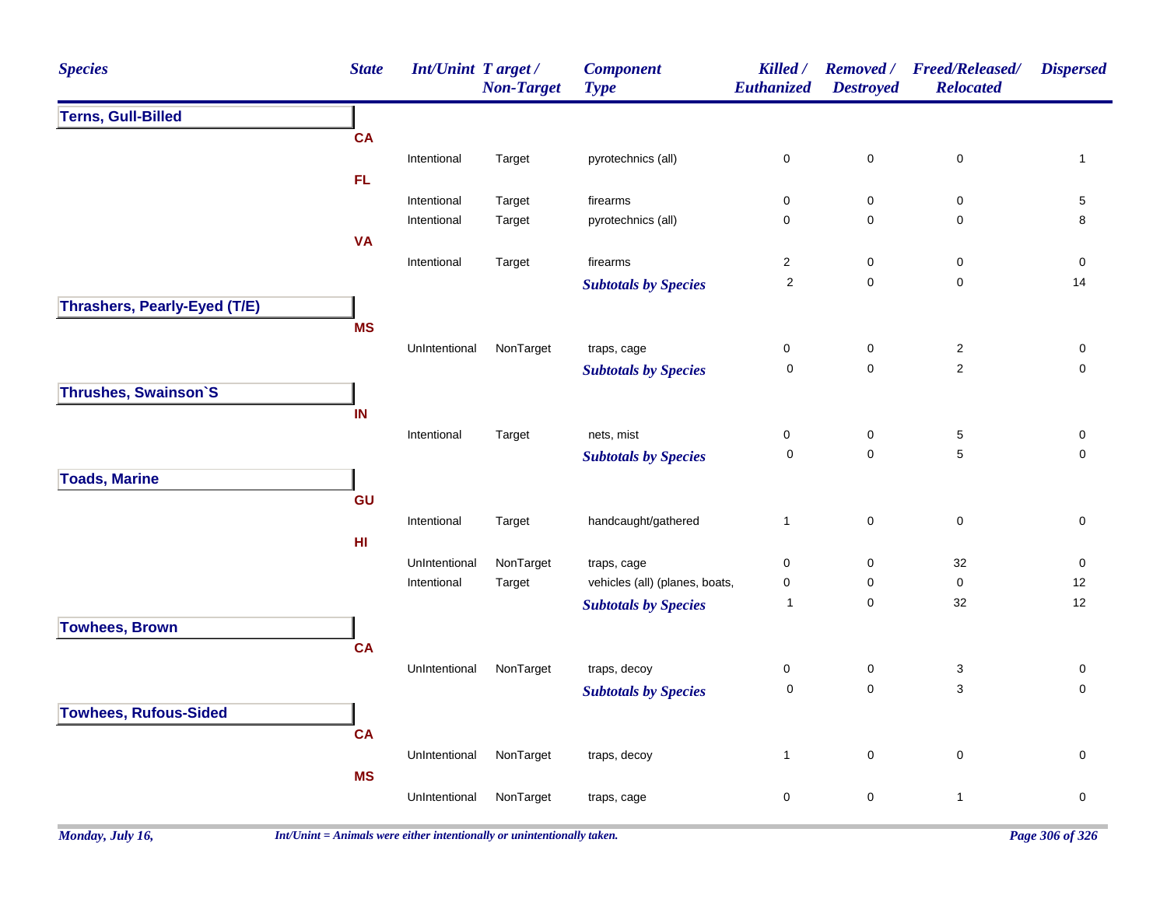| <b>Species</b>               | <b>State</b> | Int/Unint Target /           | <b>Non-Target</b>   | <b>Component</b><br><b>Type</b>               | Killed /<br>Euthanized  | <b>Removed</b> /<br><b>Destroyed</b> | <b>Freed/Released/</b><br><b>Relocated</b> | <b>Dispersed</b> |
|------------------------------|--------------|------------------------------|---------------------|-----------------------------------------------|-------------------------|--------------------------------------|--------------------------------------------|------------------|
| <b>Terns, Gull-Billed</b>    |              |                              |                     |                                               |                         |                                      |                                            |                  |
|                              | <b>CA</b>    |                              |                     |                                               |                         |                                      |                                            |                  |
|                              |              | Intentional                  | Target              | pyrotechnics (all)                            | $\mathsf 0$             | $\mathsf 0$                          | $\pmb{0}$                                  | $\mathbf{1}$     |
|                              | <b>FL</b>    |                              |                     |                                               |                         |                                      |                                            |                  |
|                              |              | Intentional                  | Target              | firearms                                      | 0                       | 0                                    | 0                                          | 5                |
|                              |              | Intentional                  | Target              | pyrotechnics (all)                            | $\mathsf 0$             | $\mathsf 0$                          | $\pmb{0}$                                  | $\bf 8$          |
|                              | <b>VA</b>    |                              |                     |                                               |                         |                                      |                                            |                  |
|                              |              | Intentional                  | Target              | firearms                                      | $\overline{\mathbf{c}}$ | $\mathsf 0$                          | $\pmb{0}$                                  | 0                |
|                              |              |                              |                     | <b>Subtotals by Species</b>                   | $\sqrt{2}$              | $\mathsf 0$                          | $\pmb{0}$                                  | 14               |
| Thrashers, Pearly-Eyed (T/E) |              |                              |                     |                                               |                         |                                      |                                            |                  |
|                              | <b>MS</b>    |                              |                     |                                               |                         |                                      |                                            |                  |
|                              |              | UnIntentional                | NonTarget           | traps, cage                                   | $\pmb{0}$               | $\pmb{0}$                            | $\sqrt{2}$                                 | $\mathsf 0$      |
|                              |              |                              |                     | <b>Subtotals by Species</b>                   | $\mathbf 0$             | $\mathsf 0$                          | 2                                          | $\mathbf 0$      |
| <b>Thrushes, Swainson'S</b>  |              |                              |                     |                                               |                         |                                      |                                            |                  |
|                              | IN           |                              |                     |                                               |                         |                                      |                                            |                  |
|                              |              | Intentional                  | Target              | nets, mist                                    | 0                       | 0                                    | $\,$ 5 $\,$                                | 0                |
|                              |              |                              |                     | <b>Subtotals by Species</b>                   | $\mathsf 0$             | $\mathsf 0$                          | $\,$ 5 $\,$                                | $\mathsf 0$      |
| <b>Toads, Marine</b>         |              |                              |                     |                                               |                         |                                      |                                            |                  |
|                              | GU           |                              |                     |                                               |                         |                                      |                                            |                  |
|                              |              | Intentional                  | Target              | handcaught/gathered                           | $\mathbf{1}$            | $\mathsf 0$                          | $\,0\,$                                    | $\mathbf 0$      |
|                              | HI           |                              |                     |                                               |                         |                                      |                                            |                  |
|                              |              | UnIntentional<br>Intentional | NonTarget<br>Target | traps, cage<br>vehicles (all) (planes, boats, | 0<br>$\pmb{0}$          | 0<br>$\pmb{0}$                       | 32<br>$\mathbf 0$                          | 0<br>12          |
|                              |              |                              |                     | <b>Subtotals by Species</b>                   | $\overline{1}$          | 0                                    | 32                                         | 12               |
|                              |              |                              |                     |                                               |                         |                                      |                                            |                  |
| <b>Towhees, Brown</b>        | <b>CA</b>    |                              |                     |                                               |                         |                                      |                                            |                  |
|                              |              | UnIntentional                | NonTarget           | traps, decoy                                  | $\pmb{0}$               | $\pmb{0}$                            | $\ensuremath{\mathsf{3}}$                  | $\pmb{0}$        |
|                              |              |                              |                     | <b>Subtotals by Species</b>                   | $\mathsf 0$             | $\mathsf 0$                          | $\mathbf{3}$                               | $\mathsf 0$      |
|                              |              |                              |                     |                                               |                         |                                      |                                            |                  |
| <b>Towhees, Rufous-Sided</b> | <b>CA</b>    |                              |                     |                                               |                         |                                      |                                            |                  |
|                              |              |                              | NonTarget           | traps, decoy                                  | $\mathbf{1}$            | $\mathbf 0$                          | $\mathbf 0$                                | $\mathbf 0$      |
|                              | <b>MS</b>    | UnIntentional                |                     |                                               |                         |                                      |                                            |                  |
|                              |              | UnIntentional                | NonTarget           | traps, cage                                   | 0                       | $\pmb{0}$                            | $\overline{1}$                             | $\mathbf 0$      |
|                              |              |                              |                     |                                               |                         |                                      |                                            |                  |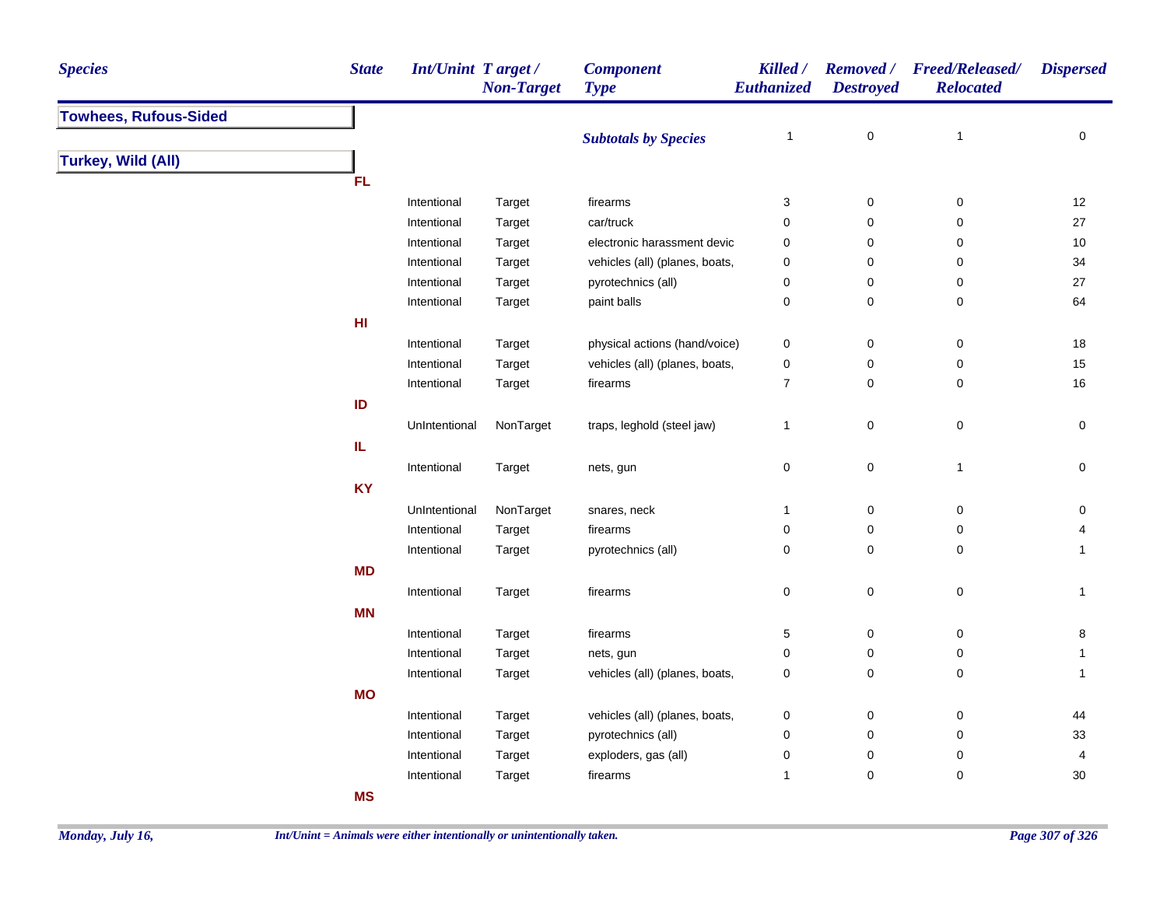| <b>Species</b>               | <b>State</b> | <b>Int/Unint Target/</b> | <b>Non-Target</b> | <b>Component</b><br><b>Type</b> | Killed /<br>Euthanized | <b>Destroyed</b>         | Removed / Freed/Released/<br><b>Relocated</b> | <b>Dispersed</b>    |
|------------------------------|--------------|--------------------------|-------------------|---------------------------------|------------------------|--------------------------|-----------------------------------------------|---------------------|
| <b>Towhees, Rufous-Sided</b> |              |                          |                   |                                 |                        |                          |                                               |                     |
|                              |              |                          |                   | <b>Subtotals by Species</b>     | $\overline{1}$         | $\mathbf 0$              | $\mathbf{1}$                                  | 0                   |
| <b>Turkey, Wild (All)</b>    |              |                          |                   |                                 |                        |                          |                                               |                     |
|                              | <b>FL</b>    |                          |                   |                                 |                        |                          |                                               |                     |
|                              |              | Intentional              | Target            | firearms                        | 3                      | $\boldsymbol{0}$         | $\pmb{0}$                                     | 12                  |
|                              |              | Intentional              | Target            | car/truck                       | 0                      | 0                        | 0                                             | $27\,$              |
|                              |              | Intentional              | Target            | electronic harassment devic     | 0                      | 0                        | 0                                             | 10                  |
|                              |              | Intentional              | Target            | vehicles (all) (planes, boats,  | 0                      | 0                        | 0                                             | 34                  |
|                              |              | Intentional              | Target            | pyrotechnics (all)              | 0                      | 0                        | 0                                             | 27                  |
|                              |              | Intentional              | Target            | paint balls                     | 0                      | $\pmb{0}$                | 0                                             | 64                  |
|                              | HI           |                          |                   |                                 |                        |                          |                                               |                     |
|                              |              | Intentional              | Target            | physical actions (hand/voice)   | 0                      | $\mathbf 0$              | 0                                             | 18                  |
|                              |              | Intentional              | Target            | vehicles (all) (planes, boats,  | 0                      | 0                        | $\pmb{0}$                                     | 15                  |
|                              |              | Intentional              | Target            | firearms                        | $\overline{7}$         | $\mathbf 0$              | 0                                             | 16                  |
|                              | ID           |                          |                   |                                 |                        |                          |                                               |                     |
|                              |              | UnIntentional            | NonTarget         | traps, leghold (steel jaw)      | $\mathbf{1}$           | $\mathbf 0$              | $\mathsf 0$                                   | 0                   |
|                              | IL           |                          |                   |                                 |                        |                          |                                               |                     |
|                              |              | Intentional              | Target            | nets, gun                       | 0                      | $\mathbf 0$              | $\mathbf{1}$                                  | $\mathsf{O}\xspace$ |
|                              | <b>KY</b>    |                          |                   |                                 |                        |                          |                                               |                     |
|                              |              | UnIntentional            | NonTarget         | snares, neck                    | $\mathbf{1}$           | $\mathbf 0$              | $\pmb{0}$                                     | 0                   |
|                              |              | Intentional              | Target            | firearms                        | $\pmb{0}$              | $\pmb{0}$                | $\pmb{0}$                                     | 4                   |
|                              |              | Intentional              | Target            | pyrotechnics (all)              | 0                      | $\mathbf 0$              | $\mathbf 0$                                   | $\mathbf{1}$        |
|                              | <b>MD</b>    |                          |                   |                                 |                        |                          |                                               |                     |
|                              |              | Intentional              | Target            | firearms                        | 0                      | 0                        | $\pmb{0}$                                     | $\mathbf{1}$        |
|                              | <b>MN</b>    |                          |                   |                                 |                        |                          |                                               |                     |
|                              |              |                          |                   |                                 |                        |                          |                                               |                     |
|                              |              | Intentional              | Target            | firearms                        | 5                      | $\pmb{0}$<br>$\mathbf 0$ | $\mathsf 0$                                   | $\bf 8$             |
|                              |              | Intentional              | Target            | nets, gun                       | 0                      |                          | 0                                             | $\mathbf{1}$        |
|                              |              | Intentional              | Target            | vehicles (all) (planes, boats,  | 0                      | 0                        | 0                                             | $\mathbf{1}$        |
|                              | <b>MO</b>    |                          |                   |                                 |                        |                          |                                               |                     |
|                              |              | Intentional              | Target            | vehicles (all) (planes, boats,  | 0                      | $\pmb{0}$                | 0                                             | 44                  |
|                              |              | Intentional              | Target            | pyrotechnics (all)              | 0                      | $\mathbf 0$              | 0                                             | 33                  |
|                              |              | Intentional              | Target            | exploders, gas (all)            | 0                      | $\pmb{0}$                | $\pmb{0}$                                     | 4                   |
|                              |              | Intentional              | Target            | firearms                        | $\mathbf{1}$           | $\mathbf 0$              | $\pmb{0}$                                     | $30\,$              |
|                              | <b>MS</b>    |                          |                   |                                 |                        |                          |                                               |                     |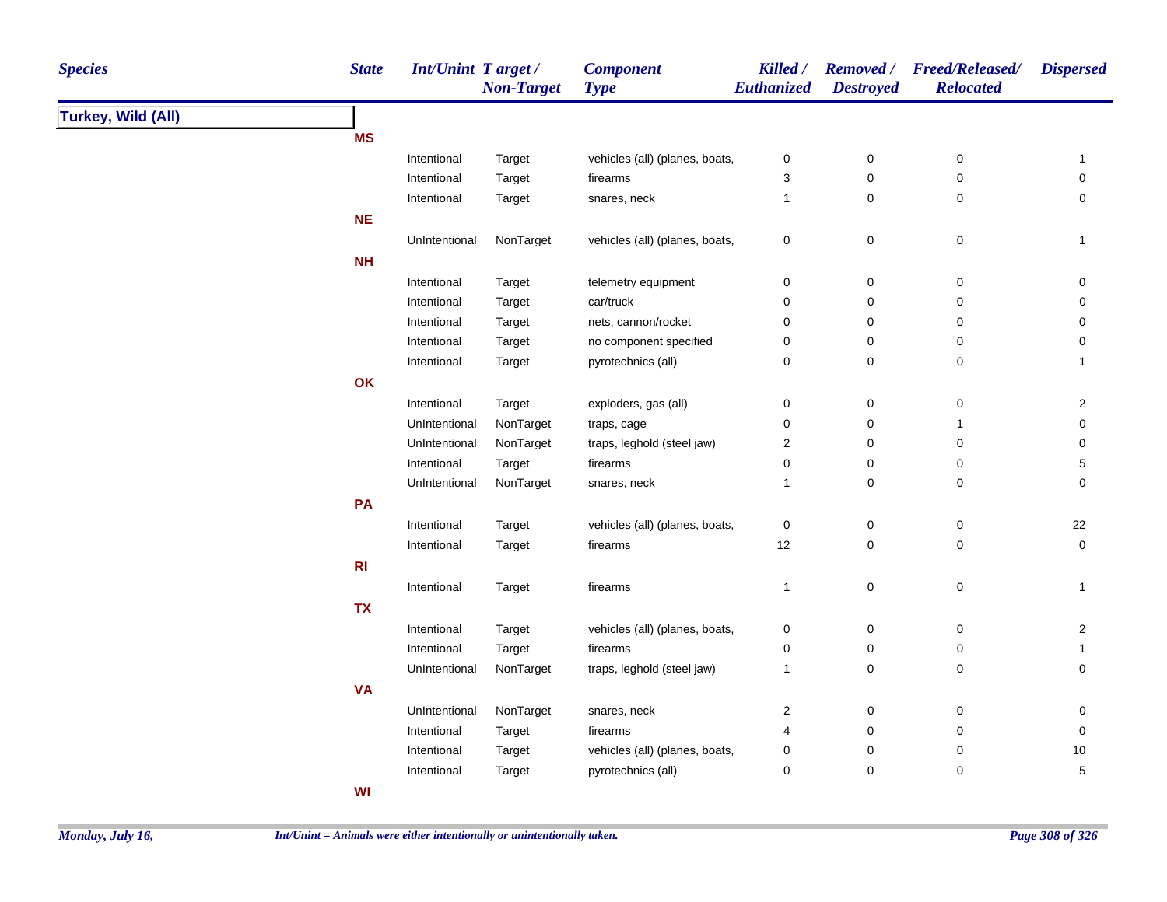| <b>Species</b>            | <b>State</b>   | Int/Unint Target/ | <b>Non-Target</b> | <b>Component</b><br><b>Type</b> | Killed /<br>Euthanized | <b>Removed</b> /<br><b>Destroyed</b> | <b>Freed/Released/</b><br><b>Relocated</b> | <b>Dispersed</b>        |
|---------------------------|----------------|-------------------|-------------------|---------------------------------|------------------------|--------------------------------------|--------------------------------------------|-------------------------|
| <b>Turkey, Wild (All)</b> |                |                   |                   |                                 |                        |                                      |                                            |                         |
|                           | <b>MS</b>      |                   |                   |                                 |                        |                                      |                                            |                         |
|                           |                | Intentional       | Target            | vehicles (all) (planes, boats,  | 0                      | 0                                    | 0                                          | $\mathbf{1}$            |
|                           |                | Intentional       | Target            | firearms                        | 3                      | 0                                    | 0                                          | 0                       |
|                           |                | Intentional       | Target            | snares, neck                    | $\mathbf{1}$           | 0                                    | 0                                          | 0                       |
|                           | <b>NE</b>      |                   |                   |                                 |                        |                                      |                                            |                         |
|                           |                | UnIntentional     | NonTarget         | vehicles (all) (planes, boats,  | $\pmb{0}$              | $\pmb{0}$                            | $\pmb{0}$                                  | $\mathbf{1}$            |
|                           | <b>NH</b>      |                   |                   |                                 |                        |                                      |                                            |                         |
|                           |                | Intentional       | Target            | telemetry equipment             | $\pmb{0}$              | $\pmb{0}$                            | 0                                          | 0                       |
|                           |                | Intentional       | Target            | car/truck                       | $\mathbf 0$            | 0                                    | $\pmb{0}$                                  | 0                       |
|                           |                | Intentional       | Target            | nets, cannon/rocket             | $\pmb{0}$              | 0                                    | $\mathbf 0$                                | 0                       |
|                           |                | Intentional       | Target            | no component specified          | $\pmb{0}$              | 0                                    | $\mathbf 0$                                | 0                       |
|                           |                | Intentional       | Target            | pyrotechnics (all)              | $\pmb{0}$              | 0                                    | $\pmb{0}$                                  | $\mathbf{1}$            |
|                           | OK             |                   |                   |                                 |                        |                                      |                                            |                         |
|                           |                | Intentional       | Target            | exploders, gas (all)            | $\pmb{0}$              | 0                                    | $\boldsymbol{0}$                           | 2                       |
|                           |                | UnIntentional     | NonTarget         | traps, cage                     | $\pmb{0}$              | $\mathbf 0$                          | 1                                          | 0                       |
|                           |                | UnIntentional     | NonTarget         | traps, leghold (steel jaw)      | $\overline{c}$         | 0                                    | $\pmb{0}$                                  | 0                       |
|                           |                | Intentional       | Target            | firearms                        | $\pmb{0}$              | 0                                    | $\mathbf 0$                                | 5                       |
|                           |                | UnIntentional     | NonTarget         | snares, neck                    | $\mathbf{1}$           | 0                                    | $\mathbf 0$                                | 0                       |
|                           | PA             |                   |                   |                                 |                        |                                      |                                            |                         |
|                           |                | Intentional       | Target            | vehicles (all) (planes, boats,  | $\pmb{0}$              | $\pmb{0}$                            | $\mathbf 0$                                | 22                      |
|                           |                | Intentional       | Target            | firearms                        | 12                     | 0                                    | 0                                          | 0                       |
|                           | R <sub>l</sub> |                   |                   |                                 |                        |                                      |                                            |                         |
|                           |                |                   |                   |                                 |                        |                                      |                                            |                         |
|                           |                | Intentional       | Target            | firearms                        | $\mathbf{1}$           | $\mathsf 0$                          | $\pmb{0}$                                  | 1                       |
|                           | <b>TX</b>      |                   |                   |                                 |                        |                                      |                                            |                         |
|                           |                | Intentional       | Target            | vehicles (all) (planes, boats,  | 0                      | 0                                    | $\boldsymbol{0}$                           | $\overline{\mathbf{c}}$ |
|                           |                | Intentional       | Target            | firearms                        | $\pmb{0}$              | 0                                    | $\pmb{0}$                                  | $\mathbf{1}$            |
|                           |                | UnIntentional     | NonTarget         | traps, leghold (steel jaw)      | $\mathbf{1}$           | $\mathbf 0$                          | $\pmb{0}$                                  | 0                       |
|                           | <b>VA</b>      |                   |                   |                                 |                        |                                      |                                            |                         |
|                           |                | UnIntentional     | NonTarget         | snares, neck                    | $\overline{c}$         | 0                                    | $\mathbf 0$                                | 0                       |
|                           |                | Intentional       | Target            | firearms                        | 4                      | 0                                    | 0                                          | 0                       |
|                           |                | Intentional       | Target            | vehicles (all) (planes, boats,  | 0                      | 0                                    | 0                                          | $10$                    |
|                           |                | Intentional       | Target            | pyrotechnics (all)              | 0                      | 0                                    | 0                                          | 5                       |
|                           | WI             |                   |                   |                                 |                        |                                      |                                            |                         |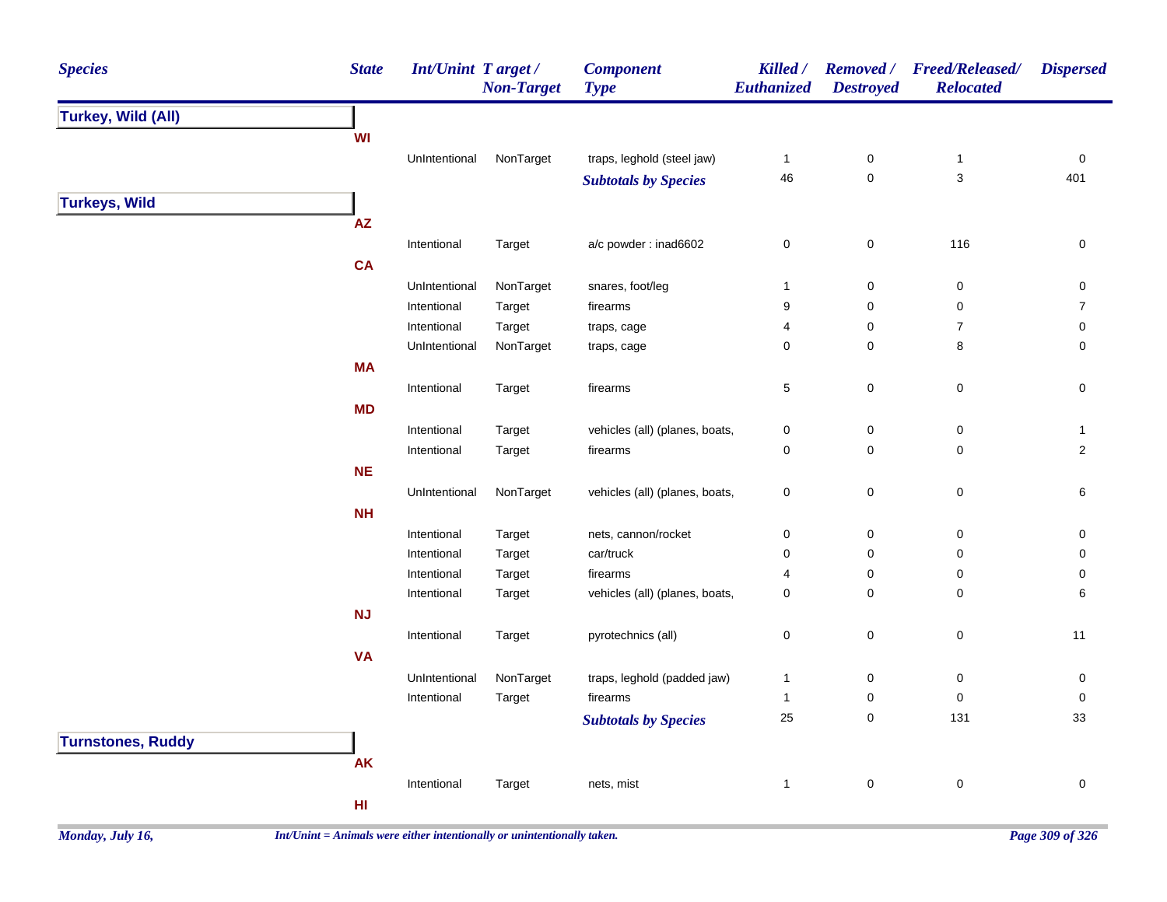| <b>Species</b>            | <b>State</b> | Int/Unint Target/ | <b>Non-Target</b> | <b>Component</b><br><b>Type</b> | Killed /<br>Euthanized | <b>Removed</b> /<br><b>Destroyed</b> | <b>Freed/Released/</b><br><b>Relocated</b> | <b>Dispersed</b>        |
|---------------------------|--------------|-------------------|-------------------|---------------------------------|------------------------|--------------------------------------|--------------------------------------------|-------------------------|
| <b>Turkey, Wild (All)</b> |              |                   |                   |                                 |                        |                                      |                                            |                         |
|                           | WI           |                   |                   |                                 |                        |                                      |                                            |                         |
|                           |              | UnIntentional     | NonTarget         | traps, leghold (steel jaw)      | $\mathbf{1}$           | $\pmb{0}$                            | $\mathbf{1}$                               | $\mathsf 0$             |
|                           |              |                   |                   | <b>Subtotals by Species</b>     | 46                     | $\pmb{0}$                            | $\mathbf{3}$                               | 401                     |
| <b>Turkeys, Wild</b>      |              |                   |                   |                                 |                        |                                      |                                            |                         |
|                           | AZ           |                   |                   |                                 |                        |                                      |                                            |                         |
|                           |              | Intentional       | Target            | a/c powder : inad6602           | $\pmb{0}$              | $\pmb{0}$                            | 116                                        | $\pmb{0}$               |
|                           | CA           |                   |                   |                                 |                        |                                      |                                            |                         |
|                           |              | UnIntentional     | NonTarget         | snares, foot/leg                | $\mathbf{1}$           | $\pmb{0}$                            | $\pmb{0}$                                  | $\pmb{0}$               |
|                           |              | Intentional       | Target            | firearms                        | 9                      | $\pmb{0}$                            | $\pmb{0}$                                  | $\overline{7}$          |
|                           |              | Intentional       | Target            | traps, cage                     | 4                      | $\pmb{0}$                            | $\boldsymbol{7}$                           | 0                       |
|                           |              | UnIntentional     | NonTarget         | traps, cage                     | $\mathbf 0$            | $\mathbf 0$                          | 8                                          | 0                       |
|                           | <b>MA</b>    |                   |                   |                                 |                        |                                      |                                            |                         |
|                           |              | Intentional       | Target            | firearms                        | $\,$ 5 $\,$            | $\pmb{0}$                            | $\pmb{0}$                                  | $\pmb{0}$               |
|                           | MD           |                   |                   |                                 |                        |                                      |                                            |                         |
|                           |              | Intentional       | Target            | vehicles (all) (planes, boats,  | $\pmb{0}$              | $\pmb{0}$                            | $\pmb{0}$                                  | $\mathbf{1}$            |
|                           |              | Intentional       | Target            | firearms                        | $\mathbf 0$            | $\pmb{0}$                            | 0                                          | $\overline{\mathbf{c}}$ |
|                           | <b>NE</b>    |                   |                   |                                 |                        |                                      |                                            |                         |
|                           |              | UnIntentional     | NonTarget         | vehicles (all) (planes, boats,  | $\pmb{0}$              | $\pmb{0}$                            | $\pmb{0}$                                  | $\,6$                   |
|                           | <b>NH</b>    |                   |                   |                                 |                        |                                      |                                            |                         |
|                           |              | Intentional       | Target            | nets, cannon/rocket             | $\pmb{0}$              | $\pmb{0}$                            | $\mathsf 0$                                | $\mathbf 0$             |
|                           |              | Intentional       | Target            | car/truck                       | $\mathbf 0$            | $\mathbf 0$                          | 0                                          | 0                       |
|                           |              | Intentional       | Target            | firearms                        | $\overline{4}$         | $\mathbf 0$                          | 0                                          | 0                       |
|                           |              | Intentional       | Target            | vehicles (all) (planes, boats,  | $\mathbf 0$            | $\mathbf 0$                          | 0                                          | 6                       |
|                           | <b>NJ</b>    |                   |                   |                                 |                        |                                      |                                            |                         |
|                           |              | Intentional       | Target            | pyrotechnics (all)              | $\pmb{0}$              | $\pmb{0}$                            | $\mathsf 0$                                | 11                      |
|                           | <b>VA</b>    |                   |                   |                                 |                        |                                      |                                            |                         |
|                           |              | UnIntentional     | NonTarget         | traps, leghold (padded jaw)     | $\mathbf{1}$           | $\pmb{0}$                            | $\mathsf 0$                                | $\pmb{0}$               |
|                           |              | Intentional       | Target            | firearms                        | $\mathbf{1}$           | $\pmb{0}$                            | $\mathsf 0$                                | $\pmb{0}$               |
|                           |              |                   |                   | <b>Subtotals by Species</b>     | 25                     | $\pmb{0}$                            | 131                                        | 33                      |
| <b>Turnstones, Ruddy</b>  |              |                   |                   |                                 |                        |                                      |                                            |                         |
|                           | AK           |                   |                   |                                 |                        |                                      |                                            |                         |
|                           |              | Intentional       | Target            | nets, mist                      | $\mathbf{1}$           | $\pmb{0}$                            | $\pmb{0}$                                  | $\pmb{0}$               |
|                           | HI           |                   |                   |                                 |                        |                                      |                                            |                         |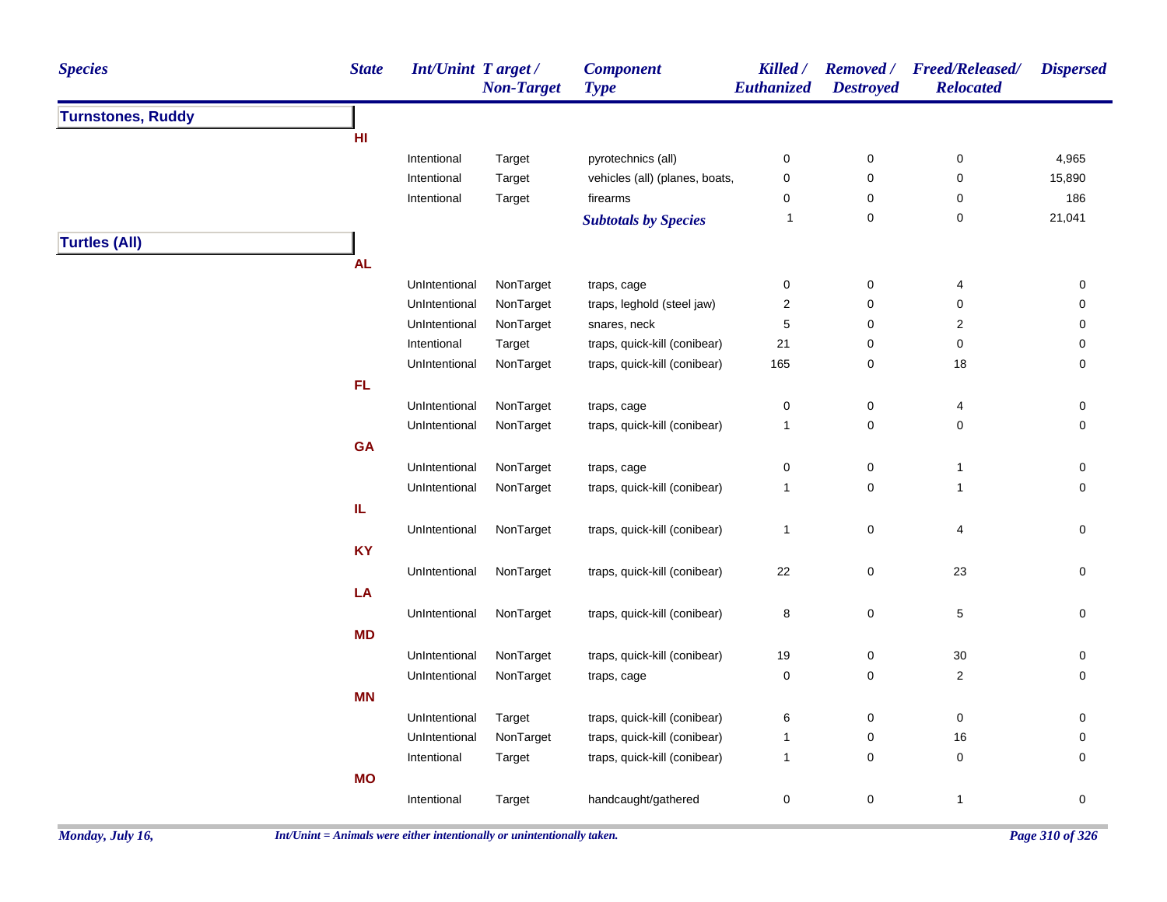| <b>Species</b>           | <b>State</b> | <b>Int/Unint Target/</b> | <b>Non-Target</b> | <b>Component</b><br><b>Type</b> | Killed /<br><b>Euthanized</b> | <b>Destroyed</b> | Removed / Freed/Released/<br><b>Relocated</b> | <b>Dispersed</b> |
|--------------------------|--------------|--------------------------|-------------------|---------------------------------|-------------------------------|------------------|-----------------------------------------------|------------------|
| <b>Turnstones, Ruddy</b> |              |                          |                   |                                 |                               |                  |                                               |                  |
|                          | HI           |                          |                   |                                 |                               |                  |                                               |                  |
|                          |              | Intentional              | Target            | pyrotechnics (all)              | 0                             | $\boldsymbol{0}$ | 0                                             | 4,965            |
|                          |              | Intentional              | Target            | vehicles (all) (planes, boats,  | $\pmb{0}$                     | $\pmb{0}$        | $\pmb{0}$                                     | 15,890           |
|                          |              | Intentional              | Target            | firearms                        | 0                             | 0                | 0                                             | 186              |
|                          |              |                          |                   | <b>Subtotals by Species</b>     | 1                             | $\pmb{0}$        | $\pmb{0}$                                     | 21,041           |
| <b>Turtles (All)</b>     |              |                          |                   |                                 |                               |                  |                                               |                  |
|                          | <b>AL</b>    |                          |                   |                                 |                               |                  |                                               |                  |
|                          |              | UnIntentional            | NonTarget         | traps, cage                     | $\pmb{0}$                     | $\pmb{0}$        | 4                                             | 0                |
|                          |              | UnIntentional            | NonTarget         | traps, leghold (steel jaw)      | $\overline{c}$                | $\mathbf 0$      | $\mathbf 0$                                   | 0                |
|                          |              | UnIntentional            | NonTarget         | snares, neck                    | $\mathbf 5$                   | $\mathbf 0$      | $\overline{c}$                                | 0                |
|                          |              | Intentional              | Target            | traps, quick-kill (conibear)    | 21                            | $\pmb{0}$        | $\pmb{0}$                                     | 0                |
|                          |              | UnIntentional            | NonTarget         | traps, quick-kill (conibear)    | 165                           | 0                | 18                                            | 0                |
|                          | <b>FL</b>    |                          |                   |                                 |                               |                  |                                               |                  |
|                          |              | UnIntentional            | NonTarget         | traps, cage                     | $\pmb{0}$                     | $\pmb{0}$        | 4                                             | 0                |
|                          |              | UnIntentional            | NonTarget         | traps, quick-kill (conibear)    | $\mathbf{1}$                  | $\mathbf 0$      | $\mathbf 0$                                   | 0                |
|                          | <b>GA</b>    |                          |                   |                                 |                               |                  |                                               |                  |
|                          |              | UnIntentional            | NonTarget         | traps, cage                     | $\mathbf 0$                   | $\pmb{0}$        | $\overline{1}$                                | 0                |
|                          |              | UnIntentional            | NonTarget         | traps, quick-kill (conibear)    | $\mathbf{1}$                  | $\mathsf 0$      | $\overline{1}$                                | 0                |
|                          | IL           |                          |                   |                                 |                               |                  |                                               |                  |
|                          |              | UnIntentional            | NonTarget         | traps, quick-kill (conibear)    | $\mathbf{1}$                  | $\pmb{0}$        | 4                                             | 0                |
|                          | <b>KY</b>    |                          |                   |                                 |                               |                  |                                               |                  |
|                          |              | UnIntentional            | NonTarget         | traps, quick-kill (conibear)    | 22                            | $\pmb{0}$        | 23                                            | $\mathsf 0$      |
|                          | LA           |                          |                   |                                 |                               |                  |                                               |                  |
|                          |              | UnIntentional            | NonTarget         | traps, quick-kill (conibear)    |                               | $\mathsf 0$      | $\,$ 5 $\,$                                   | 0                |
|                          | <b>MD</b>    |                          |                   |                                 | 8                             |                  |                                               |                  |
|                          |              |                          |                   |                                 |                               |                  |                                               |                  |
|                          |              | UnIntentional            | NonTarget         | traps, quick-kill (conibear)    | 19                            | $\boldsymbol{0}$ | $30\,$                                        | 0                |
|                          |              | UnIntentional            | NonTarget         | traps, cage                     | 0                             | 0                | $\overline{2}$                                | 0                |
|                          | <b>MN</b>    |                          |                   |                                 |                               |                  |                                               |                  |
|                          |              | UnIntentional            | Target            | traps, quick-kill (conibear)    | 6                             | $\pmb{0}$        | $\pmb{0}$                                     | 0                |
|                          |              | UnIntentional            | NonTarget         | traps, quick-kill (conibear)    | $\mathbf{1}$                  | $\pmb{0}$        | 16                                            | 0                |
|                          |              | Intentional              | Target            | traps, quick-kill (conibear)    | $\mathbf{1}$                  | $\mathbf 0$      | $\mathbf 0$                                   | 0                |
|                          | <b>MO</b>    |                          |                   |                                 |                               |                  |                                               |                  |
|                          |              | Intentional              | Target            | handcaught/gathered             | $\pmb{0}$                     | $\pmb{0}$        | $\overline{1}$                                | $\mathbf 0$      |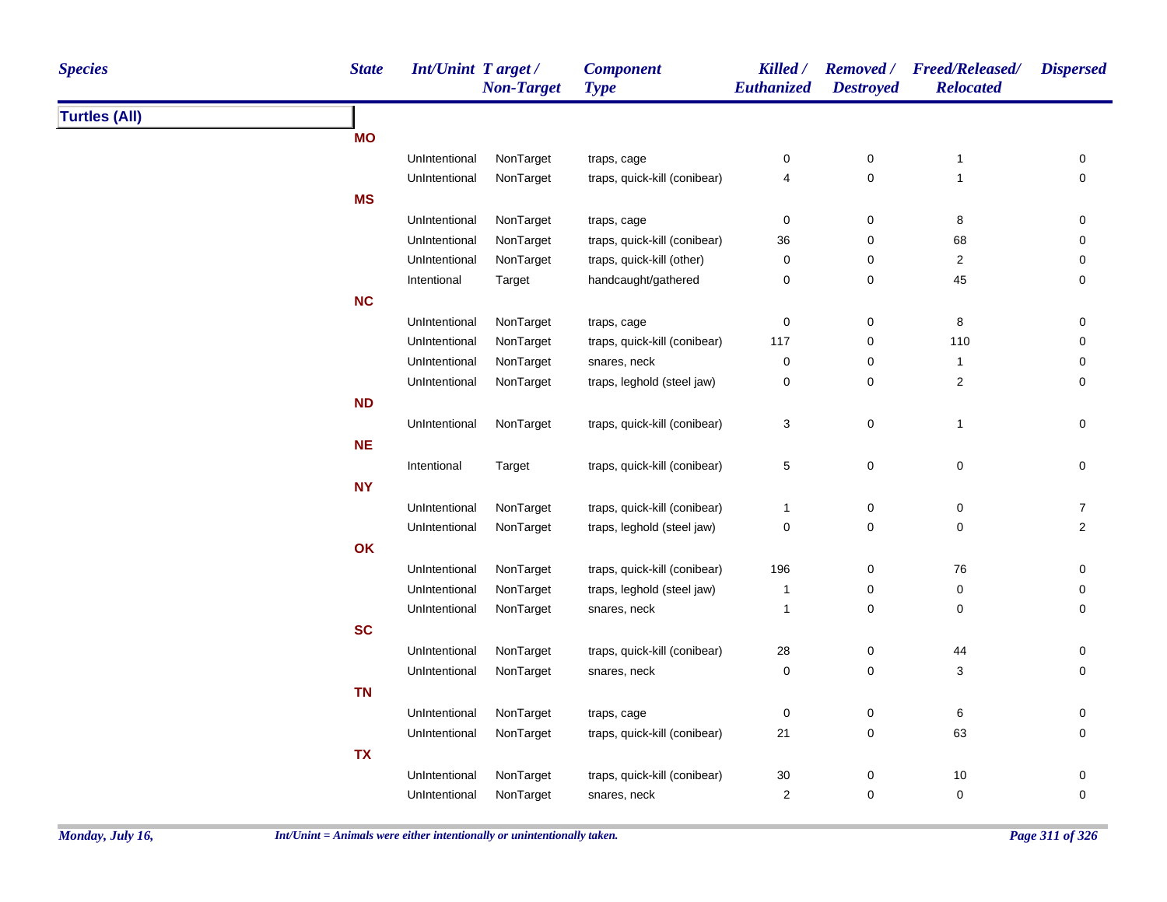| <b>State</b><br><b>Int/Unint Target/</b><br><b>Species</b><br><b>Component</b><br><b>Non-Target</b><br>Euthanized<br><b>Type</b> | Killed /<br><b>Removed</b> /<br><b>Destroyed</b> | Freed/Released/<br><b>Relocated</b> | <b>Dispersed</b> |
|----------------------------------------------------------------------------------------------------------------------------------|--------------------------------------------------|-------------------------------------|------------------|
| <b>Turtles (All)</b>                                                                                                             |                                                  |                                     |                  |
| <b>MO</b>                                                                                                                        |                                                  |                                     |                  |
| UnIntentional<br>NonTarget<br>traps, cage                                                                                        | $\pmb{0}$<br>0                                   | $\overline{1}$                      | 0                |
| NonTarget<br>traps, quick-kill (conibear)<br>UnIntentional                                                                       | 4<br>$\pmb{0}$                                   | $\overline{1}$                      | 0                |
| <b>MS</b>                                                                                                                        |                                                  |                                     |                  |
| UnIntentional<br>NonTarget<br>traps, cage                                                                                        | 0<br>$\pmb{0}$                                   | 8                                   | 0                |
| UnIntentional<br>NonTarget<br>traps, quick-kill (conibear)                                                                       | 36<br>0                                          | 68                                  | 0                |
| traps, quick-kill (other)<br>UnIntentional<br>NonTarget                                                                          | $\pmb{0}$<br>0                                   | $\sqrt{2}$                          | 0                |
| handcaught/gathered<br>Intentional<br>Target                                                                                     | 0<br>0                                           | 45                                  | 0                |
| <b>NC</b>                                                                                                                        |                                                  |                                     |                  |
| UnIntentional<br>NonTarget<br>traps, cage                                                                                        | $\pmb{0}$<br>$\pmb{0}$                           | $\,8\,$                             | 0                |
| traps, quick-kill (conibear)<br>UnIntentional<br>NonTarget                                                                       | 117<br>$\pmb{0}$                                 | 110                                 | 0                |
| UnIntentional<br>NonTarget<br>snares, neck                                                                                       | 0<br>0                                           | $\overline{1}$                      | 0                |
| traps, leghold (steel jaw)<br>UnIntentional<br>NonTarget                                                                         | $\mathbf 0$<br>$\mathbf 0$                       | $\boldsymbol{2}$                    | 0                |
| <b>ND</b>                                                                                                                        |                                                  |                                     |                  |
| traps, quick-kill (conibear)<br>UnIntentional<br>NonTarget                                                                       | $\ensuremath{\mathsf{3}}$<br>$\mathbf 0$         | $\overline{1}$                      | $\pmb{0}$        |
| <b>NE</b>                                                                                                                        |                                                  |                                     |                  |
| traps, quick-kill (conibear)<br>Intentional<br>Target                                                                            | $\pmb{0}$<br>5                                   | $\pmb{0}$                           | $\mathsf 0$      |
| <b>NY</b>                                                                                                                        |                                                  |                                     |                  |
| UnIntentional<br>NonTarget<br>traps, quick-kill (conibear)                                                                       | $\mathbf 0$<br>1                                 | $\boldsymbol{0}$                    | $\overline{7}$   |
| traps, leghold (steel jaw)<br>UnIntentional<br>NonTarget                                                                         | $\pmb{0}$<br>$\pmb{0}$                           | $\pmb{0}$                           | $\overline{2}$   |
| OK                                                                                                                               |                                                  |                                     |                  |
| traps, quick-kill (conibear)<br>UnIntentional<br>NonTarget                                                                       | 196<br>$\pmb{0}$                                 | ${\bf 76}$                          | 0                |
| traps, leghold (steel jaw)<br>UnIntentional<br>NonTarget                                                                         | $\mathbf{1}$<br>$\pmb{0}$                        | 0                                   | 0                |
| NonTarget<br>UnIntentional<br>snares, neck                                                                                       | $\mathbf{1}$<br>$\mathbf 0$                      | $\mathbf 0$                         | 0                |
| SC                                                                                                                               |                                                  |                                     |                  |
| traps, quick-kill (conibear)<br>UnIntentional<br>NonTarget                                                                       | 28<br>$\pmb{0}$                                  | 44                                  | 0                |
| UnIntentional<br>NonTarget<br>snares, neck                                                                                       | $\pmb{0}$<br>$\pmb{0}$                           | 3                                   | 0                |
| <b>TN</b>                                                                                                                        |                                                  |                                     |                  |
| UnIntentional<br>NonTarget<br>traps, cage                                                                                        | $\pmb{0}$<br>$\pmb{0}$                           | $\,6\,$                             | 0                |
| NonTarget<br>traps, quick-kill (conibear)<br>UnIntentional                                                                       | $\mathbf 0$<br>21                                | 63                                  | 0                |
| <b>TX</b>                                                                                                                        |                                                  |                                     |                  |
| traps, quick-kill (conibear)<br>UnIntentional<br>NonTarget                                                                       | $30\,$<br>$\pmb{0}$                              | $10$                                | $\pmb{0}$        |
| UnIntentional<br>NonTarget<br>snares, neck                                                                                       | $\overline{2}$<br>0                              | 0                                   | $\pmb{0}$        |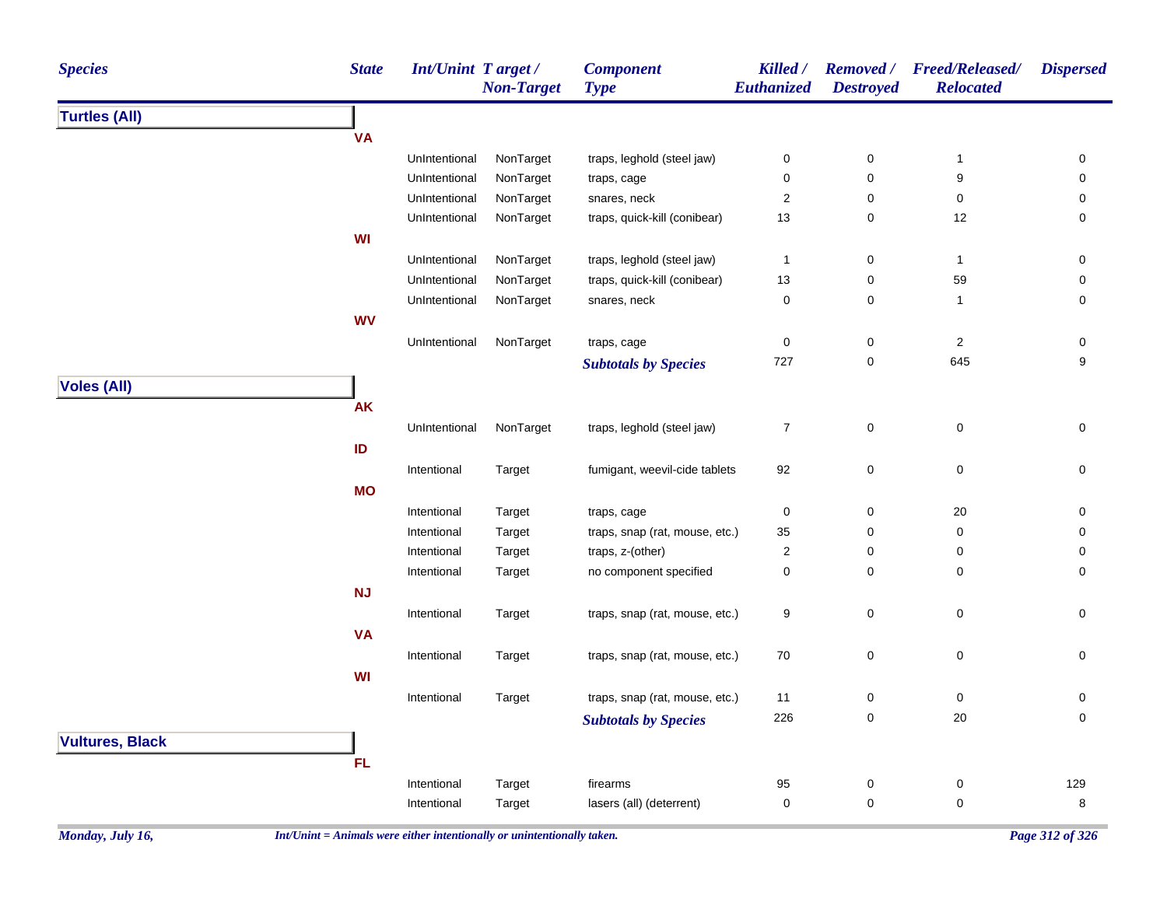| <b>Species</b>         | <b>State</b> | <b>Int/Unint Target/</b> | <b>Non-Target</b> | <b>Component</b><br><b>Type</b> | Killed /<br>Euthanized | <b>Destroyed</b> | Removed / Freed/Released/<br><b>Relocated</b> | <b>Dispersed</b> |
|------------------------|--------------|--------------------------|-------------------|---------------------------------|------------------------|------------------|-----------------------------------------------|------------------|
| <b>Turtles (All)</b>   |              |                          |                   |                                 |                        |                  |                                               |                  |
|                        | <b>VA</b>    |                          |                   |                                 |                        |                  |                                               |                  |
|                        |              | UnIntentional            | NonTarget         | traps, leghold (steel jaw)      | 0                      | 0                | $\mathbf{1}$                                  | 0                |
|                        |              | UnIntentional            | NonTarget         | traps, cage                     | 0                      | 0                | 9                                             | 0                |
|                        |              | UnIntentional            | NonTarget         | snares, neck                    | $\overline{2}$         | 0                | 0                                             | 0                |
|                        |              | UnIntentional            | NonTarget         | traps, quick-kill (conibear)    | 13                     | 0                | 12                                            | 0                |
|                        | WI           |                          |                   |                                 |                        |                  |                                               |                  |
|                        |              | UnIntentional            | NonTarget         | traps, leghold (steel jaw)      | $\mathbf{1}$           | $\pmb{0}$        | $\mathbf{1}$                                  | 0                |
|                        |              | UnIntentional            | NonTarget         | traps, quick-kill (conibear)    | 13                     | 0                | 59                                            | 0                |
|                        |              | UnIntentional            | NonTarget         | snares, neck                    | $\mathbf 0$            | 0                | 1                                             | 0                |
|                        | <b>WV</b>    |                          |                   |                                 |                        |                  |                                               |                  |
|                        |              | UnIntentional            | NonTarget         | traps, cage                     | 0                      | 0                | 2                                             | 0                |
|                        |              |                          |                   | <b>Subtotals by Species</b>     | 727                    | 0                | 645                                           | 9                |
| <b>Voles (All)</b>     |              |                          |                   |                                 |                        |                  |                                               |                  |
|                        | <b>AK</b>    |                          |                   |                                 |                        |                  |                                               |                  |
|                        |              | UnIntentional            | NonTarget         | traps, leghold (steel jaw)      | $\overline{7}$         | 0                | $\pmb{0}$                                     | 0                |
|                        | ID           |                          |                   |                                 |                        |                  |                                               |                  |
|                        |              | Intentional              | Target            | fumigant, weevil-cide tablets   | 92                     | 0                | $\pmb{0}$                                     | 0                |
|                        | <b>MO</b>    |                          |                   |                                 |                        |                  |                                               |                  |
|                        |              | Intentional              | Target            | traps, cage                     | 0                      | 0                | 20                                            | 0                |
|                        |              | Intentional              | Target            | traps, snap (rat, mouse, etc.)  | 35                     | 0                | 0                                             | 0                |
|                        |              | Intentional              | Target            | traps, z-(other)                | 2                      | 0                | 0                                             | 0                |
|                        |              | Intentional              | Target            | no component specified          | 0                      | 0                | 0                                             | 0                |
|                        | NJ           |                          |                   |                                 |                        |                  |                                               |                  |
|                        |              | Intentional              | Target            | traps, snap (rat, mouse, etc.)  | 9                      | 0                | 0                                             | 0                |
|                        | <b>VA</b>    |                          |                   |                                 |                        |                  |                                               |                  |
|                        |              | Intentional              | Target            | traps, snap (rat, mouse, etc.)  | 70                     | 0                | $\pmb{0}$                                     | 0                |
|                        | WI           |                          |                   |                                 |                        |                  |                                               |                  |
|                        |              | Intentional              | Target            | traps, snap (rat, mouse, etc.)  | 11                     | 0                | $\pmb{0}$                                     | 0                |
|                        |              |                          |                   | <b>Subtotals by Species</b>     | 226                    | 0                | 20                                            | $\Omega$         |
|                        |              |                          |                   |                                 |                        |                  |                                               |                  |
| <b>Vultures, Black</b> |              |                          |                   |                                 |                        |                  |                                               |                  |
|                        | FL.          |                          |                   |                                 |                        |                  |                                               |                  |
|                        |              | Intentional              | Target            | firearms                        | 95                     | 0                | 0                                             | 129              |
|                        |              | Intentional              | Target            | lasers (all) (deterrent)        | $\pmb{0}$              | 0                | 0                                             | 8                |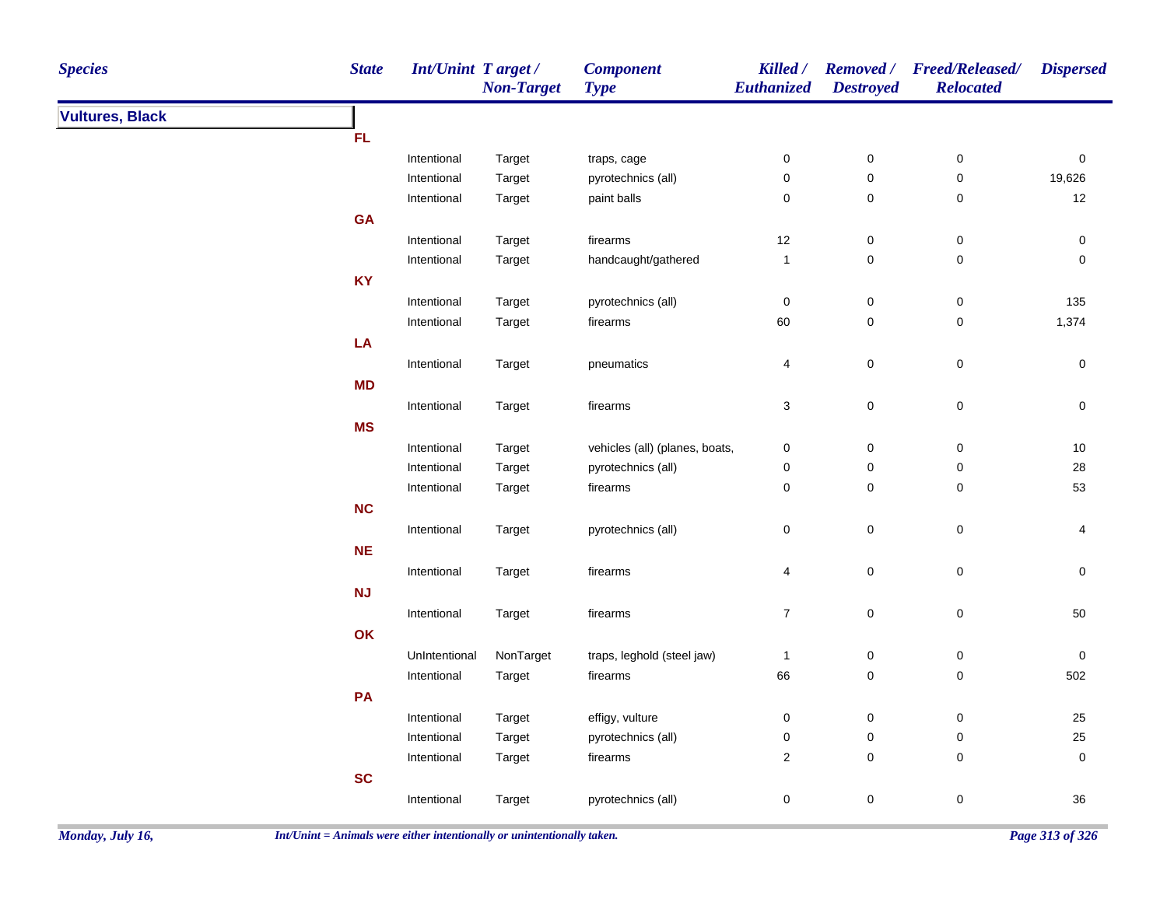| <b>Species</b>         | <b>State</b> | <b>Int/Unint Target/</b> | <b>Non-Target</b> | <b>Component</b><br><b>Type</b> | Killed /<br>Euthanized | <b>Destroyed</b>       | Removed / Freed/Released/<br><b>Relocated</b> | <b>Dispersed</b> |
|------------------------|--------------|--------------------------|-------------------|---------------------------------|------------------------|------------------------|-----------------------------------------------|------------------|
| <b>Vultures, Black</b> |              |                          |                   |                                 |                        |                        |                                               |                  |
|                        | FL.          |                          |                   |                                 |                        |                        |                                               |                  |
|                        |              | Intentional              | Target            | traps, cage                     | $\pmb{0}$              | $\pmb{0}$              | $\pmb{0}$                                     | $\pmb{0}$        |
|                        |              | Intentional              | Target            | pyrotechnics (all)              | $\pmb{0}$              | $\pmb{0}$              | $\pmb{0}$                                     | 19,626           |
|                        |              | Intentional              | Target            | paint balls                     | $\pmb{0}$              | $\pmb{0}$              | $\pmb{0}$                                     | 12               |
|                        | GA           |                          |                   |                                 |                        |                        |                                               |                  |
|                        |              | Intentional              | Target            | firearms                        | 12                     | 0                      | $\pmb{0}$                                     | 0                |
|                        |              | Intentional              | Target            | handcaught/gathered             | $\mathbf{1}$           | 0                      | $\pmb{0}$                                     | $\pmb{0}$        |
|                        | <b>KY</b>    |                          |                   |                                 |                        |                        |                                               |                  |
|                        |              | Intentional              | Target            | pyrotechnics (all)              | $\boldsymbol{0}$       | $\pmb{0}$              | $\pmb{0}$                                     | 135              |
|                        |              | Intentional              | Target            | firearms                        | 60                     | 0                      | $\pmb{0}$                                     | 1,374            |
|                        | LA           |                          |                   |                                 |                        |                        |                                               |                  |
|                        |              | Intentional              | Target            | pneumatics                      | 4                      | $\pmb{0}$              | $\pmb{0}$                                     | 0                |
|                        | <b>MD</b>    |                          |                   |                                 |                        |                        |                                               |                  |
|                        |              | Intentional              | Target            | firearms                        | $\sqrt{3}$             | $\mathbf 0$            | $\pmb{0}$                                     | $\pmb{0}$        |
|                        | <b>MS</b>    |                          |                   |                                 |                        |                        |                                               |                  |
|                        |              | Intentional              | Target            | vehicles (all) (planes, boats,  | $\pmb{0}$              | $\pmb{0}$              | $\pmb{0}$                                     | 10               |
|                        |              | Intentional              | Target            | pyrotechnics (all)              | $\pmb{0}$              | 0                      | $\pmb{0}$                                     | 28               |
|                        |              | Intentional              | Target            | firearms                        | $\mathbf 0$            | $\pmb{0}$              | 0                                             | 53               |
|                        | NC           |                          |                   |                                 |                        |                        |                                               |                  |
|                        |              | Intentional              | Target            | pyrotechnics (all)              | $\pmb{0}$              | $\mathbf 0$            | $\pmb{0}$                                     | 4                |
|                        | NE           |                          |                   |                                 |                        |                        |                                               |                  |
|                        |              | Intentional              | Target            | firearms                        | 4                      | $\mathbf 0$            | $\pmb{0}$                                     | $\pmb{0}$        |
|                        | NJ           |                          |                   |                                 |                        |                        |                                               |                  |
|                        |              | Intentional              | Target            | firearms                        | $\boldsymbol{7}$       | $\pmb{0}$              | $\pmb{0}$                                     | 50               |
|                        | OK           |                          |                   |                                 |                        |                        |                                               |                  |
|                        |              | UnIntentional            | NonTarget         | traps, leghold (steel jaw)      |                        |                        |                                               |                  |
|                        |              | Intentional              |                   |                                 | $\overline{1}$<br>66   | $\pmb{0}$<br>$\pmb{0}$ | $\pmb{0}$<br>$\pmb{0}$                        | $\pmb{0}$<br>502 |
|                        |              |                          | Target            | firearms                        |                        |                        |                                               |                  |
|                        | PA           |                          |                   |                                 |                        |                        |                                               |                  |
|                        |              | Intentional              | Target            | effigy, vulture                 | $\pmb{0}$              | $\pmb{0}$              | $\pmb{0}$                                     | 25               |
|                        |              | Intentional              | Target            | pyrotechnics (all)              | $\pmb{0}$              | $\pmb{0}$              | $\pmb{0}$                                     | 25               |
|                        |              | Intentional              | Target            | firearms                        | $\overline{2}$         | 0                      | 0                                             | $\pmb{0}$        |
|                        | SC           |                          |                   |                                 |                        |                        |                                               |                  |
|                        |              | Intentional              | Target            | pyrotechnics (all)              | $\pmb{0}$              | 0                      | $\pmb{0}$                                     | 36               |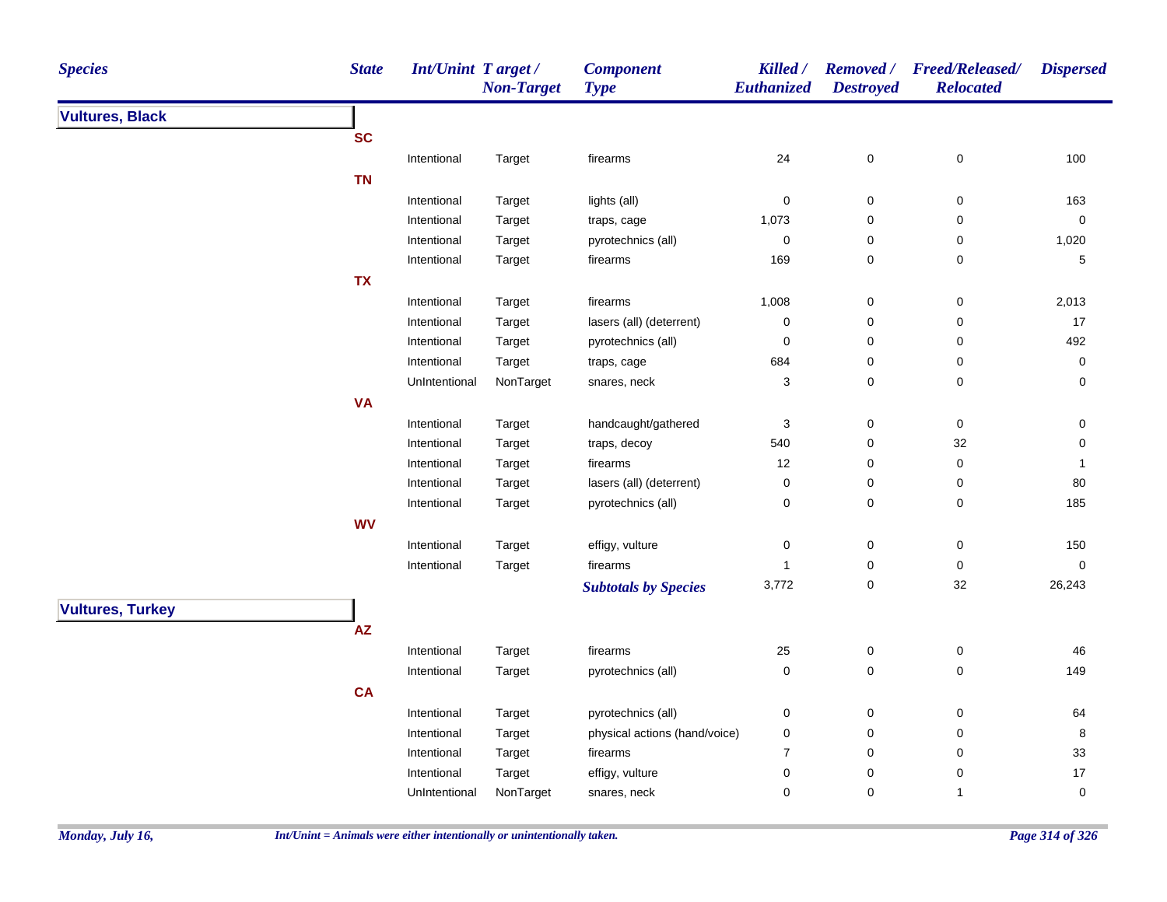| <b>Species</b>          | <b>State</b> | Int/Unint Target/ | <b>Non-Target</b> | <b>Component</b><br><b>Type</b> | Killed /<br>Euthanized | <b>Destroyed</b> | Removed / Freed/Released/<br><b>Relocated</b> | <b>Dispersed</b> |
|-------------------------|--------------|-------------------|-------------------|---------------------------------|------------------------|------------------|-----------------------------------------------|------------------|
| <b>Vultures, Black</b>  |              |                   |                   |                                 |                        |                  |                                               |                  |
|                         | <b>SC</b>    |                   |                   |                                 |                        |                  |                                               |                  |
|                         |              | Intentional       | Target            | firearms                        | 24                     | 0                | 0                                             | 100              |
|                         | <b>TN</b>    |                   |                   |                                 |                        |                  |                                               |                  |
|                         |              | Intentional       | Target            | lights (all)                    | $\mathbf 0$            | $\mathbf 0$      | 0                                             | 163              |
|                         |              | Intentional       | Target            | traps, cage                     | 1,073                  | $\pmb{0}$        | 0                                             | $\pmb{0}$        |
|                         |              | Intentional       | Target            | pyrotechnics (all)              | $\pmb{0}$              | 0                | 0                                             | 1,020            |
|                         |              | Intentional       | Target            | firearms                        | 169                    | 0                | $\mathbf 0$                                   | $\mathbf 5$      |
|                         | <b>TX</b>    |                   |                   |                                 |                        |                  |                                               |                  |
|                         |              | Intentional       | Target            | firearms                        | 1,008                  | $\pmb{0}$        | $\pmb{0}$                                     | 2,013            |
|                         |              | Intentional       | Target            | lasers (all) (deterrent)        | $\mathbf 0$            | 0                | $\pmb{0}$                                     | 17               |
|                         |              | Intentional       | Target            | pyrotechnics (all)              | $\mathbf 0$            | 0                | $\mathbf 0$                                   | 492              |
|                         |              | Intentional       | Target            | traps, cage                     | 684                    | 0                | $\pmb{0}$                                     | $\pmb{0}$        |
|                         |              | UnIntentional     | NonTarget         | snares, neck                    | $\sqrt{3}$             | 0                | $\pmb{0}$                                     | 0                |
|                         | <b>VA</b>    |                   |                   |                                 |                        |                  |                                               |                  |
|                         |              | Intentional       | Target            | handcaught/gathered             | $\sqrt{3}$             | $\pmb{0}$        | $\pmb{0}$                                     | 0                |
|                         |              | Intentional       | Target            | traps, decoy                    | 540                    | 0                | $32\,$                                        | 0                |
|                         |              | Intentional       | Target            | firearms                        | 12                     | 0                | 0                                             | $\mathbf 1$      |
|                         |              | Intentional       | Target            | lasers (all) (deterrent)        | $\boldsymbol{0}$       | 0                | 0                                             | 80               |
|                         |              | Intentional       | Target            | pyrotechnics (all)              | $\pmb{0}$              | 0                | 0                                             | 185              |
|                         | <b>WV</b>    |                   |                   |                                 |                        |                  |                                               |                  |
|                         |              | Intentional       | Target            | effigy, vulture                 | $\mathbf 0$            | 0                | $\mathbf 0$                                   | 150              |
|                         |              | Intentional       | Target            | firearms                        | $\mathbf{1}$           | 0                | 0                                             | $\pmb{0}$        |
|                         |              |                   |                   | <b>Subtotals by Species</b>     | 3,772                  | 0                | 32                                            | 26,243           |
| <b>Vultures, Turkey</b> |              |                   |                   |                                 |                        |                  |                                               |                  |
|                         |              |                   |                   |                                 |                        |                  |                                               |                  |
|                         | AZ           |                   |                   |                                 |                        |                  |                                               |                  |
|                         |              | Intentional       | Target            | firearms                        | 25                     | $\pmb{0}$        | $\boldsymbol{0}$                              | 46               |
|                         |              | Intentional       | Target            | pyrotechnics (all)              | $\pmb{0}$              | 0                | $\mathbf 0$                                   | 149              |
|                         | CA           |                   |                   |                                 |                        |                  |                                               |                  |
|                         |              | Intentional       | Target            | pyrotechnics (all)              | $\pmb{0}$              | 0                | $\pmb{0}$                                     | 64               |
|                         |              | Intentional       | Target            | physical actions (hand/voice)   | $\pmb{0}$              | 0                | $\mathbf 0$                                   | 8                |
|                         |              | Intentional       | Target            | firearms                        | $\overline{7}$         | 0                | $\mathbf 0$                                   | 33               |
|                         |              | Intentional       | Target            | effigy, vulture                 | $\mathbf 0$            | 0                | 0                                             | 17               |
|                         |              | UnIntentional     | NonTarget         | snares, neck                    | 0                      | 0                | $\mathbf{1}$                                  | 0                |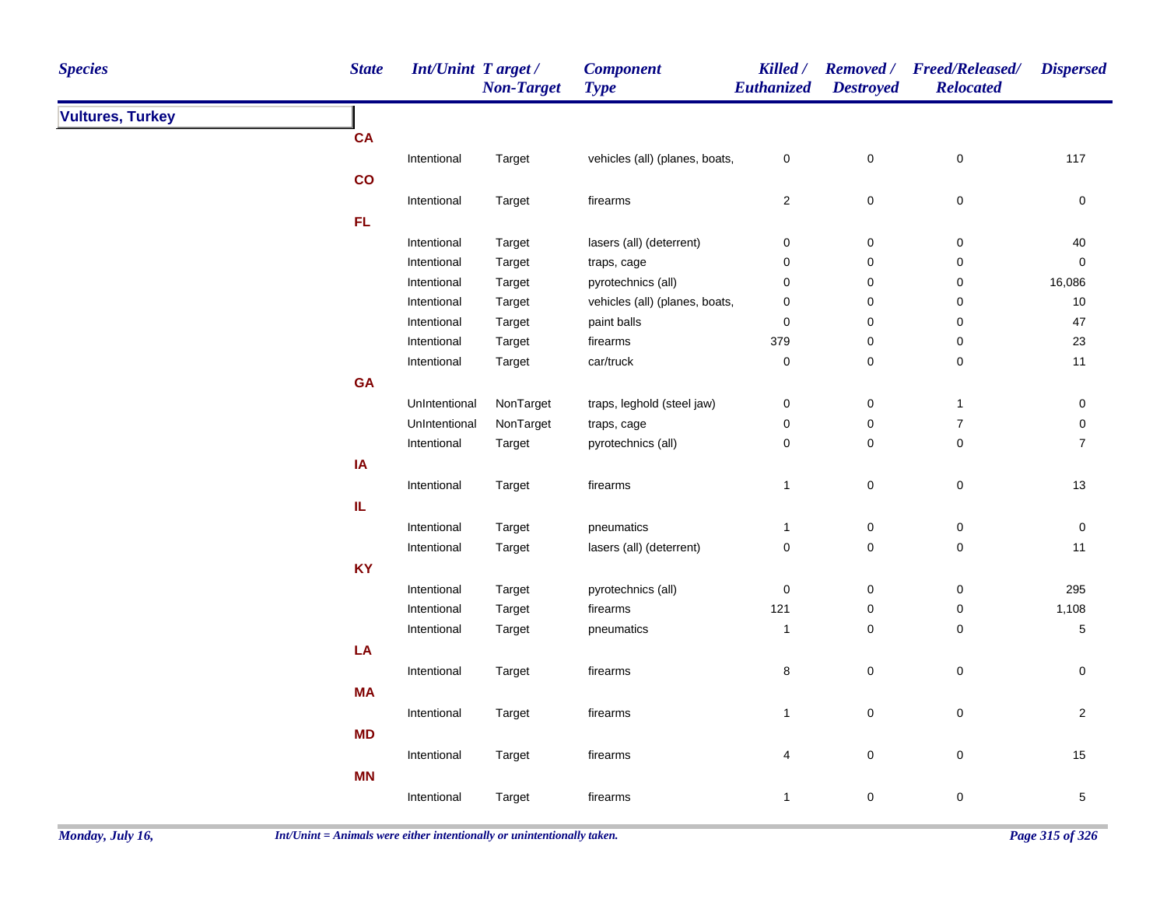| <b>Species</b>          | <b>State</b>  | Int/Unint Target / | <b>Non-Target</b> | <b>Component</b><br><b>Type</b> | Killed /<br>Euthanized  | <b>Destroyed</b>    | Removed / Freed/Released/<br><b>Relocated</b> | <b>Dispersed</b> |
|-------------------------|---------------|--------------------|-------------------|---------------------------------|-------------------------|---------------------|-----------------------------------------------|------------------|
| <b>Vultures, Turkey</b> |               |                    |                   |                                 |                         |                     |                                               |                  |
|                         | <b>CA</b>     |                    |                   |                                 |                         |                     |                                               |                  |
|                         |               | Intentional        | Target            | vehicles (all) (planes, boats,  | $\pmb{0}$               | $\mathbf 0$         | $\mathsf 0$                                   | 117              |
|                         | $\mathbf{co}$ |                    |                   |                                 |                         |                     |                                               |                  |
|                         |               | Intentional        | Target            | firearms                        | $\overline{\mathbf{c}}$ | $\mathbf 0$         | $\mathbf 0$                                   | 0                |
|                         | FL            |                    |                   |                                 |                         |                     |                                               |                  |
|                         |               | Intentional        | Target            | lasers (all) (deterrent)        | 0                       | $\boldsymbol{0}$    | 0                                             | 40               |
|                         |               | Intentional        | Target            | traps, cage                     | 0                       | $\pmb{0}$           | 0                                             | $\mathsf 0$      |
|                         |               | Intentional        | Target            | pyrotechnics (all)              | 0                       | $\pmb{0}$           | 0                                             | 16,086           |
|                         |               | Intentional        | Target            | vehicles (all) (planes, boats,  | 0                       | $\mathbf 0$         | 0                                             | $10\,$           |
|                         |               | Intentional        | Target            | paint balls                     | 0                       | $\pmb{0}$           | 0                                             | 47               |
|                         |               | Intentional        | Target            | firearms                        | 379                     | $\mathbf 0$         | 0                                             | 23               |
|                         |               | Intentional        | Target            | car/truck                       | 0                       | $\mathbf 0$         | 0                                             | 11               |
|                         | GA            |                    |                   |                                 |                         |                     |                                               |                  |
|                         |               | UnIntentional      | NonTarget         | traps, leghold (steel jaw)      | $\pmb{0}$               | $\pmb{0}$           | $\overline{1}$                                | $\pmb{0}$        |
|                         |               | UnIntentional      | NonTarget         | traps, cage                     | 0                       | $\pmb{0}$           | $\overline{7}$                                | $\mathsf 0$      |
|                         |               | Intentional        | Target            | pyrotechnics (all)              | $\pmb{0}$               | $\pmb{0}$           | $\pmb{0}$                                     | $\overline{7}$   |
|                         | IA            |                    |                   |                                 |                         |                     |                                               |                  |
|                         |               | Intentional        | Target            | firearms                        | $\mathbf{1}$            | $\pmb{0}$           | $\pmb{0}$                                     | $13$             |
|                         | IL.           |                    |                   |                                 |                         |                     |                                               |                  |
|                         |               | Intentional        | Target            | pneumatics                      | $\mathbf{1}$            | $\pmb{0}$           | 0                                             | 0                |
|                         |               | Intentional        | Target            | lasers (all) (deterrent)        | $\pmb{0}$               | $\pmb{0}$           | $\mathbf 0$                                   | 11               |
|                         | <b>KY</b>     |                    |                   |                                 |                         |                     |                                               |                  |
|                         |               | Intentional        | Target            | pyrotechnics (all)              | 0                       | $\boldsymbol{0}$    | 0                                             | 295              |
|                         |               | Intentional        | Target            | firearms                        | 121                     | $\mathbf 0$         | 0                                             | 1,108            |
|                         |               | Intentional        | Target            | pneumatics                      | $\mathbf{1}$            | $\pmb{0}$           | 0                                             | $\sqrt{5}$       |
|                         | LA            |                    |                   |                                 |                         |                     |                                               |                  |
|                         |               | Intentional        | Target            | firearms                        | 8                       | $\mathsf{O}\xspace$ | $\pmb{0}$                                     | $\mathsf 0$      |
|                         | <b>MA</b>     |                    |                   |                                 |                         |                     |                                               |                  |
|                         |               | Intentional        | Target            | firearms                        | $\mathbf{1}$            | $\mathbf 0$         | $\pmb{0}$                                     | $\overline{2}$   |
|                         | <b>MD</b>     |                    |                   |                                 |                         |                     |                                               |                  |
|                         |               | Intentional        | Target            | firearms                        | 4                       | $\pmb{0}$           | 0                                             | 15               |
|                         | <b>MN</b>     |                    |                   |                                 |                         |                     |                                               |                  |
|                         |               |                    |                   |                                 |                         |                     |                                               |                  |
|                         |               | Intentional        | Target            | firearms                        | $\mathbf{1}$            | $\pmb{0}$           | 0                                             | $\sqrt{5}$       |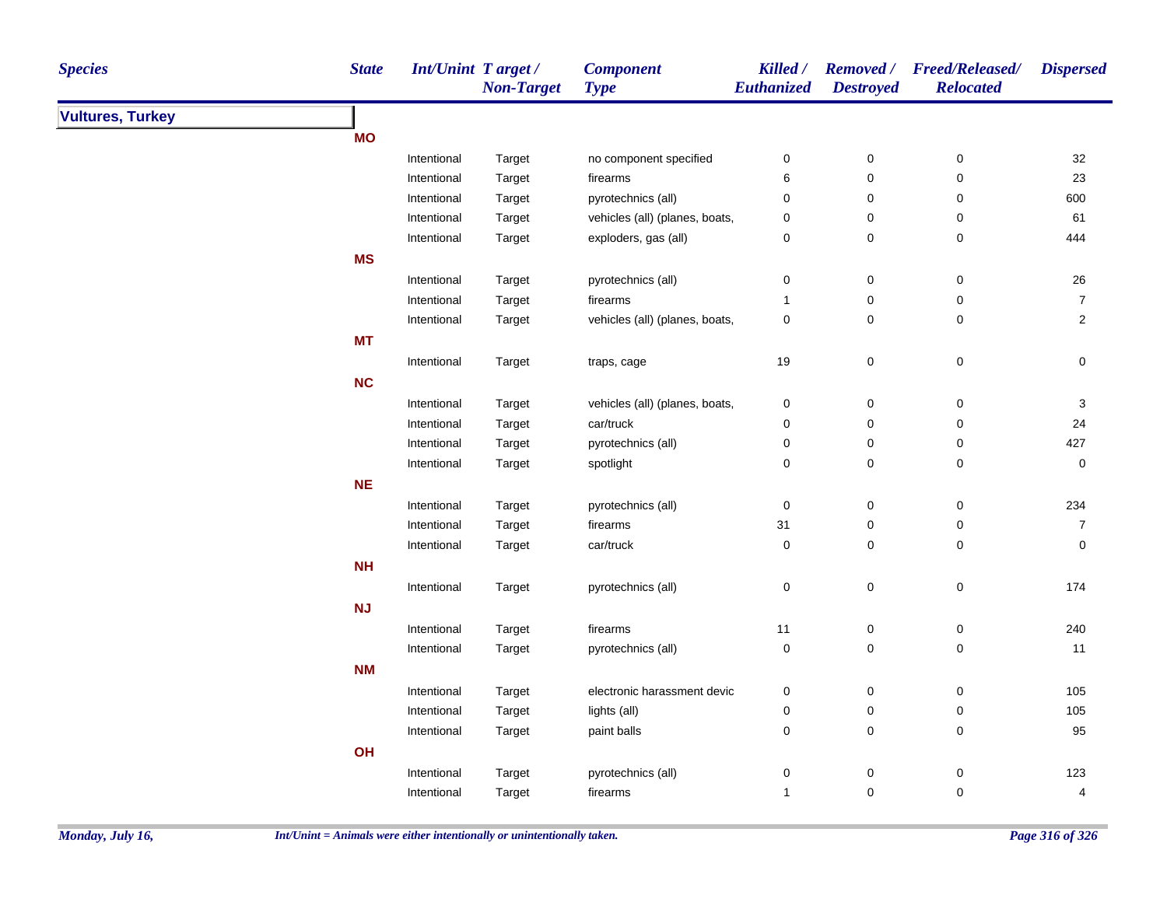| <b>Species</b>          | <b>State</b> | <b>Int/Unint Target/</b> | <b>Non-Target</b> | <b>Component</b><br><b>Type</b> | Killed /<br>Euthanized | <b>Destroyed</b> | Removed / Freed/Released/<br><b>Relocated</b> | <b>Dispersed</b>          |
|-------------------------|--------------|--------------------------|-------------------|---------------------------------|------------------------|------------------|-----------------------------------------------|---------------------------|
| <b>Vultures, Turkey</b> |              |                          |                   |                                 |                        |                  |                                               |                           |
|                         | <b>MO</b>    |                          |                   |                                 |                        |                  |                                               |                           |
|                         |              | Intentional              | Target            | no component specified          | $\pmb{0}$              | $\pmb{0}$        | $\pmb{0}$                                     | 32                        |
|                         |              | Intentional              | Target            | firearms                        | 6                      | $\pmb{0}$        | 0                                             | 23                        |
|                         |              | Intentional              | Target            | pyrotechnics (all)              | $\pmb{0}$              | $\pmb{0}$        | 0                                             | 600                       |
|                         |              | Intentional              | Target            | vehicles (all) (planes, boats,  | 0                      | $\pmb{0}$        | 0                                             | 61                        |
|                         |              | Intentional              | Target            | exploders, gas (all)            | $\mathbf 0$            | $\pmb{0}$        | $\pmb{0}$                                     | 444                       |
|                         | <b>MS</b>    |                          |                   |                                 |                        |                  |                                               |                           |
|                         |              | Intentional              | Target            | pyrotechnics (all)              | 0                      | $\boldsymbol{0}$ | $\mathbf 0$                                   | 26                        |
|                         |              | Intentional              | Target            | firearms                        | $\mathbf{1}$           | $\mathbf 0$      | 0                                             | $\overline{7}$            |
|                         |              | Intentional              | Target            | vehicles (all) (planes, boats,  | $\pmb{0}$              | $\pmb{0}$        | $\mathbf 0$                                   | $\overline{2}$            |
|                         | <b>MT</b>    |                          |                   |                                 |                        |                  |                                               |                           |
|                         |              | Intentional              | Target            | traps, cage                     | 19                     | $\pmb{0}$        | $\pmb{0}$                                     | 0                         |
|                         | NC           |                          |                   |                                 |                        |                  |                                               |                           |
|                         |              | Intentional              | Target            | vehicles (all) (planes, boats,  | $\pmb{0}$              | $\pmb{0}$        | $\mathbf 0$                                   | $\ensuremath{\mathsf{3}}$ |
|                         |              | Intentional              | Target            | car/truck                       | 0                      | $\pmb{0}$        | 0                                             | 24                        |
|                         |              | Intentional              | Target            | pyrotechnics (all)              | $\pmb{0}$              | $\pmb{0}$        | 0                                             | 427                       |
|                         |              | Intentional              | Target            | spotlight                       | $\pmb{0}$              | $\mathbf 0$      | $\mathbf 0$                                   | $\pmb{0}$                 |
|                         | <b>NE</b>    |                          |                   |                                 |                        |                  |                                               |                           |
|                         |              | Intentional              | Target            | pyrotechnics (all)              | $\pmb{0}$              | $\pmb{0}$        | $\mathbf 0$                                   | 234                       |
|                         |              | Intentional              | Target            | firearms                        | 31                     | $\pmb{0}$        | 0                                             | $\boldsymbol{7}$          |
|                         |              | Intentional              | Target            | car/truck                       | $\pmb{0}$              | $\pmb{0}$        | $\mathbf 0$                                   | $\mathbf 0$               |
|                         | NH           |                          |                   |                                 |                        |                  |                                               |                           |
|                         |              | Intentional              | Target            | pyrotechnics (all)              | $\pmb{0}$              | $\pmb{0}$        | $\,0\,$                                       | 174                       |
|                         | NJ           |                          |                   |                                 |                        |                  |                                               |                           |
|                         |              | Intentional              | Target            | firearms                        | 11                     | $\pmb{0}$        | $\mathbf 0$                                   | 240                       |
|                         |              | Intentional              | Target            | pyrotechnics (all)              | $\pmb{0}$              | $\pmb{0}$        | $\mathbf 0$                                   | 11                        |
|                         | <b>NM</b>    |                          |                   |                                 |                        |                  |                                               |                           |
|                         |              | Intentional              | Target            | electronic harassment devic     | 0                      | $\boldsymbol{0}$ | $\boldsymbol{0}$                              | 105                       |
|                         |              | Intentional              | Target            | lights (all)                    | 0                      | $\pmb{0}$        | $\mathbf 0$                                   | 105                       |
|                         |              | Intentional              | Target            | paint balls                     | $\pmb{0}$              | $\pmb{0}$        | $\mathbf 0$                                   | 95                        |
|                         | OH           |                          |                   |                                 |                        |                  |                                               |                           |
|                         |              | Intentional              | Target            | pyrotechnics (all)              | 0                      | $\pmb{0}$        | 0                                             | 123                       |
|                         |              | Intentional              |                   | firearms                        | $\mathbf{1}$           | $\mathbf 0$      | $\mathbf 0$                                   | 4                         |
|                         |              |                          | Target            |                                 |                        |                  |                                               |                           |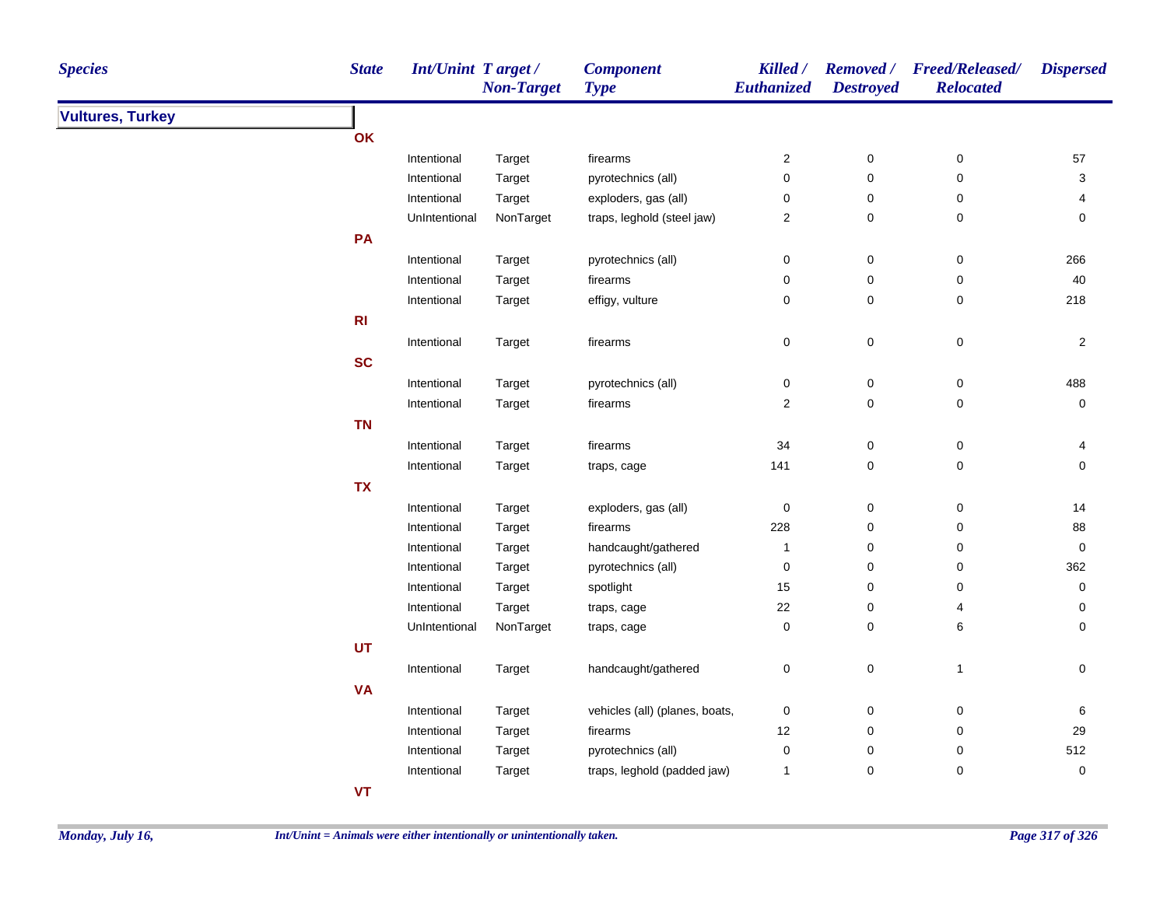| <b>Species</b>          | <b>State</b> | <b>Int/Unint Target/</b> | <b>Non-Target</b> | <b>Component</b><br><b>Type</b> | Killed /<br>Euthanized  | <b>Destroyed</b>    | Removed / Freed/Released/<br><b>Relocated</b> | <b>Dispersed</b>    |
|-------------------------|--------------|--------------------------|-------------------|---------------------------------|-------------------------|---------------------|-----------------------------------------------|---------------------|
| <b>Vultures, Turkey</b> |              |                          |                   |                                 |                         |                     |                                               |                     |
|                         | OK           |                          |                   |                                 |                         |                     |                                               |                     |
|                         |              | Intentional              | Target            | firearms                        | $\overline{\mathbf{c}}$ | 0                   | 0                                             | 57                  |
|                         |              | Intentional              | Target            | pyrotechnics (all)              | $\mathbf 0$             | 0                   | $\mathbf 0$                                   | $\mathbf{3}$        |
|                         |              | Intentional              | Target            | exploders, gas (all)            | 0                       | $\mathbf 0$         | 0                                             | 4                   |
|                         |              | UnIntentional            | NonTarget         | traps, leghold (steel jaw)      | $\boldsymbol{2}$        | $\mathbf 0$         | 0                                             | 0                   |
|                         | PA           |                          |                   |                                 |                         |                     |                                               |                     |
|                         |              | Intentional              | Target            | pyrotechnics (all)              | $\pmb{0}$               | $\mathsf{O}\xspace$ | $\pmb{0}$                                     | 266                 |
|                         |              | Intentional              | Target            | firearms                        | $\pmb{0}$               | $\mathsf{O}\xspace$ | $\pmb{0}$                                     | 40                  |
|                         |              | Intentional              | Target            | effigy, vulture                 | 0                       | 0                   | $\pmb{0}$                                     | 218                 |
|                         | R1           |                          |                   |                                 |                         |                     |                                               |                     |
|                         |              | Intentional              | Target            | firearms                        | $\pmb{0}$               | 0                   | $\mathsf 0$                                   | $\overline{c}$      |
|                         | <b>SC</b>    |                          |                   |                                 |                         |                     |                                               |                     |
|                         |              | Intentional              | Target            | pyrotechnics (all)              | $\pmb{0}$               | $\pmb{0}$           | $\pmb{0}$                                     | 488                 |
|                         |              | Intentional              | Target            | firearms                        | $\boldsymbol{2}$        | 0                   | $\pmb{0}$                                     | $\mathsf{O}\xspace$ |
|                         | <b>TN</b>    |                          |                   |                                 |                         |                     |                                               |                     |
|                         |              | Intentional              | Target            | firearms                        | 34                      | 0                   | 0                                             | 4                   |
|                         |              | Intentional              | Target            | traps, cage                     | 141                     | 0                   | $\mathbf 0$                                   | $\mathbf 0$         |
|                         | <b>TX</b>    |                          |                   |                                 |                         |                     |                                               |                     |
|                         |              | Intentional              | Target            | exploders, gas (all)            | $\pmb{0}$               | 0                   | 0                                             | 14                  |
|                         |              | Intentional              | Target            | firearms                        | 228                     | 0                   | $\pmb{0}$                                     | 88                  |
|                         |              | Intentional              | Target            | handcaught/gathered             | $\mathbf{1}$            | 0                   | 0                                             | $\mathbf 0$         |
|                         |              | Intentional              | Target            | pyrotechnics (all)              | 0                       | 0                   | 0                                             | 362                 |
|                         |              | Intentional              | Target            | spotlight                       | 15                      | 0                   | 0                                             | 0                   |
|                         |              | Intentional              | Target            | traps, cage                     | 22                      | 0                   | 4                                             | 0                   |
|                         |              | UnIntentional            | NonTarget         | traps, cage                     | $\pmb{0}$               | 0                   | 6                                             | 0                   |
|                         | <b>UT</b>    |                          |                   |                                 |                         |                     |                                               |                     |
|                         |              | Intentional              | Target            | handcaught/gathered             | 0                       | 0                   | $\mathbf{1}$                                  | 0                   |
|                         | <b>VA</b>    |                          |                   |                                 |                         |                     |                                               |                     |
|                         |              | Intentional              | Target            | vehicles (all) (planes, boats,  | 0                       | 0                   | $\pmb{0}$                                     | 6                   |
|                         |              | Intentional              | Target            | firearms                        | 12                      | 0                   | 0                                             | 29                  |
|                         |              | Intentional              | Target            | pyrotechnics (all)              | 0                       | 0                   | 0                                             | 512                 |
|                         |              | Intentional              | Target            | traps, leghold (padded jaw)     | 1                       | 0                   | 0                                             | $\mathsf 0$         |
|                         | <b>VT</b>    |                          |                   |                                 |                         |                     |                                               |                     |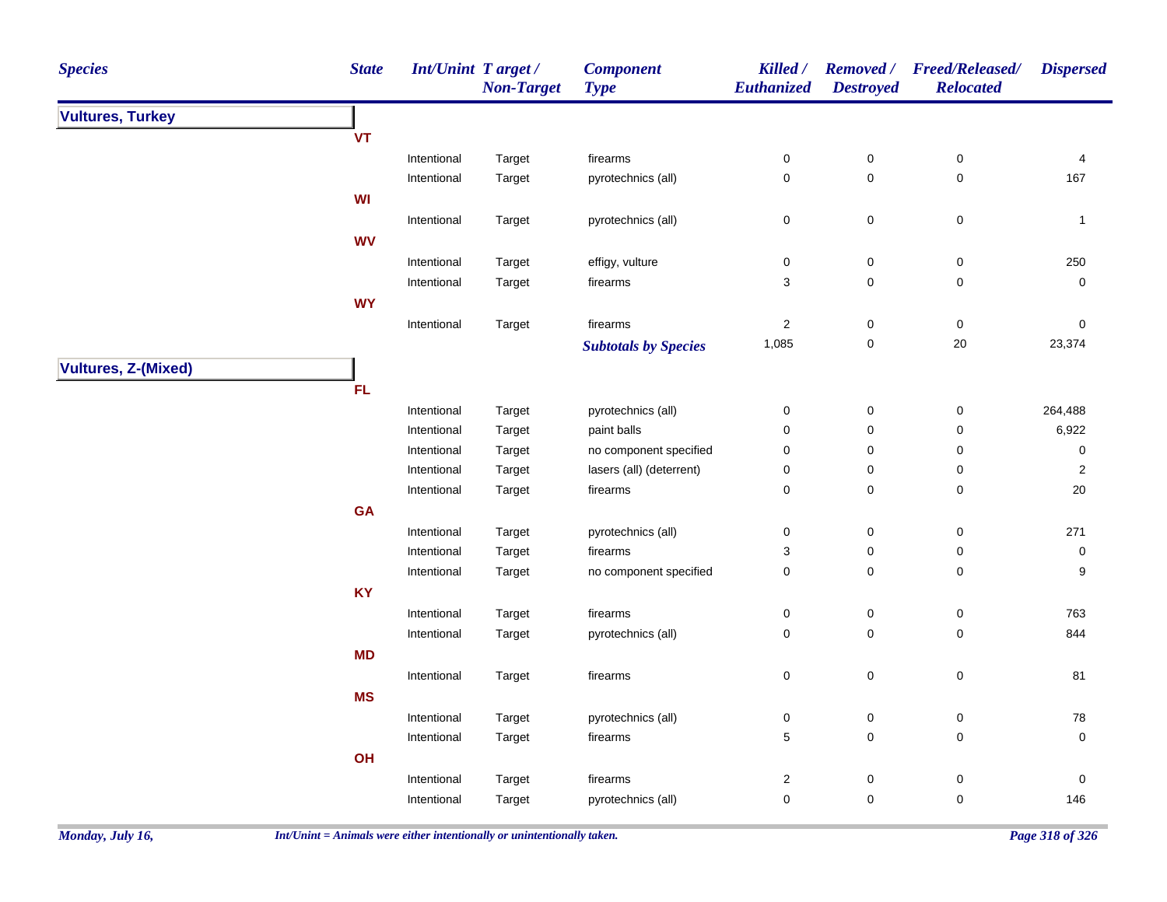| <b>Species</b>             | <b>State</b> | <b>Int/Unint Target/</b> | <b>Non-Target</b> | <b>Component</b><br><b>Type</b> | Killed /<br>Euthanized  | <b>Removed</b> /<br><b>Destroyed</b> | <b>Freed/Released/</b><br><b>Relocated</b> | <b>Dispersed</b> |
|----------------------------|--------------|--------------------------|-------------------|---------------------------------|-------------------------|--------------------------------------|--------------------------------------------|------------------|
| <b>Vultures, Turkey</b>    |              |                          |                   |                                 |                         |                                      |                                            |                  |
|                            | <b>VT</b>    |                          |                   |                                 |                         |                                      |                                            |                  |
|                            |              | Intentional              | Target            | firearms                        | 0                       | $\pmb{0}$                            | $\pmb{0}$                                  | 4                |
|                            |              | Intentional              | Target            | pyrotechnics (all)              | $\mathsf 0$             | $\mathsf 0$                          | $\mathsf 0$                                | 167              |
|                            | WI           |                          |                   |                                 |                         |                                      |                                            |                  |
|                            |              | Intentional              | Target            | pyrotechnics (all)              | 0                       | $\pmb{0}$                            | $\pmb{0}$                                  | $\overline{1}$   |
|                            | <b>WV</b>    |                          |                   |                                 |                         |                                      |                                            |                  |
|                            |              | Intentional              | Target            | effigy, vulture                 | $\pmb{0}$               | $\pmb{0}$                            | $\pmb{0}$                                  | 250              |
|                            |              | Intentional              | Target            | firearms                        | 3                       | $\mathsf 0$                          | 0                                          | $\pmb{0}$        |
|                            | <b>WY</b>    |                          |                   |                                 |                         |                                      |                                            |                  |
|                            |              | Intentional              | Target            | firearms                        | $\overline{\mathbf{c}}$ | $\pmb{0}$                            | $\pmb{0}$                                  | 0                |
|                            |              |                          |                   | <b>Subtotals by Species</b>     | 1,085                   | $\pmb{0}$                            | $20\,$                                     | 23,374           |
|                            |              |                          |                   |                                 |                         |                                      |                                            |                  |
| <b>Vultures, Z-(Mixed)</b> |              |                          |                   |                                 |                         |                                      |                                            |                  |
|                            | FL           |                          |                   |                                 |                         |                                      |                                            |                  |
|                            |              | Intentional              | Target            | pyrotechnics (all)              | 0                       | $\pmb{0}$                            | $\pmb{0}$                                  | 264,488          |
|                            |              | Intentional              | Target            | paint balls                     | 0                       | 0                                    | 0                                          | 6,922            |
|                            |              | Intentional              | Target            | no component specified          | 0                       | 0                                    | 0                                          | 0                |
|                            |              | Intentional              | Target            | lasers (all) (deterrent)        | $\pmb{0}$               | $\mathsf 0$                          | 0                                          | $\sqrt{2}$       |
|                            |              | Intentional              | Target            | firearms                        | $\pmb{0}$               | $\mathsf 0$                          | 0                                          | 20               |
|                            | <b>GA</b>    |                          |                   |                                 |                         |                                      |                                            |                  |
|                            |              | Intentional              | Target            | pyrotechnics (all)              | $\pmb{0}$               | $\pmb{0}$                            | $\pmb{0}$                                  | 271              |
|                            |              | Intentional              | Target            | firearms                        | 3                       | 0                                    | $\pmb{0}$                                  | $\mathbf 0$      |
|                            |              | Intentional              | Target            | no component specified          | 0                       | $\mathsf 0$                          | $\pmb{0}$                                  | 9                |
|                            | <b>KY</b>    |                          |                   |                                 |                         |                                      |                                            |                  |
|                            |              | Intentional              | Target            | firearms                        | $\pmb{0}$               | $\pmb{0}$                            | $\pmb{0}$                                  | 763              |
|                            |              | Intentional              | Target            | pyrotechnics (all)              | 0                       | 0                                    | $\pmb{0}$                                  | 844              |
|                            | <b>MD</b>    |                          |                   |                                 |                         |                                      |                                            |                  |
|                            |              | Intentional              | Target            | firearms                        | $\pmb{0}$               | $\pmb{0}$                            | $\pmb{0}$                                  | 81               |
|                            | <b>MS</b>    |                          |                   |                                 |                         |                                      |                                            |                  |
|                            |              | Intentional              | Target            | pyrotechnics (all)              | $\pmb{0}$               | $\pmb{0}$                            | $\pmb{0}$                                  | ${\bf 78}$       |
|                            |              | Intentional              | Target            | firearms                        | $\,$ 5 $\,$             | 0                                    | 0                                          | $\mathsf 0$      |
|                            | OH           |                          |                   |                                 |                         |                                      |                                            |                  |
|                            |              | Intentional              | Target            | firearms                        | $\boldsymbol{2}$        | 0                                    | $\pmb{0}$                                  | 0                |
|                            |              | Intentional              | Target            | pyrotechnics (all)              | $\mathsf 0$             | $\mathbf 0$                          | $\mathsf 0$                                | 146              |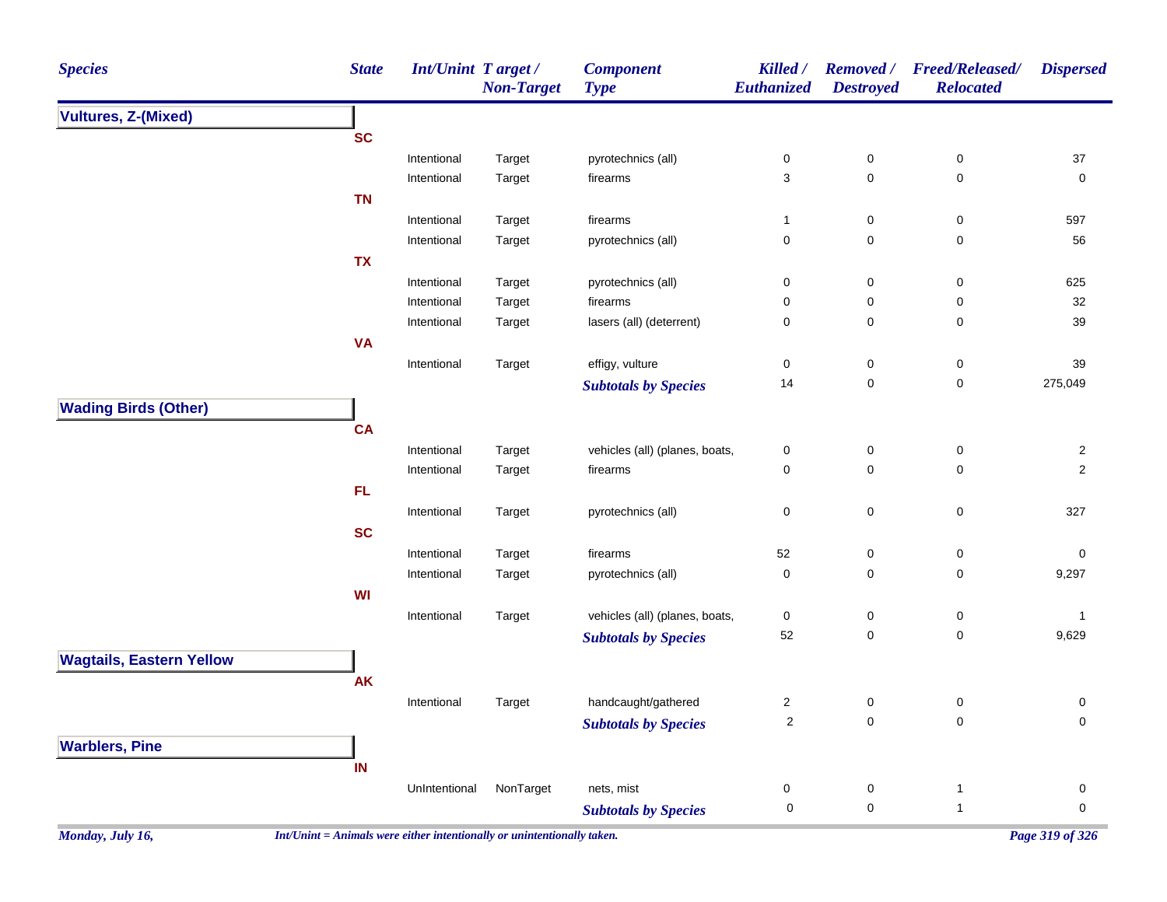| <b>Species</b>                  | <b>State</b>                                                             | Int/Unint Target/ | <b>Non-Target</b> | <b>Component</b><br><b>Type</b> | Killed /<br>Euthanized | <b>Removed</b> /<br><b>Destroyed</b> | <b>Freed/Released/</b><br><b>Relocated</b> | <b>Dispersed</b> |
|---------------------------------|--------------------------------------------------------------------------|-------------------|-------------------|---------------------------------|------------------------|--------------------------------------|--------------------------------------------|------------------|
| <b>Vultures, Z-(Mixed)</b>      |                                                                          |                   |                   |                                 |                        |                                      |                                            |                  |
|                                 | <b>SC</b>                                                                |                   |                   |                                 |                        |                                      |                                            |                  |
|                                 |                                                                          | Intentional       | Target            | pyrotechnics (all)              | 0                      | 0                                    | 0                                          | 37               |
|                                 |                                                                          | Intentional       | Target            | firearms                        | 3                      | $\mathbf 0$                          | $\pmb{0}$                                  | 0                |
|                                 | <b>TN</b>                                                                |                   |                   |                                 |                        |                                      |                                            |                  |
|                                 |                                                                          | Intentional       | Target            | firearms                        | $\mathbf{1}$           | 0                                    | 0                                          | 597              |
|                                 |                                                                          | Intentional       | Target            | pyrotechnics (all)              | 0                      | $\mathbf 0$                          | 0                                          | 56               |
|                                 | <b>TX</b>                                                                |                   |                   |                                 |                        |                                      |                                            |                  |
|                                 |                                                                          | Intentional       | Target            | pyrotechnics (all)              | 0                      | $\mathbf 0$                          | 0                                          | 625              |
|                                 |                                                                          | Intentional       | Target            | firearms                        | 0                      | 0                                    | 0                                          | 32               |
|                                 |                                                                          | Intentional       | Target            | lasers (all) (deterrent)        | 0                      | $\mathbf 0$                          | 0                                          | 39               |
|                                 | <b>VA</b>                                                                |                   |                   |                                 |                        |                                      |                                            |                  |
|                                 |                                                                          | Intentional       | Target            | effigy, vulture                 | 0                      | 0                                    | $\mathbf 0$                                | 39               |
|                                 |                                                                          |                   |                   | <b>Subtotals by Species</b>     | 14                     | $\pmb{0}$                            | $\pmb{0}$                                  | 275,049          |
| <b>Wading Birds (Other)</b>     |                                                                          |                   |                   |                                 |                        |                                      |                                            |                  |
|                                 | <b>CA</b>                                                                |                   |                   |                                 |                        |                                      |                                            |                  |
|                                 |                                                                          | Intentional       | Target            | vehicles (all) (planes, boats,  | 0                      | $\mathbf 0$                          | $\mathbf 0$                                | $\overline{2}$   |
|                                 |                                                                          | Intentional       | Target            | firearms                        | 0                      | 0                                    | $\mathbf 0$                                | $\overline{2}$   |
|                                 | <b>FL</b>                                                                |                   |                   |                                 |                        |                                      |                                            |                  |
|                                 |                                                                          | Intentional       | Target            | pyrotechnics (all)              | 0                      | $\pmb{0}$                            | $\pmb{0}$                                  | 327              |
|                                 | <b>SC</b>                                                                |                   |                   |                                 |                        |                                      |                                            |                  |
|                                 |                                                                          | Intentional       | Target            | firearms                        | 52                     | 0                                    | 0                                          | 0                |
|                                 |                                                                          | Intentional       | Target            | pyrotechnics (all)              | 0                      | $\mathbf 0$                          | 0                                          | 9,297            |
|                                 | WI                                                                       |                   |                   |                                 |                        |                                      |                                            |                  |
|                                 |                                                                          | Intentional       | Target            | vehicles (all) (planes, boats,  | 0                      | 0                                    | 0                                          | $\mathbf{1}$     |
|                                 |                                                                          |                   |                   | <b>Subtotals by Species</b>     | 52                     | 0                                    | $\pmb{0}$                                  | 9,629            |
| <b>Wagtails, Eastern Yellow</b> |                                                                          |                   |                   |                                 |                        |                                      |                                            |                  |
|                                 | <b>AK</b>                                                                |                   |                   |                                 |                        |                                      |                                            |                  |
|                                 |                                                                          | Intentional       | Target            | handcaught/gathered             | 2                      | $\mathsf{O}\xspace$                  | $\mathbf 0$                                | 0                |
|                                 |                                                                          |                   |                   | <b>Subtotals by Species</b>     | 2                      | 0                                    | 0                                          | 0                |
| <b>Warblers, Pine</b>           |                                                                          |                   |                   |                                 |                        |                                      |                                            |                  |
|                                 | IN                                                                       |                   |                   |                                 |                        |                                      |                                            |                  |
|                                 |                                                                          | UnIntentional     | NonTarget         | nets, mist                      | 0                      | 0                                    | $\mathbf{1}$                               | 0                |
|                                 |                                                                          |                   |                   | <b>Subtotals by Species</b>     | 0                      | $\mathbf 0$                          | $\overline{1}$                             | 0                |
|                                 |                                                                          |                   |                   |                                 |                        |                                      |                                            |                  |
| Monday, July 16,                | $Int/Unit = Animals$ were either intentionally or unintentionally taken. |                   |                   |                                 |                        |                                      |                                            | Page 319 of 326  |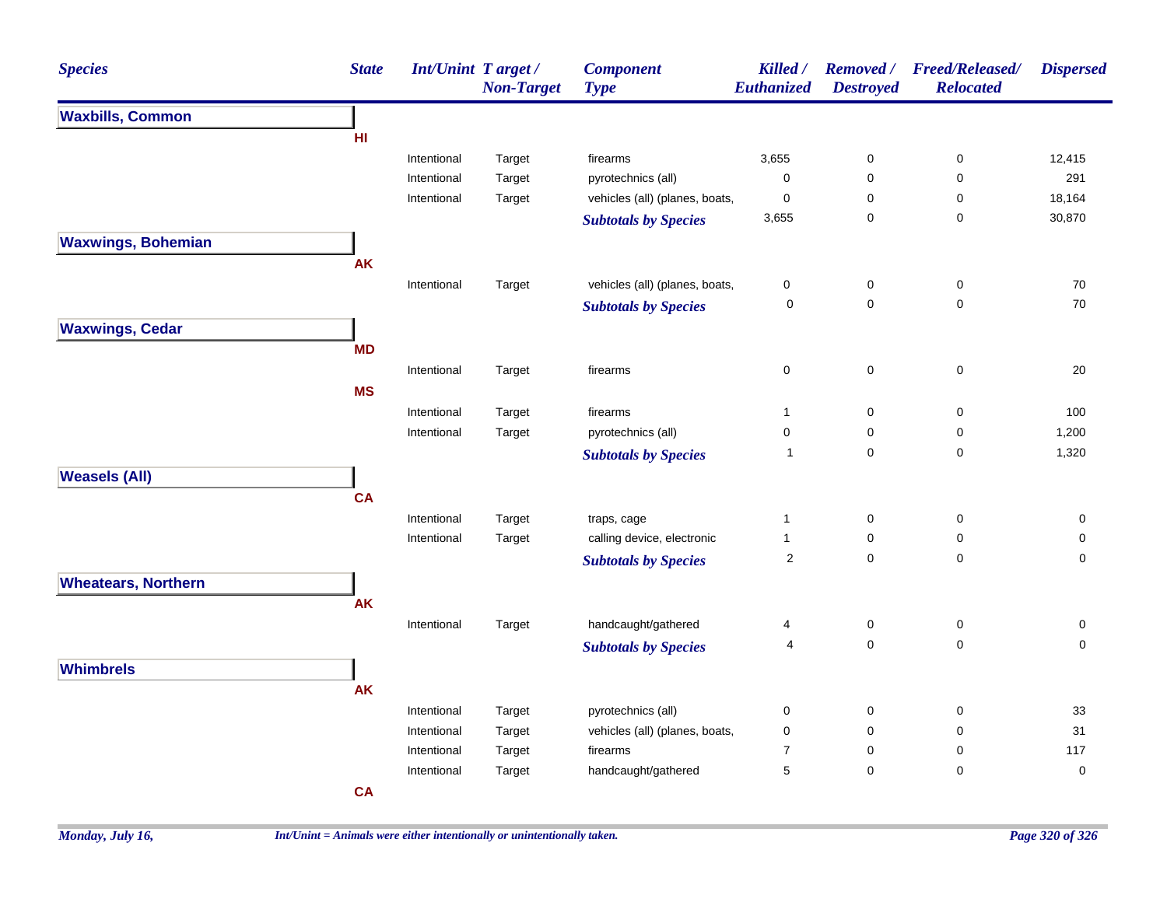| <b>Species</b>             | <b>State</b>                                                                                                                                                                                                                                                                                                                                                                                                                                                                                                                                                                                                                                                                                                                                                                                                                                                                                                                                                                                                                                                                                                                                                                                                                                                                                                                                                                                                                                                                                                                                                                                                                                  | <b>Non-Target</b> | <b>Component</b><br><b>Type</b> | Killed / | <b>Removed</b> /<br><b>Destroyed</b> | <b>Freed/Released/</b><br><b>Relocated</b> | <b>Dispersed</b> |
|----------------------------|-----------------------------------------------------------------------------------------------------------------------------------------------------------------------------------------------------------------------------------------------------------------------------------------------------------------------------------------------------------------------------------------------------------------------------------------------------------------------------------------------------------------------------------------------------------------------------------------------------------------------------------------------------------------------------------------------------------------------------------------------------------------------------------------------------------------------------------------------------------------------------------------------------------------------------------------------------------------------------------------------------------------------------------------------------------------------------------------------------------------------------------------------------------------------------------------------------------------------------------------------------------------------------------------------------------------------------------------------------------------------------------------------------------------------------------------------------------------------------------------------------------------------------------------------------------------------------------------------------------------------------------------------|-------------------|---------------------------------|----------|--------------------------------------|--------------------------------------------|------------------|
| <b>Waxbills, Common</b>    | <b>Int/Unint Target/</b><br>Euthanized<br>HI<br>Intentional<br>Target<br>3,655<br>$\pmb{0}$<br>0<br>firearms<br>Intentional<br>Target<br>pyrotechnics (all)<br>$\pmb{0}$<br>$\mathbf 0$<br>0<br>vehicles (all) (planes, boats,<br>$\pmb{0}$<br>Intentional<br>Target<br>0<br>0<br>3,655<br>0<br>0<br><b>Subtotals by Species</b><br><b>AK</b><br>vehicles (all) (planes, boats,<br>Target<br>$\pmb{0}$<br>$\mathbf 0$<br>0<br>Intentional<br>0<br>$\mathbf 0$<br>0<br><b>Subtotals by Species</b><br><b>MD</b><br>$\pmb{0}$<br>$\mathbf 0$<br>$\pmb{0}$<br>Intentional<br>Target<br>firearms<br><b>MS</b><br>Intentional<br>$\pmb{0}$<br>$\mathbf 0$<br>Target<br>firearms<br>$\mathbf{1}$<br>Intentional<br>pyrotechnics (all)<br>$\pmb{0}$<br>$\pmb{0}$<br>$\pmb{0}$<br>Target<br>$\mathbf 0$<br>$\pmb{0}$<br>$\mathbf{1}$<br><b>Subtotals by Species</b><br><b>CA</b><br>Intentional<br>Target<br>traps, cage<br>$\mathbf{1}$<br>0<br>0<br>calling device, electronic<br>Intentional<br>Target<br>$\mathbf{1}$<br>0<br>0<br>$\sqrt{2}$<br>$\mathsf 0$<br>$\mathbf 0$<br><b>Subtotals by Species</b><br><b>AK</b><br>handcaught/gathered<br>$\pmb{0}$<br>$\pmb{0}$<br>Intentional<br>4<br>Target<br>$\mathbf 0$<br>$\mathbf 0$<br>4<br><b>Subtotals by Species</b><br><b>AK</b><br>pyrotechnics (all)<br>Intentional<br>Target<br>$\pmb{0}$<br>$\mathbf 0$<br>0<br>vehicles (all) (planes, boats,<br>Intentional<br>Target<br>$\mathbf 0$<br>$\mathbf 0$<br>0<br>Intentional<br>Target<br>firearms<br>$\overline{7}$<br>$\mathbf 0$<br>0<br>$\overline{5}$<br>$\mathbf 0$<br>handcaught/gathered<br>Intentional<br>Target<br>0<br><b>CA</b> |                   |                                 |          |                                      |                                            |                  |
|                            |                                                                                                                                                                                                                                                                                                                                                                                                                                                                                                                                                                                                                                                                                                                                                                                                                                                                                                                                                                                                                                                                                                                                                                                                                                                                                                                                                                                                                                                                                                                                                                                                                                               |                   |                                 |          |                                      |                                            |                  |
|                            |                                                                                                                                                                                                                                                                                                                                                                                                                                                                                                                                                                                                                                                                                                                                                                                                                                                                                                                                                                                                                                                                                                                                                                                                                                                                                                                                                                                                                                                                                                                                                                                                                                               |                   |                                 |          |                                      |                                            | 12,415           |
|                            |                                                                                                                                                                                                                                                                                                                                                                                                                                                                                                                                                                                                                                                                                                                                                                                                                                                                                                                                                                                                                                                                                                                                                                                                                                                                                                                                                                                                                                                                                                                                                                                                                                               |                   |                                 |          |                                      |                                            | 291              |
|                            |                                                                                                                                                                                                                                                                                                                                                                                                                                                                                                                                                                                                                                                                                                                                                                                                                                                                                                                                                                                                                                                                                                                                                                                                                                                                                                                                                                                                                                                                                                                                                                                                                                               |                   |                                 |          |                                      |                                            | 18,164           |
|                            |                                                                                                                                                                                                                                                                                                                                                                                                                                                                                                                                                                                                                                                                                                                                                                                                                                                                                                                                                                                                                                                                                                                                                                                                                                                                                                                                                                                                                                                                                                                                                                                                                                               |                   |                                 |          |                                      |                                            | 30,870           |
| <b>Waxwings, Bohemian</b>  |                                                                                                                                                                                                                                                                                                                                                                                                                                                                                                                                                                                                                                                                                                                                                                                                                                                                                                                                                                                                                                                                                                                                                                                                                                                                                                                                                                                                                                                                                                                                                                                                                                               |                   |                                 |          |                                      |                                            |                  |
|                            |                                                                                                                                                                                                                                                                                                                                                                                                                                                                                                                                                                                                                                                                                                                                                                                                                                                                                                                                                                                                                                                                                                                                                                                                                                                                                                                                                                                                                                                                                                                                                                                                                                               |                   |                                 |          |                                      |                                            |                  |
|                            |                                                                                                                                                                                                                                                                                                                                                                                                                                                                                                                                                                                                                                                                                                                                                                                                                                                                                                                                                                                                                                                                                                                                                                                                                                                                                                                                                                                                                                                                                                                                                                                                                                               |                   |                                 |          |                                      |                                            | 70               |
|                            |                                                                                                                                                                                                                                                                                                                                                                                                                                                                                                                                                                                                                                                                                                                                                                                                                                                                                                                                                                                                                                                                                                                                                                                                                                                                                                                                                                                                                                                                                                                                                                                                                                               |                   |                                 |          |                                      |                                            | 70               |
| <b>Waxwings, Cedar</b>     |                                                                                                                                                                                                                                                                                                                                                                                                                                                                                                                                                                                                                                                                                                                                                                                                                                                                                                                                                                                                                                                                                                                                                                                                                                                                                                                                                                                                                                                                                                                                                                                                                                               |                   |                                 |          |                                      |                                            |                  |
|                            |                                                                                                                                                                                                                                                                                                                                                                                                                                                                                                                                                                                                                                                                                                                                                                                                                                                                                                                                                                                                                                                                                                                                                                                                                                                                                                                                                                                                                                                                                                                                                                                                                                               |                   |                                 |          |                                      |                                            |                  |
|                            |                                                                                                                                                                                                                                                                                                                                                                                                                                                                                                                                                                                                                                                                                                                                                                                                                                                                                                                                                                                                                                                                                                                                                                                                                                                                                                                                                                                                                                                                                                                                                                                                                                               |                   |                                 |          |                                      |                                            | 20               |
|                            |                                                                                                                                                                                                                                                                                                                                                                                                                                                                                                                                                                                                                                                                                                                                                                                                                                                                                                                                                                                                                                                                                                                                                                                                                                                                                                                                                                                                                                                                                                                                                                                                                                               |                   |                                 |          |                                      |                                            |                  |
|                            |                                                                                                                                                                                                                                                                                                                                                                                                                                                                                                                                                                                                                                                                                                                                                                                                                                                                                                                                                                                                                                                                                                                                                                                                                                                                                                                                                                                                                                                                                                                                                                                                                                               |                   |                                 |          |                                      |                                            | 100              |
|                            |                                                                                                                                                                                                                                                                                                                                                                                                                                                                                                                                                                                                                                                                                                                                                                                                                                                                                                                                                                                                                                                                                                                                                                                                                                                                                                                                                                                                                                                                                                                                                                                                                                               |                   |                                 |          |                                      |                                            | 1,200            |
|                            |                                                                                                                                                                                                                                                                                                                                                                                                                                                                                                                                                                                                                                                                                                                                                                                                                                                                                                                                                                                                                                                                                                                                                                                                                                                                                                                                                                                                                                                                                                                                                                                                                                               |                   |                                 |          |                                      |                                            | 1,320            |
| <b>Weasels (All)</b>       |                                                                                                                                                                                                                                                                                                                                                                                                                                                                                                                                                                                                                                                                                                                                                                                                                                                                                                                                                                                                                                                                                                                                                                                                                                                                                                                                                                                                                                                                                                                                                                                                                                               |                   |                                 |          |                                      |                                            |                  |
|                            |                                                                                                                                                                                                                                                                                                                                                                                                                                                                                                                                                                                                                                                                                                                                                                                                                                                                                                                                                                                                                                                                                                                                                                                                                                                                                                                                                                                                                                                                                                                                                                                                                                               |                   |                                 |          |                                      |                                            |                  |
|                            |                                                                                                                                                                                                                                                                                                                                                                                                                                                                                                                                                                                                                                                                                                                                                                                                                                                                                                                                                                                                                                                                                                                                                                                                                                                                                                                                                                                                                                                                                                                                                                                                                                               |                   |                                 |          |                                      |                                            | $\pmb{0}$        |
|                            |                                                                                                                                                                                                                                                                                                                                                                                                                                                                                                                                                                                                                                                                                                                                                                                                                                                                                                                                                                                                                                                                                                                                                                                                                                                                                                                                                                                                                                                                                                                                                                                                                                               |                   |                                 |          |                                      |                                            | 0                |
|                            |                                                                                                                                                                                                                                                                                                                                                                                                                                                                                                                                                                                                                                                                                                                                                                                                                                                                                                                                                                                                                                                                                                                                                                                                                                                                                                                                                                                                                                                                                                                                                                                                                                               |                   |                                 |          |                                      |                                            | 0                |
| <b>Wheatears, Northern</b> |                                                                                                                                                                                                                                                                                                                                                                                                                                                                                                                                                                                                                                                                                                                                                                                                                                                                                                                                                                                                                                                                                                                                                                                                                                                                                                                                                                                                                                                                                                                                                                                                                                               |                   |                                 |          |                                      |                                            |                  |
|                            |                                                                                                                                                                                                                                                                                                                                                                                                                                                                                                                                                                                                                                                                                                                                                                                                                                                                                                                                                                                                                                                                                                                                                                                                                                                                                                                                                                                                                                                                                                                                                                                                                                               |                   |                                 |          |                                      |                                            |                  |
|                            |                                                                                                                                                                                                                                                                                                                                                                                                                                                                                                                                                                                                                                                                                                                                                                                                                                                                                                                                                                                                                                                                                                                                                                                                                                                                                                                                                                                                                                                                                                                                                                                                                                               |                   |                                 |          |                                      |                                            | 0                |
|                            |                                                                                                                                                                                                                                                                                                                                                                                                                                                                                                                                                                                                                                                                                                                                                                                                                                                                                                                                                                                                                                                                                                                                                                                                                                                                                                                                                                                                                                                                                                                                                                                                                                               |                   |                                 |          |                                      |                                            | $\mathbf 0$      |
| <b>Whimbrels</b>           |                                                                                                                                                                                                                                                                                                                                                                                                                                                                                                                                                                                                                                                                                                                                                                                                                                                                                                                                                                                                                                                                                                                                                                                                                                                                                                                                                                                                                                                                                                                                                                                                                                               |                   |                                 |          |                                      |                                            |                  |
|                            |                                                                                                                                                                                                                                                                                                                                                                                                                                                                                                                                                                                                                                                                                                                                                                                                                                                                                                                                                                                                                                                                                                                                                                                                                                                                                                                                                                                                                                                                                                                                                                                                                                               |                   |                                 |          |                                      |                                            |                  |
|                            |                                                                                                                                                                                                                                                                                                                                                                                                                                                                                                                                                                                                                                                                                                                                                                                                                                                                                                                                                                                                                                                                                                                                                                                                                                                                                                                                                                                                                                                                                                                                                                                                                                               |                   |                                 |          |                                      |                                            | 33               |
|                            |                                                                                                                                                                                                                                                                                                                                                                                                                                                                                                                                                                                                                                                                                                                                                                                                                                                                                                                                                                                                                                                                                                                                                                                                                                                                                                                                                                                                                                                                                                                                                                                                                                               |                   |                                 |          |                                      |                                            | 31               |
|                            |                                                                                                                                                                                                                                                                                                                                                                                                                                                                                                                                                                                                                                                                                                                                                                                                                                                                                                                                                                                                                                                                                                                                                                                                                                                                                                                                                                                                                                                                                                                                                                                                                                               |                   |                                 |          |                                      |                                            | 117              |
|                            |                                                                                                                                                                                                                                                                                                                                                                                                                                                                                                                                                                                                                                                                                                                                                                                                                                                                                                                                                                                                                                                                                                                                                                                                                                                                                                                                                                                                                                                                                                                                                                                                                                               |                   |                                 |          |                                      |                                            | $\mathbf 0$      |
|                            |                                                                                                                                                                                                                                                                                                                                                                                                                                                                                                                                                                                                                                                                                                                                                                                                                                                                                                                                                                                                                                                                                                                                                                                                                                                                                                                                                                                                                                                                                                                                                                                                                                               |                   |                                 |          |                                      |                                            |                  |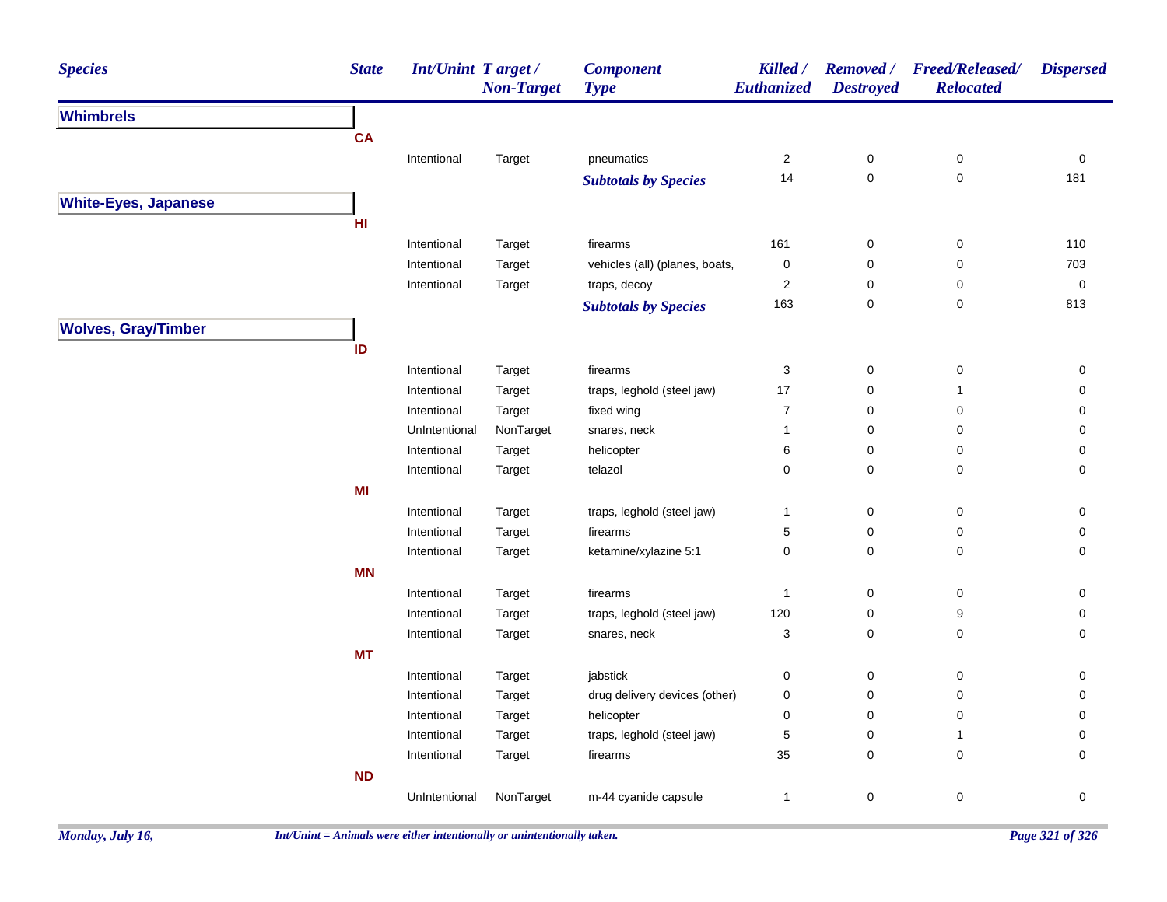| <b>Species</b>              | <b>State</b>  | <b>Int/Unint Target/</b><br><b>Non-Target</b> | <b>Component</b><br><b>Type</b> | Killed /<br>Euthanized  | <b>Destroyed</b> | Removed / Freed/Released/<br><b>Relocated</b> | <b>Dispersed</b>    |
|-----------------------------|---------------|-----------------------------------------------|---------------------------------|-------------------------|------------------|-----------------------------------------------|---------------------|
| <b>Whimbrels</b>            |               |                                               |                                 |                         |                  |                                               |                     |
|                             | <b>CA</b>     |                                               |                                 |                         |                  |                                               |                     |
|                             | Intentional   | Target                                        | pneumatics                      | 2                       | 0                | 0                                             | 0                   |
|                             |               |                                               | <b>Subtotals by Species</b>     | 14                      | $\mathbf 0$      | $\pmb{0}$                                     | 181                 |
| <b>White-Eyes, Japanese</b> |               |                                               |                                 |                         |                  |                                               |                     |
|                             | HI            |                                               |                                 |                         |                  |                                               |                     |
|                             | Intentional   | Target                                        | firearms                        | 161                     | $\mathbf 0$      | 0                                             | 110                 |
|                             | Intentional   | Target                                        | vehicles (all) (planes, boats,  | 0                       | 0                | $\mathbf 0$                                   | 703                 |
|                             | Intentional   | Target                                        | traps, decoy                    | $\overline{\mathbf{c}}$ | 0                | 0                                             | $\mathsf{O}\xspace$ |
|                             |               |                                               | <b>Subtotals by Species</b>     | 163                     | 0                | $\pmb{0}$                                     | 813                 |
| <b>Wolves, Gray/Timber</b>  |               |                                               |                                 |                         |                  |                                               |                     |
|                             | ID            |                                               |                                 |                         |                  |                                               |                     |
|                             | Intentional   | Target                                        | firearms                        | 3                       | $\pmb{0}$        | $\mathsf 0$                                   | 0                   |
|                             | Intentional   | Target                                        | traps, leghold (steel jaw)      | 17                      | 0                | $\mathbf{1}$                                  | 0                   |
|                             | Intentional   | Target                                        | fixed wing                      | $\overline{7}$          | $\pmb{0}$        | 0                                             | 0                   |
|                             | UnIntentional | NonTarget                                     | snares, neck                    | 1                       | 0                | 0                                             | 0                   |
|                             | Intentional   | Target                                        | helicopter                      | 6                       | 0                | 0                                             | $\mathsf{O}\xspace$ |
|                             | Intentional   | Target                                        | telazol                         | 0                       | 0                | 0                                             | $\mathsf{O}\xspace$ |
|                             | MI            |                                               |                                 |                         |                  |                                               |                     |
|                             | Intentional   | Target                                        | traps, leghold (steel jaw)      | $\mathbf{1}$            | 0                | 0                                             | 0                   |
|                             | Intentional   | Target                                        | firearms                        | 5                       | 0                | 0                                             | 0                   |
|                             | Intentional   | Target                                        | ketamine/xylazine 5:1           | 0                       | 0                | 0                                             | $\mathsf{O}\xspace$ |
|                             | MN            |                                               |                                 |                         |                  |                                               |                     |
|                             | Intentional   | Target                                        | firearms                        | $\mathbf{1}$            | 0                | 0                                             | 0                   |
|                             | Intentional   | Target                                        | traps, leghold (steel jaw)      | 120                     | 0                | 9                                             | 0                   |
|                             | Intentional   | Target                                        | snares, neck                    | 3                       | 0                | $\pmb{0}$                                     | 0                   |
|                             | <b>MT</b>     |                                               |                                 |                         |                  |                                               |                     |
|                             | Intentional   | Target                                        | jabstick                        | 0                       | 0                | 0                                             | 0                   |
|                             | Intentional   | Target                                        | drug delivery devices (other)   | 0                       | 0                | 0                                             | $\mathbf 0$         |
|                             | Intentional   | Target                                        | helicopter                      | 0                       | 0                | 0                                             | $\pmb{0}$           |
|                             | Intentional   | Target                                        | traps, leghold (steel jaw)      | 5                       | 0                | $\mathbf{1}$                                  | 0                   |
|                             | Intentional   | Target                                        | firearms                        | 35                      | 0                | 0                                             | $\mathbf 0$         |
|                             | <b>ND</b>     |                                               |                                 |                         |                  |                                               |                     |
|                             | UnIntentional | NonTarget                                     | m-44 cyanide capsule            | $\mathbf{1}$            | 0                | $\pmb{0}$                                     | $\mathsf{O}\xspace$ |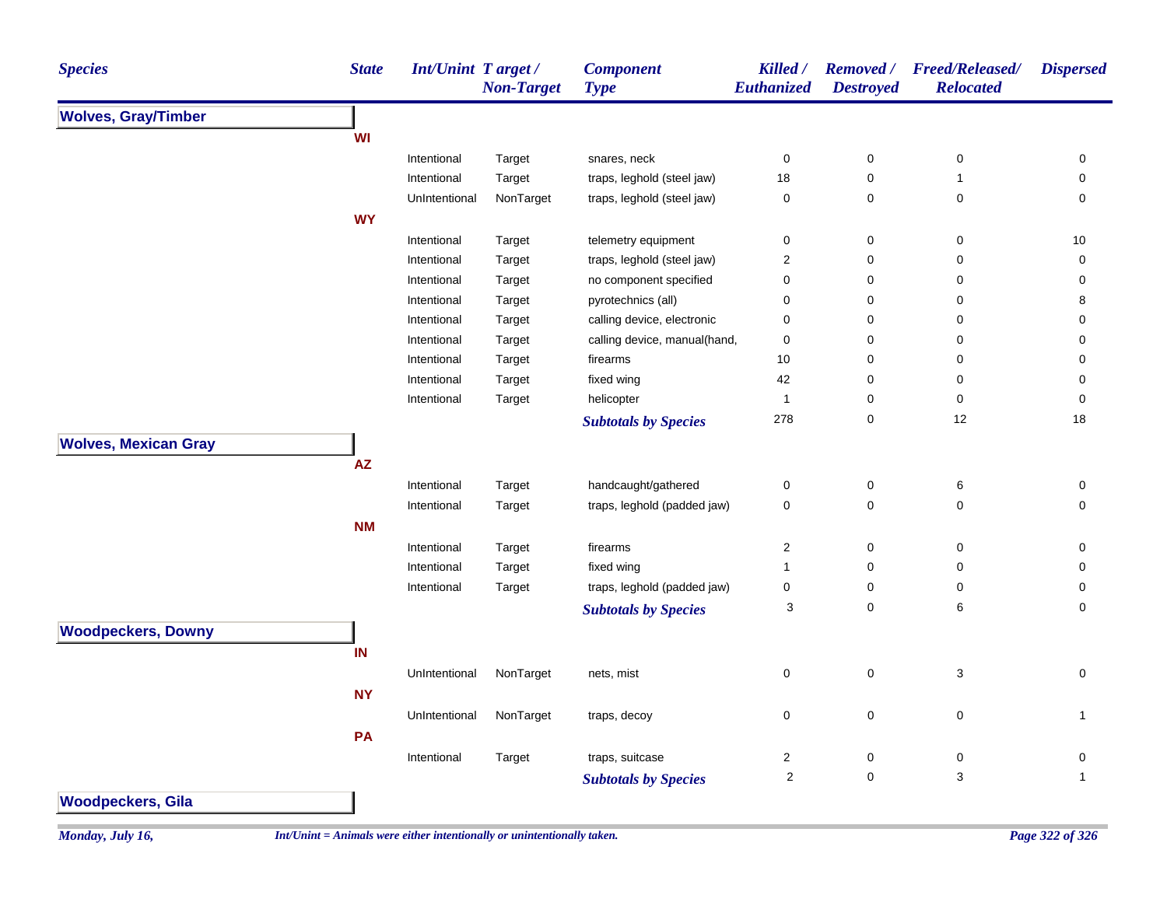| <b>Species</b>              | <b>State</b> | Int/Unint Target/ | <b>Non-Target</b> | <b>Component</b><br><b>Type</b> | Killed /<br>Euthanized  | <b>Destroyed</b> | Removed / Freed/Released/<br><b>Relocated</b> | <b>Dispersed</b> |
|-----------------------------|--------------|-------------------|-------------------|---------------------------------|-------------------------|------------------|-----------------------------------------------|------------------|
| <b>Wolves, Gray/Timber</b>  |              |                   |                   |                                 |                         |                  |                                               |                  |
|                             | WI           |                   |                   |                                 |                         |                  |                                               |                  |
|                             |              | Intentional       | Target            | snares, neck                    | 0                       | 0                | 0                                             | 0                |
|                             |              | Intentional       | Target            | traps, leghold (steel jaw)      | 18                      | 0                | $\mathbf{1}$                                  | $\mathbf 0$      |
|                             |              | UnIntentional     | NonTarget         | traps, leghold (steel jaw)      | $\pmb{0}$               | 0                | 0                                             | $\mathbf 0$      |
|                             | <b>WY</b>    |                   |                   |                                 |                         |                  |                                               |                  |
|                             |              | Intentional       | Target            | telemetry equipment             | $\pmb{0}$               | $\pmb{0}$        | 0                                             | 10               |
|                             |              | Intentional       | Target            | traps, leghold (steel jaw)      | $\boldsymbol{2}$        | 0                | 0                                             | $\mathbf 0$      |
|                             |              | Intentional       | Target            | no component specified          | $\pmb{0}$               | 0                | 0                                             | 0                |
|                             |              | Intentional       | Target            | pyrotechnics (all)              | $\pmb{0}$               | $\pmb{0}$        | 0                                             | 8                |
|                             |              | Intentional       | Target            | calling device, electronic      | $\pmb{0}$               | 0                | 0                                             | 0                |
|                             |              | Intentional       | Target            | calling device, manual(hand,    | $\pmb{0}$               | $\pmb{0}$        | 0                                             | $\mathbf 0$      |
|                             |              | Intentional       | Target            | firearms                        | 10                      | $\pmb{0}$        | 0                                             | $\mathbf 0$      |
|                             |              | Intentional       | Target            | fixed wing                      | 42                      | 0                | 0                                             | 0                |
|                             |              | Intentional       | Target            | helicopter                      | $\mathbf{1}$            | 0                | 0                                             | $\mathbf 0$      |
|                             |              |                   |                   | <b>Subtotals by Species</b>     | 278                     | 0                | 12                                            | 18               |
| <b>Wolves, Mexican Gray</b> |              |                   |                   |                                 |                         |                  |                                               |                  |
|                             | <b>AZ</b>    |                   |                   |                                 |                         |                  |                                               |                  |
|                             |              | Intentional       | Target            | handcaught/gathered             | $\pmb{0}$               | $\mathsf 0$      | $\,6\,$                                       | 0                |
|                             |              | Intentional       | Target            | traps, leghold (padded jaw)     | $\pmb{0}$               | $\pmb{0}$        | 0                                             | $\mathbf 0$      |
|                             | <b>NM</b>    |                   |                   |                                 |                         |                  |                                               |                  |
|                             |              | Intentional       | Target            | firearms                        | $\boldsymbol{2}$        | $\pmb{0}$        | $\pmb{0}$                                     | 0                |
|                             |              | Intentional       | Target            | fixed wing                      | $\mathbf{1}$            | 0                | 0                                             | 0                |
|                             |              | Intentional       | Target            | traps, leghold (padded jaw)     | 0                       | 0                | 0                                             | 0                |
|                             |              |                   |                   | <b>Subtotals by Species</b>     | 3                       | 0                | 6                                             | 0                |
| <b>Woodpeckers, Downy</b>   |              |                   |                   |                                 |                         |                  |                                               |                  |
|                             | IN           |                   |                   |                                 |                         |                  |                                               |                  |
|                             |              |                   |                   |                                 |                         |                  |                                               |                  |
|                             |              | UnIntentional     | NonTarget         | nets, mist                      | 0                       | $\mathsf 0$      | 3                                             | $\mathbf 0$      |
|                             | <b>NY</b>    |                   |                   |                                 |                         |                  |                                               |                  |
|                             |              | UnIntentional     | NonTarget         | traps, decoy                    | 0                       | 0                | $\pmb{0}$                                     | $\mathbf 1$      |
|                             | PA           |                   |                   |                                 |                         |                  |                                               |                  |
|                             |              | Intentional       | Target            | traps, suitcase                 | $\overline{2}$          | 0                | 0                                             | 0                |
|                             |              |                   |                   | <b>Subtotals by Species</b>     | $\overline{\mathbf{c}}$ | $\pmb{0}$        | $\ensuremath{\mathsf{3}}$                     | $\mathbf{1}$     |
| <b>Woodpeckers, Gila</b>    |              |                   |                   |                                 |                         |                  |                                               |                  |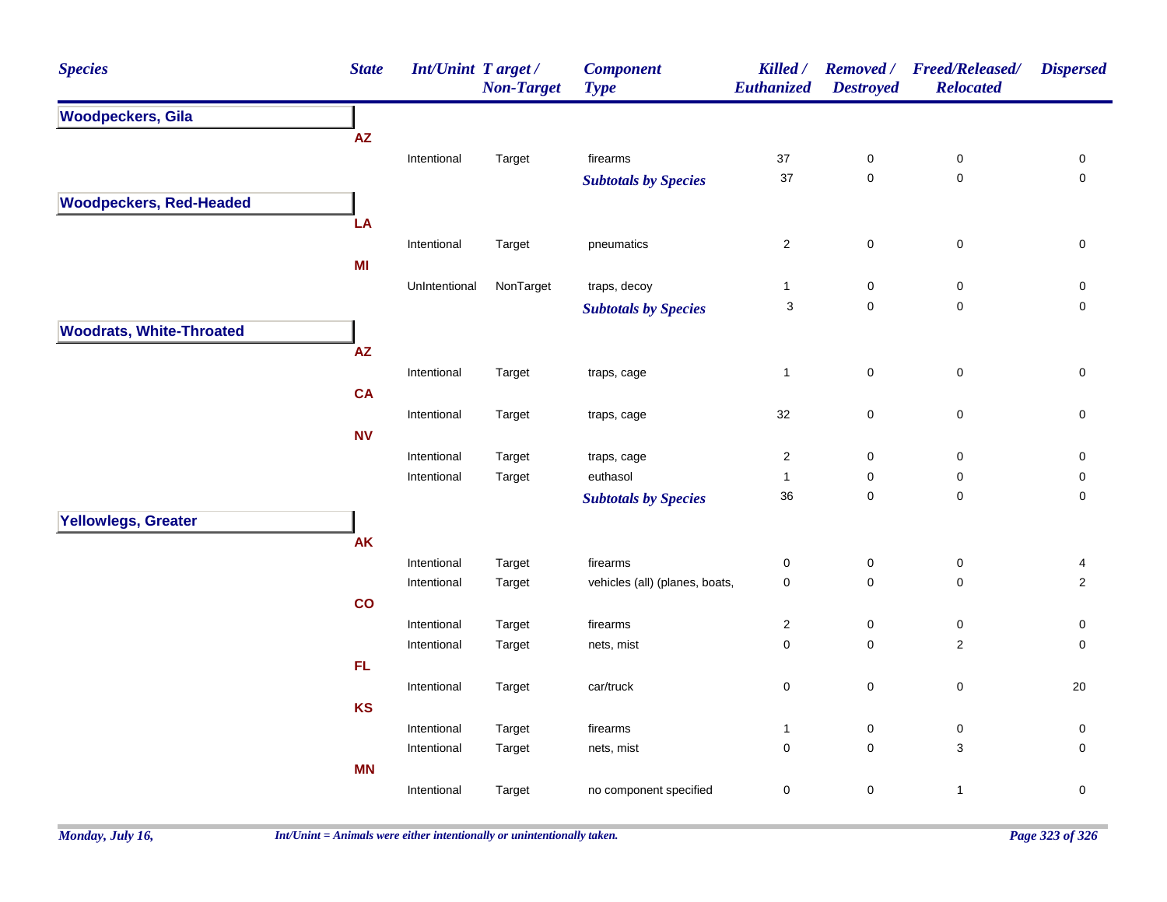| <b>Species</b>                  | <b>State</b>  | Int/Unint Target / | <b>Non-Target</b> | <b>Component</b><br><b>Type</b> | Killed /<br>Euthanized    | <b>Removed</b> /<br><b>Destroyed</b> | <b>Freed/Released/</b><br><b>Relocated</b> | <b>Dispersed</b>    |
|---------------------------------|---------------|--------------------|-------------------|---------------------------------|---------------------------|--------------------------------------|--------------------------------------------|---------------------|
| <b>Woodpeckers, Gila</b>        |               |                    |                   |                                 |                           |                                      |                                            |                     |
|                                 | AZ            |                    |                   |                                 |                           |                                      |                                            |                     |
|                                 |               | Intentional        | Target            | firearms                        | 37                        | $\pmb{0}$                            | $\pmb{0}$                                  | 0                   |
|                                 |               |                    |                   | <b>Subtotals by Species</b>     | 37                        | $\mathsf 0$                          | $\pmb{0}$                                  | $\mathbf 0$         |
| <b>Woodpeckers, Red-Headed</b>  |               |                    |                   |                                 |                           |                                      |                                            |                     |
|                                 | LA            |                    |                   |                                 |                           |                                      |                                            |                     |
|                                 |               | Intentional        | Target            | pneumatics                      | $\overline{2}$            | $\pmb{0}$                            | $\pmb{0}$                                  | 0                   |
|                                 | MI            |                    |                   |                                 |                           |                                      |                                            |                     |
|                                 |               | UnIntentional      | NonTarget         | traps, decoy                    | $\mathbf{1}$              | $\pmb{0}$                            | $\pmb{0}$                                  | 0                   |
|                                 |               |                    |                   | <b>Subtotals by Species</b>     | $\ensuremath{\mathsf{3}}$ | $\mathbf 0$                          | $\mathbf 0$                                | $\mathsf{O}\xspace$ |
| <b>Woodrats, White-Throated</b> |               |                    |                   |                                 |                           |                                      |                                            |                     |
|                                 | ${\sf AZ}$    |                    |                   |                                 |                           |                                      |                                            |                     |
|                                 |               | Intentional        | Target            | traps, cage                     | $\mathbf{1}$              | $\mathbf 0$                          | $\pmb{0}$                                  | $\mathsf{O}\xspace$ |
|                                 | <b>CA</b>     |                    |                   |                                 |                           |                                      |                                            |                     |
|                                 |               | Intentional        | Target            | traps, cage                     | 32                        | $\mathbf 0$                          | $\mathsf 0$                                | $\pmb{0}$           |
|                                 | <b>NV</b>     |                    |                   |                                 |                           |                                      |                                            |                     |
|                                 |               | Intentional        | Target            | traps, cage                     | $\overline{2}$            | $\pmb{0}$                            | $\pmb{0}$                                  | 0                   |
|                                 |               | Intentional        | Target            | euthasol                        | $\mathbf{1}$              | $\pmb{0}$                            | $\pmb{0}$                                  | 0                   |
|                                 |               |                    |                   | <b>Subtotals by Species</b>     | 36                        | $\mathbf 0$                          | $\pmb{0}$                                  | $\pmb{0}$           |
| Yellowlegs, Greater             |               |                    |                   |                                 |                           |                                      |                                            |                     |
|                                 | AK            |                    |                   |                                 |                           |                                      |                                            |                     |
|                                 |               | Intentional        | Target            | firearms                        | $\pmb{0}$                 | $\pmb{0}$                            | 0                                          | 4                   |
|                                 |               | Intentional        | Target            | vehicles (all) (planes, boats,  | $\mathbf 0$               | $\pmb{0}$                            | 0                                          | $\overline{2}$      |
|                                 | $\mathbf{co}$ |                    |                   |                                 |                           |                                      |                                            |                     |
|                                 |               | Intentional        | Target            | firearms                        | $\sqrt{2}$                | 0                                    | 0                                          | 0                   |
|                                 |               | Intentional        | Target            | nets, mist                      | $\mathbf 0$               | $\pmb{0}$                            | $\overline{2}$                             | $\mathbf 0$         |
|                                 | FL.           |                    |                   |                                 |                           |                                      |                                            |                     |
|                                 |               | Intentional        | Target            | car/truck                       | $\pmb{0}$                 | $\pmb{0}$                            | $\pmb{0}$                                  | 20                  |
|                                 | <b>KS</b>     |                    |                   |                                 |                           |                                      |                                            |                     |
|                                 |               | Intentional        | Target            | firearms                        | $\mathbf{1}$              | $\pmb{0}$                            | $\pmb{0}$                                  | $\pmb{0}$           |
|                                 |               | Intentional        | Target            | nets, mist                      | $\pmb{0}$                 | $\pmb{0}$                            | 3                                          | $\mathbf 0$         |
|                                 | <b>MN</b>     |                    |                   |                                 |                           |                                      |                                            |                     |
|                                 |               | Intentional        | Target            | no component specified          | $\pmb{0}$                 | $\pmb{0}$                            | $\mathbf{1}$                               | $\mathsf{O}\xspace$ |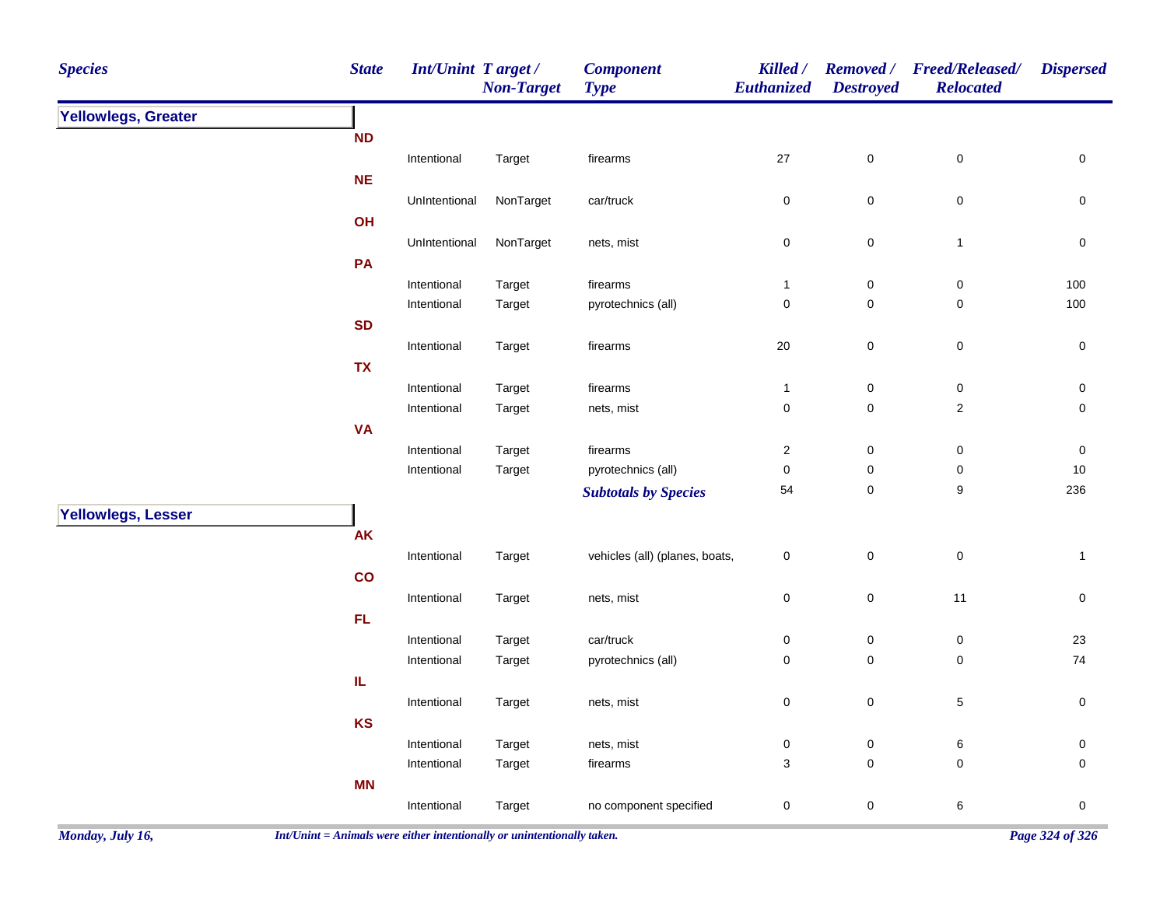| <b>Species</b>      | <b>State</b> | <b>Int/Unint Target/</b>   | <b>Non-Target</b> | <b>Component</b><br><b>Type</b> | Killed /<br>Euthanized    | <b>Removed</b> /<br><b>Destroyed</b> | <b>Freed/Released/</b><br><b>Relocated</b> | <b>Dispersed</b> |
|---------------------|--------------|----------------------------|-------------------|---------------------------------|---------------------------|--------------------------------------|--------------------------------------------|------------------|
| Yellowlegs, Greater |              |                            |                   |                                 |                           |                                      |                                            |                  |
|                     | ND           |                            |                   |                                 |                           |                                      |                                            |                  |
|                     |              | Intentional                | Target            | firearms                        | $27\,$                    | $\pmb{0}$                            | $\pmb{0}$                                  | $\pmb{0}$        |
|                     | NE           |                            |                   |                                 |                           |                                      |                                            |                  |
|                     |              | UnIntentional              | NonTarget         | car/truck                       | $\pmb{0}$                 | $\pmb{0}$                            | $\pmb{0}$                                  | $\pmb{0}$        |
|                     | OH           |                            |                   |                                 |                           |                                      |                                            |                  |
|                     |              | UnIntentional              | NonTarget         | nets, mist                      | $\pmb{0}$                 | $\mathbf 0$                          | $\mathbf{1}$                               | $\pmb{0}$        |
|                     | PA           |                            |                   |                                 |                           |                                      |                                            |                  |
|                     |              | Intentional                | Target            | firearms                        | $\overline{1}$            | 0                                    | 0                                          | 100              |
|                     |              | Intentional                | Target            | pyrotechnics (all)              | $\mathbf 0$               | 0                                    | 0                                          | 100              |
|                     | <b>SD</b>    |                            |                   |                                 |                           |                                      |                                            |                  |
|                     |              | Intentional                | Target            | firearms                        | 20                        | $\pmb{0}$                            | $\pmb{0}$                                  | $\pmb{0}$        |
|                     | <b>TX</b>    |                            |                   |                                 |                           |                                      |                                            |                  |
|                     |              | Intentional<br>Intentional | Target<br>Target  | firearms<br>nets, mist          | $\mathbf{1}$<br>$\pmb{0}$ | $\pmb{0}$<br>$\pmb{0}$               | $\pmb{0}$<br>$\sqrt{2}$                    | $\pmb{0}$<br>0   |
|                     | <b>VA</b>    |                            |                   |                                 |                           |                                      |                                            |                  |
|                     |              | Intentional                | Target            | firearms                        | $\overline{2}$            | $\pmb{0}$                            | $\pmb{0}$                                  | 0                |
|                     |              | Intentional                | Target            | pyrotechnics (all)              | $\pmb{0}$                 | 0                                    | 0                                          | 10               |
|                     |              |                            |                   | <b>Subtotals by Species</b>     | 54                        | $\pmb{0}$                            | $\boldsymbol{9}$                           | 236              |
| Yellowlegs, Lesser  |              |                            |                   |                                 |                           |                                      |                                            |                  |
|                     | AK           |                            |                   |                                 |                           |                                      |                                            |                  |
|                     |              | Intentional                | Target            | vehicles (all) (planes, boats,  | $\pmb{0}$                 | $\mathsf 0$                          | $\pmb{0}$                                  | $\mathbf{1}$     |
|                     | co           |                            |                   |                                 |                           |                                      |                                            |                  |
|                     |              | Intentional                | Target            | nets, mist                      | $\pmb{0}$                 | $\mathbf 0$                          | 11                                         | $\pmb{0}$        |
|                     | FL.          |                            |                   |                                 |                           |                                      |                                            |                  |
|                     |              | Intentional                | Target            | car/truck                       | $\pmb{0}$                 | $\pmb{0}$                            | $\pmb{0}$                                  | 23               |
|                     |              | Intentional                | Target            | pyrotechnics (all)              | $\pmb{0}$                 | $\pmb{0}$                            | $\pmb{0}$                                  | 74               |
|                     | IL           |                            |                   |                                 |                           |                                      |                                            |                  |
|                     |              | Intentional                | Target            | nets, mist                      | $\pmb{0}$                 | $\pmb{0}$                            | 5                                          | $\pmb{0}$        |
|                     | <b>KS</b>    |                            |                   |                                 |                           |                                      |                                            |                  |
|                     |              | Intentional                | Target            | nets, mist                      | $\pmb{0}$                 | $\pmb{0}$                            | $\,6\,$                                    | 0                |
|                     |              | Intentional                | Target            | firearms                        | 3                         | $\pmb{0}$                            | $\pmb{0}$                                  | 0                |
|                     | <b>MN</b>    |                            |                   |                                 |                           |                                      |                                            |                  |
|                     |              | Intentional                | Target            | no component specified          | $\pmb{0}$                 | 0                                    | $\,6\,$                                    | $\pmb{0}$        |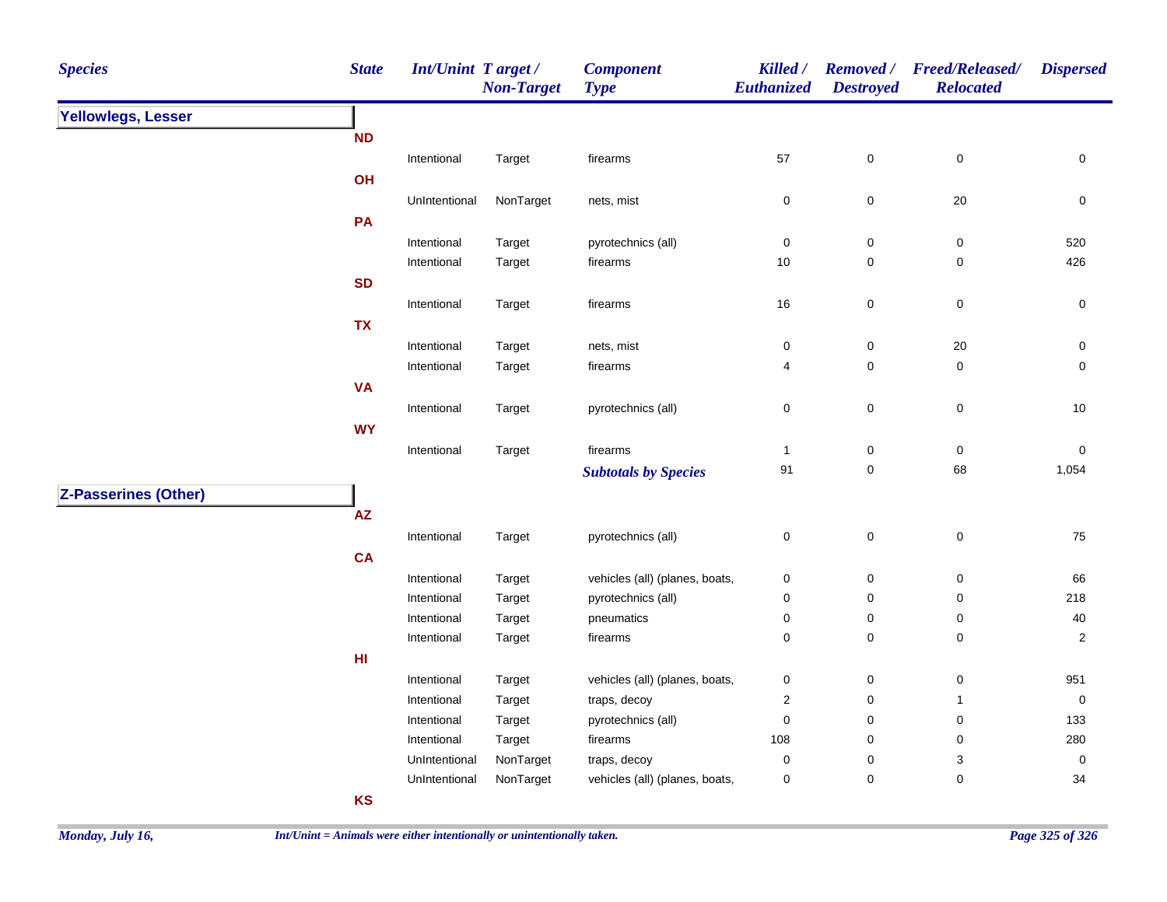| <b>Species</b>              | <b>State</b>           | <b>Int/Unint Target/</b>     | <b>Non-Target</b>   | <b>Component</b><br><b>Type</b> | Killed /<br><b>Euthanized</b> | <b>Removed</b> /<br><b>Destroyed</b> | <b>Freed/Released/</b><br><b>Relocated</b> | <b>Dispersed</b>    |
|-----------------------------|------------------------|------------------------------|---------------------|---------------------------------|-------------------------------|--------------------------------------|--------------------------------------------|---------------------|
| Yellowlegs, Lesser          |                        |                              |                     |                                 |                               |                                      |                                            |                     |
|                             | <b>ND</b>              |                              |                     |                                 |                               |                                      |                                            |                     |
|                             |                        | Intentional                  | Target              | firearms                        | 57                            | $\pmb{0}$                            | $\mathsf 0$                                | $\mathsf 0$         |
|                             | OH                     |                              |                     |                                 |                               |                                      |                                            |                     |
|                             |                        | UnIntentional                | NonTarget           | nets, mist                      | $\pmb{0}$                     | $\mathbf 0$                          | $20\,$                                     | $\pmb{0}$           |
|                             | PA                     |                              |                     |                                 |                               |                                      |                                            |                     |
|                             |                        | Intentional                  | Target              | pyrotechnics (all)              | 0                             | $\mathbf 0$                          | $\mathsf 0$                                | 520                 |
|                             |                        | Intentional                  | Target              | firearms                        | 10                            | $\mathbf 0$                          | 0                                          | 426                 |
|                             | <b>SD</b>              |                              |                     |                                 |                               |                                      |                                            |                     |
|                             |                        | Intentional                  | Target              | firearms                        | 16                            | $\mathbf 0$                          | $\mathsf 0$                                | $\mathsf{O}\xspace$ |
|                             | <b>TX</b>              |                              |                     |                                 |                               |                                      |                                            |                     |
|                             |                        | Intentional                  | Target              | nets, mist                      | 0                             | $\pmb{0}$                            | $20\,$                                     | $\mathsf{O}\xspace$ |
|                             |                        | Intentional                  | Target              | firearms                        | 4                             | $\pmb{0}$                            | $\pmb{0}$                                  | $\mathsf{O}\xspace$ |
|                             | <b>VA</b>              |                              |                     |                                 |                               |                                      |                                            |                     |
|                             |                        | Intentional                  | Target              | pyrotechnics (all)              | 0                             | $\mathbf 0$                          | $\pmb{0}$                                  | $10$                |
|                             | <b>WY</b>              |                              |                     |                                 |                               |                                      |                                            |                     |
|                             |                        | Intentional                  | Target              | firearms                        | $\mathbf{1}$                  | $\pmb{0}$                            | $\pmb{0}$                                  | 0                   |
|                             |                        |                              |                     | <b>Subtotals by Species</b>     | 91                            | $\mathbf 0$                          | 68                                         | 1,054               |
| <b>Z-Passerines (Other)</b> |                        |                              |                     |                                 |                               |                                      |                                            |                     |
|                             | $\mathsf{A}\mathsf{Z}$ |                              |                     |                                 |                               |                                      |                                            |                     |
|                             |                        | Intentional                  | Target              | pyrotechnics (all)              | $\pmb{0}$                     | $\mathbf 0$                          | $\pmb{0}$                                  | 75                  |
|                             | <b>CA</b>              |                              |                     |                                 |                               |                                      |                                            |                     |
|                             |                        |                              |                     |                                 |                               |                                      |                                            |                     |
|                             |                        | Intentional                  | Target              | vehicles (all) (planes, boats,  | 0                             | 0                                    | 0                                          | 66<br>218           |
|                             |                        | Intentional                  | Target              | pyrotechnics (all)              | 0<br>0                        | $\pmb{0}$<br>0                       | 0<br>0                                     | 40                  |
|                             |                        | Intentional<br>Intentional   | Target<br>Target    | pneumatics<br>firearms          | 0                             | 0                                    | 0                                          | $\overline{2}$      |
|                             | H1                     |                              |                     |                                 |                               |                                      |                                            |                     |
|                             |                        |                              |                     |                                 |                               |                                      |                                            |                     |
|                             |                        | Intentional                  | Target              | vehicles (all) (planes, boats,  | 0                             | $\mathbf 0$                          | $\pmb{0}$                                  | 951                 |
|                             |                        | Intentional                  | Target              | traps, decoy                    | $\overline{\mathbf{c}}$       | $\pmb{0}$                            | $\mathbf{1}$                               | $\mathsf{O}\xspace$ |
|                             |                        | Intentional                  | Target              | pyrotechnics (all)              | 0<br>108                      | $\pmb{0}$                            | $\pmb{0}$                                  | 133<br>280          |
|                             |                        | Intentional<br>UnIntentional | Target<br>NonTarget | firearms<br>traps, decoy        | 0                             | 0<br>0                               | 0<br>3                                     | 0                   |
|                             |                        | UnIntentional                | NonTarget           | vehicles (all) (planes, boats,  | 0                             | $\pmb{0}$                            | $\pmb{0}$                                  | 34                  |
|                             | <b>KS</b>              |                              |                     |                                 |                               |                                      |                                            |                     |
|                             |                        |                              |                     |                                 |                               |                                      |                                            |                     |